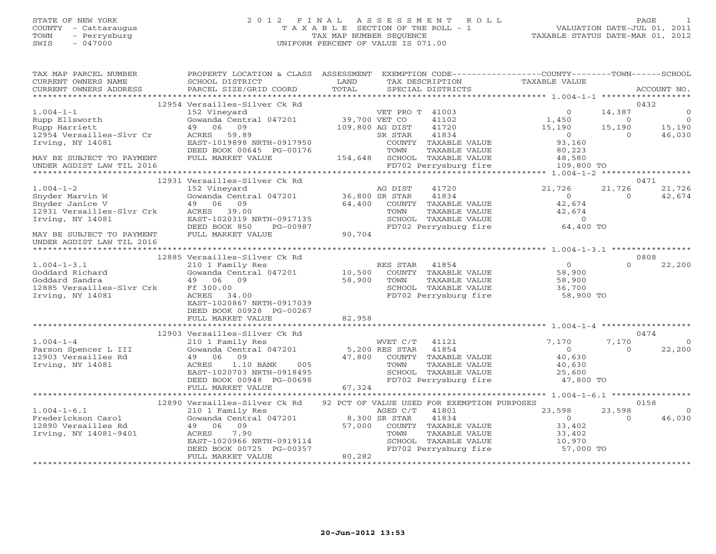### STATE OF NEW YORK 2 0 1 2 F I N A L A S S E S S M E N T R O L L PAGE 1 COUNTY - Cattaraugus T A X A B L E SECTION OF THE ROLL - 1 VALUATION DATE-JUL 01, 2011 TOWN - Perrysburg TAX MAP NUMBER SEQUENCE TAXABLE STATUS DATE-MAR 01, 2012 SWIS - 047000 UNIFORM PERCENT OF VALUE IS 071.00UNIFORM PERCENT OF VALUE IS 071.00

| TAX MAP PARCEL NUMBER<br>CURRENT OWNERS NAME<br>CURRENT OWNERS ADDRESS                                                                                                            | PROPERTY LOCATION & CLASS ASSESSMENT<br>SCHOOL DISTRICT<br>PARCEL SIZE/GRID COORD                                                                                                                                                        | LAND<br>TOTAL |                 | TAX DESCRIPTION<br>SPECIAL DISTRICTS                 | EXEMPTION CODE-----------------COUNTY-------TOWN------SCHOOL<br>TAXABLE VALUE         |                          | ACCOUNT NO.        |
|-----------------------------------------------------------------------------------------------------------------------------------------------------------------------------------|------------------------------------------------------------------------------------------------------------------------------------------------------------------------------------------------------------------------------------------|---------------|-----------------|------------------------------------------------------|---------------------------------------------------------------------------------------|--------------------------|--------------------|
|                                                                                                                                                                                   |                                                                                                                                                                                                                                          |               |                 |                                                      |                                                                                       |                          |                    |
|                                                                                                                                                                                   | 12954 Versailles-Silver Ck Rd                                                                                                                                                                                                            |               |                 |                                                      |                                                                                       |                          | 0432               |
| $1.004 - 1 - 1$                                                                                                                                                                   | 152 Vineyard<br>Gowanda Central 047201 39,700 VET CO                                                                                                                                                                                     |               | VET PRO T 41003 |                                                      | $\circ$                                                                               | 14,387                   | $\overline{0}$     |
|                                                                                                                                                                                   |                                                                                                                                                                                                                                          |               |                 | 41003<br>41102                                       | 1,450                                                                                 | $\overline{0}$           | $\overline{0}$     |
| 1.004-1-1<br>Rupp Ellsworth<br>Transact                                                                                                                                           |                                                                                                                                                                                                                                          |               |                 | 41720                                                | $15, 190$<br>0                                                                        | 15,190                   | 15,190<br>46,030   |
| 12954 Versailles-Slvr Cr                                                                                                                                                          | 49 06 09<br>ACRES 59.89 109,800 AG DIST<br>EAST-1019898 NRTH-0917950 SR STAR<br>ERED POOL 00017                                                                                                                                          |               |                 | 41834                                                |                                                                                       | $\overline{0}$           |                    |
| Irving, NY 14081                                                                                                                                                                  |                                                                                                                                                                                                                                          |               |                 | COUNTY TAXABLE VALUE                                 | 93,160                                                                                |                          |                    |
|                                                                                                                                                                                   | DEED BOOK 00645 PG-00176                                                                                                                                                                                                                 |               | TOWN            | TAXABLE VALUE                                        | 80,223                                                                                |                          |                    |
| MAY BE SUBJECT TO PAYMENT                                                                                                                                                         | FULL MARKET VALUE                                                                                                                                                                                                                        |               |                 | 154,648 SCHOOL TAXABLE VALUE                         | 48,580                                                                                |                          |                    |
| UNDER AGDIST LAW TIL 2016                                                                                                                                                         |                                                                                                                                                                                                                                          |               |                 | FD702 Perrysburg fire                                | 109,800 TO                                                                            |                          |                    |
|                                                                                                                                                                                   |                                                                                                                                                                                                                                          |               |                 |                                                      |                                                                                       |                          |                    |
|                                                                                                                                                                                   | 12931 Versailles-Silver Ck Rd                                                                                                                                                                                                            |               |                 |                                                      |                                                                                       |                          | 0471               |
| 1.004-1-2<br>Snyder Marvin W Gowanda Centra<br>Snyder Janice V 19 06 09<br>12931 Versailles-Slvr Crk ACRES 39.00<br>12931 Versailles-Slvr Crk ACRES 39.00<br>14081 BAST-1020319 1 | 152 Vineyard<br>Gowanda Central 047201 36,800 SR STAR<br>40 06 00                                                                                                                                                                        |               |                 | 41720                                                | 21,726                                                                                | 21,726                   | 21,726             |
|                                                                                                                                                                                   |                                                                                                                                                                                                                                          |               |                 | 41834                                                | $\begin{array}{c}0\\42,674\end{array}$                                                | $\Omega$                 | 42,674             |
|                                                                                                                                                                                   |                                                                                                                                                                                                                                          |               |                 | $64,400$ COUNTY TAXABLE VALUE<br>TOWN TOWN THE VALUE |                                                                                       |                          |                    |
|                                                                                                                                                                                   |                                                                                                                                                                                                                                          |               | TOWN            | TAXABLE VALUE                                        | 42,674                                                                                |                          |                    |
|                                                                                                                                                                                   |                                                                                                                                                                                                                                          |               |                 | SCHOOL TAXABLE VALUE                                 | SCHOOL TAXABLE VALUE 0<br>FD702 Perrysburg fire 64,400 TO                             |                          |                    |
|                                                                                                                                                                                   | EAST-1020319 NRTH-0917135<br>DEED BOOK 850 PG-00987<br>FULL MARKET VALUE 90,704                                                                                                                                                          |               |                 |                                                      |                                                                                       |                          |                    |
| MAY BE SUBJECT TO PAYMENT                                                                                                                                                         |                                                                                                                                                                                                                                          |               |                 |                                                      |                                                                                       |                          |                    |
| UNDER AGDIST LAW TIL 2016                                                                                                                                                         |                                                                                                                                                                                                                                          |               |                 |                                                      |                                                                                       |                          |                    |
|                                                                                                                                                                                   |                                                                                                                                                                                                                                          |               |                 |                                                      |                                                                                       |                          |                    |
|                                                                                                                                                                                   | 12885 Versailles-Silver Ck Rd                                                                                                                                                                                                            |               |                 |                                                      |                                                                                       |                          | 0808               |
| $1.004 - 1 - 3.1$                                                                                                                                                                 | 210 1 Family Res                                                                                                                                                                                                                         |               | RES STAR 41854  |                                                      | $\Omega$                                                                              | $\Omega$                 | 22,200             |
|                                                                                                                                                                                   | 10,500 COUNT:<br>2008 Gowanda Central 047201 10,500 COUNT:<br>49 06 09 58,900 TOWN                                                                                                                                                       |               |                 | COUNTY TAXABLE VALUE                                 | 58,900                                                                                |                          |                    |
| 1.004-1-3.1<br>Goddard Richard Gowanda Ce<br>Goddard Sandra (1990)<br>12885 Versailles-Slvr Crk Ff 300.00<br>Irving, NY 14081 (1994)<br>12885 1346                                |                                                                                                                                                                                                                                          |               |                 | TAXABLE VALUE                                        | 58,900                                                                                |                          |                    |
|                                                                                                                                                                                   |                                                                                                                                                                                                                                          |               |                 |                                                      | 10000 1AAABLE VALUE<br>SCHOOL TAXABLE VALUE 36,700<br>FD702 Perrysburg fire 36,900 TO |                          |                    |
|                                                                                                                                                                                   | ACRES 34.00                                                                                                                                                                                                                              |               |                 |                                                      |                                                                                       |                          |                    |
|                                                                                                                                                                                   | EAST-1020867 NRTH-0917039                                                                                                                                                                                                                |               |                 |                                                      |                                                                                       |                          |                    |
|                                                                                                                                                                                   | DEED BOOK 00928 PG-00267                                                                                                                                                                                                                 |               |                 |                                                      |                                                                                       |                          |                    |
|                                                                                                                                                                                   | FULL MARKET VALUE                                                                                                                                                                                                                        | 82,958        |                 |                                                      |                                                                                       |                          |                    |
|                                                                                                                                                                                   |                                                                                                                                                                                                                                          |               |                 |                                                      |                                                                                       |                          |                    |
|                                                                                                                                                                                   | 12903 Versailles-Silver Ck Rd                                                                                                                                                                                                            |               |                 |                                                      |                                                                                       |                          | 0474               |
| $1.004 - 1 - 4$                                                                                                                                                                   | 210 1 Family Res                                                                                                                                                                                                                         |               |                 | WVET C/T 41121                                       | 7,170                                                                                 | 7,170                    | $\overline{0}$     |
| 1.004-1-4<br>Parson Spencer L III<br>12903 Versailles Rd                                                                                                                          |                                                                                                                                                                                                                                          |               |                 |                                                      | $\overline{0}$                                                                        | $\overline{0}$           | 22,200             |
|                                                                                                                                                                                   |                                                                                                                                                                                                                                          |               |                 |                                                      | 40,630                                                                                |                          |                    |
| Irving, NY 14081                                                                                                                                                                  |                                                                                                                                                                                                                                          |               |                 |                                                      | 40,630                                                                                |                          |                    |
|                                                                                                                                                                                   | 210 1 Family Res<br>Gowanda Central 047201 5,200 RES STAR 41854<br>49 06 09 47,800 COUNTY TAXABLE VALUE<br>ACRES 1.10 BANK 005 TOWN TAXABLE VALUE<br>EAST-1020703 NRTH-0918495 SCHOOL TAXABLE VALUE<br>DEED BOOK 00948 PG-00698 FD702 Pe |               |                 |                                                      | TOWN TAXABLE VALUE<br>SCHOOL TAXABLE VALUE 25,600<br>TRIAN DOCTREDUIT fire 347,800 TO |                          |                    |
|                                                                                                                                                                                   |                                                                                                                                                                                                                                          | 67,324        |                 |                                                      |                                                                                       |                          |                    |
|                                                                                                                                                                                   | FULL MARKET VALUE                                                                                                                                                                                                                        |               |                 |                                                      |                                                                                       |                          |                    |
|                                                                                                                                                                                   |                                                                                                                                                                                                                                          |               |                 |                                                      |                                                                                       |                          | 0158               |
|                                                                                                                                                                                   | 12890 Versailles-Silver Ck Rd 92 PCT OF VALUE USED FOR EXEMPTION PURPOSES                                                                                                                                                                |               |                 |                                                      |                                                                                       |                          |                    |
| $1.004 - 1 - 6.1$<br>Frederickson Carol<br>12890 Versailles Rd<br>1771100 NT 11001                                                                                                | 210 1 Family Res<br>Gowanda Central 047201 8,300 SR STAR<br>49 06 09 57,000 COUNTY<br>ACRES 7.90 TOWN                                                                                                                                    |               | AGED C/T        | 41801<br>41834                                       | 23,598<br>$\overline{0}$                                                              | 23,598<br>$\overline{0}$ | $\Omega$<br>46,030 |
|                                                                                                                                                                                   |                                                                                                                                                                                                                                          |               |                 | COUNTY TAXABLE VALUE                                 | 33,402                                                                                |                          |                    |
| Irving, NY 14081-9401                                                                                                                                                             | 7.90<br>ACRES                                                                                                                                                                                                                            |               | TOWN            | TAXABLE VALUE                                        | 33,402                                                                                |                          |                    |
|                                                                                                                                                                                   |                                                                                                                                                                                                                                          |               |                 | SCHOOL TAXABLE VALUE                                 |                                                                                       |                          |                    |
|                                                                                                                                                                                   |                                                                                                                                                                                                                                          |               |                 | FD702 Perrysburg fire                                | 10,970<br>57,000 TO                                                                   |                          |                    |
|                                                                                                                                                                                   | EAST-1020966 NRTH-0919114<br>DEED BOOK 00725 PG-00357<br>FIILL MARKED YAY''<br>FULL MARKET VALUE                                                                                                                                         | 80,282        |                 |                                                      |                                                                                       |                          |                    |
|                                                                                                                                                                                   |                                                                                                                                                                                                                                          |               |                 |                                                      |                                                                                       |                          |                    |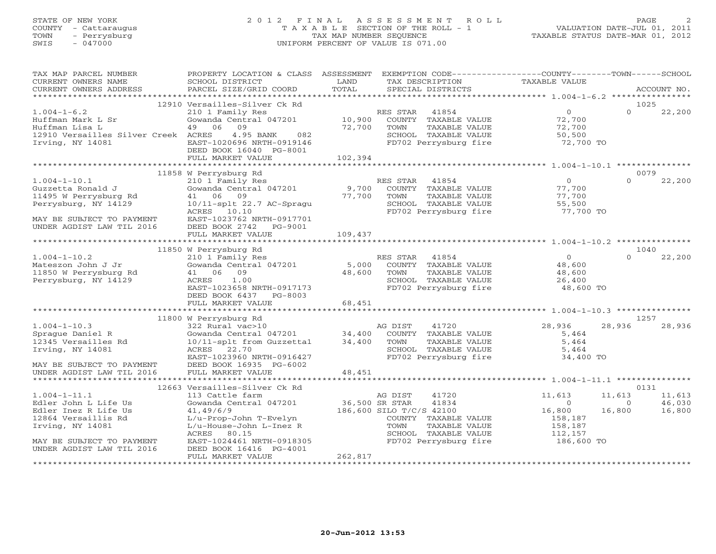# STATE OF NEW YORK 2 0 1 2 F I N A L A S S E S S M E N T R O L L PAGE 2 COUNTY - Cattaraugus T A X A B L E SECTION OF THE ROLL - 1 VALUATION DATE-JUL 01, 2011 TOWN - Perrysburg TAX MAP NUMBER SEQUENCE TAXABLE STATUS DATE-MAR 01, 2012 SWIS - 047000 UNIFORM PERCENT OF VALUE IS 071.00

| TAX MAP PARCEL NUMBER<br>CURRENT OWNERS NAME<br>CURRENT OWNERS ADDRESS                                                                                                  | PROPERTY LOCATION & CLASS ASSESSMENT<br>SCHOOL DISTRICT<br>PARCEL SIZE/GRID COORD                                                                                                                                      | LAND<br>TOTAL               | EXEMPTION CODE-----------------COUNTY-------TOWN------SCHOOL<br>TAX DESCRIPTION<br>SPECIAL DISTRICTS                                                    | TAXABLE VALUE                                                              | ACCOUNT NO.                                                        |
|-------------------------------------------------------------------------------------------------------------------------------------------------------------------------|------------------------------------------------------------------------------------------------------------------------------------------------------------------------------------------------------------------------|-----------------------------|---------------------------------------------------------------------------------------------------------------------------------------------------------|----------------------------------------------------------------------------|--------------------------------------------------------------------|
|                                                                                                                                                                         |                                                                                                                                                                                                                        |                             |                                                                                                                                                         |                                                                            |                                                                    |
| $1.004 - 1 - 6.2$<br>Huffman Mark L Sr<br>Huffman Lisa L<br>12910 Versailles Silver Creek ACRES<br>Irving, NY 14081                                                     | 12910 Versailles-Silver Ck Rd<br>210 1 Family Res<br>Gowanda Central 047201<br>49 06<br>09<br>4.95 BANK<br>082<br>EAST-1020696 NRTH-0919146<br>DEED BOOK 16040 PG-8001<br>FULL MARKET VALUE                            | 10,900<br>72,700<br>102,394 | RES STAR<br>41854<br>COUNTY TAXABLE VALUE<br>TAXABLE VALUE<br>TOWN<br>SCHOOL TAXABLE VALUE<br>FD702 Perrysburg fire                                     | $\overline{0}$<br>72,700<br>72,700<br>50,500<br>72,700 TO                  | 1025<br>$\Omega$<br>22,200                                         |
|                                                                                                                                                                         |                                                                                                                                                                                                                        |                             |                                                                                                                                                         |                                                                            |                                                                    |
|                                                                                                                                                                         | 11858 W Perrysburg Rd                                                                                                                                                                                                  |                             |                                                                                                                                                         |                                                                            | 0079                                                               |
| $1.004 - 1 - 10.1$<br>Guzzetta Ronald J<br>11495 W Perrysburg Rd<br>Perrysburg, NY 14129<br>MAY BE SUBJECT TO PAYMENT                                                   | 210 1 Family Res<br>Gowanda Central 047201<br>41 06 09<br>$10/11$ -splt 22.7 AC-Spragu<br>ACRES 10.10<br>EAST-1023762 NRTH-0917701                                                                                     | 9,700<br>77,700             | RES STAR<br>41854<br>COUNTY TAXABLE VALUE<br>TAXABLE VALUE<br>TOWN<br>SCHOOL TAXABLE VALUE<br>FD702 Perrysburg fire                                     | $\Omega$<br>77,700<br>77,700<br>55,500<br>77,700 TO                        | $\Omega$<br>22,200                                                 |
| UNDER AGDIST LAW TIL 2016                                                                                                                                               | DEED BOOK 2742 PG-9001                                                                                                                                                                                                 |                             |                                                                                                                                                         |                                                                            |                                                                    |
|                                                                                                                                                                         | FULL MARKET VALUE                                                                                                                                                                                                      | 109,437                     |                                                                                                                                                         |                                                                            |                                                                    |
|                                                                                                                                                                         |                                                                                                                                                                                                                        |                             |                                                                                                                                                         |                                                                            |                                                                    |
|                                                                                                                                                                         | 11850 W Perrysburg Rd                                                                                                                                                                                                  |                             |                                                                                                                                                         |                                                                            | 1040                                                               |
| $1.004 - 1 - 10.2$<br>Mateszon John J Jr<br>11850 W Perrysburg Rd<br>Perrysburg, NY 14129                                                                               | 210 1 Family Res<br>Gowanda Central 047201<br>41 06 09<br>1.00<br>ACRES<br>EAST-1023658 NRTH-0917173<br>DEED BOOK 6437<br>PG-8003                                                                                      | 5,000<br>48,600             | RES STAR<br>41854<br>COUNTY TAXABLE VALUE<br>TOWN<br>TAXABLE VALUE<br>SCHOOL TAXABLE VALUE<br>FD702 Perrysburg fire                                     | $\circ$<br>48,600<br>48,600<br>26,400<br>48,600 TO                         | $\Omega$<br>22,200                                                 |
|                                                                                                                                                                         | FULL MARKET VALUE                                                                                                                                                                                                      | 68,451                      |                                                                                                                                                         |                                                                            |                                                                    |
|                                                                                                                                                                         | 11800 W Perrysburg Rd                                                                                                                                                                                                  |                             |                                                                                                                                                         |                                                                            | 1257                                                               |
| $1.004 - 1 - 10.3$<br>Spraque Daniel R<br>12345 Versailles Rd<br>Irving, NY 14081<br>MAY BE SUBJECT TO PAYMENT                                                          | 322 Rural vac>10<br>Gowanda Central 047201<br>10/11-splt from Guzzetta1<br>ACRES 22.70<br>EAST-1023960 NRTH-0916427<br>DEED BOOK 16935 PG-6002                                                                         | 34,400<br>34,400            | AG DIST<br>41720<br>COUNTY TAXABLE VALUE<br>TOWN<br>TAXABLE VALUE<br>SCHOOL TAXABLE VALUE<br>FD702 Perrysburg fire                                      | 28,936<br>5,464<br>5,464<br>5,464<br>34,400 TO                             | 28,936<br>28,936                                                   |
| UNDER AGDIST LAW TIL 2016                                                                                                                                               | FULL MARKET VALUE                                                                                                                                                                                                      | 48,451                      |                                                                                                                                                         |                                                                            |                                                                    |
|                                                                                                                                                                         |                                                                                                                                                                                                                        |                             |                                                                                                                                                         |                                                                            |                                                                    |
| $1.004 - 1 - 11.1$<br>Edler John L Life Us<br>Edler Inez R Life Us<br>12864 Versaillis Rd<br>Irving, NY 14081<br>MAY BE SUBJECT TO PAYMENT<br>UNDER AGDIST LAW TIL 2016 | 12663 Versailles-Silver Ck Rd<br>113 Cattle farm<br>Gowanda Central 047201<br>41,49/6/9<br>L/u-Prop-John T-Evelyn<br>L/u-House-John L-Inez R<br>ACRES<br>80.15<br>EAST-1024461 NRTH-0918305<br>DEED BOOK 16416 PG-4001 | 36,500 SR STAR              | AG DIST<br>41720<br>41834<br>186,600 SILO T/C/S 42100<br>COUNTY TAXABLE VALUE<br>TAXABLE VALUE<br>TOWN<br>SCHOOL TAXABLE VALUE<br>FD702 Perrysburg fire | 11,613<br>$\circ$<br>16,800<br>158,187<br>158,187<br>112,157<br>186,600 TO | 0131<br>11,613<br>11,613<br>46,030<br>$\Omega$<br>16,800<br>16,800 |
|                                                                                                                                                                         | FULL MARKET VALUE                                                                                                                                                                                                      | 262,817                     |                                                                                                                                                         |                                                                            |                                                                    |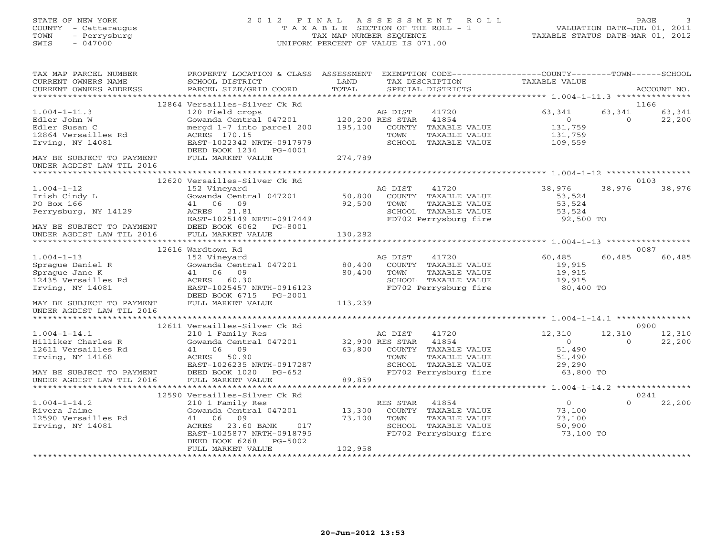STATE OF NEW YORK 2 0 1 2 F I N A L A S S E S S M E N T R O L L PAGE 3 COUNTY - Cattaraugus T A X A B L E SECTION OF THE ROLL - 1 VALUATION DATE-JUL 01, 2011 TOWN - Perrysburg TAX MAP NUMBER SEQUENCE TAXABLE STATUS DATE-MAR 01, 2012 SWIS - 047000 UNIFORM PERCENT OF VALUE IS 071.00

| TAX MAP PARCEL NUMBER<br>CURRENT OWNERS NAME<br>CURRENT OWNERS ADDRESS                                                                        | PROPERTY LOCATION & CLASS<br>SCHOOL DISTRICT<br>PARCEL SIZE/GRID COORD                                                                                                                                 | ASSESSMENT<br>LAND<br>TOTAL |                                               | TAX DESCRIPTION<br>SPECIAL DISTRICTS                                                                     | EXEMPTION CODE-----------------COUNTY-------TOWN------SCHOOL<br>TAXABLE VALUE |                    | ACCOUNT NO.              |
|-----------------------------------------------------------------------------------------------------------------------------------------------|--------------------------------------------------------------------------------------------------------------------------------------------------------------------------------------------------------|-----------------------------|-----------------------------------------------|----------------------------------------------------------------------------------------------------------|-------------------------------------------------------------------------------|--------------------|--------------------------|
| *******************                                                                                                                           |                                                                                                                                                                                                        |                             |                                               |                                                                                                          |                                                                               |                    |                          |
| $1.004 - 1 - 11.3$<br>Edler John W<br>Edler Susan C<br>12864 Versailles Rd<br>Irving, NY 14081<br>MAY BE SUBJECT TO PAYMENT                   | 12864 Versailles-Silver Ck Rd<br>120 Field crops<br>Gowanda Central 047201<br>mergd 1-7 into parcel 200<br>ACRES 170.15<br>EAST-1022342 NRTH-0917979<br>DEED BOOK 1234<br>PG-4001<br>FULL MARKET VALUE | 195,100<br>274,789          | AG DIST<br>120,200 RES STAR<br>COUNTY<br>TOWN | 41720<br>41854<br>TAXABLE VALUE<br>TAXABLE VALUE<br>SCHOOL TAXABLE VALUE                                 | 63,341<br>$\circ$<br>131,759<br>131,759<br>109,559                            | 63,341<br>$\Omega$ | 1166<br>63,341<br>22,200 |
| UNDER AGDIST LAW TIL 2016                                                                                                                     |                                                                                                                                                                                                        |                             |                                               |                                                                                                          |                                                                               |                    |                          |
|                                                                                                                                               |                                                                                                                                                                                                        |                             |                                               |                                                                                                          |                                                                               |                    |                          |
|                                                                                                                                               | 12620 Versailles-Silver Ck Rd                                                                                                                                                                          |                             |                                               |                                                                                                          |                                                                               |                    | 0103                     |
| $1.004 - 1 - 12$<br>Irish Cindy L<br>PO Box 166<br>Perrysburg, NY 14129<br>MAY BE SUBJECT TO PAYMENT                                          | 152 Vineyard<br>Gowanda Central 047201<br>41 06 09<br>21.81<br>ACRES<br>EAST-1025149 NRTH-0917449<br>DEED BOOK 6062<br>PG-8001                                                                         | 50,800<br>92,500            | AG DIST<br>TOWN                               | 41720<br>COUNTY TAXABLE VALUE<br>TAXABLE VALUE<br>SCHOOL TAXABLE VALUE<br>FD702 Perrysburg fire          | 38,976<br>53,524<br>53,524<br>53,524<br>92,500 TO                             | 38,976             | 38,976                   |
| UNDER AGDIST LAW TIL 2016                                                                                                                     | FULL MARKET VALUE                                                                                                                                                                                      | 130,282                     |                                               |                                                                                                          |                                                                               |                    |                          |
|                                                                                                                                               |                                                                                                                                                                                                        |                             |                                               |                                                                                                          |                                                                               |                    |                          |
|                                                                                                                                               | 12616 Wardtown Rd                                                                                                                                                                                      |                             |                                               |                                                                                                          |                                                                               |                    | 0087                     |
| $1.004 - 1 - 13$<br>Sprague Daniel R<br>Spraque Jane K<br>12435 Versailles Rd<br>Irving, NY 14081                                             | 152 Vineyard<br>Gowanda Central 047201<br>41 06 09<br>ACRES 60.30<br>EAST-1025457 NRTH-0916123<br>DEED BOOK 6715<br>PG-2001                                                                            | 80,400<br>80,400            | AG DIST<br>TOWN                               | 41720<br>COUNTY TAXABLE VALUE<br>TAXABLE VALUE<br>SCHOOL TAXABLE VALUE<br>FD702 Perrysburg fire          | 60,485<br>19,915<br>19,915<br>19,915<br>80,400 TO                             | 60,485             | 60,485                   |
| MAY BE SUBJECT TO PAYMENT<br>UNDER AGDIST LAW TIL 2016                                                                                        | FULL MARKET VALUE                                                                                                                                                                                      | 113,239                     |                                               |                                                                                                          |                                                                               |                    |                          |
|                                                                                                                                               | 12611 Versailles-Silver Ck Rd                                                                                                                                                                          |                             |                                               |                                                                                                          |                                                                               |                    | 0900                     |
| $1.004 - 1 - 14.1$<br>Hilliker Charles R<br>12611 Versailles Rd<br>Irving, NY 14168<br>MAY BE SUBJECT TO PAYMENT<br>UNDER AGDIST LAW TIL 2016 | 210 1 Family Res<br>Gowanda Central 047201<br>41 06 09<br>ACRES<br>50.90<br>EAST-1026235 NRTH-0917287<br>DEED BOOK 1020<br>PG-652<br>FULL MARKET VALUE                                                 | 63,800<br>89,859            | AG DIST<br>32,900 RES STAR<br>TOWN            | 41720<br>41854<br>COUNTY TAXABLE VALUE<br>TAXABLE VALUE<br>SCHOOL TAXABLE VALUE<br>FD702 Perrysburg fire | 12,310<br>$\overline{O}$<br>51,490<br>51,490<br>29,290<br>63,800 TO           | 12,310<br>$\Omega$ | 12,310<br>22,200         |
| *************************                                                                                                                     | <b>+++++++++++++++++++++++++</b>                                                                                                                                                                       |                             |                                               |                                                                                                          |                                                                               |                    |                          |
|                                                                                                                                               | 12590 Versailles-Silver Ck Rd                                                                                                                                                                          |                             |                                               |                                                                                                          |                                                                               |                    | 0241                     |
| $1.004 - 1 - 14.2$<br>Rivera Jaime<br>12590 Versailles Rd<br>Irving, NY 14081                                                                 | 210 1 Family Res<br>Gowanda Central 047201<br>09<br>41<br>06<br>23.60 BANK<br>017<br>ACRES<br>EAST-1025877 NRTH-0918795<br>DEED BOOK 6268<br>PG-5002<br>FULL MARKET VALUE                              | 13,300<br>73,100<br>102,958 | RES STAR<br>TOWN                              | 41854<br>COUNTY TAXABLE VALUE<br>TAXABLE VALUE<br>SCHOOL TAXABLE VALUE<br>FD702 Perrysburg fire          | $\Omega$<br>73,100<br>73,100<br>50,900<br>73,100 TO                           | $\Omega$           | 22,200                   |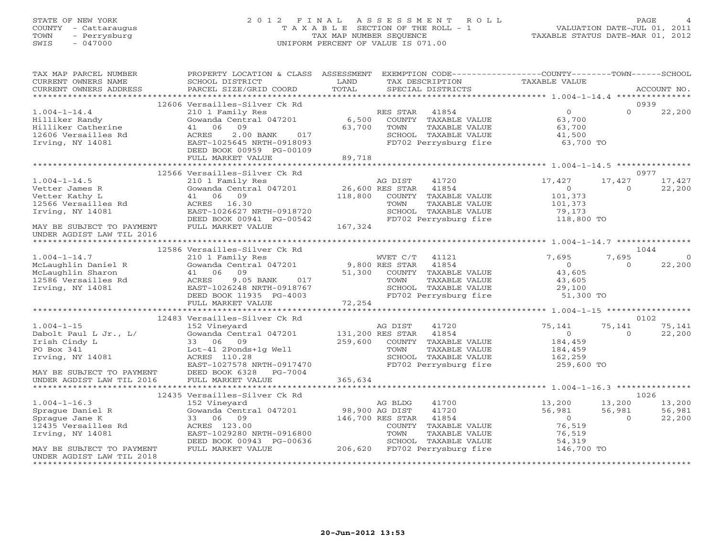#### STATE OF NEW YORK 2 0 1 2 F I N A L A S S E S S M E N T R O L L PAGE 4COUNTY - Cattaraugus T A X A B L E SECTION OF THE ROLL - 1 VALUATION DATE-JUL 01, 2011 TOWN - Perrysburg TAX MAP NUMBER SEQUENCE TAXABLE STATUS DATE-MAR 01, 2012<br>TAXABLE STATUS DATE-MAR 01, 2012 SWIS - 047000 UNIFORM PERCENT OF VALUE IS 071.00

| TAX MAP PARCEL NUMBER                                                                 | PROPERTY LOCATION & CLASS ASSESSMENT EXEMPTION CODE---------------COUNTY-------TOWN------SCHOOL |                |                               |                |            |             |
|---------------------------------------------------------------------------------------|-------------------------------------------------------------------------------------------------|----------------|-------------------------------|----------------|------------|-------------|
| CURRENT OWNERS NAME                                                                   | SCHOOL DISTRICT                                                                                 | LAND           | TAX DESCRIPTION               | TAXABLE VALUE  |            |             |
| CURRENT OWNERS ADDRESS                                                                | PARCEL SIZE/GRID COORD                                                                          | TOTAL          | SPECIAL DISTRICTS             |                |            | ACCOUNT NO. |
|                                                                                       |                                                                                                 |                |                               |                |            |             |
|                                                                                       | 12606 Versailles-Silver Ck Rd                                                                   |                |                               |                | 0939       |             |
| $1.004 - 1 - 14.4$                                                                    | 210 1 Family Res                                                                                |                | RES STAR 41854                | $\Omega$       | $\cap$     | 22,200      |
| Hilliker Randy                                                                        | Gowanda Central 047201                                                                          | 6,500          | COUNTY TAXABLE VALUE          | 63,700         |            |             |
| Hilliker Catherine                                                                    | 41 06<br>09                                                                                     | 63,700         | TOWN<br>TAXABLE VALUE         | 63,700         |            |             |
| 12606 Versailles Rd                                                                   | ACRES<br>2.00 BANK 017                                                                          |                | SCHOOL TAXABLE VALUE          | 41,500         |            |             |
| Irving, NY 14081                                                                      | EAST-1025645 NRTH-0918093                                                                       |                | FD702 Perrysburg fire         | 63,700 TO      |            |             |
|                                                                                       | DEED BOOK 00959 PG-00109                                                                        |                |                               |                |            |             |
|                                                                                       | FULL MARKET VALUE                                                                               | 89,718         |                               |                |            |             |
|                                                                                       |                                                                                                 |                |                               |                |            |             |
|                                                                                       | 12566 Versailles-Silver Ck Rd                                                                   |                |                               |                | 0977       |             |
| $1.004 - 1 - 14.5$                                                                    | 210 1 Family Res                                                                                |                | AG DIST<br>41720              | 17,427         | 17,427     | 17,427      |
| Vetter James R                                                                        |                                                                                                 |                | 41854                         | $\overline{0}$ | $\Omega$   | 22,200      |
| Vetter Kathy L                                                                        | Cowanda Central 047201 26,600 RES STAR<br>41 06 09 118,800 COUNTY<br>41 06 09                   | 118,800        | COUNTY TAXABLE VALUE          | 101,373        |            |             |
|                                                                                       |                                                                                                 |                |                               |                |            |             |
| 12566 Versailles Rd                                                                   | ACRES 16.30                                                                                     |                | TAXABLE VALUE<br>TOWN         | 101,373        |            |             |
| Irving, NY 14081                                                                      | EAST-1026627 NRTH-0918720                                                                       |                | SCHOOL TAXABLE VALUE          | 79,173         |            |             |
|                                                                                       | DEED BOOK 00941 PG-00542                                                                        |                | FD702 Perrysburg fire         | 118,800 TO     |            |             |
| MAY BE SUBJECT TO PAYMENT                                                             | FULL MARKET VALUE                                                                               | 167,324        |                               |                |            |             |
| UNDER AGDIST LAW TIL 2016                                                             |                                                                                                 |                |                               |                |            |             |
|                                                                                       |                                                                                                 |                |                               |                |            |             |
|                                                                                       | 12586 Versailles-Silver Ck Rd                                                                   |                |                               |                | 1044       |             |
| $1.004 - 1 - 14.7$                                                                    | 210 1 Family Res                                                                                |                | WVET C/T<br>41121             | 7,695          | 7,695      | $\Omega$    |
| McLaughlin Daniel R                                                                   | Gowanda Central 047201 9,800 RES STAR                                                           |                | 41854                         | $\overline{0}$ | $\Omega$   | 22,200      |
| McLaughlin Sharon                                                                     | 41 06 09                                                                                        | 51,300         | COUNTY TAXABLE VALUE          | 43,605         |            |             |
| 12586 Versailles Rd                                                                   | 9.05 BANK 017<br>ACRES                                                                          |                | TAXABLE VALUE<br>TOWN         | 43,605         |            |             |
| Irving, NY 14081                                                                      | EAST-1026248 NRTH-0918767                                                                       |                | SCHOOL TAXABLE VALUE          | 29,100         |            |             |
|                                                                                       | DEED BOOK 11935 PG-4003                                                                         |                | FD702 Perrysburg fire         | 51,300 TO      |            |             |
|                                                                                       | FULL MARKET VALUE                                                                               | 72,254         |                               |                |            |             |
|                                                                                       |                                                                                                 |                |                               |                |            |             |
|                                                                                       | 12483 Versailles-Silver Ck Rd                                                                   |                |                               |                |            | 0102        |
| $1.004 - 1 - 15$                                                                      | 152 Vineyard                                                                                    |                | AG DIST<br>41720              | 75,141         | 75,141     | 75,141      |
| Dabolt Paul L Jr., L/                                                                 | Gowanda Central 047201                                                                          |                | 131,200 RES STAR 41854        | $\overline{0}$ | $\Omega$   | 22,200      |
| Irish Cindy L                                                                         | 33 06 09                                                                                        | 259,600        | COUNTY TAXABLE VALUE          | 184,459        |            |             |
| PO Box 341                                                                            | Lot-41 2Ponds+1g Well                                                                           |                | TAXABLE VALUE<br>TOWN         | 184,459        |            |             |
| Irving, NY 14081                                                                      | ACRES 110.28                                                                                    |                | SCHOOL TAXABLE VALUE          | 162,259        |            |             |
|                                                                                       | EAST-1027578 NRTH-0917470                                                                       |                | FD702 Perrysburg fire         | 259,600 TO     |            |             |
| MAY BE SUBJECT TO PAYMENT DEED BOOK 6328<br>UNDER AGDIST LAW TIL 2016 FULL MARKET VAI | PG-7004                                                                                         |                |                               |                |            |             |
|                                                                                       | FULL MARKET VALUE                                                                               | 365,634        |                               |                |            |             |
|                                                                                       |                                                                                                 |                |                               |                |            |             |
|                                                                                       | 12435 Versailles-Silver Ck Rd                                                                   |                |                               |                |            | 1026        |
| $1.004 - 1 - 16.3$                                                                    | 152 Vineyard                                                                                    |                | AG BLDG<br>41700              | 13,200         | 13,200     | 13,200      |
| Sprague Daniel R                                                                      | Gowanda Central 047201                                                                          | 98,900 AG DIST | 41720                         | 56,981         | 56,981     | 56,981      |
| Sprague Jane K                                                                        | 33 06 09                                                                                        |                | 146,700 RES STAR 41854        | $\overline{0}$ | $\bigcirc$ | 22,200      |
| 12435 Versailles Rd                                                                   | ACRES 123.00                                                                                    |                | COUNTY TAXABLE VALUE          | 76,519         |            |             |
| Irving, NY 14081                                                                      | EAST-1029280 NRTH-0916800                                                                       |                | TOWN<br>TAXABLE VALUE         | 76,519         |            |             |
|                                                                                       | DEED BOOK 00943 PG-00636                                                                        |                | SCHOOL TAXABLE VALUE          | 54,319         |            |             |
| MAY BE SUBJECT TO PAYMENT FULL MARKET VALUE                                           |                                                                                                 |                | 206,620 FD702 Perrysburg fire | 146,700 TO     |            |             |
| UNDER AGDIST LAW TIL 2018                                                             |                                                                                                 |                |                               |                |            |             |
|                                                                                       |                                                                                                 |                |                               |                |            |             |
|                                                                                       |                                                                                                 |                |                               |                |            |             |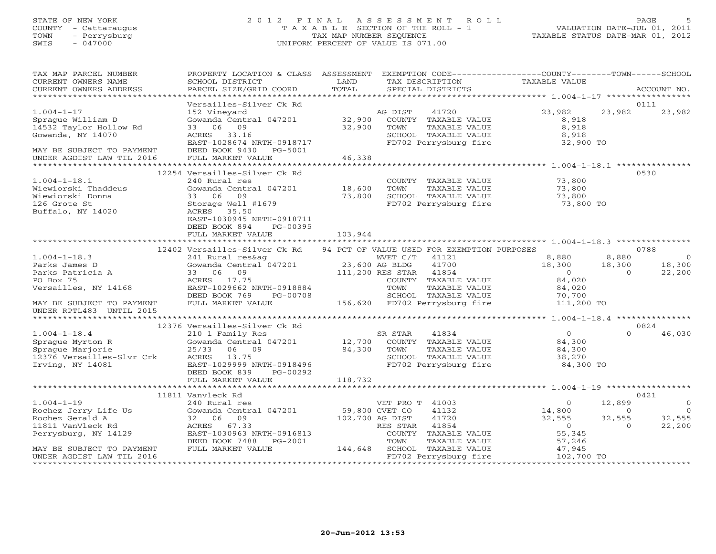# STATE OF NEW YORK 2 0 1 2 F I N A L A S S E S S M E N T R O L L PAGE 5 COUNTY - Cattaraugus T A X A B L E SECTION OF THE ROLL - 1 VALUATION DATE-JUL 01, 2011 TOWN - Perrysburg TAX MAP NUMBER SEQUENCE TAXABLE STATUS DATE-MAR 01, 2012 SWIS - 047000 UNIFORM PERCENT OF VALUE IS 071.00

| TAX MAP PARCEL NUMBER<br>CURRENT OWNERS NAME<br>CURRENT OWNERS ADDRESS | PROPERTY LOCATION & CLASS ASSESSMENT<br>SCHOOL DISTRICT<br>PARCEL SIZE/GRID COORD | LAND<br>TAX DESCRIPTION<br>TOTAL<br>SPECIAL DISTRICTS                      | EXEMPTION CODE-----------------COUNTY-------TOWN------SCHOOL<br>TAXABLE VALUE<br>ACCOUNT NO. |
|------------------------------------------------------------------------|-----------------------------------------------------------------------------------|----------------------------------------------------------------------------|----------------------------------------------------------------------------------------------|
|                                                                        |                                                                                   |                                                                            |                                                                                              |
|                                                                        | Versailles-Silver Ck Rd                                                           |                                                                            | 0111                                                                                         |
| $1.004 - 1 - 17$                                                       | 152 Vineyard                                                                      | AG DIST<br>41720                                                           | 23,982<br>23,982<br>23,982                                                                   |
| Sprague William D                                                      | Gowanda Central 047201                                                            | 32,900<br>COUNTY TAXABLE VALUE                                             | 8,918                                                                                        |
| 14532 Taylor Hollow Rd                                                 | 33 06 09                                                                          | 32,900<br>TOWN<br>TAXABLE VALUE                                            | 8,918                                                                                        |
| Gowanda, NY 14070                                                      | ACRES 33.16                                                                       | SCHOOL TAXABLE VALUE                                                       | 8,918                                                                                        |
|                                                                        | EAST-1028674 NRTH-0918717                                                         | FD702 Perrysburg fire                                                      | 32,900 TO                                                                                    |
| MAY BE SUBJECT TO PAYMENT                                              | DEED BOOK 9430 PG-5001                                                            |                                                                            |                                                                                              |
| UNDER AGDIST LAW TIL 2016                                              | FULL MARKET VALUE                                                                 | 46,338                                                                     |                                                                                              |
|                                                                        | 12254 Versailles-Silver Ck Rd                                                     |                                                                            | 0530                                                                                         |
| $1.004 - 1 - 18.1$                                                     | 240 Rural res                                                                     | COUNTY TAXABLE VALUE                                                       | 73,800                                                                                       |
| Wiewiorski Thaddeus                                                    | Gowanda Central 047201                                                            | 18,600<br>TOWN<br>TAXABLE VALUE                                            | 73,800                                                                                       |
| Wiewiorski Donna                                                       | 09<br>33 06                                                                       | 73,800<br>SCHOOL TAXABLE VALUE                                             | 73,800                                                                                       |
| 126 Grote St                                                           | Storage Well #1679                                                                | FD702 Perrysburg fire                                                      | 73,800 TO                                                                                    |
| Buffalo, NY 14020                                                      | ACRES 35.50                                                                       |                                                                            |                                                                                              |
|                                                                        | EAST-1030945 NRTH-0918711                                                         |                                                                            |                                                                                              |
|                                                                        | DEED BOOK 894<br>PG-00395                                                         |                                                                            |                                                                                              |
|                                                                        | FULL MARKET VALUE                                                                 | 103,944                                                                    |                                                                                              |
|                                                                        |                                                                                   |                                                                            |                                                                                              |
|                                                                        | 12402 Versailles-Silver Ck Rd                                                     | 94 PCT OF VALUE USED FOR EXEMPTION PURPOSES                                | 0788                                                                                         |
| $1.004 - 1 - 18.3$                                                     | 241 Rural res&ag                                                                  | WVET C/T 41121                                                             | 8,880<br>8,880<br>$\overline{0}$                                                             |
| Parks James D                                                          | Gowanda Central 047201 23,600 AG BLDG                                             | 41700                                                                      | 18,300<br>18,300<br>18,300                                                                   |
| Parks Patricia A                                                       | 33 06 09                                                                          | 111,200 RES STAR 41854                                                     | $\overline{0}$<br>$\overline{0}$<br>22,200                                                   |
| PO Box 75                                                              | ACRES 17.75                                                                       | COUNTY TAXABLE VALUE                                                       | 84,020                                                                                       |
| Versailles, NY 14168                                                   | EAST-1029662 NRTH-0918884                                                         | TAXABLE VALUE<br>TOWN                                                      | 84,020                                                                                       |
|                                                                        | DEED BOOK 769<br>PG-00708                                                         | SCHOOL TAXABLE VALUE                                                       | 70,700                                                                                       |
| MAY BE SUBJECT TO PAYMENT                                              | FULL MARKET VALUE                                                                 | DOMOUT TAXABLE VALUE<br>156,620 FD702 Perrysburg fire                      | 111,200 TO                                                                                   |
| UNDER RPTL483 UNTIL 2015                                               |                                                                                   |                                                                            |                                                                                              |
|                                                                        | 12376 Versailles-Silver Ck Rd                                                     |                                                                            | 0824                                                                                         |
| $1.004 - 1 - 18.4$                                                     | 210 1 Family Res                                                                  | SR STAR<br>41834                                                           | $\overline{0}$<br>46,030<br>$\Omega$                                                         |
| Sprague Myrton R                                                       | Gowanda Central 047201                                                            | $\begin{array}{c} \text{S1} \\ 12,700 \end{array}$<br>COUNTY TAXABLE VALUE | 84,300                                                                                       |
| Spraque Marjorie                                                       | 25/33<br>06 09                                                                    | 84,300<br>TOWN<br>TAXABLE VALUE                                            | 84,300                                                                                       |
| 12376 Versailles-Slvr Crk                                              | ACRES 13.75                                                                       | SCHOOL TAXABLE VALUE                                                       | 38,270                                                                                       |
| Irving, NY 14081                                                       | EAST-1029999 NRTH-0918496                                                         | FD702 Perrysburg fire                                                      | 84,300 TO                                                                                    |
|                                                                        | DEED BOOK 839<br>PG-00292                                                         |                                                                            |                                                                                              |
|                                                                        |                                                                                   |                                                                            |                                                                                              |
|                                                                        |                                                                                   |                                                                            |                                                                                              |
|                                                                        | 11811 Vanvleck Rd                                                                 |                                                                            | 0421                                                                                         |
| $1.004 - 1 - 19$                                                       | 240 Rural res                                                                     | VET PRO T 41003                                                            | 12,899<br>$\mathbf{0}$<br>$\circ$                                                            |
| Rochez Jerry Life Us                                                   | Gowanda Central 047201                                                            | 59,800 CVET CO<br>41132                                                    | $\overline{0}$<br>14,800<br>$\circ$                                                          |
| Rochez Gerald A                                                        | 32 06 09<br>ACRES<br>67.33                                                        | 102,700 AG DIST<br>41720<br>41854                                          | 32,555<br>32,555<br>32,555<br>$\overline{0}$<br>$\Omega$                                     |
| 11811 VanVleck Rd<br>Perrysburg, NY 14129                              | EAST-1030963 NRTH-0916813                                                         | RES STAR<br>COUNTY TAXABLE VALUE                                           | 22,200<br>55,345                                                                             |
|                                                                        | DEED BOOK 7488<br>PG-2001                                                         | TOWN<br>TAXABLE VALUE                                                      | 57,246                                                                                       |
| MAY BE SUBJECT TO PAYMENT                                              | FULL MARKET VALUE                                                                 | 144,648 SCHOOL TAXABLE VALUE                                               | 47,945                                                                                       |
| UNDER AGDIST LAW TIL 2016                                              |                                                                                   | FD702 Perrysburg fire                                                      | 102,700 TO                                                                                   |
|                                                                        |                                                                                   |                                                                            |                                                                                              |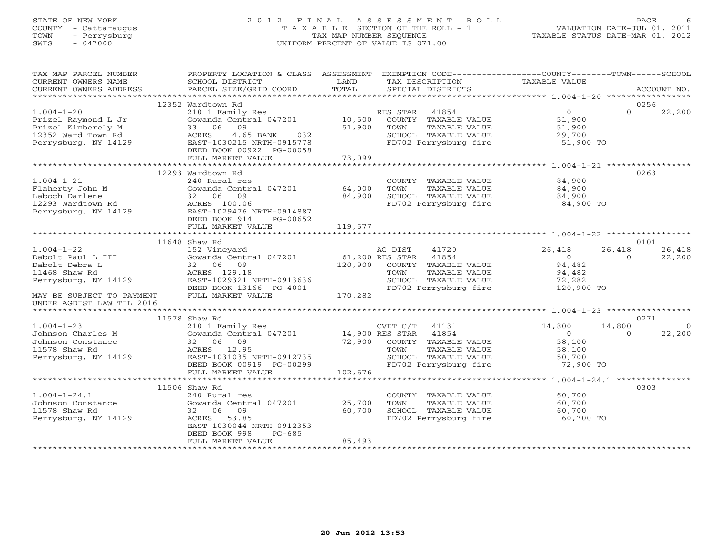# STATE OF NEW YORK 2 0 1 2 F I N A L A S S E S S M E N T R O L L PAGE 6 COUNTY - Cattaraugus T A X A B L E SECTION OF THE ROLL - 1 VALUATION DATE-JUL 01, 2011 TOWN - Perrysburg TAX MAP NUMBER SEQUENCE TAXABLE STATUS DATE-MAR 01, 2012 SWIS - 047000 UNIFORM PERCENT OF VALUE IS 071.00

| TAX MAP PARCEL NUMBER<br>CURRENT OWNERS NAME<br>CURRENT OWNERS ADDRESS                                      | PROPERTY LOCATION & CLASS ASSESSMENT EXEMPTION CODE---------------COUNTY-------TOWN------SCHOOL<br>SCHOOL DISTRICT<br>PARCEL SIZE/GRID COORD | LAND<br>TOTAL | TAX DESCRIPTION<br>SPECIAL DISTRICTS                                                     | TAXABLE VALUE                                               |                    | ACCOUNT NO.       |
|-------------------------------------------------------------------------------------------------------------|----------------------------------------------------------------------------------------------------------------------------------------------|---------------|------------------------------------------------------------------------------------------|-------------------------------------------------------------|--------------------|-------------------|
|                                                                                                             |                                                                                                                                              |               |                                                                                          |                                                             |                    |                   |
|                                                                                                             | 12352 Wardtown Rd                                                                                                                            |               |                                                                                          |                                                             |                    | 0256              |
| $1.004 - 1 - 20$<br>Prizel Raymond L Jr<br>Prizel Kimberely M<br>12352 Ward Town Rd<br>Perrysburg, NY 14129 | 210 1 Family Res<br>Gowanda Central 047201 10,500 COUNTY TAXABLE VALUE<br>33 06<br>09<br>4.65 BANK<br>ACRES<br>EAST-1030215 NRTH-0915778     | 51,900<br>032 | RES STAR 41854<br>TOWN<br>TAXABLE VALUE<br>SCHOOL TAXABLE VALUE<br>FD702 Perrysburg fire | $\overline{0}$<br>51,900<br>51,900<br>29,700<br>$51,900$ TO | $\Omega$           | 22,200            |
|                                                                                                             | DEED BOOK 00922 PG-00058                                                                                                                     |               |                                                                                          |                                                             |                    |                   |
|                                                                                                             | FULL MARKET VALUE                                                                                                                            | 73,099        |                                                                                          |                                                             |                    |                   |
|                                                                                                             | 12293 Wardtown Rd                                                                                                                            |               |                                                                                          |                                                             |                    | 0263              |
| $1.004 - 1 - 21$                                                                                            | 240 Rural res                                                                                                                                |               |                                                                                          | 84,900                                                      |                    |                   |
|                                                                                                             | 240 Kurai res<br>Gowanda Central 047201                 64,000                                                                               |               | COUNTY TAXABLE VALUE<br>TOWN     TAXABLE VALUE                                           | 84,900                                                      |                    |                   |
|                                                                                                             | 32 06 09                                                                                                                                     | 84,900        |                                                                                          |                                                             |                    |                   |
| Flaherty John M<br>Laboch Darlene<br>12293 Wardtown Rd<br>Perrysburg, NY 14129                              | ACRES 100.06<br>EAST-1029476 NRTH-0914887<br>DEED BOOK 914<br>PG-00652                                                                       |               | SCHOOL TAXABLE VALUE<br>FD702 Perrysburg fire                                            | 84,900<br>84,900 TO                                         |                    |                   |
|                                                                                                             | FULL MARKET VALUE                                                                                                                            | 119,577       |                                                                                          |                                                             |                    |                   |
|                                                                                                             |                                                                                                                                              |               |                                                                                          |                                                             |                    |                   |
|                                                                                                             | 11648 Shaw Rd                                                                                                                                |               |                                                                                          |                                                             |                    | 0101              |
| $1.004 - 1 - 22$<br>Dabolt Paul L III                                                                       | 152 Vineyard<br>Gowanda Central 047201<br>Gowanda Centi<br>32     06     09                                                                  |               | AG DIST<br>41720<br>61,200 RES STAR 41854                                                | 26,418<br>$\overline{0}$                                    | 26,418<br>$\Omega$ | 26,418<br>22,200  |
| Dabolt Debra L                                                                                              |                                                                                                                                              | 120,900       | COUNTY TAXABLE VALUE                                                                     | 94,482                                                      |                    |                   |
| 11468 Shaw Rd                                                                                               | ACRES 129.18<br>ACRES 129.18<br>EAST-1029321 NRTH-0913636                                                                                    |               | TOWN      TAXABLE VALUE<br>SCHOOL   TAXABLE VALUE                                        | 94,482<br>72,282                                            |                    |                   |
| Perrysburg, NY 14129<br>Perrysburg, NY 14129                                                                |                                                                                                                                              |               |                                                                                          |                                                             |                    |                   |
| MAY BE SUBJECT TO PAYMENT<br>UNDER AGDIST LAW TIL 2016                                                      | DEED BOOK 13166 PG-4001<br>FULL MARKET VALUE                                                                                                 | 170,282       | FD702 Perrysburg fire                                                                    | 120,900 TO                                                  |                    |                   |
|                                                                                                             |                                                                                                                                              |               |                                                                                          |                                                             |                    |                   |
|                                                                                                             | 11578 Shaw Rd                                                                                                                                |               |                                                                                          |                                                             |                    | 0271              |
| $1.004 - 1 - 23$<br>Johnson Charles M                                                                       | 210 1 Family Res<br>Gowanda Central 047201 14,900 RES STAR 41854<br>32 06 09 72,900 COUNTY TAXABLE VALUE                                     |               |                                                                                          | 14,800<br>$\overline{0}$                                    | 14,800<br>$\Omega$ | $\circ$<br>22,200 |
| Johnson Constance                                                                                           |                                                                                                                                              |               |                                                                                          | 58,100                                                      |                    |                   |
| 11578 Shaw Rd                                                                                               | ACRES 12.95                                                                                                                                  |               |                                                                                          | 58,100                                                      |                    |                   |
| 11578 SHAW NO MARIT-1031035 NRTH-0912735<br>Perrysburg, NY 14129 EAST-1031035 NRTH-0912735                  |                                                                                                                                              |               | TOWN        TAXABLE  VALUE<br>SCHOOL    TAXABLE  VALUE                                   | 50,700                                                      |                    |                   |
|                                                                                                             |                                                                                                                                              |               | FD702 Perrysburg fire                                                                    | 72,900 TO                                                   |                    |                   |
|                                                                                                             | FULL MARKET VALUE                                                                                                                            | 102,676       |                                                                                          |                                                             |                    |                   |
|                                                                                                             | 11506 Shaw Rd                                                                                                                                |               |                                                                                          |                                                             |                    | 0303              |
| $1.004 - 1 - 24.1$                                                                                          | 240 Rural res                                                                                                                                |               | COUNTY TAXABLE VALUE                                                                     | 60,700                                                      |                    |                   |
| Johnson Constance                                                                                           | Gowanda Central 047201                                                                                                                       | 25,700        | TOWN<br>TAXABLE VALUE                                                                    | 60,700                                                      |                    |                   |
| 11578 Shaw Rd                                                                                               | 32 06 09                                                                                                                                     | 60,700        |                                                                                          | 60,700                                                      |                    |                   |
| Perrysburg, NY 14129                                                                                        | ACRES 53.85<br>EAST-1030044 NRTH-0912353<br>DEED BOOK 998<br>$PG-685$                                                                        |               | SCHOOL TAXABLE VALUE<br>FD702 Perrysburg fire                                            | 60,700 TO                                                   |                    |                   |
|                                                                                                             | FULL MARKET VALUE                                                                                                                            | 85,493        |                                                                                          |                                                             |                    |                   |
|                                                                                                             |                                                                                                                                              |               |                                                                                          |                                                             |                    |                   |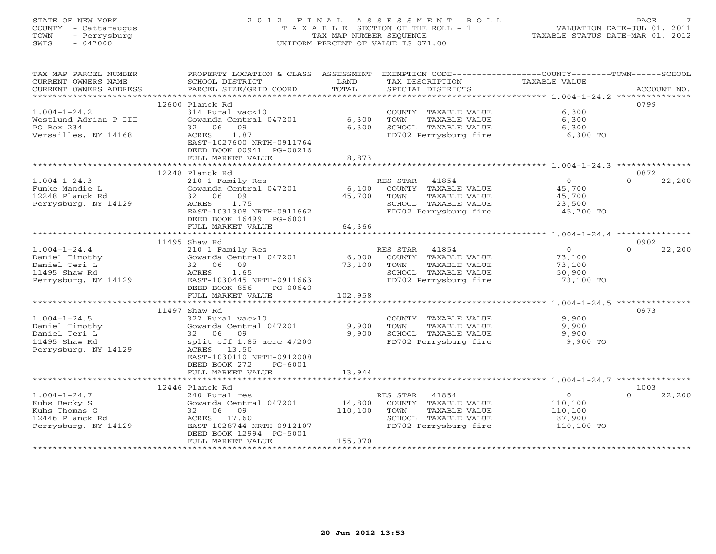# STATE OF NEW YORK 2 0 1 2 F I N A L A S S E S S M E N T R O L L PAGE 7 COUNTY - Cattaraugus T A X A B L E SECTION OF THE ROLL - 1 VALUATION DATE-JUL 01, 2011 TOWN - Perrysburg TAX MAP NUMBER SEQUENCE TAXABLE STATUS DATE-MAR 01, 2012 SWIS - 047000 UNIFORM PERCENT OF VALUE IS 071.00

| TAX MAP PARCEL NUMBER<br>CURRENT OWNERS NAME<br>CURRENT OWNERS ADDRESS | PROPERTY LOCATION & CLASS ASSESSMENT<br>SCHOOL DISTRICT<br>PARCEL SIZE/GRID COORD | LAND<br>TOTAL | EXEMPTION CODE-----------------COUNTY-------TOWN------SCHOOL<br>TAX DESCRIPTION<br>SPECIAL DISTRICTS | TAXABLE VALUE  | ACCOUNT NO.        |
|------------------------------------------------------------------------|-----------------------------------------------------------------------------------|---------------|------------------------------------------------------------------------------------------------------|----------------|--------------------|
|                                                                        |                                                                                   |               |                                                                                                      |                |                    |
|                                                                        | 12600 Planck Rd                                                                   |               |                                                                                                      |                | 0799               |
| $1.004 - 1 - 24.2$                                                     | 314 Rural vac<10                                                                  |               | COUNTY TAXABLE VALUE                                                                                 | 6,300          |                    |
| Westlund Adrian P III                                                  | Gowanda Central 047201                                                            | 6,300         | TOWN<br>TAXABLE VALUE                                                                                | 6,300          |                    |
| PO Box 234                                                             | 32 06<br>09                                                                       | 6,300         | SCHOOL TAXABLE VALUE                                                                                 | 6,300          |                    |
| Versailles, NY 14168                                                   | ACRES<br>1.87<br>EAST-1027600 NRTH-0911764<br>DEED BOOK 00941 PG-00216            |               | FD702 Perrysburg fire                                                                                | 6,300 TO       |                    |
|                                                                        | FULL MARKET VALUE                                                                 | 8,873         |                                                                                                      |                |                    |
|                                                                        |                                                                                   |               |                                                                                                      |                |                    |
|                                                                        | 12248 Planck Rd                                                                   |               |                                                                                                      |                | 0872               |
| $1.004 - 1 - 24.3$                                                     | 210 1 Family Res                                                                  |               | RES STAR 41854                                                                                       | $\overline{0}$ | $\Omega$<br>22,200 |
| Funke Mandie L                                                         | Gowanda Central 047201                                                            | 6,100         | COUNTY TAXABLE VALUE                                                                                 | 45,700         |                    |
| 12248 Planck Rd                                                        | 32 06 09                                                                          | 45,700        | TOWN<br>TAXABLE VALUE                                                                                | 45,700         |                    |
| Perrysburg, NY 14129                                                   | 1.75<br>ACRES                                                                     |               | SCHOOL TAXABLE VALUE                                                                                 | 23,500         |                    |
|                                                                        | EAST-1031308 NRTH-0911662                                                         |               | FD702 Perrysburg fire                                                                                | 45,700 TO      |                    |
|                                                                        | DEED BOOK 16499 PG-6001                                                           |               |                                                                                                      |                |                    |
|                                                                        | FULL MARKET VALUE                                                                 | 64,366        |                                                                                                      |                |                    |
|                                                                        |                                                                                   |               |                                                                                                      |                |                    |
|                                                                        | 11495 Shaw Rd                                                                     |               |                                                                                                      |                | 0902               |
| $1.004 - 1 - 24.4$                                                     | 210 1 Family Res                                                                  |               | RES STAR 41854                                                                                       | $\circ$        | $\Omega$<br>22,200 |
| Daniel Timothy                                                         | Gowanda Central 047201                                                            | 6,000         | COUNTY TAXABLE VALUE                                                                                 | 73,100         |                    |
| Daniel Teri L                                                          | 32 06 09                                                                          | 73,100        | TOWN<br>TAXABLE VALUE                                                                                | 73,100         |                    |
| 11495 Shaw Rd                                                          | ACRES<br>1.65                                                                     |               | SCHOOL TAXABLE VALUE                                                                                 | 50,900         |                    |
| Perrysburg, NY 14129                                                   | EAST-1030445 NRTH-0911663                                                         |               | FD702 Perrysburg fire                                                                                | 73,100 TO      |                    |
|                                                                        | DEED BOOK 856<br>PG-00640<br>FULL MARKET VALUE                                    | 102,958       |                                                                                                      |                |                    |
|                                                                        |                                                                                   |               |                                                                                                      |                |                    |
|                                                                        | 11497 Shaw Rd                                                                     |               |                                                                                                      |                | 0973               |
| $1.004 - 1 - 24.5$                                                     | 322 Rural vac>10                                                                  |               | COUNTY TAXABLE VALUE                                                                                 | 9,900          |                    |
| Daniel Timothy                                                         | Gowanda Central 047201                                                            | 9,900         | TOWN<br>TAXABLE VALUE                                                                                | 9,900          |                    |
| Daniel Teri L                                                          | 32 06 09                                                                          | 9,900         | SCHOOL TAXABLE VALUE                                                                                 | 9,900          |                    |
| 11495 Shaw Rd                                                          | split off 1.85 acre 4/200                                                         |               | FD702 Perrysburg fire                                                                                | 9,900 TO       |                    |
| Perrysburg, NY 14129                                                   | ACRES 13.50                                                                       |               |                                                                                                      |                |                    |
|                                                                        | EAST-1030110 NRTH-0912008                                                         |               |                                                                                                      |                |                    |
|                                                                        | DEED BOOK 272<br>PG-6001                                                          |               |                                                                                                      |                |                    |
|                                                                        | FULL MARKET VALUE                                                                 | 13,944        |                                                                                                      |                |                    |
|                                                                        |                                                                                   |               |                                                                                                      |                |                    |
|                                                                        | 12446 Planck Rd                                                                   |               |                                                                                                      |                | 1003               |
| $1.004 - 1 - 24.7$                                                     | 240 Rural res                                                                     |               | RES STAR<br>41854                                                                                    | $\overline{0}$ | $\Omega$<br>22,200 |
| Kuhs Becky S                                                           | Gowanda Central 047201                                                            | 14,800        | COUNTY TAXABLE VALUE                                                                                 | 110,100        |                    |
| Kuhs Thomas G                                                          | 32 06 09                                                                          | 110,100       | TOWN<br>TAXABLE VALUE                                                                                | 110,100        |                    |
| 12446 Planck Rd                                                        | ACRES 17.60                                                                       |               | SCHOOL TAXABLE VALUE                                                                                 | 87,900         |                    |
| Perrysburg, NY 14129                                                   | EAST-1028744 NRTH-0912107                                                         |               | FD702 Perrysburg fire                                                                                | 110,100 TO     |                    |
|                                                                        | DEED BOOK 12994 PG-5001                                                           |               |                                                                                                      |                |                    |
|                                                                        | FULL MARKET VALUE                                                                 | 155,070       |                                                                                                      |                |                    |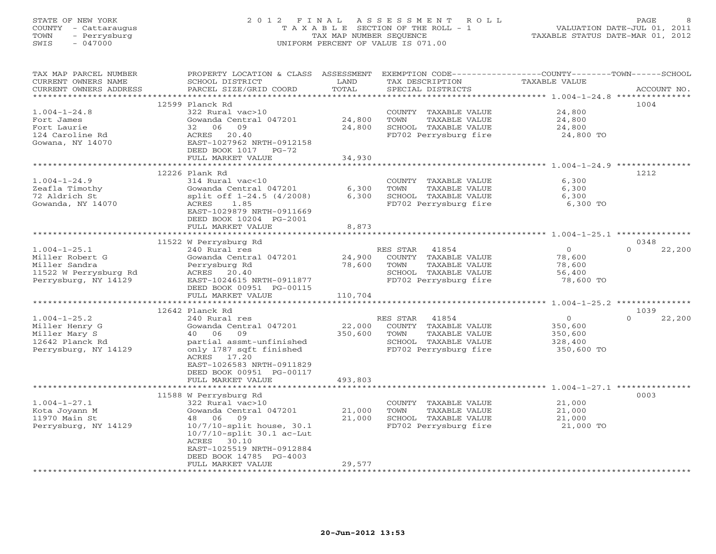# STATE OF NEW YORK 2 0 1 2 F I N A L A S S E S S M E N T R O L L PAGE 8 COUNTY - Cattaraugus T A X A B L E SECTION OF THE ROLL - 1 VALUATION DATE-JUL 01, 2011 TOWN - Perrysburg TAX MAP NUMBER SEQUENCE TAXABLE STATUS DATE-MAR 01, 2012 SWIS - 047000 UNIFORM PERCENT OF VALUE IS 071.00

| TAX MAP PARCEL NUMBER<br>CURRENT OWNERS NAME<br>CURRENT OWNERS ADDRESS | PROPERTY LOCATION & CLASS ASSESSMENT<br>SCHOOL DISTRICT<br>PARCEL SIZE/GRID COORD | LAND<br>TOTAL    | TAX DESCRIPTION<br>SPECIAL DISTRICTS          | EXEMPTION CODE-----------------COUNTY-------TOWN------SCHOOL<br>TAXABLE VALUE | ACCOUNT NO.        |
|------------------------------------------------------------------------|-----------------------------------------------------------------------------------|------------------|-----------------------------------------------|-------------------------------------------------------------------------------|--------------------|
| **********************                                                 | **************************                                                        |                  |                                               |                                                                               |                    |
|                                                                        | 12599 Planck Rd                                                                   |                  |                                               |                                                                               | 1004               |
| $1.004 - 1 - 24.8$                                                     | 322 Rural vac>10                                                                  |                  | COUNTY TAXABLE VALUE                          | 24,800                                                                        |                    |
| Fort James                                                             | Gowanda Central 047201                                                            | 24,800           | TOWN<br>TAXABLE VALUE                         | 24,800                                                                        |                    |
| Fort Laurie                                                            | 32<br>06<br>09                                                                    | 24,800           | SCHOOL TAXABLE VALUE                          | 24,800                                                                        |                    |
| 124 Caroline Rd                                                        | 20.40<br>ACRES                                                                    |                  | FD702 Perrysburg fire                         | 24,800 TO                                                                     |                    |
| Gowana, NY 14070                                                       | EAST-1027962 NRTH-0912158                                                         |                  |                                               |                                                                               |                    |
|                                                                        | DEED BOOK 1017 PG-72<br>FULL MARKET VALUE                                         | 34,930           |                                               |                                                                               |                    |
|                                                                        |                                                                                   | ***********      |                                               |                                                                               |                    |
|                                                                        | 12226 Plank Rd                                                                    |                  |                                               |                                                                               | 1212               |
| $1.004 - 1 - 24.9$                                                     | 314 Rural vac<10                                                                  |                  | COUNTY TAXABLE VALUE                          | 6,300                                                                         |                    |
| Zeafla Timothy                                                         | Gowanda Central 047201                                                            | 6,300            | TAXABLE VALUE<br>TOWN                         | 6,300                                                                         |                    |
| 72 Aldrich St                                                          | split off 1-24.5 (4/2008)                                                         | 6,300            | SCHOOL TAXABLE VALUE                          | 6,300                                                                         |                    |
| Gowanda, NY 14070                                                      | ACRES<br>1.85                                                                     |                  | FD702 Perrysburg fire                         | 6,300 TO                                                                      |                    |
|                                                                        | EAST-1029879 NRTH-0911669                                                         |                  |                                               |                                                                               |                    |
|                                                                        | DEED BOOK 10204 PG-2001                                                           |                  |                                               |                                                                               |                    |
|                                                                        | FULL MARKET VALUE                                                                 | 8,873            |                                               |                                                                               |                    |
|                                                                        |                                                                                   |                  |                                               |                                                                               |                    |
|                                                                        | 11522 W Perrysburg Rd                                                             |                  |                                               |                                                                               | 0348<br>$\Omega$   |
| $1.004 - 1 - 25.1$<br>Miller Robert G                                  | 240 Rural res                                                                     |                  | RES STAR<br>41854                             | $\Omega$                                                                      | 22,200             |
| Miller Sandra                                                          | Gowanda Central 047201<br>Perrysburg Rd                                           | 24,900<br>78,600 | COUNTY TAXABLE VALUE<br>TOWN<br>TAXABLE VALUE | 78,600<br>78,600                                                              |                    |
| 11522 W Perrysburg Rd                                                  | ACRES 20.40                                                                       |                  | SCHOOL TAXABLE VALUE                          | 56,400                                                                        |                    |
| Perrysburg, NY 14129                                                   | EAST-1024615 NRTH-0911877                                                         |                  | FD702 Perrysburg fire                         | 78,600 TO                                                                     |                    |
|                                                                        | DEED BOOK 00951 PG-00115                                                          |                  |                                               |                                                                               |                    |
|                                                                        | FULL MARKET VALUE                                                                 | 110,704          |                                               |                                                                               |                    |
|                                                                        | ************************                                                          |                  |                                               |                                                                               |                    |
|                                                                        | 12642 Planck Rd                                                                   |                  |                                               |                                                                               | 1039               |
| $1.004 - 1 - 25.2$                                                     | 240 Rural res                                                                     |                  | RES STAR<br>41854                             | $\circ$                                                                       | $\Omega$<br>22,200 |
| Miller Henry G                                                         | Gowanda Central 047201                                                            | 22,000           | COUNTY TAXABLE VALUE                          | 350,600                                                                       |                    |
| Miller Mary S                                                          | 06<br>09<br>40                                                                    | 350,600          | TOWN<br>TAXABLE VALUE                         | 350,600                                                                       |                    |
| 12642 Planck Rd                                                        | partial assmt-unfinished                                                          |                  | SCHOOL TAXABLE VALUE                          | 328,400                                                                       |                    |
| Perrysburg, NY 14129                                                   | only 1787 sqft finished                                                           |                  | FD702 Perrysburg fire                         | 350,600 TO                                                                    |                    |
|                                                                        | ACRES 17.20<br>EAST-1026583 NRTH-0911829                                          |                  |                                               |                                                                               |                    |
|                                                                        | DEED BOOK 00951 PG-00117                                                          |                  |                                               |                                                                               |                    |
|                                                                        | FULL MARKET VALUE                                                                 | 493,803          |                                               |                                                                               |                    |
|                                                                        |                                                                                   |                  |                                               |                                                                               |                    |
|                                                                        | 11588 W Perrysburg Rd                                                             |                  |                                               |                                                                               | 0003               |
| $1.004 - 1 - 27.1$                                                     | 322 Rural vac>10                                                                  |                  | COUNTY TAXABLE VALUE                          | 21,000                                                                        |                    |
| Kota Joyann M                                                          | Gowanda Central 047201                                                            | 21,000           | TOWN<br>TAXABLE VALUE                         | 21,000                                                                        |                    |
| 11970 Main St                                                          | 48<br>- 06<br>09                                                                  | 21,000           | SCHOOL TAXABLE VALUE                          | 21,000                                                                        |                    |
| Perrysburg, NY 14129                                                   | $10/7/10$ -split house, 30.1                                                      |                  | FD702 Perrysburg fire                         | 21,000 TO                                                                     |                    |
|                                                                        | $10/7/10$ -split $30.1$ ac-Lut                                                    |                  |                                               |                                                                               |                    |
|                                                                        | ACRES 30.10                                                                       |                  |                                               |                                                                               |                    |
|                                                                        | EAST-1025519 NRTH-0912884                                                         |                  |                                               |                                                                               |                    |
|                                                                        | DEED BOOK 14785 PG-4003<br>FULL MARKET VALUE                                      | 29,577           |                                               |                                                                               |                    |
|                                                                        | ********************                                                              |                  |                                               |                                                                               |                    |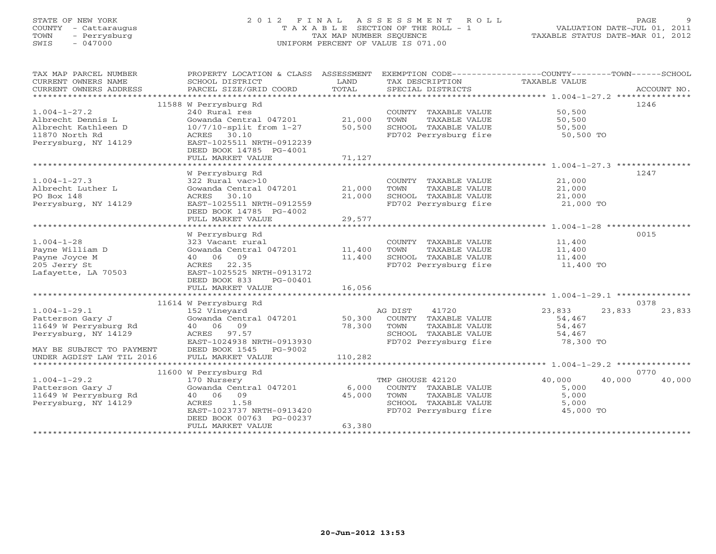# STATE OF NEW YORK 2 0 1 2 F I N A L A S S E S S M E N T R O L L PAGE 9 COUNTY - Cattaraugus T A X A B L E SECTION OF THE ROLL - 1 VALUATION DATE-JUL 01, 2011 TOWN - Perrysburg TAX MAP NUMBER SEQUENCE TAXABLE STATUS DATE-MAR 01, 2012 SWIS - 047000 UNIFORM PERCENT OF VALUE IS 071.00

| TAX MAP PARCEL NUMBER<br>CURRENT OWNERS NAME<br>CURRENT OWNERS ADDRESS | PROPERTY LOCATION & CLASS ASSESSMENT<br>SCHOOL DISTRICT<br>PARCEL SIZE/GRID COORD | LAND<br>TOTAL | TAX DESCRIPTION<br>SPECIAL DISTRICTS | EXEMPTION CODE-----------------COUNTY-------TOWN------SCHOOL<br>TAXABLE VALUE | ACCOUNT NO. |
|------------------------------------------------------------------------|-----------------------------------------------------------------------------------|---------------|--------------------------------------|-------------------------------------------------------------------------------|-------------|
|                                                                        |                                                                                   |               |                                      |                                                                               |             |
|                                                                        | 11588 W Perrysburg Rd                                                             |               |                                      |                                                                               | 1246        |
| $1.004 - 1 - 27.2$                                                     | 240 Rural res                                                                     |               | COUNTY TAXABLE VALUE                 | 50,500                                                                        |             |
| Albrecht Dennis L                                                      | Gowanda Central 047201                                                            | 21,000        | TOWN<br>TAXABLE VALUE                | 50,500                                                                        |             |
| Albrecht Kathleen D                                                    | $10/7/10$ -split from $1-27$                                                      | 50,500        | SCHOOL TAXABLE VALUE                 | 50,500                                                                        |             |
| 11870 North Rd                                                         | ACRES 30.10                                                                       |               | FD702 Perrysburg fire                | 50,500 TO                                                                     |             |
| Perrysburg, NY 14129                                                   | EAST-1025511 NRTH-0912239                                                         |               |                                      |                                                                               |             |
|                                                                        | DEED BOOK 14785 PG-4001                                                           |               |                                      |                                                                               |             |
|                                                                        | FULL MARKET VALUE                                                                 | 71,127        |                                      |                                                                               |             |
|                                                                        |                                                                                   |               |                                      |                                                                               |             |
|                                                                        | W Perrysburg Rd                                                                   |               |                                      |                                                                               | 1247        |
| $1.004 - 1 - 27.3$                                                     | 322 Rural vac>10                                                                  |               | COUNTY TAXABLE VALUE                 | 21,000                                                                        |             |
| Albrecht Luther L                                                      | Gowanda Central 047201                                                            | 21,000        | TOWN<br>TAXABLE VALUE                | 21,000                                                                        |             |
| PO Box 148                                                             | ACRES<br>30.10                                                                    | 21,000        | SCHOOL TAXABLE VALUE                 | 21,000                                                                        |             |
| Perrysburg, NY 14129                                                   | EAST-1025511 NRTH-0912559                                                         |               | FD702 Perrysburg fire                | 21,000 TO                                                                     |             |
|                                                                        | DEED BOOK 14785 PG-4002                                                           |               |                                      |                                                                               |             |
|                                                                        | FULL MARKET VALUE                                                                 | 29,577        |                                      |                                                                               |             |
|                                                                        |                                                                                   |               |                                      |                                                                               |             |
|                                                                        | W Perrysburg Rd                                                                   |               |                                      |                                                                               | 0015        |
| $1.004 - 1 - 28$                                                       | 323 Vacant rural                                                                  |               | COUNTY TAXABLE VALUE                 | 11,400                                                                        |             |
| Payne William D                                                        | Gowanda Central 047201                                                            | 11,400        | TAXABLE VALUE<br>TOWN                | 11,400                                                                        |             |
| Payne Joyce M                                                          | 40 06<br>09                                                                       | 11,400        | SCHOOL TAXABLE VALUE                 | 11,400                                                                        |             |
| 205 Jerry St                                                           | ACRES 22.35                                                                       |               | FD702 Perrysburg fire                | 11,400 TO                                                                     |             |
| Lafayette, LA 70503                                                    | EAST-1025525 NRTH-0913172                                                         |               |                                      |                                                                               |             |
|                                                                        | DEED BOOK 833<br>PG-00401                                                         |               |                                      |                                                                               |             |
|                                                                        | FULL MARKET VALUE                                                                 | 16,056        |                                      |                                                                               |             |
|                                                                        |                                                                                   |               |                                      |                                                                               |             |
|                                                                        | 11614 W Perrysburg Rd                                                             |               |                                      |                                                                               | 0378        |
| $1.004 - 1 - 29.1$                                                     | 152 Vineyard                                                                      |               | AG DIST<br>41720                     | 23,833<br>23,833                                                              | 23,833      |
| Patterson Gary J                                                       | Gowanda Central 047201                                                            | 50,300        | COUNTY TAXABLE VALUE                 | 54,467                                                                        |             |
| 11649 W Perrysburg Rd                                                  | 40 06<br>09                                                                       | 78,300        | TOWN<br>TAXABLE VALUE                | 54,467                                                                        |             |
| Perrysburg, NY 14129                                                   | ACRES<br>97.57                                                                    |               | SCHOOL TAXABLE VALUE                 | 54,467                                                                        |             |
|                                                                        | EAST-1024938 NRTH-0913930                                                         |               | FD702 Perrysburg fire                | 78,300 TO                                                                     |             |
| MAY BE SUBJECT TO PAYMENT                                              | DEED BOOK 1545<br>PG-9002                                                         |               |                                      |                                                                               |             |
| UNDER AGDIST LAW TIL 2016                                              | FULL MARKET VALUE                                                                 | 110,282       |                                      |                                                                               |             |
| **********************                                                 |                                                                                   |               |                                      |                                                                               |             |
|                                                                        | 11600 W Perrysburg Rd                                                             |               |                                      |                                                                               | 0770        |
| $1.004 - 1 - 29.2$                                                     | 170 Nursery                                                                       |               | TMP GHOUSE 42120                     | 40,000<br>40,000                                                              | 40,000      |
| Patterson Gary J                                                       | Gowanda Central 047201                                                            | 6,000         | COUNTY TAXABLE VALUE                 | 5,000                                                                         |             |
| 11649 W Perrysburg Rd                                                  | 09<br>40 06                                                                       | 45,000        | TOWN<br>TAXABLE VALUE                | 5,000                                                                         |             |
| Perrysburg, NY 14129                                                   | <b>ACRES</b><br>1.58                                                              |               | SCHOOL TAXABLE VALUE                 | 5,000                                                                         |             |
|                                                                        | EAST-1023737 NRTH-0913420                                                         |               | FD702 Perrysburg fire                | 45,000 TO                                                                     |             |
|                                                                        | DEED BOOK 00763 PG-00237<br>FULL MARKET VALUE                                     | 63,380        |                                      |                                                                               |             |
|                                                                        |                                                                                   |               |                                      |                                                                               |             |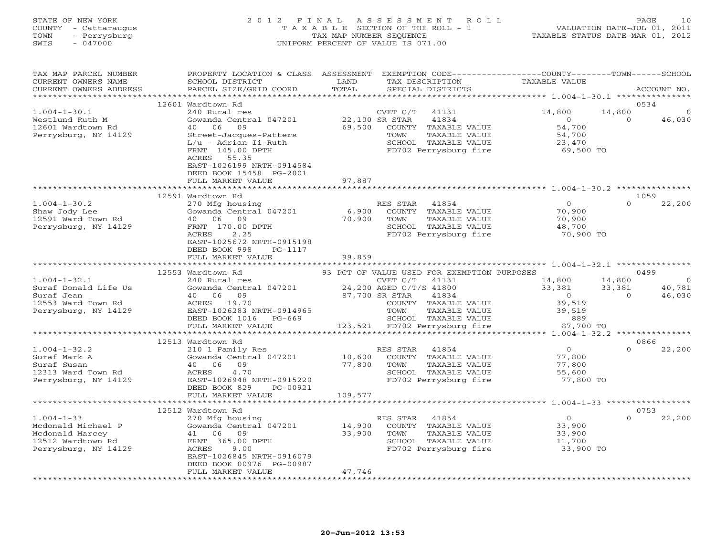### STATE OF NEW YORK 2 0 1 2 F I N A L A S S E S S M E N T R O L L PAGE 10 COUNTY - Cattaraugus T A X A B L E SECTION OF THE ROLL - 1 VALUATION DATE-JUL 01, 2011 TOWN - Perrysburg TAX MAP NUMBER SEQUENCE TAXABLE STATUS DATE-MAR 01, 2012 SWIS - 047000 UNIFORM PERCENT OF VALUE IS 071.00

| TAX MAP PARCEL NUMBER<br>CURRENT OWNERS NAME<br>CURRENT OWNERS ADDRESS | PROPERTY LOCATION & CLASS ASSESSMENT<br>SCHOOL DISTRICT<br>PARCEL SIZE/GRID COORD                                                                                 | LAND<br>TOTAL | EXEMPTION CODE-----------------COUNTY-------TOWN------SCHOOL<br>TAX DESCRIPTION<br>SPECIAL DISTRICTS | TAXABLE VALUE                 | ACCOUNT NO.                                    |
|------------------------------------------------------------------------|-------------------------------------------------------------------------------------------------------------------------------------------------------------------|---------------|------------------------------------------------------------------------------------------------------|-------------------------------|------------------------------------------------|
| ***********************                                                |                                                                                                                                                                   |               |                                                                                                      |                               |                                                |
| $1.004 - 1 - 30.1$<br>Westlund Ruth M<br>12601 Wardtown Rd             | 12601 Wardtown Rd<br>240 Rural res<br>Gowanda Central 047201<br>40 06<br>09                                                                                       | 69,500        | CVET C/T<br>41131<br>22,100 SR STAR<br>41834<br>COUNTY TAXABLE VALUE                                 | 14,800<br>$\Omega$<br>54,700  | 0534<br>14,800<br>$\Omega$<br>$\cap$<br>46,030 |
| Perrysburg, NY 14129                                                   | Street-Jacques-Patters<br>L/u - Adrian Ii-Ruth<br>FRNT 145.00 DPTH<br>55.35<br>ACRES<br>EAST-1026199 NRTH-0914584<br>DEED BOOK 15458 PG-2001<br>FULL MARKET VALUE | 97,887        | TAXABLE VALUE<br>TOWN<br>SCHOOL TAXABLE VALUE<br>FD702 Perrysburg fire                               | 54,700<br>23,470<br>69,500 TO |                                                |
|                                                                        |                                                                                                                                                                   |               |                                                                                                      |                               |                                                |
|                                                                        | 12591 Wardtown Rd                                                                                                                                                 |               |                                                                                                      |                               | 1059                                           |
| $1.004 - 1 - 30.2$                                                     | 270 Mfg housing                                                                                                                                                   |               | RES STAR<br>41854                                                                                    | $\overline{0}$                | $\Omega$<br>22,200                             |
| Shaw Jody Lee                                                          | Gowanda Central 047201                                                                                                                                            | 6,900         | COUNTY TAXABLE VALUE                                                                                 | 70,900                        |                                                |
| 12591 Ward Town Rd                                                     | 09<br>40 06                                                                                                                                                       | 70,900        | TAXABLE VALUE<br>TOWN                                                                                | 70,900                        |                                                |
| Perrysburg, NY 14129                                                   | FRNT 170.00 DPTH                                                                                                                                                  |               | SCHOOL TAXABLE VALUE                                                                                 | 48,700                        |                                                |
|                                                                        | 2.25<br>ACRES<br>EAST-1025672 NRTH-0915198<br>DEED BOOK 998<br>PG-1117                                                                                            |               | FD702 Perrysburg fire                                                                                | 70,900 TO                     |                                                |
|                                                                        | FULL MARKET VALUE<br>************************                                                                                                                     | 99,859        |                                                                                                      |                               |                                                |
|                                                                        | 12553 Wardtown Rd                                                                                                                                                 |               | 93 PCT OF VALUE USED FOR EXEMPTION PURPOSES                                                          |                               | 0499                                           |
| $1.004 - 1 - 32.1$                                                     | 240 Rural res                                                                                                                                                     |               | CVET C/T<br>41131                                                                                    | 14,800                        | 14,800<br>$\overline{0}$                       |
| Suraf Donald Life Us                                                   | Gowanda Central 047201                                                                                                                                            |               | 24,200 AGED C/T/S 41800                                                                              | 33,381                        | 40,781<br>33,381                               |
| Suraf Jean                                                             | 40 06<br>09                                                                                                                                                       |               | 87,700 SR STAR<br>41834                                                                              | $\overline{0}$                | 46,030<br>$\Omega$                             |
| 12553 Ward Town Rd                                                     | ACRES 19.70                                                                                                                                                       |               | COUNTY TAXABLE VALUE                                                                                 | 39,519                        |                                                |
| Perrysburg, NY 14129                                                   | EAST-1026283 NRTH-0914965                                                                                                                                         |               | TOWN<br>TAXABLE VALUE                                                                                | 39,519                        |                                                |
|                                                                        | DEED BOOK 1016 PG-669                                                                                                                                             |               | SCHOOL TAXABLE VALUE                                                                                 | 889                           |                                                |
|                                                                        | FULL MARKET VALUE                                                                                                                                                 |               | 123,521 FD702 Perrysburg fire                                                                        | 87,700 TO                     |                                                |
|                                                                        |                                                                                                                                                                   |               |                                                                                                      |                               |                                                |
|                                                                        | 12513 Wardtown Rd                                                                                                                                                 |               |                                                                                                      |                               | 0866                                           |
| $1.004 - 1 - 32.2$                                                     | 210 1 Family Res                                                                                                                                                  |               | RES STAR<br>41854                                                                                    | $\overline{0}$                | $\Omega$<br>22,200                             |
| Suraf Mark A                                                           | Gowanda Central 047201                                                                                                                                            | 10,600        | COUNTY TAXABLE VALUE                                                                                 | 77,800                        |                                                |
| Suraf Susan                                                            | 40 06<br>09                                                                                                                                                       | 77,800        | TOWN<br>TAXABLE VALUE                                                                                | 77,800                        |                                                |
| 12313 Ward Town Rd                                                     | ACRES<br>4.70                                                                                                                                                     |               | SCHOOL TAXABLE VALUE                                                                                 | 55,600                        |                                                |
| Perrysburg, NY 14129                                                   | EAST-1026948 NRTH-0915220<br>DEED BOOK 829<br>PG-00921<br>FULL MARKET VALUE                                                                                       | 109,577       | FD702 Perrysburg fire                                                                                | 77,800 TO                     |                                                |
|                                                                        |                                                                                                                                                                   |               |                                                                                                      |                               |                                                |
|                                                                        | 12512 Wardtown Rd                                                                                                                                                 |               |                                                                                                      |                               | 0753                                           |
| $1.004 - 1 - 33$                                                       | 270 Mfg housing                                                                                                                                                   |               | RES STAR<br>41854                                                                                    | $\circ$                       | 22,200<br>$\Omega$                             |
| Mcdonald Michael P                                                     | Gowanda Central 047201                                                                                                                                            | 14,900        | COUNTY TAXABLE VALUE                                                                                 | 33,900                        |                                                |
| Mcdonald Marcey                                                        | 41 06<br>09                                                                                                                                                       | 33,900        | TOWN<br>TAXABLE VALUE                                                                                | 33,900                        |                                                |
| 12512 Wardtown Rd                                                      | FRNT 365.00 DPTH                                                                                                                                                  |               | SCHOOL TAXABLE VALUE                                                                                 | 11,700                        |                                                |
| Perrysburg, NY 14129                                                   | ACRES<br>9.00                                                                                                                                                     |               | FD702 Perrysburg fire                                                                                | 33,900 TO                     |                                                |
|                                                                        | EAST-1026845 NRTH-0916079                                                                                                                                         |               |                                                                                                      |                               |                                                |
|                                                                        | DEED BOOK 00976 PG-00987                                                                                                                                          |               |                                                                                                      |                               |                                                |
|                                                                        | FULL MARKET VALUE                                                                                                                                                 | 47,746        |                                                                                                      |                               |                                                |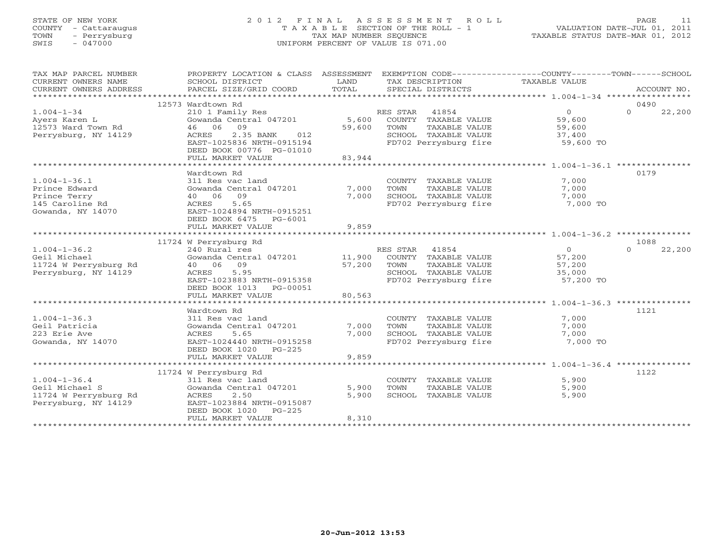#### STATE OF NEW YORK 2 0 1 2 F I N A L A S S E S S M E N T R O L L PAGE 11 COUNTY - Cattaraugus T A X A B L E SECTION OF THE ROLL - 1 VALUATION DATE-JUL 01, 2011 TOWN - Perrysburg TAX MAP NUMBER SEQUENCE TAXABLE STATUS DATE-MAR 01, 2012 SWIS - 047000 UNIFORM PERCENT OF VALUE IS 071.00UNIFORM PERCENT OF VALUE IS 071.00

| TAX MAP PARCEL NUMBER  | PROPERTY LOCATION & CLASS ASSESSMENT       |        | EXEMPTION CODE----------------COUNTY-------TOWN------SCHOOL |                |                    |
|------------------------|--------------------------------------------|--------|-------------------------------------------------------------|----------------|--------------------|
| CURRENT OWNERS NAME    | SCHOOL DISTRICT                            | LAND   | TAX DESCRIPTION                                             | TAXABLE VALUE  |                    |
| CURRENT OWNERS ADDRESS | PARCEL SIZE/GRID COORD                     | TOTAL  | SPECIAL DISTRICTS                                           |                | ACCOUNT NO.        |
|                        |                                            |        |                                                             |                |                    |
|                        | 12573 Wardtown Rd                          |        |                                                             |                | 0490               |
| $1.004 - 1 - 34$       | 210 1 Family Res                           |        | 41854<br>RES STAR                                           | $\overline{0}$ | $\Omega$<br>22,200 |
| Ayers Karen L          | Gowanda Central 047201                     | 5,600  | COUNTY TAXABLE VALUE                                        | 59,600         |                    |
| 12573 Ward Town Rd     | 46 06 09                                   | 59,600 | TAXABLE VALUE<br>TOWN                                       | 59,600         |                    |
| Perrysburg, NY 14129   | 2.35 BANK<br><b>ACRES</b><br>012           |        | SCHOOL TAXABLE VALUE                                        | 37,400         |                    |
|                        | EAST-1025836 NRTH-0915194                  |        | FD702 Perrysburg fire 59,600 TO                             |                |                    |
|                        | DEED BOOK 00776 PG-01010                   |        |                                                             |                |                    |
|                        | FULL MARKET VALUE                          | 83,944 |                                                             |                |                    |
|                        |                                            |        |                                                             |                |                    |
|                        | Wardtown Rd                                |        |                                                             |                | 0179               |
| $1.004 - 1 - 36.1$     | 311 Res vac land                           |        | COUNTY TAXABLE VALUE                                        | 7,000          |                    |
| Prince Edward          | Gowanda Central 047201                     | 7,000  | TOWN<br>TAXABLE VALUE                                       | 7,000          |                    |
| Prince Terry           | 40 06 09                                   | 7,000  | SCHOOL TAXABLE VALUE                                        | 7,000          |                    |
| 145 Caroline Rd        | 5.65<br>ACRES                              |        | FD702 Perrysburg fire                                       | 7,000 TO       |                    |
| Gowanda, NY 14070      | EAST-1024894 NRTH-0915251                  |        |                                                             |                |                    |
|                        | DEED BOOK 6475 PG-6001                     |        |                                                             |                |                    |
|                        | FULL MARKET VALUE                          | 9,859  |                                                             |                |                    |
|                        |                                            |        |                                                             |                |                    |
|                        | 11724 W Perrysburg Rd                      |        |                                                             |                | 1088<br>$\Omega$   |
| $1.004 - 1 - 36.2$     | 240 Rural res                              |        | RES STAR 41854                                              | $\overline{0}$ | 22,200             |
| Geil Michael           | Gowanda Central 047201                     | 11,900 | COUNTY TAXABLE VALUE                                        | 57,200         |                    |
| 11724 W Perrysburg Rd  | 40 06 09                                   | 57,200 | TOWN<br>TAXABLE VALUE                                       | 57,200         |                    |
| Perrysburg, NY 14129   | ACRES<br>5.95                              |        | SCHOOL TAXABLE VALUE                                        | 35,000         |                    |
|                        | EAST-1023883 NRTH-0915358                  |        | FD702 Perrysburg fire                                       | 57,200 TO      |                    |
|                        | DEED BOOK 1013 PG-00051                    |        |                                                             |                |                    |
|                        | FULL MARKET VALUE                          | 80,563 |                                                             |                |                    |
|                        | Wardtown Rd                                |        |                                                             |                | 1121               |
| $1.004 - 1 - 36.3$     |                                            |        | COUNTY TAXABLE VALUE                                        | 7,000          |                    |
| Geil Patricia          | 311 Res vac land<br>Gowanda Central 047201 | 7,000  | TOWN<br>TAXABLE VALUE                                       | 7,000          |                    |
| 223 Erie Ave           | 5.65<br>ACRES                              | 7,000  | SCHOOL TAXABLE VALUE                                        | 7,000          |                    |
| Gowanda, NY 14070      | EAST-1024440 NRTH-0915258                  |        | FD702 Perrysburg fire                                       | 7,000 TO       |                    |
|                        | PG-225                                     |        |                                                             |                |                    |
|                        | DEED BOOK 1020<br>FULL MARKET VALUE        | 9,859  |                                                             |                |                    |
|                        |                                            |        |                                                             |                |                    |
|                        | 11724 W Perrysburg Rd                      |        |                                                             |                | 1122               |
| $1.004 - 1 - 36.4$     | 311 Res vac land                           |        | COUNTY TAXABLE VALUE                                        | 5,900          |                    |
| Geil Michael S         | Gowanda Central 047201                     | 5,900  | TOWN<br>TAXABLE VALUE                                       | 5,900          |                    |
| 11724 W Perrysburg Rd  | ACRES<br>2.50                              | 5,900  | SCHOOL TAXABLE VALUE                                        | 5,900          |                    |
| Perrysburg, NY 14129   | EAST-1023884 NRTH-0915087                  |        |                                                             |                |                    |
|                        | DEED BOOK 1020 PG-225                      |        |                                                             |                |                    |
|                        | FULL MARKET VALUE                          | 8,310  |                                                             |                |                    |
|                        |                                            |        |                                                             |                |                    |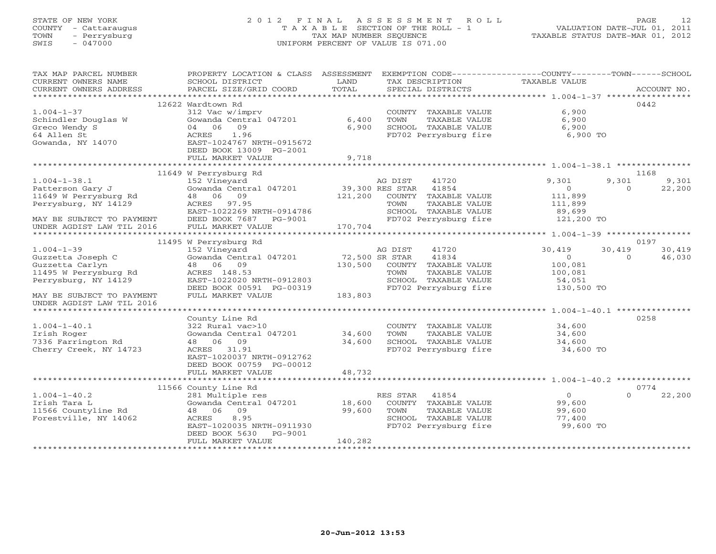# STATE OF NEW YORK 2 0 1 2 F I N A L A S S E S S M E N T R O L L PAGE 12 COUNTY - Cattaraugus T A X A B L E SECTION OF THE ROLL - 1 VALUATION DATE-JUL 01, 2011 TOWN - Perrysburg TAX MAP NUMBER SEQUENCE TAXABLE STATUS DATE-MAR 01, 2012 SWIS - 047000 UNIFORM PERCENT OF VALUE IS 071.00

| TAX MAP PARCEL NUMBER     | PROPERTY LOCATION & CLASS ASSESSMENT EXEMPTION CODE---------------COUNTY-------TOWN------SCHOOL |                |                             |                |                             |
|---------------------------|-------------------------------------------------------------------------------------------------|----------------|-----------------------------|----------------|-----------------------------|
| CURRENT OWNERS NAME       | SCHOOL DISTRICT                                                                                 | LAND           | TAX DESCRIPTION             | TAXABLE VALUE  |                             |
| CURRENT OWNERS ADDRESS    | PARCEL SIZE/GRID COORD                                                                          | TOTAL          | SPECIAL DISTRICTS           |                | ACCOUNT NO.                 |
|                           | 12622 Wardtown Rd                                                                               |                |                             |                | 0442                        |
| $1.004 - 1 - 37$          | 312 Vac w/imprv                                                                                 |                | COUNTY TAXABLE VALUE        | 6,900          |                             |
| Schindler Douglas W       | Gowanda Central 047201                                                                          | 6,400          | TOWN<br>TAXABLE VALUE       | 6,900          |                             |
| Greco Wendy S             | 09<br>04 06                                                                                     | 6,900          | SCHOOL TAXABLE VALUE        | 6,900          |                             |
| 64 Allen St               | 1.96<br>ACRES                                                                                   |                | FD702 Perrysburg fire       | 6,900 TO       |                             |
| Gowanda, NY 14070         | EAST-1024767 NRTH-0915672                                                                       |                |                             |                |                             |
|                           | DEED BOOK 13009 PG-2001                                                                         |                |                             |                |                             |
|                           | FULL MARKET VALUE                                                                               | 9,718          |                             |                |                             |
|                           |                                                                                                 |                |                             |                |                             |
|                           | 11649 W Perrysburg Rd                                                                           |                |                             |                | 1168                        |
| $1.004 - 1 - 38.1$        | 152 Vineyard                                                                                    |                | AG DIST<br>41720            | 9,301          | 9,301<br>9,301              |
| Patterson Gary J          | Gowanda Central 047201                                                                          |                | 39,300 RES STAR 41854       | $\overline{0}$ | 22,200<br>$\Omega$          |
| 11649 W Perrysburg Rd     | 48 06 09                                                                                        | 121,200        | COUNTY TAXABLE VALUE        | 111,899        |                             |
| Perrysburg, NY 14129      | ACRES 97.95                                                                                     |                | TAXABLE VALUE<br>TOWN       | 111,899        |                             |
|                           | EAST-1022269 NRTH-0914786                                                                       |                | SCHOOL TAXABLE VALUE        | 89,699         |                             |
| MAY BE SUBJECT TO PAYMENT | DEED BOOK 7687 PG-9001                                                                          |                | FD702 Perrysburg fire       | 121,200 TO     |                             |
| UNDER AGDIST LAW TIL 2016 | FULL MARKET VALUE                                                                               | 170,704        |                             |                |                             |
|                           | 11495 W Perrysburg Rd                                                                           |                |                             |                | 0197                        |
| $1.004 - 1 - 39$          | 152 Vineyard                                                                                    |                | 41720<br>AG DIST            | 30,419         | 30,419<br>30,419            |
| Guzzetta Joseph C         | Gowanda Central 047201                                                                          | 72,500 SR STAR | 41834                       | $\overline{0}$ | $0 \qquad \qquad$<br>46,030 |
| Guzzetta Carlyn           | 48 06 09                                                                                        | 130,500        | COUNTY TAXABLE VALUE        | 100,081        |                             |
| 11495 W Perrysburg Rd     | ACRES 148.53                                                                                    |                | TOWN<br>TAXABLE VALUE       | 100,081        |                             |
| Perrysburg, NY 14129      | EAST-1022020 NRTH-0912803                                                                       |                | SCHOOL TAXABLE VALUE        | 54,051         |                             |
|                           | DEED BOOK 00591 PG-00319                                                                        |                | FD702 Perrysburg fire       | 130,500 TO     |                             |
| MAY BE SUBJECT TO PAYMENT | FULL MARKET VALUE                                                                               | 183,803        |                             |                |                             |
| UNDER AGDIST LAW TIL 2016 |                                                                                                 |                |                             |                |                             |
|                           |                                                                                                 |                |                             |                |                             |
|                           | County Line Rd                                                                                  |                |                             |                | 0258                        |
| $1.004 - 1 - 40.1$        | 322 Rural vac>10                                                                                |                | COUNTY TAXABLE VALUE 34,600 |                |                             |
| Irish Roger               | Gowanda Central 047201                                                                          | 34,600         | TOWN<br>TAXABLE VALUE       | 34,600         |                             |
| 7336 Farrington Rd        | 48 06 09                                                                                        | 34,600         | SCHOOL TAXABLE VALUE        | 34,600         |                             |
| Cherry Creek, NY 14723    | ACRES 31.91                                                                                     |                | FD702 Perrysburg fire       | 34,600 TO      |                             |
|                           | EAST-1020037 NRTH-0912762                                                                       |                |                             |                |                             |
|                           | DEED BOOK 00759 PG-00012                                                                        |                |                             |                |                             |
|                           | FULL MARKET VALUE                                                                               | 48,732         |                             |                |                             |
|                           | 11566 County Line Rd                                                                            |                |                             |                | 0774                        |
| $1.004 - 1 - 40.2$        | 281 Multiple res                                                                                |                | RES STAR<br>41854           | $\overline{0}$ | $\Omega$<br>22,200          |
| Irish Tara L              | Gowanda Central 047201                                                                          | 18,600         | COUNTY TAXABLE VALUE        | 99,600         |                             |
| 11566 Countyline Rd       | 48 06 09                                                                                        | 99,600         | TAXABLE VALUE<br>TOWN       | 99,600         |                             |
| Forestville, NY 14062     | 8.95<br>ACRES                                                                                   |                | SCHOOL TAXABLE VALUE        | 77,400         |                             |
|                           | EAST-1020035 NRTH-0911930                                                                       |                | FD702 Perrysburg fire       | 99,600 TO      |                             |
|                           | DEED BOOK 5630<br>PG-9001                                                                       |                |                             |                |                             |
|                           | FULL MARKET VALUE                                                                               | 140,282        |                             |                |                             |
|                           |                                                                                                 |                |                             |                |                             |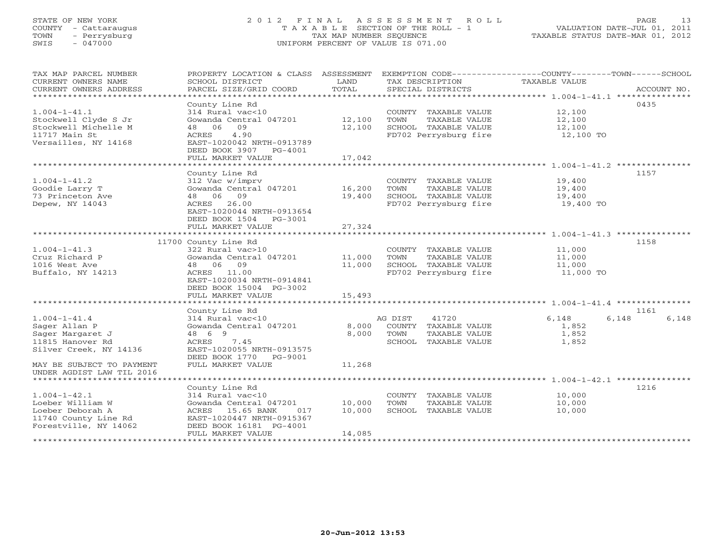### STATE OF NEW YORK 2 0 1 2 F I N A L A S S E S S M E N T R O L L PAGE 13 COUNTY - Cattaraugus T A X A B L E SECTION OF THE ROLL - 1 VALUATION DATE-JUL 01, 2011 TOWN - Perrysburg TAX MAP NUMBER SEQUENCE TAXABLE STATUS DATE-MAR 01, 2012 SWIS - 047000 UNIFORM PERCENT OF VALUE IS 071.00

| TAX MAP PARCEL NUMBER<br>CURRENT OWNERS NAME<br>CURRENT OWNERS ADDRESS<br>************************          | PROPERTY LOCATION & CLASS ASSESSMENT<br>SCHOOL DISTRICT<br>PARCEL SIZE/GRID COORD                                                                                      | LAND<br>TOTAL              | EXEMPTION CODE-----------------COUNTY-------TOWN------SCHOOL<br>TAX DESCRIPTION<br>SPECIAL DISTRICTS | TAXABLE VALUE                                      | ACCOUNT NO.            |
|-------------------------------------------------------------------------------------------------------------|------------------------------------------------------------------------------------------------------------------------------------------------------------------------|----------------------------|------------------------------------------------------------------------------------------------------|----------------------------------------------------|------------------------|
| $1.004 - 1 - 41.1$<br>Stockwell Clyde S Jr<br>Stockwell Michelle M<br>11717 Main St<br>Versailles, NY 14168 | County Line Rd<br>314 Rural vac<10<br>Gowanda Central 047201<br>48 06 09<br>4.90<br>ACRES<br>EAST-1020042 NRTH-0913789<br>DEED BOOK 3907 PG-4001<br>FULL MARKET VALUE  | 12,100<br>12,100<br>17,042 | COUNTY TAXABLE VALUE<br>TOWN<br>TAXABLE VALUE<br>SCHOOL TAXABLE VALUE<br>FD702 Perrysburg fire       | 12,100<br>12,100<br>12,100<br>12,100 TO            | 0435                   |
|                                                                                                             |                                                                                                                                                                        |                            |                                                                                                      |                                                    |                        |
| $1.004 - 1 - 41.2$<br>Goodie Larry T<br>73 Princeton Ave<br>Depew, NY 14043                                 | County Line Rd<br>312 Vac w/imprv<br>Gowanda Central 047201<br>48 06 09<br>ACRES 26.00<br>EAST-1020044 NRTH-0913654<br>DEED BOOK 1504 PG-3001                          | 16,200<br>19,400           | COUNTY TAXABLE VALUE<br>TOWN<br>TAXABLE VALUE<br>SCHOOL TAXABLE VALUE<br>FD702 Perrysburg fire       | 19,400<br>19,400<br>19,400<br>19,400 TO            | 1157                   |
|                                                                                                             | FULL MARKET VALUE                                                                                                                                                      | 27,324                     |                                                                                                      |                                                    |                        |
|                                                                                                             |                                                                                                                                                                        |                            |                                                                                                      |                                                    |                        |
| $1.004 - 1 - 41.3$<br>Cruz Richard P<br>1016 West Ave<br>Buffalo, NY 14213                                  | 11700 County Line Rd<br>322 Rural vac>10<br>Gowanda Central 047201<br>48 06 09<br>ACRES 11.00<br>EAST-1020034 NRTH-0914841<br>DEED BOOK 15004 PG-3002                  | 11,000<br>11,000           | COUNTY TAXABLE VALUE<br>TOWN<br>TAXABLE VALUE<br>SCHOOL TAXABLE VALUE<br>FD702 Perrysburg fire       | 11,000<br>11,000<br>11,000<br>11,000 TO            | 1158                   |
|                                                                                                             | FULL MARKET VALUE                                                                                                                                                      | 15,493                     |                                                                                                      |                                                    |                        |
|                                                                                                             | ************************                                                                                                                                               | *************              |                                                                                                      | ********************* 1.004-1-41.4 *************** |                        |
| $1.004 - 1 - 41.4$<br>Sager Allan P<br>Sager Margaret J<br>11815 Hanover Rd<br>Silver Creek, NY 14136       | County Line Rd<br>314 Rural vac<10<br>Gowanda Central 047201<br>48 6 9<br>ACRES<br>7.45<br>EAST-1020055 NRTH-0913575<br>DEED BOOK 1770 PG-9001                         | 8,000<br>8,000             | 41720<br>AG DIST<br>COUNTY TAXABLE VALUE<br>TOWN<br>TAXABLE VALUE<br>SCHOOL TAXABLE VALUE            | 6,148<br>1,852<br>1,852<br>1,852                   | 1161<br>6,148<br>6,148 |
| MAY BE SUBJECT TO PAYMENT<br>UNDER AGDIST LAW TIL 2016                                                      | FULL MARKET VALUE                                                                                                                                                      | 11,268                     |                                                                                                      |                                                    |                        |
|                                                                                                             |                                                                                                                                                                        |                            |                                                                                                      |                                                    |                        |
| $1.004 - 1 - 42.1$<br>Loeber William W<br>Loeber Deborah A<br>11740 County Line Rd<br>Forestville, NY 14062 | County Line Rd<br>$314$ Rural vac<10<br>Gowanda Central 047201<br>ACRES 15.65 BANK<br>017<br>EAST-1020447 NRTH-0915367<br>DEED BOOK 16181 PG-4001<br>FULL MARKET VALUE | 10,000<br>10,000<br>14,085 | COUNTY TAXABLE VALUE<br>TOWN<br>TAXABLE VALUE<br>SCHOOL TAXABLE VALUE                                | 10,000<br>10,000<br>10,000                         | 1216                   |
|                                                                                                             |                                                                                                                                                                        |                            |                                                                                                      |                                                    |                        |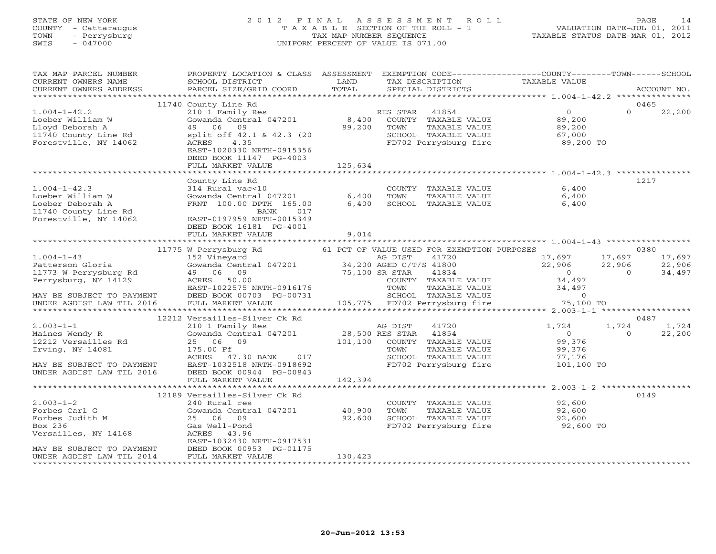### STATE OF NEW YORK 2 0 1 2 F I N A L A S S E S S M E N T R O L L PAGE 14 COUNTY - Cattaraugus T A X A B L E SECTION OF THE ROLL - 1 VALUATION DATE-JUL 01, 2011 TOWN - Perrysburg TAX MAP NUMBER SEQUENCE TAXABLE STATUS DATE-MAR 01, 2012 SWIS - 047000 UNIFORM PERCENT OF VALUE IS 071.00UNIFORM PERCENT OF VALUE IS 071.00

| TAX MAP PARCEL NUMBER<br>CURRENT OWNERS NAME<br>CURRENT OWNERS ADDRESS                                                                          | PROPERTY LOCATION & CLASS ASSESSMENT EXEMPTION CODE---------------COUNTY-------TOWN-----SCHOOL<br><b>EXAMPLE SERVICE SERVICE SERVICE SERVICE SERVICE SERVICE SERVICE SERVICE SERVICE SERVICE SERVICE SERVICE SERVICE</b><br>SCHOOL DISTRICT<br>PARCEL SIZE/GRID COORD | TOTAL          | TAX DESCRIPTION<br>SPECIAL DISTRICTS                 | TAXABLE VALUE                                                                                                                                       | ACCOUNT NO.                                  |
|-------------------------------------------------------------------------------------------------------------------------------------------------|-----------------------------------------------------------------------------------------------------------------------------------------------------------------------------------------------------------------------------------------------------------------------|----------------|------------------------------------------------------|-----------------------------------------------------------------------------------------------------------------------------------------------------|----------------------------------------------|
|                                                                                                                                                 |                                                                                                                                                                                                                                                                       |                |                                                      |                                                                                                                                                     |                                              |
| $1.004 - 1 - 42.2$<br>Loeber William W<br>Lloyd Deborah A<br>11740 County Line Rd<br>Forestville, NY 14062                                      | 11740 County Line Rd<br>210 1 Family Res<br>Gowanda Central 047201 8,400 COUNTY TAXABLE VALUE<br>49 06 09 89,200 TOWN TAXABLE VALUE<br>split off 42.1 & 42.3 (20<br>ACRES 4.35<br>EAST-1020330 NRTH-0915356<br>DEED BOOK 11147 PG-4003<br>FULL MARKET VALUE           | 125,634        | TAXABLE VALUE                                        | $0\atop{89,200}\atop{89,200}\atop{67,000}$<br>SCHOOL TAXABLE VALUE 67,000<br>FD702 Perrysburg fire 89,200 TO                                        | 0465<br>$\Omega$<br>22,200                   |
|                                                                                                                                                 |                                                                                                                                                                                                                                                                       |                |                                                      |                                                                                                                                                     |                                              |
| $1.004 - 1 - 42.3$<br>Loeber William W<br>Loeber Deborah A<br>11740 County Line Rd<br>Forestville, NY 14062                                     | County Line Rd<br>314 Rural vac<10<br>Gowanda Central $047201$ 6,400<br>FRNT 100.00 DPTH 165.00<br>BANK<br>017<br>EAST-0197959 NRTH-0015349<br>DEED BOOK 16181 PG-4001<br>FULL MARKET VALUE                                                                           | 6,400<br>9,014 | COUNTY TAXABLE VALUE<br>TOWN<br>SCHOOL TAXABLE VALUE | 6,400<br>TAXABLE VALUE 6,400<br>6,400                                                                                                               | 1217                                         |
|                                                                                                                                                 |                                                                                                                                                                                                                                                                       |                |                                                      |                                                                                                                                                     |                                              |
|                                                                                                                                                 |                                                                                                                                                                                                                                                                       |                |                                                      |                                                                                                                                                     |                                              |
| $1.004 - 1 - 43$<br>Patterson Gloria<br>11773 W Perrysburg Rd<br>Perrysburg, NY 14129<br>MAY BE SUBJECT TO PAYMENT<br>UNDER AGDIST LAW TIL 2016 |                                                                                                                                                                                                                                                                       |                |                                                      |                                                                                                                                                     |                                              |
|                                                                                                                                                 |                                                                                                                                                                                                                                                                       |                |                                                      |                                                                                                                                                     |                                              |
| $2.003 - 1 - 1$<br>z<br>Maines Wendy R<br>12212 Versailles Rd<br>Irving, NY 14081<br>MAY BE SUBJECT TO PAYMENT<br>UNDER AGDIST LAW TIL 2016     | 12212 Versailles-Silver Ck Rd<br>210 1 Family Res<br>Gowanda Central 047201 28,500 RES STAR 41854<br>25 06 09 101,100 COUNTY TAXABLE VALUE<br>175.00 Ff<br>175.00 Ff<br>ACRES 47.30 BANK 017<br>EAST-1032518 NRTH-0918692<br>DEED BOOK 00944 PG-00843                 |                | AG DIST<br>41720                                     | 1,724<br>$\begin{array}{c} 0 \\ 99,376 \end{array}$<br>TOWN TAXABLE VALUE 99,376<br>SCHOOL TAXABLE VALUE 77,176<br>FD702 Perrysburg fire 101,100 TO | 0487<br>1,724<br>1,724<br>$\sim$ 0<br>22,200 |
|                                                                                                                                                 | FULL MARKET VALUE                                                                                                                                                                                                                                                     | 142,394        |                                                      |                                                                                                                                                     |                                              |
|                                                                                                                                                 |                                                                                                                                                                                                                                                                       |                |                                                      |                                                                                                                                                     |                                              |
| $2.003 - 1 - 2$<br>Forbes Carl G<br>Forbes Judith M<br>Box 236<br>Versailles, NY 14168<br>MAY BE SUBJECT TO PAYMENT                             | 12189 Versailles-Silver Ck Rd<br>240 Rural res<br>Gowanda Central 047201 40,900<br>92,600<br>25 06 09<br>Gas Well-Pond<br>ACRES 43.96<br>EAST-1032430 NRTH-0917531                                                                                                    |                | COUNTY TAXABLE VALUE<br>TAXABLE VALUE<br>TOWN        | 92,600<br>92,600<br>SCHOOL TAXABLE VALUE 92,600<br>FD702 Perrysburg fire 92,600 TO                                                                  | 0149                                         |
| UNDER AGDIST LAW TIL 2014                                                                                                                       | DEED BOOK 00953 PG-01175<br>FULL MARKET VALUE                                                                                                                                                                                                                         | 130,423        |                                                      |                                                                                                                                                     |                                              |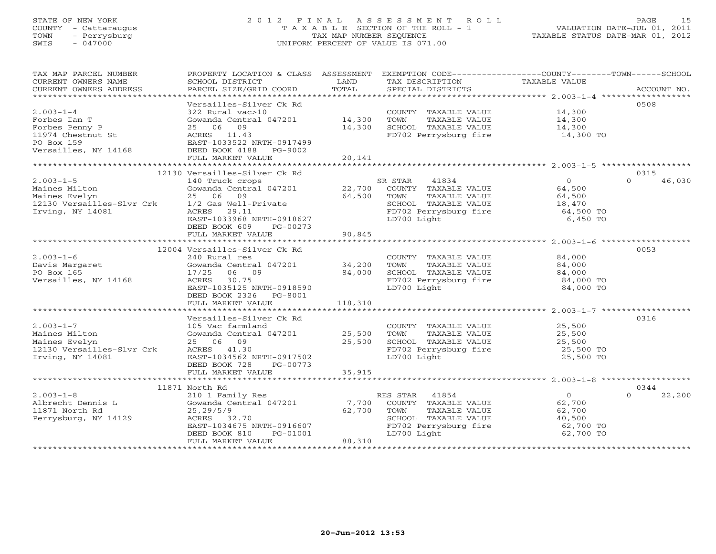# STATE OF NEW YORK 2 0 1 2 F I N A L A S S E S S M E N T R O L L PAGE 15 COUNTY - Cattaraugus T A X A B L E SECTION OF THE ROLL - 1 VALUATION DATE-JUL 01, 2011 TOWN - Perrysburg TAX MAP NUMBER SEQUENCE TAXABLE STATUS DATE-MAR 01, 2012 SWIS - 047000 UNIFORM PERCENT OF VALUE IS 071.00

| TAX MAP PARCEL NUMBER<br>CURRENT OWNERS NAME<br>CURRENT OWNERS ADDRESS                                       | PROPERTY LOCATION & CLASS ASSESSMENT EXEMPTION CODE---------------COUNTY-------TOWN------SCHOOL<br>SCHOOL DISTRICT<br>PARCEL SIZE/GRID COORD                                                 | LAND<br>TOTAL     | TAX DESCRIPTION TAXABLE VALUE<br>SPECIAL DISTRICTS                                                                                                                 |                                                                        | ACCOUNT NO.                |
|--------------------------------------------------------------------------------------------------------------|----------------------------------------------------------------------------------------------------------------------------------------------------------------------------------------------|-------------------|--------------------------------------------------------------------------------------------------------------------------------------------------------------------|------------------------------------------------------------------------|----------------------------|
| $2.003 - 1 - 4$<br>Forbes Ian T<br>Forbes Penny P<br>11974 Chestnut St<br>PO Box 159<br>Versailles, NY 14168 | Versailles-Silver Ck Rd<br>322 Rural vac>10<br>Gowanda Central 047201 14,300<br>25 06 09<br>ACRES 11.43<br>EAST-1033522 NRTH-0917499<br>DEED BOOK 4188 PG-9002<br>FULL MARKET VALUE          | 14,300<br>20,141  | COUNTY TAXABLE VALUE<br>TAXABLE VALUE<br>TOWN<br>SCHOOL TAXABLE VALUE 14,300<br>FD702 Perrysburg fire 14,300 TO                                                    | 14,300<br>14,300                                                       | 0508                       |
|                                                                                                              |                                                                                                                                                                                              |                   |                                                                                                                                                                    |                                                                        |                            |
| $2.003 - 1 - 5$<br>Maines Milton<br>Maines Evelyn<br>12130 Versailles-Slvr Crk<br>Irving, NY 14081           | 12130 Versailles-Silver Ck Rd<br>140 Truck crops<br>Gowanda Central 047201<br>25 06 09<br>1/2 Gas Well-Private<br>EAST-1033968 NRTH-0918627<br>DEED BOOK 609<br>PG-00273                     | 64,500            | SR STAR<br>41834<br>22,700 COUNTY TAXABLE VALUE<br>TAXABLE VALUE<br>TOWN<br>SCHOOL TAXABLE VALUE<br>FD702 Perrysburg fire 64,500 TO<br>LD700 Light                 | $\begin{array}{c} 0 \\ 64 \end{array}$<br>64,500<br>6,450 TO           | 0315<br>$\Omega$<br>46,030 |
|                                                                                                              | FULL MARKET VALUE                                                                                                                                                                            | 90,845            |                                                                                                                                                                    |                                                                        |                            |
| $2.003 - 1 - 6$<br>Davis Margaret<br>PO Box 165<br>PO Box 165<br>Versailles, NY 14168                        | 12004 Versailles-Silver Ck Rd<br>240 Rural res<br>Gowanda Central 047201 34,200<br>17/25<br>06 09<br>ACRES 30.75<br>EAST-1035125 NRTH-0918590<br>DEED BOOK 2326 PG-8001<br>FULL MARKET VALUE | 84,000<br>118,310 | COUNTY TAXABLE VALUE<br>TOWN<br>TAXABLE VALUE<br>SCHOOL TAXABLE VALUE<br>FD702 Perrysburg fire<br>LD700 Light                                                      | 84,000<br>84,000<br>84,000<br>84,000 TO<br>84,000 TO                   | 0053                       |
|                                                                                                              | Versailles-Silver Ck Rd                                                                                                                                                                      |                   |                                                                                                                                                                    |                                                                        | 0316                       |
| $2.003 - 1 - 7$<br>Maines Milton<br>Maines Evelyn<br>12130 Versailles-Slvr Crk<br>Irving, NY 14081           | 105 Vac farmland<br>Gowanda Central 047201 25,500<br>25 06 09<br>ACRES 41.30<br>EAST-1034562 NRTH-0917502<br>DEED BOOK 728<br>PG-00773                                                       | 25,500            | COUNTY TAXABLE VALUE 25,500<br>TOWN<br>SCHOOL TAXABLE VALUE<br>FD702 Perrysburg fire 1997 25,500 TO<br>LD700 Light                                                 | TAXABLE VALUE 25,500<br>TAXABLE VALUE 25,500<br>25,500 TO              |                            |
|                                                                                                              | FULL MARKET VALUE                                                                                                                                                                            | 35,915            |                                                                                                                                                                    |                                                                        |                            |
|                                                                                                              | 11871 North Rd                                                                                                                                                                               |                   |                                                                                                                                                                    |                                                                        | 0344                       |
| $2.003 - 1 - 8$<br>Albrecht Dennis L<br>11871 North Rd<br>Perrysburg, NY 14129                               | 210 1 Family Res<br>Gowanda Central 047201 $\qquad \qquad$ 7,700<br>25, 29/5/9<br>ACRES 32.70<br>EAST-1034675 NRTH-0916607<br>PG-01001<br>DEED BOOK 810<br>FULL MARKET VALUE                 | 62,700<br>88,310  | ES STAR 41854<br>COUNTY TAXABLE VALUE<br>RES STAR<br>TOWN<br>TAXABLE VALUE<br>SCHOOL TAXABLE VALUE<br>SCHOOL TAXABLE VALUE<br>FD702 Perrysburg fire<br>LD700 Light | $\overline{0}$<br>62,700<br>62,700<br>40,500<br>62,700 TO<br>62,700 TO | $\Omega$<br>22,200         |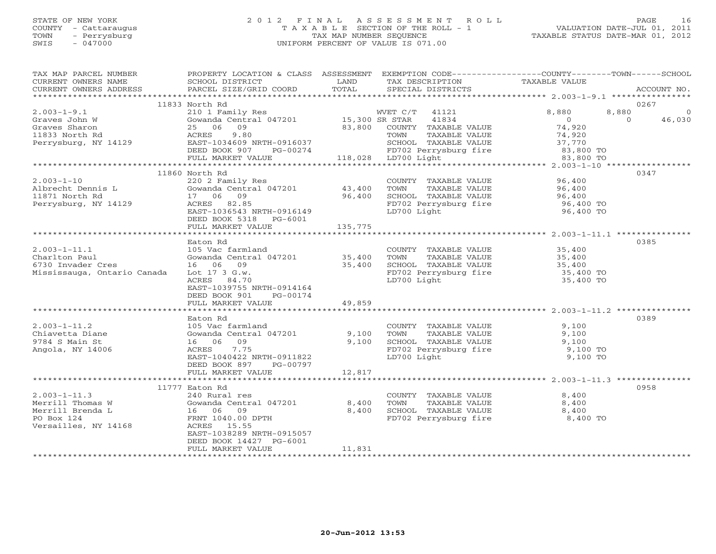# STATE OF NEW YORK 2 0 1 2 F I N A L A S S E S S M E N T R O L L PAGE 16 COUNTY - Cattaraugus T A X A B L E SECTION OF THE ROLL - 1 VALUATION DATE-JUL 01, 2011 TOWN - Perrysburg TAX MAP NUMBER SEQUENCE TAXABLE STATUS DATE-MAR 01, 2012 SWIS - 047000 UNIFORM PERCENT OF VALUE IS 071.00

| TAX MAP PARCEL NUMBER<br>CURRENT OWNERS NAME                                                                                                                                                                                                                                                                                                                                                                                                                                                                           | PROPERTY LOCATION & CLASS ASSESSMENT EXEMPTION CODE---------------COUNTY-------TOWN------SCHOOL<br>SCHOOL DISTRICT                                            | LAND    | TAX DESCRIPTION                                                                         | TAXABLE VALUE                                   |                   |                          |
|------------------------------------------------------------------------------------------------------------------------------------------------------------------------------------------------------------------------------------------------------------------------------------------------------------------------------------------------------------------------------------------------------------------------------------------------------------------------------------------------------------------------|---------------------------------------------------------------------------------------------------------------------------------------------------------------|---------|-----------------------------------------------------------------------------------------|-------------------------------------------------|-------------------|--------------------------|
| $\begin{minipage}{.45\textwidth} \begin{minipage}{.45\textwidth} \begin{minipage}{.45\textwidth} \begin{minipage}{.45\textwidth} \begin{minipage}{.45\textwidth} \begin{minipage}{.45\textwidth} \begin{minipage}{.45\textwidth} \begin{minipage}{.45\textwidth} \begin{minipage}{.45\textwidth} \begin{minipage}{.45\textwidth} \begin{minipage}{.45\textwidth} \begin{minipage}{.45\textwidth} \begin{minipage}{.45\textwidth} \begin{minipage}{.45\textwidth} \begin{minipage}{.45\textwidth} \begin{minipage}{.45$ |                                                                                                                                                               |         |                                                                                         |                                                 |                   |                          |
|                                                                                                                                                                                                                                                                                                                                                                                                                                                                                                                        | 11833 North Rd                                                                                                                                                |         |                                                                                         |                                                 |                   | 0267                     |
| $2.003 - 1 - 9.1$<br>Graves John W<br>Graves Sharon                                                                                                                                                                                                                                                                                                                                                                                                                                                                    | 210 1 Family Res<br>Gowanda Central 047201 15,300 SR STAR 41834<br>25 06 09                                                                                   |         | 83,800 COUNTY TAXABLE VALUE                                                             | 8,880<br>$\overline{0}$<br>74,920               | 8,880<br>$\Omega$ | $\overline{0}$<br>46,030 |
| 11833 North Rd<br>EXET-1034609 NRTH-0916037<br>Perrysburg, NY 14129<br>DEED BOOK 907 PG-00274                                                                                                                                                                                                                                                                                                                                                                                                                          | 9.80<br>ACRES                                                                                                                                                 |         | TAXABLE VALUE<br>TOWN                                                                   | 74,920                                          |                   |                          |
|                                                                                                                                                                                                                                                                                                                                                                                                                                                                                                                        |                                                                                                                                                               |         |                                                                                         |                                                 |                   |                          |
|                                                                                                                                                                                                                                                                                                                                                                                                                                                                                                                        |                                                                                                                                                               |         |                                                                                         |                                                 |                   |                          |
|                                                                                                                                                                                                                                                                                                                                                                                                                                                                                                                        | 11860 North Rd                                                                                                                                                |         |                                                                                         |                                                 |                   | 0347                     |
| $2.003 - 1 - 10$<br>Albrecht Dennis L<br>11871 North Rd<br>11871 North Rd<br>Perrysburg, NY 14129                                                                                                                                                                                                                                                                                                                                                                                                                      | 220 2 Family Res<br>43,400<br>Gowanda Central 047201 43,400<br>17 06 09 96,400<br>Gowanda Centr<br>17    06    09<br>ACRES 82.85<br>EAST-1036543 NRTH-0916149 |         | COUNTY TAXABLE VALUE 96,400<br>FD702 Perrysburg fire 96,400 TO<br>LD700 Light 96,400 TO |                                                 |                   |                          |
|                                                                                                                                                                                                                                                                                                                                                                                                                                                                                                                        | DEED BOOK 5318 PG-6001<br>FULL MARKET VALUE                                                                                                                   | 135,775 |                                                                                         |                                                 |                   |                          |
|                                                                                                                                                                                                                                                                                                                                                                                                                                                                                                                        |                                                                                                                                                               |         |                                                                                         |                                                 |                   |                          |
| $2.003 - 1 - 11.1$                                                                                                                                                                                                                                                                                                                                                                                                                                                                                                     | Eaton Rd<br>105 Vac farmland                                                                                                                                  |         | COUNTY TAXABLE VALUE                                                                    | 35,400                                          |                   | 0385                     |
| Charlton Paul<br>6730 Invader Cres                                                                                                                                                                                                                                                                                                                                                                                                                                                                                     | Gowanda Central 047201 35,400<br>16 06 09 35,400<br>16 06 09                                                                                                  |         | TAXABLE VALUE<br>TOWN<br>SCHOOL TAXABLE VALUE 35,400<br>FD702 Perrysburg fire 35,400 TO | $35,400$<br>$35,400$                            |                   |                          |
| Mississauga, Ontario Canada                                                                                                                                                                                                                                                                                                                                                                                                                                                                                            | Lot 17 3 G.w.<br>ACRES 84.70<br>EAST-1039755 NRTH-0914164<br>DEED BOOK 901 PG-00174<br>FULL MARKET VALUE                                                      | 49,859  | LD700 Light                                                                             | 35,400 TO                                       |                   |                          |
|                                                                                                                                                                                                                                                                                                                                                                                                                                                                                                                        |                                                                                                                                                               |         |                                                                                         |                                                 |                   |                          |
|                                                                                                                                                                                                                                                                                                                                                                                                                                                                                                                        | Eaton Rd                                                                                                                                                      |         |                                                                                         |                                                 |                   | 0389                     |
| $2.003 - 1 - 11.2$<br>Chiavetta Diane<br>9784 S Main St<br>Angola, NY 14006                                                                                                                                                                                                                                                                                                                                                                                                                                            | 105 Vac farmland<br>Gowanda Central 047201 9,100<br>16 06 09 9,100<br>ACRES 7.75<br>EAST-1040422 NRTH-0911822<br>DEED BOOK 897 PG-00797                       |         | COUNTY TAXABLE VALUE                                                                    | 9,100<br>9,100<br>9,100<br>9,100 TO<br>9,100 TO |                   |                          |
|                                                                                                                                                                                                                                                                                                                                                                                                                                                                                                                        | FULL MARKET VALUE                                                                                                                                             | 12,817  |                                                                                         |                                                 |                   |                          |
|                                                                                                                                                                                                                                                                                                                                                                                                                                                                                                                        |                                                                                                                                                               |         |                                                                                         |                                                 |                   |                          |
|                                                                                                                                                                                                                                                                                                                                                                                                                                                                                                                        | 11777 Eaton Rd                                                                                                                                                |         |                                                                                         |                                                 |                   | 0958                     |
| $2.003 - 1 - 11.3$                                                                                                                                                                                                                                                                                                                                                                                                                                                                                                     | 240 Rural res                                                                                                                                                 |         | COUNTY TAXABLE VALUE                                                                    | 8,400                                           |                   |                          |
| Merrill Thomas W                                                                                                                                                                                                                                                                                                                                                                                                                                                                                                       | Gowanda Central 047201                                                                                                                                        | 8,400   |                                                                                         |                                                 |                   |                          |
| Merrill Brenda L<br>PO Box 124<br>Versailles, NY 14168                                                                                                                                                                                                                                                                                                                                                                                                                                                                 | Gowanda Cence<br>16 06 09<br>Tham 1040.00<br>FRNT 1040.00 DPTH<br>ACRES 15.55                                                                                 | 8,400   |                                                                                         |                                                 |                   |                          |
|                                                                                                                                                                                                                                                                                                                                                                                                                                                                                                                        | EAST-1038289 NRTH-0915057<br>DEED BOOK 14427 PG-6001<br>FULL MARKET VALUE                                                                                     | 11,831  |                                                                                         |                                                 |                   |                          |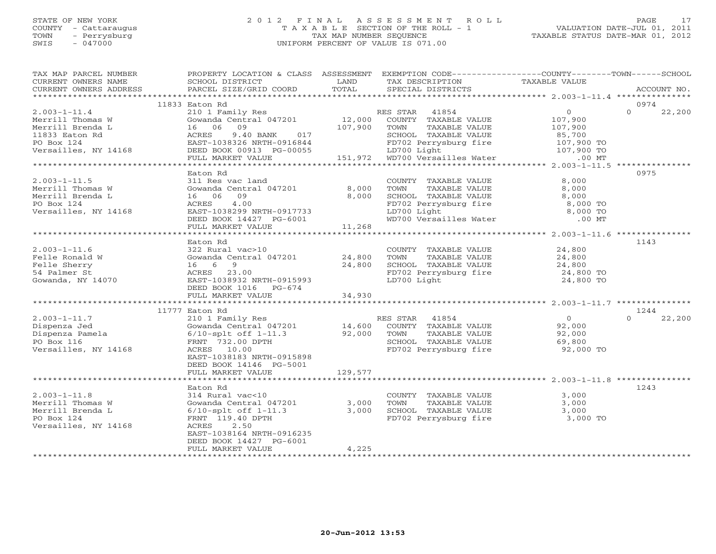# STATE OF NEW YORK 2 0 1 2 F I N A L A S S E S S M E N T R O L L PAGE 17 COUNTY - Cattaraugus T A X A B L E SECTION OF THE ROLL - 1 VALUATION DATE-JUL 01, 2011 TOWN - Perrysburg TAX MAP NUMBER SEQUENCE TAXABLE STATUS DATE-MAR 01, 2012 SWIS - 047000 UNIFORM PERCENT OF VALUE IS 071.00

| TAX MAP PARCEL NUMBER                                                                                                                                                                                                                                                                                                                                                                                                                                                         | PROPERTY LOCATION & CLASS ASSESSMENT EXEMPTION CODE----------------COUNTY-------TOWN------SCHOOL |                |                                                                                                                                |                      |                    |
|-------------------------------------------------------------------------------------------------------------------------------------------------------------------------------------------------------------------------------------------------------------------------------------------------------------------------------------------------------------------------------------------------------------------------------------------------------------------------------|--------------------------------------------------------------------------------------------------|----------------|--------------------------------------------------------------------------------------------------------------------------------|----------------------|--------------------|
| CURRENT OWNERS NAME                                                                                                                                                                                                                                                                                                                                                                                                                                                           | SCHOOL DISTRICT                                                                                  | LAND           | TAX DESCRIPTION                                                                                                                | <b>TAXABLE VALUE</b> |                    |
| $\begin{minipage}{.5cm} \begin{minipage}{.4cm} \begin{minipage}{.4cm} \begin{minipage}{.4cm} \begin{minipage}{.4cm} \begin{minipage}{.4cm} \begin{minipage}{.4cm} \begin{minipage}{.4cm} \begin{minipage}{.4cm} \begin{minipage}{.4cm} \begin{minipage}{.4cm} \begin{minipage}{.4cm} \begin{minipage}{.4cm} \begin{minipage}{.4cm} \begin{minipage}{.4cm} \begin{minipage}{.4cm} \begin{minipage}{.4cm} \begin{minipage}{.4cm} \begin{minipage}{.4cm} \begin{minipage}{.4cm}$ |                                                                                                  |                |                                                                                                                                |                      |                    |
|                                                                                                                                                                                                                                                                                                                                                                                                                                                                               | 11833 Eaton Rd                                                                                   |                |                                                                                                                                |                      | 0974               |
| $2.003 - 1 - 11.4$                                                                                                                                                                                                                                                                                                                                                                                                                                                            | 210 1 Family Res                                                                                 |                |                                                                                                                                | $\overline{O}$       | $\Omega$<br>22,200 |
| Merrill Thomas W                                                                                                                                                                                                                                                                                                                                                                                                                                                              | Gowanda Central 047201                                                                           |                | RES STAR 41854<br>12,000 COUNTY TAXABLE VALUE                                                                                  | 107,900              |                    |
| Merrill Brenda L                                                                                                                                                                                                                                                                                                                                                                                                                                                              | 16 06<br>09                                                                                      | 107,900        | TAXABLE VALUE<br>TOWN                                                                                                          | 107,900              |                    |
| 11833 Eaton Rd                                                                                                                                                                                                                                                                                                                                                                                                                                                                | ACRES<br>9.40 BANK 017                                                                           |                | SCHOOL TAXABLE VALUE                                                                                                           | 85,700               |                    |
| PO Box 124                                                                                                                                                                                                                                                                                                                                                                                                                                                                    | EAST-1038326 NRTH-0916844                                                                        |                |                                                                                                                                |                      |                    |
| Versailles, NY 14168                                                                                                                                                                                                                                                                                                                                                                                                                                                          |                                                                                                  |                | 9916844 FD702 Perrysburg fire 107,900 TO<br>3-00055 LD700 Light 107,900 TO<br>107,900 TO 151,972 WD700 Versailles Water .00 MT |                      |                    |
|                                                                                                                                                                                                                                                                                                                                                                                                                                                                               | DEED BOOK 00913 PG-00055<br>FULL MARKET VALUE                                                    |                |                                                                                                                                |                      |                    |
|                                                                                                                                                                                                                                                                                                                                                                                                                                                                               |                                                                                                  |                |                                                                                                                                |                      |                    |
|                                                                                                                                                                                                                                                                                                                                                                                                                                                                               | Eaton Rd                                                                                         |                |                                                                                                                                |                      | 0975               |
| $2.003 - 1 - 11.5$                                                                                                                                                                                                                                                                                                                                                                                                                                                            | 311 Res vac land                                                                                 |                | COUNTY TAXABLE VALUE                                                                                                           | 8,000                |                    |
| Merrill Thomas W                                                                                                                                                                                                                                                                                                                                                                                                                                                              | Gowanda Central 047201                                                                           |                | TAXABLE VALUE<br>TOWN                                                                                                          | 8,000                |                    |
| Merrill Brenda L                                                                                                                                                                                                                                                                                                                                                                                                                                                              | 16 06<br>09                                                                                      | 8,000<br>8,000 | SCHOOL TAXABLE VALUE                                                                                                           | 8,000                |                    |
| PO Box 124                                                                                                                                                                                                                                                                                                                                                                                                                                                                    | 4.00                                                                                             |                | FD702 Perrysburg fire                                                                                                          |                      |                    |
|                                                                                                                                                                                                                                                                                                                                                                                                                                                                               | ACRES                                                                                            |                |                                                                                                                                | 8,000 TO             |                    |
| Versailles, NY 14168                                                                                                                                                                                                                                                                                                                                                                                                                                                          | EAST-1038299 NRTH-0917733                                                                        |                | LD700 Light                                                                                                                    | 8,000 TO             |                    |
|                                                                                                                                                                                                                                                                                                                                                                                                                                                                               | DEED BOOK 14427 PG-6001                                                                          | 11,268         | WD700 Versailles Water                                                                                                         | $.00$ MT             |                    |
|                                                                                                                                                                                                                                                                                                                                                                                                                                                                               | FULL MARKET VALUE                                                                                |                |                                                                                                                                |                      |                    |
|                                                                                                                                                                                                                                                                                                                                                                                                                                                                               | Eaton Rd                                                                                         |                |                                                                                                                                |                      | 1143               |
| $2.003 - 1 - 11.6$                                                                                                                                                                                                                                                                                                                                                                                                                                                            | 322 Rural vac>10                                                                                 |                |                                                                                                                                |                      |                    |
|                                                                                                                                                                                                                                                                                                                                                                                                                                                                               | Gowanda Central 047201                                                                           | 24,800         | COUNTY TAXABLE VALUE<br>TAXABLE VALUE                                                                                          | 24,800<br>24,800     |                    |
| Felle Ronald W                                                                                                                                                                                                                                                                                                                                                                                                                                                                |                                                                                                  | 24,800         | TOWN                                                                                                                           |                      |                    |
| Felle Sherry                                                                                                                                                                                                                                                                                                                                                                                                                                                                  | 16 6 9<br>ACRES 23.00                                                                            |                | SCHOOL TAXABLE VALUE<br>FD702 Perrysburg fire                                                                                  | 24,800               |                    |
| 54 Palmer St                                                                                                                                                                                                                                                                                                                                                                                                                                                                  | EAST-1038932 NRTH-0915993                                                                        |                | LD700 Light                                                                                                                    | 24,800 TO            |                    |
| Gowanda, NY 14070                                                                                                                                                                                                                                                                                                                                                                                                                                                             |                                                                                                  |                |                                                                                                                                | 24,800 TO            |                    |
|                                                                                                                                                                                                                                                                                                                                                                                                                                                                               | DEED BOOK 1016 PG-674                                                                            |                |                                                                                                                                |                      |                    |
|                                                                                                                                                                                                                                                                                                                                                                                                                                                                               | FULL MARKET VALUE                                                                                | 34,930         |                                                                                                                                |                      |                    |
|                                                                                                                                                                                                                                                                                                                                                                                                                                                                               |                                                                                                  |                |                                                                                                                                |                      |                    |
| $2.003 - 1 - 11.7$                                                                                                                                                                                                                                                                                                                                                                                                                                                            | 11777 Eaton Rd                                                                                   |                |                                                                                                                                | $\overline{0}$       | 1244<br>$\Omega$   |
|                                                                                                                                                                                                                                                                                                                                                                                                                                                                               | 210 1 Family Res                                                                                 | 14,600         | RES STAR<br>41854                                                                                                              |                      | 22,200             |
| Dispenza Jed                                                                                                                                                                                                                                                                                                                                                                                                                                                                  | Gowanda Central 047201                                                                           |                | COUNTY TAXABLE VALUE                                                                                                           | 92,000               |                    |
| Dispenza Pamela                                                                                                                                                                                                                                                                                                                                                                                                                                                               | $6/10$ -splt off $1-11.3$                                                                        | 92,000         | TOWN<br>TAXABLE VALUE                                                                                                          | 92,000               |                    |
| PO Box 116                                                                                                                                                                                                                                                                                                                                                                                                                                                                    | FRNT 732.00 DPTH                                                                                 |                | SCHOOL TAXABLE VALUE                                                                                                           | 69,800               |                    |
| Versailles, NY 14168                                                                                                                                                                                                                                                                                                                                                                                                                                                          | ACRES 10.00                                                                                      |                | FD702 Perrysburg fire                                                                                                          | 92,000 TO            |                    |
|                                                                                                                                                                                                                                                                                                                                                                                                                                                                               | EAST-1038183 NRTH-0915898                                                                        |                |                                                                                                                                |                      |                    |
|                                                                                                                                                                                                                                                                                                                                                                                                                                                                               | DEED BOOK 14146 PG-5001                                                                          |                |                                                                                                                                |                      |                    |
|                                                                                                                                                                                                                                                                                                                                                                                                                                                                               | FULL MARKET VALUE                                                                                | 129,577        |                                                                                                                                |                      |                    |
|                                                                                                                                                                                                                                                                                                                                                                                                                                                                               |                                                                                                  |                |                                                                                                                                |                      | 1243               |
| $2.003 - 1 - 11.8$                                                                                                                                                                                                                                                                                                                                                                                                                                                            | Eaton Rd<br>314 Rural vac<10                                                                     |                |                                                                                                                                | 3,000                |                    |
|                                                                                                                                                                                                                                                                                                                                                                                                                                                                               |                                                                                                  |                | COUNTY TAXABLE VALUE                                                                                                           |                      |                    |
| Merrill Thomas W<br>Merrill Brenda L                                                                                                                                                                                                                                                                                                                                                                                                                                          | Gowanda Central 047201                                                                           | 3,000          | TAXABLE VALUE<br>TOWN                                                                                                          | 3,000                |                    |
| PO Box 124                                                                                                                                                                                                                                                                                                                                                                                                                                                                    | $6/10$ -splt off $1-11.3$                                                                        | 3,000          | SCHOOL TAXABLE VALUE<br>FD702 Perrysburg fire 3,000 TO                                                                         | 3,000                |                    |
|                                                                                                                                                                                                                                                                                                                                                                                                                                                                               | FRNT 119.40 DPTH<br>2.50                                                                         |                |                                                                                                                                |                      |                    |
| Versailles, NY 14168                                                                                                                                                                                                                                                                                                                                                                                                                                                          | ACRES                                                                                            |                |                                                                                                                                |                      |                    |
|                                                                                                                                                                                                                                                                                                                                                                                                                                                                               | EAST-1038164 NRTH-0916235                                                                        |                |                                                                                                                                |                      |                    |
|                                                                                                                                                                                                                                                                                                                                                                                                                                                                               | DEED BOOK 14427 PG-6001                                                                          |                |                                                                                                                                |                      |                    |
|                                                                                                                                                                                                                                                                                                                                                                                                                                                                               | FULL MARKET VALUE                                                                                | 4,225          |                                                                                                                                |                      |                    |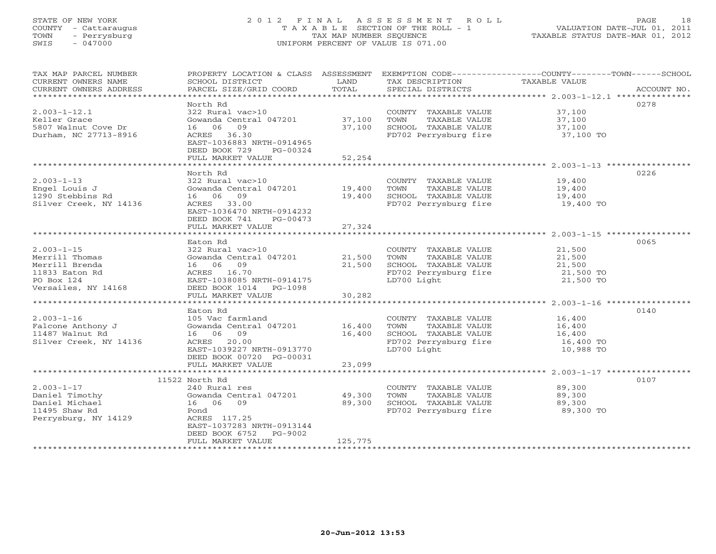# STATE OF NEW YORK 2 0 1 2 F I N A L A S S E S S M E N T R O L L PAGE 18 COUNTY - Cattaraugus T A X A B L E SECTION OF THE ROLL - 1 VALUATION DATE-JUL 01, 2011 TOWN - Perrysburg TAX MAP NUMBER SEQUENCE TAXABLE STATUS DATE-MAR 01, 2012 SWIS - 047000 UNIFORM PERCENT OF VALUE IS 071.00

| TAX MAP PARCEL NUMBER<br>CURRENT OWNERS NAME<br>CURRENT OWNERS ADDRESS | PROPERTY LOCATION & CLASS ASSESSMENT                                  |         |                                                                                                                      | EXEMPTION CODE-----------------COUNTY-------TOWN-----SCHOOL |      |
|------------------------------------------------------------------------|-----------------------------------------------------------------------|---------|----------------------------------------------------------------------------------------------------------------------|-------------------------------------------------------------|------|
|                                                                        |                                                                       |         |                                                                                                                      |                                                             |      |
| $2.003 - 1 - 12.1$                                                     | North Rd<br>322 Rural vac>10                                          |         | COUNTY TAXABLE VALUE 37,100                                                                                          |                                                             | 0278 |
| Keller Grace                                                           | Gowanda Central 047201 37,100                                         |         |                                                                                                                      |                                                             |      |
| 5807 Walnut Cove Dr                                                    | 16 06 09                                                              | 37,100  |                                                                                                                      |                                                             |      |
| Durham, NC 27713-8916                                                  | ACRES 36.30                                                           |         | TOWN TAXABLE VALUE $37,100$<br>SCHOOL TAXABLE VALUE $37,100$<br>FD702 Perrysburg fire $37,100$ TO                    |                                                             |      |
|                                                                        | EAST-1036883 NRTH-0914965                                             |         |                                                                                                                      |                                                             |      |
|                                                                        | DEED BOOK 729<br>PG-00324                                             |         |                                                                                                                      |                                                             |      |
|                                                                        | FULL MARKET VALUE                                                     | 52,254  |                                                                                                                      |                                                             |      |
|                                                                        |                                                                       |         |                                                                                                                      |                                                             |      |
|                                                                        | North Rd                                                              |         |                                                                                                                      |                                                             | 0226 |
| $2.003 - 1 - 13$                                                       | 322 Rural vac>10<br>J22 Ruidi vac>i0<br>Gowanda Central 047201 19,400 |         | COUNTY TAXABLE VALUE<br>TOWN     TAXABLE VALUE                                                                       | 19,400<br>19,400                                            |      |
| Engel Louis J                                                          |                                                                       |         |                                                                                                                      |                                                             |      |
| 1290 Stebbins Rd                                                       | 16 06 09<br>19,400                                                    |         | SCHOOL TAXABLE VALUE 19,400<br>FD702 Perrysburg fire 19,400 TO                                                       |                                                             |      |
| Silver Creek, NY 14136                                                 | ACRES 33.00<br>EAST-1036470 NRTH-0914232                              |         |                                                                                                                      |                                                             |      |
|                                                                        | DEED BOOK 741 PG-00473                                                |         |                                                                                                                      |                                                             |      |
|                                                                        | FULL MARKET VALUE                                                     | 27,324  |                                                                                                                      |                                                             |      |
|                                                                        |                                                                       |         |                                                                                                                      |                                                             |      |
|                                                                        | Eaton Rd                                                              |         |                                                                                                                      |                                                             | 0065 |
| $2.003 - 1 - 15$                                                       | 322 Rural vac>10                                                      |         | COUNTY TAXABLE VALUE 21,500                                                                                          |                                                             |      |
| Merrill Thomas                                                         |                                                                       |         |                                                                                                                      |                                                             |      |
| Merrill Brenda                                                         |                                                                       |         |                                                                                                                      |                                                             |      |
| 11833 Eaton Rd                                                         | ACRES 16.70                                                           |         | TOWN TAXABLE VALUE 21,500<br>SCHOOL TAXABLE VALUE 21,500<br>FD702 Perrysburg fire 21,500 TO<br>LD700 Light 21,500 TO |                                                             |      |
| PO Box 124                                                             | EAST-1038085 NRTH-0914175                                             |         |                                                                                                                      |                                                             |      |
| Versailes, NY 14168                                                    | DEED BOOK 1014 PG-1098                                                | 30,282  |                                                                                                                      |                                                             |      |
|                                                                        | FULL MARKET VALUE                                                     |         |                                                                                                                      |                                                             |      |
|                                                                        | Eaton Rd                                                              |         |                                                                                                                      |                                                             | 0140 |
| $2.003 - 1 - 16$                                                       | 105 Vac farmland                                                      |         | COUNTY TAXABLE VALUE                                                                                                 | 16,400                                                      |      |
| Falcone Anthony J                                                      | Gowanda Central 047201 16,400                                         |         | TAXABLE VALUE 16,400<br>TOWN                                                                                         |                                                             |      |
| 11487 Walnut Rd                                                        | 16 06 09                                                              | 16,400  |                                                                                                                      |                                                             |      |
| Silver Creek, NY 14136                                                 | ACRES 20.00                                                           |         | SCHOOL TAXABLE VALUE 16,400<br>FD702 Perrysburg fire 16,400 TO                                                       |                                                             |      |
|                                                                        | EAST-1039227 NRTH-0913770                                             |         | LD700 Light                                                                                                          | 10,988 TO                                                   |      |
|                                                                        | DEED BOOK 00720 PG-00031                                              |         |                                                                                                                      |                                                             |      |
|                                                                        | FULL MARKET VALUE                                                     | 23,099  |                                                                                                                      |                                                             |      |
|                                                                        |                                                                       |         |                                                                                                                      |                                                             |      |
| $2.003 - 1 - 17$                                                       | 11522 North Rd<br>240 Rural res                                       |         |                                                                                                                      |                                                             | 0107 |
| Daniel Timothy                                                         | Gowanda Central 047201 49,300                                         |         | COUNTY TAXABLE VALUE 89,300<br>TOWN<br>TAXABLE VALUE                                                                 | 89,300                                                      |      |
| Daniel Michael                                                         | 16 06 09                                                              | 89,300  |                                                                                                                      |                                                             |      |
| 11495 Shaw Rd                                                          | Pond                                                                  |         | SCHOOL TAXABLE VALUE 89,300<br>FD702 Perrysburg fire 89,300                                                          | 89,300 TO                                                   |      |
| Perrysburg, NY 14129                                                   | ACRES 117.25                                                          |         |                                                                                                                      |                                                             |      |
|                                                                        | EAST-1037283 NRTH-0913144                                             |         |                                                                                                                      |                                                             |      |
|                                                                        | DEED BOOK 6752<br>PG-9002                                             |         |                                                                                                                      |                                                             |      |
|                                                                        | FULL MARKET VALUE                                                     | 125,775 |                                                                                                                      |                                                             |      |
|                                                                        |                                                                       |         |                                                                                                                      |                                                             |      |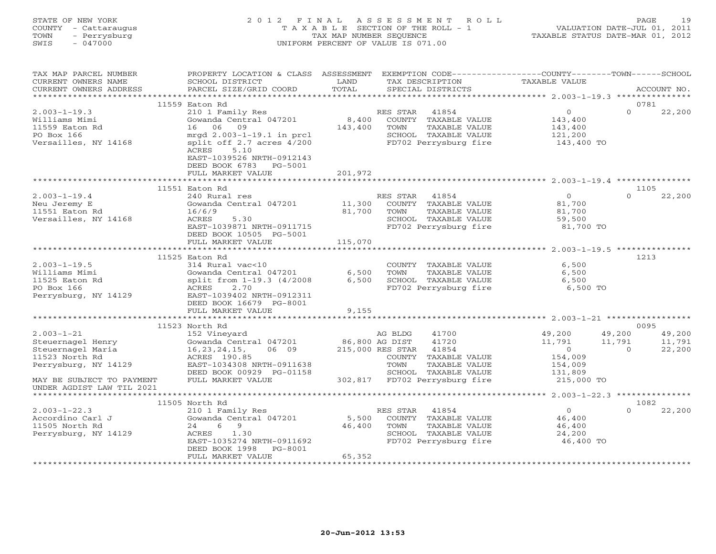| STATE OF NEW YORK    | 2012 FINAL ASSESSMENT ROLL            | -19<br>PAGE                      |
|----------------------|---------------------------------------|----------------------------------|
| COUNTY - Cattaraugus | T A X A B L E SECTION OF THE ROLL - 1 | VALUATION DATE-JUL 01, 2011      |
| TOWN - Perrysburg    | TAX MAP NUMBER SEOUENCE               | TAXABLE STATUS DATE-MAR 01, 2012 |
| SWIS<br>- 047000     | UNIFORM PERCENT OF VALUE IS 071.00    |                                  |
|                      |                                       |                                  |
|                      |                                       |                                  |

| TAX MAP PARCEL NUMBER<br>CURRENT OWNERS NAME<br>CURRENT OWNERS ADDRESS                      | PROPERTY LOCATION & CLASS ASSESSMENT<br>SCHOOL DISTRICT<br>PARCEL SIZE/GRID COORD                                                    | LAND<br>TOTAL    | TAX DESCRIPTION<br>SPECIAL DISTRICTS |                                                                                                 | EXEMPTION CODE-----------------COUNTY-------TOWN------SCHOOL<br>TAXABLE VALUE |          | ACCOUNT NO. |
|---------------------------------------------------------------------------------------------|--------------------------------------------------------------------------------------------------------------------------------------|------------------|--------------------------------------|-------------------------------------------------------------------------------------------------|-------------------------------------------------------------------------------|----------|-------------|
|                                                                                             |                                                                                                                                      |                  |                                      |                                                                                                 |                                                                               |          |             |
|                                                                                             | 11559 Eaton Rd                                                                                                                       |                  |                                      |                                                                                                 |                                                                               |          | 0781        |
| $2.003 - 1 - 19.3$<br>Williams Mimi<br>11559 Eaton Rd<br>PO Box 166<br>Versailles, NY 14168 | 210 1 Family Res<br>Gowanda Central 047201<br>16 06<br>09<br>mrgd 2.003-1-19.1 in prcl<br>split off 2.7 acres 4/200<br>5.10<br>ACRES | 8,400<br>143,400 | RES STAR<br>TOWN                     | 41854<br>COUNTY TAXABLE VALUE<br>TAXABLE VALUE<br>SCHOOL TAXABLE VALUE<br>FD702 Perrysburg fire | $\overline{0}$<br>143,400<br>143,400<br>121,200<br>143,400 TO                 | $\Omega$ | 22,200      |
|                                                                                             | EAST-1039526 NRTH-0912143<br>DEED BOOK 6783<br>PG-5001<br>FULL MARKET VALUE                                                          | 201,972          |                                      |                                                                                                 |                                                                               |          |             |
|                                                                                             | ********************************                                                                                                     | **************   |                                      |                                                                                                 |                                                                               |          |             |
|                                                                                             | 11551 Eaton Rd                                                                                                                       |                  |                                      |                                                                                                 |                                                                               |          | 1105        |
| $2.003 - 1 - 19.4$                                                                          | 240 Rural res                                                                                                                        |                  | RES STAR                             | 41854                                                                                           | $\overline{0}$                                                                | $\Omega$ | 22,200      |
| Neu Jeremy E                                                                                | Gowanda Central 047201                                                                                                               | 11,300           |                                      | COUNTY TAXABLE VALUE                                                                            | 81,700                                                                        |          |             |
| 11551 Eaton Rd<br>Versailles, NY 14168                                                      | 16/6/9<br>ACRES<br>5.30                                                                                                              | 81,700           | TOWN                                 | TAXABLE VALUE<br>SCHOOL TAXABLE VALUE                                                           | 81,700<br>59,500                                                              |          |             |
|                                                                                             | EAST-1039871 NRTH-0911715                                                                                                            |                  |                                      | FD702 Perrysburg fire                                                                           | 81,700 TO                                                                     |          |             |
|                                                                                             | DEED BOOK 10505 PG-5001                                                                                                              |                  |                                      |                                                                                                 |                                                                               |          |             |
|                                                                                             | FULL MARKET VALUE                                                                                                                    | 115,070          |                                      |                                                                                                 |                                                                               |          |             |
|                                                                                             |                                                                                                                                      |                  |                                      |                                                                                                 |                                                                               |          |             |
|                                                                                             | 11525 Eaton Rd                                                                                                                       |                  |                                      |                                                                                                 |                                                                               |          | 1213        |
| $2.003 - 1 - 19.5$                                                                          | 314 Rural vac<10                                                                                                                     |                  |                                      | COUNTY TAXABLE VALUE                                                                            | 6,500                                                                         |          |             |
| Williams Mimi                                                                               | Gowanda Central 047201                                                                                                               | 6,500            | TOWN                                 | TAXABLE VALUE                                                                                   | 6,500                                                                         |          |             |
| 11525 Eaton Rd                                                                              | split from 1-19.3 (4/2008                                                                                                            | 6,500            |                                      | SCHOOL TAXABLE VALUE                                                                            | 6,500                                                                         |          |             |
| PO Box 166                                                                                  | 2.70<br><b>ACRES</b>                                                                                                                 |                  |                                      | FD702 Perrysburg fire                                                                           | 6,500 TO                                                                      |          |             |
| Perrysburg, NY 14129                                                                        | EAST-1039402 NRTH-0912311                                                                                                            |                  |                                      |                                                                                                 |                                                                               |          |             |
|                                                                                             | DEED BOOK 16679 PG-8001                                                                                                              |                  |                                      |                                                                                                 |                                                                               |          |             |
|                                                                                             | FULL MARKET VALUE                                                                                                                    | 9,155            |                                      |                                                                                                 |                                                                               |          |             |
|                                                                                             |                                                                                                                                      |                  |                                      |                                                                                                 |                                                                               |          |             |
|                                                                                             | 11523 North Rd                                                                                                                       |                  |                                      |                                                                                                 |                                                                               |          | 0095        |
| $2.003 - 1 - 21$                                                                            | 152 Vineyard                                                                                                                         |                  | AG BLDG                              | 41700                                                                                           | 49,200                                                                        | 49,200   | 49,200      |
| Steuernagel Henry                                                                           | Gowanda Central 047201                                                                                                               | 86,800 AG DIST   |                                      | 41720                                                                                           | 11,791                                                                        | 11,791   | 11,791      |
| Steuernagel Maria                                                                           | 16, 23, 24, 15,<br>06 09                                                                                                             |                  | 215,000 RES STAR                     | 41854                                                                                           | $\overline{0}$                                                                | $\Omega$ | 22,200      |
| 11523 North Rd                                                                              | ACRES 190.85                                                                                                                         |                  |                                      | COUNTY TAXABLE VALUE                                                                            | 154,009                                                                       |          |             |
| Perrysburg, NY 14129                                                                        | EAST-1034308 NRTH-0911638                                                                                                            |                  | TOWN                                 | TAXABLE VALUE                                                                                   | 154,009                                                                       |          |             |
|                                                                                             | DEED BOOK 00929 PG-01158                                                                                                             |                  |                                      | SCHOOL TAXABLE VALUE                                                                            | 131,809                                                                       |          |             |
| MAY BE SUBJECT TO PAYMENT<br>UNDER AGDIST LAW TIL 2021                                      | FULL MARKET VALUE                                                                                                                    |                  |                                      | 302,817 FD702 Perrysburg fire                                                                   | 215,000 TO                                                                    |          |             |
|                                                                                             |                                                                                                                                      |                  |                                      |                                                                                                 |                                                                               |          |             |
|                                                                                             | 11505 North Rd                                                                                                                       |                  |                                      |                                                                                                 |                                                                               |          | 1082        |
| $2.003 - 1 - 22.3$                                                                          | 210 1 Family Res                                                                                                                     |                  | RES STAR                             | 41854                                                                                           | $\overline{0}$                                                                | $\Omega$ | 22,200      |
| Accordino Carl J                                                                            | Gowanda Central 047201                                                                                                               | 5,500            |                                      | COUNTY TAXABLE VALUE                                                                            | 46,400                                                                        |          |             |
| 11505 North Rd                                                                              | 24<br>69                                                                                                                             | 46,400           | TOWN                                 | TAXABLE VALUE                                                                                   | 46,400                                                                        |          |             |
| Perrysburg, NY 14129                                                                        | ACRES<br>1.30                                                                                                                        |                  |                                      | SCHOOL TAXABLE VALUE                                                                            | 24,200                                                                        |          |             |
|                                                                                             | EAST-1035274 NRTH-0911692                                                                                                            |                  |                                      | FD702 Perrysburg fire                                                                           | 46,400 TO                                                                     |          |             |
|                                                                                             | DEED BOOK 1998<br>PG-8001                                                                                                            |                  |                                      |                                                                                                 |                                                                               |          |             |
|                                                                                             | FULL MARKET VALUE                                                                                                                    | 65,352           |                                      |                                                                                                 |                                                                               |          |             |
|                                                                                             |                                                                                                                                      |                  |                                      |                                                                                                 |                                                                               |          |             |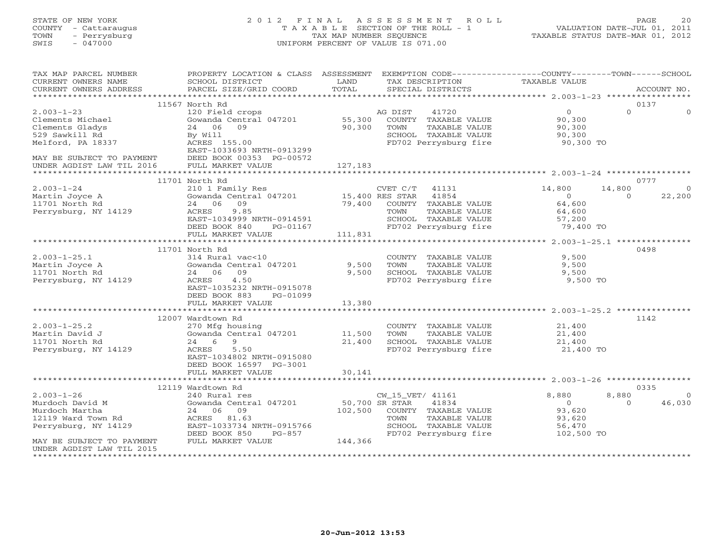# STATE OF NEW YORK 2 0 1 2 F I N A L A S S E S S M E N T R O L L PAGE 20 COUNTY - Cattaraugus T A X A B L E SECTION OF THE ROLL - 1 VALUATION DATE-JUL 01, 2011 TOWN - Perrysburg TAX MAP NUMBER SEQUENCE TAXABLE STATUS DATE-MAR 01, 2012 SWIS - 047000 UNIFORM PERCENT OF VALUE IS 071.00

| TAX MAP PARCEL NUMBER     | PROPERTY LOCATION & CLASS ASSESSMENT EXEMPTION CODE---------------COUNTY-------TOWN------SCHOOL                                                         |         |                                |                |                          |
|---------------------------|---------------------------------------------------------------------------------------------------------------------------------------------------------|---------|--------------------------------|----------------|--------------------------|
| CURRENT OWNERS NAME       | SCHOOL DISTRICT                                                                                                                                         | LAND    | TAX DESCRIPTION                | TAXABLE VALUE  |                          |
| CURRENT OWNERS ADDRESS    | PARCEL SIZE/GRID COORD                                                                                                                                  | TOTAL   | SPECIAL DISTRICTS              |                | ACCOUNT NO.              |
|                           |                                                                                                                                                         |         |                                |                |                          |
|                           | 11567 North Rd                                                                                                                                          |         |                                |                | 0137                     |
| $2.003 - 1 - 23$          | 120 Field crops                                                                                                                                         |         | AG DIST<br>41720               | $\Omega$       | $\Omega$<br>$\Omega$     |
| Clements Michael          | Gowanda Central $047201$ 55,300                                                                                                                         |         | COUNTY TAXABLE VALUE           | 90,300         |                          |
| Clements Gladys           | 24 06 09                                                                                                                                                | 90,300  | TOWN<br>TAXABLE VALUE          | 90,300         |                          |
| 529 Sawkill Rd            | By Will                                                                                                                                                 |         | SCHOOL TAXABLE VALUE           | 90,300         |                          |
| Melford, PA 18337         | ACRES 155.00                                                                                                                                            |         | FD702 Perrysburg fire          | 90,300 TO      |                          |
|                           | EAST-1033693 NRTH-0913299                                                                                                                               |         |                                |                |                          |
| MAY BE SUBJECT TO PAYMENT | DEED BOOK 00353 PG-00572                                                                                                                                |         |                                |                |                          |
| UNDER AGDIST LAW TIL 2016 | FULL MARKET VALUE                                                                                                                                       | 127,183 |                                |                |                          |
|                           |                                                                                                                                                         |         |                                |                |                          |
|                           | 11701 North Rd                                                                                                                                          |         |                                |                | 0777                     |
| $2.003 - 1 - 24$          | 210 1 Family Res                                                                                                                                        |         | $CVET C/T$ 41131               | 14,800         | 14,800<br>$\overline{0}$ |
| Martin Joyce A            |                                                                                                                                                         |         |                                | $\overline{0}$ | 22,200<br>$\overline{0}$ |
| 11701 North Rd            | $210$ $1 \text{ Fall}$ $10$<br>$24$ 06 09<br>$24$ 06 09<br>$2 \text{ Fall}$ 06 09<br>$2 \text{ Fall}$ 06 09<br>$79,400$ $100 \text{ NTS}$ TAXABLE VALUE |         |                                | 64,600         |                          |
| Perrysburg, NY 14129      | 9.85<br>ACRES                                                                                                                                           |         | TOWN<br>TAXABLE VALUE          | 64,600         |                          |
|                           | EAST-1034999 NRTH-0914591                                                                                                                               |         | SCHOOL TAXABLE VALUE           | 57,200         |                          |
|                           | DEED BOOK 840<br>PG-01167                                                                                                                               |         | FD702 Perrysburg fire          | 79,400 TO      |                          |
|                           | FULL MARKET VALUE                                                                                                                                       | 111,831 |                                |                |                          |
|                           |                                                                                                                                                         |         |                                |                |                          |
|                           | 11701 North Rd                                                                                                                                          |         |                                |                | 0498                     |
| $2.003 - 1 - 25.1$        | 314 Rural vac<10                                                                                                                                        |         | COUNTY TAXABLE VALUE           | 9,500          |                          |
| Martin Joyce A            | Gowanda Central 047201                                                                                                                                  | 9,500   | TOWN<br>TAXABLE VALUE          | 9,500          |                          |
| 11701 North Rd            | 24 06 09                                                                                                                                                | 9,500   | SCHOOL TAXABLE VALUE           | 9,500          |                          |
| Perrysburg, NY 14129      | 4.50<br>ACRES                                                                                                                                           |         | FD702 Perrysburg fire 9,500 TO |                |                          |
|                           | EAST-1035232 NRTH-0915078                                                                                                                               |         |                                |                |                          |
|                           | PG-01099                                                                                                                                                |         |                                |                |                          |
|                           | DEED BOOK 883                                                                                                                                           |         |                                |                |                          |
|                           | FULL MARKET VALUE                                                                                                                                       | 13,380  |                                |                |                          |
|                           |                                                                                                                                                         |         |                                |                |                          |
|                           | 12007 Wardtown Rd                                                                                                                                       |         |                                |                | 1142                     |
| $2.003 - 1 - 25.2$        | 270 Mfg housing<br>Gowanda Central 047201 11,500                                                                                                        |         | COUNTY TAXABLE VALUE           | 21,400         |                          |
| Martin David J            |                                                                                                                                                         |         | TAXABLE VALUE<br>TOWN          | 21,400         |                          |
| 11701 North Rd            | 24 6<br>- 9                                                                                                                                             | 21,400  | SCHOOL TAXABLE VALUE           | 21,400         |                          |
| Perrysburg, NY 14129      | ACRES<br>5.50                                                                                                                                           |         | FD702 Perrysburg fire          | 21,400 TO      |                          |
|                           | EAST-1034802 NRTH-0915080                                                                                                                               |         |                                |                |                          |
|                           | DEED BOOK 16597 PG-3001                                                                                                                                 |         |                                |                |                          |
|                           | FULL MARKET VALUE                                                                                                                                       | 30,141  |                                |                |                          |
|                           |                                                                                                                                                         |         |                                |                |                          |
|                           | 12119 Wardtown Rd                                                                                                                                       |         |                                |                | 0335                     |
| $2.003 - 1 - 26$          | 240 Rural res                                                                                                                                           |         | CW_15_VET/ 41161               | 8,880          | 8,880<br>$\Omega$        |
| Murdoch David M           | Cowanda Central 047201 50,700 SR STAR<br>24 06 09 102,500 COUNTY                                                                                        |         | 41834                          | $\overline{0}$ | 46,030<br>$\Omega$       |
| Murdoch Martha            | 24 06 09                                                                                                                                                |         | 102,500 COUNTY TAXABLE VALUE   | 93,620         |                          |
| 12119 Ward Town Rd        | ACRES 81.63                                                                                                                                             |         | TAXABLE VALUE<br>TOWN          | 93,620         |                          |
| Perrysburg, NY 14129      | EAST-1033734 NRTH-0915766                                                                                                                               |         | SCHOOL TAXABLE VALUE           | 56,470         |                          |
|                           | DEED BOOK 850<br>PG-857                                                                                                                                 |         | FD702 Perrysburg fire          | 102,500 TO     |                          |
| MAY BE SUBJECT TO PAYMENT | FULL MARKET VALUE                                                                                                                                       | 144,366 |                                |                |                          |
| UNDER AGDIST LAW TIL 2015 |                                                                                                                                                         |         |                                |                |                          |
|                           |                                                                                                                                                         |         |                                |                |                          |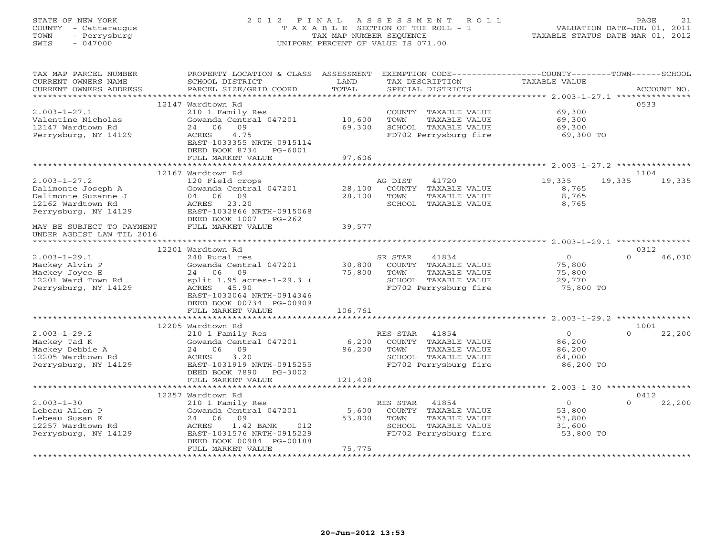### STATE OF NEW YORK 2 0 1 2 F I N A L A S S E S S M E N T R O L L PAGE 21 COUNTY - Cattaraugus T A X A B L E SECTION OF THE ROLL - 1 VALUATION DATE-JUL 01, 2011 TOWN - Perrysburg TAX MAP NUMBER SEQUENCE TAXABLE STATUS DATE-MAR 01, 2012 SWIS - 047000 UNIFORM PERCENT OF VALUE IS 071.00UNIFORM PERCENT OF VALUE IS 071.00

| TAX MAP PARCEL NUMBER<br>CURRENT OWNERS NAME<br>CURRENT OWNERS ADDRESS | PROPERTY LOCATION & CLASS ASSESSMENT<br>SCHOOL DISTRICT<br>PARCEL SIZE/GRID COORD | LAND<br>TOTAL            | TAX DESCRIPTION<br>SPECIAL DISTRICTS |               | EXEMPTION CODE----------------COUNTY-------TOWN-----SCHOOL<br>TAXABLE VALUE |          | ACCOUNT NO. |
|------------------------------------------------------------------------|-----------------------------------------------------------------------------------|--------------------------|--------------------------------------|---------------|-----------------------------------------------------------------------------|----------|-------------|
|                                                                        |                                                                                   |                          |                                      |               |                                                                             |          |             |
|                                                                        | 12147 Wardtown Rd                                                                 |                          |                                      |               |                                                                             |          | 0533        |
| $2.003 - 1 - 27.1$                                                     | 210 1 Family Res                                                                  |                          | COUNTY TAXABLE VALUE                 |               | 69,300                                                                      |          |             |
| Valentine Nicholas                                                     | Gowanda Central 047201                                                            | 10,600                   | TOWN                                 | TAXABLE VALUE | 69,300                                                                      |          |             |
| 12147 Wardtown Rd                                                      | 24 06<br>09                                                                       | 69,300                   | SCHOOL TAXABLE VALUE                 |               | 69,300                                                                      |          |             |
| Perrysburg, NY 14129                                                   | ACRES<br>4.75                                                                     |                          | FD702 Perrysburg fire                |               | 69,300 TO                                                                   |          |             |
|                                                                        | EAST-1033355 NRTH-0915114                                                         |                          |                                      |               |                                                                             |          |             |
|                                                                        | DEED BOOK 8734 PG-6001<br>FULL MARKET VALUE                                       | 97,606                   |                                      |               |                                                                             |          |             |
|                                                                        |                                                                                   |                          |                                      |               |                                                                             |          |             |
|                                                                        | 12167 Wardtown Rd                                                                 |                          |                                      |               |                                                                             |          | 1104        |
| $2.003 - 1 - 27.2$                                                     | 120 Field crops                                                                   |                          | AG DIST<br>41720                     |               | 19,335                                                                      | 19,335   | 19,335      |
| Dalimonte Joseph A                                                     | Gowanda Central 047201                                                            | 28,100                   | COUNTY TAXABLE VALUE                 |               | 8,765                                                                       |          |             |
| Dalimonte Suzanne J                                                    | 04 06 09                                                                          | 28,100                   | TOWN                                 | TAXABLE VALUE | 8,765                                                                       |          |             |
| 12162 Wardtown Rd                                                      | ACRES 23.20                                                                       |                          | SCHOOL TAXABLE VALUE                 |               | 8,765                                                                       |          |             |
| Perrysburg, NY 14129                                                   | EAST-1032866 NRTH-0915068                                                         |                          |                                      |               |                                                                             |          |             |
|                                                                        | DEED BOOK 1007 PG-262                                                             |                          |                                      |               |                                                                             |          |             |
| MAY BE SUBJECT TO PAYMENT                                              | FULL MARKET VALUE                                                                 | 39,577                   |                                      |               |                                                                             |          |             |
| UNDER AGDIST LAW TIL 2016                                              |                                                                                   |                          |                                      |               |                                                                             |          |             |
|                                                                        |                                                                                   |                          |                                      |               |                                                                             |          |             |
|                                                                        | 12201 Wardtown Rd                                                                 |                          |                                      |               |                                                                             |          | 0312        |
| $2.003 - 1 - 29.1$                                                     | 240 Rural res                                                                     |                          | 41834<br>SR STAR                     |               | $\overline{0}$                                                              | $\Omega$ | 46,030      |
| Mackey Alvin P                                                         | Gowanda Central 047201                                                            | 30,800                   | COUNTY TAXABLE VALUE                 |               | 75,800                                                                      |          |             |
| Mackey Joyce E<br>12201 Ward Town Rd                                   | 24 06<br>09<br>split 1.95 acres-1-29.3 (                                          | 75,800                   | TOWN<br>SCHOOL TAXABLE VALUE         | TAXABLE VALUE | 75,800<br>29,770                                                            |          |             |
| Perrysburg, NY 14129                                                   | ACRES 45.90                                                                       |                          | FD702 Perrysburg fire                |               | 75,800 TO                                                                   |          |             |
|                                                                        | EAST-1032064 NRTH-0914346                                                         |                          |                                      |               |                                                                             |          |             |
|                                                                        | DEED BOOK 00734 PG-00909                                                          |                          |                                      |               |                                                                             |          |             |
|                                                                        | FULL MARKET VALUE                                                                 | 106,761                  |                                      |               |                                                                             |          |             |
|                                                                        |                                                                                   |                          |                                      |               |                                                                             |          |             |
|                                                                        | 12205 Wardtown Rd                                                                 |                          |                                      |               |                                                                             |          | 1001        |
| $2.003 - 1 - 29.2$                                                     | 210 1 Family Res                                                                  |                          | RES STAR 41854                       |               | $\circ$                                                                     | $\Omega$ | 22,200      |
| Mackey Tad K                                                           | Gowanda Central 047201                                                            | 6,200                    | COUNTY TAXABLE VALUE                 |               | 86,200                                                                      |          |             |
| Mackey Debbie A                                                        | 09<br>24 06                                                                       | 86,200                   | TOWN                                 | TAXABLE VALUE | 86,200                                                                      |          |             |
| 12205 Wardtown Rd                                                      | 3.20<br>ACRES                                                                     |                          | SCHOOL TAXABLE VALUE                 |               | 64,000                                                                      |          |             |
| Perrysburg, NY 14129                                                   | EAST-1031919 NRTH-0915255                                                         |                          | FD702 Perrysburg fire                |               | 86,200 TO                                                                   |          |             |
|                                                                        | DEED BOOK 7890<br>PG-3002                                                         |                          |                                      |               |                                                                             |          |             |
|                                                                        | FULL MARKET VALUE                                                                 | 121,408<br>************* |                                      |               |                                                                             |          |             |
|                                                                        | 12257 Wardtown Rd                                                                 |                          |                                      |               |                                                                             |          | 0412        |
| $2.003 - 1 - 30$                                                       | 210 1 Family Res                                                                  |                          | RES STAR<br>41854                    |               | $\Omega$                                                                    | $\Omega$ | 22,200      |
| Lebeau Allen P                                                         | Gowanda Central 047201                                                            | 5,600                    | COUNTY TAXABLE VALUE                 |               | 53,800                                                                      |          |             |
| Lebeau Susan E                                                         | 24 06<br>09                                                                       | 53,800                   | TOWN                                 | TAXABLE VALUE | 53,800                                                                      |          |             |
| 12257 Wardtown Rd                                                      | ACRES<br>1.42 BANK<br>012                                                         |                          | SCHOOL TAXABLE VALUE                 |               | 31,600                                                                      |          |             |
| Perrysburg, NY 14129                                                   | EAST-1031576 NRTH-0915229                                                         |                          | FD702 Perrysburg fire                |               | 53,800 TO                                                                   |          |             |
|                                                                        | DEED BOOK 00984 PG-00188                                                          |                          |                                      |               |                                                                             |          |             |
|                                                                        | FULL MARKET VALUE                                                                 | 75,775                   |                                      |               |                                                                             |          |             |
|                                                                        |                                                                                   | *****************        |                                      |               |                                                                             |          |             |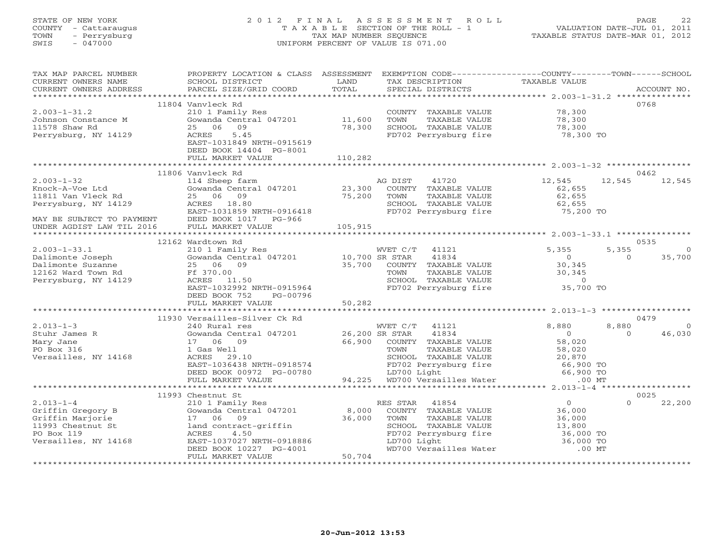# STATE OF NEW YORK 2 0 1 2 F I N A L A S S E S S M E N T R O L L PAGE 22 COUNTY - Cattaraugus T A X A B L E SECTION OF THE ROLL - 1 VALUATION DATE-JUL 01, 2011 TOWN - Perrysburg TAX MAP NUMBER SEQUENCE TAXABLE STATUS DATE-MAR 01, 2012 SWIS - 047000 UNIFORM PERCENT OF VALUE IS 071.00

| TAX MAP PARCEL NUMBER<br>CURRENT OWNERS NAME<br>CURRENT OWNERS ADDRESS | PROPERTY LOCATION & CLASS ASSESSMENT<br>SCHOOL DISTRICT<br>PARCEL SIZE/GRID COORD | LAND<br>TOTAL | EXEMPTION CODE-----------------COUNTY-------TOWN------SCHOOL<br>TAX DESCRIPTION<br>SPECIAL DISTRICTS | TAXABLE VALUE         | ACCOUNT NO.                   |
|------------------------------------------------------------------------|-----------------------------------------------------------------------------------|---------------|------------------------------------------------------------------------------------------------------|-----------------------|-------------------------------|
|                                                                        |                                                                                   |               |                                                                                                      |                       |                               |
|                                                                        | 11804 Vanvleck Rd                                                                 |               |                                                                                                      |                       | 0768                          |
| $2.003 - 1 - 31.2$                                                     | 210 1 Family Res                                                                  |               | COUNTY TAXABLE VALUE                                                                                 | 78,300                |                               |
| Johnson Constance M                                                    | Gowanda Central 047201 11,600                                                     |               | TAXABLE VALUE<br>TOWN                                                                                | 78,300                |                               |
| 11578 Shaw Rd                                                          | 25 06<br>09                                                                       | 78,300        | SCHOOL TAXABLE VALUE                                                                                 | 78,300                |                               |
| Perrysburg, NY 14129                                                   | 5.45<br>ACRES                                                                     |               | FD702 Perrysburg fire                                                                                | 78,300 TO             |                               |
|                                                                        | EAST-1031849 NRTH-0915619                                                         |               |                                                                                                      |                       |                               |
|                                                                        | DEED BOOK 14404 PG-8001<br>FULL MARKET VALUE                                      | 110,282       |                                                                                                      |                       |                               |
|                                                                        |                                                                                   |               |                                                                                                      |                       |                               |
|                                                                        | 11806 Vanvleck Rd                                                                 |               |                                                                                                      |                       | 0462                          |
| $2.003 - 1 - 32$                                                       | 114 Sheep farm                                                                    |               | AG DIST<br>41720                                                                                     | 12,545                | 12,545<br>12,545              |
| Knock-A-Voe Ltd                                                        | Gowanda Central 047201 23,300                                                     |               | COUNTY TAXABLE VALUE                                                                                 | 62,655                |                               |
| 11811 Van Vleck Rd                                                     | 25 06 09                                                                          | 75,200        | TAXABLE VALUE<br>TOWN                                                                                | 62,655                |                               |
| Perrysburg, NY 14129                                                   | ACRES 18.80                                                                       |               | SCHOOL TAXABLE VALUE<br>FD702 Perrysburg fire                                                        | 62,655                |                               |
|                                                                        | EAST-1031859 NRTH-0916418                                                         |               |                                                                                                      | 75,200 TO             |                               |
| MAY BE SUBJECT TO PAYMENT                                              | DEED BOOK 1017 PG-966                                                             |               |                                                                                                      |                       |                               |
| UNDER AGDIST LAW TIL 2016                                              | FULL MARKET VALUE                                                                 | 105,915       |                                                                                                      |                       |                               |
|                                                                        |                                                                                   |               |                                                                                                      |                       |                               |
|                                                                        | 12162 Wardtown Rd                                                                 |               |                                                                                                      |                       | 0535                          |
| $2.003 - 1 - 33.1$                                                     | 210 1 Family Res<br>Gowanda Central 047201 10,700 SR STAR                         |               | WVET C/T<br>41121                                                                                    | 5,355<br>$\Omega$     | 5,355<br>$\Omega$<br>$\Omega$ |
| Dalimonte Joseph<br>Dalimonte Suzanne                                  | 25 06 09                                                                          |               | 41834<br>35,700 COUNTY TAXABLE VALUE                                                                 | 30,345                | 35,700                        |
| 12162 Ward Town Rd                                                     | Ff 370.00                                                                         |               | TOWN<br>TAXABLE VALUE                                                                                | 30,345                |                               |
| Perrysburg, NY 14129                                                   | ACRES 11.50                                                                       |               | SCHOOL TAXABLE VALUE                                                                                 | $\overline{0}$        |                               |
|                                                                        | EAST-1032992 NRTH-0915964                                                         |               | FD702 Perrysburg fire                                                                                | 35,700 TO             |                               |
|                                                                        | DEED BOOK 752<br>PG-00796                                                         |               |                                                                                                      |                       |                               |
|                                                                        | FULL MARKET VALUE                                                                 | 50,282        |                                                                                                      |                       |                               |
|                                                                        |                                                                                   |               |                                                                                                      |                       |                               |
|                                                                        | 11930 Versailles-Silver Ck Rd                                                     |               |                                                                                                      |                       | 0479                          |
| $2.013 - 1 - 3$                                                        | 240 Rural res                                                                     |               | WVET C/T 41121                                                                                       | 8,880                 | 8,880<br>$\Omega$             |
| Stuhr James R                                                          | Gowanda Central 047201 26,200 SR STAR                                             |               | 41834                                                                                                | $\overline{0}$        | 46,030<br>$\Omega$            |
| Mary Jane                                                              | 17 06 09                                                                          | 66,900        | COUNTY TAXABLE VALUE                                                                                 | 58,020                |                               |
| PO Box 316<br>Versailles, NY 14168                                     | 1 Gas Well<br>ACRES<br>29.10                                                      |               | TAXABLE VALUE<br>TOWN<br>SCHOOL TAXABLE VALUE                                                        | 58,020<br>20,870      |                               |
|                                                                        | EAST-1036438 NRTH-0918574                                                         |               |                                                                                                      | 66,900 TO             |                               |
|                                                                        | DEED BOOK 00972 PG-00780                                                          |               | FD702 Perrysburg fire<br>LD702 Perrysburg fire<br>LD700 Light                                        | 66,900 TO             |                               |
|                                                                        | FULL MARKET VALUE                                                                 | 94,225        | WD700 Versailles Water                                                                               | $.00$ MT              |                               |
|                                                                        | ********************************                                                  |               | ************************************** 2.013-1-4 ******                                              |                       |                               |
|                                                                        | 11993 Chestnut St                                                                 |               |                                                                                                      |                       | 0025                          |
| $2.013 - 1 - 4$                                                        | 210 1 Family Res                                                                  |               | RES STAR<br>41854                                                                                    | $\Omega$              | 22,200<br>$\Omega$            |
| Griffin Gregory B                                                      | Gowanda Central 047201                                                            | 8,000         | COUNTY TAXABLE VALUE                                                                                 | 36,000                |                               |
| Griffin Marjorie                                                       | 17 06 09                                                                          | 36,000        | TOWN<br>TAXABLE VALUE                                                                                | 36,000                |                               |
| 11993 Chestnut St                                                      | land contract-griffin                                                             |               | SCHOOL TAXABLE VALUE                                                                                 | 13,800                |                               |
| PO Box 119                                                             | ACRES<br>4.50                                                                     |               | FD702 Perrysburg fire                                                                                | 36,000 TO             |                               |
| Versailles, NY 14168                                                   | EAST-1037027 NRTH-0918886<br>DEED BOOK 10227 PG-4001                              |               | LD700 Light<br>WD700 Versailles Water                                                                | 36,000 TO<br>$.00$ MT |                               |
|                                                                        | FULL MARKET VALUE                                                                 | 50,704        |                                                                                                      |                       |                               |
|                                                                        |                                                                                   |               |                                                                                                      |                       |                               |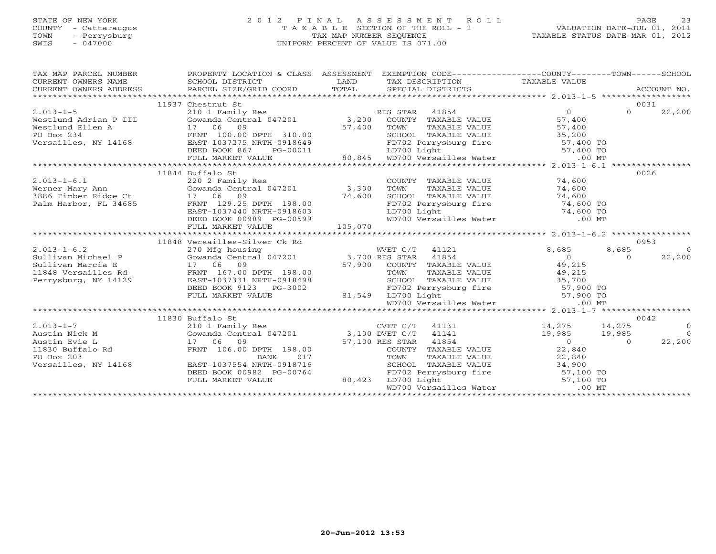### STATE OF NEW YORK 2 0 1 2 F I N A L A S S E S S M E N T R O L L PAGE 23 COUNTY - Cattaraugus T A X A B L E SECTION OF THE ROLL - 1 VALUATION DATE-JUL 01, 2011 TOWN - Perrysburg TAX MAP NUMBER SEQUENCE TAXABLE STATUS DATE-MAR 01, 2012 SWIS - 047000 UNIFORM PERCENT OF VALUE IS 071.00

| TAX MAP PARCEL NUMBER                                                                                                                                                                                                                                                                                                                                                                                    | PROPERTY LOCATION & CLASS ASSESSMENT EXEMPTION CODE-----------------COUNTY-------TOWN------SCHOOL              |                  |                                                                                                                                                                              |                      |                                  |
|----------------------------------------------------------------------------------------------------------------------------------------------------------------------------------------------------------------------------------------------------------------------------------------------------------------------------------------------------------------------------------------------------------|----------------------------------------------------------------------------------------------------------------|------------------|------------------------------------------------------------------------------------------------------------------------------------------------------------------------------|----------------------|----------------------------------|
|                                                                                                                                                                                                                                                                                                                                                                                                          | 11937 Chestnut St                                                                                              |                  |                                                                                                                                                                              |                      | 0031                             |
|                                                                                                                                                                                                                                                                                                                                                                                                          |                                                                                                                |                  |                                                                                                                                                                              |                      |                                  |
| $\begin{tabular}{lllllllllll} 2.013-1-5 & 1193 / \text{Cosestult} & 0 & 0031 \\ & 210 & 1 & \text{Family Res} & \text{RES STAR} & 41854 & 0 & 031 \\ \text{Westlund Adrian P III} & \text{Gowanda Central 047201} & 3,200 & \text{COUNTY TAXABLE VALUE} & 57,400 \\ & 17 & 06 & 09 & 22,200 \\ \text{Westlund Ellen A} & 17 & 06 & 09 \\ \text{PO Box 234} & \text{FRNT} & 100.00 \text{ DPTH} & 310.00$ |                                                                                                                |                  |                                                                                                                                                                              |                      |                                  |
|                                                                                                                                                                                                                                                                                                                                                                                                          |                                                                                                                |                  |                                                                                                                                                                              |                      |                                  |
|                                                                                                                                                                                                                                                                                                                                                                                                          |                                                                                                                |                  |                                                                                                                                                                              |                      |                                  |
|                                                                                                                                                                                                                                                                                                                                                                                                          |                                                                                                                |                  |                                                                                                                                                                              |                      |                                  |
|                                                                                                                                                                                                                                                                                                                                                                                                          |                                                                                                                |                  |                                                                                                                                                                              |                      |                                  |
|                                                                                                                                                                                                                                                                                                                                                                                                          |                                                                                                                |                  |                                                                                                                                                                              |                      |                                  |
|                                                                                                                                                                                                                                                                                                                                                                                                          |                                                                                                                |                  |                                                                                                                                                                              |                      |                                  |
|                                                                                                                                                                                                                                                                                                                                                                                                          | 11844 Buffalo St                                                                                               |                  |                                                                                                                                                                              |                      | 0026                             |
|                                                                                                                                                                                                                                                                                                                                                                                                          |                                                                                                                |                  | COUNTY TAXABLE VALUE 74,600                                                                                                                                                  |                      |                                  |
|                                                                                                                                                                                                                                                                                                                                                                                                          |                                                                                                                |                  | TOWN                                                                                                                                                                         | TAXABLE VALUE 74,600 |                                  |
|                                                                                                                                                                                                                                                                                                                                                                                                          |                                                                                                                |                  |                                                                                                                                                                              |                      |                                  |
|                                                                                                                                                                                                                                                                                                                                                                                                          |                                                                                                                |                  |                                                                                                                                                                              |                      |                                  |
|                                                                                                                                                                                                                                                                                                                                                                                                          | 17 06 09 74,600<br>FRNT 129.25 DPTH 198.00 74,600<br>EAST-1037440 NRTH-0918603                                 |                  | CHOOL TAXABLE VALUE<br>FD702 Perrysburg fire 74,600 TO<br>LD700 Light 74,600 TO<br>WD700 Versailles Water 00 MT                                                              |                      |                                  |
|                                                                                                                                                                                                                                                                                                                                                                                                          | DEED BOOK 00989 PG-00599                                                                                       |                  |                                                                                                                                                                              |                      |                                  |
|                                                                                                                                                                                                                                                                                                                                                                                                          |                                                                                                                |                  |                                                                                                                                                                              |                      |                                  |
|                                                                                                                                                                                                                                                                                                                                                                                                          |                                                                                                                |                  |                                                                                                                                                                              |                      |                                  |
|                                                                                                                                                                                                                                                                                                                                                                                                          |                                                                                                                |                  |                                                                                                                                                                              |                      | 0953                             |
| $2.013 - 1 - 6.2$                                                                                                                                                                                                                                                                                                                                                                                        |                                                                                                                |                  | WVET C/T 41121                                                                                                                                                               | 8,685                | 8,685<br>$\overline{0}$          |
|                                                                                                                                                                                                                                                                                                                                                                                                          |                                                                                                                |                  |                                                                                                                                                                              |                      |                                  |
|                                                                                                                                                                                                                                                                                                                                                                                                          | 11848 Versailles-Silver Ck Rd<br>270 Mfg housing MVET C/T 41121<br>Gowanda Central 047201 3,700 RES STAR 41854 |                  |                                                                                                                                                                              |                      | 22,200<br>$\Omega$               |
|                                                                                                                                                                                                                                                                                                                                                                                                          |                                                                                                                |                  |                                                                                                                                                                              |                      |                                  |
|                                                                                                                                                                                                                                                                                                                                                                                                          |                                                                                                                |                  |                                                                                                                                                                              |                      |                                  |
|                                                                                                                                                                                                                                                                                                                                                                                                          |                                                                                                                |                  |                                                                                                                                                                              |                      |                                  |
|                                                                                                                                                                                                                                                                                                                                                                                                          |                                                                                                                |                  |                                                                                                                                                                              |                      |                                  |
|                                                                                                                                                                                                                                                                                                                                                                                                          |                                                                                                                |                  |                                                                                                                                                                              |                      |                                  |
|                                                                                                                                                                                                                                                                                                                                                                                                          |                                                                                                                |                  |                                                                                                                                                                              |                      |                                  |
|                                                                                                                                                                                                                                                                                                                                                                                                          |                                                                                                                |                  |                                                                                                                                                                              |                      |                                  |
| Sullivan Marcia E 3,700 RES STAR 41854<br>17 06 09 57,900 COUNTY TAXABLE VALUE 49,215<br>11848 Versailles Rd FRNT 167.00 DPTH 198.00 57,900 COUNTY TAXABLE VALUE 49,215<br>Perrysburg, NY 14129 EAST-1037331 NRTH-0918498 SCHOOL TAX                                                                                                                                                                     | 11830 Buffalo St                                                                                               |                  |                                                                                                                                                                              |                      | 0042                             |
|                                                                                                                                                                                                                                                                                                                                                                                                          |                                                                                                                |                  |                                                                                                                                                                              |                      |                                  |
|                                                                                                                                                                                                                                                                                                                                                                                                          |                                                                                                                |                  |                                                                                                                                                                              |                      | $\begin{matrix}0\\0\end{matrix}$ |
|                                                                                                                                                                                                                                                                                                                                                                                                          |                                                                                                                |                  |                                                                                                                                                                              |                      | 22,200                           |
|                                                                                                                                                                                                                                                                                                                                                                                                          | FRNT 106.00 DPTH 198.00                                                                                        |                  | $57,100$ RES STAR $41854$<br>COUNTY TAXABLE<br>COUNTY TAXABLE VALUE 22,840                                                                                                   |                      |                                  |
|                                                                                                                                                                                                                                                                                                                                                                                                          | BANK                                                                                                           |                  |                                                                                                                                                                              |                      |                                  |
| 2.013-1-7<br>2101 Family<br>Austin Nick M<br>310 1 Family<br>4 Gowanda Centr<br>Austin Evie L<br>17 06 09<br>11830 Buffalo Rd<br>PO Box 203<br>Versailles, NY 14168<br>EAST-1037554                                                                                                                                                                                                                      | EAST-1037554 NRTH-0918716                                                                                      | 017              |                                                                                                                                                                              |                      |                                  |
|                                                                                                                                                                                                                                                                                                                                                                                                          | DEED BOOK 00982 PG-00764                                                                                       |                  |                                                                                                                                                                              |                      |                                  |
|                                                                                                                                                                                                                                                                                                                                                                                                          | FULL MARKET VALUE                                                                                              | $G-00764$ 80,423 | TOWN TAXABLE VALUE<br>TOWN TAXABLE VALUE<br>SCHOOL TAXABLE VALUE<br>FD702 Perrysburg fire<br>LD700 Light<br>WD700 Versailles Water 67,100 TO<br>MD700 Versailles Water 00 MT |                      |                                  |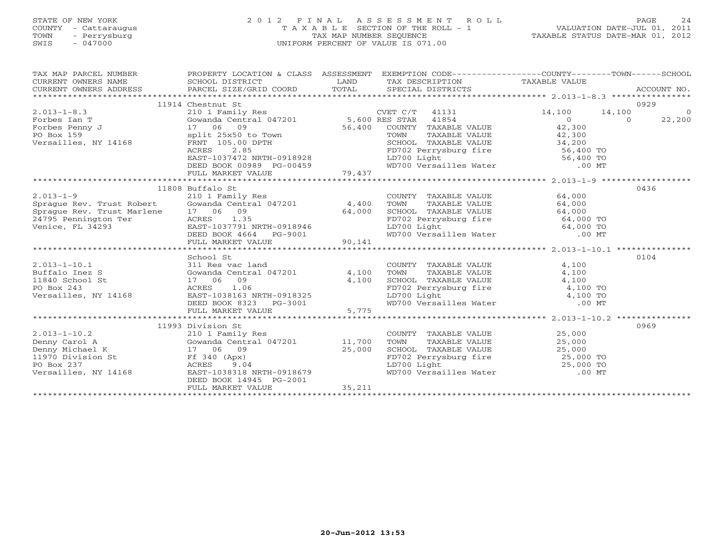### STATE OF NEW YORK 2 0 1 2 F I N A L A S S E S S M E N T R O L L PAGE 24 COUNTY - Cattaraugus T A X A B L E SECTION OF THE ROLL - 1 VALUATION DATE-JUL 01, 2011 TOWN - Perrysburg TAX MAP NUMBER SEQUENCE TAXABLE STATUS DATE-MAR 01, 2012 SWIS - 047000 UNIFORM PERCENT OF VALUE IS 071.00UNIFORM PERCENT OF VALUE IS 071.00

| TAX MAP PARCEL NUMBER                                                                                                                                                                                                                                                                                                                                                                                                           | PROPERTY LOCATION & CLASS ASSESSMENT EXEMPTION CODE-----------------COUNTY-------TOWN------SCHOOL |  | ACCOUNT NO. |
|---------------------------------------------------------------------------------------------------------------------------------------------------------------------------------------------------------------------------------------------------------------------------------------------------------------------------------------------------------------------------------------------------------------------------------|---------------------------------------------------------------------------------------------------|--|-------------|
|                                                                                                                                                                                                                                                                                                                                                                                                                                 | 11914 Chestnut St                                                                                 |  | 0929        |
|                                                                                                                                                                                                                                                                                                                                                                                                                                 |                                                                                                   |  |             |
|                                                                                                                                                                                                                                                                                                                                                                                                                                 |                                                                                                   |  |             |
|                                                                                                                                                                                                                                                                                                                                                                                                                                 |                                                                                                   |  |             |
|                                                                                                                                                                                                                                                                                                                                                                                                                                 |                                                                                                   |  |             |
|                                                                                                                                                                                                                                                                                                                                                                                                                                 |                                                                                                   |  |             |
|                                                                                                                                                                                                                                                                                                                                                                                                                                 |                                                                                                   |  |             |
|                                                                                                                                                                                                                                                                                                                                                                                                                                 |                                                                                                   |  |             |
|                                                                                                                                                                                                                                                                                                                                                                                                                                 |                                                                                                   |  |             |
|                                                                                                                                                                                                                                                                                                                                                                                                                                 |                                                                                                   |  |             |
|                                                                                                                                                                                                                                                                                                                                                                                                                                 |                                                                                                   |  |             |
|                                                                                                                                                                                                                                                                                                                                                                                                                                 | 11808 Buffalo St                                                                                  |  | 0436        |
|                                                                                                                                                                                                                                                                                                                                                                                                                                 |                                                                                                   |  |             |
|                                                                                                                                                                                                                                                                                                                                                                                                                                 |                                                                                                   |  |             |
|                                                                                                                                                                                                                                                                                                                                                                                                                                 |                                                                                                   |  |             |
|                                                                                                                                                                                                                                                                                                                                                                                                                                 |                                                                                                   |  |             |
|                                                                                                                                                                                                                                                                                                                                                                                                                                 |                                                                                                   |  |             |
| $\begin{tabular}{lcccccc} 2.013-1-9 & 11808 \text{ Buffalo St} & 210 1 \text{ Family Res} & 210 1 \text{ Family Res} & 64,000 \text{3 \text{image Rev. Trust Robert} & 64,000 \text{4 \text{poly}} & 64,000 \text{3 \text{image Rev. Trust March} & 64,000 \text{4 \text{poly}} & 64,000 \text{3 \text{poly}} & 64,000 \text{3 \text{poly}} & 64,000 \text{3 \text{poly}} & 64,000 \text{3 \text{poly}} & 64,000 \text{3 \text$ |                                                                                                   |  |             |
|                                                                                                                                                                                                                                                                                                                                                                                                                                 |                                                                                                   |  |             |
|                                                                                                                                                                                                                                                                                                                                                                                                                                 | School St                                                                                         |  | 0104        |
|                                                                                                                                                                                                                                                                                                                                                                                                                                 |                                                                                                   |  |             |
|                                                                                                                                                                                                                                                                                                                                                                                                                                 |                                                                                                   |  |             |
|                                                                                                                                                                                                                                                                                                                                                                                                                                 |                                                                                                   |  |             |
|                                                                                                                                                                                                                                                                                                                                                                                                                                 |                                                                                                   |  |             |
|                                                                                                                                                                                                                                                                                                                                                                                                                                 |                                                                                                   |  |             |
|                                                                                                                                                                                                                                                                                                                                                                                                                                 |                                                                                                   |  |             |
|                                                                                                                                                                                                                                                                                                                                                                                                                                 |                                                                                                   |  |             |
|                                                                                                                                                                                                                                                                                                                                                                                                                                 | 11993 Division St                                                                                 |  | 0969        |
|                                                                                                                                                                                                                                                                                                                                                                                                                                 |                                                                                                   |  |             |
|                                                                                                                                                                                                                                                                                                                                                                                                                                 |                                                                                                   |  |             |
|                                                                                                                                                                                                                                                                                                                                                                                                                                 |                                                                                                   |  |             |
|                                                                                                                                                                                                                                                                                                                                                                                                                                 |                                                                                                   |  |             |
|                                                                                                                                                                                                                                                                                                                                                                                                                                 |                                                                                                   |  |             |
|                                                                                                                                                                                                                                                                                                                                                                                                                                 |                                                                                                   |  |             |
|                                                                                                                                                                                                                                                                                                                                                                                                                                 | DEED BOOK 14945 PG-2001                                                                           |  |             |
|                                                                                                                                                                                                                                                                                                                                                                                                                                 |                                                                                                   |  |             |
|                                                                                                                                                                                                                                                                                                                                                                                                                                 |                                                                                                   |  |             |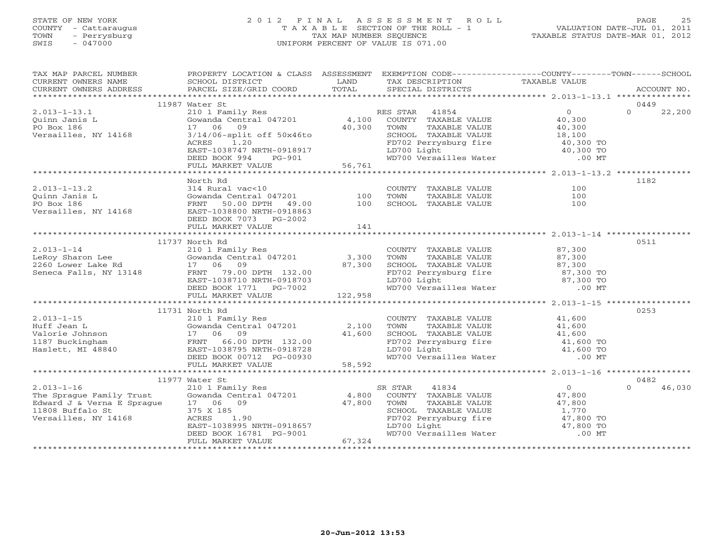# STATE OF NEW YORK 2 0 1 2 F I N A L A S S E S S M E N T R O L L PAGE 25 COUNTY - Cattaraugus T A X A B L E SECTION OF THE ROLL - 1 VALUATION DATE-JUL 01, 2011 TOWN - Perrysburg TAX MAP NUMBER SEQUENCE TAXABLE STATUS DATE-MAR 01, 2012 SWIS - 047000 UNIFORM PERCENT OF VALUE IS 071.00

| TAX MAP PARCEL NUMBER                                                                                                                                                                                                                                                                                                                                               | PROPERTY LOCATION & CLASS ASSESSMENT EXEMPTION CODE----------------COUNTY-------TOWN------SCHOOL                                                                                                                                           |                          |                    |
|---------------------------------------------------------------------------------------------------------------------------------------------------------------------------------------------------------------------------------------------------------------------------------------------------------------------------------------------------------------------|--------------------------------------------------------------------------------------------------------------------------------------------------------------------------------------------------------------------------------------------|--------------------------|--------------------|
|                                                                                                                                                                                                                                                                                                                                                                     |                                                                                                                                                                                                                                            |                          |                    |
|                                                                                                                                                                                                                                                                                                                                                                     |                                                                                                                                                                                                                                            |                          |                    |
|                                                                                                                                                                                                                                                                                                                                                                     |                                                                                                                                                                                                                                            |                          |                    |
|                                                                                                                                                                                                                                                                                                                                                                     | 11987 Water St                                                                                                                                                                                                                             |                          | 0449               |
| 2.013-1-13.1<br>Quinn Janis L<br>PO Box 186<br>Versailles, NY 14168                                                                                                                                                                                                                                                                                                 |                                                                                                                                                                                                                                            |                          |                    |
|                                                                                                                                                                                                                                                                                                                                                                     |                                                                                                                                                                                                                                            |                          |                    |
|                                                                                                                                                                                                                                                                                                                                                                     |                                                                                                                                                                                                                                            |                          |                    |
|                                                                                                                                                                                                                                                                                                                                                                     |                                                                                                                                                                                                                                            |                          |                    |
|                                                                                                                                                                                                                                                                                                                                                                     |                                                                                                                                                                                                                                            |                          |                    |
|                                                                                                                                                                                                                                                                                                                                                                     |                                                                                                                                                                                                                                            |                          |                    |
|                                                                                                                                                                                                                                                                                                                                                                     |                                                                                                                                                                                                                                            |                          |                    |
|                                                                                                                                                                                                                                                                                                                                                                     |                                                                                                                                                                                                                                            |                          |                    |
|                                                                                                                                                                                                                                                                                                                                                                     | North Rd                                                                                                                                                                                                                                   |                          | 1182               |
|                                                                                                                                                                                                                                                                                                                                                                     |                                                                                                                                                                                                                                            | COUNTY TAXABLE VALUE 100 |                    |
|                                                                                                                                                                                                                                                                                                                                                                     |                                                                                                                                                                                                                                            |                          |                    |
|                                                                                                                                                                                                                                                                                                                                                                     |                                                                                                                                                                                                                                            |                          |                    |
|                                                                                                                                                                                                                                                                                                                                                                     |                                                                                                                                                                                                                                            |                          |                    |
|                                                                                                                                                                                                                                                                                                                                                                     |                                                                                                                                                                                                                                            |                          |                    |
|                                                                                                                                                                                                                                                                                                                                                                     |                                                                                                                                                                                                                                            |                          |                    |
|                                                                                                                                                                                                                                                                                                                                                                     |                                                                                                                                                                                                                                            |                          |                    |
|                                                                                                                                                                                                                                                                                                                                                                     | 11737 North Rd                                                                                                                                                                                                                             |                          | 0511               |
|                                                                                                                                                                                                                                                                                                                                                                     |                                                                                                                                                                                                                                            |                          |                    |
|                                                                                                                                                                                                                                                                                                                                                                     |                                                                                                                                                                                                                                            |                          |                    |
|                                                                                                                                                                                                                                                                                                                                                                     |                                                                                                                                                                                                                                            |                          |                    |
|                                                                                                                                                                                                                                                                                                                                                                     |                                                                                                                                                                                                                                            |                          |                    |
|                                                                                                                                                                                                                                                                                                                                                                     |                                                                                                                                                                                                                                            |                          |                    |
|                                                                                                                                                                                                                                                                                                                                                                     |                                                                                                                                                                                                                                            |                          |                    |
|                                                                                                                                                                                                                                                                                                                                                                     |                                                                                                                                                                                                                                            |                          |                    |
| $\begin{tabular}{c c c c c c c c c} \multicolumn{1}{c}{\begin{tabular}{c} $11/3' & $11/3' & $11/3' & $11/3' & $11/3' & $11/3' & $11/3' & $11/3' & $11/3' & $11/3' & $11/3' & $11/3' & $11/3' & $11/3' & $11/3' & $11/3' & $11/3' & $11/3' & $11/3' & $11/3' & $11/3' & $11/3' & $11/3' & $11/3' & $11/3' & $11/3' & $11/3$                                          |                                                                                                                                                                                                                                            |                          |                    |
|                                                                                                                                                                                                                                                                                                                                                                     | 11731 North Rd                                                                                                                                                                                                                             |                          | 0253               |
|                                                                                                                                                                                                                                                                                                                                                                     |                                                                                                                                                                                                                                            |                          |                    |
|                                                                                                                                                                                                                                                                                                                                                                     |                                                                                                                                                                                                                                            |                          |                    |
|                                                                                                                                                                                                                                                                                                                                                                     |                                                                                                                                                                                                                                            |                          |                    |
|                                                                                                                                                                                                                                                                                                                                                                     |                                                                                                                                                                                                                                            |                          |                    |
|                                                                                                                                                                                                                                                                                                                                                                     |                                                                                                                                                                                                                                            |                          |                    |
|                                                                                                                                                                                                                                                                                                                                                                     |                                                                                                                                                                                                                                            |                          |                    |
| $\begin{tabular}{lllllllllllllllllllll} \hline 2.013-1-15 & 11731 North Rd & 2101 Family Res & 0253\nHuffman L & Gowanda Central 047201 & 2,100 TOWN TAXABLE VALUE & 41,600\nValorie Johnson & 17 06 09 & 41,600 SCHOOL TAXABLE VALUE & 41,600\nHaslett, MI 48840 & FRNT & 66.00 DPTH 132.00\nHaslett, MI 48840 & EAST-01038795 NRTH-0918728 & LD700 Light & 41,60$ |                                                                                                                                                                                                                                            |                          |                    |
|                                                                                                                                                                                                                                                                                                                                                                     | 11977 Water St                                                                                                                                                                                                                             |                          | 0482               |
| 2.013-1-16<br>The Sprague Family Trust<br>Edward J & Verna E Sprague<br>17 06 09<br>11808 Buffalo St<br>17 06 09<br>11808 Buffalo St<br>1808 Buffalo St<br>1910005                                                                                                                                                                                                  | % Vater St<br>210 1 Family Res<br>Gowanda Central 047201 4,800 COUNTY TAXABLE VALUE 47,800<br>17 06 09 47,800 TOWN TAXABLE VALUE 47,800<br>375 x 185<br>ACRES 1.90 FD702 Perrysburg fire 47,800 TO<br>EAST-1038995 NRTH-0918657 LD700 Ligh |                          | 46,030<br>$\Omega$ |
|                                                                                                                                                                                                                                                                                                                                                                     |                                                                                                                                                                                                                                            |                          |                    |
|                                                                                                                                                                                                                                                                                                                                                                     |                                                                                                                                                                                                                                            |                          |                    |
|                                                                                                                                                                                                                                                                                                                                                                     |                                                                                                                                                                                                                                            |                          |                    |
|                                                                                                                                                                                                                                                                                                                                                                     |                                                                                                                                                                                                                                            |                          |                    |
|                                                                                                                                                                                                                                                                                                                                                                     |                                                                                                                                                                                                                                            |                          |                    |
|                                                                                                                                                                                                                                                                                                                                                                     |                                                                                                                                                                                                                                            |                          |                    |
|                                                                                                                                                                                                                                                                                                                                                                     |                                                                                                                                                                                                                                            |                          |                    |
|                                                                                                                                                                                                                                                                                                                                                                     |                                                                                                                                                                                                                                            |                          |                    |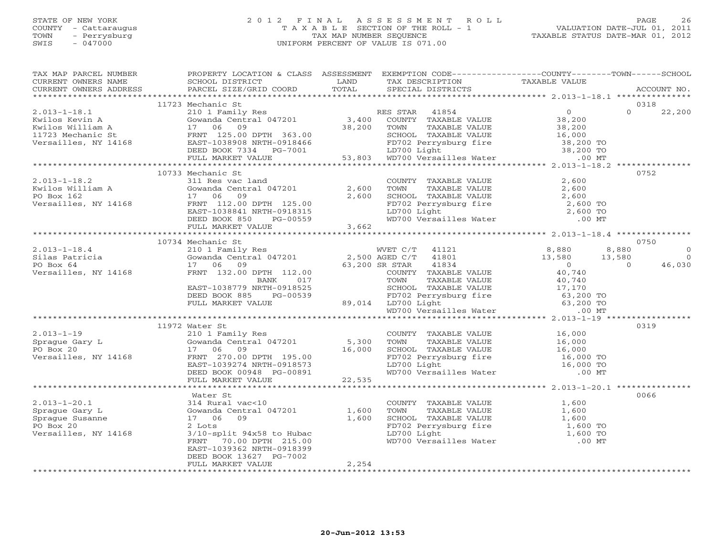### STATE OF NEW YORK 2 0 1 2 F I N A L A S S E S S M E N T R O L L PAGE 26 COUNTY - Cattaraugus T A X A B L E SECTION OF THE ROLL - 1 VALUATION DATE-JUL 01, 2011 TOWN - Perrysburg TAX MAP NUMBER SEQUENCE TAXABLE STATUS DATE-MAR 01, 2012 SWIS - 047000 UNIFORM PERCENT OF VALUE IS 071.00

| TAX MAP PARCEL NUMBER PROPERTY LOCATION & CLASS ASSESSMENT EXEMPTION CODE--------------COUNTY-------TOWN------SCHOOL                                                                                                                                                                                                                                          |       |  |             |
|---------------------------------------------------------------------------------------------------------------------------------------------------------------------------------------------------------------------------------------------------------------------------------------------------------------------------------------------------------------|-------|--|-------------|
|                                                                                                                                                                                                                                                                                                                                                               |       |  |             |
|                                                                                                                                                                                                                                                                                                                                                               |       |  | ACCOUNT NO. |
|                                                                                                                                                                                                                                                                                                                                                               |       |  |             |
| 11723 Mechanic St                                                                                                                                                                                                                                                                                                                                             |       |  | 0318        |
|                                                                                                                                                                                                                                                                                                                                                               |       |  |             |
|                                                                                                                                                                                                                                                                                                                                                               |       |  |             |
|                                                                                                                                                                                                                                                                                                                                                               |       |  |             |
|                                                                                                                                                                                                                                                                                                                                                               |       |  |             |
|                                                                                                                                                                                                                                                                                                                                                               |       |  |             |
|                                                                                                                                                                                                                                                                                                                                                               |       |  |             |
|                                                                                                                                                                                                                                                                                                                                                               |       |  |             |
|                                                                                                                                                                                                                                                                                                                                                               |       |  |             |
| 10733 Mechanic St                                                                                                                                                                                                                                                                                                                                             |       |  | 0752        |
|                                                                                                                                                                                                                                                                                                                                                               |       |  |             |
|                                                                                                                                                                                                                                                                                                                                                               |       |  |             |
|                                                                                                                                                                                                                                                                                                                                                               |       |  |             |
|                                                                                                                                                                                                                                                                                                                                                               |       |  |             |
|                                                                                                                                                                                                                                                                                                                                                               |       |  |             |
|                                                                                                                                                                                                                                                                                                                                                               |       |  |             |
|                                                                                                                                                                                                                                                                                                                                                               |       |  |             |
|                                                                                                                                                                                                                                                                                                                                                               |       |  |             |
| 10734 Mechanic St                                                                                                                                                                                                                                                                                                                                             |       |  | 0750        |
|                                                                                                                                                                                                                                                                                                                                                               |       |  |             |
|                                                                                                                                                                                                                                                                                                                                                               |       |  |             |
|                                                                                                                                                                                                                                                                                                                                                               |       |  |             |
|                                                                                                                                                                                                                                                                                                                                                               |       |  |             |
|                                                                                                                                                                                                                                                                                                                                                               |       |  |             |
|                                                                                                                                                                                                                                                                                                                                                               |       |  |             |
|                                                                                                                                                                                                                                                                                                                                                               |       |  |             |
|                                                                                                                                                                                                                                                                                                                                                               |       |  |             |
|                                                                                                                                                                                                                                                                                                                                                               |       |  |             |
|                                                                                                                                                                                                                                                                                                                                                               |       |  |             |
| $\begin{tabular}{c cccc} 2.013-1-18.4 & 10734 Mechanic St. & 10734 Mechanic St. & 10734 Mechanic St. & 10734 Mechanic St. & 10734 Me血 & 10734 Meeuchic & 10734 Meeuchic & 10734 Meeuchic & 10734 Meeuchic & 10734 Meeuchic & 10734 Meeuchic & 10734 Meeuchic & 10734 Meeuchic & 10734 Meeuchic & 10734 Meeuchic & 10734 Meeuchic & 10734 Meeuchic & 10734 Me$ |       |  |             |
| 11972 Water St                                                                                                                                                                                                                                                                                                                                                |       |  | 0319        |
|                                                                                                                                                                                                                                                                                                                                                               |       |  |             |
|                                                                                                                                                                                                                                                                                                                                                               |       |  |             |
|                                                                                                                                                                                                                                                                                                                                                               |       |  |             |
|                                                                                                                                                                                                                                                                                                                                                               |       |  |             |
|                                                                                                                                                                                                                                                                                                                                                               |       |  |             |
|                                                                                                                                                                                                                                                                                                                                                               |       |  |             |
|                                                                                                                                                                                                                                                                                                                                                               |       |  |             |
| $\begin{tabular}{lllllllllllllllllllll} \hline 2.013-1-19 & 11972 \text{ Water St} & 0319 & 0319 & 0319 & 0319 & 0319 & 0319 & 0319 & 0319 & 0319 & 0319 & 0319 & 0319 & 0319 & 0319 & 0319 & 0319 & 0319 & 0319 & 0319 & 0319 & 0319 & 0319 & 0319 & 0319 & 0319 & 0319 & 0319 & 0319 & 0319 &$                                                              |       |  |             |
| Water St                                                                                                                                                                                                                                                                                                                                                      |       |  | 0066        |
|                                                                                                                                                                                                                                                                                                                                                               |       |  |             |
|                                                                                                                                                                                                                                                                                                                                                               |       |  |             |
|                                                                                                                                                                                                                                                                                                                                                               |       |  |             |
|                                                                                                                                                                                                                                                                                                                                                               |       |  |             |
|                                                                                                                                                                                                                                                                                                                                                               |       |  |             |
|                                                                                                                                                                                                                                                                                                                                                               |       |  |             |
| EAST-1039362 NRTH-0918399                                                                                                                                                                                                                                                                                                                                     |       |  |             |
| DEED BOOK 13627 PG-7002                                                                                                                                                                                                                                                                                                                                       |       |  |             |
| FULL MARKET VALUE                                                                                                                                                                                                                                                                                                                                             | 2,254 |  |             |
|                                                                                                                                                                                                                                                                                                                                                               |       |  |             |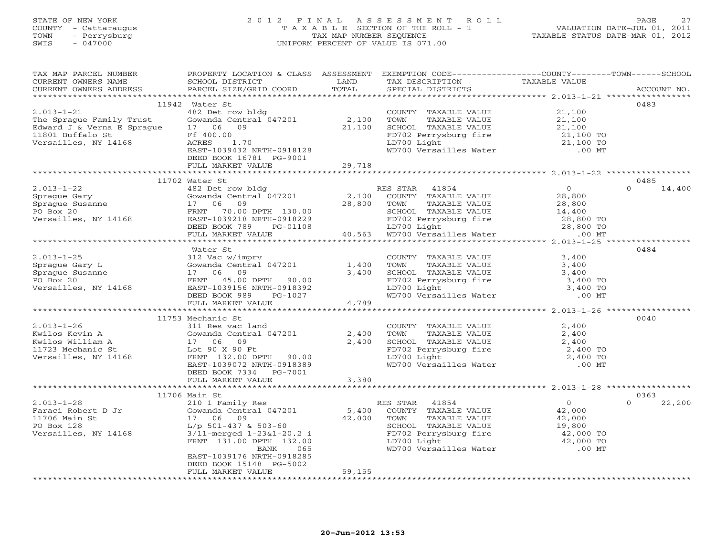# STATE OF NEW YORK 2 0 1 2 F I N A L A S S E S S M E N T R O L L PAGE 27 COUNTY - Cattaraugus T A X A B L E SECTION OF THE ROLL - 1 VALUATION DATE-JUL 01, 2011 TOWN - Perrysburg TAX MAP NUMBER SEQUENCE TAXABLE STATUS DATE-MAR 01, 2012 SWIS - 047000 UNIFORM PERCENT OF VALUE IS 071.00

| TAX MAP PARCEL NUMBER THE PROPERTY LOCATION & CLASS ASSESSMENT EXEMPTION CODE--------------COUNTY-------TOWN------SCHOOL |                           |                                                                                                                        |                                                                                                                                                                         |                                            |                    |
|--------------------------------------------------------------------------------------------------------------------------|---------------------------|------------------------------------------------------------------------------------------------------------------------|-------------------------------------------------------------------------------------------------------------------------------------------------------------------------|--------------------------------------------|--------------------|
| CURRENT OWNERS NAME                                                                                                      | SCHOOL DISTRICT           | <b>EXAMPLE SERVICE SERVICE SERVICE SERVICE SERVICE SERVICE SERVICE SERVICE SERVICE SERVICE SERVICE SERVICE SERVICE</b> | EXEMPTION CODE<br>TAX DESCRIPTION TAXABLE VALUE<br>SPECTAL DISTRICTS                                                                                                    |                                            |                    |
|                                                                                                                          |                           |                                                                                                                        |                                                                                                                                                                         |                                            | ACCOUNT NO.        |
|                                                                                                                          |                           |                                                                                                                        |                                                                                                                                                                         |                                            |                    |
|                                                                                                                          | 11942 Water St            |                                                                                                                        |                                                                                                                                                                         |                                            | 0483               |
|                                                                                                                          |                           |                                                                                                                        |                                                                                                                                                                         |                                            |                    |
|                                                                                                                          |                           |                                                                                                                        |                                                                                                                                                                         |                                            |                    |
|                                                                                                                          |                           |                                                                                                                        |                                                                                                                                                                         |                                            |                    |
|                                                                                                                          |                           |                                                                                                                        |                                                                                                                                                                         |                                            |                    |
|                                                                                                                          |                           |                                                                                                                        |                                                                                                                                                                         |                                            |                    |
|                                                                                                                          |                           |                                                                                                                        |                                                                                                                                                                         |                                            |                    |
|                                                                                                                          | DEED BOOK 16781 PG-9001   |                                                                                                                        |                                                                                                                                                                         |                                            |                    |
|                                                                                                                          | FULL MARKET VALUE         | 29,718                                                                                                                 |                                                                                                                                                                         |                                            |                    |
|                                                                                                                          |                           |                                                                                                                        |                                                                                                                                                                         |                                            |                    |
|                                                                                                                          | 11702 Water St            |                                                                                                                        |                                                                                                                                                                         |                                            | 0485               |
|                                                                                                                          |                           |                                                                                                                        |                                                                                                                                                                         | $\begin{array}{c} 0 \\ 28,800 \end{array}$ | $0 \t 14,400$      |
|                                                                                                                          |                           |                                                                                                                        |                                                                                                                                                                         |                                            |                    |
|                                                                                                                          |                           |                                                                                                                        |                                                                                                                                                                         |                                            |                    |
|                                                                                                                          |                           |                                                                                                                        |                                                                                                                                                                         |                                            |                    |
|                                                                                                                          |                           |                                                                                                                        |                                                                                                                                                                         |                                            |                    |
|                                                                                                                          |                           |                                                                                                                        |                                                                                                                                                                         |                                            |                    |
|                                                                                                                          |                           |                                                                                                                        |                                                                                                                                                                         |                                            |                    |
|                                                                                                                          |                           |                                                                                                                        |                                                                                                                                                                         |                                            |                    |
|                                                                                                                          | Water St                  |                                                                                                                        |                                                                                                                                                                         |                                            | 0484               |
|                                                                                                                          |                           |                                                                                                                        |                                                                                                                                                                         |                                            |                    |
|                                                                                                                          |                           |                                                                                                                        |                                                                                                                                                                         |                                            |                    |
|                                                                                                                          |                           |                                                                                                                        |                                                                                                                                                                         |                                            |                    |
|                                                                                                                          |                           |                                                                                                                        |                                                                                                                                                                         |                                            |                    |
|                                                                                                                          |                           |                                                                                                                        |                                                                                                                                                                         |                                            |                    |
|                                                                                                                          |                           |                                                                                                                        |                                                                                                                                                                         |                                            |                    |
|                                                                                                                          | FULL MARKET VALUE 4,789   |                                                                                                                        |                                                                                                                                                                         |                                            |                    |
|                                                                                                                          |                           |                                                                                                                        |                                                                                                                                                                         |                                            |                    |
|                                                                                                                          | 11753 Mechanic St         |                                                                                                                        |                                                                                                                                                                         |                                            | 0040               |
|                                                                                                                          |                           |                                                                                                                        |                                                                                                                                                                         |                                            |                    |
|                                                                                                                          |                           |                                                                                                                        |                                                                                                                                                                         |                                            |                    |
|                                                                                                                          |                           |                                                                                                                        |                                                                                                                                                                         |                                            |                    |
|                                                                                                                          |                           |                                                                                                                        |                                                                                                                                                                         |                                            |                    |
|                                                                                                                          |                           |                                                                                                                        |                                                                                                                                                                         |                                            |                    |
|                                                                                                                          |                           |                                                                                                                        |                                                                                                                                                                         |                                            |                    |
|                                                                                                                          | DEED BOOK 7334 PG-7001    |                                                                                                                        |                                                                                                                                                                         |                                            |                    |
|                                                                                                                          | FULL MARKET VALUE         | 3,380                                                                                                                  |                                                                                                                                                                         |                                            |                    |
|                                                                                                                          | 11706 Main St             |                                                                                                                        |                                                                                                                                                                         |                                            | 0363               |
|                                                                                                                          |                           |                                                                                                                        |                                                                                                                                                                         |                                            | $\Omega$<br>22,200 |
|                                                                                                                          |                           |                                                                                                                        |                                                                                                                                                                         |                                            |                    |
|                                                                                                                          |                           |                                                                                                                        |                                                                                                                                                                         |                                            |                    |
|                                                                                                                          |                           |                                                                                                                        |                                                                                                                                                                         |                                            |                    |
|                                                                                                                          |                           |                                                                                                                        | TOWN TAXABLE VALUE<br>SCHOOL TAXABLE VALUE<br>SCHOOL TAXABLE VALUE<br>FD702 Perrysburg fire<br>LD700 Light<br>WD700 Versailles Water<br>MD700 Versailles Water<br>00 MT |                                            |                    |
|                                                                                                                          |                           |                                                                                                                        |                                                                                                                                                                         |                                            |                    |
|                                                                                                                          |                           |                                                                                                                        |                                                                                                                                                                         |                                            |                    |
|                                                                                                                          | EAST-1039176 NRTH-0918285 |                                                                                                                        |                                                                                                                                                                         |                                            |                    |
|                                                                                                                          | DEED BOOK 15148 PG-5002   |                                                                                                                        |                                                                                                                                                                         |                                            |                    |
|                                                                                                                          | FULL MARKET VALUE         | 59,155                                                                                                                 |                                                                                                                                                                         |                                            |                    |
|                                                                                                                          |                           |                                                                                                                        |                                                                                                                                                                         |                                            |                    |
|                                                                                                                          |                           |                                                                                                                        |                                                                                                                                                                         |                                            |                    |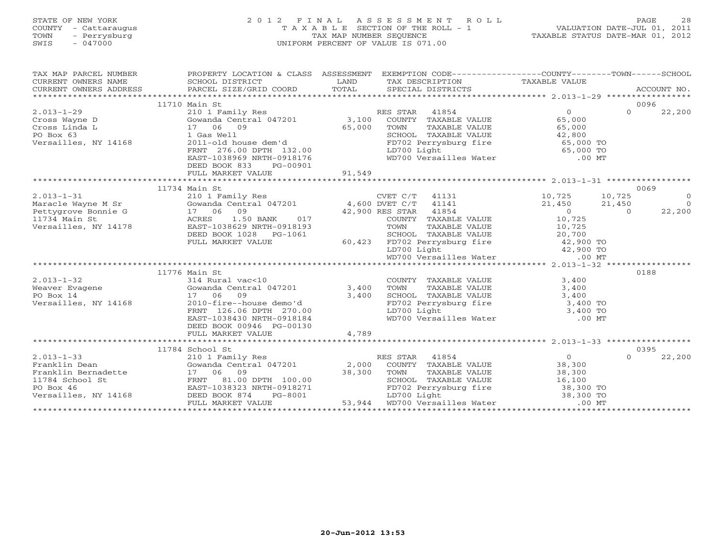| FINAL ASSESSMENT ROLL<br>STATE OF NEW YORK<br>2 0 1 2<br>T A X A B L E SECTION OF THE ROLL - 1<br>COUNTY - Cattaraugus<br>- Perrysburg<br>TAX MAP NUMBER SEQUENCE<br>TOWN<br>SWIS<br>$-047000$<br>UNIFORM PERCENT OF VALUE IS 071.00 |                                                                                                  |               | VALUATION DATE-JUL 01, 2011<br>TAXABLE STATUS DATE-MAR 01, 2012                                |                          | PAGE<br>28 |                |
|--------------------------------------------------------------------------------------------------------------------------------------------------------------------------------------------------------------------------------------|--------------------------------------------------------------------------------------------------|---------------|------------------------------------------------------------------------------------------------|--------------------------|------------|----------------|
| TAX MAP PARCEL NUMBER                                                                                                                                                                                                                | PROPERTY LOCATION & CLASS ASSESSMENT EXEMPTION CODE----------------COUNTY-------TOWN------SCHOOL |               |                                                                                                |                          |            |                |
| CURRENT OWNERS NAME<br>CURRENT OWNERS ADDRESS                                                                                                                                                                                        | SCHOOL DISTRICT<br>PARCEL SIZE/GRID COORD                                                        | LAND<br>TOTAL | TAX DESCRIPTION<br>SPECIAL DISTRICTS                                                           | TAXABLE VALUE            |            | ACCOUNT NO.    |
|                                                                                                                                                                                                                                      | 11710 Main St                                                                                    |               |                                                                                                |                          | 0096       |                |
| $2.013 - 1 - 29$                                                                                                                                                                                                                     | 210 1 Family Res                                                                                 |               | RES STAR<br>41854                                                                              | $\overline{0}$           | $\Omega$   | 22,200         |
| Cross Wayne D                                                                                                                                                                                                                        | Gowanda Central 047201                                                                           | 3,100         | COUNTY TAXABLE VALUE                                                                           | 65,000                   |            |                |
| Cross Linda L                                                                                                                                                                                                                        | 17 06 09                                                                                         | 65,000        | TOWN<br>TAXABLE VALUE                                                                          | 65,000                   |            |                |
| PO Box 63                                                                                                                                                                                                                            | 1 Gas Well                                                                                       |               | SCHOOL TAXABLE VALUE<br>SCHOOL TAXABLE VALUE<br>FD702 Perrysburg fire                          |                          |            |                |
| Versailles, NY 14168                                                                                                                                                                                                                 | 2011-old house dem'd                                                                             |               |                                                                                                | $42,000$ TO<br>65,000 TO |            |                |
|                                                                                                                                                                                                                                      | FRNT 276.00 DPTH 132.00<br>EAST-1038969 NRTH-0918176                                             |               | LD700 Light<br>WD700 Versailles Water                                                          | 65,000 TO<br>$.00$ MT    |            |                |
|                                                                                                                                                                                                                                      | DEED BOOK 833<br>PG-00901                                                                        |               |                                                                                                |                          |            |                |
|                                                                                                                                                                                                                                      | FULL MARKET VALUE                                                                                | 91,549        |                                                                                                |                          |            |                |
|                                                                                                                                                                                                                                      |                                                                                                  |               |                                                                                                |                          |            |                |
|                                                                                                                                                                                                                                      | 11734 Main St                                                                                    |               |                                                                                                |                          |            | 0069           |
| $2.013 - 1 - 31$                                                                                                                                                                                                                     | 210 1 Family Res                                                                                 |               | $CVET C/T$ 41131                                                                               | 10,725                   | 10,725     | $\overline{0}$ |
| Maracle Wayne M Sr                                                                                                                                                                                                                   | Gowanda Central 047201 4,600 DVET C/T 41141                                                      |               |                                                                                                | 21,450                   | 21,450     | $\Omega$       |
| Pettygrove Bonnie G                                                                                                                                                                                                                  | 17 06 09                                                                                         |               | 42,900 RES STAR<br>41854                                                                       | $\overline{0}$           | $\Omega$   | 22,200         |
| 11734 Main St                                                                                                                                                                                                                        | ACRES<br>1.50 BANK<br>017                                                                        |               | COUNTY TAXABLE VALUE                                                                           | 10,725                   |            |                |
| Versailles, NY 14178                                                                                                                                                                                                                 | EAST-1038629 NRTH-0918193                                                                        |               | TOWN<br>TAXABLE VALUE                                                                          | 10,725                   |            |                |
|                                                                                                                                                                                                                                      | DEED BOOK 1028    PG-1061                                                                        |               | SCHOOL TAXABLE VALUE                                                                           | 20,700                   |            |                |
|                                                                                                                                                                                                                                      | FULL MARKET VALUE                                                                                |               | SCHOOL TAXABLE VALUE 20,700<br>60,423 FD702 Perrysburg fire 42,900 TO<br>LD700 Light 42,900 TO |                          |            |                |
|                                                                                                                                                                                                                                      |                                                                                                  |               | WD700 Versailles Water                                                                         | $.00$ MT                 |            |                |
|                                                                                                                                                                                                                                      |                                                                                                  |               |                                                                                                |                          |            |                |
|                                                                                                                                                                                                                                      | 11776 Main St                                                                                    |               |                                                                                                |                          | 0188       |                |
| $2.013 - 1 - 32$                                                                                                                                                                                                                     | 314 Rural vac<10                                                                                 |               | COUNTY TAXABLE VALUE                                                                           | 3,400                    |            |                |
| Weaver Evagene                                                                                                                                                                                                                       | Gowanda Central 047201                                                                           | 3,400         | TOWN<br>TAXABLE VALUE                                                                          | 3,400                    |            |                |
| PO Box 14                                                                                                                                                                                                                            | 17 06<br>09                                                                                      | 3,400         | SCHOOL TAXABLE VALUE                                                                           | 3,400                    |            |                |
| Versailles, NY 14168                                                                                                                                                                                                                 | 2010-fire--house demo'd                                                                          |               | SCHOOL TAXABLE VALUE<br>FD702 Perrysburg fire                                                  | 3,400 TO                 |            |                |
|                                                                                                                                                                                                                                      | FRNT 126.06 DPTH 270.00                                                                          |               | LD700 Light                                                                                    | 3,400 TO                 |            |                |
|                                                                                                                                                                                                                                      | EAST-1038430 NRTH-0918184                                                                        |               | WD700 Versailles Water                                                                         | $.00$ MT                 |            |                |
|                                                                                                                                                                                                                                      | DEED BOOK 00946 PG-00130                                                                         |               |                                                                                                |                          |            |                |
|                                                                                                                                                                                                                                      | FULL MARKET VALUE                                                                                | 4,789         |                                                                                                |                          |            |                |
|                                                                                                                                                                                                                                      | 11784 School St                                                                                  |               |                                                                                                |                          | 0395       |                |
| $2.013 - 1 - 33$                                                                                                                                                                                                                     | 210 1 Family Res                                                                                 |               | RES STAR<br>41854                                                                              | $\Omega$                 | $\Omega$   | 22,200         |
| Franklin Dean                                                                                                                                                                                                                        | Gowanda Central 047201                                                                           |               | 2,000 COUNTY TAXABLE VALUE                                                                     | 38,300                   |            |                |
|                                                                                                                                                                                                                                      |                                                                                                  |               |                                                                                                |                          |            |                |

|                      | $220$ $\pm$ $1000$        |        | $\sim$<br>.             |           | ------ |
|----------------------|---------------------------|--------|-------------------------|-----------|--------|
| Franklin Dean        | Gowanda Central 047201    | 2,000  | TAXABLE VALUE<br>COUNTY | 38,300    |        |
| Franklin Bernadette  | 06<br>09                  | 38,300 | TAXABLE VALUE<br>TOWN   | 38,300    |        |
| 11784 School St      | 81.00 DPTH 100.00<br>FRNT |        | SCHOOL TAXABLE VALUE    | 16,100    |        |
| PO Box 46            | EAST-1038323 NRTH-0918271 |        | FD702 Perrysburg fire   | 38,300 TO |        |
| Versailles, NY 14168 | DEED BOOK 874<br>PG-8001  |        | LD700 Light             | 38,300 TO |        |
|                      | FULL MARKET VALUE         | 53,944 | WD700 Versailles Water  | $.00$ MT  |        |
|                      |                           |        |                         |           |        |
|                      |                           |        |                         |           |        |
|                      |                           |        |                         |           |        |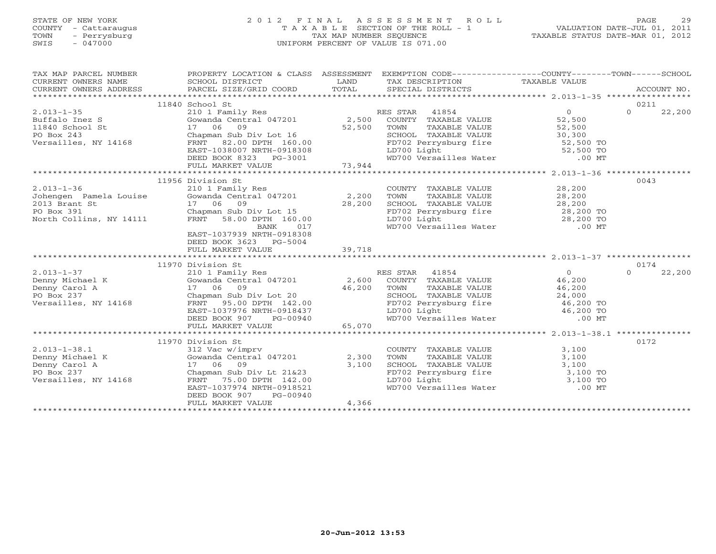# STATE OF NEW YORK 2 0 1 2 F I N A L A S S E S S M E N T R O L L PAGE 29 COUNTY - Cattaraugus T A X A B L E SECTION OF THE ROLL - 1 VALUATION DATE-JUL 01, 2011 TOWN - Perrysburg TAX MAP NUMBER SEQUENCE TAXABLE STATUS DATE-MAR 01, 2012 SWIS - 047000 UNIFORM PERCENT OF VALUE IS 071.00

| 11840 School St<br>0211<br>11956 Division St<br>0043<br>2.013-1-36<br>3210 1 Faily Res<br>3210 1 Faily Res<br>3210 1 Faily Res<br>2013 Brant St<br>28,200<br>2013 Brant St<br>28,200<br>2013 Brant St<br>28,200<br>28,200<br>28,200<br>28,200<br>28,200<br>28,200<br>28,200<br>28,200<br>28,200<br>28,200<br>28,200<br>28,200<br><br>EAST-1037939 NRTH-0918308<br>DEED BOOK 3623 PG-5004<br>39,718<br>FULL MARKET VALUE<br>0174<br>11970 Division St<br>0172<br>11970 Division St<br>Division St<br>312 Vac w/imprv<br>DEED BOOK 907<br>PG-00940<br>FULL MARKET VALUE $4,366\,$ |  |  |  |
|---------------------------------------------------------------------------------------------------------------------------------------------------------------------------------------------------------------------------------------------------------------------------------------------------------------------------------------------------------------------------------------------------------------------------------------------------------------------------------------------------------------------------------------------------------------------------------|--|--|--|
|                                                                                                                                                                                                                                                                                                                                                                                                                                                                                                                                                                                 |  |  |  |
|                                                                                                                                                                                                                                                                                                                                                                                                                                                                                                                                                                                 |  |  |  |
|                                                                                                                                                                                                                                                                                                                                                                                                                                                                                                                                                                                 |  |  |  |
|                                                                                                                                                                                                                                                                                                                                                                                                                                                                                                                                                                                 |  |  |  |
|                                                                                                                                                                                                                                                                                                                                                                                                                                                                                                                                                                                 |  |  |  |
|                                                                                                                                                                                                                                                                                                                                                                                                                                                                                                                                                                                 |  |  |  |
|                                                                                                                                                                                                                                                                                                                                                                                                                                                                                                                                                                                 |  |  |  |
|                                                                                                                                                                                                                                                                                                                                                                                                                                                                                                                                                                                 |  |  |  |
|                                                                                                                                                                                                                                                                                                                                                                                                                                                                                                                                                                                 |  |  |  |
|                                                                                                                                                                                                                                                                                                                                                                                                                                                                                                                                                                                 |  |  |  |
|                                                                                                                                                                                                                                                                                                                                                                                                                                                                                                                                                                                 |  |  |  |
|                                                                                                                                                                                                                                                                                                                                                                                                                                                                                                                                                                                 |  |  |  |
|                                                                                                                                                                                                                                                                                                                                                                                                                                                                                                                                                                                 |  |  |  |
|                                                                                                                                                                                                                                                                                                                                                                                                                                                                                                                                                                                 |  |  |  |
|                                                                                                                                                                                                                                                                                                                                                                                                                                                                                                                                                                                 |  |  |  |
|                                                                                                                                                                                                                                                                                                                                                                                                                                                                                                                                                                                 |  |  |  |
|                                                                                                                                                                                                                                                                                                                                                                                                                                                                                                                                                                                 |  |  |  |
|                                                                                                                                                                                                                                                                                                                                                                                                                                                                                                                                                                                 |  |  |  |
|                                                                                                                                                                                                                                                                                                                                                                                                                                                                                                                                                                                 |  |  |  |
|                                                                                                                                                                                                                                                                                                                                                                                                                                                                                                                                                                                 |  |  |  |
|                                                                                                                                                                                                                                                                                                                                                                                                                                                                                                                                                                                 |  |  |  |
|                                                                                                                                                                                                                                                                                                                                                                                                                                                                                                                                                                                 |  |  |  |
|                                                                                                                                                                                                                                                                                                                                                                                                                                                                                                                                                                                 |  |  |  |
|                                                                                                                                                                                                                                                                                                                                                                                                                                                                                                                                                                                 |  |  |  |
|                                                                                                                                                                                                                                                                                                                                                                                                                                                                                                                                                                                 |  |  |  |
|                                                                                                                                                                                                                                                                                                                                                                                                                                                                                                                                                                                 |  |  |  |
|                                                                                                                                                                                                                                                                                                                                                                                                                                                                                                                                                                                 |  |  |  |
|                                                                                                                                                                                                                                                                                                                                                                                                                                                                                                                                                                                 |  |  |  |
|                                                                                                                                                                                                                                                                                                                                                                                                                                                                                                                                                                                 |  |  |  |
|                                                                                                                                                                                                                                                                                                                                                                                                                                                                                                                                                                                 |  |  |  |
|                                                                                                                                                                                                                                                                                                                                                                                                                                                                                                                                                                                 |  |  |  |
|                                                                                                                                                                                                                                                                                                                                                                                                                                                                                                                                                                                 |  |  |  |
|                                                                                                                                                                                                                                                                                                                                                                                                                                                                                                                                                                                 |  |  |  |
|                                                                                                                                                                                                                                                                                                                                                                                                                                                                                                                                                                                 |  |  |  |
|                                                                                                                                                                                                                                                                                                                                                                                                                                                                                                                                                                                 |  |  |  |
|                                                                                                                                                                                                                                                                                                                                                                                                                                                                                                                                                                                 |  |  |  |
|                                                                                                                                                                                                                                                                                                                                                                                                                                                                                                                                                                                 |  |  |  |
|                                                                                                                                                                                                                                                                                                                                                                                                                                                                                                                                                                                 |  |  |  |
|                                                                                                                                                                                                                                                                                                                                                                                                                                                                                                                                                                                 |  |  |  |
|                                                                                                                                                                                                                                                                                                                                                                                                                                                                                                                                                                                 |  |  |  |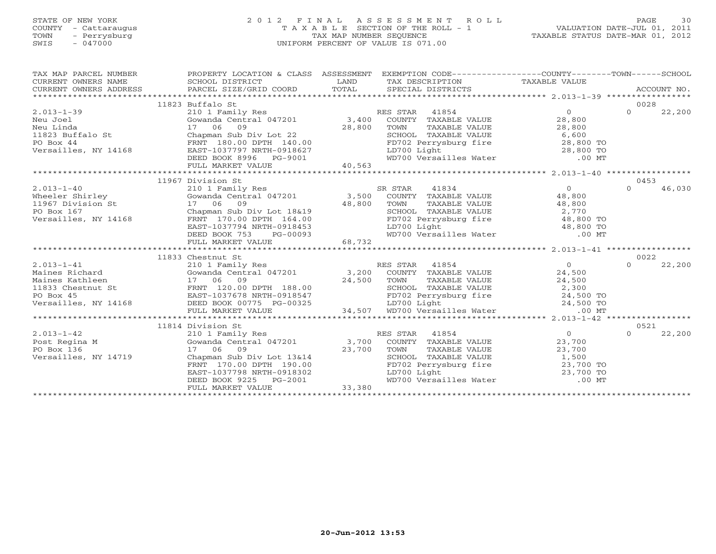# STATE OF NEW YORK 2 0 1 2 F I N A L A S S E S S M E N T R O L L PAGE 30 COUNTY - Cattaraugus T A X A B L E SECTION OF THE ROLL - 1 VALUATION DATE-JUL 01, 2011 TOWN - Perrysburg TAX MAP NUMBER SEQUENCE TAXABLE STATUS DATE-MAR 01, 2012 SWIS - 047000 UNIFORM PERCENT OF VALUE IS 071.00

| TAX MAP PARCEL NUMBER               | PROPERTY LOCATION & CLASS ASSESSMENT EXEMPTION CODE-----------------COUNTY-------TOWN------SCHOOL                                                                                                                                                |             |                               |                |        |
|-------------------------------------|--------------------------------------------------------------------------------------------------------------------------------------------------------------------------------------------------------------------------------------------------|-------------|-------------------------------|----------------|--------|
| CURRENT OWNERS NAME SCHOOL DISTRICT |                                                                                                                                                                                                                                                  | <b>LAND</b> | TAX DESCRIPTION TAXABLE VALUE |                |        |
|                                     |                                                                                                                                                                                                                                                  |             |                               |                |        |
|                                     |                                                                                                                                                                                                                                                  |             |                               |                |        |
|                                     | 11823 Buffalo St                                                                                                                                                                                                                                 |             |                               | 0028           |        |
|                                     |                                                                                                                                                                                                                                                  |             |                               | $\overline{0}$ | 22,200 |
|                                     |                                                                                                                                                                                                                                                  |             |                               |                |        |
|                                     |                                                                                                                                                                                                                                                  |             |                               |                |        |
|                                     |                                                                                                                                                                                                                                                  |             |                               |                |        |
|                                     |                                                                                                                                                                                                                                                  |             |                               |                |        |
|                                     |                                                                                                                                                                                                                                                  |             |                               |                |        |
|                                     |                                                                                                                                                                                                                                                  |             |                               |                |        |
|                                     |                                                                                                                                                                                                                                                  |             |                               |                |        |
|                                     |                                                                                                                                                                                                                                                  |             |                               |                |        |
|                                     | 11967 Division St                                                                                                                                                                                                                                |             |                               | 0453           |        |
|                                     |                                                                                                                                                                                                                                                  |             |                               | $\Omega$       | 46,030 |
|                                     |                                                                                                                                                                                                                                                  |             |                               |                |        |
|                                     |                                                                                                                                                                                                                                                  |             |                               |                |        |
|                                     |                                                                                                                                                                                                                                                  |             |                               |                |        |
|                                     |                                                                                                                                                                                                                                                  |             |                               |                |        |
|                                     |                                                                                                                                                                                                                                                  |             |                               |                |        |
|                                     |                                                                                                                                                                                                                                                  |             |                               |                |        |
|                                     |                                                                                                                                                                                                                                                  |             |                               |                |        |
|                                     |                                                                                                                                                                                                                                                  |             |                               |                |        |
|                                     | 11833 Chestnut St                                                                                                                                                                                                                                |             |                               | 0022           |        |
|                                     |                                                                                                                                                                                                                                                  |             |                               |                | 22,200 |
|                                     |                                                                                                                                                                                                                                                  |             |                               |                |        |
|                                     |                                                                                                                                                                                                                                                  |             |                               |                |        |
|                                     |                                                                                                                                                                                                                                                  |             |                               |                |        |
|                                     |                                                                                                                                                                                                                                                  |             |                               |                |        |
|                                     |                                                                                                                                                                                                                                                  |             |                               |                |        |
|                                     |                                                                                                                                                                                                                                                  |             |                               |                |        |
|                                     |                                                                                                                                                                                                                                                  |             |                               |                |        |
|                                     | 11814 Division St                                                                                                                                                                                                                                |             |                               | 0521           |        |
|                                     |                                                                                                                                                                                                                                                  |             |                               | $\Omega$       | 22,200 |
|                                     |                                                                                                                                                                                                                                                  |             |                               |                |        |
|                                     |                                                                                                                                                                                                                                                  |             |                               |                |        |
|                                     |                                                                                                                                                                                                                                                  |             |                               |                |        |
|                                     |                                                                                                                                                                                                                                                  |             |                               |                |        |
|                                     |                                                                                                                                                                                                                                                  |             |                               |                |        |
|                                     | 11814 Division St<br>Post Regina M<br>Po Box 136<br>Versailles, NY 14719<br>Colombary 11814 Control 047201<br>Chapman Sub Div Lot 13&14<br>FRNT 170.00 DPTH 190.00<br>EAST-1037798 NRTH-0918302<br>DEED TO Light<br>DEED DEED ON THE MANAGE VALU |             |                               |                |        |
|                                     | EAST-1037798 NRTH-0918302<br>DEED BOOK 9225 PG-2001<br>FULL MARKET VALUE 33,380                                                                                                                                                                  |             |                               |                |        |
|                                     |                                                                                                                                                                                                                                                  |             |                               |                |        |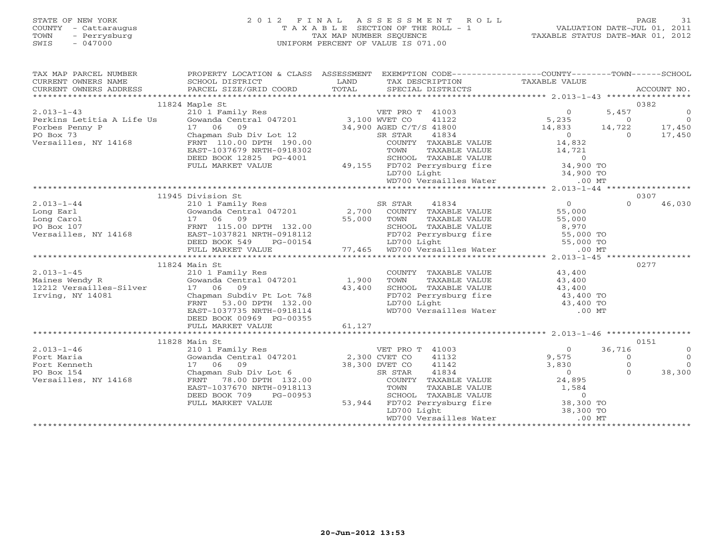#### STATE OF NEW YORK 2 0 1 2 F I N A L A S S E S S M E N T R O L L PAGE 31 COUNTY - Cattaraugus T A X A B L E SECTION OF THE ROLL - 1 VALUATION DATE-JUL 01, 2011 TOWN - Perrysburg TAX MAP NUMBER SEQUENCE TAXABLE STATUS DATE-MAR 01, 2012 SWIS - 047000 UNIFORM PERCENT OF VALUE IS 071.00UNIFORM PERCENT OF VALUE IS 071.00

| $\begin{tabular}{lllllllll} \textsc{TAX} & \textsc{MAP} & \textsc{PARGEL} & \textsc{WMBER} & \textsc{PROPERTIES} & \textsc{PROPERTIES} & \textsc{PROPERTIES} & \textsc{SSESSMENT} & \textsc{EXEMPITION} & \textsc{CODE-----------------COUNTY------TCWN------SCHOOL \\ & & & & & & & \textsc{SCHOOL} & \textsc{DISTRICT} & \textsc{LAND} & \textsc{TAXABLE} & \textsc{TALUE} & \textsc{TALUE} & \textsc{ACCOUNT} & \textsc{ACCOUNT} & \textsc{NCCONT} & \textsc{ACCOUNT} &$<br>CURRENT OWNERS ADDRESS |                                                                                                                                                      |        |                                                                                                                                                                                   |                                                     |                |                |
|-------------------------------------------------------------------------------------------------------------------------------------------------------------------------------------------------------------------------------------------------------------------------------------------------------------------------------------------------------------------------------------------------------------------------------------------------------------------------------------------------------|------------------------------------------------------------------------------------------------------------------------------------------------------|--------|-----------------------------------------------------------------------------------------------------------------------------------------------------------------------------------|-----------------------------------------------------|----------------|----------------|
|                                                                                                                                                                                                                                                                                                                                                                                                                                                                                                       |                                                                                                                                                      |        |                                                                                                                                                                                   |                                                     |                |                |
|                                                                                                                                                                                                                                                                                                                                                                                                                                                                                                       | 11824 Maple St                                                                                                                                       |        |                                                                                                                                                                                   |                                                     |                | 0382           |
|                                                                                                                                                                                                                                                                                                                                                                                                                                                                                                       |                                                                                                                                                      |        |                                                                                                                                                                                   | $\begin{array}{c} 0 \\ 5,235 \\ 14,833 \end{array}$ | 5,457          | $\Omega$       |
|                                                                                                                                                                                                                                                                                                                                                                                                                                                                                                       |                                                                                                                                                      |        |                                                                                                                                                                                   |                                                     | $\Omega$       | $\overline{0}$ |
|                                                                                                                                                                                                                                                                                                                                                                                                                                                                                                       |                                                                                                                                                      |        |                                                                                                                                                                                   |                                                     | 14,722         | 17,450         |
|                                                                                                                                                                                                                                                                                                                                                                                                                                                                                                       |                                                                                                                                                      |        |                                                                                                                                                                                   | $\begin{array}{c}0\\14,832\end{array}$              | $\overline{0}$ | 17,450         |
| 11824 Maple St.<br>2.013-1-43<br>Perkins Letitia A Life Us<br>Forbes Penny P<br>PO Box 73<br>Persailles, NY 14168<br>Po Box 73<br>Po Box 73<br>Po Box 73<br>Po Box 73<br>Po Box 73<br>Po Box 73<br>Po Box 73<br>Po Box 73<br>Po Box 73<br>Po Box 73<br>Po Box                                                                                                                                                                                                                                         |                                                                                                                                                      |        |                                                                                                                                                                                   |                                                     |                |                |
|                                                                                                                                                                                                                                                                                                                                                                                                                                                                                                       | EAST-1037679 NRTH-0918302                                                                                                                            |        |                                                                                                                                                                                   |                                                     |                |                |
|                                                                                                                                                                                                                                                                                                                                                                                                                                                                                                       | DEED BOOK 12825 PG-4001                                                                                                                              |        |                                                                                                                                                                                   |                                                     |                |                |
|                                                                                                                                                                                                                                                                                                                                                                                                                                                                                                       | FULL MARKET VALUE                                                                                                                                    |        |                                                                                                                                                                                   |                                                     |                |                |
|                                                                                                                                                                                                                                                                                                                                                                                                                                                                                                       |                                                                                                                                                      |        |                                                                                                                                                                                   |                                                     |                |                |
|                                                                                                                                                                                                                                                                                                                                                                                                                                                                                                       |                                                                                                                                                      |        |                                                                                                                                                                                   |                                                     |                |                |
|                                                                                                                                                                                                                                                                                                                                                                                                                                                                                                       |                                                                                                                                                      |        |                                                                                                                                                                                   |                                                     |                |                |
|                                                                                                                                                                                                                                                                                                                                                                                                                                                                                                       | 210 1 Family Res<br>Cowanda Central 047201<br>17 06 09<br>FRNT 115.00 DPTH 132.00<br>EAST-1037821 NRTH-0918112<br>DEED BOOK 549 PG-00154<br>PG-00154 |        |                                                                                                                                                                                   |                                                     |                | 0307           |
| $2.013 - 1 - 44$                                                                                                                                                                                                                                                                                                                                                                                                                                                                                      |                                                                                                                                                      |        |                                                                                                                                                                                   | 0<br>55,000<br>55,000                               | $\Omega$       | 46,030         |
| Long Earl                                                                                                                                                                                                                                                                                                                                                                                                                                                                                             |                                                                                                                                                      |        |                                                                                                                                                                                   |                                                     |                |                |
|                                                                                                                                                                                                                                                                                                                                                                                                                                                                                                       |                                                                                                                                                      |        |                                                                                                                                                                                   |                                                     |                |                |
|                                                                                                                                                                                                                                                                                                                                                                                                                                                                                                       |                                                                                                                                                      |        |                                                                                                                                                                                   |                                                     |                |                |
|                                                                                                                                                                                                                                                                                                                                                                                                                                                                                                       |                                                                                                                                                      |        |                                                                                                                                                                                   |                                                     |                |                |
|                                                                                                                                                                                                                                                                                                                                                                                                                                                                                                       |                                                                                                                                                      |        |                                                                                                                                                                                   |                                                     |                |                |
|                                                                                                                                                                                                                                                                                                                                                                                                                                                                                                       |                                                                                                                                                      |        |                                                                                                                                                                                   |                                                     |                |                |
| $\begin{tabular}{l c c c c c c c} \hline \texttt{Long\,} \texttt{Earl} & \texttt{Gowanda\,} \texttt{Central\,} \texttt{047201} & 2,700 & \texttt{COUNTY\,} \texttt{TAXABLE\,} \texttt{VALUE} & 55,000 \\ \hline \texttt{Long\,} \texttt{Carol} & 17 & 06 & 09 & 55,000 & \texttt{TOWN\,} \texttt{TAXABLE\,} \texttt{VALUE} & 55,000 \\ \texttt{PO\,} \texttt{Box} & 17 & 06 & 09 & \texttt{S5000}$                                                                                                    |                                                                                                                                                      |        |                                                                                                                                                                                   |                                                     |                |                |
|                                                                                                                                                                                                                                                                                                                                                                                                                                                                                                       | 11824 Main St                                                                                                                                        |        |                                                                                                                                                                                   |                                                     |                | 0277           |
| $2.013 - 1 - 45$                                                                                                                                                                                                                                                                                                                                                                                                                                                                                      | 210 1 Family Res                                                                                                                                     |        | COUNTY TAXABLE VALUE 43,400                                                                                                                                                       |                                                     |                |                |
|                                                                                                                                                                                                                                                                                                                                                                                                                                                                                                       |                                                                                                                                                      |        | TOWN                                                                                                                                                                              | TAXABLE VALUE 43,400                                |                |                |
| Example 1,900<br>Maines Wendy R<br>12212 Versailles-Silver<br>17 06 09<br>13,400<br>17 06 09<br>2012 Chapman Subdiv Pt Lot 7&8                                                                                                                                                                                                                                                                                                                                                                        |                                                                                                                                                      |        |                                                                                                                                                                                   |                                                     |                |                |
| Irving, NY 14081                                                                                                                                                                                                                                                                                                                                                                                                                                                                                      | 17 06 09 $43,400$<br>Chapman Subdiv Pt Lot 7&8 $43,400$                                                                                              |        | SCHOOL TAXABLE VALUE $43,400$<br>FD702 Perrysburg fire $43,400$ TO<br>LD700 Light $43,400$ TO<br>WD700 Versailles Water 00 MT                                                     |                                                     |                |                |
|                                                                                                                                                                                                                                                                                                                                                                                                                                                                                                       | FRNT 53.00 DPTH 132.00                                                                                                                               |        |                                                                                                                                                                                   |                                                     |                |                |
|                                                                                                                                                                                                                                                                                                                                                                                                                                                                                                       | EAST-1037735 NRTH-0918114                                                                                                                            |        |                                                                                                                                                                                   |                                                     |                |                |
|                                                                                                                                                                                                                                                                                                                                                                                                                                                                                                       | DEED BOOK 00969 PG-00355                                                                                                                             |        |                                                                                                                                                                                   |                                                     |                |                |
|                                                                                                                                                                                                                                                                                                                                                                                                                                                                                                       | FULL MARKET VALUE                                                                                                                                    | 61,127 |                                                                                                                                                                                   |                                                     |                |                |
|                                                                                                                                                                                                                                                                                                                                                                                                                                                                                                       |                                                                                                                                                      |        |                                                                                                                                                                                   |                                                     |                |                |
|                                                                                                                                                                                                                                                                                                                                                                                                                                                                                                       | 11828 Main St                                                                                                                                        |        |                                                                                                                                                                                   |                                                     |                | 0151           |
| $2.013 - 1 - 46$                                                                                                                                                                                                                                                                                                                                                                                                                                                                                      | num St<br>210 1 Family Res                                                                                                                           |        | VET PRO T 41003                                                                                                                                                                   | $\overline{a}$                                      | 36,716         | $\Omega$       |
| Fort Maria                                                                                                                                                                                                                                                                                                                                                                                                                                                                                            |                                                                                                                                                      |        | 41132                                                                                                                                                                             | 9,575                                               | $\Omega$       | $\Omega$       |
| Fort Kenneth                                                                                                                                                                                                                                                                                                                                                                                                                                                                                          | Gowanda Central 047201 2,300 CVET CO<br>17 06 09 38,300 DVET CO<br>Chapman Sub Div Lot 6 SR STAR                                                     |        | 41142                                                                                                                                                                             | 3,830                                               | $\Omega$       | $\Omega$       |
| PO Box 154                                                                                                                                                                                                                                                                                                                                                                                                                                                                                            |                                                                                                                                                      |        | 41834                                                                                                                                                                             | $\overline{0}$                                      | $\cap$         | 38,300         |
| Versailles, NY 14168                                                                                                                                                                                                                                                                                                                                                                                                                                                                                  | FRNT 78.00 DPTH 132.00                                                                                                                               |        | COUNTY TAXABLE VALUE 24,895                                                                                                                                                       |                                                     |                |                |
|                                                                                                                                                                                                                                                                                                                                                                                                                                                                                                       | EAST-1037670 NRTH-0918113                                                                                                                            |        |                                                                                                                                                                                   |                                                     |                |                |
|                                                                                                                                                                                                                                                                                                                                                                                                                                                                                                       | DEED BOOK 709<br>PG-00953                                                                                                                            |        |                                                                                                                                                                                   |                                                     |                |                |
|                                                                                                                                                                                                                                                                                                                                                                                                                                                                                                       | FULL MARKET VALUE                                                                                                                                    |        | TOWN TAXABLE VALUE 1,584<br>SCHOOL TAXABLE VALUE 1,584<br>SCHOOL TAXABLE VALUE 1,584<br>FD702 Perrysburg fire 38,300 TO<br>LD700 Light 38,300 TO<br>WD700 Versailles Water .00 MT |                                                     |                |                |
|                                                                                                                                                                                                                                                                                                                                                                                                                                                                                                       |                                                                                                                                                      |        |                                                                                                                                                                                   |                                                     |                |                |
|                                                                                                                                                                                                                                                                                                                                                                                                                                                                                                       |                                                                                                                                                      |        |                                                                                                                                                                                   |                                                     |                |                |
|                                                                                                                                                                                                                                                                                                                                                                                                                                                                                                       |                                                                                                                                                      |        |                                                                                                                                                                                   |                                                     |                |                |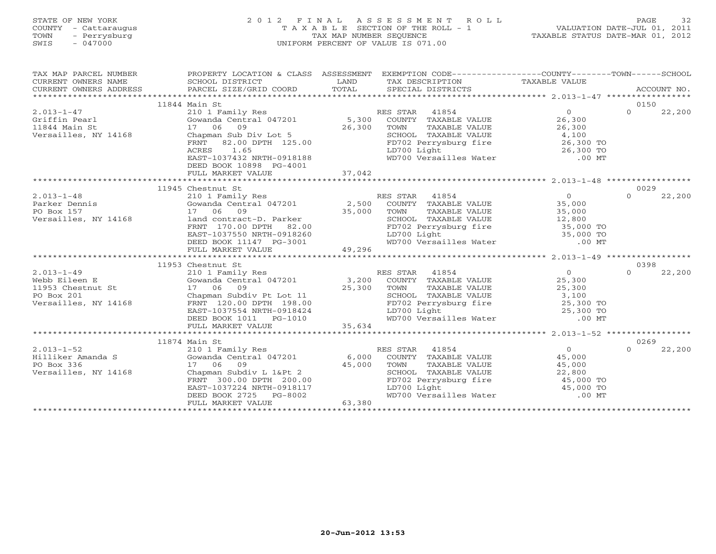# STATE OF NEW YORK 2 0 1 2 F I N A L A S S E S S M E N T R O L L PAGE 32 COUNTY - Cattaraugus T A X A B L E SECTION OF THE ROLL - 1 VALUATION DATE-JUL 01, 2011 TOWN - Perrysburg TAX MAP NUMBER SEQUENCE TAXABLE STATUS DATE-MAR 01, 2012 SWIS - 047000 UNIFORM PERCENT OF VALUE IS 071.00

| TAX MAP PARCEL NUMBER | PROPERTY LOCATION & CLASS ASSESSMENT EXEMPTION CODE----------------COUNTY-------TOWN------SCHOOL<br>PROPERTY LOCATION<br>SCHOOL DISTRICT                                                                                                                                                                                                                                                                             |                                                                                                                                                                       |                    |
|-----------------------|----------------------------------------------------------------------------------------------------------------------------------------------------------------------------------------------------------------------------------------------------------------------------------------------------------------------------------------------------------------------------------------------------------------------|-----------------------------------------------------------------------------------------------------------------------------------------------------------------------|--------------------|
|                       |                                                                                                                                                                                                                                                                                                                                                                                                                      |                                                                                                                                                                       |                    |
|                       |                                                                                                                                                                                                                                                                                                                                                                                                                      |                                                                                                                                                                       |                    |
|                       | 11844 Main St                                                                                                                                                                                                                                                                                                                                                                                                        |                                                                                                                                                                       | 0150               |
|                       |                                                                                                                                                                                                                                                                                                                                                                                                                      |                                                                                                                                                                       | $\Omega$<br>22,200 |
|                       |                                                                                                                                                                                                                                                                                                                                                                                                                      |                                                                                                                                                                       |                    |
|                       |                                                                                                                                                                                                                                                                                                                                                                                                                      |                                                                                                                                                                       |                    |
|                       |                                                                                                                                                                                                                                                                                                                                                                                                                      |                                                                                                                                                                       |                    |
|                       |                                                                                                                                                                                                                                                                                                                                                                                                                      |                                                                                                                                                                       |                    |
|                       |                                                                                                                                                                                                                                                                                                                                                                                                                      |                                                                                                                                                                       |                    |
|                       |                                                                                                                                                                                                                                                                                                                                                                                                                      |                                                                                                                                                                       |                    |
|                       | DEED BOOK 10898 PG-4001                                                                                                                                                                                                                                                                                                                                                                                              |                                                                                                                                                                       |                    |
|                       |                                                                                                                                                                                                                                                                                                                                                                                                                      |                                                                                                                                                                       |                    |
|                       |                                                                                                                                                                                                                                                                                                                                                                                                                      |                                                                                                                                                                       |                    |
|                       | 11945 Chestnut St                                                                                                                                                                                                                                                                                                                                                                                                    |                                                                                                                                                                       | 0029               |
|                       |                                                                                                                                                                                                                                                                                                                                                                                                                      |                                                                                                                                                                       | $\Omega$<br>22,200 |
|                       |                                                                                                                                                                                                                                                                                                                                                                                                                      |                                                                                                                                                                       |                    |
|                       |                                                                                                                                                                                                                                                                                                                                                                                                                      |                                                                                                                                                                       |                    |
|                       |                                                                                                                                                                                                                                                                                                                                                                                                                      |                                                                                                                                                                       |                    |
|                       |                                                                                                                                                                                                                                                                                                                                                                                                                      |                                                                                                                                                                       |                    |
|                       |                                                                                                                                                                                                                                                                                                                                                                                                                      |                                                                                                                                                                       |                    |
|                       |                                                                                                                                                                                                                                                                                                                                                                                                                      | TOWN TAXABLE VALUE<br>TOWN TAXABLE VALUE<br>SCHOOL TAXABLE VALUE<br>FD702 Perrysburg fire<br>LD700 Light<br>WD700 Versailles Water<br>MD700 Versailles Water<br>CO MT |                    |
|                       |                                                                                                                                                                                                                                                                                                                                                                                                                      |                                                                                                                                                                       |                    |
|                       | 11953 Chestnut St                                                                                                                                                                                                                                                                                                                                                                                                    |                                                                                                                                                                       | 0398               |
|                       |                                                                                                                                                                                                                                                                                                                                                                                                                      |                                                                                                                                                                       |                    |
|                       |                                                                                                                                                                                                                                                                                                                                                                                                                      |                                                                                                                                                                       |                    |
|                       |                                                                                                                                                                                                                                                                                                                                                                                                                      |                                                                                                                                                                       |                    |
|                       |                                                                                                                                                                                                                                                                                                                                                                                                                      |                                                                                                                                                                       |                    |
|                       |                                                                                                                                                                                                                                                                                                                                                                                                                      |                                                                                                                                                                       |                    |
|                       |                                                                                                                                                                                                                                                                                                                                                                                                                      |                                                                                                                                                                       |                    |
|                       |                                                                                                                                                                                                                                                                                                                                                                                                                      |                                                                                                                                                                       |                    |
|                       |                                                                                                                                                                                                                                                                                                                                                                                                                      |                                                                                                                                                                       |                    |
|                       |                                                                                                                                                                                                                                                                                                                                                                                                                      |                                                                                                                                                                       |                    |
|                       |                                                                                                                                                                                                                                                                                                                                                                                                                      |                                                                                                                                                                       | 0269               |
|                       |                                                                                                                                                                                                                                                                                                                                                                                                                      |                                                                                                                                                                       | $\Omega$<br>22,200 |
|                       |                                                                                                                                                                                                                                                                                                                                                                                                                      |                                                                                                                                                                       |                    |
|                       |                                                                                                                                                                                                                                                                                                                                                                                                                      |                                                                                                                                                                       |                    |
|                       |                                                                                                                                                                                                                                                                                                                                                                                                                      |                                                                                                                                                                       |                    |
|                       | $\begin{array}{ccccccccc} 2.013-1-52 & & & 11874 \text{ Main St} & & & & \text{RES STAR} & 41854 & & & 0 \\ & & 210 & 1 \text{ Family Res} & & & 6,000 & \text{COUNTY} & \text{TXABLE VALUE} & 45,000 \\ \text{F0 Box 336} & & 17 & 06 & 09 & & 45,000 & \text{TONNY} & \text{TXABLE VALUE} & 45,000 \\ \text{Versailles, NY 14168} & & & \text{CPM} & & \text{C} & & \text{C} & \text{C} & \text{C} & \text{C} & \$ |                                                                                                                                                                       |                    |
|                       |                                                                                                                                                                                                                                                                                                                                                                                                                      |                                                                                                                                                                       |                    |
|                       |                                                                                                                                                                                                                                                                                                                                                                                                                      | SCHOOL TAXABLE VALUE<br>FD702 Perrysburg fire $45,000$ TO<br>LD700 Light $45,000$ TO<br>WD700 Versailles Water .00 MT                                                 |                    |
|                       | FRNT 300.00 DPTH 200.00<br>EAST-1037224 NRTH-0918117<br>DEED BOOK 2725 PG-8002<br>FULL MARKET VALUE 63,380                                                                                                                                                                                                                                                                                                           |                                                                                                                                                                       |                    |
|                       |                                                                                                                                                                                                                                                                                                                                                                                                                      |                                                                                                                                                                       |                    |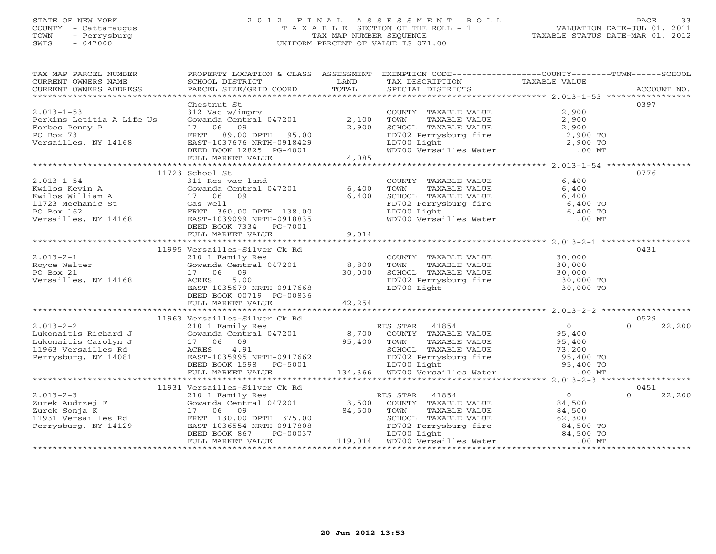# STATE OF NEW YORK 2 0 1 2 F I N A L A S S E S S M E N T R O L L PAGE 33 COUNTY - Cattaraugus T A X A B L E SECTION OF THE ROLL - 1 VALUATION DATE-JUL 01, 2011 TOWN - Perrysburg TAX MAP NUMBER SEQUENCE TAXABLE STATUS DATE-MAR 01, 2012 SWIS - 047000 UNIFORM PERCENT OF VALUE IS 071.00

| TAX MAP PARCEL NUMBER<br>CURRENT OWNERS NAME<br>CURRENT OWNERS ADDRESS                                                                                                                                                                                                                                                                                                                                  | PROPERTY LOCATION & CLASS ASSESSMENT EXEMPTION CODE---------------COUNTY-------TOWN------SCHOOL<br>SCHOOL DISTRICT | <b>LAND</b> | TAX DESCRIPTION                                                                                                                                                                           | TAXABLE VALUE |                    |
|---------------------------------------------------------------------------------------------------------------------------------------------------------------------------------------------------------------------------------------------------------------------------------------------------------------------------------------------------------------------------------------------------------|--------------------------------------------------------------------------------------------------------------------|-------------|-------------------------------------------------------------------------------------------------------------------------------------------------------------------------------------------|---------------|--------------------|
|                                                                                                                                                                                                                                                                                                                                                                                                         |                                                                                                                    |             |                                                                                                                                                                                           |               |                    |
|                                                                                                                                                                                                                                                                                                                                                                                                         | Chestnut St                                                                                                        |             |                                                                                                                                                                                           |               | 0397               |
| $2.013 - 1 - 53$                                                                                                                                                                                                                                                                                                                                                                                        | $312$ Vac w/imprv                                                                                                  |             | COUNTY TAXABLE VALUE 2,900                                                                                                                                                                |               |                    |
|                                                                                                                                                                                                                                                                                                                                                                                                         | Gowanda Central 047201 2,100 TOWN                                                                                  |             |                                                                                                                                                                                           |               |                    |
|                                                                                                                                                                                                                                                                                                                                                                                                         |                                                                                                                    |             |                                                                                                                                                                                           |               |                    |
|                                                                                                                                                                                                                                                                                                                                                                                                         |                                                                                                                    |             |                                                                                                                                                                                           |               |                    |
|                                                                                                                                                                                                                                                                                                                                                                                                         |                                                                                                                    |             |                                                                                                                                                                                           |               |                    |
|                                                                                                                                                                                                                                                                                                                                                                                                         |                                                                                                                    |             | TOWN TAXABLE VALUE<br>TOWN TAXABLE VALUE<br>SCHOOL TAXABLE VALUE<br>FD702 Perrysburg fire<br>LD700 Light<br>WD700 Versailles Water<br>MD700 Versailles Water<br>2,900 TO                  |               |                    |
| 2.013-1-53<br>Perkins Letitia A Life Us Gowanda Central 047201 2,100<br>Forbes Penny P 17 06 09 2,900<br>PO Box 73<br>Versailles, NY 14168 EAST-1037676 NRTH-0918429<br>DEED BOOK 12825 PG-4001<br>FULL MARKET VALUE 4,085<br>PULL MARKET V                                                                                                                                                             |                                                                                                                    |             |                                                                                                                                                                                           |               |                    |
|                                                                                                                                                                                                                                                                                                                                                                                                         |                                                                                                                    |             |                                                                                                                                                                                           |               |                    |
|                                                                                                                                                                                                                                                                                                                                                                                                         | 11723 School St                                                                                                    |             |                                                                                                                                                                                           |               | 0776               |
|                                                                                                                                                                                                                                                                                                                                                                                                         |                                                                                                                    |             |                                                                                                                                                                                           |               |                    |
|                                                                                                                                                                                                                                                                                                                                                                                                         |                                                                                                                    |             |                                                                                                                                                                                           |               |                    |
|                                                                                                                                                                                                                                                                                                                                                                                                         |                                                                                                                    |             |                                                                                                                                                                                           |               |                    |
|                                                                                                                                                                                                                                                                                                                                                                                                         |                                                                                                                    |             | COUNTY TAXABLE VALUE $6,400$<br>TOWN TAXABLE VALUE $6,400$<br>SCHOOL TAXABLE VALUE $6,400$<br>FD702 Perrysburg fire $6,400$ TO<br>LD700 Light $6,400$ TO<br>WD700 Versailles Water .00 MT |               |                    |
|                                                                                                                                                                                                                                                                                                                                                                                                         |                                                                                                                    |             |                                                                                                                                                                                           |               |                    |
|                                                                                                                                                                                                                                                                                                                                                                                                         |                                                                                                                    |             |                                                                                                                                                                                           |               |                    |
|                                                                                                                                                                                                                                                                                                                                                                                                         |                                                                                                                    |             |                                                                                                                                                                                           |               |                    |
| 2.013-1-54<br>Kwilos Kevin A Gowanda Central 047201 6,400<br>Kwilos William A 17 06 09 6,400<br>11723 Mechanic St Gas Well<br>PO Box 162<br>Versailles, NY 14168 EAST-1039099 NRTH-0918835<br>DEED BOOK 7334 PG-7001<br>*******************                                                                                                                                                             |                                                                                                                    |             |                                                                                                                                                                                           |               |                    |
|                                                                                                                                                                                                                                                                                                                                                                                                         | 11995 Versailles-Silver Ck Rd                                                                                      |             |                                                                                                                                                                                           |               | 0431               |
| $2.013 - 2 - 1$                                                                                                                                                                                                                                                                                                                                                                                         | 210 1 Family Res                                                                                                   |             |                                                                                                                                                                                           |               |                    |
|                                                                                                                                                                                                                                                                                                                                                                                                         |                                                                                                                    |             | COUNTY TAXABLE VALUE 30,000<br>TOWN TAXABLE VALUE 30,000                                                                                                                                  |               |                    |
|                                                                                                                                                                                                                                                                                                                                                                                                         |                                                                                                                    |             |                                                                                                                                                                                           |               |                    |
| 2.013-2-1 210 1 Family Res<br>Royce Walter Gowanda Central 047201 8,800 TOWN<br>PO Box 21 17 06 09 30,000 SCHOOL<br>Versailles, NY 14168 ACRES 5.00 FD702 Pe<br>EAST-1035679 NRTH-0917668 LD700 Li                                                                                                                                                                                                      |                                                                                                                    |             | SCHOOL TAXABLE VALUE 30,000<br>FD702 Perrysburg fire 30,000 TO<br>LD700 Light 30,000 TO                                                                                                   |               |                    |
|                                                                                                                                                                                                                                                                                                                                                                                                         |                                                                                                                    |             |                                                                                                                                                                                           |               |                    |
|                                                                                                                                                                                                                                                                                                                                                                                                         | DEED BOOK 00719 PG-00836                                                                                           |             |                                                                                                                                                                                           |               |                    |
|                                                                                                                                                                                                                                                                                                                                                                                                         |                                                                                                                    |             |                                                                                                                                                                                           |               |                    |
|                                                                                                                                                                                                                                                                                                                                                                                                         |                                                                                                                    |             |                                                                                                                                                                                           |               |                    |
|                                                                                                                                                                                                                                                                                                                                                                                                         | 11963 Versailles-Silver Ck Rd                                                                                      |             |                                                                                                                                                                                           |               | 0529               |
|                                                                                                                                                                                                                                                                                                                                                                                                         |                                                                                                                    |             |                                                                                                                                                                                           |               |                    |
|                                                                                                                                                                                                                                                                                                                                                                                                         |                                                                                                                    |             |                                                                                                                                                                                           |               |                    |
|                                                                                                                                                                                                                                                                                                                                                                                                         |                                                                                                                    |             |                                                                                                                                                                                           |               |                    |
|                                                                                                                                                                                                                                                                                                                                                                                                         |                                                                                                                    |             |                                                                                                                                                                                           |               |                    |
|                                                                                                                                                                                                                                                                                                                                                                                                         |                                                                                                                    |             |                                                                                                                                                                                           |               |                    |
|                                                                                                                                                                                                                                                                                                                                                                                                         |                                                                                                                    |             |                                                                                                                                                                                           |               |                    |
|                                                                                                                                                                                                                                                                                                                                                                                                         |                                                                                                                    |             |                                                                                                                                                                                           |               |                    |
|                                                                                                                                                                                                                                                                                                                                                                                                         |                                                                                                                    |             |                                                                                                                                                                                           |               |                    |
|                                                                                                                                                                                                                                                                                                                                                                                                         | 11931 Versailles-Silver Ck Rd                                                                                      |             |                                                                                                                                                                                           |               | 0451               |
|                                                                                                                                                                                                                                                                                                                                                                                                         |                                                                                                                    |             |                                                                                                                                                                                           |               | $\Omega$<br>22,200 |
|                                                                                                                                                                                                                                                                                                                                                                                                         |                                                                                                                    |             |                                                                                                                                                                                           |               |                    |
|                                                                                                                                                                                                                                                                                                                                                                                                         |                                                                                                                    |             |                                                                                                                                                                                           |               |                    |
|                                                                                                                                                                                                                                                                                                                                                                                                         |                                                                                                                    |             |                                                                                                                                                                                           |               |                    |
|                                                                                                                                                                                                                                                                                                                                                                                                         |                                                                                                                    |             |                                                                                                                                                                                           |               |                    |
|                                                                                                                                                                                                                                                                                                                                                                                                         |                                                                                                                    |             |                                                                                                                                                                                           |               |                    |
| $\begin{tabular}{c c c c c c} \multicolumn{1}{c}{\textbf{2.013--2-3}} & \multicolumn{1}{c}{\textbf{2.013--2-3}} & \multicolumn{1}{c}{\textbf{2.013--2-3}} & \multicolumn{1}{c}{\textbf{2.013--2-3}} & \multicolumn{1}{c}{\textbf{2.013--2-3}} & \multicolumn{1}{c}{\textbf{2.013--2-3}} & \multicolumn{1}{c}{\textbf{2.013--2-3}} & \multicolumn{1}{c}{\textbf{2.023--2}} & \multicolumn{1}{c}{\textbf$ |                                                                                                                    |             |                                                                                                                                                                                           |               |                    |
|                                                                                                                                                                                                                                                                                                                                                                                                         |                                                                                                                    |             |                                                                                                                                                                                           |               |                    |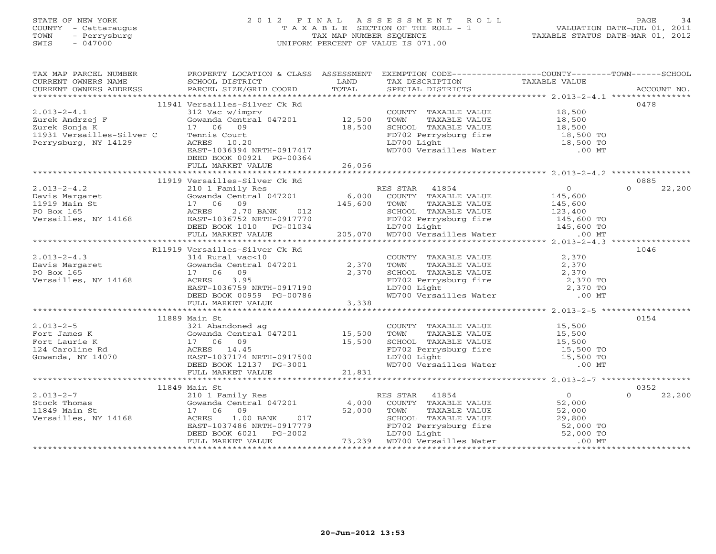### STATE OF NEW YORK 2 0 1 2 F I N A L A S S E S S M E N T R O L L PAGE 34 COUNTY - Cattaraugus T A X A B L E SECTION OF THE ROLL - 1 VALUATION DATE-JUL 01, 2011 TOWN - Perrysburg TAX MAP NUMBER SEQUENCE TAXABLE STATUS DATE-MAR 01, 2012 SWIS - 047000 UNIFORM PERCENT OF VALUE IS 071.00UNIFORM PERCENT OF VALUE IS 071.00

| TAX MAP PARCEL NUMBER<br>CURRENT OWNERS NAME                                                                                                                                                                                                                                                               | PROPERTY LOCATION & CLASS ASSESSMENT EXEMPTION CODE----------------COUNTY-------TOWN------SCHOOL<br>SCHOOL DISTRICT                                                                                                                      | <b>LAND</b> | TAX DESCRIPTION TAXABLE VALUE SPECIAL DISTRICTS                                                                                                                                                                                      |                |                    |
|------------------------------------------------------------------------------------------------------------------------------------------------------------------------------------------------------------------------------------------------------------------------------------------------------------|------------------------------------------------------------------------------------------------------------------------------------------------------------------------------------------------------------------------------------------|-------------|--------------------------------------------------------------------------------------------------------------------------------------------------------------------------------------------------------------------------------------|----------------|--------------------|
|                                                                                                                                                                                                                                                                                                            |                                                                                                                                                                                                                                          |             |                                                                                                                                                                                                                                      |                |                    |
|                                                                                                                                                                                                                                                                                                            | 11941 Versailles-Silver Ck Rd                                                                                                                                                                                                            |             |                                                                                                                                                                                                                                      |                | 0478               |
| $2.013 - 2 - 4.1$                                                                                                                                                                                                                                                                                          | 312 Vac w/imprv                                                                                                                                                                                                                          |             | COUNTY TAXABLE VALUE 18,500                                                                                                                                                                                                          |                |                    |
|                                                                                                                                                                                                                                                                                                            |                                                                                                                                                                                                                                          |             |                                                                                                                                                                                                                                      |                |                    |
| Zurek Andrzej F<br>Zurek Sonja K<br>Zurek Sonja K                                                                                                                                                                                                                                                          | 312 vac w/ingriv<br>Gowanda Central 047201 12,500<br>17 06 09 18,500                                                                                                                                                                     |             |                                                                                                                                                                                                                                      |                |                    |
|                                                                                                                                                                                                                                                                                                            | Tennis Court                                                                                                                                                                                                                             |             |                                                                                                                                                                                                                                      |                |                    |
| 11931 Versailles-Silver C<br>Perrysburg, NY 14129<br>Perrysburg, NY 14129                                                                                                                                                                                                                                  | ACRES 10.20                                                                                                                                                                                                                              |             |                                                                                                                                                                                                                                      |                |                    |
|                                                                                                                                                                                                                                                                                                            | EAST-1036394 NRTH-0917417                                                                                                                                                                                                                |             | FD702 Perrysburg fire 18,500 TO<br>LD700 Light 18,500 TO<br>WD700 Versailles Water .00 MT                                                                                                                                            |                |                    |
|                                                                                                                                                                                                                                                                                                            | DEED BOOK 00921 PG-00364                                                                                                                                                                                                                 |             |                                                                                                                                                                                                                                      |                |                    |
|                                                                                                                                                                                                                                                                                                            |                                                                                                                                                                                                                                          |             |                                                                                                                                                                                                                                      |                |                    |
|                                                                                                                                                                                                                                                                                                            |                                                                                                                                                                                                                                          |             |                                                                                                                                                                                                                                      |                |                    |
|                                                                                                                                                                                                                                                                                                            | 11919 Versailles-Silver Ck Rd                                                                                                                                                                                                            |             |                                                                                                                                                                                                                                      |                | 0885               |
|                                                                                                                                                                                                                                                                                                            |                                                                                                                                                                                                                                          |             |                                                                                                                                                                                                                                      |                | 22,200<br>$\Omega$ |
|                                                                                                                                                                                                                                                                                                            |                                                                                                                                                                                                                                          |             |                                                                                                                                                                                                                                      |                |                    |
|                                                                                                                                                                                                                                                                                                            |                                                                                                                                                                                                                                          |             |                                                                                                                                                                                                                                      |                |                    |
|                                                                                                                                                                                                                                                                                                            |                                                                                                                                                                                                                                          |             |                                                                                                                                                                                                                                      |                |                    |
|                                                                                                                                                                                                                                                                                                            |                                                                                                                                                                                                                                          |             |                                                                                                                                                                                                                                      |                |                    |
|                                                                                                                                                                                                                                                                                                            |                                                                                                                                                                                                                                          |             |                                                                                                                                                                                                                                      |                |                    |
|                                                                                                                                                                                                                                                                                                            |                                                                                                                                                                                                                                          |             |                                                                                                                                                                                                                                      |                |                    |
|                                                                                                                                                                                                                                                                                                            |                                                                                                                                                                                                                                          |             |                                                                                                                                                                                                                                      |                |                    |
| R11919 Versailles-Silver Ck Rd<br>2.013-2-4.3<br>Davis Margaret Gowanda Central 047201<br>PO Box 165<br>Versailles, NY 14168<br>COUNTY<br>2,370 TOWN<br>PO Box 165<br>2,370 SCHOOL<br>EAST-1036759 NRTH-0917190<br>DEED BOOK 00959 PG-00786<br>PEAST                                                       | R11919 Versailles-Silver Ck Rd                                                                                                                                                                                                           |             | COUNTY TAXABLE VALUE<br>TOWN TAXABLE VALUE<br>SCHOOL TAXABLE VALUE<br>FD702 Perrysburg fire<br>LD700 Light<br>WD700 Versailles Water<br>2,370 TO<br>2,370 TO<br>2,370 TO<br>2,370 TO<br>2,370 TO<br>2,370 TO<br>2,370 TO<br>2,370 TO |                | 1046               |
|                                                                                                                                                                                                                                                                                                            |                                                                                                                                                                                                                                          |             |                                                                                                                                                                                                                                      |                |                    |
|                                                                                                                                                                                                                                                                                                            |                                                                                                                                                                                                                                          |             |                                                                                                                                                                                                                                      |                |                    |
|                                                                                                                                                                                                                                                                                                            |                                                                                                                                                                                                                                          |             |                                                                                                                                                                                                                                      |                |                    |
|                                                                                                                                                                                                                                                                                                            |                                                                                                                                                                                                                                          |             |                                                                                                                                                                                                                                      |                |                    |
|                                                                                                                                                                                                                                                                                                            |                                                                                                                                                                                                                                          |             |                                                                                                                                                                                                                                      |                |                    |
|                                                                                                                                                                                                                                                                                                            | FULL MARKET VALUE                                                                                                                                                                                                                        | 3,338       |                                                                                                                                                                                                                                      |                |                    |
|                                                                                                                                                                                                                                                                                                            |                                                                                                                                                                                                                                          |             |                                                                                                                                                                                                                                      |                |                    |
|                                                                                                                                                                                                                                                                                                            | 11889 Main St                                                                                                                                                                                                                            |             |                                                                                                                                                                                                                                      |                | 0154               |
|                                                                                                                                                                                                                                                                                                            |                                                                                                                                                                                                                                          |             | COUNTY TAXABLE VALUE 15,500                                                                                                                                                                                                          |                |                    |
|                                                                                                                                                                                                                                                                                                            |                                                                                                                                                                                                                                          |             |                                                                                                                                                                                                                                      |                |                    |
|                                                                                                                                                                                                                                                                                                            |                                                                                                                                                                                                                                          |             |                                                                                                                                                                                                                                      |                |                    |
|                                                                                                                                                                                                                                                                                                            |                                                                                                                                                                                                                                          |             | FD702 Perrysburg fire<br>LD700 Light<br>WD700 Versailles Water 15,500 TO<br>WD700 Versailles Water .00 MT                                                                                                                            |                |                    |
|                                                                                                                                                                                                                                                                                                            |                                                                                                                                                                                                                                          |             |                                                                                                                                                                                                                                      |                |                    |
|                                                                                                                                                                                                                                                                                                            |                                                                                                                                                                                                                                          |             |                                                                                                                                                                                                                                      |                |                    |
|                                                                                                                                                                                                                                                                                                            |                                                                                                                                                                                                                                          |             |                                                                                                                                                                                                                                      |                |                    |
| .013-2-5<br>$\frac{1}{2}$<br>Fort Laurie K $\frac{1}{2}$<br>Gowanda, NY 14070<br>DEED BOOK 12137 PG-3001<br>FULL MARKET VALUE 21,831<br>$\frac{1}{2}$<br>$\frac{1}{2}$ , $\frac{1}{2}$<br>$\frac{1}{2}$ , $\frac{1}{2}$<br>$\frac{1}{2}$<br>$\frac{1}{2}$<br>$\frac{1}{2}$<br>$\frac{1}{2}$<br>$\frac{1}{$ |                                                                                                                                                                                                                                          |             |                                                                                                                                                                                                                                      |                |                    |
|                                                                                                                                                                                                                                                                                                            |                                                                                                                                                                                                                                          |             |                                                                                                                                                                                                                                      |                | 0352               |
|                                                                                                                                                                                                                                                                                                            |                                                                                                                                                                                                                                          |             | RES STAR 41854<br>COUNTY TAXABLE VALUE 52,000                                                                                                                                                                                        | $\overline{0}$ | 22,200<br>$\cap$   |
|                                                                                                                                                                                                                                                                                                            |                                                                                                                                                                                                                                          |             |                                                                                                                                                                                                                                      |                |                    |
|                                                                                                                                                                                                                                                                                                            |                                                                                                                                                                                                                                          |             |                                                                                                                                                                                                                                      |                |                    |
|                                                                                                                                                                                                                                                                                                            |                                                                                                                                                                                                                                          |             |                                                                                                                                                                                                                                      |                |                    |
|                                                                                                                                                                                                                                                                                                            |                                                                                                                                                                                                                                          |             |                                                                                                                                                                                                                                      |                |                    |
|                                                                                                                                                                                                                                                                                                            | 17 06 09<br>ACRES 1.00 BANK 017<br>EAST-1037486 NRTH-0917779 52,000 TOWN TAXABLE VALUE 29,800<br>EAST-1037486 NRTH-0917779 FD702 Perrysburg fire 52,000 TO<br>DEED BOOK 6021 PG-2002 LD700 Light 52,000 TO<br>FULL MARKET VALUE 73,239 W |             |                                                                                                                                                                                                                                      |                |                    |
|                                                                                                                                                                                                                                                                                                            |                                                                                                                                                                                                                                          |             |                                                                                                                                                                                                                                      |                |                    |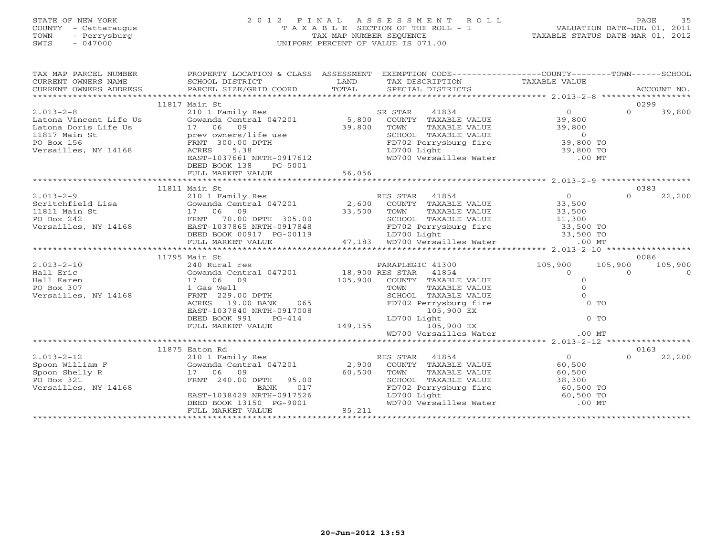# STATE OF NEW YORK 2 0 1 2 F I N A L A S S E S S M E N T R O L L PAGE 35 COUNTY - Cattaraugus T A X A B L E SECTION OF THE ROLL - 1 VALUATION DATE-JUL 01, 2011 TOWN - Perrysburg TAX MAP NUMBER SEQUENCE TAXABLE STATUS DATE-MAR 01, 2012 SWIS - 047000 UNIFORM PERCENT OF VALUE IS 071.00

| TAX MAP PARCEL NUMBER<br>CURRENT OWNERS NAME SCHOOL DISTRICT<br>CURRENT OWNERS ADDRESS PARCEL SIZE/GRIL | PROPERTY LOCATION & CLASS ASSESSMENT EXEMPTION CODE----------------COUNTY-------TOWN------SCHOOL |  |  |  |                 |          |  |  |
|---------------------------------------------------------------------------------------------------------|--------------------------------------------------------------------------------------------------|--|--|--|-----------------|----------|--|--|
| 0299<br>11817 Main St                                                                                   |                                                                                                  |  |  |  |                 |          |  |  |
|                                                                                                         |                                                                                                  |  |  |  |                 |          |  |  |
|                                                                                                         |                                                                                                  |  |  |  | $\Omega$        | 39,800   |  |  |
|                                                                                                         |                                                                                                  |  |  |  |                 |          |  |  |
|                                                                                                         |                                                                                                  |  |  |  |                 |          |  |  |
|                                                                                                         |                                                                                                  |  |  |  |                 |          |  |  |
|                                                                                                         |                                                                                                  |  |  |  |                 |          |  |  |
|                                                                                                         |                                                                                                  |  |  |  |                 |          |  |  |
|                                                                                                         |                                                                                                  |  |  |  |                 |          |  |  |
|                                                                                                         | DEED BOOK 138 PG-5001                                                                            |  |  |  |                 |          |  |  |
|                                                                                                         |                                                                                                  |  |  |  |                 |          |  |  |
|                                                                                                         |                                                                                                  |  |  |  |                 |          |  |  |
|                                                                                                         | 11811 Main St                                                                                    |  |  |  | 0383            |          |  |  |
|                                                                                                         |                                                                                                  |  |  |  |                 |          |  |  |
|                                                                                                         |                                                                                                  |  |  |  |                 |          |  |  |
|                                                                                                         |                                                                                                  |  |  |  |                 |          |  |  |
|                                                                                                         |                                                                                                  |  |  |  |                 |          |  |  |
|                                                                                                         |                                                                                                  |  |  |  |                 |          |  |  |
|                                                                                                         |                                                                                                  |  |  |  |                 |          |  |  |
|                                                                                                         |                                                                                                  |  |  |  |                 |          |  |  |
|                                                                                                         |                                                                                                  |  |  |  |                 |          |  |  |
|                                                                                                         | 11795 Main St                                                                                    |  |  |  | 0086            |          |  |  |
|                                                                                                         |                                                                                                  |  |  |  | 105,900 105,900 |          |  |  |
|                                                                                                         |                                                                                                  |  |  |  | $\Omega$        | $\Omega$ |  |  |
|                                                                                                         |                                                                                                  |  |  |  |                 |          |  |  |
|                                                                                                         |                                                                                                  |  |  |  |                 |          |  |  |
|                                                                                                         |                                                                                                  |  |  |  |                 |          |  |  |
|                                                                                                         |                                                                                                  |  |  |  |                 |          |  |  |
|                                                                                                         |                                                                                                  |  |  |  |                 |          |  |  |
|                                                                                                         |                                                                                                  |  |  |  |                 |          |  |  |
|                                                                                                         |                                                                                                  |  |  |  |                 |          |  |  |
|                                                                                                         |                                                                                                  |  |  |  |                 |          |  |  |
|                                                                                                         |                                                                                                  |  |  |  |                 |          |  |  |
|                                                                                                         |                                                                                                  |  |  |  |                 |          |  |  |
|                                                                                                         | 11875 Eaton Rd                                                                                   |  |  |  | 0163            |          |  |  |
|                                                                                                         |                                                                                                  |  |  |  |                 | 22,200   |  |  |
|                                                                                                         |                                                                                                  |  |  |  |                 |          |  |  |
|                                                                                                         |                                                                                                  |  |  |  |                 |          |  |  |
|                                                                                                         |                                                                                                  |  |  |  |                 |          |  |  |
|                                                                                                         |                                                                                                  |  |  |  |                 |          |  |  |
|                                                                                                         |                                                                                                  |  |  |  |                 |          |  |  |
|                                                                                                         |                                                                                                  |  |  |  |                 |          |  |  |
|                                                                                                         |                                                                                                  |  |  |  |                 |          |  |  |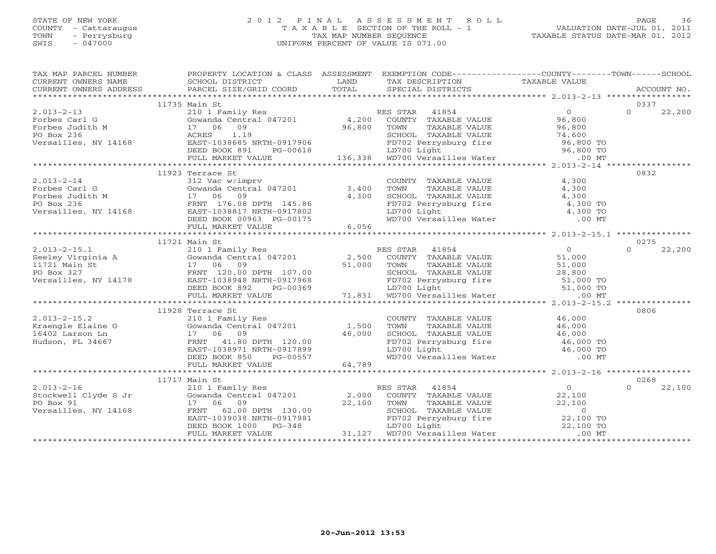#### STATE OF NEW YORK 2 0 1 2 F I N A L A S S E S S M E N T R O L L PAGE 36 COUNTY - Cattaraugus T A X A B L E SECTION OF THE ROLL - 1 VALUATION DATE-JUL 01, 2011 TOWN - Perrysburg TAX MAP NUMBER SEQUENCE TAXABLE STATUS DATE-MAR 01, 2012 SWIS - 047000 UNIFORM PERCENT OF VALUE IS 071.00

| TAX MAP PARCEL NUMBER FROPERTY LOCATION & CLASS ASSESSMENT EXEMPTION CODE--------------COUNTY-------TOWN------SCHOOL                                                                                                                                                                                                                                                                                     |                  |  |                    |
|----------------------------------------------------------------------------------------------------------------------------------------------------------------------------------------------------------------------------------------------------------------------------------------------------------------------------------------------------------------------------------------------------------|------------------|--|--------------------|
|                                                                                                                                                                                                                                                                                                                                                                                                          |                  |  |                    |
|                                                                                                                                                                                                                                                                                                                                                                                                          |                  |  |                    |
|                                                                                                                                                                                                                                                                                                                                                                                                          |                  |  |                    |
|                                                                                                                                                                                                                                                                                                                                                                                                          | 11735 Main St    |  | 0337               |
|                                                                                                                                                                                                                                                                                                                                                                                                          |                  |  | 22,200             |
|                                                                                                                                                                                                                                                                                                                                                                                                          |                  |  |                    |
|                                                                                                                                                                                                                                                                                                                                                                                                          |                  |  |                    |
|                                                                                                                                                                                                                                                                                                                                                                                                          |                  |  |                    |
|                                                                                                                                                                                                                                                                                                                                                                                                          |                  |  |                    |
|                                                                                                                                                                                                                                                                                                                                                                                                          |                  |  |                    |
|                                                                                                                                                                                                                                                                                                                                                                                                          |                  |  |                    |
| $\begin{tabular}{c c c c c} \multicolumn{3}{c c c c} \multicolumn{3}{c c c} \multicolumn{3}{c c c} \multicolumn{3}{c c c} \multicolumn{3}{c c c} \multicolumn{3}{c c c} \multicolumn{3}{c c c} \multicolumn{3}{c c c} \multicolumn{3}{c c c} \multicolumn{3}{c c c} \multicolumn{3}{c c c} \multicolumn{3}{c c c} \multicolumn{3}{c c c} \multicolumn{3}{c c c} \multicolumn{3}{c c c} \multicolumn{3}{$ |                  |  |                    |
|                                                                                                                                                                                                                                                                                                                                                                                                          | 11923 Terrace St |  | 0832               |
|                                                                                                                                                                                                                                                                                                                                                                                                          |                  |  |                    |
|                                                                                                                                                                                                                                                                                                                                                                                                          |                  |  |                    |
|                                                                                                                                                                                                                                                                                                                                                                                                          |                  |  |                    |
|                                                                                                                                                                                                                                                                                                                                                                                                          |                  |  |                    |
|                                                                                                                                                                                                                                                                                                                                                                                                          |                  |  |                    |
|                                                                                                                                                                                                                                                                                                                                                                                                          |                  |  |                    |
|                                                                                                                                                                                                                                                                                                                                                                                                          |                  |  |                    |
|                                                                                                                                                                                                                                                                                                                                                                                                          |                  |  |                    |
|                                                                                                                                                                                                                                                                                                                                                                                                          | 11721 Main St    |  | 0275               |
|                                                                                                                                                                                                                                                                                                                                                                                                          |                  |  |                    |
|                                                                                                                                                                                                                                                                                                                                                                                                          |                  |  |                    |
|                                                                                                                                                                                                                                                                                                                                                                                                          |                  |  |                    |
|                                                                                                                                                                                                                                                                                                                                                                                                          |                  |  |                    |
|                                                                                                                                                                                                                                                                                                                                                                                                          |                  |  |                    |
|                                                                                                                                                                                                                                                                                                                                                                                                          |                  |  |                    |
|                                                                                                                                                                                                                                                                                                                                                                                                          |                  |  |                    |
|                                                                                                                                                                                                                                                                                                                                                                                                          |                  |  |                    |
|                                                                                                                                                                                                                                                                                                                                                                                                          | 11928 Terrace St |  | 0806               |
|                                                                                                                                                                                                                                                                                                                                                                                                          |                  |  |                    |
|                                                                                                                                                                                                                                                                                                                                                                                                          |                  |  |                    |
|                                                                                                                                                                                                                                                                                                                                                                                                          |                  |  |                    |
|                                                                                                                                                                                                                                                                                                                                                                                                          |                  |  |                    |
|                                                                                                                                                                                                                                                                                                                                                                                                          |                  |  |                    |
|                                                                                                                                                                                                                                                                                                                                                                                                          |                  |  |                    |
|                                                                                                                                                                                                                                                                                                                                                                                                          |                  |  |                    |
| $\begin{tabular}{lcccccc} 2.013–2–15.2 & 11928 Terrace St. & 11928 Terrace St. & 11928 Terraec St. & 11928 Terraec St. & 11928 Terraec St. & 11928 Terraec St. & 11928 Terraec St. & 11928 Terraec St. & 11928 & 11928 Terraec St. & 11928 & 11928 & 11928 & 11928 & 11928 & 11928 & 11928 & 11928 & 11928 & 11928 & 11928 & 119$                                                                        |                  |  |                    |
|                                                                                                                                                                                                                                                                                                                                                                                                          | 11717 Main St    |  | 0268               |
|                                                                                                                                                                                                                                                                                                                                                                                                          |                  |  | $\Omega$<br>22,100 |
|                                                                                                                                                                                                                                                                                                                                                                                                          |                  |  |                    |
|                                                                                                                                                                                                                                                                                                                                                                                                          |                  |  |                    |
|                                                                                                                                                                                                                                                                                                                                                                                                          |                  |  |                    |
|                                                                                                                                                                                                                                                                                                                                                                                                          |                  |  |                    |
|                                                                                                                                                                                                                                                                                                                                                                                                          |                  |  |                    |
|                                                                                                                                                                                                                                                                                                                                                                                                          |                  |  |                    |
|                                                                                                                                                                                                                                                                                                                                                                                                          |                  |  |                    |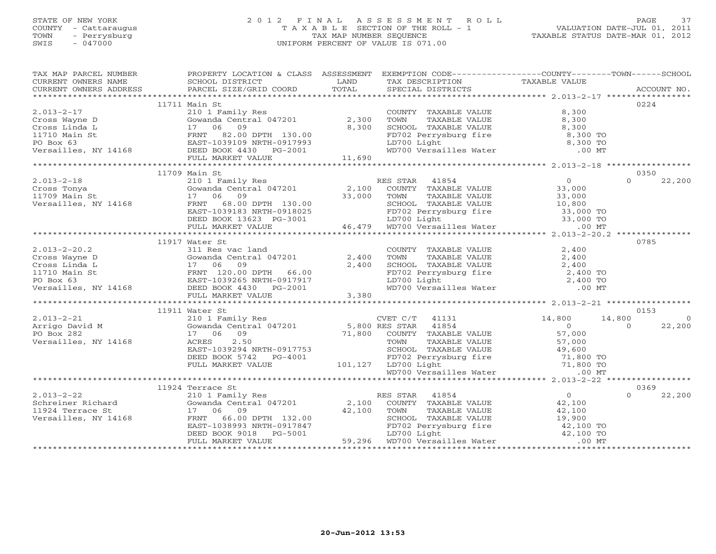#### STATE OF NEW YORK 2 0 1 2 F I N A L A S S E S S M E N T R O L L PAGE 37 COUNTY - Cattaraugus T A X A B L E SECTION OF THE ROLL - 1 VALUATION DATE-JUL 01, 2011 TOWN - Perrysburg TAX MAP NUMBER SEQUENCE TAXABLE STATUS DATE-MAR 01, 2012 SWIS - 047000 UNIFORM PERCENT OF VALUE IS 071.00UNIFORM PERCENT OF VALUE IS 071.00

| TAX MAP PARCEL NUMBER                                                                                                                                                                                                                                                                                                                                                                                                              | PROPERTY LOCATION & CLASS ASSESSMENT EXEMPTION CODE----------------COUNTY-------TOWN------SCHOOL |                                                                                                                                                           |                    |  |
|------------------------------------------------------------------------------------------------------------------------------------------------------------------------------------------------------------------------------------------------------------------------------------------------------------------------------------------------------------------------------------------------------------------------------------|--------------------------------------------------------------------------------------------------|-----------------------------------------------------------------------------------------------------------------------------------------------------------|--------------------|--|
|                                                                                                                                                                                                                                                                                                                                                                                                                                    |                                                                                                  |                                                                                                                                                           |                    |  |
|                                                                                                                                                                                                                                                                                                                                                                                                                                    |                                                                                                  |                                                                                                                                                           |                    |  |
|                                                                                                                                                                                                                                                                                                                                                                                                                                    |                                                                                                  |                                                                                                                                                           |                    |  |
|                                                                                                                                                                                                                                                                                                                                                                                                                                    | 11711 Main St                                                                                    |                                                                                                                                                           | 0224               |  |
|                                                                                                                                                                                                                                                                                                                                                                                                                                    |                                                                                                  |                                                                                                                                                           |                    |  |
|                                                                                                                                                                                                                                                                                                                                                                                                                                    |                                                                                                  |                                                                                                                                                           |                    |  |
|                                                                                                                                                                                                                                                                                                                                                                                                                                    |                                                                                                  |                                                                                                                                                           |                    |  |
|                                                                                                                                                                                                                                                                                                                                                                                                                                    |                                                                                                  |                                                                                                                                                           |                    |  |
|                                                                                                                                                                                                                                                                                                                                                                                                                                    |                                                                                                  |                                                                                                                                                           |                    |  |
|                                                                                                                                                                                                                                                                                                                                                                                                                                    |                                                                                                  |                                                                                                                                                           |                    |  |
|                                                                                                                                                                                                                                                                                                                                                                                                                                    |                                                                                                  |                                                                                                                                                           |                    |  |
|                                                                                                                                                                                                                                                                                                                                                                                                                                    |                                                                                                  |                                                                                                                                                           |                    |  |
|                                                                                                                                                                                                                                                                                                                                                                                                                                    | 11709 Main St                                                                                    |                                                                                                                                                           | 0350               |  |
|                                                                                                                                                                                                                                                                                                                                                                                                                                    |                                                                                                  |                                                                                                                                                           | 22,200<br>$\Omega$ |  |
|                                                                                                                                                                                                                                                                                                                                                                                                                                    |                                                                                                  |                                                                                                                                                           |                    |  |
|                                                                                                                                                                                                                                                                                                                                                                                                                                    |                                                                                                  |                                                                                                                                                           |                    |  |
|                                                                                                                                                                                                                                                                                                                                                                                                                                    |                                                                                                  |                                                                                                                                                           |                    |  |
|                                                                                                                                                                                                                                                                                                                                                                                                                                    |                                                                                                  |                                                                                                                                                           |                    |  |
|                                                                                                                                                                                                                                                                                                                                                                                                                                    |                                                                                                  |                                                                                                                                                           |                    |  |
|                                                                                                                                                                                                                                                                                                                                                                                                                                    |                                                                                                  |                                                                                                                                                           |                    |  |
|                                                                                                                                                                                                                                                                                                                                                                                                                                    |                                                                                                  |                                                                                                                                                           |                    |  |
|                                                                                                                                                                                                                                                                                                                                                                                                                                    | 11917 Water St                                                                                   |                                                                                                                                                           | 0785               |  |
|                                                                                                                                                                                                                                                                                                                                                                                                                                    |                                                                                                  |                                                                                                                                                           |                    |  |
|                                                                                                                                                                                                                                                                                                                                                                                                                                    |                                                                                                  |                                                                                                                                                           |                    |  |
|                                                                                                                                                                                                                                                                                                                                                                                                                                    |                                                                                                  |                                                                                                                                                           |                    |  |
|                                                                                                                                                                                                                                                                                                                                                                                                                                    |                                                                                                  |                                                                                                                                                           |                    |  |
|                                                                                                                                                                                                                                                                                                                                                                                                                                    |                                                                                                  |                                                                                                                                                           |                    |  |
|                                                                                                                                                                                                                                                                                                                                                                                                                                    |                                                                                                  | COUNTY TAXABLE VALUE<br>TOWN TAXABLE VALUE<br>SCHOOL TAXABLE VALUE<br>FD702 Perrysburg fire<br>LD700 Light<br>WD700 Versailles Water<br>2,400 TO<br>00 MT |                    |  |
|                                                                                                                                                                                                                                                                                                                                                                                                                                    |                                                                                                  |                                                                                                                                                           |                    |  |
|                                                                                                                                                                                                                                                                                                                                                                                                                                    | 11911 Water St                                                                                   |                                                                                                                                                           | 0153               |  |
| $\begin{tabular}{c c c c c} \multicolumn{1}{c}{\textbf{2.013--2-21}} & \multicolumn{1}{c}{\textbf{11911 Water St}} & \multicolumn{1}{c}{\textbf{2.013--2-21}} & \multicolumn{1}{c}{\textbf{2.013--2-21}} & \multicolumn{1}{c}{\textbf{2.014-Fair}} & \multicolumn{1}{c}{\textbf{2.015--2}} & \multicolumn{1}{c}{\textbf{2.017--21}} & \multicolumn{1}{c}{\textbf{2.018--2}} & \multicolumn{1}{c}{\textbf{2.019$                    |                                                                                                  |                                                                                                                                                           | $\overline{0}$     |  |
|                                                                                                                                                                                                                                                                                                                                                                                                                                    |                                                                                                  |                                                                                                                                                           | 22,200             |  |
|                                                                                                                                                                                                                                                                                                                                                                                                                                    |                                                                                                  |                                                                                                                                                           |                    |  |
|                                                                                                                                                                                                                                                                                                                                                                                                                                    |                                                                                                  |                                                                                                                                                           |                    |  |
|                                                                                                                                                                                                                                                                                                                                                                                                                                    |                                                                                                  |                                                                                                                                                           |                    |  |
|                                                                                                                                                                                                                                                                                                                                                                                                                                    |                                                                                                  |                                                                                                                                                           |                    |  |
|                                                                                                                                                                                                                                                                                                                                                                                                                                    |                                                                                                  |                                                                                                                                                           |                    |  |
|                                                                                                                                                                                                                                                                                                                                                                                                                                    |                                                                                                  |                                                                                                                                                           |                    |  |
|                                                                                                                                                                                                                                                                                                                                                                                                                                    |                                                                                                  |                                                                                                                                                           |                    |  |
|                                                                                                                                                                                                                                                                                                                                                                                                                                    | 11924 Terrace St                                                                                 |                                                                                                                                                           | 0369               |  |
|                                                                                                                                                                                                                                                                                                                                                                                                                                    |                                                                                                  |                                                                                                                                                           | 22,200<br>$\Omega$ |  |
|                                                                                                                                                                                                                                                                                                                                                                                                                                    |                                                                                                  |                                                                                                                                                           |                    |  |
|                                                                                                                                                                                                                                                                                                                                                                                                                                    |                                                                                                  |                                                                                                                                                           |                    |  |
|                                                                                                                                                                                                                                                                                                                                                                                                                                    |                                                                                                  |                                                                                                                                                           |                    |  |
|                                                                                                                                                                                                                                                                                                                                                                                                                                    |                                                                                                  |                                                                                                                                                           |                    |  |
|                                                                                                                                                                                                                                                                                                                                                                                                                                    |                                                                                                  |                                                                                                                                                           |                    |  |
| $\begin{tabular}{c cccc} \multicolumn{4}{c}{\textbf{2.013--2-22}} & \multicolumn{4}{c}{\textbf{1.924} \text{ Terrace St}} & \multicolumn{4}{c}{\textbf{2.013--2-22}} & \multicolumn{4}{c}{\textbf{2.02}} & \multicolumn{4}{c}{\textbf{2.03--22}} & \multicolumn{4}{c}{\textbf{2.04} \text{ For instance, which is a 2.400} \\ & \multicolumn{4}{c}{\textbf{5.04} \text{ For instance, } 17 & 06 & 09 & 42,100 & 59,296 \\ & \mult$ |                                                                                                  |                                                                                                                                                           |                    |  |
|                                                                                                                                                                                                                                                                                                                                                                                                                                    |                                                                                                  |                                                                                                                                                           |                    |  |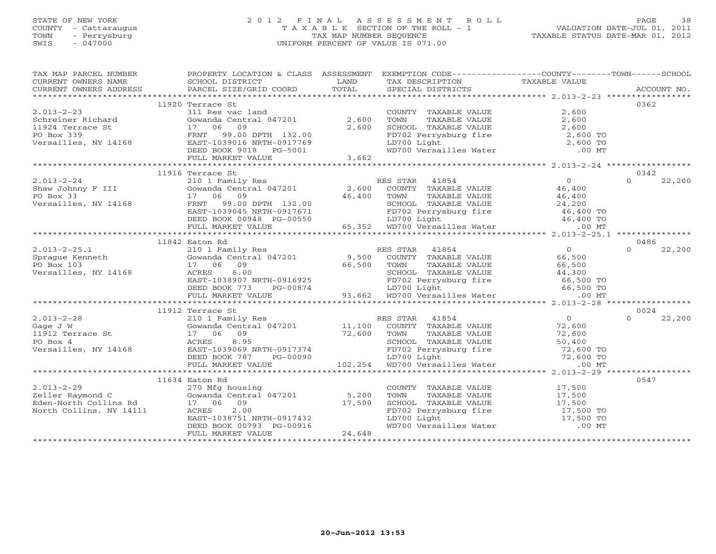#### STATE OF NEW YORK 2 0 1 2 F I N A L A S S E S S M E N T R O L L PAGE 38 COUNTY - Cattaraugus T A X A B L E SECTION OF THE ROLL - 1 VALUATION DATE-JUL 01, 2011 TOWN - Perrysburg TAX MAP NUMBER SEQUENCE TAXABLE STATUS DATE-MAR 01, 2012 SWIS - 047000 UNIFORM PERCENT OF VALUE IS 071.00

| TAX MAP PARCEL NUMBER | PROPERTY LOCATION & CLASS ASSESSMENT EXEMPTION CODE----------------COUNTY-------TOWN------SCHOOL                                                                                                                                                                                                                                                                                                       |                                                                                                               |      |
|-----------------------|--------------------------------------------------------------------------------------------------------------------------------------------------------------------------------------------------------------------------------------------------------------------------------------------------------------------------------------------------------------------------------------------------------|---------------------------------------------------------------------------------------------------------------|------|
|                       |                                                                                                                                                                                                                                                                                                                                                                                                        |                                                                                                               |      |
|                       |                                                                                                                                                                                                                                                                                                                                                                                                        |                                                                                                               |      |
|                       |                                                                                                                                                                                                                                                                                                                                                                                                        |                                                                                                               |      |
|                       | 11920 Terrace St                                                                                                                                                                                                                                                                                                                                                                                       |                                                                                                               | 0362 |
| $2.013 - 2 - 23$      | 311 Res vac land                                                                                                                                                                                                                                                                                                                                                                                       | COUNTY TAXABLE VALUE 2,600                                                                                    |      |
|                       |                                                                                                                                                                                                                                                                                                                                                                                                        |                                                                                                               |      |
|                       |                                                                                                                                                                                                                                                                                                                                                                                                        |                                                                                                               |      |
|                       |                                                                                                                                                                                                                                                                                                                                                                                                        |                                                                                                               |      |
|                       |                                                                                                                                                                                                                                                                                                                                                                                                        |                                                                                                               |      |
|                       |                                                                                                                                                                                                                                                                                                                                                                                                        |                                                                                                               |      |
|                       |                                                                                                                                                                                                                                                                                                                                                                                                        |                                                                                                               |      |
|                       | 2.013-2-23<br>2.600 TOWN TAXABLE VALUE<br>2.600 TOWN TAXABLE VALUE<br>2.600 SCHOOL TAXABLE VALUE<br>2.600 2.600 SCHOOL TAXABLE VALUE<br>2.600 2.600 PO Box 339<br>FRNT 99.00 DPTH 132.00 PD702 Perrysburg fire<br>2.600 TOWN TAXABLE VALUE<br>                                                                                                                                                         |                                                                                                               |      |
|                       | 11916 Terrace St<br>$\begin{tabular}{c c c c c} \multicolumn{1}{c}{\textbf{2.013--2-24}} & \multicolumn{1}{c}{\textbf{11916} \textbf{ Teraces St.} & \multicolumn{1}{c}{\textbf{2.011} \textbf{F} = 0.013--2-24} & \multicolumn{1}{c}{\textbf{2.011} \textbf{F} = 0.013--2-24} & \multicolumn{1}{c}{\textbf{2.020} \textbf{F} = 0.013--2-24} & \multicolumn{1}{c}{\textbf{2.03} \textbf{F} = 0.013--2$ |                                                                                                               | 0342 |
|                       |                                                                                                                                                                                                                                                                                                                                                                                                        |                                                                                                               |      |
|                       |                                                                                                                                                                                                                                                                                                                                                                                                        |                                                                                                               |      |
|                       |                                                                                                                                                                                                                                                                                                                                                                                                        |                                                                                                               |      |
|                       |                                                                                                                                                                                                                                                                                                                                                                                                        |                                                                                                               |      |
|                       |                                                                                                                                                                                                                                                                                                                                                                                                        |                                                                                                               |      |
|                       |                                                                                                                                                                                                                                                                                                                                                                                                        |                                                                                                               |      |
|                       |                                                                                                                                                                                                                                                                                                                                                                                                        |                                                                                                               |      |
|                       |                                                                                                                                                                                                                                                                                                                                                                                                        |                                                                                                               |      |
|                       | 11842 Eaton Rd                                                                                                                                                                                                                                                                                                                                                                                         |                                                                                                               | 0486 |
|                       |                                                                                                                                                                                                                                                                                                                                                                                                        |                                                                                                               |      |
|                       |                                                                                                                                                                                                                                                                                                                                                                                                        |                                                                                                               |      |
|                       |                                                                                                                                                                                                                                                                                                                                                                                                        |                                                                                                               |      |
|                       |                                                                                                                                                                                                                                                                                                                                                                                                        |                                                                                                               |      |
|                       |                                                                                                                                                                                                                                                                                                                                                                                                        |                                                                                                               |      |
|                       |                                                                                                                                                                                                                                                                                                                                                                                                        |                                                                                                               |      |
|                       |                                                                                                                                                                                                                                                                                                                                                                                                        |                                                                                                               |      |
|                       |                                                                                                                                                                                                                                                                                                                                                                                                        |                                                                                                               |      |
|                       | 11912 Terrace St                                                                                                                                                                                                                                                                                                                                                                                       |                                                                                                               | 0024 |
|                       |                                                                                                                                                                                                                                                                                                                                                                                                        |                                                                                                               |      |
|                       |                                                                                                                                                                                                                                                                                                                                                                                                        |                                                                                                               |      |
|                       |                                                                                                                                                                                                                                                                                                                                                                                                        |                                                                                                               |      |
|                       |                                                                                                                                                                                                                                                                                                                                                                                                        |                                                                                                               |      |
|                       |                                                                                                                                                                                                                                                                                                                                                                                                        |                                                                                                               |      |
|                       |                                                                                                                                                                                                                                                                                                                                                                                                        |                                                                                                               |      |
|                       |                                                                                                                                                                                                                                                                                                                                                                                                        |                                                                                                               |      |
|                       |                                                                                                                                                                                                                                                                                                                                                                                                        |                                                                                                               |      |
|                       | 11634 Eaton Rd                                                                                                                                                                                                                                                                                                                                                                                         |                                                                                                               | 0547 |
|                       |                                                                                                                                                                                                                                                                                                                                                                                                        | COUNTY TAXABLE VALUE 17,500<br>TOWN TAXABLE VALUE 17,500                                                      |      |
|                       |                                                                                                                                                                                                                                                                                                                                                                                                        |                                                                                                               |      |
|                       |                                                                                                                                                                                                                                                                                                                                                                                                        |                                                                                                               |      |
|                       |                                                                                                                                                                                                                                                                                                                                                                                                        |                                                                                                               |      |
|                       |                                                                                                                                                                                                                                                                                                                                                                                                        | SCHOOL TAXABLE VALUE<br>FD702 Perrysburg fire 17,500<br>LD700 Light 17,500 TO<br>WD700 Versailles Water 00 MT |      |
|                       |                                                                                                                                                                                                                                                                                                                                                                                                        |                                                                                                               |      |
|                       | 11634 Eaton Rd<br>270 Mfg housing<br>270 Mfg housing<br>270 Mfg housing<br>270 Mfg housing<br>6 Gowanda Central 047201 5,200<br>Eden-North Collins Rd<br>North Collins, NY 14111 ARRES 2.00<br>EAST-1038751 NRTH-0917432<br>DEED BOOK 00793 PG-0                                                                                                                                                       |                                                                                                               |      |
|                       |                                                                                                                                                                                                                                                                                                                                                                                                        |                                                                                                               |      |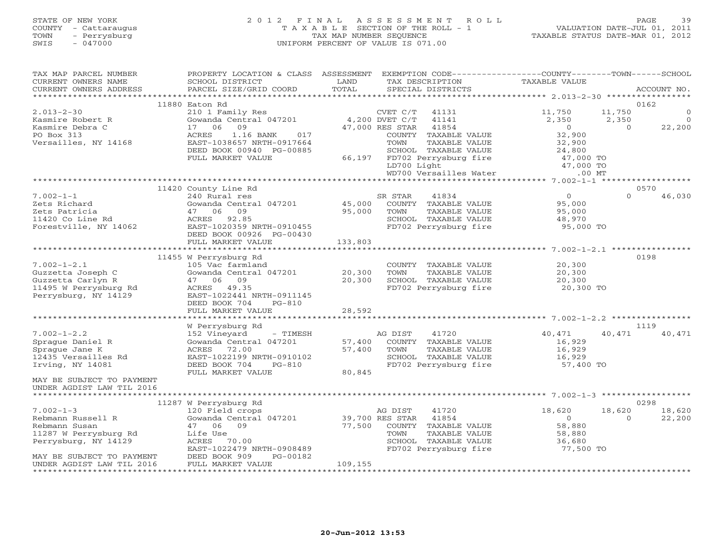# STATE OF NEW YORK 2 0 1 2 F I N A L A S S E S S M E N T R O L L PAGE 39 COUNTY - Cattaraugus T A X A B L E SECTION OF THE ROLL - 1 VALUATION DATE-JUL 01, 2011 TOWN - Perrysburg TAX MAP NUMBER SEQUENCE TAXABLE STATUS DATE-MAR 01, 2012 SWIS - 047000 UNIFORM PERCENT OF VALUE IS 071.00

| TAX MAP PARCEL NUMBER     | PROPERTY LOCATION & CLASS ASSESSMENT |                 |                 |                                                                     | EXEMPTION CODE-----------------COUNTY-------TOWN------SCHOOL |          |             |
|---------------------------|--------------------------------------|-----------------|-----------------|---------------------------------------------------------------------|--------------------------------------------------------------|----------|-------------|
| CURRENT OWNERS NAME       | SCHOOL DISTRICT                      | LAND            |                 | TAX DESCRIPTION                                                     | TAXABLE VALUE                                                |          |             |
| CURRENT OWNERS ADDRESS    | PARCEL SIZE/GRID COORD               | TOTAL           |                 | SPECIAL DISTRICTS                                                   |                                                              |          | ACCOUNT NO. |
|                           |                                      |                 |                 |                                                                     |                                                              |          |             |
|                           | 11880 Eaton Rd                       |                 |                 |                                                                     |                                                              |          | 0162        |
| $2.013 - 2 - 30$          | 210 1 Family Res                     |                 | CVET C/T        | 41131                                                               | 11,750                                                       | 11,750   | $\Omega$    |
| Kasmire Robert R          | Gowanda Central 047201               |                 | 4,200 DVET C/T  | 41141                                                               | 2,350                                                        | 2,350    | $\Omega$    |
| Kasmire Debra C           | 17 06<br>09                          |                 | 47,000 RES STAR | 41854                                                               | $\overline{0}$                                               | $\Omega$ | 22,200      |
| PO Box 313                | <b>ACRES</b><br>1.16 BANK<br>017     |                 |                 | COUNTY TAXABLE VALUE                                                | 32,900                                                       |          |             |
| Versailles, NY 14168      | EAST-1038657 NRTH-0917664            |                 | TOWN            | TAXABLE VALUE                                                       | 32,900                                                       |          |             |
|                           | DEED BOOK 00940 PG-00885             |                 |                 | SCHOOL TAXABLE VALUE<br>66,197 FD702 Perrysburg fire<br>LD700 Light | 24,800<br>47,000 TO                                          |          |             |
|                           | FULL MARKET VALUE                    |                 |                 |                                                                     |                                                              |          |             |
|                           |                                      |                 |                 |                                                                     | 47,000 TO                                                    |          |             |
|                           |                                      |                 |                 | WD700 Versailles Water                                              | $.00$ MT                                                     |          |             |
|                           |                                      |                 |                 |                                                                     |                                                              |          |             |
|                           | 11420 County Line Rd                 |                 |                 |                                                                     |                                                              |          | 0570        |
| $7.002 - 1 - 1$           | 240 Rural res                        |                 | SR STAR         | 41834                                                               | $\overline{0}$                                               | $\Omega$ | 46,030      |
| Zets Richard              | Gowanda Central 047201               | 45,000          |                 | COUNTY TAXABLE VALUE                                                | 95,000                                                       |          |             |
| Zets Patricia             | 47 06<br>09                          | 95,000          | TOWN            | TAXABLE VALUE                                                       | 95,000                                                       |          |             |
| 11420 Co Line Rd          | ACRES 92.85                          |                 |                 | SCHOOL TAXABLE VALUE                                                | 48,970                                                       |          |             |
| Forestville, NY 14062     | EAST-1020359 NRTH-0910455            |                 |                 | FD702 Perrysburg fire                                               | 95,000 TO                                                    |          |             |
|                           | DEED BOOK 00926 PG-00430             |                 |                 |                                                                     |                                                              |          |             |
|                           | FULL MARKET VALUE                    | 133,803         |                 |                                                                     |                                                              |          |             |
|                           |                                      |                 |                 |                                                                     |                                                              |          |             |
|                           | 11455 W Perrysburg Rd                |                 |                 |                                                                     |                                                              |          | 0198        |
| $7.002 - 1 - 2.1$         | 105 Vac farmland                     |                 |                 | COUNTY TAXABLE VALUE                                                | 20,300                                                       |          |             |
| Guzzetta Joseph C         | Gowanda Central 047201               | 20,300          | TOWN            | TAXABLE VALUE                                                       | 20,300                                                       |          |             |
| Guzzetta Carlyn R         | 47 06 09                             | 20,300          |                 | SCHOOL TAXABLE VALUE                                                | 20,300                                                       |          |             |
| 11495 W Perrysburg Rd     | ACRES 49.35                          |                 |                 | FD702 Perrysburg fire                                               | 20,300 TO                                                    |          |             |
| Perrysburg, NY 14129      | EAST-1022441 NRTH-0911145            |                 |                 |                                                                     |                                                              |          |             |
|                           | DEED BOOK 704<br>$PG-810$            |                 |                 |                                                                     |                                                              |          |             |
|                           | FULL MARKET VALUE                    | 28,592          |                 |                                                                     |                                                              |          |             |
|                           |                                      |                 |                 |                                                                     |                                                              |          |             |
|                           | W Perrysburg Rd                      |                 |                 |                                                                     |                                                              |          | 1119        |
| $7.002 - 1 - 2.2$         | 152 Vineyard<br>- TIMESH             |                 | AG DIST         | 41720                                                               | 40,471                                                       | 40,471   | 40,471      |
| Sprague Daniel R          | Gowanda Central 047201               | 57,400          |                 | COUNTY TAXABLE VALUE                                                | 16,929                                                       |          |             |
| Sprague Jane K            | ACRES 72.00                          | 57,400          | TOWN            | TAXABLE VALUE                                                       | 16,929                                                       |          |             |
| 12435 Versailles Rd       | EAST-1022199 NRTH-0910102            |                 |                 | SCHOOL TAXABLE VALUE                                                | 16,929                                                       |          |             |
| Irving, NY 14081          | DEED BOOK 704<br>PG-810              |                 |                 | FD702 Perrysburg fire                                               | 57,400 TO                                                    |          |             |
|                           | FULL MARKET VALUE                    | 80,845          |                 |                                                                     |                                                              |          |             |
| MAY BE SUBJECT TO PAYMENT |                                      |                 |                 |                                                                     |                                                              |          |             |
| UNDER AGDIST LAW TIL 2016 |                                      |                 |                 |                                                                     |                                                              |          |             |
|                           |                                      |                 |                 |                                                                     |                                                              |          |             |
|                           | 11287 W Perrysburg Rd                |                 |                 |                                                                     |                                                              |          | 0298        |
| $7.002 - 1 - 3$           | 120 Field crops                      |                 | AG DIST         | 41720                                                               | 18,620                                                       | 18,620   | 18,620      |
| Rebmann Russell R         | Gowanda Central 047201               | 39,700 RES STAR |                 | 41854                                                               | $\circ$                                                      | $\Omega$ | 22,200      |
| Rebmann Susan             | 47 06 09                             | 77,500          |                 | COUNTY TAXABLE VALUE                                                | 58,880                                                       |          |             |
| 11287 W Perrysburg Rd     | Life Use                             |                 | TOWN            | TAXABLE VALUE                                                       | 58,880                                                       |          |             |
| Perrysburg, NY 14129      | ACRES 70.00                          |                 |                 | SCHOOL TAXABLE VALUE                                                | 36,680                                                       |          |             |
|                           | EAST-1022479 NRTH-0908489            |                 |                 | FD702 Perrysburg fire                                               | 77,500 TO                                                    |          |             |
| MAY BE SUBJECT TO PAYMENT | DEED BOOK 909<br>PG-00182            |                 |                 |                                                                     |                                                              |          |             |
| UNDER AGDIST LAW TIL 2016 | FULL MARKET VALUE                    | 109,155         |                 |                                                                     |                                                              |          |             |
|                           |                                      |                 |                 |                                                                     |                                                              |          |             |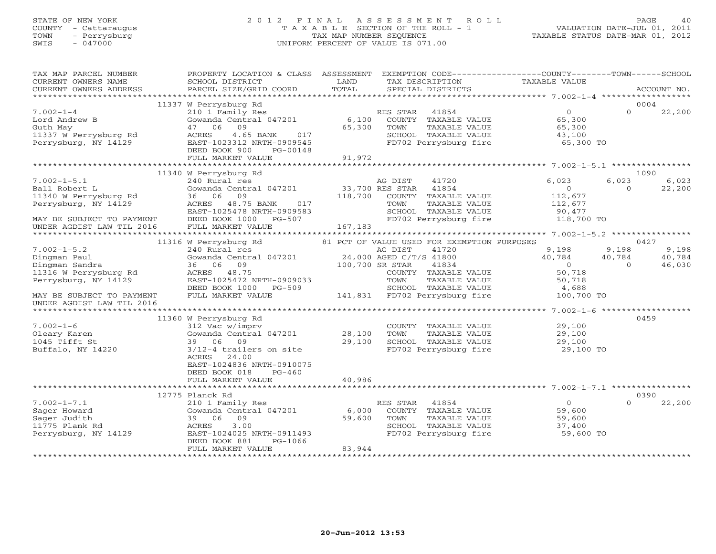# STATE OF NEW YORK 2 0 1 2 F I N A L A S S E S S M E N T R O L L PAGE 40 COUNTY - Cattaraugus T A X A B L E SECTION OF THE ROLL - 1 VALUATION DATE-JUL 01, 2011 TOWN - Perrysburg TAX MAP NUMBER SEQUENCE TAXABLE STATUS DATE-MAR 01, 2012 SWIS - 047000 UNIFORM PERCENT OF VALUE IS 071.00

| TAX MAP PARCEL NUMBER<br>CURRENT OWNERS NAME<br>CURRENT OWNERS ADDRESS | PROPERTY LOCATION & CLASS ASSESSMENT<br>SCHOOL DISTRICT<br>PARCEL SIZE/GRID COORD | LAND<br>TOTAL   | EXEMPTION CODE-----------------COUNTY-------TOWN-----SCHOOL<br>TAX DESCRIPTION<br>SPECIAL DISTRICTS | TAXABLE VALUE                                 | ACCOUNT NO. |        |
|------------------------------------------------------------------------|-----------------------------------------------------------------------------------|-----------------|-----------------------------------------------------------------------------------------------------|-----------------------------------------------|-------------|--------|
|                                                                        |                                                                                   |                 |                                                                                                     |                                               |             |        |
|                                                                        | 11337 W Perrysburg Rd                                                             |                 |                                                                                                     |                                               | 0004        |        |
| $7.002 - 1 - 4$                                                        | 210 1 Family Res                                                                  |                 | 41854<br>RES STAR                                                                                   | $\overline{0}$                                | $\Omega$    | 22,200 |
| Lord Andrew B                                                          | Gowanda Central 047201                                                            | 6,100           | COUNTY TAXABLE VALUE                                                                                | 65,300                                        |             |        |
| Guth May                                                               | 47 06<br>09                                                                       | 65,300          | TAXABLE VALUE<br>TOWN                                                                               | 65,300                                        |             |        |
| 11337 W Perrysburg Rd                                                  | ACRES<br>4.65 BANK<br>017                                                         |                 | SCHOOL TAXABLE VALUE<br>FD702 Perrysburg fire                                                       | 43,100                                        |             |        |
| Perrysburg, NY 14129                                                   | EAST-1023312 NRTH-0909545<br>DEED BOOK 900                                        |                 |                                                                                                     | 65,300 TO                                     |             |        |
|                                                                        | PG-00148<br>FULL MARKET VALUE                                                     | 91,972          |                                                                                                     |                                               |             |        |
|                                                                        |                                                                                   |                 |                                                                                                     |                                               |             |        |
|                                                                        | 11340 W Perrysburg Rd                                                             |                 |                                                                                                     |                                               | 1090        |        |
| $7.002 - 1 - 5.1$                                                      | 240 Rural res                                                                     |                 | AG DIST<br>41720                                                                                    | 6,023                                         | 6,023       | 6,023  |
| Ball Robert L                                                          | Gowanda Central 047201                                                            |                 | 33,700 RES STAR 41854                                                                               | $\overline{0}$                                | $\Omega$    | 22,200 |
| 11340 W Perrysburg Rd                                                  | 36 06 09                                                                          | 118,700         | COUNTY TAXABLE VALUE                                                                                | 112,677                                       |             |        |
| Perrysburg, NY 14129                                                   | ACRES 48.75 BANK<br>017                                                           |                 | TAXABLE VALUE<br>TOWN                                                                               | 112,677                                       |             |        |
|                                                                        | EAST-1025478 NRTH-0909583                                                         |                 | SCHOOL TAXABLE VALUE                                                                                | 90,477                                        |             |        |
| MAY BE SUBJECT TO PAYMENT                                              | DEED BOOK 1000 PG-507                                                             |                 | FD702 Perrysburg fire                                                                               | 118,700 TO                                    |             |        |
| UNDER AGDIST LAW TIL 2016                                              | FULL MARKET VALUE                                                                 | 167,183         |                                                                                                     |                                               |             |        |
|                                                                        |                                                                                   |                 |                                                                                                     |                                               |             |        |
|                                                                        | 11316 W Perrysburg Rd                                                             |                 | 81 PCT OF VALUE USED FOR EXEMPTION PURPOSES                                                         |                                               | 0427        |        |
| $7.002 - 1 - 5.2$                                                      | 240 Rural res                                                                     |                 | AG DIST<br>41720                                                                                    | 9,198                                         | 9,198       | 9,198  |
| Dingman Paul                                                           | Gowanda Central 047201 24,000 AGED C/T/S 41800                                    |                 |                                                                                                     | 40,784                                        | 40,784      | 40,784 |
| Dingman Sandra                                                         | 36 06 09                                                                          | 100,700 SR STAR | 41834                                                                                               | $\Omega$                                      | $\Omega$    | 46,030 |
| 11316 W Perrysburg Rd                                                  | ACRES 48.75                                                                       |                 | COUNTY TAXABLE VALUE                                                                                | 50,718                                        |             |        |
| Perrysburg, NY 14129                                                   | EAST-1025472 NRTH-0909033                                                         |                 | TOWN<br>TAXABLE VALUE                                                                               | 50,718                                        |             |        |
|                                                                        | DEED BOOK 1000<br>PG-509                                                          |                 | SCHOOL TAXABLE VALUE<br>141,831 FD702 Perrysburg fire                                               | 4,688                                         |             |        |
| MAY BE SUBJECT TO PAYMENT                                              | FULL MARKET VALUE                                                                 |                 |                                                                                                     | 100,700 TO                                    |             |        |
| UNDER AGDIST LAW TIL 2016                                              |                                                                                   |                 |                                                                                                     |                                               |             |        |
|                                                                        |                                                                                   |                 |                                                                                                     | *************** 7.002-1-6 ******************* |             |        |
|                                                                        | 11360 W Perrysburg Rd                                                             |                 |                                                                                                     |                                               | 0459        |        |
| $7.002 - 1 - 6$                                                        | 312 Vac w/imprv                                                                   |                 | COUNTY TAXABLE VALUE                                                                                | 29,100                                        |             |        |
| Oleary Karen                                                           | Gowanda Central 047201                                                            | 28,100          | TAXABLE VALUE<br>TOWN                                                                               | 29,100                                        |             |        |
| 1045 Tifft St                                                          | 39 06 09                                                                          | 29,100          | SCHOOL TAXABLE VALUE                                                                                | 29,100                                        |             |        |
| Buffalo, NY 14220                                                      | 3/12-4 trailers on site                                                           |                 | FD702 Perrysburg fire                                                                               | 29,100 TO                                     |             |        |
|                                                                        | 24.00<br>ACRES                                                                    |                 |                                                                                                     |                                               |             |        |
|                                                                        | EAST-1024836 NRTH-0910075                                                         |                 |                                                                                                     |                                               |             |        |
|                                                                        | DEED BOOK 018<br>$PG-460$                                                         |                 |                                                                                                     |                                               |             |        |
|                                                                        | FULL MARKET VALUE                                                                 | 40,986          |                                                                                                     |                                               |             |        |
|                                                                        |                                                                                   |                 |                                                                                                     |                                               |             |        |
|                                                                        | 12775 Planck Rd                                                                   |                 |                                                                                                     |                                               | 0390        |        |
| $7.002 - 1 - 7.1$                                                      | 210 1 Family Res                                                                  |                 | RES STAR<br>41854                                                                                   | $\overline{0}$                                | $\Omega$    | 22,200 |
| Sager Howard                                                           | Gowanda Central 047201                                                            | 6,000           | COUNTY TAXABLE VALUE                                                                                | 59,600                                        |             |        |
| Sager Judith                                                           | 39 06 09                                                                          | 59,600          | TOWN<br>TAXABLE VALUE<br>SCHOOL TAXABLE VALUE                                                       | 59,600                                        |             |        |
| 11775 Plank Rd<br>Perrysburg, NY 14129                                 | ACRES<br>3.00<br>EAST-1024025 NRTH-0911493                                        |                 | FD702 Perrysburg fire                                                                               | 37,400<br>59,600 TO                           |             |        |
|                                                                        | $PG-1066$<br>DEED BOOK 881                                                        |                 |                                                                                                     |                                               |             |        |
|                                                                        | FULL MARKET VALUE                                                                 | 83,944          |                                                                                                     |                                               |             |        |
|                                                                        |                                                                                   |                 |                                                                                                     |                                               |             |        |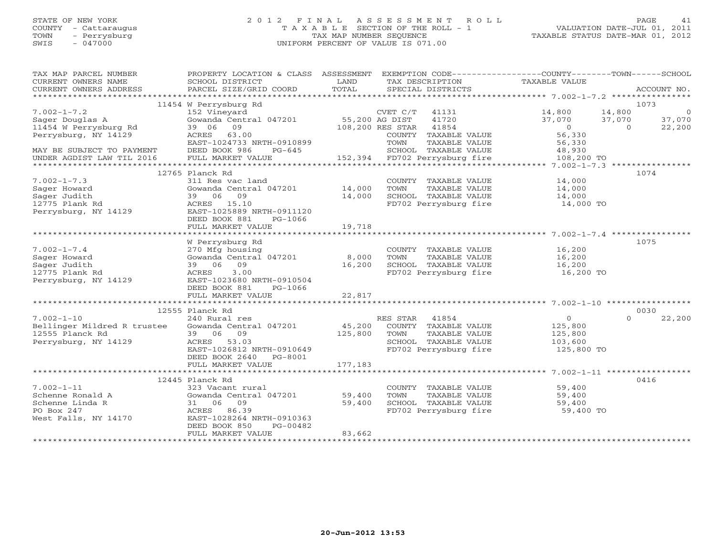#### STATE OF NEW YORK 2 0 1 2 F I N A L A S S E S S M E N T R O L L PAGE 41 COUNTY - Cattaraugus T A X A B L E SECTION OF THE ROLL - 1 VALUATION DATE-JUL 01, 2011 TOWN - Perrysburg TAX MAP NUMBER SEQUENCE TAXABLE STATUS DATE-MAR 01, 2012 SWIS - 047000 UNIFORM PERCENT OF VALUE IS 071.00

| TAX MAP PARCEL NUMBER<br>CURRENT OWNERS NAME<br>CURRENT OWNERS ADDRESS | PROPERTY LOCATION & CLASS ASSESSMENT<br>SCHOOL DISTRICT<br>PARCEL SIZE/GRID COORD | LAND<br>TOTAL  | EXEMPTION CODE-----------------COUNTY-------TOWN------SCHOOL<br>TAX DESCRIPTION<br>SPECIAL DISTRICTS | TAXABLE VALUE      | ACCOUNT NO.                             |
|------------------------------------------------------------------------|-----------------------------------------------------------------------------------|----------------|------------------------------------------------------------------------------------------------------|--------------------|-----------------------------------------|
|                                                                        |                                                                                   |                |                                                                                                      |                    |                                         |
|                                                                        | 11454 W Perrysburg Rd                                                             |                |                                                                                                      |                    | 1073                                    |
| $7.002 - 1 - 7.2$                                                      | 152 Vineyard                                                                      |                | CVET C/T 41131                                                                                       | 14,800             | 14,800<br>$\circ$                       |
| Sager Douglas A<br>11454 W Perrysburg Rd                               | Gowanda Central 047201<br>39 06<br>09                                             | 55,200 AG DIST | 41720<br>108,200 RES STAR 41854                                                                      | 37,070<br>$\Omega$ | 37,070<br>37,070<br>22,200<br>$\bigcap$ |
| Perrysburg, NY 14129                                                   | 63.00<br>ACRES                                                                    |                | COUNTY TAXABLE VALUE                                                                                 | 56,330             |                                         |
|                                                                        | EAST-1024733 NRTH-0910899                                                         |                | TOWN<br>TAXABLE VALUE                                                                                | 56,330             |                                         |
| MAY BE SUBJECT TO PAYMENT                                              | DEED BOOK 986<br>$PG-645$                                                         |                | SCHOOL TAXABLE VALUE                                                                                 | 48,930             |                                         |
| UNDER AGDIST LAW TIL 2016                                              | FULL MARKET VALUE                                                                 |                | 152,394 FD702 Perrysburg fire                                                                        | 108,200 TO         |                                         |
|                                                                        |                                                                                   |                |                                                                                                      |                    |                                         |
|                                                                        | 12765 Planck Rd                                                                   |                |                                                                                                      |                    | 1074                                    |
| $7.002 - 1 - 7.3$                                                      | 311 Res vac land                                                                  |                | COUNTY TAXABLE VALUE                                                                                 | 14,000             |                                         |
| Sager Howard                                                           | Gowanda Central 047201 14,000                                                     |                | TOWN<br>TAXABLE VALUE                                                                                | 14,000             |                                         |
| Sager Judith                                                           | 39 06 09                                                                          | 14,000         | SCHOOL TAXABLE VALUE<br>FD702 Perrysburg fire 14,000 TO                                              | 14,000             |                                         |
| 12775 Plank Rd<br>Perrysburg, NY 14129                                 | ACRES 15.10<br>EAST-1025889 NRTH-0911120                                          |                |                                                                                                      |                    |                                         |
|                                                                        | DEED BOOK 881<br>PG-1066                                                          |                |                                                                                                      |                    |                                         |
|                                                                        | FULL MARKET VALUE                                                                 | 19,718         |                                                                                                      |                    |                                         |
|                                                                        |                                                                                   |                |                                                                                                      |                    |                                         |
|                                                                        | W Perrysburg Rd                                                                   |                |                                                                                                      |                    | 1075                                    |
| $7.002 - 1 - 7.4$                                                      | 270 Mfg housing                                                                   |                | COUNTY TAXABLE VALUE                                                                                 | 16,200             |                                         |
| Sager Howard                                                           | Gowanda Central 047201                                                            | 8,000          | TAXABLE VALUE<br>TOWN                                                                                | 16,200             |                                         |
| Sager Judith                                                           | 39 06<br>09                                                                       | 16,200         | SCHOOL TAXABLE VALUE                                                                                 | 16,200             |                                         |
| 12775 Plank Rd                                                         | 3.00<br>ACRES                                                                     |                | FD702 Perrysburg fire                                                                                | 16,200 TO          |                                         |
| Perrysburg, NY 14129                                                   | EAST-1023680 NRTH-0910504                                                         |                |                                                                                                      |                    |                                         |
|                                                                        | DEED BOOK 881<br>PG-1066<br>FULL MARKET VALUE                                     | 22,817         |                                                                                                      |                    |                                         |
|                                                                        |                                                                                   |                |                                                                                                      |                    |                                         |
|                                                                        | 12555 Planck Rd                                                                   |                |                                                                                                      |                    | 0030                                    |
| $7.002 - 1 - 10$                                                       | 240 Rural res                                                                     |                | RES STAR<br>41854                                                                                    | $\overline{0}$     | 22,200<br>$\Omega$                      |
| Bellinger Mildred R trustee                                            | Gowanda Central 047201                                                            | 45,200         | COUNTY TAXABLE VALUE                                                                                 | 125,800            |                                         |
| 12555 Planck Rd                                                        | 39 06 09                                                                          | 125,800        | TOWN<br>TAXABLE VALUE                                                                                | 125,800            |                                         |
| Perrysburg, NY 14129                                                   | ACRES 53.03                                                                       |                | SCHOOL TAXABLE VALUE                                                                                 | 103,600            |                                         |
|                                                                        | EAST-1026812 NRTH-0910649                                                         |                | FD702 Perrysburg fire                                                                                | 125,800 TO         |                                         |
|                                                                        | DEED BOOK 2640 PG-8001                                                            |                |                                                                                                      |                    |                                         |
|                                                                        | FULL MARKET VALUE                                                                 | 177,183        |                                                                                                      |                    |                                         |
|                                                                        |                                                                                   |                |                                                                                                      |                    |                                         |
| $7.002 - 1 - 11$                                                       | 12445 Planck Rd<br>323 Vacant rural                                               |                | COUNTY TAXABLE VALUE                                                                                 | 59,400             | 0416                                    |
| Schenne Ronald A                                                       | Gowanda Central 047201                                                            | 59,400         | TOWN<br>TAXABLE VALUE                                                                                | 59,400             |                                         |
| Schenne Linda R                                                        | 31 06 09                                                                          | 59,400         | SCHOOL TAXABLE VALUE                                                                                 | 59,400             |                                         |
| PO Box 247                                                             | ACRES 86.39                                                                       |                | FD702 Perrysburg fire                                                                                | 59,400 TO          |                                         |
| West Falls, NY 14170                                                   | EAST-1028264 NRTH-0910363                                                         |                |                                                                                                      |                    |                                         |
|                                                                        | DEED BOOK 850<br>PG-00482                                                         |                |                                                                                                      |                    |                                         |
|                                                                        | FULL MARKET VALUE                                                                 | 83,662         |                                                                                                      |                    |                                         |
|                                                                        |                                                                                   |                |                                                                                                      |                    |                                         |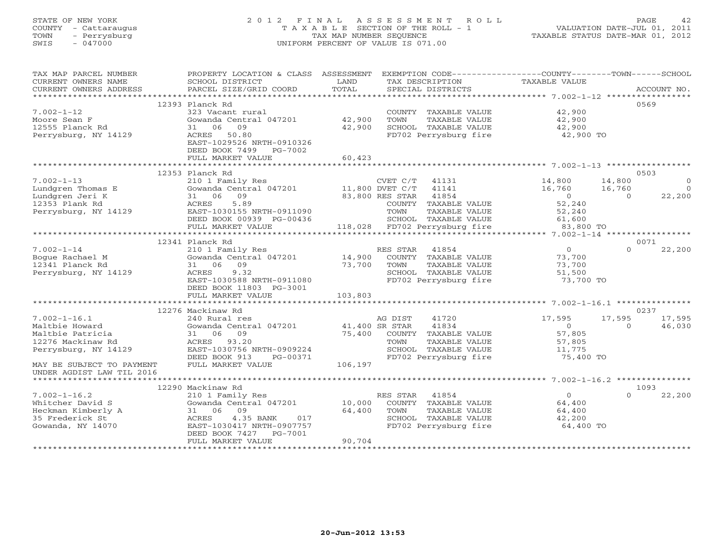# STATE OF NEW YORK 2 0 1 2 F I N A L A S S E S S M E N T R O L L PAGE 42 COUNTY - Cattaraugus T A X A B L E SECTION OF THE ROLL - 1 VALUATION DATE-JUL 01, 2011 TOWN - Perrysburg TAX MAP NUMBER SEQUENCE TAXABLE STATUS DATE-MAR 01, 2012 SWIS - 047000 UNIFORM PERCENT OF VALUE IS 071.00

| 12393 Planck Rd<br>0569<br>42,900<br>$7.002 - 1 - 12$<br>323 Vacant rural<br>COUNTY TAXABLE VALUE<br>42,900<br>42,900<br>Gowanda Central 047201<br>TOWN<br>Moore Sean F<br>TAXABLE VALUE<br>42,900<br>42,900<br>12555 Planck Rd<br>31 06<br>09<br>SCHOOL TAXABLE VALUE<br>FD702 Perrysburg fire<br>Perrysburg, NY 14129<br>42,900 TO<br>ACRES<br>50.80<br>EAST-1029526 NRTH-0910326<br>DEED BOOK 7499 PG-7002<br>60,423<br>FULL MARKET VALUE<br>****************************<br>0503<br>12353 Planck Rd<br>$7.002 - 1 - 13$<br>210 1 Family Res<br>CVET C/T<br>14,800<br>14,800<br>41131<br>$\circ$<br>$11,800$ DVET $C/T$<br>Gowanda Central 047201<br>Lundgren Thomas E<br>41141<br>16,760<br>16,760<br>$\overline{0}$<br>Lundgren Jeri K<br>31 06 09<br>41854<br>$\Omega$<br>22,200<br>83,800 RES STAR<br>$\Omega$<br>12353 Plank Rd<br>5.89<br>52,240<br>ACRES<br>COUNTY TAXABLE VALUE<br>Perrysburg, NY 14129<br>EAST-1030155 NRTH-0911090<br>TOWN<br>52,240<br>TAXABLE VALUE<br>SCHOOL TAXABLE VALUE<br>DEED BOOK 00939 PG-00436<br>61,600<br>118,028 FD702 Perrysburg fire<br>83,800 TO<br>FULL MARKET VALUE<br>12341 Planck Rd<br>0071<br>$7.002 - 1 - 14$<br>$\Omega$<br>$\Omega$<br>22,200<br>210 1 Family Res<br>RES STAR<br>41854<br>14,900<br>Boque Rachael M<br>Gowanda Central 047201<br>COUNTY TAXABLE VALUE<br>73,700<br>12341 Planck Rd<br>73,700<br>31 06<br>09<br>TOWN<br>TAXABLE VALUE<br>73,700<br>Perrysburg, NY 14129<br>SCHOOL TAXABLE VALUE<br>ACRES<br>9.32<br>51,500<br>FD702 Perrysburg fire<br>EAST-1030588 NRTH-0911080<br>73,700 TO<br>DEED BOOK 11803 PG-3001<br>103,803<br>FULL MARKET VALUE<br>12276 Mackinaw Rd<br>0237<br>$7.002 - 1 - 16.1$<br>17,595<br>240 Rural res<br>AG DIST<br>41720<br>17,595<br>17,595<br>41834<br>Maltbie Howard<br>Gowanda Central 047201<br>41,400 SR STAR<br>$\Omega$<br>46,030<br>$\Omega$<br>75,400 COUNTY TAXABLE VALUE<br>Maltbie Patricia<br>31 06 09<br>57,805<br>12276 Mackinaw Rd<br>ACRES 93.20<br>TOWN<br>TAXABLE VALUE<br>57,805<br>EAST-1030756 NRTH-0909224<br>SCHOOL TAXABLE VALUE<br>Perrysburg, NY 14129<br>11,775<br>PG-00371<br>DEED BOOK 913<br>FD702 Perrysburg fire<br>75,400 TO<br>FULL MARKET VALUE<br>106,197<br>MAY BE SUBJECT TO PAYMENT<br>UNDER AGDIST LAW TIL 2016<br>12290 Mackinaw Rd<br>1093<br>$\Omega$<br>$7.002 - 1 - 16.2$<br>210 1 Family Res<br>RES STAR<br>41854<br>$\Omega$<br>22,200<br>Gowanda Central 047201<br>10,000<br>COUNTY TAXABLE VALUE<br>64,400<br>Whitcher David S<br>64,400<br>Heckman Kimberly A<br>31 06 09<br>TOWN<br>TAXABLE VALUE<br>64,400<br>35 Frederick St<br>4.35 BANK<br>017<br>SCHOOL TAXABLE VALUE<br>ACRES<br>42,200<br>Gowanda, NY 14070<br>EAST-1030417 NRTH-0907757<br>FD702 Perrysburg fire<br>64,400 TO<br>DEED BOOK 7427<br>PG-7001<br>90,704<br>FULL MARKET VALUE | TAX MAP PARCEL NUMBER<br>CURRENT OWNERS NAME<br>CURRENT OWNERS ADDRESS | PROPERTY LOCATION & CLASS ASSESSMENT<br>SCHOOL DISTRICT<br>PARCEL SIZE/GRID COORD | LAND<br>TOTAL | EXEMPTION CODE-----------------COUNTY-------TOWN------SCHOOL<br>TAX DESCRIPTION<br>SPECIAL DISTRICTS | TAXABLE VALUE |  | ACCOUNT NO. |  |  |
|----------------------------------------------------------------------------------------------------------------------------------------------------------------------------------------------------------------------------------------------------------------------------------------------------------------------------------------------------------------------------------------------------------------------------------------------------------------------------------------------------------------------------------------------------------------------------------------------------------------------------------------------------------------------------------------------------------------------------------------------------------------------------------------------------------------------------------------------------------------------------------------------------------------------------------------------------------------------------------------------------------------------------------------------------------------------------------------------------------------------------------------------------------------------------------------------------------------------------------------------------------------------------------------------------------------------------------------------------------------------------------------------------------------------------------------------------------------------------------------------------------------------------------------------------------------------------------------------------------------------------------------------------------------------------------------------------------------------------------------------------------------------------------------------------------------------------------------------------------------------------------------------------------------------------------------------------------------------------------------------------------------------------------------------------------------------------------------------------------------------------------------------------------------------------------------------------------------------------------------------------------------------------------------------------------------------------------------------------------------------------------------------------------------------------------------------------------------------------------------------------------------------------------------------------------------------------------------------------------------------------------------------------------------------------------------------------------------------------------------------------------------------------------------------------------------|------------------------------------------------------------------------|-----------------------------------------------------------------------------------|---------------|------------------------------------------------------------------------------------------------------|---------------|--|-------------|--|--|
|                                                                                                                                                                                                                                                                                                                                                                                                                                                                                                                                                                                                                                                                                                                                                                                                                                                                                                                                                                                                                                                                                                                                                                                                                                                                                                                                                                                                                                                                                                                                                                                                                                                                                                                                                                                                                                                                                                                                                                                                                                                                                                                                                                                                                                                                                                                                                                                                                                                                                                                                                                                                                                                                                                                                                                                                                |                                                                        |                                                                                   |               |                                                                                                      |               |  |             |  |  |
|                                                                                                                                                                                                                                                                                                                                                                                                                                                                                                                                                                                                                                                                                                                                                                                                                                                                                                                                                                                                                                                                                                                                                                                                                                                                                                                                                                                                                                                                                                                                                                                                                                                                                                                                                                                                                                                                                                                                                                                                                                                                                                                                                                                                                                                                                                                                                                                                                                                                                                                                                                                                                                                                                                                                                                                                                |                                                                        |                                                                                   |               |                                                                                                      |               |  |             |  |  |
|                                                                                                                                                                                                                                                                                                                                                                                                                                                                                                                                                                                                                                                                                                                                                                                                                                                                                                                                                                                                                                                                                                                                                                                                                                                                                                                                                                                                                                                                                                                                                                                                                                                                                                                                                                                                                                                                                                                                                                                                                                                                                                                                                                                                                                                                                                                                                                                                                                                                                                                                                                                                                                                                                                                                                                                                                |                                                                        |                                                                                   |               |                                                                                                      |               |  |             |  |  |
|                                                                                                                                                                                                                                                                                                                                                                                                                                                                                                                                                                                                                                                                                                                                                                                                                                                                                                                                                                                                                                                                                                                                                                                                                                                                                                                                                                                                                                                                                                                                                                                                                                                                                                                                                                                                                                                                                                                                                                                                                                                                                                                                                                                                                                                                                                                                                                                                                                                                                                                                                                                                                                                                                                                                                                                                                |                                                                        |                                                                                   |               |                                                                                                      |               |  |             |  |  |
|                                                                                                                                                                                                                                                                                                                                                                                                                                                                                                                                                                                                                                                                                                                                                                                                                                                                                                                                                                                                                                                                                                                                                                                                                                                                                                                                                                                                                                                                                                                                                                                                                                                                                                                                                                                                                                                                                                                                                                                                                                                                                                                                                                                                                                                                                                                                                                                                                                                                                                                                                                                                                                                                                                                                                                                                                |                                                                        |                                                                                   |               |                                                                                                      |               |  |             |  |  |
|                                                                                                                                                                                                                                                                                                                                                                                                                                                                                                                                                                                                                                                                                                                                                                                                                                                                                                                                                                                                                                                                                                                                                                                                                                                                                                                                                                                                                                                                                                                                                                                                                                                                                                                                                                                                                                                                                                                                                                                                                                                                                                                                                                                                                                                                                                                                                                                                                                                                                                                                                                                                                                                                                                                                                                                                                |                                                                        |                                                                                   |               |                                                                                                      |               |  |             |  |  |
|                                                                                                                                                                                                                                                                                                                                                                                                                                                                                                                                                                                                                                                                                                                                                                                                                                                                                                                                                                                                                                                                                                                                                                                                                                                                                                                                                                                                                                                                                                                                                                                                                                                                                                                                                                                                                                                                                                                                                                                                                                                                                                                                                                                                                                                                                                                                                                                                                                                                                                                                                                                                                                                                                                                                                                                                                |                                                                        |                                                                                   |               |                                                                                                      |               |  |             |  |  |
|                                                                                                                                                                                                                                                                                                                                                                                                                                                                                                                                                                                                                                                                                                                                                                                                                                                                                                                                                                                                                                                                                                                                                                                                                                                                                                                                                                                                                                                                                                                                                                                                                                                                                                                                                                                                                                                                                                                                                                                                                                                                                                                                                                                                                                                                                                                                                                                                                                                                                                                                                                                                                                                                                                                                                                                                                |                                                                        |                                                                                   |               |                                                                                                      |               |  |             |  |  |
|                                                                                                                                                                                                                                                                                                                                                                                                                                                                                                                                                                                                                                                                                                                                                                                                                                                                                                                                                                                                                                                                                                                                                                                                                                                                                                                                                                                                                                                                                                                                                                                                                                                                                                                                                                                                                                                                                                                                                                                                                                                                                                                                                                                                                                                                                                                                                                                                                                                                                                                                                                                                                                                                                                                                                                                                                |                                                                        |                                                                                   |               |                                                                                                      |               |  |             |  |  |
|                                                                                                                                                                                                                                                                                                                                                                                                                                                                                                                                                                                                                                                                                                                                                                                                                                                                                                                                                                                                                                                                                                                                                                                                                                                                                                                                                                                                                                                                                                                                                                                                                                                                                                                                                                                                                                                                                                                                                                                                                                                                                                                                                                                                                                                                                                                                                                                                                                                                                                                                                                                                                                                                                                                                                                                                                |                                                                        |                                                                                   |               |                                                                                                      |               |  |             |  |  |
|                                                                                                                                                                                                                                                                                                                                                                                                                                                                                                                                                                                                                                                                                                                                                                                                                                                                                                                                                                                                                                                                                                                                                                                                                                                                                                                                                                                                                                                                                                                                                                                                                                                                                                                                                                                                                                                                                                                                                                                                                                                                                                                                                                                                                                                                                                                                                                                                                                                                                                                                                                                                                                                                                                                                                                                                                |                                                                        |                                                                                   |               |                                                                                                      |               |  |             |  |  |
|                                                                                                                                                                                                                                                                                                                                                                                                                                                                                                                                                                                                                                                                                                                                                                                                                                                                                                                                                                                                                                                                                                                                                                                                                                                                                                                                                                                                                                                                                                                                                                                                                                                                                                                                                                                                                                                                                                                                                                                                                                                                                                                                                                                                                                                                                                                                                                                                                                                                                                                                                                                                                                                                                                                                                                                                                |                                                                        |                                                                                   |               |                                                                                                      |               |  |             |  |  |
|                                                                                                                                                                                                                                                                                                                                                                                                                                                                                                                                                                                                                                                                                                                                                                                                                                                                                                                                                                                                                                                                                                                                                                                                                                                                                                                                                                                                                                                                                                                                                                                                                                                                                                                                                                                                                                                                                                                                                                                                                                                                                                                                                                                                                                                                                                                                                                                                                                                                                                                                                                                                                                                                                                                                                                                                                |                                                                        |                                                                                   |               |                                                                                                      |               |  |             |  |  |
|                                                                                                                                                                                                                                                                                                                                                                                                                                                                                                                                                                                                                                                                                                                                                                                                                                                                                                                                                                                                                                                                                                                                                                                                                                                                                                                                                                                                                                                                                                                                                                                                                                                                                                                                                                                                                                                                                                                                                                                                                                                                                                                                                                                                                                                                                                                                                                                                                                                                                                                                                                                                                                                                                                                                                                                                                |                                                                        |                                                                                   |               |                                                                                                      |               |  |             |  |  |
|                                                                                                                                                                                                                                                                                                                                                                                                                                                                                                                                                                                                                                                                                                                                                                                                                                                                                                                                                                                                                                                                                                                                                                                                                                                                                                                                                                                                                                                                                                                                                                                                                                                                                                                                                                                                                                                                                                                                                                                                                                                                                                                                                                                                                                                                                                                                                                                                                                                                                                                                                                                                                                                                                                                                                                                                                |                                                                        |                                                                                   |               |                                                                                                      |               |  |             |  |  |
|                                                                                                                                                                                                                                                                                                                                                                                                                                                                                                                                                                                                                                                                                                                                                                                                                                                                                                                                                                                                                                                                                                                                                                                                                                                                                                                                                                                                                                                                                                                                                                                                                                                                                                                                                                                                                                                                                                                                                                                                                                                                                                                                                                                                                                                                                                                                                                                                                                                                                                                                                                                                                                                                                                                                                                                                                |                                                                        |                                                                                   |               |                                                                                                      |               |  |             |  |  |
|                                                                                                                                                                                                                                                                                                                                                                                                                                                                                                                                                                                                                                                                                                                                                                                                                                                                                                                                                                                                                                                                                                                                                                                                                                                                                                                                                                                                                                                                                                                                                                                                                                                                                                                                                                                                                                                                                                                                                                                                                                                                                                                                                                                                                                                                                                                                                                                                                                                                                                                                                                                                                                                                                                                                                                                                                |                                                                        |                                                                                   |               |                                                                                                      |               |  |             |  |  |
|                                                                                                                                                                                                                                                                                                                                                                                                                                                                                                                                                                                                                                                                                                                                                                                                                                                                                                                                                                                                                                                                                                                                                                                                                                                                                                                                                                                                                                                                                                                                                                                                                                                                                                                                                                                                                                                                                                                                                                                                                                                                                                                                                                                                                                                                                                                                                                                                                                                                                                                                                                                                                                                                                                                                                                                                                |                                                                        |                                                                                   |               |                                                                                                      |               |  |             |  |  |
|                                                                                                                                                                                                                                                                                                                                                                                                                                                                                                                                                                                                                                                                                                                                                                                                                                                                                                                                                                                                                                                                                                                                                                                                                                                                                                                                                                                                                                                                                                                                                                                                                                                                                                                                                                                                                                                                                                                                                                                                                                                                                                                                                                                                                                                                                                                                                                                                                                                                                                                                                                                                                                                                                                                                                                                                                |                                                                        |                                                                                   |               |                                                                                                      |               |  |             |  |  |
|                                                                                                                                                                                                                                                                                                                                                                                                                                                                                                                                                                                                                                                                                                                                                                                                                                                                                                                                                                                                                                                                                                                                                                                                                                                                                                                                                                                                                                                                                                                                                                                                                                                                                                                                                                                                                                                                                                                                                                                                                                                                                                                                                                                                                                                                                                                                                                                                                                                                                                                                                                                                                                                                                                                                                                                                                |                                                                        |                                                                                   |               |                                                                                                      |               |  |             |  |  |
|                                                                                                                                                                                                                                                                                                                                                                                                                                                                                                                                                                                                                                                                                                                                                                                                                                                                                                                                                                                                                                                                                                                                                                                                                                                                                                                                                                                                                                                                                                                                                                                                                                                                                                                                                                                                                                                                                                                                                                                                                                                                                                                                                                                                                                                                                                                                                                                                                                                                                                                                                                                                                                                                                                                                                                                                                |                                                                        |                                                                                   |               |                                                                                                      |               |  |             |  |  |
|                                                                                                                                                                                                                                                                                                                                                                                                                                                                                                                                                                                                                                                                                                                                                                                                                                                                                                                                                                                                                                                                                                                                                                                                                                                                                                                                                                                                                                                                                                                                                                                                                                                                                                                                                                                                                                                                                                                                                                                                                                                                                                                                                                                                                                                                                                                                                                                                                                                                                                                                                                                                                                                                                                                                                                                                                |                                                                        |                                                                                   |               |                                                                                                      |               |  |             |  |  |
|                                                                                                                                                                                                                                                                                                                                                                                                                                                                                                                                                                                                                                                                                                                                                                                                                                                                                                                                                                                                                                                                                                                                                                                                                                                                                                                                                                                                                                                                                                                                                                                                                                                                                                                                                                                                                                                                                                                                                                                                                                                                                                                                                                                                                                                                                                                                                                                                                                                                                                                                                                                                                                                                                                                                                                                                                |                                                                        |                                                                                   |               |                                                                                                      |               |  |             |  |  |
|                                                                                                                                                                                                                                                                                                                                                                                                                                                                                                                                                                                                                                                                                                                                                                                                                                                                                                                                                                                                                                                                                                                                                                                                                                                                                                                                                                                                                                                                                                                                                                                                                                                                                                                                                                                                                                                                                                                                                                                                                                                                                                                                                                                                                                                                                                                                                                                                                                                                                                                                                                                                                                                                                                                                                                                                                |                                                                        |                                                                                   |               |                                                                                                      |               |  |             |  |  |
|                                                                                                                                                                                                                                                                                                                                                                                                                                                                                                                                                                                                                                                                                                                                                                                                                                                                                                                                                                                                                                                                                                                                                                                                                                                                                                                                                                                                                                                                                                                                                                                                                                                                                                                                                                                                                                                                                                                                                                                                                                                                                                                                                                                                                                                                                                                                                                                                                                                                                                                                                                                                                                                                                                                                                                                                                |                                                                        |                                                                                   |               |                                                                                                      |               |  |             |  |  |
|                                                                                                                                                                                                                                                                                                                                                                                                                                                                                                                                                                                                                                                                                                                                                                                                                                                                                                                                                                                                                                                                                                                                                                                                                                                                                                                                                                                                                                                                                                                                                                                                                                                                                                                                                                                                                                                                                                                                                                                                                                                                                                                                                                                                                                                                                                                                                                                                                                                                                                                                                                                                                                                                                                                                                                                                                |                                                                        |                                                                                   |               |                                                                                                      |               |  |             |  |  |
|                                                                                                                                                                                                                                                                                                                                                                                                                                                                                                                                                                                                                                                                                                                                                                                                                                                                                                                                                                                                                                                                                                                                                                                                                                                                                                                                                                                                                                                                                                                                                                                                                                                                                                                                                                                                                                                                                                                                                                                                                                                                                                                                                                                                                                                                                                                                                                                                                                                                                                                                                                                                                                                                                                                                                                                                                |                                                                        |                                                                                   |               |                                                                                                      |               |  |             |  |  |
|                                                                                                                                                                                                                                                                                                                                                                                                                                                                                                                                                                                                                                                                                                                                                                                                                                                                                                                                                                                                                                                                                                                                                                                                                                                                                                                                                                                                                                                                                                                                                                                                                                                                                                                                                                                                                                                                                                                                                                                                                                                                                                                                                                                                                                                                                                                                                                                                                                                                                                                                                                                                                                                                                                                                                                                                                |                                                                        |                                                                                   |               |                                                                                                      |               |  |             |  |  |
|                                                                                                                                                                                                                                                                                                                                                                                                                                                                                                                                                                                                                                                                                                                                                                                                                                                                                                                                                                                                                                                                                                                                                                                                                                                                                                                                                                                                                                                                                                                                                                                                                                                                                                                                                                                                                                                                                                                                                                                                                                                                                                                                                                                                                                                                                                                                                                                                                                                                                                                                                                                                                                                                                                                                                                                                                |                                                                        |                                                                                   |               |                                                                                                      |               |  |             |  |  |
|                                                                                                                                                                                                                                                                                                                                                                                                                                                                                                                                                                                                                                                                                                                                                                                                                                                                                                                                                                                                                                                                                                                                                                                                                                                                                                                                                                                                                                                                                                                                                                                                                                                                                                                                                                                                                                                                                                                                                                                                                                                                                                                                                                                                                                                                                                                                                                                                                                                                                                                                                                                                                                                                                                                                                                                                                |                                                                        |                                                                                   |               |                                                                                                      |               |  |             |  |  |
|                                                                                                                                                                                                                                                                                                                                                                                                                                                                                                                                                                                                                                                                                                                                                                                                                                                                                                                                                                                                                                                                                                                                                                                                                                                                                                                                                                                                                                                                                                                                                                                                                                                                                                                                                                                                                                                                                                                                                                                                                                                                                                                                                                                                                                                                                                                                                                                                                                                                                                                                                                                                                                                                                                                                                                                                                |                                                                        |                                                                                   |               |                                                                                                      |               |  |             |  |  |
|                                                                                                                                                                                                                                                                                                                                                                                                                                                                                                                                                                                                                                                                                                                                                                                                                                                                                                                                                                                                                                                                                                                                                                                                                                                                                                                                                                                                                                                                                                                                                                                                                                                                                                                                                                                                                                                                                                                                                                                                                                                                                                                                                                                                                                                                                                                                                                                                                                                                                                                                                                                                                                                                                                                                                                                                                |                                                                        |                                                                                   |               |                                                                                                      |               |  |             |  |  |
|                                                                                                                                                                                                                                                                                                                                                                                                                                                                                                                                                                                                                                                                                                                                                                                                                                                                                                                                                                                                                                                                                                                                                                                                                                                                                                                                                                                                                                                                                                                                                                                                                                                                                                                                                                                                                                                                                                                                                                                                                                                                                                                                                                                                                                                                                                                                                                                                                                                                                                                                                                                                                                                                                                                                                                                                                |                                                                        |                                                                                   |               |                                                                                                      |               |  |             |  |  |
|                                                                                                                                                                                                                                                                                                                                                                                                                                                                                                                                                                                                                                                                                                                                                                                                                                                                                                                                                                                                                                                                                                                                                                                                                                                                                                                                                                                                                                                                                                                                                                                                                                                                                                                                                                                                                                                                                                                                                                                                                                                                                                                                                                                                                                                                                                                                                                                                                                                                                                                                                                                                                                                                                                                                                                                                                |                                                                        |                                                                                   |               |                                                                                                      |               |  |             |  |  |
|                                                                                                                                                                                                                                                                                                                                                                                                                                                                                                                                                                                                                                                                                                                                                                                                                                                                                                                                                                                                                                                                                                                                                                                                                                                                                                                                                                                                                                                                                                                                                                                                                                                                                                                                                                                                                                                                                                                                                                                                                                                                                                                                                                                                                                                                                                                                                                                                                                                                                                                                                                                                                                                                                                                                                                                                                |                                                                        |                                                                                   |               |                                                                                                      |               |  |             |  |  |
|                                                                                                                                                                                                                                                                                                                                                                                                                                                                                                                                                                                                                                                                                                                                                                                                                                                                                                                                                                                                                                                                                                                                                                                                                                                                                                                                                                                                                                                                                                                                                                                                                                                                                                                                                                                                                                                                                                                                                                                                                                                                                                                                                                                                                                                                                                                                                                                                                                                                                                                                                                                                                                                                                                                                                                                                                |                                                                        |                                                                                   |               |                                                                                                      |               |  |             |  |  |
|                                                                                                                                                                                                                                                                                                                                                                                                                                                                                                                                                                                                                                                                                                                                                                                                                                                                                                                                                                                                                                                                                                                                                                                                                                                                                                                                                                                                                                                                                                                                                                                                                                                                                                                                                                                                                                                                                                                                                                                                                                                                                                                                                                                                                                                                                                                                                                                                                                                                                                                                                                                                                                                                                                                                                                                                                |                                                                        |                                                                                   |               |                                                                                                      |               |  |             |  |  |
|                                                                                                                                                                                                                                                                                                                                                                                                                                                                                                                                                                                                                                                                                                                                                                                                                                                                                                                                                                                                                                                                                                                                                                                                                                                                                                                                                                                                                                                                                                                                                                                                                                                                                                                                                                                                                                                                                                                                                                                                                                                                                                                                                                                                                                                                                                                                                                                                                                                                                                                                                                                                                                                                                                                                                                                                                |                                                                        |                                                                                   |               |                                                                                                      |               |  |             |  |  |
|                                                                                                                                                                                                                                                                                                                                                                                                                                                                                                                                                                                                                                                                                                                                                                                                                                                                                                                                                                                                                                                                                                                                                                                                                                                                                                                                                                                                                                                                                                                                                                                                                                                                                                                                                                                                                                                                                                                                                                                                                                                                                                                                                                                                                                                                                                                                                                                                                                                                                                                                                                                                                                                                                                                                                                                                                |                                                                        |                                                                                   |               |                                                                                                      |               |  |             |  |  |
|                                                                                                                                                                                                                                                                                                                                                                                                                                                                                                                                                                                                                                                                                                                                                                                                                                                                                                                                                                                                                                                                                                                                                                                                                                                                                                                                                                                                                                                                                                                                                                                                                                                                                                                                                                                                                                                                                                                                                                                                                                                                                                                                                                                                                                                                                                                                                                                                                                                                                                                                                                                                                                                                                                                                                                                                                |                                                                        |                                                                                   |               |                                                                                                      |               |  |             |  |  |
|                                                                                                                                                                                                                                                                                                                                                                                                                                                                                                                                                                                                                                                                                                                                                                                                                                                                                                                                                                                                                                                                                                                                                                                                                                                                                                                                                                                                                                                                                                                                                                                                                                                                                                                                                                                                                                                                                                                                                                                                                                                                                                                                                                                                                                                                                                                                                                                                                                                                                                                                                                                                                                                                                                                                                                                                                |                                                                        |                                                                                   |               |                                                                                                      |               |  |             |  |  |
|                                                                                                                                                                                                                                                                                                                                                                                                                                                                                                                                                                                                                                                                                                                                                                                                                                                                                                                                                                                                                                                                                                                                                                                                                                                                                                                                                                                                                                                                                                                                                                                                                                                                                                                                                                                                                                                                                                                                                                                                                                                                                                                                                                                                                                                                                                                                                                                                                                                                                                                                                                                                                                                                                                                                                                                                                |                                                                        |                                                                                   |               |                                                                                                      |               |  |             |  |  |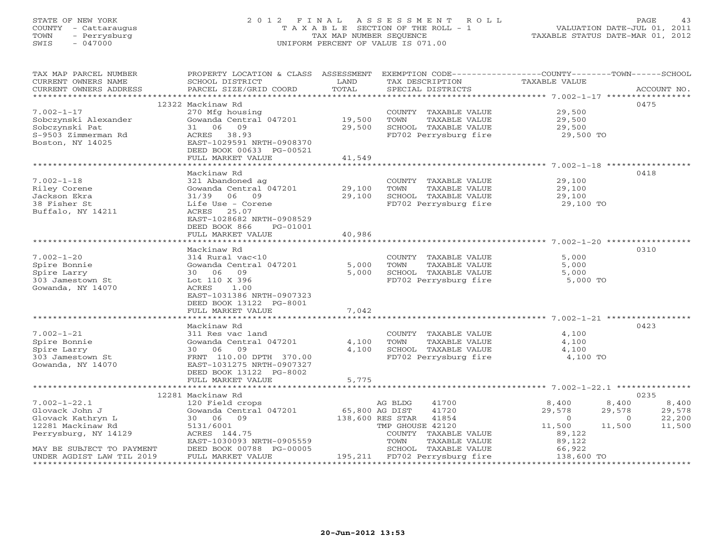# STATE OF NEW YORK 2 0 1 2 F I N A L A S S E S S M E N T R O L L PAGE 43 COUNTY - Cattaraugus T A X A B L E SECTION OF THE ROLL - 1 VALUATION DATE-JUL 01, 2011 TOWN - Perrysburg TAX MAP NUMBER SEQUENCE TAXABLE STATUS DATE-MAR 01, 2012 SWIS - 047000 UNIFORM PERCENT OF VALUE IS 071.00

| CURRENT OWNERS NAME<br>SCHOOL DISTRICT<br>LAND<br>TAX DESCRIPTION<br>TAXABLE VALUE<br>TOTAL<br>PARCEL SIZE/GRID COORD<br>SPECIAL DISTRICTS<br>CURRENT OWNERS ADDRESS<br>ACCOUNT NO.<br>0475<br>12322 Mackinaw Rd<br>$7.002 - 1 - 17$<br>270 Mfg housing<br>29,500<br>COUNTY TAXABLE VALUE<br>Gowanda Central 047201 19,500<br>TAXABLE VALUE<br>Sobczynski Alexander<br>TOWN<br>29,500<br>29,500<br>Sobczynski Pat<br>31 06 09<br>SCHOOL TAXABLE VALUE<br>29,500<br>FD702 Perrysburg fire 29,500 TO<br>S-9503 Zimmerman Rd<br>ACRES 38.93<br>Boston, NY 14025<br>EAST-1029591 NRTH-0908370<br>DEED BOOK 00633 PG-00521<br>41,549<br>FULL MARKET VALUE<br>0418<br>Mackinaw Rd<br>$7.002 - 1 - 18$<br>321 Abandoned ag<br>COUNTY TAXABLE VALUE<br>29,100<br>Gowanda Central 047201<br>29,100<br>Riley Corene<br>TOWN<br>TAXABLE VALUE<br>29,100<br>29,100<br>Jackson Ekra<br>31/39 06 09<br>SCHOOL TAXABLE VALUE<br>29,100<br>FD702 Perrysburg fire 29,100 TO<br>38 Fisher St<br>Life Use - Corene<br>Buffalo, NY 14211<br>ACRES 25.07<br>EAST-1028682 NRTH-0908529<br>DEED BOOK 866<br>PG-01001<br>FULL MARKET VALUE<br>40,986<br>Mackinaw Rd<br>0310<br>$7.002 - 1 - 20$<br>314 Rural vac<10<br>5,000<br>COUNTY TAXABLE VALUE<br>Gowanda Central 047201<br>5,000<br>TAXABLE VALUE<br>5,000<br>Spire Bonnie<br>TOWN<br>5,000<br>SCHOOL TAXABLE VALUE<br>5,000<br>Spire Larry<br>30 06 09<br>Lot 110 X 396<br>FD702 Perrysburg fire<br>5,000 TO<br>303 Jamestown St<br>ACRES<br>Gowanda, NY 14070<br>1.00<br>EAST-1031386 NRTH-0907323<br>DEED BOOK 13122 PG-8001<br>7,042<br>FULL MARKET VALUE<br>Mackinaw Rd<br>0423<br>$7.002 - 1 - 21$<br>311 Res vac land<br>COUNTY TAXABLE VALUE<br>4,100<br>Gowanda Central 047201<br>4,100<br>TAXABLE VALUE<br>4,100<br>Spire Bonnie<br>TOWN<br>4,100<br>30 06 09<br>SCHOOL TAXABLE VALUE<br>4,100<br>Spire Larry<br>FD702 Perrysburg fire<br>303 Jamestown St<br>FRNT 110.00 DPTH 370.00<br>4,100 TO<br>Gowanda, NY 14070<br>EAST-1031275 NRTH-0907327<br>DEED BOOK 13122 PG-8002<br>5,775<br>FULL MARKET VALUE<br>0235<br>12281 Mackinaw Rd<br>$7.002 - 1 - 22.1$<br>41700<br>8,400<br>8,400<br>120 Field crops<br>AG BLDG<br>8,400<br>Gowanda Central 047201 65,800 AG DIST<br>29,578<br>Glovack John J<br>41720<br>29,578<br>29,578<br>138,600 RES STAR 41854<br>$\overline{0}$<br>22,200<br>Glovack Kathryn L<br>30 06 09<br>$\overline{0}$<br>12281 Mackinaw Rd<br>TMP GHOUSE 42120<br>11,500<br>11,500<br>11,500<br>5131/6001<br>Perrysburg, NY 14129<br>ACRES 144.75<br>COUNTY TAXABLE VALUE<br>89,122<br>EAST-1030093 NRTH-0905559<br>TOWN<br>89,122<br>TAXABLE VALUE<br>DEED BOOK 00788 PG-00005<br>SCHOOL TAXABLE VALUE<br>66,922<br>MAY BE SUBJECT TO PAYMENT<br>138,600 TO<br>195,211 FD702 Perrysburg fire<br>FULL MARKET VALUE<br>UNDER AGDIST LAW TIL 2019 | TAX MAP PARCEL NUMBER | PROPERTY LOCATION & CLASS ASSESSMENT EXEMPTION CODE----------------COUNTY-------TOWN------SCHOOL |  |  |
|-----------------------------------------------------------------------------------------------------------------------------------------------------------------------------------------------------------------------------------------------------------------------------------------------------------------------------------------------------------------------------------------------------------------------------------------------------------------------------------------------------------------------------------------------------------------------------------------------------------------------------------------------------------------------------------------------------------------------------------------------------------------------------------------------------------------------------------------------------------------------------------------------------------------------------------------------------------------------------------------------------------------------------------------------------------------------------------------------------------------------------------------------------------------------------------------------------------------------------------------------------------------------------------------------------------------------------------------------------------------------------------------------------------------------------------------------------------------------------------------------------------------------------------------------------------------------------------------------------------------------------------------------------------------------------------------------------------------------------------------------------------------------------------------------------------------------------------------------------------------------------------------------------------------------------------------------------------------------------------------------------------------------------------------------------------------------------------------------------------------------------------------------------------------------------------------------------------------------------------------------------------------------------------------------------------------------------------------------------------------------------------------------------------------------------------------------------------------------------------------------------------------------------------------------------------------------------------------------------------------------------------------------------------------------------------------------------------------------------------------------------------------------------------------------------------------|-----------------------|--------------------------------------------------------------------------------------------------|--|--|
|                                                                                                                                                                                                                                                                                                                                                                                                                                                                                                                                                                                                                                                                                                                                                                                                                                                                                                                                                                                                                                                                                                                                                                                                                                                                                                                                                                                                                                                                                                                                                                                                                                                                                                                                                                                                                                                                                                                                                                                                                                                                                                                                                                                                                                                                                                                                                                                                                                                                                                                                                                                                                                                                                                                                                                                                                 |                       |                                                                                                  |  |  |
|                                                                                                                                                                                                                                                                                                                                                                                                                                                                                                                                                                                                                                                                                                                                                                                                                                                                                                                                                                                                                                                                                                                                                                                                                                                                                                                                                                                                                                                                                                                                                                                                                                                                                                                                                                                                                                                                                                                                                                                                                                                                                                                                                                                                                                                                                                                                                                                                                                                                                                                                                                                                                                                                                                                                                                                                                 |                       |                                                                                                  |  |  |
|                                                                                                                                                                                                                                                                                                                                                                                                                                                                                                                                                                                                                                                                                                                                                                                                                                                                                                                                                                                                                                                                                                                                                                                                                                                                                                                                                                                                                                                                                                                                                                                                                                                                                                                                                                                                                                                                                                                                                                                                                                                                                                                                                                                                                                                                                                                                                                                                                                                                                                                                                                                                                                                                                                                                                                                                                 |                       |                                                                                                  |  |  |
|                                                                                                                                                                                                                                                                                                                                                                                                                                                                                                                                                                                                                                                                                                                                                                                                                                                                                                                                                                                                                                                                                                                                                                                                                                                                                                                                                                                                                                                                                                                                                                                                                                                                                                                                                                                                                                                                                                                                                                                                                                                                                                                                                                                                                                                                                                                                                                                                                                                                                                                                                                                                                                                                                                                                                                                                                 |                       |                                                                                                  |  |  |
|                                                                                                                                                                                                                                                                                                                                                                                                                                                                                                                                                                                                                                                                                                                                                                                                                                                                                                                                                                                                                                                                                                                                                                                                                                                                                                                                                                                                                                                                                                                                                                                                                                                                                                                                                                                                                                                                                                                                                                                                                                                                                                                                                                                                                                                                                                                                                                                                                                                                                                                                                                                                                                                                                                                                                                                                                 |                       |                                                                                                  |  |  |
|                                                                                                                                                                                                                                                                                                                                                                                                                                                                                                                                                                                                                                                                                                                                                                                                                                                                                                                                                                                                                                                                                                                                                                                                                                                                                                                                                                                                                                                                                                                                                                                                                                                                                                                                                                                                                                                                                                                                                                                                                                                                                                                                                                                                                                                                                                                                                                                                                                                                                                                                                                                                                                                                                                                                                                                                                 |                       |                                                                                                  |  |  |
|                                                                                                                                                                                                                                                                                                                                                                                                                                                                                                                                                                                                                                                                                                                                                                                                                                                                                                                                                                                                                                                                                                                                                                                                                                                                                                                                                                                                                                                                                                                                                                                                                                                                                                                                                                                                                                                                                                                                                                                                                                                                                                                                                                                                                                                                                                                                                                                                                                                                                                                                                                                                                                                                                                                                                                                                                 |                       |                                                                                                  |  |  |
|                                                                                                                                                                                                                                                                                                                                                                                                                                                                                                                                                                                                                                                                                                                                                                                                                                                                                                                                                                                                                                                                                                                                                                                                                                                                                                                                                                                                                                                                                                                                                                                                                                                                                                                                                                                                                                                                                                                                                                                                                                                                                                                                                                                                                                                                                                                                                                                                                                                                                                                                                                                                                                                                                                                                                                                                                 |                       |                                                                                                  |  |  |
|                                                                                                                                                                                                                                                                                                                                                                                                                                                                                                                                                                                                                                                                                                                                                                                                                                                                                                                                                                                                                                                                                                                                                                                                                                                                                                                                                                                                                                                                                                                                                                                                                                                                                                                                                                                                                                                                                                                                                                                                                                                                                                                                                                                                                                                                                                                                                                                                                                                                                                                                                                                                                                                                                                                                                                                                                 |                       |                                                                                                  |  |  |
|                                                                                                                                                                                                                                                                                                                                                                                                                                                                                                                                                                                                                                                                                                                                                                                                                                                                                                                                                                                                                                                                                                                                                                                                                                                                                                                                                                                                                                                                                                                                                                                                                                                                                                                                                                                                                                                                                                                                                                                                                                                                                                                                                                                                                                                                                                                                                                                                                                                                                                                                                                                                                                                                                                                                                                                                                 |                       |                                                                                                  |  |  |
|                                                                                                                                                                                                                                                                                                                                                                                                                                                                                                                                                                                                                                                                                                                                                                                                                                                                                                                                                                                                                                                                                                                                                                                                                                                                                                                                                                                                                                                                                                                                                                                                                                                                                                                                                                                                                                                                                                                                                                                                                                                                                                                                                                                                                                                                                                                                                                                                                                                                                                                                                                                                                                                                                                                                                                                                                 |                       |                                                                                                  |  |  |
|                                                                                                                                                                                                                                                                                                                                                                                                                                                                                                                                                                                                                                                                                                                                                                                                                                                                                                                                                                                                                                                                                                                                                                                                                                                                                                                                                                                                                                                                                                                                                                                                                                                                                                                                                                                                                                                                                                                                                                                                                                                                                                                                                                                                                                                                                                                                                                                                                                                                                                                                                                                                                                                                                                                                                                                                                 |                       |                                                                                                  |  |  |
|                                                                                                                                                                                                                                                                                                                                                                                                                                                                                                                                                                                                                                                                                                                                                                                                                                                                                                                                                                                                                                                                                                                                                                                                                                                                                                                                                                                                                                                                                                                                                                                                                                                                                                                                                                                                                                                                                                                                                                                                                                                                                                                                                                                                                                                                                                                                                                                                                                                                                                                                                                                                                                                                                                                                                                                                                 |                       |                                                                                                  |  |  |
|                                                                                                                                                                                                                                                                                                                                                                                                                                                                                                                                                                                                                                                                                                                                                                                                                                                                                                                                                                                                                                                                                                                                                                                                                                                                                                                                                                                                                                                                                                                                                                                                                                                                                                                                                                                                                                                                                                                                                                                                                                                                                                                                                                                                                                                                                                                                                                                                                                                                                                                                                                                                                                                                                                                                                                                                                 |                       |                                                                                                  |  |  |
|                                                                                                                                                                                                                                                                                                                                                                                                                                                                                                                                                                                                                                                                                                                                                                                                                                                                                                                                                                                                                                                                                                                                                                                                                                                                                                                                                                                                                                                                                                                                                                                                                                                                                                                                                                                                                                                                                                                                                                                                                                                                                                                                                                                                                                                                                                                                                                                                                                                                                                                                                                                                                                                                                                                                                                                                                 |                       |                                                                                                  |  |  |
|                                                                                                                                                                                                                                                                                                                                                                                                                                                                                                                                                                                                                                                                                                                                                                                                                                                                                                                                                                                                                                                                                                                                                                                                                                                                                                                                                                                                                                                                                                                                                                                                                                                                                                                                                                                                                                                                                                                                                                                                                                                                                                                                                                                                                                                                                                                                                                                                                                                                                                                                                                                                                                                                                                                                                                                                                 |                       |                                                                                                  |  |  |
|                                                                                                                                                                                                                                                                                                                                                                                                                                                                                                                                                                                                                                                                                                                                                                                                                                                                                                                                                                                                                                                                                                                                                                                                                                                                                                                                                                                                                                                                                                                                                                                                                                                                                                                                                                                                                                                                                                                                                                                                                                                                                                                                                                                                                                                                                                                                                                                                                                                                                                                                                                                                                                                                                                                                                                                                                 |                       |                                                                                                  |  |  |
|                                                                                                                                                                                                                                                                                                                                                                                                                                                                                                                                                                                                                                                                                                                                                                                                                                                                                                                                                                                                                                                                                                                                                                                                                                                                                                                                                                                                                                                                                                                                                                                                                                                                                                                                                                                                                                                                                                                                                                                                                                                                                                                                                                                                                                                                                                                                                                                                                                                                                                                                                                                                                                                                                                                                                                                                                 |                       |                                                                                                  |  |  |
|                                                                                                                                                                                                                                                                                                                                                                                                                                                                                                                                                                                                                                                                                                                                                                                                                                                                                                                                                                                                                                                                                                                                                                                                                                                                                                                                                                                                                                                                                                                                                                                                                                                                                                                                                                                                                                                                                                                                                                                                                                                                                                                                                                                                                                                                                                                                                                                                                                                                                                                                                                                                                                                                                                                                                                                                                 |                       |                                                                                                  |  |  |
|                                                                                                                                                                                                                                                                                                                                                                                                                                                                                                                                                                                                                                                                                                                                                                                                                                                                                                                                                                                                                                                                                                                                                                                                                                                                                                                                                                                                                                                                                                                                                                                                                                                                                                                                                                                                                                                                                                                                                                                                                                                                                                                                                                                                                                                                                                                                                                                                                                                                                                                                                                                                                                                                                                                                                                                                                 |                       |                                                                                                  |  |  |
|                                                                                                                                                                                                                                                                                                                                                                                                                                                                                                                                                                                                                                                                                                                                                                                                                                                                                                                                                                                                                                                                                                                                                                                                                                                                                                                                                                                                                                                                                                                                                                                                                                                                                                                                                                                                                                                                                                                                                                                                                                                                                                                                                                                                                                                                                                                                                                                                                                                                                                                                                                                                                                                                                                                                                                                                                 |                       |                                                                                                  |  |  |
|                                                                                                                                                                                                                                                                                                                                                                                                                                                                                                                                                                                                                                                                                                                                                                                                                                                                                                                                                                                                                                                                                                                                                                                                                                                                                                                                                                                                                                                                                                                                                                                                                                                                                                                                                                                                                                                                                                                                                                                                                                                                                                                                                                                                                                                                                                                                                                                                                                                                                                                                                                                                                                                                                                                                                                                                                 |                       |                                                                                                  |  |  |
|                                                                                                                                                                                                                                                                                                                                                                                                                                                                                                                                                                                                                                                                                                                                                                                                                                                                                                                                                                                                                                                                                                                                                                                                                                                                                                                                                                                                                                                                                                                                                                                                                                                                                                                                                                                                                                                                                                                                                                                                                                                                                                                                                                                                                                                                                                                                                                                                                                                                                                                                                                                                                                                                                                                                                                                                                 |                       |                                                                                                  |  |  |
|                                                                                                                                                                                                                                                                                                                                                                                                                                                                                                                                                                                                                                                                                                                                                                                                                                                                                                                                                                                                                                                                                                                                                                                                                                                                                                                                                                                                                                                                                                                                                                                                                                                                                                                                                                                                                                                                                                                                                                                                                                                                                                                                                                                                                                                                                                                                                                                                                                                                                                                                                                                                                                                                                                                                                                                                                 |                       |                                                                                                  |  |  |
|                                                                                                                                                                                                                                                                                                                                                                                                                                                                                                                                                                                                                                                                                                                                                                                                                                                                                                                                                                                                                                                                                                                                                                                                                                                                                                                                                                                                                                                                                                                                                                                                                                                                                                                                                                                                                                                                                                                                                                                                                                                                                                                                                                                                                                                                                                                                                                                                                                                                                                                                                                                                                                                                                                                                                                                                                 |                       |                                                                                                  |  |  |
|                                                                                                                                                                                                                                                                                                                                                                                                                                                                                                                                                                                                                                                                                                                                                                                                                                                                                                                                                                                                                                                                                                                                                                                                                                                                                                                                                                                                                                                                                                                                                                                                                                                                                                                                                                                                                                                                                                                                                                                                                                                                                                                                                                                                                                                                                                                                                                                                                                                                                                                                                                                                                                                                                                                                                                                                                 |                       |                                                                                                  |  |  |
|                                                                                                                                                                                                                                                                                                                                                                                                                                                                                                                                                                                                                                                                                                                                                                                                                                                                                                                                                                                                                                                                                                                                                                                                                                                                                                                                                                                                                                                                                                                                                                                                                                                                                                                                                                                                                                                                                                                                                                                                                                                                                                                                                                                                                                                                                                                                                                                                                                                                                                                                                                                                                                                                                                                                                                                                                 |                       |                                                                                                  |  |  |
|                                                                                                                                                                                                                                                                                                                                                                                                                                                                                                                                                                                                                                                                                                                                                                                                                                                                                                                                                                                                                                                                                                                                                                                                                                                                                                                                                                                                                                                                                                                                                                                                                                                                                                                                                                                                                                                                                                                                                                                                                                                                                                                                                                                                                                                                                                                                                                                                                                                                                                                                                                                                                                                                                                                                                                                                                 |                       |                                                                                                  |  |  |
|                                                                                                                                                                                                                                                                                                                                                                                                                                                                                                                                                                                                                                                                                                                                                                                                                                                                                                                                                                                                                                                                                                                                                                                                                                                                                                                                                                                                                                                                                                                                                                                                                                                                                                                                                                                                                                                                                                                                                                                                                                                                                                                                                                                                                                                                                                                                                                                                                                                                                                                                                                                                                                                                                                                                                                                                                 |                       |                                                                                                  |  |  |
|                                                                                                                                                                                                                                                                                                                                                                                                                                                                                                                                                                                                                                                                                                                                                                                                                                                                                                                                                                                                                                                                                                                                                                                                                                                                                                                                                                                                                                                                                                                                                                                                                                                                                                                                                                                                                                                                                                                                                                                                                                                                                                                                                                                                                                                                                                                                                                                                                                                                                                                                                                                                                                                                                                                                                                                                                 |                       |                                                                                                  |  |  |
|                                                                                                                                                                                                                                                                                                                                                                                                                                                                                                                                                                                                                                                                                                                                                                                                                                                                                                                                                                                                                                                                                                                                                                                                                                                                                                                                                                                                                                                                                                                                                                                                                                                                                                                                                                                                                                                                                                                                                                                                                                                                                                                                                                                                                                                                                                                                                                                                                                                                                                                                                                                                                                                                                                                                                                                                                 |                       |                                                                                                  |  |  |
|                                                                                                                                                                                                                                                                                                                                                                                                                                                                                                                                                                                                                                                                                                                                                                                                                                                                                                                                                                                                                                                                                                                                                                                                                                                                                                                                                                                                                                                                                                                                                                                                                                                                                                                                                                                                                                                                                                                                                                                                                                                                                                                                                                                                                                                                                                                                                                                                                                                                                                                                                                                                                                                                                                                                                                                                                 |                       |                                                                                                  |  |  |
|                                                                                                                                                                                                                                                                                                                                                                                                                                                                                                                                                                                                                                                                                                                                                                                                                                                                                                                                                                                                                                                                                                                                                                                                                                                                                                                                                                                                                                                                                                                                                                                                                                                                                                                                                                                                                                                                                                                                                                                                                                                                                                                                                                                                                                                                                                                                                                                                                                                                                                                                                                                                                                                                                                                                                                                                                 |                       |                                                                                                  |  |  |
|                                                                                                                                                                                                                                                                                                                                                                                                                                                                                                                                                                                                                                                                                                                                                                                                                                                                                                                                                                                                                                                                                                                                                                                                                                                                                                                                                                                                                                                                                                                                                                                                                                                                                                                                                                                                                                                                                                                                                                                                                                                                                                                                                                                                                                                                                                                                                                                                                                                                                                                                                                                                                                                                                                                                                                                                                 |                       |                                                                                                  |  |  |
|                                                                                                                                                                                                                                                                                                                                                                                                                                                                                                                                                                                                                                                                                                                                                                                                                                                                                                                                                                                                                                                                                                                                                                                                                                                                                                                                                                                                                                                                                                                                                                                                                                                                                                                                                                                                                                                                                                                                                                                                                                                                                                                                                                                                                                                                                                                                                                                                                                                                                                                                                                                                                                                                                                                                                                                                                 |                       |                                                                                                  |  |  |
|                                                                                                                                                                                                                                                                                                                                                                                                                                                                                                                                                                                                                                                                                                                                                                                                                                                                                                                                                                                                                                                                                                                                                                                                                                                                                                                                                                                                                                                                                                                                                                                                                                                                                                                                                                                                                                                                                                                                                                                                                                                                                                                                                                                                                                                                                                                                                                                                                                                                                                                                                                                                                                                                                                                                                                                                                 |                       |                                                                                                  |  |  |
|                                                                                                                                                                                                                                                                                                                                                                                                                                                                                                                                                                                                                                                                                                                                                                                                                                                                                                                                                                                                                                                                                                                                                                                                                                                                                                                                                                                                                                                                                                                                                                                                                                                                                                                                                                                                                                                                                                                                                                                                                                                                                                                                                                                                                                                                                                                                                                                                                                                                                                                                                                                                                                                                                                                                                                                                                 |                       |                                                                                                  |  |  |
|                                                                                                                                                                                                                                                                                                                                                                                                                                                                                                                                                                                                                                                                                                                                                                                                                                                                                                                                                                                                                                                                                                                                                                                                                                                                                                                                                                                                                                                                                                                                                                                                                                                                                                                                                                                                                                                                                                                                                                                                                                                                                                                                                                                                                                                                                                                                                                                                                                                                                                                                                                                                                                                                                                                                                                                                                 |                       |                                                                                                  |  |  |
|                                                                                                                                                                                                                                                                                                                                                                                                                                                                                                                                                                                                                                                                                                                                                                                                                                                                                                                                                                                                                                                                                                                                                                                                                                                                                                                                                                                                                                                                                                                                                                                                                                                                                                                                                                                                                                                                                                                                                                                                                                                                                                                                                                                                                                                                                                                                                                                                                                                                                                                                                                                                                                                                                                                                                                                                                 |                       |                                                                                                  |  |  |
|                                                                                                                                                                                                                                                                                                                                                                                                                                                                                                                                                                                                                                                                                                                                                                                                                                                                                                                                                                                                                                                                                                                                                                                                                                                                                                                                                                                                                                                                                                                                                                                                                                                                                                                                                                                                                                                                                                                                                                                                                                                                                                                                                                                                                                                                                                                                                                                                                                                                                                                                                                                                                                                                                                                                                                                                                 |                       |                                                                                                  |  |  |
|                                                                                                                                                                                                                                                                                                                                                                                                                                                                                                                                                                                                                                                                                                                                                                                                                                                                                                                                                                                                                                                                                                                                                                                                                                                                                                                                                                                                                                                                                                                                                                                                                                                                                                                                                                                                                                                                                                                                                                                                                                                                                                                                                                                                                                                                                                                                                                                                                                                                                                                                                                                                                                                                                                                                                                                                                 |                       |                                                                                                  |  |  |
|                                                                                                                                                                                                                                                                                                                                                                                                                                                                                                                                                                                                                                                                                                                                                                                                                                                                                                                                                                                                                                                                                                                                                                                                                                                                                                                                                                                                                                                                                                                                                                                                                                                                                                                                                                                                                                                                                                                                                                                                                                                                                                                                                                                                                                                                                                                                                                                                                                                                                                                                                                                                                                                                                                                                                                                                                 |                       |                                                                                                  |  |  |
|                                                                                                                                                                                                                                                                                                                                                                                                                                                                                                                                                                                                                                                                                                                                                                                                                                                                                                                                                                                                                                                                                                                                                                                                                                                                                                                                                                                                                                                                                                                                                                                                                                                                                                                                                                                                                                                                                                                                                                                                                                                                                                                                                                                                                                                                                                                                                                                                                                                                                                                                                                                                                                                                                                                                                                                                                 |                       |                                                                                                  |  |  |
|                                                                                                                                                                                                                                                                                                                                                                                                                                                                                                                                                                                                                                                                                                                                                                                                                                                                                                                                                                                                                                                                                                                                                                                                                                                                                                                                                                                                                                                                                                                                                                                                                                                                                                                                                                                                                                                                                                                                                                                                                                                                                                                                                                                                                                                                                                                                                                                                                                                                                                                                                                                                                                                                                                                                                                                                                 |                       |                                                                                                  |  |  |
|                                                                                                                                                                                                                                                                                                                                                                                                                                                                                                                                                                                                                                                                                                                                                                                                                                                                                                                                                                                                                                                                                                                                                                                                                                                                                                                                                                                                                                                                                                                                                                                                                                                                                                                                                                                                                                                                                                                                                                                                                                                                                                                                                                                                                                                                                                                                                                                                                                                                                                                                                                                                                                                                                                                                                                                                                 |                       |                                                                                                  |  |  |
|                                                                                                                                                                                                                                                                                                                                                                                                                                                                                                                                                                                                                                                                                                                                                                                                                                                                                                                                                                                                                                                                                                                                                                                                                                                                                                                                                                                                                                                                                                                                                                                                                                                                                                                                                                                                                                                                                                                                                                                                                                                                                                                                                                                                                                                                                                                                                                                                                                                                                                                                                                                                                                                                                                                                                                                                                 |                       |                                                                                                  |  |  |
|                                                                                                                                                                                                                                                                                                                                                                                                                                                                                                                                                                                                                                                                                                                                                                                                                                                                                                                                                                                                                                                                                                                                                                                                                                                                                                                                                                                                                                                                                                                                                                                                                                                                                                                                                                                                                                                                                                                                                                                                                                                                                                                                                                                                                                                                                                                                                                                                                                                                                                                                                                                                                                                                                                                                                                                                                 |                       |                                                                                                  |  |  |
|                                                                                                                                                                                                                                                                                                                                                                                                                                                                                                                                                                                                                                                                                                                                                                                                                                                                                                                                                                                                                                                                                                                                                                                                                                                                                                                                                                                                                                                                                                                                                                                                                                                                                                                                                                                                                                                                                                                                                                                                                                                                                                                                                                                                                                                                                                                                                                                                                                                                                                                                                                                                                                                                                                                                                                                                                 |                       |                                                                                                  |  |  |
|                                                                                                                                                                                                                                                                                                                                                                                                                                                                                                                                                                                                                                                                                                                                                                                                                                                                                                                                                                                                                                                                                                                                                                                                                                                                                                                                                                                                                                                                                                                                                                                                                                                                                                                                                                                                                                                                                                                                                                                                                                                                                                                                                                                                                                                                                                                                                                                                                                                                                                                                                                                                                                                                                                                                                                                                                 |                       |                                                                                                  |  |  |
|                                                                                                                                                                                                                                                                                                                                                                                                                                                                                                                                                                                                                                                                                                                                                                                                                                                                                                                                                                                                                                                                                                                                                                                                                                                                                                                                                                                                                                                                                                                                                                                                                                                                                                                                                                                                                                                                                                                                                                                                                                                                                                                                                                                                                                                                                                                                                                                                                                                                                                                                                                                                                                                                                                                                                                                                                 |                       |                                                                                                  |  |  |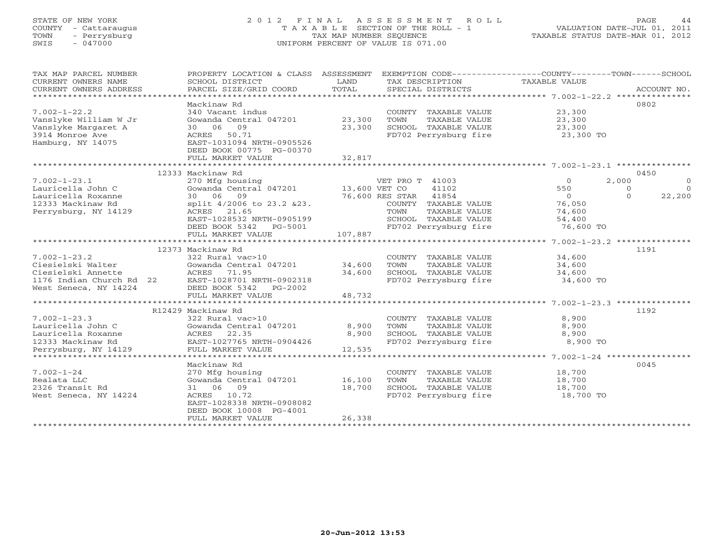# STATE OF NEW YORK 2 0 1 2 F I N A L A S S E S S M E N T R O L L PAGE 44 COUNTY - Cattaraugus T A X A B L E SECTION OF THE ROLL - 1 VALUATION DATE-JUL 01, 2011 TOWN - Perrysburg TAX MAP NUMBER SEQUENCE TAXABLE STATUS DATE-MAR 01, 2012 SWIS - 047000 UNIFORM PERCENT OF VALUE IS 071.00

| TAX MAP PARCEL NUMBER<br>CURRENT OWNERS NAME   | PROPERTY LOCATION & CLASS ASSESSMENT<br>SCHOOL DISTRICT | LAND    | TAX DESCRIPTION                               | EXEMPTION CODE-----------------COUNTY-------TOWN------SCHOOL<br>TAXABLE VALUE |             |
|------------------------------------------------|---------------------------------------------------------|---------|-----------------------------------------------|-------------------------------------------------------------------------------|-------------|
| CURRENT OWNERS ADDRESS                         | PARCEL SIZE/GRID COORD                                  | TOTAL   | SPECIAL DISTRICTS                             |                                                                               | ACCOUNT NO. |
|                                                |                                                         |         |                                               |                                                                               |             |
|                                                | Mackinaw Rd                                             |         |                                               |                                                                               | 0802        |
| $7.002 - 1 - 22.2$                             | 340 Vacant indus                                        |         | COUNTY TAXABLE VALUE                          | 23,300                                                                        |             |
| Vanslyke William W Jr                          | Gowanda Central 047201                                  | 23,300  | TOWN<br>TAXABLE VALUE                         | 23,300                                                                        |             |
| Vanslyke Margaret A                            | 30 06 09                                                | 23,300  | SCHOOL TAXABLE VALUE                          | 23,300                                                                        |             |
| 3914 Monroe Ave                                | ACRES 50.71                                             |         | FD702 Perrysburg fire                         | 23,300 TO                                                                     |             |
| Hamburg, NY 14075                              | EAST-1031094 NRTH-0905526                               |         |                                               |                                                                               |             |
|                                                | DEED BOOK 00775 PG-00370                                |         |                                               |                                                                               |             |
|                                                | FULL MARKET VALUE                                       | 32,817  |                                               |                                                                               |             |
|                                                |                                                         |         |                                               |                                                                               |             |
|                                                | 12333 Mackinaw Rd                                       |         |                                               |                                                                               | 0450        |
| $7.002 - 1 - 23.1$                             | 270 Mfg housing                                         |         | VET PRO T 41003                               | 2,000<br>$\Omega$                                                             | $\Omega$    |
| Lauricella John C                              | Gowanda Central $047201$ 13,600 VET CO                  |         | 41102                                         | 550<br>$\Omega$                                                               | $\Omega$    |
| Lauricella Roxanne                             | 30 06<br>09                                             |         | 76,600 RES STAR<br>41854                      | $\overline{0}$<br>$\Omega$                                                    | 22,200      |
| 12333 Mackinaw Rd                              | split 4/2006 to 23.2 & 23.                              |         | COUNTY TAXABLE VALUE                          | 76,050                                                                        |             |
| Perrysburg, NY 14129                           | ACRES 21.65                                             |         | TOWN<br>TAXABLE VALUE                         | 74,600                                                                        |             |
|                                                | EAST-1028532 NRTH-0905199                               |         | SCHOOL TAXABLE VALUE                          | 54,400                                                                        |             |
|                                                | DEED BOOK 5342 PG-5001                                  |         | FD702 Perrysburg fire                         | 76,600 TO                                                                     |             |
|                                                | FULL MARKET VALUE                                       | 107,887 |                                               |                                                                               |             |
|                                                |                                                         |         |                                               |                                                                               |             |
|                                                | 12373 Mackinaw Rd                                       |         |                                               |                                                                               | 1191        |
| $7.002 - 1 - 23.2$<br>Ciesielski Walter        | 322 Rural vac>10<br>Gowanda Central 047201              | 34,600  | COUNTY TAXABLE VALUE<br>TOWN<br>TAXABLE VALUE | 34,600                                                                        |             |
|                                                |                                                         | 34,600  | SCHOOL TAXABLE VALUE                          | 34,600                                                                        |             |
| Ciesielski Annette<br>1176 Indian Church Rd 22 | ACRES<br>71.95<br>EAST-1028701 NRTH-0902318             |         |                                               | 34,600                                                                        |             |
|                                                |                                                         |         | FD702 Perrysburg fire                         | 34,600 TO                                                                     |             |
| West Seneca, NY 14224                          | DEED BOOK 5342 PG-2002<br>FULL MARKET VALUE             | 48,732  |                                               |                                                                               |             |
|                                                |                                                         |         |                                               |                                                                               |             |
|                                                | R12429 Mackinaw Rd                                      |         |                                               |                                                                               | 1192        |
| $7.002 - 1 - 23.3$                             | 322 Rural vac>10                                        |         | COUNTY TAXABLE VALUE                          | 8,900                                                                         |             |
| Lauricella John C                              | Gowanda Central 047201                                  | 8,900   | TOWN<br>TAXABLE VALUE                         | 8,900                                                                         |             |
| Lauricella Roxanne                             | ACRES<br>22.35                                          | 8,900   | SCHOOL TAXABLE VALUE                          | 8,900                                                                         |             |
| 12333 Mackinaw Rd                              | EAST-1027765 NRTH-0904426                               |         | FD702 Perrysburg fire                         | 8,900 TO                                                                      |             |
| Perrysburg, NY 14129                           | FULL MARKET VALUE                                       | 12,535  |                                               |                                                                               |             |
|                                                |                                                         |         |                                               |                                                                               |             |
|                                                | Mackinaw Rd                                             |         |                                               |                                                                               | 0045        |
| $7.002 - 1 - 24$                               | 270 Mfg housing                                         |         | COUNTY TAXABLE VALUE                          | 18,700                                                                        |             |
| Realata LLC                                    | Gowanda Central 047201                                  | 16,100  | <b>TOWN</b><br>TAXABLE VALUE                  | 18,700                                                                        |             |
| 2326 Transit Rd                                | 31 06 09                                                | 18,700  | SCHOOL TAXABLE VALUE                          | 18,700                                                                        |             |
| West Seneca, NY 14224                          | ACRES 10.72                                             |         | FD702 Perrysburg fire                         | 18,700 TO                                                                     |             |
|                                                | EAST-1028338 NRTH-0908082                               |         |                                               |                                                                               |             |
|                                                | DEED BOOK 10008 PG-4001                                 |         |                                               |                                                                               |             |
|                                                | FULL MARKET VALUE                                       | 26,338  |                                               |                                                                               |             |
|                                                |                                                         |         |                                               |                                                                               |             |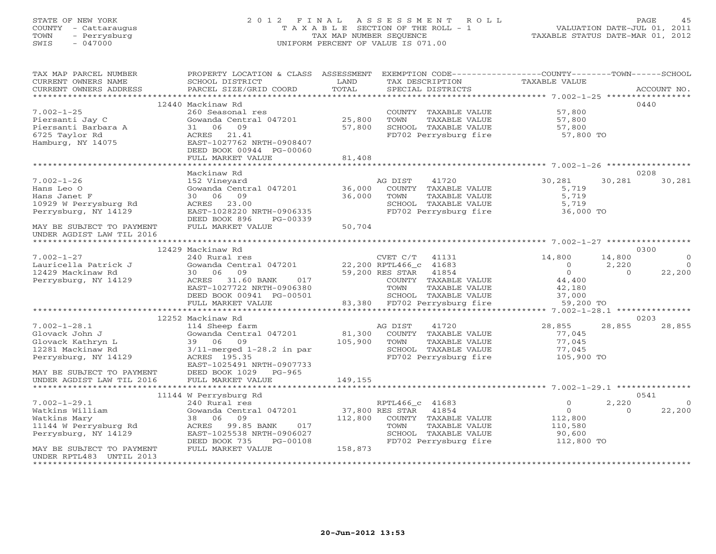# STATE OF NEW YORK 2 0 1 2 F I N A L A S S E S S M E N T R O L L PAGE 45 COUNTY - Cattaraugus T A X A B L E SECTION OF THE ROLL - 1 VALUATION DATE-JUL 01, 2011 TOWN - Perrysburg TAX MAP NUMBER SEQUENCE TAXABLE STATUS DATE-MAR 01, 2012 SWIS - 047000 UNIFORM PERCENT OF VALUE IS 071.00

| TAX MAP PARCEL NUMBER<br>CURRENT OWNERS NAME<br>CURRENT OWNERS ADDRESS | PROPERTY LOCATION & CLASS ASSESSMENT<br>SCHOOL DISTRICT<br>PARCEL SIZE/GRID COORD | LAND<br>TOTAL          | TAX DESCRIPTION       | SPECIAL DISTRICTS                                             | EXEMPTION CODE-----------------COUNTY-------TOWN------SCHOOL<br>TAXABLE VALUE |          | ACCOUNT NO.    |
|------------------------------------------------------------------------|-----------------------------------------------------------------------------------|------------------------|-----------------------|---------------------------------------------------------------|-------------------------------------------------------------------------------|----------|----------------|
|                                                                        |                                                                                   |                        |                       |                                                               |                                                                               |          |                |
|                                                                        | 12440 Mackinaw Rd                                                                 |                        |                       |                                                               |                                                                               |          | 0440           |
| $7.002 - 1 - 25$<br>Piersanti Jay C<br>Piersanti Barbara A             | 260 Seasonal res<br>Gowanda Central 047201<br>31 06<br>09                         | 25,800<br>57,800       | TOWN                  | COUNTY TAXABLE VALUE<br>TAXABLE VALUE<br>SCHOOL TAXABLE VALUE | 57,800<br>57,800<br>57,800                                                    |          |                |
| 6725 Taylor Rd<br>Hamburg, NY 14075                                    | ACRES 21.41<br>EAST-1027762 NRTH-0908407                                          |                        |                       | FD702 Perrysburg fire                                         | 57,800 TO                                                                     |          |                |
|                                                                        | DEED BOOK 00944 PG-00060<br>FULL MARKET VALUE                                     | 81,408                 |                       |                                                               |                                                                               |          |                |
|                                                                        |                                                                                   |                        |                       |                                                               |                                                                               |          |                |
|                                                                        | Mackinaw Rd                                                                       |                        |                       |                                                               |                                                                               |          | 0208           |
| $7.002 - 1 - 26$<br>Hans Leo O                                         | 152 Vineyard<br>Gowanda Central 047201                                            | 36,000                 | AG DIST               | 41720<br>COUNTY TAXABLE VALUE                                 | 30,281<br>5,719                                                               | 30,281   | 30,281         |
| Hans Janet F                                                           | 30 06 09                                                                          | 36,000                 | TOWN                  | TAXABLE VALUE                                                 | 5,719                                                                         |          |                |
| 10929 W Perrysburg Rd                                                  | ACRES 23.00                                                                       |                        |                       | SCHOOL TAXABLE VALUE                                          | 5,719                                                                         |          |                |
| Perrysburg, NY 14129                                                   | EAST-1028220 NRTH-0906335                                                         |                        |                       | FD702 Perrysburg fire                                         | 36,000 TO                                                                     |          |                |
|                                                                        | DEED BOOK 896<br>PG-00339                                                         |                        |                       |                                                               |                                                                               |          |                |
| MAY BE SUBJECT TO PAYMENT                                              | FULL MARKET VALUE                                                                 | 50,704                 |                       |                                                               |                                                                               |          |                |
| UNDER AGDIST LAW TIL 2016                                              |                                                                                   |                        |                       |                                                               |                                                                               |          |                |
|                                                                        |                                                                                   |                        |                       |                                                               |                                                                               |          |                |
|                                                                        | 12429 Mackinaw Rd                                                                 |                        |                       |                                                               |                                                                               |          | 0300           |
| $7.002 - 1 - 27$                                                       | 240 Rural res                                                                     |                        | CVET C/T              | 41131                                                         | 14,800                                                                        | 14,800   | $\Omega$       |
| Lauricella Patrick J                                                   | Gowanda Central 047201                                                            | 22,200 RPTL466_c 41683 |                       |                                                               | $\overline{0}$                                                                | 2,220    | $\bigcirc$     |
| 12429 Mackinaw Rd                                                      | 30 06<br>09                                                                       |                        | 59,200 RES STAR 41854 |                                                               | $\circ$                                                                       | $\Omega$ | 22,200         |
| Perrysburg, NY 14129                                                   | ACRES 31.60 BANK<br>017                                                           |                        |                       | COUNTY TAXABLE VALUE                                          | 44,400                                                                        |          |                |
|                                                                        | EAST-1027722 NRTH-0906380                                                         |                        | TOWN                  | TAXABLE VALUE                                                 | 42,180                                                                        |          |                |
|                                                                        | DEED BOOK 00941 PG-00501                                                          |                        |                       | SCHOOL TAXABLE VALUE<br>83,380 FD702 Perrysburg fire          | 37,000                                                                        |          |                |
|                                                                        | FULL MARKET VALUE                                                                 |                        |                       |                                                               | 59,200 TO                                                                     |          |                |
|                                                                        | 12252 Mackinaw Rd                                                                 |                        |                       |                                                               |                                                                               |          | 0203           |
| $7.002 - 1 - 28.1$                                                     | 114 Sheep farm                                                                    |                        | AG DIST               | 41720                                                         | 28,855                                                                        | 28,855   | 28,855         |
| Glovack John J                                                         | Gowanda Central 047201                                                            | 81,300                 |                       | COUNTY TAXABLE VALUE                                          | 77,045                                                                        |          |                |
| Glovack Kathryn L                                                      | 39 06 09                                                                          | 105,900                | TOWN                  | TAXABLE VALUE                                                 | 77,045                                                                        |          |                |
| 12281 Mackinaw Rd                                                      | $3/11$ -merged $1-28.2$ in par                                                    |                        |                       | SCHOOL TAXABLE VALUE                                          | 77,045                                                                        |          |                |
| Perrysburg, NY 14129                                                   | ACRES 195.35                                                                      |                        |                       | FD702 Perrysburg fire                                         | 105,900 TO                                                                    |          |                |
|                                                                        | EAST-1025491 NRTH-0907733                                                         |                        |                       |                                                               |                                                                               |          |                |
| MAY BE SUBJECT TO PAYMENT                                              | DEED BOOK 1029 PG-965                                                             |                        |                       |                                                               |                                                                               |          |                |
| UNDER AGDIST LAW TIL 2016                                              | FULL MARKET VALUE                                                                 | 149,155                |                       |                                                               |                                                                               |          |                |
| *********************                                                  |                                                                                   |                        |                       |                                                               |                                                                               |          |                |
|                                                                        | 11144 W Perrysburg Rd                                                             |                        |                       |                                                               |                                                                               |          | 0541           |
| $7.002 - 1 - 29.1$                                                     | 240 Rural res                                                                     |                        | RPTL466_c 41683       |                                                               | $\circ$                                                                       | 2,220    | $\overline{0}$ |
| Watkins William                                                        | Gowanda Central 047201                                                            |                        | 37,800 RES STAR       | 41854                                                         | $\overline{0}$                                                                | $\Omega$ | 22,200         |
| Watkins Mary<br>11144 W Perrysburg Rd                                  | 38 06<br>09<br>99.85 BANK<br>017                                                  | 112,800                | TOWN                  | COUNTY TAXABLE VALUE<br>TAXABLE VALUE                         | 112,800                                                                       |          |                |
| Perrysburg, NY 14129                                                   | ACRES<br>EAST-1025538 NRTH-0906027                                                |                        |                       | SCHOOL TAXABLE VALUE                                          | 110,580<br>90,600                                                             |          |                |
|                                                                        | DEED BOOK 735<br>PG-00108                                                         |                        |                       | FD702 Perrysburg fire                                         | 112,800 TO                                                                    |          |                |
| MAY BE SUBJECT TO PAYMENT                                              | FULL MARKET VALUE                                                                 | 158,873                |                       |                                                               |                                                                               |          |                |
| UNDER RPTL483 UNTIL 2013                                               |                                                                                   |                        |                       |                                                               |                                                                               |          |                |
|                                                                        |                                                                                   |                        |                       |                                                               |                                                                               |          |                |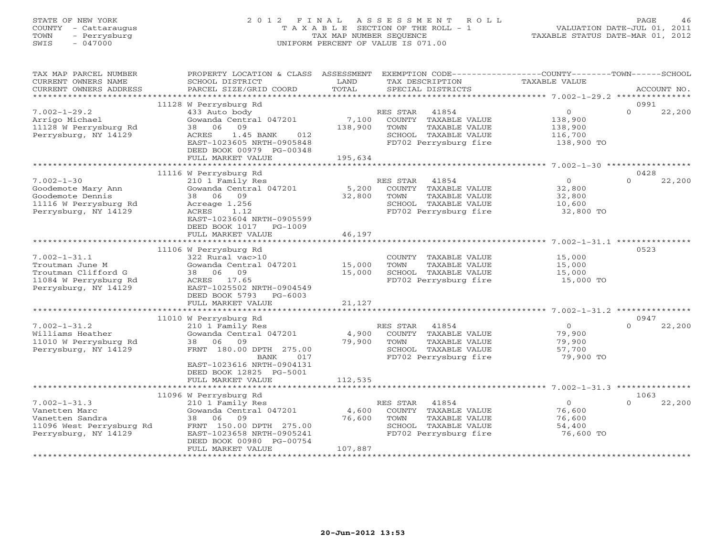# STATE OF NEW YORK 2 0 1 2 F I N A L A S S E S S M E N T R O L L PAGE 46 COUNTY - Cattaraugus T A X A B L E SECTION OF THE ROLL - 1 VALUATION DATE-JUL 01, 2011 TOWN - Perrysburg TAX MAP NUMBER SEQUENCE TAXABLE STATUS DATE-MAR 01, 2012 SWIS - 047000 UNIFORM PERCENT OF VALUE IS 071.00

| TAX MAP PARCEL NUMBER<br>CURRENT OWNERS NAME<br>CURRENT OWNERS ADDRESS                                        | PROPERTY LOCATION & CLASS ASSESSMENT<br>SCHOOL DISTRICT<br>PARCEL SIZE/GRID COORD                                                                                          | LAND<br>TOTAL              | TAX DESCRIPTION<br>SPECIAL DISTRICTS                                                                                | EXEMPTION CODE----------------COUNTY-------TOWN-----SCHOOL<br>TAXABLE VALUE | ACCOUNT NO.        |
|---------------------------------------------------------------------------------------------------------------|----------------------------------------------------------------------------------------------------------------------------------------------------------------------------|----------------------------|---------------------------------------------------------------------------------------------------------------------|-----------------------------------------------------------------------------|--------------------|
|                                                                                                               |                                                                                                                                                                            |                            |                                                                                                                     |                                                                             |                    |
|                                                                                                               | 11128 W Perrysburg Rd                                                                                                                                                      |                            |                                                                                                                     |                                                                             | 0991               |
| $7.002 - 1 - 29.2$<br>Arrigo Michael<br>11128 W Perrysburg Rd<br>Perrysburg, NY 14129                         | 433 Auto body<br>Gowanda Central 047201<br>09<br>38 06<br>1.45 BANK<br>012<br>ACRES<br>EAST-1023605 NRTH-0905848                                                           | 7,100<br>138,900           | RES STAR<br>41854<br>COUNTY TAXABLE VALUE<br>TAXABLE VALUE<br>TOWN<br>SCHOOL TAXABLE VALUE<br>FD702 Perrysburg fire | $\circ$<br>138,900<br>138,900<br>116,700<br>138,900 TO                      | $\Omega$<br>22,200 |
|                                                                                                               | DEED BOOK 00979 PG-00348<br>FULL MARKET VALUE                                                                                                                              | 195,634                    |                                                                                                                     |                                                                             |                    |
|                                                                                                               |                                                                                                                                                                            |                            |                                                                                                                     |                                                                             |                    |
|                                                                                                               | 11116 W Perrysburg Rd                                                                                                                                                      |                            |                                                                                                                     |                                                                             | 0428               |
| $7.002 - 1 - 30$<br>Goodemote Mary Ann<br>Goodemote Dennis<br>11116 W Perrysburg Rd<br>Perrysburg, NY 14129   | 210 1 Family Res<br>Gowanda Central 047201<br>38 06 09<br>Acreage 1.256<br>ACRES<br>1.12<br>EAST-1023604 NRTH-0905599<br>DEED BOOK 1017<br>PG-1009                         | 5,200<br>32,800            | RES STAR 41854<br>COUNTY TAXABLE VALUE<br>TOWN<br>TAXABLE VALUE<br>SCHOOL TAXABLE VALUE<br>FD702 Perrysburg fire    | $\Omega$<br>32,800<br>32,800<br>10,600<br>32,800 TO                         | $\Omega$<br>22,200 |
|                                                                                                               | FULL MARKET VALUE                                                                                                                                                          | 46,197                     |                                                                                                                     |                                                                             |                    |
|                                                                                                               |                                                                                                                                                                            |                            |                                                                                                                     |                                                                             |                    |
| $7.002 - 1 - 31.1$<br>Troutman June M<br>Troutman Clifford G<br>11084 W Perrysburg Rd<br>Perrysburg, NY 14129 | 11106 W Perrysburg Rd<br>322 Rural vac>10<br>Gowanda Central 047201<br>38 06 09<br>ACRES 17.65<br>EAST-1025502 NRTH-0904549<br>DEED BOOK 5793 PG-6003<br>FULL MARKET VALUE | 15,000<br>15,000<br>21,127 | COUNTY TAXABLE VALUE<br>TOWN<br>TAXABLE VALUE<br>SCHOOL TAXABLE VALUE<br>FD702 Perrysburg fire                      | 15,000<br>15,000<br>15,000<br>$15,000$ TO                                   | 0523               |
|                                                                                                               |                                                                                                                                                                            |                            |                                                                                                                     |                                                                             |                    |
|                                                                                                               | 11010 W Perrysburg Rd                                                                                                                                                      |                            |                                                                                                                     |                                                                             | 0947               |
| $7.002 - 1 - 31.2$<br>Williams Heather<br>11010 W Perrysburg Rd<br>Perrysburg, NY 14129                       | 210 1 Family Res<br>Gowanda Central 047201<br>38 06 09<br>FRNT 180.00 DPTH 275.00<br>017<br><b>BANK</b><br>EAST-1023616 NRTH-0904131                                       | 4,900<br>79,900            | RES STAR<br>41854<br>COUNTY TAXABLE VALUE<br>TOWN<br>TAXABLE VALUE<br>SCHOOL TAXABLE VALUE<br>FD702 Perrysburg fire | $\overline{O}$<br>79,900<br>79,900<br>57,700<br>79,900 TO                   | $\Omega$<br>22,200 |
|                                                                                                               | DEED BOOK 12825 PG-5001<br>FULL MARKET VALUE                                                                                                                               | 112,535                    |                                                                                                                     |                                                                             |                    |
|                                                                                                               |                                                                                                                                                                            |                            |                                                                                                                     |                                                                             |                    |
|                                                                                                               | 11096 W Perrysburg Rd                                                                                                                                                      |                            |                                                                                                                     |                                                                             | 1063               |
| $7.002 - 1 - 31.3$<br>Vanetten Marc<br>Vanetten Sandra<br>11096 West Perrysburg Rd<br>Perrysburg, NY 14129    | 210 1 Family Res<br>Gowanda Central 047201<br>38 06<br>09<br>FRNT 150.00 DPTH 275.00<br>EAST-1023658 NRTH-0905241<br>DEED BOOK 00980 PG-00754                              | 4,600<br>76,600            | RES STAR<br>41854<br>COUNTY TAXABLE VALUE<br>TAXABLE VALUE<br>TOWN<br>SCHOOL TAXABLE VALUE<br>FD702 Perrysburg fire | $\overline{0}$<br>76,600<br>76,600<br>54,400<br>76,600 TO                   | $\Omega$<br>22,200 |
|                                                                                                               | FULL MARKET VALUE                                                                                                                                                          | 107,887                    |                                                                                                                     |                                                                             |                    |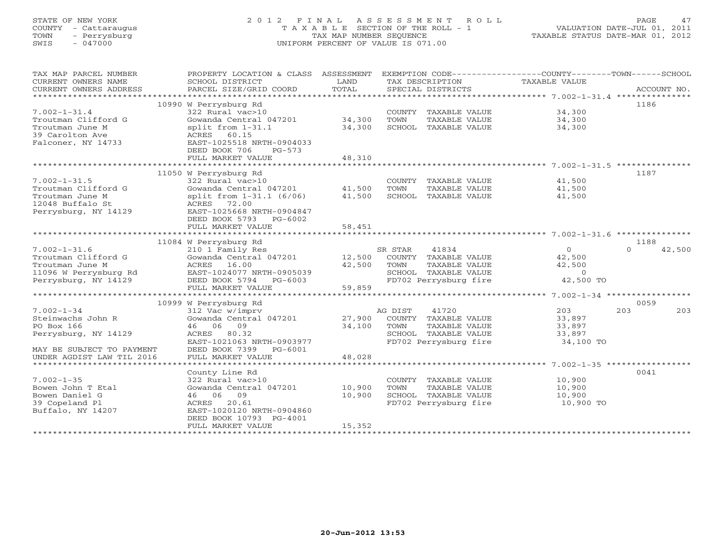# STATE OF NEW YORK 2 0 1 2 F I N A L A S S E S S M E N T R O L L PAGE 47 COUNTY - Cattaraugus T A X A B L E SECTION OF THE ROLL - 1 VALUATION DATE-JUL 01, 2011 TOWN - Perrysburg TAX MAP NUMBER SEQUENCE TAXABLE STATUS DATE-MAR 01, 2012 SWIS - 047000 UNIFORM PERCENT OF VALUE IS 071.00

| TAX MAP PARCEL NUMBER          | PROPERTY LOCATION & CLASS ASSESSMENT                             |        |                             | EXEMPTION CODE-----------------COUNTY-------TOWN------SCHOOL |                    |
|--------------------------------|------------------------------------------------------------------|--------|-----------------------------|--------------------------------------------------------------|--------------------|
| CURRENT OWNERS NAME            | SCHOOL DISTRICT                                                  | LAND   | TAX DESCRIPTION             | TAXABLE VALUE                                                |                    |
| CURRENT OWNERS ADDRESS         | PARCEL SIZE/GRID COORD                                           | TOTAL  | SPECIAL DISTRICTS           |                                                              | ACCOUNT NO.        |
| **********************         |                                                                  |        |                             |                                                              |                    |
|                                | 10990 W Perrysburg Rd                                            |        |                             |                                                              | 1186               |
| $7.002 - 1 - 31.4$             | 322 Rural vac>10                                                 |        | COUNTY TAXABLE VALUE        | 34,300                                                       |                    |
| Troutman Clifford G            | Gowanda Central 047201 34,300                                    |        | TOWN<br>TAXABLE VALUE       | 34,300                                                       |                    |
| Troutman June M                | split from $1-31.1$                                              | 34,300 | SCHOOL TAXABLE VALUE        | 34,300                                                       |                    |
| 39 Carolton Ave                | ACRES 60.15                                                      |        |                             |                                                              |                    |
|                                | EAST-1025518 NRTH-0904033                                        |        |                             |                                                              |                    |
| Falconer, NY 14733             |                                                                  |        |                             |                                                              |                    |
|                                | DEED BOOK 706<br>$PG-573$                                        |        |                             |                                                              |                    |
|                                | FULL MARKET VALUE                                                | 48,310 |                             |                                                              |                    |
|                                |                                                                  |        |                             |                                                              |                    |
|                                | 11050 W Perrysburg Rd                                            |        |                             |                                                              | 1187               |
| $7.002 - 1 - 31.5$             | 322 Rural vac>10                                                 |        |                             | COUNTY TAXABLE VALUE 41,500                                  |                    |
| Troutman Clifford G            |                                                                  |        | TOWN<br>TAXABLE VALUE       | 41,500                                                       |                    |
| Troutman June M                | Gowanda Central 047201 41,500<br>split from 1-31.1 (6/06) 41,500 |        | SCHOOL TAXABLE VALUE        | 41,500                                                       |                    |
| 12048 Buffalo St               | ACRES 72.00                                                      |        |                             |                                                              |                    |
| Perrysburg, NY 14129           | EAST-1025668 NRTH-0904847                                        |        |                             |                                                              |                    |
|                                | DEED BOOK 5793 PG-6002                                           |        |                             |                                                              |                    |
|                                | FULL MARKET VALUE                                                | 58,451 |                             |                                                              |                    |
|                                |                                                                  |        |                             |                                                              |                    |
|                                | 11084 W Perrysburg Rd                                            |        |                             |                                                              | 1188               |
| $7.002 - 1 - 31.6$             | 210 1 Family Res                                                 |        | SR STAR<br>41834            | $\Omega$                                                     | 42,500<br>$\Omega$ |
|                                |                                                                  |        |                             |                                                              |                    |
| Troutman Clifford G            | Gowanda Central 047201                                           | 12,500 | COUNTY TAXABLE VALUE        | 42,500                                                       |                    |
| Troutman June M                | ACRES 16.00                                                      | 42,500 | TOWN<br>TAXABLE VALUE       | 42,500                                                       |                    |
| 11096 W Perrysburg Rd          | EAST-1024077 NRTH-0905039                                        |        | SCHOOL TAXABLE VALUE        | $\Omega$                                                     |                    |
| Perrysburg, NY 14129           | DEED BOOK 5794 PG-6003                                           |        | FD702 Perrysburg fire       | 42,500 TO                                                    |                    |
|                                | FULL MARKET VALUE                                                | 59,859 |                             |                                                              |                    |
|                                |                                                                  |        |                             |                                                              |                    |
|                                | 10999 W Perrysburg Rd                                            |        |                             |                                                              | 0059               |
| $7.002 - 1 - 34$               | 312 Vac w/imprv                                                  |        | AG DIST<br>41720            | 203                                                          | 203<br>203         |
| Steinwachs John R              | Gowanda Central 047201                                           |        | 27,900 COUNTY TAXABLE VALUE | 33,897                                                       |                    |
| PO Box 166                     | 46 06 09                                                         | 34,100 | TOWN<br>TAXABLE VALUE       | 33,897                                                       |                    |
| Perrysburg, NY 14129           | ACRES 80.32                                                      |        | SCHOOL TAXABLE VALUE        | 33,897                                                       |                    |
|                                | EAST-1021063 NRTH-0903977                                        |        | FD702 Perrysburg fire       | 34,100 TO                                                    |                    |
| MAY BE SUBJECT TO PAYMENT      | DEED BOOK 7399 PG-6001                                           |        |                             |                                                              |                    |
| UNDER AGDIST LAW TIL 2016      | FULL MARKET VALUE                                                | 48,028 |                             |                                                              |                    |
| ****************************** |                                                                  |        |                             |                                                              |                    |
|                                | County Line Rd                                                   |        |                             |                                                              | 0041               |
|                                |                                                                  |        |                             |                                                              |                    |
| $7.002 - 1 - 35$               | 322 Rural vac>10                                                 |        | COUNTY TAXABLE VALUE        | 10,900                                                       |                    |
| Bowen John T Etal              | Gowanda Central 047201                                           | 10,900 | TOWN<br>TAXABLE VALUE       | 10,900                                                       |                    |
| Bowen Daniel G                 | 46 06 09                                                         | 10,900 | SCHOOL TAXABLE VALUE        | 10,900                                                       |                    |
| 39 Copeland Pl                 | ACRES 20.61                                                      |        | FD702 Perrysburg fire       | 10,900 TO                                                    |                    |
| Buffalo, NY 14207              | EAST-1020120 NRTH-0904860                                        |        |                             |                                                              |                    |
|                                | DEED BOOK 10793 PG-4001                                          |        |                             |                                                              |                    |
|                                | FULL MARKET VALUE                                                | 15,352 |                             |                                                              |                    |
|                                |                                                                  |        |                             |                                                              |                    |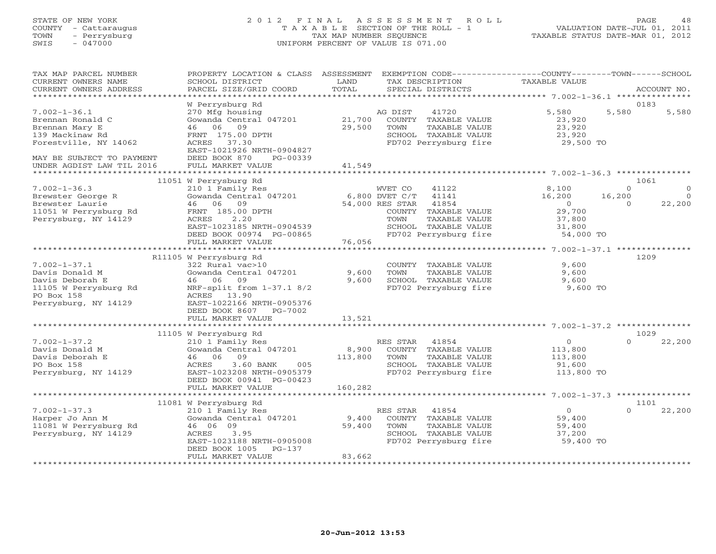# STATE OF NEW YORK 2 0 1 2 F I N A L A S S E S S M E N T R O L L PAGE 48 COUNTY - Cattaraugus T A X A B L E SECTION OF THE ROLL - 1 VALUATION DATE-JUL 01, 2011 TOWN - Perrysburg TAX MAP NUMBER SEQUENCE TAXABLE STATUS DATE-MAR 01, 2012 SWIS - 047000 UNIFORM PERCENT OF VALUE IS 071.00

| TAX MAP PARCEL NUMBER     | PROPERTY LOCATION & CLASS ASSESSMENT       |                       | EXEMPTION CODE----------------COUNTY-------TOWN------SCHOOL |                                                                     |          |             |
|---------------------------|--------------------------------------------|-----------------------|-------------------------------------------------------------|---------------------------------------------------------------------|----------|-------------|
| CURRENT OWNERS NAME       | SCHOOL DISTRICT                            | LAND                  | TAX DESCRIPTION                                             | TAXABLE VALUE                                                       |          |             |
| CURRENT OWNERS ADDRESS    | PARCEL SIZE/GRID COORD                     | TOTAL                 | SPECIAL DISTRICTS                                           |                                                                     |          | ACCOUNT NO. |
| ************************* |                                            |                       |                                                             |                                                                     |          |             |
|                           | W Perrysburg Rd                            |                       |                                                             |                                                                     |          | 0183        |
| $7.002 - 1 - 36.1$        | 270 Mfg housing                            |                       | AG DIST<br>41720                                            | 5,580                                                               | 5,580    | 5,580       |
| Brennan Ronald C          | Gowanda Central 047201                     | 21,700                | COUNTY TAXABLE VALUE                                        | 23,920                                                              |          |             |
| Brennan Mary E            | 46 06 09                                   | 29,500                | TOWN<br>TAXABLE VALUE                                       | 23,920                                                              |          |             |
| 139 Mackinaw Rd           | FRNT 175.00 DPTH                           |                       | SCHOOL TAXABLE VALUE                                        | 23,920                                                              |          |             |
| Forestville, NY 14062     | ACRES<br>37.30                             |                       | FD702 Perrysburg fire                                       | 29,500 TO                                                           |          |             |
|                           | EAST-1021926 NRTH-0904827                  |                       |                                                             |                                                                     |          |             |
| MAY BE SUBJECT TO PAYMENT | DEED BOOK 870<br>PG-00339                  |                       |                                                             |                                                                     |          |             |
| UNDER AGDIST LAW TIL 2016 | FULL MARKET VALUE                          | 41,549                |                                                             |                                                                     |          |             |
| ********************      |                                            | * * * * * * * * * * * |                                                             | ************************************* 7.002-1-36.3 **************** |          |             |
|                           | 11051 W Perrysburg Rd                      |                       |                                                             |                                                                     |          | 1061        |
| $7.002 - 1 - 36.3$        | 210 1 Family Res                           |                       | WVET CO<br>41122                                            | 8,100                                                               | $\Omega$ | $\Omega$    |
| Brewster George R         | Gowanda Central 047201                     |                       | 6,800 DVET C/T<br>41141                                     | 16,200                                                              | 16,200   | $\Omega$    |
| Brewster Laurie           | 46 06<br>09                                |                       | 54,000 RES STAR<br>41854                                    | $\overline{0}$                                                      | $\Omega$ | 22,200      |
| 11051 W Perrysburg Rd     | FRNT 185.00 DPTH                           |                       | COUNTY TAXABLE VALUE                                        | 29,700                                                              |          |             |
| Perrysburg, NY 14129      | ACRES<br>2.20                              |                       | TOWN<br>TAXABLE VALUE                                       | 37,800                                                              |          |             |
|                           | EAST-1023185 NRTH-0904539                  |                       | SCHOOL TAXABLE VALUE                                        | 31,800                                                              |          |             |
|                           | DEED BOOK 00974 PG-00865                   |                       | FD702 Perrysburg fire                                       | 54,000 TO                                                           |          |             |
|                           | FULL MARKET VALUE                          | 76,056                |                                                             |                                                                     |          |             |
|                           | ***************************                |                       |                                                             |                                                                     |          |             |
|                           |                                            |                       |                                                             |                                                                     |          | 1209        |
| $7.002 - 1 - 37.1$        | R11105 W Perrysburg Rd<br>322 Rural vac>10 |                       | COUNTY TAXABLE VALUE                                        | 9,600                                                               |          |             |
| Davis Donald M            | Gowanda Central 047201                     | 9,600                 | TOWN<br>TAXABLE VALUE                                       | 9,600                                                               |          |             |
|                           |                                            | 9,600                 |                                                             |                                                                     |          |             |
| Davis Deborah E           | 46 06 09                                   |                       | SCHOOL TAXABLE VALUE                                        | 9,600                                                               |          |             |
| 11105 W Perrysburg Rd     | NRF-split from $1-37.1$ 8/2                |                       | FD702 Perrysburg fire                                       | 9,600 TO                                                            |          |             |
| PO Box 158                | ACRES 13.90                                |                       |                                                             |                                                                     |          |             |
| Perrysburg, NY 14129      | EAST-1022166 NRTH-0905376                  |                       |                                                             |                                                                     |          |             |
|                           | DEED BOOK 8607<br>PG-7002                  |                       |                                                             |                                                                     |          |             |
|                           | FULL MARKET VALUE                          | 13,521                |                                                             |                                                                     |          |             |
|                           |                                            |                       |                                                             |                                                                     |          |             |
|                           | 11105 W Perrysburg Rd                      |                       |                                                             |                                                                     |          | 1029        |
| $7.002 - 1 - 37.2$        | 210 1 Family Res                           |                       | RES STAR<br>41854                                           | $\circ$                                                             | $\Omega$ | 22,200      |
| Davis Donald M            | Gowanda Central 047201                     | 8,900                 | COUNTY TAXABLE VALUE                                        | 113,800                                                             |          |             |
| Davis Deborah E           | 46 06 09                                   | 113,800               | TAXABLE VALUE<br>TOWN                                       | 113,800                                                             |          |             |
| PO Box 158                | 3.60 BANK<br>005<br>ACRES                  |                       | SCHOOL TAXABLE VALUE                                        | 91,600                                                              |          |             |
| Perrysburg, NY 14129      | EAST-1023208 NRTH-0905379                  |                       | FD702 Perrysburg fire                                       | 113,800 TO                                                          |          |             |
|                           | DEED BOOK 00941 PG-00423                   |                       |                                                             |                                                                     |          |             |
|                           | FULL MARKET VALUE                          | 160,282               |                                                             |                                                                     |          |             |
|                           | * * * * * * * * * * * * * * * * * *        |                       |                                                             | ******************** 7.002-1-37.3 ***************                   |          |             |
|                           | 11081 W Perrysburg Rd                      |                       |                                                             |                                                                     |          | 1101        |
| $7.002 - 1 - 37.3$        | 210 1 Family Res                           |                       | 41854<br>RES STAR                                           | $\overline{0}$                                                      | $\Omega$ | 22,200      |
| Harper Jo Ann M           | Gowanda Central 047201                     | 9,400                 | COUNTY TAXABLE VALUE                                        | 59,400                                                              |          |             |
| 11081 W Perrysburg Rd     | 46 06 09                                   | 59,400                | TOWN<br>TAXABLE VALUE                                       | 59,400                                                              |          |             |
| Perrysburg, NY 14129      | 3.95<br>ACRES                              |                       | SCHOOL TAXABLE VALUE                                        | 37,200                                                              |          |             |
|                           | EAST-1023188 NRTH-0905008                  |                       | FD702 Perrysburg fire                                       | 59,400 TO                                                           |          |             |
|                           | DEED BOOK 1005<br>$PG-137$                 |                       |                                                             |                                                                     |          |             |
|                           | FULL MARKET VALUE                          | 83,662                |                                                             |                                                                     |          |             |
|                           |                                            |                       |                                                             |                                                                     |          |             |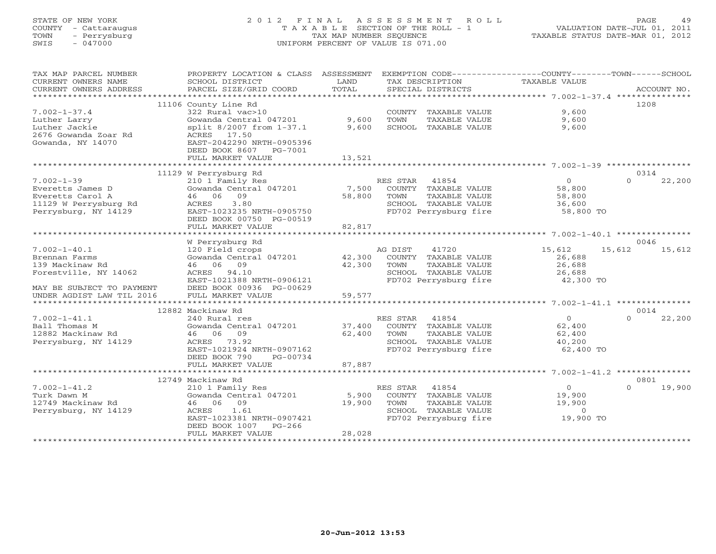# STATE OF NEW YORK 2 0 1 2 F I N A L A S S E S S M E N T R O L L PAGE 49 COUNTY - Cattaraugus T A X A B L E SECTION OF THE ROLL - 1 VALUATION DATE-JUL 01, 2011 TOWN - Perrysburg TAX MAP NUMBER SEQUENCE TAXABLE STATUS DATE-MAR 01, 2012 SWIS - 047000 UNIFORM PERCENT OF VALUE IS 071.00

| TAX MAP PARCEL NUMBER<br>CURRENT OWNERS NAME<br>CURRENT OWNERS ADDRESS                                       | PROPERTY LOCATION & CLASS ASSESSMENT<br>SCHOOL DISTRICT<br>PARCEL SIZE/GRID COORD                                                                                                         | LAND<br>TOTAL             |                        | TAX DESCRIPTION<br>SPECIAL DISTRICTS                                                            | EXEMPTION CODE-----------------COUNTY-------TOWN------SCHOOL<br>TAXABLE VALUE |          | ACCOUNT NO.    |
|--------------------------------------------------------------------------------------------------------------|-------------------------------------------------------------------------------------------------------------------------------------------------------------------------------------------|---------------------------|------------------------|-------------------------------------------------------------------------------------------------|-------------------------------------------------------------------------------|----------|----------------|
| $7.002 - 1 - 37.4$<br>Luther Larry<br>Luther Jackie<br>2676 Gowanda Zoar Rd<br>Gowanda, NY 14070             | 11106 County Line Rd<br>322 Rural vac>10<br>Gowanda Central 047201<br>split 8/2007 from 1-37.1<br>ACRES 17.50<br>EAST-2042290 NRTH-0905396<br>DEED BOOK 8607 PG-7001<br>FULL MARKET VALUE | 9,600<br>9,600<br>13,521  | TOWN                   | COUNTY TAXABLE VALUE<br>TAXABLE VALUE<br>SCHOOL TAXABLE VALUE                                   | 9,600<br>9,600<br>9,600                                                       |          | 1208           |
|                                                                                                              |                                                                                                                                                                                           |                           |                        |                                                                                                 |                                                                               |          |                |
| $7.002 - 1 - 39$<br>Everetts James D<br>Everetts Carol A<br>11129 W Perrysburg Rd<br>Perrysburg, NY 14129    | 11129 W Perrysburg Rd<br>210 1 Family Res<br>Gowanda Central 047201<br>46 06 09<br>3.80<br>ACRES<br>EAST-1023235 NRTH-0905750<br>DEED BOOK 00750 PG-00519<br>FULL MARKET VALUE            | 7,500<br>58,800<br>82,817 | RES STAR 41854<br>TOWN | COUNTY TAXABLE VALUE<br>TAXABLE VALUE<br>SCHOOL TAXABLE VALUE<br>FD702 Perrysburg fire          | $\overline{O}$<br>58,800<br>58,800<br>36,600<br>58,800 TO                     | $\Omega$ | 0314<br>22,200 |
|                                                                                                              |                                                                                                                                                                                           |                           |                        |                                                                                                 |                                                                               |          |                |
| $7.002 - 1 - 40.1$<br>Brennan Farms<br>139 Mackinaw Rd<br>Forestville, NY 14062<br>MAY BE SUBJECT TO PAYMENT | W Perrysburg Rd<br>120 Field crops<br>Gowanda Central 047201<br>46 06 09<br>ACRES 94.10<br>EAST-1021388 NRTH-0906121<br>DEED BOOK 00936 PG-00629                                          | 42,300<br>42,300          | AG DIST<br>TOWN        | 41720<br>COUNTY TAXABLE VALUE<br>TAXABLE VALUE<br>SCHOOL TAXABLE VALUE<br>FD702 Perrysburg fire | 15,612<br>26,688<br>26,688<br>26,688<br>42,300 TO                             | 15,612   | 0046<br>15,612 |
| UNDER AGDIST LAW TIL 2016                                                                                    | FULL MARKET VALUE                                                                                                                                                                         | 59,577                    |                        |                                                                                                 |                                                                               |          |                |
|                                                                                                              | 12882 Mackinaw Rd                                                                                                                                                                         |                           |                        |                                                                                                 |                                                                               |          | 0014           |
| $7.002 - 1 - 41.1$<br>Ball Thomas M<br>12882 Mackinaw Rd<br>Perrysburg, NY 14129                             | 240 Rural res<br>Gowanda Central 047201<br>46 06 09<br>ACRES 73.92<br>EAST-1021924 NRTH-0907162<br>DEED BOOK 790<br>PG-00734                                                              | 37,400<br>62,400          | RES STAR<br>TOWN       | 41854<br>COUNTY TAXABLE VALUE<br>TAXABLE VALUE<br>SCHOOL TAXABLE VALUE<br>FD702 Perrysburg fire | $\overline{0}$<br>62,400<br>62,400<br>40,200<br>62,400 TO                     | $\Omega$ | 22,200         |
|                                                                                                              | FULL MARKET VALUE                                                                                                                                                                         | 87,887                    |                        |                                                                                                 |                                                                               |          |                |
|                                                                                                              | 12749 Mackinaw Rd                                                                                                                                                                         |                           |                        |                                                                                                 |                                                                               |          | 0801           |
| $7.002 - 1 - 41.2$<br>Turk Dawn M<br>12749 Mackinaw Rd<br>Perrysburg, NY 14129                               | 210 1 Family Res<br>Gowanda Central 047201<br>46 06 09<br>ACRES<br>1.61<br>EAST-1023381 NRTH-0907421<br>DEED BOOK 1007<br>$PG-266$<br>FULL MARKET VALUE                                   | 5,900<br>19,900<br>28,028 | RES STAR 41854<br>TOWN | COUNTY TAXABLE VALUE<br>TAXABLE VALUE<br>SCHOOL TAXABLE VALUE<br>FD702 Perrysburg fire          | $\circ$<br>19,900<br>19,900<br>$\circ$<br>19,900 TO                           | $\cap$   | 19,900         |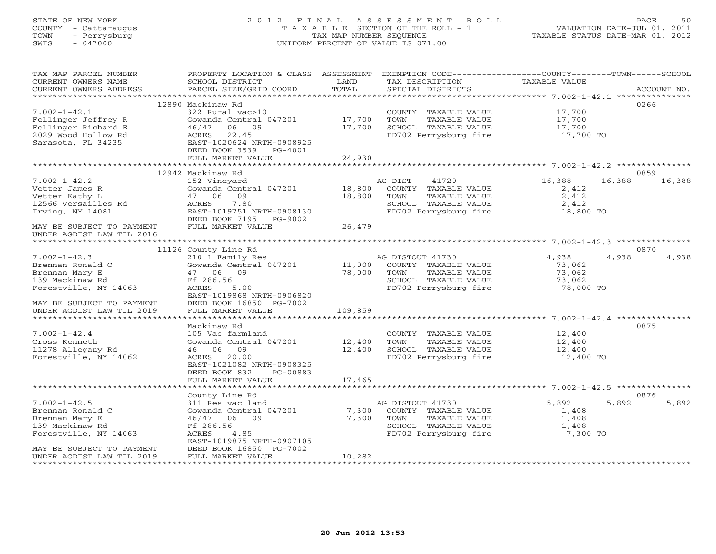STATE OF NEW YORK 2 0 1 2 F I N A L A S S E S S M E N T R O L L PAGE 50 COUNTY - Cattaraugus T A X A B L E SECTION OF THE ROLL - 1 VALUATION DATE-JUL 01, 2011 TOWN - Perrysburg TAX MAP NUMBER SEQUENCE TAXABLE STATUS DATE-MAR 01, 2012<br>TAXABLE STATUS DATE-MAR 01, 2012 SWIS - 047000 UNIFORM PERCENT OF VALUE IS 071.00 TAX MAP PARCEL NUMBER PROPERTY LOCATION & CLASS ASSESSMENT EXEMPTION CODE------------------COUNTY--------TOWN------SCHOOL CURRENT OWNERS NAME SCHOOL DISTRICT LAND TAX DESCRIPTION TAXABLE VALUE CURRENT OWNERS ADDRESS PARCEL SIZE/GRID COORD TOTAL SPECIAL DISTRICTS ACCOUNT NO. \*\*\*\*\*\*\*\*\*\*\*\*\*\*\*\*\*\*\*\*\*\*\*\*\*\*\*\*\*\*\*\*\*\*\*\*\*\*\*\*\*\*\*\*\*\*\*\*\*\*\*\*\*\*\*\*\*\*\*\*\*\*\*\*\*\*\*\*\*\*\*\*\*\*\*\*\*\*\*\*\*\*\*\*\*\*\*\*\*\*\*\*\*\*\*\*\*\*\*\*\*\*\* 7.002-1-42.1 \*\*\*\*\*\*\*\*\*\*\*\*\*\*\* 12890 Mackinaw Rd 02667.002-1-42.1 322 Rural vac>10 COUNTY TAXABLE VALUE 17,700 Fellinger Jeffrey R Gowanda Central 047201 17,700 TOWN TAXABLE VALUE 17,700

|                           |                           |                                        | 7.002-1-42.1 *********                       |
|---------------------------|---------------------------|----------------------------------------|----------------------------------------------|
|                           | 12890 Mackinaw Rd         |                                        | 0266                                         |
| $7.002 - 1 - 42.1$        | 322 Rural vac>10          | COUNTY<br>TAXABLE VALUE                | 17,700                                       |
| Fellinger Jeffrey R       | Gowanda Central 047201    | 17,700<br>TOWN<br><b>TAXABLE VALUE</b> | 17,700                                       |
| Fellinger Richard E       | 06<br>09<br>46/47         | 17,700<br>SCHOOL TAXABLE VALUE         | 17,700                                       |
| 2029 Wood Hollow Rd       | 22.45<br>ACRES            | FD702 Perrysburg fire                  | 17,700 TO                                    |
| Sarasota, FL 34235        | EAST-1020624 NRTH-0908925 |                                        |                                              |
|                           | DEED BOOK 3539<br>PG-4001 |                                        |                                              |
|                           | FULL MARKET VALUE         | 24,930                                 |                                              |
|                           | ********************      |                                        |                                              |
|                           | 12942 Mackinaw Rd         |                                        | 0859                                         |
| $7.002 - 1 - 42.2$        | 152 Vineyard              | AG DIST<br>41720                       | 16,388<br>16,388<br>16,388                   |
| Vetter James R            | Gowanda Central 047201    | 18,800<br>COUNTY TAXABLE VALUE         | 2,412                                        |
| Vetter Kathy L            | 09<br>47 06               | 18,800<br>TOWN<br>TAXABLE VALUE        | 2,412                                        |
|                           | 7.80                      |                                        |                                              |
| 12566 Versailles Rd       | ACRES                     | SCHOOL TAXABLE VALUE                   | 2,412                                        |
| Irving, NY 14081          | EAST-1019751 NRTH-0908130 | FD702 Perrysburg fire                  | 18,800 TO                                    |
|                           | DEED BOOK 7195<br>PG-9002 |                                        |                                              |
| MAY BE SUBJECT TO PAYMENT | FULL MARKET VALUE         | 26,479                                 |                                              |
| UNDER AGDIST LAW TIL 2016 |                           |                                        |                                              |
|                           |                           |                                        | ****************** 7.002-1-42.3 *********    |
|                           | 11126 County Line Rd      |                                        | 0870                                         |
| $7.002 - 1 - 42.3$        | 210 1 Family Res          | AG DISTOUT 41730                       | 4,938<br>4,938<br>4,938                      |
| Brennan Ronald C          | Gowanda Central 047201    | 11,000<br>COUNTY TAXABLE VALUE         | 73,062                                       |
| Brennan Mary E            | 47 06<br>09               | 78,000<br>TOWN<br>TAXABLE VALUE        | 73,062                                       |
| 139 Mackinaw Rd           | Ff 286.56                 | SCHOOL TAXABLE VALUE                   | 73,062                                       |
| Forestville, NY 14063     | 5.00<br>ACRES             | FD702 Perrysburg fire                  | 78,000 TO                                    |
|                           | EAST-1019868 NRTH-0906820 |                                        |                                              |
| MAY BE SUBJECT TO PAYMENT | DEED BOOK 16850 PG-7002   |                                        |                                              |
| UNDER AGDIST LAW TIL 2019 | FULL MARKET VALUE         | 109,859                                |                                              |
|                           |                           |                                        | ********** 7.002-1-42.4                      |
|                           | Mackinaw Rd               |                                        | 0875                                         |
| $7.002 - 1 - 42.4$        | 105 Vac farmland          | COUNTY TAXABLE VALUE                   | 12,400                                       |
| Cross Kenneth             | Gowanda Central 047201    | 12,400<br>TOWN<br>TAXABLE VALUE        | 12,400                                       |
| 11278 Allegany Rd         | 06<br>09<br>46            | 12,400<br>SCHOOL TAXABLE VALUE         | 12,400                                       |
|                           |                           |                                        |                                              |
| Forestville, NY 14062     | 20.00<br>ACRES            | FD702 Perrysburg fire                  | 12,400 TO                                    |
|                           | EAST-1021082 NRTH-0908325 |                                        |                                              |
|                           | DEED BOOK 832<br>PG-00883 |                                        |                                              |
|                           | FULL MARKET VALUE         | 17,465                                 |                                              |
|                           |                           |                                        | ********************* 7.002-1-42.5 ********* |
|                           | County Line Rd            |                                        | 0876                                         |
| $7.002 - 1 - 42.5$        | 311 Res vac land          | AG DISTOUT 41730                       | 5,892<br>5,892<br>5,892                      |
| Brennan Ronald C          | Gowanda Central 047201    | 7,300<br>COUNTY TAXABLE VALUE          | 1,408                                        |
| Brennan Mary E            | 46/47 06<br>- 09          | 7,300<br>TOWN<br>TAXABLE VALUE         | 1,408                                        |
| 139 Mackinaw Rd           | Ff 286.56                 | SCHOOL TAXABLE VALUE                   | 1,408                                        |
| Forestville, NY 14063     | 4.85<br>ACRES             | FD702 Perrysburg fire                  | 7,300 TO                                     |
|                           | EAST-1019875 NRTH-0907105 |                                        |                                              |
| MAY BE SUBJECT TO PAYMENT | DEED BOOK 16850 PG-7002   |                                        |                                              |
| UNDER AGDIST LAW TIL 2019 | FULL MARKET VALUE         | 10,282                                 |                                              |
|                           |                           |                                        |                                              |
|                           |                           |                                        |                                              |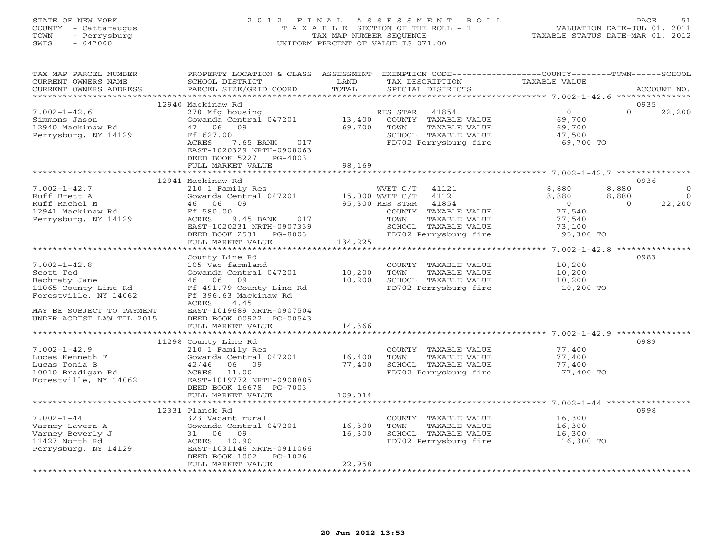#### STATE OF NEW YORK 2 0 1 2 F I N A L A S S E S S M E N T R O L L PAGE 51 COUNTY - Cattaraugus T A X A B L E SECTION OF THE ROLL - 1 VALUATION DATE-JUL 01, 2011 TOWN - Perrysburg TAX MAP NUMBER SEQUENCE TAXABLE STATUS DATE-MAR 01, 2012 SWIS - 047000 UNIFORM PERCENT OF VALUE IS 071.00UNIFORM PERCENT OF VALUE IS 071.00

| TAX MAP PARCEL NUMBER<br>CURRENT OWNERS NAME<br>CURRENT OWNERS ADDRESS                                                                                      | SCHOOL DISTRICT<br>PARCEL SIZE/GRID COORD                                                                                                                                                                  | LAND<br>TOTAL               | PROPERTY LOCATION & CLASS ASSESSMENT EXEMPTION CODE---------------COUNTY-------TOWN------SCHOOL<br>TAX DESCRIPTION<br>SPECIAL DISTRICTS                                     | <b>TAXABLE VALUE</b>                                                                                | ACCOUNT NO.                                 |
|-------------------------------------------------------------------------------------------------------------------------------------------------------------|------------------------------------------------------------------------------------------------------------------------------------------------------------------------------------------------------------|-----------------------------|-----------------------------------------------------------------------------------------------------------------------------------------------------------------------------|-----------------------------------------------------------------------------------------------------|---------------------------------------------|
| ***********************                                                                                                                                     |                                                                                                                                                                                                            |                             |                                                                                                                                                                             |                                                                                                     |                                             |
| $7.002 - 1 - 42.6$<br>Simmons Jason<br>12940 Mackinaw Rd<br>Perrysburg, NY 14129                                                                            | 12940 Mackinaw Rd<br>270 Mfg housing<br>Gowanda Central 047201<br>47 06<br>09<br>Ff 627.00<br>ACRES<br>7.65 BANK<br>017<br>EAST-1020329 NRTH-0908063<br>DEED BOOK 5227 PG-4003<br>FULL MARKET VALUE        | 13,400<br>69,700<br>98,169  | RES STAR<br>41854<br>COUNTY TAXABLE VALUE<br>TOWN<br>TAXABLE VALUE<br>SCHOOL TAXABLE VALUE<br>FD702 Perrysburg fire                                                         | $\Omega$<br>$\Omega$<br>69,700<br>69,700<br>47,500<br>69,700 TO                                     | 0935<br>22,200                              |
|                                                                                                                                                             |                                                                                                                                                                                                            |                             |                                                                                                                                                                             |                                                                                                     |                                             |
| $7.002 - 1 - 42.7$<br>Ruff Brett A<br>Ruff Rachel M<br>12941 Mackinaw Rd<br>Perrysburg, NY 14129                                                            | 12941 Mackinaw Rd<br>210 1 Family Res<br>Gowanda Central 047201<br>46 06<br>09<br>Ff 580.00<br>9.45 BANK<br>ACRES<br>017<br>EAST-1020231 NRTH-0907339<br>DEED BOOK 2531 PG-8003<br>FULL MARKET VALUE       | 134,225                     | WVET C/T<br>41121<br>15,000 WVET C/T<br>41121<br>41854<br>95,300 RES STAR<br>COUNTY TAXABLE VALUE<br>TOWN<br>TAXABLE VALUE<br>SCHOOL TAXABLE VALUE<br>FD702 Perrysburg fire | 8,880<br>8,880<br>8,880<br>8,880<br>$\Omega$<br>$\Omega$<br>77,540<br>77,540<br>73,100<br>95,300 TO | 0936<br>$\circ$<br>$\overline{0}$<br>22,200 |
|                                                                                                                                                             |                                                                                                                                                                                                            |                             |                                                                                                                                                                             |                                                                                                     |                                             |
| $7.002 - 1 - 42.8$<br>Scott Ted<br>Bachraty Jane<br>11065 County Line Rd<br>Forestville, NY 14062<br>MAY BE SUBJECT TO PAYMENT<br>UNDER AGDIST LAW TIL 2015 | County Line Rd<br>105 Vac farmland<br>Gowanda Central 047201<br>46 06<br>09<br>Ff 491.79 County Line Rd<br>Ff 396.63 Mackinaw Rd<br>4.45<br>ACRES<br>EAST-1019689 NRTH-0907504<br>DEED BOOK 00922 PG-00543 | 10,200<br>10,200            | COUNTY TAXABLE VALUE<br>TOWN<br>TAXABLE VALUE<br>SCHOOL TAXABLE VALUE<br>FD702 Perrysburg fire                                                                              | 10,200<br>10,200<br>10,200<br>10,200 TO                                                             | 0983                                        |
|                                                                                                                                                             | FULL MARKET VALUE                                                                                                                                                                                          | 14,366                      |                                                                                                                                                                             |                                                                                                     |                                             |
| $7.002 - 1 - 42.9$<br>Lucas Kenneth F<br>Lucas Tonia B<br>10010 Bradigan Rd<br>Forestville, NY 14062                                                        | 11298 County Line Rd<br>210 1 Family Res<br>Gowanda Central 047201<br>06<br>09<br>42/46<br>ACRES 11.00<br>EAST-1019772 NRTH-0908885<br>DEED BOOK 16678 PG-7003<br>FULL MARKET VALUE                        | 16,400<br>77,400<br>109,014 | COUNTY TAXABLE VALUE<br>TOWN<br>TAXABLE VALUE<br>SCHOOL TAXABLE VALUE<br>FD702 Perrysburg fire                                                                              | 77,400<br>77,400<br>77,400<br>77,400 TO                                                             | 0989                                        |
|                                                                                                                                                             |                                                                                                                                                                                                            |                             |                                                                                                                                                                             |                                                                                                     |                                             |
| $7.002 - 1 - 44$<br>Varney Lavern A<br>Varney Beverly J<br>11427 North Rd<br>Perrysburg, NY 14129                                                           | 12331 Planck Rd<br>323 Vacant rural<br>Gowanda Central 047201<br>31 06 09<br>ACRES 10.90<br>EAST-1031146 NRTH-0911066<br>DEED BOOK 1002<br>PG-1026<br>FULL MARKET VALUE                                    | 16,300<br>16,300<br>22,958  | COUNTY TAXABLE VALUE<br>TOWN<br>TAXABLE VALUE<br>SCHOOL TAXABLE VALUE<br>FD702 Perrysburg fire                                                                              | 16,300<br>16,300<br>16,300<br>16,300 TO                                                             | 0998                                        |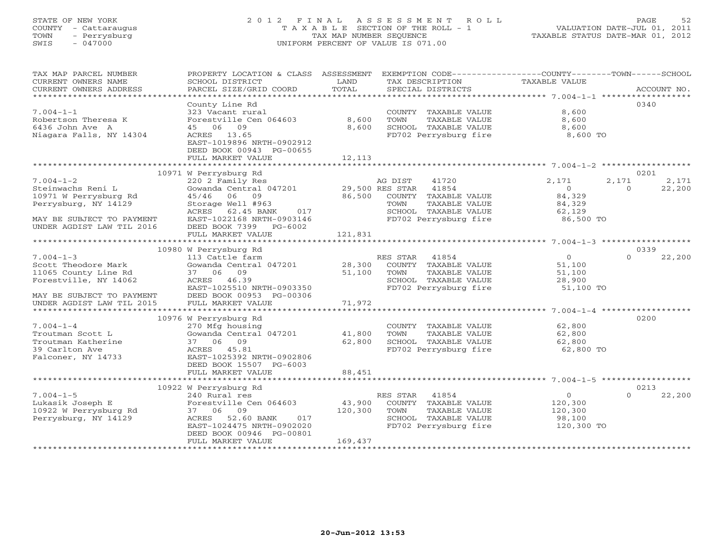# STATE OF NEW YORK 2 0 1 2 F I N A L A S S E S S M E N T R O L L PAGE 52 COUNTY - Cattaraugus T A X A B L E SECTION OF THE ROLL - 1 VALUATION DATE-JUL 01, 2011 TOWN - Perrysburg TAX MAP NUMBER SEQUENCE TAXABLE STATUS DATE-MAR 01, 2012 SWIS - 047000 UNIFORM PERCENT OF VALUE IS 071.00

| TAX MAP PARCEL NUMBER     | PROPERTY LOCATION & CLASS ASSESSMENT           |         | EXEMPTION CODE-----------------COUNTY-------TOWN------SCHOOL |                  |                    |
|---------------------------|------------------------------------------------|---------|--------------------------------------------------------------|------------------|--------------------|
| CURRENT OWNERS NAME       | SCHOOL DISTRICT                                | LAND    | TAX DESCRIPTION                                              | TAXABLE VALUE    |                    |
| CURRENT OWNERS ADDRESS    |                                                | TOTAL   |                                                              |                  |                    |
|                           |                                                |         |                                                              |                  |                    |
|                           | County Line Rd                                 |         |                                                              |                  | 0340               |
| $7.004 - 1 - 1$           | 323 Vacant rural                               |         | COUNTY TAXABLE VALUE                                         | 8,600            |                    |
| Robertson Theresa K       | Forestville Cen 064603                         | 8,600   | TAXABLE VALUE<br>TOWN                                        | 8,600            |                    |
| 6436 John Ave A           | 45 06 09                                       | 8,600   | SCHOOL TAXABLE VALUE                                         | 8,600            |                    |
| Niagara Falls, NY 14304   | ACRES 13.65                                    |         | FD702 Perrysburg fire                                        | 8,600 TO         |                    |
|                           | EAST-1019896 NRTH-0902912                      |         |                                                              |                  |                    |
|                           | DEED BOOK 00943 PG-00655                       |         |                                                              |                  |                    |
|                           | FULL MARKET VALUE                              | 12,113  |                                                              |                  |                    |
|                           |                                                |         |                                                              |                  |                    |
|                           | 10971 W Perrysburg Rd                          |         |                                                              |                  | 0201               |
| $7.004 - 1 - 2$           | 220 2 Family Res                               |         | AG DIST<br>41720                                             | 2,171            | 2,171<br>2,171     |
| Steinwachs Reni L         |                                                |         |                                                              | $\overline{0}$   | $\Omega$<br>22,200 |
| 10971 W Perrysburg Rd     | 45/46 06 09                                    | 86,500  | COUNTY TAXABLE VALUE                                         | 84,329           |                    |
| Perrysburg, NY 14129      | Storage Well #963                              |         | TOWN<br>TAXABLE VALUE                                        | 84,329           |                    |
|                           | ACRES 62.45 BANK<br>017                        |         | SCHOOL TAXABLE VALUE<br>FD702 Perrysburg fire                | 62,129           |                    |
| MAY BE SUBJECT TO PAYMENT | EAST-1022168 NRTH-0903146                      |         |                                                              | $86,500$ TO      |                    |
| UNDER AGDIST LAW TIL 2016 | DEED BOOK 7399 PG-6002                         |         |                                                              |                  |                    |
|                           | FULL MARKET VALUE                              | 121,831 |                                                              |                  |                    |
|                           |                                                |         |                                                              |                  |                    |
|                           | 10980 W Perrysburg Rd                          |         |                                                              |                  | 0339               |
| $7.004 - 1 - 3$           | 113 Cattle farm                                |         | RES STAR 41854                                               | 0                | $\Omega$<br>22,200 |
| Scott Theodore Mark       | Gowanda Central 047201 28,300                  |         | COUNTY TAXABLE VALUE                                         | 51,100           |                    |
| 11065 County Line Rd      | 37 06 09                                       | 51,100  | TOWN<br>TOWN TAXABLE VALUE<br>SCHOOL TAXABLE VALUE           | 51,100           |                    |
| Forestville, NY 14062     | ACRES 46.39                                    |         |                                                              | 51,100<br>28,900 |                    |
|                           | EAST-1025510 NRTH-0903350                      |         | FD702 Perrysburg fire 51,100 TO                              |                  |                    |
| MAY BE SUBJECT TO PAYMENT | DEED BOOK 00953 PG-00306                       |         |                                                              |                  |                    |
| UNDER AGDIST LAW TIL 2015 | FULL MARKET VALUE                              | 71,972  |                                                              |                  |                    |
|                           |                                                |         |                                                              |                  |                    |
|                           | 10976 W Perrysburg Rd                          |         |                                                              |                  | 0200               |
| $7.004 - 1 - 4$           | 270 Mfg housing                                |         | COUNTY TAXABLE VALUE 62,800                                  |                  |                    |
| Troutman Scott L          | Gowanda Central 047201 41,800                  |         | TOWN TAXABLE VALUE                                           | 62,800<br>62,800 |                    |
| Troutman Katherine        | 37 06 09                                       | 62,800  | SCHOOL TAXABLE VALUE                                         |                  |                    |
| 39 Carlton Ave            | ACRES 45.81                                    |         | FD702 Perrysburg fire 62,800 TO                              |                  |                    |
| Falconer, NY 14733        | EAST-1025392 NRTH-0902806                      |         |                                                              |                  |                    |
|                           | DEED BOOK 15507 PG-6003                        |         |                                                              |                  |                    |
|                           | FULL MARKET VALUE                              | 88,451  |                                                              |                  |                    |
|                           |                                                |         |                                                              |                  |                    |
|                           | 10922 W Perrysburg Rd                          |         |                                                              |                  | 0213               |
| $7.004 - 1 - 5$           | 240 Rural res<br>Forestville Cen 064603 43,900 |         | RES STAR<br>41854                                            | $\overline{0}$   | 22,200<br>$\Omega$ |
| Lukasik Joseph E          |                                                |         | COUNTY TAXABLE VALUE                                         | 120,300          |                    |
| 10922 W Perrysburg Rd     | 37 06 09                                       | 120,300 | TOWN<br>TAXABLE VALUE                                        | 120,300          |                    |
| Perrysburg, NY 14129      | ACRES 52.60 BANK 017                           |         | SCHOOL TAXABLE VALUE                                         | 98,100           |                    |
|                           | EAST-1024475 NRTH-0902020                      |         | FD702 Perrysburg fire 120,300 TO                             |                  |                    |
|                           | DEED BOOK 00946 PG-00801                       |         |                                                              |                  |                    |
|                           | FULL MARKET VALUE                              | 169,437 |                                                              |                  |                    |
|                           |                                                |         |                                                              |                  |                    |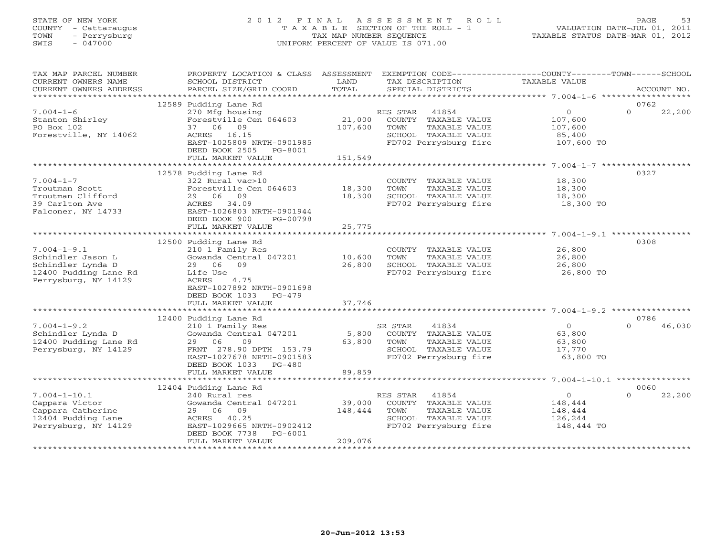# STATE OF NEW YORK 2 0 1 2 F I N A L A S S E S S M E N T R O L L PAGE 53 COUNTY - Cattaraugus T A X A B L E SECTION OF THE ROLL - 1 VALUATION DATE-JUL 01, 2011 TOWN - Perrysburg TAX MAP NUMBER SEQUENCE TAXABLE STATUS DATE-MAR 01, 2012 SWIS - 047000 UNIFORM PERCENT OF VALUE IS 071.00

| TAX MAP PARCEL NUMBER   | PROPERTY LOCATION & CLASS ASSESSMENT |             |          |                                               | EXEMPTION CODE----------------COUNTY-------TOWN------SCHOOL |          |             |
|-------------------------|--------------------------------------|-------------|----------|-----------------------------------------------|-------------------------------------------------------------|----------|-------------|
| CURRENT OWNERS NAME     | SCHOOL DISTRICT                      | LAND        |          | TAX DESCRIPTION                               | TAXABLE VALUE                                               |          |             |
| CURRENT OWNERS ADDRESS  | PARCEL SIZE/GRID COORD               | TOTAL       |          | SPECIAL DISTRICTS                             |                                                             |          | ACCOUNT NO. |
| *********************** |                                      |             |          |                                               |                                                             |          |             |
|                         | 12589 Pudding Lane Rd                |             |          |                                               |                                                             | 0762     |             |
| $7.004 - 1 - 6$         | 270 Mfg housing                      |             | RES STAR | 41854                                         | $\circ$                                                     | $\Omega$ | 22,200      |
| Stanton Shirley         | Forestville Cen 064603               | 21,000      |          | COUNTY TAXABLE VALUE                          | 107,600                                                     |          |             |
| PO Box 102              | 37 06 09                             | 107,600     | TOWN     | TAXABLE VALUE                                 | 107,600                                                     |          |             |
| Forestville, NY 14062   | ACRES 16.15                          |             |          | SCHOOL TAXABLE VALUE                          | 85,400                                                      |          |             |
|                         | EAST-1025809 NRTH-0901985            |             |          |                                               | FD702 Perrysburg fire 107,600 TO                            |          |             |
|                         | DEED BOOK 2505 PG-8001               |             |          |                                               |                                                             |          |             |
|                         | FULL MARKET VALUE                    | 151,549     |          |                                               |                                                             |          |             |
|                         |                                      |             |          |                                               |                                                             |          |             |
|                         | 12578 Pudding Lane Rd                |             |          |                                               |                                                             | 0327     |             |
| $7.004 - 1 - 7$         | 322 Rural vac>10                     |             |          | COUNTY TAXABLE VALUE                          | 18,300                                                      |          |             |
| Troutman Scott          | Forestville Cen 064603 18,300        |             | TOWN     | TAXABLE VALUE                                 | 18,300                                                      |          |             |
| Troutman Clifford       | 29 06 09                             | 18,300      |          | SCHOOL TAXABLE VALUE                          | 18,300                                                      |          |             |
| 39 Carlton Ave          | ACRES 34.09                          |             |          |                                               | FD702 Perrysburg fire 18,300 TO                             |          |             |
| Falconer, NY 14733      | EAST-1026803 NRTH-0901944            |             |          |                                               |                                                             |          |             |
|                         | DEED BOOK 900<br>PG-00798            |             |          |                                               |                                                             |          |             |
|                         | FULL MARKET VALUE                    | 25,775      |          |                                               |                                                             |          |             |
|                         |                                      |             |          |                                               |                                                             |          |             |
|                         | 12500 Pudding Lane Rd                |             |          |                                               |                                                             | 0308     |             |
| $7.004 - 1 - 9.1$       | 210 1 Family Res                     |             |          | COUNTY TAXABLE VALUE                          | 26,800                                                      |          |             |
| Schindler Jason L       | Gowanda Central 047201               | 10,600      | TOWN     | TAXABLE VALUE                                 | 26,800                                                      |          |             |
| Schindler Lynda D       | 29 06 09                             | 26,800      |          | SCHOOL TAXABLE VALUE                          | 26,800                                                      |          |             |
| 12400 Pudding Lane Rd   | Life Use                             |             |          | FD702 Perrysburg fire                         | 26,800 TO                                                   |          |             |
| Perrysburg, NY 14129    | 4.75<br>ACRES                        |             |          |                                               |                                                             |          |             |
|                         | EAST-1027892 NRTH-0901698            |             |          |                                               |                                                             |          |             |
|                         | DEED BOOK 1033 PG-479                |             |          |                                               |                                                             |          |             |
|                         | FULL MARKET VALUE                    | 37,746      |          |                                               |                                                             |          |             |
|                         |                                      |             |          |                                               |                                                             |          |             |
|                         | 12400 Pudding Lane Rd                |             |          |                                               |                                                             | 0786     |             |
| $7.004 - 1 - 9.2$       | 210 1 Family Res                     |             | SR STAR  | 41834                                         | $\overline{0}$                                              | $\cap$   | 46,030      |
| Schindler Lynda D       | Gowanda Central 047201               |             |          | 5,800 COUNTY TAXABLE VALUE                    | 63,800                                                      |          |             |
| 12400 Pudding Lane Rd   | 09<br>29 06                          | 63,800 TOWN |          | TAXABLE VALUE                                 | 63,800                                                      |          |             |
| Perrysburg, NY 14129    | FRNT 278.90 DPTH 153.79              |             |          | SCHOOL TAXABLE VALUE                          | 17,770                                                      |          |             |
|                         | EAST-1027678 NRTH-0901583            |             |          | SCHOOL TAXABLE VALUE<br>FD702 Perrysburg fire | 63,800 TO                                                   |          |             |
|                         | DEED BOOK 1033 PG-480                |             |          |                                               |                                                             |          |             |
|                         | FULL MARKET VALUE                    | 89,859      |          |                                               |                                                             |          |             |
|                         |                                      |             |          |                                               |                                                             |          |             |
|                         | 12404 Pudding Lane Rd                |             |          |                                               |                                                             | 0060     |             |
| $7.004 - 1 - 10.1$      | 240 Rural res                        |             | RES STAR | 41854                                         | $\overline{0}$                                              | $\Omega$ | 22,200      |
| Cappara Victor          | Gowanda Central 047201               | 39,000      |          | COUNTY TAXABLE VALUE                          | 148,444                                                     |          |             |
| Cappara Catherine       | 29 06 09                             | 148,444     | TOWN     | TAXABLE VALUE                                 | 148,444                                                     |          |             |
| 12404 Pudding Lane      | ACRES 40.25                          |             |          | SCHOOL TAXABLE VALUE                          | 126,244                                                     |          |             |
| Perrysburg, NY 14129    | EAST-1029665 NRTH-0902412            |             |          | FD702 Perrysburg fire                         | 148,444 TO                                                  |          |             |
|                         | DEED BOOK 7738<br>PG-6001            |             |          |                                               |                                                             |          |             |
|                         | FULL MARKET VALUE                    | 209,076     |          |                                               |                                                             |          |             |
|                         |                                      |             |          |                                               |                                                             |          |             |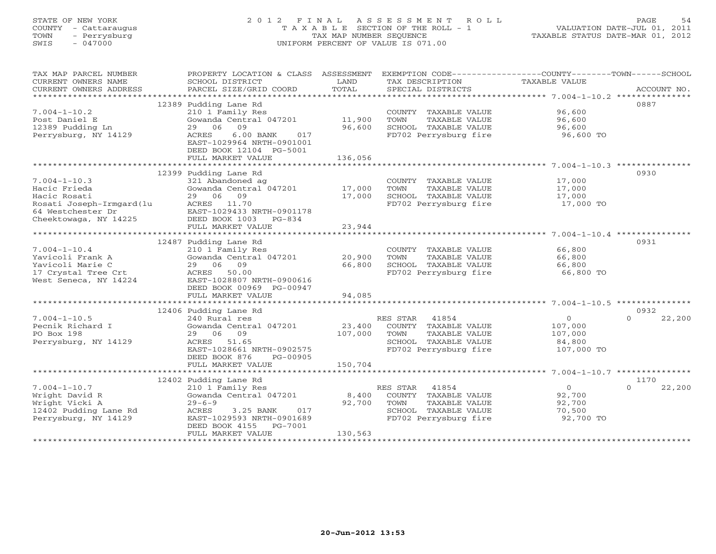#### STATE OF NEW YORK 2 0 1 2 F I N A L A S S E S S M E N T R O L L PAGE 54 COUNTY - Cattaraugus T A X A B L E SECTION OF THE ROLL - 1 VALUATION DATE-JUL 01, 2011 TOWN - Perrysburg TAX MAP NUMBER SEQUENCE TAXABLE STATUS DATE-MAR 01, 2012 SWIS - 047000 UNIFORM PERCENT OF VALUE IS 071.00UNIFORM PERCENT OF VALUE IS 071.00

| TAX MAP PARCEL NUMBER  | PROPERTY LOCATION & CLASS ASSESSMENT                |         | EXEMPTION CODE----------------COUNTY-------TOWN------SCHOOL |                |                    |
|------------------------|-----------------------------------------------------|---------|-------------------------------------------------------------|----------------|--------------------|
| CURRENT OWNERS NAME    | SCHOOL DISTRICT                                     | LAND    | TAX DESCRIPTION                                             | TAXABLE VALUE  |                    |
| CURRENT OWNERS ADDRESS |                                                     |         |                                                             |                |                    |
|                        |                                                     |         |                                                             |                |                    |
|                        | 12389 Pudding Lane Rd                               |         |                                                             |                | 0887               |
| $7.004 - 1 - 10.2$     | 210 1 Family Res                                    |         | COUNTY TAXABLE VALUE                                        | 96,600         |                    |
| Post Daniel E          | Gowanda Central 047201 11,900                       |         | TOWN<br>TAXABLE VALUE                                       | 96,600         |                    |
| 12389 Pudding Ln       | 29 06<br>09                                         | 96,600  | SCHOOL TAXABLE VALUE                                        | 96,600         |                    |
| Perrysburg, NY 14129   | $6.00$ BANK<br>ACRES<br>017                         |         | FD702 Perrysburg fire                                       | 96,600 TO      |                    |
|                        | EAST-1029964 NRTH-0901001                           |         |                                                             |                |                    |
|                        | DEED BOOK 12104 PG-5001                             |         |                                                             |                |                    |
|                        | FULL MARKET VALUE                                   | 136,056 |                                                             |                |                    |
|                        |                                                     |         |                                                             |                |                    |
|                        | 12399 Pudding Lane Rd                               |         |                                                             |                | 0930               |
| $7.004 - 1 - 10.3$     | 321 Abandoned ag<br>Gowanda Central 047201 $17,000$ |         | COUNTY TAXABLE VALUE                                        | 17,000         |                    |
| Hacic Frieda           |                                                     |         | TOWN<br>TAXABLE VALUE                                       | 17,000         |                    |
| Hacic Rosati           | 29 06 09                                            | 17,000  | SCHOOL TAXABLE VALUE                                        | 17,000         |                    |
|                        | ACRES 11.70                                         |         | FD702 Perrysburg fire                                       | 17,000 TO      |                    |
|                        | EAST-1029433 NRTH-0901178                           |         |                                                             |                |                    |
|                        | DEED BOOK 1003 PG-834<br>FULL MARKET VALUE          | 23,944  |                                                             |                |                    |
|                        |                                                     |         |                                                             |                |                    |
|                        | 12487 Pudding Lane Rd                               |         |                                                             |                | 0931               |
| $7.004 - 1 - 10.4$     | 210 1 Family Res                                    |         | COUNTY TAXABLE VALUE                                        | 66,800         |                    |
| Yavicoli Frank A       | Gowanda Central 047201                              | 20,900  | TAXABLE VALUE<br>TOWN                                       | 66,800         |                    |
| Yavicoli Marie C       | 29 06 09                                            | 66,800  | SCHOOL TAXABLE VALUE                                        | 66,800         |                    |
| 17 Crystal Tree Crt    | ACRES 50.00                                         |         | FD702 Perrysburg fire                                       | 66,800 TO      |                    |
| West Seneca, NY 14224  | EAST-1028807 NRTH-0900616                           |         |                                                             |                |                    |
|                        | DEED BOOK 00969 PG-00947                            |         |                                                             |                |                    |
|                        | FULL MARKET VALUE                                   | 94,085  |                                                             |                |                    |
|                        |                                                     |         |                                                             |                |                    |
|                        | 12406 Pudding Lane Rd                               |         |                                                             |                | 0932               |
| $7.004 - 1 - 10.5$     | 240 Rural res                                       |         | RES STAR 41854                                              | $\overline{0}$ | $\Omega$<br>22,200 |
| Pecnik Richard I       | Gowanda Central 047201                              | 23,400  | COUNTY TAXABLE VALUE                                        | 107,000        |                    |
| PO Box 198             | 29 06 09                                            | 107,000 | TOWN<br>TAXABLE VALUE                                       | 107,000        |                    |
| Perrysburg, NY 14129   | ACRES 51.65                                         |         | SCHOOL TAXABLE VALUE                                        | 84,800         |                    |
|                        | EAST-1028661 NRTH-0902575                           |         | FD702 Perrysburg fire                                       | 107,000 TO     |                    |
|                        | DEED BOOK 876<br>PG-00905                           |         |                                                             |                |                    |
|                        | FULL MARKET VALUE                                   | 150,704 |                                                             |                |                    |
|                        |                                                     |         |                                                             |                |                    |
|                        | 12402 Pudding Lane Rd                               |         |                                                             |                | 1170               |
| $7.004 - 1 - 10.7$     | 210 1 Family Res                                    |         | RES STAR<br>41854                                           | $\overline{0}$ | 22,200<br>$\cap$   |
| Wright David R         | Gowanda Central 047201                              | 8,400   | COUNTY TAXABLE VALUE                                        | 92,700         |                    |
| Wright Vicki A         | $29 - 6 - 9$                                        | 92,700  | TOWN<br>TAXABLE VALUE                                       | 92,700         |                    |
| 12402 Pudding Lane Rd  | 3.25 BANK<br>ACRES<br>017                           |         | SCHOOL TAXABLE VALUE                                        | 70,500         |                    |
| Perrysburg, NY 14129   | EAST-1029593 NRTH-0901689                           |         | FD702 Perrysburg fire                                       | 92,700 TO      |                    |
|                        | DEED BOOK 4155 PG-7001                              |         |                                                             |                |                    |
|                        | FULL MARKET VALUE                                   | 130,563 |                                                             |                |                    |
|                        |                                                     |         |                                                             |                |                    |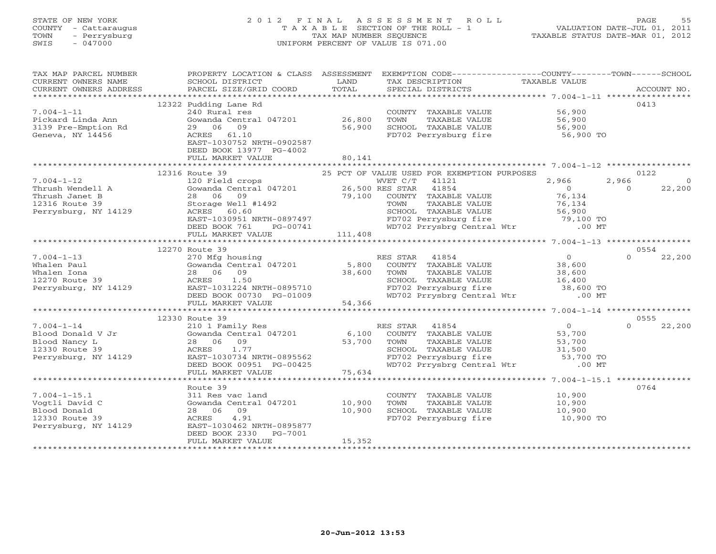# STATE OF NEW YORK 2 0 1 2 F I N A L A S S E S S M E N T R O L L PAGE 55 COUNTY - Cattaraugus T A X A B L E SECTION OF THE ROLL - 1 VALUATION DATE-JUL 01, 2011 TOWN - Perrysburg TAX MAP NUMBER SEQUENCE TAXABLE STATUS DATE-MAR 01, 2012 SWIS - 047000 UNIFORM PERCENT OF VALUE IS 071.00

| TAX MAP PARCEL NUMBER                                                                                                        | PROPERTY LOCATION & CLASS ASSESSMENT EXEMPTION CODE---------------COUNTY-------TOWN------SCHOOL                                                |        |                                                                                                                                                        |                                             |                    |
|------------------------------------------------------------------------------------------------------------------------------|------------------------------------------------------------------------------------------------------------------------------------------------|--------|--------------------------------------------------------------------------------------------------------------------------------------------------------|---------------------------------------------|--------------------|
| CURRENT OWNERS NAME                                                                                                          | SCHOOL DISTRICT                                                                                                                                | LAND   | TAX DESCRIPTION TAXABLE VALUE                                                                                                                          |                                             |                    |
|                                                                                                                              |                                                                                                                                                |        |                                                                                                                                                        |                                             |                    |
|                                                                                                                              |                                                                                                                                                |        |                                                                                                                                                        |                                             |                    |
|                                                                                                                              | 12322 Pudding Lane Rd                                                                                                                          |        |                                                                                                                                                        |                                             | 0413               |
| $7.004 - 1 - 11$                                                                                                             | 240 Rural res                                                                                                                                  |        | COUNTY TAXABLE VALUE 56,900                                                                                                                            |                                             |                    |
|                                                                                                                              |                                                                                                                                                |        | TOWN<br>TAXABLE VALUE                                                                                                                                  | 56,900                                      |                    |
| Pickard Linda Ann<br>3139 Pre-Emption Rd                                                                                     | 29 06 09                                                                                                                                       | 56,900 | SCHOOL TAXABLE VALUE 56,900                                                                                                                            |                                             |                    |
| Geneva, NY 14456                                                                                                             | ACRES 61.10                                                                                                                                    |        | FD702 Perrysburg fire                                                                                                                                  | 56,900 TO                                   |                    |
|                                                                                                                              | EAST-1030752 NRTH-0902587                                                                                                                      |        |                                                                                                                                                        |                                             |                    |
|                                                                                                                              | DEED BOOK 13977 PG-4002                                                                                                                        |        |                                                                                                                                                        |                                             |                    |
|                                                                                                                              | FULL MARKET VALUE                                                                                                                              | 80,141 |                                                                                                                                                        |                                             |                    |
|                                                                                                                              |                                                                                                                                                |        |                                                                                                                                                        |                                             |                    |
|                                                                                                                              | 12316 Route 39                                                                                                                                 |        | 25 PCT OF VALUE USED FOR EXEMPTION PURPOSES                                                                                                            |                                             | 0122               |
|                                                                                                                              |                                                                                                                                                |        |                                                                                                                                                        |                                             |                    |
|                                                                                                                              |                                                                                                                                                |        |                                                                                                                                                        |                                             |                    |
|                                                                                                                              |                                                                                                                                                |        |                                                                                                                                                        |                                             |                    |
|                                                                                                                              |                                                                                                                                                |        |                                                                                                                                                        |                                             |                    |
|                                                                                                                              |                                                                                                                                                |        |                                                                                                                                                        |                                             |                    |
|                                                                                                                              |                                                                                                                                                |        |                                                                                                                                                        |                                             |                    |
|                                                                                                                              |                                                                                                                                                |        |                                                                                                                                                        |                                             |                    |
|                                                                                                                              |                                                                                                                                                |        |                                                                                                                                                        |                                             |                    |
|                                                                                                                              | 12270 Route 39                                                                                                                                 |        |                                                                                                                                                        |                                             | 0554               |
| $7.004 - 1 - 13$                                                                                                             | 270 Mfg housing                                                                                                                                |        | RES STAR 41854                                                                                                                                         | $\overline{0}$                              | $\Omega$<br>22,200 |
| Whalen Paul                                                                                                                  |                                                                                                                                                |        | COUNTY TAXABLE VALUE 38,600                                                                                                                            |                                             |                    |
| Whalen Iona                                                                                                                  |                                                                                                                                                |        |                                                                                                                                                        |                                             |                    |
| $\begin{array}{ccccc} & & & 28 & & 0 \\ & & & & & \\ 14129 & & & & & \\ \text{EAST-1} & & & & \end{array}$<br>12270 Route 39 |                                                                                                                                                |        |                                                                                                                                                        |                                             |                    |
| Perrysburg, NY 14129                                                                                                         |                                                                                                                                                |        |                                                                                                                                                        |                                             |                    |
|                                                                                                                              |                                                                                                                                                |        | TOWN TAXABLE VALUE 38,600<br>SCHOOL TAXABLE VALUE 16,400<br>FD702 Perrysburg fire 38,600 TO<br>WD702 Prrysbrg Central Wtr .00 MT                       |                                             |                    |
|                                                                                                                              |                                                                                                                                                |        |                                                                                                                                                        |                                             |                    |
|                                                                                                                              |                                                                                                                                                |        |                                                                                                                                                        |                                             |                    |
|                                                                                                                              | 12330 Route 39                                                                                                                                 |        |                                                                                                                                                        |                                             | 0555               |
| $7.004 - 1 - 14$                                                                                                             | 210 1 Family Res<br>Cowanda Central 047201 6,100 COUNTY TAXABLE VALUE<br>28 06 09 53,700 TOWN TAXABLE VALUE<br>ACRES 1.77 SCHOOL TAXABLE VALUE |        |                                                                                                                                                        | $\begin{array}{c} 0 \\ 53\,700 \end{array}$ | 22,200<br>$\Omega$ |
|                                                                                                                              |                                                                                                                                                |        |                                                                                                                                                        |                                             |                    |
|                                                                                                                              |                                                                                                                                                |        |                                                                                                                                                        |                                             |                    |
|                                                                                                                              |                                                                                                                                                |        |                                                                                                                                                        |                                             |                    |
| Perrysburg, NY 14129                                                                                                         |                                                                                                                                                |        |                                                                                                                                                        |                                             |                    |
|                                                                                                                              | ACRES 1.77<br>EAST-1030734 NRTH-0895562<br>DEED BOOK 00951 PG-00425                                                                            |        | TOWN TAXABLE VALUE<br>TOWN TAXABLE VALUE 53,700<br>SCHOOL TAXABLE VALUE 31,500<br>FD702 Perrysburg fire 53,700 TO<br>WD702 Prrysbrg Central Wtr .00 MT |                                             |                    |
|                                                                                                                              | FULL MARKET VALUE                                                                                                                              | 75,634 |                                                                                                                                                        |                                             |                    |
|                                                                                                                              |                                                                                                                                                |        |                                                                                                                                                        |                                             |                    |
|                                                                                                                              | Route 39                                                                                                                                       |        |                                                                                                                                                        |                                             | 0764               |
| $7.004 - 1 - 15.1$                                                                                                           | 311 Res vac land                                                                                                                               |        | COUNTY TAXABLE VALUE 10,900                                                                                                                            |                                             |                    |
| Vogtli David C                                                                                                               | Gowanda Central 047201 10,900                                                                                                                  |        | TOWN                                                                                                                                                   | TAXABLE VALUE 10,900                        |                    |
| Blood Donald                                                                                                                 | 28 06 09                                                                                                                                       | 10,900 | SCHOOL TAXABLE VALUE                                                                                                                                   | 10,900                                      |                    |
| 12330 Route 39                                                                                                               | ACRES 4.91                                                                                                                                     |        | FD702 Perrysburg fire 10,900 TO                                                                                                                        |                                             |                    |
| Perrysburg, NY 14129                                                                                                         | EAST-1030462 NRTH-0895877                                                                                                                      |        |                                                                                                                                                        |                                             |                    |
|                                                                                                                              | DEED BOOK 2330<br>PG-7001                                                                                                                      |        |                                                                                                                                                        |                                             |                    |
|                                                                                                                              | FULL MARKET VALUE                                                                                                                              | 15,352 |                                                                                                                                                        |                                             |                    |
|                                                                                                                              |                                                                                                                                                |        |                                                                                                                                                        |                                             |                    |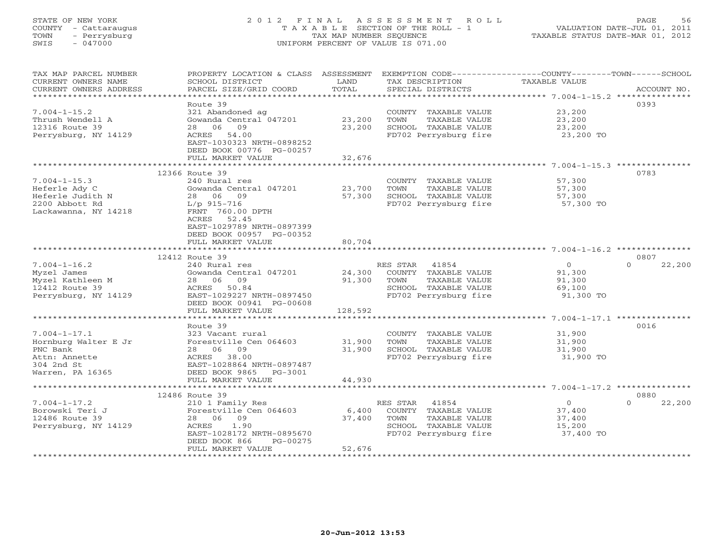# STATE OF NEW YORK 2 0 1 2 F I N A L A S S E S S M E N T R O L L PAGE 56 COUNTY - Cattaraugus T A X A B L E SECTION OF THE ROLL - 1 VALUATION DATE-JUL 01, 2011 TOWN - Perrysburg TAX MAP NUMBER SEQUENCE TAXABLE STATUS DATE-MAR 01, 2012 SWIS - 047000 UNIFORM PERCENT OF VALUE IS 071.00

| **********************<br>0393<br>Route 39<br>$7.004 - 1 - 15.2$<br>321 Abandoned ag<br>23,200<br>COUNTY TAXABLE VALUE<br>23,200<br>Thrush Wendell A<br>Gowanda Central 047201<br>TOWN<br>TAXABLE VALUE<br>23,200<br>28 06<br>09<br>23,200<br>SCHOOL TAXABLE VALUE<br>23,200<br>12316 Route 39<br>Perrysburg, NY 14129<br>ACRES 54.00<br>FD702 Perrysburg fire<br>23,200 TO<br>EAST-1030323 NRTH-0898252<br>DEED BOOK 00776 PG-00257<br>32,676<br>FULL MARKET VALUE<br>12366 Route 39<br>0783<br>$7.004 - 1 - 15.3$<br>240 Rural res<br>COUNTY TAXABLE VALUE<br>57,300<br>TAXABLE VALUE<br>Heferle Ady C<br>Gowanda Central 047201<br>23,700<br>TOWN<br>57,300<br>57,300<br>SCHOOL TAXABLE VALUE<br>Heferle Judith N<br>28 06<br>09<br>57,300<br>2200 Abbott Rd<br>FD702 Perrysburg fire<br>$L/p$ 915-716<br>57,300 TO<br>FRNT 760.00 DPTH<br>Lackawanna, NY 14218<br>52.45<br>ACRES<br>EAST-1029789 NRTH-0897399<br>DEED BOOK 00957 PG-00352<br>80,704<br>FULL MARKET VALUE<br>**************************<br>12412 Route 39<br>0807<br>$7.004 - 1 - 16.2$<br>$\circ$<br>240 Rural res<br>RES STAR 41854<br>$\Omega$<br>22,200<br>Myzel James<br>Gowanda Central 047201<br>24,300<br>COUNTY TAXABLE VALUE<br>91,300<br>91,300<br>Myzel Kathleen M<br>28 06 09<br>TOWN<br>TAXABLE VALUE<br>91,300<br>12412 Route 39<br>SCHOOL TAXABLE VALUE<br>ACRES<br>50.84<br>69,100<br>Perrysburg, NY 14129<br>EAST-1029227 NRTH-0897450<br>FD702 Perrysburg fire<br>91,300 TO<br>DEED BOOK 00941 PG-00608<br>128,592<br>FULL MARKET VALUE<br>Route 39<br>0016<br>$7.004 - 1 - 17.1$<br>323 Vacant rural<br>COUNTY TAXABLE VALUE<br>31,900<br>Forestville Cen 064603<br>Hornburg Walter E Jr<br>31,900<br>TOWN<br>TAXABLE VALUE<br>31,900<br>28 06 09<br>31,900<br>PNC Bank<br>SCHOOL TAXABLE VALUE<br>31,900<br>ACRES 38.00<br>FD702 Perrysburg fire<br>31,900 TO<br>Attn: Annette<br>304 2nd St<br>EAST-1028864 NRTH-0897487<br>Warren, PA 16365<br>DEED BOOK 9865 PG-3001<br>FULL MARKET VALUE<br>44,930<br>12486 Route 39<br>0880<br>$7.004 - 1 - 17.2$<br>RES STAR<br>$\overline{0}$<br>22,200<br>210 1 Family Res<br>41854<br>$\Omega$<br>Borowski Teri J<br>Forestville Cen 064603<br>6,400<br>COUNTY TAXABLE VALUE<br>37,400<br>28 06 09<br>12486 Route 39<br>37,400<br>TOWN<br>TAXABLE VALUE<br>37,400<br>SCHOOL TAXABLE VALUE<br>Perrysburg, NY 14129<br>ACRES<br>1.90<br>15,200<br>FD702 Perrysburg fire<br>EAST-1028172 NRTH-0895670<br>37,400 TO<br>DEED BOOK 866<br>PG-00275<br>FULL MARKET VALUE<br>52,676 | TAX MAP PARCEL NUMBER<br>CURRENT OWNERS NAME | PROPERTY LOCATION & CLASS ASSESSMENT<br>SCHOOL DISTRICT | LAND  | TAX DESCRIPTION   | EXEMPTION CODE-----------------COUNTY-------TOWN------SCHOOL<br>TAXABLE VALUE |             |
|--------------------------------------------------------------------------------------------------------------------------------------------------------------------------------------------------------------------------------------------------------------------------------------------------------------------------------------------------------------------------------------------------------------------------------------------------------------------------------------------------------------------------------------------------------------------------------------------------------------------------------------------------------------------------------------------------------------------------------------------------------------------------------------------------------------------------------------------------------------------------------------------------------------------------------------------------------------------------------------------------------------------------------------------------------------------------------------------------------------------------------------------------------------------------------------------------------------------------------------------------------------------------------------------------------------------------------------------------------------------------------------------------------------------------------------------------------------------------------------------------------------------------------------------------------------------------------------------------------------------------------------------------------------------------------------------------------------------------------------------------------------------------------------------------------------------------------------------------------------------------------------------------------------------------------------------------------------------------------------------------------------------------------------------------------------------------------------------------------------------------------------------------------------------------------------------------------------------------------------------------------------------------------------------------------------------------------------------------------------------------------------------------------------------------------------------------------------------------------------------------------------|----------------------------------------------|---------------------------------------------------------|-------|-------------------|-------------------------------------------------------------------------------|-------------|
|                                                                                                                                                                                                                                                                                                                                                                                                                                                                                                                                                                                                                                                                                                                                                                                                                                                                                                                                                                                                                                                                                                                                                                                                                                                                                                                                                                                                                                                                                                                                                                                                                                                                                                                                                                                                                                                                                                                                                                                                                                                                                                                                                                                                                                                                                                                                                                                                                                                                                                              | CURRENT OWNERS ADDRESS                       | PARCEL SIZE/GRID COORD                                  | TOTAL | SPECIAL DISTRICTS |                                                                               | ACCOUNT NO. |
|                                                                                                                                                                                                                                                                                                                                                                                                                                                                                                                                                                                                                                                                                                                                                                                                                                                                                                                                                                                                                                                                                                                                                                                                                                                                                                                                                                                                                                                                                                                                                                                                                                                                                                                                                                                                                                                                                                                                                                                                                                                                                                                                                                                                                                                                                                                                                                                                                                                                                                              |                                              |                                                         |       |                   |                                                                               |             |
|                                                                                                                                                                                                                                                                                                                                                                                                                                                                                                                                                                                                                                                                                                                                                                                                                                                                                                                                                                                                                                                                                                                                                                                                                                                                                                                                                                                                                                                                                                                                                                                                                                                                                                                                                                                                                                                                                                                                                                                                                                                                                                                                                                                                                                                                                                                                                                                                                                                                                                              |                                              |                                                         |       |                   |                                                                               |             |
|                                                                                                                                                                                                                                                                                                                                                                                                                                                                                                                                                                                                                                                                                                                                                                                                                                                                                                                                                                                                                                                                                                                                                                                                                                                                                                                                                                                                                                                                                                                                                                                                                                                                                                                                                                                                                                                                                                                                                                                                                                                                                                                                                                                                                                                                                                                                                                                                                                                                                                              |                                              |                                                         |       |                   |                                                                               |             |
|                                                                                                                                                                                                                                                                                                                                                                                                                                                                                                                                                                                                                                                                                                                                                                                                                                                                                                                                                                                                                                                                                                                                                                                                                                                                                                                                                                                                                                                                                                                                                                                                                                                                                                                                                                                                                                                                                                                                                                                                                                                                                                                                                                                                                                                                                                                                                                                                                                                                                                              |                                              |                                                         |       |                   |                                                                               |             |
|                                                                                                                                                                                                                                                                                                                                                                                                                                                                                                                                                                                                                                                                                                                                                                                                                                                                                                                                                                                                                                                                                                                                                                                                                                                                                                                                                                                                                                                                                                                                                                                                                                                                                                                                                                                                                                                                                                                                                                                                                                                                                                                                                                                                                                                                                                                                                                                                                                                                                                              |                                              |                                                         |       |                   |                                                                               |             |
|                                                                                                                                                                                                                                                                                                                                                                                                                                                                                                                                                                                                                                                                                                                                                                                                                                                                                                                                                                                                                                                                                                                                                                                                                                                                                                                                                                                                                                                                                                                                                                                                                                                                                                                                                                                                                                                                                                                                                                                                                                                                                                                                                                                                                                                                                                                                                                                                                                                                                                              |                                              |                                                         |       |                   |                                                                               |             |
|                                                                                                                                                                                                                                                                                                                                                                                                                                                                                                                                                                                                                                                                                                                                                                                                                                                                                                                                                                                                                                                                                                                                                                                                                                                                                                                                                                                                                                                                                                                                                                                                                                                                                                                                                                                                                                                                                                                                                                                                                                                                                                                                                                                                                                                                                                                                                                                                                                                                                                              |                                              |                                                         |       |                   |                                                                               |             |
|                                                                                                                                                                                                                                                                                                                                                                                                                                                                                                                                                                                                                                                                                                                                                                                                                                                                                                                                                                                                                                                                                                                                                                                                                                                                                                                                                                                                                                                                                                                                                                                                                                                                                                                                                                                                                                                                                                                                                                                                                                                                                                                                                                                                                                                                                                                                                                                                                                                                                                              |                                              |                                                         |       |                   |                                                                               |             |
|                                                                                                                                                                                                                                                                                                                                                                                                                                                                                                                                                                                                                                                                                                                                                                                                                                                                                                                                                                                                                                                                                                                                                                                                                                                                                                                                                                                                                                                                                                                                                                                                                                                                                                                                                                                                                                                                                                                                                                                                                                                                                                                                                                                                                                                                                                                                                                                                                                                                                                              |                                              |                                                         |       |                   |                                                                               |             |
|                                                                                                                                                                                                                                                                                                                                                                                                                                                                                                                                                                                                                                                                                                                                                                                                                                                                                                                                                                                                                                                                                                                                                                                                                                                                                                                                                                                                                                                                                                                                                                                                                                                                                                                                                                                                                                                                                                                                                                                                                                                                                                                                                                                                                                                                                                                                                                                                                                                                                                              |                                              |                                                         |       |                   |                                                                               |             |
|                                                                                                                                                                                                                                                                                                                                                                                                                                                                                                                                                                                                                                                                                                                                                                                                                                                                                                                                                                                                                                                                                                                                                                                                                                                                                                                                                                                                                                                                                                                                                                                                                                                                                                                                                                                                                                                                                                                                                                                                                                                                                                                                                                                                                                                                                                                                                                                                                                                                                                              |                                              |                                                         |       |                   |                                                                               |             |
|                                                                                                                                                                                                                                                                                                                                                                                                                                                                                                                                                                                                                                                                                                                                                                                                                                                                                                                                                                                                                                                                                                                                                                                                                                                                                                                                                                                                                                                                                                                                                                                                                                                                                                                                                                                                                                                                                                                                                                                                                                                                                                                                                                                                                                                                                                                                                                                                                                                                                                              |                                              |                                                         |       |                   |                                                                               |             |
|                                                                                                                                                                                                                                                                                                                                                                                                                                                                                                                                                                                                                                                                                                                                                                                                                                                                                                                                                                                                                                                                                                                                                                                                                                                                                                                                                                                                                                                                                                                                                                                                                                                                                                                                                                                                                                                                                                                                                                                                                                                                                                                                                                                                                                                                                                                                                                                                                                                                                                              |                                              |                                                         |       |                   |                                                                               |             |
|                                                                                                                                                                                                                                                                                                                                                                                                                                                                                                                                                                                                                                                                                                                                                                                                                                                                                                                                                                                                                                                                                                                                                                                                                                                                                                                                                                                                                                                                                                                                                                                                                                                                                                                                                                                                                                                                                                                                                                                                                                                                                                                                                                                                                                                                                                                                                                                                                                                                                                              |                                              |                                                         |       |                   |                                                                               |             |
|                                                                                                                                                                                                                                                                                                                                                                                                                                                                                                                                                                                                                                                                                                                                                                                                                                                                                                                                                                                                                                                                                                                                                                                                                                                                                                                                                                                                                                                                                                                                                                                                                                                                                                                                                                                                                                                                                                                                                                                                                                                                                                                                                                                                                                                                                                                                                                                                                                                                                                              |                                              |                                                         |       |                   |                                                                               |             |
|                                                                                                                                                                                                                                                                                                                                                                                                                                                                                                                                                                                                                                                                                                                                                                                                                                                                                                                                                                                                                                                                                                                                                                                                                                                                                                                                                                                                                                                                                                                                                                                                                                                                                                                                                                                                                                                                                                                                                                                                                                                                                                                                                                                                                                                                                                                                                                                                                                                                                                              |                                              |                                                         |       |                   |                                                                               |             |
|                                                                                                                                                                                                                                                                                                                                                                                                                                                                                                                                                                                                                                                                                                                                                                                                                                                                                                                                                                                                                                                                                                                                                                                                                                                                                                                                                                                                                                                                                                                                                                                                                                                                                                                                                                                                                                                                                                                                                                                                                                                                                                                                                                                                                                                                                                                                                                                                                                                                                                              |                                              |                                                         |       |                   |                                                                               |             |
|                                                                                                                                                                                                                                                                                                                                                                                                                                                                                                                                                                                                                                                                                                                                                                                                                                                                                                                                                                                                                                                                                                                                                                                                                                                                                                                                                                                                                                                                                                                                                                                                                                                                                                                                                                                                                                                                                                                                                                                                                                                                                                                                                                                                                                                                                                                                                                                                                                                                                                              |                                              |                                                         |       |                   |                                                                               |             |
|                                                                                                                                                                                                                                                                                                                                                                                                                                                                                                                                                                                                                                                                                                                                                                                                                                                                                                                                                                                                                                                                                                                                                                                                                                                                                                                                                                                                                                                                                                                                                                                                                                                                                                                                                                                                                                                                                                                                                                                                                                                                                                                                                                                                                                                                                                                                                                                                                                                                                                              |                                              |                                                         |       |                   |                                                                               |             |
|                                                                                                                                                                                                                                                                                                                                                                                                                                                                                                                                                                                                                                                                                                                                                                                                                                                                                                                                                                                                                                                                                                                                                                                                                                                                                                                                                                                                                                                                                                                                                                                                                                                                                                                                                                                                                                                                                                                                                                                                                                                                                                                                                                                                                                                                                                                                                                                                                                                                                                              |                                              |                                                         |       |                   |                                                                               |             |
|                                                                                                                                                                                                                                                                                                                                                                                                                                                                                                                                                                                                                                                                                                                                                                                                                                                                                                                                                                                                                                                                                                                                                                                                                                                                                                                                                                                                                                                                                                                                                                                                                                                                                                                                                                                                                                                                                                                                                                                                                                                                                                                                                                                                                                                                                                                                                                                                                                                                                                              |                                              |                                                         |       |                   |                                                                               |             |
|                                                                                                                                                                                                                                                                                                                                                                                                                                                                                                                                                                                                                                                                                                                                                                                                                                                                                                                                                                                                                                                                                                                                                                                                                                                                                                                                                                                                                                                                                                                                                                                                                                                                                                                                                                                                                                                                                                                                                                                                                                                                                                                                                                                                                                                                                                                                                                                                                                                                                                              |                                              |                                                         |       |                   |                                                                               |             |
|                                                                                                                                                                                                                                                                                                                                                                                                                                                                                                                                                                                                                                                                                                                                                                                                                                                                                                                                                                                                                                                                                                                                                                                                                                                                                                                                                                                                                                                                                                                                                                                                                                                                                                                                                                                                                                                                                                                                                                                                                                                                                                                                                                                                                                                                                                                                                                                                                                                                                                              |                                              |                                                         |       |                   |                                                                               |             |
|                                                                                                                                                                                                                                                                                                                                                                                                                                                                                                                                                                                                                                                                                                                                                                                                                                                                                                                                                                                                                                                                                                                                                                                                                                                                                                                                                                                                                                                                                                                                                                                                                                                                                                                                                                                                                                                                                                                                                                                                                                                                                                                                                                                                                                                                                                                                                                                                                                                                                                              |                                              |                                                         |       |                   |                                                                               |             |
|                                                                                                                                                                                                                                                                                                                                                                                                                                                                                                                                                                                                                                                                                                                                                                                                                                                                                                                                                                                                                                                                                                                                                                                                                                                                                                                                                                                                                                                                                                                                                                                                                                                                                                                                                                                                                                                                                                                                                                                                                                                                                                                                                                                                                                                                                                                                                                                                                                                                                                              |                                              |                                                         |       |                   |                                                                               |             |
|                                                                                                                                                                                                                                                                                                                                                                                                                                                                                                                                                                                                                                                                                                                                                                                                                                                                                                                                                                                                                                                                                                                                                                                                                                                                                                                                                                                                                                                                                                                                                                                                                                                                                                                                                                                                                                                                                                                                                                                                                                                                                                                                                                                                                                                                                                                                                                                                                                                                                                              |                                              |                                                         |       |                   |                                                                               |             |
|                                                                                                                                                                                                                                                                                                                                                                                                                                                                                                                                                                                                                                                                                                                                                                                                                                                                                                                                                                                                                                                                                                                                                                                                                                                                                                                                                                                                                                                                                                                                                                                                                                                                                                                                                                                                                                                                                                                                                                                                                                                                                                                                                                                                                                                                                                                                                                                                                                                                                                              |                                              |                                                         |       |                   |                                                                               |             |
|                                                                                                                                                                                                                                                                                                                                                                                                                                                                                                                                                                                                                                                                                                                                                                                                                                                                                                                                                                                                                                                                                                                                                                                                                                                                                                                                                                                                                                                                                                                                                                                                                                                                                                                                                                                                                                                                                                                                                                                                                                                                                                                                                                                                                                                                                                                                                                                                                                                                                                              |                                              |                                                         |       |                   |                                                                               |             |
|                                                                                                                                                                                                                                                                                                                                                                                                                                                                                                                                                                                                                                                                                                                                                                                                                                                                                                                                                                                                                                                                                                                                                                                                                                                                                                                                                                                                                                                                                                                                                                                                                                                                                                                                                                                                                                                                                                                                                                                                                                                                                                                                                                                                                                                                                                                                                                                                                                                                                                              |                                              |                                                         |       |                   |                                                                               |             |
|                                                                                                                                                                                                                                                                                                                                                                                                                                                                                                                                                                                                                                                                                                                                                                                                                                                                                                                                                                                                                                                                                                                                                                                                                                                                                                                                                                                                                                                                                                                                                                                                                                                                                                                                                                                                                                                                                                                                                                                                                                                                                                                                                                                                                                                                                                                                                                                                                                                                                                              |                                              |                                                         |       |                   |                                                                               |             |
|                                                                                                                                                                                                                                                                                                                                                                                                                                                                                                                                                                                                                                                                                                                                                                                                                                                                                                                                                                                                                                                                                                                                                                                                                                                                                                                                                                                                                                                                                                                                                                                                                                                                                                                                                                                                                                                                                                                                                                                                                                                                                                                                                                                                                                                                                                                                                                                                                                                                                                              |                                              |                                                         |       |                   |                                                                               |             |
|                                                                                                                                                                                                                                                                                                                                                                                                                                                                                                                                                                                                                                                                                                                                                                                                                                                                                                                                                                                                                                                                                                                                                                                                                                                                                                                                                                                                                                                                                                                                                                                                                                                                                                                                                                                                                                                                                                                                                                                                                                                                                                                                                                                                                                                                                                                                                                                                                                                                                                              |                                              |                                                         |       |                   |                                                                               |             |
|                                                                                                                                                                                                                                                                                                                                                                                                                                                                                                                                                                                                                                                                                                                                                                                                                                                                                                                                                                                                                                                                                                                                                                                                                                                                                                                                                                                                                                                                                                                                                                                                                                                                                                                                                                                                                                                                                                                                                                                                                                                                                                                                                                                                                                                                                                                                                                                                                                                                                                              |                                              |                                                         |       |                   |                                                                               |             |
|                                                                                                                                                                                                                                                                                                                                                                                                                                                                                                                                                                                                                                                                                                                                                                                                                                                                                                                                                                                                                                                                                                                                                                                                                                                                                                                                                                                                                                                                                                                                                                                                                                                                                                                                                                                                                                                                                                                                                                                                                                                                                                                                                                                                                                                                                                                                                                                                                                                                                                              |                                              |                                                         |       |                   |                                                                               |             |
|                                                                                                                                                                                                                                                                                                                                                                                                                                                                                                                                                                                                                                                                                                                                                                                                                                                                                                                                                                                                                                                                                                                                                                                                                                                                                                                                                                                                                                                                                                                                                                                                                                                                                                                                                                                                                                                                                                                                                                                                                                                                                                                                                                                                                                                                                                                                                                                                                                                                                                              |                                              |                                                         |       |                   |                                                                               |             |
|                                                                                                                                                                                                                                                                                                                                                                                                                                                                                                                                                                                                                                                                                                                                                                                                                                                                                                                                                                                                                                                                                                                                                                                                                                                                                                                                                                                                                                                                                                                                                                                                                                                                                                                                                                                                                                                                                                                                                                                                                                                                                                                                                                                                                                                                                                                                                                                                                                                                                                              |                                              |                                                         |       |                   |                                                                               |             |
|                                                                                                                                                                                                                                                                                                                                                                                                                                                                                                                                                                                                                                                                                                                                                                                                                                                                                                                                                                                                                                                                                                                                                                                                                                                                                                                                                                                                                                                                                                                                                                                                                                                                                                                                                                                                                                                                                                                                                                                                                                                                                                                                                                                                                                                                                                                                                                                                                                                                                                              |                                              |                                                         |       |                   |                                                                               |             |
|                                                                                                                                                                                                                                                                                                                                                                                                                                                                                                                                                                                                                                                                                                                                                                                                                                                                                                                                                                                                                                                                                                                                                                                                                                                                                                                                                                                                                                                                                                                                                                                                                                                                                                                                                                                                                                                                                                                                                                                                                                                                                                                                                                                                                                                                                                                                                                                                                                                                                                              |                                              |                                                         |       |                   |                                                                               |             |
|                                                                                                                                                                                                                                                                                                                                                                                                                                                                                                                                                                                                                                                                                                                                                                                                                                                                                                                                                                                                                                                                                                                                                                                                                                                                                                                                                                                                                                                                                                                                                                                                                                                                                                                                                                                                                                                                                                                                                                                                                                                                                                                                                                                                                                                                                                                                                                                                                                                                                                              |                                              |                                                         |       |                   |                                                                               |             |
|                                                                                                                                                                                                                                                                                                                                                                                                                                                                                                                                                                                                                                                                                                                                                                                                                                                                                                                                                                                                                                                                                                                                                                                                                                                                                                                                                                                                                                                                                                                                                                                                                                                                                                                                                                                                                                                                                                                                                                                                                                                                                                                                                                                                                                                                                                                                                                                                                                                                                                              |                                              |                                                         |       |                   |                                                                               |             |
|                                                                                                                                                                                                                                                                                                                                                                                                                                                                                                                                                                                                                                                                                                                                                                                                                                                                                                                                                                                                                                                                                                                                                                                                                                                                                                                                                                                                                                                                                                                                                                                                                                                                                                                                                                                                                                                                                                                                                                                                                                                                                                                                                                                                                                                                                                                                                                                                                                                                                                              |                                              |                                                         |       |                   |                                                                               |             |
|                                                                                                                                                                                                                                                                                                                                                                                                                                                                                                                                                                                                                                                                                                                                                                                                                                                                                                                                                                                                                                                                                                                                                                                                                                                                                                                                                                                                                                                                                                                                                                                                                                                                                                                                                                                                                                                                                                                                                                                                                                                                                                                                                                                                                                                                                                                                                                                                                                                                                                              |                                              |                                                         |       |                   |                                                                               |             |
|                                                                                                                                                                                                                                                                                                                                                                                                                                                                                                                                                                                                                                                                                                                                                                                                                                                                                                                                                                                                                                                                                                                                                                                                                                                                                                                                                                                                                                                                                                                                                                                                                                                                                                                                                                                                                                                                                                                                                                                                                                                                                                                                                                                                                                                                                                                                                                                                                                                                                                              |                                              | ***********************                                 |       |                   |                                                                               |             |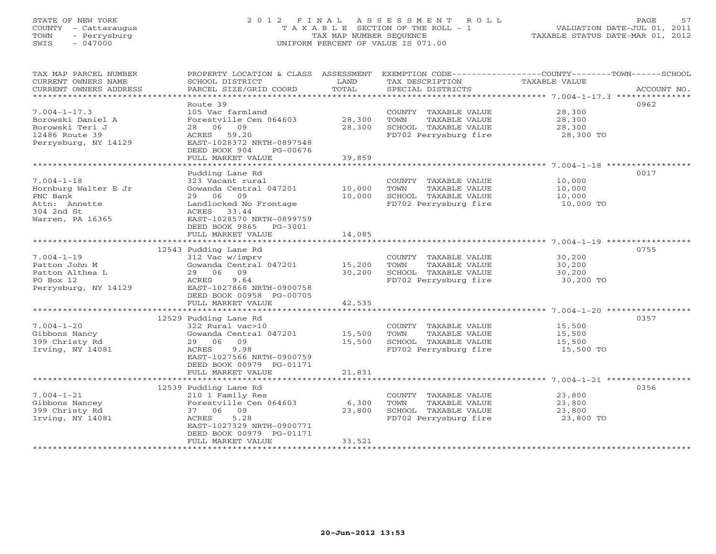# STATE OF NEW YORK 2 0 1 2 F I N A L A S S E S S M E N T R O L L PAGE 57 COUNTY - Cattaraugus T A X A B L E SECTION OF THE ROLL - 1 VALUATION DATE-JUL 01, 2011 TOWN - Perrysburg TAX MAP NUMBER SEQUENCE TAXABLE STATUS DATE-MAR 01, 2012 SWIS - 047000 UNIFORM PERCENT OF VALUE IS 071.00

| TAX MAP PARCEL NUMBER<br>CURRENT OWNERS NAME | PROPERTY LOCATION & CLASS ASSESSMENT<br>SCHOOL DISTRICT | LAND   | TAX DESCRIPTION       | EXEMPTION CODE-----------------COUNTY-------TOWN------SCHOOL<br>TAXABLE VALUE |             |
|----------------------------------------------|---------------------------------------------------------|--------|-----------------------|-------------------------------------------------------------------------------|-------------|
| CURRENT OWNERS ADDRESS                       | PARCEL SIZE/GRID COORD                                  | TOTAL  | SPECIAL DISTRICTS     |                                                                               | ACCOUNT NO. |
| ***********************                      |                                                         |        |                       |                                                                               |             |
|                                              | Route 39                                                |        |                       |                                                                               | 0962        |
| $7.004 - 1 - 17.3$                           | 105 Vac farmland                                        |        | COUNTY TAXABLE VALUE  | 28,300                                                                        |             |
| Borowski Daniel A                            | Forestville Cen 064603                                  | 28,300 | TOWN<br>TAXABLE VALUE | 28,300                                                                        |             |
| Borowski Teri J                              | 28 06 09                                                | 28,300 | SCHOOL TAXABLE VALUE  | 28,300                                                                        |             |
| 12486 Route 39                               | ACRES 59.20                                             |        | FD702 Perrysburg fire | 28,300 TO                                                                     |             |
| Perrysburg, NY 14129                         | EAST-1028372 NRTH-0897548                               |        |                       |                                                                               |             |
|                                              | DEED BOOK 904<br>PG-00676                               |        |                       |                                                                               |             |
|                                              | FULL MARKET VALUE                                       | 39,859 |                       |                                                                               |             |
|                                              |                                                         |        |                       |                                                                               |             |
|                                              | Pudding Lane Rd                                         |        |                       |                                                                               | 0017        |
| $7.004 - 1 - 18$                             | 323 Vacant rural                                        |        | COUNTY TAXABLE VALUE  | 10,000                                                                        |             |
| Hornburg Walter E Jr                         | Gowanda Central 047201                                  | 10,000 | TOWN<br>TAXABLE VALUE | 10,000                                                                        |             |
| PNC Bank                                     | 29 06 09                                                | 10,000 | SCHOOL TAXABLE VALUE  | 10,000                                                                        |             |
| Attn: Annette                                | Landlocked No Frontage                                  |        | FD702 Perrysburg fire | 10,000 TO                                                                     |             |
| 304 2nd St                                   | ACRES 33.44                                             |        |                       |                                                                               |             |
| Warren, PA 16365                             | EAST-1028570 NRTH-0899759                               |        |                       |                                                                               |             |
|                                              | DEED BOOK 9865 PG-3001                                  |        |                       |                                                                               |             |
|                                              | FULL MARKET VALUE                                       | 14,085 |                       |                                                                               |             |
|                                              |                                                         |        |                       |                                                                               | 0755        |
| $7.004 - 1 - 19$                             | 12543 Pudding Lane Rd<br>312 Vac w/imprv                |        | COUNTY TAXABLE VALUE  | 30,200                                                                        |             |
| Patton John M                                | Gowanda Central 047201                                  | 15,200 | TAXABLE VALUE<br>TOWN | 30,200                                                                        |             |
| Patton Althea L                              | 29 06 09                                                | 30,200 | SCHOOL TAXABLE VALUE  |                                                                               |             |
| PO Box 12                                    | 9.64<br>ACRES                                           |        | FD702 Perrysburg fire | 30,200<br>30,200 TO                                                           |             |
| Perrysburg, NY 14129                         | EAST-1027868 NRTH-0900758                               |        |                       |                                                                               |             |
|                                              | DEED BOOK 00958 PG-00705                                |        |                       |                                                                               |             |
|                                              | FULL MARKET VALUE                                       | 42,535 |                       |                                                                               |             |
|                                              |                                                         |        |                       |                                                                               |             |
|                                              | 12529 Pudding Lane Rd                                   |        |                       |                                                                               | 0357        |
| $7.004 - 1 - 20$                             | 322 Rural vac>10                                        |        | COUNTY TAXABLE VALUE  | 15,500                                                                        |             |
| Gibbons Nancy                                | Gowanda Central 047201                                  | 15,500 | TOWN<br>TAXABLE VALUE | 15,500                                                                        |             |
| 399 Christy Rd                               | 29 06<br>09                                             | 15,500 | SCHOOL TAXABLE VALUE  | 15,500                                                                        |             |
| Irving, NY 14081                             | ACRES<br>9.98                                           |        | FD702 Perrysburg fire | 15,500 TO                                                                     |             |
|                                              | EAST-1027566 NRTH-0900759                               |        |                       |                                                                               |             |
|                                              | DEED BOOK 00979 PG-01171                                |        |                       |                                                                               |             |
|                                              | FULL MARKET VALUE                                       | 21,831 |                       |                                                                               |             |
|                                              |                                                         |        |                       |                                                                               |             |
|                                              | 12539 Pudding Lane Rd                                   |        |                       |                                                                               | 0356        |
| $7.004 - 1 - 21$                             | 210 1 Family Res                                        |        | COUNTY TAXABLE VALUE  | 23,800                                                                        |             |
| Gibbons Nancey                               | Forestville Cen 064603                                  | 6,300  | TOWN<br>TAXABLE VALUE | 23,800                                                                        |             |
| 399 Christy Rd                               | 37 06 09                                                | 23,800 | SCHOOL TAXABLE VALUE  | 23,800                                                                        |             |
| Irving, NY 14081                             | ACRES<br>5.28                                           |        | FD702 Perrysburg fire | 23,800 TO                                                                     |             |
|                                              | EAST-1027329 NRTH-0900771                               |        |                       |                                                                               |             |
|                                              | DEED BOOK 00979 PG-01171                                |        |                       |                                                                               |             |
|                                              | FULL MARKET VALUE                                       | 33,521 |                       |                                                                               |             |
|                                              |                                                         |        |                       |                                                                               |             |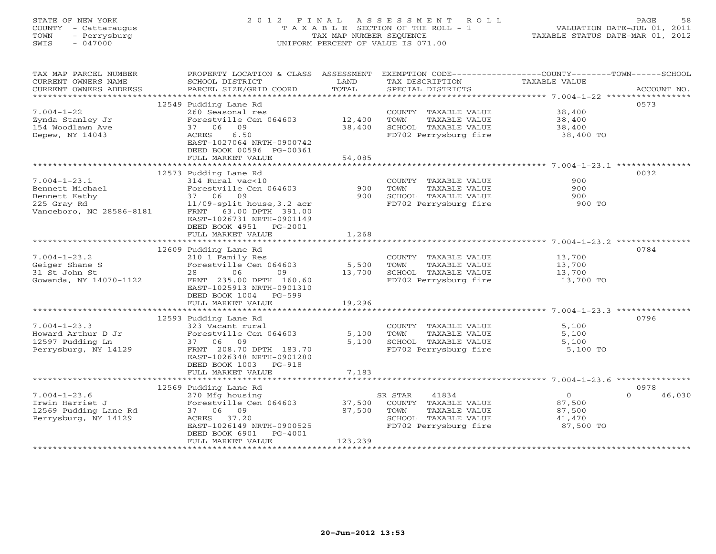# STATE OF NEW YORK 2 0 1 2 F I N A L A S S E S S M E N T R O L L PAGE 58 COUNTY - Cattaraugus T A X A B L E SECTION OF THE ROLL - 1 VALUATION DATE-JUL 01, 2011 TOWN - Perrysburg TAX MAP NUMBER SEQUENCE TAXABLE STATUS DATE-MAR 01, 2012 SWIS - 047000 UNIFORM PERCENT OF VALUE IS 071.00

| TAX MAP PARCEL NUMBER<br>CURRENT OWNERS NAME | PROPERTY LOCATION & CLASS ASSESSMENT<br>SCHOOL DISTRICT | LAND    | TAX DESCRIPTION       | EXEMPTION CODE-----------------COUNTY-------TOWN-----SCHOOL<br>TAXABLE VALUE |
|----------------------------------------------|---------------------------------------------------------|---------|-----------------------|------------------------------------------------------------------------------|
| CURRENT OWNERS ADDRESS                       | PARCEL SIZE/GRID COORD                                  | TOTAL   | SPECIAL DISTRICTS     | ACCOUNT NO.                                                                  |
|                                              |                                                         |         |                       |                                                                              |
|                                              | 12549 Pudding Lane Rd                                   |         |                       | 0573                                                                         |
| $7.004 - 1 - 22$                             | 260 Seasonal res                                        |         | COUNTY TAXABLE VALUE  | 38,400                                                                       |
| Zynda Stanley Jr                             | Forestville Cen 064603                                  | 12,400  | TOWN<br>TAXABLE VALUE | 38,400                                                                       |
| 154 Woodlawn Ave                             | 09<br>37 06                                             | 38,400  | SCHOOL TAXABLE VALUE  | 38,400                                                                       |
| Depew, NY 14043                              | ACRES<br>6.50                                           |         | FD702 Perrysburg fire | 38,400 TO                                                                    |
|                                              | EAST-1027064 NRTH-0900742                               |         |                       |                                                                              |
|                                              | DEED BOOK 00596 PG-00361                                |         |                       |                                                                              |
|                                              | FULL MARKET VALUE                                       | 54,085  |                       |                                                                              |
|                                              | 12573 Pudding Lane Rd                                   |         |                       | 0032                                                                         |
| $7.004 - 1 - 23.1$                           | 314 Rural vac<10                                        |         | COUNTY TAXABLE VALUE  | 900                                                                          |
| Bennett Michael                              | Forestville Cen 064603                                  | 900     | TOWN<br>TAXABLE VALUE | 900                                                                          |
| Bennett Kathy                                | 37 06 09                                                | 900     | SCHOOL TAXABLE VALUE  | 900                                                                          |
|                                              |                                                         |         |                       | 900 TO                                                                       |
| 225 Gray Rd<br>Vanceboro, NC 28586-8181      | $11/09$ -split house, 3.2 acr<br>FRNT 63.00 DPTH 391.00 |         | FD702 Perrysburg fire |                                                                              |
|                                              | EAST-1026731 NRTH-0901149                               |         |                       |                                                                              |
|                                              | DEED BOOK 4951 PG-2001                                  |         |                       |                                                                              |
|                                              | FULL MARKET VALUE                                       | 1,268   |                       |                                                                              |
|                                              |                                                         |         |                       |                                                                              |
|                                              | 12609 Pudding Lane Rd                                   |         |                       | 0784                                                                         |
| $7.004 - 1 - 23.2$                           | 210 1 Family Res                                        |         | COUNTY TAXABLE VALUE  | 13,700                                                                       |
| Geiger Shane S                               | Forestville Cen 064603                                  | 5,500   | TAXABLE VALUE<br>TOWN | 13,700                                                                       |
| 31 St John St                                | 06<br>28<br>09                                          | 13,700  | SCHOOL TAXABLE VALUE  | 13,700                                                                       |
| Gowanda, NY 14070-1122                       | FRNT 235.00 DPTH 160.60                                 |         | FD702 Perrysburg fire | 13,700 TO                                                                    |
|                                              | EAST-1025913 NRTH-0901310                               |         |                       |                                                                              |
|                                              | DEED BOOK 1004 PG-599                                   |         |                       |                                                                              |
|                                              | FULL MARKET VALUE                                       | 19,296  |                       |                                                                              |
|                                              |                                                         |         |                       |                                                                              |
|                                              | 12593 Pudding Lane Rd                                   |         |                       | 0796                                                                         |
| $7.004 - 1 - 23.3$                           | 323 Vacant rural                                        |         | COUNTY TAXABLE VALUE  | 5,100                                                                        |
| Howard Arthur D Jr                           | Forestville Cen 064603                                  | 5,100   | TOWN<br>TAXABLE VALUE | 5,100                                                                        |
| 12597 Pudding Ln                             | 37 06 09                                                | 5,100   | SCHOOL TAXABLE VALUE  | 5,100                                                                        |
| Perrysburg, NY 14129                         | FRNT 208.70 DPTH 183.70                                 |         | FD702 Perrysburg fire | 5,100 TO                                                                     |
|                                              | EAST-1026348 NRTH-0901280                               |         |                       |                                                                              |
|                                              | DEED BOOK 1003 PG-918                                   |         |                       |                                                                              |
|                                              | FULL MARKET VALUE                                       | 7,183   |                       |                                                                              |
|                                              |                                                         |         |                       |                                                                              |
|                                              | 12569 Pudding Lane Rd                                   |         |                       | 0978                                                                         |
| $7.004 - 1 - 23.6$                           | 270 Mfg housing                                         |         | 41834<br>SR STAR      | $\overline{O}$<br>46,030<br>$\cap$                                           |
| Irwin Harriet J                              | Forestville Cen 064603                                  | 37,500  | COUNTY TAXABLE VALUE  | 87,500                                                                       |
| 12569 Pudding Lane Rd                        | 37 06 09                                                | 87,500  | TOWN<br>TAXABLE VALUE | 87,500                                                                       |
| Perrysburg, NY 14129                         | ACRES 37.20                                             |         | SCHOOL TAXABLE VALUE  | 41,470                                                                       |
|                                              | EAST-1026149 NRTH-0900525                               |         | FD702 Perrysburg fire | 87,500 TO                                                                    |
|                                              | DEED BOOK 6901<br>PG-4001                               |         |                       |                                                                              |
|                                              | FULL MARKET VALUE                                       | 123,239 |                       |                                                                              |
|                                              |                                                         |         |                       |                                                                              |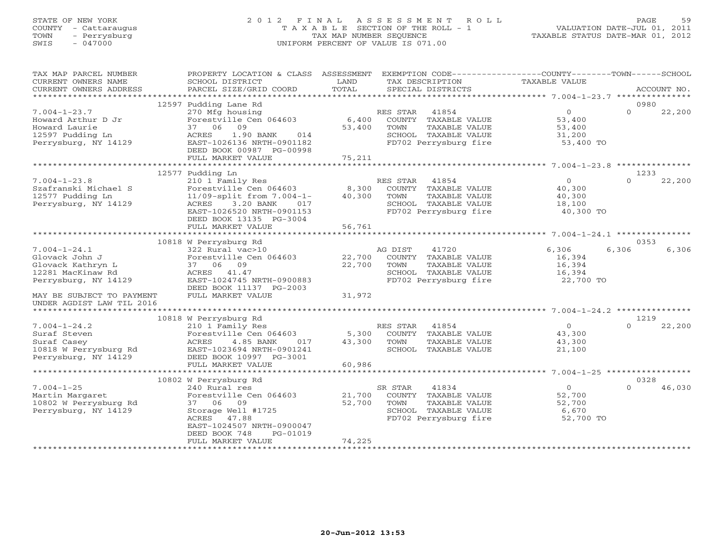# STATE OF NEW YORK 2 0 1 2 F I N A L A S S E S S M E N T R O L L PAGE 59 COUNTY - Cattaraugus T A X A B L E SECTION OF THE ROLL - 1 VALUATION DATE-JUL 01, 2011 TOWN - Perrysburg TAX MAP NUMBER SEQUENCE TAXABLE STATUS DATE-MAR 01, 2012 SWIS - 047000 UNIFORM PERCENT OF VALUE IS 071.00

| ***********************<br>12597 Pudding Lane Rd<br>0980<br>$\Omega$<br>$7.004 - 1 - 23.7$<br>270 Mfg housing<br>41854<br>$\overline{O}$<br>22,200<br>RES STAR<br>Howard Arthur D Jr<br>Forestville Cen 064603<br>6,400<br>COUNTY TAXABLE VALUE<br>53,400<br>Howard Laurie<br>37 06<br>09<br>53,400<br>TOWN<br>TAXABLE VALUE<br>53,400<br>12597 Pudding Ln<br>SCHOOL TAXABLE VALUE<br>ACRES<br>1.90 BANK<br>014<br>31,200<br>FD702 Perrysburg fire<br>Perrysburg, NY 14129<br>EAST-1026136 NRTH-0901182<br>53,400 TO<br>DEED BOOK 00987 PG-00998<br>FULL MARKET VALUE<br>75,211<br>************************<br>12577 Pudding Ln<br>1233<br>$\circ$<br>$7.004 - 1 - 23.8$<br>210 1 Family Res<br>$\Omega$<br>22,200<br>RES STAR<br>41854<br>8,300<br>Szafranski Michael S<br>Forestville Cen 064603<br>COUNTY TAXABLE VALUE<br>40,300<br>12577 Pudding Ln<br>11/09-split from 7.004-1-<br>40,300<br>TOWN<br>TAXABLE VALUE<br>40,300<br>Perrysburg, NY 14129<br>3.20 BANK<br>SCHOOL TAXABLE VALUE<br>ACRES<br>017<br>18,100<br>FD702 Perrysburg fire<br>EAST-1026520 NRTH-0901153<br>40,300 TO<br>DEED BOOK 13135 PG-3004<br>56,761<br>FULL MARKET VALUE<br>10818 W Perrysburg Rd<br>0353<br>$7.004 - 1 - 24.1$<br>41720<br>6,306<br>6,306<br>322 Rural vac>10<br>AG DIST<br>6,306<br>Glovack John J<br>Forestville Cen 064603<br>22,700<br>COUNTY TAXABLE VALUE<br>16,394<br>22,700<br>Glovack Kathryn L<br>37 06 09<br>TAXABLE VALUE<br>TOWN<br>16,394<br>12281 MacKinaw Rd<br>SCHOOL TAXABLE VALUE<br>16,394<br>ACRES<br>41.47<br>EAST-1024745 NRTH-0900883<br>Perrysburg, NY 14129<br>FD702 Perrysburg fire<br>22,700 TO<br>DEED BOOK 11137 PG-2003<br>FULL MARKET VALUE<br>31,972<br>MAY BE SUBJECT TO PAYMENT<br>UNDER AGDIST LAW TIL 2016<br>1219<br>10818 W Perrysburg Rd<br>$\overline{O}$<br>22,200<br>$7.004 - 1 - 24.2$<br>210 1 Family Res<br>41854<br>$\Omega$<br>RES STAR<br>Forestville Cen 064603<br>5,300<br>COUNTY TAXABLE VALUE<br>43,300<br>Suraf Steven<br>43,300<br>Suraf Casey<br>ACRES<br>4.85 BANK<br>017<br>TOWN<br>TAXABLE VALUE<br>43,300<br>10818 W Perrysburg Rd<br>EAST-1023694 NRTH-0901241<br>SCHOOL TAXABLE VALUE<br>21,100<br>Perrysburg, NY 14129<br>DEED BOOK 10997 PG-3001<br>60,986<br>FULL MARKET VALUE<br>***************************<br>***********<br>****************** 7.004-1-25 ******************<br>0328<br>10802 W Perrysburg Rd<br>$7.004 - 1 - 25$<br>41834<br>$\Omega$<br>240 Rural res<br>SR STAR<br>$\Omega$<br>46,030<br>Forestville Cen 064603<br>21,700<br>COUNTY TAXABLE VALUE<br>52,700<br>Martin Margaret<br>52,700<br>10802 W Perrysburg Rd<br>37 06<br>09<br>TOWN<br>TAXABLE VALUE<br>52,700<br>Perrysburg, NY 14129<br>Storage Well #1725<br>SCHOOL TAXABLE VALUE<br>6,670<br>FD702 Perrysburg fire<br>52,700 TO<br>ACRES 47.88<br>EAST-1024507 NRTH-0900047<br>DEED BOOK 748<br>PG-01019<br>74,225<br>FULL MARKET VALUE | TAX MAP PARCEL NUMBER<br>CURRENT OWNERS NAME | PROPERTY LOCATION & CLASS ASSESSMENT<br>SCHOOL DISTRICT | LAND  | TAX DESCRIPTION   | EXEMPTION CODE-----------------COUNTY-------TOWN------SCHOOL<br>TAXABLE VALUE |             |
|-----------------------------------------------------------------------------------------------------------------------------------------------------------------------------------------------------------------------------------------------------------------------------------------------------------------------------------------------------------------------------------------------------------------------------------------------------------------------------------------------------------------------------------------------------------------------------------------------------------------------------------------------------------------------------------------------------------------------------------------------------------------------------------------------------------------------------------------------------------------------------------------------------------------------------------------------------------------------------------------------------------------------------------------------------------------------------------------------------------------------------------------------------------------------------------------------------------------------------------------------------------------------------------------------------------------------------------------------------------------------------------------------------------------------------------------------------------------------------------------------------------------------------------------------------------------------------------------------------------------------------------------------------------------------------------------------------------------------------------------------------------------------------------------------------------------------------------------------------------------------------------------------------------------------------------------------------------------------------------------------------------------------------------------------------------------------------------------------------------------------------------------------------------------------------------------------------------------------------------------------------------------------------------------------------------------------------------------------------------------------------------------------------------------------------------------------------------------------------------------------------------------------------------------------------------------------------------------------------------------------------------------------------------------------------------------------------------------------------------------------------------------------------------------------------------------------------------------------------------------------------------------|----------------------------------------------|---------------------------------------------------------|-------|-------------------|-------------------------------------------------------------------------------|-------------|
|                                                                                                                                                                                                                                                                                                                                                                                                                                                                                                                                                                                                                                                                                                                                                                                                                                                                                                                                                                                                                                                                                                                                                                                                                                                                                                                                                                                                                                                                                                                                                                                                                                                                                                                                                                                                                                                                                                                                                                                                                                                                                                                                                                                                                                                                                                                                                                                                                                                                                                                                                                                                                                                                                                                                                                                                                                                                                         | CURRENT OWNERS ADDRESS                       | PARCEL SIZE/GRID COORD                                  | TOTAL | SPECIAL DISTRICTS |                                                                               | ACCOUNT NO. |
|                                                                                                                                                                                                                                                                                                                                                                                                                                                                                                                                                                                                                                                                                                                                                                                                                                                                                                                                                                                                                                                                                                                                                                                                                                                                                                                                                                                                                                                                                                                                                                                                                                                                                                                                                                                                                                                                                                                                                                                                                                                                                                                                                                                                                                                                                                                                                                                                                                                                                                                                                                                                                                                                                                                                                                                                                                                                                         |                                              |                                                         |       |                   |                                                                               |             |
|                                                                                                                                                                                                                                                                                                                                                                                                                                                                                                                                                                                                                                                                                                                                                                                                                                                                                                                                                                                                                                                                                                                                                                                                                                                                                                                                                                                                                                                                                                                                                                                                                                                                                                                                                                                                                                                                                                                                                                                                                                                                                                                                                                                                                                                                                                                                                                                                                                                                                                                                                                                                                                                                                                                                                                                                                                                                                         |                                              |                                                         |       |                   |                                                                               |             |
|                                                                                                                                                                                                                                                                                                                                                                                                                                                                                                                                                                                                                                                                                                                                                                                                                                                                                                                                                                                                                                                                                                                                                                                                                                                                                                                                                                                                                                                                                                                                                                                                                                                                                                                                                                                                                                                                                                                                                                                                                                                                                                                                                                                                                                                                                                                                                                                                                                                                                                                                                                                                                                                                                                                                                                                                                                                                                         |                                              |                                                         |       |                   |                                                                               |             |
|                                                                                                                                                                                                                                                                                                                                                                                                                                                                                                                                                                                                                                                                                                                                                                                                                                                                                                                                                                                                                                                                                                                                                                                                                                                                                                                                                                                                                                                                                                                                                                                                                                                                                                                                                                                                                                                                                                                                                                                                                                                                                                                                                                                                                                                                                                                                                                                                                                                                                                                                                                                                                                                                                                                                                                                                                                                                                         |                                              |                                                         |       |                   |                                                                               |             |
|                                                                                                                                                                                                                                                                                                                                                                                                                                                                                                                                                                                                                                                                                                                                                                                                                                                                                                                                                                                                                                                                                                                                                                                                                                                                                                                                                                                                                                                                                                                                                                                                                                                                                                                                                                                                                                                                                                                                                                                                                                                                                                                                                                                                                                                                                                                                                                                                                                                                                                                                                                                                                                                                                                                                                                                                                                                                                         |                                              |                                                         |       |                   |                                                                               |             |
|                                                                                                                                                                                                                                                                                                                                                                                                                                                                                                                                                                                                                                                                                                                                                                                                                                                                                                                                                                                                                                                                                                                                                                                                                                                                                                                                                                                                                                                                                                                                                                                                                                                                                                                                                                                                                                                                                                                                                                                                                                                                                                                                                                                                                                                                                                                                                                                                                                                                                                                                                                                                                                                                                                                                                                                                                                                                                         |                                              |                                                         |       |                   |                                                                               |             |
|                                                                                                                                                                                                                                                                                                                                                                                                                                                                                                                                                                                                                                                                                                                                                                                                                                                                                                                                                                                                                                                                                                                                                                                                                                                                                                                                                                                                                                                                                                                                                                                                                                                                                                                                                                                                                                                                                                                                                                                                                                                                                                                                                                                                                                                                                                                                                                                                                                                                                                                                                                                                                                                                                                                                                                                                                                                                                         |                                              |                                                         |       |                   |                                                                               |             |
|                                                                                                                                                                                                                                                                                                                                                                                                                                                                                                                                                                                                                                                                                                                                                                                                                                                                                                                                                                                                                                                                                                                                                                                                                                                                                                                                                                                                                                                                                                                                                                                                                                                                                                                                                                                                                                                                                                                                                                                                                                                                                                                                                                                                                                                                                                                                                                                                                                                                                                                                                                                                                                                                                                                                                                                                                                                                                         |                                              |                                                         |       |                   |                                                                               |             |
|                                                                                                                                                                                                                                                                                                                                                                                                                                                                                                                                                                                                                                                                                                                                                                                                                                                                                                                                                                                                                                                                                                                                                                                                                                                                                                                                                                                                                                                                                                                                                                                                                                                                                                                                                                                                                                                                                                                                                                                                                                                                                                                                                                                                                                                                                                                                                                                                                                                                                                                                                                                                                                                                                                                                                                                                                                                                                         |                                              |                                                         |       |                   |                                                                               |             |
|                                                                                                                                                                                                                                                                                                                                                                                                                                                                                                                                                                                                                                                                                                                                                                                                                                                                                                                                                                                                                                                                                                                                                                                                                                                                                                                                                                                                                                                                                                                                                                                                                                                                                                                                                                                                                                                                                                                                                                                                                                                                                                                                                                                                                                                                                                                                                                                                                                                                                                                                                                                                                                                                                                                                                                                                                                                                                         |                                              |                                                         |       |                   |                                                                               |             |
|                                                                                                                                                                                                                                                                                                                                                                                                                                                                                                                                                                                                                                                                                                                                                                                                                                                                                                                                                                                                                                                                                                                                                                                                                                                                                                                                                                                                                                                                                                                                                                                                                                                                                                                                                                                                                                                                                                                                                                                                                                                                                                                                                                                                                                                                                                                                                                                                                                                                                                                                                                                                                                                                                                                                                                                                                                                                                         |                                              |                                                         |       |                   |                                                                               |             |
|                                                                                                                                                                                                                                                                                                                                                                                                                                                                                                                                                                                                                                                                                                                                                                                                                                                                                                                                                                                                                                                                                                                                                                                                                                                                                                                                                                                                                                                                                                                                                                                                                                                                                                                                                                                                                                                                                                                                                                                                                                                                                                                                                                                                                                                                                                                                                                                                                                                                                                                                                                                                                                                                                                                                                                                                                                                                                         |                                              |                                                         |       |                   |                                                                               |             |
|                                                                                                                                                                                                                                                                                                                                                                                                                                                                                                                                                                                                                                                                                                                                                                                                                                                                                                                                                                                                                                                                                                                                                                                                                                                                                                                                                                                                                                                                                                                                                                                                                                                                                                                                                                                                                                                                                                                                                                                                                                                                                                                                                                                                                                                                                                                                                                                                                                                                                                                                                                                                                                                                                                                                                                                                                                                                                         |                                              |                                                         |       |                   |                                                                               |             |
|                                                                                                                                                                                                                                                                                                                                                                                                                                                                                                                                                                                                                                                                                                                                                                                                                                                                                                                                                                                                                                                                                                                                                                                                                                                                                                                                                                                                                                                                                                                                                                                                                                                                                                                                                                                                                                                                                                                                                                                                                                                                                                                                                                                                                                                                                                                                                                                                                                                                                                                                                                                                                                                                                                                                                                                                                                                                                         |                                              |                                                         |       |                   |                                                                               |             |
|                                                                                                                                                                                                                                                                                                                                                                                                                                                                                                                                                                                                                                                                                                                                                                                                                                                                                                                                                                                                                                                                                                                                                                                                                                                                                                                                                                                                                                                                                                                                                                                                                                                                                                                                                                                                                                                                                                                                                                                                                                                                                                                                                                                                                                                                                                                                                                                                                                                                                                                                                                                                                                                                                                                                                                                                                                                                                         |                                              |                                                         |       |                   |                                                                               |             |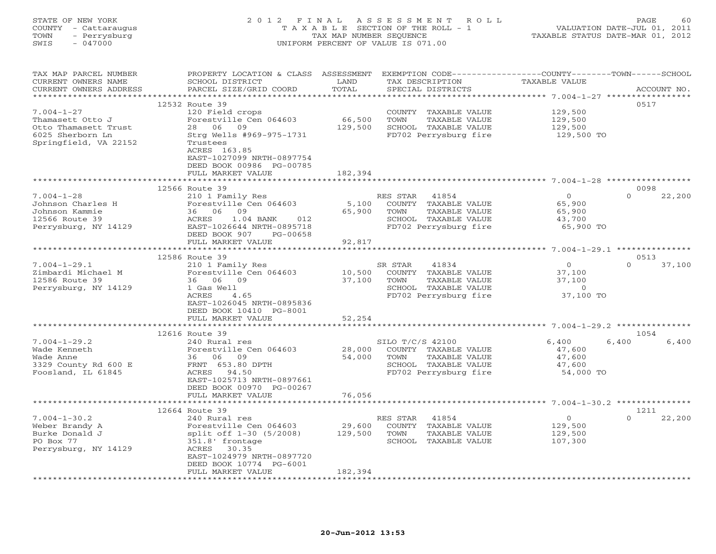| - Cattaraugus<br>COUNTY<br>TOWN<br>- Perrysburg<br>$-047000$<br>SWIS |                                                         | TAX MAP NUMBER SEQUENCE | T A X A B L E SECTION OF THE ROLL - 1<br>UNIFORM PERCENT OF VALUE IS 071.00     | VALUATION DATE-JUL 01, 2011<br>TAXABLE STATUS DATE-MAR 01, 2012 |                            |  |
|----------------------------------------------------------------------|---------------------------------------------------------|-------------------------|---------------------------------------------------------------------------------|-----------------------------------------------------------------|----------------------------|--|
| TAX MAP PARCEL NUMBER<br>CURRENT OWNERS NAME                         | PROPERTY LOCATION & CLASS ASSESSMENT<br>SCHOOL DISTRICT | LAND                    | EXEMPTION CODE-----------------COUNTY-------TOWN------SCHOOL<br>TAX DESCRIPTION | <b>TAXABLE VALUE</b>                                            |                            |  |
| CURRENT OWNERS ADDRESS<br>***********************                    | PARCEL SIZE/GRID COORD                                  | TOTAL                   | SPECIAL DISTRICTS                                                               |                                                                 | ACCOUNT NO.                |  |
|                                                                      | 12532 Route 39                                          |                         |                                                                                 |                                                                 | 0517                       |  |
| $7.004 - 1 - 27$                                                     | 120 Field crops                                         |                         | COUNTY<br>TAXABLE VALUE                                                         | 129,500                                                         |                            |  |
| Thamasett Otto J                                                     | Forestville Cen 064603                                  | 66,500                  | TOWN<br>TAXABLE VALUE                                                           | 129,500                                                         |                            |  |
| Otto Thamasett Trust                                                 | 28 06 09                                                | 129,500                 | SCHOOL TAXABLE VALUE                                                            | 129,500                                                         |                            |  |
| 6025 Sherborn Ln<br>Springfield, VA 22152                            | Strg Wells #969-975-1731<br>Trustees                    |                         | FD702 Perrysburg fire                                                           | 129,500 TO                                                      |                            |  |
|                                                                      | ACRES 163.85                                            |                         |                                                                                 |                                                                 |                            |  |
|                                                                      | EAST-1027099 NRTH-0897754                               |                         |                                                                                 |                                                                 |                            |  |
|                                                                      | DEED BOOK 00986 PG-00785                                |                         |                                                                                 |                                                                 |                            |  |
|                                                                      | FULL MARKET VALUE                                       | 182,394                 |                                                                                 |                                                                 |                            |  |
|                                                                      | *************************                               |                         |                                                                                 |                                                                 |                            |  |
| $7.004 - 1 - 28$                                                     | 12566 Route 39<br>210 1 Family Res                      |                         | RES STAR<br>41854                                                               | $\circ$                                                         | 0098<br>$\Omega$<br>22,200 |  |
| Johnson Charles H                                                    | Forestville Cen 064603                                  | 5,100                   | COUNTY<br>TAXABLE VALUE                                                         | 65,900                                                          |                            |  |
| Johnson Kammie                                                       | 36<br>06<br>09                                          | 65,900                  | TOWN<br>TAXABLE VALUE                                                           | 65,900                                                          |                            |  |
| 12566 Route 39                                                       | ACRES<br>$1.04$ BANK<br>012                             |                         | SCHOOL TAXABLE VALUE                                                            | 43,700                                                          |                            |  |
| Perrysburg, NY 14129                                                 | EAST-1026644 NRTH-0895718                               |                         | FD702 Perrysburg fire                                                           | 65,900 TO                                                       |                            |  |
|                                                                      | DEED BOOK 907<br>PG-00658                               |                         |                                                                                 |                                                                 |                            |  |
|                                                                      | FULL MARKET VALUE<br>***********************            | 92,817<br>***********   |                                                                                 | ********************* 7.004-1-29.1 ***************              |                            |  |
|                                                                      | 12586 Route 39                                          |                         |                                                                                 |                                                                 | 0513                       |  |
| $7.004 - 1 - 29.1$                                                   | 210 1 Family Res                                        |                         | SR STAR<br>41834                                                                | $\Omega$                                                        | 37,100<br>$\Omega$         |  |
| Zimbardi Michael M                                                   | Forestville Cen 064603                                  | 10,500                  | COUNTY TAXABLE VALUE                                                            | 37,100                                                          |                            |  |
| 12586 Route 39                                                       | 36 06 09                                                | 37,100                  | TOWN<br>TAXABLE VALUE                                                           | 37,100                                                          |                            |  |
| Perrysburg, NY 14129                                                 | 1 Gas Well                                              |                         | SCHOOL TAXABLE VALUE                                                            | $\circ$                                                         |                            |  |
|                                                                      | ACRES<br>4.65<br>EAST-1026045 NRTH-0895836              |                         | FD702 Perrysburg fire                                                           | 37,100 TO                                                       |                            |  |
|                                                                      | DEED BOOK 10410 PG-8001                                 |                         |                                                                                 |                                                                 |                            |  |
|                                                                      | FULL MARKET VALUE                                       | 52,254                  |                                                                                 |                                                                 |                            |  |
|                                                                      | *************************                               |                         |                                                                                 |                                                                 |                            |  |
|                                                                      | 12616 Route 39                                          |                         |                                                                                 |                                                                 | 1054                       |  |
| $7.004 - 1 - 29.2$                                                   | 240 Rural res                                           |                         | SILO T/C/S 42100                                                                | 6,400                                                           | 6,400<br>6,400             |  |
| Wade Kenneth<br>Wade Anne                                            | Forestville Cen 064603<br>36<br>06<br>09                | 28,000<br>54,000        | COUNTY TAXABLE VALUE<br>TOWN<br>TAXABLE VALUE                                   | 47,600<br>47,600                                                |                            |  |
| 3329 County Rd 600 E                                                 | FRNT 653.80 DPTH                                        |                         | SCHOOL TAXABLE VALUE                                                            | 47,600                                                          |                            |  |
| Foosland, IL 61845                                                   | ACRES<br>94.50                                          |                         | FD702 Perrysburg fire                                                           | 54,000 TO                                                       |                            |  |
|                                                                      | EAST-1025713 NRTH-0897661                               |                         |                                                                                 |                                                                 |                            |  |
|                                                                      | DEED BOOK 00970 PG-00267                                |                         |                                                                                 |                                                                 |                            |  |
|                                                                      | FULL MARKET VALUE<br>*************                      | 76,056                  |                                                                                 |                                                                 |                            |  |
|                                                                      |                                                         |                         |                                                                                 |                                                                 | 1211                       |  |
| $7.004 - 1 - 30.2$                                                   | 12664 Route 39<br>240 Rural res                         |                         | 41854<br>RES STAR                                                               | $\circ$                                                         | 22,200<br>$\Omega$         |  |
| Weber Brandy A                                                       | Forestville Cen 064603                                  | 29,600                  | COUNTY<br>TAXABLE VALUE                                                         | 129,500                                                         |                            |  |
| Burke Donald J                                                       | split off 1-30 (5/2008)                                 | 129,500                 | TOWN<br>TAXABLE VALUE                                                           | 129,500                                                         |                            |  |
| PO Box 77                                                            | 351.8' frontage                                         |                         | SCHOOL TAXABLE VALUE                                                            | 107,300                                                         |                            |  |
| Perrysburg, NY 14129                                                 | 30.35<br>ACRES                                          |                         |                                                                                 |                                                                 |                            |  |
|                                                                      | EAST-1024979 NRTH-0897720                               |                         |                                                                                 |                                                                 |                            |  |
|                                                                      | DEED BOOK 10774 PG-6001<br>FULL MARKET VALUE            | 182,394                 |                                                                                 |                                                                 |                            |  |
|                                                                      |                                                         |                         |                                                                                 |                                                                 |                            |  |

STATE OF NEW YORK 2 0 1 2 F I N A L A S S E S S M E N T R O L L PAGE 60

#### **20-Jun-2012 13:53**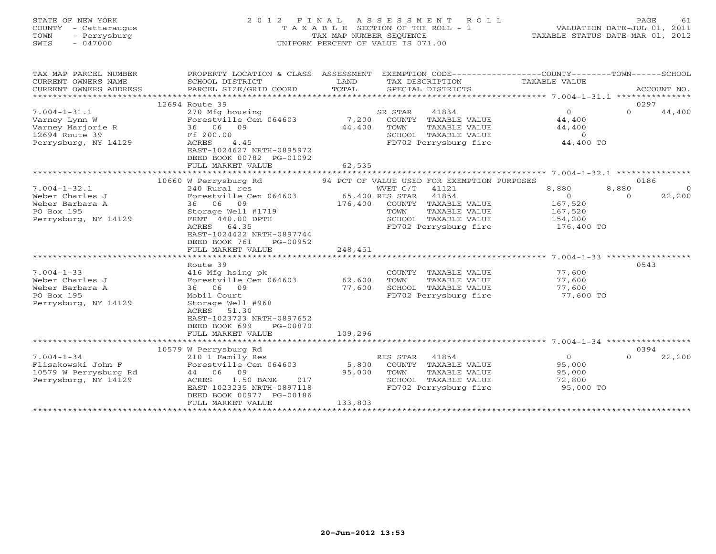| STATE OF NEW YORK<br>COUNTY - Cattaraugus<br>TOWN<br>- Perrysburg<br>SWIS<br>$-047000$                                                                                                         | 2 0 1 2<br>FINAL<br>TAXABLE                                                                                                                                                                                                                                                                                                                                                                                   | TAX MAP NUMBER SEQUENCE<br>UNIFORM PERCENT OF VALUE IS 071.00 | ASSESSMENT                                                                             | ROLL<br>SECTION OF THE ROLL - 1                                                                                                                                                                                                                   | TAXABLE STATUS DATE-MAR 01, 2012                                                                                                                            | PAGE<br>VALUATION DATE-JUL 01, 2011 | 61                 |
|------------------------------------------------------------------------------------------------------------------------------------------------------------------------------------------------|---------------------------------------------------------------------------------------------------------------------------------------------------------------------------------------------------------------------------------------------------------------------------------------------------------------------------------------------------------------------------------------------------------------|---------------------------------------------------------------|----------------------------------------------------------------------------------------|---------------------------------------------------------------------------------------------------------------------------------------------------------------------------------------------------------------------------------------------------|-------------------------------------------------------------------------------------------------------------------------------------------------------------|-------------------------------------|--------------------|
| TAX MAP PARCEL NUMBER<br>CURRENT OWNERS NAME<br>CURRENT OWNERS ADDRESS                                                                                                                         | PROPERTY LOCATION & CLASS ASSESSMENT<br>SCHOOL DISTRICT<br>PARCEL SIZE/GRID COORD                                                                                                                                                                                                                                                                                                                             | LAND<br>TOTAL                                                 |                                                                                        | TAX DESCRIPTION<br>SPECIAL DISTRICTS                                                                                                                                                                                                              | EXEMPTION CODE-----------------COUNTY-------TOWN------SCHOOL<br>TAXABLE VALUE                                                                               |                                     | ACCOUNT NO.        |
| *********************                                                                                                                                                                          |                                                                                                                                                                                                                                                                                                                                                                                                               |                                                               |                                                                                        |                                                                                                                                                                                                                                                   |                                                                                                                                                             | 0297                                |                    |
| $7.004 - 1 - 31.1$<br>Varney Lynn W<br>Varney Marjorie R<br>12694 Route 39<br>Perrysburg, NY 14129                                                                                             | 12694 Route 39<br>270 Mfg housing<br>Forestville Cen 064603<br>36 06 09<br>Ff 200.00<br>ACRES<br>4.45<br>EAST-1024627 NRTH-0895972<br>DEED BOOK 00782 PG-01092<br>FULL MARKET VALUE                                                                                                                                                                                                                           | 7,200<br>44,400<br>62,535                                     | SR STAR<br>TOWN                                                                        | 41834<br>COUNTY TAXABLE VALUE<br>TAXABLE VALUE<br>SCHOOL TAXABLE VALUE<br>FD702 Perrysburg fire                                                                                                                                                   | $\Omega$<br>44,400<br>44,400<br>$\overline{0}$<br>44,400 TO                                                                                                 | $\Omega$                            | 44,400             |
|                                                                                                                                                                                                | ***********************                                                                                                                                                                                                                                                                                                                                                                                       |                                                               |                                                                                        |                                                                                                                                                                                                                                                   |                                                                                                                                                             |                                     |                    |
| $7.004 - 1 - 32.1$<br>Weber Charles J<br>Weber Barbara A<br>PO Box 195<br>Perrysburg, NY 14129<br>$7.004 - 1 - 33$<br>Weber Charles J<br>Weber Barbara A<br>PO Box 195<br>Perrysburg, NY 14129 | 10660 W Perrysburg Rd<br>240 Rural res<br>Forestville Cen 064603<br>36 06 09<br>Storage Well #1719<br>FRNT 440.00 DPTH<br>ACRES<br>64.35<br>EAST-1024422 NRTH-0897744<br>DEED BOOK 761<br>PG-00952<br>FULL MARKET VALUE<br>Route 39<br>416 Mfg hsing pk<br>Forestville Cen 064603<br>36 06 09<br>Mobil Court<br>Storage Well #968<br>ACRES<br>51.30<br>EAST-1023723 NRTH-0897652<br>DEED BOOK 699<br>PG-00870 | 176,400<br>248,451<br>62,600<br>77,600                        | WVET C/T<br>65,400 RES STAR<br>TOWN<br>* * * * * * * * * * * * * * * * * * * *<br>TOWN | 94 PCT OF VALUE USED FOR EXEMPTION PURPOSES<br>41121<br>41854<br>COUNTY TAXABLE VALUE<br>TAXABLE VALUE<br>SCHOOL TAXABLE VALUE<br>FD702 Perrysburg fire<br>COUNTY TAXABLE VALUE<br>TAXABLE VALUE<br>SCHOOL TAXABLE VALUE<br>FD702 Perrysburg fire | 8,880<br>$\overline{0}$<br>167,520<br>167,520<br>154,200<br>176,400 TO<br>******************** 7.004-1-33 ******<br>77,600<br>77,600<br>77,600<br>77,600 TO | 0186<br>8,880<br>$\Omega$<br>0543   | $\Omega$<br>22,200 |
| $7.004 - 1 - 34$<br>Flisakowski John F<br>10579 W Perrysburg Rd                                                                                                                                | FULL MARKET VALUE<br>10579 W Perrysburg Rd<br>210 1 Family Res<br>Forestville Cen 064603<br>44 06<br>09                                                                                                                                                                                                                                                                                                       | 109,296<br>5,800<br>95,000                                    | RES STAR<br>TOWN                                                                       | *******************************<br>41854<br>COUNTY TAXABLE VALUE<br>TAXABLE VALUE                                                                                                                                                                 | *********** 7.004-1-34 **********<br>$\overline{O}$<br>95,000<br>95,000                                                                                     | 0394<br>$\Omega$                    | 22,200             |
| Perrysburg, NY 14129<br>******************                                                                                                                                                     | ACRES<br>1.50 BANK<br>017<br>EAST-1023235 NRTH-0897118<br>DEED BOOK 00977 PG-00186<br>FULL MARKET VALUE<br>************************                                                                                                                                                                                                                                                                           | 133,803<br>**************                                     |                                                                                        | SCHOOL TAXABLE VALUE<br>FD702 Perrysburg fire                                                                                                                                                                                                     | 72,800<br>95,000 TO                                                                                                                                         |                                     |                    |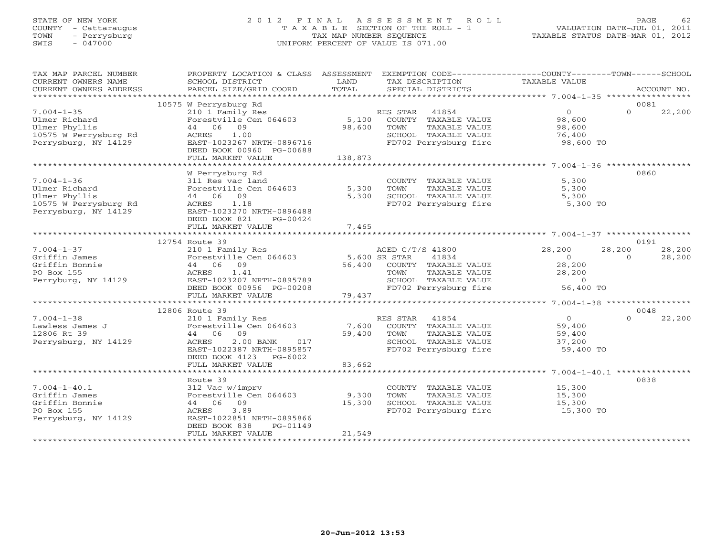# STATE OF NEW YORK 2 0 1 2 F I N A L A S S E S S M E N T R O L L PAGE 62 COUNTY - Cattaraugus T A X A B L E SECTION OF THE ROLL - 1 VALUATION DATE-JUL 01, 2011 TOWN - Perrysburg TAX MAP NUMBER SEQUENCE TAXABLE STATUS DATE-MAR 01, 2012 SWIS - 047000 UNIFORM PERCENT OF VALUE IS 071.00

| TAX MAP PARCEL NUMBER                                      | PROPERTY LOCATION & CLASS ASSESSMENT EXEMPTION CODE----------------COUNTY-------TOWN------SCHOOL |               |                                                                           |                      |                    |
|------------------------------------------------------------|--------------------------------------------------------------------------------------------------|---------------|---------------------------------------------------------------------------|----------------------|--------------------|
| CURRENT OWNERS NAME                                        | SCHOOL DISTRICT                                                                                  | LAND          | TAX DESCRIPTION                                                           | <b>TAXABLE VALUE</b> |                    |
| CURRENT OWNERS ADDRESS                                     | PARCEL SIZE/GRID COORD                                                                           | TOTAL         | SPECIAL DISTRICTS                                                         |                      | ACCOUNT NO.        |
|                                                            |                                                                                                  |               |                                                                           |                      |                    |
|                                                            | 10575 W Perrysburg Rd                                                                            |               |                                                                           |                      | 0081               |
| $7.004 - 1 - 35$                                           | 210 1 Family Res                                                                                 |               | RES STAR 41854                                                            | $\overline{0}$       | $\Omega$<br>22,200 |
| Ulmer Richard                                              | Forestville Cen 064603                                                                           |               | 5,100 COUNTY TAXABLE VALUE                                                | 98,600               |                    |
| Ulmer Phyllis                                              | 44 06 09                                                                                         | 98,600        | TAXABLE VALUE<br>TOWN                                                     | 98,600               |                    |
| 10575 W Perrysburg Rd                                      | ACRES 1.00                                                                                       |               |                                                                           | 76,400               |                    |
| Perrysburg, NY 14129                                       | EAST-1023267 NRTH-0896716                                                                        |               | SCHOOL TAXABLE VALUE<br>FD702 Perrysburg fire                             | 98,600 TO            |                    |
|                                                            | DEED BOOK 00960 PG-00688                                                                         |               |                                                                           |                      |                    |
|                                                            | FULL MARKET VALUE                                                                                | 138,873       |                                                                           |                      |                    |
|                                                            |                                                                                                  |               |                                                                           |                      |                    |
|                                                            | W Perrysburg Rd                                                                                  |               |                                                                           |                      | 0860               |
| $7.004 - 1 - 36$                                           | 311 Res vac land                                                                                 |               | COUNTY TAXABLE VALUE                                                      | 5,300                |                    |
| Ulmer Richard                                              | Forestville Cen 064603                                                                           | 5,300         | TOWN<br>TAXABLE VALUE                                                     | 5,300                |                    |
| Ulmer Phyllis                                              | 44 06 09                                                                                         | 5,300         | SCHOOL TAXABLE VALUE                                                      | 5,300                |                    |
| 10575 W Perrysburg Rd                                      | ACRES 1.18                                                                                       |               | FD702 Perrysburg fire                                                     | 5,300 TO             |                    |
| Perrysburg, NY 14129                                       | EAST-1023270 NRTH-0896488                                                                        |               |                                                                           |                      |                    |
|                                                            | DEED BOOK 821<br>PG-00424                                                                        |               |                                                                           |                      |                    |
|                                                            | FULL MARKET VALUE                                                                                | 7,465         |                                                                           |                      |                    |
|                                                            |                                                                                                  |               |                                                                           |                      |                    |
|                                                            | 12754 Route 39                                                                                   |               |                                                                           |                      | 0191               |
| $7.004 - 1 - 37$                                           | 210 1 Family Res                                                                                 |               | AGED C/T/S 41800                                                          | 28,200               | 28,200 28,200      |
| Griffin James                                              | Forestville Cen 064603                                                                           | 5,600 SR STAR | 41834                                                                     | $\overline{0}$       | $\Omega$<br>28,200 |
| Griffin Bonnie                                             | 44 06 09                                                                                         |               | 56,400 COUNTY TAXABLE VALUE                                               | 28,200               |                    |
| PO Box 155                                                 | ACRES 1.41                                                                                       |               |                                                                           | 28,200               |                    |
| Perryburg, NY 14129                                        |                                                                                                  |               |                                                                           |                      |                    |
|                                                            | EAST-1023207 NRTH-0895789<br>DEED BOOK 00956 PG-00208                                            |               | TOWN     TAXABLE VALUE<br>SCHOOL   TAXABLE VALUE<br>FD702 Perrysburg fire | 0<br>56,400 TO       |                    |
|                                                            | FULL MARKET VALUE                                                                                | 79,437        |                                                                           |                      |                    |
|                                                            |                                                                                                  |               |                                                                           |                      |                    |
|                                                            | 12806 Route 39                                                                                   |               |                                                                           |                      | 0048               |
| Example 210 1 Family Res<br>Lawless James J<br>12806 Rt 39 |                                                                                                  |               | RES STAR 41854                                                            | $\overline{0}$       | $\Omega$<br>22,200 |
|                                                            |                                                                                                  | 7,600         | COUNTY TAXABLE VALUE 59,400                                               |                      |                    |
|                                                            |                                                                                                  | 59,400        | TAXABLE VALUE<br>TOWN                                                     | 59,400               |                    |
| Perrysburg, NY 14129                                       | 2.00 BANK<br>ACRES<br>017                                                                        |               | SCHOOL TAXABLE VALUE                                                      | 37,200               |                    |
|                                                            | EAST-1022387 NRTH-0895857                                                                        |               | FD702 Perrysburg fire                                                     | 59,400 TO            |                    |
|                                                            | DEED BOOK 4123 PG-6002                                                                           |               |                                                                           |                      |                    |
|                                                            | FULL MARKET VALUE                                                                                | 83,662        |                                                                           |                      |                    |
|                                                            |                                                                                                  |               |                                                                           |                      |                    |
|                                                            | Route 39                                                                                         |               |                                                                           |                      | 0838               |
| $7.004 - 1 - 40.1$                                         | 312 Vac w/imprv                                                                                  |               | COUNTY TAXABLE VALUE                                                      | 15,300               |                    |
| Griffin James                                              | Forestville Cen 064603                                                                           | 9,300         | TOWN<br>TAXABLE VALUE                                                     | 15,300               |                    |
| Griffin Bonnie                                             | 44 06 09                                                                                         | 15,300        | SCHOOL TAXABLE VALUE                                                      | 15,300               |                    |
| PO Box 155                                                 | 3.89<br>ACRES                                                                                    |               | FD702 Perrysburg fire 15,300 TO                                           |                      |                    |
| Perrysburg, NY 14129                                       | EAST-1022851 NRTH-0895866                                                                        |               |                                                                           |                      |                    |
|                                                            | DEED BOOK 838<br>PG-01149                                                                        |               |                                                                           |                      |                    |
|                                                            | FULL MARKET VALUE                                                                                | 21,549        |                                                                           |                      |                    |
|                                                            |                                                                                                  |               |                                                                           |                      |                    |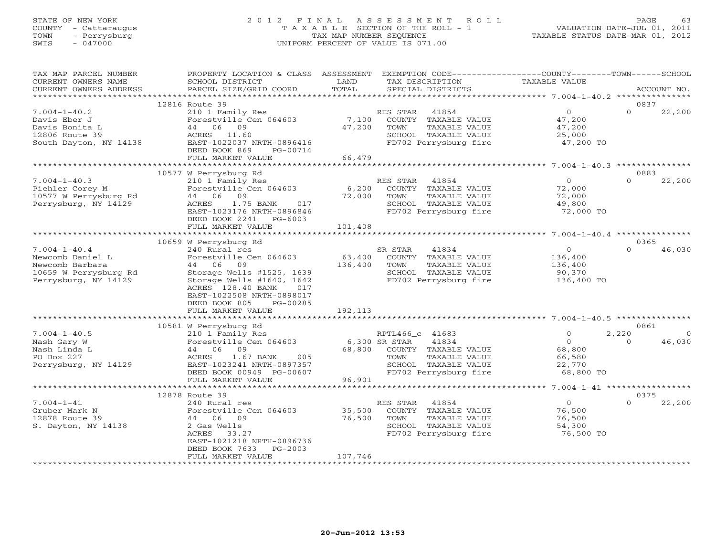# STATE OF NEW YORK 2 0 1 2 F I N A L A S S E S S M E N T R O L L PAGE 63 COUNTY - Cattaraugus T A X A B L E SECTION OF THE ROLL - 1 VALUATION DATE-JUL 01, 2011 TOWN - Perrysburg TAX MAP NUMBER SEQUENCE TAXABLE STATUS DATE-MAR 01, 2012 SWIS - 047000 UNIFORM PERCENT OF VALUE IS 071.00

| TAX MAP PARCEL NUMBER<br>CURRENT OWNERS NAME                               | PROPERTY LOCATION & CLASS ASSESSMENT<br>SCHOOL DISTRICT                                                                                               | LAND    | EXEMPTION CODE-----------------COUNTY-------TOWN------SCHOOL<br>TAX DESCRIPTION | TAXABLE VALUE       |          |             |
|----------------------------------------------------------------------------|-------------------------------------------------------------------------------------------------------------------------------------------------------|---------|---------------------------------------------------------------------------------|---------------------|----------|-------------|
| CURRENT OWNERS ADDRESS                                                     | PARCEL SIZE/GRID COORD                                                                                                                                | TOTAL   | SPECIAL DISTRICTS                                                               |                     |          | ACCOUNT NO. |
|                                                                            |                                                                                                                                                       |         |                                                                                 |                     |          |             |
|                                                                            | 12816 Route 39                                                                                                                                        |         |                                                                                 |                     | 0837     |             |
| $7.004 - 1 - 40.2$                                                         | 210 1 Family Res                                                                                                                                      |         | RES STAR<br>41854                                                               | $\overline{0}$      | $\Omega$ | 22,200      |
|                                                                            | Forestville Cen 064603                                                                                                                                | 7,100   | COUNTY TAXABLE VALUE                                                            | 47,200              |          |             |
|                                                                            | 44 06 09                                                                                                                                              | 47,200  | TAXABLE VALUE<br>TOWN                                                           | 47,200              |          |             |
| Davis Eber J<br>Davis Bonita L<br>12806 Route 39<br>South Dayton, NY 14138 | ACRES 11.60                                                                                                                                           |         | SCHOOL TAXABLE VALUE                                                            | 47,200<br>25,000    |          |             |
|                                                                            | EAST-1022037 NRTH-0896416                                                                                                                             |         | FD702 Perrysburg fire                                                           | 47,200 TO           |          |             |
|                                                                            | DEED BOOK 869<br>PG-00714                                                                                                                             |         |                                                                                 |                     |          |             |
|                                                                            | FULL MARKET VALUE                                                                                                                                     | 66,479  |                                                                                 |                     |          |             |
|                                                                            |                                                                                                                                                       |         |                                                                                 |                     |          |             |
|                                                                            | 10577 W Perrysburg Rd                                                                                                                                 |         |                                                                                 |                     | 0883     |             |
| $7.004 - 1 - 40.3$                                                         | n 1988 - 1988<br>210 1 Family Res<br>Forestville Cen 064603 6,200                                                                                     |         | RES STAR 41854                                                                  | $\overline{0}$      | $\Omega$ | 22,200      |
| Piehler Corey M                                                            |                                                                                                                                                       |         | COUNTY TAXABLE VALUE                                                            | 72,000              |          |             |
|                                                                            | 44 06 09                                                                                                                                              |         | TOWN<br>TAXABLE VALUE                                                           | 72,000              |          |             |
| 10577 W Perrysburg Rd<br>Perrysburg NY 14129<br>Perrysburg, NY 14129       | 1.75 BANK<br>017<br>ACRES                                                                                                                             | 72,000  | SCHOOL TAXABLE VALUE                                                            | 49,800              |          |             |
|                                                                            | EAST-1023176 NRTH-0896846                                                                                                                             |         | FD702 Perrysburg fire                                                           | 72,000 TO           |          |             |
|                                                                            | DEED BOOK 2241 PG-6003                                                                                                                                |         |                                                                                 |                     |          |             |
|                                                                            | FULL MARKET VALUE                                                                                                                                     | 101,408 |                                                                                 |                     |          |             |
| *********************                                                      |                                                                                                                                                       |         |                                                                                 |                     |          |             |
|                                                                            | 10659 W Perrysburg Rd                                                                                                                                 |         |                                                                                 |                     | 0365     |             |
| $7.004 - 1 - 40.4$                                                         |                                                                                                                                                       |         | SR STAR<br>41834                                                                | $\overline{0}$      | $\Omega$ | 46,030      |
| Newcomb Daniel L                                                           | 240 Rural res 51<br>Forestville Cen 064603 63,400                                                                                                     |         | COUNTY TAXABLE VALUE                                                            | 136,400             |          |             |
| Newcomb Barbara                                                            | 44 06 09                                                                                                                                              | 136,400 | TOWN<br>TAXABLE VALUE                                                           |                     |          |             |
| 10659 W Perrysburg Rd                                                      | Storage Wells #1525, 1639                                                                                                                             |         | SCHOOL TAXABLE VALUE                                                            | 136,400<br>90,370   |          |             |
| Perrysburg, NY 14129                                                       | Storage Wells #1640, 1642                                                                                                                             |         | FD702 Perrysburg fire                                                           | 136,400 TO          |          |             |
|                                                                            | ACRES 128.40 BANK<br>017                                                                                                                              |         |                                                                                 |                     |          |             |
|                                                                            | EAST-1022508 NRTH-0898017                                                                                                                             |         |                                                                                 |                     |          |             |
|                                                                            | PG-00285<br>DEED BOOK 805                                                                                                                             |         |                                                                                 |                     |          |             |
|                                                                            | FULL MARKET VALUE                                                                                                                                     | 192,113 |                                                                                 |                     |          |             |
|                                                                            |                                                                                                                                                       |         |                                                                                 |                     |          |             |
|                                                                            | 10581 W Perrysburg Rd                                                                                                                                 |         |                                                                                 |                     | 0861     |             |
| $7.004 - 1 - 40.5$                                                         |                                                                                                                                                       |         | RPTL466_c 41683                                                                 | $\circ$             | 2,220    | $\circ$     |
| Nash Gary W                                                                | 210 1 Family Res<br>Forestville Cen 064603 6,300 SR STAR                                                                                              |         | 41834                                                                           | $\overline{0}$      | $\Omega$ | 46,030      |
| Nash Linda L                                                               |                                                                                                                                                       |         | 68,800 COUNTY TAXABLE VALUE                                                     | 68,800              |          |             |
| PO Box 227                                                                 |                                                                                                                                                       |         | TOWN<br>TAXABLE VALUE                                                           |                     |          |             |
| Perrysburg, NY 14129                                                       |                                                                                                                                                       |         |                                                                                 | 66,580<br>22,770    |          |             |
|                                                                            |                                                                                                                                                       |         |                                                                                 |                     |          |             |
|                                                                            |                                                                                                                                                       |         |                                                                                 |                     |          |             |
|                                                                            | All 1 Family Res.<br>Forestville Cen 064603<br>44 06 09 68,800<br>ACRES 1.67 BANK 005<br>EAST-1023241 NRTH-0897357<br>TERN BOOK 00949 PG-00607 96,901 |         |                                                                                 |                     |          |             |
|                                                                            | 12878 Route 39                                                                                                                                        |         |                                                                                 |                     | 0375     |             |
| $7.004 - 1 - 41$                                                           | 240 Rural res                                                                                                                                         |         | RES STAR 41854                                                                  | $\overline{0}$      | $\Omega$ | 22,200      |
| Gruber Mark N                                                              | Forestville Cen 064603 35,500                                                                                                                         |         | COUNTY TAXABLE VALUE                                                            | 76,500              |          |             |
| 12878 Route 39                                                             | 44 06 09                                                                                                                                              | 76,500  | TOWN<br>TAXABLE VALUE                                                           | 76,500              |          |             |
| S. Dayton, NY 14138                                                        | 2 Gas Wells                                                                                                                                           |         | SCHOOL TAXABLE VALUE                                                            |                     |          |             |
|                                                                            | ACRES 33.27                                                                                                                                           |         | FD702 Perrysburg fire                                                           | 54,300<br>76,500 TO |          |             |
|                                                                            | EAST-1021218 NRTH-0896736                                                                                                                             |         |                                                                                 |                     |          |             |
|                                                                            | DEED BOOK 7633<br>PG-2003                                                                                                                             |         |                                                                                 |                     |          |             |
|                                                                            | FULL MARKET VALUE                                                                                                                                     | 107,746 |                                                                                 |                     |          |             |
|                                                                            |                                                                                                                                                       |         |                                                                                 |                     |          |             |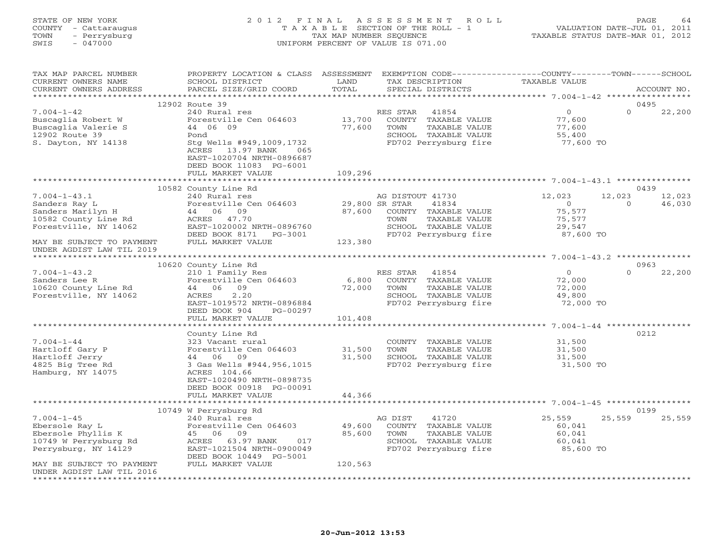# STATE OF NEW YORK 2 0 1 2 F I N A L A S S E S S M E N T R O L L PAGE 64 COUNTY - Cattaraugus T A X A B L E SECTION OF THE ROLL - 1 VALUATION DATE-JUL 01, 2011 TOWN - Perrysburg TAX MAP NUMBER SEQUENCE TAXABLE STATUS DATE-MAR 01, 2012 SWIS - 047000 UNIFORM PERCENT OF VALUE IS 071.00

| TAX MAP PARCEL NUMBER<br>CURRENT OWNERS NAME<br>CURRENT OWNERS ADDRESS                                    | PROPERTY LOCATION & CLASS ASSESSMENT<br>SCHOOL DISTRICT<br>PARCEL SIZE/GRID COORD                                                                                          | LAND<br>TOTAL    | EXEMPTION CODE-----------------COUNTY-------TOWN------SCHOOL<br>TAX DESCRIPTION<br>SPECIAL DISTRICTS                                          | TAXABLE VALUE                                                       | ACCOUNT NO.                           |
|-----------------------------------------------------------------------------------------------------------|----------------------------------------------------------------------------------------------------------------------------------------------------------------------------|------------------|-----------------------------------------------------------------------------------------------------------------------------------------------|---------------------------------------------------------------------|---------------------------------------|
| ***********************                                                                                   |                                                                                                                                                                            |                  |                                                                                                                                               |                                                                     |                                       |
|                                                                                                           | 12902 Route 39                                                                                                                                                             |                  |                                                                                                                                               |                                                                     | 0495                                  |
| $7.004 - 1 - 42$<br>Buscaglia Robert W<br>Buscaglia Valerie S<br>12902 Route 39<br>S. Dayton, NY 14138    | 240 Rural res<br>Forestville Cen 064603<br>44 06 09<br>Pond<br>Stg Wells #949,1009,1732<br>ACRES<br>13.97 BANK 065<br>EAST-1020704 NRTH-0896687<br>DEED BOOK 11083 PG-6001 | 13,700<br>77,600 | RES STAR<br>41854<br>COUNTY TAXABLE VALUE<br>TOWN<br>TAXABLE VALUE<br>SCHOOL TAXABLE VALUE<br>FD702 Perrysburg fire                           | $\overline{0}$<br>77,600<br>77,600<br>55,400<br>77,600 TO           | $\circ$<br>22,200                     |
|                                                                                                           | FULL MARKET VALUE                                                                                                                                                          | 109,296          |                                                                                                                                               |                                                                     |                                       |
|                                                                                                           |                                                                                                                                                                            |                  |                                                                                                                                               |                                                                     |                                       |
|                                                                                                           | 10582 County Line Rd                                                                                                                                                       |                  |                                                                                                                                               |                                                                     | 0439                                  |
| $7.004 - 1 - 43.1$<br>Sanders Ray L<br>Sanders Marilyn H<br>10582 County Line Rd<br>Forestville, NY 14062 | 240 Rural res<br>Forestville Cen 064603<br>44 06 09<br>ACRES 47.70<br>EAST-1020002 NRTH-0896760<br>DEED BOOK 8171 PG-3001                                                  | 87,600           | AG DISTOUT 41730<br>29,800 SR STAR<br>41834<br>COUNTY TAXABLE VALUE<br>TOWN<br>TAXABLE VALUE<br>SCHOOL TAXABLE VALUE<br>FD702 Perrysburg fire | 12,023<br>$\overline{O}$<br>75,577<br>75,577<br>29,547<br>87,600 TO | 12,023<br>12,023<br>46,030<br>$\circ$ |
| MAY BE SUBJECT TO PAYMENT                                                                                 | FULL MARKET VALUE                                                                                                                                                          | 123,380          |                                                                                                                                               |                                                                     |                                       |
| UNDER AGDIST LAW TIL 2019                                                                                 |                                                                                                                                                                            |                  |                                                                                                                                               |                                                                     |                                       |
| **************                                                                                            |                                                                                                                                                                            |                  |                                                                                                                                               |                                                                     |                                       |
|                                                                                                           | 10620 County Line Rd                                                                                                                                                       |                  |                                                                                                                                               |                                                                     | 0963                                  |
| $7.004 - 1 - 43.2$                                                                                        | 210 1 Family Res                                                                                                                                                           |                  | RES STAR<br>41854                                                                                                                             | $0 \qquad \qquad$                                                   | $\Omega$<br>22,200                    |
| Sanders Lee R<br>10620 County Line Rd                                                                     | Forestville Cen 064603<br>44 06 09                                                                                                                                         | 6,800<br>72,000  | COUNTY TAXABLE VALUE<br>TOWN<br>TAXABLE VALUE                                                                                                 | 72,000                                                              |                                       |
| Forestville, NY 14062                                                                                     | ACRES<br>2.20                                                                                                                                                              |                  | SCHOOL TAXABLE VALUE                                                                                                                          | 72,000<br>49,800                                                    |                                       |
|                                                                                                           | EAST-1019572 NRTH-0896884                                                                                                                                                  |                  | FD702 Perrysburg fire                                                                                                                         | 72,000 TO                                                           |                                       |
|                                                                                                           | DEED BOOK 904<br>PG-00297                                                                                                                                                  |                  |                                                                                                                                               |                                                                     |                                       |
|                                                                                                           | FULL MARKET VALUE                                                                                                                                                          | 101,408          |                                                                                                                                               |                                                                     |                                       |
|                                                                                                           |                                                                                                                                                                            |                  |                                                                                                                                               |                                                                     |                                       |
|                                                                                                           | County Line Rd                                                                                                                                                             |                  |                                                                                                                                               |                                                                     | 0212                                  |
| $7.004 - 1 - 44$                                                                                          | 323 Vacant rural                                                                                                                                                           |                  | COUNTY TAXABLE VALUE                                                                                                                          | 31,500                                                              |                                       |
| Hartloff Gary P                                                                                           | Forestville Cen 064603                                                                                                                                                     | 31,500           | TOWN<br>TAXABLE VALUE                                                                                                                         | 31,500                                                              |                                       |
| Hartloff Jerry<br>4825 Big Tree Rd                                                                        | 44 06 09<br>3 Gas Wells #944,956,1015                                                                                                                                      | 31,500           | SCHOOL TAXABLE VALUE<br>FD702 Perrysburg fire                                                                                                 | 31,500<br>31,500 TO                                                 |                                       |
| Hamburg, NY 14075                                                                                         | ACRES 104.66<br>EAST-1020490 NRTH-0898735<br>DEED BOOK 00918 PG-00091                                                                                                      |                  |                                                                                                                                               |                                                                     |                                       |
|                                                                                                           | FULL MARKET VALUE                                                                                                                                                          | 44,366           |                                                                                                                                               |                                                                     |                                       |
|                                                                                                           |                                                                                                                                                                            |                  |                                                                                                                                               |                                                                     |                                       |
|                                                                                                           | 10749 W Perrysburg Rd                                                                                                                                                      |                  |                                                                                                                                               |                                                                     | 0199                                  |
| $7.004 - 1 - 45$                                                                                          | 240 Rural res                                                                                                                                                              |                  | AG DIST<br>41720                                                                                                                              | 25,559                                                              | 25,559<br>25,559                      |
| Ebersole Ray L                                                                                            | Forestville Cen 064603                                                                                                                                                     | 49,600           | COUNTY TAXABLE VALUE                                                                                                                          | 60,041                                                              |                                       |
| Ebersole Phyllis K                                                                                        | 45 06 09                                                                                                                                                                   | 85,600           | TOWN<br>TAXABLE VALUE                                                                                                                         | 60,041                                                              |                                       |
| 10749 W Perrysburg Rd<br>Perrysburg, NY 14129                                                             | 63.97 BANK<br>ACRES<br>017<br>EAST-1021504 NRTH-0900049<br>DEED BOOK 10449 PG-5001                                                                                         |                  | SCHOOL TAXABLE VALUE<br>FD702 Perrysburg fire                                                                                                 | 60,041<br>85,600 TO                                                 |                                       |
| MAY BE SUBJECT TO PAYMENT<br>UNDER AGDIST LAW TIL 2016<br>********************                            | FULL MARKET VALUE                                                                                                                                                          | 120,563          |                                                                                                                                               |                                                                     |                                       |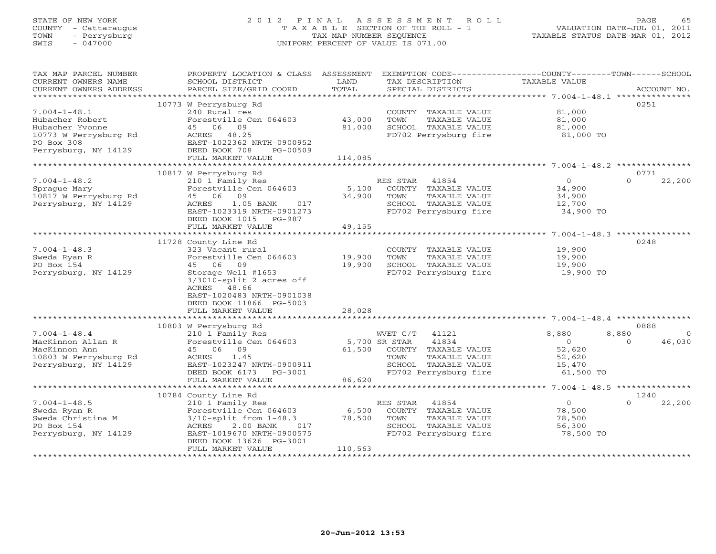# STATE OF NEW YORK 2 0 1 2 F I N A L A S S E S S M E N T R O L L PAGE 65 COUNTY - Cattaraugus T A X A B L E SECTION OF THE ROLL - 1 VALUATION DATE-JUL 01, 2011 TOWN - Perrysburg TAX MAP NUMBER SEQUENCE TAXABLE STATUS DATE-MAR 01, 2012 SWIS - 047000 UNIFORM PERCENT OF VALUE IS 071.00

| TAX MAP PARCEL NUMBER<br>CURRENT OWNERS NAME<br>CURRENT OWNERS ADDRESS | PROPERTY LOCATION & CLASS ASSESSMENT<br>SCHOOL DISTRICT<br>PARCEL SIZE/GRID COORD | LAND<br>TOTAL | TAX DESCRIPTION<br>SPECIAL DISTRICTS | EXEMPTION CODE----------------COUNTY-------TOWN------SCHOOL<br><b>TAXABLE VALUE</b> | ACCOUNT NO.        |
|------------------------------------------------------------------------|-----------------------------------------------------------------------------------|---------------|--------------------------------------|-------------------------------------------------------------------------------------|--------------------|
| ************************                                               |                                                                                   |               |                                      |                                                                                     |                    |
|                                                                        | 10773 W Perrysburg Rd                                                             |               |                                      |                                                                                     | 0251               |
| $7.004 - 1 - 48.1$                                                     | 240 Rural res                                                                     |               | COUNTY TAXABLE VALUE                 | 81,000                                                                              |                    |
| Hubacher Robert                                                        | Forestville Cen 064603                                                            | 43,000        | TOWN<br>TAXABLE VALUE                | 81,000                                                                              |                    |
| Hubacher Yvonne                                                        | 45 06<br>09                                                                       | 81,000        | SCHOOL TAXABLE VALUE                 | 81,000                                                                              |                    |
| 10773 W Perrysburg Rd                                                  | 48.25<br>ACRES                                                                    |               | FD702 Perrysburg fire                | 81,000 TO                                                                           |                    |
| PO Box 308<br>Perrysburg, NY 14129                                     | EAST-1022362 NRTH-0900952<br>DEED BOOK 708<br>PG-00509                            |               |                                      |                                                                                     |                    |
|                                                                        | FULL MARKET VALUE                                                                 | 114,085       |                                      |                                                                                     |                    |
|                                                                        |                                                                                   |               |                                      |                                                                                     |                    |
|                                                                        | 10817 W Perrysburg Rd                                                             |               |                                      |                                                                                     | 0771               |
| $7.004 - 1 - 48.2$                                                     | 210 1 Family Res                                                                  |               | RES STAR<br>41854                    | $\Omega$                                                                            | $\Omega$<br>22,200 |
| Spraque Mary                                                           | Forestville Cen 064603                                                            | 5,100         | COUNTY TAXABLE VALUE                 | 34,900                                                                              |                    |
| 10817 W Perrysburg Rd                                                  | 45 06<br>09                                                                       | 34,900        | TOWN<br>TAXABLE VALUE                | 34,900                                                                              |                    |
| Perrysburg, NY 14129                                                   | 1.05 BANK<br>017<br>ACRES                                                         |               | SCHOOL TAXABLE VALUE                 | 12,700                                                                              |                    |
|                                                                        | EAST-1023319 NRTH-0901273                                                         |               | FD702 Perrysburg fire                | 34,900 TO                                                                           |                    |
|                                                                        | DEED BOOK 1015 PG-987                                                             |               |                                      |                                                                                     |                    |
|                                                                        | FULL MARKET VALUE                                                                 | 49,155        |                                      |                                                                                     |                    |
|                                                                        | *****************************                                                     |               |                                      |                                                                                     |                    |
|                                                                        | 11728 County Line Rd                                                              |               |                                      |                                                                                     | 0248               |
| $7.004 - 1 - 48.3$                                                     | 323 Vacant rural                                                                  |               | COUNTY TAXABLE VALUE                 | 19,900                                                                              |                    |
| Sweda Ryan R                                                           | Forestville Cen 064603                                                            | 19,900        | TOWN<br>TAXABLE VALUE                | 19,900                                                                              |                    |
| PO Box 154                                                             | 45 06 09                                                                          | 19,900        | SCHOOL TAXABLE VALUE                 | 19,900                                                                              |                    |
| Perrysburg, NY 14129                                                   | Storage Well #1653<br>$3/3010$ -split 2 acres off                                 |               | FD702 Perrysburg fire                | 19,900 TO                                                                           |                    |
|                                                                        | ACRES 48.66                                                                       |               |                                      |                                                                                     |                    |
|                                                                        | EAST-1020483 NRTH-0901038                                                         |               |                                      |                                                                                     |                    |
|                                                                        | DEED BOOK 11866 PG-5003                                                           |               |                                      |                                                                                     |                    |
|                                                                        | FULL MARKET VALUE                                                                 | 28,028        |                                      |                                                                                     |                    |
|                                                                        |                                                                                   |               |                                      |                                                                                     |                    |
|                                                                        | 10803 W Perrysburg Rd                                                             |               |                                      |                                                                                     | 0888               |
| $7.004 - 1 - 48.4$                                                     | 210 1 Family Res                                                                  |               | WVET C/T<br>41121                    | 8,880<br>8,880                                                                      | $\Omega$           |
| MacKinnon Allan R                                                      | Forestville Cen 064603                                                            |               | 41834<br>5,700 SR STAR               | $\Omega$                                                                            | 46,030<br>$\Omega$ |
| MacKinnon Ann                                                          | 45 06 09                                                                          | 61,500        | COUNTY TAXABLE VALUE                 | 52,620                                                                              |                    |
| 10803 W Perrysburg Rd                                                  | ACRES<br>1.45                                                                     |               | TAXABLE VALUE<br>TOWN                | 52,620                                                                              |                    |
| Perrysburg, NY 14129                                                   | EAST-1023247 NRTH-0900911                                                         |               | SCHOOL TAXABLE VALUE                 | 15,470                                                                              |                    |
|                                                                        | DEED BOOK 6173<br>PG-3001                                                         |               | FD702 Perrysburg fire                | 61,500 TO                                                                           |                    |
|                                                                        | FULL MARKET VALUE<br>*********************                                        | 86,620        |                                      | ********** 7.004-1-48.5 ****************                                            |                    |
|                                                                        | 10784 County Line Rd                                                              |               |                                      |                                                                                     | 1240               |
| $7.004 - 1 - 48.5$                                                     | 210 1 Family Res                                                                  |               | RES STAR<br>41854                    | $\overline{O}$                                                                      | $\Omega$<br>22,200 |
| Sweda Ryan R                                                           | Forestville Cen 064603                                                            | 6,500         | COUNTY TAXABLE VALUE                 | 78,500                                                                              |                    |
| Sweda Christina M                                                      | $3/10$ -split from $1-48.3$                                                       | 78,500        | TOWN<br>TAXABLE VALUE                | 78,500                                                                              |                    |
| PO Box 154                                                             | 2.00 BANK<br>017<br>ACRES                                                         |               | SCHOOL TAXABLE VALUE                 | 56,300                                                                              |                    |
| Perrysburg, NY 14129                                                   | EAST-1019670 NRTH-0900575                                                         |               | FD702 Perrysburg fire                | 78,500 TO                                                                           |                    |
|                                                                        | DEED BOOK 13626 PG-3001                                                           |               |                                      |                                                                                     |                    |
|                                                                        | FULL MARKET VALUE                                                                 | 110,563       |                                      |                                                                                     |                    |
|                                                                        |                                                                                   |               |                                      |                                                                                     |                    |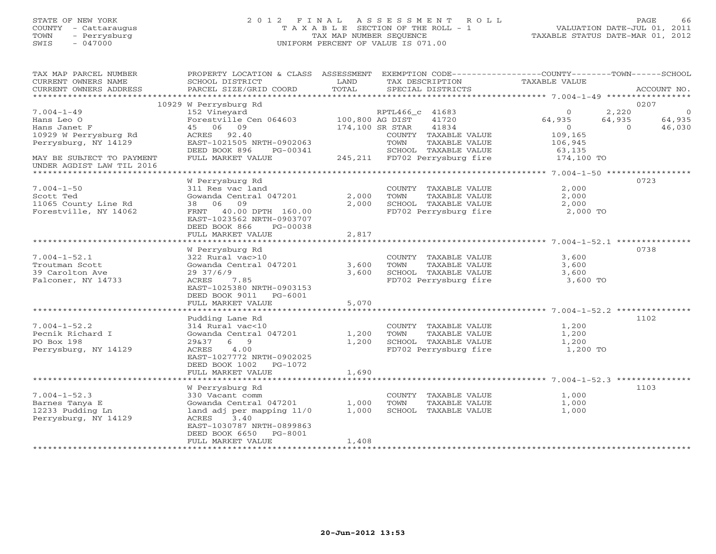# STATE OF NEW YORK 2 0 1 2 F I N A L A S S E S S M E N T R O L L PAGE 66 COUNTY - Cattaraugus T A X A B L E SECTION OF THE ROLL - 1 VALUATION DATE-JUL 01, 2011 TOWN - Perrysburg TAX MAP NUMBER SEQUENCE TAXABLE STATUS DATE-MAR 01, 2012 SWIS - 047000 UNIFORM PERCENT OF VALUE IS 071.00

| TAX MAP PARCEL NUMBER     | PROPERTY LOCATION & CLASS ASSESSMENT EXEMPTION CODE----------------COUNTY-------TOWN------SCHOOL |       |                 |                       |                                                                               |           |                |
|---------------------------|--------------------------------------------------------------------------------------------------|-------|-----------------|-----------------------|-------------------------------------------------------------------------------|-----------|----------------|
| CURRENT OWNERS NAME       | SCHOOL DISTRICT                                                                                  | LAND  |                 | TAX DESCRIPTION       | TAXABLE VALUE                                                                 |           |                |
| CURRENT OWNERS ADDRESS    | PARCEL SIZE/GRID COORD                                                                           | TOTAL |                 | SPECIAL DISTRICTS     |                                                                               |           | ACCOUNT NO.    |
| ************************  |                                                                                                  |       |                 |                       |                                                                               |           |                |
|                           | 10929 W Perrysburg Rd                                                                            |       |                 |                       |                                                                               |           | 0207           |
| $7.004 - 1 - 49$          | 152 Vineyard<br>Forestville Cen 064603 100,800 AG DIST 41720                                     |       |                 |                       | $\circ$                                                                       | 2,220     | $\overline{0}$ |
| Hans Leo O                |                                                                                                  |       |                 |                       | 64,935                                                                        | 64,935    | 64,935         |
| Hans Janet F              | 45 06 09                                                                                         |       | 174,100 SR STAR | 41834                 | $\overline{0}$                                                                | $\bigcap$ | 46,030         |
| 10929 W Perrysburg Rd     | ACRES 92.40                                                                                      |       |                 | COUNTY TAXABLE VALUE  | 109,165                                                                       |           |                |
| Perrysburg, NY 14129      | EAST-1021505 NRTH-0902063                                                                        |       | TOWN            | TAXABLE VALUE         | 106,945                                                                       |           |                |
|                           | DEED BOOK 896<br>PG-00341                                                                        |       |                 |                       | 00341 SCHOOL TAXABLE VALUE 63,135<br>245,211 FD702 Perrysburg fire 174,100 TO |           |                |
| MAY BE SUBJECT TO PAYMENT | FULL MARKET VALUE                                                                                |       |                 |                       |                                                                               |           |                |
| UNDER AGDIST LAW TIL 2016 |                                                                                                  |       |                 |                       |                                                                               |           |                |
|                           |                                                                                                  |       |                 |                       |                                                                               |           |                |
|                           | W Perrysburg Rd                                                                                  |       |                 |                       |                                                                               |           | 0723           |
| $7.004 - 1 - 50$          | 311 Res vac land                                                                                 |       |                 | COUNTY TAXABLE VALUE  | 2,000                                                                         |           |                |
| Scott Ted                 | Gowanda Central 047201                                                                           | 2,000 | TOWN            | TAXABLE VALUE         | 2,000                                                                         |           |                |
| 11065 County Line Rd      | 38 06 09                                                                                         | 2,000 |                 | SCHOOL TAXABLE VALUE  | 2,000                                                                         |           |                |
| Forestville, NY 14062     | FRNT 40.00 DPTH 160.00                                                                           |       |                 | FD702 Perrysburg fire | 2,000 TO                                                                      |           |                |
|                           | EAST-1023562 NRTH-0903707                                                                        |       |                 |                       |                                                                               |           |                |
|                           | DEED BOOK 866 PG-00038                                                                           |       |                 |                       |                                                                               |           |                |
|                           | FULL MARKET VALUE                                                                                | 2,817 |                 |                       |                                                                               |           |                |
|                           |                                                                                                  |       |                 |                       |                                                                               |           |                |
|                           | W Perrysburg Rd                                                                                  |       |                 |                       |                                                                               |           | 0738           |
| $7.004 - 1 - 52.1$        | 322 Rural vac>10                                                                                 |       |                 | COUNTY TAXABLE VALUE  | 3,600                                                                         |           |                |
| Troutman Scott            | Gowanda Central 047201                                                                           | 3,600 | TOWN            | TAXABLE VALUE         | 3,600                                                                         |           |                |
| 39 Carolton Ave           | 29 37/6/9                                                                                        | 3,600 |                 |                       | SCHOOL TAXABLE VALUE 3,600<br>FD702 Perrysburg fire 3,600 TO                  |           |                |
| Falconer, NY 14733        | 7.85<br>ACRES                                                                                    |       |                 |                       |                                                                               |           |                |
|                           | EAST-1025380 NRTH-0903153                                                                        |       |                 |                       |                                                                               |           |                |
|                           | DEED BOOK 9011 PG-6001                                                                           |       |                 |                       |                                                                               |           |                |
|                           | FULL MARKET VALUE                                                                                | 5,070 |                 |                       |                                                                               |           |                |
|                           |                                                                                                  |       |                 |                       |                                                                               |           |                |
|                           | Pudding Lane Rd                                                                                  |       |                 |                       |                                                                               |           | 1102           |
| $7.004 - 1 - 52.2$        | 314 Rural vac<10                                                                                 |       |                 |                       | COUNTY TAXABLE VALUE 1,200                                                    |           |                |
| Pecnik Richard I          | Gowanda Central 047201                                                                           | 1,200 | TOWN            | TAXABLE VALUE         | 1,200                                                                         |           |                |
| PO Box 198                | 29&37 6 9                                                                                        | 1,200 |                 | SCHOOL TAXABLE VALUE  | 1,200                                                                         |           |                |
| Perrysburg, NY 14129      | ACRES 4.00                                                                                       |       |                 | FD702 Perrysburg fire | 1,200 TO                                                                      |           |                |
|                           | EAST-1027772 NRTH-0902025                                                                        |       |                 |                       |                                                                               |           |                |
|                           | DEED BOOK 1002 PG-1072                                                                           |       |                 |                       |                                                                               |           |                |
|                           | FULL MARKET VALUE                                                                                | 1,690 |                 |                       |                                                                               |           |                |
|                           |                                                                                                  |       |                 |                       |                                                                               |           |                |
|                           | W Perrysburg Rd                                                                                  |       |                 |                       |                                                                               |           | 1103           |
| $7.004 - 1 - 52.3$        | 330 Vacant comm                                                                                  |       |                 | COUNTY TAXABLE VALUE  | 1,000                                                                         |           |                |
| Barnes Tanya E            | Gowanda Central 047201 1,000                                                                     |       | TOWN            | TAXABLE VALUE         | 1,000                                                                         |           |                |
| 12233 Pudding Ln          | land adj per mapping 11/0                                                                        | 1,000 |                 | SCHOOL TAXABLE VALUE  | 1,000                                                                         |           |                |
| Perrysburg, NY 14129      | ACRES<br>3.40                                                                                    |       |                 |                       |                                                                               |           |                |
|                           | EAST-1030787 NRTH-0899863                                                                        |       |                 |                       |                                                                               |           |                |
|                           | DEED BOOK 6650 PG-8001                                                                           |       |                 |                       |                                                                               |           |                |
|                           | FULL MARKET VALUE                                                                                | 1,408 |                 |                       |                                                                               |           |                |
| *********************     |                                                                                                  |       |                 |                       |                                                                               |           |                |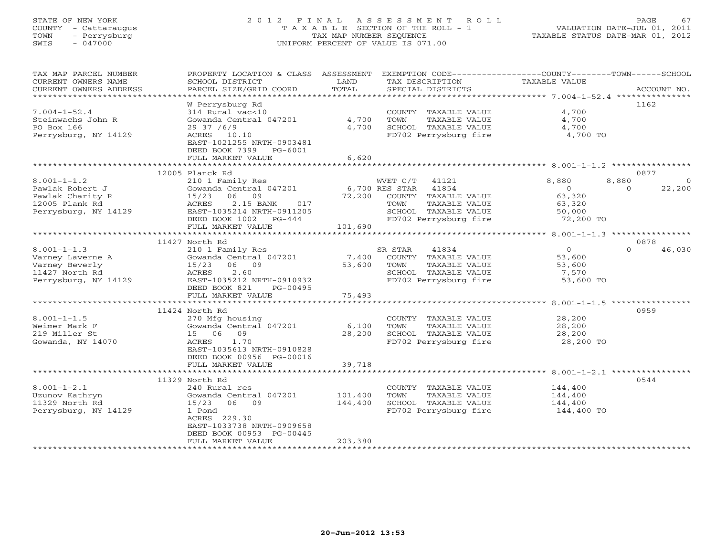# STATE OF NEW YORK 2 0 1 2 F I N A L A S S E S S M E N T R O L L PAGE 67 COUNTY - Cattaraugus T A X A B L E SECTION OF THE ROLL - 1 VALUATION DATE-JUL 01, 2011 TOWN - Perrysburg TAX MAP NUMBER SEQUENCE TAXABLE STATUS DATE-MAR 01, 2012 SWIS - 047000 UNIFORM PERCENT OF VALUE IS 071.00

| TAX MAP PARCEL NUMBER  | PROPERTY LOCATION & CLASS ASSESSMENT |                | EXEMPTION CODE-----------------COUNTY-------TOWN------SCHOOL |                |                    |
|------------------------|--------------------------------------|----------------|--------------------------------------------------------------|----------------|--------------------|
| CURRENT OWNERS NAME    | SCHOOL DISTRICT                      | LAND           | TAX DESCRIPTION                                              | TAXABLE VALUE  |                    |
| CURRENT OWNERS ADDRESS | PARCEL SIZE/GRID COORD               | TOTAL          | SPECIAL DISTRICTS                                            |                | ACCOUNT NO.        |
| *****************      |                                      |                |                                                              |                |                    |
|                        | W Perrysburg Rd                      |                |                                                              |                | 1162               |
| $7.004 - 1 - 52.4$     | 314 Rural vac<10                     |                | COUNTY TAXABLE VALUE                                         | 4,700          |                    |
| Steinwachs John R      | Gowanda Central 047201               | 4,700          | TAXABLE VALUE<br>TOWN                                        | 4,700          |                    |
| PO Box 166             | 2937 / 6/9                           | 4,700          | SCHOOL TAXABLE VALUE                                         | 4,700          |                    |
| Perrysburg, NY 14129   | ACRES 10.10                          |                | FD702 Perrysburg fire                                        | 4,700 TO       |                    |
|                        | EAST-1021255 NRTH-0903481            |                |                                                              |                |                    |
|                        | DEED BOOK 7399 PG-6001               |                |                                                              |                |                    |
|                        | FULL MARKET VALUE                    | 6,620          |                                                              |                |                    |
|                        |                                      |                |                                                              |                |                    |
|                        | 12005 Planck Rd                      |                |                                                              |                | 0877               |
| $8.001 - 1 - 1.2$      | 210 1 Family Res                     |                | WVET C/T<br>41121                                            | 8,880          | 8,880<br>$\Omega$  |
| Pawlak Robert J        | Gowanda Central 047201               | 6,700 RES STAR | 41854                                                        | $\overline{0}$ | 22,200<br>$\Omega$ |
| Pawlak Charity R       | 15/23<br>06 09                       | 72,200         | COUNTY TAXABLE VALUE                                         | 63,320         |                    |
|                        | 017                                  |                | TOWN                                                         |                |                    |
| 12005 Plank Rd         | 2.15 BANK<br>ACRES                   |                | TAXABLE VALUE                                                | 63,320         |                    |
| Perrysburg, NY 14129   | EAST-1035214 NRTH-0911205            |                | SCHOOL TAXABLE VALUE                                         | 50,000         |                    |
|                        | DEED BOOK 1002 PG-444                |                | FD702 Perrysburg fire                                        | 72,200 TO      |                    |
|                        | FULL MARKET VALUE                    | 101,690        |                                                              |                |                    |
|                        |                                      |                |                                                              |                |                    |
|                        | 11427 North Rd                       |                |                                                              |                | 0878               |
| $8.001 - 1 - 1.3$      | 210 1 Family Res                     |                | 41834<br>SR STAR                                             | $\Omega$       | $\cap$<br>46,030   |
| Varney Laverne A       | Gowanda Central 047201               | 7,400          | COUNTY TAXABLE VALUE                                         | 53,600         |                    |
| Varney Beverly         | 15/23 06 09                          | 53,600         | TOWN<br>TAXABLE VALUE                                        | 53,600         |                    |
| 11427 North Rd         | 2.60<br>ACRES                        |                | SCHOOL TAXABLE VALUE                                         | 7,570          |                    |
| Perrysburg, NY 14129   | EAST-1035212 NRTH-0910932            |                | FD702 Perrysburg fire                                        | 53,600 TO      |                    |
|                        | DEED BOOK 821<br>PG-00495            |                |                                                              |                |                    |
|                        | FULL MARKET VALUE                    | 75,493         |                                                              |                |                    |
|                        |                                      |                |                                                              |                |                    |
|                        | 11424 North Rd                       |                |                                                              |                | 0959               |
| $8.001 - 1 - 1.5$      | 270 Mfg housing                      |                | COUNTY TAXABLE VALUE                                         | 28,200         |                    |
| Weimer Mark F          | Gowanda Central 047201               | 6,100          | TOWN<br>TAXABLE VALUE                                        | 28,200         |                    |
| 219 Miller St          | 15 06 09                             | 28,200         | SCHOOL TAXABLE VALUE                                         | 28,200         |                    |
| Gowanda, NY 14070      | ACRES<br>1.70                        |                | FD702 Perrysburg fire                                        | 28,200 TO      |                    |
|                        | EAST-1035613 NRTH-0910828            |                |                                                              |                |                    |
|                        | DEED BOOK 00956 PG-00016             |                |                                                              |                |                    |
|                        | FULL MARKET VALUE                    | 39,718         |                                                              |                |                    |
|                        |                                      |                |                                                              |                |                    |
|                        | 11329 North Rd                       |                |                                                              |                | 0544               |
| $8.001 - 1 - 2.1$      | 240 Rural res                        |                | COUNTY TAXABLE VALUE                                         | 144,400        |                    |
| Uzunov Kathryn         | Gowanda Central 047201               | 101,400        | TOWN<br>TAXABLE VALUE                                        | 144,400        |                    |
| 11329 North Rd         | 15/23 06 09                          | 144,400        | SCHOOL TAXABLE VALUE                                         | 144,400        |                    |
| Perrysburg, NY 14129   | 1 Pond                               |                | FD702 Perrysburg fire                                        | 144,400 TO     |                    |
|                        | ACRES 229.30                         |                |                                                              |                |                    |
|                        | EAST-1033738 NRTH-0909658            |                |                                                              |                |                    |
|                        | DEED BOOK 00953 PG-00445             |                |                                                              |                |                    |
|                        | FULL MARKET VALUE                    | 203,380        |                                                              |                |                    |
|                        |                                      |                |                                                              |                |                    |
|                        |                                      |                |                                                              |                |                    |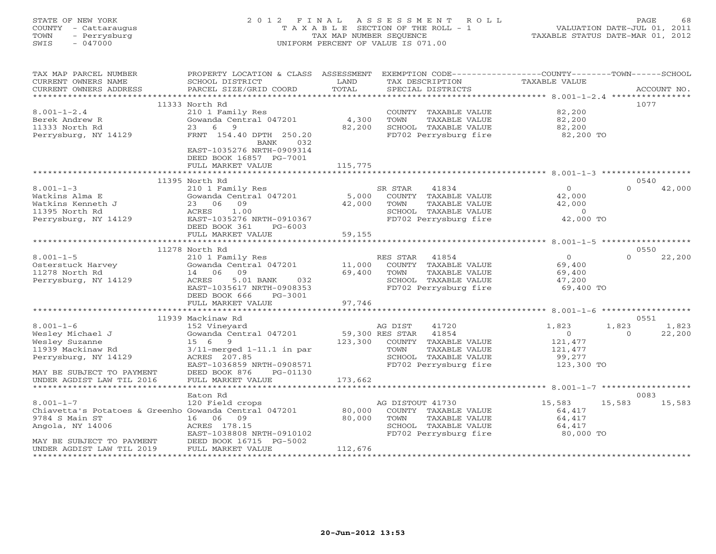# STATE OF NEW YORK 2 0 1 2 F I N A L A S S E S S M E N T R O L L PAGE 68 COUNTY - Cattaraugus T A X A B L E SECTION OF THE ROLL - 1 VALUATION DATE-JUL 01, 2011 TOWN - Perrysburg TAX MAP NUMBER SEQUENCE TAXABLE STATUS DATE-MAR 01, 2012 SWIS - 047000 UNIFORM PERCENT OF VALUE IS 071.00

| TAX MAP PARCEL NUMBER<br>CURRENT OWNERS NAME<br>CURRENT OWNERS ADDRESS                           | PROPERTY LOCATION & CLASS ASSESSMENT<br>SCHOOL DISTRICT<br>PARCEL SIZE/GRID COORD                                                   | LAND<br>TOTAL   | EXEMPTION CODE----------------COUNTY-------TOWN------SCHOOL<br>TAX DESCRIPTION<br>SPECIAL DISTRICTS                | TAXABLE VALUE                                        | ACCOUNT NO.                          |
|--------------------------------------------------------------------------------------------------|-------------------------------------------------------------------------------------------------------------------------------------|-----------------|--------------------------------------------------------------------------------------------------------------------|------------------------------------------------------|--------------------------------------|
|                                                                                                  |                                                                                                                                     |                 |                                                                                                                    |                                                      |                                      |
|                                                                                                  | 11333 North Rd                                                                                                                      |                 |                                                                                                                    |                                                      | 1077                                 |
| $8.001 - 1 - 2.4$<br>Berek Andrew R<br>11333 North Rd                                            | 210 1 Family Res<br>Gowanda Central 047201<br>6 9<br>23                                                                             | 4,300<br>82,200 | COUNTY TAXABLE VALUE<br>TOWN<br>TAXABLE VALUE<br>SCHOOL TAXABLE VALUE                                              | 82,200<br>82,200<br>82,200                           |                                      |
| Perrysburg, NY 14129                                                                             | FRNT 154.40 DPTH 250.20<br>032<br>BANK<br>EAST-1035276 NRTH-0909314<br>DEED BOOK 16857 PG-7001<br>FULL MARKET VALUE                 | 115,775         | FD702 Perrysburg fire                                                                                              | 82,200 TO                                            |                                      |
|                                                                                                  |                                                                                                                                     |                 |                                                                                                                    |                                                      |                                      |
|                                                                                                  | 11395 North Rd                                                                                                                      |                 |                                                                                                                    |                                                      | 0540                                 |
| $8.001 - 1 - 3$<br>Watkins Alma E<br>Watkins Kenneth J<br>11395 North Rd<br>Perrysburg, NY 14129 | 210 1 Family Res<br>Gowanda Central 047201<br>23 06<br>09<br>ACRES<br>1.00<br>EAST-1035276 NRTH-0910367<br>DEED BOOK 361<br>PG-6003 | 5,000<br>42,000 | 41834<br>SR STAR<br>COUNTY TAXABLE VALUE<br>TOWN<br>TAXABLE VALUE<br>SCHOOL TAXABLE VALUE<br>FD702 Perrysburg fire | $\Omega$<br>42,000<br>42,000<br>$\circ$<br>42,000 TO | $\cap$<br>42,000                     |
|                                                                                                  | FULL MARKET VALUE                                                                                                                   | 59,155          |                                                                                                                    |                                                      |                                      |
|                                                                                                  |                                                                                                                                     |                 |                                                                                                                    |                                                      |                                      |
|                                                                                                  | 11278 North Rd                                                                                                                      |                 |                                                                                                                    |                                                      | 0550                                 |
| $8.001 - 1 - 5$                                                                                  | 210 1 Family Res<br>Gowanda Central 047201                                                                                          | 11,000          | RES STAR<br>41854<br>COUNTY TAXABLE VALUE                                                                          | $\Omega$<br>69,400                                   | 22,200<br>$\cap$                     |
| Osterstuck Harvey<br>11278 North Rd                                                              | 14 06 09                                                                                                                            | 69,400          | TOWN<br>TAXABLE VALUE                                                                                              | 69,400                                               |                                      |
| Perrysburg, NY 14129                                                                             | ACRES<br>5.01 BANK<br>032                                                                                                           |                 | SCHOOL TAXABLE VALUE                                                                                               | 47,200                                               |                                      |
|                                                                                                  | EAST-1035617 NRTH-0908353<br>DEED BOOK 666<br>PG-3001                                                                               |                 | FD702 Perrysburg fire                                                                                              | 69,400 TO                                            |                                      |
|                                                                                                  | FULL MARKET VALUE                                                                                                                   | 97,746          |                                                                                                                    |                                                      |                                      |
|                                                                                                  |                                                                                                                                     |                 |                                                                                                                    |                                                      |                                      |
| $8.001 - 1 - 6$                                                                                  | 11939 Mackinaw Rd                                                                                                                   |                 | 41720                                                                                                              |                                                      | 0551                                 |
| Wesley Michael J                                                                                 | 152 Vineyard<br>Gowanda Central 047201                                                                                              | 59,300 RES STAR | AG DIST<br>41854                                                                                                   | 1,823<br>$\overline{0}$                              | 1,823<br>1,823<br>22,200<br>$\Omega$ |
| Wesley Suzanne                                                                                   | 15 6<br>9                                                                                                                           | 123,300         | COUNTY TAXABLE VALUE                                                                                               | 121,477                                              |                                      |
| 11939 Mackinaw Rd                                                                                | $3/11$ -merged $1-11.1$ in par                                                                                                      |                 | TOWN<br>TAXABLE VALUE                                                                                              | 121,477                                              |                                      |
| Perrysburg, NY 14129                                                                             | ACRES 207.85                                                                                                                        |                 | SCHOOL TAXABLE VALUE                                                                                               | 99,277                                               |                                      |
|                                                                                                  | EAST-1036859 NRTH-0908571                                                                                                           |                 | FD702 Perrysburg fire                                                                                              | 123,300 TO                                           |                                      |
| MAY BE SUBJECT TO PAYMENT                                                                        | DEED BOOK 876<br>PG-01130                                                                                                           |                 |                                                                                                                    |                                                      |                                      |
| UNDER AGDIST LAW TIL 2016<br>*********************                                               | FULL MARKET VALUE<br>* * * * * * * * * * * * * * * * * * * *                                                                        | 173,662         |                                                                                                                    |                                                      |                                      |
|                                                                                                  | Eaton Rd                                                                                                                            |                 |                                                                                                                    |                                                      | 0083                                 |
| $8.001 - 1 - 7$                                                                                  | 120 Field crops                                                                                                                     |                 | AG DISTOUT 41730                                                                                                   | 15,583                                               | 15,583<br>15,583                     |
| Chiavetta's Potatoes & Greenho Gowanda Central 047201                                            |                                                                                                                                     | 80,000          | COUNTY TAXABLE VALUE                                                                                               | 64,417                                               |                                      |
| 9784 S Main ST                                                                                   | 16 06<br>09                                                                                                                         | 80,000          | TAXABLE VALUE<br>TOWN                                                                                              | 64,417                                               |                                      |
| Angola, NY 14006                                                                                 | ACRES 178.15                                                                                                                        |                 | SCHOOL TAXABLE VALUE                                                                                               | 64,417                                               |                                      |
|                                                                                                  | EAST-1038808 NRTH-0910102                                                                                                           |                 | FD702 Perrysburg fire                                                                                              | 80,000 TO                                            |                                      |
| MAY BE SUBJECT TO PAYMENT                                                                        | DEED BOOK 16715 PG-5002                                                                                                             |                 |                                                                                                                    |                                                      |                                      |
| UNDER AGDIST LAW TIL 2019                                                                        | FULL MARKET VALUE                                                                                                                   | 112,676         |                                                                                                                    |                                                      |                                      |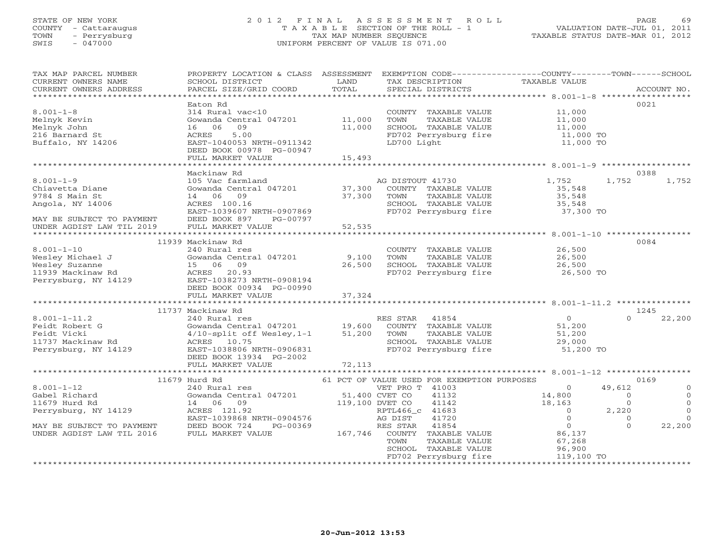# STATE OF NEW YORK 2 0 1 2 F I N A L A S S E S S M E N T R O L L PAGE 69 COUNTY - Cattaraugus T A X A B L E SECTION OF THE ROLL - 1 VALUATION DATE-JUL 01, 2011 TOWN - Perrysburg TAX MAP NUMBER SEQUENCE TAXABLE STATUS DATE-MAR 01, 2012 SWIS - 047000 UNIFORM PERCENT OF VALUE IS 071.00

| TAX MAP PARCEL NUMBER                                                                                                                                         | PROPERTY LOCATION & CLASS ASSESSMENT                                                                                                                                                                                                         |        | EXEMPTION CODE-----------------COUNTY-------TOWN------SCHOOL                                                                 |                                                                                                                                                                                         |                                  |
|---------------------------------------------------------------------------------------------------------------------------------------------------------------|----------------------------------------------------------------------------------------------------------------------------------------------------------------------------------------------------------------------------------------------|--------|------------------------------------------------------------------------------------------------------------------------------|-----------------------------------------------------------------------------------------------------------------------------------------------------------------------------------------|----------------------------------|
| CURRENT OWNERS NAME                                                                                                                                           | SCHOOL DISTRICT                                                                                                                                                                                                                              | LAND   | TAX DESCRIPTION                                                                                                              | TAXABLE VALUE                                                                                                                                                                           |                                  |
| CURRENT OWNERS ADDRESS                                                                                                                                        | PARCEL SIZE/GRID COORD                                                                                                                                                                                                                       | TOTAL  | SPECIAL DISTRICTS                                                                                                            |                                                                                                                                                                                         | ACCOUNT NO.                      |
|                                                                                                                                                               |                                                                                                                                                                                                                                              |        |                                                                                                                              |                                                                                                                                                                                         |                                  |
|                                                                                                                                                               | Eaton Rd                                                                                                                                                                                                                                     |        |                                                                                                                              |                                                                                                                                                                                         | 0021                             |
| $8.001 - 1 - 8$                                                                                                                                               | 314 Rural vac<10                                                                                                                                                                                                                             |        | COUNTY TAXABLE VALUE 11,000                                                                                                  |                                                                                                                                                                                         |                                  |
| Melnyk Kevin                                                                                                                                                  |                                                                                                                                                                                                                                              |        |                                                                                                                              |                                                                                                                                                                                         |                                  |
| Melnyk John                                                                                                                                                   | 314 Kurai vacsio<br>Gowanda Central 047201 11,000<br>16 06 09 11,000                                                                                                                                                                         |        | TOWN TAXABLE VALUE 11,000<br>SCHOOL TAXABLE VALUE 11,000                                                                     |                                                                                                                                                                                         |                                  |
| 216 Barnard St                                                                                                                                                | 5.00<br>ACRES                                                                                                                                                                                                                                |        | FD702 Perrysburg fire 11,000 TO<br>LD700 Light 11,000 TO                                                                     |                                                                                                                                                                                         |                                  |
| zio Barnard St<br>Buffalo, NY 14206                                                                                                                           | EAST-1040053 NRTH-0911342                                                                                                                                                                                                                    |        |                                                                                                                              |                                                                                                                                                                                         |                                  |
|                                                                                                                                                               | DEED BOOK 00978 PG-00947                                                                                                                                                                                                                     |        |                                                                                                                              |                                                                                                                                                                                         |                                  |
|                                                                                                                                                               | FULL MARKET VALUE                                                                                                                                                                                                                            | 15,493 |                                                                                                                              |                                                                                                                                                                                         |                                  |
|                                                                                                                                                               |                                                                                                                                                                                                                                              |        |                                                                                                                              |                                                                                                                                                                                         |                                  |
|                                                                                                                                                               | Mackinaw Rd                                                                                                                                                                                                                                  |        |                                                                                                                              |                                                                                                                                                                                         | 0388                             |
| $8.001 - 1 - 9$                                                                                                                                               | Mackinaw Rd<br>105 Vac farmland<br>Gowanda Central 047201 17,300 COUNTY TAXABLE VALUE<br>37,300 COUNTY TAXABLE VALUE<br>35,548<br>14 06 09 37,300 TOWN TAXABLE VALUE 35,548<br>ACRES 100.16 SCHOOL TAXABLE VALUE 35,548<br>EAST-1039607_NRTH |        |                                                                                                                              |                                                                                                                                                                                         | 1,752<br>1,752                   |
| Chiavetta Diane                                                                                                                                               |                                                                                                                                                                                                                                              |        |                                                                                                                              |                                                                                                                                                                                         |                                  |
| 9784 S Main St                                                                                                                                                |                                                                                                                                                                                                                                              |        |                                                                                                                              |                                                                                                                                                                                         |                                  |
| Angola, NY 14006                                                                                                                                              |                                                                                                                                                                                                                                              |        |                                                                                                                              |                                                                                                                                                                                         |                                  |
|                                                                                                                                                               |                                                                                                                                                                                                                                              |        | SCHOOL TAXABLE VALUE 35,548<br>FD702 Perrysburg fire 37,300 TO                                                               |                                                                                                                                                                                         |                                  |
|                                                                                                                                                               | DEED BOOK 897 PG-00797                                                                                                                                                                                                                       |        |                                                                                                                              |                                                                                                                                                                                         |                                  |
| MAY BE SUBJECT TO PAYMENT DEED BOOK 897 F<br>UNDER AGDIST LAW TIL 2019 FULL MARKET VALUE                                                                      |                                                                                                                                                                                                                                              | 52,535 |                                                                                                                              |                                                                                                                                                                                         |                                  |
|                                                                                                                                                               |                                                                                                                                                                                                                                              |        |                                                                                                                              |                                                                                                                                                                                         |                                  |
|                                                                                                                                                               | 11939 Mackinaw Rd                                                                                                                                                                                                                            |        |                                                                                                                              |                                                                                                                                                                                         | 0084                             |
| $8.001 - 1 - 10$                                                                                                                                              | 240 Rural res                                                                                                                                                                                                                                |        | COUNTY TAXABLE VALUE 26,500                                                                                                  |                                                                                                                                                                                         |                                  |
|                                                                                                                                                               |                                                                                                                                                                                                                                              |        |                                                                                                                              |                                                                                                                                                                                         |                                  |
|                                                                                                                                                               | 9,100 Sowanda Central 047201 9,100<br>15 06 09 26,500                                                                                                                                                                                        |        |                                                                                                                              |                                                                                                                                                                                         |                                  |
| Wesley Michael J<br>Wesley Suzanne<br>1939 Mackinaw Rd<br>1939 Mackinaw Rd<br>1939 Mackinaw Rd<br>1939 Mackinaw Rd<br>2002 2003<br>2002 1938/17610001 1940001 |                                                                                                                                                                                                                                              |        | FD702 Perrysburg fire 26,500 TO                                                                                              |                                                                                                                                                                                         |                                  |
|                                                                                                                                                               |                                                                                                                                                                                                                                              |        |                                                                                                                              |                                                                                                                                                                                         |                                  |
|                                                                                                                                                               | DEED BOOK 00934 PG-00990                                                                                                                                                                                                                     |        |                                                                                                                              |                                                                                                                                                                                         |                                  |
|                                                                                                                                                               | FULL MARKET VALUE 37,324                                                                                                                                                                                                                     |        |                                                                                                                              |                                                                                                                                                                                         |                                  |
|                                                                                                                                                               |                                                                                                                                                                                                                                              |        |                                                                                                                              |                                                                                                                                                                                         |                                  |
|                                                                                                                                                               | 11737 Mackinaw Rd                                                                                                                                                                                                                            |        | RES STAR 41854                                                                                                               |                                                                                                                                                                                         | 1245                             |
| $8.001 - 1 - 11.2$                                                                                                                                            | 240 Rural res<br>Gowanda Central 047201 19,600 COUNTY TAXABLE VALUE 51,200<br>4/10-split off Wesley,1-1 51,200 TOWN TAXABLE VALUE 51,200<br>ACEES 10.75 200                                                                                  |        |                                                                                                                              |                                                                                                                                                                                         | 22,200<br>$\cap$                 |
| 8.001-1-11.2<br>Feidt Robert G<br>Feidt Vicki                                                                                                                 |                                                                                                                                                                                                                                              |        |                                                                                                                              |                                                                                                                                                                                         |                                  |
|                                                                                                                                                               |                                                                                                                                                                                                                                              |        |                                                                                                                              |                                                                                                                                                                                         |                                  |
|                                                                                                                                                               | ACRES 10.75                                                                                                                                                                                                                                  |        |                                                                                                                              |                                                                                                                                                                                         |                                  |
| 11737 Mackinaw Rd<br>Perrysburg, NY 14129                                                                                                                     | EAST-1038806 NRTH-0906831                                                                                                                                                                                                                    |        | SCHOOL TAXABLE VALUE $29,000$<br>FD702 Perrysburg fire 51,200 TO                                                             |                                                                                                                                                                                         |                                  |
|                                                                                                                                                               | DEED BOOK 13934 PG-2002                                                                                                                                                                                                                      |        |                                                                                                                              |                                                                                                                                                                                         |                                  |
|                                                                                                                                                               | FULL MARKET VALUE                                                                                                                                                                                                                            | 72,113 |                                                                                                                              |                                                                                                                                                                                         |                                  |
|                                                                                                                                                               |                                                                                                                                                                                                                                              |        |                                                                                                                              |                                                                                                                                                                                         |                                  |
|                                                                                                                                                               | 11679 Hurd Rd                                                                                                                                                                                                                                |        | 61 PCT OF VALUE USED FOR EXEMPTION PURPOSES                                                                                  |                                                                                                                                                                                         | 0169                             |
| $8.001 - 1 - 12$                                                                                                                                              | 240 Rural res                                                                                                                                                                                                                                |        | VET PRO T 41003                                                                                                              | $\overline{0}$                                                                                                                                                                          | 49,612<br>$\mathbf{0}$           |
| Gabel Richard                                                                                                                                                 |                                                                                                                                                                                                                                              |        |                                                                                                                              |                                                                                                                                                                                         | $\Omega$<br>$\overline{0}$       |
| 11679 Hurd Rd                                                                                                                                                 |                                                                                                                                                                                                                                              |        |                                                                                                                              |                                                                                                                                                                                         | $\overline{0}$<br>$\overline{0}$ |
| Perrysburg, NY 14129                                                                                                                                          |                                                                                                                                                                                                                                              |        |                                                                                                                              | $0$ 2,220                                                                                                                                                                               | $\Omega$                         |
|                                                                                                                                                               | 240 MM1 Les (200 MM1 Les 190 MM1 Les 190 MM1 Les 190 MM1 Les 190 MM1 Les 190 MM<br>31,100 DVET CO 41142<br>240 MM Les 121.92 MM1 Les 190 MM RPTL466_c 41683<br>25AST-1039868 NRTH-0904576 AG DIST 41720                                      |        |                                                                                                                              | $\begin{array}{ccc} -11132 \\ 41132 \\ 41142 \\ 41683 \\ 41720 \\ 41854 \end{array} \qquad \qquad \begin{array}{c} 14\,, 800 \\ 18\,, 163 \\ 0 \\ 0 \\ 0 \end{array}$<br>$\overline{0}$ | $\overline{0}$<br>$\Omega$       |
| MAY BE SUBJECT TO PAYMENT                                                                                                                                     | DEED BOOK 724<br>PG-00369                                                                                                                                                                                                                    |        | 3-00369 RES STAR 41854 0<br>167,746 COUNTY TAXABLE VALUE 86,137                                                              |                                                                                                                                                                                         | $\Omega$<br>22,200               |
| UNDER AGDIST LAW TIL 2016                                                                                                                                     | FULL MARKET VALUE                                                                                                                                                                                                                            |        |                                                                                                                              |                                                                                                                                                                                         |                                  |
|                                                                                                                                                               |                                                                                                                                                                                                                                              |        |                                                                                                                              |                                                                                                                                                                                         |                                  |
|                                                                                                                                                               |                                                                                                                                                                                                                                              |        |                                                                                                                              |                                                                                                                                                                                         |                                  |
|                                                                                                                                                               |                                                                                                                                                                                                                                              |        | COUNTY TAAADDE VALUE<br>TOWN TAXABLE VALUE 67,268<br>SCHOOL TAXABLE VALUE 96,900<br>CHOOL TAXABLE VALUE 96,900<br>119,100 TO |                                                                                                                                                                                         |                                  |
|                                                                                                                                                               |                                                                                                                                                                                                                                              |        |                                                                                                                              |                                                                                                                                                                                         |                                  |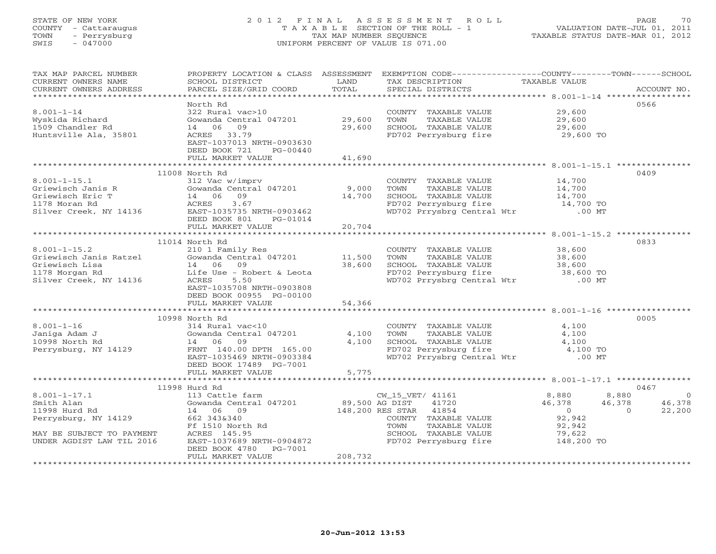# STATE OF NEW YORK 2 0 1 2 F I N A L A S S E S S M E N T R O L L PAGE 70 COUNTY - Cattaraugus T A X A B L E SECTION OF THE ROLL - 1 VALUATION DATE-JUL 01, 2011 TOWN - Perrysburg TAX MAP NUMBER SEQUENCE TAXABLE STATUS DATE-MAR 01, 2012 SWIS - 047000 UNIFORM PERCENT OF VALUE IS 071.00

| TAX MAP PARCEL NUMBER<br>CURRENT OWNERS NAME<br>CURRENT OWNERS ADDRESS                                                                                                                                                                                           | PROPERTY LOCATION & CLASS ASSESSMENT EXEMPTION CODE---------------COUNTY-------TOWN------SCHOOL<br>SCHOOL DISTRICT<br>PARCEL SIZE/GRID COORD | LAND<br>TOTAL | TAX DESCRIPTION<br>SPECIAL DISTRICTS                                                                                      | TAXABLE VALUE                    | ACCOUNT NO.    |
|------------------------------------------------------------------------------------------------------------------------------------------------------------------------------------------------------------------------------------------------------------------|----------------------------------------------------------------------------------------------------------------------------------------------|---------------|---------------------------------------------------------------------------------------------------------------------------|----------------------------------|----------------|
|                                                                                                                                                                                                                                                                  |                                                                                                                                              |               |                                                                                                                           |                                  |                |
| $8.001 - 1 - 14$<br>Wyskida Richard                                                                                                                                                                                                                              | North Rd<br>322 Rural vac>10<br>Gowanda Central 047201 29,600                                                                                |               | COUNTY TAXABLE VALUE<br>TOWN<br>TAXABLE VALUE                                                                             | 29,600<br>29,600                 | 0566           |
| 1509 Chandler Rd                                                                                                                                                                                                                                                 | 14 06<br>09                                                                                                                                  | 29,600        | SCHOOL TAXABLE VALUE<br>FD702 Perrysburg fire                                                                             | 29,600<br>29,600 TO              |                |
| Huntsville Ala, 35801                                                                                                                                                                                                                                            | ACRES 33.79<br>EAST-1037013 NRTH-0903630<br>DEED BOOK 721<br>PG-00440<br>FULL MARKET VALUE                                                   | 41,690        |                                                                                                                           |                                  |                |
|                                                                                                                                                                                                                                                                  |                                                                                                                                              |               |                                                                                                                           |                                  |                |
|                                                                                                                                                                                                                                                                  | 11008 North Rd                                                                                                                               |               |                                                                                                                           |                                  | 0409           |
| $8.001 - 1 - 15.1$                                                                                                                                                                                                                                               | 312 Vac w/imprv                                                                                                                              |               | COUNTY TAXABLE VALUE                                                                                                      | 14,700                           |                |
| 8.001-1-15.1<br>Griewisch Janis R<br>Griewisch Eric T<br>14 06 09<br>1178 Moran Rd<br>2178 Moran Rd<br>218 Moran Rd<br>218 Moran Rd<br>218 Moran Rd<br>218 Moran Rd<br>218 Moran Rd<br>22.01462<br>22.01462<br>22.01462<br>22.01462<br>22.01462<br>23.07<br>22.0 |                                                                                                                                              | 9,000         | TAXABLE VALUE<br>TOWN                                                                                                     | 14,700                           |                |
|                                                                                                                                                                                                                                                                  |                                                                                                                                              | 14,700        |                                                                                                                           |                                  |                |
|                                                                                                                                                                                                                                                                  |                                                                                                                                              |               |                                                                                                                           |                                  |                |
|                                                                                                                                                                                                                                                                  |                                                                                                                                              |               | TOWN TAAABLE VALUE<br>SCHOOL TAXABLE VALUE 14,700<br>FD702 Perrysburg fire 14,700 TO<br>WD702 Prrysbrg Central Wtr .00 MT |                                  |                |
|                                                                                                                                                                                                                                                                  | DEED BOOK 801<br>PG-01014                                                                                                                    |               |                                                                                                                           |                                  |                |
|                                                                                                                                                                                                                                                                  | FULL MARKET VALUE                                                                                                                            | 20,704        |                                                                                                                           |                                  |                |
|                                                                                                                                                                                                                                                                  | 11014 North Rd                                                                                                                               |               |                                                                                                                           |                                  | 0833           |
| $8.001 - 1 - 15.2$                                                                                                                                                                                                                                               |                                                                                                                                              |               | COUNTY TAXABLE VALUE 38,600                                                                                               |                                  |                |
|                                                                                                                                                                                                                                                                  | 210 1 Family Res<br>Gowanda Central 047201 11,500 TOWN                                                                                       |               | TAXABLE VALUE                                                                                                             | 38,600                           |                |
| 8.001-1-15.2<br>Griewisch Janis Ratzel (Sowanda Central 047201)<br>Griewisch Lisa (14 06 09)<br>1178 Morgan Rd (15 Use - Robert & Leota                                                                                                                          |                                                                                                                                              | 38,600        |                                                                                                                           |                                  |                |
|                                                                                                                                                                                                                                                                  |                                                                                                                                              |               |                                                                                                                           |                                  |                |
| Silver Creek, NY 14136                                                                                                                                                                                                                                           | ACRES 5.50                                                                                                                                   |               | WD702 Prrysbrg Central Wtr .00 MT                                                                                         |                                  |                |
|                                                                                                                                                                                                                                                                  | EAST-1035708 NRTH-0903808<br>DEED BOOK 00955 PG-00100                                                                                        |               |                                                                                                                           |                                  |                |
|                                                                                                                                                                                                                                                                  | FULL MARKET VALUE                                                                                                                            | 54,366        |                                                                                                                           |                                  |                |
|                                                                                                                                                                                                                                                                  |                                                                                                                                              |               |                                                                                                                           |                                  |                |
|                                                                                                                                                                                                                                                                  | 10998 North Rd                                                                                                                               |               |                                                                                                                           |                                  | 0005           |
| $8.001 - 1 - 16$                                                                                                                                                                                                                                                 | 314 Rural vac<10                                                                                                                             |               | COUNTY TAXABLE VALUE                                                                                                      | 4,100                            |                |
| Janiga Adam J                                                                                                                                                                                                                                                    | Gowanda Central 047201 4,100                                                                                                                 |               |                                                                                                                           | 4,100                            |                |
| 10998 North Rd                                                                                                                                                                                                                                                   | 14 06 09                                                                                                                                     | 4,100         |                                                                                                                           | 4,100                            |                |
| Perrysburg, NY 14129                                                                                                                                                                                                                                             | FRNT 140.00 DPTH 165.00<br>EAST-1035469 NRTH-0903384                                                                                         |               | TOWN TAXABLE VALUE<br>SCHOOL TAXABLE VALUE<br>FD702 Perrysburg fire<br>WD702 Prrysbrg Central Wtr                         | 4,100 TO<br>$.00$ MT             |                |
|                                                                                                                                                                                                                                                                  | DEED BOOK 17489 PG-7001                                                                                                                      |               |                                                                                                                           |                                  |                |
|                                                                                                                                                                                                                                                                  | FULL MARKET VALUE                                                                                                                            | 5,775         |                                                                                                                           |                                  |                |
|                                                                                                                                                                                                                                                                  |                                                                                                                                              |               |                                                                                                                           |                                  |                |
|                                                                                                                                                                                                                                                                  | 11998 Hurd Rd                                                                                                                                |               |                                                                                                                           |                                  | 0467           |
| $8.001 - 1 - 17.1$                                                                                                                                                                                                                                               | 113 Cattle farm                                                                                                                              |               | CW_15_VET/ 41161                                                                                                          | 8,880<br>8,880                   | $\overline{0}$ |
| Smith Alan                                                                                                                                                                                                                                                       | Gowanda Central 047201                                                                                                                       |               | 89,500 AG DIST 41720<br>148,200 RES STAR 41854                                                                            | 46,378<br>46,378                 | 46,378         |
| 11998 Hurd Rd                                                                                                                                                                                                                                                    | 14 06 09                                                                                                                                     |               |                                                                                                                           | $\overline{0}$<br>$\overline{0}$ | 22,200         |
| Perrysburg, NY 14129                                                                                                                                                                                                                                             |                                                                                                                                              |               | COUNTY TAXABLE VALUE                                                                                                      | 92,942                           |                |
|                                                                                                                                                                                                                                                                  |                                                                                                                                              |               | TOWN<br>TAXABLE VALUE                                                                                                     | 92,942                           |                |
| MAY BE SUBJECT TO PAYMENT                                                                                                                                                                                                                                        | ACRES 145.95                                                                                                                                 |               | SCHOOL TAXABLE VALUE<br>FD702 Perrysburg fire 148,200 TO                                                                  | 79,622                           |                |
| UNDER AGDIST LAW TIL 2016                                                                                                                                                                                                                                        | EAST-1037689 NRTH-0904872                                                                                                                    |               |                                                                                                                           |                                  |                |
|                                                                                                                                                                                                                                                                  | DEED BOOK 4780 PG-7001<br>FULL MARKET VALUE                                                                                                  | 208,732       |                                                                                                                           |                                  |                |
|                                                                                                                                                                                                                                                                  |                                                                                                                                              |               |                                                                                                                           |                                  |                |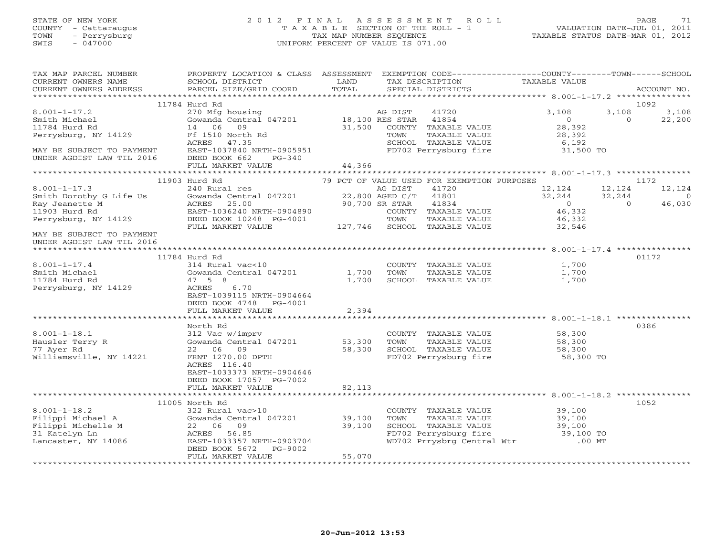# STATE OF NEW YORK 2 0 1 2 F I N A L A S S E S S M E N T R O L L PAGE 71 COUNTY - Cattaraugus T A X A B L E SECTION OF THE ROLL - 1 VALUATION DATE-JUL 01, 2011 TOWN - Perrysburg TAX MAP NUMBER SEQUENCE TAXABLE STATUS DATE-MAR 01, 2012 SWIS - 047000 UNIFORM PERCENT OF VALUE IS 071.00

| TAX MAP PARCEL NUMBER<br>CURRENT OWNERS NAME<br>CURRENT OWNERS ADDRESS                                                                 | PROPERTY LOCATION & CLASS ASSESSMENT<br>SCHOOL DISTRICT<br>PARCEL SIZE/GRID COORD                                                                                                              | LAND<br>TOTAL              |                                    | TAX DESCRIPTION<br>SPECIAL DISTRICTS                                                                                 | EXEMPTION CODE-----------------COUNTY-------TOWN-----SCHOOL<br>TAXABLE VALUE |                              | ACCOUNT NO.                                |
|----------------------------------------------------------------------------------------------------------------------------------------|------------------------------------------------------------------------------------------------------------------------------------------------------------------------------------------------|----------------------------|------------------------------------|----------------------------------------------------------------------------------------------------------------------|------------------------------------------------------------------------------|------------------------------|--------------------------------------------|
| ************************                                                                                                               |                                                                                                                                                                                                |                            |                                    |                                                                                                                      |                                                                              |                              |                                            |
| $8.001 - 1 - 17.2$<br>Smith Michael<br>11784 Hurd Rd<br>Perrysburg, NY 14129<br>MAY BE SUBJECT TO PAYMENT<br>UNDER AGDIST LAW TIL 2016 | 11784 Hurd Rd<br>270 Mfg housing<br>Gowanda Central 047201<br>14 06<br>09<br>Ff 1510 North Rd<br>ACRES<br>47.35<br>EAST-1037840 NRTH-0905951<br>DEED BOOK 662<br>$PG-340$<br>FULL MARKET VALUE | 31,500<br>44,366           | AG DIST<br>18,100 RES STAR<br>TOWN | 41720<br>41854<br>COUNTY TAXABLE VALUE<br>TAXABLE VALUE<br>SCHOOL TAXABLE VALUE<br>FD702 Perrysburg fire             | 3,108<br>$\Omega$<br>28,392<br>28,392<br>6,192<br>31,500 TO                  | 3,108<br>$\Omega$            | 1092<br>3,108<br>22,200                    |
|                                                                                                                                        |                                                                                                                                                                                                |                            |                                    |                                                                                                                      |                                                                              |                              |                                            |
| $8.001 - 1 - 17.3$<br>Smith Dorothy G Life Us<br>Ray Jeanette M<br>11903 Hurd Rd                                                       | 11903 Hurd Rd<br>240 Rural res<br>Gowanda Central 047201<br>ACRES<br>25.00<br>EAST-1036240 NRTH-0904890                                                                                        | 22,800 AGED C/T            | AG DIST<br>90,700 SR STAR          | 79 PCT OF VALUE USED FOR EXEMPTION PURPOSES<br>41720<br>41801<br>41834<br>COUNTY TAXABLE VALUE                       | 12,124<br>32,244<br>$\overline{0}$<br>46,332                                 | 12,124<br>32,244<br>$\Omega$ | 1172<br>12,124<br>$\overline{0}$<br>46,030 |
| Perrysburg, NY 14129<br>MAY BE SUBJECT TO PAYMENT<br>UNDER AGDIST LAW TIL 2016                                                         | DEED BOOK 10248 PG-4001<br>FULL MARKET VALUE                                                                                                                                                   |                            | TOWN                               | TAXABLE VALUE<br>127,746 SCHOOL TAXABLE VALUE                                                                        | 46,332<br>32,546                                                             |                              |                                            |
|                                                                                                                                        |                                                                                                                                                                                                |                            |                                    |                                                                                                                      |                                                                              |                              |                                            |
| $8.001 - 1 - 17.4$<br>Smith Michael<br>11784 Hurd Rd<br>Perrysburg, NY 14129                                                           | 11784 Hurd Rd<br>314 Rural vac<10<br>Gowanda Central 047201<br>47 5 8<br>ACRES<br>6.70<br>EAST-1039115 NRTH-0904664<br>DEED BOOK 4748<br>PG-4001                                               | 1,700<br>1,700             | TOWN                               | COUNTY TAXABLE VALUE<br>TAXABLE VALUE<br>SCHOOL TAXABLE VALUE                                                        | 1,700<br>1,700<br>1,700                                                      |                              | 01172                                      |
|                                                                                                                                        | FULL MARKET VALUE                                                                                                                                                                              | 2,394                      |                                    |                                                                                                                      |                                                                              |                              |                                            |
| $8.001 - 1 - 18.1$<br>Hausler Terry R<br>77 Ayer Rd<br>Williamsville, NY 14221                                                         | North Rd<br>312 Vac w/imprv<br>Gowanda Central 047201<br>22 06 09<br>FRNT 1270.00 DPTH<br>ACRES 116.40                                                                                         | 53,300<br>58,300           | TOWN                               | COUNTY TAXABLE VALUE<br>TAXABLE VALUE<br>SCHOOL TAXABLE VALUE<br>FD702 Perrysburg fire                               | 58,300<br>58,300<br>58,300<br>58,300 TO                                      |                              | 0386                                       |
|                                                                                                                                        | EAST-1033373 NRTH-0904646<br>DEED BOOK 17057 PG-7002<br>FULL MARKET VALUE<br>***************************                                                                                       | 82,113<br>************     |                                    |                                                                                                                      | ******************************* 8.001-1-18.2 ***************                 |                              |                                            |
|                                                                                                                                        | 11005 North Rd                                                                                                                                                                                 |                            |                                    |                                                                                                                      |                                                                              |                              | 1052                                       |
| $8.001 - 1 - 18.2$<br>Filippi Michael A<br>Filippi Michelle M<br>31 Katelyn Ln<br>Lancaster, NY 14086                                  | 322 Rural vac>10<br>Gowanda Central 047201<br>22 06 09<br>ACRES 56.85<br>EAST-1033357 NRTH-0903704<br>DEED BOOK 5672<br>PG-9002<br>FULL MARKET VALUE                                           | 39,100<br>39,100<br>55,070 | TOWN                               | COUNTY TAXABLE VALUE<br>TAXABLE VALUE<br>SCHOOL TAXABLE VALUE<br>FD702 Perrysburg fire<br>WD702 Prrysbrg Central Wtr | 39,100<br>39,100<br>39,100<br>39,100 TO<br>$.00$ MT                          |                              |                                            |
|                                                                                                                                        |                                                                                                                                                                                                |                            |                                    |                                                                                                                      |                                                                              |                              |                                            |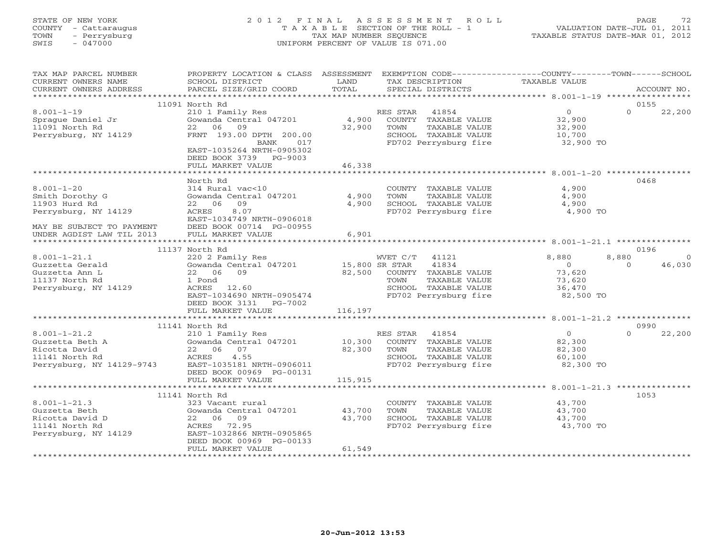# STATE OF NEW YORK 2 0 1 2 F I N A L A S S E S S M E N T R O L L PAGE 72 COUNTY - Cattaraugus T A X A B L E SECTION OF THE ROLL - 1 VALUATION DATE-JUL 01, 2011 TOWN - Perrysburg TAX MAP NUMBER SEQUENCE TAXABLE STATUS DATE-MAR 01, 2012 SWIS - 047000 UNIFORM PERCENT OF VALUE IS 071.00

| TAX MAP PARCEL NUMBER<br>CURRENT OWNERS NAME | PROPERTY LOCATION & CLASS ASSESSMENT<br>SCHOOL DISTRICT | LAND           | EXEMPTION CODE-----------------COUNTY-------TOWN------SCHOOL<br>TAX DESCRIPTION | <b>TAXABLE VALUE</b> |                    |
|----------------------------------------------|---------------------------------------------------------|----------------|---------------------------------------------------------------------------------|----------------------|--------------------|
| CURRENT OWNERS ADDRESS                       | PARCEL SIZE/GRID COORD                                  | TOTAL          | SPECIAL DISTRICTS                                                               |                      | ACCOUNT NO.        |
| ***********************                      |                                                         |                |                                                                                 |                      |                    |
|                                              | 11091 North Rd                                          |                |                                                                                 |                      | 0155               |
| $8.001 - 1 - 19$                             | 210 1 Family Res                                        |                | 41854<br>RES STAR                                                               | $\overline{O}$       | $\Omega$<br>22,200 |
| Sprague Daniel Jr                            | Gowanda Central 047201                                  | 4,900          | COUNTY TAXABLE VALUE                                                            | 32,900               |                    |
| 11091 North Rd                               | 22<br>06<br>09                                          | 32,900         | TOWN<br>TAXABLE VALUE                                                           | 32,900               |                    |
| Perrysburg, NY 14129                         | FRNT 193.00 DPTH 200.00                                 |                | SCHOOL TAXABLE VALUE                                                            | 10,700               |                    |
|                                              | 017<br>BANK                                             |                | FD702 Perrysburg fire                                                           | 32,900 TO            |                    |
|                                              | EAST-1035264 NRTH-0905302                               |                |                                                                                 |                      |                    |
|                                              | DEED BOOK 3739 PG-9003                                  |                |                                                                                 |                      |                    |
|                                              | FULL MARKET VALUE                                       | 46,338         |                                                                                 |                      |                    |
|                                              |                                                         |                |                                                                                 |                      |                    |
|                                              | North Rd                                                |                |                                                                                 |                      | 0468               |
| $8.001 - 1 - 20$                             | 314 Rural vac<10                                        |                | COUNTY TAXABLE VALUE                                                            | 4,900                |                    |
| Smith Dorothy G                              | Gowanda Central 047201                                  | 4,900          | TOWN<br>TAXABLE VALUE                                                           | 4,900                |                    |
| 11903 Hurd Rd                                | 22 06<br>09                                             | 4,900          | SCHOOL TAXABLE VALUE                                                            | 4,900                |                    |
| Perrysburg, NY 14129                         | 8.07<br>ACRES                                           |                | FD702 Perrysburg fire                                                           | 4,900 TO             |                    |
|                                              | EAST-1034749 NRTH-0906018                               |                |                                                                                 |                      |                    |
| MAY BE SUBJECT TO PAYMENT                    | DEED BOOK 00714 PG-00955                                |                |                                                                                 |                      |                    |
| UNDER AGDIST LAW TIL 2013                    | FULL MARKET VALUE                                       | 6,901          |                                                                                 |                      |                    |
|                                              | 11137 North Rd                                          |                |                                                                                 |                      | 0196               |
| $8.001 - 1 - 21.1$                           | 220 2 Family Res                                        |                | WVET C/T<br>41121                                                               | 8,880                | 8,880<br>$\Omega$  |
| Guzzetta Gerald                              | Gowanda Central 047201                                  | 15,800 SR STAR | 41834                                                                           | $\circ$              | 46,030<br>$\Omega$ |
| Guzzetta Ann L                               | 22 06 09                                                | 82,500         | COUNTY TAXABLE VALUE                                                            | 73,620               |                    |
| 11137 North Rd                               | 1 Pond                                                  |                | TOWN<br>TAXABLE VALUE                                                           | 73,620               |                    |
| Perrysburg, NY 14129                         | ACRES<br>12.60                                          |                | SCHOOL TAXABLE VALUE                                                            | 36,470               |                    |
|                                              | EAST-1034690 NRTH-0905474                               |                | FD702 Perrysburg fire                                                           | 82,500 TO            |                    |
|                                              | DEED BOOK 3131 PG-7002                                  |                |                                                                                 |                      |                    |
|                                              | FULL MARKET VALUE                                       | 116,197        |                                                                                 |                      |                    |
|                                              |                                                         |                |                                                                                 |                      |                    |
|                                              | 11141 North Rd                                          |                |                                                                                 |                      | 0990               |
| $8.001 - 1 - 21.2$                           | 210 1 Family Res                                        |                | RES STAR 41854                                                                  | $\Omega$             | $\Omega$<br>22,200 |
| Guzzetta Beth A                              | Gowanda Central 047201                                  | 10,300         | COUNTY TAXABLE VALUE                                                            | 82,300               |                    |
| Ricotta David                                | 22 06<br>07                                             | 82,300         | TOWN<br>TAXABLE VALUE                                                           | 82,300               |                    |
| 11141 North Rd                               | 4.55<br>ACRES                                           |                | SCHOOL TAXABLE VALUE                                                            | 60,100               |                    |
| Perrysburg, NY 14129-9743                    | EAST-1035181 NRTH-0906011                               |                | FD702 Perrysburg fire                                                           | 82,300 TO            |                    |
|                                              | DEED BOOK 00969 PG-00131                                |                |                                                                                 |                      |                    |
|                                              | FULL MARKET VALUE<br>***************************        | 115,915        |                                                                                 |                      |                    |
|                                              |                                                         |                |                                                                                 |                      | 1053               |
| $8.001 - 1 - 21.3$                           | 11141 North Rd<br>323 Vacant rural                      |                | COUNTY TAXABLE VALUE                                                            | 43,700               |                    |
| Guzzetta Beth                                | Gowanda Central 047201                                  | 43,700         | TOWN<br>TAXABLE VALUE                                                           | 43,700               |                    |
| Ricotta David D                              | 22 06 09                                                | 43,700         | SCHOOL TAXABLE VALUE                                                            | 43,700               |                    |
| 11141 North Rd                               | ACRES 72.95                                             |                | FD702 Perrysburg fire                                                           | 43,700 TO            |                    |
| Perrysburg, NY 14129                         | EAST-1032866 NRTH-0905865                               |                |                                                                                 |                      |                    |
|                                              | DEED BOOK 00969 PG-00133                                |                |                                                                                 |                      |                    |
|                                              | FULL MARKET VALUE                                       | 61,549         |                                                                                 |                      |                    |
|                                              |                                                         |                |                                                                                 |                      |                    |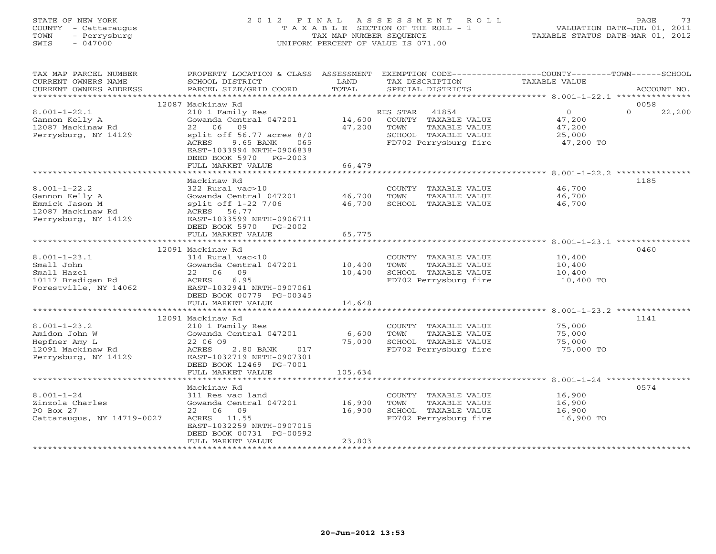# STATE OF NEW YORK 2 0 1 2 F I N A L A S S E S S M E N T R O L L PAGE 73 COUNTY - Cattaraugus T A X A B L E SECTION OF THE ROLL - 1 VALUATION DATE-JUL 01, 2011 TOWN - Perrysburg TAX MAP NUMBER SEQUENCE TAXABLE STATUS DATE-MAR 01, 2012 SWIS - 047000 UNIFORM PERCENT OF VALUE IS 071.00

| TAX MAP PARCEL NUMBER      | PROPERTY LOCATION & CLASS ASSESSMENT                       |         | EXEMPTION CODE-----------------COUNTY-------TOWN------SCHOOL |                     |                  |        |
|----------------------------|------------------------------------------------------------|---------|--------------------------------------------------------------|---------------------|------------------|--------|
| CURRENT OWNERS NAME        | SCHOOL DISTRICT                                            | LAND    | TAX DESCRIPTION                                              | TAXABLE VALUE       |                  |        |
| CURRENT OWNERS ADDRESS     | PARCEL SIZE/GRID COORD                                     | TOTAL   | SPECIAL DISTRICTS                                            |                     | ACCOUNT NO.      |        |
| ***********************    |                                                            |         |                                                              |                     |                  |        |
|                            | 12087 Mackinaw Rd                                          |         |                                                              |                     | 0058<br>$\Omega$ |        |
| $8.001 - 1 - 22.1$         | 210 1 Family Res                                           |         | RES STAR<br>41854                                            | $\overline{0}$      |                  | 22,200 |
| Gannon Kelly A             | Gowanda Central 047201<br>09                               | 14,600  | COUNTY TAXABLE VALUE                                         | 47,200              |                  |        |
| 12087 Mackinaw Rd          | 22 06                                                      | 47,200  | TAXABLE VALUE<br>TOWN                                        | 47,200              |                  |        |
| Perrysburg, NY 14129       | split off $56.77$ acres $8/0$<br>9.65 BANK<br>ACRES<br>065 |         | SCHOOL TAXABLE VALUE<br>FD702 Perrysburg fire                | 25,000<br>47,200 TO |                  |        |
|                            |                                                            |         |                                                              |                     |                  |        |
|                            | EAST-1033994 NRTH-0906838                                  |         |                                                              |                     |                  |        |
|                            | DEED BOOK 5970 PG-2003<br>FULL MARKET VALUE                | 66,479  |                                                              |                     |                  |        |
|                            |                                                            |         |                                                              |                     |                  |        |
|                            | Mackinaw Rd                                                |         |                                                              |                     | 1185             |        |
| $8.001 - 1 - 22.2$         | 322 Rural vac>10                                           |         | COUNTY TAXABLE VALUE                                         | 46,700              |                  |        |
| Gannon Kelly A             | Gowanda Central 047201                                     | 46,700  | TOWN<br>TAXABLE VALUE                                        | 46,700              |                  |        |
| Emmick Jason M             | split off 1-22 7/06                                        | 46,700  | SCHOOL TAXABLE VALUE                                         | 46,700              |                  |        |
| 12087 Mackinaw Rd          | ACRES 56.77                                                |         |                                                              |                     |                  |        |
| Perrysburg, NY 14129       | EAST-1033599 NRTH-0906711                                  |         |                                                              |                     |                  |        |
|                            | DEED BOOK 5970 PG-2002                                     |         |                                                              |                     |                  |        |
|                            | FULL MARKET VALUE                                          | 65,775  |                                                              |                     |                  |        |
|                            |                                                            |         |                                                              |                     |                  |        |
|                            | 12091 Mackinaw Rd                                          |         |                                                              |                     | 0460             |        |
| $8.001 - 1 - 23.1$         | 314 Rural vac<10                                           |         | COUNTY TAXABLE VALUE                                         | 10,400              |                  |        |
| Small John                 | Gowanda Central 047201                                     | 10,400  | TAXABLE VALUE<br>TOWN                                        | 10,400              |                  |        |
| Small Hazel                | 22 06 09                                                   | 10,400  | SCHOOL TAXABLE VALUE                                         | 10,400              |                  |        |
| 10117 Bradigan Rd          | ACRES<br>6.95                                              |         | FD702 Perrysburg fire                                        | 10,400 TO           |                  |        |
| Forestville, NY 14062      | EAST-1032941 NRTH-0907061                                  |         |                                                              |                     |                  |        |
|                            | DEED BOOK 00779 PG-00345                                   |         |                                                              |                     |                  |        |
|                            | FULL MARKET VALUE                                          | 14,648  |                                                              |                     |                  |        |
|                            |                                                            |         |                                                              |                     |                  |        |
|                            | 12091 Mackinaw Rd                                          |         |                                                              |                     | 1141             |        |
| $8.001 - 1 - 23.2$         | 210 1 Family Res                                           |         | COUNTY TAXABLE VALUE                                         | 75,000              |                  |        |
| Amidon John W              | Gowanda Central 047201                                     | 6,600   | TOWN<br>TAXABLE VALUE                                        | 75,000              |                  |        |
| Hepfner Amy L              | 22 06 09                                                   | 75,000  | SCHOOL TAXABLE VALUE                                         | 75,000              |                  |        |
| 12091 Mackinaw Rd          | ACRES<br>2.80 BANK<br>017                                  |         | FD702 Perrysburg fire                                        | 75,000 TO           |                  |        |
| Perrysburg, NY 14129       | EAST-1032719 NRTH-0907301                                  |         |                                                              |                     |                  |        |
|                            | DEED BOOK 12469 PG-7001                                    |         |                                                              |                     |                  |        |
|                            | FULL MARKET VALUE                                          | 105,634 |                                                              |                     |                  |        |
|                            |                                                            |         |                                                              |                     |                  |        |
|                            | Mackinaw Rd                                                |         |                                                              |                     | 0574             |        |
| $8.001 - 1 - 24$           | 311 Res vac land                                           |         | COUNTY TAXABLE VALUE                                         | 16,900              |                  |        |
| Zinzola Charles            | Gowanda Central 047201                                     | 16,900  | TAXABLE VALUE<br>TOWN                                        | 16,900              |                  |        |
| PO Box 27                  | 22 06 09                                                   | 16,900  | SCHOOL TAXABLE VALUE                                         | 16,900              |                  |        |
| Cattaraugus, NY 14719-0027 | ACRES 11.55                                                |         | FD702 Perrysburg fire                                        | 16,900 TO           |                  |        |
|                            | EAST-1032259 NRTH-0907015                                  |         |                                                              |                     |                  |        |
|                            | DEED BOOK 00731 PG-00592                                   |         |                                                              |                     |                  |        |
|                            | FULL MARKET VALUE                                          | 23,803  |                                                              |                     |                  |        |
|                            | ************************                                   |         |                                                              |                     |                  |        |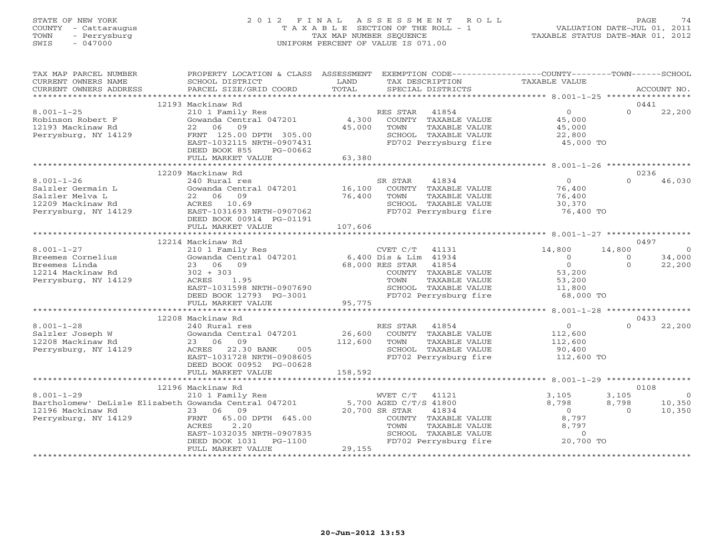# STATE OF NEW YORK 2 0 1 2 F I N A L A S S E S S M E N T R O L L PAGE 74 COUNTY - Cattaraugus T A X A B L E SECTION OF THE ROLL - 1 VALUATION DATE-JUL 01, 2011 TOWN - Perrysburg TAX MAP NUMBER SEQUENCE TAXABLE STATUS DATE-MAR 01, 2012 SWIS - 047000 UNIFORM PERCENT OF VALUE IS 071.00

| ***********************<br>12193 Mackinaw Rd<br>0441<br>$\circ$<br>$\Omega$<br>22,200<br>$8.001 - 1 - 25$<br>210 1 Family Res<br>RES STAR<br>41854<br>4,300<br>COUNTY TAXABLE VALUE<br>Robinson Robert F<br>Gowanda Central 047201<br>45,000<br>45,000<br>TAXABLE VALUE<br>12193 Mackinaw Rd<br>22<br>06<br>09<br>TOWN<br>45,000<br>Perrysburg, NY 14129<br>FRNT 125.00 DPTH 305.00<br>SCHOOL TAXABLE VALUE<br>22,800<br>EAST-1032115 NRTH-0907431<br>FD702 Perrysburg fire<br>45,000 TO<br>DEED BOOK 855<br>PG-00662<br>FULL MARKET VALUE<br>63,380<br>************************<br>12209 Mackinaw Rd<br>0236<br>$\Omega$<br>$8.001 - 1 - 26$<br>SR STAR<br>41834<br>$\Omega$<br>46,030<br>240 Rural res<br>Salzler Germain L<br>Gowanda Central 047201<br>16,100<br>COUNTY TAXABLE VALUE<br>76,400<br>Salzler Melva L<br>09<br>76,400<br>TOWN<br>TAXABLE VALUE<br>22<br>06<br>76,400<br>12209 Mackinaw Rd<br>ACRES<br>10.69<br>SCHOOL TAXABLE VALUE<br>30,370<br>Perrysburg, NY 14129<br>EAST-1031693 NRTH-0907062<br>FD702 Perrysburg fire<br>76,400 TO<br>DEED BOOK 00914 PG-01191<br>107,606<br>FULL MARKET VALUE<br>0497<br>12214 Mackinaw Rd<br>$8.001 - 1 - 27$<br>210 1 Family Res<br>CVET C/T<br>41131<br>14,800<br>14,800<br>$\overline{0}$<br>Gowanda Central 047201<br>6,400 Dis & Lim 41934<br>34,000<br>Breemes Cornelius<br>$\circ$<br>$\circ$<br>$\overline{O}$<br>Breemes Linda<br>23 06<br>09<br>68,000 RES STAR<br>41854<br>$\Omega$<br>22,200<br>12214 Mackinaw Rd<br>$302 + 303$<br>COUNTY TAXABLE VALUE<br>53,200<br>1.95<br>Perrysburg, NY 14129<br>ACRES<br>TOWN<br>TAXABLE VALUE<br>53,200<br>EAST-1031598 NRTH-0907690<br>SCHOOL TAXABLE VALUE<br>11,800<br>DEED BOOK 12793 PG-3001<br>FD702 Perrysburg fire<br>68,000 TO<br>95,775<br>FULL MARKET VALUE<br>12208 Mackinaw Rd<br>0433<br>$8.001 - 1 - 28$<br>240 Rural res<br>41854<br>$\circ$<br>$\Omega$<br>22,200<br>RES STAR<br>Salzler Joseph W<br>Gowanda Central 047201<br>26,600<br>COUNTY TAXABLE VALUE<br>112,600<br>12208 Mackinaw Rd<br>23 06<br>09<br>112,600<br>TAXABLE VALUE<br>112,600<br>TOWN<br>Perrysburg, NY 14129<br>ACRES<br>22.30 BANK<br>005<br>SCHOOL TAXABLE VALUE<br>90,400<br>EAST-1031728 NRTH-0908605<br>FD702 Perrysburg fire<br>112,600 TO<br>DEED BOOK 00952 PG-00628<br>158,592<br>FULL MARKET VALUE<br>********* 8.001-1-29 ****************<br>0108<br>12196 Mackinaw Rd<br>$8.001 - 1 - 29$<br>210 1 Family Res<br>WVET C/T<br>41121<br>3,105<br>3,105<br>$\overline{0}$<br>10,350<br>Bartholomew' DeLisle Elizabeth Gowanda Central 047201<br>5,700 AGED C/T/S 41800<br>8,798<br>8,798<br>12196 Mackinaw Rd<br>41834<br>$\overline{0}$<br>10,350<br>23 06<br>09<br>20,700 SR STAR<br>$\Omega$<br>Perrysburg, NY 14129<br>8,797<br>FRNT<br>65.00 DPTH 645.00<br>COUNTY TAXABLE VALUE<br>2.20<br>TAXABLE VALUE<br>8,797<br>ACRES<br>TOWN<br>EAST-1032035 NRTH-0907835<br>SCHOOL TAXABLE VALUE<br>$\circ$<br>DEED BOOK 1031<br>FD702 Perrysburg fire<br>20,700 TO<br>$PG-1100$<br>29,155<br>FULL MARKET VALUE | TAX MAP PARCEL NUMBER<br>CURRENT OWNERS NAME<br>CURRENT OWNERS ADDRESS | PROPERTY LOCATION & CLASS ASSESSMENT<br>SCHOOL DISTRICT<br>PARCEL SIZE/GRID COORD | LAND<br>TOTAL | EXEMPTION CODE-----------------COUNTY-------TOWN------SCHOOL<br>TAX DESCRIPTION<br>SPECIAL DISTRICTS | TAXABLE VALUE | ACCOUNT NO. |
|----------------------------------------------------------------------------------------------------------------------------------------------------------------------------------------------------------------------------------------------------------------------------------------------------------------------------------------------------------------------------------------------------------------------------------------------------------------------------------------------------------------------------------------------------------------------------------------------------------------------------------------------------------------------------------------------------------------------------------------------------------------------------------------------------------------------------------------------------------------------------------------------------------------------------------------------------------------------------------------------------------------------------------------------------------------------------------------------------------------------------------------------------------------------------------------------------------------------------------------------------------------------------------------------------------------------------------------------------------------------------------------------------------------------------------------------------------------------------------------------------------------------------------------------------------------------------------------------------------------------------------------------------------------------------------------------------------------------------------------------------------------------------------------------------------------------------------------------------------------------------------------------------------------------------------------------------------------------------------------------------------------------------------------------------------------------------------------------------------------------------------------------------------------------------------------------------------------------------------------------------------------------------------------------------------------------------------------------------------------------------------------------------------------------------------------------------------------------------------------------------------------------------------------------------------------------------------------------------------------------------------------------------------------------------------------------------------------------------------------------------------------------------------------------------------------------------------------------------------------------------------------------------------------------------------------------------------------------------------------------------------------------------|------------------------------------------------------------------------|-----------------------------------------------------------------------------------|---------------|------------------------------------------------------------------------------------------------------|---------------|-------------|
|                                                                                                                                                                                                                                                                                                                                                                                                                                                                                                                                                                                                                                                                                                                                                                                                                                                                                                                                                                                                                                                                                                                                                                                                                                                                                                                                                                                                                                                                                                                                                                                                                                                                                                                                                                                                                                                                                                                                                                                                                                                                                                                                                                                                                                                                                                                                                                                                                                                                                                                                                                                                                                                                                                                                                                                                                                                                                                                                                                                                                            |                                                                        |                                                                                   |               |                                                                                                      |               |             |
|                                                                                                                                                                                                                                                                                                                                                                                                                                                                                                                                                                                                                                                                                                                                                                                                                                                                                                                                                                                                                                                                                                                                                                                                                                                                                                                                                                                                                                                                                                                                                                                                                                                                                                                                                                                                                                                                                                                                                                                                                                                                                                                                                                                                                                                                                                                                                                                                                                                                                                                                                                                                                                                                                                                                                                                                                                                                                                                                                                                                                            |                                                                        |                                                                                   |               |                                                                                                      |               |             |
|                                                                                                                                                                                                                                                                                                                                                                                                                                                                                                                                                                                                                                                                                                                                                                                                                                                                                                                                                                                                                                                                                                                                                                                                                                                                                                                                                                                                                                                                                                                                                                                                                                                                                                                                                                                                                                                                                                                                                                                                                                                                                                                                                                                                                                                                                                                                                                                                                                                                                                                                                                                                                                                                                                                                                                                                                                                                                                                                                                                                                            |                                                                        |                                                                                   |               |                                                                                                      |               |             |
|                                                                                                                                                                                                                                                                                                                                                                                                                                                                                                                                                                                                                                                                                                                                                                                                                                                                                                                                                                                                                                                                                                                                                                                                                                                                                                                                                                                                                                                                                                                                                                                                                                                                                                                                                                                                                                                                                                                                                                                                                                                                                                                                                                                                                                                                                                                                                                                                                                                                                                                                                                                                                                                                                                                                                                                                                                                                                                                                                                                                                            |                                                                        |                                                                                   |               |                                                                                                      |               |             |
|                                                                                                                                                                                                                                                                                                                                                                                                                                                                                                                                                                                                                                                                                                                                                                                                                                                                                                                                                                                                                                                                                                                                                                                                                                                                                                                                                                                                                                                                                                                                                                                                                                                                                                                                                                                                                                                                                                                                                                                                                                                                                                                                                                                                                                                                                                                                                                                                                                                                                                                                                                                                                                                                                                                                                                                                                                                                                                                                                                                                                            |                                                                        |                                                                                   |               |                                                                                                      |               |             |
|                                                                                                                                                                                                                                                                                                                                                                                                                                                                                                                                                                                                                                                                                                                                                                                                                                                                                                                                                                                                                                                                                                                                                                                                                                                                                                                                                                                                                                                                                                                                                                                                                                                                                                                                                                                                                                                                                                                                                                                                                                                                                                                                                                                                                                                                                                                                                                                                                                                                                                                                                                                                                                                                                                                                                                                                                                                                                                                                                                                                                            |                                                                        |                                                                                   |               |                                                                                                      |               |             |
|                                                                                                                                                                                                                                                                                                                                                                                                                                                                                                                                                                                                                                                                                                                                                                                                                                                                                                                                                                                                                                                                                                                                                                                                                                                                                                                                                                                                                                                                                                                                                                                                                                                                                                                                                                                                                                                                                                                                                                                                                                                                                                                                                                                                                                                                                                                                                                                                                                                                                                                                                                                                                                                                                                                                                                                                                                                                                                                                                                                                                            |                                                                        |                                                                                   |               |                                                                                                      |               |             |
|                                                                                                                                                                                                                                                                                                                                                                                                                                                                                                                                                                                                                                                                                                                                                                                                                                                                                                                                                                                                                                                                                                                                                                                                                                                                                                                                                                                                                                                                                                                                                                                                                                                                                                                                                                                                                                                                                                                                                                                                                                                                                                                                                                                                                                                                                                                                                                                                                                                                                                                                                                                                                                                                                                                                                                                                                                                                                                                                                                                                                            |                                                                        |                                                                                   |               |                                                                                                      |               |             |
|                                                                                                                                                                                                                                                                                                                                                                                                                                                                                                                                                                                                                                                                                                                                                                                                                                                                                                                                                                                                                                                                                                                                                                                                                                                                                                                                                                                                                                                                                                                                                                                                                                                                                                                                                                                                                                                                                                                                                                                                                                                                                                                                                                                                                                                                                                                                                                                                                                                                                                                                                                                                                                                                                                                                                                                                                                                                                                                                                                                                                            |                                                                        |                                                                                   |               |                                                                                                      |               |             |
|                                                                                                                                                                                                                                                                                                                                                                                                                                                                                                                                                                                                                                                                                                                                                                                                                                                                                                                                                                                                                                                                                                                                                                                                                                                                                                                                                                                                                                                                                                                                                                                                                                                                                                                                                                                                                                                                                                                                                                                                                                                                                                                                                                                                                                                                                                                                                                                                                                                                                                                                                                                                                                                                                                                                                                                                                                                                                                                                                                                                                            |                                                                        |                                                                                   |               |                                                                                                      |               |             |
|                                                                                                                                                                                                                                                                                                                                                                                                                                                                                                                                                                                                                                                                                                                                                                                                                                                                                                                                                                                                                                                                                                                                                                                                                                                                                                                                                                                                                                                                                                                                                                                                                                                                                                                                                                                                                                                                                                                                                                                                                                                                                                                                                                                                                                                                                                                                                                                                                                                                                                                                                                                                                                                                                                                                                                                                                                                                                                                                                                                                                            |                                                                        |                                                                                   |               |                                                                                                      |               |             |
|                                                                                                                                                                                                                                                                                                                                                                                                                                                                                                                                                                                                                                                                                                                                                                                                                                                                                                                                                                                                                                                                                                                                                                                                                                                                                                                                                                                                                                                                                                                                                                                                                                                                                                                                                                                                                                                                                                                                                                                                                                                                                                                                                                                                                                                                                                                                                                                                                                                                                                                                                                                                                                                                                                                                                                                                                                                                                                                                                                                                                            |                                                                        |                                                                                   |               |                                                                                                      |               |             |
|                                                                                                                                                                                                                                                                                                                                                                                                                                                                                                                                                                                                                                                                                                                                                                                                                                                                                                                                                                                                                                                                                                                                                                                                                                                                                                                                                                                                                                                                                                                                                                                                                                                                                                                                                                                                                                                                                                                                                                                                                                                                                                                                                                                                                                                                                                                                                                                                                                                                                                                                                                                                                                                                                                                                                                                                                                                                                                                                                                                                                            |                                                                        |                                                                                   |               |                                                                                                      |               |             |
|                                                                                                                                                                                                                                                                                                                                                                                                                                                                                                                                                                                                                                                                                                                                                                                                                                                                                                                                                                                                                                                                                                                                                                                                                                                                                                                                                                                                                                                                                                                                                                                                                                                                                                                                                                                                                                                                                                                                                                                                                                                                                                                                                                                                                                                                                                                                                                                                                                                                                                                                                                                                                                                                                                                                                                                                                                                                                                                                                                                                                            |                                                                        |                                                                                   |               |                                                                                                      |               |             |
|                                                                                                                                                                                                                                                                                                                                                                                                                                                                                                                                                                                                                                                                                                                                                                                                                                                                                                                                                                                                                                                                                                                                                                                                                                                                                                                                                                                                                                                                                                                                                                                                                                                                                                                                                                                                                                                                                                                                                                                                                                                                                                                                                                                                                                                                                                                                                                                                                                                                                                                                                                                                                                                                                                                                                                                                                                                                                                                                                                                                                            |                                                                        |                                                                                   |               |                                                                                                      |               |             |
|                                                                                                                                                                                                                                                                                                                                                                                                                                                                                                                                                                                                                                                                                                                                                                                                                                                                                                                                                                                                                                                                                                                                                                                                                                                                                                                                                                                                                                                                                                                                                                                                                                                                                                                                                                                                                                                                                                                                                                                                                                                                                                                                                                                                                                                                                                                                                                                                                                                                                                                                                                                                                                                                                                                                                                                                                                                                                                                                                                                                                            |                                                                        |                                                                                   |               |                                                                                                      |               |             |
|                                                                                                                                                                                                                                                                                                                                                                                                                                                                                                                                                                                                                                                                                                                                                                                                                                                                                                                                                                                                                                                                                                                                                                                                                                                                                                                                                                                                                                                                                                                                                                                                                                                                                                                                                                                                                                                                                                                                                                                                                                                                                                                                                                                                                                                                                                                                                                                                                                                                                                                                                                                                                                                                                                                                                                                                                                                                                                                                                                                                                            |                                                                        |                                                                                   |               |                                                                                                      |               |             |
|                                                                                                                                                                                                                                                                                                                                                                                                                                                                                                                                                                                                                                                                                                                                                                                                                                                                                                                                                                                                                                                                                                                                                                                                                                                                                                                                                                                                                                                                                                                                                                                                                                                                                                                                                                                                                                                                                                                                                                                                                                                                                                                                                                                                                                                                                                                                                                                                                                                                                                                                                                                                                                                                                                                                                                                                                                                                                                                                                                                                                            |                                                                        |                                                                                   |               |                                                                                                      |               |             |
|                                                                                                                                                                                                                                                                                                                                                                                                                                                                                                                                                                                                                                                                                                                                                                                                                                                                                                                                                                                                                                                                                                                                                                                                                                                                                                                                                                                                                                                                                                                                                                                                                                                                                                                                                                                                                                                                                                                                                                                                                                                                                                                                                                                                                                                                                                                                                                                                                                                                                                                                                                                                                                                                                                                                                                                                                                                                                                                                                                                                                            |                                                                        |                                                                                   |               |                                                                                                      |               |             |
|                                                                                                                                                                                                                                                                                                                                                                                                                                                                                                                                                                                                                                                                                                                                                                                                                                                                                                                                                                                                                                                                                                                                                                                                                                                                                                                                                                                                                                                                                                                                                                                                                                                                                                                                                                                                                                                                                                                                                                                                                                                                                                                                                                                                                                                                                                                                                                                                                                                                                                                                                                                                                                                                                                                                                                                                                                                                                                                                                                                                                            |                                                                        |                                                                                   |               |                                                                                                      |               |             |
|                                                                                                                                                                                                                                                                                                                                                                                                                                                                                                                                                                                                                                                                                                                                                                                                                                                                                                                                                                                                                                                                                                                                                                                                                                                                                                                                                                                                                                                                                                                                                                                                                                                                                                                                                                                                                                                                                                                                                                                                                                                                                                                                                                                                                                                                                                                                                                                                                                                                                                                                                                                                                                                                                                                                                                                                                                                                                                                                                                                                                            |                                                                        |                                                                                   |               |                                                                                                      |               |             |
|                                                                                                                                                                                                                                                                                                                                                                                                                                                                                                                                                                                                                                                                                                                                                                                                                                                                                                                                                                                                                                                                                                                                                                                                                                                                                                                                                                                                                                                                                                                                                                                                                                                                                                                                                                                                                                                                                                                                                                                                                                                                                                                                                                                                                                                                                                                                                                                                                                                                                                                                                                                                                                                                                                                                                                                                                                                                                                                                                                                                                            |                                                                        |                                                                                   |               |                                                                                                      |               |             |
|                                                                                                                                                                                                                                                                                                                                                                                                                                                                                                                                                                                                                                                                                                                                                                                                                                                                                                                                                                                                                                                                                                                                                                                                                                                                                                                                                                                                                                                                                                                                                                                                                                                                                                                                                                                                                                                                                                                                                                                                                                                                                                                                                                                                                                                                                                                                                                                                                                                                                                                                                                                                                                                                                                                                                                                                                                                                                                                                                                                                                            |                                                                        |                                                                                   |               |                                                                                                      |               |             |
|                                                                                                                                                                                                                                                                                                                                                                                                                                                                                                                                                                                                                                                                                                                                                                                                                                                                                                                                                                                                                                                                                                                                                                                                                                                                                                                                                                                                                                                                                                                                                                                                                                                                                                                                                                                                                                                                                                                                                                                                                                                                                                                                                                                                                                                                                                                                                                                                                                                                                                                                                                                                                                                                                                                                                                                                                                                                                                                                                                                                                            |                                                                        |                                                                                   |               |                                                                                                      |               |             |
|                                                                                                                                                                                                                                                                                                                                                                                                                                                                                                                                                                                                                                                                                                                                                                                                                                                                                                                                                                                                                                                                                                                                                                                                                                                                                                                                                                                                                                                                                                                                                                                                                                                                                                                                                                                                                                                                                                                                                                                                                                                                                                                                                                                                                                                                                                                                                                                                                                                                                                                                                                                                                                                                                                                                                                                                                                                                                                                                                                                                                            |                                                                        |                                                                                   |               |                                                                                                      |               |             |
|                                                                                                                                                                                                                                                                                                                                                                                                                                                                                                                                                                                                                                                                                                                                                                                                                                                                                                                                                                                                                                                                                                                                                                                                                                                                                                                                                                                                                                                                                                                                                                                                                                                                                                                                                                                                                                                                                                                                                                                                                                                                                                                                                                                                                                                                                                                                                                                                                                                                                                                                                                                                                                                                                                                                                                                                                                                                                                                                                                                                                            |                                                                        |                                                                                   |               |                                                                                                      |               |             |
|                                                                                                                                                                                                                                                                                                                                                                                                                                                                                                                                                                                                                                                                                                                                                                                                                                                                                                                                                                                                                                                                                                                                                                                                                                                                                                                                                                                                                                                                                                                                                                                                                                                                                                                                                                                                                                                                                                                                                                                                                                                                                                                                                                                                                                                                                                                                                                                                                                                                                                                                                                                                                                                                                                                                                                                                                                                                                                                                                                                                                            |                                                                        |                                                                                   |               |                                                                                                      |               |             |
|                                                                                                                                                                                                                                                                                                                                                                                                                                                                                                                                                                                                                                                                                                                                                                                                                                                                                                                                                                                                                                                                                                                                                                                                                                                                                                                                                                                                                                                                                                                                                                                                                                                                                                                                                                                                                                                                                                                                                                                                                                                                                                                                                                                                                                                                                                                                                                                                                                                                                                                                                                                                                                                                                                                                                                                                                                                                                                                                                                                                                            |                                                                        |                                                                                   |               |                                                                                                      |               |             |
|                                                                                                                                                                                                                                                                                                                                                                                                                                                                                                                                                                                                                                                                                                                                                                                                                                                                                                                                                                                                                                                                                                                                                                                                                                                                                                                                                                                                                                                                                                                                                                                                                                                                                                                                                                                                                                                                                                                                                                                                                                                                                                                                                                                                                                                                                                                                                                                                                                                                                                                                                                                                                                                                                                                                                                                                                                                                                                                                                                                                                            |                                                                        |                                                                                   |               |                                                                                                      |               |             |
|                                                                                                                                                                                                                                                                                                                                                                                                                                                                                                                                                                                                                                                                                                                                                                                                                                                                                                                                                                                                                                                                                                                                                                                                                                                                                                                                                                                                                                                                                                                                                                                                                                                                                                                                                                                                                                                                                                                                                                                                                                                                                                                                                                                                                                                                                                                                                                                                                                                                                                                                                                                                                                                                                                                                                                                                                                                                                                                                                                                                                            |                                                                        |                                                                                   |               |                                                                                                      |               |             |
|                                                                                                                                                                                                                                                                                                                                                                                                                                                                                                                                                                                                                                                                                                                                                                                                                                                                                                                                                                                                                                                                                                                                                                                                                                                                                                                                                                                                                                                                                                                                                                                                                                                                                                                                                                                                                                                                                                                                                                                                                                                                                                                                                                                                                                                                                                                                                                                                                                                                                                                                                                                                                                                                                                                                                                                                                                                                                                                                                                                                                            |                                                                        |                                                                                   |               |                                                                                                      |               |             |
|                                                                                                                                                                                                                                                                                                                                                                                                                                                                                                                                                                                                                                                                                                                                                                                                                                                                                                                                                                                                                                                                                                                                                                                                                                                                                                                                                                                                                                                                                                                                                                                                                                                                                                                                                                                                                                                                                                                                                                                                                                                                                                                                                                                                                                                                                                                                                                                                                                                                                                                                                                                                                                                                                                                                                                                                                                                                                                                                                                                                                            |                                                                        |                                                                                   |               |                                                                                                      |               |             |
|                                                                                                                                                                                                                                                                                                                                                                                                                                                                                                                                                                                                                                                                                                                                                                                                                                                                                                                                                                                                                                                                                                                                                                                                                                                                                                                                                                                                                                                                                                                                                                                                                                                                                                                                                                                                                                                                                                                                                                                                                                                                                                                                                                                                                                                                                                                                                                                                                                                                                                                                                                                                                                                                                                                                                                                                                                                                                                                                                                                                                            |                                                                        |                                                                                   |               |                                                                                                      |               |             |
|                                                                                                                                                                                                                                                                                                                                                                                                                                                                                                                                                                                                                                                                                                                                                                                                                                                                                                                                                                                                                                                                                                                                                                                                                                                                                                                                                                                                                                                                                                                                                                                                                                                                                                                                                                                                                                                                                                                                                                                                                                                                                                                                                                                                                                                                                                                                                                                                                                                                                                                                                                                                                                                                                                                                                                                                                                                                                                                                                                                                                            |                                                                        |                                                                                   |               |                                                                                                      |               |             |
|                                                                                                                                                                                                                                                                                                                                                                                                                                                                                                                                                                                                                                                                                                                                                                                                                                                                                                                                                                                                                                                                                                                                                                                                                                                                                                                                                                                                                                                                                                                                                                                                                                                                                                                                                                                                                                                                                                                                                                                                                                                                                                                                                                                                                                                                                                                                                                                                                                                                                                                                                                                                                                                                                                                                                                                                                                                                                                                                                                                                                            |                                                                        |                                                                                   |               |                                                                                                      |               |             |
|                                                                                                                                                                                                                                                                                                                                                                                                                                                                                                                                                                                                                                                                                                                                                                                                                                                                                                                                                                                                                                                                                                                                                                                                                                                                                                                                                                                                                                                                                                                                                                                                                                                                                                                                                                                                                                                                                                                                                                                                                                                                                                                                                                                                                                                                                                                                                                                                                                                                                                                                                                                                                                                                                                                                                                                                                                                                                                                                                                                                                            |                                                                        |                                                                                   |               |                                                                                                      |               |             |
|                                                                                                                                                                                                                                                                                                                                                                                                                                                                                                                                                                                                                                                                                                                                                                                                                                                                                                                                                                                                                                                                                                                                                                                                                                                                                                                                                                                                                                                                                                                                                                                                                                                                                                                                                                                                                                                                                                                                                                                                                                                                                                                                                                                                                                                                                                                                                                                                                                                                                                                                                                                                                                                                                                                                                                                                                                                                                                                                                                                                                            |                                                                        |                                                                                   |               |                                                                                                      |               |             |
|                                                                                                                                                                                                                                                                                                                                                                                                                                                                                                                                                                                                                                                                                                                                                                                                                                                                                                                                                                                                                                                                                                                                                                                                                                                                                                                                                                                                                                                                                                                                                                                                                                                                                                                                                                                                                                                                                                                                                                                                                                                                                                                                                                                                                                                                                                                                                                                                                                                                                                                                                                                                                                                                                                                                                                                                                                                                                                                                                                                                                            |                                                                        |                                                                                   |               |                                                                                                      |               |             |
|                                                                                                                                                                                                                                                                                                                                                                                                                                                                                                                                                                                                                                                                                                                                                                                                                                                                                                                                                                                                                                                                                                                                                                                                                                                                                                                                                                                                                                                                                                                                                                                                                                                                                                                                                                                                                                                                                                                                                                                                                                                                                                                                                                                                                                                                                                                                                                                                                                                                                                                                                                                                                                                                                                                                                                                                                                                                                                                                                                                                                            |                                                                        |                                                                                   |               |                                                                                                      |               |             |
|                                                                                                                                                                                                                                                                                                                                                                                                                                                                                                                                                                                                                                                                                                                                                                                                                                                                                                                                                                                                                                                                                                                                                                                                                                                                                                                                                                                                                                                                                                                                                                                                                                                                                                                                                                                                                                                                                                                                                                                                                                                                                                                                                                                                                                                                                                                                                                                                                                                                                                                                                                                                                                                                                                                                                                                                                                                                                                                                                                                                                            |                                                                        |                                                                                   |               |                                                                                                      |               |             |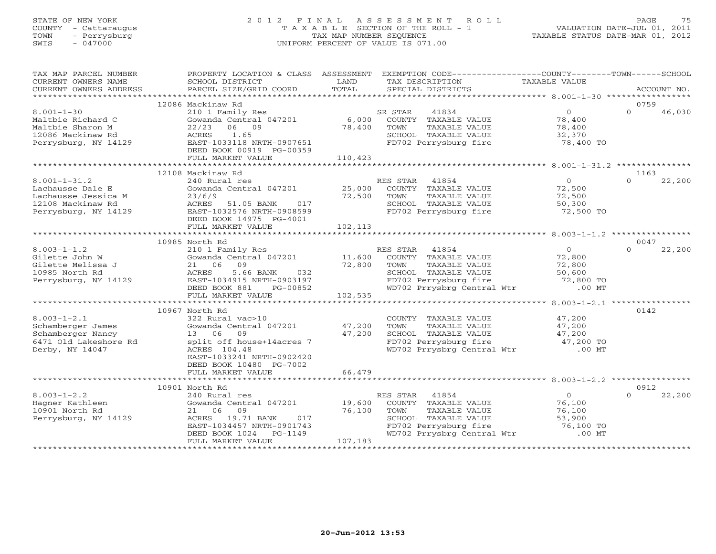# STATE OF NEW YORK 2 0 1 2 F I N A L A S S E S S M E N T R O L L PAGE 75 COUNTY - Cattaraugus T A X A B L E SECTION OF THE ROLL - 1 VALUATION DATE-JUL 01, 2011 TOWN - Perrysburg TAX MAP NUMBER SEQUENCE TAXABLE STATUS DATE-MAR 01, 2012 SWIS - 047000 UNIFORM PERCENT OF VALUE IS 071.00

| TAX MAP PARCEL NUMBER<br>CURRENT OWNERS NAME<br>CURRENT OWNERS ADDRESS                                     | PROPERTY LOCATION & CLASS ASSESSMENT EXEMPTION CODE---------------COUNTY-------TOWN------SCHOOL<br>SCHOOL DISTRICT<br>PARCEL SIZE/GRID COORD                                                            | LAND<br>TOTAL     | TAX DESCRIPTION<br>SPECIAL DISTRICTS                                                                                                                               | TAXABLE VALUE                                             | ACCOUNT NO.                |
|------------------------------------------------------------------------------------------------------------|---------------------------------------------------------------------------------------------------------------------------------------------------------------------------------------------------------|-------------------|--------------------------------------------------------------------------------------------------------------------------------------------------------------------|-----------------------------------------------------------|----------------------------|
|                                                                                                            |                                                                                                                                                                                                         |                   |                                                                                                                                                                    |                                                           |                            |
|                                                                                                            | 12086 Mackinaw Rd                                                                                                                                                                                       |                   |                                                                                                                                                                    |                                                           | 0759                       |
| $8.001 - 1 - 30$<br>Maltbie Richard C<br>Maltbie Sharon M<br>12086 Mackinaw Rd<br>Perrysburg, NY 14129     | 210 1 Family Res<br>Gowanda Central 047201<br>22/23<br>06 09<br>ACRES<br>1.65<br>EAST-1033118 NRTH-0907651<br>DEED BOOK 00919 PG-00359                                                                  |                   | SR STAR<br>41834<br>6,000 COUNTY TAXABLE VALUE<br>78,400 TOWN TAXABLE VALUE<br>SCHOOL TAXABLE VALUE<br>FD702 Perrysburg fire                                       | $\overline{0}$<br>78,400<br>78,400<br>32,370<br>78,400 TO | $\Omega$<br>46,030         |
|                                                                                                            | FULL MARKET VALUE                                                                                                                                                                                       | 110,423           |                                                                                                                                                                    |                                                           |                            |
|                                                                                                            | 12108 Mackinaw Rd                                                                                                                                                                                       |                   |                                                                                                                                                                    |                                                           | 1163                       |
| $8.001 - 1 - 31.2$<br>Lachausse Dale E<br>Lachausse Jessica M<br>12108 Mackinaw Rd<br>Perrysburg, NY 14129 | 240 Rural res<br>Gowanda Central 047201 25,000<br>23/6/9<br>ACRES<br>51.05 BANK<br>017<br>EAST-1032576 NRTH-0908599<br>DEED BOOK 14975 PG-4001<br>FULL MARKET VALUE                                     | 72,500<br>102,113 | RES STAR 41854<br>COUNTY TAXABLE VALUE 72,500<br>TOWN<br>TAXABLE VALUE<br>SCHOOL TAXABLE VALUE<br>FD702 Perrysburg fire                                            | $\overline{0}$<br>72,500<br>50,300<br>72,500 TO           | $\Omega$<br>22,200         |
|                                                                                                            |                                                                                                                                                                                                         |                   |                                                                                                                                                                    |                                                           |                            |
| $8.003 - 1 - 1.2$<br>Gilette John W<br>Gilette Melissa J<br>10985 North Rd<br>Perrysburg, NY 14129         | 10985 North Rd<br>210 1 Family Res<br>Gowanda Central 047201 11,600<br>21 06 09 72,800<br>ACRES<br>5.66 BANK<br>032<br>EAST-1034915 NRTH-0903197<br>DEED BOOK 881 PG-00852<br>FULL MARKET VALUE 102,535 |                   | 41854<br>RES STAR<br>COUNTY TAXABLE VALUE<br>TAXABLE VALUE<br>TOWN<br>SCHOOL TAXABLE VALUE 50,600<br>FD702 Perrysburg fire 72,800 TO<br>WD702 Prrysbrg Central Wtr | $0 \qquad \qquad$<br>72,800<br>72,800<br>$.00$ MT         | 0047<br>22,200<br>$\Omega$ |
|                                                                                                            |                                                                                                                                                                                                         |                   |                                                                                                                                                                    |                                                           |                            |
| $8.003 - 1 - 2.1$<br>Schamberger James<br>Schamberger Nancy<br>6471 Old Lakeshore Rd<br>Derby, NY 14047    | 10967 North Rd<br>322 Rural vac>10<br>Gowanda Central 047201 47,200<br>13 06 09<br>split off house+14acres 7<br>ACRES 104.48<br>EAST-1033241 NRTH-0902420<br>DEED BOOK 10480 PG-7002                    | 47,200            | COUNTY TAXABLE VALUE<br>TAXABLE VALUE<br>TOWN<br>SCHOOL TAXABLE VALUE 47,200<br>FD702 Perrysburg fire 47,200 TO<br>WD702 Prrysbrg Central Wtr .00 MT               | 47,200<br>47,200                                          | 0142                       |
|                                                                                                            | FULL MARKET VALUE                                                                                                                                                                                       | 66,479            |                                                                                                                                                                    |                                                           |                            |
| $8.003 - 1 - 2.2$<br>Hagner Kathleen<br>10901 North Rd                                                     | 10901 North Rd<br>240 Rural res<br>Gowanda Central 047201 19,600<br>21 06<br>09                                                                                                                         | 76,100            | RES STAR<br>41854<br>COUNTY TAXABLE VALUE<br>TOWN<br>TAXABLE VALUE                                                                                                 | $\overline{0}$<br>76,100<br>76,100                        | 0912<br>$\Omega$<br>22,200 |
| Perrysburg, NY 14129                                                                                       | 19.71 BANK<br>ACRES<br>017<br>EAST-1034457 NRTH-0901743<br>DEED BOOK 1024 PG-1149<br>FULL MARKET VALUE                                                                                                  | 107,183           | SCHOOL TAXABLE VALUE 53,900<br>FD702 Perrysburg fire 53,900<br>WD702 Prrysbrg Central Wtr .00 MT                                                                   |                                                           |                            |
|                                                                                                            |                                                                                                                                                                                                         |                   |                                                                                                                                                                    |                                                           |                            |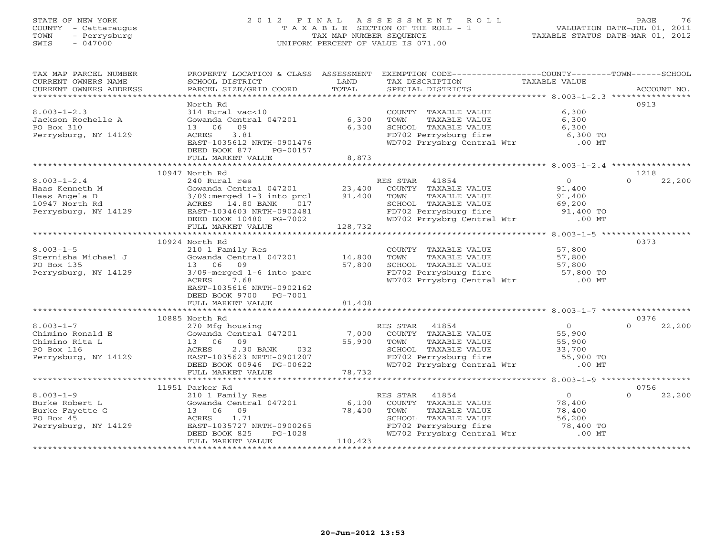#### STATE OF NEW YORK 2 0 1 2 F I N A L A S S E S S M E N T R O L L PAGE 76COUNTY - Cattaraugus T A X A B L E SECTION OF THE ROLL - 1 VALUATION DATE-JUL 01, 2011 SWIS - 047000 UNIFORM PERCENT OF VALUE IS 071.00

TAXABLE STATUS DATE-MAR 01, 2012

| North Rd<br>0913<br>$8.003 - 1 - 2.3$<br>6,300<br>314 Rural vac<10<br>COUNTY TAXABLE VALUE<br>Gowanda Central 047201<br>6,300<br>6,300<br>Jackson Rochelle A<br>TOWN<br>TAXABLE VALUE<br>PO Box 310<br>09<br>6,300<br>SCHOOL TAXABLE VALUE<br>6,300<br>13 06<br>FD702 Perrysburg fire 6,300 TO<br>WD702 Prrysbrg Central Wtr 6,00 MT<br>Perrysburg, NY 14129<br>ACRES<br>3.81<br>EAST-1035612 NRTH-0901476<br>DEED BOOK 877<br>PG-00157<br>FULL MARKET VALUE<br>8,873<br>10947 North Rd<br>1218<br>$8.003 - 1 - 2.4$<br>$\overline{0}$<br>240 Rural res<br>RES STAR 41854<br>$\Omega$<br>22,200<br>Gowanda Central 047201 23,400<br>91,400<br>COUNTY TAXABLE VALUE<br>Haas Kenneth M<br>91,400<br>Haas Angela D<br>3/09:merged 1-3 into prcl<br>TOWN<br>TAXABLE VALUE<br>91,400<br>10947 North Rd<br>ACRES 14.80 BANK<br>SCHOOL TAXABLE VALUE<br>69,200<br>017<br>FD702 Perrysburg fire 51,400 TO<br>WD702 Prrysbrg Central Wtr .00 MT<br>Perrysburg, NY 14129<br>EAST-1034603 NRTH-0902481<br>DEED BOOK $10480$ PG-7002<br>128,732<br>FULL MARKET VALUE<br>10924 North Rd<br>0373<br>$8.003 - 1 - 5$<br>210 1 Family Res<br>57,800<br>COUNTY TAXABLE VALUE<br>Sternisha Michael J<br>Gowanda Central 047201<br>14,800<br>TOWN<br>TAXABLE VALUE<br>57,800<br>57,800<br>SCHOOL TAXABLE VALUE<br>57,800<br>PO Box 135<br>13 06 09<br>FD702 Perrysburg fire 57,800 TO<br>WD702 Prrysbrg Central Wtr .00 MT<br>Perrysburg, NY 14129<br>$3/09$ -merged $1-6$ into parc<br>ACRES<br>7.68<br>EAST-1035616 NRTH-0902162<br>DEED BOOK 9700<br>PG-7001<br>81,408<br>FULL MARKET VALUE<br>0376<br>10885 North Rd<br>$8.003 - 1 - 7$<br>270 Mfg housing<br>RES STAR<br>41854<br>$\overline{0}$<br>22,200<br>$\Omega$<br>7,000<br>55,900<br>Gowanda Central 047201<br>Chimino Ronald E<br>COUNTY TAXABLE VALUE<br>Chimino Rita L<br>13 06 09<br>55,900<br>55,900<br>TOWN<br>TAXABLE VALUE<br>PO Box 116<br>2.30 BANK 032<br>SCHOOL TAXABLE VALUE<br>33,700<br>ACRES<br>SCHOOL TAXABLE VALUE 33,700<br>FD702 Perrysburg fire 55,900 TO<br>WD702 Prrysbrg Central Wtr .00 MT<br>EAST-1035623 NRTH-0901207<br>Perrysburg, NY 14129<br>DEED BOOK 00946 PG-00622<br>78,732<br>FULL MARKET VALUE<br>11951 Parker Rd<br>0756<br>$8.003 - 1 - 9$<br>210 1 Family Res<br>41854<br>$\overline{0}$<br>22,200<br>RES STAR<br>$\Omega$<br>6,100<br>Gowanda Central 047201<br>Burke Robert L<br>COUNTY TAXABLE VALUE<br>78,400<br>78,400<br>Burke Fayette G<br>13 06 09<br>TOWN<br>TAXABLE VALUE<br>78,400<br>PO Box 45<br>ACRES 1.71<br>SCHOOL TAXABLE VALUE<br>56,200<br>FD702 Perrysburg fire<br>Perrysburg, NY 14129<br>EAST-1035727 NRTH-0900265<br>78,400 TO<br>WD702 Prrysbrg Central Wtr<br>$.00$ MT<br>DEED BOOK 825<br>$PG-1028$<br>110,423<br>FULL MARKET VALUE | TAX MAP PARCEL NUMBER<br>CURRENT OWNERS NAME<br>CURRENT OWNERS ADDRESS | PROPERTY LOCATION & CLASS ASSESSMENT EXEMPTION CODE----------------COUNTY-------TOWN------SCHOOL<br>SCHOOL DISTRICT<br>PARCEL SIZE/GRID COORD | LAND<br>TOTAL | TAX DESCRIPTION TAXABLE VALUE<br>SPECIAL DISTRICTS | ACCOUNT NO. |
|-------------------------------------------------------------------------------------------------------------------------------------------------------------------------------------------------------------------------------------------------------------------------------------------------------------------------------------------------------------------------------------------------------------------------------------------------------------------------------------------------------------------------------------------------------------------------------------------------------------------------------------------------------------------------------------------------------------------------------------------------------------------------------------------------------------------------------------------------------------------------------------------------------------------------------------------------------------------------------------------------------------------------------------------------------------------------------------------------------------------------------------------------------------------------------------------------------------------------------------------------------------------------------------------------------------------------------------------------------------------------------------------------------------------------------------------------------------------------------------------------------------------------------------------------------------------------------------------------------------------------------------------------------------------------------------------------------------------------------------------------------------------------------------------------------------------------------------------------------------------------------------------------------------------------------------------------------------------------------------------------------------------------------------------------------------------------------------------------------------------------------------------------------------------------------------------------------------------------------------------------------------------------------------------------------------------------------------------------------------------------------------------------------------------------------------------------------------------------------------------------------------------------------------------------------------------------------------------------------------------------------------------------------------------------------------------------------------------------------------------------|------------------------------------------------------------------------|-----------------------------------------------------------------------------------------------------------------------------------------------|---------------|----------------------------------------------------|-------------|
|                                                                                                                                                                                                                                                                                                                                                                                                                                                                                                                                                                                                                                                                                                                                                                                                                                                                                                                                                                                                                                                                                                                                                                                                                                                                                                                                                                                                                                                                                                                                                                                                                                                                                                                                                                                                                                                                                                                                                                                                                                                                                                                                                                                                                                                                                                                                                                                                                                                                                                                                                                                                                                                                                                                                                 |                                                                        |                                                                                                                                               |               |                                                    |             |
|                                                                                                                                                                                                                                                                                                                                                                                                                                                                                                                                                                                                                                                                                                                                                                                                                                                                                                                                                                                                                                                                                                                                                                                                                                                                                                                                                                                                                                                                                                                                                                                                                                                                                                                                                                                                                                                                                                                                                                                                                                                                                                                                                                                                                                                                                                                                                                                                                                                                                                                                                                                                                                                                                                                                                 |                                                                        |                                                                                                                                               |               |                                                    |             |
|                                                                                                                                                                                                                                                                                                                                                                                                                                                                                                                                                                                                                                                                                                                                                                                                                                                                                                                                                                                                                                                                                                                                                                                                                                                                                                                                                                                                                                                                                                                                                                                                                                                                                                                                                                                                                                                                                                                                                                                                                                                                                                                                                                                                                                                                                                                                                                                                                                                                                                                                                                                                                                                                                                                                                 |                                                                        |                                                                                                                                               |               |                                                    |             |
|                                                                                                                                                                                                                                                                                                                                                                                                                                                                                                                                                                                                                                                                                                                                                                                                                                                                                                                                                                                                                                                                                                                                                                                                                                                                                                                                                                                                                                                                                                                                                                                                                                                                                                                                                                                                                                                                                                                                                                                                                                                                                                                                                                                                                                                                                                                                                                                                                                                                                                                                                                                                                                                                                                                                                 |                                                                        |                                                                                                                                               |               |                                                    |             |
|                                                                                                                                                                                                                                                                                                                                                                                                                                                                                                                                                                                                                                                                                                                                                                                                                                                                                                                                                                                                                                                                                                                                                                                                                                                                                                                                                                                                                                                                                                                                                                                                                                                                                                                                                                                                                                                                                                                                                                                                                                                                                                                                                                                                                                                                                                                                                                                                                                                                                                                                                                                                                                                                                                                                                 |                                                                        |                                                                                                                                               |               |                                                    |             |
|                                                                                                                                                                                                                                                                                                                                                                                                                                                                                                                                                                                                                                                                                                                                                                                                                                                                                                                                                                                                                                                                                                                                                                                                                                                                                                                                                                                                                                                                                                                                                                                                                                                                                                                                                                                                                                                                                                                                                                                                                                                                                                                                                                                                                                                                                                                                                                                                                                                                                                                                                                                                                                                                                                                                                 |                                                                        |                                                                                                                                               |               |                                                    |             |
|                                                                                                                                                                                                                                                                                                                                                                                                                                                                                                                                                                                                                                                                                                                                                                                                                                                                                                                                                                                                                                                                                                                                                                                                                                                                                                                                                                                                                                                                                                                                                                                                                                                                                                                                                                                                                                                                                                                                                                                                                                                                                                                                                                                                                                                                                                                                                                                                                                                                                                                                                                                                                                                                                                                                                 |                                                                        |                                                                                                                                               |               |                                                    |             |
|                                                                                                                                                                                                                                                                                                                                                                                                                                                                                                                                                                                                                                                                                                                                                                                                                                                                                                                                                                                                                                                                                                                                                                                                                                                                                                                                                                                                                                                                                                                                                                                                                                                                                                                                                                                                                                                                                                                                                                                                                                                                                                                                                                                                                                                                                                                                                                                                                                                                                                                                                                                                                                                                                                                                                 |                                                                        |                                                                                                                                               |               |                                                    |             |
|                                                                                                                                                                                                                                                                                                                                                                                                                                                                                                                                                                                                                                                                                                                                                                                                                                                                                                                                                                                                                                                                                                                                                                                                                                                                                                                                                                                                                                                                                                                                                                                                                                                                                                                                                                                                                                                                                                                                                                                                                                                                                                                                                                                                                                                                                                                                                                                                                                                                                                                                                                                                                                                                                                                                                 |                                                                        |                                                                                                                                               |               |                                                    |             |
|                                                                                                                                                                                                                                                                                                                                                                                                                                                                                                                                                                                                                                                                                                                                                                                                                                                                                                                                                                                                                                                                                                                                                                                                                                                                                                                                                                                                                                                                                                                                                                                                                                                                                                                                                                                                                                                                                                                                                                                                                                                                                                                                                                                                                                                                                                                                                                                                                                                                                                                                                                                                                                                                                                                                                 |                                                                        |                                                                                                                                               |               |                                                    |             |
|                                                                                                                                                                                                                                                                                                                                                                                                                                                                                                                                                                                                                                                                                                                                                                                                                                                                                                                                                                                                                                                                                                                                                                                                                                                                                                                                                                                                                                                                                                                                                                                                                                                                                                                                                                                                                                                                                                                                                                                                                                                                                                                                                                                                                                                                                                                                                                                                                                                                                                                                                                                                                                                                                                                                                 |                                                                        |                                                                                                                                               |               |                                                    |             |
|                                                                                                                                                                                                                                                                                                                                                                                                                                                                                                                                                                                                                                                                                                                                                                                                                                                                                                                                                                                                                                                                                                                                                                                                                                                                                                                                                                                                                                                                                                                                                                                                                                                                                                                                                                                                                                                                                                                                                                                                                                                                                                                                                                                                                                                                                                                                                                                                                                                                                                                                                                                                                                                                                                                                                 |                                                                        |                                                                                                                                               |               |                                                    |             |
|                                                                                                                                                                                                                                                                                                                                                                                                                                                                                                                                                                                                                                                                                                                                                                                                                                                                                                                                                                                                                                                                                                                                                                                                                                                                                                                                                                                                                                                                                                                                                                                                                                                                                                                                                                                                                                                                                                                                                                                                                                                                                                                                                                                                                                                                                                                                                                                                                                                                                                                                                                                                                                                                                                                                                 |                                                                        |                                                                                                                                               |               |                                                    |             |
|                                                                                                                                                                                                                                                                                                                                                                                                                                                                                                                                                                                                                                                                                                                                                                                                                                                                                                                                                                                                                                                                                                                                                                                                                                                                                                                                                                                                                                                                                                                                                                                                                                                                                                                                                                                                                                                                                                                                                                                                                                                                                                                                                                                                                                                                                                                                                                                                                                                                                                                                                                                                                                                                                                                                                 |                                                                        |                                                                                                                                               |               |                                                    |             |
|                                                                                                                                                                                                                                                                                                                                                                                                                                                                                                                                                                                                                                                                                                                                                                                                                                                                                                                                                                                                                                                                                                                                                                                                                                                                                                                                                                                                                                                                                                                                                                                                                                                                                                                                                                                                                                                                                                                                                                                                                                                                                                                                                                                                                                                                                                                                                                                                                                                                                                                                                                                                                                                                                                                                                 |                                                                        |                                                                                                                                               |               |                                                    |             |
|                                                                                                                                                                                                                                                                                                                                                                                                                                                                                                                                                                                                                                                                                                                                                                                                                                                                                                                                                                                                                                                                                                                                                                                                                                                                                                                                                                                                                                                                                                                                                                                                                                                                                                                                                                                                                                                                                                                                                                                                                                                                                                                                                                                                                                                                                                                                                                                                                                                                                                                                                                                                                                                                                                                                                 |                                                                        |                                                                                                                                               |               |                                                    |             |
|                                                                                                                                                                                                                                                                                                                                                                                                                                                                                                                                                                                                                                                                                                                                                                                                                                                                                                                                                                                                                                                                                                                                                                                                                                                                                                                                                                                                                                                                                                                                                                                                                                                                                                                                                                                                                                                                                                                                                                                                                                                                                                                                                                                                                                                                                                                                                                                                                                                                                                                                                                                                                                                                                                                                                 |                                                                        |                                                                                                                                               |               |                                                    |             |
|                                                                                                                                                                                                                                                                                                                                                                                                                                                                                                                                                                                                                                                                                                                                                                                                                                                                                                                                                                                                                                                                                                                                                                                                                                                                                                                                                                                                                                                                                                                                                                                                                                                                                                                                                                                                                                                                                                                                                                                                                                                                                                                                                                                                                                                                                                                                                                                                                                                                                                                                                                                                                                                                                                                                                 |                                                                        |                                                                                                                                               |               |                                                    |             |
|                                                                                                                                                                                                                                                                                                                                                                                                                                                                                                                                                                                                                                                                                                                                                                                                                                                                                                                                                                                                                                                                                                                                                                                                                                                                                                                                                                                                                                                                                                                                                                                                                                                                                                                                                                                                                                                                                                                                                                                                                                                                                                                                                                                                                                                                                                                                                                                                                                                                                                                                                                                                                                                                                                                                                 |                                                                        |                                                                                                                                               |               |                                                    |             |
|                                                                                                                                                                                                                                                                                                                                                                                                                                                                                                                                                                                                                                                                                                                                                                                                                                                                                                                                                                                                                                                                                                                                                                                                                                                                                                                                                                                                                                                                                                                                                                                                                                                                                                                                                                                                                                                                                                                                                                                                                                                                                                                                                                                                                                                                                                                                                                                                                                                                                                                                                                                                                                                                                                                                                 |                                                                        |                                                                                                                                               |               |                                                    |             |
|                                                                                                                                                                                                                                                                                                                                                                                                                                                                                                                                                                                                                                                                                                                                                                                                                                                                                                                                                                                                                                                                                                                                                                                                                                                                                                                                                                                                                                                                                                                                                                                                                                                                                                                                                                                                                                                                                                                                                                                                                                                                                                                                                                                                                                                                                                                                                                                                                                                                                                                                                                                                                                                                                                                                                 |                                                                        |                                                                                                                                               |               |                                                    |             |
|                                                                                                                                                                                                                                                                                                                                                                                                                                                                                                                                                                                                                                                                                                                                                                                                                                                                                                                                                                                                                                                                                                                                                                                                                                                                                                                                                                                                                                                                                                                                                                                                                                                                                                                                                                                                                                                                                                                                                                                                                                                                                                                                                                                                                                                                                                                                                                                                                                                                                                                                                                                                                                                                                                                                                 |                                                                        |                                                                                                                                               |               |                                                    |             |
|                                                                                                                                                                                                                                                                                                                                                                                                                                                                                                                                                                                                                                                                                                                                                                                                                                                                                                                                                                                                                                                                                                                                                                                                                                                                                                                                                                                                                                                                                                                                                                                                                                                                                                                                                                                                                                                                                                                                                                                                                                                                                                                                                                                                                                                                                                                                                                                                                                                                                                                                                                                                                                                                                                                                                 |                                                                        |                                                                                                                                               |               |                                                    |             |
|                                                                                                                                                                                                                                                                                                                                                                                                                                                                                                                                                                                                                                                                                                                                                                                                                                                                                                                                                                                                                                                                                                                                                                                                                                                                                                                                                                                                                                                                                                                                                                                                                                                                                                                                                                                                                                                                                                                                                                                                                                                                                                                                                                                                                                                                                                                                                                                                                                                                                                                                                                                                                                                                                                                                                 |                                                                        |                                                                                                                                               |               |                                                    |             |
|                                                                                                                                                                                                                                                                                                                                                                                                                                                                                                                                                                                                                                                                                                                                                                                                                                                                                                                                                                                                                                                                                                                                                                                                                                                                                                                                                                                                                                                                                                                                                                                                                                                                                                                                                                                                                                                                                                                                                                                                                                                                                                                                                                                                                                                                                                                                                                                                                                                                                                                                                                                                                                                                                                                                                 |                                                                        |                                                                                                                                               |               |                                                    |             |
|                                                                                                                                                                                                                                                                                                                                                                                                                                                                                                                                                                                                                                                                                                                                                                                                                                                                                                                                                                                                                                                                                                                                                                                                                                                                                                                                                                                                                                                                                                                                                                                                                                                                                                                                                                                                                                                                                                                                                                                                                                                                                                                                                                                                                                                                                                                                                                                                                                                                                                                                                                                                                                                                                                                                                 |                                                                        |                                                                                                                                               |               |                                                    |             |
|                                                                                                                                                                                                                                                                                                                                                                                                                                                                                                                                                                                                                                                                                                                                                                                                                                                                                                                                                                                                                                                                                                                                                                                                                                                                                                                                                                                                                                                                                                                                                                                                                                                                                                                                                                                                                                                                                                                                                                                                                                                                                                                                                                                                                                                                                                                                                                                                                                                                                                                                                                                                                                                                                                                                                 |                                                                        |                                                                                                                                               |               |                                                    |             |
|                                                                                                                                                                                                                                                                                                                                                                                                                                                                                                                                                                                                                                                                                                                                                                                                                                                                                                                                                                                                                                                                                                                                                                                                                                                                                                                                                                                                                                                                                                                                                                                                                                                                                                                                                                                                                                                                                                                                                                                                                                                                                                                                                                                                                                                                                                                                                                                                                                                                                                                                                                                                                                                                                                                                                 |                                                                        |                                                                                                                                               |               |                                                    |             |
|                                                                                                                                                                                                                                                                                                                                                                                                                                                                                                                                                                                                                                                                                                                                                                                                                                                                                                                                                                                                                                                                                                                                                                                                                                                                                                                                                                                                                                                                                                                                                                                                                                                                                                                                                                                                                                                                                                                                                                                                                                                                                                                                                                                                                                                                                                                                                                                                                                                                                                                                                                                                                                                                                                                                                 |                                                                        |                                                                                                                                               |               |                                                    |             |
|                                                                                                                                                                                                                                                                                                                                                                                                                                                                                                                                                                                                                                                                                                                                                                                                                                                                                                                                                                                                                                                                                                                                                                                                                                                                                                                                                                                                                                                                                                                                                                                                                                                                                                                                                                                                                                                                                                                                                                                                                                                                                                                                                                                                                                                                                                                                                                                                                                                                                                                                                                                                                                                                                                                                                 |                                                                        |                                                                                                                                               |               |                                                    |             |
|                                                                                                                                                                                                                                                                                                                                                                                                                                                                                                                                                                                                                                                                                                                                                                                                                                                                                                                                                                                                                                                                                                                                                                                                                                                                                                                                                                                                                                                                                                                                                                                                                                                                                                                                                                                                                                                                                                                                                                                                                                                                                                                                                                                                                                                                                                                                                                                                                                                                                                                                                                                                                                                                                                                                                 |                                                                        |                                                                                                                                               |               |                                                    |             |
|                                                                                                                                                                                                                                                                                                                                                                                                                                                                                                                                                                                                                                                                                                                                                                                                                                                                                                                                                                                                                                                                                                                                                                                                                                                                                                                                                                                                                                                                                                                                                                                                                                                                                                                                                                                                                                                                                                                                                                                                                                                                                                                                                                                                                                                                                                                                                                                                                                                                                                                                                                                                                                                                                                                                                 |                                                                        |                                                                                                                                               |               |                                                    |             |
|                                                                                                                                                                                                                                                                                                                                                                                                                                                                                                                                                                                                                                                                                                                                                                                                                                                                                                                                                                                                                                                                                                                                                                                                                                                                                                                                                                                                                                                                                                                                                                                                                                                                                                                                                                                                                                                                                                                                                                                                                                                                                                                                                                                                                                                                                                                                                                                                                                                                                                                                                                                                                                                                                                                                                 |                                                                        |                                                                                                                                               |               |                                                    |             |
|                                                                                                                                                                                                                                                                                                                                                                                                                                                                                                                                                                                                                                                                                                                                                                                                                                                                                                                                                                                                                                                                                                                                                                                                                                                                                                                                                                                                                                                                                                                                                                                                                                                                                                                                                                                                                                                                                                                                                                                                                                                                                                                                                                                                                                                                                                                                                                                                                                                                                                                                                                                                                                                                                                                                                 |                                                                        |                                                                                                                                               |               |                                                    |             |
|                                                                                                                                                                                                                                                                                                                                                                                                                                                                                                                                                                                                                                                                                                                                                                                                                                                                                                                                                                                                                                                                                                                                                                                                                                                                                                                                                                                                                                                                                                                                                                                                                                                                                                                                                                                                                                                                                                                                                                                                                                                                                                                                                                                                                                                                                                                                                                                                                                                                                                                                                                                                                                                                                                                                                 |                                                                        |                                                                                                                                               |               |                                                    |             |
|                                                                                                                                                                                                                                                                                                                                                                                                                                                                                                                                                                                                                                                                                                                                                                                                                                                                                                                                                                                                                                                                                                                                                                                                                                                                                                                                                                                                                                                                                                                                                                                                                                                                                                                                                                                                                                                                                                                                                                                                                                                                                                                                                                                                                                                                                                                                                                                                                                                                                                                                                                                                                                                                                                                                                 |                                                                        |                                                                                                                                               |               |                                                    |             |
|                                                                                                                                                                                                                                                                                                                                                                                                                                                                                                                                                                                                                                                                                                                                                                                                                                                                                                                                                                                                                                                                                                                                                                                                                                                                                                                                                                                                                                                                                                                                                                                                                                                                                                                                                                                                                                                                                                                                                                                                                                                                                                                                                                                                                                                                                                                                                                                                                                                                                                                                                                                                                                                                                                                                                 |                                                                        |                                                                                                                                               |               |                                                    |             |
|                                                                                                                                                                                                                                                                                                                                                                                                                                                                                                                                                                                                                                                                                                                                                                                                                                                                                                                                                                                                                                                                                                                                                                                                                                                                                                                                                                                                                                                                                                                                                                                                                                                                                                                                                                                                                                                                                                                                                                                                                                                                                                                                                                                                                                                                                                                                                                                                                                                                                                                                                                                                                                                                                                                                                 |                                                                        |                                                                                                                                               |               |                                                    |             |
|                                                                                                                                                                                                                                                                                                                                                                                                                                                                                                                                                                                                                                                                                                                                                                                                                                                                                                                                                                                                                                                                                                                                                                                                                                                                                                                                                                                                                                                                                                                                                                                                                                                                                                                                                                                                                                                                                                                                                                                                                                                                                                                                                                                                                                                                                                                                                                                                                                                                                                                                                                                                                                                                                                                                                 |                                                                        |                                                                                                                                               |               |                                                    |             |
|                                                                                                                                                                                                                                                                                                                                                                                                                                                                                                                                                                                                                                                                                                                                                                                                                                                                                                                                                                                                                                                                                                                                                                                                                                                                                                                                                                                                                                                                                                                                                                                                                                                                                                                                                                                                                                                                                                                                                                                                                                                                                                                                                                                                                                                                                                                                                                                                                                                                                                                                                                                                                                                                                                                                                 |                                                                        |                                                                                                                                               |               |                                                    |             |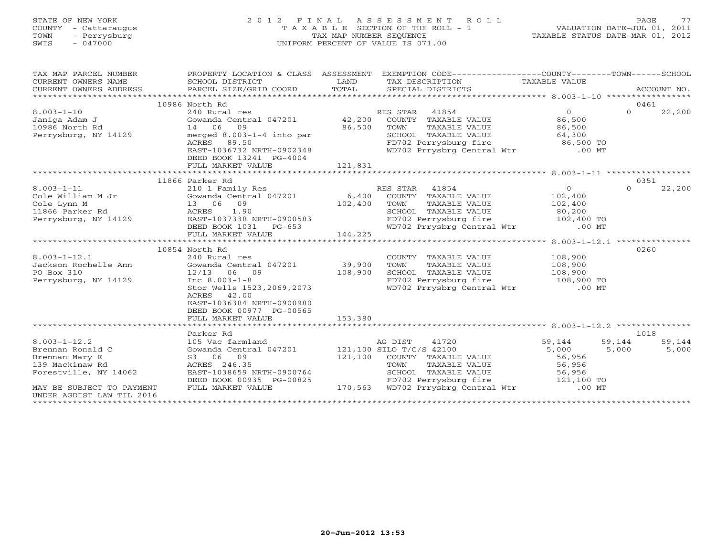# STATE OF NEW YORK 2 0 1 2 F I N A L A S S E S S M E N T R O L L PAGE 77 COUNTY - Cattaraugus T A X A B L E SECTION OF THE ROLL - 1 VALUATION DATE-JUL 01, 2011 TOWN - Perrysburg TAX MAP NUMBER SEQUENCE TAXABLE STATUS DATE-MAR 01, 2012 SWIS - 047000 UNIFORM PERCENT OF VALUE IS 071.00

| TAX MAP PARCEL NUMBER<br>CURRENT OWNERS NAME<br>$\begin{tabular}{lllllll} \multicolumn{2}{l}{{\small\sc{CURRENT}}}& $\text{MME}$ & $\text{SCHOOL} & $\text{DISTRICT}$ & $\text{LAND}$ & $\text{TAX} & $\text{DESCRIPTION}$ & $\text{TAXABLE} & $\text{VALUE}$ \\ & $\text{CURRENT} & $\text{MDRESS}$ & $\text{PARCEL} & $\text{SIZE/GRID} & $\text{COORD}$ & $\text{TOTAL}$ & $\text{SPECIAL} & $\text{DISTRICTS}$ & $\text{RCCOUNT} & $\text{NOL} \\ & $\text{*}\text{*}\text{*}\text{*}\text{*}\text{*}\text{*}\text{*}\text{*}\text{*}\text{*}\text{*}\text$<br>CURRENT OWNERS ADDRESS | PROPERTY LOCATION & CLASS ASSESSMENT              |         | EXEMPTION CODE-----------------COUNTY-------TOWN------SCHOOL                                           |                        |                    |
|-------------------------------------------------------------------------------------------------------------------------------------------------------------------------------------------------------------------------------------------------------------------------------------------------------------------------------------------------------------------------------------------------------------------------------------------------------------------------------------------------------------------------------------------------------------------------------------------|---------------------------------------------------|---------|--------------------------------------------------------------------------------------------------------|------------------------|--------------------|
|                                                                                                                                                                                                                                                                                                                                                                                                                                                                                                                                                                                           |                                                   |         |                                                                                                        |                        |                    |
|                                                                                                                                                                                                                                                                                                                                                                                                                                                                                                                                                                                           | 10986 North Rd                                    |         |                                                                                                        |                        | 0461               |
| $8.003 - 1 - 10$                                                                                                                                                                                                                                                                                                                                                                                                                                                                                                                                                                          | 240 Rural res                                     |         | RES STAR 41854                                                                                         | $\Omega$               | $\Omega$<br>22,200 |
| Janiga Adam J                                                                                                                                                                                                                                                                                                                                                                                                                                                                                                                                                                             | Gowanda Central 047201 42,200                     |         | COUNTY TAXABLE VALUE                                                                                   | 86,500                 |                    |
| 10986 North Rd                                                                                                                                                                                                                                                                                                                                                                                                                                                                                                                                                                            | 14 06<br>09                                       | 86,500  | TOWN<br>TAXABLE VALUE                                                                                  | 86,500                 |                    |
| Perrysburg, NY 14129                                                                                                                                                                                                                                                                                                                                                                                                                                                                                                                                                                      | merged 8.003-1-4 into par                         |         |                                                                                                        |                        |                    |
|                                                                                                                                                                                                                                                                                                                                                                                                                                                                                                                                                                                           | ACRES 89.50                                       |         |                                                                                                        |                        |                    |
|                                                                                                                                                                                                                                                                                                                                                                                                                                                                                                                                                                                           | EAST-1036732 NRTH-0902348                         |         | WD702 Prrysbrg Central Wtr .00 MT                                                                      |                        |                    |
|                                                                                                                                                                                                                                                                                                                                                                                                                                                                                                                                                                                           | DEED BOOK 13241 PG-4004<br>FULL MARKET VALUE      | 121,831 |                                                                                                        |                        |                    |
|                                                                                                                                                                                                                                                                                                                                                                                                                                                                                                                                                                                           |                                                   |         |                                                                                                        |                        |                    |
|                                                                                                                                                                                                                                                                                                                                                                                                                                                                                                                                                                                           | 11866 Parker Rd                                   |         |                                                                                                        |                        | 0351               |
| $8.003 - 1 - 11$                                                                                                                                                                                                                                                                                                                                                                                                                                                                                                                                                                          | 210 1 Family Res                                  |         | RES STAR 41854                                                                                         | $\Omega$               | $\Omega$<br>22,200 |
| Cole William M Jr                                                                                                                                                                                                                                                                                                                                                                                                                                                                                                                                                                         | Gowanda Central 047201 6,400 COUNTY TAXABLE VALUE |         |                                                                                                        | 102,400                |                    |
| Cole Lynn M                                                                                                                                                                                                                                                                                                                                                                                                                                                                                                                                                                               | 13 06 09                                          | 102,400 | TOWN<br>TAXABLE VALUE                                                                                  | 102,400                |                    |
| 11866 Parker Rd                                                                                                                                                                                                                                                                                                                                                                                                                                                                                                                                                                           | ACRES 1.90                                        |         |                                                                                                        |                        |                    |
| Perrysburg, NY 14129                                                                                                                                                                                                                                                                                                                                                                                                                                                                                                                                                                      | ACRES 1.90<br>EAST-1037338 NRTH-0900583           |         | SCHOOL TAXABLE VALUE $80,200$<br>FD702 Perrysburg fire 102,400 TO<br>WD702 Prrysbrg Central Wtr .00 MT |                        |                    |
|                                                                                                                                                                                                                                                                                                                                                                                                                                                                                                                                                                                           | DEED BOOK 1031 PG-653                             |         |                                                                                                        |                        |                    |
|                                                                                                                                                                                                                                                                                                                                                                                                                                                                                                                                                                                           | FULL MARKET VALUE                                 | 144,225 |                                                                                                        |                        |                    |
|                                                                                                                                                                                                                                                                                                                                                                                                                                                                                                                                                                                           |                                                   |         |                                                                                                        |                        |                    |
|                                                                                                                                                                                                                                                                                                                                                                                                                                                                                                                                                                                           | 10854 North Rd                                    |         |                                                                                                        |                        | 0260               |
| $8.003 - 1 - 12.1$                                                                                                                                                                                                                                                                                                                                                                                                                                                                                                                                                                        | 240 Rural res                                     |         | COUNTY TAXABLE VALUE                                                                                   | 108,900                |                    |
| Jackson Rochelle Ann                                                                                                                                                                                                                                                                                                                                                                                                                                                                                                                                                                      | Gowanda Central 047201 39,900                     |         | TOWN<br>TAXABLE VALUE                                                                                  | 108,900                |                    |
| PO Box 310                                                                                                                                                                                                                                                                                                                                                                                                                                                                                                                                                                                | 12/13 06 09                                       | 108,900 | SCHOOL TAXABLE VALUE                                                                                   | 108,900                |                    |
| Perrysburg, NY 14129                                                                                                                                                                                                                                                                                                                                                                                                                                                                                                                                                                      | Inc $8.003 - 1 - 8$                               |         | FD702 Perrysburg fire 108,900 TO                                                                       |                        |                    |
|                                                                                                                                                                                                                                                                                                                                                                                                                                                                                                                                                                                           | Stor Wells 1523, 2069, 2073                       |         | WD702 Prrysbrg Central Wtr                                                                             | $.00$ MT               |                    |
|                                                                                                                                                                                                                                                                                                                                                                                                                                                                                                                                                                                           | ACRES 42.00<br>EAST-1036384 NRTH-0900980          |         |                                                                                                        |                        |                    |
|                                                                                                                                                                                                                                                                                                                                                                                                                                                                                                                                                                                           | DEED BOOK 00977 PG-00565                          |         |                                                                                                        |                        |                    |
|                                                                                                                                                                                                                                                                                                                                                                                                                                                                                                                                                                                           | FULL MARKET VALUE                                 | 153,380 |                                                                                                        |                        |                    |
|                                                                                                                                                                                                                                                                                                                                                                                                                                                                                                                                                                                           |                                                   |         |                                                                                                        |                        |                    |
|                                                                                                                                                                                                                                                                                                                                                                                                                                                                                                                                                                                           | Parker Rd                                         |         |                                                                                                        |                        | 1018               |
| $8.003 - 1 - 12.2$                                                                                                                                                                                                                                                                                                                                                                                                                                                                                                                                                                        | 105 Vac farmland                                  |         | 41720<br>AG DIST                                                                                       | 59,144                 | 59,144<br>59,144   |
| Brennan Ronald C                                                                                                                                                                                                                                                                                                                                                                                                                                                                                                                                                                          | Gowanda Central 047201 121,100 SILO T/C/S 42100   |         |                                                                                                        | 5,000                  | 5,000<br>5,000     |
| Brennan Mary E                                                                                                                                                                                                                                                                                                                                                                                                                                                                                                                                                                            | S3 06 09                                          | 121,100 | COUNTY TAXABLE VALUE                                                                                   | 56,956                 |                    |
| 139 Mackinaw Rd                                                                                                                                                                                                                                                                                                                                                                                                                                                                                                                                                                           | ACRES 246.35                                      |         |                                                                                                        |                        |                    |
| Forestville, NY 14062                                                                                                                                                                                                                                                                                                                                                                                                                                                                                                                                                                     | EAST-1038659 NRTH-0900764                         |         |                                                                                                        | $56, 956$<br>$56, 956$ |                    |
|                                                                                                                                                                                                                                                                                                                                                                                                                                                                                                                                                                                           | DEED BOOK 00935 PG-00825                          |         |                                                                                                        |                        |                    |
| MAY BE SUBJECT TO PAYMENT                                                                                                                                                                                                                                                                                                                                                                                                                                                                                                                                                                 | FULL MARKET VALUE                                 | 170,563 | WD702 Prrysbrg Central Wtr                                                                             | $.00$ MT               |                    |
| UNDER AGDIST LAW TIL 2016                                                                                                                                                                                                                                                                                                                                                                                                                                                                                                                                                                 |                                                   |         |                                                                                                        |                        |                    |
|                                                                                                                                                                                                                                                                                                                                                                                                                                                                                                                                                                                           |                                                   |         |                                                                                                        |                        |                    |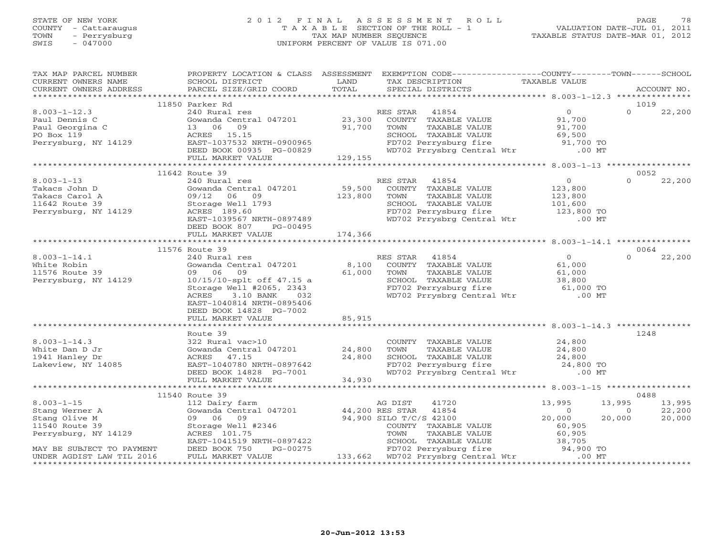### STATE OF NEW YORK 2 0 1 2 F I N A L A S S E S S M E N T R O L L PAGE 78 COUNTY - Cattaraugus T A X A B L E SECTION OF THE ROLL - 1 VALUATION DATE-JUL 01, 2011 TOWN - Perrysburg TAX MAP NUMBER SEQUENCE TAXABLE STATUS DATE-MAR 01, 2012 SWIS - 047000 UNIFORM PERCENT OF VALUE IS 071.00

| TAX MAP PARCEL NUMBER                                                                 | PROPERTY LOCATION & CLASS ASSESSMENT EXEMPTION CODE----------------COUNTY-------TOWN------SCHOOL                                                                   |         |                                                                                                                                  |                  |                |                  |
|---------------------------------------------------------------------------------------|--------------------------------------------------------------------------------------------------------------------------------------------------------------------|---------|----------------------------------------------------------------------------------------------------------------------------------|------------------|----------------|------------------|
| CURRENT OWNERS NAME                                                                   | SCHOOL DISTRICT<br><b>Example 12</b> LAND                                                                                                                          |         | TAX DESCRIPTION TAXABLE VALUE                                                                                                    |                  |                |                  |
|                                                                                       |                                                                                                                                                                    | TOTAL   | SPECIAL DISTRICTS                                                                                                                |                  |                | ACCOUNT NO.      |
|                                                                                       |                                                                                                                                                                    |         |                                                                                                                                  |                  |                |                  |
|                                                                                       | 11850 Parker Rd                                                                                                                                                    |         |                                                                                                                                  |                  |                | 1019             |
| $8.003 - 1 - 12.3$                                                                    | 240 Rural res                                                                                                                                                      |         | RES STAR 41854                                                                                                                   | $\overline{0}$   | $\Omega$       | 22,200           |
| Paul Dennis C                                                                         | Gowanda Central 047201 23,300                                                                                                                                      |         | COUNTY TAXABLE VALUE 91,700<br>TOWN TAXABLE VALUE 91,700                                                                         |                  |                |                  |
| Paul Georgina C                                                                       | 13 06 09                                                                                                                                                           | 91,700  | TAXABLE VALUE                                                                                                                    | 91,700           |                |                  |
| PO Box 119                                                                            | ACRES 15.15                                                                                                                                                        |         | CHOOL TAXABLE VALUE<br>SCHOOL TAXABLE VALUE<br>FD702 Perrysburg fire $69,500$<br>WD702 Prrysbrg Central Wtr .00 MT               |                  |                |                  |
| Perrysburg, NY 14129                                                                  |                                                                                                                                                                    |         |                                                                                                                                  |                  |                |                  |
|                                                                                       | ACRES 15.15<br>EAST-1037532 NRTH-0900965<br>DEED BOOK 00935 PG-00829<br>FULL MARKET VALUE 129,155                                                                  |         |                                                                                                                                  |                  |                |                  |
|                                                                                       |                                                                                                                                                                    |         |                                                                                                                                  |                  |                |                  |
|                                                                                       | 11642 Route 39                                                                                                                                                     |         |                                                                                                                                  |                  |                | 0052             |
| $8.003 - 1 - 13$                                                                      | 240 Rural res                                                                                                                                                      |         | RES STAR 41854                                                                                                                   | $\overline{0}$   | $\Omega$       | 22,200           |
| Takacs John D                                                                         | Gowanda Central 047201 59,500                                                                                                                                      |         | COUNTY TAXABLE VALUE                                                                                                             | 123,800          |                |                  |
| Takacs Carol A                                                                        | 09/12 06 09                                                                                                                                                        | 123,800 | TOWN                                                                                                                             |                  |                |                  |
| 11642 Route 39                                                                        |                                                                                                                                                                    |         |                                                                                                                                  |                  |                |                  |
| Perrysburg, NY 14129                                                                  | U9/12 UU<br>Storage Well 1793<br>Conno 199 60                                                                                                                      |         | TOWN TAXABLE VALUE<br>SCHOOL TAXABLE VALUE 123,800<br>FD702 Perrysburg fire 123,800 TO<br>WD702 Prrysbrg Central Wtr .00 MT      |                  |                |                  |
|                                                                                       | EAST-1039567 NRTH-0897489                                                                                                                                          |         |                                                                                                                                  |                  |                |                  |
|                                                                                       | DEED BOOK 807 PG-00495                                                                                                                                             |         |                                                                                                                                  |                  |                |                  |
|                                                                                       |                                                                                                                                                                    |         |                                                                                                                                  |                  |                |                  |
|                                                                                       |                                                                                                                                                                    |         |                                                                                                                                  |                  |                |                  |
|                                                                                       | 11576 Route 39                                                                                                                                                     |         |                                                                                                                                  |                  |                | 0064             |
| $8.003 - 1 - 14.1$                                                                    | 240 Rural res                                                                                                                                                      |         | RES STAR 41854                                                                                                                   | $\overline{0}$   | $\Omega$       | 22,200           |
| White Robin                                                                           | Gowanda Central 047201 $\begin{array}{cccc} 8,100 & \text{COUNTY} & \text{TAXABLE VALUE} \\ 09 & 06 & 09 \end{array}$                                              |         |                                                                                                                                  | 61,000           |                |                  |
| 11576 Route 39                                                                        |                                                                                                                                                                    |         | TOWN TAXABLE VALUE 61,000<br>SCHOOL TAXABLE VALUE 61,000<br>FD702 Perrysburg fire 61,000 TO<br>WD702 Prrysbrg Central Wtr 00 MT  |                  |                |                  |
| Perrysburg, NY 14129                                                                  | 10/15/10-splt off 47.15 a<br>Storage Well #2065, 2343<br>ACRES 3.10 BANK 032                                                                                       |         |                                                                                                                                  |                  |                |                  |
|                                                                                       |                                                                                                                                                                    |         |                                                                                                                                  |                  |                |                  |
|                                                                                       |                                                                                                                                                                    |         |                                                                                                                                  |                  |                |                  |
|                                                                                       | EAST-1040814 NRTH-0895406                                                                                                                                          |         |                                                                                                                                  |                  |                |                  |
|                                                                                       | DEED BOOK 14828 PG-7002                                                                                                                                            |         |                                                                                                                                  |                  |                |                  |
|                                                                                       | FULL MARKET VALUE                                                                                                                                                  | 85,915  |                                                                                                                                  |                  |                |                  |
|                                                                                       |                                                                                                                                                                    |         |                                                                                                                                  |                  |                |                  |
|                                                                                       | Route 39                                                                                                                                                           |         |                                                                                                                                  |                  |                | 1248             |
| $8.003 - 1 - 14.3$                                                                    | 322 Rural vac>10                                                                                                                                                   |         | COUNTY TAXABLE VALUE $24,800$<br>TOWN TAXABLE VALUE $24,800$                                                                     |                  |                |                  |
| White Dan D Jr                                                                        | Gowanda Central 047201 24,800                                                                                                                                      |         |                                                                                                                                  |                  |                |                  |
|                                                                                       |                                                                                                                                                                    |         |                                                                                                                                  |                  |                |                  |
| White Dan D Jr<br>1941 Hanley Dr<br>Lakeview, NY 14085                                | ACRES 47.15 24,800<br>EAST-1040780 NRTH-0897642<br>DEED BOOK 14828 PG-7001<br>FULL MARKET VALUE 34,930                                                             |         | TOWN TAXABLE VALUE 24,800<br>SCHOOL TAXABLE VALUE 24,800<br>FD702 Perrysburg fire 24,800 TO<br>WD702 Prrysbrg Central Wtr .00 MT |                  |                |                  |
|                                                                                       |                                                                                                                                                                    |         |                                                                                                                                  |                  |                |                  |
|                                                                                       |                                                                                                                                                                    |         |                                                                                                                                  |                  |                |                  |
|                                                                                       |                                                                                                                                                                    |         |                                                                                                                                  |                  |                |                  |
|                                                                                       | 11540 Route 39                                                                                                                                                     |         |                                                                                                                                  |                  |                | 0488             |
| $8.003 - 1 - 15$                                                                      | 112 Dairy farm                                                                                                                                                     |         | 41720<br>AG DIST                                                                                                                 | 13,995           | 13,995         | 13,995<br>22,200 |
| Stang Werner A                                                                        | Gowanda Central 047201 44,200 RES STAR                                                                                                                             |         | 41854                                                                                                                            | $\sim$ 0         | $\overline{0}$ |                  |
| Stang Olive M                                                                         | 09 06 09                                                                                                                                                           |         | 94,900 SILO T/C/S 42100                                                                                                          | 20,000           | 20,000         | 20,000           |
|                                                                                       | Storage Well #2346                                                                                                                                                 |         | COUNTY TAXABLE VALUE                                                                                                             | 60,905<br>60,905 |                |                  |
|                                                                                       |                                                                                                                                                                    |         |                                                                                                                                  |                  |                |                  |
| Stany Julie 39<br>11540 Route 39<br>Perrysburg, NY 14129<br>MAY BE SUBJECT TO PAYMENT | ACRES 101.75<br>EAST-1041519 NRTH-0897422<br>DEED BOOK 750 PG-00275 FD702 Perrysburg fire 94,900 TO<br>FULL MARKET VALUE 133,662 WD702 Prrysbrg Central Wtr .00 MT |         |                                                                                                                                  |                  |                |                  |
| UNDER AGDIST LAW TIL 2016                                                             |                                                                                                                                                                    |         |                                                                                                                                  |                  |                |                  |
|                                                                                       |                                                                                                                                                                    |         |                                                                                                                                  |                  |                |                  |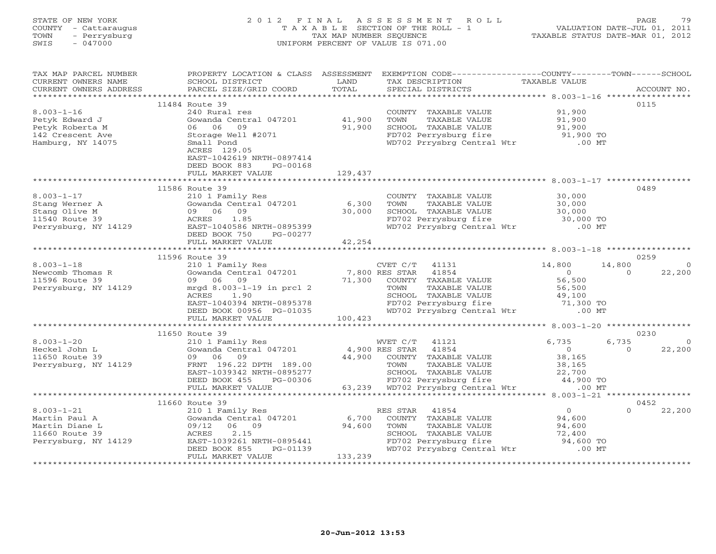| STATE OF NEW YORK<br>COUNTY<br>- Cattaraugus<br>- Perrysburg<br>TOWN<br>SWIS<br>$-047000$ |                                                                        | TAX MAP NUMBER SEOUENCE     | 2012 FINAL ASSESSMENT ROLL<br>T A X A B L E SECTION OF THE ROLL - 1<br>UNIFORM PERCENT OF VALUE IS 071.00 | TAXABLE STATUS DATE-MAR 01, 2012                       | 79<br>PAGE<br>VALUATION DATE-JUL 01, 2011 |
|-------------------------------------------------------------------------------------------|------------------------------------------------------------------------|-----------------------------|-----------------------------------------------------------------------------------------------------------|--------------------------------------------------------|-------------------------------------------|
| TAX MAP PARCEL NUMBER<br>CURRENT OWNERS NAME<br>CURRENT OWNERS ADDRESS                    | PROPERTY LOCATION & CLASS<br>SCHOOL DISTRICT<br>PARCEL SIZE/GRID COORD | ASSESSMENT<br>LAND<br>TOTAL | EXEMPTION CODE--<br>TAX DESCRIPTION<br>SPECIAL DISTRICTS                                                  | ----------------COUNTY-------TOWN----<br>TAXABLE VALUE | --SCHOOL<br>ACCOUNT NO.                   |
|                                                                                           |                                                                        |                             |                                                                                                           |                                                        |                                           |
| $8.003 - 1 - 16$                                                                          | 11484 Route 39<br>240 Rural res                                        |                             | COUNTY<br>TAXABLE VALUE                                                                                   | 91,900                                                 | 0115                                      |

| Petyk Edward J<br>Petyk Roberta M<br>142 Crescent Ave<br>Hamburg, NY 14075                                          | Gowanda Central 047201<br>06 06 09<br>Storage Well #2071<br>Small Pond<br>ACRES 129.05<br>EAST-1042619 NRTH-0897414<br>DEED BOOK 883<br>PG-00168<br>FULL MARKET VALUE                                                                                                   | 41,900<br>91,900<br>129,437         | TAXABLE VALUE<br>TOWN<br>SCHOOL TAXABLE VALUE<br>FD702 Perrysburg fire<br>WD702 Prrysbrg Central Wtr                                                                                                    | 91,900<br>91,900<br>91,900 TO<br>.00 <sub>MT</sub>                                                                                              |                                                    |
|---------------------------------------------------------------------------------------------------------------------|-------------------------------------------------------------------------------------------------------------------------------------------------------------------------------------------------------------------------------------------------------------------------|-------------------------------------|---------------------------------------------------------------------------------------------------------------------------------------------------------------------------------------------------------|-------------------------------------------------------------------------------------------------------------------------------------------------|----------------------------------------------------|
|                                                                                                                     | 11586 Route 39                                                                                                                                                                                                                                                          |                                     |                                                                                                                                                                                                         |                                                                                                                                                 | 0489                                               |
| $8.003 - 1 - 17$<br>Stang Werner A<br>Stang Olive M<br>11540 Route 39<br>Perrysburg, NY 14129                       | 210 1 Family Res<br>Gowanda Central 047201<br>09 06 09<br>1.85<br>ACRES<br>EAST-1040586 NRTH-0895399<br>DEED BOOK 750<br>PG-00277<br>FULL MARKET VALUE                                                                                                                  | 6,300<br>30,000<br>42,254           | COUNTY TAXABLE VALUE<br>TAXABLE VALUE<br>TOWN<br>SCHOOL TAXABLE VALUE<br>FD702 Perrysburg fire<br>WD702 Prrysbrg Central Wtr                                                                            | 30,000<br>30,000<br>30,000<br>30,000 TO<br>$.00$ MT                                                                                             |                                                    |
|                                                                                                                     |                                                                                                                                                                                                                                                                         |                                     |                                                                                                                                                                                                         |                                                                                                                                                 |                                                    |
| $8.003 - 1 - 18$<br>Newcomb Thomas R<br>11596 Route 39<br>Perrysburg, NY 14129<br>$8.003 - 1 - 20$<br>Heckel John L | 11596 Route 39<br>210 1 Family Res<br>Gowanda Central 047201<br>09 06<br>09<br>mrgd 8.003-1-19 in prcl 2<br>ACRES<br>1.90<br>EAST-1040394 NRTH-0895378<br>DEED BOOK 00956 PG-01035<br>FULL MARKET VALUE<br>11650 Route 39<br>210 1 Family Res<br>Gowanda Central 047201 | 71,300<br>100,423<br>4,900 RES STAR | CVET C/T<br>41131<br>7,800 RES STAR 41854<br>COUNTY TAXABLE VALUE<br>TAXABLE VALUE<br>TOWN<br>SCHOOL TAXABLE VALUE<br>FD702 Perrysburg fire<br>WD702 Prrysbrg Central Wtr<br>WVET C/T<br>41121<br>41854 | 14,800<br>14,800<br>$\Omega$<br>$\Omega$<br>56,500<br>56,500<br>49,100<br>71,300 TO<br>$.00$ MT<br>6,735<br>6,735<br>$\overline{0}$<br>$\Omega$ | 0259<br>22,200<br>0230<br>$\overline{0}$<br>22,200 |
| 11650 Route 39<br>Perrysburg, NY 14129                                                                              | 09 06<br>09<br>FRNT 196.22 DPTH 189.00<br>EAST-1039342 NRTH-0895277<br>DEED BOOK 455<br>PG-00306<br>FULL MARKET VALUE<br>****************************                                                                                                                   | 44,900<br>63,239                    | COUNTY TAXABLE VALUE<br>TOWN<br>TAXABLE VALUE<br>SCHOOL TAXABLE VALUE<br>FD702 Perrysburg fire<br>WD702 Prrysbrg Central Wtr                                                                            | 38,165<br>38,165<br>22,700<br>44,900 TO<br>$.00$ MT                                                                                             |                                                    |
|                                                                                                                     | 11660 Route 39                                                                                                                                                                                                                                                          |                                     |                                                                                                                                                                                                         |                                                                                                                                                 | 0452                                               |
| $8.003 - 1 - 21$<br>Martin Paul A<br>Martin Diane L<br>11660 Route 39<br>Perrysburg, NY 14129                       | 210 1 Family Res<br>Gowanda Central 047201<br>09/12<br>06 09<br>2.15<br>ACRES<br>EAST-1039261 NRTH-0895441<br>DEED BOOK 855<br>PG-01139<br>FULL MARKET VALUE                                                                                                            | 6,700<br>94,600<br>133,239          | RES STAR<br>41854<br>COUNTY TAXABLE VALUE<br>TOWN<br>TAXABLE VALUE<br>SCHOOL TAXABLE VALUE<br>FD702 Perrysburg fire<br>WD702 Prrysbrg Central Wtr                                                       | $\circ$<br>$\Omega$<br>94,600<br>94,600<br>72,400<br>94,600 TO<br>$.00$ MT                                                                      | 22,200                                             |
|                                                                                                                     |                                                                                                                                                                                                                                                                         |                                     |                                                                                                                                                                                                         |                                                                                                                                                 |                                                    |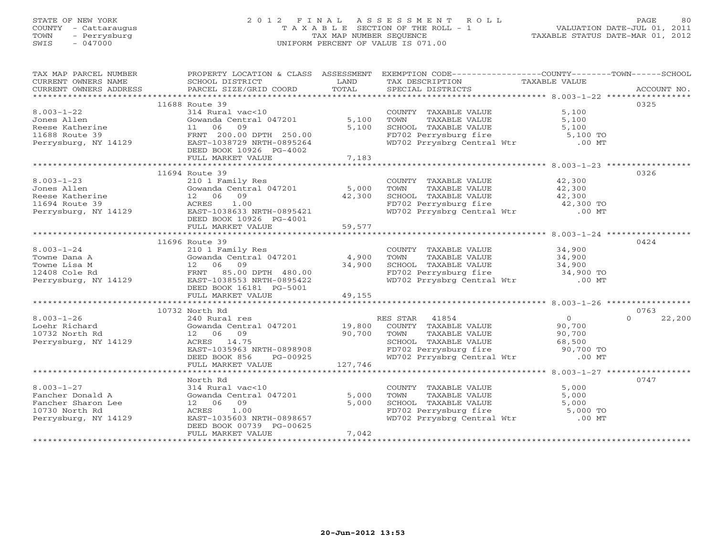# STATE OF NEW YORK 2 0 1 2 F I N A L A S S E S S M E N T R O L L PAGE 80 COUNTY - Cattaraugus T A X A B L E SECTION OF THE ROLL - 1 VALUATION DATE-JUL 01, 2011 TOWN - Perrysburg TAX MAP NUMBER SEQUENCE TAXABLE STATUS DATE-MAR 01, 2012 SWIS - 047000 UNIFORM PERCENT OF VALUE IS 071.00

| TAX MAP PARCEL NUMBER       PROPERTY LOCATION & CLASS ASSESSMENT EXEMPTION CODE--------------COUNTY-------TOWN------SCHOOL                                                                                                                                 |       |                                                                                                                                                               |      |
|------------------------------------------------------------------------------------------------------------------------------------------------------------------------------------------------------------------------------------------------------------|-------|---------------------------------------------------------------------------------------------------------------------------------------------------------------|------|
|                                                                                                                                                                                                                                                            |       |                                                                                                                                                               |      |
|                                                                                                                                                                                                                                                            |       |                                                                                                                                                               |      |
|                                                                                                                                                                                                                                                            |       |                                                                                                                                                               |      |
| 11688 Route 39                                                                                                                                                                                                                                             |       |                                                                                                                                                               | 0325 |
| 314 Rural vac<10<br>314 Rural vac<10<br>314 Rural vac<10<br>314 Rural vac<10<br>314 Rural vac<10<br>314 Rural 047201<br>5,100 TOWN TAXABLE VALUE<br>5,100 TOWN TAXABLE VALUE<br>5,100 TOWN TAXABLE VALUE<br>5,100 5,100 TOWN TAXABLE VALUE<br>5,10         |       |                                                                                                                                                               |      |
|                                                                                                                                                                                                                                                            |       |                                                                                                                                                               |      |
|                                                                                                                                                                                                                                                            |       |                                                                                                                                                               |      |
|                                                                                                                                                                                                                                                            |       |                                                                                                                                                               |      |
|                                                                                                                                                                                                                                                            |       |                                                                                                                                                               |      |
|                                                                                                                                                                                                                                                            |       |                                                                                                                                                               |      |
| DEED BOOK 10926 PG-4002                                                                                                                                                                                                                                    |       |                                                                                                                                                               |      |
| FULL MARKET VALUE                                                                                                                                                                                                                                          | 7,183 |                                                                                                                                                               |      |
|                                                                                                                                                                                                                                                            |       |                                                                                                                                                               |      |
|                                                                                                                                                                                                                                                            |       |                                                                                                                                                               |      |
| 11694 Route 39                                                                                                                                                                                                                                             |       |                                                                                                                                                               | 0326 |
| 3.003-1-23<br>Jones Allen 210 1 Family Res<br>Reese Katherine 12.06 09<br>2106 09<br>210 1 Family Res<br>5,000 TOWN TAXABLE VALUE 42,300<br>5,000 TOWN TAXABLE VALUE 42,300<br>22.300<br>22.300<br>22.300<br>22.300<br>22.300<br>22.300<br>22.300<br>22.30 |       |                                                                                                                                                               |      |
|                                                                                                                                                                                                                                                            |       |                                                                                                                                                               |      |
|                                                                                                                                                                                                                                                            |       |                                                                                                                                                               |      |
|                                                                                                                                                                                                                                                            |       |                                                                                                                                                               |      |
|                                                                                                                                                                                                                                                            |       |                                                                                                                                                               |      |
|                                                                                                                                                                                                                                                            |       |                                                                                                                                                               |      |
| DEED BOOK 10926 PG-4001                                                                                                                                                                                                                                    |       |                                                                                                                                                               |      |
| DEED BOOK 10926 PG<br>FULL MARKET VALUE                                                                                                                                                                                                                    |       |                                                                                                                                                               |      |
|                                                                                                                                                                                                                                                            |       |                                                                                                                                                               |      |
| 11696 Route 39                                                                                                                                                                                                                                             |       |                                                                                                                                                               | 0424 |
|                                                                                                                                                                                                                                                            |       |                                                                                                                                                               |      |
|                                                                                                                                                                                                                                                            |       |                                                                                                                                                               |      |
|                                                                                                                                                                                                                                                            |       |                                                                                                                                                               |      |
|                                                                                                                                                                                                                                                            |       |                                                                                                                                                               |      |
|                                                                                                                                                                                                                                                            |       |                                                                                                                                                               |      |
|                                                                                                                                                                                                                                                            |       |                                                                                                                                                               |      |
|                                                                                                                                                                                                                                                            |       |                                                                                                                                                               |      |
|                                                                                                                                                                                                                                                            |       |                                                                                                                                                               |      |
|                                                                                                                                                                                                                                                            |       |                                                                                                                                                               |      |
|                                                                                                                                                                                                                                                            |       |                                                                                                                                                               | 0763 |
| 10732 North Rd                                                                                                                                                                                                                                             |       |                                                                                                                                                               |      |
|                                                                                                                                                                                                                                                            |       |                                                                                                                                                               |      |
|                                                                                                                                                                                                                                                            |       |                                                                                                                                                               |      |
|                                                                                                                                                                                                                                                            |       |                                                                                                                                                               |      |
|                                                                                                                                                                                                                                                            |       |                                                                                                                                                               |      |
|                                                                                                                                                                                                                                                            |       |                                                                                                                                                               |      |
|                                                                                                                                                                                                                                                            |       |                                                                                                                                                               |      |
|                                                                                                                                                                                                                                                            |       |                                                                                                                                                               |      |
|                                                                                                                                                                                                                                                            |       |                                                                                                                                                               |      |
|                                                                                                                                                                                                                                                            |       |                                                                                                                                                               |      |
| North Rd                                                                                                                                                                                                                                                   |       |                                                                                                                                                               | 0747 |
|                                                                                                                                                                                                                                                            |       |                                                                                                                                                               |      |
| North Rd<br>Fancher Donald A 314 Rural vac<10<br>Fancher Sharon Lee 12 06 09 5,000<br>10730 North Rd<br>Perrysburg, NY 14129 BEED BOOK 0739 PG-00625                                                                                                       |       | COUNTY TAXABLE VALUE 5,000<br>TOWN TAXABLE VALUE 5,000<br>SCHOOL TAXABLE VALUE 5,000<br>FD702 Perrysburg fire 5,000 TO<br>WD702 Prrysbrg Central Wtr 5,000 TO |      |
| 12 06 09 5,000<br>ACRES 1.00<br>EAST-1035603 NRTH-0898657<br>DEED BOOK 00739 PG-00625                                                                                                                                                                      |       |                                                                                                                                                               |      |
|                                                                                                                                                                                                                                                            |       |                                                                                                                                                               |      |
|                                                                                                                                                                                                                                                            |       |                                                                                                                                                               |      |
|                                                                                                                                                                                                                                                            |       |                                                                                                                                                               |      |
|                                                                                                                                                                                                                                                            |       |                                                                                                                                                               |      |
| FULL MARKET VALUE                                                                                                                                                                                                                                          | 7,042 |                                                                                                                                                               |      |
|                                                                                                                                                                                                                                                            |       |                                                                                                                                                               |      |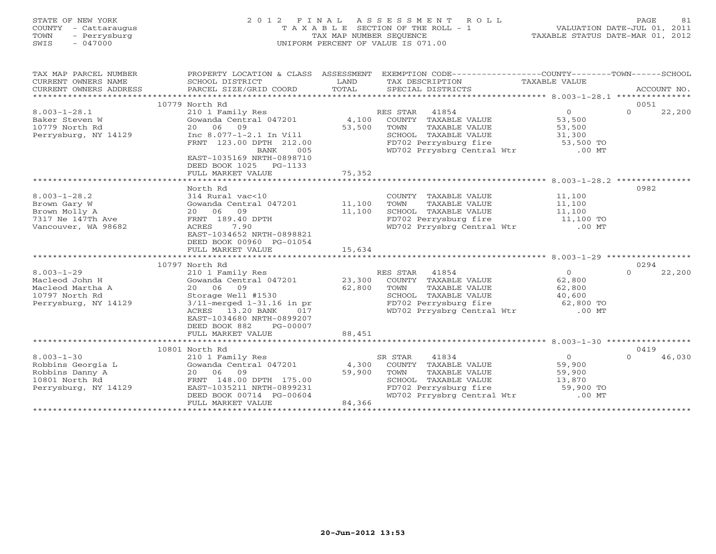| STATE OF NEW YORK    | 2012 FINAL ASSESSMENT ROLL            | 81<br><b>PAGE</b>                |
|----------------------|---------------------------------------|----------------------------------|
| COUNTY - Cattaraugus | T A X A B L E SECTION OF THE ROLL - 1 | VALUATION DATE-JUL 01, 2011      |
| - Perrysburg<br>TOWN | TAX MAP NUMBER SEOUENCE               | TAXABLE STATUS DATE-MAR 01, 2012 |
| 047000<br>SWIS       | UNIFORM PERCENT OF VALUE IS 071.00    |                                  |
|                      |                                       |                                  |
|                      |                                       |                                  |

| TAX MAP PARCEL NUMBER               | PROPERTY LOCATION & CLASS ASSESSMENT |        |                                                     |                |                    |
|-------------------------------------|--------------------------------------|--------|-----------------------------------------------------|----------------|--------------------|
| CURRENT OWNERS NAME                 | SCHOOL DISTRICT                      | LAND   | TAX DESCRIPTION                                     | TAXABLE VALUE  |                    |
| CURRENT OWNERS ADDRESS              | PARCEL SIZE/GRID COORD               | TOTAL  | SPECIAL DISTRICTS                                   |                | ACCOUNT NO.        |
| *********************************** |                                      |        |                                                     |                |                    |
|                                     | 10779 North Rd                       |        |                                                     |                | 0051               |
| $8.003 - 1 - 28.1$                  | 210 1 Family Res                     |        | RES STAR 41854                                      | $\overline{0}$ | $\Omega$<br>22,200 |
| Baker Steven W                      | Gowanda Central 047201               | 4,100  | COUNTY TAXABLE VALUE                                | 53,500         |                    |
| 10779 North Rd                      | 20 06 09                             | 53,500 | TOWN<br>TAXABLE VALUE                               | 53,500         |                    |
|                                     |                                      |        |                                                     |                |                    |
| Perrysburg, NY 14129                | Inc 8.077-1-2.1 In Vill              |        | SCHOOL TAXABLE VALUE                                | 31,300         |                    |
|                                     | FRNT 123.00 DPTH 212.00              |        | FD702 Perrysburg fire                               | 53,500 TO      |                    |
|                                     | 005<br>BANK                          |        | WD702 Prrysbrg Central Wtr                          | $.00$ MT       |                    |
|                                     | EAST-1035169 NRTH-0898710            |        |                                                     |                |                    |
|                                     | DEED BOOK 1025<br>PG-1133            |        |                                                     |                |                    |
|                                     | FULL MARKET VALUE                    | 75,352 |                                                     |                |                    |
|                                     |                                      |        |                                                     |                |                    |
|                                     | North Rd                             |        |                                                     |                | 0982               |
| $8.003 - 1 - 28.2$                  | 314 Rural vac<10                     |        | COUNTY TAXABLE VALUE                                | 11,100         |                    |
| Brown Gary W                        | Gowanda Central 047201               | 11,100 | TAXABLE VALUE<br>TOWN                               | 11,100         |                    |
| Brown Molly A                       | 20 06 09                             | 11,100 | SCHOOL TAXABLE VALUE                                | 11,100         |                    |
| 7317 Ne 147Th Ave                   | FRNT 189.40 DPTH                     |        | FD702 Perrysburg fire                               | 11,100 TO      |                    |
| Vancouver, WA 98682                 | ACRES<br>7.90                        |        | FD702 Perrysburg fire<br>WD702 Prrysbrg Central Wtr | $.00$ MT       |                    |
|                                     | EAST-1034652 NRTH-0898821            |        |                                                     |                |                    |
|                                     | DEED BOOK 00960 PG-01054             |        |                                                     |                |                    |
|                                     | FULL MARKET VALUE                    | 15,634 |                                                     |                |                    |
|                                     |                                      |        |                                                     |                |                    |
|                                     |                                      |        |                                                     |                |                    |
|                                     | 10797 North Rd                       |        |                                                     |                | 0294               |
| $8.003 - 1 - 29$                    | 210 1 Family Res                     |        | RES STAR<br>41854                                   | $\Omega$       | 22,200<br>$\Omega$ |
| Macleod John H                      | Gowanda Central 047201               | 23,300 | COUNTY TAXABLE VALUE                                | 62,800         |                    |
| Macleod Martha A                    | 20 06 09                             | 62,800 | TOWN<br>TAXABLE VALUE                               | 62,800         |                    |
| 10797 North Rd                      | Storage Well #1530                   |        | SCHOOL TAXABLE VALUE                                | 40,600         |                    |
| Perrysburg, NY 14129                | $3/11$ -merged $1-31.16$ in pr       |        | FD702 Perrysburg fire                               | 62,800 TO      |                    |
|                                     | 13.20 BANK<br>ACRES<br>017           |        | WD702 Prrysbrg Central Wtr                          | $.00$ MT       |                    |
|                                     | EAST-1034680 NRTH-0899207            |        |                                                     |                |                    |
|                                     | DEED BOOK 882<br>PG-00007            |        |                                                     |                |                    |
|                                     | FULL MARKET VALUE                    | 88,451 |                                                     |                |                    |
|                                     |                                      |        |                                                     |                |                    |
|                                     | 10801 North Rd                       |        |                                                     |                | 0419               |
| $8.003 - 1 - 30$                    | 210 1 Family Res                     |        | SR STAR<br>41834                                    | $\circ$        | $\cap$<br>46,030   |
| Robbins Georgia L                   | Gowanda Central 047201               | 4,300  | COUNTY TAXABLE VALUE                                | 59,900         |                    |
| Robbins Danny A                     | 20 06 09                             | 59,900 | TOWN<br>TAXABLE VALUE                               | 59,900         |                    |
| 10801 North Rd                      | FRNT 148.00 DPTH 175.00              |        | SCHOOL TAXABLE VALUE                                | 13,870         |                    |
| Perrysburg, NY 14129                | EAST-1035211 NRTH-0899231            |        | FD702 Perrysburg fire                               | 59,900 TO      |                    |
|                                     |                                      |        |                                                     |                |                    |
|                                     | DEED BOOK 00714 PG-00604             |        | WD702 Prrysbrg Central Wtr                          | $.00$ MT       |                    |
|                                     | FULL MARKET VALUE                    | 84,366 |                                                     |                |                    |
|                                     |                                      |        |                                                     |                |                    |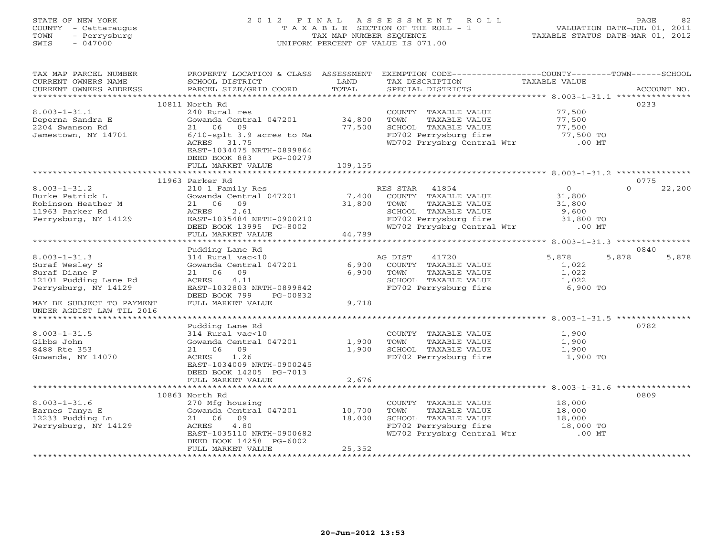# STATE OF NEW YORK 2 0 1 2 F I N A L A S S E S S M E N T R O L L PAGE 82 COUNTY - Cattaraugus T A X A B L E SECTION OF THE ROLL - 1 VALUATION DATE-JUL 01, 2011 TOWN - Perrysburg TAX MAP NUMBER SEQUENCE TAXABLE STATUS DATE-MAR 01, 2012 SWIS - 047000 UNIFORM PERCENT OF VALUE IS 071.00

| TAX MAP PARCEL NUMBER                         | PROPERTY LOCATION & CLASS ASSESSMENT EXEMPTION CODE----------------COUNTY-------TOWN------SCHOOL |               |                                                                                                    |                  |                    |
|-----------------------------------------------|--------------------------------------------------------------------------------------------------|---------------|----------------------------------------------------------------------------------------------------|------------------|--------------------|
|                                               |                                                                                                  |               |                                                                                                    |                  |                    |
| CURRENT OWNERS NAME<br>CURRENT OWNERS ADDRESS | SCHOOL DISTRICT<br>PARCEL SIZE/GRID COORD                                                        | LAND<br>TOTAL | TAX DESCRIPTION TAXABLE VALUE<br>SPECIAL DISTRICTS<br>SPECIAL DISTRICTS                            |                  | ACCOUNT NO.        |
|                                               |                                                                                                  |               |                                                                                                    |                  |                    |
|                                               | 10811 North Rd                                                                                   |               |                                                                                                    |                  | 0233               |
| $8.003 - 1 - 31.1$                            | 240 Rural res                                                                                    |               | COUNTY TAXABLE VALUE                                                                               | 77,500           |                    |
| Deperna Sandra E                              | Gowanda Central 047201 34,800                                                                    |               | TOWN<br>TAXABLE VALUE                                                                              |                  |                    |
| 2204 Swanson Rd                               | 21 06 09                                                                                         | 77,500        | SCHOOL TAXABLE VALUE                                                                               | 77,500<br>77,500 |                    |
| Jamestown, NY 14701                           | $6/10$ -splt 3.9 acres to Ma                                                                     |               |                                                                                                    |                  |                    |
|                                               | ACRES 31.75                                                                                      |               | FD702 Perrysburg fire 77,500 TO<br>WD702 Prrysbrg Central Wtr .00 MT                               |                  |                    |
|                                               | EAST-1034475 NRTH-0899864                                                                        |               |                                                                                                    |                  |                    |
|                                               | DEED BOOK 883<br>PG-00279                                                                        |               |                                                                                                    |                  |                    |
|                                               | FULL MARKET VALUE                                                                                | 109,155       |                                                                                                    |                  |                    |
|                                               |                                                                                                  |               |                                                                                                    |                  |                    |
|                                               | 11963 Parker Rd                                                                                  |               |                                                                                                    |                  | 0775               |
| $8.003 - 1 - 31.2$                            |                                                                                                  |               | RES STAR<br>41854                                                                                  | $\bigcirc$       | $\Omega$<br>22,200 |
| Burke Patrick L                               | 210 1 Family Res<br>Gowanda Central 047201 7,400<br>21 06 09 31,800                              |               | COUNTY TAXABLE VALUE                                                                               | 31,800           |                    |
| Robinson Heather M                            |                                                                                                  |               | TOWN<br>TAXABLE VALUE                                                                              | 31,800           |                    |
| 11963 Parker Rd                               | 2.61<br>ACRES                                                                                    |               |                                                                                                    |                  |                    |
| Perrysburg, NY 14129                          |                                                                                                  |               |                                                                                                    |                  |                    |
|                                               | EAST-1035484 NRTH-0900210<br>DEED BOOK 13995 PG-8002                                             |               | SCHOOL TAXABLE VALUE 9,600<br>FD702 Perrysburg fire 31,800 TO<br>WD702 Prrysbrg Central Wtr .00 MT |                  |                    |
|                                               | FULL MARKET VALUE                                                                                | 44,789        |                                                                                                    |                  |                    |
|                                               |                                                                                                  |               |                                                                                                    |                  |                    |
|                                               | Pudding Lane Rd                                                                                  |               |                                                                                                    |                  | 0840               |
| $8.003 - 1 - 31.3$                            | 314 Rural vac<10                                                                                 |               | AG DIST<br>41720                                                                                   | 5,878            | 5,878<br>5,878     |
| Suraf Wesley S                                | Gowanda Central 047201                                                                           |               | 6,900 COUNTY TAXABLE VALUE                                                                         | 1,022            |                    |
| Suraf Diane F                                 | 21 06 09                                                                                         | 6,900         | TAXABLE VALUE<br>TOWN                                                                              | 1,022            |                    |
| 12101 Pudding Lane Rd                         | ACRES<br>4.11                                                                                    |               | SCHOOL TAXABLE VALUE                                                                               | 1,022            |                    |
| Perrysburg, NY 14129                          | EAST-1032803 NRTH-0899842                                                                        |               | FD702 Perrysburg fire 6,900 TO                                                                     |                  |                    |
|                                               | DEED BOOK 799<br>PG-00832                                                                        |               |                                                                                                    |                  |                    |
| MAY BE SUBJECT TO PAYMENT                     | FULL MARKET VALUE                                                                                | 9,718         |                                                                                                    |                  |                    |
| UNDER AGDIST LAW TIL 2016                     |                                                                                                  |               |                                                                                                    |                  |                    |
| ******************************                |                                                                                                  |               |                                                                                                    |                  |                    |
|                                               | Pudding Lane Rd                                                                                  |               |                                                                                                    |                  | 0782               |
| $8.003 - 1 - 31.5$                            | 314 Rural vac<10                                                                                 |               | COUNTY TAXABLE VALUE                                                                               | 1,900            |                    |
| Gibbs John                                    | Gowanda Central 047201                                                                           | 1,900         | TAXABLE VALUE<br>TOWN                                                                              | 1,900            |                    |
| 8488 Rte 353                                  | 21 06 09                                                                                         | 1,900         |                                                                                                    | 1,900            |                    |
| Gowanda, NY 14070                             | ACRES<br>1.26                                                                                    |               | SCHOOL TAXABLE VALUE<br>FD702 Perrysburg fire                                                      | 1,900 TO         |                    |
|                                               | EAST-1034009 NRTH-0900245                                                                        |               |                                                                                                    |                  |                    |
|                                               | DEED BOOK 14205 PG-7013                                                                          |               |                                                                                                    |                  |                    |
|                                               | FULL MARKET VALUE                                                                                | 2,676         |                                                                                                    |                  |                    |
|                                               |                                                                                                  |               |                                                                                                    |                  |                    |
|                                               | 10863 North Rd                                                                                   |               |                                                                                                    |                  | 0809               |
| $8.003 - 1 - 31.6$                            | 270 Mfg housing                                                                                  |               | COUNTY TAXABLE VALUE                                                                               | 18,000           |                    |
| Barnes Tanya E                                | Gowanda Central 047201 10,700                                                                    |               | TOWN<br>TAXABLE VALUE                                                                              | 18,000           |                    |
| 12233 Pudding Ln                              | 21 06 09                                                                                         | 18,000        | SCHOOL TAXABLE VALUE 18,000<br>FD702 Perrysburg fire 18,000 TO                                     |                  |                    |
| Perrysburg, NY 14129                          | ACRES<br>4.80                                                                                    |               |                                                                                                    |                  |                    |
|                                               | EAST-1035110 NRTH-0900682                                                                        |               | WD702 Prrysbrg Central Wtr .00 MT                                                                  |                  |                    |
|                                               | DEED BOOK 14258 PG-6002                                                                          |               |                                                                                                    |                  |                    |
|                                               | FULL MARKET VALUE                                                                                | 25,352        |                                                                                                    |                  |                    |
|                                               |                                                                                                  |               |                                                                                                    |                  |                    |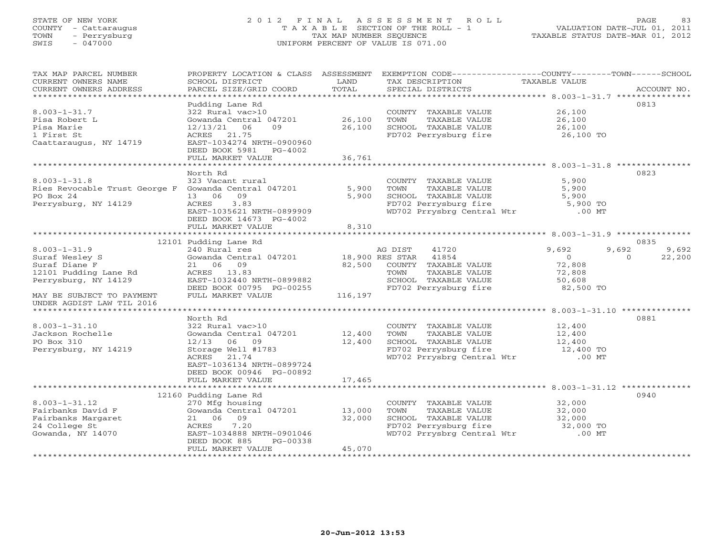# STATE OF NEW YORK 2 0 1 2 F I N A L A S S E S S M E N T R O L L PAGE 83 COUNTY - Cattaraugus T A X A B L E SECTION OF THE ROLL - 1 VALUATION DATE-JUL 01, 2011 TOWN - Perrysburg TAX MAP NUMBER SEQUENCE TAXABLE STATUS DATE-MAR 01, 2012 SWIS - 047000 UNIFORM PERCENT OF VALUE IS 071.00

| TAX MAP PARCEL NUMBER<br>CURRENT OWNERS NAME<br>CURRENT OWNERS ADDRESS<br>*************************             | PROPERTY LOCATION & CLASS ASSESSMENT<br>SCHOOL DISTRICT<br>PARCEL SIZE/GRID COORD                                                                                                   | LAND<br>TOTAL              | EXEMPTION CODE-----------------COUNTY-------TOWN------SCHOOL<br>TAX DESCRIPTION<br>SPECIAL DISTRICTS                                                  | TAXABLE VALUE                                       | ACCOUNT NO.        |
|-----------------------------------------------------------------------------------------------------------------|-------------------------------------------------------------------------------------------------------------------------------------------------------------------------------------|----------------------------|-------------------------------------------------------------------------------------------------------------------------------------------------------|-----------------------------------------------------|--------------------|
| $8.003 - 1 - 31.7$<br>Pisa Robert L<br>Pisa Marie<br>1 First St<br>Caattaraugus, NY 14719                       | Pudding Lane Rd<br>322 Rural vac>10<br>Gowanda Central 047201<br>09<br>12/13/21 06<br>21.75<br>ACRES<br>EAST-1034274 NRTH-0900960<br>DEED BOOK 5981<br>PG-4002<br>FULL MARKET VALUE | 26,100<br>26,100<br>36,761 | COUNTY TAXABLE VALUE<br>TOWN<br>TAXABLE VALUE<br>SCHOOL TAXABLE VALUE<br>FD702 Perrysburg fire                                                        | 26,100<br>26,100<br>26,100<br>26,100 TO             | 0813               |
|                                                                                                                 |                                                                                                                                                                                     |                            |                                                                                                                                                       |                                                     |                    |
| $8.003 - 1 - 31.8$<br>Ries Revocable Trust George F Gowanda Central 047201<br>PO Box 24<br>Perrysburg, NY 14129 | North Rd<br>323 Vacant rural<br>09<br>13 06<br>3.83<br>ACRES<br>EAST-1035621 NRTH-0899909<br>DEED BOOK 14673 PG-4002<br>FULL MARKET VALUE                                           | 5,900<br>5,900<br>8,310    | COUNTY TAXABLE VALUE<br>TOWN<br>TAXABLE VALUE<br>SCHOOL TAXABLE VALUE<br>FD702 Perrysburg fire<br>FD702 Perrysburg fire<br>WD702 Prrysbrg Central Wtr | 5,900<br>5,900<br>5,900<br>5,900 TO<br>$.00$ MT     | 0823               |
|                                                                                                                 |                                                                                                                                                                                     |                            |                                                                                                                                                       |                                                     |                    |
|                                                                                                                 | 12101 Pudding Lane Rd                                                                                                                                                               |                            |                                                                                                                                                       |                                                     | 0835               |
| $8.003 - 1 - 31.9$                                                                                              | 240 Rural res                                                                                                                                                                       |                            | 41720<br>AG DIST                                                                                                                                      | 9,692                                               | 9,692<br>9,692     |
| Suraf Wesley S<br>Suraf Diane F<br>12101 Pudding Lane Rd<br>Perrysburg, NY 14129                                | Gowanda Central 047201<br>21 06 09<br>ACRES 13.83<br>EAST-1032440 NRTH-0899882                                                                                                      | 18,900 RES STAR<br>82,500  | 41854<br>COUNTY TAXABLE VALUE<br>TAXABLE VALUE<br>TOWN<br>SCHOOL TAXABLE VALUE                                                                        | $\overline{O}$<br>72,808<br>72,808<br>50,608        | 22,200<br>$\Omega$ |
| MAY BE SUBJECT TO PAYMENT<br>UNDER AGDIST LAW TIL 2016                                                          | DEED BOOK 00795 PG-00255<br>FULL MARKET VALUE                                                                                                                                       | 116,197                    | FD702 Perrysburg fire                                                                                                                                 | 82,500 TO                                           |                    |
|                                                                                                                 |                                                                                                                                                                                     |                            |                                                                                                                                                       |                                                     |                    |
| $8.003 - 1 - 31.10$<br>Jackson Rochelle<br>PO Box 310<br>Perrysburg, NY 14219                                   | North Rd<br>322 Rural vac>10<br>Gowanda Central 047201<br>12/13<br>06 09<br>Storage Well #1783<br>ACRES<br>21.74<br>EAST-1036134 NRTH-0899724<br>DEED BOOK 00946 PG-00892           | 12,400<br>12,400           | COUNTY TAXABLE VALUE<br>TOWN<br>TAXABLE VALUE<br>SCHOOL TAXABLE VALUE<br>FD702 Perrysburg fire<br>WD702 Prrysbrg Central Wtr                          | 12,400<br>12,400<br>12,400<br>12,400 TO<br>$.00$ MT | 0881               |
|                                                                                                                 | FULL MARKET VALUE                                                                                                                                                                   | 17,465                     |                                                                                                                                                       |                                                     |                    |
|                                                                                                                 |                                                                                                                                                                                     |                            |                                                                                                                                                       |                                                     |                    |
| $8.003 - 1 - 31.12$<br>Fairbanks David F<br>Fairbanks Margaret<br>24 College St<br>Gowanda, NY 14070            | 12160 Pudding Lane Rd<br>270 Mfg housing<br>Gowanda Central 047201<br>21 06 09<br>7.20<br>ACRES<br>EAST-1034888 NRTH-0901046<br>DEED BOOK 885<br>PG-00338<br>FULL MARKET VALUE      | 13,000<br>32,000<br>45,070 | COUNTY TAXABLE VALUE<br>TOWN<br>TAXABLE VALUE<br>SCHOOL TAXABLE VALUE<br>FD702 Perrysburg fire<br>WD702 Prrysbrg Central Wtr                          | 32,000<br>32,000<br>32,000<br>32,000 TO<br>$.00$ MT | 0940               |
|                                                                                                                 |                                                                                                                                                                                     |                            |                                                                                                                                                       |                                                     |                    |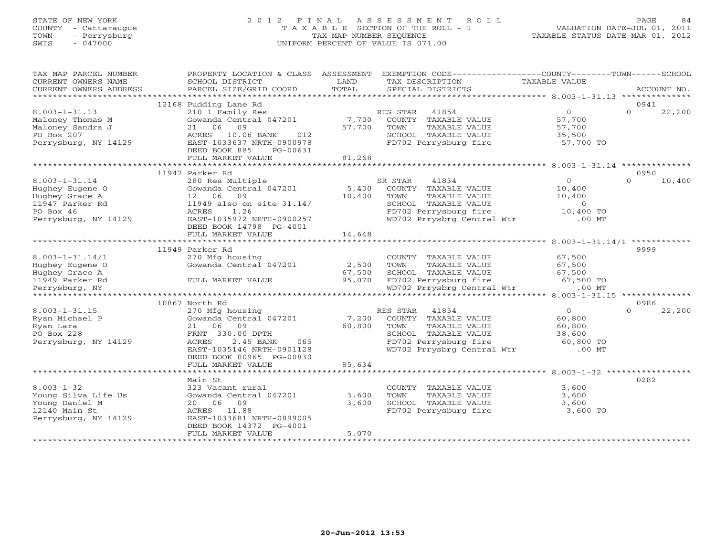# STATE OF NEW YORK 2 0 1 2 F I N A L A S S E S S M E N T R O L L PAGE 84 COUNTY - Cattaraugus T A X A B L E SECTION OF THE ROLL - 1 VALUATION DATE-JUL 01, 2011 TOWN - Perrysburg TAX MAP NUMBER SEQUENCE TAXABLE STATUS DATE-MAR 01, 2012 SWIS - 047000 UNIFORM PERCENT OF VALUE IS 071.00

| TAX MAP PARCEL NUMBER  | PROPERTY LOCATION & CLASS ASSESSMENT EXEMPTION CODE---------------COUNTY-------TOWN------SCHOOL |               |                                               |                |              |        |
|------------------------|-------------------------------------------------------------------------------------------------|---------------|-----------------------------------------------|----------------|--------------|--------|
| CURRENT OWNERS NAME    | SCHOOL DISTRICT                                                                                 | LAND<br>TOTAL | TAX DESCRIPTION                               | TAXABLE VALUE  |              |        |
| CURRENT OWNERS ADDRESS | PARCEL SIZE/GRID COORD                                                                          |               | SPECIAL DISTRICTS                             |                | ACCOUNT NO.  |        |
|                        | 12168 Pudding Lane Rd                                                                           |               |                                               |                | 0941         |        |
| $8.003 - 1 - 31.13$    | 210 1 Family Res                                                                                |               | RES STAR 41854                                | $\overline{0}$ | $\Omega$     | 22,200 |
| Maloney Thomas M       | Gowanda Central 047201                                                                          | 7,700         | COUNTY TAXABLE VALUE                          | 57,700         |              |        |
| Maloney Sandra J       | 21 06 09                                                                                        | 57,700        | TOWN<br>TAXABLE VALUE                         | 57,700         |              |        |
| PO Box 207             | ACRES 10.06 BANK<br>012                                                                         |               | SCHOOL TAXABLE VALUE                          | 35,500         |              |        |
| Perrysburg, NY 14129   | EAST-1033637 NRTH-0900978                                                                       |               | FD702 Perrysburg fire                         | 57,700 TO      |              |        |
|                        | DEED BOOK 885<br>PG-00631                                                                       |               |                                               |                |              |        |
|                        | FULL MARKET VALUE                                                                               | 81,268        |                                               |                |              |        |
|                        |                                                                                                 |               |                                               |                |              |        |
|                        | 11947 Parker Rd                                                                                 |               |                                               |                | 0950         |        |
| $8.003 - 1 - 31.14$    | 280 Res Multiple                                                                                |               | 41834<br>SR STAR                              | $\overline{0}$ | $\Omega$     | 10,400 |
| Hughey Eugene O        | Gowanda Central 047201                                                                          |               | 5,400 COUNTY TAXABLE VALUE                    | 10,400         |              |        |
| Hughey Grace A         | 09<br>12 06                                                                                     | 10,400        | TOWN<br>TAXABLE VALUE                         | 10,400         |              |        |
| 11947 Parker Rd        | 11949 also on site 31.14/                                                                       |               | SCHOOL TAXABLE VALUE                          | $\overline{0}$ |              |        |
| PO Box 46              | 1.26<br>ACRES                                                                                   |               | FD702 Perrysburg fire                         | 10,400 TO      |              |        |
| Perrysburg, NY 14129   | EAST-1035972 NRTH-0900257                                                                       |               | WD702 Prrysbrg Central Wtr                    | $.00$ MT       |              |        |
|                        | DEED BOOK 14798 PG-4001                                                                         |               |                                               |                |              |        |
|                        | FULL MARKET VALUE                                                                               | 14,648        |                                               |                |              |        |
|                        |                                                                                                 |               |                                               |                | ************ |        |
|                        | 11949 Parker Rd                                                                                 |               |                                               |                | 9999         |        |
| $8.003 - 1 - 31.14/1$  | 270 Mfg housing                                                                                 |               | COUNTY TAXABLE VALUE                          | 67,500         |              |        |
| Hughey Eugene O        | Gowanda Central 047201                                                                          | 2,500         | TOWN<br>TAXABLE VALUE                         | 67,500         |              |        |
| Hughey Grace A         |                                                                                                 | 67,500        | SCHOOL TAXABLE VALUE                          | 67,500         |              |        |
| 11949 Parker Rd        | FULL MARKET VALUE                                                                               | 95,070        | FD702 Perrysburg fire 67,500 TO               |                |              |        |
| Perrysburg, NY         |                                                                                                 |               | WD702 Prrysbrg Central Wtr                    | $.00$ MT       |              |        |
|                        |                                                                                                 |               |                                               |                |              |        |
|                        | 10867 North Rd                                                                                  |               |                                               |                | 0986         |        |
| $8.003 - 1 - 31.15$    | 270 Mfg housing                                                                                 |               | RES STAR 41854                                | $\overline{0}$ | $\Omega$     | 22,200 |
| Ryan Michael P         | Gowanda Central 047201                                                                          |               | 7,200 COUNTY TAXABLE VALUE                    | 60,800         |              |        |
| Ryan Lara              | 09<br>21 06                                                                                     | 60,800        | TAXABLE VALUE<br>TOWN                         | 60,800         |              |        |
| PO Box 228             | FRNT 330.00 DPTH                                                                                |               | SCHOOL TAXABLE VALUE                          | 38,600         |              |        |
| Perrysburg, NY 14129   | ACRES<br>2.45 BANK<br>065                                                                       |               | SCHOOL TAXABLE VALUE<br>FD702 Perrysburg fire | 60,800 TO      |              |        |
|                        | EAST-1035146 NRTH-0901128                                                                       |               | WD702 Prrysbrg Central Wtr                    | $.00$ MT       |              |        |
|                        | DEED BOOK 00965 PG-00830                                                                        |               |                                               |                |              |        |
|                        | FULL MARKET VALUE                                                                               | 85,634        |                                               |                |              |        |
|                        |                                                                                                 |               |                                               |                |              |        |
|                        | Main St                                                                                         |               |                                               |                | 0282         |        |
| $8.003 - 1 - 32$       | 323 Vacant rural                                                                                |               | COUNTY TAXABLE VALUE                          | 3,600          |              |        |
| Young Silva Life Us    | Gowanda Central 047201                                                                          | 3,600         | TOWN<br>TAXABLE VALUE                         | 3,600          |              |        |
| Young Daniel M         | 20 06 09                                                                                        | 3,600         | SCHOOL TAXABLE VALUE                          | 3,600          |              |        |
| 12140 Main St          | ACRES 11.88                                                                                     |               | FD702 Perrysburg fire                         | 3,600 TO       |              |        |
| Perrysburg, NY 14129   | EAST-1033681 NRTH-0899005                                                                       |               |                                               |                |              |        |
|                        | DEED BOOK 14372 PG-4001<br>FULL MARKET VALUE                                                    | 5,070         |                                               |                |              |        |
|                        |                                                                                                 |               |                                               |                |              |        |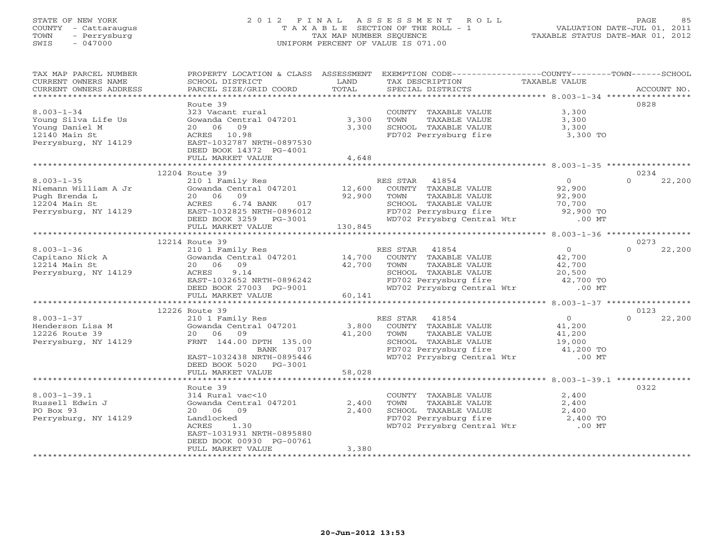# STATE OF NEW YORK 2 0 1 2 F I N A L A S S E S S M E N T R O L L PAGE 85 COUNTY - Cattaraugus T A X A B L E SECTION OF THE ROLL - 1 VALUATION DATE-JUL 01, 2011 TOWN - Perrysburg TAX MAP NUMBER SEQUENCE TAXABLE STATUS DATE-MAR 01, 2012 SWIS - 047000 UNIFORM PERCENT OF VALUE IS 071.00

| TAX MAP PARCEL NUMBER   | PROPERTY LOCATION & CLASS ASSESSMENT         |         |                                               | EXEMPTION CODE----------------COUNTY-------TOWN------SCHOOL                     |                    |
|-------------------------|----------------------------------------------|---------|-----------------------------------------------|---------------------------------------------------------------------------------|--------------------|
| CURRENT OWNERS NAME     | SCHOOL DISTRICT                              | LAND    | TAX DESCRIPTION                               | TAXABLE VALUE                                                                   |                    |
| CURRENT OWNERS ADDRESS  |                                              | TOTAL   |                                               |                                                                                 | ACCOUNT NO.        |
| *********************** |                                              |         |                                               |                                                                                 |                    |
|                         | Route 39                                     |         |                                               |                                                                                 | 0828               |
| $8.003 - 1 - 34$        | 323 Vacant rural                             |         | COUNTY TAXABLE VALUE                          | 3,300                                                                           |                    |
| Young Silva Life Us     | Gowanda Central 047201                       | 3,300   | TOWN<br>TAXABLE VALUE                         | 3,300                                                                           |                    |
| Young Daniel M          | 20 06 09                                     | 3,300   | SCHOOL TAXABLE VALUE<br>FD702 Perrysburg fire | 3,300                                                                           |                    |
| 12140 Main St           | ACRES 10.98                                  |         |                                               | 3,300 TO                                                                        |                    |
| Perrysburg, NY 14129    | EAST-1032787 NRTH-0897530                    |         |                                               |                                                                                 |                    |
|                         | DEED BOOK 14372 PG-4001<br>FULL MARKET VALUE | 4,648   |                                               |                                                                                 |                    |
|                         |                                              |         |                                               |                                                                                 |                    |
|                         | 12204 Route 39                               |         |                                               |                                                                                 | 0234               |
| $8.003 - 1 - 35$        | 210 1 Family Res                             |         | RES STAR<br>41854                             | $\overline{0}$                                                                  | 22,200<br>$\Omega$ |
| Niemann William A Jr    | Gowanda Central 047201                       | 12,600  | COUNTY TAXABLE VALUE                          | 92,900                                                                          |                    |
| Pugh Brenda L           | 20 06<br>09                                  | 92,900  | TOWN<br>TAXABLE VALUE                         | 92,900                                                                          |                    |
| 12204 Main St           | 6.74 BANK<br>ACRES<br>017                    |         |                                               | 70,700                                                                          |                    |
| Perrysburg, NY 14129    | EAST-1032825 NRTH-0896012                    |         | SCHOOL TAXABLE VALUE<br>FD702 Perrysburg fire | 92,900 TO                                                                       |                    |
|                         | DEED BOOK 3259 PG-3001                       |         | WD702 Prrysbrg Central Wtr                    | $.00$ MT                                                                        |                    |
|                         | FULL MARKET VALUE                            | 130,845 |                                               |                                                                                 |                    |
|                         |                                              |         |                                               |                                                                                 |                    |
|                         | 12214 Route 39                               |         |                                               |                                                                                 | 0273               |
| $8.003 - 1 - 36$        | 210 1 Family Res                             |         | RES STAR 41854                                | $\overline{0}$                                                                  | $\Omega$<br>22,200 |
| Capitano Nick A         | Gowanda Central 047201 14,700                |         | COUNTY TAXABLE VALUE                          |                                                                                 |                    |
| 12214 Main St           | 09<br>20 06                                  | 42,700  | TOWN<br>TAXABLE VALUE                         | $42,700$<br>$42,700$                                                            |                    |
| Perrysburg, NY 14129    | 9.14<br>ACRES                                |         |                                               |                                                                                 |                    |
|                         | EAST-1032652 NRTH-0896242                    |         |                                               | SCHOOL TAXABLE VALUE $20,500$<br>FD702 Perrysburg fire $42,700$ TO              |                    |
|                         | DEED BOOK 27003 PG-9001                      |         |                                               | WD702 Prrysbrg Central Wtr .00 MT                                               |                    |
|                         | FULL MARKET VALUE                            | 60,141  |                                               |                                                                                 |                    |
|                         |                                              |         |                                               |                                                                                 |                    |
|                         | 12226 Route 39                               |         |                                               |                                                                                 | 0123               |
| $8.003 - 1 - 37$        | 210 1 Family Res                             |         | RES STAR 41854                                | $\overline{0}$                                                                  | $\Omega$<br>22,200 |
| Henderson Lisa M        | Gowanda Central 047201                       | 3,800   | COUNTY TAXABLE VALUE                          | 41,200                                                                          |                    |
| 12226 Route 39          | 20 06 09                                     | 41,200  | TOWN<br>TAXABLE VALUE                         | 41,200                                                                          |                    |
| Perrysburg, NY 14129    | FRNT 144.00 DPTH 135.00                      |         | SCHOOL TAXABLE VALUE<br>FD702 Perrysburg fire | 19,000<br>41,200 TO                                                             |                    |
|                         | BANK<br>017                                  |         |                                               |                                                                                 |                    |
|                         | EAST-1032438 NRTH-0895446                    |         |                                               | WD702 Prrysbrg Central Wtr .00 MT                                               |                    |
|                         | DEED BOOK 5020 PG-3001                       | 58,028  |                                               |                                                                                 |                    |
|                         | FULL MARKET VALUE                            |         |                                               |                                                                                 |                    |
|                         | Route 39                                     |         |                                               |                                                                                 | 0322               |
| $8.003 - 1 - 39.1$      | 314 Rural vac<10                             |         | COUNTY TAXABLE VALUE                          | 2,400                                                                           |                    |
| Russell Edwin J         | Gowanda Central 047201                       | 2,400   | TOWN<br>TAXABLE VALUE                         | 2,400                                                                           |                    |
| PO Box 93               | 20 06 09                                     | 2,400   | SCHOOL TAXABLE VALUE                          | 2,400                                                                           |                    |
| Perrysburg, NY 14129    | Landlocked                                   |         |                                               |                                                                                 |                    |
|                         | <b>ACRES</b><br>1.30                         |         |                                               | FD702 Perrysburg fire 2,400 TO<br>WD702 Prrysburg fire 2,400 TO<br>00 MT .00 MT |                    |
|                         | EAST-1031931 NRTH-0895880                    |         |                                               |                                                                                 |                    |
|                         | DEED BOOK 00930 PG-00761                     |         |                                               |                                                                                 |                    |
|                         | FULL MARKET VALUE                            | 3,380   |                                               |                                                                                 |                    |
|                         | ************************                     |         |                                               |                                                                                 |                    |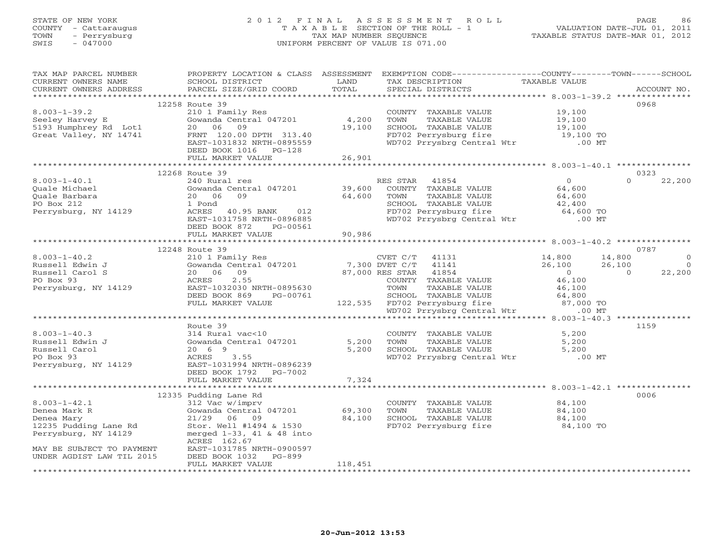# STATE OF NEW YORK 2 0 1 2 F I N A L A S S E S S M E N T R O L L PAGE 86 COUNTY - Cattaraugus T A X A B L E SECTION OF THE ROLL - 1 VALUATION DATE-JUL 01, 2011 TOWN - Perrysburg TAX MAP NUMBER SEQUENCE TAXABLE STATUS DATE-MAR 01, 2012 SWIS - 047000 UNIFORM PERCENT OF VALUE IS 071.00

| TAX MAP PARCEL NUMBER<br>CURRENT OWNERS NAME<br>CURRENT OWNERS ADDRESS                                                                                      | PROPERTY LOCATION & CLASS ASSESSMENT<br>SCHOOL DISTRICT<br>PARCEL SIZE/GRID COORD                                                                                                                                                                                                                                                    | LAND<br>TOTAL    | EXEMPTION CODE-----------------COUNTY-------TOWN------SCHOOL<br>TAX DESCRIPTION<br>SPECIAL DISTRICTS                                                                             | TAXABLE VALUE                                              | ACCOUNT NO.                                                  |
|-------------------------------------------------------------------------------------------------------------------------------------------------------------|--------------------------------------------------------------------------------------------------------------------------------------------------------------------------------------------------------------------------------------------------------------------------------------------------------------------------------------|------------------|----------------------------------------------------------------------------------------------------------------------------------------------------------------------------------|------------------------------------------------------------|--------------------------------------------------------------|
|                                                                                                                                                             | 12258 Route 39<br>DEED BOOK 1016    PG-128                                                                                                                                                                                                                                                                                           |                  | COUNTY TAXABLE VALUE 19,100<br>TOWN TAXABLE VALUE 19,100<br>TAXABLE VALUE<br>SCHOOL TAXABLE VALUE 19,100<br>FD702 Perrysburg fire 19,100 TO<br>WD702 Prrysbrg Central Wtr .00 MT |                                                            | 0968                                                         |
|                                                                                                                                                             |                                                                                                                                                                                                                                                                                                                                      |                  |                                                                                                                                                                                  |                                                            |                                                              |
|                                                                                                                                                             | 12268 Route 39                                                                                                                                                                                                                                                                                                                       |                  |                                                                                                                                                                                  |                                                            | 0323                                                         |
| $8.003 - 1 - 40.1$<br>Quale Michael<br>Quale Barbara<br>PO Box 212<br>Perrysburg, NY 14129                                                                  | 240 Rural res<br>Gowanda Central 047201 39,600<br>20 06 09<br>1 Pond<br>ACRES 40.95 BANK 012<br>EAST-1031758 NRTH-0896885<br>DEED BOOK 872<br>PG-00561<br>FULL MARKET VALUE                                                                                                                                                          | 64,600<br>90,986 | RES STAR 41854<br>COUNTY TAXABLE VALUE 64,600<br>TOWN<br>TAXABLE VALUE<br>SCHOOL TAXABLE VALUE 42,400<br>FD702 Perrysburg fire 64,600 TO<br>WD702 Prrysbrg Central Wtr .00 MT    | $\overline{0}$<br>64,600                                   | $\Omega$<br>22,200                                           |
|                                                                                                                                                             |                                                                                                                                                                                                                                                                                                                                      |                  |                                                                                                                                                                                  |                                                            |                                                              |
|                                                                                                                                                             | 12248 Route 39                                                                                                                                                                                                                                                                                                                       |                  |                                                                                                                                                                                  |                                                            | 0787                                                         |
| $8.003 - 1 - 40.2$<br>Russell Edwin J<br>Russell Carol S<br>PO Box 93<br>Perrysburg, NY 14129                                                               | 210 1 Family Res<br>210 1 Family Res<br>Gowanda Central 047201<br>27.000 PES SUPPE 41141<br>20 06 09<br>ACRES<br>2.55<br>EAST-1032030 NRTH-0895630 TOWN TAXABLE VALUE 46,100<br>DEED BOOK 869 PG-00761 SCHOOL TAXABLE VALUE 64,800<br>FULL MARKET VALUE 122,535 FD702 Perrysburg fire 87,000 TO<br>WD702 Prrysbrg Central Wtr .00 MT |                  | 87,000 RES STAR 41854<br>87,000 RES STAR 41854<br>COUNTY TAXABLE VALUE                                                                                                           | 14,800 14,800<br>26,100 26,100<br>$\overline{a}$<br>46,100 | $\overline{0}$<br>$\overline{0}$<br>22,200<br>$\overline{0}$ |
|                                                                                                                                                             |                                                                                                                                                                                                                                                                                                                                      |                  |                                                                                                                                                                                  |                                                            |                                                              |
| $8.003 - 1 - 40.3$<br>8.003-1-40.3<br>Russell Edwin J<br>Russell Carol<br>PO Rox 93<br>PO Box 93<br>Perrysburg, NY 14129                                    | Route 39<br>314 Rural vac<10<br>Gowanda Central 047201 5,200 TOWN<br>20 6 9<br>ACRES<br>3.55<br>EAST-1031994 NRTH-0896239<br>DEED BOOK 1792 PG-7002                                                                                                                                                                                  |                  | COUNTY TAXABLE VALUE 5,200<br>5,200 TOWN TAXABLE VALUE 5,200<br>5,200 SCHOOL TAXABLE VALUE 5,200<br>WD702 Prrysbrg Central Wtr .00 MT                                            |                                                            | 1159                                                         |
|                                                                                                                                                             | FULL MARKET VALUE                                                                                                                                                                                                                                                                                                                    | 7,324            |                                                                                                                                                                                  |                                                            |                                                              |
| $8.003 - 1 - 42.1$<br>Denea Mark R<br>Denea Mary<br>12235 Pudding Lane Rd<br>Perrysburg, NY 14129<br>MAY BE SUBJECT TO PAYMENT<br>UNDER AGDIST LAW TIL 2015 | 12335 Pudding Lane Rd<br>312 Vac w/imprv<br>Gowanda Central $047201$ 69,300<br>21/29 06 09<br>Stor. Well #1494 & 1530<br>merged $1-33$ , $41$ & $48$ into<br>ACRES 162.67<br>EAST-1031785 NRTH-0900597<br>DEED BOOK 1032 PG-899                                                                                                      | 84,100           | COUNTY TAXABLE VALUE<br>TOWN<br>SCHOOL TAXABLE VALUE<br>FD702 Perrysburg fire 34,100 TO                                                                                          | 84,100<br>TAXABLE VALUE 84,100<br>84,100                   | 0006                                                         |
|                                                                                                                                                             | FULL MARKET VALUE                                                                                                                                                                                                                                                                                                                    | 118,451          |                                                                                                                                                                                  |                                                            |                                                              |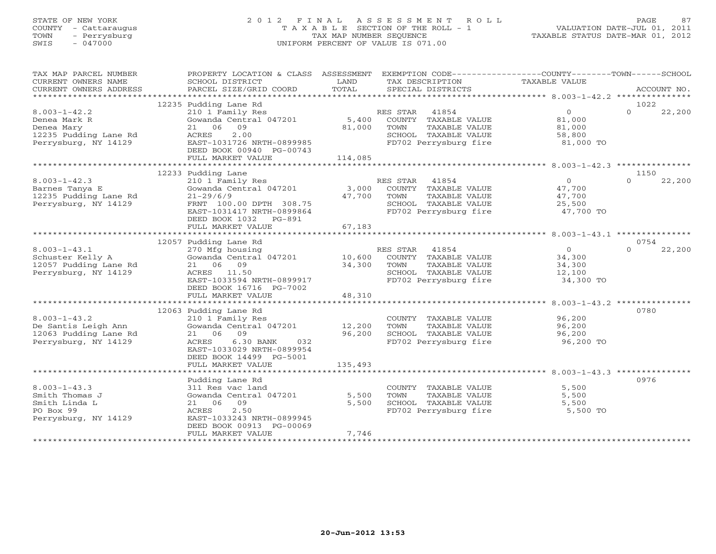# STATE OF NEW YORK 2 0 1 2 F I N A L A S S E S S M E N T R O L L PAGE 87 COUNTY - Cattaraugus T A X A B L E SECTION OF THE ROLL - 1 VALUATION DATE-JUL 01, 2011 TOWN - Perrysburg TAX MAP NUMBER SEQUENCE TAXABLE STATUS DATE-MAR 01, 2012 SWIS - 047000 UNIFORM PERCENT OF VALUE IS 071.00

| TAX MAP PARCEL NUMBER                                                 | PROPERTY LOCATION & CLASS ASSESSMENT                 |                | EXEMPTION CODE----------------COUNTY-------TOWN------SCHOOL        |                                            |          |             |
|-----------------------------------------------------------------------|------------------------------------------------------|----------------|--------------------------------------------------------------------|--------------------------------------------|----------|-------------|
| CURRENT OWNERS NAME                                                   | SCHOOL DISTRICT                                      | LAND           | TAX DESCRIPTION                                                    | TAXABLE VALUE                              |          |             |
| CURRENT OWNERS ADDRESS                                                | PARCEL SIZE/GRID COORD                               | TOTAL          | SPECIAL DISTRICTS                                                  |                                            |          | ACCOUNT NO. |
|                                                                       | 12235 Pudding Lane Rd                                |                |                                                                    |                                            | 1022     |             |
| $8.003 - 1 - 42.2$                                                    | 210 1 Family Res                                     |                | RES STAR 41854                                                     | $\overline{0}$                             | $\Omega$ | 22,200      |
| Denea Mark R                                                          | Gowanda Central 047201                               |                |                                                                    |                                            |          |             |
| Denea Mary                                                            | 21 06 09                                             |                | 5,400 COUNTY TAXABLE VALUE<br>81,000 TOWN TAXABLE VALUE            | 81,000<br>81,000                           |          |             |
|                                                                       | 2.00<br>ACRES                                        |                |                                                                    |                                            |          |             |
| 12235 Pudding Lane Rd<br>Perryshurg, NY 14129<br>Perrysburg, NY 14129 | EAST-1031726 NRTH-0899985                            |                | SCHOOL TAXABLE VALUE<br>FD702 Perrysburg fire                      | $81,000$ TO                                |          |             |
|                                                                       | DEED BOOK 00940 PG-00743                             |                |                                                                    |                                            |          |             |
|                                                                       | FULL MARKET VALUE                                    | 114,085        |                                                                    |                                            |          |             |
|                                                                       |                                                      |                |                                                                    |                                            |          |             |
|                                                                       | 12233 Pudding Lane                                   |                |                                                                    |                                            | 1150     |             |
| $8.003 - 1 - 42.3$                                                    |                                                      |                |                                                                    |                                            | $\Omega$ | 22,200      |
| Barnes Tanya E                                                        |                                                      |                |                                                                    | $\begin{array}{c} 0 \\ 47,700 \end{array}$ |          |             |
| 12235 Pudding Lane Rd                                                 |                                                      |                |                                                                    | TAXABLE VALUE 47,700                       |          |             |
| Perrysburg, NY 14129                                                  |                                                      |                |                                                                    |                                            |          |             |
|                                                                       | FRNT 100.00 DPTH 308.75<br>EAST-1031417 NRTH-0899864 |                | SCHOOL TAXABLE VALUE $25,500$<br>FD702 Perrysburg fire $47,700$ TO |                                            |          |             |
|                                                                       | DEED BOOK 1032    PG-891                             |                |                                                                    |                                            |          |             |
|                                                                       | FULL MARKET VALUE                                    | 67,183         |                                                                    |                                            |          |             |
|                                                                       |                                                      |                |                                                                    |                                            |          |             |
|                                                                       | 12057 Pudding Lane Rd                                |                |                                                                    |                                            | 0754     |             |
| $8.003 - 1 - 43.1$                                                    |                                                      |                |                                                                    | $\overline{0}$                             | $\Omega$ | 22,200      |
| Schuster Kelly A                                                      |                                                      |                |                                                                    | 34,300                                     |          |             |
| 12057 Pudding Lane Rd                                                 | 21 06 09                                             | $34,300$ TOWN  | TAXABLE VALUE                                                      |                                            |          |             |
| Perrysburg, NY 14129                                                  | ACRES 11.50                                          |                | SCHOOL TAXABLE VALUE                                               | 34,300<br>12,100                           |          |             |
|                                                                       | EAST-1033594 NRTH-0899917                            |                | FD702 Perrysburg fire 34,300 TO                                    |                                            |          |             |
|                                                                       | DEED BOOK 16716 PG-7002                              |                |                                                                    |                                            |          |             |
|                                                                       | FULL MARKET VALUE                                    | 48,310         |                                                                    |                                            |          |             |
|                                                                       |                                                      |                |                                                                    |                                            |          |             |
|                                                                       | 12063 Pudding Lane Rd                                |                |                                                                    |                                            | 0780     |             |
| $8.003 - 1 - 43.2$                                                    | 210 1 Family Res                                     |                | COUNTY TAXABLE VALUE                                               | 96,200                                     |          |             |
| De Santis Leigh Ann                                                   | $32.200$ Gowanda Central $047201$ 12,200             |                | TAXABLE VALUE<br>TOWN                                              | 96,200                                     |          |             |
| 12063 Pudding Lane Rd                                                 | 21 06 09                                             | 96,200         | SCHOOL TAXABLE VALUE<br>FD702 Perrysburg fire                      | 96,200                                     |          |             |
| Perrysburg, NY 14129                                                  | ACRES<br>6.30 BANK 032                               |                |                                                                    | $96,200$ TO                                |          |             |
|                                                                       | EAST-1033029 NRTH-0899954                            |                |                                                                    |                                            |          |             |
|                                                                       | DEED BOOK 14499 PG-5001                              |                |                                                                    |                                            |          |             |
|                                                                       | FULL MARKET VALUE                                    | 135,493        |                                                                    |                                            |          |             |
|                                                                       |                                                      |                |                                                                    |                                            |          |             |
|                                                                       | Pudding Lane Rd                                      |                |                                                                    |                                            | 0976     |             |
| $8.003 - 1 - 43.3$                                                    | 311 Res vac land                                     |                | COUNTY TAXABLE VALUE                                               | 5,500                                      |          |             |
| Smith Thomas J                                                        | Gowanda Central 047201<br>21 06 09                   | 5,500<br>5,500 | TAXABLE VALUE<br>TOWN                                              | 5,500                                      |          |             |
| Smith Linda L<br>PO Box 99                                            | 2.50<br>ACRES                                        |                | SCHOOL TAXABLE VALUE 5,500<br>FD702 Perrysburg fire 5,500 TO       |                                            |          |             |
| Perrysburg, NY 14129                                                  | EAST-1033243 NRTH-0899945                            |                |                                                                    |                                            |          |             |
|                                                                       | DEED BOOK 00913 PG-00069                             |                |                                                                    |                                            |          |             |
|                                                                       | FULL MARKET VALUE                                    | 7,746          |                                                                    |                                            |          |             |
|                                                                       |                                                      |                |                                                                    |                                            |          |             |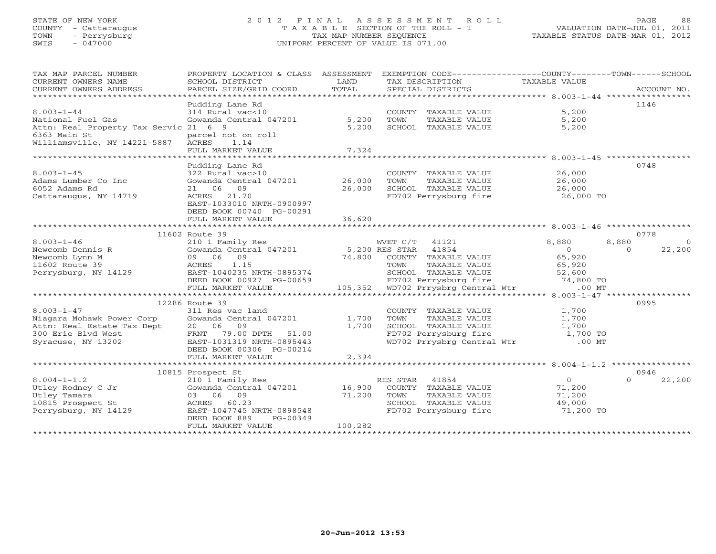# STATE OF NEW YORK 2 0 1 2 F I N A L A S S E S S M E N T R O L L PAGE 88 COUNTY - Cattaraugus T A X A B L E SECTION OF THE ROLL - 1 VALUATION DATE-JUL 01, 2011 TOWN - Perrysburg TAX MAP NUMBER SEQUENCE TAXABLE STATUS DATE-MAR 01, 2012 SWIS - 047000 UNIFORM PERCENT OF VALUE IS 071.00

| TAX MAP PARCEL NUMBER<br>CURRENT OWNERS NAME<br>CURRENT OWNERS ADDRESS         | PROPERTY LOCATION & CLASS ASSESSMENT<br>SCHOOL DISTRICT<br>PARCEL SIZE/GRID COORD | LAND<br>TOTAL    | EXEMPTION CODE-----------------COUNTY-------TOWN------SCHOOL<br>TAX DESCRIPTION TAXABLE VALUE<br>SPECIAL DISTRICTS |                                                     | ACCOUNT NO.        |
|--------------------------------------------------------------------------------|-----------------------------------------------------------------------------------|------------------|--------------------------------------------------------------------------------------------------------------------|-----------------------------------------------------|--------------------|
|                                                                                |                                                                                   |                  |                                                                                                                    |                                                     |                    |
|                                                                                | Pudding Lane Rd                                                                   |                  |                                                                                                                    |                                                     | 1146               |
| $8.003 - 1 - 44$<br>National Fuel Gas<br>Attn: Real Property Tax Servic 21 6 9 | 314 Rural vac<10<br>Gowanda Central 047201                                        | 5,200<br>5,200   | COUNTY TAXABLE VALUE<br>TOWN<br>TAXABLE VALUE<br>SCHOOL TAXABLE VALUE                                              | 5,200<br>5,200<br>5,200                             |                    |
| 6363 Main St<br>Williamsville, NY 14221-5887                                   | parcel not on roll<br>ACRES<br>1.14<br>FULL MARKET VALUE                          | 7,324            |                                                                                                                    |                                                     |                    |
|                                                                                |                                                                                   |                  |                                                                                                                    |                                                     |                    |
| $8.003 - 1 - 45$                                                               | Pudding Lane Rd<br>322 Rural vac>10                                               |                  | COUNTY TAXABLE VALUE                                                                                               | 26,000                                              | 0748               |
| Adams Lumber Co Inc<br>6052 Adams Rd<br>Cattaraugus, NY 14719                  | Gowanda Central 047201 26,000<br>21 06 09<br>21.70<br>ACRES                       | 26,000           | TAXABLE VALUE<br>TOWN<br>SCHOOL TAXABLE VALUE                                                                      | 26,000<br>26,000<br>FD702 Perrysburg fire 26,000 TO |                    |
|                                                                                | EAST-1033010 NRTH-0900997<br>DEED BOOK 00740 PG-00291<br>FULL MARKET VALUE        | 36,620           |                                                                                                                    |                                                     |                    |
|                                                                                |                                                                                   |                  |                                                                                                                    |                                                     |                    |
|                                                                                | 11602 Route 39                                                                    |                  |                                                                                                                    |                                                     | 0778               |
| $8.003 - 1 - 46$                                                               | 210 1 Family Res                                                                  |                  | WVET C/T 41121                                                                                                     | 8,880                                               | 8,880<br>$\Omega$  |
| Newcomb Dennis R                                                               | Gowanda Central 047201                                                            |                  | 5,200 RES STAR<br>41854                                                                                            | $\overline{0}$                                      | 22,200<br>$\Omega$ |
| Newcomb Lynn M                                                                 | 09 06<br>09                                                                       | 74,800           | COUNTY TAXABLE VALUE                                                                                               | 65,920                                              |                    |
| 11602 Route 39                                                                 | ACRES<br>1.15                                                                     |                  | TOWN<br>TAXABLE VALUE                                                                                              | 65,920                                              |                    |
| Perrysburg, NY 14129                                                           | EAST-1040235 NRTH-0895374                                                         |                  | SCHOOL TAXABLE VALUE                                                                                               | 52,600                                              |                    |
|                                                                                | DEED BOOK 00927 PG-00659                                                          |                  | FD702 Perrysburg fire                                                                                              | 74,800 TO                                           |                    |
|                                                                                | FULL MARKET VALUE                                                                 |                  | 105,352 WD702 Prrysbrg Central Wtr                                                                                 | $.00$ MT                                            |                    |
|                                                                                |                                                                                   |                  |                                                                                                                    |                                                     |                    |
|                                                                                | 12286 Route 39                                                                    |                  |                                                                                                                    |                                                     | 0995               |
| $8.003 - 1 - 47$                                                               | 311 Res vac land                                                                  |                  | COUNTY TAXABLE VALUE                                                                                               | 1,700                                               |                    |
| Niagara Mohawk Power Corp                                                      | Gowanda Central 047201                                                            | 1,700            | TOWN<br>TAXABLE VALUE                                                                                              | 1,700                                               |                    |
| Attn: Real Estate Tax Dept                                                     | 20 06 09                                                                          | 1,700            | SCHOOL TAXABLE VALUE                                                                                               | 1,700                                               |                    |
| 300 Erie Blvd West                                                             | 79.00 DPTH 51.00<br>FRNT                                                          |                  | FD702 Perrysburg fire                                                                                              | 1,700 TO                                            |                    |
| Syracuse, NY 13202                                                             | EAST-1031319 NRTH-0895443                                                         |                  | WD702 Prrysbrg Central Wtr                                                                                         | $.00$ MT                                            |                    |
|                                                                                | DEED BOOK 00306 PG-00214                                                          |                  |                                                                                                                    |                                                     |                    |
|                                                                                | FULL MARKET VALUE                                                                 | 2,394            |                                                                                                                    |                                                     |                    |
|                                                                                |                                                                                   |                  |                                                                                                                    |                                                     |                    |
|                                                                                | 10815 Prospect St                                                                 |                  |                                                                                                                    |                                                     | 0946<br>$\Omega$   |
| $8.004 - 1 - 1.2$<br>Utley Rodney C Jr                                         | 210 1 Family Res<br>Gowanda Central 047201                                        |                  | RES STAR<br>41854<br>COUNTY TAXABLE VALUE                                                                          | $\overline{0}$<br>71,200                            | 22,200             |
| Utley Tamara                                                                   | 03 06 09                                                                          | 16,900<br>71,200 | TOWN<br>TAXABLE VALUE                                                                                              | 71,200                                              |                    |
| 10815 Prospect St                                                              | ACRES 60.23                                                                       |                  | SCHOOL TAXABLE VALUE                                                                                               | 49,000                                              |                    |
| Perrysburg, NY 14129                                                           | EAST-1047745 NRTH-0898548                                                         |                  | FD702 Perrysburg fire                                                                                              | 71,200 TO                                           |                    |
|                                                                                | DEED BOOK 889<br>PG-00349                                                         |                  |                                                                                                                    |                                                     |                    |
|                                                                                | FULL MARKET VALUE                                                                 | 100,282          |                                                                                                                    |                                                     |                    |
|                                                                                |                                                                                   |                  |                                                                                                                    |                                                     |                    |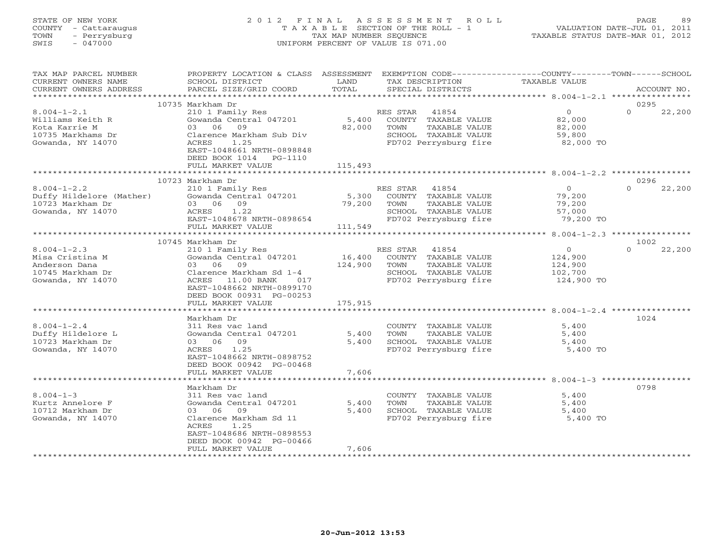# STATE OF NEW YORK 2 0 1 2 F I N A L A S S E S S M E N T R O L L PAGE 89 COUNTY - Cattaraugus T A X A B L E SECTION OF THE ROLL - 1 VALUATION DATE-JUL 01, 2011 TOWN - Perrysburg TAX MAP NUMBER SEQUENCE TAXABLE STATUS DATE-MAR 01, 2012 SWIS - 047000 UNIFORM PERCENT OF VALUE IS 071.00

| TAX MAP PARCEL NUMBER                                                     | PROPERTY LOCATION & CLASS ASSESSMENT EXEMPTION CODE---------------COUNTY-------TOWN------SCHOOL                                                                 |         |                                                  |                         |             |        |
|---------------------------------------------------------------------------|-----------------------------------------------------------------------------------------------------------------------------------------------------------------|---------|--------------------------------------------------|-------------------------|-------------|--------|
| CURRENT OWNERS NAME                                                       | SCHOOL DISTRICT                                                                                                                                                 | LAND    | TAX DESCRIPTION                                  | TAXABLE VALUE           |             |        |
| CURRENT OWNERS ADDRESS                                                    | PARCEL SIZE/GRID COORD                                                                                                                                          | TOTAL   | SPECIAL DISTRICTS                                |                         | ACCOUNT NO. |        |
|                                                                           |                                                                                                                                                                 |         |                                                  |                         |             |        |
|                                                                           | 10735 Markham Dr                                                                                                                                                |         |                                                  |                         | 0295        |        |
| $8.004 - 1 - 2.1$                                                         | 210 1 Family Res                                                                                                                                                |         | RES STAR 41854                                   | $\overline{0}$          | $\Omega$    | 22,200 |
| Williams Keith R                                                          | Gowanda Central 047201 5,400 COUNTY TAXABLE VALUE 82,000                                                                                                        |         |                                                  |                         |             |        |
| Kota Karrie M                                                             | 03 06 09                                                                                                                                                        | 82,000  | TAXABLE VALUE<br>TOWN                            |                         |             |        |
| 10735 Markhams Dr                                                         | Clarence Markham Sub Div                                                                                                                                        |         | SCHOOL TAXABLE VALUE                             | 82,000<br>59,800        |             |        |
| Gowanda, NY 14070                                                         | 1.25<br>ACRES                                                                                                                                                   |         | FD702 Perrysburg fire                            | 82,000 TO               |             |        |
|                                                                           | EAST-1048661 NRTH-0898848                                                                                                                                       |         |                                                  |                         |             |        |
|                                                                           | DEED BOOK 1014 PG-1110                                                                                                                                          |         |                                                  |                         |             |        |
|                                                                           | FULL MARKET VALUE                                                                                                                                               | 115,493 |                                                  |                         |             |        |
|                                                                           |                                                                                                                                                                 |         |                                                  |                         |             |        |
|                                                                           | 10723 Markham Dr                                                                                                                                                |         |                                                  |                         | 0296        |        |
| $8.004 - 1 - 2.2$                                                         | Markham Dr<br>210 1 Family Res<br>Gowanda Central 047201 5,300 COUNTY TAXABLE VALUE<br>22 06 09 79,200 TOWN TAXABLE VALUE<br>22 06 09 79,200 TOWN TAXABLE VALUE |         | RES STAR 41854                                   | 0<br>79,200<br>79,200   | $\Omega$    | 22,200 |
| Duffy Hildelore (Mather)                                                  |                                                                                                                                                                 |         |                                                  |                         |             |        |
| Gowanda, NY 14070<br>Gowanda, NY 14070<br>Communication of the MCRES 1.22 |                                                                                                                                                                 |         |                                                  |                         |             |        |
|                                                                           |                                                                                                                                                                 |         |                                                  | 57,000                  |             |        |
|                                                                           | EAST-1048678 NRTH-0898654                                                                                                                                       |         | FD702 Perrysburg fire                            | $57,000$ TO $79,200$ TO |             |        |
|                                                                           | FULL MARKET VALUE                                                                                                                                               | 111,549 |                                                  |                         |             |        |
|                                                                           |                                                                                                                                                                 |         |                                                  |                         |             |        |
|                                                                           | 10745 Markham Dr                                                                                                                                                |         |                                                  |                         | 1002        |        |
| $8.004 - 1 - 2.3$                                                         | 210 1 Family Res                                                                                                                                                |         | RES STAR 41854                                   |                         | $\Omega$    | 22,200 |
| Misa Cristina M                                                           | Gowanda Central 047201 16,400 COUNTY TAXABLE VALUE<br>03 06 09 124,900 TOWN TAXABLE VALUE<br>Clarence Markham Sd 1-4 SCHOOL TAXABLE VALUE                       |         |                                                  | 0<br>124,900<br>124,900 |             |        |
| Anderson Dana                                                             |                                                                                                                                                                 |         |                                                  |                         |             |        |
| 10745 Markham Dr                                                          |                                                                                                                                                                 |         |                                                  | 102,700                 |             |        |
| Gowanda, NY 14070                                                         | ACRES 11.00 BANK 017                                                                                                                                            |         | FD702 Perrysburg fire 124,900 TO                 |                         |             |        |
|                                                                           | EAST-1048662 NRTH-0899170                                                                                                                                       |         |                                                  |                         |             |        |
|                                                                           | DEED BOOK 00931 PG-00253                                                                                                                                        |         |                                                  |                         |             |        |
|                                                                           | FULL MARKET VALUE                                                                                                                                               | 175,915 |                                                  |                         |             |        |
|                                                                           |                                                                                                                                                                 |         |                                                  |                         |             |        |
|                                                                           | Markham Dr                                                                                                                                                      |         |                                                  |                         | 1024        |        |
| $8.004 - 1 - 2.4$                                                         | 311 Res vac land                                                                                                                                                |         |                                                  | 5,400                   |             |        |
| Duffy Hildelore L                                                         | Gowanda Central 047201                                                                                                                                          | 5,400   | COUNTY TAXABLE VALUE<br>TAXABLE VALUE<br>TOWN    | 5,400                   |             |        |
| 10723 Markham Dr                                                          | 03 06 09                                                                                                                                                        | 5,400   | SCHOOL TAXABLE VALUE                             |                         |             |        |
| Gowanda, NY 14070                                                         | ACRES 1.25                                                                                                                                                      |         | FD702 Perrysburg fire                            | 5,400<br>5,400 TO       |             |        |
|                                                                           | EAST-1048662 NRTH-0898752                                                                                                                                       |         |                                                  |                         |             |        |
|                                                                           | DEED BOOK 00942 PG-00468                                                                                                                                        |         |                                                  |                         |             |        |
|                                                                           | FULL MARKET VALUE                                                                                                                                               | 7,606   |                                                  |                         |             |        |
|                                                                           |                                                                                                                                                                 |         |                                                  |                         |             |        |
|                                                                           |                                                                                                                                                                 |         |                                                  |                         | 0798        |        |
|                                                                           | Markham Dr<br>311 Res vac land                                                                                                                                  |         |                                                  |                         |             |        |
| $8.004 - 1 - 3$                                                           |                                                                                                                                                                 | 5,400   | COUNTY TAXABLE VALUE 5,400                       |                         |             |        |
| Kurtz Annelore F                                                          | Gowanda Central 047201                                                                                                                                          |         | TOWN TAXABLE VALUE<br>5,400 SCHOOL TAXABLE VALUE | 5,400<br>5,400          |             |        |
| 10712 Markham Dr                                                          | 03 06 09                                                                                                                                                        |         |                                                  |                         |             |        |
| Gowanda, NY 14070                                                         | Clarence Markham Sd 11                                                                                                                                          |         | FD702 Perrysburg fire                            | 5,400 TO                |             |        |
|                                                                           | ACRES<br>1.25                                                                                                                                                   |         |                                                  |                         |             |        |
|                                                                           | EAST-1048686 NRTH-0898553                                                                                                                                       |         |                                                  |                         |             |        |
|                                                                           | DEED BOOK 00942 PG-00466                                                                                                                                        |         |                                                  |                         |             |        |
|                                                                           | FULL MARKET VALUE<br>******************                                                                                                                         | 7,606   |                                                  |                         |             |        |
|                                                                           |                                                                                                                                                                 |         |                                                  |                         |             |        |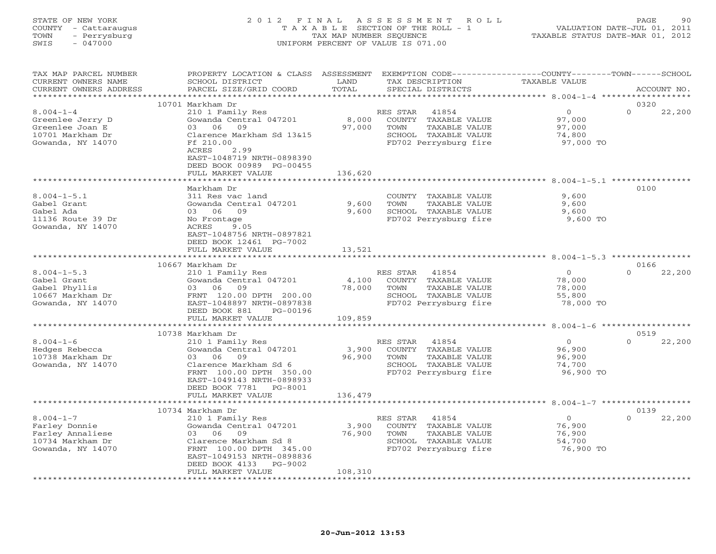STATE OF NEW YORK 2 0 1 2 F I N A L A S S E S S M E N T R O L L PAGE 90 COUNTY - Cattaraugus T A X A B L E SECTION OF THE ROLL - 1 VALUATION DATE-JUL 01, 2011 TOWN - Perrysburg TAX MAP NUMBER SEQUENCE TAXABLE STATUS DATE-MAR 01, 2012 SWIS - 047000 UNIFORM PERCENT OF VALUE IS 071.00UNIFORM PERCENT OF VALUE IS 071.00 TAX MAP PARCEL NUMBER PROPERTY LOCATION & CLASS ASSESSMENT EXEMPTION CODE----------------COUNTY-------TOWN------SCHOOL

| CURRENT OWNERS NAME<br>CURRENT OWNERS ADDRESS | SCHOOL DISTRICT<br>PARCEL SIZE/GRID COORD | LAND<br>TOTAL    | TAX DESCRIPTION<br>SPECIAL DISTRICTS                 | TAXABLE VALUE                       | ACCOUNT NO.        |
|-----------------------------------------------|-------------------------------------------|------------------|------------------------------------------------------|-------------------------------------|--------------------|
|                                               |                                           | **************** |                                                      | *********** 8.004-1-4 ************  |                    |
|                                               | 10701 Markham Dr                          |                  |                                                      |                                     | 0320               |
| $8.004 - 1 - 4$                               | 210 1 Family Res                          |                  | RES STAR<br>41854                                    | $\overline{O}$                      | $\Omega$<br>22,200 |
| Greenlee Jerry D                              | Gowanda Central 047201                    | 8,000            | COUNTY<br>TAXABLE VALUE                              | 97,000                              |                    |
| Greenlee Joan E                               | 06<br>09<br>03                            | 97,000           | TOWN<br>TAXABLE VALUE                                | 97,000                              |                    |
| 10701 Markham Dr                              | Clarence Markham Sd 13&15                 |                  | SCHOOL TAXABLE VALUE                                 | 74,800                              |                    |
| Gowanda, NY 14070                             | Ff 210.00                                 |                  | FD702 Perrysburg fire                                | 97,000 TO                           |                    |
|                                               | 2.99<br>ACRES                             |                  |                                                      |                                     |                    |
|                                               | EAST-1048719 NRTH-0898390                 |                  |                                                      |                                     |                    |
|                                               | DEED BOOK 00989 PG-00455                  |                  |                                                      |                                     |                    |
|                                               | FULL MARKET VALUE                         | 136,620          |                                                      |                                     |                    |
|                                               | ******************                        | ***********      |                                                      |                                     |                    |
|                                               | Markham Dr                                |                  |                                                      |                                     | 0100               |
| $8.004 - 1 - 5.1$                             | 311 Res vac land                          |                  | COUNTY TAXABLE VALUE                                 | 9,600                               |                    |
| Gabel Grant                                   | Gowanda Central 047201                    | 9,600            | TAXABLE VALUE<br>TOWN                                | 9,600                               |                    |
| Gabel Ada                                     | 06<br>09<br>03                            | 9,600            | SCHOOL TAXABLE VALUE                                 | 9,600                               |                    |
| 11136 Route 39 Dr                             | No Frontage                               |                  | FD702 Perrysburg fire                                | 9,600 TO                            |                    |
| Gowanda, NY 14070                             | 9.05<br>ACRES                             |                  |                                                      |                                     |                    |
|                                               | EAST-1048756 NRTH-0897821                 |                  |                                                      |                                     |                    |
|                                               | DEED BOOK 12461 PG-7002                   |                  |                                                      |                                     |                    |
|                                               | FULL MARKET VALUE                         | 13,521<br>.      |                                                      |                                     |                    |
|                                               |                                           |                  |                                                      | ************ 8.004-1-5.3 ********** |                    |
|                                               | 10667 Markham Dr                          |                  |                                                      |                                     | 0166<br>$\Omega$   |
| $8.004 - 1 - 5.3$                             | 210 1 Family Res                          |                  | RES STAR<br>41854                                    | $\circ$                             | 22,200             |
| Gabel Grant                                   | Gowanda Central 047201<br>06<br>09<br>03  | 4,100            | COUNTY TAXABLE VALUE<br>TOWN<br><b>TAXABLE VALUE</b> | 78,000                              |                    |
| Gabel Phyllis<br>10667 Markham Dr             | FRNT 120.00 DPTH 200.00                   | 78,000           | SCHOOL TAXABLE VALUE                                 | 78,000<br>55,800                    |                    |
| Gowanda, NY 14070                             | EAST-1048897 NRTH-0897838                 |                  | FD702 Perrysburg fire                                | 78,000 TO                           |                    |
|                                               | DEED BOOK 881<br>PG-00196                 |                  |                                                      |                                     |                    |
|                                               | FULL MARKET VALUE                         | 109,859          |                                                      |                                     |                    |
|                                               |                                           |                  |                                                      |                                     |                    |
|                                               | 10738 Markham Dr                          |                  |                                                      |                                     | 0519               |
| $8.004 - 1 - 6$                               | 210 1 Family Res                          |                  | RES STAR<br>41854                                    | $\overline{0}$                      | $\Omega$<br>22,200 |
| Hedges Rebecca                                | Gowanda Central 047201                    | 3,900            | COUNTY TAXABLE VALUE                                 | 96,900                              |                    |
| 10738 Markham Dr                              | 09<br>06<br>03                            | 96,900           | TOWN<br>TAXABLE VALUE                                | 96,900                              |                    |
| Gowanda, NY 14070                             | Clarence Markham Sd 6                     |                  | SCHOOL TAXABLE VALUE                                 | 74,700                              |                    |
|                                               | FRNT 100.00 DPTH 350.00                   |                  | FD702 Perrysburg fire                                | 96,900 TO                           |                    |
|                                               | EAST-1049143 NRTH-0898933                 |                  |                                                      |                                     |                    |
|                                               | DEED BOOK 7781<br>PG-8001                 |                  |                                                      |                                     |                    |
|                                               | FULL MARKET VALUE                         | 136,479          |                                                      |                                     |                    |
|                                               |                                           |                  | ******************************** 8.004-1-7 *******   |                                     |                    |
|                                               | 10734 Markham Dr                          |                  |                                                      |                                     | 0139               |
| $8.004 - 1 - 7$                               | 210 1 Family Res                          |                  | RES STAR<br>41854                                    | $\circ$                             | $\Omega$<br>22,200 |
| Farley Donnie                                 | Gowanda Central 047201                    | 3,900            | COUNTY TAXABLE VALUE                                 | 76,900                              |                    |
| Farley Annaliese                              | 03<br>- 06<br>09                          | 76,900           | TOWN<br>TAXABLE VALUE                                | 76,900                              |                    |
| 10734 Markham Dr                              | Clarence Markham Sd 8                     |                  | SCHOOL TAXABLE VALUE                                 | 54,700                              |                    |
| Gowanda, NY 14070                             | FRNT 100.00 DPTH 345.00                   |                  | FD702 Perrysburg fire                                | 76,900 TO                           |                    |
|                                               | EAST-1049153 NRTH-0898836                 |                  |                                                      |                                     |                    |
|                                               | DEED BOOK 4133<br>PG-9002                 |                  |                                                      |                                     |                    |
|                                               | FULL MARKET VALUE                         | 108,310          |                                                      |                                     |                    |
|                                               |                                           |                  |                                                      |                                     |                    |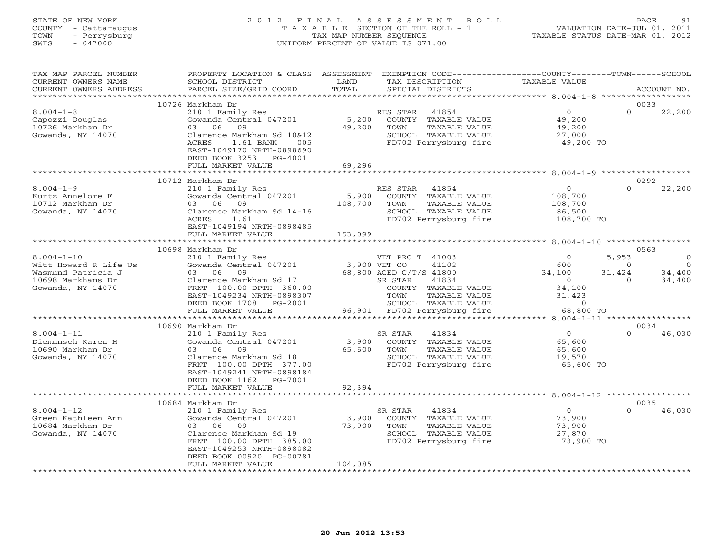# STATE OF NEW YORK 2 0 1 2 F I N A L A S S E S S M E N T R O L L PAGE 91 COUNTY - Cattaraugus T A X A B L E SECTION OF THE ROLL - 1 VALUATION DATE-JUL 01, 2011 TOWN - Perrysburg TAX MAP NUMBER SEQUENCE TAXABLE STATUS DATE-MAR 01, 2012 SWIS - 047000 UNIFORM PERCENT OF VALUE IS 071.00

| TAX MAP PARCEL NUMBER<br>CURRENT OWNERS NAME<br>CURRENT OWNERS ADDRESS                                                                             | PROPERTY LOCATION & CLASS ASSESSMENT<br>SCHOOL DISTRICT<br>PARCEL SIZE/GRID COORD                                                                                                                                                                                                | LAND<br>TAX DESCRIPTION<br>TOTAL<br>SPECIAL DISTRICTS                                                                                                                                                                                                    | EXEMPTION CODE-----------------COUNTY-------TOWN------SCHOOL<br>TAXABLE VALUE<br>ACCOUNT NO.                                                                                                                                                                                     |
|----------------------------------------------------------------------------------------------------------------------------------------------------|----------------------------------------------------------------------------------------------------------------------------------------------------------------------------------------------------------------------------------------------------------------------------------|----------------------------------------------------------------------------------------------------------------------------------------------------------------------------------------------------------------------------------------------------------|----------------------------------------------------------------------------------------------------------------------------------------------------------------------------------------------------------------------------------------------------------------------------------|
|                                                                                                                                                    |                                                                                                                                                                                                                                                                                  |                                                                                                                                                                                                                                                          |                                                                                                                                                                                                                                                                                  |
| $8.004 - 1 - 8$<br>Capozzi Douglas<br>10726 Markham Dr<br>Gowanda, NY 14070                                                                        | 10726 Markham Dr<br>210 1 Family Res<br>Gowanda Central 047201<br>06<br>09<br>03<br>Clarence Markham Sd 10&12<br>ACRES<br>1.61 BANK<br>005<br>EAST-1049170 NRTH-0898690<br>DEED BOOK 3253 PG-4001<br>FULL MARKET VALUE                                                           | RES STAR<br>41854<br>5,200<br>COUNTY TAXABLE VALUE<br>49,200<br>TAXABLE VALUE<br>TOWN<br>SCHOOL TAXABLE VALUE<br>FD702 Perrysburg fire<br>69,296                                                                                                         | 0033<br>$\circ$<br>22,200<br>$\Omega$<br>49,200<br>49,200<br>27,000<br>49,200 TO                                                                                                                                                                                                 |
|                                                                                                                                                    |                                                                                                                                                                                                                                                                                  |                                                                                                                                                                                                                                                          | ********************** 8.004-1-9 *************                                                                                                                                                                                                                                   |
| $8.004 - 1 - 9$<br>Kurtz Annelore F<br>10712 Markham Dr<br>Gowanda, NY 14070                                                                       | 10712 Markham Dr<br>210 1 Family Res<br>Gowanda Central 047201<br>03 06<br>09<br>Clarence Markham Sd 14-16<br>ACRES<br>1.61<br>EAST-1049194 NRTH-0898485<br>FULL MARKET VALUE                                                                                                    | RES STAR<br>41854<br>5,900<br>COUNTY TAXABLE VALUE<br>108,700<br>TOWN<br>TAXABLE VALUE<br>SCHOOL TAXABLE VALUE<br>FD702 Perrysburg fire<br>153,099                                                                                                       | 0292<br>$\Omega$<br>22,200<br>$\circ$<br>108,700<br>108,700<br>86,500<br>108,700 TO                                                                                                                                                                                              |
|                                                                                                                                                    |                                                                                                                                                                                                                                                                                  |                                                                                                                                                                                                                                                          | ********** 8.004-1-10 *********                                                                                                                                                                                                                                                  |
| $8.004 - 1 - 10$<br>Witt Howard R Life Us<br>Wasmund Patricia J<br>10698 Markhams Dr<br>Gowanda, NY 14070<br>$8.004 - 1 - 11$<br>Diemunsch Karen M | 10698 Markham Dr<br>210 1 Family Res<br>Gowanda Central 047201<br>03 06<br>09<br>Clarence Markham Sd 17<br>FRNT 100.00 DPTH 360.00<br>EAST-1049234 NRTH-0898307<br>DEED BOOK 1708 PG-2001<br>FULL MARKET VALUE<br>10690 Markham Dr<br>210 1 Family Res<br>Gowanda Central 047201 | VET PRO T 41003<br>41102<br>3,900 VET CO<br>68,800 AGED C/T/S 41800<br>SR STAR<br>41834<br>COUNTY TAXABLE VALUE<br>TOWN<br>TAXABLE VALUE<br>SCHOOL TAXABLE VALUE<br>96,901<br>FD702 Perrysburg fire<br>SR STAR<br>41834<br>3,900<br>COUNTY TAXABLE VALUE | 0563<br>$\Omega$<br>5,953<br>$\Omega$<br>600<br>$\overline{0}$<br>$\circ$<br>34,400<br>34,100<br>31,424<br>34,400<br>$\overline{0}$<br>$\Omega$<br>34,100<br>31,423<br>$\circ$<br>68,800 TO<br>****** 8.004-1-11 *****<br>0034<br>$\overline{0}$<br>$\Omega$<br>46,030<br>65,600 |
| 10690 Markham Dr<br>Gowanda, NY 14070                                                                                                              | 03 06<br>09<br>Clarence Markham Sd 18<br>FRNT 100.00 DPTH 377.00<br>EAST-1049241 NRTH-0898184<br>DEED BOOK 1162   PG-7001<br>FULL MARKET VALUE<br>***********************                                                                                                        | 65,600<br>TOWN<br>TAXABLE VALUE<br>SCHOOL TAXABLE VALUE<br>FD702 Perrysburg fire<br>92,394                                                                                                                                                               | 65,600<br>19,570<br>65,600 TO                                                                                                                                                                                                                                                    |
|                                                                                                                                                    | 10684 Markham Dr                                                                                                                                                                                                                                                                 |                                                                                                                                                                                                                                                          | 0035                                                                                                                                                                                                                                                                             |
| $8.004 - 1 - 12$<br>Green Kathleen Ann<br>10684 Markham Dr<br>Gowanda, NY 14070                                                                    | 210 1 Family Res<br>Gowanda Central 047201<br>09<br>03 06<br>Clarence Markham Sd 19<br>FRNT 100.00 DPTH 385.00<br>EAST-1049253 NRTH-0898082<br>DEED BOOK 00920 PG-00781<br>FULL MARKET VALUE                                                                                     | SR STAR<br>41834<br>3,900<br>COUNTY TAXABLE VALUE<br>73,900<br>TOWN<br>TAXABLE VALUE<br>SCHOOL TAXABLE VALUE<br>FD702 Perrysburg fire<br>104,085                                                                                                         | $\circ$<br>$\Omega$<br>46,030<br>73,900<br>73,900<br>27,870<br>73,900 TO                                                                                                                                                                                                         |
|                                                                                                                                                    | * * * * * * * * * * * * * * * * * * *                                                                                                                                                                                                                                            | * * * * * * * * * * * * * *                                                                                                                                                                                                                              |                                                                                                                                                                                                                                                                                  |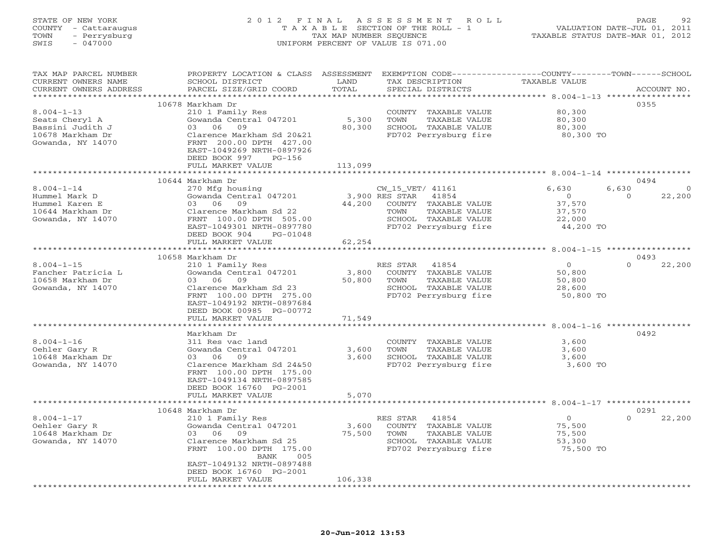# STATE OF NEW YORK 2 0 1 2 F I N A L A S S E S S M E N T R O L L PAGE 92 COUNTY - Cattaraugus T A X A B L E SECTION OF THE ROLL - 1 VALUATION DATE-JUL 01, 2011 TOWN - Perrysburg TAX MAP NUMBER SEQUENCE TAXABLE STATUS DATE-MAR 01, 2012 SWIS - 047000 UNIFORM PERCENT OF VALUE IS 071.00

| TAX MAP PARCEL NUMBER<br>CURRENT OWNERS NAME                    | PROPERTY LOCATION & CLASS ASSESSMENT<br>SCHOOL DISTRICT | LAND                       | EXEMPTION CODE-----------------COUNTY-------TOWN------SCHOOL<br>TAX DESCRIPTION | TAXABLE VALUE                                       |                            |
|-----------------------------------------------------------------|---------------------------------------------------------|----------------------------|---------------------------------------------------------------------------------|-----------------------------------------------------|----------------------------|
| CURRENT OWNERS ADDRESS<br>* * * * * * * * * * * * * * * * * * * | PARCEL SIZE/GRID COORD                                  | TOTAL<br>* * * * * * * * * | SPECIAL DISTRICTS                                                               |                                                     | ACCOUNT NO.<br>*********** |
|                                                                 |                                                         |                            |                                                                                 | ********** 8.004-1-13 ****                          |                            |
|                                                                 | 10678 Markham Dr                                        |                            |                                                                                 |                                                     | 0355                       |
| $8.004 - 1 - 13$                                                | 210 1 Family Res                                        |                            | COUNTY TAXABLE VALUE                                                            | 80,300                                              |                            |
| Seats Cheryl A                                                  | Gowanda Central 047201                                  | 5,300                      | TAXABLE VALUE<br>TOWN                                                           | 80,300                                              |                            |
| Bassini Judith J                                                | 06<br>09<br>0.3                                         | 80,300                     | SCHOOL TAXABLE VALUE                                                            | 80,300                                              |                            |
| 10678 Markham Dr                                                | Clarence Markham Sd 20&21                               |                            | FD702 Perrysburg fire                                                           | 80,300 TO                                           |                            |
| Gowanda, NY 14070                                               | FRNT 200.00 DPTH 427.00<br>EAST-1049269 NRTH-0897926    |                            |                                                                                 |                                                     |                            |
|                                                                 | DEED BOOK 997<br>$PG-156$                               |                            |                                                                                 |                                                     |                            |
|                                                                 | FULL MARKET VALUE                                       | 113,099                    |                                                                                 |                                                     |                            |
|                                                                 |                                                         |                            |                                                                                 |                                                     |                            |
|                                                                 | 10644 Markham Dr                                        |                            |                                                                                 |                                                     | 0494                       |
| $8.004 - 1 - 14$                                                | 270 Mfg housing                                         |                            | CW 15 VET/ 41161                                                                | 6,630                                               | 6,630<br>$\Omega$          |
| Hummel Mark D                                                   | Gowanda Central 047201                                  |                            | 3,900 RES STAR<br>41854                                                         | $\overline{0}$                                      | 22,200<br>$\Omega$         |
| Hummel Karen E                                                  | 09<br>03 06                                             | 44,200                     | COUNTY TAXABLE VALUE                                                            | 37,570                                              |                            |
| 10644 Markham Dr                                                | Clarence Markham Sd 22                                  |                            | TOWN<br>TAXABLE VALUE                                                           | 37,570                                              |                            |
| Gowanda, NY 14070                                               | FRNT 100.00 DPTH 505.00                                 |                            | SCHOOL TAXABLE VALUE                                                            | 22,000                                              |                            |
|                                                                 | EAST-1049301 NRTH-0897780                               |                            | FD702 Perrysburg fire                                                           | 44,200 TO                                           |                            |
|                                                                 | DEED BOOK 904<br>PG-01048                               |                            |                                                                                 |                                                     |                            |
|                                                                 | FULL MARKET VALUE                                       | 62,254                     |                                                                                 |                                                     |                            |
|                                                                 |                                                         |                            |                                                                                 |                                                     |                            |
|                                                                 | 10658 Markham Dr                                        |                            |                                                                                 |                                                     | 0493                       |
| $8.004 - 1 - 15$                                                | 210 1 Family Res                                        |                            | RES STAR<br>41854                                                               | $\circ$                                             | $\Omega$<br>22,200         |
| Fancher Patricia L                                              | Gowanda Central 047201                                  | 3,800                      | COUNTY TAXABLE VALUE                                                            | 50,800                                              |                            |
| 10658 Markham Dr                                                | 09<br>03 06                                             | 50,800                     | TOWN<br>TAXABLE VALUE                                                           | 50,800                                              |                            |
| Gowanda, NY 14070                                               | Clarence Markham Sd 23                                  |                            | SCHOOL TAXABLE VALUE                                                            | 28,600                                              |                            |
|                                                                 | FRNT 100.00 DPTH 275.00                                 |                            | FD702 Perrysburg fire                                                           | 50,800 TO                                           |                            |
|                                                                 | EAST-1049192 NRTH-0897684                               |                            |                                                                                 |                                                     |                            |
|                                                                 | DEED BOOK 00985 PG-00772                                |                            |                                                                                 |                                                     |                            |
|                                                                 | FULL MARKET VALUE                                       | 71,549                     |                                                                                 |                                                     |                            |
|                                                                 |                                                         |                            |                                                                                 |                                                     |                            |
|                                                                 | Markham Dr                                              |                            |                                                                                 |                                                     | 0492                       |
| $8.004 - 1 - 16$                                                | 311 Res vac land                                        |                            | COUNTY TAXABLE VALUE                                                            | 3,600                                               |                            |
| Oehler Gary R                                                   | Gowanda Central 047201                                  | 3,600                      | TOWN<br>TAXABLE VALUE                                                           | 3,600                                               |                            |
| 10648 Markham Dr                                                | 03 06<br>09                                             | 3.600                      | SCHOOL TAXABLE VALUE                                                            | 3,600                                               |                            |
| Gowanda, NY 14070                                               | Clarence Markham Sd 24&50                               |                            | FD702 Perrysburg fire                                                           | 3,600 TO                                            |                            |
|                                                                 | FRNT 100.00 DPTH 175.00                                 |                            |                                                                                 |                                                     |                            |
|                                                                 | EAST-1049134 NRTH-0897585                               |                            |                                                                                 |                                                     |                            |
|                                                                 | DEED BOOK 16760 PG-2001                                 |                            |                                                                                 |                                                     |                            |
|                                                                 | FULL MARKET VALUE                                       | 5,070                      |                                                                                 |                                                     |                            |
|                                                                 |                                                         |                            |                                                                                 | ********************* 8.004-1-17 ****************** |                            |
|                                                                 | 10648 Markham Dr                                        |                            |                                                                                 |                                                     | 0291                       |
| $8.004 - 1 - 17$                                                | 210 1 Family Res                                        |                            | RES STAR<br>41854                                                               | $\circ$                                             | $\Omega$<br>22,200         |
| Oehler Gary R                                                   | Gowanda Central 047201                                  | 3,600                      | COUNTY TAXABLE VALUE                                                            | 75,500                                              |                            |
| 10648 Markham Dr                                                | 06<br>09<br>03                                          | 75,500                     | TAXABLE VALUE<br>TOWN                                                           | 75,500                                              |                            |
| Gowanda, NY 14070                                               | Clarence Markham Sd 25                                  |                            | SCHOOL TAXABLE VALUE                                                            | 53,300                                              |                            |
|                                                                 | FRNT 100.00 DPTH 175.00                                 |                            | FD702 Perrysburg fire                                                           | 75,500 TO                                           |                            |
|                                                                 | BANK<br>005                                             |                            |                                                                                 |                                                     |                            |
|                                                                 | EAST-1049132 NRTH-0897488                               |                            |                                                                                 |                                                     |                            |
|                                                                 | DEED BOOK 16760 PG-2001                                 |                            |                                                                                 |                                                     |                            |
|                                                                 | FULL MARKET VALUE                                       | 106,338                    |                                                                                 |                                                     |                            |
|                                                                 |                                                         |                            |                                                                                 |                                                     |                            |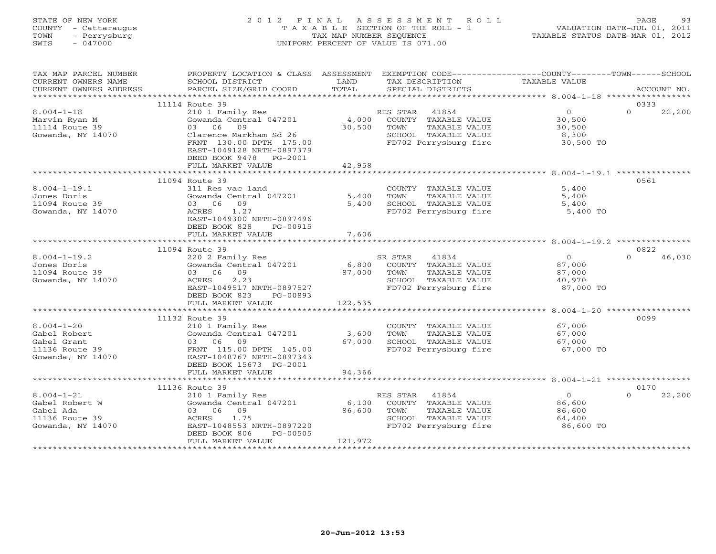| STATE OF NEW YORK    | 2012 FINAL ASSESSMENT ROLL                                           | PAGE. | -93 |
|----------------------|----------------------------------------------------------------------|-------|-----|
| COUNTY - Cattaraugus | VALUATION DATE-JUL 01, 2011<br>T A X A B L E SECTION OF THE ROLL - 1 |       |     |
| TOWN<br>- Perrysburg | TAXABLE STATUS DATE-MAR 01, 2012<br>TAX MAP NUMBER SEOUENCE          |       |     |
| $-047000$<br>SWIS    | UNIFORM PERCENT OF VALUE IS 071.00                                   |       |     |
|                      |                                                                      |       |     |
|                      |                                                                      |       |     |

 $\begin{array}{c} 93 \\ 2011 \end{array}$ 

| TAX MAP PARCEL NUMBER<br>CURRENT OWNERS NAME<br>CURRENT OWNERS ADDRESS                 | PROPERTY LOCATION & CLASS ASSESSMENT<br>SCHOOL DISTRICT<br>PARCEL SIZE/GRID COORD                                                                                     | LAND<br>TOTAL              | EXEMPTION CODE-----------------COUNTY-------TOWN------SCHOOL<br>TAX DESCRIPTION<br>SPECIAL DISTRICTS                | TAXABLE VALUE                                             | ACCOUNT NO.        |
|----------------------------------------------------------------------------------------|-----------------------------------------------------------------------------------------------------------------------------------------------------------------------|----------------------------|---------------------------------------------------------------------------------------------------------------------|-----------------------------------------------------------|--------------------|
| ************************                                                               |                                                                                                                                                                       |                            |                                                                                                                     |                                                           |                    |
|                                                                                        | 11114 Route 39                                                                                                                                                        |                            |                                                                                                                     |                                                           | 0333               |
| $8.004 - 1 - 18$<br>Marvin Ryan M<br>11114 Route 39<br>Gowanda, NY 14070               | 210 1 Family Res<br>Gowanda Central 047201<br>09<br>03 06<br>Clarence Markham Sd 26<br>FRNT 130.00 DPTH 175.00<br>EAST-1049128 NRTH-0897379<br>DEED BOOK 9478 PG-2001 | 4,000<br>30,500            | RES STAR<br>41854<br>COUNTY TAXABLE VALUE<br>TAXABLE VALUE<br>TOWN<br>SCHOOL TAXABLE VALUE<br>FD702 Perrysburg fire | $\overline{0}$<br>30,500<br>30,500<br>8,300<br>30,500 TO  | $\cap$<br>22,200   |
|                                                                                        | FULL MARKET VALUE                                                                                                                                                     | 42,958                     |                                                                                                                     |                                                           |                    |
|                                                                                        | *******************************                                                                                                                                       |                            |                                                                                                                     |                                                           |                    |
| $8.004 - 1 - 19.1$                                                                     | 11094 Route 39<br>311 Res vac land                                                                                                                                    |                            |                                                                                                                     | 5,400                                                     | 0561               |
| Jones Doris<br>11094 Route 39<br>Gowanda, NY 14070                                     | Gowanda Central 047201<br>09<br>03 06<br>1.27<br>ACRES<br>EAST-1049300 NRTH-0897496<br>DEED BOOK 828<br>PG-00915                                                      | 5,400<br>5,400             | COUNTY TAXABLE VALUE<br>TAXABLE VALUE<br>TOWN<br>SCHOOL TAXABLE VALUE<br>FD702 Perrysburg fire                      | 5,400<br>5,400<br>5,400 TO                                |                    |
|                                                                                        | FULL MARKET VALUE                                                                                                                                                     | 7,606                      |                                                                                                                     |                                                           |                    |
|                                                                                        |                                                                                                                                                                       |                            |                                                                                                                     |                                                           |                    |
|                                                                                        | 11094 Route 39                                                                                                                                                        |                            |                                                                                                                     |                                                           | 0822               |
| $8.004 - 1 - 19.2$<br>Jones Doris<br>11094 Route 39<br>Gowanda, NY 14070               | 220 2 Family Res<br>Gowanda Central 047201<br>03 06<br>09<br>2.23<br>ACRES<br>EAST-1049517 NRTH-0897527<br>DEED BOOK 823<br>PG-00893                                  | 6,800<br>87,000            | 41834<br>SR STAR<br>COUNTY TAXABLE VALUE<br>TOWN<br>TAXABLE VALUE<br>SCHOOL TAXABLE VALUE<br>FD702 Perrysburg fire  | $\overline{O}$<br>87,000<br>87,000<br>40,970<br>87,000 TO | 46,030<br>$\Omega$ |
|                                                                                        | FULL MARKET VALUE                                                                                                                                                     | 122,535                    |                                                                                                                     |                                                           |                    |
|                                                                                        | *******************                                                                                                                                                   | * * * * * * * * * * *      |                                                                                                                     | ********* 8.004-1-20 **********                           |                    |
| $8.004 - 1 - 20$<br>Gabel Robert<br>Gabel Grant<br>11136 Route 39<br>Gowanda, NY 14070 | 11132 Route 39<br>210 1 Family Res<br>Gowanda Central 047201<br>03 06 09<br>FRNT 115.00 DPTH 145.00<br>EAST-1048767 NRTH-0897343<br>DEED BOOK 15673 PG-2001           | 3,600<br>67,000            | COUNTY TAXABLE VALUE<br>TOWN<br>TAXABLE VALUE<br>SCHOOL TAXABLE VALUE<br>FD702 Perrysburg fire                      | 67,000<br>67,000<br>67,000<br>67,000 TO                   | 0099               |
|                                                                                        | FULL MARKET VALUE                                                                                                                                                     | 94,366                     |                                                                                                                     |                                                           |                    |
|                                                                                        | 11136 Route 39                                                                                                                                                        |                            |                                                                                                                     |                                                           | 0170               |
| $8.004 - 1 - 21$<br>Gabel Robert W<br>Gabel Ada<br>11136 Route 39<br>Gowanda, NY 14070 | 210 1 Family Res<br>Gowanda Central 047201<br>03 06<br>09<br>1.75<br>ACRES<br>EAST-1048553 NRTH-0897220<br>DEED BOOK 806<br>PG-00505<br>FULL MARKET VALUE             | 6,100<br>86,600<br>121,972 | 41854<br>RES STAR<br>COUNTY TAXABLE VALUE<br>TAXABLE VALUE<br>TOWN<br>SCHOOL TAXABLE VALUE<br>FD702 Perrysburg fire | $\Omega$<br>86,600<br>86,600<br>64,400<br>86,600 TO       | 22,200<br>$\Omega$ |
|                                                                                        |                                                                                                                                                                       |                            |                                                                                                                     |                                                           |                    |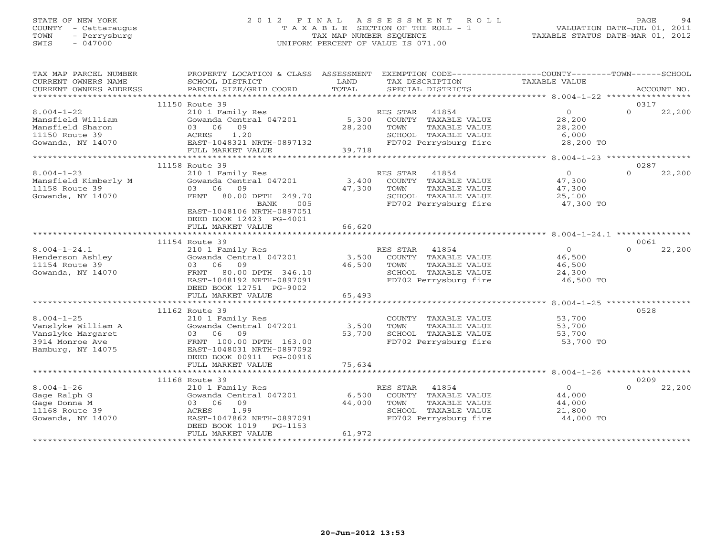# STATE OF NEW YORK 2 0 1 2 F I N A L A S S E S S M E N T R O L L PAGE 94 COUNTY - Cattaraugus T A X A B L E SECTION OF THE ROLL - 1 VALUATION DATE-JUL 01, 2011 TOWN - Perrysburg TAX MAP NUMBER SEQUENCE TAXABLE STATUS DATE-MAR 01, 2012 SWIS - 047000 UNIFORM PERCENT OF VALUE IS 071.00

| TAX MAP PARCEL NUMBER<br>CURRENT OWNERS NAME<br>CURRENT OWNERS ADDRESS                              | PROPERTY LOCATION & CLASS ASSESSMENT EXEMPTION CODE---------------COUNTY-------TOWN------SCHOOL<br>SCHOOL DISTRICT<br>PARCEL SIZE/GRID COORD                              | LAND<br>TOTAL             | TAX DESCRIPTION<br>SPECIAL DISTRICTS                                                                                   | TAXABLE VALUE                                             | ACCOUNT NO.                |
|-----------------------------------------------------------------------------------------------------|---------------------------------------------------------------------------------------------------------------------------------------------------------------------------|---------------------------|------------------------------------------------------------------------------------------------------------------------|-----------------------------------------------------------|----------------------------|
|                                                                                                     |                                                                                                                                                                           |                           |                                                                                                                        |                                                           |                            |
| $8.004 - 1 - 22$<br>Mansfield William<br>Mansfield Sharon<br>11150 Route 39<br>Gowanda, NY 14070    | 11150 Route 39<br>210 1 Family Res<br>Gowanda Central 047201 5,300<br>03 06 09<br>ACRES 1.20<br>EAST-1048321 NRTH-0897132<br>FULL MARKET VALUE                            | 28,200<br>39,718          | RES STAR 41854<br>COUNTY TAXABLE VALUE<br>TOWN<br>TAXABLE VALUE<br>SCHOOL TAXABLE VALUE<br>FD702 Perrysburg fire       | $\overline{0}$<br>28,200<br>28,200<br>6,000<br>28,200 TO  | 0317<br>$\Omega$<br>22,200 |
|                                                                                                     |                                                                                                                                                                           |                           |                                                                                                                        |                                                           |                            |
| $8.004 - 1 - 23$<br>Mansfield Kimberly M<br>11158 Route 39<br>Gowanda, NY 14070                     | 11158 Route 39<br>210 1 Family Res<br>Gowanda Central 047201<br>03 06 09<br>FRNT 80.00 DPTH 249.70<br>BANK<br>005<br>EAST-1048106 NRTH-0897051<br>DEED BOOK 12423 PG-4001 | 3,400<br>47,300           | RES STAR 41854<br>COUNTY TAXABLE VALUE<br>TOWN<br>TAXABLE VALUE<br>SCHOOL TAXABLE VALUE<br>FD702 Perrysburg fire       | $\Omega$<br>47,300<br>47,300<br>25,100<br>47,300 TO       | 0287<br>$\Omega$<br>22,200 |
|                                                                                                     | FULL MARKET VALUE                                                                                                                                                         | 66,620                    |                                                                                                                        |                                                           |                            |
|                                                                                                     | 11154 Route 39                                                                                                                                                            |                           |                                                                                                                        |                                                           | 0061                       |
| $8.004 - 1 - 24.1$<br>Henderson Ashley<br>11154 Route 39<br>Gowanda, NY 14070                       | 210 1 Family Res<br>Gowanda Central 047201<br>03 06 09<br>FRNT 80.00 DPTH 346.10<br>EAST-1048192 NRTH-0897091<br>DEED BOOK 12751 PG-9002                                  | 46,500                    | RES STAR 41854<br>3,500 COUNTY TAXABLE VALUE<br>TOWN<br>TAXABLE VALUE<br>SCHOOL TAXABLE VALUE<br>FD702 Perrysburg fire | $\overline{0}$<br>46,500<br>46,500<br>24,300<br>46,500 TO | 22,200<br>$\Omega$         |
|                                                                                                     | FULL MARKET VALUE                                                                                                                                                         | 65,493                    |                                                                                                                        |                                                           |                            |
|                                                                                                     |                                                                                                                                                                           |                           |                                                                                                                        |                                                           |                            |
| $8.004 - 1 - 25$<br>Vanslyke William A<br>Vanslyke Margaret<br>3914 Monroe Ave<br>Hamburg, NY 14075 | 11162 Route 39<br>210 1 Family Res<br>Gowanda Central 047201<br>03 06 09<br>FRNT 100.00 DPTH 163.00<br>EAST-1048031 NRTH-0897092<br>DEED BOOK 00911 PG-00916              | 3,500<br>53,700           | COUNTY TAXABLE VALUE<br>TAXABLE VALUE<br>TOWN<br>SCHOOL TAXABLE VALUE<br>FD702 Perrysburg fire                         | 53,700<br>53,700<br>53,700<br>53,700 TO                   | 0528                       |
|                                                                                                     | FULL MARKET VALUE                                                                                                                                                         | 75,634                    |                                                                                                                        |                                                           |                            |
|                                                                                                     |                                                                                                                                                                           |                           |                                                                                                                        |                                                           |                            |
| $8.004 - 1 - 26$<br>Gage Ralph G<br>Gage Donna M<br>11168 Route 39<br>Gowanda, NY 14070             | 11168 Route 39<br>210 1 Family Res<br>Gowanda Central 047201<br>03 06 09<br>1.99<br>ACRES<br>EAST-1047862 NRTH-0897091<br>DEED BOOK 1019<br>PG-1153<br>FULL MARKET VALUE  | 6,500<br>44,000<br>61,972 | RES STAR 41854<br>COUNTY TAXABLE VALUE<br>TAXABLE VALUE<br>TOWN<br>SCHOOL TAXABLE VALUE<br>FD702 Perrysburg fire       | $\overline{0}$<br>44,000<br>44,000<br>21,800<br>44,000 TO | 0209<br>$\Omega$<br>22,200 |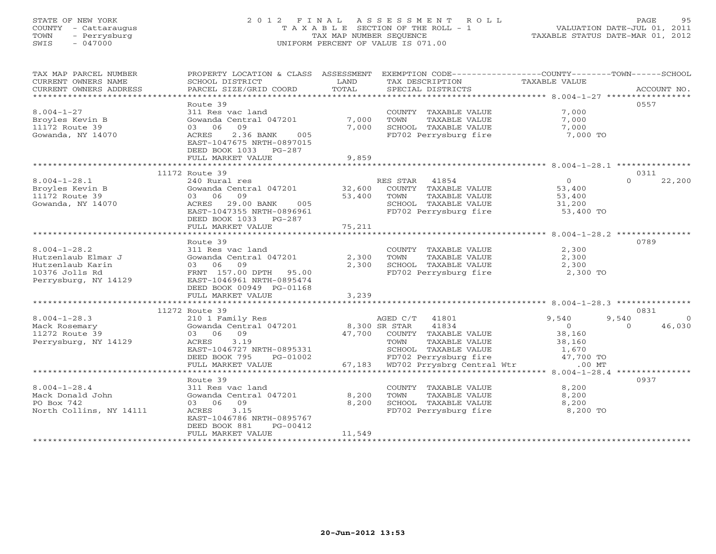# STATE OF NEW YORK 2 0 1 2 F I N A L A S S E S S M E N T R O L L PAGE 95 COUNTY - Cattaraugus T A X A B L E SECTION OF THE ROLL - 1 VALUATION DATE-JUL 01, 2011 TOWN - Perrysburg TAX MAP NUMBER SEQUENCE TAXABLE STATUS DATE-MAR 01, 2012 SWIS - 047000 UNIFORM PERCENT OF VALUE IS 071.00

| TAX MAP PARCEL NUMBER<br>CURRENT OWNERS NAME<br>CURRENT OWNERS ADDRESS | PROPERTY LOCATION & CLASS ASSESSMENT<br>SCHOOL DISTRICT<br>PARCEL SIZE/GRID COORD | LAND<br>TOTAL | EXEMPTION CODE-----------------COUNTY-------TOWN------SCHOOL<br>TAX DESCRIPTION<br>SPECIAL DISTRICTS | TAXABLE VALUE                                                 | ACCOUNT NO.        |
|------------------------------------------------------------------------|-----------------------------------------------------------------------------------|---------------|------------------------------------------------------------------------------------------------------|---------------------------------------------------------------|--------------------|
|                                                                        |                                                                                   |               |                                                                                                      |                                                               |                    |
|                                                                        | Route 39                                                                          |               |                                                                                                      |                                                               | 0557               |
| $8.004 - 1 - 27$                                                       | 311 Res vac land                                                                  |               | COUNTY TAXABLE VALUE                                                                                 | 7,000                                                         |                    |
| Broyles Kevin B                                                        | Gowanda Central 047201                                                            | 7,000         | TAXABLE VALUE<br>TOWN                                                                                | 7,000                                                         |                    |
| 11172 Route 39                                                         | 09<br>03 06                                                                       | 7,000         | SCHOOL TAXABLE VALUE                                                                                 | 7,000                                                         |                    |
| Gowanda, NY 14070                                                      | ACRES<br>2.36 BANK<br>005                                                         |               | FD702 Perrysburg fire                                                                                | 7,000 TO                                                      |                    |
|                                                                        | EAST-1047675 NRTH-0897015                                                         |               |                                                                                                      |                                                               |                    |
|                                                                        | DEED BOOK 1033 PG-287                                                             |               |                                                                                                      |                                                               |                    |
|                                                                        | FULL MARKET VALUE                                                                 | 9,859         |                                                                                                      |                                                               |                    |
|                                                                        |                                                                                   |               |                                                                                                      |                                                               |                    |
|                                                                        | 11172 Route 39                                                                    |               |                                                                                                      |                                                               | 0311               |
| $8.004 - 1 - 28.1$                                                     | 240 Rural res                                                                     |               | RES STAR 41854                                                                                       | $\overline{0}$                                                | 22,200<br>$\Omega$ |
| Broyles Kevin B                                                        | Gowanda Central 047201                                                            | 32,600        | COUNTY TAXABLE VALUE                                                                                 | 53,400                                                        |                    |
| 11172 Route 39                                                         | 09<br>03 06                                                                       | 53,400        | TOWN<br>TAXABLE VALUE                                                                                | 53,400                                                        |                    |
|                                                                        |                                                                                   |               |                                                                                                      |                                                               |                    |
| Gowanda, NY 14070                                                      | ACRES<br>29.00 BANK<br>005                                                        |               | SCHOOL TAXABLE VALUE                                                                                 | 31,200                                                        |                    |
|                                                                        | EAST-1047355 NRTH-0896961                                                         |               | FD702 Perrysburg fire                                                                                | 53,400 TO                                                     |                    |
|                                                                        | DEED BOOK 1033 PG-287                                                             |               |                                                                                                      |                                                               |                    |
|                                                                        | FULL MARKET VALUE                                                                 | 75,211        |                                                                                                      |                                                               |                    |
|                                                                        | ************************                                                          | ************* |                                                                                                      | ******************************* 8.004-1-28.2 **************** |                    |
|                                                                        | Route 39                                                                          |               |                                                                                                      |                                                               | 0789               |
| $8.004 - 1 - 28.2$                                                     | 311 Res vac land                                                                  |               | COUNTY TAXABLE VALUE                                                                                 | 2,300                                                         |                    |
| Hutzenlaub Elmar J                                                     | Gowanda Central 047201                                                            | 2,300         | TOWN<br>TAXABLE VALUE                                                                                | 2,300                                                         |                    |
| Hutzenlaub Karin                                                       | 09<br>03 06                                                                       | 2,300         | SCHOOL TAXABLE VALUE                                                                                 | 2,300                                                         |                    |
| 10376 Jolls Rd                                                         | FRNT 157.00 DPTH 95.00                                                            |               | FD702 Perrysburg fire                                                                                | 2,300 TO                                                      |                    |
| Perrysburg, NY 14129                                                   | EAST-1046961 NRTH-0895474                                                         |               |                                                                                                      |                                                               |                    |
|                                                                        | DEED BOOK 00949 PG-01168                                                          |               |                                                                                                      |                                                               |                    |
|                                                                        | FULL MARKET VALUE                                                                 | 3,239         |                                                                                                      |                                                               |                    |
|                                                                        |                                                                                   |               |                                                                                                      |                                                               |                    |
|                                                                        | 11272 Route 39                                                                    |               |                                                                                                      |                                                               | 0831               |
| $8.004 - 1 - 28.3$                                                     | 210 1 Family Res                                                                  |               | AGED C/T 41801                                                                                       | 9,540                                                         | 9,540<br>$\Omega$  |
| Mack Rosemary                                                          | Gowanda Central 047201                                                            | 8,300 SR STAR | 41834                                                                                                | $\overline{O}$                                                | 46,030<br>$\Omega$ |
| 11272 Route 39                                                         | 03 06 09                                                                          | 47,700        | COUNTY TAXABLE VALUE                                                                                 | 38,160                                                        |                    |
| Perrysburg, NY 14129                                                   | ACRES<br>3.19                                                                     |               | TOWN<br>TAXABLE VALUE                                                                                | 38,160                                                        |                    |
|                                                                        | EAST-1046727 NRTH-0895331                                                         |               | SCHOOL TAXABLE VALUE                                                                                 | 1,670                                                         |                    |
|                                                                        | DEED BOOK 795<br>PG-01002                                                         |               | FD702 Perrysburg fire                                                                                | 47,700 TO                                                     |                    |
|                                                                        | FULL MARKET VALUE                                                                 | 67,183        | WD702 Prrysbrg Central Wtr                                                                           | $.00$ MT                                                      |                    |
|                                                                        |                                                                                   |               |                                                                                                      |                                                               |                    |
|                                                                        | Route 39                                                                          |               |                                                                                                      |                                                               | 0937               |
| $8.004 - 1 - 28.4$                                                     | 311 Res vac land                                                                  |               | COUNTY TAXABLE VALUE                                                                                 | 8,200                                                         |                    |
| Mack Donald John                                                       | Gowanda Central 047201                                                            | 8,200         | TOWN<br>TAXABLE VALUE                                                                                | 8,200                                                         |                    |
| PO Box 742                                                             | 03 06<br>09                                                                       | 8,200         |                                                                                                      | 8,200                                                         |                    |
|                                                                        |                                                                                   |               | SCHOOL TAXABLE VALUE                                                                                 |                                                               |                    |
| North Collins, NY 14111                                                | ACRES<br>3.15                                                                     |               | FD702 Perrysburg fire                                                                                | 8,200 TO                                                      |                    |
|                                                                        | EAST-1046786 NRTH-0895767                                                         |               |                                                                                                      |                                                               |                    |
|                                                                        | DEED BOOK 881<br>PG-00412                                                         |               |                                                                                                      |                                                               |                    |
|                                                                        | FULL MARKET VALUE<br>*******************                                          | 11,549        |                                                                                                      |                                                               |                    |
|                                                                        |                                                                                   |               |                                                                                                      |                                                               |                    |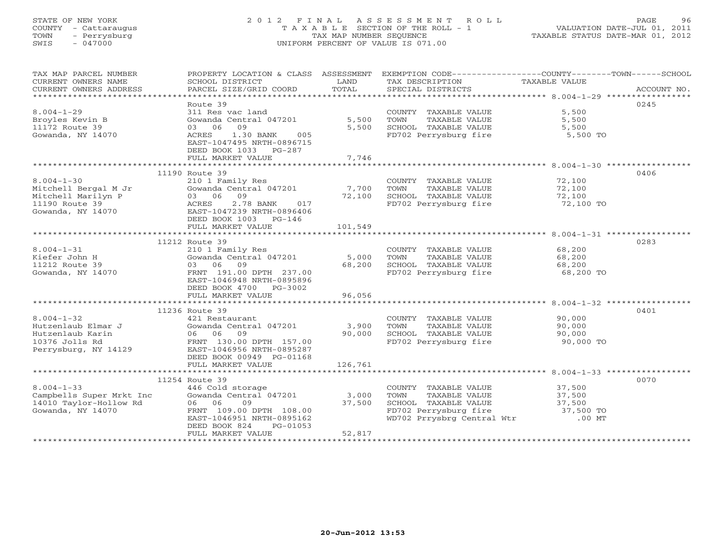# STATE OF NEW YORK 2 0 1 2 F I N A L A S S E S S M E N T R O L L PAGE 96 COUNTY - Cattaraugus T A X A B L E SECTION OF THE ROLL - 1 VALUATION DATE-JUL 01, 2011 TOWN - Perrysburg TAX MAP NUMBER SEQUENCE TAXABLE STATUS DATE-MAR 01, 2012 SWIS - 047000 UNIFORM PERCENT OF VALUE IS 071.00

| TAX MAP PARCEL NUMBER<br>CURRENT OWNERS NAME<br>CURRENT OWNERS ADDRESS                                                                                                                                    | SCHOOL DISTRICT<br><b>Example 19 TEAND</b><br>PARCEL SIZE/GRID COORD             | TOTAL   | TAX DESCRIPTION TAXABLE VALUE<br>SPECIAL DISTRICTS                                          | PROPERTY LOCATION & CLASS ASSESSMENT EXEMPTION CODE---------------COUNTY-------TOWN-----SCHOOL<br>ACCOUNT NO. |
|-----------------------------------------------------------------------------------------------------------------------------------------------------------------------------------------------------------|----------------------------------------------------------------------------------|---------|---------------------------------------------------------------------------------------------|---------------------------------------------------------------------------------------------------------------|
| $8.004 - 1 - 29$                                                                                                                                                                                          | Route 39<br>311 Res vac land                                                     |         | COUNTY TAXABLE VALUE                                                                        | 0245<br>5,500                                                                                                 |
| Broyles Kevin B<br>11172 Route 39                                                                                                                                                                         | Gowanda Central 047201 5,500<br>03 06 09                                         | 5,500   | TAXABLE VALUE<br>TOWN                                                                       | 5,500                                                                                                         |
| Gowanda, NY 14070                                                                                                                                                                                         | 1.30 BANK<br>ACRES<br>005<br>EAST-1047495 NRTH-0896715<br>DEED BOOK 1033 PG-287  |         | SCHOOL TAXABLE VALUE 5,500<br>FD702 Perrysburg fire 5,500 TO                                |                                                                                                               |
|                                                                                                                                                                                                           | FULL MARKET VALUE                                                                | 7,746   |                                                                                             |                                                                                                               |
|                                                                                                                                                                                                           | 11190 Route 39                                                                   |         |                                                                                             | 0406                                                                                                          |
| $8.004 - 1 - 30$                                                                                                                                                                                          | 210 1 Family Res                                                                 |         | COUNTY TAXABLE VALUE 72,100                                                                 |                                                                                                               |
|                                                                                                                                                                                                           | Gowanda Central 047201 7,700                                                     |         |                                                                                             |                                                                                                               |
|                                                                                                                                                                                                           |                                                                                  | 72,100  | TOWN TAXABLE VALUE 72,100<br>SCHOOL TAXABLE VALUE 72,100<br>FD702 Perrysburg fire 72,100 TO |                                                                                                               |
|                                                                                                                                                                                                           |                                                                                  |         |                                                                                             |                                                                                                               |
| Mitchell Bergal M Jr (Gowanda Central 047201)<br>Mitchell Marilyn P (33 06 09)<br>1190 Route 39 (Gowanda, NY 14070)<br>Gowanda, NY 14070 (BAST-1047239 NRTH-0896406)<br>DEED BOOK 1003 PG-146             | DEED BOOK 1003 PG-146                                                            |         |                                                                                             |                                                                                                               |
|                                                                                                                                                                                                           | FULL MARKET VALUE                                                                | 101,549 |                                                                                             |                                                                                                               |
|                                                                                                                                                                                                           | 11212 Route 39                                                                   |         |                                                                                             | 0283                                                                                                          |
| $8.004 - 1 - 31$                                                                                                                                                                                          |                                                                                  |         | COUNTY TAXABLE VALUE 68,200                                                                 |                                                                                                               |
| Kiefer John H                                                                                                                                                                                             |                                                                                  |         |                                                                                             |                                                                                                               |
| 11212 Route 39                                                                                                                                                                                            | 03 06 09                                                                         | 68,200  |                                                                                             |                                                                                                               |
| Gowanda, NY 14070                                                                                                                                                                                         | FRNT 191.00 DPTH 237.00<br>EAST-1046948 NRTH-0895896                             |         | FD702 Perrysburg fire 68,200 TO                                                             |                                                                                                               |
|                                                                                                                                                                                                           | DEED BOOK 4700 PG-3002<br>FULL MARKET VALUE                                      | 96,056  |                                                                                             |                                                                                                               |
|                                                                                                                                                                                                           |                                                                                  |         |                                                                                             |                                                                                                               |
|                                                                                                                                                                                                           | 11236 Route 39                                                                   |         |                                                                                             | 0401                                                                                                          |
| $8.004 - 1 - 32$                                                                                                                                                                                          | 421 Restaurant<br>Gowanda Central 047201 3,900                                   |         | COUNTY TAXABLE VALUE                                                                        | 90,000                                                                                                        |
|                                                                                                                                                                                                           |                                                                                  |         | TOWN<br>TAXABLE VALUE                                                                       | 90,000                                                                                                        |
|                                                                                                                                                                                                           | 09                                                                               | 90,000  |                                                                                             |                                                                                                               |
| $\begin{tabular}{llllll} 8.004-1-32 & & & 421 Rest \\ Hutzenlaub Elmar J & & Gowanda \\ Hutzenlaub Karin & & 06 & 06 \\ 10376 Jolls Rd & & FRNT & 13 \\ Perrysburg, NY 14129 & EAST-104 \\ \end{tabular}$ | FRNT 130.00 DPTH 157.00<br>EAST-1046956 NRTH-0895287<br>DEED BOOK 00949 PG-01168 |         |                                                                                             |                                                                                                               |
|                                                                                                                                                                                                           | FULL MARKET VALUE                                                                | 126,761 |                                                                                             |                                                                                                               |
|                                                                                                                                                                                                           |                                                                                  |         |                                                                                             |                                                                                                               |
|                                                                                                                                                                                                           | 11254 Route 39                                                                   |         |                                                                                             | 0070                                                                                                          |
| $8.004 - 1 - 33$                                                                                                                                                                                          | 446 Cold storage<br>446 Cold storage<br>Gowanda Central 047201      3,000        |         | COUNTY TAXABLE VALUE 37,500                                                                 | TAXABLE VALUE 37,500                                                                                          |
| Campbells Super Mrkt Inc<br>14010 Taylor-Hollow Rd                                                                                                                                                        | 06 06<br>09                                                                      | 37,500  | TOWN                                                                                        |                                                                                                               |
| Gowanda, NY 14070                                                                                                                                                                                         | FRNT 109.00 DPTH 108.00                                                          |         | SCHOOL TAXABLE VALUE 37,500<br>FD702 Perrysburg fire 37,500 TO                              |                                                                                                               |
|                                                                                                                                                                                                           | EAST-1046951 NRTH-0895162                                                        |         | WD702 Prrysbrg Central Wtr .00 MT                                                           |                                                                                                               |
|                                                                                                                                                                                                           | DEED BOOK 824<br>PG-01053                                                        |         |                                                                                             |                                                                                                               |
|                                                                                                                                                                                                           | FULL MARKET VALUE                                                                | 52,817  |                                                                                             |                                                                                                               |
|                                                                                                                                                                                                           |                                                                                  |         |                                                                                             |                                                                                                               |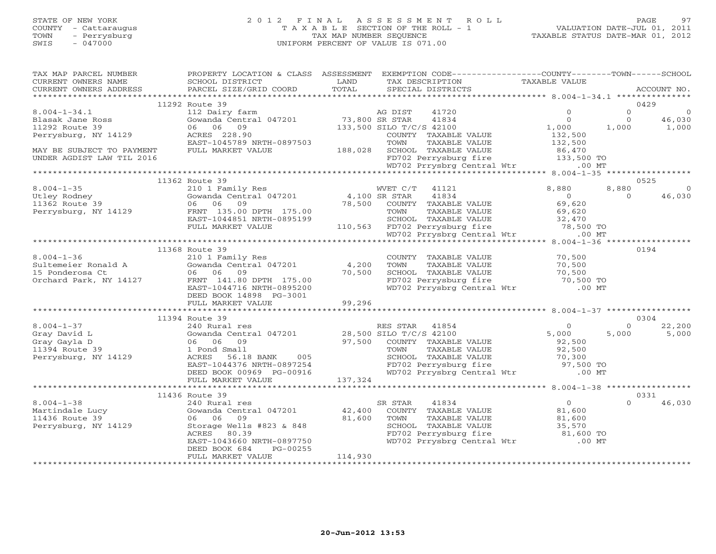# STATE OF NEW YORK 2 0 1 2 F I N A L A S S E S S M E N T R O L L PAGE 97 COUNTY - Cattaraugus T A X A B L E SECTION OF THE ROLL - 1 VALUATION DATE-JUL 01, 2011 TOWN - Perrysburg TAX MAP NUMBER SEQUENCE TAXABLE STATUS DATE-MAR 01, 2012 SWIS - 047000 UNIFORM PERCENT OF VALUE IS 071.00

| .CURRENT OWNERS ADDRESS PARCEL SIZE/GRID COORD TOTAL SPECIAL DISTRICTS ACCOUNT NO ACCOUNT NO ACCOUNT NO ACCOUNT NO ARRENT OWNERS ADDRESS<br>0429<br>11292 Route 39<br>112 Dairy farm<br>Gowanda Central 047201 133,800 SR STAR 41834<br>06 06 09 133,500 SILO T/C/S 42100<br>ACRES 228.90 2000 COUNTY TAXARLE<br>$\circ$<br>$8.004 - 1 - 34.1$<br>$\circ$<br>$\sim$ 0<br>$\overline{0}$<br>$\circ$<br>46,030<br>Blasak Jane Ross<br>$\begin{array}{ccc} & 0 & 0 \ 1,000 & 1,000 \ 132,500 & \end{array}$<br>11292 Route 39<br>1,000<br>Perrysburg, NY 14129<br>COUNTY TAXABLE VALUE<br>ACRES 228.90<br>EAST-1045789 NRTH-0897503<br>EAST-1045789 NRTH-0897503 TOWN TAXABLE VALUE 132,500<br>FULL MARKET VALUE 188,028 SCHOOL TAXABLE VALUE 86,470<br>FD702 Perrysburg fire 133,500 TO<br>WD702 Prrysbrg Central Wtr .00 MT<br>MAY BE SUBJECT TO PAYMENT<br>UNDER AGDIST LAW TIL 2016<br>11362 Route 39<br>0525<br>210 1 Family Res<br>8,880<br>$\circ$<br>46,030<br>$\Omega$<br>11368 Route 39<br>0194<br>COUNTY TAXABLE VALUE 70,500<br>TOWN TAXABLE VALUE 70,500<br>SCHOOL TAXABLE VALUE 70,500<br>FD702 Perrysburg fire 70,500 TO<br>WD702 Prrysbrg Central Wtr .00 MT<br>$8.004 - 1 - 36$<br>$4,200$<br>70,500<br>06 06 09<br>FRNT 141.80 DPTH 175.00 (0,000)<br>Orchard Park, NY 14127<br>DEED BOOK 14898 PG-3001<br>99,296<br>FULL MARKET VALUE<br>0304<br>11394 Route 39<br>22,200<br>$8.004 - 1 - 37$<br>$\Omega$<br>5,000<br>Gray David L<br>5,000<br>Gray Gayla D<br>TOWN TAXABLE VALUE<br>TOWN TAXABLE VALUE<br>SCHOOL TAXABLE VALUE<br>FD702 Perrysburg fire 97,500 TO<br>WD702 Prrysbrg Central Wtr .00 MT<br>11394 Route 39<br>Perrysburg, NY 14129<br>56.18 BANK 005<br>ACRES 56.18 BANK 005<br>EAST-1044376 NRTH-0897254<br>DEED BOOK 00969 PG-00916<br>FULL MARKET VALUE 137,324<br>11436 Route 39<br>0331<br>$\overline{0}$<br>$8.004 - 1 - 38$<br>SR STAR 41834<br>$\Omega$<br>46,030<br>240 Rural res<br>COUNTY TAXABLE VALUE 61,600<br>Gowanda Central 047201 42,400<br>Martindale Lucy<br>81,600<br>11436 Route 39<br>TOWN<br>TAXABLE VALUE<br>81,600<br>Storage Wells #823 & 848<br>ACRES 80.30<br>$35,570$<br>$81,600$ TO<br>Perrysburg, NY 14129<br>SCHOOL TAXABLE VALUE<br>FD702 Perrysburg fire<br>WD702 Prrysbrg Central Wtr .00 MT<br>EAST-1043660 NRTH-0897750<br>DEED BOOK 684<br>PG-00255<br>114,930<br>FULL MARKET VALUE | TAX MAP PARCEL NUMBER<br>CURRENT OWNERS NAME | PROPERTY LOCATION & CLASS ASSESSMENT EXEMPTION CODE---------------COUNTY-------TOWN------SCHOOL<br>SCHOOL DISTRICT | <b>EXAMPLE EXAMPLE STATE</b> | TAX DESCRIPTION | TAXABLE VALUE |  |
|-----------------------------------------------------------------------------------------------------------------------------------------------------------------------------------------------------------------------------------------------------------------------------------------------------------------------------------------------------------------------------------------------------------------------------------------------------------------------------------------------------------------------------------------------------------------------------------------------------------------------------------------------------------------------------------------------------------------------------------------------------------------------------------------------------------------------------------------------------------------------------------------------------------------------------------------------------------------------------------------------------------------------------------------------------------------------------------------------------------------------------------------------------------------------------------------------------------------------------------------------------------------------------------------------------------------------------------------------------------------------------------------------------------------------------------------------------------------------------------------------------------------------------------------------------------------------------------------------------------------------------------------------------------------------------------------------------------------------------------------------------------------------------------------------------------------------------------------------------------------------------------------------------------------------------------------------------------------------------------------------------------------------------------------------------------------------------------------------------------------------------------------------------------------------------------------------------------------------------------------------------------------------------------------------------------------------------------------------------------|----------------------------------------------|--------------------------------------------------------------------------------------------------------------------|------------------------------|-----------------|---------------|--|
|                                                                                                                                                                                                                                                                                                                                                                                                                                                                                                                                                                                                                                                                                                                                                                                                                                                                                                                                                                                                                                                                                                                                                                                                                                                                                                                                                                                                                                                                                                                                                                                                                                                                                                                                                                                                                                                                                                                                                                                                                                                                                                                                                                                                                                                                                                                                                           |                                              |                                                                                                                    |                              |                 |               |  |
|                                                                                                                                                                                                                                                                                                                                                                                                                                                                                                                                                                                                                                                                                                                                                                                                                                                                                                                                                                                                                                                                                                                                                                                                                                                                                                                                                                                                                                                                                                                                                                                                                                                                                                                                                                                                                                                                                                                                                                                                                                                                                                                                                                                                                                                                                                                                                           |                                              |                                                                                                                    |                              |                 |               |  |
|                                                                                                                                                                                                                                                                                                                                                                                                                                                                                                                                                                                                                                                                                                                                                                                                                                                                                                                                                                                                                                                                                                                                                                                                                                                                                                                                                                                                                                                                                                                                                                                                                                                                                                                                                                                                                                                                                                                                                                                                                                                                                                                                                                                                                                                                                                                                                           |                                              |                                                                                                                    |                              |                 |               |  |
|                                                                                                                                                                                                                                                                                                                                                                                                                                                                                                                                                                                                                                                                                                                                                                                                                                                                                                                                                                                                                                                                                                                                                                                                                                                                                                                                                                                                                                                                                                                                                                                                                                                                                                                                                                                                                                                                                                                                                                                                                                                                                                                                                                                                                                                                                                                                                           |                                              |                                                                                                                    |                              |                 |               |  |
|                                                                                                                                                                                                                                                                                                                                                                                                                                                                                                                                                                                                                                                                                                                                                                                                                                                                                                                                                                                                                                                                                                                                                                                                                                                                                                                                                                                                                                                                                                                                                                                                                                                                                                                                                                                                                                                                                                                                                                                                                                                                                                                                                                                                                                                                                                                                                           |                                              |                                                                                                                    |                              |                 |               |  |
|                                                                                                                                                                                                                                                                                                                                                                                                                                                                                                                                                                                                                                                                                                                                                                                                                                                                                                                                                                                                                                                                                                                                                                                                                                                                                                                                                                                                                                                                                                                                                                                                                                                                                                                                                                                                                                                                                                                                                                                                                                                                                                                                                                                                                                                                                                                                                           |                                              |                                                                                                                    |                              |                 |               |  |
|                                                                                                                                                                                                                                                                                                                                                                                                                                                                                                                                                                                                                                                                                                                                                                                                                                                                                                                                                                                                                                                                                                                                                                                                                                                                                                                                                                                                                                                                                                                                                                                                                                                                                                                                                                                                                                                                                                                                                                                                                                                                                                                                                                                                                                                                                                                                                           |                                              |                                                                                                                    |                              |                 |               |  |
|                                                                                                                                                                                                                                                                                                                                                                                                                                                                                                                                                                                                                                                                                                                                                                                                                                                                                                                                                                                                                                                                                                                                                                                                                                                                                                                                                                                                                                                                                                                                                                                                                                                                                                                                                                                                                                                                                                                                                                                                                                                                                                                                                                                                                                                                                                                                                           |                                              |                                                                                                                    |                              |                 |               |  |
|                                                                                                                                                                                                                                                                                                                                                                                                                                                                                                                                                                                                                                                                                                                                                                                                                                                                                                                                                                                                                                                                                                                                                                                                                                                                                                                                                                                                                                                                                                                                                                                                                                                                                                                                                                                                                                                                                                                                                                                                                                                                                                                                                                                                                                                                                                                                                           |                                              |                                                                                                                    |                              |                 |               |  |
|                                                                                                                                                                                                                                                                                                                                                                                                                                                                                                                                                                                                                                                                                                                                                                                                                                                                                                                                                                                                                                                                                                                                                                                                                                                                                                                                                                                                                                                                                                                                                                                                                                                                                                                                                                                                                                                                                                                                                                                                                                                                                                                                                                                                                                                                                                                                                           |                                              |                                                                                                                    |                              |                 |               |  |
|                                                                                                                                                                                                                                                                                                                                                                                                                                                                                                                                                                                                                                                                                                                                                                                                                                                                                                                                                                                                                                                                                                                                                                                                                                                                                                                                                                                                                                                                                                                                                                                                                                                                                                                                                                                                                                                                                                                                                                                                                                                                                                                                                                                                                                                                                                                                                           |                                              |                                                                                                                    |                              |                 |               |  |
|                                                                                                                                                                                                                                                                                                                                                                                                                                                                                                                                                                                                                                                                                                                                                                                                                                                                                                                                                                                                                                                                                                                                                                                                                                                                                                                                                                                                                                                                                                                                                                                                                                                                                                                                                                                                                                                                                                                                                                                                                                                                                                                                                                                                                                                                                                                                                           |                                              |                                                                                                                    |                              |                 |               |  |
|                                                                                                                                                                                                                                                                                                                                                                                                                                                                                                                                                                                                                                                                                                                                                                                                                                                                                                                                                                                                                                                                                                                                                                                                                                                                                                                                                                                                                                                                                                                                                                                                                                                                                                                                                                                                                                                                                                                                                                                                                                                                                                                                                                                                                                                                                                                                                           |                                              |                                                                                                                    |                              |                 |               |  |
|                                                                                                                                                                                                                                                                                                                                                                                                                                                                                                                                                                                                                                                                                                                                                                                                                                                                                                                                                                                                                                                                                                                                                                                                                                                                                                                                                                                                                                                                                                                                                                                                                                                                                                                                                                                                                                                                                                                                                                                                                                                                                                                                                                                                                                                                                                                                                           |                                              |                                                                                                                    |                              |                 |               |  |
|                                                                                                                                                                                                                                                                                                                                                                                                                                                                                                                                                                                                                                                                                                                                                                                                                                                                                                                                                                                                                                                                                                                                                                                                                                                                                                                                                                                                                                                                                                                                                                                                                                                                                                                                                                                                                                                                                                                                                                                                                                                                                                                                                                                                                                                                                                                                                           |                                              |                                                                                                                    |                              |                 |               |  |
|                                                                                                                                                                                                                                                                                                                                                                                                                                                                                                                                                                                                                                                                                                                                                                                                                                                                                                                                                                                                                                                                                                                                                                                                                                                                                                                                                                                                                                                                                                                                                                                                                                                                                                                                                                                                                                                                                                                                                                                                                                                                                                                                                                                                                                                                                                                                                           |                                              |                                                                                                                    |                              |                 |               |  |
|                                                                                                                                                                                                                                                                                                                                                                                                                                                                                                                                                                                                                                                                                                                                                                                                                                                                                                                                                                                                                                                                                                                                                                                                                                                                                                                                                                                                                                                                                                                                                                                                                                                                                                                                                                                                                                                                                                                                                                                                                                                                                                                                                                                                                                                                                                                                                           |                                              |                                                                                                                    |                              |                 |               |  |
|                                                                                                                                                                                                                                                                                                                                                                                                                                                                                                                                                                                                                                                                                                                                                                                                                                                                                                                                                                                                                                                                                                                                                                                                                                                                                                                                                                                                                                                                                                                                                                                                                                                                                                                                                                                                                                                                                                                                                                                                                                                                                                                                                                                                                                                                                                                                                           |                                              |                                                                                                                    |                              |                 |               |  |
|                                                                                                                                                                                                                                                                                                                                                                                                                                                                                                                                                                                                                                                                                                                                                                                                                                                                                                                                                                                                                                                                                                                                                                                                                                                                                                                                                                                                                                                                                                                                                                                                                                                                                                                                                                                                                                                                                                                                                                                                                                                                                                                                                                                                                                                                                                                                                           |                                              |                                                                                                                    |                              |                 |               |  |
|                                                                                                                                                                                                                                                                                                                                                                                                                                                                                                                                                                                                                                                                                                                                                                                                                                                                                                                                                                                                                                                                                                                                                                                                                                                                                                                                                                                                                                                                                                                                                                                                                                                                                                                                                                                                                                                                                                                                                                                                                                                                                                                                                                                                                                                                                                                                                           |                                              |                                                                                                                    |                              |                 |               |  |
|                                                                                                                                                                                                                                                                                                                                                                                                                                                                                                                                                                                                                                                                                                                                                                                                                                                                                                                                                                                                                                                                                                                                                                                                                                                                                                                                                                                                                                                                                                                                                                                                                                                                                                                                                                                                                                                                                                                                                                                                                                                                                                                                                                                                                                                                                                                                                           |                                              |                                                                                                                    |                              |                 |               |  |
|                                                                                                                                                                                                                                                                                                                                                                                                                                                                                                                                                                                                                                                                                                                                                                                                                                                                                                                                                                                                                                                                                                                                                                                                                                                                                                                                                                                                                                                                                                                                                                                                                                                                                                                                                                                                                                                                                                                                                                                                                                                                                                                                                                                                                                                                                                                                                           |                                              |                                                                                                                    |                              |                 |               |  |
|                                                                                                                                                                                                                                                                                                                                                                                                                                                                                                                                                                                                                                                                                                                                                                                                                                                                                                                                                                                                                                                                                                                                                                                                                                                                                                                                                                                                                                                                                                                                                                                                                                                                                                                                                                                                                                                                                                                                                                                                                                                                                                                                                                                                                                                                                                                                                           |                                              |                                                                                                                    |                              |                 |               |  |
|                                                                                                                                                                                                                                                                                                                                                                                                                                                                                                                                                                                                                                                                                                                                                                                                                                                                                                                                                                                                                                                                                                                                                                                                                                                                                                                                                                                                                                                                                                                                                                                                                                                                                                                                                                                                                                                                                                                                                                                                                                                                                                                                                                                                                                                                                                                                                           |                                              |                                                                                                                    |                              |                 |               |  |
|                                                                                                                                                                                                                                                                                                                                                                                                                                                                                                                                                                                                                                                                                                                                                                                                                                                                                                                                                                                                                                                                                                                                                                                                                                                                                                                                                                                                                                                                                                                                                                                                                                                                                                                                                                                                                                                                                                                                                                                                                                                                                                                                                                                                                                                                                                                                                           |                                              |                                                                                                                    |                              |                 |               |  |
|                                                                                                                                                                                                                                                                                                                                                                                                                                                                                                                                                                                                                                                                                                                                                                                                                                                                                                                                                                                                                                                                                                                                                                                                                                                                                                                                                                                                                                                                                                                                                                                                                                                                                                                                                                                                                                                                                                                                                                                                                                                                                                                                                                                                                                                                                                                                                           |                                              |                                                                                                                    |                              |                 |               |  |
|                                                                                                                                                                                                                                                                                                                                                                                                                                                                                                                                                                                                                                                                                                                                                                                                                                                                                                                                                                                                                                                                                                                                                                                                                                                                                                                                                                                                                                                                                                                                                                                                                                                                                                                                                                                                                                                                                                                                                                                                                                                                                                                                                                                                                                                                                                                                                           |                                              |                                                                                                                    |                              |                 |               |  |
|                                                                                                                                                                                                                                                                                                                                                                                                                                                                                                                                                                                                                                                                                                                                                                                                                                                                                                                                                                                                                                                                                                                                                                                                                                                                                                                                                                                                                                                                                                                                                                                                                                                                                                                                                                                                                                                                                                                                                                                                                                                                                                                                                                                                                                                                                                                                                           |                                              |                                                                                                                    |                              |                 |               |  |
|                                                                                                                                                                                                                                                                                                                                                                                                                                                                                                                                                                                                                                                                                                                                                                                                                                                                                                                                                                                                                                                                                                                                                                                                                                                                                                                                                                                                                                                                                                                                                                                                                                                                                                                                                                                                                                                                                                                                                                                                                                                                                                                                                                                                                                                                                                                                                           |                                              |                                                                                                                    |                              |                 |               |  |
|                                                                                                                                                                                                                                                                                                                                                                                                                                                                                                                                                                                                                                                                                                                                                                                                                                                                                                                                                                                                                                                                                                                                                                                                                                                                                                                                                                                                                                                                                                                                                                                                                                                                                                                                                                                                                                                                                                                                                                                                                                                                                                                                                                                                                                                                                                                                                           |                                              |                                                                                                                    |                              |                 |               |  |
|                                                                                                                                                                                                                                                                                                                                                                                                                                                                                                                                                                                                                                                                                                                                                                                                                                                                                                                                                                                                                                                                                                                                                                                                                                                                                                                                                                                                                                                                                                                                                                                                                                                                                                                                                                                                                                                                                                                                                                                                                                                                                                                                                                                                                                                                                                                                                           |                                              |                                                                                                                    |                              |                 |               |  |
|                                                                                                                                                                                                                                                                                                                                                                                                                                                                                                                                                                                                                                                                                                                                                                                                                                                                                                                                                                                                                                                                                                                                                                                                                                                                                                                                                                                                                                                                                                                                                                                                                                                                                                                                                                                                                                                                                                                                                                                                                                                                                                                                                                                                                                                                                                                                                           |                                              |                                                                                                                    |                              |                 |               |  |
|                                                                                                                                                                                                                                                                                                                                                                                                                                                                                                                                                                                                                                                                                                                                                                                                                                                                                                                                                                                                                                                                                                                                                                                                                                                                                                                                                                                                                                                                                                                                                                                                                                                                                                                                                                                                                                                                                                                                                                                                                                                                                                                                                                                                                                                                                                                                                           |                                              |                                                                                                                    |                              |                 |               |  |
|                                                                                                                                                                                                                                                                                                                                                                                                                                                                                                                                                                                                                                                                                                                                                                                                                                                                                                                                                                                                                                                                                                                                                                                                                                                                                                                                                                                                                                                                                                                                                                                                                                                                                                                                                                                                                                                                                                                                                                                                                                                                                                                                                                                                                                                                                                                                                           |                                              |                                                                                                                    |                              |                 |               |  |
|                                                                                                                                                                                                                                                                                                                                                                                                                                                                                                                                                                                                                                                                                                                                                                                                                                                                                                                                                                                                                                                                                                                                                                                                                                                                                                                                                                                                                                                                                                                                                                                                                                                                                                                                                                                                                                                                                                                                                                                                                                                                                                                                                                                                                                                                                                                                                           |                                              |                                                                                                                    |                              |                 |               |  |
|                                                                                                                                                                                                                                                                                                                                                                                                                                                                                                                                                                                                                                                                                                                                                                                                                                                                                                                                                                                                                                                                                                                                                                                                                                                                                                                                                                                                                                                                                                                                                                                                                                                                                                                                                                                                                                                                                                                                                                                                                                                                                                                                                                                                                                                                                                                                                           |                                              |                                                                                                                    |                              |                 |               |  |
|                                                                                                                                                                                                                                                                                                                                                                                                                                                                                                                                                                                                                                                                                                                                                                                                                                                                                                                                                                                                                                                                                                                                                                                                                                                                                                                                                                                                                                                                                                                                                                                                                                                                                                                                                                                                                                                                                                                                                                                                                                                                                                                                                                                                                                                                                                                                                           |                                              |                                                                                                                    |                              |                 |               |  |
|                                                                                                                                                                                                                                                                                                                                                                                                                                                                                                                                                                                                                                                                                                                                                                                                                                                                                                                                                                                                                                                                                                                                                                                                                                                                                                                                                                                                                                                                                                                                                                                                                                                                                                                                                                                                                                                                                                                                                                                                                                                                                                                                                                                                                                                                                                                                                           |                                              |                                                                                                                    |                              |                 |               |  |
|                                                                                                                                                                                                                                                                                                                                                                                                                                                                                                                                                                                                                                                                                                                                                                                                                                                                                                                                                                                                                                                                                                                                                                                                                                                                                                                                                                                                                                                                                                                                                                                                                                                                                                                                                                                                                                                                                                                                                                                                                                                                                                                                                                                                                                                                                                                                                           |                                              |                                                                                                                    |                              |                 |               |  |
|                                                                                                                                                                                                                                                                                                                                                                                                                                                                                                                                                                                                                                                                                                                                                                                                                                                                                                                                                                                                                                                                                                                                                                                                                                                                                                                                                                                                                                                                                                                                                                                                                                                                                                                                                                                                                                                                                                                                                                                                                                                                                                                                                                                                                                                                                                                                                           |                                              |                                                                                                                    |                              |                 |               |  |
|                                                                                                                                                                                                                                                                                                                                                                                                                                                                                                                                                                                                                                                                                                                                                                                                                                                                                                                                                                                                                                                                                                                                                                                                                                                                                                                                                                                                                                                                                                                                                                                                                                                                                                                                                                                                                                                                                                                                                                                                                                                                                                                                                                                                                                                                                                                                                           |                                              |                                                                                                                    |                              |                 |               |  |
|                                                                                                                                                                                                                                                                                                                                                                                                                                                                                                                                                                                                                                                                                                                                                                                                                                                                                                                                                                                                                                                                                                                                                                                                                                                                                                                                                                                                                                                                                                                                                                                                                                                                                                                                                                                                                                                                                                                                                                                                                                                                                                                                                                                                                                                                                                                                                           |                                              |                                                                                                                    |                              |                 |               |  |
|                                                                                                                                                                                                                                                                                                                                                                                                                                                                                                                                                                                                                                                                                                                                                                                                                                                                                                                                                                                                                                                                                                                                                                                                                                                                                                                                                                                                                                                                                                                                                                                                                                                                                                                                                                                                                                                                                                                                                                                                                                                                                                                                                                                                                                                                                                                                                           |                                              |                                                                                                                    |                              |                 |               |  |
|                                                                                                                                                                                                                                                                                                                                                                                                                                                                                                                                                                                                                                                                                                                                                                                                                                                                                                                                                                                                                                                                                                                                                                                                                                                                                                                                                                                                                                                                                                                                                                                                                                                                                                                                                                                                                                                                                                                                                                                                                                                                                                                                                                                                                                                                                                                                                           |                                              |                                                                                                                    |                              |                 |               |  |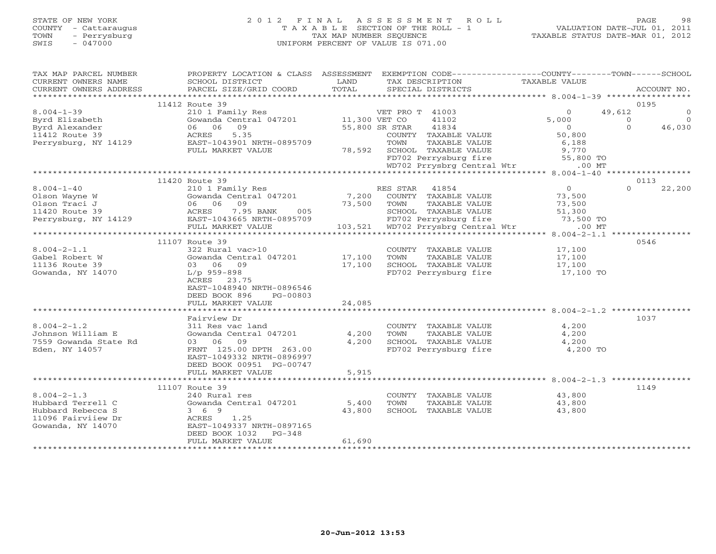# STATE OF NEW YORK 2 0 1 2 F I N A L A S S E S S M E N T R O L L PAGE 98 COUNTY - Cattaraugus T A X A B L E SECTION OF THE ROLL - 1 VALUATION DATE-JUL 01, 2011 TOWN - Perrysburg TAX MAP NUMBER SEQUENCE TAXABLE STATUS DATE-MAR 01, 2012 SWIS - 047000 UNIFORM PERCENT OF VALUE IS 071.00

| TAX MAP PARCEL NUMBER                   | PROPERTY LOCATION & CLASS ASSESSMENT EXEMPTION CODE---------------COUNTY-------TOWN------SCHOOL |               |                                               |                   |                |             |
|-----------------------------------------|-------------------------------------------------------------------------------------------------|---------------|-----------------------------------------------|-------------------|----------------|-------------|
| CURRENT OWNERS NAME                     | SCHOOL DISTRICT                                                                                 | LAND          | TAX DESCRIPTION                               | TAXABLE VALUE     |                |             |
| CURRENT OWNERS ADDRESS                  | PARCEL SIZE/GRID COORD                                                                          | TOTAL         | SPECIAL DISTRICTS                             |                   |                | ACCOUNT NO. |
|                                         |                                                                                                 |               |                                               |                   |                |             |
| $8.004 - 1 - 39$                        | 11412 Route 39<br>210 1 Family Res                                                              |               | VET PRO T 41003                               | $\overline{0}$    | 0195<br>49,612 | $\circ$     |
| Byrd Elizabeth                          | Gowanda Central 047201                                                                          | 11,300 VET CO | 41102                                         | 5,000             | $\Omega$       | $\Omega$    |
| Byrd Alexander                          | 06 06<br>09                                                                                     |               | 55,800 SR STAR<br>41834                       | $\overline{0}$    | $\Omega$       | 46,030      |
| 11412 Route 39                          | 5.35<br>ACRES                                                                                   |               | COUNTY TAXABLE VALUE                          | 50,800            |                |             |
| Perrysburg, NY 14129                    | EAST-1043901 NRTH-0895709                                                                       |               | TAXABLE VALUE<br>TOWN                         | 6,188             |                |             |
|                                         | FULL MARKET VALUE                                                                               | 78,592        | SCHOOL TAXABLE VALUE                          | 9,770             |                |             |
|                                         |                                                                                                 |               | FD702 Perrysburg fire                         | 55,800 TO         |                |             |
|                                         |                                                                                                 |               | WD702 Prrysbrg Central Wtr                    | $.00$ MT          |                |             |
|                                         |                                                                                                 |               |                                               |                   |                |             |
|                                         | 11420 Route 39                                                                                  |               |                                               |                   | 0113           |             |
| $8.004 - 1 - 40$                        | 210 1 Family Res                                                                                |               | 41854<br>RES STAR                             | $\overline{0}$    | $\Omega$       | 22,200      |
| Olson Wayne W                           | Gowanda Central 047201                                                                          | 7,200         | COUNTY TAXABLE VALUE                          | 73,500            |                |             |
| Olson Traci J                           | 06 06<br>09                                                                                     | 73,500        | TAXABLE VALUE<br>TOWN                         | 73,500            |                |             |
| 11420 Route 39                          | 7.95 BANK<br>ACRES<br>005                                                                       |               | SCHOOL TAXABLE VALUE                          | 51,300            |                |             |
| Perrysburg, NY 14129                    | EAST-1043665 NRTH-0895709                                                                       |               | FD702 Perrysburg fire                         | 73,500 TO         |                |             |
|                                         | FULL MARKET VALUE                                                                               |               | 103,521 WD702 Prrysbrg Central Wtr            | $.00$ MT          |                |             |
|                                         | 11107 Route 39                                                                                  |               |                                               |                   | 0546           |             |
| $8.004 - 2 - 1.1$                       | 322 Rural vac>10                                                                                |               | COUNTY TAXABLE VALUE                          | 17,100            |                |             |
| Gabel Robert W                          | Gowanda Central 047201                                                                          | 17,100        | TOWN<br>TAXABLE VALUE                         | 17,100            |                |             |
| 11136 Route 39                          | 03 06 09                                                                                        | 17,100        | SCHOOL TAXABLE VALUE                          | 17,100            |                |             |
| Gowanda, NY 14070                       | $L/p$ 959-898                                                                                   |               | FD702 Perrysburg fire                         | 17,100 TO         |                |             |
|                                         | ACRES 23.75                                                                                     |               |                                               |                   |                |             |
|                                         | EAST-1048940 NRTH-0896546                                                                       |               |                                               |                   |                |             |
|                                         | DEED BOOK 896<br>PG-00803                                                                       |               |                                               |                   |                |             |
|                                         | FULL MARKET VALUE                                                                               | 24,085        |                                               |                   |                |             |
|                                         |                                                                                                 |               |                                               |                   |                |             |
|                                         | Fairview Dr                                                                                     |               |                                               |                   | 1037           |             |
| $8.004 - 2 - 1.2$                       | 311 Res vac land                                                                                |               | COUNTY TAXABLE VALUE                          | 4,200             |                |             |
| Johnson William E                       | Gowanda Central 047201                                                                          | 4,200         | TOWN<br>TAXABLE VALUE                         | 4,200             |                |             |
| 7559 Gowanda State Rd<br>Eden, NY 14057 | 03 06 09<br>FRNT 125.00 DPTH 263.00                                                             | 4,200         | SCHOOL TAXABLE VALUE<br>FD702 Perrysburg fire | 4,200<br>4,200 TO |                |             |
|                                         | EAST-1049332 NRTH-0896997                                                                       |               |                                               |                   |                |             |
|                                         | DEED BOOK 00951 PG-00747                                                                        |               |                                               |                   |                |             |
|                                         | FULL MARKET VALUE                                                                               | 5,915         |                                               |                   |                |             |
|                                         |                                                                                                 |               |                                               |                   |                |             |
|                                         | 11107 Route 39                                                                                  |               |                                               |                   | 1149           |             |
| $8.004 - 2 - 1.3$                       | 240 Rural res                                                                                   |               | COUNTY TAXABLE VALUE                          | 43,800            |                |             |
| Hubbard Terrell C                       | Gowanda Central 047201                                                                          | 5,400         | TOWN<br>TAXABLE VALUE                         | 43,800            |                |             |
| Hubbard Rebecca S                       | 3 6 9                                                                                           | 43,800        | SCHOOL TAXABLE VALUE                          | 43,800            |                |             |
| 11096 Fairviiew Dr                      | ACRES 1.25                                                                                      |               |                                               |                   |                |             |
| Gowanda, NY 14070                       | EAST-1049337 NRTH-0897165                                                                       |               |                                               |                   |                |             |
|                                         | DEED BOOK 1032<br>$PG-348$                                                                      |               |                                               |                   |                |             |
|                                         | FULL MARKET VALUE                                                                               | 61,690        |                                               |                   |                |             |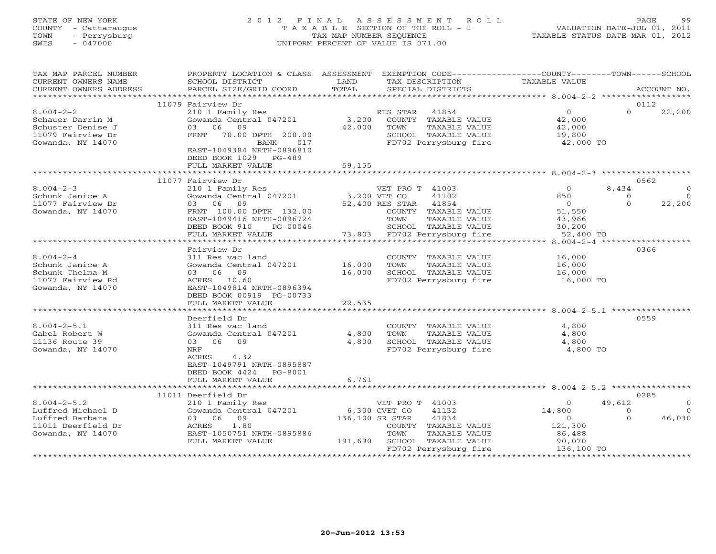# STATE OF NEW YORK 2 0 1 2 F I N A L A S S E S S M E N T R O L L PAGE 99 COUNTY - Cattaraugus T A X A B L E SECTION OF THE ROLL - 1 VALUATION DATE-JUL 01, 2011 TOWN - Perrysburg TAX MAP NUMBER SEQUENCE TAXABLE STATUS DATE-MAR 01, 2012 SWIS - 047000 UNIFORM PERCENT OF VALUE IS 071.00

| TAX MAP PARCEL NUMBER<br>CURRENT OWNERS NAME<br>CURRENT OWNERS ADDRESS                             | PROPERTY LOCATION & CLASS ASSESSMENT<br>SCHOOL DISTRICT<br>PARCEL SIZE/GRID COORD                                                                           | LAND<br>TOTAL   | TAX DESCRIPTION  | SPECIAL DISTRICTS                                                                               | EXEMPTION CODE-----------------COUNTY-------TOWN------SCHOOL<br><b>TAXABLE VALUE</b> |                  | ACCOUNT NO. |
|----------------------------------------------------------------------------------------------------|-------------------------------------------------------------------------------------------------------------------------------------------------------------|-----------------|------------------|-------------------------------------------------------------------------------------------------|--------------------------------------------------------------------------------------|------------------|-------------|
| ******************                                                                                 |                                                                                                                                                             |                 |                  |                                                                                                 |                                                                                      |                  |             |
| $8.004 - 2 - 2$<br>Schauer Darrin M<br>Schuster Denise J<br>11079 Fairview Dr<br>Gowanda, NY 14070 | 11079 Fairview Dr<br>210 1 Family Res<br>Gowanda Central 047201<br>06<br>09<br>0.3<br>FRNT<br>70.00 DPTH 200.00<br>BANK<br>017<br>EAST-1049384 NRTH-0896810 | 3,200<br>42,000 | RES STAR<br>TOWN | 41854<br>COUNTY TAXABLE VALUE<br>TAXABLE VALUE<br>SCHOOL TAXABLE VALUE<br>FD702 Perrysburg fire | $\circ$<br>42,000<br>42,000<br>19,800<br>42,000 TO                                   | 0112<br>$\Omega$ | 22,200      |
|                                                                                                    | DEED BOOK 1029 PG-489<br>FULL MARKET VALUE                                                                                                                  | 59,155          |                  |                                                                                                 |                                                                                      |                  |             |
|                                                                                                    |                                                                                                                                                             |                 |                  |                                                                                                 |                                                                                      |                  |             |
| $8.004 - 2 - 3$                                                                                    | 11077 Fairview Dr<br>210 1 Family Res                                                                                                                       |                 | VET PRO T 41003  |                                                                                                 | $\Omega$                                                                             | 0562<br>8,434    |             |
| Schunk Janice A                                                                                    | Gowanda Central 047201                                                                                                                                      | 3,200 VET CO    |                  | 41102                                                                                           | 850                                                                                  | $\Omega$         | $\Omega$    |
| 11077 Fairview Dr                                                                                  | 03 06 09                                                                                                                                                    |                 | 52,400 RES STAR  | 41854                                                                                           | $\overline{0}$                                                                       | $\Omega$         | 22,200      |
| Gowanda, NY 14070                                                                                  | FRNT 100.00 DPTH 132.00                                                                                                                                     |                 |                  | COUNTY TAXABLE VALUE                                                                            | 51,550                                                                               |                  |             |
|                                                                                                    | EAST-1049416 NRTH-0896724                                                                                                                                   |                 | TOWN             | TAXABLE VALUE                                                                                   | 43,966                                                                               |                  |             |
|                                                                                                    | DEED BOOK 910<br>PG-00046                                                                                                                                   |                 |                  | SCHOOL TAXABLE VALUE                                                                            | 30,200                                                                               |                  |             |
|                                                                                                    | FULL MARKET VALUE<br>**********************                                                                                                                 | 73,803          |                  | FD702 Perrysburg fire                                                                           | 52,400 TO<br>$8.004 - 2 - 4$ *******************                                     |                  |             |
|                                                                                                    | Fairview Dr                                                                                                                                                 |                 |                  |                                                                                                 |                                                                                      | 0366             |             |
| $8.004 - 2 - 4$                                                                                    | 311 Res vac land                                                                                                                                            |                 |                  | COUNTY TAXABLE VALUE                                                                            | 16,000                                                                               |                  |             |
| Schunk Janice A                                                                                    | Gowanda Central 047201                                                                                                                                      | 16,000          | TOWN             | TAXABLE VALUE                                                                                   | 16,000                                                                               |                  |             |
| Schunk Thelma M                                                                                    | 03 06 09                                                                                                                                                    | 16,000          |                  | SCHOOL TAXABLE VALUE                                                                            | 16,000                                                                               |                  |             |
| 11077 Fairview Rd                                                                                  | ACRES 10.60                                                                                                                                                 |                 |                  | FD702 Perrysburg fire                                                                           | 16,000 TO                                                                            |                  |             |
| Gowanda, NY 14070                                                                                  | EAST-1049814 NRTH-0896394                                                                                                                                   |                 |                  |                                                                                                 |                                                                                      |                  |             |
|                                                                                                    | DEED BOOK 00919 PG-00733                                                                                                                                    |                 |                  |                                                                                                 |                                                                                      |                  |             |
|                                                                                                    | FULL MARKET VALUE                                                                                                                                           | 22,535          |                  |                                                                                                 |                                                                                      |                  |             |
|                                                                                                    | *******************                                                                                                                                         |                 |                  |                                                                                                 |                                                                                      |                  |             |
|                                                                                                    | Deerfield Dr                                                                                                                                                |                 |                  |                                                                                                 |                                                                                      | 0559             |             |
| $8.004 - 2 - 5.1$                                                                                  | 311 Res vac land                                                                                                                                            |                 |                  | COUNTY TAXABLE VALUE                                                                            | 4,800                                                                                |                  |             |
| Gabel Robert W                                                                                     | Gowanda Central 047201                                                                                                                                      | 4,800           | TOWN             | TAXABLE VALUE                                                                                   | 4,800                                                                                |                  |             |
| 11136 Route 39<br>Gowanda, NY 14070                                                                | 09<br>03 06<br>NRF                                                                                                                                          | 4,800           |                  | SCHOOL TAXABLE VALUE<br>FD702 Perrysburg fire                                                   | 4,800<br>4,800 TO                                                                    |                  |             |
|                                                                                                    | 4.32<br>ACRES<br>EAST-1049791 NRTH-0895887<br>DEED BOOK 4424<br>PG-8001<br>FULL MARKET VALUE                                                                | 6,761           |                  |                                                                                                 |                                                                                      |                  |             |
|                                                                                                    |                                                                                                                                                             |                 |                  |                                                                                                 |                                                                                      |                  |             |
|                                                                                                    | 11011 Deerfield Dr                                                                                                                                          |                 |                  |                                                                                                 |                                                                                      | 0285             |             |
| $8.004 - 2 - 5.2$                                                                                  | 210 1 Family Res                                                                                                                                            |                 | VET PRO T 41003  |                                                                                                 | $\Omega$                                                                             | 49,612           | $\Omega$    |
| Luffred Michael D                                                                                  | Gowanda Central 047201                                                                                                                                      |                 | 6,300 CVET CO    | 41132                                                                                           | 14,800                                                                               | $\Omega$         | $\Omega$    |
| Luffred Barbara                                                                                    | 09<br>03 06                                                                                                                                                 | 136,100 SR STAR |                  | 41834                                                                                           | $\Omega$                                                                             | $\Omega$         | 46,030      |
| 11011 Deerfield Dr                                                                                 | ACRES<br>1.80                                                                                                                                               |                 |                  | COUNTY TAXABLE VALUE                                                                            | 121,300                                                                              |                  |             |
| Gowanda, NY 14070                                                                                  | EAST-1050751 NRTH-0895886                                                                                                                                   |                 | TOWN             | TAXABLE VALUE                                                                                   | 86,488                                                                               |                  |             |
|                                                                                                    | FULL MARKET VALUE                                                                                                                                           | 191,690         |                  | SCHOOL TAXABLE VALUE                                                                            | 90,070                                                                               |                  |             |
|                                                                                                    | *************************************                                                                                                                       |                 |                  | FD702 Perrysburg fire                                                                           | 136,100 TO                                                                           |                  |             |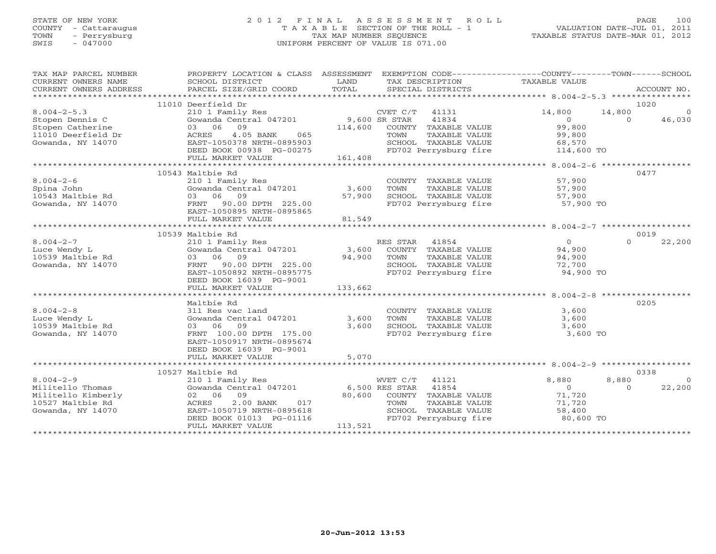#### STATE OF NEW YORK 2 0 1 2 F I N A L A S S E S S M E N T R O L L PAGE 100 COUNTY - Cattaraugus T A X A B L E SECTION OF THE ROLL - 1 VALUATION DATE-JUL 01, 2011 TOWN - Perrysburg TAX MAP NUMBER SEQUENCE TAXABLE STATUS DATE-MAR 01, 2012 SWIS - 047000 UNIFORM PERCENT OF VALUE IS 071.00UNIFORM PERCENT OF VALUE IS 071.00

| TAX MAP PARCEL NUMBER<br>CURRENT OWNERS NAME | PROPERTY LOCATION & CLASS ASSESSMENT EXEMPTION CODE---------------COUNTY-------TOWN------SCHOOL<br>SCHOOL DISTRICT | LAND    | TAX DESCRIPTION              | TAXABLE VALUE        |                          |
|----------------------------------------------|--------------------------------------------------------------------------------------------------------------------|---------|------------------------------|----------------------|--------------------------|
| CURRENT OWNERS ADDRESS                       | PARCEL SIZE/GRID COORD                                                                                             | TOTAL   | SPECIAL DISTRICTS            |                      | ACCOUNT NO.              |
|                                              | 11010 Deerfield Dr                                                                                                 |         |                              |                      | 1020                     |
| $8.004 - 2 - 5.3$                            | 210 1 Family Res                                                                                                   |         | CVET C/T 41131               | 14,800               | 14,800<br>$\overline{0}$ |
| Stopen Dennis C                              | Gowanda Central 047201 9,600 SR STAR                                                                               |         | 41834                        | $\overline{0}$       | 46,030<br>$\Omega$       |
| Stopen Catherine                             | 03 06 09                                                                                                           |         | 114,600 COUNTY TAXABLE VALUE | 99,800               |                          |
| 11010 Deerfield Dr                           | 4.05 BANK<br>065<br>ACRES                                                                                          |         | TOWN<br>TAXABLE VALUE        | 99,800               |                          |
| Gowanda, NY 14070                            | EAST-1050378 NRTH-0895903                                                                                          |         | SCHOOL TAXABLE VALUE         | 68,570               |                          |
|                                              | DEED BOOK 00938 PG-00275                                                                                           |         | FD702 Perrysburg fire        | bŏ,⊃/∪<br>114,600 TO |                          |
|                                              | FULL MARKET VALUE                                                                                                  | 161,408 |                              |                      |                          |
|                                              |                                                                                                                    |         |                              |                      |                          |
|                                              | 10543 Maltbie Rd                                                                                                   |         |                              |                      | 0477                     |
| $8.004 - 2 - 6$                              | 210 1 Family Res                                                                                                   |         | COUNTY TAXABLE VALUE         | 57,900               |                          |
| Spina John                                   | Gowanda Central $047201$ 3,600                                                                                     |         | TAXABLE VALUE<br>TOWN        | 57,900               |                          |
| 10543 Maltbie Rd                             | 03 06 09                                                                                                           | 57,900  | SCHOOL TAXABLE VALUE         | 57,900               |                          |
| Gowanda, NY 14070                            | FRNT 90.00 DPTH 225.00                                                                                             |         | FD702 Perrysburg fire        | 57,900 TO            |                          |
|                                              | EAST-1050895 NRTH-0895865                                                                                          |         |                              |                      |                          |
|                                              | FULL MARKET VALUE                                                                                                  | 81,549  |                              |                      |                          |
|                                              |                                                                                                                    |         |                              |                      |                          |
|                                              | 10539 Maltbie Rd                                                                                                   |         |                              |                      | 0019                     |
| $8.004 - 2 - 7$                              | 210 1 Family Res                                                                                                   |         | RES STAR 41854               | $\overline{0}$       | 22,200<br>$\Omega$       |
| Luce Wendy L                                 | Gowanda Central 047201                                                                                             | 3,600   | COUNTY TAXABLE VALUE         | 94,900               |                          |
| 10539 Maltbie Rd                             | 03 06 09                                                                                                           | 94,900  | TOWN<br>TAXABLE VALUE        | 94,900               |                          |
| Gowanda, NY 14070                            | FRNT 90.00 DPTH 225.00                                                                                             |         | SCHOOL TAXABLE VALUE         | 72,700               |                          |
|                                              | EAST-1050892 NRTH-0895775                                                                                          |         | FD702 Perrysburg fire        | 94,900 TO            |                          |
|                                              | DEED BOOK 16039 PG-9001                                                                                            |         |                              |                      |                          |
|                                              | FULL MARKET VALUE                                                                                                  | 133,662 |                              |                      |                          |
|                                              |                                                                                                                    |         |                              |                      |                          |
|                                              | Maltbie Rd                                                                                                         |         |                              |                      | 0205                     |
| $8.004 - 2 - 8$                              | 311 Res vac land                                                                                                   |         | COUNTY TAXABLE VALUE         | 3,600                |                          |
| Luce Wendy L                                 | Gowanda Central 047201                                                                                             | 3,600   | TOWN<br>TAXABLE VALUE        | 3,600                |                          |
| 10539 Maltbie Rd                             | 03 06 09                                                                                                           | 3,600   | SCHOOL TAXABLE VALUE         | 3,600                |                          |
| Gowanda, NY 14070                            | FRNT 100.00 DPTH 175.00                                                                                            |         | FD702 Perrysburg fire        | 3,600 TO             |                          |
|                                              | EAST-1050917 NRTH-0895674                                                                                          |         |                              |                      |                          |
|                                              | DEED BOOK 16039 PG-9001                                                                                            |         |                              |                      |                          |
|                                              | FULL MARKET VALUE                                                                                                  | 5,070   |                              |                      |                          |
|                                              | 10527 Maltbie Rd                                                                                                   |         |                              |                      | 0338                     |
| $8.004 - 2 - 9$                              | 210 1 Family Res                                                                                                   |         | WVET C/T<br>41121            | 8,880                | 8,880<br>$\overline{0}$  |
| Militello Thomas                             | Gowanda Central 047201 6,500 RES STAR                                                                              |         | 41854                        | $\overline{O}$       | 22,200<br>$\cap$         |
| Militello Kimberly                           | 02 06 09                                                                                                           |         | 80,600 COUNTY TAXABLE VALUE  | 71,720               |                          |
| 10527 Maltbie Rd                             | 2.00 BANK<br>ACRES<br>017                                                                                          |         | TAXABLE VALUE<br>TOWN        | 71,720               |                          |
| Gowanda, NY 14070                            | EAST-1050719 NRTH-0895618                                                                                          |         | SCHOOL TAXABLE VALUE         | 58,400               |                          |
|                                              | DEED BOOK 01013 PG-01116                                                                                           |         | FD702 Perrysburg fire        | 80,600 TO            |                          |
|                                              | FULL MARKET VALUE                                                                                                  | 113,521 |                              |                      |                          |
|                                              |                                                                                                                    |         |                              |                      |                          |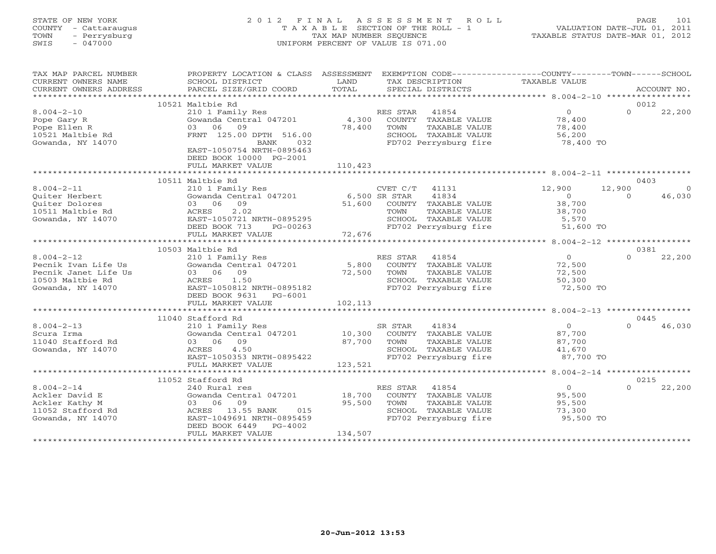#### STATE OF NEW YORK 2 0 1 2 F I N A L A S S E S S M E N T R O L L PAGE 101 COUNTY - Cattaraugus T A X A B L E SECTION OF THE ROLL - 1 VALUATION DATE-JUL 01, 2011 TOWN - Perrysburg TAX MAP NUMBER SEQUENCE TAXABLE STATUS DATE-MAR 01, 2012 SWIS - 047000 UNIFORM PERCENT OF VALUE IS 071.00UNIFORM PERCENT OF VALUE IS 071.00

| TAX MAP PARCEL NUMBER<br>CURRENT OWNERS NAME<br>CURRENT OWNERS ADDRESS                                   | PROPERTY LOCATION & CLASS ASSESSMENT<br>SCHOOL DISTRICT<br>PARCEL SIZE/GRID COORD                                                                                                                 | LAND<br>TOTAL                     | TAX DESCRIPTION<br>SPECIAL DISTRICTS                                                                                      | EXEMPTION CODE----------------COUNTY-------TOWN------SCHOOL<br>TAXABLE VALUE | ACCOUNT NO.                    |
|----------------------------------------------------------------------------------------------------------|---------------------------------------------------------------------------------------------------------------------------------------------------------------------------------------------------|-----------------------------------|---------------------------------------------------------------------------------------------------------------------------|------------------------------------------------------------------------------|--------------------------------|
| **********************************                                                                       |                                                                                                                                                                                                   |                                   |                                                                                                                           |                                                                              |                                |
| $8.004 - 2 - 10$<br>Pope Gary R<br>Pope Ellen R<br>10521 Maltbie Rd<br>Gowanda, NY 14070                 | 10521 Maltbie Rd<br>210 1 Family Res<br>Gowanda Central 047201<br>03 06 09<br>FRNT 125.00 DPTH 516.00<br>032<br>BANK<br>EAST-1050754 NRTH-0895463<br>DEED BOOK 10000 PG-2001<br>FULL MARKET VALUE | 4,300<br>78,400<br>110,423        | RES STAR 41854<br>COUNTY TAXABLE VALUE<br>TOWN<br>TAXABLE VALUE<br>SCHOOL TAXABLE VALUE<br>FD702 Perrysburg fire          | $\overline{0}$<br>78,400<br>78,400<br>56,200<br>78,400 TO                    | 0012<br>$\Omega$<br>22,200     |
|                                                                                                          | 10511 Maltbie Rd                                                                                                                                                                                  |                                   |                                                                                                                           |                                                                              | 0403                           |
| $8.004 - 2 - 11$<br>Ouiter Herbert<br>Ouiter Dolores<br>10511 Maltbie Rd<br>Gowanda, NY 14070            | 210 1 Family Res<br>Gowanda Central 047201<br>03 06 09<br>2.02<br>ACRES<br>EAST-1050721 NRTH-0895295<br>DEED BOOK 713<br>PG-00263<br>FULL MARKET VALUE                                            | 6,500 SR STAR<br>51,600<br>72,676 | CVET C/T 41131<br>41834<br>COUNTY TAXABLE VALUE<br>TAXABLE VALUE<br>TOWN<br>SCHOOL TAXABLE VALUE<br>FD702 Perrysburg fire | 12,900<br>12,900<br>$\bigcirc$<br>38,700<br>38,700<br>5,570<br>51,600 TO     | $\Omega$<br>$\Omega$<br>46,030 |
|                                                                                                          |                                                                                                                                                                                                   |                                   |                                                                                                                           |                                                                              |                                |
| $8.004 - 2 - 12$<br>Pecnik Ivan Life Us<br>Pecnik Janet Life Us<br>10503 Maltbie Rd<br>Gowanda, NY 14070 | 10503 Maltbie Rd<br>210 1 Family Res<br>Gowanda Central 047201<br>03 06 09<br>ACRES<br>1.50<br>EAST-1050812 NRTH-0895182<br>DEED BOOK 9631 PG-6001                                                | 5,800<br>72,500                   | RES STAR 41854<br>COUNTY TAXABLE VALUE<br>TOWN<br>TAXABLE VALUE<br>SCHOOL TAXABLE VALUE<br>FD702 Perrysburg fire          | $\overline{0}$<br>72,500<br>72,500<br>50,300<br>72,500 TO                    | 0381<br>$\Omega$<br>22,200     |
|                                                                                                          | FULL MARKET VALUE                                                                                                                                                                                 | 102,113                           |                                                                                                                           |                                                                              |                                |
|                                                                                                          | 11040 Stafford Rd                                                                                                                                                                                 |                                   |                                                                                                                           |                                                                              | 0445                           |
| $8.004 - 2 - 13$<br>Scura Irma<br>11040 Stafford Rd<br>Gowanda, NY 14070                                 | 210 1 Family Res<br>Gowanda Central 047201<br>09<br>03 06<br>ACRES<br>4.50<br>EAST-1050353 NRTH-0895422<br>FULL MARKET VALUE                                                                      | 10,300<br>87,700<br>123,521       | SR STAR<br>41834<br>COUNTY TAXABLE VALUE<br>TAXABLE VALUE<br>TOWN<br>SCHOOL TAXABLE VALUE<br>FD702 Perrysburg fire        | $\Omega$<br>87,700<br>87,700<br>41,670<br>87,700 TO                          | $\cap$<br>46,030               |
|                                                                                                          |                                                                                                                                                                                                   |                                   |                                                                                                                           |                                                                              |                                |
| $8.004 - 2 - 14$<br>Ackler David E<br>Ackler Kathy M<br>11052 Stafford Rd<br>Gowanda, NY 14070           | 11052 Stafford Rd<br>240 Rural res<br>Gowanda Central 047201<br>03 06<br>09<br>ACRES 13.55 BANK<br>015<br>EAST-1049691 NRTH-0895459<br>DEED BOOK 6449<br>$PG-4002$<br>FULL MARKET VALUE           | 18,700<br>95,500<br>134,507       | RES STAR 41854<br>COUNTY TAXABLE VALUE<br>TAXABLE VALUE<br>TOWN<br>SCHOOL TAXABLE VALUE<br>FD702 Perrysburg fire          | $\overline{O}$<br>95,500<br>95,500<br>73,300<br>95,500 TO                    | 0215<br>$\Omega$<br>22,200     |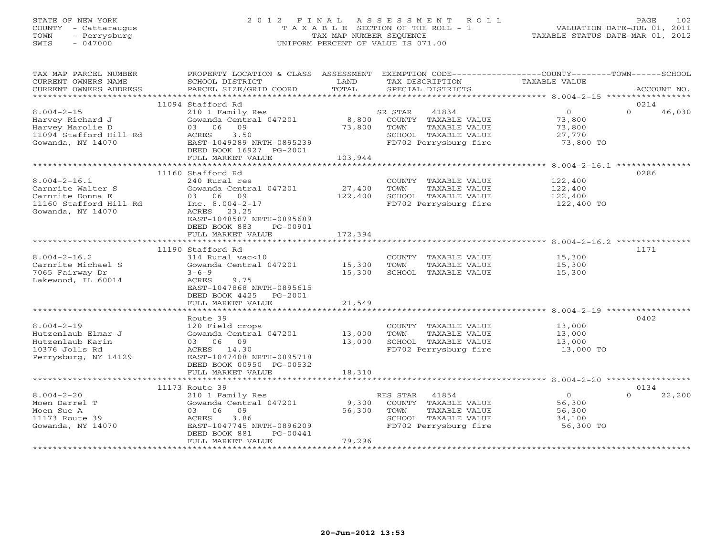#### STATE OF NEW YORK 2 0 1 2 F I N A L A S S E S S M E N T R O L L PAGE 102 COUNTY - Cattaraugus T A X A B L E SECTION OF THE ROLL - 1 VALUATION DATE-JUL 01, 2011 TOWN - Perrysburg **Tax MAP NUMBER SEQUENCE TAX** TAXABLE STATUS DATE-MAR 01, 2012<br>
TAX MAP NUMBER SEQUENCE TAXABLE STATUS DATE-MAR 01, 2012<br>
SWIS - 047000 SWIS - 047000 UNIFORM PERCENT OF VALUE IS 071.00

| TAX MAP PARCEL NUMBER<br>CURRENT OWNERS NAME | PROPERTY LOCATION & CLASS ASSESSMENT EXEMPTION CODE----------------COUNTY-------TOWN------SCHOOL<br>SCHOOL DISTRICT | LAND    |          | TAX DESCRIPTION       | TAXABLE VALUE  |          |             |
|----------------------------------------------|---------------------------------------------------------------------------------------------------------------------|---------|----------|-----------------------|----------------|----------|-------------|
| CURRENT OWNERS ADDRESS                       | PARCEL SIZE/GRID COORD                                                                                              | TOTAL   |          | SPECIAL DISTRICTS     |                |          | ACCOUNT NO. |
| ***********************                      |                                                                                                                     |         |          |                       |                |          |             |
|                                              | 11094 Stafford Rd                                                                                                   |         |          |                       |                | 0214     |             |
| $8.004 - 2 - 15$                             | 210 1 Family Res                                                                                                    |         | SR STAR  | 41834                 | $\circ$        | $\Omega$ | 46,030      |
| Harvey Richard J                             | Gowanda Central 047201                                                                                              | 8,800   |          | COUNTY TAXABLE VALUE  | 73,800         |          |             |
| Harvey Marolie D                             | 09<br>03 06                                                                                                         | 73,800  | TOWN     | TAXABLE VALUE         | 73,800         |          |             |
| 11094 Stafford Hill Rd                       | 3.50<br>ACRES                                                                                                       |         |          | SCHOOL TAXABLE VALUE  | 27,770         |          |             |
| Gowanda, NY 14070                            | EAST-1049289 NRTH-0895239                                                                                           |         |          | FD702 Perrysburg fire | 73,800 TO      |          |             |
|                                              | DEED BOOK 16927 PG-2001                                                                                             |         |          |                       |                |          |             |
|                                              | FULL MARKET VALUE                                                                                                   | 103,944 |          |                       |                |          |             |
|                                              |                                                                                                                     |         |          |                       |                |          |             |
|                                              | 11160 Stafford Rd                                                                                                   |         |          |                       |                | 0286     |             |
| $8.004 - 2 - 16.1$                           | 240 Rural res                                                                                                       |         |          | COUNTY TAXABLE VALUE  | 122,400        |          |             |
| Carnrite Walter S                            | Gowanda Central 047201                                                                                              | 27,400  | TOWN     | TAXABLE VALUE         | 122,400        |          |             |
| Carnrite Donna E                             | 03 06 09                                                                                                            | 122,400 |          | SCHOOL TAXABLE VALUE  | 122,400        |          |             |
| 11160 Stafford Hill Rd                       | Inc. $8.004 - 2 - 17$                                                                                               |         |          | FD702 Perrysburg fire | 122,400 TO     |          |             |
| Gowanda, NY 14070                            | ACRES<br>23.25                                                                                                      |         |          |                       |                |          |             |
|                                              | EAST-1048587 NRTH-0895689                                                                                           |         |          |                       |                |          |             |
|                                              | DEED BOOK 883<br>PG-00901                                                                                           |         |          |                       |                |          |             |
|                                              | FULL MARKET VALUE                                                                                                   | 172,394 |          |                       |                |          |             |
|                                              |                                                                                                                     |         |          |                       |                |          |             |
|                                              | 11190 Stafford Rd                                                                                                   |         |          |                       |                | 1171     |             |
| $8.004 - 2 - 16.2$                           | 314 Rural vac<10                                                                                                    |         |          | COUNTY TAXABLE VALUE  | 15,300         |          |             |
| Carnrite Michael S                           | Gowanda Central 047201                                                                                              | 15,300  | TOWN     | TAXABLE VALUE         | 15,300         |          |             |
| 7065 Fairway Dr                              | $3 - 6 - 9$                                                                                                         | 15,300  |          | SCHOOL TAXABLE VALUE  | 15,300         |          |             |
| Lakewood, IL 60014                           | ACRES<br>9.75                                                                                                       |         |          |                       |                |          |             |
|                                              | EAST-1047868 NRTH-0895615                                                                                           |         |          |                       |                |          |             |
|                                              | DEED BOOK 4425 PG-2001                                                                                              |         |          |                       |                |          |             |
|                                              | FULL MARKET VALUE                                                                                                   | 21,549  |          |                       |                |          |             |
|                                              |                                                                                                                     |         |          |                       |                |          |             |
|                                              | Route 39                                                                                                            |         |          |                       |                | 0402     |             |
| $8.004 - 2 - 19$                             | 120 Field crops                                                                                                     |         |          | COUNTY TAXABLE VALUE  | 13,000         |          |             |
| Hutzenlaub Elmar J                           | Gowanda Central 047201                                                                                              | 13,000  | TOWN     | TAXABLE VALUE         | 13,000         |          |             |
| Hutzenlaub Karin                             | 03 06 09                                                                                                            | 13,000  |          | SCHOOL TAXABLE VALUE  | 13,000         |          |             |
| 10376 Jolls Rd                               | ACRES 14.30                                                                                                         |         |          | FD702 Perrysburg fire | 13,000 TO      |          |             |
| Perrysburg, NY 14129                         | EAST-1047408 NRTH-0895718                                                                                           |         |          |                       |                |          |             |
|                                              | DEED BOOK 00950 PG-00532                                                                                            |         |          |                       |                |          |             |
|                                              | FULL MARKET VALUE                                                                                                   | 18,310  |          |                       |                |          |             |
|                                              |                                                                                                                     |         |          |                       |                |          |             |
|                                              | 11173 Route 39                                                                                                      |         |          |                       |                | 0134     |             |
| $8.004 - 2 - 20$                             | 210 1 Family Res                                                                                                    |         | RES STAR | 41854                 | $\overline{0}$ | $\Omega$ | 22,200      |
| Moen Darrel T                                | Gowanda Central 047201                                                                                              | 9,300   |          | COUNTY TAXABLE VALUE  | 56,300         |          |             |
| Moen Sue A                                   | 03 06<br>09                                                                                                         | 56,300  | TOWN     | TAXABLE VALUE         | 56,300         |          |             |
| 11173 Route 39                               | ACRES<br>3.86                                                                                                       |         |          | SCHOOL TAXABLE VALUE  | 34,100         |          |             |
| Gowanda, NY 14070                            | EAST-1047745 NRTH-0896209                                                                                           |         |          | FD702 Perrysburg fire | 56,300 TO      |          |             |
|                                              | DEED BOOK 881<br>PG-00441                                                                                           |         |          |                       |                |          |             |
|                                              | FULL MARKET VALUE                                                                                                   | 79,296  |          |                       |                |          |             |
|                                              |                                                                                                                     |         |          |                       |                |          |             |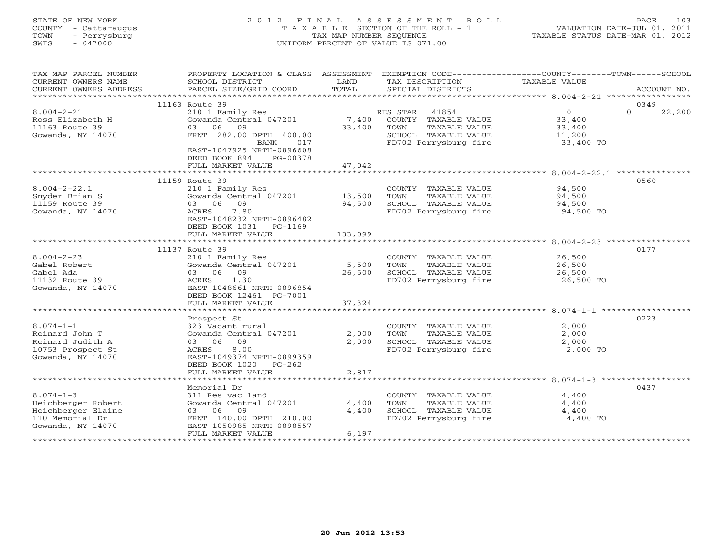#### STATE OF NEW YORK 2 0 1 2 F I N A L A S S E S S M E N T R O L L PAGE 103 COUNTY - Cattaraugus T A X A B L E SECTION OF THE ROLL - 1 VALUATION DATE-JUL 01, 2011 TOWN - Perrysburg TAX MAP NUMBER SEQUENCE TAXABLE STATUS DATE-MAR 01, 2012 SWIS - 047000 UNIFORM PERCENT OF VALUE IS 071.00UNIFORM PERCENT OF VALUE IS 071.00

| TAX MAP PARCEL NUMBER<br>CURRENT OWNERS NAME<br>CURRENT OWNERS ADDRESS | PROPERTY LOCATION & CLASS ASSESSMENT<br>SCHOOL DISTRICT<br>PARCEL SIZE/GRID COORD | LAND<br>TOTAL | TAX DESCRIPTION<br>SPECIAL DISTRICTS | EXEMPTION CODE-----------------COUNTY-------TOWN------SCHOOL<br>TAXABLE VALUE | ACCOUNT NO.        |
|------------------------------------------------------------------------|-----------------------------------------------------------------------------------|---------------|--------------------------------------|-------------------------------------------------------------------------------|--------------------|
|                                                                        |                                                                                   |               |                                      |                                                                               |                    |
|                                                                        | 11163 Route 39                                                                    |               |                                      |                                                                               | 0349               |
| $8.004 - 2 - 21$                                                       | 210 1 Family Res                                                                  |               | 41854<br>RES STAR                    | $\overline{0}$                                                                | $\Omega$<br>22,200 |
| Ross Elizabeth H                                                       | Gowanda Central 047201                                                            | 7,400         | COUNTY TAXABLE VALUE                 | 33,400                                                                        |                    |
| 11163 Route 39                                                         | 03 06 09                                                                          | 33,400        | TAXABLE VALUE<br>TOWN                | 33,400                                                                        |                    |
| Gowanda, NY 14070                                                      | FRNT 282.00 DPTH 400.00                                                           |               | SCHOOL TAXABLE VALUE                 | 11,200                                                                        |                    |
|                                                                        | BANK<br>017                                                                       |               | FD702 Perrysburg fire                | 33,400 TO                                                                     |                    |
|                                                                        | EAST-1047925 NRTH-0896608                                                         |               |                                      |                                                                               |                    |
|                                                                        | DEED BOOK 894<br>PG-00378                                                         |               |                                      |                                                                               |                    |
|                                                                        | FULL MARKET VALUE                                                                 | 47,042        |                                      |                                                                               |                    |
|                                                                        |                                                                                   |               |                                      |                                                                               |                    |
|                                                                        | 11159 Route 39                                                                    |               |                                      |                                                                               | 0560               |
| $8.004 - 2 - 22.1$                                                     | 210 1 Family Res                                                                  |               | COUNTY TAXABLE VALUE                 | 94,500                                                                        |                    |
| Snyder Brian S                                                         | Gowanda Central 047201                                                            | 13,500        | TOWN<br>TAXABLE VALUE                | 94,500                                                                        |                    |
| 11159 Route 39                                                         | 03 06 09                                                                          | 94,500        | SCHOOL TAXABLE VALUE                 | 94,500                                                                        |                    |
| Gowanda, NY 14070                                                      | ACRES<br>7.80                                                                     |               | FD702 Perrysburg fire                | 94,500 TO                                                                     |                    |
|                                                                        | EAST-1048232 NRTH-0896482                                                         |               |                                      |                                                                               |                    |
|                                                                        | DEED BOOK 1031 PG-1169                                                            |               |                                      |                                                                               |                    |
|                                                                        | FULL MARKET VALUE                                                                 | 133,099       |                                      |                                                                               |                    |
|                                                                        |                                                                                   |               |                                      |                                                                               |                    |
|                                                                        | 11137 Route 39                                                                    |               |                                      |                                                                               | 0177               |
| $8.004 - 2 - 23$                                                       | 210 1 Family Res                                                                  |               | COUNTY TAXABLE VALUE                 | 26,500                                                                        |                    |
| Gabel Robert                                                           | Gowanda Central 047201                                                            | 5,500         | TAXABLE VALUE<br>TOWN                | 26,500                                                                        |                    |
| Gabel Ada                                                              | 03 06 09                                                                          | 26,500        | SCHOOL TAXABLE VALUE                 | 26,500                                                                        |                    |
| 11132 Route 39                                                         | ACRES<br>1.30                                                                     |               | FD702 Perrysburg fire                | 26,500 TO                                                                     |                    |
| Gowanda, NY 14070                                                      | EAST-1048661 NRTH-0896854                                                         |               |                                      |                                                                               |                    |
|                                                                        | DEED BOOK 12461 PG-7001                                                           |               |                                      |                                                                               |                    |
|                                                                        | FULL MARKET VALUE                                                                 | 37,324        |                                      |                                                                               |                    |
|                                                                        |                                                                                   |               |                                      |                                                                               |                    |
|                                                                        | Prospect St                                                                       |               |                                      |                                                                               | 0223               |
| $8.074 - 1 - 1$                                                        | 323 Vacant rural                                                                  |               | COUNTY TAXABLE VALUE                 | 2,000                                                                         |                    |
| Reinard John T                                                         | Gowanda Central 047201                                                            | 2,000         | TAXABLE VALUE<br>TOWN                | 2,000                                                                         |                    |
| Reinard Judith A                                                       | 03 06 09                                                                          | 2,000         | SCHOOL TAXABLE VALUE                 | 2,000                                                                         |                    |
| 10753 Prospect St                                                      | 8.00<br>ACRES                                                                     |               | FD702 Perrysburg fire                | 2,000 TO                                                                      |                    |
| Gowanda, NY 14070                                                      | EAST-1049374 NRTH-0899359                                                         |               |                                      |                                                                               |                    |
|                                                                        | DEED BOOK 1020 PG-262                                                             |               |                                      |                                                                               |                    |
|                                                                        | FULL MARKET VALUE                                                                 | 2,817         |                                      |                                                                               |                    |
|                                                                        |                                                                                   |               |                                      |                                                                               |                    |
|                                                                        | Memorial Dr                                                                       |               |                                      |                                                                               | 0437               |
| $8.074 - 1 - 3$                                                        | 311 Res vac land                                                                  |               | COUNTY TAXABLE VALUE                 | 4,400                                                                         |                    |
| Heichberger Robert                                                     | Gowanda Central 047201                                                            | 4,400         | TAXABLE VALUE<br>TOWN                | 4,400                                                                         |                    |
| Heichberger Elaine                                                     | 03 06 09                                                                          | 4,400         | SCHOOL TAXABLE VALUE                 | 4,400                                                                         |                    |
| 110 Memorial Dr                                                        | FRNT 140.00 DPTH 210.00                                                           |               | FD702 Perrysburg fire                | 4,400 TO                                                                      |                    |
| Gowanda, NY 14070                                                      | EAST-1050985 NRTH-0898557                                                         |               |                                      |                                                                               |                    |
|                                                                        | FULL MARKET VALUE                                                                 | 6,197         |                                      |                                                                               |                    |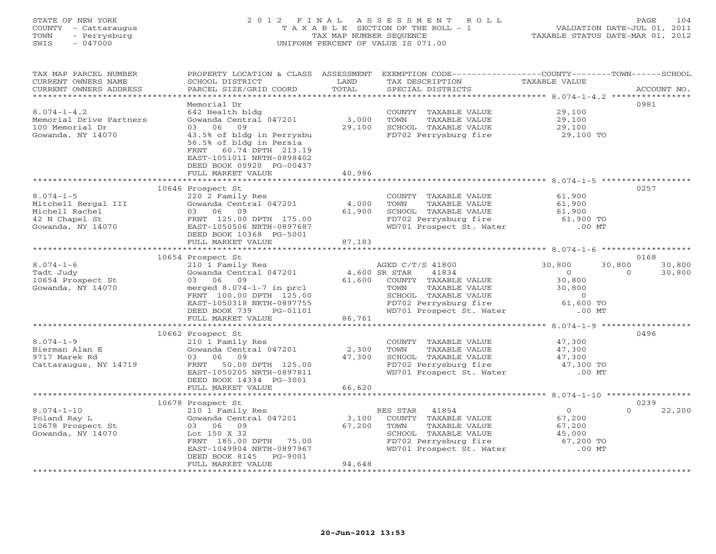# STATE OF NEW YORK 2 0 1 2 F I N A L A S S E S S M E N T R O L L PAGE 104 COUNTY - Cattaraugus T A X A B L E SECTION OF THE ROLL - 1 VALUATION DATE-JUL 01, 2011 TOWN - Perrysburg TAX MAP NUMBER SEQUENCE TAXABLE STATUS DATE-MAR 01, 2012 SWIS - 047000 UNIFORM PERCENT OF VALUE IS 071.00

| TAX MAP PARCEL NUMBER                                  | PROPERTY LOCATION & CLASS ASSESSMENT EXEMPTION CODE----------------COUNTY-------TOWN------SCHOOL |                |                                                                                                                   |                     |                    |
|--------------------------------------------------------|--------------------------------------------------------------------------------------------------|----------------|-------------------------------------------------------------------------------------------------------------------|---------------------|--------------------|
| CURRENT OWNERS NAME                                    | SCHOOL DISTRICT                                                                                  | LAND           | TAX DESCRIPTION                                                                                                   | TAXABLE VALUE       |                    |
| CURRENT OWNERS ADDRESS                                 | PARCEL SIZE/GRID COORD                                                                           | TOTAL          | SPECIAL DISTRICTS                                                                                                 |                     | ACCOUNT NO.        |
|                                                        |                                                                                                  |                |                                                                                                                   |                     |                    |
|                                                        | Memorial Dr                                                                                      |                |                                                                                                                   |                     | 0981               |
| $8.074 - 1 - 4.2$                                      | 642 Health bldg                                                                                  |                | COUNTY TAXABLE VALUE                                                                                              | 29,100              |                    |
| Memorial Drive Partners                                | Gowanda Central 047201                                                                           | 3,000          |                                                                                                                   | 29,100              |                    |
|                                                        | 09                                                                                               |                |                                                                                                                   |                     |                    |
| 100 Memorial Dr                                        | 03 06                                                                                            | 29,100         | TOWN    TAXABLE VALUE<br>SCHOOL  TAXABLE VALUE<br>FD702 Perrysburg fire                                           | 29,100<br>29,100 TO |                    |
| Gowanda, NY 14070                                      | 43.5% of bldg in Perrysbu                                                                        |                |                                                                                                                   |                     |                    |
|                                                        | 56.5% of bldg in Persia                                                                          |                |                                                                                                                   |                     |                    |
|                                                        | FRNT 60.74 DPTH 213.19                                                                           |                |                                                                                                                   |                     |                    |
|                                                        | EAST-1051011 NRTH-0898402                                                                        |                |                                                                                                                   |                     |                    |
|                                                        | DEED BOOK 00920 PG-00437                                                                         |                |                                                                                                                   |                     |                    |
|                                                        | FULL MARKET VALUE                                                                                | 40,986         |                                                                                                                   |                     |                    |
|                                                        |                                                                                                  |                |                                                                                                                   |                     |                    |
|                                                        | 10646 Prospect St                                                                                |                |                                                                                                                   |                     | 0257               |
| $8.074 - 1 - 5$                                        | 220 2 Family Res                                                                                 |                | COUNTY TAXABLE VALUE                                                                                              | 61,900              |                    |
|                                                        | Gowanda Central 047201                                                                           | 4,000          |                                                                                                                   | 61,900              |                    |
| Mitchell Bergal III<br>Michell Rachel                  | 03 06<br>09                                                                                      | 61,900         |                                                                                                                   | 61,900              |                    |
| 42 N Chapel St<br>Gowanda, NY 14070                    |                                                                                                  |                |                                                                                                                   | 61,900 TO           |                    |
|                                                        | FRNT 125.00 DPTH 175.00                                                                          |                | FD702 Perrysburg fire<br>WD701 Prospect St. Water                                                                 |                     |                    |
|                                                        | EAST-1050506 NRTH-0897687                                                                        |                |                                                                                                                   | $.00$ MT            |                    |
|                                                        | DEED BOOK 10368 PG-5001                                                                          |                |                                                                                                                   |                     |                    |
|                                                        | FULL MARKET VALUE                                                                                | 87,183         |                                                                                                                   |                     |                    |
|                                                        |                                                                                                  |                |                                                                                                                   |                     |                    |
|                                                        | 10654 Prospect St                                                                                |                |                                                                                                                   |                     | 0168               |
| $8.074 - 1 - 6$                                        | 210 $\overline{1}$ Family Res<br>Gowanda Central 047201 4,600 SR STAR                            |                | AGED C/T/S 41800                                                                                                  | 30,800              | 30,800<br>30,800   |
| Tadt Judy                                              |                                                                                                  |                | 41834                                                                                                             | $\Omega$            | $\Omega$<br>30,800 |
| 10654 Prospect St                                      | 03 06 09                                                                                         |                | 61,600 COUNTY TAXABLE VALUE<br>TOWN TAXABLE VALUE                                                                 | 30,800              |                    |
| Gowanda, NY 14070                                      | merged 8.074-1-7 in prcl                                                                         |                | TOWN TAXABLE VALUE 30,800<br>SCHOOL TAXABLE VALUE 0<br>FD702 Perrysburg fire 61,600 TO                            |                     |                    |
|                                                        | FRNT 100.00 DPTH 125.00                                                                          |                |                                                                                                                   |                     |                    |
|                                                        | EAST-1050318 NRTH-0897755                                                                        |                |                                                                                                                   |                     |                    |
|                                                        | DEED BOOK 739 PG-01101                                                                           |                | WD701 Prospect St. Water                                                                                          | $.00$ MT            |                    |
|                                                        | FULL MARKET VALUE                                                                                | 1101<br>86,761 |                                                                                                                   |                     |                    |
|                                                        |                                                                                                  |                |                                                                                                                   |                     |                    |
|                                                        | 10662 Prospect St                                                                                |                |                                                                                                                   |                     | 0496               |
| $8.074 - 1 - 9$                                        |                                                                                                  |                |                                                                                                                   |                     |                    |
|                                                        | 210 1 Family Res                                                                                 |                | COUNTY TAXABLE VALUE 47,300                                                                                       |                     |                    |
| Bierman Alan E                                         | Gowanda Central 047201 2,300                                                                     |                | TOWN<br>TAXABLE VALUE                                                                                             | 47,300              |                    |
| 9717 Marek Rd                                          | 03 06 09                                                                                         | 47,300         |                                                                                                                   |                     |                    |
| Cattaraugus, NY 14719                                  | FRNT 50.00 DPTH 125.00                                                                           |                | CHOOL TAXABLE VALUE<br>SCHOOL TAXABLE VALUE<br>FD702 Perrysburg fire 47,300 TO<br>WD701 Prospect St. Water .00 MT |                     |                    |
|                                                        | EAST-1050205 NRTH-0897811                                                                        |                |                                                                                                                   |                     |                    |
|                                                        | DEED BOOK 14334 PG-3001                                                                          |                |                                                                                                                   |                     |                    |
|                                                        | FULL MARKET VALUE                                                                                | 66,620         |                                                                                                                   |                     |                    |
|                                                        |                                                                                                  |                |                                                                                                                   |                     |                    |
|                                                        | 10678 Prospect St                                                                                |                |                                                                                                                   |                     | 0239               |
| $8.074 - 1 - 10$                                       |                                                                                                  |                | RES STAR<br>41854                                                                                                 | $\overline{0}$      | $\Omega$<br>22,200 |
| Poland Ray L                                           | 210 1 Family Res<br>Gowanda Central 047201 3,100                                                 |                | COUNTY TAXABLE VALUE                                                                                              | 67,200              |                    |
| Роїана кау ш<br>10678 Prospect St<br>Gowanda, NY 14070 | 03 06 09                                                                                         | 67,200         | TOWN<br>TAXABLE VALUE                                                                                             | 67,200              |                    |
| Gowanda, NY 14070                                      | Lot 150 X 32                                                                                     |                | - COMPOUND TAXABLE VALUE<br>FD702 Perrysburg fire the 67,200 TO<br>WD701 Prospect St. Water .00 MT                |                     |                    |
|                                                        | FRNT 185.00 DPTH 75.00                                                                           |                |                                                                                                                   |                     |                    |
|                                                        | EAST-1049904 NRTH-0897967                                                                        |                |                                                                                                                   |                     |                    |
|                                                        | DEED BOOK 8145 PG-9001                                                                           |                |                                                                                                                   |                     |                    |
|                                                        |                                                                                                  |                |                                                                                                                   |                     |                    |
|                                                        | FULL MARKET VALUE                                                                                | 94,648         |                                                                                                                   |                     |                    |
|                                                        |                                                                                                  |                |                                                                                                                   |                     |                    |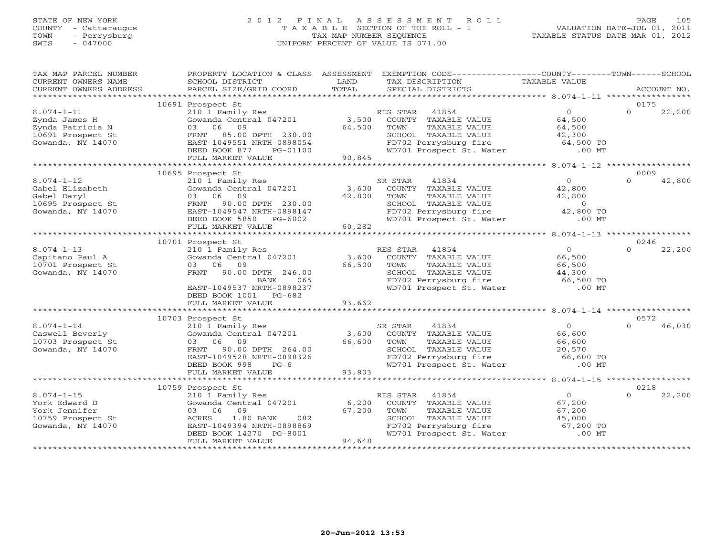#### STATE OF NEW YORK 2 0 1 2 F I N A L A S S E S S M E N T R O L L PAGE 105 COUNTY - Cattaraugus T A X A B L E SECTION OF THE ROLL - 1 VALUATION DATE-JUL 01, 2011 TOWN - Perrysburg TAX MAP NUMBER SEQUENCE TAXABLE STATUS DATE-MAR 01, 2012 SWIS - 047000 UNIFORM PERCENT OF VALUE IS 071.00UNIFORM PERCENT OF VALUE IS 071.00

| TAX MAP PARCEL NUMBER                  |                                            |        | PROPERTY LOCATION & CLASS ASSESSMENT EXEMPTION CODE---------------COUNTY-------TOWN------SCHOOL |                       |          |             |
|----------------------------------------|--------------------------------------------|--------|-------------------------------------------------------------------------------------------------|-----------------------|----------|-------------|
| CURRENT OWNERS NAME                    | SCHOOL DISTRICT                            | LAND   | TAX DESCRIPTION                                                                                 | TAXABLE VALUE         |          |             |
| CURRENT OWNERS ADDRESS                 | PARCEL SIZE/GRID COORD                     | TOTAL  | SPECIAL DISTRICTS                                                                               |                       |          | ACCOUNT NO. |
|                                        |                                            |        |                                                                                                 |                       |          |             |
|                                        | 10691 Prospect St                          |        |                                                                                                 |                       | 0175     |             |
| $8.074 - 1 - 11$                       | 210 1 Family Res                           |        | 41854<br>RES STAR                                                                               | $\overline{0}$        | $\Omega$ | 22,200      |
| Zynda James H                          | Gowanda Central 047201                     | 3,500  | COUNTY TAXABLE VALUE                                                                            | 64,500                |          |             |
| Zynda Patricia N                       | 09<br>03 06                                | 64,500 | TAXABLE VALUE<br>TOWN                                                                           | 64,500                |          |             |
| 10691 Prospect St<br>Gowanda, NY 14070 | FRNT 85.00 DPTH 230.00                     |        | SCHOOL TAXABLE VALUE<br>FD702 Perrysburg fire                                                   | 42,300                |          |             |
|                                        | EAST-1049551 NRTH-0898054<br>DEED BOOK 877 |        |                                                                                                 | 64,500 TO<br>$.00$ MT |          |             |
|                                        | PG-01100<br>FULL MARKET VALUE              | 90,845 | WD701 Prospect St. Water                                                                        |                       |          |             |
|                                        |                                            |        |                                                                                                 |                       |          |             |
|                                        | 10695 Prospect St                          |        |                                                                                                 |                       | 0009     |             |
| $8.074 - 1 - 12$                       | 210 1 Family Res                           |        | SR STAR<br>41834                                                                                | $\overline{0}$        | $\Omega$ | 42,800      |
| Gabel Elizabeth                        | Gowanda Central 047201                     | 3,600  | COUNTY TAXABLE VALUE                                                                            | 42,800                |          |             |
| Gabel Daryl                            | 03 06<br>09                                | 42,800 | TOWN<br>TAXABLE VALUE                                                                           | 42,800                |          |             |
| 10695 Prospect St                      | 90.00 DPTH 230.00<br>FRNT                  |        | SCHOOL TAXABLE VALUE                                                                            | $\overline{O}$        |          |             |
| Gowanda, NY 14070                      | EAST-1049547 NRTH-0898147                  |        |                                                                                                 | 42,800 TO             |          |             |
|                                        | DEED BOOK 5850 PG-6002                     |        | SCHOOL TAXABLE VALUE<br>FD702 Perrysburg fire<br>WD701 Prospect St. Water                       | $.00$ MT              |          |             |
|                                        | FULL MARKET VALUE                          | 60,282 |                                                                                                 |                       |          |             |
|                                        |                                            |        |                                                                                                 |                       |          |             |
|                                        | 10701 Prospect St                          |        |                                                                                                 |                       | 0246     |             |
| $8.074 - 1 - 13$                       | 210 1 Family Res                           |        | RES STAR 41854                                                                                  | $\overline{0}$        | $\cap$   | 22,200      |
| Capitano Paul A                        | Gowanda Central 047201                     | 3,600  | COUNTY TAXABLE VALUE                                                                            | 66,500                |          |             |
| 10701 Prospect St                      | 03 06 09                                   | 66,500 | TOWN<br>TAXABLE VALUE                                                                           | 66,500                |          |             |
| Gowanda, NY 14070                      | FRNT 90.00 DPTH 246.00                     |        | SCHOOL TAXABLE VALUE<br>SCHOOL TAXABLE VALUE<br>FD702 Perrysburg fire                           | 44,300                |          |             |
|                                        | BANK<br>065                                |        |                                                                                                 | 66,500 TO             |          |             |
|                                        | EAST-1049537 NRTH-0898237                  |        | WD701 Prospect St. Water                                                                        | $.00$ MT              |          |             |
|                                        | DEED BOOK 1001 PG-682                      |        |                                                                                                 |                       |          |             |
|                                        | FULL MARKET VALUE                          | 93,662 |                                                                                                 |                       |          |             |
|                                        |                                            |        |                                                                                                 |                       |          |             |
|                                        | 10703 Prospect St<br>210 1 Family Res      |        |                                                                                                 |                       | 0572     |             |
| $8.074 - 1 - 14$                       |                                            |        | SR STAR<br>41834                                                                                | $\overline{0}$        | $\Omega$ | 46,030      |
| Caswell Beverly                        | Gowanda Central 047201                     |        | 3,600 COUNTY TAXABLE VALUE                                                                      | 66,600                |          |             |
| 10703 Prospect St<br>Gowanda, NY 14070 | 03 06 09<br>FRNT 90.00 DPTH 264.00         | 66,600 | TOWN<br>TAXABLE VALUE                                                                           | 66,600                |          |             |
|                                        | EAST-1049528 NRTH-0898326                  |        | SCHOOL TAXABLE VALUE 20,570<br>FD702 Perrysburg fire 66,600 TO                                  |                       |          |             |
|                                        | DEED BOOK 998<br>$PG-6$                    |        | WD701 Prospect St. Water .00 MT                                                                 |                       |          |             |
|                                        | FULL MARKET VALUE                          | 93,803 |                                                                                                 |                       |          |             |
|                                        |                                            |        |                                                                                                 |                       |          |             |
|                                        | 10759 Prospect St                          |        |                                                                                                 |                       | 0218     |             |
| $8.074 - 1 - 15$                       | 210 1 Family Res                           |        | RES STAR<br>41854                                                                               | $\overline{0}$        | $\cap$   | 22,200      |
| York Edward D                          | Gowanda Central 047201                     | 6,200  | COUNTY TAXABLE VALUE                                                                            | 67,200                |          |             |
| York Jennifer                          | 03 06 09                                   | 67,200 | TOWN<br>TAXABLE VALUE                                                                           | 67,200                |          |             |
| 10759 Prospect St                      | 1.80 BANK<br>082<br>ACRES                  |        | SCHOOL TAXABLE VALUE                                                                            | 45,000                |          |             |
| Gowanda, NY 14070                      | EAST-1049394 NRTH-0898869                  |        | FD702 Perrysburg fire 67,200 TO<br>WD701 Prospect St. Water .00 MT                              |                       |          |             |
|                                        | DEED BOOK 14270 PG-8001                    |        |                                                                                                 |                       |          |             |
|                                        | FULL MARKET VALUE                          | 94,648 |                                                                                                 |                       |          |             |
|                                        |                                            |        |                                                                                                 |                       |          |             |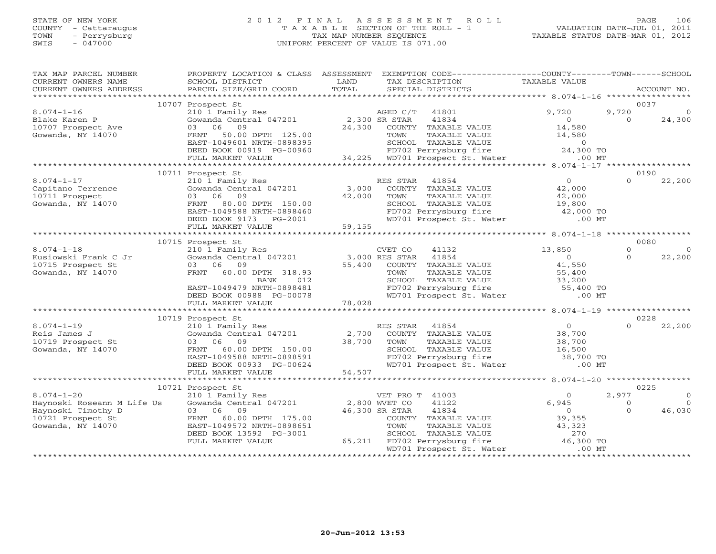#### STATE OF NEW YORK 2 0 1 2 F I N A L A S S E S S M E N T R O L L PAGE 106 COUNTY - Cattaraugus T A X A B L E SECTION OF THE ROLL - 1 VALUATION DATE-JUL 01, 2011 TOWN - Perrysburg TAX MAP NUMBER SEQUENCE TAXABLE STATUS DATE-MAR 01, 2012 SWIS - 047000 UNIFORM PERCENT OF VALUE IS 071.00UNIFORM PERCENT OF VALUE IS 071.00

| TAX MAP PARCEL NUMBER<br>CURRENT OWNERS NAME<br>CURRENT OWNERS ADDRESS | PROPERTY LOCATION & CLASS ASSESSMENT<br>SCHOOL DISTRICT<br>PARCEL SIZE/GRID COORD | LAND<br>TOTAL | EXEMPTION CODE-----------------COUNTY-------TOWN------SCHOOL<br>TAX DESCRIPTION<br>SPECIAL DISTRICTS | TAXABLE VALUE                                         |                      | ACCOUNT NO.        |
|------------------------------------------------------------------------|-----------------------------------------------------------------------------------|---------------|------------------------------------------------------------------------------------------------------|-------------------------------------------------------|----------------------|--------------------|
|                                                                        |                                                                                   |               |                                                                                                      |                                                       |                      |                    |
|                                                                        | 10707 Prospect St                                                                 |               |                                                                                                      |                                                       |                      | 0037               |
| $8.074 - 1 - 16$                                                       | 210 1 Family Res                                                                  |               | 41801<br>AGED C/T                                                                                    | 9,720                                                 | 9,720                |                    |
| Blake Karen P                                                          | Gowanda Central 047201                                                            | 2,300 SR STAR | 41834                                                                                                | $\overline{0}$                                        | $\Omega$             | 24,300             |
| 10707 Prospect Ave<br>Gowanda, NY 14070                                | 03 06<br>09<br>FRNT 50.00 DPTH 125.00                                             | 24,300        | COUNTY TAXABLE VALUE<br>TOWN                                                                         | 14,580<br>14,580                                      |                      |                    |
|                                                                        | EAST-1049601 NRTH-0898395                                                         |               | TAXABLE VALUE                                                                                        |                                                       |                      |                    |
|                                                                        | DEED BOOK 00919 PG-00960                                                          |               | SCHOOL TAXABLE VALUE<br>FD702 Perrysburg fire                                                        | $\begin{array}{c} 0 \\ 24,300 \text{ TO} \end{array}$ |                      |                    |
|                                                                        | FULL MARKET VALUE                                                                 |               | 34,225 WD701 Prospect St. Water                                                                      | $.00$ MT                                              |                      |                    |
|                                                                        |                                                                                   |               |                                                                                                      |                                                       |                      |                    |
|                                                                        | 10711 Prospect St                                                                 |               |                                                                                                      |                                                       |                      | 0190               |
| $8.074 - 1 - 17$                                                       | 210 1 Family Res                                                                  |               | RES STAR 41854                                                                                       | $\overline{0}$                                        | $\Omega$             | 22,200             |
| Capitano Terrence                                                      | Gowanda Central 047201                                                            | 3,000         | COUNTY TAXABLE VALUE                                                                                 | 42,000                                                |                      |                    |
| 10711 Prospect                                                         | 03 06 09                                                                          | 42,000        | TOWN<br>TAXABLE VALUE                                                                                | 42,000                                                |                      |                    |
| Gowanda, NY 14070                                                      | FRNT 80.00 DPTH 150.00                                                            |               | SCHOOL TAXABLE VALUE<br>SCHOOL TAXABLE VALUE<br>FD702 Perrysburg fire                                | 19,800                                                |                      |                    |
|                                                                        | EAST-1049588 NRTH-0898460                                                         |               |                                                                                                      | $42,000$ TO                                           |                      |                    |
|                                                                        | DEED BOOK 9173 PG-2001                                                            |               | WD701 Prospect St. Water                                                                             | $.00$ MT                                              |                      |                    |
|                                                                        | FULL MARKET VALUE                                                                 | 59,155        |                                                                                                      |                                                       |                      |                    |
|                                                                        | 10715 Prospect St                                                                 |               |                                                                                                      |                                                       |                      | 0080               |
| $8.074 - 1 - 18$                                                       | 210 1 Family Res                                                                  |               | CVET CO<br>41132                                                                                     | 13,850                                                | $\Omega$             | $\Omega$           |
| Kusiowski Frank C Jr                                                   | Gowanda Central 047201 3,000 RES STAR                                             |               | 41854                                                                                                | $\overline{0}$                                        | $\Omega$             | 22,200             |
| 10715 Prospect St                                                      | 03 06 09                                                                          |               | 55,400 COUNTY TAXABLE VALUE                                                                          | 41,550                                                |                      |                    |
| Gowanda, NY 14070                                                      | FRNT 60.00 DPTH 318.93                                                            |               | TAXABLE VALUE<br>TOWN                                                                                | 55,400                                                |                      |                    |
|                                                                        | BANK<br>012                                                                       |               | SCHOOL TAXABLE VALUE<br>FD702 Perrysburg fire 55,400 TO                                              |                                                       |                      |                    |
|                                                                        | EAST-1049479 NRTH-0898481                                                         |               |                                                                                                      |                                                       |                      |                    |
|                                                                        | DEED BOOK 00988 PG-00078                                                          |               | WD701 Prospect St. Water                                                                             | $.00$ MT                                              |                      |                    |
|                                                                        | FULL MARKET VALUE                                                                 | 78,028        |                                                                                                      |                                                       |                      |                    |
|                                                                        |                                                                                   |               |                                                                                                      |                                                       |                      |                    |
| $8.074 - 1 - 19$                                                       | 10719 Prospect St<br>210 1 Family Res                                             |               | RES STAR 41854                                                                                       | $\overline{0}$                                        | $\cap$               | 0228<br>22,200     |
| Reis James J                                                           | Gowanda Central 047201                                                            | 2,700         | COUNTY TAXABLE VALUE                                                                                 | 38,700                                                |                      |                    |
| 10719 Prospect St                                                      | 03 06 09                                                                          | 38,700        | TOWN<br>TAXABLE VALUE                                                                                | 38,700                                                |                      |                    |
| Gowanda, NY 14070                                                      | FRNT 60.00 DPTH 150.00                                                            |               |                                                                                                      | 16,500                                                |                      |                    |
|                                                                        | EAST-1049588 NRTH-0898591                                                         |               | SCHOOL TAXABLE VALUE<br>FD702 Perrysburg fire                                                        | $38,700$ TO                                           |                      |                    |
|                                                                        | DEED BOOK 00933 PG-00624                                                          |               | WD701 Prospect St. Water                                                                             | $.00$ MT                                              |                      |                    |
|                                                                        | FULL MARKET VALUE                                                                 | 54,507        |                                                                                                      |                                                       |                      |                    |
|                                                                        |                                                                                   |               |                                                                                                      |                                                       |                      |                    |
|                                                                        | 10721 Prospect St                                                                 |               |                                                                                                      |                                                       |                      | 0225               |
| $8.074 - 1 - 20$                                                       | 210 1 Family Res                                                                  |               | VET PRO T 41003                                                                                      | $\Omega$                                              | 2,977                |                    |
| Haynoski Roseann M Life Us                                             | Gowanda Central 047201 2,800 WVET CO                                              |               | 41122                                                                                                | 6,945<br>$\overline{0}$                               | $\Omega$<br>$\Omega$ | $\Omega$<br>46,030 |
| Haynoski Timothy D<br>10721 Prospect St                                | 03 06 09<br>60.00 DPTH 175.00<br>FRNT                                             |               | 46,300 SR STAR<br>41834<br>COUNTY TAXABLE VALUE                                                      | 39,355                                                |                      |                    |
| Gowanda, NY 14070                                                      | EAST-1049572 NRTH-0898651                                                         |               | TOWN<br>TAXABLE VALUE                                                                                | 43,323                                                |                      |                    |
|                                                                        | DEED BOOK 13592 PG-3001                                                           |               | SCHOOL TAXABLE VALUE                                                                                 | 270                                                   |                      |                    |
|                                                                        | FULL MARKET VALUE                                                                 |               | 65,211 FD702 Perrysburg fire                                                                         | 46,300 TO                                             |                      |                    |
|                                                                        |                                                                                   |               | WD701 Prospect St. Water                                                                             | $.00$ MT                                              |                      |                    |
|                                                                        |                                                                                   |               |                                                                                                      |                                                       |                      |                    |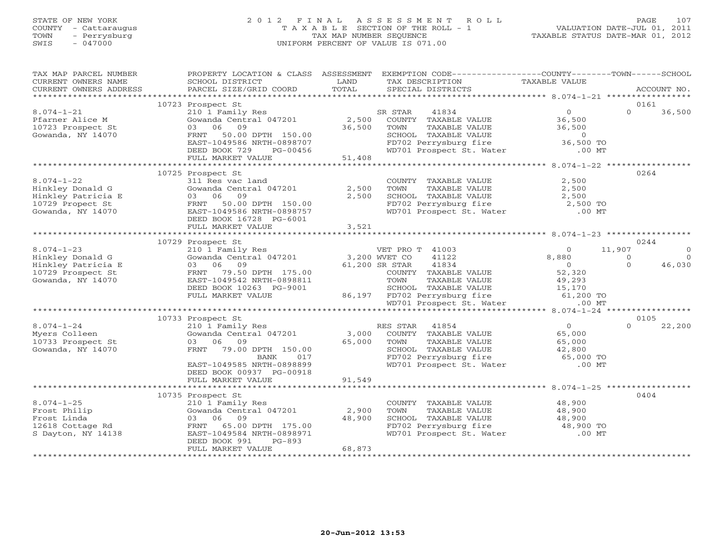#### STATE OF NEW YORK 2 0 1 2 F I N A L A S S E S S M E N T R O L L PAGE 107 COUNTY - Cattaraugus T A X A B L E SECTION OF THE ROLL - 1 VALUATION DATE-JUL 01, 2011 TOWN - Perrysburg TAX MAP NUMBER SEQUENCE TAXABLE STATUS DATE-MAR 01, 2012 SWIS - 047000 UNIFORM PERCENT OF VALUE IS 071.00UNIFORM PERCENT OF VALUE IS 071.00

| TAX MAP PARCEL NUMBER<br>CURRENT OWNERS NAME<br>CURRENT OWNERS ADDRESS                               | SCHOOL DISTRICT<br>PARCEL SIZE/GRID COORD                                                                                                                                              | LAND<br>TOTAL             | PROPERTY LOCATION & CLASS ASSESSMENT EXEMPTION CODE----------------COUNTY-------TOWN------SCHOOL<br>TAX DESCRIPTION<br>SPECIAL DISTRICTS                                                           | TAXABLE VALUE                                  | ACCOUNT NO.                                          |
|------------------------------------------------------------------------------------------------------|----------------------------------------------------------------------------------------------------------------------------------------------------------------------------------------|---------------------------|----------------------------------------------------------------------------------------------------------------------------------------------------------------------------------------------------|------------------------------------------------|------------------------------------------------------|
|                                                                                                      |                                                                                                                                                                                        |                           |                                                                                                                                                                                                    |                                                |                                                      |
|                                                                                                      | 10723 Prospect St                                                                                                                                                                      |                           |                                                                                                                                                                                                    |                                                | 0161                                                 |
| $8.074 - 1 - 21$<br>Pfarner Alice M<br>10723 Prospect St<br>Gowanda, NY 14070                        | 210 1 Family Res<br>03 06 09<br>FRNT 50.00 DPTH 150.00<br>EAST-1049586 NRTH-0898707<br>DEED BOOK 729<br>PG-00456                                                                       | 36,500                    | 41834<br>SR STAR<br>Gowanda Central 047201 $\qquad$ 2,500 COUNTY TAXABLE VALUE<br>TAXABLE VALUE<br>TOWN<br>SCHOOL TAXABLE VALUE 6 0<br>FD702 Perrysburg fire 36,500 TO<br>WD701 Prospect St. Water | $\overline{O}$<br>36,500<br>36,500<br>.00 MT   | $\Omega$<br>36,500                                   |
|                                                                                                      | FULL MARKET VALUE                                                                                                                                                                      | 51,408                    |                                                                                                                                                                                                    |                                                |                                                      |
|                                                                                                      |                                                                                                                                                                                        |                           |                                                                                                                                                                                                    |                                                |                                                      |
| $8.074 - 1 - 22$<br>Hinkley Donald G<br>Hinkley Patricia E<br>10729 Propect St<br>Gowanda, NY 14070  | 10725 Prospect St<br>311 Res vac land<br>Gowanda Central 047201<br>03 06 09<br>FRNT 50.00 DPTH 150.00<br>EAST-1049586 NRTH-0898757<br>DEED BOOK 16728 PG-6001                          | 2,500<br>2,500            | COUNTY TAXABLE VALUE<br>TOWN<br>TAXABLE VALUE<br>SCHOOL TAXABLE VALUE<br>FD702 Perrysburg fire 2,500 TO<br>WD701 Prospect St. Water .00 MT                                                         | 2,500<br>2,500<br>2,500                        | 0264                                                 |
|                                                                                                      | FULL MARKET VALUE                                                                                                                                                                      | 3,521                     |                                                                                                                                                                                                    |                                                |                                                      |
|                                                                                                      |                                                                                                                                                                                        |                           |                                                                                                                                                                                                    |                                                |                                                      |
|                                                                                                      | 10729 Prospect St                                                                                                                                                                      |                           |                                                                                                                                                                                                    | $\Omega$                                       | 0244<br>$\Omega$                                     |
| $8.074 - 1 - 23$<br>Hinkley Donald G<br>Hinkley Patricia E<br>10729 Prospect St<br>Gowanda, NY 14070 | 210 1 Family Res<br>Gowanda Central 047201 3,200 WVET CO<br>03 06 09<br>FRNT 79.50 DPTH 175.00<br>EAST-1049542 NRTH-0898811<br>DEED BOOK 10263 PG-9001<br>$-9001$<br>FULL MARKET VALUE |                           | VET PRO T 41003<br>41122<br>61,200 SR STAR<br>41834<br>COUNTY TAXABLE VALUE<br>TOWN<br>TAXABLE VALUE<br>SCHOOL TAXABLE VALUE 15,170<br>86,197 FD702 Perrysburg fire 61,200 TO                      | 8,880<br>$\overline{0}$<br>52,320<br>49,293    | 11,907<br>$\Omega$<br>$\Omega$<br>$\Omega$<br>46,030 |
|                                                                                                      |                                                                                                                                                                                        |                           | WD701 Prospect St. Water .00 MT                                                                                                                                                                    |                                                |                                                      |
|                                                                                                      |                                                                                                                                                                                        |                           |                                                                                                                                                                                                    |                                                |                                                      |
|                                                                                                      | 10733 Prospect St                                                                                                                                                                      |                           |                                                                                                                                                                                                    |                                                | 0105                                                 |
| $8.074 - 1 - 24$<br>Myers Colleen<br>10733 Prospect St<br>Gowanda, NY 14070                          | 210 1 Family Res<br>Gowanda Central 047201<br>03 06 09<br>FRNT 79.00 DPTH 150.00<br>BANK<br>017<br>EAST-1049585 NRTH-0898899<br>DEED BOOK 00937 PG-00918<br>FULL MARKET VALUE          | 65,000<br>91,549          | RES STAR 41854<br>3,000 COUNTY TAXABLE VALUE<br>TAXABLE VALUE<br>TOWN<br>SCHOOL TAXABLE VALUE 42,800<br>FD702 Perrysburg fire 65,000 TO<br>WD701 Prospect St. Water                                | $\overline{0}$<br>65,000<br>65,000<br>$.00$ MT | $\Omega$<br>22,200                                   |
|                                                                                                      | ***************************                                                                                                                                                            |                           |                                                                                                                                                                                                    |                                                |                                                      |
| $8.074 - 1 - 25$<br>Frost Philip<br>Frost Linda<br>12618 Cottage Rd<br>S Dayton, NY 14138            | 10735 Prospect St<br>210 1 Family Res<br>Gowanda Central 047201<br>03 06 09<br>FRNT 65.00 DPTH 175.00<br>EAST-1049584 NRTH-0898971<br>DEED BOOK 991<br>$PG-893$<br>FULL MARKET VALUE   | 2,900<br>48,900<br>68,873 | COUNTY TAXABLE VALUE<br>TOWN<br>TAXABLE VALUE<br>CHOOL TAXABLE VALUE<br>FD702 Perrysburg fire 48,900 TO<br>WD701 Prospect St. Water .00 MT                                                         | 48,900<br>48,900                               | 0404                                                 |
|                                                                                                      |                                                                                                                                                                                        |                           |                                                                                                                                                                                                    |                                                |                                                      |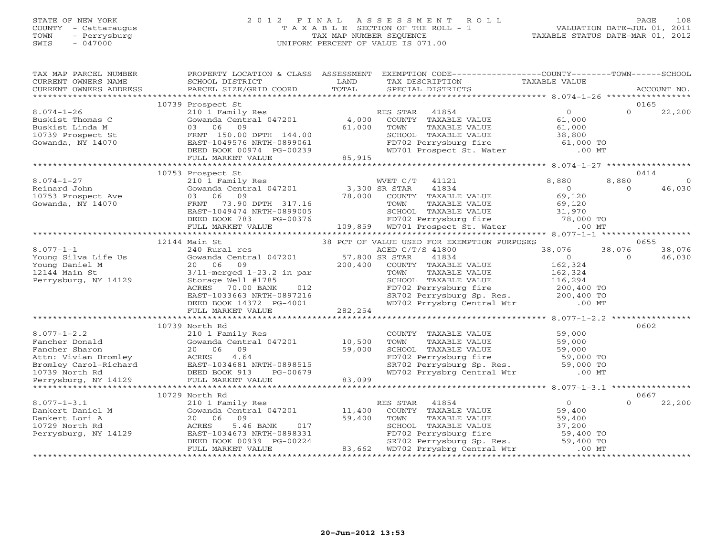#### STATE OF NEW YORK 2 0 1 2 F I N A L A S S E S S M E N T R O L L PAGE 108 COUNTY - Cattaraugus T A X A B L E SECTION OF THE ROLL - 1 VALUATION DATE-JUL 01, 2011 TOWN - Perrysburg TAX MAP NUMBER SEQUENCE TAXABLE STATUS DATE-MAR 01, 2012 SWIS - 047000 UNIFORM PERCENT OF VALUE IS 071.00UNIFORM PERCENT OF VALUE IS 071.00

| TAX MAP PARCEL NUMBER  |                                                                                                                                                                                                                                         |                | PROPERTY LOCATION & CLASS ASSESSMENT EXEMPTION CODE---------------COUNTY-------TOWN------SCHOOL                                                                                                                                                                                                                                                                                                                                                                                                                        |                  |          |          |
|------------------------|-----------------------------------------------------------------------------------------------------------------------------------------------------------------------------------------------------------------------------------------|----------------|------------------------------------------------------------------------------------------------------------------------------------------------------------------------------------------------------------------------------------------------------------------------------------------------------------------------------------------------------------------------------------------------------------------------------------------------------------------------------------------------------------------------|------------------|----------|----------|
| CURRENT OWNERS NAME    | SCHOOL DISTRICT                                                                                                                                                                                                                         | LAND           | TAX DESCRIPTION                                                                                                                                                                                                                                                                                                                                                                                                                                                                                                        | TAXABLE VALUE    |          |          |
| CURRENT OWNERS ADDRESS |                                                                                                                                                                                                                                         | TOTAL          | $\begin{minipage}{.45\textwidth} \begin{minipage}{.45\textwidth} \begin{minipage}{.45\textwidth} \begin{minipage}{.45\textwidth} \begin{minipage}{.45\textwidth} \begin{minipage}{.45\textwidth} \begin{minipage}{.45\textwidth} \begin{minipage}{.45\textwidth} \begin{minipage}{.45\textwidth} \begin{minipage}{.45\textwidth} \begin{minipage}{.45\textwidth} \begin{minipage}{.45\textwidth} \begin{minipage}{.45\textwidth} \begin{minipage}{.45\textwidth} \begin{minipage}{.45\textwidth} \begin{minipage}{.45$ |                  |          |          |
|                        |                                                                                                                                                                                                                                         |                |                                                                                                                                                                                                                                                                                                                                                                                                                                                                                                                        |                  |          |          |
|                        | 10739 Prospect St                                                                                                                                                                                                                       |                |                                                                                                                                                                                                                                                                                                                                                                                                                                                                                                                        |                  | 0165     |          |
| $8.074 - 1 - 26$       | 210 1 Family Res<br>Gowanda Central 047201 4,000                                                                                                                                                                                        |                | RES STAR<br>41854                                                                                                                                                                                                                                                                                                                                                                                                                                                                                                      | $\overline{0}$   | $\Omega$ | 22,200   |
| Buskist Thomas C       |                                                                                                                                                                                                                                         |                | COUNTY TAXABLE VALUE                                                                                                                                                                                                                                                                                                                                                                                                                                                                                                   | 61,000           |          |          |
| Buskist Linda M        | 03 06<br>09                                                                                                                                                                                                                             | 61,000         | TOWN<br>TAXABLE VALUE                                                                                                                                                                                                                                                                                                                                                                                                                                                                                                  | 61,000<br>38,800 |          |          |
| 10739 Prospect St      | FRNT 150.00 DPTH 144.00                                                                                                                                                                                                                 |                |                                                                                                                                                                                                                                                                                                                                                                                                                                                                                                                        |                  |          |          |
| Gowanda, NY 14070      | EAST-1049576 NRTH-0899061                                                                                                                                                                                                               |                | SCHOOL TAXABLE VALUE 38,800<br>FD702 Perrysburg fire 61,000 TO<br>WD701 Prospect St. Water .00 MT                                                                                                                                                                                                                                                                                                                                                                                                                      |                  |          |          |
|                        | DEED BOOK 00974 PG-00239                                                                                                                                                                                                                |                |                                                                                                                                                                                                                                                                                                                                                                                                                                                                                                                        |                  |          |          |
|                        | FULL MARKET VALUE                                                                                                                                                                                                                       | 85,915         |                                                                                                                                                                                                                                                                                                                                                                                                                                                                                                                        |                  |          |          |
|                        |                                                                                                                                                                                                                                         |                |                                                                                                                                                                                                                                                                                                                                                                                                                                                                                                                        |                  |          |          |
|                        | 10753 Prospect St                                                                                                                                                                                                                       |                |                                                                                                                                                                                                                                                                                                                                                                                                                                                                                                                        |                  | 0414     |          |
| $8.074 - 1 - 27$       | 210 1 Family Res                                                                                                                                                                                                                        |                | WVET C/T<br>41121                                                                                                                                                                                                                                                                                                                                                                                                                                                                                                      | 8,880            | 8,880    | $\Omega$ |
| Reinard John           | 21 - 22 - 22 - 23,300 SR STAR<br>03 06 09 78,000 COUNTY                                                                                                                                                                                 |                | 41834                                                                                                                                                                                                                                                                                                                                                                                                                                                                                                                  | $\overline{0}$   | $\Omega$ | 46,030   |
| 10753 Prospect Ave     |                                                                                                                                                                                                                                         |                | COUNTY TAXABLE VALUE                                                                                                                                                                                                                                                                                                                                                                                                                                                                                                   | 69,120           |          |          |
| Gowanda, NY 14070      | $\begin{array}{lllll} \circ\circ & \circ\circ & \circ\circ & \circ\circ \\ \text{FRNT} & 73.90 & \text{DPTH} & 317.16 \\ \text{EAST}-1049474 & \text{NRTH}-0899005 \\ \text{DEED BOOK} & 783 & \text{PG}-00376 \end{array} \tag{8,000}$ |                | TOWN<br>TAXABLE VALUE                                                                                                                                                                                                                                                                                                                                                                                                                                                                                                  | 69,120           |          |          |
|                        |                                                                                                                                                                                                                                         |                |                                                                                                                                                                                                                                                                                                                                                                                                                                                                                                                        |                  |          |          |
|                        |                                                                                                                                                                                                                                         |                | -0899005<br>-0899005 -0899005<br>PG-00376 -0899005<br>PG-00376 -00376 -00376 -00376 -00376 -00376 -00376 -00376 -00376 -009,859 -00701 -00509001 -00                                                                                                                                                                                                                                                                                                                                                                   |                  |          |          |
|                        | FULL MARKET VALUE                                                                                                                                                                                                                       |                |                                                                                                                                                                                                                                                                                                                                                                                                                                                                                                                        |                  |          |          |
|                        |                                                                                                                                                                                                                                         |                |                                                                                                                                                                                                                                                                                                                                                                                                                                                                                                                        |                  |          |          |
|                        | Main St<br>240 Rural res<br>12144 Main St                                                                                                                                                                                               |                | 38 PCT OF VALUE USED FOR EXEMPTION PURPOSES                                                                                                                                                                                                                                                                                                                                                                                                                                                                            |                  | 0655     |          |
| $8.077 - 1 - 1$        |                                                                                                                                                                                                                                         |                | AGED C/T/S 41800                                                                                                                                                                                                                                                                                                                                                                                                                                                                                                       | 38,076           | 38,076   | 38,076   |
| Young Silva Life Us    | Gowanda Central 047201                                                                                                                                                                                                                  | 57,800 SR STAR | 41834                                                                                                                                                                                                                                                                                                                                                                                                                                                                                                                  | $\overline{0}$   | $\Omega$ | 46,030   |
| Young Daniel M         | 20 06 09                                                                                                                                                                                                                                | 200,400        | COUNTY TAXABLE VALUE                                                                                                                                                                                                                                                                                                                                                                                                                                                                                                   | 162,324          |          |          |
| 12144 Main St          | $3/11$ -merged $1-23.2$ in par                                                                                                                                                                                                          |                | TAXABLE VALUE<br>TOWN                                                                                                                                                                                                                                                                                                                                                                                                                                                                                                  | 162,324          |          |          |
| Perrysburg, NY 14129   | Storage Well #1785                                                                                                                                                                                                                      |                |                                                                                                                                                                                                                                                                                                                                                                                                                                                                                                                        |                  |          |          |
|                        | 012<br>ACRES<br>70.00 BANK                                                                                                                                                                                                              |                |                                                                                                                                                                                                                                                                                                                                                                                                                                                                                                                        |                  |          |          |
|                        | EAST-1033663 NRTH-0897216                                                                                                                                                                                                               |                | SCHOOL TAXABLE VALUE 116,294<br>FD702 Perrysburg fire 200,400 TO<br>SR702 Perrysburg Sp. Res. 200,400 TO<br>WD702 Prrysbrg Central Wtr .00 MT                                                                                                                                                                                                                                                                                                                                                                          |                  |          |          |
|                        | DEED BOOK 14372 PG-4001                                                                                                                                                                                                                 |                |                                                                                                                                                                                                                                                                                                                                                                                                                                                                                                                        |                  |          |          |
|                        | FULL MARKET VALUE                                                                                                                                                                                                                       | 282,254        |                                                                                                                                                                                                                                                                                                                                                                                                                                                                                                                        |                  |          |          |
|                        |                                                                                                                                                                                                                                         |                |                                                                                                                                                                                                                                                                                                                                                                                                                                                                                                                        |                  |          |          |
| $8.077 - 1 - 2.2$      | 10739 North Rd                                                                                                                                                                                                                          |                |                                                                                                                                                                                                                                                                                                                                                                                                                                                                                                                        |                  | 0602     |          |
| Fancher Donald         | 210 1 Family Res<br>Gowanda Central 047201 10,500                                                                                                                                                                                       |                | COUNTY TAXABLE VALUE<br>TOWN                                                                                                                                                                                                                                                                                                                                                                                                                                                                                           | 59,000           |          |          |
| Fancher Sharon         | 20 06 09                                                                                                                                                                                                                                | 59,000         | TAXABLE VALUE<br>SCHOOL TAXABLE VALUE                                                                                                                                                                                                                                                                                                                                                                                                                                                                                  |                  |          |          |
|                        |                                                                                                                                                                                                                                         |                | CONCOL TAXABLE VALUE<br>FD702 Perrysburg Sp. Res. 59,000 TO<br>WD702 Perrysburg Sp. Res. 59,000 TO<br>WD702 Prrysbrg Central Wtr .00 MT                                                                                                                                                                                                                                                                                                                                                                                |                  |          |          |
|                        |                                                                                                                                                                                                                                         |                |                                                                                                                                                                                                                                                                                                                                                                                                                                                                                                                        |                  |          |          |
|                        |                                                                                                                                                                                                                                         |                |                                                                                                                                                                                                                                                                                                                                                                                                                                                                                                                        |                  |          |          |
|                        |                                                                                                                                                                                                                                         |                |                                                                                                                                                                                                                                                                                                                                                                                                                                                                                                                        |                  |          |          |
|                        |                                                                                                                                                                                                                                         |                | 20 00 07<br>ACRES 4.64 EXAMPLE PRIMARY ACRES 4.64 EXAMPLE PRIMARY SETTLE SPACE SOUTHOM PRIMARY SETTLE SPACE SPACE SPACE SPACE SPACE SPACE SPACE SPACE SPACE SPACE SPACE SPACE SPACE SPACE SPACE SPACE SPACE SPACE SPACE SPACE SP                                                                                                                                                                                                                                                                                       |                  |          |          |
|                        | 10729 North Rd                                                                                                                                                                                                                          |                |                                                                                                                                                                                                                                                                                                                                                                                                                                                                                                                        |                  | 0667     |          |
| $8.077 - 1 - 3.1$      |                                                                                                                                                                                                                                         |                | RES STAR<br>41854                                                                                                                                                                                                                                                                                                                                                                                                                                                                                                      | $\Omega$         | $\Omega$ | 22,200   |
| Dankert Daniel M       | 210 1 Family Res<br>Gowanda Central 047201                                                                                                                                                                                              | 11,400         | COUNTY TAXABLE VALUE                                                                                                                                                                                                                                                                                                                                                                                                                                                                                                   | 59,400           |          |          |
| Dankert Lori A         | 20 06 09                                                                                                                                                                                                                                | 59,400         | TAXABLE VALUE<br>TOWN                                                                                                                                                                                                                                                                                                                                                                                                                                                                                                  | 59,400           |          |          |
| 10729 North Rd         | 5.46 BANK<br>017<br>ACRES                                                                                                                                                                                                               |                |                                                                                                                                                                                                                                                                                                                                                                                                                                                                                                                        | 37,200           |          |          |
| Perrysburg, NY 14129   | EAST-1034673 NRTH-0898331                                                                                                                                                                                                               |                |                                                                                                                                                                                                                                                                                                                                                                                                                                                                                                                        |                  |          |          |
|                        | DEED BOOK 00939 PG-00224                                                                                                                                                                                                                |                | SCHOOL TAXABLE VALUE 37,200<br>FD702 Perrysburg fire 59,400 TO<br>SR702 Perrysburg Sp. Res. 59,400 TO                                                                                                                                                                                                                                                                                                                                                                                                                  |                  |          |          |
|                        | FULL MARKET VALUE                                                                                                                                                                                                                       |                | 83,662 WD702 Prrysbrg Central Wtr                                                                                                                                                                                                                                                                                                                                                                                                                                                                                      | $.00$ MT         |          |          |
|                        |                                                                                                                                                                                                                                         |                |                                                                                                                                                                                                                                                                                                                                                                                                                                                                                                                        |                  |          |          |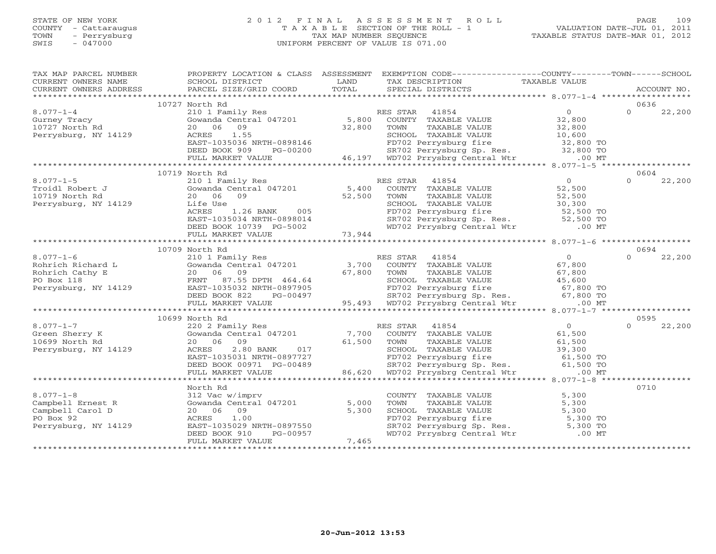## STATE OF NEW YORK 2 0 1 2 F I N A L A S S E S S M E N T R O L L PAGE 109 COUNTY - Cattaraugus T A X A B L E SECTION OF THE ROLL - 1 VALUATION DATE-JUL 01, 2011 TOWN - Perrysburg TAX MAP NUMBER SEQUENCE TAXABLE STATUS DATE-MAR 01, 2012 SWIS - 047000 UNIFORM PERCENT OF VALUE IS 071.00UNIFORM PERCENT OF VALUE IS 071.00

| TAX MAP PARCEL NUMBER<br>CURRENT OWNERS NAME                                                  | SCHOOL DISTRICT                                                                                                                                                       | LAND                      | PROPERTY LOCATION & CLASS ASSESSMENT EXEMPTION CODE---------------COUNTY-------TOWN------SCHOOL<br>TAX DESCRIPTION                                                                                                          | TAXABLE VALUE                                                                          |                    |  |
|-----------------------------------------------------------------------------------------------|-----------------------------------------------------------------------------------------------------------------------------------------------------------------------|---------------------------|-----------------------------------------------------------------------------------------------------------------------------------------------------------------------------------------------------------------------------|----------------------------------------------------------------------------------------|--------------------|--|
| CURRENT OWNERS ADDRESS                                                                        | PARCEL SIZE/GRID COORD                                                                                                                                                | TOTAL                     | SPECIAL DISTRICTS                                                                                                                                                                                                           |                                                                                        | ACCOUNT NO.        |  |
|                                                                                               | 10727 North Rd                                                                                                                                                        |                           |                                                                                                                                                                                                                             |                                                                                        | 0636               |  |
| $8.077 - 1 - 4$<br>Gurney Tracy<br>10727 North Rd<br>Perrysburg, NY 14129                     | 210 1 Family Res<br>Gowanda Central 047201<br>20 06<br>09<br>1.55<br>ACRES<br>EAST-1035036 NRTH-0898146<br>DEED BOOK 909<br>PG-00200                                  | 5,800<br>32,800           | RES STAR 41854<br>COUNTY TAXABLE VALUE<br>TOWN<br>TAXABLE VALUE<br>SCHOOL TAXABLE VALUE<br>SCHOOL TAXABLE VALUE<br>FD702 Perrysburg fire<br>SR702 Perrysburg Sp. Res. 32,800 TO<br>46,197 WD702 Prrysbrg Central Wtr .00 MT | $\overline{0}$<br>32,800<br>32,800<br>10,600<br>$32,800$ TO                            | $\Omega$<br>22,200 |  |
|                                                                                               | FULL MARKET VALUE                                                                                                                                                     |                           |                                                                                                                                                                                                                             |                                                                                        |                    |  |
|                                                                                               | 10719 North Rd                                                                                                                                                        |                           |                                                                                                                                                                                                                             |                                                                                        | 0604               |  |
| $8.077 - 1 - 5$<br>Troidl Robert J<br>10719 North Rd<br>Perrysburg, NY 14129                  | 210 1 Family Res<br>210 1 ramily Res<br>Gowanda Central 047201<br>20 06 09<br>Life Use<br>ACRES<br>1.26 BANK 005<br>EAST-1035034 NRTH-0898014                         | 5,400<br>52,500           | RES STAR<br>41854<br>COUNTY TAXABLE VALUE<br>TAXABLE VALUE<br>TOWN<br>SCHOOL TAXABLE VALUE<br>FD702 Perrysburg fire 52,500 TO<br>SR702 Perrysburg Sp. Res. 52,500 TO<br>WD702 Prrysbrg Central Wtr .00 MT                   | $\overline{0}$<br>52,500<br>52,500<br>30,300                                           | 22,200<br>$\Omega$ |  |
|                                                                                               |                                                                                                                                                                       |                           |                                                                                                                                                                                                                             |                                                                                        |                    |  |
|                                                                                               | 10709 North Rd                                                                                                                                                        |                           |                                                                                                                                                                                                                             |                                                                                        | 0694               |  |
| $8.077 - 1 - 6$<br>Rohrich Richard L<br>Rohrich Cathy E<br>PO Box 118<br>Perrysburg, NY 14129 | 210 1 Family Res<br>Gowanda Central 047201 3,700<br>20 06 09<br>FRNT 87.55 DPTH 464.64<br>EAST-1035032 NRTH-0897905<br>DEED BOOK 822<br>PG-00497<br>FULL MARKET VALUE | 67,800                    | RES STAR<br>41854<br>COUNTY TAXABLE VALUE<br>TOWN<br>TAXABLE VALUE<br>SCHOOL TAXABLE VALUE<br>FD702 Perrysburg fire 67,800 TO<br>SR702 Perrysburg Sp. Res. 67,800 TO<br>95,493 WD702 Prrysbrg Central Wtr                   | $\overline{0}$<br>67,800<br>67,800<br>45,600<br>$.00$ MT                               | $\Omega$<br>22,200 |  |
|                                                                                               |                                                                                                                                                                       |                           |                                                                                                                                                                                                                             |                                                                                        |                    |  |
|                                                                                               | 10699 North Rd                                                                                                                                                        |                           |                                                                                                                                                                                                                             |                                                                                        | 0595               |  |
| $8.077 - 1 - 7$<br>Green Sherry K<br>10699 North Rd<br>Perrysburg, NY 14129                   | 220 2 Family Res<br>Gowanda Central 047201<br>20 06<br>09<br>2.80 BANK<br>ACRES<br>017<br>EAST-1035031 NRTH-0897727<br>DEED BOOK 00971 PG-00489<br>FULL MARKET VALUE  | 7,700<br>61,500<br>86,620 | RES STAR 41854<br>COUNTY TAXABLE VALUE<br>TAXABLE VALUE<br>TOWN<br>SCHOOL TAXABLE VALUE<br>FD702 Perrysburg fire<br>SR702 Perrysburg Sp. Res.<br>WD702 Prrysbrg Central Wtr                                                 | 0<br>61,500<br>61,500<br>39,300<br>$55,500$ TO<br>$61,500$ TO<br>61,500 TO<br>$.00$ MT | $\Omega$<br>22,200 |  |
|                                                                                               |                                                                                                                                                                       |                           |                                                                                                                                                                                                                             |                                                                                        |                    |  |
| $8.077 - 1 - 8$<br>Campbell Ernest R<br>Campbell Carol D<br>PO Box 92<br>Perrysburg, NY 14129 | North Rd<br>312 Vac w/imprv<br>Gowanda Central 047201<br>20 06 09<br>1.00<br>ACRES<br>EAST-1035029 NRTH-0897550<br>PG-00957<br>DEED BOOK 910<br>FULL MARKET VALUE     | 5,000<br>5,300<br>7,465   | COUNTY TAXABLE VALUE<br>TAXABLE VALUE<br>TOWN<br>SCHOOL TAXABLE VALUE<br>FD702 Perrysburg fire<br>SR702 Perrysburg Sp. Res. 5,300 TO<br>WD702 Prrysbrg Central Wtr .00 MT                                                   | 5,300<br>5,300<br>5,300<br>5,300 TO                                                    | 0710               |  |
|                                                                                               |                                                                                                                                                                       |                           |                                                                                                                                                                                                                             |                                                                                        |                    |  |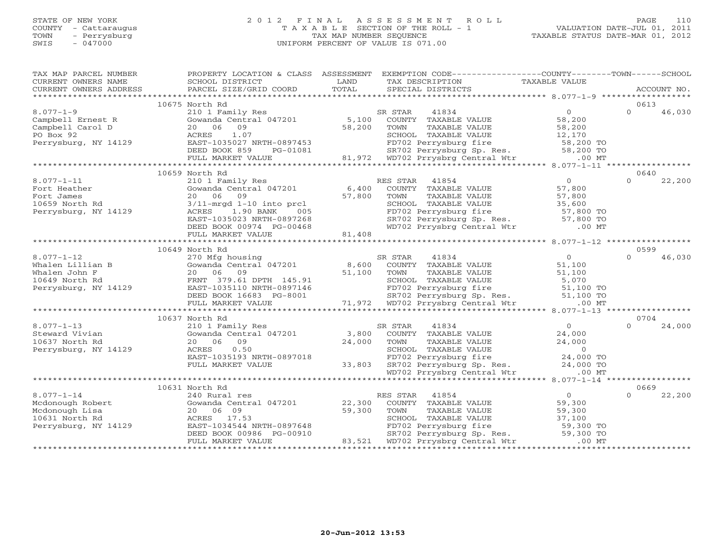## STATE OF NEW YORK 2 0 1 2 F I N A L A S S E S S M E N T R O L L PAGE 110 COUNTY - Cattaraugus T A X A B L E SECTION OF THE ROLL - 1 VALUATION DATE-JUL 01, 2011 TOWN - Perrysburg TAX MAP NUMBER SEQUENCE TAXABLE STATUS DATE-MAR 01, 2012 SWIS - 047000 UNIFORM PERCENT OF VALUE IS 071.00

| TAX MAP PARCEL NUMBER<br>CURRENT OWNERS NAME<br>CURRENT OWNERS ADDRESS                           | PROPERTY LOCATION & CLASS ASSESSMENT<br>SCHOOL DISTRICT<br>PARCEL SIZE/GRID COORD                                                                                                                                          | LAND<br>TOTAL             | EXEMPTION CODE-----------------COUNTY-------TOWN------SCHOOL<br>TAX DESCRIPTION<br>SPECIAL DISTRICTS                                                                                                  | TAXABLE VALUE                                                                        |                  | ACCOUNT NO. |
|--------------------------------------------------------------------------------------------------|----------------------------------------------------------------------------------------------------------------------------------------------------------------------------------------------------------------------------|---------------------------|-------------------------------------------------------------------------------------------------------------------------------------------------------------------------------------------------------|--------------------------------------------------------------------------------------|------------------|-------------|
|                                                                                                  |                                                                                                                                                                                                                            |                           |                                                                                                                                                                                                       |                                                                                      |                  |             |
|                                                                                                  | 10675 North Rd                                                                                                                                                                                                             |                           |                                                                                                                                                                                                       |                                                                                      | 0613             |             |
| $8.077 - 1 - 9$<br>Campbell Ernest R<br>Campbell Carol D<br>PO Box 92<br>Perrysburg, NY 14129    | 210 1 Family Res<br>Gowanda Central 047201<br>20 06<br>09<br>1.07<br>ACRES<br>EAST-1035027 NRTH-0897453<br>DEED BOOK 859<br>PG-01081<br>FULL MARKET VALUE                                                                  | 5,100<br>58,200           | SR STAR<br>41834<br>COUNTY TAXABLE VALUE<br>TOWN<br>TAXABLE VALUE<br>SCHOOL TAXABLE VALUE<br>FD702 Perrysburg fire<br>SR702 Perrysburg Sp. Res. 58,200 TO<br>81,972 WD702 Prrysbrg Central Wtr .00 MT | $\overline{O}$<br>58,200<br>58,200<br>12,170<br>58,200 TO                            | $\Omega$         | 46,030      |
|                                                                                                  |                                                                                                                                                                                                                            |                           |                                                                                                                                                                                                       |                                                                                      |                  |             |
| $8.077 - 1 - 11$<br>Fort Heather<br>Fort James<br>10659 North Rd<br>Perrysburg, NY 14129         | 10659 North Rd<br>210 1 Family Res<br>Gowanda Central 047201<br>06<br>09<br>20<br>$3/11$ -mrgd $1-10$ into prcl<br>1.90 BANK<br>ACRES<br>005<br>EAST-1035023 NRTH-0897268<br>DEED BOOK 00974 PG-00468<br>FULL MARKET VALUE | 6,400<br>57,800<br>81,408 | RES STAR<br>41854<br>COUNTY TAXABLE VALUE<br>TAXABLE VALUE<br>TOWN<br>SCHOOL TAXABLE VALUE<br>FD702 Perrysburg fire<br>SR702 Perrysburg Sp. Res. 57,800 TO<br>WD702 Prrysbrg Central Wtr .00 MT       | $0 \qquad \qquad$<br>57,800<br>57,800<br>35,600<br>57,800 TO                         | 0640<br>$\Omega$ | 22,200      |
|                                                                                                  |                                                                                                                                                                                                                            |                           |                                                                                                                                                                                                       |                                                                                      |                  |             |
|                                                                                                  | 10649 North Rd                                                                                                                                                                                                             |                           |                                                                                                                                                                                                       |                                                                                      | 0599             |             |
| $8.077 - 1 - 12$<br>Whalen Lillian B<br>Whalen John F<br>10649 North Rd<br>Perrysburg, NY 14129  | 270 Mfg housing<br>Gowanda Central 047201<br>20 06<br>09<br>FRNT 379.61 DPTH 145.91<br>EAST-1035110 NRTH-0897146<br>DEED BOOK 16683 PG-8001<br>FULL MARKET VALUE                                                           | 8,600<br>51,100           | SR STAR<br>41834<br>COUNTY TAXABLE VALUE<br>TOWN<br>TAXABLE VALUE<br>SCHOOL TAXABLE VALUE<br>FD702 Perrysburg fire<br>SR702 Perrysburg Sp. Res.<br>71,972 WD702 Prrysbrg Central Wtr                  | $\overline{0}$<br>51,100<br>51,100<br>5,070<br>51,100 TO<br>51,100 TO<br>$.00$ MT    | $\Omega$         | 46,030      |
|                                                                                                  |                                                                                                                                                                                                                            |                           |                                                                                                                                                                                                       |                                                                                      |                  |             |
|                                                                                                  | 10637 North Rd                                                                                                                                                                                                             |                           |                                                                                                                                                                                                       |                                                                                      | 0704             |             |
| $8.077 - 1 - 13$<br>Steward Vivian<br>10637 North Rd<br>Perrysburg, NY 14129                     | 210 1 Family Res<br>Gowanda Central 047201<br>20 06<br>09<br>0.50<br>ACRES<br>EAST-1035193 NRTH-0897018<br>FULL MARKET VALUE                                                                                               | 3,800<br>24,000<br>33,803 | SR STAR<br>41834<br>COUNTY TAXABLE VALUE<br>TOWN<br>TAXABLE VALUE<br>SCHOOL TAXABLE VALUE<br>FD702 Perrysburg fire<br>SR702 Perrysburg Sp. Res.<br>WD702 Prrysbrg Central Wtr                         | $\overline{0}$<br>24,000<br>24,000<br>$\Omega$<br>24,000 TO<br>24,000 TO<br>$.00$ MT | $\cap$           | 24,000      |
|                                                                                                  |                                                                                                                                                                                                                            |                           |                                                                                                                                                                                                       |                                                                                      |                  |             |
|                                                                                                  | 10631 North Rd                                                                                                                                                                                                             |                           |                                                                                                                                                                                                       |                                                                                      | 0669             |             |
| $8.077 - 1 - 14$<br>Mcdonough Robert<br>Mcdonough Lisa<br>10631 North Rd<br>Perrysburg, NY 14129 | 240 Rural res<br>Gowanda Central 047201<br>20 06 09<br>ACRES 17.53<br>EAST-1034544 NRTH-0897648<br>DEED BOOK 00986 PG-00910<br>FULL MARKET VALUE                                                                           | 22,300<br>59,300          | RES STAR<br>41854<br>COUNTY TAXABLE VALUE<br>TAXABLE VALUE<br>TOWN<br>SCHOOL TAXABLE VALUE<br>FD702 Perrysburg fire<br>SR702 Perrysburg Sp. Res.<br>83,521 WD702 Prrysbrg Central Wtr                 | 0<br>59,300<br>59,300<br>37,100<br>59,300 TO<br>59,300 TO<br>$.00$ MT                | $\Omega$         | 22,200      |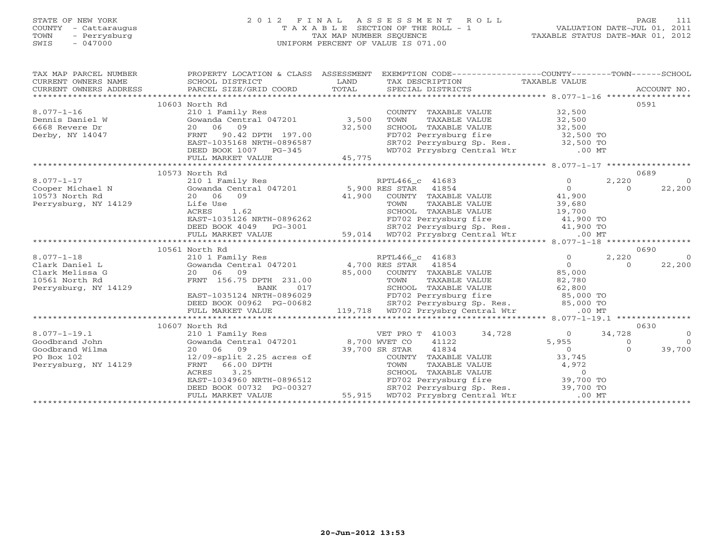## STATE OF NEW YORK 2 0 1 2 F I N A L A S S E S S M E N T R O L L PAGE 111 COUNTY - Cattaraugus T A X A B L E SECTION OF THE ROLL - 1 VALUATION DATE-JUL 01, 2011 TOWN - Perrysburg TAX MAP NUMBER SEQUENCE TAXABLE STATUS DATE-MAR 01, 2012 SWIS - 047000 UNIFORM PERCENT OF VALUE IS 071.00UNIFORM PERCENT OF VALUE IS 071.00

| TAX MAP PARCEL NUMBER |                                                                                                                                                                                                                                                                                                                                                                                             | PROPERTY LOCATION & CLASS ASSESSMENT EXEMPTION CODE----------------COUNTY-------TOWN------SCHOOL                                                                                           |                   |                                             |
|-----------------------|---------------------------------------------------------------------------------------------------------------------------------------------------------------------------------------------------------------------------------------------------------------------------------------------------------------------------------------------------------------------------------------------|--------------------------------------------------------------------------------------------------------------------------------------------------------------------------------------------|-------------------|---------------------------------------------|
|                       |                                                                                                                                                                                                                                                                                                                                                                                             |                                                                                                                                                                                            |                   |                                             |
|                       |                                                                                                                                                                                                                                                                                                                                                                                             |                                                                                                                                                                                            |                   |                                             |
|                       |                                                                                                                                                                                                                                                                                                                                                                                             |                                                                                                                                                                                            |                   |                                             |
|                       | 10603 North Rd                                                                                                                                                                                                                                                                                                                                                                              |                                                                                                                                                                                            |                   | 0591                                        |
| $8.077 - 1 - 16$      | 210 1 Family Res                                                                                                                                                                                                                                                                                                                                                                            | COUNTY TAXABLE VALUE 32,500                                                                                                                                                                |                   |                                             |
| Dennis Daniel W       | Gowanda Central 047201 3,500                                                                                                                                                                                                                                                                                                                                                                | TAXABLE VALUE 32,500<br>TOWN                                                                                                                                                               |                   |                                             |
| 6668 Revere Dr        | 20 06 09 32,500<br>FRNT 90.42 DPTH 197.00 32,500<br>EAST-1035168 NRTH-0896587                                                                                                                                                                                                                                                                                                               | SCHOOL TAXABLE VALUE 32,500<br>FD702 Perrysburg fire 32,500 TO<br>SR702 Perrysburg Sp. Res. 32,500 TO                                                                                      |                   |                                             |
| Derby, NY 14047       |                                                                                                                                                                                                                                                                                                                                                                                             |                                                                                                                                                                                            |                   |                                             |
|                       |                                                                                                                                                                                                                                                                                                                                                                                             |                                                                                                                                                                                            |                   |                                             |
|                       | DEED BOOK 1007 PG-345<br>FULL MARKET VALUE 45,775                                                                                                                                                                                                                                                                                                                                           | WD702 Prrysbrg Central Wtr .00 MT                                                                                                                                                          |                   |                                             |
|                       |                                                                                                                                                                                                                                                                                                                                                                                             |                                                                                                                                                                                            |                   |                                             |
|                       |                                                                                                                                                                                                                                                                                                                                                                                             |                                                                                                                                                                                            |                   |                                             |
|                       | 10573 North Rd                                                                                                                                                                                                                                                                                                                                                                              |                                                                                                                                                                                            |                   | 0689                                        |
|                       |                                                                                                                                                                                                                                                                                                                                                                                             |                                                                                                                                                                                            |                   |                                             |
|                       |                                                                                                                                                                                                                                                                                                                                                                                             |                                                                                                                                                                                            |                   |                                             |
|                       |                                                                                                                                                                                                                                                                                                                                                                                             |                                                                                                                                                                                            |                   |                                             |
|                       |                                                                                                                                                                                                                                                                                                                                                                                             |                                                                                                                                                                                            |                   |                                             |
|                       |                                                                                                                                                                                                                                                                                                                                                                                             |                                                                                                                                                                                            |                   |                                             |
|                       |                                                                                                                                                                                                                                                                                                                                                                                             |                                                                                                                                                                                            |                   |                                             |
|                       |                                                                                                                                                                                                                                                                                                                                                                                             |                                                                                                                                                                                            |                   |                                             |
|                       |                                                                                                                                                                                                                                                                                                                                                                                             |                                                                                                                                                                                            |                   |                                             |
|                       | $\begin{array}{cccc} 8.077-1-17 & 10573 & \text{North Rd} & \text{RPTL466\_c} & 41683 & 0 & 2,220 & 0 \\ 210 & 10573 & 100 & 0 & 22,200 & 0 \\ 10573 & \text{North Rd} & 20 & 06 & 09 & 41,900 & \text{COUNTY} & \text{TXABLE VALUE} & 0 & 22,200 \\ \text{Perrysburg, NY 14129} & \text{Life Use} & 41,900 & \text{CUNTY} & \text{TXABLE VALUE} & 41,900 & 0 \\ \text{R$<br>10561 North Rd |                                                                                                                                                                                            |                   | 0690                                        |
|                       |                                                                                                                                                                                                                                                                                                                                                                                             |                                                                                                                                                                                            | $\overline{0}$    |                                             |
|                       |                                                                                                                                                                                                                                                                                                                                                                                             |                                                                                                                                                                                            | $\overline{O}$    | 2,220<br>$\overline{0}$<br>22,200<br>$\cap$ |
|                       |                                                                                                                                                                                                                                                                                                                                                                                             | 0 16 09<br>20 06 09<br>20 06 09<br>ERNT 156.75 DPTH 231.00<br>BANK 017<br>EAST-1035124 NRTH-0896029<br>EAST-1035124 NRTH-0896029<br>EAST-1035124 NRTH-0896029<br>EAST-1035124 NRTH-0896029 |                   |                                             |
| 10561 North Rd        |                                                                                                                                                                                                                                                                                                                                                                                             |                                                                                                                                                                                            |                   |                                             |
| Perrysburg, NY 14129  |                                                                                                                                                                                                                                                                                                                                                                                             |                                                                                                                                                                                            |                   |                                             |
|                       |                                                                                                                                                                                                                                                                                                                                                                                             |                                                                                                                                                                                            |                   |                                             |
|                       | DEED BOOK 00962 PG-00682                                                                                                                                                                                                                                                                                                                                                                    |                                                                                                                                                                                            |                   |                                             |
|                       |                                                                                                                                                                                                                                                                                                                                                                                             |                                                                                                                                                                                            |                   |                                             |
|                       |                                                                                                                                                                                                                                                                                                                                                                                             |                                                                                                                                                                                            |                   |                                             |
|                       | 10607 North Rd                                                                                                                                                                                                                                                                                                                                                                              |                                                                                                                                                                                            |                   | 0630                                        |
| $8.077 - 1 - 19.1$    |                                                                                                                                                                                                                                                                                                                                                                                             |                                                                                                                                                                                            |                   | 34,728<br>$\overline{0}$                    |
| Goodbrand John        |                                                                                                                                                                                                                                                                                                                                                                                             |                                                                                                                                                                                            |                   | $\overline{0}$<br>$\overline{0}$            |
| Goodbrand Wilma       |                                                                                                                                                                                                                                                                                                                                                                                             |                                                                                                                                                                                            | $5,955$<br>0<br>0 | 39,700<br>$\cap$                            |
| PO Box 102            |                                                                                                                                                                                                                                                                                                                                                                                             |                                                                                                                                                                                            |                   |                                             |
| Perrysburg, NY 14129  |                                                                                                                                                                                                                                                                                                                                                                                             |                                                                                                                                                                                            |                   |                                             |
|                       |                                                                                                                                                                                                                                                                                                                                                                                             |                                                                                                                                                                                            |                   |                                             |
|                       | 10607 North Rd<br>210 1 Family Res<br>Cowanda Central 047201<br>20 06 09<br>21/09-split 2.25 acres of<br>211129<br>22 06 09<br>22/09-split 2.25 acres of<br>239,700 SR STAR<br>239,700 SR STAR<br>239,700 SR STAR<br>239,700 SR STAR<br>239,700 SR STA                                                                                                                                      |                                                                                                                                                                                            |                   |                                             |
|                       |                                                                                                                                                                                                                                                                                                                                                                                             | SR702 Perrysburg Sp. Res. 39,700 TO                                                                                                                                                        |                   |                                             |
|                       |                                                                                                                                                                                                                                                                                                                                                                                             | DEED BOOK 00732 PG-00327 SR702 Perrysburg Sp. Res.<br>FULL MARKET VALUE 55,915 WD702 Prrysbrg Central Wtr                                                                                  | $.00$ MT          |                                             |
|                       |                                                                                                                                                                                                                                                                                                                                                                                             |                                                                                                                                                                                            |                   |                                             |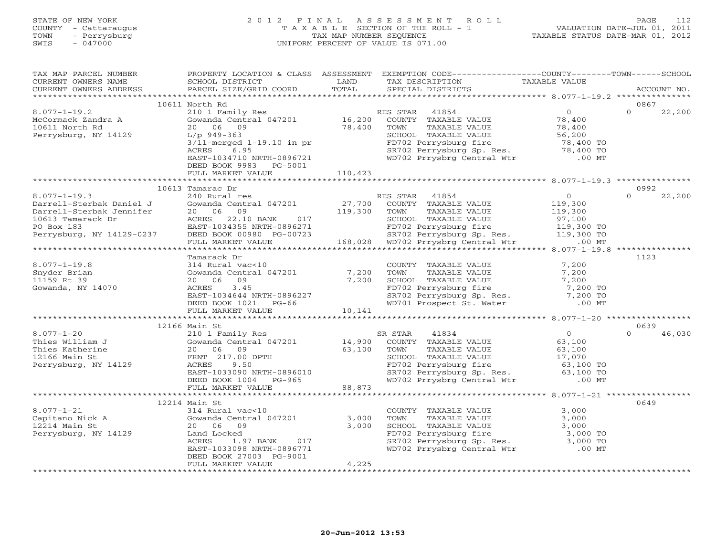## STATE OF NEW YORK 2 0 1 2 F I N A L A S S E S S M E N T R O L L PAGE 112 COUNTY - Cattaraugus T A X A B L E SECTION OF THE ROLL - 1 VALUATION DATE-JUL 01, 2011 TOWN - Perrysburg TAX MAP NUMBER SEQUENCE TAXABLE STATUS DATE-MAR 01, 2012 SWIS - 047000 UNIFORM PERCENT OF VALUE IS 071.00

| TAX MAP PARCEL NUMBER<br>CURRENT OWNERS NAME                                                                                                                                                                                                     | SCHOOL DISTRICT                                                                                                                                                                                                                                                       | LAND    | PROPERTY LOCATION & CLASS ASSESSMENT EXEMPTION CODE---------------COUNTY-------TOWN-----SCHOOL<br>TAX DESCRIPTION TAXABLE VALUE SPECIAL DISTRICTS                             |                | ACCOUNT NO.                |
|--------------------------------------------------------------------------------------------------------------------------------------------------------------------------------------------------------------------------------------------------|-----------------------------------------------------------------------------------------------------------------------------------------------------------------------------------------------------------------------------------------------------------------------|---------|-------------------------------------------------------------------------------------------------------------------------------------------------------------------------------|----------------|----------------------------|
| - CURRENT OWNERS THE PARCEL SIZE/GRID COORD TOTAL SPECIAL DISTRICTS ACCOUNT NO.<br>- ARCOUNT NO ACCOUNT SECOUNT SECOUNT ACCOUNT NO ACCOUNT NO ACCOUNT ASSEMBLY OWNERS A PARCEL SIZE/GRID COORD TO                                                |                                                                                                                                                                                                                                                                       |         |                                                                                                                                                                               |                |                            |
|                                                                                                                                                                                                                                                  |                                                                                                                                                                                                                                                                       |         |                                                                                                                                                                               |                | 0867                       |
| $8.077 - 1 - 19.2$                                                                                                                                                                                                                               |                                                                                                                                                                                                                                                                       |         |                                                                                                                                                                               |                | $\Omega$<br>22,200         |
|                                                                                                                                                                                                                                                  |                                                                                                                                                                                                                                                                       |         |                                                                                                                                                                               |                |                            |
| McCormack Zandra A<br>10611 North Rd                                                                                                                                                                                                             |                                                                                                                                                                                                                                                                       |         |                                                                                                                                                                               |                |                            |
| Perrysburg, NY 14129 L/p 949-363                                                                                                                                                                                                                 |                                                                                                                                                                                                                                                                       |         |                                                                                                                                                                               |                |                            |
|                                                                                                                                                                                                                                                  |                                                                                                                                                                                                                                                                       |         |                                                                                                                                                                               |                |                            |
|                                                                                                                                                                                                                                                  | ACRES<br>6.95                                                                                                                                                                                                                                                         |         | FD702 Perrysburg fire 78,400 TO<br>SR702 Perrysburg Sp. Res. 78,400 TO<br>WD702 Prrysbrg Central Wtr .00 MT                                                                   |                |                            |
|                                                                                                                                                                                                                                                  | EAST-1034710 NRTH-0896721                                                                                                                                                                                                                                             |         |                                                                                                                                                                               |                |                            |
|                                                                                                                                                                                                                                                  | DEED BOOK 9983 PG-5001                                                                                                                                                                                                                                                |         |                                                                                                                                                                               |                |                            |
|                                                                                                                                                                                                                                                  | FULL MARKET VALUE                                                                                                                                                                                                                                                     | 110,423 |                                                                                                                                                                               |                |                            |
|                                                                                                                                                                                                                                                  |                                                                                                                                                                                                                                                                       |         |                                                                                                                                                                               |                |                            |
| $8.077 - 1 - 19.3$                                                                                                                                                                                                                               | 10613 Tamarac Dr<br>240 Rural res                                                                                                                                                                                                                                     |         | RES STAR 41854                                                                                                                                                                | $\overline{0}$ | 0992<br>22,200<br>$\Omega$ |
|                                                                                                                                                                                                                                                  |                                                                                                                                                                                                                                                                       |         |                                                                                                                                                                               |                |                            |
| 0.077-1-19.3<br>Darrell-Sterbak Daniel J<br>Darrell-Sterbak Jennifer<br>20 06 09<br>27,700 COWNTY TAXABLE VALUE<br>27,700 COWNTY TAXABLE VALUE<br>27,700 COWNTY TAXABLE VALUE<br>27,700 COWNTY TAXABLE VALUE<br>27,700 COWNTY TAXABLE VALUE<br>2 |                                                                                                                                                                                                                                                                       |         |                                                                                                                                                                               |                |                            |
|                                                                                                                                                                                                                                                  |                                                                                                                                                                                                                                                                       |         |                                                                                                                                                                               |                |                            |
|                                                                                                                                                                                                                                                  |                                                                                                                                                                                                                                                                       |         |                                                                                                                                                                               |                |                            |
|                                                                                                                                                                                                                                                  |                                                                                                                                                                                                                                                                       |         |                                                                                                                                                                               |                |                            |
|                                                                                                                                                                                                                                                  |                                                                                                                                                                                                                                                                       |         |                                                                                                                                                                               |                |                            |
|                                                                                                                                                                                                                                                  |                                                                                                                                                                                                                                                                       |         |                                                                                                                                                                               |                |                            |
|                                                                                                                                                                                                                                                  | Tamarack Dr                                                                                                                                                                                                                                                           |         |                                                                                                                                                                               |                | 1123                       |
| $8.077 - 1 - 19.8$                                                                                                                                                                                                                               |                                                                                                                                                                                                                                                                       |         | COUNTY TAXABLE VALUE 7,200<br>TOWNI TAXARLE VALUE 7,200                                                                                                                       |                |                            |
| Snyder Brian                                                                                                                                                                                                                                     |                                                                                                                                                                                                                                                                       |         |                                                                                                                                                                               |                |                            |
| 11159 Rt 39                                                                                                                                                                                                                                      |                                                                                                                                                                                                                                                                       |         |                                                                                                                                                                               |                |                            |
| Gowanda, NY 14070                                                                                                                                                                                                                                |                                                                                                                                                                                                                                                                       |         |                                                                                                                                                                               |                |                            |
|                                                                                                                                                                                                                                                  |                                                                                                                                                                                                                                                                       |         |                                                                                                                                                                               |                |                            |
|                                                                                                                                                                                                                                                  | Tamarack Dr<br>314 Rural vac<10<br>314 Rural vac<10<br>20 06 09<br>20 06 09<br>20 06 09<br>20 06 09<br>20 06 09<br>20 06 09<br>20 06 09<br>20 7,200<br>20 06 09<br>20 7,200<br>20 06 09<br>20 7,200<br>20 06 09<br>20 7,200<br>20 06 09<br>20 7,200<br>20 20<br>20 06 |         |                                                                                                                                                                               |                |                            |
|                                                                                                                                                                                                                                                  | FULL MARKET VALUE 10,141                                                                                                                                                                                                                                              |         |                                                                                                                                                                               |                |                            |
|                                                                                                                                                                                                                                                  | 12166 Main St                                                                                                                                                                                                                                                         |         |                                                                                                                                                                               |                | 0639                       |
|                                                                                                                                                                                                                                                  |                                                                                                                                                                                                                                                                       |         |                                                                                                                                                                               |                | $\Omega$<br>46,030         |
|                                                                                                                                                                                                                                                  |                                                                                                                                                                                                                                                                       |         |                                                                                                                                                                               |                |                            |
|                                                                                                                                                                                                                                                  |                                                                                                                                                                                                                                                                       |         |                                                                                                                                                                               |                |                            |
|                                                                                                                                                                                                                                                  |                                                                                                                                                                                                                                                                       |         |                                                                                                                                                                               |                |                            |
|                                                                                                                                                                                                                                                  |                                                                                                                                                                                                                                                                       |         |                                                                                                                                                                               |                |                            |
|                                                                                                                                                                                                                                                  |                                                                                                                                                                                                                                                                       |         |                                                                                                                                                                               |                |                            |
|                                                                                                                                                                                                                                                  |                                                                                                                                                                                                                                                                       |         |                                                                                                                                                                               |                |                            |
|                                                                                                                                                                                                                                                  | FULL MARKET VALUE 88,873                                                                                                                                                                                                                                              |         |                                                                                                                                                                               |                |                            |
|                                                                                                                                                                                                                                                  |                                                                                                                                                                                                                                                                       |         |                                                                                                                                                                               |                |                            |
|                                                                                                                                                                                                                                                  | 12214 Main St                                                                                                                                                                                                                                                         |         |                                                                                                                                                                               |                | 0649                       |
|                                                                                                                                                                                                                                                  |                                                                                                                                                                                                                                                                       |         | COUNTY TAXABLE VALUE<br>TOWN TAXABLE VALUE                                                                                                                                    | 3,000          |                            |
|                                                                                                                                                                                                                                                  |                                                                                                                                                                                                                                                                       | 3,000   |                                                                                                                                                                               |                |                            |
|                                                                                                                                                                                                                                                  |                                                                                                                                                                                                                                                                       | 3,000   | TOWN TAXABLE VALUE<br>TOWN TAXABLE VALUE<br>SCHOOL TAXABLE VALUE<br>FD702 Perrysburg fire 3,000 TO<br>SR702 Perrysburg Sp. Res. 3,000 TO<br>WD702 Prrysbrg Central Wtr .00 MT |                |                            |
|                                                                                                                                                                                                                                                  | ACRES                                                                                                                                                                                                                                                                 |         |                                                                                                                                                                               |                |                            |
|                                                                                                                                                                                                                                                  | 1.97 BANK 017<br>3098 NRTH-0896771<br>EAST-1033098 NRTH-0896771                                                                                                                                                                                                       |         |                                                                                                                                                                               |                |                            |
|                                                                                                                                                                                                                                                  | DEED BOOK 27003 PG-9001                                                                                                                                                                                                                                               |         |                                                                                                                                                                               |                |                            |
|                                                                                                                                                                                                                                                  | FULL MARKET VALUE                                                                                                                                                                                                                                                     | 4,225   |                                                                                                                                                                               |                |                            |
|                                                                                                                                                                                                                                                  |                                                                                                                                                                                                                                                                       |         |                                                                                                                                                                               |                |                            |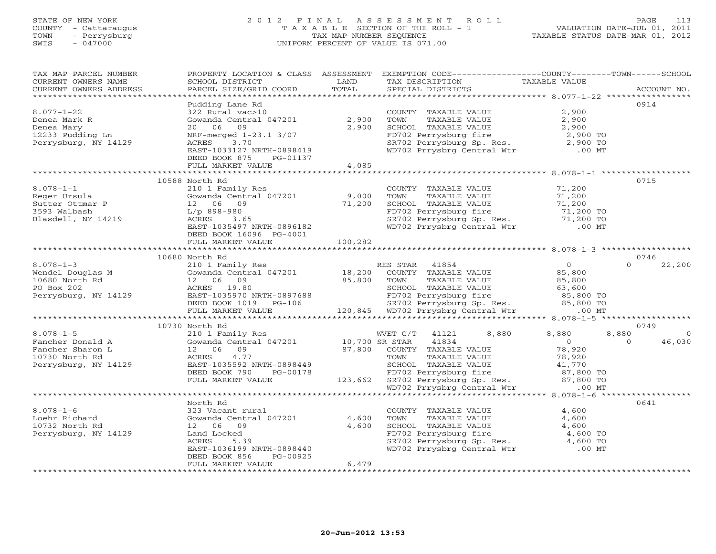## STATE OF NEW YORK 2 0 1 2 F I N A L A S S E S S M E N T R O L L PAGE 113 COUNTY - Cattaraugus T A X A B L E SECTION OF THE ROLL - 1 VALUATION DATE-JUL 01, 2011 TOWN - Perrysburg TAX MAP NUMBER SEQUENCE TAXABLE STATUS DATE-MAR 01, 2012 SWIS - 047000 UNIFORM PERCENT OF VALUE IS 071.00UNIFORM PERCENT OF VALUE IS 071.00

| TAX MAP PARCEL NUMBER<br>CURRENT OWNERS NAME<br>CURRENT OWNERS ADDRESS                                                                                                                                                                              | SCHOOL DISTRICT<br>PARCEL SIZE/GRID COORD                                                                                                                                                                         | LAND<br>TOTAL  | PROPERTY LOCATION & CLASS ASSESSMENT EXEMPTION CODE----------------COUNTY-------TOWN------SCHOOL<br>TAX DESCRIPTION<br>SPECIAL DISTRICTS                                                                                                    | TAXABLE VALUE                                       | ACCOUNT NO.                            |
|-----------------------------------------------------------------------------------------------------------------------------------------------------------------------------------------------------------------------------------------------------|-------------------------------------------------------------------------------------------------------------------------------------------------------------------------------------------------------------------|----------------|---------------------------------------------------------------------------------------------------------------------------------------------------------------------------------------------------------------------------------------------|-----------------------------------------------------|----------------------------------------|
|                                                                                                                                                                                                                                                     |                                                                                                                                                                                                                   |                |                                                                                                                                                                                                                                             |                                                     |                                        |
| $8.077 - 1 - 22$<br>Denea Mark R<br>Denea Mary<br>12233 Pudding Ln<br>Perrysburg, NY 14129                                                                                                                                                          | Pudding Lane Rd<br>1 ddding 2010 11:<br>322 Rural vac>10<br>Gowanda Central 047201 2,900<br>20 06 09<br>NRF-merged 1-23.1 3/07<br>ACRES 3.70<br>ACRES 3.70<br>EAST-1033127 NRTH-0898419<br>DEED BOOK 875 PG-01137 | 2,900          | COUNTY TAXABLE VALUE 2,900<br>TOWN TAXABLE VALUE 2,900<br>SCHOOL TAXABLE VALUE 2,900<br>FD702 Perrysburg fire 2,900 TO<br>SR702 Perrysburg Sp. Res. 2,900 TO<br>WD702 Prrysbrg Central Wtr .00 MT                                           |                                                     | 0914                                   |
|                                                                                                                                                                                                                                                     | FULL MARKET VALUE                                                                                                                                                                                                 | 4,085          |                                                                                                                                                                                                                                             |                                                     |                                        |
| $8.078 - 1 - 1$<br>Blasdell, NY 14219                                                                                                                                                                                                               | 10588 North Rd<br>210 1 Family Res<br>Gowanda Central 047201 9,000<br>12 06 09 71,200<br>L/p 898-980 ACRES 3.65<br>EAST-1035497 NRTH-0896182<br>DEED BOOK 16096 PG-4001                                           |                | COUNTY TAXABLE VALUE 71,200<br>TOWN TAXABLE VALUE 71,200<br>CHOOL TAXABLE VALUE<br>SCHOOL TAXABLE VALUE<br>FD702 Perrysburg fire 71,200 TO<br>SR702 Perrysburg Sp. Res. 71,200 TO<br>WD702 Prrysbrg Central Wtr .00 MT                      |                                                     | 0715                                   |
|                                                                                                                                                                                                                                                     | FULL MARKET VALUE                                                                                                                                                                                                 | 100, 282       |                                                                                                                                                                                                                                             |                                                     |                                        |
|                                                                                                                                                                                                                                                     |                                                                                                                                                                                                                   |                |                                                                                                                                                                                                                                             |                                                     |                                        |
|                                                                                                                                                                                                                                                     | 10680 North Rd                                                                                                                                                                                                    |                |                                                                                                                                                                                                                                             |                                                     | 0746                                   |
| 8.078-1-3<br>Wendel Douglas M<br>10680 North Rd<br>PO Box 202<br>Perrysburg, NY 14129<br>Perrysburg, NY 14129<br>Perrysburg, NY 14129<br>Perrysburg, NY 14129<br>Perrysburg, NY 14129<br>Perrysburg, NY 14129<br>Perrysburg, NY 14129<br>Perrysburg |                                                                                                                                                                                                                   |                | %) North Rd<br>2001 Family Res<br>35,800 EASTA 41854<br>35,800 EASTA 41854<br>2006 09 85,800 TOWN TAXABLE VALUE 85,800<br>ACRES 19.80 SCHOOL TAXABLE VALUE 85,800<br>EAST-1035970 NRTH-0897688 FD702 Perrysburg fire 85,800 TO<br>DEED BOOK |                                                     | $\Omega$<br>22,200                     |
|                                                                                                                                                                                                                                                     |                                                                                                                                                                                                                   |                |                                                                                                                                                                                                                                             |                                                     |                                        |
|                                                                                                                                                                                                                                                     | 10730 North Rd                                                                                                                                                                                                    |                |                                                                                                                                                                                                                                             |                                                     | 0749                                   |
| VOCAL CONSULTED MANUST CONSUMING MANUST CONSUMING MANUST CONSUMING MANUST CONSULTED AND CONSULTED A CONSUMING MANUST AND PERTYSDURY PERTYSDURY PERTYSDURY AND RESTANDUM MANUST CONSUMING MANUST AND MANUST CONSUMING MANUST MA                      |                                                                                                                                                                                                                   |                | 8,880<br>WVET C/T 41121<br>41834<br>87,800 COUNTY TAXABLE VALUE<br>TOWN TAXABLE VALUE                                                                                                                                                       | 8,880<br>$\begin{array}{c} 0 \\ 78,920 \end{array}$ | 8,880<br>$\circ$<br>$\Omega$<br>46,030 |
|                                                                                                                                                                                                                                                     |                                                                                                                                                                                                                   |                |                                                                                                                                                                                                                                             |                                                     |                                        |
| $8.078 - 1 - 6$<br>Loehr Richard<br>10732 North Rd<br>Perrysburg, NY 14129                                                                                                                                                                          | North Rd<br>323 Vacant rural<br>Gowanda Central 047201 4,600<br>12 06 09<br>Land Locked<br>ACRES<br>5.39<br>EAST-1036199 NRTH-0898440<br>DEED BOOK 856<br>PG-00925<br>FULL MARKET VALUE                           | 4,600<br>6,479 | COUNTY TAXABLE VALUE<br>TAXABLE VALUE<br>TOWN<br>SCHOOL TAXABLE VALUE<br>SCHOOL TAXABLE VALUE 4,600<br>FD702 Perrysburg fire 4,600 TO<br>SR702 Perrysburg Sp. Res. 4,600 TO<br>WD702 Prrysbrg Central Wtr .00 MT                            | 4,600<br>4,600<br>4,600                             | 0641                                   |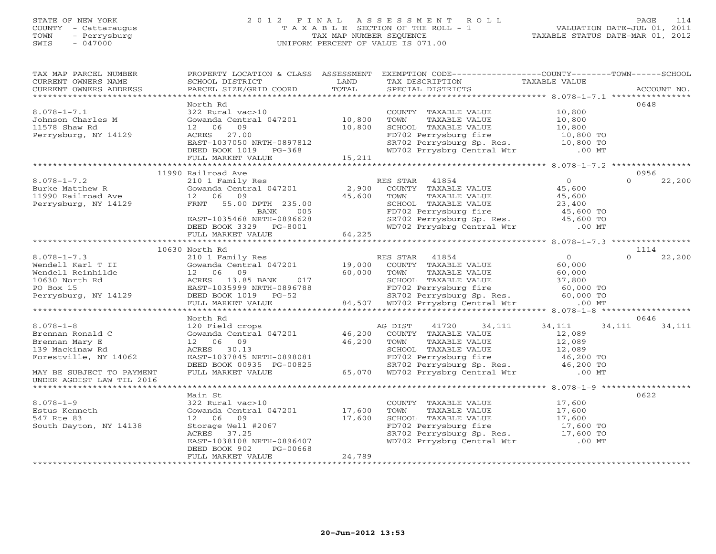## STATE OF NEW YORK 2 0 1 2 F I N A L A S S E S S M E N T R O L L PAGE 114 COUNTY - Cattaraugus T A X A B L E SECTION OF THE ROLL - 1 VALUATION DATE-JUL 01, 2011 TOWN - Perrysburg TAX MAP NUMBER SEQUENCE TAXABLE STATUS DATE-MAR 01, 2012 SWIS - 047000 UNIFORM PERCENT OF VALUE IS 071.00UNIFORM PERCENT OF VALUE IS 071.00

| North Rd<br>0648<br>322 Rural vac>10<br>$8.078 - 1 - 7.1$<br>COUNTY TAXABLE VALUE 10,800<br>Gowanda Central 047201 10,800<br>Johnson Charles M<br>11578 Shaw Rd<br>TOWN TAXABLE VALUE<br>SCHOOL TAXABLE VALUE<br>TO 10,800<br>FD702 Perrysburg fire 10,800 TO<br>SR702 Perrysburg Sp. Res. 10,800 TO<br>WD702 Prrysbrg Central Wtr .00 MT<br>11578 Shaw Rd<br>12 06<br>09<br>10,800<br>Perrysburg, NY 14129<br>ACRES 27.00<br>EAST-1037050 NRTH-0897812<br>DEED BOOK 1019 PG-368<br>DEED BOOK 1019 PG-368<br>FULL MARKET VALUE 15, 211<br>11990 Railroad Ave<br>0956<br>$8.078 - 1 - 7.2$<br>$\overline{O}$<br>22,200<br>RES STAR 41854<br>$\Omega$<br>----<br>210 1 Family Res<br>Gowanda Central 047201 2,900<br>12 66 09 45,600<br>Example 1990 And the Matchew R<br>11990 Railroad Ave 12 06 09<br>Perrysburg, NY 14129 12 06 09<br>COUNTY TAXABLE VALUE<br>45,600<br>TAXABLE VALUE<br>45,600<br>TOWN<br>FRNT 55.00 DPTH 235.00<br>EAST-1035468 NRTH-0896628<br>DEED BOOK 3329 PG-8001<br>FULL MARKET VALUE 64,225<br>CHOOL TAXABLE VALUE 23,400<br>FD702 Perrysburg fire 45,600 TO<br>SR702 Perrysburg Sp. Res. 45,600 TO<br>WD702 Prrysbrg Central Wtr .00 MT<br>10630 North Rd<br>1114<br>$\Omega$<br>22,200<br>0646<br>$8.078 - 1 - 8$<br>AG DIST<br>41720 34,111 34,111<br>34, 111 34, 111<br>120 Field crops<br>Gowanda Central $047201$ 46,200<br>Brennan Ronald C<br>COUNTY TAXABLE VALUE<br>12,089<br>12 06 09<br>ACRES 30.13<br>EAST-1037845 NRTH-0898081<br>DEED BOOK 00935 PG-00825<br>FUILL MARKET VALUE<br>EULL MARKET VALUE<br>ACRES 30.13<br>EAST-1037845 NRTH-0898081<br>PD702 Perrysburg fire<br>SR702 Perrysburg Sp. Res.<br>ACRES 12,089<br>SCH<br>139 Mackinaw Rd<br>Forestville, NY 14062<br>MAY BE SUBJECT TO PAYMENT<br>UNDER AGDIST LAW TIL 2016<br>0622<br>Main St<br>$8.078 - 1 - 9$<br>322 Rural vac>10<br>17,600<br>17,600<br>COUNTY TAXABLE VALUE<br>Gowanda Central 047201 17,600<br>TAXABLE VALUE<br>Estus Kenneth<br>TOWN<br>SCHOOL TAXABLE VALUE<br>FD702 Perrysburg fire 17,600 TO<br>SR702 Perrysburg Sp. Res. 17,600 TO<br>WD702 Prrysbrg Central Wtr .00 MT<br>$5000$<br>Storage Well #2067<br>ACRES 37.25<br>EAST-1038109 ACRES<br>547 Rte 83<br>South Dayton, NY 14138<br>EAST-1038108 NRTH-0896407<br>PG-00668<br>DEED BOOK 902<br>24,789<br>FULL MARKET VALUE | TAX MAP PARCEL NUMBER<br>CURRENT OWNERS NAME<br>CURRENT OWNERS ADDRESS | SCHOOL DISTRICT<br><b>EXAMPLE DESCRIPTION OF A LAND</b><br>PARCEL SIZE/GRID COORD | TOTAL | PROPERTY LOCATION & CLASS ASSESSMENT EXEMPTION CODE----------------COUNTY-------TOWN------SCHOOL<br>TAX DESCRIPTION TAXABLE VALUE SPECIAL DISTRICTS | ACCOUNT NO. |
|-------------------------------------------------------------------------------------------------------------------------------------------------------------------------------------------------------------------------------------------------------------------------------------------------------------------------------------------------------------------------------------------------------------------------------------------------------------------------------------------------------------------------------------------------------------------------------------------------------------------------------------------------------------------------------------------------------------------------------------------------------------------------------------------------------------------------------------------------------------------------------------------------------------------------------------------------------------------------------------------------------------------------------------------------------------------------------------------------------------------------------------------------------------------------------------------------------------------------------------------------------------------------------------------------------------------------------------------------------------------------------------------------------------------------------------------------------------------------------------------------------------------------------------------------------------------------------------------------------------------------------------------------------------------------------------------------------------------------------------------------------------------------------------------------------------------------------------------------------------------------------------------------------------------------------------------------------------------------------------------------------------------------------------------------------------------------------------------------------------------------------------------------------------------------------------------------------------------------------------------------------------------------------------------------------------|------------------------------------------------------------------------|-----------------------------------------------------------------------------------|-------|-----------------------------------------------------------------------------------------------------------------------------------------------------|-------------|
|                                                                                                                                                                                                                                                                                                                                                                                                                                                                                                                                                                                                                                                                                                                                                                                                                                                                                                                                                                                                                                                                                                                                                                                                                                                                                                                                                                                                                                                                                                                                                                                                                                                                                                                                                                                                                                                                                                                                                                                                                                                                                                                                                                                                                                                                                                             |                                                                        |                                                                                   |       |                                                                                                                                                     |             |
|                                                                                                                                                                                                                                                                                                                                                                                                                                                                                                                                                                                                                                                                                                                                                                                                                                                                                                                                                                                                                                                                                                                                                                                                                                                                                                                                                                                                                                                                                                                                                                                                                                                                                                                                                                                                                                                                                                                                                                                                                                                                                                                                                                                                                                                                                                             |                                                                        |                                                                                   |       |                                                                                                                                                     |             |
|                                                                                                                                                                                                                                                                                                                                                                                                                                                                                                                                                                                                                                                                                                                                                                                                                                                                                                                                                                                                                                                                                                                                                                                                                                                                                                                                                                                                                                                                                                                                                                                                                                                                                                                                                                                                                                                                                                                                                                                                                                                                                                                                                                                                                                                                                                             |                                                                        |                                                                                   |       |                                                                                                                                                     |             |
|                                                                                                                                                                                                                                                                                                                                                                                                                                                                                                                                                                                                                                                                                                                                                                                                                                                                                                                                                                                                                                                                                                                                                                                                                                                                                                                                                                                                                                                                                                                                                                                                                                                                                                                                                                                                                                                                                                                                                                                                                                                                                                                                                                                                                                                                                                             |                                                                        |                                                                                   |       |                                                                                                                                                     |             |
|                                                                                                                                                                                                                                                                                                                                                                                                                                                                                                                                                                                                                                                                                                                                                                                                                                                                                                                                                                                                                                                                                                                                                                                                                                                                                                                                                                                                                                                                                                                                                                                                                                                                                                                                                                                                                                                                                                                                                                                                                                                                                                                                                                                                                                                                                                             |                                                                        |                                                                                   |       |                                                                                                                                                     |             |
|                                                                                                                                                                                                                                                                                                                                                                                                                                                                                                                                                                                                                                                                                                                                                                                                                                                                                                                                                                                                                                                                                                                                                                                                                                                                                                                                                                                                                                                                                                                                                                                                                                                                                                                                                                                                                                                                                                                                                                                                                                                                                                                                                                                                                                                                                                             |                                                                        |                                                                                   |       |                                                                                                                                                     |             |
|                                                                                                                                                                                                                                                                                                                                                                                                                                                                                                                                                                                                                                                                                                                                                                                                                                                                                                                                                                                                                                                                                                                                                                                                                                                                                                                                                                                                                                                                                                                                                                                                                                                                                                                                                                                                                                                                                                                                                                                                                                                                                                                                                                                                                                                                                                             |                                                                        |                                                                                   |       |                                                                                                                                                     |             |
|                                                                                                                                                                                                                                                                                                                                                                                                                                                                                                                                                                                                                                                                                                                                                                                                                                                                                                                                                                                                                                                                                                                                                                                                                                                                                                                                                                                                                                                                                                                                                                                                                                                                                                                                                                                                                                                                                                                                                                                                                                                                                                                                                                                                                                                                                                             |                                                                        |                                                                                   |       |                                                                                                                                                     |             |
|                                                                                                                                                                                                                                                                                                                                                                                                                                                                                                                                                                                                                                                                                                                                                                                                                                                                                                                                                                                                                                                                                                                                                                                                                                                                                                                                                                                                                                                                                                                                                                                                                                                                                                                                                                                                                                                                                                                                                                                                                                                                                                                                                                                                                                                                                                             |                                                                        |                                                                                   |       |                                                                                                                                                     |             |
|                                                                                                                                                                                                                                                                                                                                                                                                                                                                                                                                                                                                                                                                                                                                                                                                                                                                                                                                                                                                                                                                                                                                                                                                                                                                                                                                                                                                                                                                                                                                                                                                                                                                                                                                                                                                                                                                                                                                                                                                                                                                                                                                                                                                                                                                                                             |                                                                        |                                                                                   |       |                                                                                                                                                     |             |
|                                                                                                                                                                                                                                                                                                                                                                                                                                                                                                                                                                                                                                                                                                                                                                                                                                                                                                                                                                                                                                                                                                                                                                                                                                                                                                                                                                                                                                                                                                                                                                                                                                                                                                                                                                                                                                                                                                                                                                                                                                                                                                                                                                                                                                                                                                             |                                                                        |                                                                                   |       |                                                                                                                                                     |             |
|                                                                                                                                                                                                                                                                                                                                                                                                                                                                                                                                                                                                                                                                                                                                                                                                                                                                                                                                                                                                                                                                                                                                                                                                                                                                                                                                                                                                                                                                                                                                                                                                                                                                                                                                                                                                                                                                                                                                                                                                                                                                                                                                                                                                                                                                                                             |                                                                        |                                                                                   |       |                                                                                                                                                     |             |
|                                                                                                                                                                                                                                                                                                                                                                                                                                                                                                                                                                                                                                                                                                                                                                                                                                                                                                                                                                                                                                                                                                                                                                                                                                                                                                                                                                                                                                                                                                                                                                                                                                                                                                                                                                                                                                                                                                                                                                                                                                                                                                                                                                                                                                                                                                             |                                                                        |                                                                                   |       |                                                                                                                                                     |             |
|                                                                                                                                                                                                                                                                                                                                                                                                                                                                                                                                                                                                                                                                                                                                                                                                                                                                                                                                                                                                                                                                                                                                                                                                                                                                                                                                                                                                                                                                                                                                                                                                                                                                                                                                                                                                                                                                                                                                                                                                                                                                                                                                                                                                                                                                                                             |                                                                        |                                                                                   |       |                                                                                                                                                     |             |
|                                                                                                                                                                                                                                                                                                                                                                                                                                                                                                                                                                                                                                                                                                                                                                                                                                                                                                                                                                                                                                                                                                                                                                                                                                                                                                                                                                                                                                                                                                                                                                                                                                                                                                                                                                                                                                                                                                                                                                                                                                                                                                                                                                                                                                                                                                             |                                                                        |                                                                                   |       |                                                                                                                                                     |             |
|                                                                                                                                                                                                                                                                                                                                                                                                                                                                                                                                                                                                                                                                                                                                                                                                                                                                                                                                                                                                                                                                                                                                                                                                                                                                                                                                                                                                                                                                                                                                                                                                                                                                                                                                                                                                                                                                                                                                                                                                                                                                                                                                                                                                                                                                                                             |                                                                        |                                                                                   |       |                                                                                                                                                     |             |
|                                                                                                                                                                                                                                                                                                                                                                                                                                                                                                                                                                                                                                                                                                                                                                                                                                                                                                                                                                                                                                                                                                                                                                                                                                                                                                                                                                                                                                                                                                                                                                                                                                                                                                                                                                                                                                                                                                                                                                                                                                                                                                                                                                                                                                                                                                             |                                                                        |                                                                                   |       |                                                                                                                                                     |             |
|                                                                                                                                                                                                                                                                                                                                                                                                                                                                                                                                                                                                                                                                                                                                                                                                                                                                                                                                                                                                                                                                                                                                                                                                                                                                                                                                                                                                                                                                                                                                                                                                                                                                                                                                                                                                                                                                                                                                                                                                                                                                                                                                                                                                                                                                                                             |                                                                        |                                                                                   |       |                                                                                                                                                     |             |
|                                                                                                                                                                                                                                                                                                                                                                                                                                                                                                                                                                                                                                                                                                                                                                                                                                                                                                                                                                                                                                                                                                                                                                                                                                                                                                                                                                                                                                                                                                                                                                                                                                                                                                                                                                                                                                                                                                                                                                                                                                                                                                                                                                                                                                                                                                             |                                                                        |                                                                                   |       |                                                                                                                                                     |             |
|                                                                                                                                                                                                                                                                                                                                                                                                                                                                                                                                                                                                                                                                                                                                                                                                                                                                                                                                                                                                                                                                                                                                                                                                                                                                                                                                                                                                                                                                                                                                                                                                                                                                                                                                                                                                                                                                                                                                                                                                                                                                                                                                                                                                                                                                                                             |                                                                        |                                                                                   |       |                                                                                                                                                     |             |
|                                                                                                                                                                                                                                                                                                                                                                                                                                                                                                                                                                                                                                                                                                                                                                                                                                                                                                                                                                                                                                                                                                                                                                                                                                                                                                                                                                                                                                                                                                                                                                                                                                                                                                                                                                                                                                                                                                                                                                                                                                                                                                                                                                                                                                                                                                             |                                                                        |                                                                                   |       |                                                                                                                                                     |             |
|                                                                                                                                                                                                                                                                                                                                                                                                                                                                                                                                                                                                                                                                                                                                                                                                                                                                                                                                                                                                                                                                                                                                                                                                                                                                                                                                                                                                                                                                                                                                                                                                                                                                                                                                                                                                                                                                                                                                                                                                                                                                                                                                                                                                                                                                                                             |                                                                        |                                                                                   |       |                                                                                                                                                     |             |
|                                                                                                                                                                                                                                                                                                                                                                                                                                                                                                                                                                                                                                                                                                                                                                                                                                                                                                                                                                                                                                                                                                                                                                                                                                                                                                                                                                                                                                                                                                                                                                                                                                                                                                                                                                                                                                                                                                                                                                                                                                                                                                                                                                                                                                                                                                             |                                                                        |                                                                                   |       |                                                                                                                                                     |             |
|                                                                                                                                                                                                                                                                                                                                                                                                                                                                                                                                                                                                                                                                                                                                                                                                                                                                                                                                                                                                                                                                                                                                                                                                                                                                                                                                                                                                                                                                                                                                                                                                                                                                                                                                                                                                                                                                                                                                                                                                                                                                                                                                                                                                                                                                                                             |                                                                        |                                                                                   |       |                                                                                                                                                     |             |
|                                                                                                                                                                                                                                                                                                                                                                                                                                                                                                                                                                                                                                                                                                                                                                                                                                                                                                                                                                                                                                                                                                                                                                                                                                                                                                                                                                                                                                                                                                                                                                                                                                                                                                                                                                                                                                                                                                                                                                                                                                                                                                                                                                                                                                                                                                             |                                                                        |                                                                                   |       |                                                                                                                                                     |             |
|                                                                                                                                                                                                                                                                                                                                                                                                                                                                                                                                                                                                                                                                                                                                                                                                                                                                                                                                                                                                                                                                                                                                                                                                                                                                                                                                                                                                                                                                                                                                                                                                                                                                                                                                                                                                                                                                                                                                                                                                                                                                                                                                                                                                                                                                                                             |                                                                        |                                                                                   |       |                                                                                                                                                     |             |
|                                                                                                                                                                                                                                                                                                                                                                                                                                                                                                                                                                                                                                                                                                                                                                                                                                                                                                                                                                                                                                                                                                                                                                                                                                                                                                                                                                                                                                                                                                                                                                                                                                                                                                                                                                                                                                                                                                                                                                                                                                                                                                                                                                                                                                                                                                             |                                                                        |                                                                                   |       |                                                                                                                                                     |             |
|                                                                                                                                                                                                                                                                                                                                                                                                                                                                                                                                                                                                                                                                                                                                                                                                                                                                                                                                                                                                                                                                                                                                                                                                                                                                                                                                                                                                                                                                                                                                                                                                                                                                                                                                                                                                                                                                                                                                                                                                                                                                                                                                                                                                                                                                                                             |                                                                        |                                                                                   |       |                                                                                                                                                     |             |
|                                                                                                                                                                                                                                                                                                                                                                                                                                                                                                                                                                                                                                                                                                                                                                                                                                                                                                                                                                                                                                                                                                                                                                                                                                                                                                                                                                                                                                                                                                                                                                                                                                                                                                                                                                                                                                                                                                                                                                                                                                                                                                                                                                                                                                                                                                             |                                                                        |                                                                                   |       |                                                                                                                                                     |             |
|                                                                                                                                                                                                                                                                                                                                                                                                                                                                                                                                                                                                                                                                                                                                                                                                                                                                                                                                                                                                                                                                                                                                                                                                                                                                                                                                                                                                                                                                                                                                                                                                                                                                                                                                                                                                                                                                                                                                                                                                                                                                                                                                                                                                                                                                                                             |                                                                        |                                                                                   |       |                                                                                                                                                     |             |
|                                                                                                                                                                                                                                                                                                                                                                                                                                                                                                                                                                                                                                                                                                                                                                                                                                                                                                                                                                                                                                                                                                                                                                                                                                                                                                                                                                                                                                                                                                                                                                                                                                                                                                                                                                                                                                                                                                                                                                                                                                                                                                                                                                                                                                                                                                             |                                                                        |                                                                                   |       |                                                                                                                                                     |             |
|                                                                                                                                                                                                                                                                                                                                                                                                                                                                                                                                                                                                                                                                                                                                                                                                                                                                                                                                                                                                                                                                                                                                                                                                                                                                                                                                                                                                                                                                                                                                                                                                                                                                                                                                                                                                                                                                                                                                                                                                                                                                                                                                                                                                                                                                                                             |                                                                        |                                                                                   |       |                                                                                                                                                     |             |
|                                                                                                                                                                                                                                                                                                                                                                                                                                                                                                                                                                                                                                                                                                                                                                                                                                                                                                                                                                                                                                                                                                                                                                                                                                                                                                                                                                                                                                                                                                                                                                                                                                                                                                                                                                                                                                                                                                                                                                                                                                                                                                                                                                                                                                                                                                             | Brennan Mary E                                                         |                                                                                   |       |                                                                                                                                                     |             |
|                                                                                                                                                                                                                                                                                                                                                                                                                                                                                                                                                                                                                                                                                                                                                                                                                                                                                                                                                                                                                                                                                                                                                                                                                                                                                                                                                                                                                                                                                                                                                                                                                                                                                                                                                                                                                                                                                                                                                                                                                                                                                                                                                                                                                                                                                                             |                                                                        |                                                                                   |       |                                                                                                                                                     |             |
|                                                                                                                                                                                                                                                                                                                                                                                                                                                                                                                                                                                                                                                                                                                                                                                                                                                                                                                                                                                                                                                                                                                                                                                                                                                                                                                                                                                                                                                                                                                                                                                                                                                                                                                                                                                                                                                                                                                                                                                                                                                                                                                                                                                                                                                                                                             |                                                                        |                                                                                   |       |                                                                                                                                                     |             |
|                                                                                                                                                                                                                                                                                                                                                                                                                                                                                                                                                                                                                                                                                                                                                                                                                                                                                                                                                                                                                                                                                                                                                                                                                                                                                                                                                                                                                                                                                                                                                                                                                                                                                                                                                                                                                                                                                                                                                                                                                                                                                                                                                                                                                                                                                                             |                                                                        |                                                                                   |       |                                                                                                                                                     |             |
|                                                                                                                                                                                                                                                                                                                                                                                                                                                                                                                                                                                                                                                                                                                                                                                                                                                                                                                                                                                                                                                                                                                                                                                                                                                                                                                                                                                                                                                                                                                                                                                                                                                                                                                                                                                                                                                                                                                                                                                                                                                                                                                                                                                                                                                                                                             |                                                                        |                                                                                   |       |                                                                                                                                                     |             |
|                                                                                                                                                                                                                                                                                                                                                                                                                                                                                                                                                                                                                                                                                                                                                                                                                                                                                                                                                                                                                                                                                                                                                                                                                                                                                                                                                                                                                                                                                                                                                                                                                                                                                                                                                                                                                                                                                                                                                                                                                                                                                                                                                                                                                                                                                                             |                                                                        |                                                                                   |       |                                                                                                                                                     |             |
|                                                                                                                                                                                                                                                                                                                                                                                                                                                                                                                                                                                                                                                                                                                                                                                                                                                                                                                                                                                                                                                                                                                                                                                                                                                                                                                                                                                                                                                                                                                                                                                                                                                                                                                                                                                                                                                                                                                                                                                                                                                                                                                                                                                                                                                                                                             |                                                                        |                                                                                   |       |                                                                                                                                                     |             |
|                                                                                                                                                                                                                                                                                                                                                                                                                                                                                                                                                                                                                                                                                                                                                                                                                                                                                                                                                                                                                                                                                                                                                                                                                                                                                                                                                                                                                                                                                                                                                                                                                                                                                                                                                                                                                                                                                                                                                                                                                                                                                                                                                                                                                                                                                                             |                                                                        |                                                                                   |       |                                                                                                                                                     |             |
|                                                                                                                                                                                                                                                                                                                                                                                                                                                                                                                                                                                                                                                                                                                                                                                                                                                                                                                                                                                                                                                                                                                                                                                                                                                                                                                                                                                                                                                                                                                                                                                                                                                                                                                                                                                                                                                                                                                                                                                                                                                                                                                                                                                                                                                                                                             |                                                                        |                                                                                   |       |                                                                                                                                                     |             |
|                                                                                                                                                                                                                                                                                                                                                                                                                                                                                                                                                                                                                                                                                                                                                                                                                                                                                                                                                                                                                                                                                                                                                                                                                                                                                                                                                                                                                                                                                                                                                                                                                                                                                                                                                                                                                                                                                                                                                                                                                                                                                                                                                                                                                                                                                                             |                                                                        |                                                                                   |       |                                                                                                                                                     |             |
|                                                                                                                                                                                                                                                                                                                                                                                                                                                                                                                                                                                                                                                                                                                                                                                                                                                                                                                                                                                                                                                                                                                                                                                                                                                                                                                                                                                                                                                                                                                                                                                                                                                                                                                                                                                                                                                                                                                                                                                                                                                                                                                                                                                                                                                                                                             |                                                                        |                                                                                   |       |                                                                                                                                                     |             |
|                                                                                                                                                                                                                                                                                                                                                                                                                                                                                                                                                                                                                                                                                                                                                                                                                                                                                                                                                                                                                                                                                                                                                                                                                                                                                                                                                                                                                                                                                                                                                                                                                                                                                                                                                                                                                                                                                                                                                                                                                                                                                                                                                                                                                                                                                                             |                                                                        |                                                                                   |       |                                                                                                                                                     |             |
|                                                                                                                                                                                                                                                                                                                                                                                                                                                                                                                                                                                                                                                                                                                                                                                                                                                                                                                                                                                                                                                                                                                                                                                                                                                                                                                                                                                                                                                                                                                                                                                                                                                                                                                                                                                                                                                                                                                                                                                                                                                                                                                                                                                                                                                                                                             |                                                                        |                                                                                   |       |                                                                                                                                                     |             |
|                                                                                                                                                                                                                                                                                                                                                                                                                                                                                                                                                                                                                                                                                                                                                                                                                                                                                                                                                                                                                                                                                                                                                                                                                                                                                                                                                                                                                                                                                                                                                                                                                                                                                                                                                                                                                                                                                                                                                                                                                                                                                                                                                                                                                                                                                                             |                                                                        |                                                                                   |       |                                                                                                                                                     |             |
|                                                                                                                                                                                                                                                                                                                                                                                                                                                                                                                                                                                                                                                                                                                                                                                                                                                                                                                                                                                                                                                                                                                                                                                                                                                                                                                                                                                                                                                                                                                                                                                                                                                                                                                                                                                                                                                                                                                                                                                                                                                                                                                                                                                                                                                                                                             |                                                                        |                                                                                   |       |                                                                                                                                                     |             |
|                                                                                                                                                                                                                                                                                                                                                                                                                                                                                                                                                                                                                                                                                                                                                                                                                                                                                                                                                                                                                                                                                                                                                                                                                                                                                                                                                                                                                                                                                                                                                                                                                                                                                                                                                                                                                                                                                                                                                                                                                                                                                                                                                                                                                                                                                                             |                                                                        |                                                                                   |       |                                                                                                                                                     |             |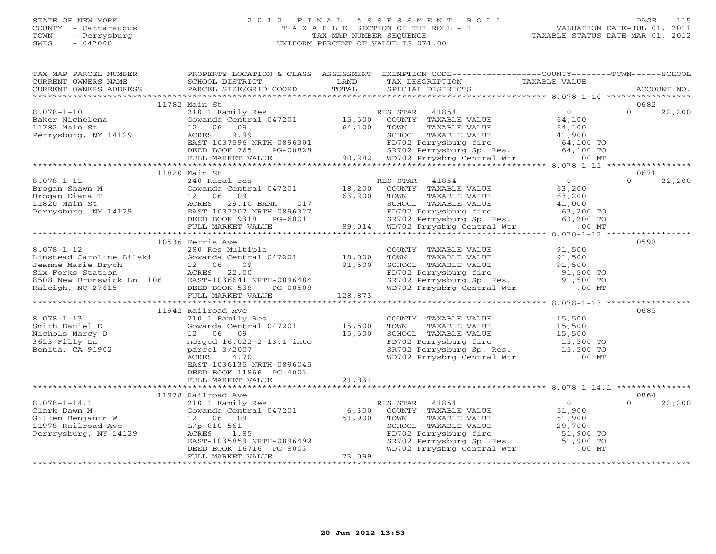## STATE OF NEW YORK 2 0 1 2 F I N A L A S S E S S M E N T R O L L PAGE 115 COUNTY - Cattaraugus T A X A B L E SECTION OF THE ROLL - 1 VALUATION DATE-JUL 01, 2011 TOWN - Perrysburg TAX MAP NUMBER SEQUENCE TAXABLE STATUS DATE-MAR 01, 2012 SWIS - 047000 UNIFORM PERCENT OF VALUE IS 071.00UNIFORM PERCENT OF VALUE IS 071.00

| TAX MAP PARCEL NUMBER                                                                                                                                                                                                                                                                                                                                                                                                                                                                                | PROPERTY LOCATION & CLASS ASSESSMENT                                                                                  |        | EXEMPTION CODE----------------COUNTY-------TOWN------SCHOOL                                                                                                                                                       |                                            |                    |
|------------------------------------------------------------------------------------------------------------------------------------------------------------------------------------------------------------------------------------------------------------------------------------------------------------------------------------------------------------------------------------------------------------------------------------------------------------------------------------------------------|-----------------------------------------------------------------------------------------------------------------------|--------|-------------------------------------------------------------------------------------------------------------------------------------------------------------------------------------------------------------------|--------------------------------------------|--------------------|
| $\begin{tabular}{lllllll} \multicolumn{2}{l}{{\small\sc{CURERNT}}}& $\text{MME}$ & $\text{SCHODL}$ & $\text{SCHOOL} $ & $\text{ISTRICT}$ & $\text{LAND}$ & $\text{TAX} $ & $\text{DESCRIPTION}$ & $\text{TAXABLE} $ & $\text{VALUE}$ \\ & $\text{CURERNT} $ & $\text{ADDRES} $ & $\text{ACCOUNT} $ & $\text{NOL}$ & $\text{PORL}$ & $\text{SPECIAL} $ & $\text{DISTRICTS}$ & $\text{ACCOUNT} $ & $\text{ACCOUNT} $ \\ & $\text{*} \star \star \star \star \star \star \star \star \star \star \star$ |                                                                                                                       |        |                                                                                                                                                                                                                   |                                            |                    |
|                                                                                                                                                                                                                                                                                                                                                                                                                                                                                                      |                                                                                                                       |        |                                                                                                                                                                                                                   |                                            |                    |
|                                                                                                                                                                                                                                                                                                                                                                                                                                                                                                      | 11782 Main St                                                                                                         |        |                                                                                                                                                                                                                   |                                            | 0682               |
| $8.078 - 1 - 10$                                                                                                                                                                                                                                                                                                                                                                                                                                                                                     |                                                                                                                       |        | RES STAR                                                                                                                                                                                                          |                                            | $\Omega$<br>22,200 |
| Baker Nichelena<br>11782 Main St<br>Perrysburg, NY 14129                                                                                                                                                                                                                                                                                                                                                                                                                                             | 210 1 Family Res<br>Gowanda Central 047201 15,500                                                                     |        | ES STAR $41854$ 0<br>COUNTY TAXABLE VALUE 64,100                                                                                                                                                                  |                                            |                    |
|                                                                                                                                                                                                                                                                                                                                                                                                                                                                                                      |                                                                                                                       |        |                                                                                                                                                                                                                   |                                            |                    |
|                                                                                                                                                                                                                                                                                                                                                                                                                                                                                                      |                                                                                                                       |        |                                                                                                                                                                                                                   |                                            |                    |
|                                                                                                                                                                                                                                                                                                                                                                                                                                                                                                      |                                                                                                                       |        |                                                                                                                                                                                                                   |                                            |                    |
|                                                                                                                                                                                                                                                                                                                                                                                                                                                                                                      |                                                                                                                       |        |                                                                                                                                                                                                                   |                                            |                    |
|                                                                                                                                                                                                                                                                                                                                                                                                                                                                                                      |                                                                                                                       |        |                                                                                                                                                                                                                   |                                            |                    |
| 11782 Main St<br>11782 Main St<br>218 Main St<br>218 Main St<br>218 Main St<br>218 Main St<br>218 Main St<br>218 Main St<br>218 Main St<br>218 Main St<br>218 Main St<br>218 Main St<br>218 Main St<br>218 Main St<br>218 Main St<br>218 Main St<br>218 Main S                                                                                                                                                                                                                                       |                                                                                                                       |        |                                                                                                                                                                                                                   |                                            |                    |
|                                                                                                                                                                                                                                                                                                                                                                                                                                                                                                      | 11820 Main St                                                                                                         |        |                                                                                                                                                                                                                   |                                            | 0671               |
|                                                                                                                                                                                                                                                                                                                                                                                                                                                                                                      |                                                                                                                       |        |                                                                                                                                                                                                                   | $\begin{array}{c} 0 \\ 63,200 \end{array}$ | $\Omega$<br>22,200 |
|                                                                                                                                                                                                                                                                                                                                                                                                                                                                                                      |                                                                                                                       |        |                                                                                                                                                                                                                   |                                            |                    |
|                                                                                                                                                                                                                                                                                                                                                                                                                                                                                                      |                                                                                                                       |        |                                                                                                                                                                                                                   |                                            |                    |
|                                                                                                                                                                                                                                                                                                                                                                                                                                                                                                      |                                                                                                                       |        |                                                                                                                                                                                                                   |                                            |                    |
|                                                                                                                                                                                                                                                                                                                                                                                                                                                                                                      |                                                                                                                       |        |                                                                                                                                                                                                                   |                                            |                    |
|                                                                                                                                                                                                                                                                                                                                                                                                                                                                                                      |                                                                                                                       |        |                                                                                                                                                                                                                   |                                            |                    |
|                                                                                                                                                                                                                                                                                                                                                                                                                                                                                                      |                                                                                                                       |        |                                                                                                                                                                                                                   |                                            |                    |
|                                                                                                                                                                                                                                                                                                                                                                                                                                                                                                      |                                                                                                                       |        |                                                                                                                                                                                                                   |                                            |                    |
|                                                                                                                                                                                                                                                                                                                                                                                                                                                                                                      |                                                                                                                       |        |                                                                                                                                                                                                                   |                                            |                    |
|                                                                                                                                                                                                                                                                                                                                                                                                                                                                                                      | 10536 Ferris Ave                                                                                                      |        |                                                                                                                                                                                                                   |                                            | 0598               |
|                                                                                                                                                                                                                                                                                                                                                                                                                                                                                                      |                                                                                                                       |        |                                                                                                                                                                                                                   |                                            |                    |
|                                                                                                                                                                                                                                                                                                                                                                                                                                                                                                      |                                                                                                                       |        |                                                                                                                                                                                                                   |                                            |                    |
|                                                                                                                                                                                                                                                                                                                                                                                                                                                                                                      |                                                                                                                       |        |                                                                                                                                                                                                                   |                                            |                    |
|                                                                                                                                                                                                                                                                                                                                                                                                                                                                                                      |                                                                                                                       |        |                                                                                                                                                                                                                   |                                            |                    |
|                                                                                                                                                                                                                                                                                                                                                                                                                                                                                                      |                                                                                                                       |        |                                                                                                                                                                                                                   |                                            |                    |
|                                                                                                                                                                                                                                                                                                                                                                                                                                                                                                      |                                                                                                                       |        |                                                                                                                                                                                                                   |                                            |                    |
|                                                                                                                                                                                                                                                                                                                                                                                                                                                                                                      |                                                                                                                       |        |                                                                                                                                                                                                                   |                                            |                    |
| $\begin{tabular}{lllllllllllll} \multicolumn{3}{c}{10556}{\begin{tabular}{l} \multicolumn{3}{c}{10556}{\begin{tabular}{l} \multicolumn{3}{c}{10556}{\begin{tabular}{l} \multicolumn{3}{c}{1056}{\begin{tabular}{l} \multicolumn{3}{c}{1056}{\begin{tabular}{l} \multicolumn{3}{c}{1056}{\begin{tabular}{l} \multicolumn{3}{c}{1056}{\begin{tabular}{l} \multicolumn{3}{c}{1056}{\begin{tabular}{l} \multicolumn{3}{c}{1056}{\begin{tabular}{l} \multicolumn{$                                        |                                                                                                                       |        |                                                                                                                                                                                                                   |                                            |                    |
|                                                                                                                                                                                                                                                                                                                                                                                                                                                                                                      | 11942 Railroad Ave                                                                                                    |        |                                                                                                                                                                                                                   |                                            | 0685               |
| $8.078 - 1 - 13$                                                                                                                                                                                                                                                                                                                                                                                                                                                                                     | 210 1 Family Res                                                                                                      |        | COUNTY TAXABLE VALUE                                                                                                                                                                                              | 15,500<br>15,500                           |                    |
|                                                                                                                                                                                                                                                                                                                                                                                                                                                                                                      | Gowanda Central 047201 15,500                                                                                         |        |                                                                                                                                                                                                                   |                                            |                    |
|                                                                                                                                                                                                                                                                                                                                                                                                                                                                                                      |                                                                                                                       |        |                                                                                                                                                                                                                   |                                            |                    |
| o.v/o-1-13<br>Smith Daniel D<br>Nichols Marcy D<br>3613 Filly Ln<br>Bonita, CA 91902                                                                                                                                                                                                                                                                                                                                                                                                                 | 12 06 09 15,500<br>merged 16.022-2-13.1 into<br>parcel 3/2007                                                         |        |                                                                                                                                                                                                                   |                                            |                    |
|                                                                                                                                                                                                                                                                                                                                                                                                                                                                                                      | parcel 3/2007                                                                                                         |        |                                                                                                                                                                                                                   |                                            |                    |
|                                                                                                                                                                                                                                                                                                                                                                                                                                                                                                      | 4.70<br>ACRES                                                                                                         |        | TOWN TAXABLE VALUE<br>TOWN TAXABLE VALUE<br>SCHOOL TAXABLE VALUE<br>TD702 Perrysburg fire 15,500<br>SR702 Perrysburg Sp. Res. 15,500 TO<br>WD702 Prrysbrg Central Wtr .00 MT                                      |                                            |                    |
|                                                                                                                                                                                                                                                                                                                                                                                                                                                                                                      | EAST-1036135 NRTH-0896045                                                                                             |        |                                                                                                                                                                                                                   |                                            |                    |
|                                                                                                                                                                                                                                                                                                                                                                                                                                                                                                      | DEED BOOK 11866 PG-4003                                                                                               |        |                                                                                                                                                                                                                   |                                            |                    |
|                                                                                                                                                                                                                                                                                                                                                                                                                                                                                                      | FULL MARKET VALUE                                                                                                     | 21,831 |                                                                                                                                                                                                                   |                                            |                    |
|                                                                                                                                                                                                                                                                                                                                                                                                                                                                                                      |                                                                                                                       |        |                                                                                                                                                                                                                   |                                            |                    |
|                                                                                                                                                                                                                                                                                                                                                                                                                                                                                                      | 11978 Railroad Ave                                                                                                    |        |                                                                                                                                                                                                                   |                                            | 0864               |
|                                                                                                                                                                                                                                                                                                                                                                                                                                                                                                      | 210 1 Family Res                                                                                                      |        | RES STAR<br>41854                                                                                                                                                                                                 | $\begin{array}{c} 0 \\ 51,900 \end{array}$ | 22,200<br>$\Omega$ |
|                                                                                                                                                                                                                                                                                                                                                                                                                                                                                                      |                                                                                                                       |        |                                                                                                                                                                                                                   |                                            |                    |
| 8.078-1-14.1 210 1 Family 1<br>Clark Dawn M Gowanda Centra<br>Gillen Benjamin W 12 06 09<br>11978 Railroad Ave L/p 810-561<br>Perrrysburg, NY 14129 ACRES 1.85                                                                                                                                                                                                                                                                                                                                       | Example 1 Franch 1 MHz<br>Gowanda Central 047201 6,300<br>12 06 09 51,900<br>L/p 810-561<br>ACRES 1.85<br>PACR 103535 |        | ES SIAN TAXABLE VALUE<br>TOUNTY TAXABLE VALUE 51,900<br>TOWN TAXABLE VALUE 51,900<br>SCHOOL TAXABLE VALUE 29,700<br>FD702 Perrysburg fire 51,900 TO<br>SR702 Perrysburg Sp. Res. 51,900 TO<br>- 51,900 TO<br>TOWN |                                            |                    |
|                                                                                                                                                                                                                                                                                                                                                                                                                                                                                                      |                                                                                                                       |        |                                                                                                                                                                                                                   |                                            |                    |
|                                                                                                                                                                                                                                                                                                                                                                                                                                                                                                      |                                                                                                                       |        |                                                                                                                                                                                                                   |                                            |                    |
|                                                                                                                                                                                                                                                                                                                                                                                                                                                                                                      |                                                                                                                       |        |                                                                                                                                                                                                                   |                                            |                    |
|                                                                                                                                                                                                                                                                                                                                                                                                                                                                                                      | DEED BOOK 16716 PG-8003                                                                                               |        | WD702 Prrysbrg Central Wtr                                                                                                                                                                                        | $.00$ MT                                   |                    |
|                                                                                                                                                                                                                                                                                                                                                                                                                                                                                                      | FULL MARKET VALUE                                                                                                     | 73,099 |                                                                                                                                                                                                                   |                                            |                    |
|                                                                                                                                                                                                                                                                                                                                                                                                                                                                                                      |                                                                                                                       |        |                                                                                                                                                                                                                   |                                            |                    |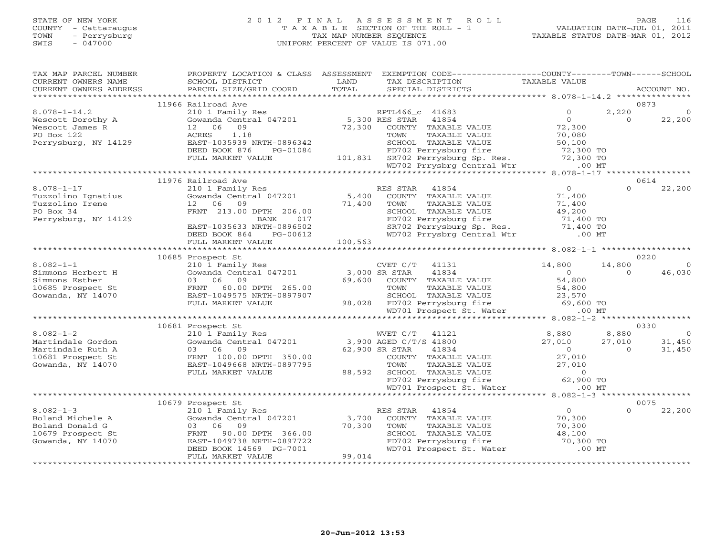## STATE OF NEW YORK 2 0 1 2 F I N A L A S S E S S M E N T R O L L PAGE 116 COUNTY - Cattaraugus T A X A B L E SECTION OF THE ROLL - 1 VALUATION DATE-JUL 01, 2011 TOWN - Perrysburg TAX MAP NUMBER SEQUENCE TAXABLE STATUS DATE-MAR 01, 2012 SWIS - 047000 UNIFORM PERCENT OF VALUE IS 071.00

| TAX MAP PARCEL NUMBER<br>CURRENT OWNERS NAME<br>CURRENT OWNERS ADDRESS | PROPERTY LOCATION & CLASS ASSESSMENT<br>SCHOOL DISTRICT<br>PARCEL SIZE/GRID COORD | LAND<br>TOTAL | EXEMPTION CODE----------------COUNTY-------TOWN------SCHOOL<br>TAX DESCRIPTION<br>SPECIAL DISTRICTS | TAXABLE VALUE      | ACCOUNT NO.                       |
|------------------------------------------------------------------------|-----------------------------------------------------------------------------------|---------------|-----------------------------------------------------------------------------------------------------|--------------------|-----------------------------------|
|                                                                        |                                                                                   |               |                                                                                                     |                    |                                   |
|                                                                        | 11966 Railroad Ave                                                                |               |                                                                                                     |                    | 0873                              |
| $8.078 - 1 - 14.2$                                                     | 210 1 Family Res                                                                  |               | RPTL466 c 41683                                                                                     | $\Omega$           | 2,220                             |
| Wescott Dorothy A                                                      | Gowanda Central 047201                                                            |               | 5,300 RES STAR 41854                                                                                | $\overline{0}$     | $\Omega$<br>22,200                |
| Wescott James R                                                        | 09<br>12 06                                                                       | 72,300        | COUNTY TAXABLE VALUE                                                                                | 72,300             |                                   |
| PO Box 122                                                             | 1.18<br>ACRES                                                                     |               | TOWN<br>TAXABLE VALUE                                                                               | 70,080             |                                   |
| Perrysburg, NY 14129                                                   | EAST-1035939 NRTH-0896342                                                         |               | SCHOOL TAXABLE VALUE                                                                                | 50,100             |                                   |
|                                                                        | DEED BOOK 876<br>PG-01084                                                         |               | FD702 Perrysburg fire                                                                               | 72,300 TO          |                                   |
|                                                                        | FULL MARKET VALUE                                                                 |               |                                                                                                     | 72,300 TO          |                                   |
|                                                                        |                                                                                   |               | 101,831 SR702 Perrysburg Sp. Res.<br>WD702 Prrysbrg Central Wtr                                     | $.00$ MT           |                                   |
|                                                                        |                                                                                   |               |                                                                                                     |                    |                                   |
|                                                                        | 11976 Railroad Ave                                                                |               |                                                                                                     |                    | 0614                              |
| $8.078 - 1 - 17$                                                       | 210 1 Family Res                                                                  |               | RES STAR 41854                                                                                      | $\overline{0}$     | $\Omega$<br>22,200                |
| Tuzzolino Ignatius                                                     | Gowanda Central 047201                                                            | 5,400         | COUNTY TAXABLE VALUE                                                                                | 71,400             |                                   |
| Tuzzolino Irene                                                        | 12 06 09                                                                          | 71,400        | TAXABLE VALUE<br>TOWN                                                                               | 71,400             |                                   |
| PO Box 34                                                              | FRNT 213.00 DPTH 206.00                                                           |               | SCHOOL TAXABLE VALUE                                                                                | 49,200             |                                   |
| Perrysburg, NY 14129                                                   | 017<br>BANK                                                                       |               | FD702 Perrysburg fire                                                                               | 71,400 TO          |                                   |
|                                                                        | EAST-1035633 NRTH-0896502                                                         |               | SR702 Perrysburg Sp. Res. 71,400 TO<br>WD702 Prrysbrg Central Wtr .00 MT                            |                    |                                   |
|                                                                        | DEED BOOK 864<br>PG-00612                                                         |               |                                                                                                     |                    |                                   |
|                                                                        | FULL MARKET VALUE                                                                 | 100,563       |                                                                                                     |                    |                                   |
|                                                                        |                                                                                   |               |                                                                                                     |                    |                                   |
|                                                                        | 10685 Prospect St                                                                 |               |                                                                                                     |                    | 0220                              |
| $8.082 - 1 - 1$                                                        | 210 1 Family Res                                                                  |               | CVET C/T<br>41131                                                                                   | 14,800             | 14,800<br>$\Omega$                |
| Simmons Herbert H                                                      | Gowanda Central 047201                                                            |               | 41834<br>3,000 SR STAR                                                                              | $\Omega$           | 46,030<br>$\Omega$                |
| Simmons Esther                                                         | 03 06 09                                                                          | 69,600        | COUNTY TAXABLE VALUE                                                                                | 54,800             |                                   |
| 10685 Prospect St                                                      | FRNT 60.00 DPTH 265.00                                                            |               | TOWN<br>TAXABLE VALUE                                                                               | 54,800             |                                   |
| Gowanda, NY 14070                                                      | EAST-1049575 NRTH-0897907                                                         |               | SCHOOL TAXABLE VALUE                                                                                | 23,570             |                                   |
|                                                                        | FULL MARKET VALUE                                                                 |               | 98,028 FD702 Perrysburg fire 69,600 TO                                                              |                    |                                   |
|                                                                        |                                                                                   |               | WD701 Prospect St. Water                                                                            | $.00$ MT           |                                   |
|                                                                        |                                                                                   |               |                                                                                                     |                    |                                   |
| $8.082 - 1 - 2$                                                        | 10681 Prospect St                                                                 |               |                                                                                                     |                    | 0330                              |
|                                                                        | 210 1 Family Res<br>Gowanda Central 047201                                        |               | WVET C/T<br>41121<br>3,900 AGED C/T/S 41800                                                         | 8,880              | 8,880<br>$\overline{0}$<br>31,450 |
| Martindale Gordon<br>Martindale Ruth A                                 | 03 06<br>09                                                                       |               | 62,900 SR STAR<br>41834                                                                             | 27,010<br>$\Omega$ | 27,010<br>31,450<br>$\Omega$      |
| 10681 Prospect St                                                      | FRNT 100.00 DPTH 350.00                                                           |               | COUNTY TAXABLE VALUE                                                                                | 27,010             |                                   |
| Gowanda, NY 14070                                                      | EAST-1049668 NRTH-0897795                                                         |               | TOWN<br>TAXABLE VALUE                                                                               | 27,010             |                                   |
|                                                                        | FULL MARKET VALUE                                                                 | 88,592        | SCHOOL TAXABLE VALUE                                                                                | $\circ$            |                                   |
|                                                                        |                                                                                   |               | FD702 Perrysburg fire                                                                               | 62,900 TO          |                                   |
|                                                                        |                                                                                   |               | WD701 Prospect St. Water                                                                            | $.00$ MT           |                                   |
|                                                                        |                                                                                   |               |                                                                                                     |                    |                                   |
|                                                                        | 10679 Prospect St                                                                 |               |                                                                                                     |                    | 0075                              |
| $8.082 - 1 - 3$                                                        | 210 1 Family Res                                                                  |               | 41854<br>RES STAR                                                                                   | $\overline{0}$     | $\Omega$<br>22,200                |
| Boland Michele A                                                       | Gowanda Central 047201                                                            | 3,700         | COUNTY TAXABLE VALUE                                                                                | 70,300             |                                   |
| Boland Donald G                                                        | 09<br>03<br>06                                                                    | 70,300        | TOWN<br>TAXABLE VALUE                                                                               | 70,300             |                                   |
| 10679 Prospect St                                                      | FRNT<br>90.00 DPTH 366.00                                                         |               | SCHOOL TAXABLE VALUE                                                                                | 48,100             |                                   |
| Gowanda, NY 14070                                                      | EAST-1049738 NRTH-0897722                                                         |               | FD702 Perrysburg fire                                                                               | 70,300 TO          |                                   |
|                                                                        | DEED BOOK 14569 PG-7001                                                           |               | WD701 Prospect St. Water                                                                            | $.00$ MT           |                                   |
|                                                                        | FULL MARKET VALUE                                                                 | 99,014        |                                                                                                     |                    |                                   |
|                                                                        |                                                                                   |               |                                                                                                     |                    |                                   |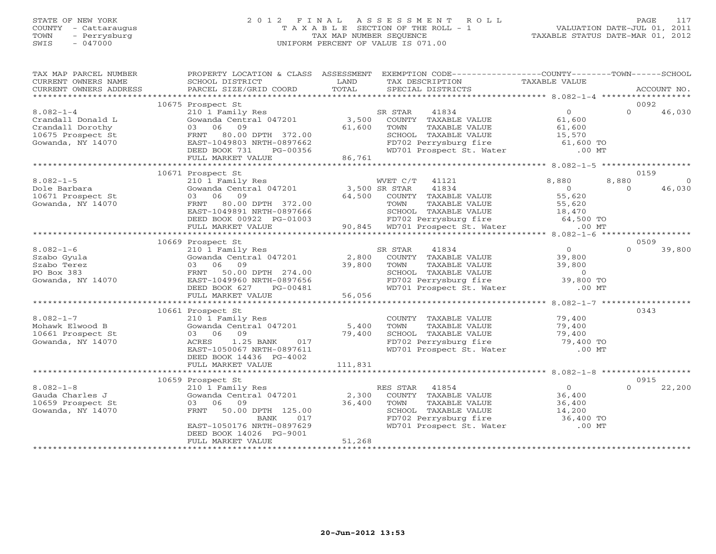## STATE OF NEW YORK 2 0 1 2 F I N A L A S S E S S M E N T R O L L PAGE 117 COUNTY - Cattaraugus T A X A B L E SECTION OF THE ROLL - 1 VALUATION DATE-JUL 01, 2011 TOWN - Perrysburg TAX MAP NUMBER SEQUENCE TAXABLE STATUS DATE-MAR 01, 2012 SWIS - 047000 UNIFORM PERCENT OF VALUE IS 071.00UNIFORM PERCENT OF VALUE IS 071.00

| TAX MAP PARCEL NUMBER<br>CURRENT OWNERS NAME<br>CURRENT OWNERS ADDRESS                                                                                                  | SCHOOL DISTRICT<br>PARCEL SIZE/GRID COORD                                                                                                                                                        | LAND<br>TOTAL    | PROPERTY LOCATION & CLASS ASSESSMENT EXEMPTION CODE---------------COUNTY-------TOWN------SCHOOL<br>TAX DESCRIPTION<br>SPECIAL DISTRICTS                                                                    | TAXABLE VALUE                               | ACCOUNT NO.                 |
|-------------------------------------------------------------------------------------------------------------------------------------------------------------------------|--------------------------------------------------------------------------------------------------------------------------------------------------------------------------------------------------|------------------|------------------------------------------------------------------------------------------------------------------------------------------------------------------------------------------------------------|---------------------------------------------|-----------------------------|
|                                                                                                                                                                         |                                                                                                                                                                                                  |                  |                                                                                                                                                                                                            |                                             |                             |
| $8.082 - 1 - 4$<br>Crandall Donald L<br>$\begin{array}{ll}\n\text{Crandall} & \text{Dorothy} \\ 10675 \text{ m}\n\end{array}$<br>10675 Prospect St<br>Gowanda, NY 14070 | 10675 Prospect St<br>210 1 Family Res<br>03 06 09<br>FRNT 80.00 DPTH 372.00<br>EAST-1049803 NRTH-0897662<br>DEED BOOK 731<br>PG-00356<br>FULL MARKET VALUE                                       | 61,600<br>86,761 | 41834<br>SR STAR<br>Gowanda Central 047201 3,500 COUNTY TAXABLE VALUE<br>TOWN<br>TAXABLE VALUE<br>SCHOOL TAXABLE VALUE 15,570<br>FD702 Perrysburg fire 61,600 TO<br>WD701 Prospect St. Water .00 MT        | $\overline{0}$<br>61,600<br>61,600          | 0092<br>$\Omega$<br>46,030  |
|                                                                                                                                                                         |                                                                                                                                                                                                  |                  |                                                                                                                                                                                                            |                                             | 0159                        |
| $8.082 - 1 - 5$<br>Dole Barbara<br>10671 Prospect St<br>Gowanda, NY 14070                                                                                               | 10671 Prospect St<br>210 1 Family Res<br>210 1 Family Res<br>Gowanda Central 047201 3,500 SR STAR<br>03 06 09<br>FRNT 80.00 DPTH 372.00<br>EAST-1049891 NRTH-0897666<br>DEED BOOK 00922 PG-01003 |                  | WVET C/T 41121<br>41834<br>64,500 COUNTY TAXABLE VALUE<br>TAXABLE VALUE<br>TOWN<br>997666 SCHOOL TAXABLE VALUE 18,470<br>3-01003 FD702 Perrysburg fire 64,500 TO<br>90,845 WD701 Prospect St. Water .00 MT | 8,880<br>$\overline{0}$<br>55,620<br>55,620 | 8,880<br>46,030<br>$\Omega$ |
|                                                                                                                                                                         | FULL MARKET VALUE                                                                                                                                                                                |                  |                                                                                                                                                                                                            |                                             |                             |
|                                                                                                                                                                         | 10669 Prospect St                                                                                                                                                                                |                  |                                                                                                                                                                                                            |                                             | 0509                        |
| $8.082 - 1 - 6$<br>Szabo Gyula<br>Szabo Terez<br>PO Box 383<br>Gowanda, NY 14070                                                                                        | 210 1 Family Res<br>Gowanda Central 047201 2,800<br>03 06 09 39,800<br>FRNT 50.00 DPTH 274.00<br>EAST-1049960 NRTH-0897656<br>DEED BOOK 627<br>PG-00481<br>FULL MARKET VALUE                     | $-56,056$        | SR STAR<br>41834<br>COUNTY TAXABLE VALUE<br>TOWN<br>TAXABLE VALUE<br>SCHOOL TAXABLE VALUE<br>FD702 Perrysburg fire 39,800 TO<br>WD701 Prospect St. Water .00 MT                                            | $\overline{0}$<br>39,800<br>39,800          | $\Omega$<br>39,800          |
|                                                                                                                                                                         |                                                                                                                                                                                                  |                  |                                                                                                                                                                                                            |                                             | 0343                        |
| $8.082 - 1 - 7$<br>Mohawk Elwood B<br>10661 Prospect St<br>Gowanda, NY 14070                                                                                            | 10661 Prospect St<br>210 1 Family Res<br>Gowanda Central 047201 5,400<br>03 06 09<br>1.25 BANK<br>017<br>ACRES<br>EAST-1050067 NRTH-0897611<br>DEED BOOK 14436 PG-4002                           | 79,400           | COUNTY TAXABLE VALUE<br>TAXABLE VALUE<br>TOWN<br>SCHOOL TAXABLE VALUE<br>SCHOOL TAXABLE VALUE<br>FD702 Perrysburg fire<br>WD701 Prospect St. Water .00 MT                                                  | 79,400<br>79,400<br>79,400<br>$79,400$ TO   |                             |
|                                                                                                                                                                         | FULL MARKET VALUE                                                                                                                                                                                | 111,831          |                                                                                                                                                                                                            |                                             |                             |
|                                                                                                                                                                         | 10659 Prospect St                                                                                                                                                                                |                  |                                                                                                                                                                                                            |                                             | 0915                        |
| $8.082 - 1 - 8$<br>Gauda Charles J<br>10659 Prospect St<br>Gowanda, NY 14070                                                                                            | 210 1 Family Res<br>Gowanda Central 047201<br>03 06 09<br>FRNT 50.00 DPTH 125.00<br>BANK<br>017<br>EAST-1050176 NRTH-0897629<br>DEED BOOK 14026 PG-9001<br>FULL MARKET VALUE                     | 36,400<br>51,268 | RES STAR 41854<br>2,300 COUNTY TAXABLE VALUE<br>TAXABLE VALUE<br>TOWN<br>SCHOOL TAXABLE VALUE 14,200<br>FD702 Perrysburg fire 36,400 TO<br>WD701 Prospect St. Water .00 MT                                 | $\overline{0}$<br>36,400<br>36,400          | $\Omega$<br>22,200          |
|                                                                                                                                                                         |                                                                                                                                                                                                  |                  |                                                                                                                                                                                                            |                                             |                             |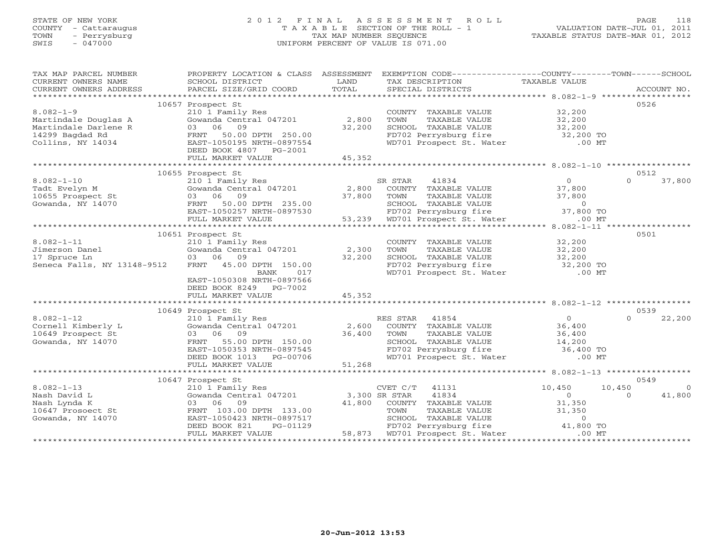# STATE OF NEW YORK 2 0 1 2 F I N A L A S S E S S M E N T R O L L PAGE 118 COUNTY - Cattaraugus T A X A B L E SECTION OF THE ROLL - 1 VALUATION DATE-JUL 01, 2011 TOWN - Perrysburg TAX MAP NUMBER SEQUENCE TAXABLE STATUS DATE-MAR 01, 2012 SWIS - 047000 UNIFORM PERCENT OF VALUE IS 071.00

| TAX MAP PARCEL NUMBER<br>CURRENT OWNERS NAME                                                                                                                                                       | SCHOOL DISTRICT                                                                | LAND   | PROPERTY LOCATION & CLASS ASSESSMENT EXEMPTION CODE---------------COUNTY-------TOWN------SCHOOL<br>TAX DESCRIPTION                                                                                                                                                 | TAXABLE VALUE  |                          |
|----------------------------------------------------------------------------------------------------------------------------------------------------------------------------------------------------|--------------------------------------------------------------------------------|--------|--------------------------------------------------------------------------------------------------------------------------------------------------------------------------------------------------------------------------------------------------------------------|----------------|--------------------------|
|                                                                                                                                                                                                    |                                                                                |        |                                                                                                                                                                                                                                                                    |                |                          |
|                                                                                                                                                                                                    | 10657 Prospect St                                                              |        |                                                                                                                                                                                                                                                                    |                | 0526                     |
| $8.082 - 1 - 9$                                                                                                                                                                                    | 210 1 Family Res                                                               |        | COUNTY TAXABLE VALUE 32,200                                                                                                                                                                                                                                        |                |                          |
|                                                                                                                                                                                                    | Gowanda Central 047201 2,800                                                   |        | TAXABLE VALUE 32,200<br>TAXABLE VALUE 32,200<br>TOWN                                                                                                                                                                                                               |                |                          |
|                                                                                                                                                                                                    |                                                                                | 32,200 | SCHOOL TAXABLE VALUE                                                                                                                                                                                                                                               |                |                          |
|                                                                                                                                                                                                    |                                                                                |        |                                                                                                                                                                                                                                                                    |                |                          |
| Martindale Douglas A (Gowanda Central 047201<br>Martindale Darlene R (33 06 09)<br>14299 Bagdad Rd FRNT 50.00 DPTH 250.00<br>Collins, NY 14034 EAST-1050195 NRTH-0897554<br>DEED BOOK 4807 PG-2001 |                                                                                |        | Express that the control of the control of the FD702 Perrysburg fire 32,200 TO<br>FD702 Perrysburg fire 32,200 TO WD701 Prospect St. Water .00 MT                                                                                                                  |                |                          |
|                                                                                                                                                                                                    |                                                                                |        |                                                                                                                                                                                                                                                                    |                |                          |
|                                                                                                                                                                                                    | FULL MARKET VALUE                                                              | 45,352 |                                                                                                                                                                                                                                                                    |                |                          |
|                                                                                                                                                                                                    |                                                                                |        |                                                                                                                                                                                                                                                                    |                |                          |
|                                                                                                                                                                                                    | 10655 Prospect St<br>210 1 Family Res                                          |        |                                                                                                                                                                                                                                                                    |                | 0512<br>$\Omega$         |
| $8.082 - 1 - 10$                                                                                                                                                                                   |                                                                                |        | SR STAR<br>41834                                                                                                                                                                                                                                                   | $\overline{0}$ | 37,800                   |
| Tadt Evelyn M<br>Tadt Evelyn M<br>10655 Prospect St                                                                                                                                                |                                                                                |        |                                                                                                                                                                                                                                                                    |                |                          |
|                                                                                                                                                                                                    |                                                                                |        |                                                                                                                                                                                                                                                                    |                |                          |
| Gowanda, $NY$ 14070                                                                                                                                                                                |                                                                                |        |                                                                                                                                                                                                                                                                    |                |                          |
|                                                                                                                                                                                                    |                                                                                |        |                                                                                                                                                                                                                                                                    |                |                          |
|                                                                                                                                                                                                    |                                                                                |        | 37,800<br>Gowanda Central 047201<br>37,800<br>37,800<br>2,800<br>2,800<br>TOWN<br>TAXABLE VALUE<br>TAXABLE VALUE<br>SCHOOL<br>TAXABLE VALUE<br>SCHOOL<br>TAXABLE VALUE<br>37,800<br>SCHOOL<br>TAXABLE VALUE<br>2,239<br>MD701 Prospect St. Water<br>FULL MARKET VA |                |                          |
|                                                                                                                                                                                                    | 10651 Prospect St                                                              |        |                                                                                                                                                                                                                                                                    |                | 0501                     |
| $8.082 - 1 - 11$                                                                                                                                                                                   | 210 1 Family Res                                                               |        | COUNTY TAXABLE VALUE 32,200                                                                                                                                                                                                                                        |                |                          |
|                                                                                                                                                                                                    | Gowanda Central 047201 2,300                                                   |        | TAXABLE VALUE 32,200<br>TOWN                                                                                                                                                                                                                                       |                |                          |
| Jimerson Danel<br>17 Spruce Ln 17 Spruce Cowanda Central 047201<br>Seneca Falls, NY 13148-9512 FRNT 45.00 DPTH 150.00                                                                              |                                                                                | 32,200 |                                                                                                                                                                                                                                                                    |                |                          |
|                                                                                                                                                                                                    |                                                                                |        |                                                                                                                                                                                                                                                                    |                |                          |
|                                                                                                                                                                                                    | BANK<br>017                                                                    |        | SCHOOL TAXABLE VALUE 32,200<br>FD702 Perrysburg fire 32,200 TO<br>WD701 Prospect St. Website 32,200 TO<br>WD701 Prospect St. Water                                                                                                                                 | $.00$ MT       |                          |
|                                                                                                                                                                                                    | EAST-1050308 NRTH-0897566                                                      |        |                                                                                                                                                                                                                                                                    |                |                          |
|                                                                                                                                                                                                    | DEED BOOK 8249 PG-7002                                                         |        |                                                                                                                                                                                                                                                                    |                |                          |
|                                                                                                                                                                                                    | FULL MARKET VALUE                                                              | 45,352 |                                                                                                                                                                                                                                                                    |                |                          |
|                                                                                                                                                                                                    |                                                                                |        |                                                                                                                                                                                                                                                                    |                |                          |
|                                                                                                                                                                                                    | 10649 Prospect St                                                              |        |                                                                                                                                                                                                                                                                    |                | 0539                     |
| $8.082 - 1 - 12$                                                                                                                                                                                   |                                                                                |        | RES STAR 41854                                                                                                                                                                                                                                                     | $\overline{0}$ | $\Omega$<br>22,200       |
| Cornell Kimberly L                                                                                                                                                                                 | 210 $\overline{1}$ Family Res<br>Gowanda Central 047201 2,600                  |        | ES STAR 41854<br>COUNTY TAXABLE VALUE                                                                                                                                                                                                                              | 36,400         |                          |
| 10649 Prospect St                                                                                                                                                                                  | 03 06 09                                                                       | 36,400 |                                                                                                                                                                                                                                                                    |                |                          |
| Gowanda, NY 14070                                                                                                                                                                                  | FRNT 55.00 DPTH 150.00<br>EAST-1050353 NRTH-0897545<br>DEED BOOK 1013 PG-00706 |        | TOWN TAXABLE VALUE<br>SCHOOL TAXABLE VALUE 14,200<br>FD702 Perrysburg fire 36,400 TO<br>00 MT                                                                                                                                                                      |                |                          |
|                                                                                                                                                                                                    |                                                                                |        |                                                                                                                                                                                                                                                                    |                |                          |
|                                                                                                                                                                                                    |                                                                                |        | WD701 Prospect St. Water                                                                                                                                                                                                                                           | $.00$ MT       |                          |
|                                                                                                                                                                                                    | FULL MARKET VALUE                                                              | 51,268 |                                                                                                                                                                                                                                                                    |                |                          |
|                                                                                                                                                                                                    |                                                                                |        |                                                                                                                                                                                                                                                                    |                |                          |
|                                                                                                                                                                                                    | 10647 Prospect St                                                              |        |                                                                                                                                                                                                                                                                    |                | 0549                     |
| $8.082 - 1 - 13$                                                                                                                                                                                   | 210 1 Family Res                                                               |        | $CVET C/T$ 41131                                                                                                                                                                                                                                                   | 10,450         | 10,450<br>$\overline{0}$ |
| Nash David L                                                                                                                                                                                       | Gowanda Central 047201 3,300 SR STAR                                           |        | 41834                                                                                                                                                                                                                                                              | $\overline{0}$ | 41,800<br>$\Omega$       |
| Nash Lynda K                                                                                                                                                                                       | 09<br>03 06                                                                    |        | 41,800 COUNTY TAXABLE VALUE                                                                                                                                                                                                                                        | 31,350         |                          |
|                                                                                                                                                                                                    |                                                                                |        |                                                                                                                                                                                                                                                                    |                |                          |
|                                                                                                                                                                                                    |                                                                                |        | TOWN TAXABLE VALUE 31,350<br>SCHOOL TAXABLE VALUE 0<br>FD702 Perrysburg fire 41,800 TO                                                                                                                                                                             |                |                          |
|                                                                                                                                                                                                    | DEED BOOK 821<br>PG-01129                                                      |        |                                                                                                                                                                                                                                                                    |                |                          |
|                                                                                                                                                                                                    | FULL MARKET VALUE                                                              |        | 58,873 WD701 Prospect St. Water .00 MT                                                                                                                                                                                                                             |                |                          |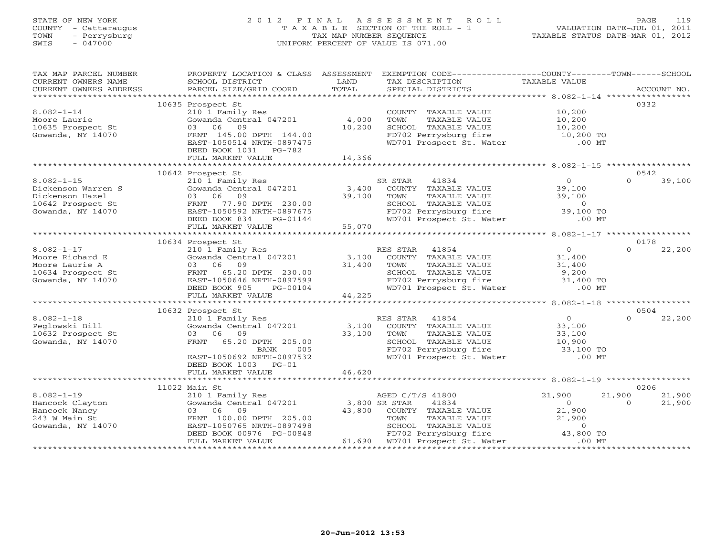## STATE OF NEW YORK 2 0 1 2 F I N A L A S S E S S M E N T R O L L PAGE 119 COUNTY - Cattaraugus T A X A B L E SECTION OF THE ROLL - 1 VALUATION DATE-JUL 01, 2011 TOWN - Perrysburg TAX MAP NUMBER SEQUENCE TAXABLE STATUS DATE-MAR 01, 2012 SWIS - 047000 UNIFORM PERCENT OF VALUE IS 071.00UNIFORM PERCENT OF VALUE IS 071.00

| TAX MAP PARCEL NUMBER  | PROPERTY LOCATION & CLASS ASSESSMENT                  |               | EXEMPTION CODE-----------------COUNTY-------TOWN------SCHOOL                                                          |                        |                      |
|------------------------|-------------------------------------------------------|---------------|-----------------------------------------------------------------------------------------------------------------------|------------------------|----------------------|
| CURRENT OWNERS NAME    | SCHOOL DISTRICT                                       | LAND          | TAX DESCRIPTION                                                                                                       | TAXABLE VALUE          |                      |
| CURRENT OWNERS ADDRESS | PARCEL SIZE/GRID COORD                                | TOTAL         | SPECIAL DISTRICTS                                                                                                     |                        | ACCOUNT NO.          |
|                        |                                                       |               |                                                                                                                       |                        |                      |
|                        | 10635 Prospect St                                     |               |                                                                                                                       |                        | 0332                 |
| $8.082 - 1 - 14$       | 210 1 Family Res                                      |               | COUNTY TAXABLE VALUE                                                                                                  | 10,200                 |                      |
| Moore Laurie           | Gowanda Central 047201                                | 4,000         | TAXABLE VALUE<br>TOWN                                                                                                 | 10,200                 |                      |
| 10635 Prospect St      | 03 06 09                                              | 10,200        | SCHOOL TAXABLE VALUE                                                                                                  |                        |                      |
| Gowanda, NY 14070      | FRNT 145.00 DPTH 144.00                               |               | FD702 Perrysburg fire                                                                                                 | 10,200<br>10,200 TO    |                      |
|                        | EAST-1050514 NRTH-0897475                             |               | WD701 Prospect St. Water                                                                                              | $.00$ MT               |                      |
|                        | DEED BOOK 1031 PG-782                                 |               |                                                                                                                       |                        |                      |
|                        | FULL MARKET VALUE                                     | 14,366        |                                                                                                                       |                        |                      |
|                        |                                                       |               |                                                                                                                       |                        |                      |
|                        | 10642 Prospect St                                     |               |                                                                                                                       |                        | 0542                 |
| $8.082 - 1 - 15$       | 210 1 Family Res                                      |               | 41834<br>SR STAR                                                                                                      | $\overline{0}$         | 39,100<br>$\cap$     |
| Dickenson Warren S     | Gowanda Central 047201                                | 3,400         | COUNTY TAXABLE VALUE                                                                                                  | 39,100                 |                      |
| Dickenson Hazel        | 03 06 09                                              | 39,100        | TAXABLE VALUE<br>TOWN                                                                                                 | 39,100                 |                      |
| 10642 Prospect St      | FRNT 77.90 DPTH 230.00                                |               | SCHOOL TAXABLE VALUE                                                                                                  | $\circ$                |                      |
| Gowanda, NY 14070      | EAST-1050592 NRTH-0897675                             |               | FD702 Perrysburg fire                                                                                                 | 39,100 TO              |                      |
|                        | DEED BOOK 834<br>PG-01144                             |               | WD701 Prospect St. Water                                                                                              | $.00$ MT               |                      |
|                        | FULL MARKET VALUE                                     | 55,070        |                                                                                                                       |                        |                      |
|                        |                                                       |               |                                                                                                                       |                        |                      |
|                        | 10634 Prospect St                                     |               |                                                                                                                       |                        | 0178                 |
| $8.082 - 1 - 17$       | 210 1 Family Res                                      |               | RES STAR<br>41854                                                                                                     | $0 \qquad \qquad$      | $\Omega$<br>22,200   |
| Moore Richard E        | Gowanda Central 047201                                | 3,100         | COUNTY TAXABLE VALUE                                                                                                  | 31,400                 |                      |
| Moore Laurie A         | 03 06 09                                              | 31,400        | TOWN<br>TAXABLE VALUE                                                                                                 | 31,400                 |                      |
| 10634 Prospect St      | FRNT 65.20 DPTH 230.00                                |               | SCHOOL TAXABLE VALUE                                                                                                  | 9,200                  |                      |
| Gowanda, NY 14070      | EAST-1050646 NRTH-0897599                             |               |                                                                                                                       | 31,400 TO              |                      |
|                        | DEED BOOK 905<br>PG-00104                             |               | FD702 Perrysburg fire<br>WD701 Prospect St. Water                                                                     | $.00$ MT               |                      |
|                        | FULL MARKET VALUE                                     | 44,225        |                                                                                                                       |                        |                      |
|                        |                                                       |               |                                                                                                                       |                        |                      |
|                        | 10632 Prospect St                                     |               |                                                                                                                       |                        | 0504                 |
| $8.082 - 1 - 18$       | 210 1 Family Res                                      |               | RES STAR 41854                                                                                                        | $\overline{0}$         | 22,200<br>$\Omega$   |
| Peglowski Bill         | Gowanda Central 047201                                | 3,100         | COUNTY TAXABLE VALUE                                                                                                  |                        |                      |
| 10632 Prospect St      | 03 06 09                                              | 33,100        | TOWN<br>TAXABLE VALUE                                                                                                 |                        |                      |
|                        | FRNT                                                  |               |                                                                                                                       | $33, 100$<br>$33, 100$ |                      |
| Gowanda, NY 14070      | 65.20 DPTH 205.00<br>005<br>BANK                      |               | SCHOOL TAXABLE VALUE 10,900<br>FD702 Perrysburg fire 33,100 TO                                                        |                        |                      |
|                        |                                                       |               |                                                                                                                       | $.00$ MT               |                      |
|                        | EAST-1050692 NRTH-0897532<br>DEED BOOK 1003 PG-01     |               | WD701 Prospect St. Water                                                                                              |                        |                      |
|                        |                                                       | 46,620        |                                                                                                                       |                        |                      |
|                        | FULL MARKET VALUE                                     |               |                                                                                                                       |                        |                      |
|                        |                                                       |               |                                                                                                                       |                        |                      |
| $8.082 - 1 - 19$       | 11022 Main St                                         |               |                                                                                                                       |                        | 0206<br>21,900       |
|                        | 210 1 Family Res                                      | 3,800 SR STAR | AGED C/T/S 41800                                                                                                      | 21,900                 | 21,900<br>$\bigcirc$ |
| Hancock Clayton        | Gowanda Central 047201<br>03 06 09                    |               | 41834                                                                                                                 | $\overline{O}$         | 21,900               |
| Hancock Nancy          |                                                       | 43,800        | COUNTY TAXABLE VALUE                                                                                                  | 21,900                 |                      |
| 243 W Main St          | FRNT 100.00 DPTH 205.00                               |               | TAXABLE VALUE                                                                                                         |                        |                      |
| Gowanda, NY 14070      | EAST-1050765 NRTH-0897498<br>DEED BOOK 00976 PG-00848 |               |                                                                                                                       |                        |                      |
|                        | FULL MARKET VALUE                                     |               | TOWN TAXADLE VALUE<br>SCHOOL TAXABLE VALUE<br>TAR POTTVSburg fire 43,800 TO 100 MT<br>61,690 WD701 Prospect St. Water |                        |                      |
|                        |                                                       |               |                                                                                                                       |                        |                      |
|                        |                                                       |               |                                                                                                                       |                        |                      |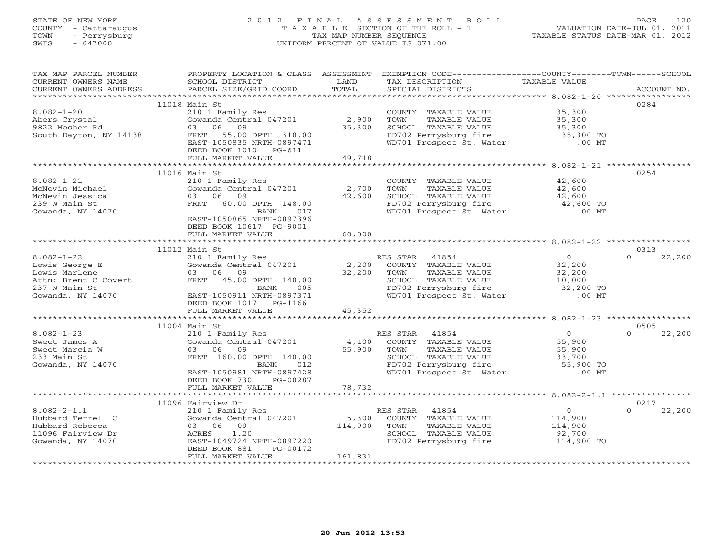## STATE OF NEW YORK 2 0 1 2 F I N A L A S S E S S M E N T R O L L PAGE 120 COUNTY - Cattaraugus T A X A B L E SECTION OF THE ROLL - 1 VALUATION DATE-JUL 01, 2011 TOWN - Perrysburg TAX MAP NUMBER SEQUENCE TAXABLE STATUS DATE-MAR 01, 2012 SWIS - 047000 UNIFORM PERCENT OF VALUE IS 071.00UNIFORM PERCENT OF VALUE IS 071.00

| TAX MAP PARCEL NUMBER                                                                                                                 |                                                                                                                                                               |         | PROPERTY LOCATION & CLASS ASSESSMENT EXEMPTION CODE----------------COUNTY-------TOWN------SCHOOL                                                                       |                                             |                    |
|---------------------------------------------------------------------------------------------------------------------------------------|---------------------------------------------------------------------------------------------------------------------------------------------------------------|---------|------------------------------------------------------------------------------------------------------------------------------------------------------------------------|---------------------------------------------|--------------------|
| CURRENT OWNERS NAME                                                                                                                   | <b>Example 12</b> LAND<br>SCHOOL DISTRICT                                                                                                                     |         | TAX DESCRIPTION                                                                                                                                                        | TAXABLE VALUE                               |                    |
| CURRENT OWNERS NAME SOLOOL DISTRICT COORD TOTAL                                                                                       |                                                                                                                                                               |         | SPECIAL DISTRICTS                                                                                                                                                      |                                             | ACCOUNT NO.        |
|                                                                                                                                       |                                                                                                                                                               |         |                                                                                                                                                                        |                                             |                    |
|                                                                                                                                       | 11018 Main St                                                                                                                                                 |         |                                                                                                                                                                        |                                             | 0284               |
| $8.082 - 1 - 20$                                                                                                                      |                                                                                                                                                               |         | COUNTY TAXABLE VALUE 35,300                                                                                                                                            |                                             |                    |
| Abers Crystal<br>9822 Mosher Rd                                                                                                       |                                                                                                                                                               |         |                                                                                                                                                                        |                                             |                    |
|                                                                                                                                       |                                                                                                                                                               |         |                                                                                                                                                                        |                                             |                    |
| South Dayton, NY 14138                                                                                                                | Main St<br>210 1 Family Res<br>Gowanda Central 047201 2,900<br>03 06 09 35,300<br>FRNT 55.00 DPTH 310.00 35,300                                               |         | COUNTY TAXABLE VALUE<br>TOWN TAXABLE VALUE 35,300<br>SCHOOL TAXABLE VALUE 35,300<br>FD702 Perrysburg fire 35,300 TO<br>The 35,300 TO<br>The 35,300 TO<br>The 35,300 TO |                                             |                    |
|                                                                                                                                       |                                                                                                                                                               |         |                                                                                                                                                                        |                                             |                    |
|                                                                                                                                       | DEED BOOK 1010 PG-611                                                                                                                                         |         |                                                                                                                                                                        |                                             |                    |
|                                                                                                                                       | FULL MARKET VALUE                                                                                                                                             | 49,718  |                                                                                                                                                                        |                                             |                    |
|                                                                                                                                       |                                                                                                                                                               |         |                                                                                                                                                                        |                                             |                    |
|                                                                                                                                       | 11016 Main St                                                                                                                                                 |         |                                                                                                                                                                        |                                             | 0254               |
| $8.082 - 1 - 21$                                                                                                                      | 210 1 Family Res<br>Gowanda Central 047201 2,700 TOWN                                                                                                         |         | COUNTY TAXABLE VALUE                                                                                                                                                   | 42,600                                      |                    |
| McNevin Michael                                                                                                                       |                                                                                                                                                               |         | TAXABLE VALUE 42,600                                                                                                                                                   |                                             |                    |
| McNevin Jessica                                                                                                                       | 03 06 09                                                                                                                                                      | 42,600  | SCHOOL TAXABLE VALUE                                                                                                                                                   | 42,600                                      |                    |
| 239 W Main St                                                                                                                         | FRNT 60.00 DPTH 148.00                                                                                                                                        |         | FD702 Perrysburg fire 42,600 TO                                                                                                                                        |                                             |                    |
| Gowanda, NY 14070                                                                                                                     | BANK 017                                                                                                                                                      |         | WD701 Prospect St. Water                                                                                                                                               | $.00$ MT                                    |                    |
|                                                                                                                                       | EAST-1050865 NRTH-0897396                                                                                                                                     |         |                                                                                                                                                                        |                                             |                    |
|                                                                                                                                       | DEED BOOK 10617 PG-9001                                                                                                                                       |         |                                                                                                                                                                        |                                             |                    |
|                                                                                                                                       | FULL MARKET VALUE                                                                                                                                             | 60,000  |                                                                                                                                                                        |                                             |                    |
|                                                                                                                                       |                                                                                                                                                               |         |                                                                                                                                                                        |                                             |                    |
| Lowis George E<br>Lowis Marlene 210 1 Family<br>Lowis Marlene 03 06 09<br>Attn: Brent C Covert 87<br>237 W Main St<br>Gowanda NY 1101 | 11012 Main St                                                                                                                                                 |         |                                                                                                                                                                        |                                             | 0313               |
|                                                                                                                                       | 210 1 Family Res<br>Gowanda Central 047201 2,200 COUNTY TAXABLE VALUE<br>03 06 09 32,200 TOWN TAXABLE VALUE<br>FRNT 45.00 DPTH 140.00 5 FD702 Perrysburg fire |         |                                                                                                                                                                        | $\begin{array}{c} 0 \\ 32,200 \end{array}$  | 22,200<br>$\Omega$ |
|                                                                                                                                       |                                                                                                                                                               |         |                                                                                                                                                                        |                                             |                    |
|                                                                                                                                       |                                                                                                                                                               |         | TAXABLE VALUE                                                                                                                                                          | $32,200$<br>$10,000$                        |                    |
|                                                                                                                                       |                                                                                                                                                               |         | SCHOOL TAXABLE VALUE 10,000<br>FD702 Perrysburg fire 32,200 TO<br>WD701 Prospect St. Water .00 MT                                                                      |                                             |                    |
|                                                                                                                                       |                                                                                                                                                               |         |                                                                                                                                                                        |                                             |                    |
| <i>231</i> W Main St<br>Gowanda, NY 14070                                                                                             | EAST-1050911 NRTH-0897371                                                                                                                                     |         |                                                                                                                                                                        |                                             |                    |
|                                                                                                                                       | DEED BOOK 1017    PG-1166                                                                                                                                     |         |                                                                                                                                                                        |                                             |                    |
|                                                                                                                                       | FULL MARKET VALUE                                                                                                                                             | 45,352  |                                                                                                                                                                        |                                             |                    |
|                                                                                                                                       |                                                                                                                                                               |         |                                                                                                                                                                        |                                             |                    |
|                                                                                                                                       | 11004 Main St                                                                                                                                                 |         |                                                                                                                                                                        |                                             | 0505<br>$\Omega$   |
| $8.082 - 1 - 23$                                                                                                                      |                                                                                                                                                               |         | main by RES STAR 41854<br>210 1 Family Res (197201) 4,100 COUNTY TAXABLE VALUE 55,900<br>55,900 55,900 ER AND TOWN TAXABLE VALUE 55,900                                |                                             | 22,200             |
| Sweet James A                                                                                                                         |                                                                                                                                                               |         |                                                                                                                                                                        |                                             |                    |
| Sweet Marcia W                                                                                                                        |                                                                                                                                                               |         |                                                                                                                                                                        |                                             |                    |
| 233 Main St                                                                                                                           | 35,900 TOWN<br>DPTH 140.00 55,900 TOWN<br>BANK 012 FD702<br>FRNT 160.00 DPTH 140.00                                                                           |         |                                                                                                                                                                        |                                             |                    |
| Gowanda, NY 14070                                                                                                                     |                                                                                                                                                               |         | CHOOL TAXABLE VALUE<br>FD702 Perrysburg fire 55,900 TO<br>WD701 Prospect St. Water 65,900 TO                                                                           |                                             |                    |
|                                                                                                                                       | EAST-1050981 NRTH-0897428                                                                                                                                     |         |                                                                                                                                                                        |                                             |                    |
|                                                                                                                                       | DEED BOOK 730 PG-00287                                                                                                                                        | 78,732  |                                                                                                                                                                        |                                             |                    |
|                                                                                                                                       | FULL MARKET VALUE                                                                                                                                             |         |                                                                                                                                                                        |                                             |                    |
|                                                                                                                                       | 11096 Fairview Dr                                                                                                                                             |         |                                                                                                                                                                        |                                             | 0217               |
| $8.082 - 2 - 1.1$                                                                                                                     |                                                                                                                                                               |         |                                                                                                                                                                        |                                             | 22,200<br>$\Omega$ |
| Hubbard Terrell C                                                                                                                     | Fairview Dr<br>210 1 Family Res<br>Gowanda Central 047201 5,300 COUNTY TAXABLE VALUE<br>03 06 09<br>114,900 TOWN TAXABLE VALUE<br>03 06 09                    |         |                                                                                                                                                                        | $\begin{array}{c} 0 \\ 114,900 \end{array}$ |                    |
| Hubbard Rebecca                                                                                                                       |                                                                                                                                                               |         | TAXABLE VALUE                                                                                                                                                          | 114,900                                     |                    |
| 11096 Fairview Dr                                                                                                                     | ACRES 1.20                                                                                                                                                    |         | SCHOOL TAXABLE VALUE                                                                                                                                                   | 92,700                                      |                    |
| Gowanda, NY 14070                                                                                                                     | EAST-1049724 NRTH-0897220                                                                                                                                     |         | FD702 Perrysburg fire 114,900 TO                                                                                                                                       |                                             |                    |
|                                                                                                                                       | DEED BOOK 881<br>PG-00172                                                                                                                                     |         |                                                                                                                                                                        |                                             |                    |
|                                                                                                                                       | FULL MARKET VALUE                                                                                                                                             | 161,831 |                                                                                                                                                                        |                                             |                    |
|                                                                                                                                       |                                                                                                                                                               |         |                                                                                                                                                                        |                                             |                    |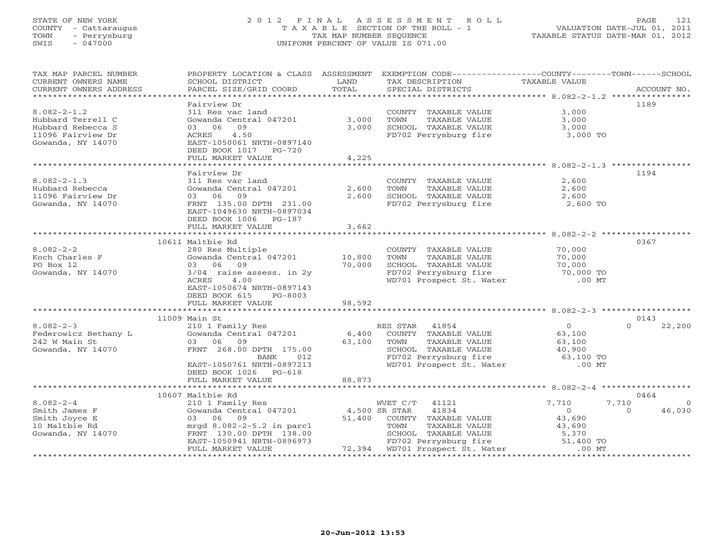## STATE OF NEW YORK 2 0 1 2 F I N A L A S S E S S M E N T R O L L PAGE 121 COUNTY - Cattaraugus T A X A B L E SECTION OF THE ROLL - 1 VALUATION DATE-JUL 01, 2011 TOWN - Perrysburg TAX MAP NUMBER SEQUENCE TAXABLE STATUS DATE-MAR 01, 2012 SWIS - 047000 UNIFORM PERCENT OF VALUE IS 071.00UNIFORM PERCENT OF VALUE IS 071.00

| TAX MAP PARCEL NUMBER<br>CURRENT OWNERS NAME<br>CURRENT OWNERS ADDRESS | PROPERTY LOCATION & CLASS ASSESSMENT<br>SCHOOL DISTRICT<br>PARCEL SIZE/GRID COORD | LAND<br>TOTAL | EXEMPTION CODE-----------------COUNTY-------TOWN------SCHOOL<br>TAX DESCRIPTION<br>SPECIAL DISTRICTS | TAXABLE VALUE       | ACCOUNT NO.        |
|------------------------------------------------------------------------|-----------------------------------------------------------------------------------|---------------|------------------------------------------------------------------------------------------------------|---------------------|--------------------|
| ***********************                                                |                                                                                   |               |                                                                                                      |                     |                    |
| $8.082 - 2 - 1.2$                                                      | Fairview Dr<br>311 Res vac land                                                   |               | COUNTY TAXABLE VALUE                                                                                 | 3,000               | 1189               |
| Hubbard Terrell C                                                      | Gowanda Central 047201                                                            | 3,000         | TOWN<br>TAXABLE VALUE                                                                                | 3,000               |                    |
| Hubbard Rebecca S                                                      | 03 06<br>09                                                                       | 3,000         | SCHOOL TAXABLE VALUE                                                                                 | 3,000               |                    |
| 11096 Fairview Dr                                                      | ACRES 4.50                                                                        |               | FD702 Perrysburg fire                                                                                | 3,000 TO            |                    |
| Gowanda, NY 14070                                                      | EAST-1050061 NRTH-0897140                                                         |               |                                                                                                      |                     |                    |
|                                                                        | DEED BOOK 1017 PG-720                                                             | 4,225         |                                                                                                      |                     |                    |
|                                                                        | FULL MARKET VALUE                                                                 |               |                                                                                                      |                     |                    |
|                                                                        | Fairview Dr                                                                       |               |                                                                                                      |                     | 1194               |
| $8.082 - 2 - 1.3$                                                      | 311 Res vac land                                                                  |               | COUNTY TAXABLE VALUE                                                                                 | 2,600               |                    |
| Hubbard Rebecca                                                        | Gowanda Central 047201                                                            | 2,600         | TOWN<br>TAXABLE VALUE                                                                                | 2,600               |                    |
| 11096 Fairview Dr                                                      | 03 06 09                                                                          | 2,600         | SCHOOL TAXABLE VALUE                                                                                 | 2,600               |                    |
| Gowanda, NY 14070                                                      | FRNT 135.00 DPTH 231.00                                                           |               | FD702 Perrysburg fire                                                                                | 2,600 TO            |                    |
|                                                                        | EAST-1049630 NRTH-0897034                                                         |               |                                                                                                      |                     |                    |
|                                                                        | DEED BOOK 1006 PG-187                                                             |               |                                                                                                      |                     |                    |
|                                                                        | FULL MARKET VALUE                                                                 | 3,662         |                                                                                                      |                     |                    |
|                                                                        |                                                                                   |               |                                                                                                      |                     |                    |
|                                                                        | 10611 Maltbie Rd                                                                  |               |                                                                                                      |                     | 0367               |
| $8.082 - 2 - 2$                                                        | 280 Res Multiple                                                                  | 10,800        | COUNTY TAXABLE VALUE<br>TAXABLE VALUE<br>TOWN                                                        | 70,000              |                    |
| Koch Charles F<br>PO Box 12                                            | Gowanda Central 047201<br>03 06 09                                                | 70,000        | SCHOOL TAXABLE VALUE                                                                                 | 70,000<br>70,000    |                    |
| Gowanda, NY 14070                                                      | $3/04$ raise assess. in 2y                                                        |               | FD702 Perrysburg fire                                                                                | 70,000 TO           |                    |
|                                                                        | ACRES<br>4.00                                                                     |               | WD701 Prospect St. Water                                                                             | $.00$ MT            |                    |
|                                                                        | EAST-1050674 NRTH-0897143                                                         |               |                                                                                                      |                     |                    |
|                                                                        | DEED BOOK 615<br>PG-8003                                                          |               |                                                                                                      |                     |                    |
|                                                                        | FULL MARKET VALUE                                                                 | 98,592        |                                                                                                      |                     |                    |
|                                                                        |                                                                                   |               |                                                                                                      |                     |                    |
|                                                                        | 11009 Main St                                                                     |               |                                                                                                      |                     | 0143               |
| $8.082 - 2 - 3$                                                        | 210 1 Family Res                                                                  |               | RES STAR 41854                                                                                       | $\overline{0}$      | 22,200<br>$\Omega$ |
| Federowicz Bethany L                                                   | Gowanda Central 047201                                                            | 6,400         | COUNTY TAXABLE VALUE                                                                                 | 63,100              |                    |
| 242 W Main St                                                          | 03 06 09                                                                          | 63,100        | TAXABLE VALUE<br>TOWN                                                                                | 63,100              |                    |
| Gowanda, NY 14070                                                      | FRNT 268.00 DPTH 175.00<br>BANK<br>012                                            |               | SCHOOL TAXABLE VALUE<br>FD702 Perrysburg fire                                                        | 40,900<br>63,100 TO |                    |
|                                                                        | EAST-1050761 NRTH-0897213                                                         |               | WD701 Prospect St. Water                                                                             | $.00$ MT            |                    |
|                                                                        | DEED BOOK 1026 PG-618                                                             |               |                                                                                                      |                     |                    |
|                                                                        | FULL MARKET VALUE                                                                 | 88,873        |                                                                                                      |                     |                    |
|                                                                        |                                                                                   |               |                                                                                                      |                     |                    |
|                                                                        | 10607 Maltbie Rd                                                                  |               |                                                                                                      |                     | 0464               |
| $8.082 - 2 - 4$                                                        | 210 1 Family Res                                                                  |               | WVET C/T 41121                                                                                       | 7,710               | 7,710<br>$\Omega$  |
| Smith James F                                                          | Gowanda Central 047201                                                            | 4,500 SR STAR | 41834                                                                                                | $\Omega$            | 46,030<br>$\Omega$ |
| Smith Joyce E                                                          | 03 06 09                                                                          |               | 51,400 COUNTY TAXABLE VALUE                                                                          | 43,690              |                    |
| 10 Maltbie Rd                                                          | mrgd $8.082 - 2 - 5.2$ in parcl                                                   |               | TAXABLE VALUE<br>TOWN                                                                                | 43,690              |                    |
| Gowanda, NY 14070                                                      | FRNT 130.00 DPTH 138.00                                                           |               | SCHOOL TAXABLE VALUE                                                                                 | 5,370<br>51,400 TO  |                    |
|                                                                        | EAST-1050941 NRTH-0896973<br>FULL MARKET VALUE                                    |               | FD702 Perrysburg fire<br>72,394 WD701 Prospect St. Water                                             | $.00$ MT            |                    |
|                                                                        |                                                                                   |               |                                                                                                      |                     |                    |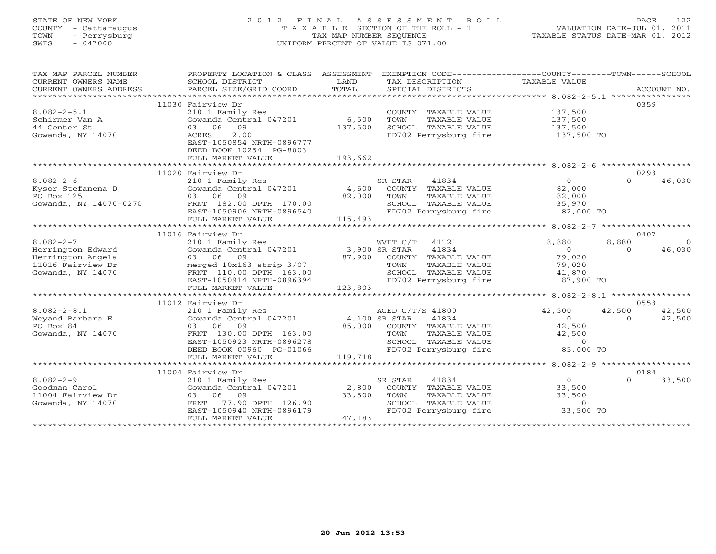## STATE OF NEW YORK 2 0 1 2 F I N A L A S S E S S M E N T R O L L PAGE 122 COUNTY - Cattaraugus T A X A B L E SECTION OF THE ROLL - 1 VALUATION DATE-JUL 01, 2011 TOWN - Perrysburg TAX MAP NUMBER SEQUENCE TAXABLE STATUS DATE-MAR 01, 2012 SWIS - 047000 UNIFORM PERCENT OF VALUE IS 071.00UNIFORM PERCENT OF VALUE IS 071.00

| TAX MAP PARCEL NUMBER  | PROPERTY LOCATION & CLASS ASSESSMENT          |               | EXEMPTION CODE-----------------COUNTY-------TOWN------SCHOOL |                                           |          |             |
|------------------------|-----------------------------------------------|---------------|--------------------------------------------------------------|-------------------------------------------|----------|-------------|
| CURRENT OWNERS NAME    | SCHOOL DISTRICT                               | LAND          | TAX DESCRIPTION                                              | TAXABLE VALUE                             |          |             |
| CURRENT OWNERS ADDRESS | PARCEL SIZE/GRID COORD                        | TOTAL         | SPECIAL DISTRICTS                                            |                                           |          | ACCOUNT NO. |
|                        |                                               |               |                                                              |                                           |          |             |
|                        | 11030 Fairview Dr                             |               |                                                              |                                           | 0359     |             |
| $8.082 - 2 - 5.1$      | 210 1 Family Res                              |               | COUNTY TAXABLE VALUE                                         | 137,500                                   |          |             |
| Schirmer Van A         | Gowanda Central 047201                        | 6,500         | TOWN<br>TAXABLE VALUE                                        | 137,500                                   |          |             |
| 44 Center St           | 03 06 09                                      | 137,500       | SCHOOL TAXABLE VALUE                                         | 137,500                                   |          |             |
| Gowanda, NY 14070      | 2.00<br>ACRES                                 |               | FD702 Perrysburg fire                                        | 137,500 TO                                |          |             |
|                        | EAST-1050854 NRTH-0896777                     |               |                                                              |                                           |          |             |
|                        | DEED BOOK 10254 PG-8003                       |               |                                                              |                                           |          |             |
|                        | FULL MARKET VALUE                             | 193,662       |                                                              |                                           |          |             |
|                        | 11020 Fairview Dr                             |               |                                                              |                                           | 0293     |             |
| $8.082 - 2 - 6$        | 210 1 Family Res                              |               | SR STAR<br>41834                                             | $\overline{0}$                            | $\Omega$ | 46,030      |
| Kysor Stefanena D      | Gowanda Central 047201                        | 4,600         | COUNTY TAXABLE VALUE                                         | 82,000                                    |          |             |
| PO Box 125             | 03 06 09                                      | 82,000        | TOWN<br>TAXABLE VALUE                                        | 82,000                                    |          |             |
| Gowanda, NY 14070-0270 | FRNT 182.00 DPTH 170.00                       |               | SCHOOL TAXABLE VALUE                                         | 35,970                                    |          |             |
|                        | EAST-1050906 NRTH-0896540                     |               | FD702 Perrysburg fire                                        | 82,000 TO                                 |          |             |
|                        | FULL MARKET VALUE                             | 115,493       |                                                              |                                           |          |             |
|                        |                                               |               |                                                              | *********** 8.082-2-7 ******************* |          |             |
|                        | 11016 Fairview Dr                             |               |                                                              |                                           | 0407     |             |
| $8.082 - 2 - 7$        | 210 1 Family Res                              |               | WVET C/T 41121                                               | 8,880                                     | 8,880    | $\Omega$    |
| Herrington Edward      | Gowanda Central 047201                        | 3,900 SR STAR | 41834                                                        | $\bigcirc$                                | $\Omega$ | 46,030      |
| Herrington Angela      | 03 06 09                                      |               | 87,900 COUNTY TAXABLE VALUE                                  | 79,020                                    |          |             |
| 11016 Fairview Dr      | merged 10x163 strip 3/07                      |               | TOWN<br>TAXABLE VALUE                                        | 79,020                                    |          |             |
| Gowanda, NY 14070      | FRNT 110.00 DPTH 163.00                       |               | SCHOOL TAXABLE VALUE                                         | 41,870                                    |          |             |
|                        | EAST-1050914 NRTH-0896394                     |               | FD702 Perrysburg fire                                        | 87,900 TO                                 |          |             |
|                        | FULL MARKET VALUE                             | 123,803       |                                                              |                                           |          |             |
|                        |                                               |               |                                                              |                                           |          |             |
|                        | 11012 Fairview Dr                             |               |                                                              |                                           | 0553     |             |
| $8.082 - 2 - 8.1$      | 210 1 Family Res                              |               | AGED C/T/S 41800                                             | 42,500                                    | 42,500   | 42,500      |
| Weyand Barbara E       | Gowanda Central 047201                        | 4,100 SR STAR | 41834                                                        | $\Omega$                                  | $\Omega$ | 42,500      |
| PO Box 84              | 03 06<br>09                                   |               | 85,000 COUNTY TAXABLE VALUE                                  | 42,500                                    |          |             |
| Gowanda, NY 14070      | FRNT 130.00 DPTH 163.00                       |               | TOWN<br>TAXABLE VALUE                                        | 42,500                                    |          |             |
|                        | EAST-1050923 NRTH-0896278                     |               | SCHOOL TAXABLE VALUE<br>FD702 Perrysburg fire                | $\overline{0}$<br>85,000 TO               |          |             |
|                        | DEED BOOK 00960 PG-01066<br>FULL MARKET VALUE | 119,718       |                                                              |                                           |          |             |
|                        | ****************************                  |               |                                                              |                                           |          |             |
|                        | 11004 Fairview Dr                             |               |                                                              |                                           | 0184     |             |
| $8.082 - 2 - 9$        | 210 1 Family Res                              |               | 41834<br>SR STAR                                             | $\Omega$                                  | $\Omega$ | 33,500      |
| Goodman Carol          | Gowanda Central 047201                        |               | 2,800 COUNTY TAXABLE VALUE                                   | 33,500                                    |          |             |
| 11004 Fairview Dr      | 03 06 09                                      | 33,500        | TOWN<br>TAXABLE VALUE                                        | 33,500                                    |          |             |
| Gowanda, NY 14070      | 77.90 DPTH 126.90<br>FRNT                     |               | SCHOOL TAXABLE VALUE                                         | $\circ$                                   |          |             |
|                        | EAST-1050940 NRTH-0896179                     |               | FD702 Perrysburg fire                                        | 33,500 TO                                 |          |             |
|                        | FULL MARKET VALUE                             | 47,183        |                                                              |                                           |          |             |
|                        |                                               |               |                                                              |                                           |          |             |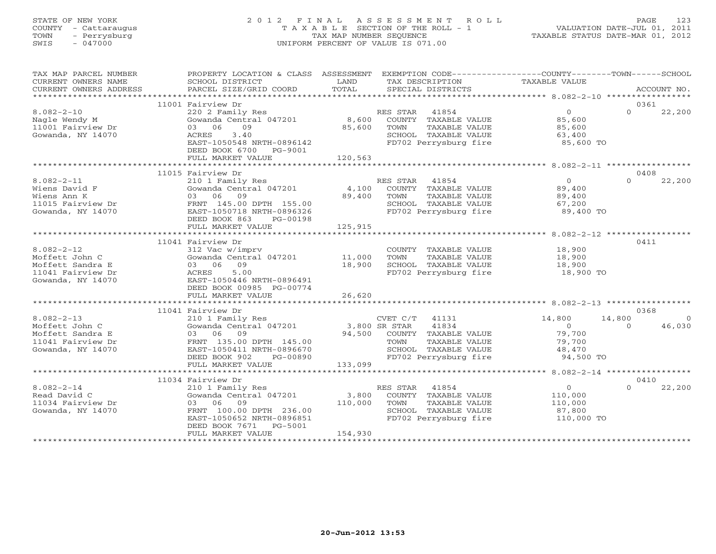## STATE OF NEW YORK 2 0 1 2 F I N A L A S S E S S M E N T R O L L PAGE 123 COUNTY - Cattaraugus T A X A B L E SECTION OF THE ROLL - 1 VALUATION DATE-JUL 01, 2011 TOWN - Perrysburg TAX MAP NUMBER SEQUENCE TAXABLE STATUS DATE-MAR 01, 2012 SWIS - 047000 UNIFORM PERCENT OF VALUE IS 071.00UNIFORM PERCENT OF VALUE IS 071.00

| TAX MAP PARCEL NUMBER<br>CURRENT OWNERS NAME                                                     | PROPERTY LOCATION & CLASS ASSESSMENT<br>SCHOOL DISTRICT                                                                                                                               | LAND                        |                        | TAX DESCRIPTION                                                                                        | EXEMPTION CODE----------------COUNTY-------TOWN------SCHOOL<br>TAXABLE VALUE |                    |                                  |
|--------------------------------------------------------------------------------------------------|---------------------------------------------------------------------------------------------------------------------------------------------------------------------------------------|-----------------------------|------------------------|--------------------------------------------------------------------------------------------------------|------------------------------------------------------------------------------|--------------------|----------------------------------|
|                                                                                                  |                                                                                                                                                                                       |                             |                        |                                                                                                        |                                                                              |                    |                                  |
| $8.082 - 2 - 10$<br>Nagle Wendy M<br>11001 Fairview Dr<br>Gowanda, NY 14070                      | 11001 Fairview Dr<br>220 2 Family Res<br>Gowanda Central 047201 8,600<br>03 06<br>09<br>3.40<br>ACRES<br>EAST-1050548 NRTH-0896142<br>DEED BOOK 6700<br>PG-9001<br>FULL MARKET VALUE  | 85,600<br>120,563           | RES STAR 41854<br>TOWN | COUNTY TAXABLE VALUE<br>TAXABLE VALUE<br>SCHOOL TAXABLE VALUE<br>FD702 Perrysburg fire                 | $\overline{0}$<br>85,600<br>85,600<br>63,400<br>85,600 TO                    | $\Omega$           | 0361<br>22,200                   |
|                                                                                                  |                                                                                                                                                                                       |                             |                        |                                                                                                        |                                                                              |                    |                                  |
| $8.082 - 2 - 11$<br>Wiens David F<br>Wiens Ann K<br>11015 Fairview Dr<br>Gowanda, NY 14070       | 11015 Fairview Dr<br>210 1 Family Res<br>Gowanda Central 047201<br>03 06 09<br>FRNT 145.00 DPTH 155.00<br>EAST-1050718 NRTH-0896326<br>DEED BOOK 863<br>PG-00198<br>FULL MARKET VALUE | 4,100<br>89,400<br>125,915  | RES STAR 41854<br>TOWN | COUNTY TAXABLE VALUE<br>TAXABLE VALUE<br>SCHOOL TAXABLE VALUE<br>FD702 Perrysburg fire                 | $\overline{0}$<br>89,400<br>89,400<br>67,200<br>89,400 TO                    | $\Omega$           | 0408<br>22,200                   |
|                                                                                                  |                                                                                                                                                                                       |                             |                        |                                                                                                        |                                                                              |                    |                                  |
| $8.082 - 2 - 12$<br>Moffett John C<br>Moffett Sandra E<br>11041 Fairview Dr<br>Gowanda, NY 14070 | 11041 Fairview Dr<br>312 Vac w/imprv<br>Gowanda Central 047201 11,000<br>03 06 09<br>5.00<br>ACRES<br>EAST-1050446 NRTH-0896491<br>DEED BOOK 00985 PG-00774                           | 18,900                      | TOWN                   | TAXABLE VALUE<br>SCHOOL TAXABLE VALUE<br>FD702 Perrysburg fire                                         | COUNTY TAXABLE VALUE 18,900<br>18,900<br>18,900<br>18,900 TO                 |                    | 0411                             |
|                                                                                                  | FULL MARKET VALUE                                                                                                                                                                     | 26,620                      |                        |                                                                                                        |                                                                              |                    |                                  |
|                                                                                                  |                                                                                                                                                                                       |                             |                        |                                                                                                        |                                                                              |                    |                                  |
| $8.082 - 2 - 13$<br>Moffett John C<br>Moffett Sandra E<br>11041 Fairview Dr<br>Gowanda, NY 14070 | 11041 Fairview Dr<br>210 1 Family Res<br>Gowanda Central 047201<br>03 06 09<br>FRNT 135.00 DPTH 145.00<br>EAST-1050411 NRTH-0896670<br>DEED BOOK 902<br>PG-00890                      | 3,800 SR STAR               | CVET C/T 41131<br>TOWN | 41834<br>94,500 COUNTY TAXABLE VALUE<br>TAXABLE VALUE<br>SCHOOL TAXABLE VALUE<br>FD702 Perrysburg fire | 14,800<br>$\overline{0}$<br>79,700<br>79,700<br>48,470<br>94,500 TO          | 14,800<br>$\Omega$ | 0368<br>$\overline{0}$<br>46,030 |
|                                                                                                  | FULL MARKET VALUE                                                                                                                                                                     | 133,099                     |                        |                                                                                                        |                                                                              |                    |                                  |
|                                                                                                  | 11034 Fairview Dr                                                                                                                                                                     |                             |                        |                                                                                                        |                                                                              |                    | 0410                             |
| $8.082 - 2 - 14$<br>Read David C<br>11034 Fairview Dr<br>Gowanda, NY 14070                       | 210 1 Family Res<br>Gowanda Central 047201<br>03 06 09<br>FRNT 100.00 DPTH 236.00<br>EAST-1050652 NRTH-0896851<br>DEED BOOK 7671<br>PG-5001<br>FULL MARKET VALUE                      | 3,800<br>110,000<br>154,930 | RES STAR 41854<br>TOWN | COUNTY TAXABLE VALUE<br>TAXABLE VALUE<br>SCHOOL TAXABLE VALUE<br>FD702 Perrysburg fire                 | $\overline{O}$<br>110,000<br>110,000<br>87,800<br>110,000 TO                 | $\Omega$           | 22,200                           |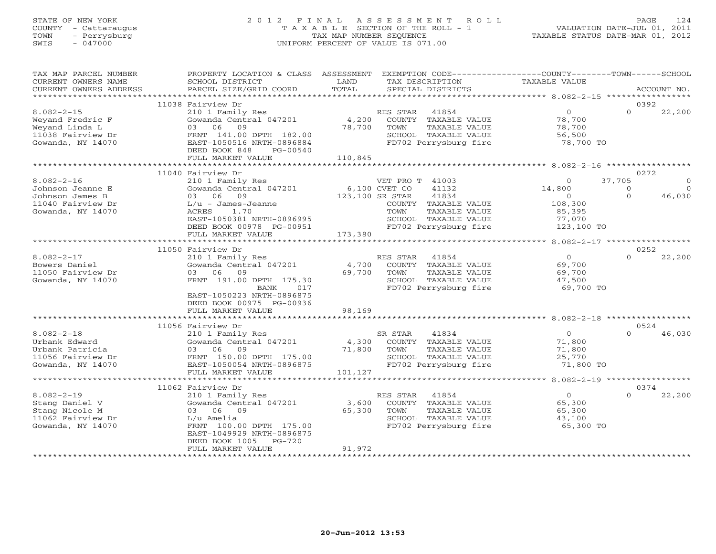## STATE OF NEW YORK 2 0 1 2 F I N A L A S S E S S M E N T R O L L PAGE 124 COUNTY - Cattaraugus T A X A B L E SECTION OF THE ROLL - 1 VALUATION DATE-JUL 01, 2011 TOWN - Perrysburg TAX MAP NUMBER SEQUENCE TAXABLE STATUS DATE-MAR 01, 2012 SWIS - 047000 UNIFORM PERCENT OF VALUE IS 071.00UNIFORM PERCENT OF VALUE IS 071.00

| TAX MAP PARCEL NUMBER<br>CURRENT OWNERS NAME<br>CURRENT OWNERS ADDRESS                         | PROPERTY LOCATION & CLASS ASSESSMENT<br>SCHOOL DISTRICT<br>PARCEL SIZE/GRID COORD                                                                                             | LAND<br>TOTAL                    | EXEMPTION CODE-----------------COUNTY--------TOWN------SCHOOL<br>TAX DESCRIPTION<br>SPECIAL DISTRICTS               | TAXABLE VALUE                                             |                               | ACCOUNT NO.                    |
|------------------------------------------------------------------------------------------------|-------------------------------------------------------------------------------------------------------------------------------------------------------------------------------|----------------------------------|---------------------------------------------------------------------------------------------------------------------|-----------------------------------------------------------|-------------------------------|--------------------------------|
| **********************                                                                         |                                                                                                                                                                               |                                  |                                                                                                                     |                                                           |                               |                                |
|                                                                                                | 11038 Fairview Dr                                                                                                                                                             |                                  |                                                                                                                     |                                                           | 0392                          |                                |
| $8.082 - 2 - 15$<br>Weyand Fredric F<br>Weyand Linda L<br>11038 Fairview Dr                    | 210 1 Family Res<br>Gowanda Central 047201<br>03 06<br>09<br>FRNT 141.00 DPTH 182.00                                                                                          | 4,200<br>78,700                  | RES STAR<br>41854<br>COUNTY TAXABLE VALUE<br>TAXABLE VALUE<br>TOWN<br>SCHOOL TAXABLE VALUE                          | $\overline{0}$<br>78,700<br>78,700<br>56,500              | $\Omega$                      | 22,200                         |
| Gowanda, NY 14070                                                                              | EAST-1050516 NRTH-0896884<br>DEED BOOK 848<br>PG-00540<br>FULL MARKET VALUE                                                                                                   |                                  | FD702 Perrysburg fire                                                                                               | 78,700 TO                                                 |                               |                                |
|                                                                                                |                                                                                                                                                                               | 110,845                          |                                                                                                                     |                                                           |                               |                                |
|                                                                                                | 11040 Fairview Dr                                                                                                                                                             |                                  |                                                                                                                     |                                                           | 0272                          |                                |
| $8.082 - 2 - 16$<br>Johnson Jeanne E<br>Johnson James B                                        | 210 1 Family Res<br>Gowanda Central 047201<br>03 06<br>09                                                                                                                     | 6,100 CVET CO<br>123,100 SR STAR | VET PRO T 41003<br>41132<br>41834                                                                                   | $\Omega$<br>14,800<br>$\Omega$                            | 37,705<br>$\circ$<br>$\Omega$ | $\Omega$<br>$\Omega$<br>46,030 |
| 11040 Fairview Dr<br>Gowanda, NY 14070                                                         | $L/u - James-Jeanne$<br>ACRES<br>1.70<br>EAST-1050381 NRTH-0896995<br>DEED BOOK 00978 PG-00951                                                                                |                                  | COUNTY TAXABLE VALUE<br>TOWN<br>TAXABLE VALUE<br>SCHOOL TAXABLE VALUE<br>FD702 Perrysburg fire                      | 108,300<br>85,395<br>77,070<br>123,100 TO                 |                               |                                |
|                                                                                                | FULL MARKET VALUE<br>***************************                                                                                                                              | 173,380                          |                                                                                                                     |                                                           |                               |                                |
|                                                                                                | 11050 Fairview Dr                                                                                                                                                             |                                  |                                                                                                                     |                                                           |                               | 0252                           |
| $8.082 - 2 - 17$<br>Bowers Daniel<br>11050 Fairview Dr<br>Gowanda, NY 14070                    | 210 1 Family Res<br>Gowanda Central 047201<br>03 06<br>09<br>FRNT 191.00 DPTH 175.30<br><b>BANK</b><br>017<br>EAST-1050223 NRTH-0896875<br>DEED BOOK 00975 PG-00936           | 4,700<br>69,700                  | RES STAR<br>41854<br>COUNTY TAXABLE VALUE<br>TOWN<br>TAXABLE VALUE<br>SCHOOL TAXABLE VALUE<br>FD702 Perrysburg fire | $\overline{0}$<br>69,700<br>69,700<br>47,500<br>69,700 TO | $\Omega$                      | 22,200                         |
|                                                                                                | FULL MARKET VALUE<br>***********************                                                                                                                                  | 98,169                           |                                                                                                                     | **********************************8.082-2-18 ***********  |                               |                                |
|                                                                                                | 11056 Fairview Dr                                                                                                                                                             |                                  |                                                                                                                     |                                                           | 0524                          |                                |
| $8.082 - 2 - 18$<br>Urbank Edward<br>Urbank Patricia<br>11056 Fairview Dr<br>Gowanda, NY 14070 | 210 1 Family Res<br>Gowanda Central 047201<br>03 06 09<br>FRNT 150.00 DPTH 175.00<br>EAST-1050054 NRTH-0896875<br>FULL MARKET VALUE                                           | 4,300<br>71,800<br>101,127       | SR STAR<br>41834<br>COUNTY TAXABLE VALUE<br>TAXABLE VALUE<br>TOWN<br>SCHOOL TAXABLE VALUE<br>FD702 Perrysburg fire  | $\overline{0}$<br>71,800<br>71,800<br>25,770<br>71,800 TO | $\Omega$                      | 46,030                         |
|                                                                                                | ************************                                                                                                                                                      |                                  |                                                                                                                     |                                                           |                               |                                |
| $8.082 - 2 - 19$<br>Stang Daniel V<br>Stang Nicole M<br>11062 Fairview Dr<br>Gowanda, NY 14070 | 11062 Fairview Dr<br>210 1 Family Res<br>Gowanda Central 047201<br>03 06 09<br>L/u Amelia<br>FRNT 100.00 DPTH 175.00<br>EAST-1049929 NRTH-0896875<br>DEED BOOK 1005<br>PG-720 | 3,600<br>65,300                  | 41854<br>RES STAR<br>COUNTY TAXABLE VALUE<br>TOWN<br>TAXABLE VALUE<br>SCHOOL TAXABLE VALUE<br>FD702 Perrysburg fire | $\Omega$<br>65,300<br>65,300<br>43,100<br>65,300 TO       | $\Omega$                      | 0374<br>22,200                 |
|                                                                                                | FULL MARKET VALUE                                                                                                                                                             | 91,972                           |                                                                                                                     |                                                           |                               |                                |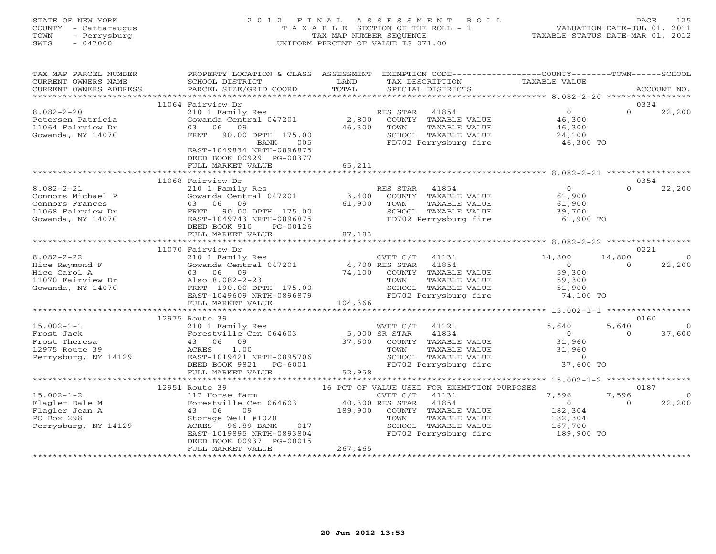## STATE OF NEW YORK 2 0 1 2 F I N A L A S S E S S M E N T R O L L PAGE 125 COUNTY - Cattaraugus T A X A B L E SECTION OF THE ROLL - 1 VALUATION DATE-JUL 01, 2011 TOWN - Perrysburg TAX MAP NUMBER SEQUENCE TAXABLE STATUS DATE-MAR 01, 2012 SWIS - 047000 UNIFORM PERCENT OF VALUE IS 071.00UNIFORM PERCENT OF VALUE IS 071.00

| TAX MAP PARCEL NUMBER<br>CURRENT OWNERS NAME<br>CURRENT OWNERS ADDRESS                             | PROPERTY LOCATION & CLASS ASSESSMENT<br>SCHOOL DISTRICT<br>PARCEL SIZE/GRID COORD                                                                                                                           | LAND<br>TOTAL                         | EXEMPTION CODE-----------------COUNTY-------TOWN------SCHOOL<br>TAX DESCRIPTION<br>SPECIAL DISTRICTS                                                                        | TAXABLE VALUE                                                          | ACCOUNT NO.                                      |
|----------------------------------------------------------------------------------------------------|-------------------------------------------------------------------------------------------------------------------------------------------------------------------------------------------------------------|---------------------------------------|-----------------------------------------------------------------------------------------------------------------------------------------------------------------------------|------------------------------------------------------------------------|--------------------------------------------------|
|                                                                                                    |                                                                                                                                                                                                             |                                       |                                                                                                                                                                             |                                                                        | 0334                                             |
| $8.082 - 2 - 20$<br>Petersen Patricia<br>11064 Fairview Dr<br>Gowanda, NY 14070                    | 11064 Fairview Dr<br>210 1 Family Res<br>Gowanda Central 047201<br>06<br>09<br>03<br>FRNT<br>90.00 DPTH 175.00<br>BANK<br>005<br>EAST-1049834 NRTH-0896875<br>DEED BOOK 00929 PG-00377<br>FULL MARKET VALUE | 2,800<br>46,300<br>65,211             | 41854<br>RES STAR<br>COUNTY TAXABLE VALUE<br>TAXABLE VALUE<br>TOWN<br>SCHOOL TAXABLE VALUE<br>FD702 Perrysburg fire                                                         | $\circ$<br>46,300<br>46,300<br>24,100<br>46,300 TO                     | $\Omega$<br>22,200                               |
|                                                                                                    |                                                                                                                                                                                                             |                                       |                                                                                                                                                                             |                                                                        |                                                  |
| $8.082 - 2 - 21$<br>Connors Michael P<br>Connors Frances<br>11068 Fairview Dr<br>Gowanda, NY 14070 | 11068 Fairview Dr<br>210 1 Family Res<br>Gowanda Central 047201<br>03 06 09<br>FRNT 90.00 DPTH 175.00<br>EAST-1049743 NRTH-0896875<br>DEED BOOK 910<br>PG-00126<br>FULL MARKET VALUE                        | 3,400<br>61,900<br>87,183             | RES STAR<br>41854<br>COUNTY TAXABLE VALUE<br>TAXABLE VALUE<br>TOWN<br>SCHOOL TAXABLE VALUE<br>FD702 Perrysburg fire                                                         | $\overline{O}$<br>61,900<br>61,900<br>39,700<br>61,900 TO              | 0354<br>$\Omega$<br>22,200                       |
|                                                                                                    |                                                                                                                                                                                                             | *********                             |                                                                                                                                                                             | ********** 8.082-2-22 *****************                                |                                                  |
| $8.082 - 2 - 22$<br>Hice Raymond F<br>Hice Carol A<br>11070 Fairview Dr<br>Gowanda, NY 14070       | 11070 Fairview Dr<br>210 1 Family Res<br>Gowanda Central 047201<br>03 06 09<br>Also 8.082-2-23<br>FRNT 190.00 DPTH 175.00<br>EAST-1049609 NRTH-0896879<br>FULL MARKET VALUE                                 | 74,100<br>104,366                     | CVET C/T<br>41131<br>4,700 RES STAR<br>41854<br>COUNTY TAXABLE VALUE<br>TOWN<br>TAXABLE VALUE<br>SCHOOL TAXABLE VALUE<br>FD702 Perrysburg fire                              | 14,800<br>$\Omega$<br>59,300<br>59,300<br>51,900<br>74,100 TO          | 0221<br>14,800<br>$\Omega$<br>22,200<br>$\Omega$ |
|                                                                                                    |                                                                                                                                                                                                             |                                       |                                                                                                                                                                             |                                                                        | 0160                                             |
| $15.002 - 1 - 1$<br>Frost Jack<br>Frost Theresa<br>12975 Route 39<br>Perrysburg, NY 14129          | 12975 Route 39<br>210 1 Family Res<br>Forestville Cen 064603<br>43 06 09<br>1.00<br>ACRES<br>EAST-1019421 NRTH-0895706<br>DEED BOOK 9821<br>PG-6001<br>FULL MARKET VALUE                                    | 5,000 SR STAR<br>37,600<br>52,958     | WVET C/T<br>41121<br>41834<br>COUNTY TAXABLE VALUE<br>TOWN<br>TAXABLE VALUE<br>SCHOOL TAXABLE VALUE<br>FD702 Perrysburg fire                                                | 5,640<br>$\Omega$<br>31,960<br>31,960<br>$\circ$<br>37,600 TO          | 5,640<br>$\Omega$<br>37,600<br>$\Omega$          |
|                                                                                                    | *****************************                                                                                                                                                                               |                                       |                                                                                                                                                                             |                                                                        |                                                  |
| $15.002 - 1 - 2$<br>Flagler Dale M<br>Flagler Jean A<br>PO Box 298<br>Perrysburg, NY 14129         | 12951 Route 39<br>117 Horse farm<br>Forestville Cen 064603<br>43 06<br>09<br>Storage Well #1020<br>96.89 BANK<br>ACRES<br>017<br>EAST-1019895 NRTH-0893804<br>DEED BOOK 00937 PG-00015<br>FULL MARKET VALUE | 40,300 RES STAR<br>189,900<br>267,465 | 16 PCT OF VALUE USED FOR EXEMPTION PURPOSES<br>41131<br>CVET C/T<br>41854<br>COUNTY TAXABLE VALUE<br>TAXABLE VALUE<br>TOWN<br>SCHOOL TAXABLE VALUE<br>FD702 Perrysburg fire | 7,596<br>$\overline{0}$<br>182,304<br>182,304<br>167,700<br>189,900 TO | 0187<br>7,596<br>22,200<br>$\Omega$              |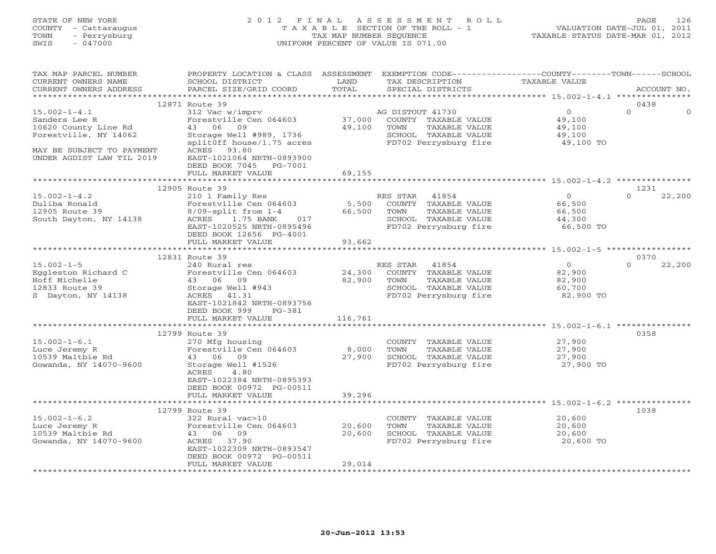## STATE OF NEW YORK 2 0 1 2 F I N A L A S S E S S M E N T R O L L PAGE 126 COUNTY - Cattaraugus T A X A B L E SECTION OF THE ROLL - 1 VALUATION DATE-JUL 01, 2011 TOWN - Perrysburg TAX MAP NUMBER SEQUENCE TAXABLE STATUS DATE-MAR 01, 2012 SWIS - 047000 UNIFORM PERCENT OF VALUE IS 071.00UNIFORM PERCENT OF VALUE IS 071.00

| TAX MAP PARCEL NUMBER<br>CURRENT OWNERS NAME<br>CURRENT OWNERS ADDRESS                                                                         | PROPERTY LOCATION & CLASS ASSESSMENT<br>SCHOOL DISTRICT<br>PARCEL SIZE/GRID COORD                                                                                             | LAND<br>TOTAL              | EXEMPTION CODE-----------------COUNTY-------TOWN------SCHOOL<br>TAX DESCRIPTION<br>SPECIAL DISTRICTS                | TAXABLE VALUE                                             | ACCOUNT NO.                |
|------------------------------------------------------------------------------------------------------------------------------------------------|-------------------------------------------------------------------------------------------------------------------------------------------------------------------------------|----------------------------|---------------------------------------------------------------------------------------------------------------------|-----------------------------------------------------------|----------------------------|
| ************************                                                                                                                       |                                                                                                                                                                               |                            |                                                                                                                     |                                                           |                            |
| $15.002 - 1 - 4.1$<br>Sanders Lee R<br>10620 County Line Rd<br>Forestville, NY 14062<br>MAY BE SUBJECT TO PAYMENT<br>UNDER AGDIST LAW TIL 2019 | 12871 Route 39<br>312 Vac w/imprv<br>Forestville Cen 064603<br>43 06 09<br>Storage Well #989, 1736<br>splitOff house/1.75 acres<br>ACRES 93.80<br>EAST-1021064 NRTH-0893900   | 37,000<br>49,100           | AG DISTOUT 41730<br>COUNTY TAXABLE VALUE<br>TOWN<br>TAXABLE VALUE<br>SCHOOL TAXABLE VALUE<br>FD702 Perrysburg fire  | $\overline{0}$<br>49,100<br>49,100<br>49,100<br>49,100 TO | 0438<br>$\Omega$           |
|                                                                                                                                                | DEED BOOK 7045<br>PG-7001<br>FULL MARKET VALUE                                                                                                                                | 69,155                     |                                                                                                                     |                                                           |                            |
|                                                                                                                                                |                                                                                                                                                                               |                            |                                                                                                                     |                                                           |                            |
| $15.002 - 1 - 4.2$<br>Duliba Ronald<br>12905 Route 39<br>South Dayton, NY 14138                                                                | 12905 Route 39<br>210 1 Family Res<br>Forestville Cen 064603<br>$8/09$ -split from $1-4$<br>ACRES<br>1.75 BANK<br>017<br>EAST-1020525 NRTH-0895496<br>DEED BOOK 12656 PG-4001 | 5,500<br>66,500            | RES STAR 41854<br>COUNTY TAXABLE VALUE<br>TOWN<br>TAXABLE VALUE<br>SCHOOL TAXABLE VALUE<br>FD702 Perrysburg fire    | $\circ$<br>66,500<br>66,500<br>44,300<br>66,500 TO        | 1231<br>$\Omega$<br>22,200 |
|                                                                                                                                                | FULL MARKET VALUE                                                                                                                                                             | 93,662                     |                                                                                                                     |                                                           |                            |
|                                                                                                                                                |                                                                                                                                                                               |                            |                                                                                                                     |                                                           |                            |
|                                                                                                                                                | 12831 Route 39                                                                                                                                                                |                            |                                                                                                                     |                                                           | 0370                       |
| $15.002 - 1 - 5$<br>Eggleston Richard C<br>Hoff Michelle<br>12833 Route 39<br>S Dayton, NY 14138                                               | 240 Rural res<br>Forestville Cen 064603<br>43 06 09<br>Storage Well #943<br>ACRES 41.31<br>EAST-1021842 NRTH-0893756<br>DEED BOOK 999<br>$PG-381$                             | 24,300<br>82,900           | 41854<br>RES STAR<br>COUNTY TAXABLE VALUE<br>TOWN<br>TAXABLE VALUE<br>SCHOOL TAXABLE VALUE<br>FD702 Perrysburg fire | $\overline{0}$<br>82,900<br>82,900<br>60,700<br>82,900 TO | $\Omega$<br>22,200         |
|                                                                                                                                                | FULL MARKET VALUE                                                                                                                                                             | 116,761                    |                                                                                                                     |                                                           |                            |
| $15.002 - 1 - 6.1$<br>Luce Jeremy R<br>10539 Maltbie Rd<br>Gowanda, NY 14070-9600                                                              | 12799 Route 39<br>270 Mfg housing<br>Forestville Cen 064603<br>43 06 09<br>Storage Well #1526<br>ACRES<br>4.80<br>EAST-1022384 NRTH-0895393                                   | 8,000<br>27,900            | COUNTY TAXABLE VALUE<br>TAXABLE VALUE<br>TOWN<br>SCHOOL TAXABLE VALUE<br>FD702 Perrysburg fire                      | 27,900<br>27,900<br>27,900<br>27,900 TO                   | 0358                       |
|                                                                                                                                                | DEED BOOK 00972 PG-00511<br>FULL MARKET VALUE                                                                                                                                 | 39,296                     |                                                                                                                     |                                                           |                            |
|                                                                                                                                                |                                                                                                                                                                               |                            |                                                                                                                     |                                                           |                            |
|                                                                                                                                                | 12799 Route 39                                                                                                                                                                |                            |                                                                                                                     |                                                           | 1038                       |
| $15.002 - 1 - 6.2$<br>Luce Jeremy R<br>10539 Maltbie Rd<br>Gowanda, NY 14070-9600                                                              | 322 Rural vac>10<br>Forestville Cen 064603<br>43 06 09<br>ACRES 37.90<br>EAST-1022309 NRTH-0893547<br>DEED BOOK 00972 PG-00511<br>FULL MARKET VALUE                           | 20,600<br>20,600<br>29,014 | COUNTY TAXABLE VALUE<br>TAXABLE VALUE<br>TOWN<br>SCHOOL TAXABLE VALUE<br>FD702 Perrysburg fire                      | 20,600<br>20,600<br>20,600<br>20,600 TO                   |                            |
|                                                                                                                                                | ***********************                                                                                                                                                       |                            |                                                                                                                     |                                                           |                            |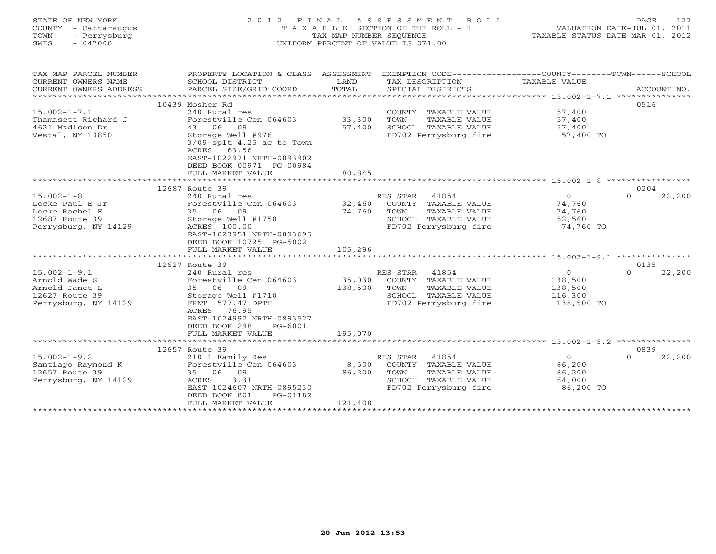| STATE OF NEW YORK<br>COUNTY<br>- Cattaraugus<br>- Perrysburg<br>TOWN<br>SWTS<br>$-047000$ | 2 0 1 2                                                                | F I N A L<br>TAX MAP NUMBER SEQUENCE | A S S E S S M E N T R O L L<br>T A X A B L E SECTION OF THE ROLL - 1<br>UNIFORM PERCENT OF VALUE IS 071.00 | 127<br>PAGE<br>VALUATION DATE-JUL 01, 2011<br>TAXABLE STATUS DATE-MAR 01, 2012               |
|-------------------------------------------------------------------------------------------|------------------------------------------------------------------------|--------------------------------------|------------------------------------------------------------------------------------------------------------|----------------------------------------------------------------------------------------------|
| TAX MAP PARCEL NUMBER<br>CURRENT OWNERS NAME<br>CURRENT OWNERS ADDRESS                    | PROPERTY LOCATION & CLASS<br>SCHOOL DISTRICT<br>PARCEL SIZE/GRID COORD | ASSESSMENT<br>LAND<br>TOTAL          | TAX DESCRIPTION<br>SPECIAL DISTRICTS                                                                       | EXEMPTION CODE-----------------COUNTY-------TOWN------SCHOOL<br>TAXABLE VALUE<br>ACCOUNT NO. |
|                                                                                           | 10439 Mosher Rd                                                        |                                      |                                                                                                            | 0516                                                                                         |
| $15.002 - 1 - 7.1$                                                                        | 240 Rural res                                                          |                                      | TAXABLE VALUE<br>COUNTY                                                                                    | 57,400                                                                                       |
| Thamasett Richard J                                                                       | Forestville Cen 064603                                                 | 33,300                               | TOWN<br>TAXABLE VALUE                                                                                      | 57,400                                                                                       |
| 4621 Madison Dr                                                                           | 43 06 09                                                               | 57,400                               | SCHOOL<br>TAXABLE VALUE                                                                                    | 57,400                                                                                       |
| Vestal, NY 13850                                                                          | Storage Well #976<br>$3/09$ -splt $4.25$ ac to Town<br>ACRES 63.56     |                                      | FD702 Perrysburg fire                                                                                      | 57,400 TO                                                                                    |

\*\*\*\*\*\*\*\*\*\*\*\*\*\*\*\*\*\*\*\*\*\*\*\*\*\*\*\*\*\*\*\*\*\*\*\*\*\*\*\*\*\*\*\*\*\*\*\*\*\*\*\*\*\*\*\*\*\*\*\*\*\*\*\*\*\*\*\*\*\*\*\*\*\*\*\*\*\*\*\*\*\*\*\*\*\*\*\*\*\*\*\*\*\*\*\*\*\*\*\*\*\*\* 15.002-1-8 \*\*\*\*\*\*\*\*\*\*\*\*\*\*\*\*\*

15.002-1-8 240 Rural res RES STAR 41854 0 0 22,200

\*\*\*\*\*\*\*\*\*\*\*\*\*\*\*\*\*\*\*\*\*\*\*\*\*\*\*\*\*\*\*\*\*\*\*\*\*\*\*\*\*\*\*\*\*\*\*\*\*\*\*\*\*\*\*\*\*\*\*\*\*\*\*\*\*\*\*\*\*\*\*\*\*\*\*\*\*\*\*\*\*\*\*\*\*\*\*\*\*\*\*\*\*\*\*\*\*\*\*\*\*\*\* 15.002-1-9.1 \*\*\*\*\*\*\*\*\*\*\*\*\*\*\*

15.002-1-9.1 240 Rural res RES STAR 41854 0 0 22,200

\*\*\*\*\*\*\*\*\*\*\*\*\*\*\*\*\*\*\*\*\*\*\*\*\*\*\*\*\*\*\*\*\*\*\*\*\*\*\*\*\*\*\*\*\*\*\*\*\*\*\*\*\*\*\*\*\*\*\*\*\*\*\*\*\*\*\*\*\*\*\*\*\*\*\*\*\*\*\*\*\*\*\*\*\*\*\*\*\*\*\*\*\*\*\*\*\*\*\*\*\*\*\* 15.002-1-9.2 \*\*\*\*\*\*\*\*\*\*\*\*\*\*\*

15.002-1-9.2 210 1 Family Res RES STAR 41854 0 0 22,200

\*\*\*\*\*\*\*\*\*\*\*\*\*\*\*\*\*\*\*\*\*\*\*\*\*\*\*\*\*\*\*\*\*\*\*\*\*\*\*\*\*\*\*\*\*\*\*\*\*\*\*\*\*\*\*\*\*\*\*\*\*\*\*\*\*\*\*\*\*\*\*\*\*\*\*\*\*\*\*\*\*\*\*\*\*\*\*\*\*\*\*\*\*\*\*\*\*\*\*\*\*\*\*\*\*\*\*\*\*\*\*\*\*\*\*\*\*\*\*\*\*\*\*\*\*\*\*\*\*\*\*\*

12657 Route 39 0839

12627 Route 39 0135

 $0 \t 22,200$ 

 $0 \t 22,200$ 

 $0 \t 22.200$ 

12687 Route 39 0204

Locke Paul E Jr Forestville Cen 064603 32,460 COUNTY TAXABLE VALUE 74,760 Locke Rachel E 35 06 09 74,760 TOWN TAXABLE VALUE 74,760 12687 Route 39 Storage Well #1750 SCHOOL TAXABLE VALUE 52,560 Perrysburg, NY 14129 ACRES 100.00 FD702 Perrysburg fire 74,760 TO

Arnold Wade S Forestville Cen 064603 35,030 COUNTY TAXABLE VALUE 138,500 Arnold Janet L 35 06 09 138,500 TOWN TAXABLE VALUE 138,500 12627 Route 39 Storage Well #1710 SCHOOL TAXABLE VALUE 116,300 Perrysburg, NY 14129 FRNT 577.47 DPTH FD702 Perrysburg fire 138,500 TO

Santiago Raymond K Forestville Cen 064603 8,500 COUNTY TAXABLE VALUE 86,200 12657 Route 39 35 06 09 86,200 TOWN TAXABLE VALUE 86,200 Perrysburg, NY 14129 ACRES 3.31 SCHOOL TAXABLE VALUE 64,000 EAST-1024607 NRTH-0895230 FD702 Perrysburg fire 86,200 TO<br>DEED BOOK 801 PG-01182<br>FULL MARKET VALUE 121,408

 EAST-1022971 NRTH-0893902DEED BOOK 00971 PG-00984

EAST-1023951 NRTH-0893695

 EAST-1024992 NRTH-0893527DEED BOOK 298 PG-6001

FULL MARKET VALUE 80,845

FULL MARKET VALUE 105,296

FULL MARKET VALUE 195,070

ACRES 76.95

DEED BOOK 10725 PG-5002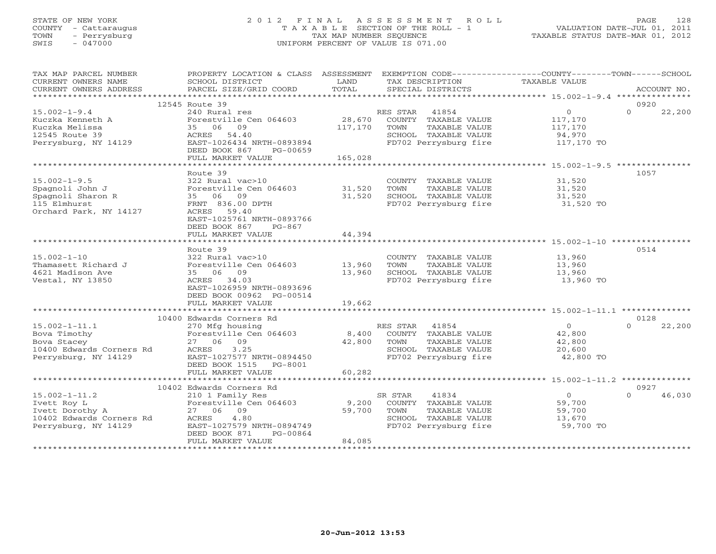## STATE OF NEW YORK 2 0 1 2 F I N A L A S S E S S M E N T R O L L PAGE 128 COUNTY - Cattaraugus T A X A B L E SECTION OF THE ROLL - 1 VALUATION DATE-JUL 01, 2011 TOWN - Perrysburg TAX MAP NUMBER SEQUENCE TAXABLE STATUS DATE-MAR 01, 2012 SWIS - 047000 UNIFORM PERCENT OF VALUE IS 071.00UNIFORM PERCENT OF VALUE IS 071.00

| TAX MAP PARCEL NUMBER                                                                                                                                                                                                                                                                                                                                                                                                                                                                                                                            | PROPERTY LOCATION & CLASS ASSESSMENT EXEMPTION CODE---------------COUNTY-------TOWN------SCHOOL |         |                                  |                |                    |
|--------------------------------------------------------------------------------------------------------------------------------------------------------------------------------------------------------------------------------------------------------------------------------------------------------------------------------------------------------------------------------------------------------------------------------------------------------------------------------------------------------------------------------------------------|-------------------------------------------------------------------------------------------------|---------|----------------------------------|----------------|--------------------|
| CURRENT OWNERS NAME                                                                                                                                                                                                                                                                                                                                                                                                                                                                                                                              | SCHOOL DISTRICT                                                                                 | LAND    | TAX DESCRIPTION                  | TAXABLE VALUE  |                    |
| CURRENT OWNERS ADDRESS<br>$\begin{minipage}{.45\textwidth} \begin{minipage}{.45\textwidth} \begin{minipage}{.45\textwidth} \begin{minipage}{.45\textwidth} \begin{minipage}{.45\textwidth} \begin{minipage}{.45\textwidth} \begin{minipage}{.45\textwidth} \begin{minipage}{.45\textwidth} \begin{minipage}{.45\textwidth} \begin{minipage}{.45\textwidth} \begin{minipage}{.45\textwidth} \begin{minipage}{.45\textwidth} \begin{minipage}{.45\textwidth} \begin{minipage}{.45\textwidth} \begin{minipage}{.45\textwidth} \begin{minipage}{.45$ |                                                                                                 | TOTAL   |                                  |                |                    |
|                                                                                                                                                                                                                                                                                                                                                                                                                                                                                                                                                  |                                                                                                 |         |                                  |                |                    |
|                                                                                                                                                                                                                                                                                                                                                                                                                                                                                                                                                  | 12545 Route 39                                                                                  |         |                                  |                | 0920               |
| $15.002 - 1 - 9.4$                                                                                                                                                                                                                                                                                                                                                                                                                                                                                                                               | 240 Rural res                                                                                   |         | RES STAR<br>41854                | $\overline{0}$ | $\Omega$<br>22,200 |
| Kuczka Kenneth A                                                                                                                                                                                                                                                                                                                                                                                                                                                                                                                                 | Forestville Cen 064603                                                                          | 28,670  | COUNTY TAXABLE VALUE             | 117,170        |                    |
| Kuczka Melissa                                                                                                                                                                                                                                                                                                                                                                                                                                                                                                                                   | 35 06 09                                                                                        | 117,170 | TOWN<br>TAXABLE VALUE            | 117,170        |                    |
| 12545 Route 39                                                                                                                                                                                                                                                                                                                                                                                                                                                                                                                                   | ACRES 54.40                                                                                     |         | SCHOOL TAXABLE VALUE             | 94,970         |                    |
| Perrysburg, NY 14129                                                                                                                                                                                                                                                                                                                                                                                                                                                                                                                             | EAST-1026434 NRTH-0893894                                                                       |         | FD702 Perrysburg fire 117,170 TO |                |                    |
|                                                                                                                                                                                                                                                                                                                                                                                                                                                                                                                                                  |                                                                                                 |         |                                  |                |                    |
|                                                                                                                                                                                                                                                                                                                                                                                                                                                                                                                                                  | DEED BOOK 867<br>PG-00659                                                                       |         |                                  |                |                    |
|                                                                                                                                                                                                                                                                                                                                                                                                                                                                                                                                                  | FULL MARKET VALUE                                                                               | 165,028 |                                  |                |                    |
|                                                                                                                                                                                                                                                                                                                                                                                                                                                                                                                                                  |                                                                                                 |         |                                  |                |                    |
|                                                                                                                                                                                                                                                                                                                                                                                                                                                                                                                                                  | Route 39                                                                                        |         |                                  |                | 1057               |
| $15.002 - 1 - 9.5$                                                                                                                                                                                                                                                                                                                                                                                                                                                                                                                               | 322 Rural vac>10                                                                                |         | COUNTY TAXABLE VALUE             | 31,520         |                    |
| Spagnoli John J                                                                                                                                                                                                                                                                                                                                                                                                                                                                                                                                  | Forestville Cen 064603 31,520                                                                   |         | TAXABLE VALUE<br>TOWN            | 31,520         |                    |
| Spagnoli Sharon R                                                                                                                                                                                                                                                                                                                                                                                                                                                                                                                                | 35 06 09                                                                                        | 31,520  | SCHOOL TAXABLE VALUE             | 31,520         |                    |
| 115 Elmhurst                                                                                                                                                                                                                                                                                                                                                                                                                                                                                                                                     | FRNT 836.00 DPTH                                                                                |         | FD702 Perrysburg fire 31,520 TO  |                |                    |
| Orchard Park, NY 14127                                                                                                                                                                                                                                                                                                                                                                                                                                                                                                                           | ACRES 59.40                                                                                     |         |                                  |                |                    |
|                                                                                                                                                                                                                                                                                                                                                                                                                                                                                                                                                  | EAST-1025761 NRTH-0893766                                                                       |         |                                  |                |                    |
|                                                                                                                                                                                                                                                                                                                                                                                                                                                                                                                                                  | DEED BOOK 867<br>PG-867                                                                         |         |                                  |                |                    |
|                                                                                                                                                                                                                                                                                                                                                                                                                                                                                                                                                  | FULL MARKET VALUE                                                                               | 44,394  |                                  |                |                    |
|                                                                                                                                                                                                                                                                                                                                                                                                                                                                                                                                                  |                                                                                                 |         |                                  |                |                    |
|                                                                                                                                                                                                                                                                                                                                                                                                                                                                                                                                                  |                                                                                                 |         |                                  |                | 0514               |
|                                                                                                                                                                                                                                                                                                                                                                                                                                                                                                                                                  | Route 39                                                                                        |         |                                  |                |                    |
| $15.002 - 1 - 10$                                                                                                                                                                                                                                                                                                                                                                                                                                                                                                                                | 322 Rural vac>10                                                                                |         | COUNTY TAXABLE VALUE             | 13,960         |                    |
| Thamasett Richard J                                                                                                                                                                                                                                                                                                                                                                                                                                                                                                                              | Forestville Cen 064603 13,960                                                                   |         | TAXABLE VALUE<br>TOWN            | 13,960         |                    |
| 4621 Madison Ave                                                                                                                                                                                                                                                                                                                                                                                                                                                                                                                                 | 35 06 09                                                                                        | 13,960  | SCHOOL TAXABLE VALUE             | 13,960         |                    |
| Vestal, NY 13850                                                                                                                                                                                                                                                                                                                                                                                                                                                                                                                                 | ACRES 34.03                                                                                     |         | FD702 Perrysburg fire            | 13,960 TO      |                    |
|                                                                                                                                                                                                                                                                                                                                                                                                                                                                                                                                                  | EAST-1026959 NRTH-0893696                                                                       |         |                                  |                |                    |
|                                                                                                                                                                                                                                                                                                                                                                                                                                                                                                                                                  | DEED BOOK 00962 PG-00514                                                                        |         |                                  |                |                    |
|                                                                                                                                                                                                                                                                                                                                                                                                                                                                                                                                                  | FULL MARKET VALUE                                                                               | 19,662  |                                  |                |                    |
|                                                                                                                                                                                                                                                                                                                                                                                                                                                                                                                                                  |                                                                                                 |         |                                  |                |                    |
|                                                                                                                                                                                                                                                                                                                                                                                                                                                                                                                                                  | 10400 Edwards Corners Rd                                                                        |         |                                  |                | 0128               |
| $15.002 - 1 - 11.1$                                                                                                                                                                                                                                                                                                                                                                                                                                                                                                                              | 270 Mfg housing                                                                                 |         | RES STAR 41854                   | $\overline{0}$ | 22,200<br>$\Omega$ |
| Bova Timothy                                                                                                                                                                                                                                                                                                                                                                                                                                                                                                                                     | Forestville Cen 064603                                                                          |         | 8,400 COUNTY TAXABLE VALUE       | 42,800         |                    |
| Bova Stacey                                                                                                                                                                                                                                                                                                                                                                                                                                                                                                                                      | 27 06 09                                                                                        | 42,800  | TAXABLE VALUE<br>TOWN            | 42,800         |                    |
| 10400 Edwards Corners Rd                                                                                                                                                                                                                                                                                                                                                                                                                                                                                                                         | 3.25<br>ACRES                                                                                   |         | SCHOOL TAXABLE VALUE             | 20,600         |                    |
| Perrysburg, NY 14129                                                                                                                                                                                                                                                                                                                                                                                                                                                                                                                             | EAST-1027577 NRTH-0894450                                                                       |         | FD702 Perrysburg fire            | 42,800 TO      |                    |
|                                                                                                                                                                                                                                                                                                                                                                                                                                                                                                                                                  |                                                                                                 |         |                                  |                |                    |
|                                                                                                                                                                                                                                                                                                                                                                                                                                                                                                                                                  | DEED BOOK 1515 PG-8001                                                                          |         |                                  |                |                    |
|                                                                                                                                                                                                                                                                                                                                                                                                                                                                                                                                                  | FULL MARKET VALUE                                                                               | 60,282  |                                  |                |                    |
|                                                                                                                                                                                                                                                                                                                                                                                                                                                                                                                                                  |                                                                                                 |         |                                  |                |                    |
|                                                                                                                                                                                                                                                                                                                                                                                                                                                                                                                                                  | 10402 Edwards Corners Rd                                                                        |         |                                  |                | 0927               |
| $15.002 - 1 - 11.2$                                                                                                                                                                                                                                                                                                                                                                                                                                                                                                                              | 210 1 Family Res                                                                                |         | SR STAR<br>41834                 | 0              | $\cap$<br>46,030   |
| Ivett Roy L                                                                                                                                                                                                                                                                                                                                                                                                                                                                                                                                      | Forestville Cen 064603                                                                          | 9,200   | COUNTY TAXABLE VALUE             | 59,700         |                    |
| Ivett Dorothy A                                                                                                                                                                                                                                                                                                                                                                                                                                                                                                                                  | 27 06 09                                                                                        | 59,700  | TOWN<br>TAXABLE VALUE            | 59,700         |                    |
| 10402 Edwards Corners Rd                                                                                                                                                                                                                                                                                                                                                                                                                                                                                                                         | 4.80<br>ACRES                                                                                   |         | SCHOOL TAXABLE VALUE             | 13,670         |                    |
| Perrysburg, NY 14129                                                                                                                                                                                                                                                                                                                                                                                                                                                                                                                             | EAST-1027579 NRTH-0894749                                                                       |         | FD702 Perrysburg fire            | 59,700 TO      |                    |
|                                                                                                                                                                                                                                                                                                                                                                                                                                                                                                                                                  | DEED BOOK 871<br>PG-00864                                                                       |         |                                  |                |                    |
|                                                                                                                                                                                                                                                                                                                                                                                                                                                                                                                                                  | FULL MARKET VALUE                                                                               | 84,085  |                                  |                |                    |
|                                                                                                                                                                                                                                                                                                                                                                                                                                                                                                                                                  |                                                                                                 |         |                                  |                |                    |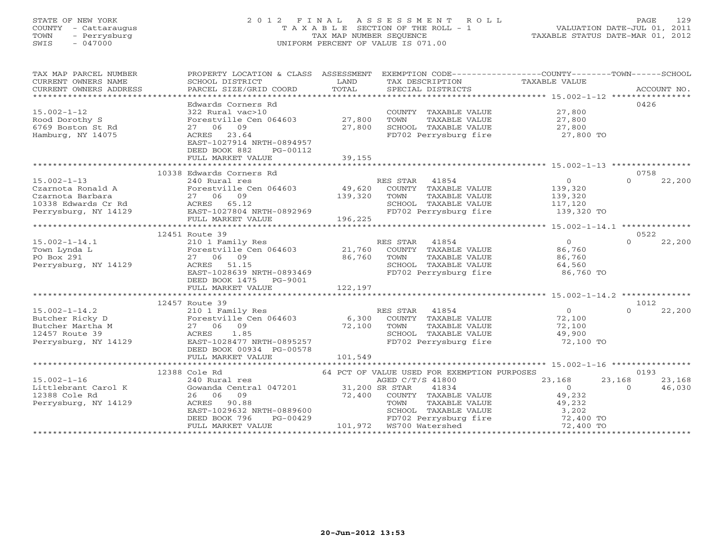## STATE OF NEW YORK 2 0 1 2 F I N A L A S S E S S M E N T R O L L PAGE 129 COUNTY - Cattaraugus T A X A B L E SECTION OF THE ROLL - 1 VALUATION DATE-JUL 01, 2011 TOWN - Perrysburg TAX MAP NUMBER SEQUENCE TAXABLE STATUS DATE-MAR 01, 2012 SWIS - 047000 UNIFORM PERCENT OF VALUE IS 071.00UNIFORM PERCENT OF VALUE IS 071.00

| TAX MAP PARCEL NUMBER<br>CURRENT OWNERS NAME                                                                          | PROPERTY LOCATION & CLASS ASSESSMENT EXEMPTION CODE---------------COUNTY-------TOWN------SCHOOL<br>SCHOOL DISTRICT<br>$\begin{minipage}{.45\textwidth} \begin{minipage}{.45\textwidth} \begin{minipage}{.45\textwidth} \begin{minipage}{.45\textwidth} \begin{minipage}{.45\textwidth} \begin{minipage}{.45\textwidth} \begin{minipage}{.45\textwidth} \begin{minipage}{.45\textwidth} \begin{minipage}{.45\textwidth} \begin{minipage}{.45\textwidth} \begin{minipage}{.45\textwidth} \begin{minipage}{.45\textwidth} \begin{minipage}{.45\textwidth} \begin{minipage}{.45\textwidth} \begin{minipage}{.45\textwidth} \begin{minipage}{.45$ | LAND             | TAX DESCRIPTION                                                                                                                                                                                                                                      | TAXABLE VALUE                                                                                  |                                                      |
|-----------------------------------------------------------------------------------------------------------------------|----------------------------------------------------------------------------------------------------------------------------------------------------------------------------------------------------------------------------------------------------------------------------------------------------------------------------------------------------------------------------------------------------------------------------------------------------------------------------------------------------------------------------------------------------------------------------------------------------------------------------------------------|------------------|------------------------------------------------------------------------------------------------------------------------------------------------------------------------------------------------------------------------------------------------------|------------------------------------------------------------------------------------------------|------------------------------------------------------|
| $15.002 - 1 - 12$<br>Rood Dorothy S<br>6769 Boston St Rd<br>Hamburg, NY 14075                                         | Edwards Corners Rd<br>322 Rural vac>10<br>Forestville Cen 064603 27,800<br>27 06 09<br>ACRES 23.64<br>EAST-1027914 NRTH-0894957<br>DEED BOOK 882<br>PG-00112<br>FULL MARKET VALUE                                                                                                                                                                                                                                                                                                                                                                                                                                                            | 27,800<br>39,155 | COUNTY TAXABLE VALUE 27,800<br>TOWN<br>TAXABLE VALUE<br>SCHOOL TAXABLE VALUE $27,800$<br>FD702 Perrysburg fire $27,800$ TO                                                                                                                           | 27,800                                                                                         | 0426                                                 |
| $15.002 - 1 - 13$<br>Czarnota Ronald A Rorestville Ce<br>Czarnota Barbara 27 06 09<br>10338 Edwards Cr Rd ACRES 65.12 | 10338 Edwards Corners Rd<br>240 Rural res<br>Forestville Cen 064603 49,620                                                                                                                                                                                                                                                                                                                                                                                                                                                                                                                                                                   | 139,320          | RES STAR 41854<br>COUNTY TAXABLE VALUE<br>TOWN<br>TAXABLE VALUE<br>SCHOOL TAXABLE VALUE 117,120<br>FD702 Perrysburg fire 139,320 TO                                                                                                                  | $\overline{0}$<br>139,320<br>139,320                                                           | 0758<br>$\Omega$<br>22,200                           |
| $15.002 - 1 - 14.1$<br>Town Lynda L<br>PO Box 291<br>Perrysburg, NY 14129                                             | 12451 Route 39<br>210 1 Family Res<br>ACRES 51.15<br>ACRES 51.15<br>EAST-1028639 NRTH-0893469<br>DEED BOOK 1475 PG-9001                                                                                                                                                                                                                                                                                                                                                                                                                                                                                                                      |                  | RES STAR 41854<br>COUNTY TAXABLE VALUE<br>TAXABLE VALUE<br>TOWN<br>SCHOOL TAXABLE VALUE<br>FD702 Perrysburg fire                                                                                                                                     | $\overline{0}$<br>86,760<br>86,760<br>64,560<br>86,760 TO                                      | 0522<br>$\Omega$<br>22,200                           |
|                                                                                                                       | 12457 Route 39<br>15.002-1-14.2<br>Butcher Ricky D<br>Butcher Martha M<br>12457 Route 39<br>Perrysburg, NY 14129<br>27 06 09<br>27 06 09<br>27 06 09<br>27 06 09<br>27 06 09<br>27 06 09<br>27 06 09<br>27 06 09<br>27 0895257<br>27 0895257<br>28477 NRTH-0895257<br>DEED BOOK 00934 PG-00578<br>FULL MARKET VALUE                                                                                                                                                                                                                                                                                                                          | 101,549          | RES STAR 41854<br>6,300 COUNTY TAXABLE VALUE<br>72,100 TOWN TAXABLE VALUE<br>SCHOOL TAXABLE VALUE<br>FD702 Perrysburg fire                                                                                                                           | $\begin{array}{c} 0 \\ 72,100 \end{array}$<br>72,100<br>49,900<br>72,100 TO                    | 1012<br>$\Omega$<br>22,200                           |
| $15.002 - 1 - 16$<br>Littlebrant Carol K<br>12388 Cole Rd<br>Perrysburg, NY 14129                                     | 12388 Cole Rd<br>240 Rural res<br>26 06 09<br>ACRES 90.88<br>DEED BOOK 796<br>FULL MARKET VALUE                                                                                                                                                                                                                                                                                                                                                                                                                                                                                                                                              | 72,400           | 64 PCT OF VALUE USED FOR EXEMPTION PURPOSES<br>AGED C/T/S 41800<br>41834<br>COUNTY TAXABLE VALUE<br>TOWN<br>SCHOOL TAXABLE VALUE<br>FD702 Perrysburg fire<br>TD702 Perrysburg fire 72,400 TO<br>PG-00429 FD702 Perrysburg<br>101,972 WS700 Watershed | 23,168<br>$\overline{0}$<br>49,232<br>TAXABLE VALUE 49,232<br>TAXABLE VALUE 3,202<br>72,400 TO | 0193<br>23,168<br>23,168<br>46,030<br>$\overline{0}$ |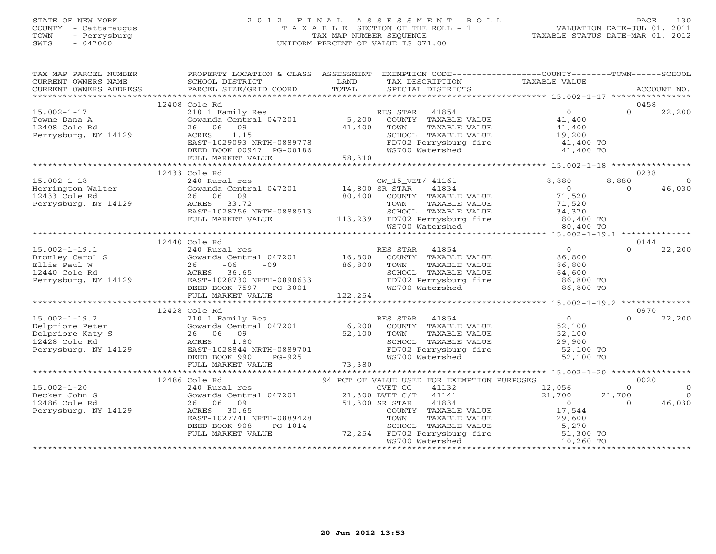## STATE OF NEW YORK 2 0 1 2 F I N A L A S S E S S M E N T R O L L PAGE 130 COUNTY - Cattaraugus T A X A B L E SECTION OF THE ROLL - 1 VALUATION DATE-JUL 01, 2011 TOWN - Perrysburg TAX MAP NUMBER SEQUENCE TAXABLE STATUS DATE-MAR 01, 2012 SWIS - 047000 UNIFORM PERCENT OF VALUE IS 071.00UNIFORM PERCENT OF VALUE IS 071.00

| TAX MAP PARCEL NUMBER                                                                                                                                     | PROPERTY LOCATION & CLASS ASSESSMENT                                                                                       |                    | EXEMPTION CODE-----------------COUNTY-------TOWN------SCHOOL                                                                                                                                                         |                  |          |                |
|-----------------------------------------------------------------------------------------------------------------------------------------------------------|----------------------------------------------------------------------------------------------------------------------------|--------------------|----------------------------------------------------------------------------------------------------------------------------------------------------------------------------------------------------------------------|------------------|----------|----------------|
|                                                                                                                                                           |                                                                                                                            |                    |                                                                                                                                                                                                                      |                  |          |                |
|                                                                                                                                                           | 12408 Cole Rd                                                                                                              |                    |                                                                                                                                                                                                                      |                  |          | 0458           |
| $15.002 - 1 - 17$                                                                                                                                         | 210 1 Family Res                                                                                                           |                    | RES STAR 41854                                                                                                                                                                                                       | $\overline{0}$   | $\Omega$ | 22,200         |
| Towne Dana A                                                                                                                                              | Gowanda Central 047201 5,200                                                                                               |                    | COUNTY TAXABLE VALUE                                                                                                                                                                                                 | 41,400           |          |                |
| 12408 Cole Rd                                                                                                                                             | 26 06<br>09                                                                                                                | 41,400             | TOWN<br>TAXABLE VALUE                                                                                                                                                                                                | 41,400           |          |                |
| Perrysburg, NY 14129                                                                                                                                      | ACRES<br>1.15                                                                                                              |                    |                                                                                                                                                                                                                      |                  |          |                |
|                                                                                                                                                           | EAST-1029093 NRTH-0889778                                                                                                  |                    | SCHOOL TAXABLE VALUE 19,200<br>FD702 Perrysburg fire 19,200<br>WS700 Watershed 11,400 TO                                                                                                                             |                  |          |                |
|                                                                                                                                                           | DEED BOOK 00947 PG-00186<br>FULL MARKET VALUE 58,310                                                                       |                    |                                                                                                                                                                                                                      |                  |          |                |
|                                                                                                                                                           |                                                                                                                            |                    |                                                                                                                                                                                                                      |                  |          |                |
|                                                                                                                                                           | 12433 Cole Rd                                                                                                              |                    |                                                                                                                                                                                                                      |                  |          | 0238           |
| $15.002 - 1 - 18$                                                                                                                                         |                                                                                                                            |                    | CW_15_VET/ 41161                                                                                                                                                                                                     | 8,880            | 8,880    | $\overline{0}$ |
|                                                                                                                                                           | $\begin{tabular}{llll} 240 Rural res & &\tt CW\_15\_VE \\ \tt Gowanda Central & 047201 & & 14,800 SR STR \\ \end{tabular}$ |                    | 41834                                                                                                                                                                                                                | $\overline{0}$   | $\Omega$ | 46,030         |
| Herrington Walter<br>12433 Cole Rd                                                                                                                        | 26 06<br>09                                                                                                                | 80,400             | COUNTY TAXABLE VALUE                                                                                                                                                                                                 | 71,520           |          |                |
| Perrysburg, NY 14129                                                                                                                                      | ACRES 33.72                                                                                                                |                    | TOWN<br>TAXABLE VALUE                                                                                                                                                                                                | 71,520           |          |                |
|                                                                                                                                                           | EAST-1028756 NRTH-0888513                                                                                                  |                    |                                                                                                                                                                                                                      | 34,370           |          |                |
|                                                                                                                                                           | FULL MARKET VALUE                                                                                                          |                    | SCHOOL TAXABLE VALUE<br>113,239 FD702 Perrysburg fire<br>WS700 Watershed                                                                                                                                             | 80,400 TO        |          |                |
|                                                                                                                                                           |                                                                                                                            |                    |                                                                                                                                                                                                                      | 80,400 TO        |          |                |
|                                                                                                                                                           |                                                                                                                            |                    |                                                                                                                                                                                                                      |                  |          |                |
|                                                                                                                                                           | 12440 Cole Rd                                                                                                              |                    |                                                                                                                                                                                                                      |                  |          | 0144           |
| $15.002 - 1 - 19.1$                                                                                                                                       | 240 Rural res                                                                                                              |                    | RES STAR 41854                                                                                                                                                                                                       | $\overline{0}$   | $\Omega$ | 22,200         |
| Bromley Carol S                                                                                                                                           | Gowanda Central 047201 16,800                                                                                              |                    | COUNTY TAXABLE VALUE                                                                                                                                                                                                 | 86,800           |          |                |
| Ellis Paul W                                                                                                                                              | $-06$<br>$-09$ 86,800<br>26                                                                                                |                    | TOWN<br>TAXABLE VALUE                                                                                                                                                                                                | 86,800           |          |                |
|                                                                                                                                                           |                                                                                                                            |                    | SCHOOL TAXABLE VALUE 64,600<br>FD702 Perrysburg fire 64,600 TO<br>WS700 Watershed 86,800 TO                                                                                                                          |                  |          |                |
|                                                                                                                                                           |                                                                                                                            |                    |                                                                                                                                                                                                                      |                  |          |                |
|                                                                                                                                                           | DEED BOOK 7597 PG-3001                                                                                                     | $3-3001$ $122,254$ |                                                                                                                                                                                                                      |                  |          |                |
|                                                                                                                                                           | FULL MARKET VALUE                                                                                                          |                    |                                                                                                                                                                                                                      |                  |          |                |
|                                                                                                                                                           | 12428 Cole Rd                                                                                                              |                    |                                                                                                                                                                                                                      |                  |          | 0970           |
| $15.002 - 1 - 19.2$                                                                                                                                       | 210 1 Family Res                                                                                                           |                    | RES STAR<br>41854                                                                                                                                                                                                    | 5 <sup>0</sup>   | $\Omega$ | 22,200         |
|                                                                                                                                                           |                                                                                                                            |                    | COUNTY TAXABLE VALUE                                                                                                                                                                                                 |                  |          |                |
|                                                                                                                                                           |                                                                                                                            |                    | TOWN<br>TAXABLE VALUE                                                                                                                                                                                                |                  |          |                |
|                                                                                                                                                           | Gowanda Central 047201 6,200<br>26 06 09 52,100<br>ACRES 1.80 52,100                                                       |                    |                                                                                                                                                                                                                      | 52,100<br>29,900 |          |                |
| 15.002-1-19.2<br>Delpriore Peter Gowanda Central 047201<br>Delpriore Katy S<br>12428 Cole Rd ACRES 1.80<br>Perrysburg, NY 14129 EAST-1028844 NRTH-0889701 |                                                                                                                            |                    | SCHOOL TAXABLE VALUE<br>FD702 Perrysburg fire                                                                                                                                                                        | 52,100 TO        |          |                |
|                                                                                                                                                           | RTH-0889701<br>PG-925<br>DEED BOOK 990                                                                                     |                    | WS700 Watershed                                                                                                                                                                                                      | 52,100 TO        |          |                |
|                                                                                                                                                           | FULL MARKET VALUE                                                                                                          | 73,380             |                                                                                                                                                                                                                      |                  |          |                |
|                                                                                                                                                           |                                                                                                                            |                    |                                                                                                                                                                                                                      |                  |          |                |
|                                                                                                                                                           | 12486 Cole Rd                                                                                                              |                    | 94 PCT OF VALUE USED FOR EXEMPTION PURPOSES                                                                                                                                                                          |                  |          | 0020           |
| $15.002 - 1 - 20$                                                                                                                                         | 240 Rural res                                                                                                              |                    | CVET CO<br>41132                                                                                                                                                                                                     | 12,056           | $\circ$  | $\overline{0}$ |
| Becker John G                                                                                                                                             | Gowanda Central 047201 21,300 DVET C/T                                                                                     |                    | 41141                                                                                                                                                                                                                | 21,700           | 21,700   | $\overline{0}$ |
| 12486 Cole Rd                                                                                                                                             | 26 06<br>09                                                                                                                | 51,300 SR STAR     | 41834                                                                                                                                                                                                                | $\sim$ 0         | $\cap$   | 46,030         |
| Perrysburg, NY 14129                                                                                                                                      | ACRES 30.65                                                                                                                |                    |                                                                                                                                                                                                                      |                  |          |                |
|                                                                                                                                                           | EAST-1027741 NRTH-0889428                                                                                                  |                    |                                                                                                                                                                                                                      |                  |          |                |
|                                                                                                                                                           | DEED BOOK 908<br>PG-1014                                                                                                   |                    |                                                                                                                                                                                                                      |                  |          |                |
|                                                                                                                                                           | FULL MARKET VALUE                                                                                                          |                    | 51,300 SR STAR 41054<br>COUNTY TAXABLE VALUE 17,544<br>TOWN TAXABLE VALUE 29,600<br>SCHOOL TAXABLE VALUE 29,500<br>SCHOOL TAXABLE VALUE 5,270<br>72,254 FD702 Perrysburg fire 51,300 TO<br>WS700 Watershed 10,260 TO |                  |          |                |
|                                                                                                                                                           |                                                                                                                            |                    |                                                                                                                                                                                                                      |                  |          |                |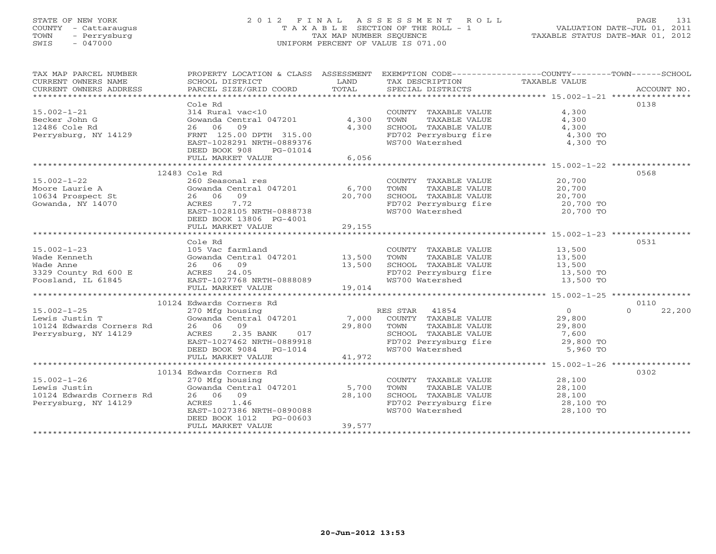## STATE OF NEW YORK 2 0 1 2 F I N A L A S S E S S M E N T R O L L PAGE 131 COUNTY - Cattaraugus T A X A B L E SECTION OF THE ROLL - 1 VALUATION DATE-JUL 01, 2011 TOWN - Perrysburg TAX MAP NUMBER SEQUENCE TAXABLE STATUS DATE-MAR 01, 2012 SWIS - 047000 UNIFORM PERCENT OF VALUE IS 071.00UNIFORM PERCENT OF VALUE IS 071.00

| TAX MAP PARCEL NUMBER<br>$\begin{tabular}{lllllll} \multicolumn{2}{c}{\textbf{CURRENT}} & \multicolumn{2}{c}{\textbf{WMERS}} & \multicolumn{2}{c}{\textbf{NAME}} & \multicolumn{2}{c}{\textbf{SCHOOL}} & \multicolumn{2}{c}{\textbf{ISTRICT}} & \multicolumn{2}{c}{\textbf{LAND}} & \multicolumn{2}{c}{\textbf{TAX} BESCRIPTION} & \multicolumn{2}{c}{\textbf{TAX} BLE} & \multicolumn{2}{c}{\textbf{VALUE}} & \multicolumn{2}{c}{\textbf{CURRENT}} & \multicolumn{2}{c}{\textbf{NCABLE}} &$ | PROPERTY LOCATION & CLASS ASSESSMENT |        | EXEMPTION CODE-----------------COUNTY-------TOWN------SCHOOL                                                                                     |                  |                    |
|----------------------------------------------------------------------------------------------------------------------------------------------------------------------------------------------------------------------------------------------------------------------------------------------------------------------------------------------------------------------------------------------------------------------------------------------------------------------------------------------|--------------------------------------|--------|--------------------------------------------------------------------------------------------------------------------------------------------------|------------------|--------------------|
|                                                                                                                                                                                                                                                                                                                                                                                                                                                                                              |                                      |        |                                                                                                                                                  |                  |                    |
|                                                                                                                                                                                                                                                                                                                                                                                                                                                                                              | Cole Rd                              |        |                                                                                                                                                  |                  | 0138               |
| $15.002 - 1 - 21$                                                                                                                                                                                                                                                                                                                                                                                                                                                                            | 314 Rural vac<10                     |        | COUNTY TAXABLE VALUE                                                                                                                             | 4,300            |                    |
| Becker John G                                                                                                                                                                                                                                                                                                                                                                                                                                                                                | Gowanda Central 047201 4,300         |        | TOWN<br>TAXABLE VALUE                                                                                                                            | 4,300            |                    |
| 12486 Cole Rd                                                                                                                                                                                                                                                                                                                                                                                                                                                                                | 26 06 09                             | 4,300  | SCHOOL TAXABLE VALUE<br>FD702 Perrysburg fire $4,300$<br>WS700 Watershed $4,300$ TO<br>WS700 Watershed $4,300$ TO                                |                  |                    |
| Perrysburg, NY 14129                                                                                                                                                                                                                                                                                                                                                                                                                                                                         | FRNT 125.00 DPTH 315.00              |        |                                                                                                                                                  |                  |                    |
|                                                                                                                                                                                                                                                                                                                                                                                                                                                                                              | EAST-1028291 NRTH-0889376            |        |                                                                                                                                                  |                  |                    |
|                                                                                                                                                                                                                                                                                                                                                                                                                                                                                              | DEED BOOK 908<br>PG-01014            |        |                                                                                                                                                  |                  |                    |
|                                                                                                                                                                                                                                                                                                                                                                                                                                                                                              | FULL MARKET VALUE                    | 6,056  |                                                                                                                                                  |                  |                    |
|                                                                                                                                                                                                                                                                                                                                                                                                                                                                                              |                                      |        |                                                                                                                                                  |                  |                    |
|                                                                                                                                                                                                                                                                                                                                                                                                                                                                                              | 12483 Cole Rd                        |        |                                                                                                                                                  |                  | 0568               |
| $15.002 - 1 - 22$                                                                                                                                                                                                                                                                                                                                                                                                                                                                            | 260 Seasonal res                     |        | COUNTY TAXABLE VALUE                                                                                                                             | 20,700           |                    |
| Moore Laurie A                                                                                                                                                                                                                                                                                                                                                                                                                                                                               | Gowanda Central 047201 6,700         |        |                                                                                                                                                  |                  |                    |
| 10634 Prospect St                                                                                                                                                                                                                                                                                                                                                                                                                                                                            | 26 06 09                             | 20,700 |                                                                                                                                                  |                  |                    |
| Gowanda, NY 14070                                                                                                                                                                                                                                                                                                                                                                                                                                                                            | 7.72<br>ACRES                        |        | COUNTY TAXABLE VALUE<br>TOWN TAXABLE VALUE 20,700<br>SCHOOL TAXABLE VALUE 20,700<br>FD702 Perrysburg fire 20,700 TO<br>WS700 Watershed 20,700 TO |                  |                    |
|                                                                                                                                                                                                                                                                                                                                                                                                                                                                                              | EAST-1028105 NRTH-0888738            |        |                                                                                                                                                  |                  |                    |
|                                                                                                                                                                                                                                                                                                                                                                                                                                                                                              | DEED BOOK 13806 PG-4001              |        |                                                                                                                                                  |                  |                    |
|                                                                                                                                                                                                                                                                                                                                                                                                                                                                                              | FULL MARKET VALUE                    | 29,155 |                                                                                                                                                  |                  |                    |
|                                                                                                                                                                                                                                                                                                                                                                                                                                                                                              |                                      |        |                                                                                                                                                  |                  |                    |
|                                                                                                                                                                                                                                                                                                                                                                                                                                                                                              | Cole Rd                              |        |                                                                                                                                                  |                  | 0531               |
| $15.002 - 1 - 23$                                                                                                                                                                                                                                                                                                                                                                                                                                                                            | 105 Vac farmland                     |        | COUNTY TAXABLE VALUE                                                                                                                             |                  |                    |
|                                                                                                                                                                                                                                                                                                                                                                                                                                                                                              | Gowanda Central 047201 13,500        |        |                                                                                                                                                  | 13,500<br>13,500 |                    |
| 15.002-1-23 105 Vac farmland<br>Wade Kenneth Gowanda Central 047201 13,500<br>Wade Anne 26 06 09 13,500<br>3329 County Rd 600 E ACRES 24.05<br>Foosland, IL 61845 EAST-1027768 NRTH-0888089                                                                                                                                                                                                                                                                                                  |                                      |        | TOWN TAXABLE VALUE 13,500<br>SCHOOL TAXABLE VALUE 13,500<br>FD702 Perrysburg fire 13,500 TO<br>WS700 Watershed 13,500 TO                         |                  |                    |
|                                                                                                                                                                                                                                                                                                                                                                                                                                                                                              |                                      |        |                                                                                                                                                  |                  |                    |
|                                                                                                                                                                                                                                                                                                                                                                                                                                                                                              |                                      |        |                                                                                                                                                  |                  |                    |
|                                                                                                                                                                                                                                                                                                                                                                                                                                                                                              | FULL MARKET VALUE                    | 19,014 |                                                                                                                                                  |                  |                    |
|                                                                                                                                                                                                                                                                                                                                                                                                                                                                                              |                                      |        |                                                                                                                                                  |                  |                    |
|                                                                                                                                                                                                                                                                                                                                                                                                                                                                                              | 10124 Edwards Corners Rd             |        |                                                                                                                                                  |                  | 0110               |
| $15.002 - 1 - 25$                                                                                                                                                                                                                                                                                                                                                                                                                                                                            | 270 Mfg housing                      |        | RES STAR 41854                                                                                                                                   | $\overline{0}$   | 22,200<br>$\Omega$ |
| Lewis Justin T                                                                                                                                                                                                                                                                                                                                                                                                                                                                               | Gowanda Central 047201 7,000         |        | COUNTY TAXABLE VALUE                                                                                                                             | 29,800           |                    |
| 10124 Edwards Corners Rd                                                                                                                                                                                                                                                                                                                                                                                                                                                                     | 26 06 09                             | 29,800 | TAXABLE VALUE<br>TOWN                                                                                                                            | 29,800           |                    |
| Perrysburg, NY 14129                                                                                                                                                                                                                                                                                                                                                                                                                                                                         | ACRES<br>2.35 BANK<br>017            |        |                                                                                                                                                  |                  |                    |
|                                                                                                                                                                                                                                                                                                                                                                                                                                                                                              |                                      |        | FORM TAXABLE VALUE<br>SCHOOL TAXABLE VALUE<br>FD702 Perrysburg fire $7,600$<br>WS700 Watershed 5,960 TO                                          |                  |                    |
|                                                                                                                                                                                                                                                                                                                                                                                                                                                                                              | EAST-1027462 NRTH-0889918            |        |                                                                                                                                                  |                  |                    |
|                                                                                                                                                                                                                                                                                                                                                                                                                                                                                              | DEED BOOK 9084 PG-1014               |        |                                                                                                                                                  |                  |                    |
|                                                                                                                                                                                                                                                                                                                                                                                                                                                                                              | FULL MARKET VALUE                    | 41,972 |                                                                                                                                                  |                  |                    |
|                                                                                                                                                                                                                                                                                                                                                                                                                                                                                              |                                      |        |                                                                                                                                                  |                  |                    |
|                                                                                                                                                                                                                                                                                                                                                                                                                                                                                              | 10134 Edwards Corners Rd             |        |                                                                                                                                                  |                  | 0302               |
| $15.002 - 1 - 26$                                                                                                                                                                                                                                                                                                                                                                                                                                                                            | 270 Mfg housing                      |        | COUNTY TAXABLE VALUE                                                                                                                             | 28,100           |                    |
| Lewis Justin                                                                                                                                                                                                                                                                                                                                                                                                                                                                                 | Gowanda Central 047201 5,700         |        | TOWN<br>TAXABLE VALUE                                                                                                                            | 28,100           |                    |
| 10124 Edwards Corners Rd                                                                                                                                                                                                                                                                                                                                                                                                                                                                     | 26 06 09                             | 28,100 | SCHOOL TAXABLE VALUE<br>FD702 Perrysburg fire 38,100 TO<br>28,100 TO                                                                             |                  |                    |
| Perrysburg, NY 14129                                                                                                                                                                                                                                                                                                                                                                                                                                                                         | ACRES<br>1.46                        |        |                                                                                                                                                  |                  |                    |
|                                                                                                                                                                                                                                                                                                                                                                                                                                                                                              | EAST-1027386 NRTH-0890088            |        | WS700 Watershed                                                                                                                                  | 28,100 TO        |                    |
|                                                                                                                                                                                                                                                                                                                                                                                                                                                                                              | DEED BOOK 1012<br>PG-00603           |        |                                                                                                                                                  |                  |                    |
| ********************************                                                                                                                                                                                                                                                                                                                                                                                                                                                             | FULL MARKET VALUE                    | 39,577 |                                                                                                                                                  |                  |                    |
|                                                                                                                                                                                                                                                                                                                                                                                                                                                                                              |                                      |        |                                                                                                                                                  |                  |                    |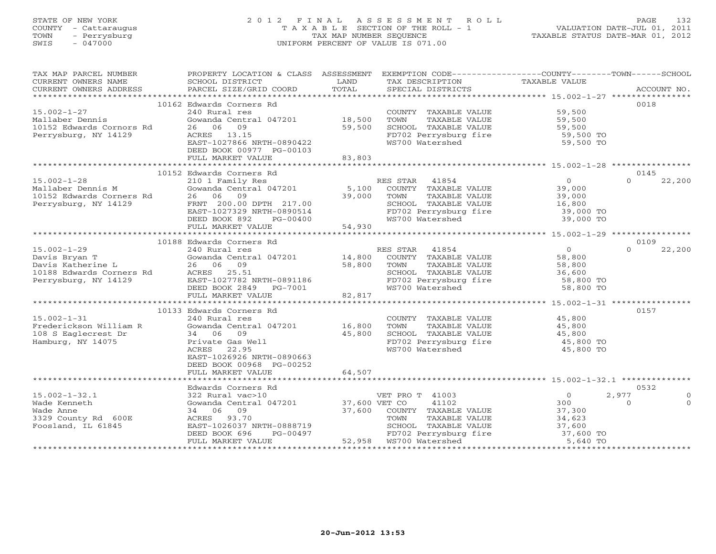## STATE OF NEW YORK 2 0 1 2 F I N A L A S S E S S M E N T R O L L PAGE 132 COUNTY - Cattaraugus T A X A B L E SECTION OF THE ROLL - 1 VALUATION DATE-JUL 01, 2011 TOWN - Perrysburg TAX MAP NUMBER SEQUENCE TAXABLE STATUS DATE-MAR 01, 2012 SWIS - 047000 UNIFORM PERCENT OF VALUE IS 071.00UNIFORM PERCENT OF VALUE IS 071.00

| TAX MAP PARCEL NUMBER<br>CURRENT OWNERS NAME                                                                                                                                                                                                                                                                                                                                                                                                                                                                           | PROPERTY LOCATION & CLASS ASSESSMENT EXEMPTION CODE---------------COUNTY-------TOWN------SCHOOL<br>SCHOOL DISTRICT | LAND   | TAX DESCRIPTION                                                                          | TAXABLE VALUE                   |                       |
|------------------------------------------------------------------------------------------------------------------------------------------------------------------------------------------------------------------------------------------------------------------------------------------------------------------------------------------------------------------------------------------------------------------------------------------------------------------------------------------------------------------------|--------------------------------------------------------------------------------------------------------------------|--------|------------------------------------------------------------------------------------------|---------------------------------|-----------------------|
| $\begin{minipage}{.45\textwidth} \begin{minipage}{.45\textwidth} \begin{minipage}{.45\textwidth} \begin{minipage}{.45\textwidth} \begin{minipage}{.45\textwidth} \begin{minipage}{.45\textwidth} \begin{minipage}{.45\textwidth} \begin{minipage}{.45\textwidth} \begin{minipage}{.45\textwidth} \begin{minipage}{.45\textwidth} \begin{minipage}{.45\textwidth} \begin{minipage}{.45\textwidth} \begin{minipage}{.45\textwidth} \begin{minipage}{.45\textwidth} \begin{minipage}{.45\textwidth} \begin{minipage}{.45$ |                                                                                                                    |        |                                                                                          |                                 |                       |
|                                                                                                                                                                                                                                                                                                                                                                                                                                                                                                                        | 10162 Edwards Corners Rd                                                                                           |        |                                                                                          |                                 | 0018                  |
| $15.002 - 1 - 27$<br>Mallaber Dennis<br>Mallaber Dennis<br>10152 Edwards Cornors Rd                                                                                                                                                                                                                                                                                                                                                                                                                                    | 240 Rural res<br>Gowanda Central 047201 18,500                                                                     |        | COUNTY TAXABLE VALUE<br>TAXABLE VALUE<br>TOWN                                            | 59,500<br>59,500<br>59,500      |                       |
| Perrysburg, NY 14129                                                                                                                                                                                                                                                                                                                                                                                                                                                                                                   | 26 06<br>09<br>ACRES 13.15<br>EAST-1027866 NRTH-0890422<br>DEED BOOK 00977 PG-00103                                | 59,500 | SCHOOL TAXABLE VALUE<br>FD702 Perrysburg fire<br>WS700 Watershed                         | 59,500 TO<br>59,500 TO          |                       |
|                                                                                                                                                                                                                                                                                                                                                                                                                                                                                                                        | FULL MARKET VALUE                                                                                                  | 83,803 |                                                                                          |                                 |                       |
|                                                                                                                                                                                                                                                                                                                                                                                                                                                                                                                        |                                                                                                                    |        |                                                                                          |                                 |                       |
|                                                                                                                                                                                                                                                                                                                                                                                                                                                                                                                        | 10152 Edwards Corners Rd                                                                                           |        |                                                                                          |                                 | 0145<br>$\Omega$      |
| $15.002 - 1 - 28$<br>Mallaber Dennis M                                                                                                                                                                                                                                                                                                                                                                                                                                                                                 | 210 1 Family Res<br>zio i ramily kes<br>Gowanda Central 047201                                                     | 5,100  | RES STAR 41854<br>COUNTY TAXABLE VALUE                                                   | $\overline{0}$<br>39,000        | 22,200                |
| Mallaber Dennis<br>10152 Edwards Corners Rd                                                                                                                                                                                                                                                                                                                                                                                                                                                                            | 26 06<br>09                                                                                                        | 39,000 | TOWN<br>TAXABLE VALUE                                                                    | 39,000                          |                       |
| Perrysburg, NY 14129                                                                                                                                                                                                                                                                                                                                                                                                                                                                                                   | FRNT 200.00 DPTH 217.00                                                                                            |        |                                                                                          | 39,000<br>16,800                |                       |
|                                                                                                                                                                                                                                                                                                                                                                                                                                                                                                                        | EAST-1027329 NRTH-0890514                                                                                          |        | SCHOOL TAXABLE VALUE 16,800<br>FD702 Perrysburg fire 39,000 TO<br>39.000 TO              |                                 |                       |
|                                                                                                                                                                                                                                                                                                                                                                                                                                                                                                                        | PG-00400<br>DEED BOOK 892                                                                                          |        | WS700 Watershed                                                                          | 39,000 TO                       |                       |
|                                                                                                                                                                                                                                                                                                                                                                                                                                                                                                                        | FULL MARKET VALUE                                                                                                  | 54,930 |                                                                                          |                                 |                       |
|                                                                                                                                                                                                                                                                                                                                                                                                                                                                                                                        |                                                                                                                    |        |                                                                                          |                                 |                       |
|                                                                                                                                                                                                                                                                                                                                                                                                                                                                                                                        | 10188 Edwards Corners Rd                                                                                           |        |                                                                                          |                                 | 0109                  |
| $15.002 - 1 - 29$                                                                                                                                                                                                                                                                                                                                                                                                                                                                                                      | 240 Rural res                                                                                                      |        | RES STAR 41854                                                                           | $\Omega$                        | 22,200<br>$\Omega$    |
| Davis Bryan T<br>Davis Bryan T<br>Davis Katherine L                                                                                                                                                                                                                                                                                                                                                                                                                                                                    | Gowanda Central 047201                                                                                             | 14,800 | COUNTY TAXABLE VALUE                                                                     | 58,800                          |                       |
|                                                                                                                                                                                                                                                                                                                                                                                                                                                                                                                        | 26 06 09                                                                                                           | 58,800 | TOWN<br>TAXABLE VALUE                                                                    | 58,800                          |                       |
| 10188 Edwards Corners Rd                                                                                                                                                                                                                                                                                                                                                                                                                                                                                               | ACRES 25.51                                                                                                        |        | SCHOOL TAXABLE VALUE<br>SCHOOL TAXABLE VALUE<br>FD702 Perrysburg fire<br>WS700 Watershed | 36,600<br>58,800 TO<br>2.300 TO |                       |
| Perrysburg, NY 14129                                                                                                                                                                                                                                                                                                                                                                                                                                                                                                   | EAST-1027782 NRTH-0891186                                                                                          |        |                                                                                          |                                 |                       |
|                                                                                                                                                                                                                                                                                                                                                                                                                                                                                                                        | DEED BOOK 2849 PG-7001                                                                                             | 82,817 |                                                                                          | 58,800 TO                       |                       |
|                                                                                                                                                                                                                                                                                                                                                                                                                                                                                                                        | FULL MARKET VALUE                                                                                                  |        |                                                                                          |                                 |                       |
|                                                                                                                                                                                                                                                                                                                                                                                                                                                                                                                        | 10133 Edwards Corners Rd                                                                                           |        |                                                                                          |                                 | 0157                  |
| $15.002 - 1 - 31$                                                                                                                                                                                                                                                                                                                                                                                                                                                                                                      | 240 Rural res                                                                                                      |        | COUNTY TAXABLE VALUE                                                                     | 45,800                          |                       |
| Frederickson William R                                                                                                                                                                                                                                                                                                                                                                                                                                                                                                 | Gowanda Central 047201                                                                                             | 16,800 | TOWN<br>TAXABLE VALUE                                                                    | 45,800                          |                       |
| 108 S Eaglecrest Dr                                                                                                                                                                                                                                                                                                                                                                                                                                                                                                    | 34 06 09                                                                                                           | 45,800 | SCHOOL TAXABLE VALUE                                                                     | 45,800                          |                       |
| Hamburg, NY 14075                                                                                                                                                                                                                                                                                                                                                                                                                                                                                                      | Private Gas Well                                                                                                   |        | FD702 Perrysburg fire                                                                    | 45,800 TO                       |                       |
|                                                                                                                                                                                                                                                                                                                                                                                                                                                                                                                        | ACRES<br>22.95<br>EAST-1026926 NRTH-0890663<br>DEED BOOK 00968 PG-00252<br>FULL MARKET VALUE                       | 64,507 | WS700 Watershed                                                                          | 45,800 TO                       |                       |
|                                                                                                                                                                                                                                                                                                                                                                                                                                                                                                                        |                                                                                                                    |        |                                                                                          |                                 |                       |
|                                                                                                                                                                                                                                                                                                                                                                                                                                                                                                                        | Edwards Corners Rd                                                                                                 |        |                                                                                          |                                 | 0532                  |
| $15.002 - 1 - 32.1$                                                                                                                                                                                                                                                                                                                                                                                                                                                                                                    | 322 Rural vac>10<br>Gowanda Central 047201 37,600 VET CO                                                           |        | VET PRO T 41003                                                                          | $\overline{0}$                  | 2,977<br>$\mathbf{0}$ |
| Wade Kenneth                                                                                                                                                                                                                                                                                                                                                                                                                                                                                                           |                                                                                                                    |        | 41102                                                                                    | 300                             | $\Omega$<br>$\Omega$  |
| Wade Anne                                                                                                                                                                                                                                                                                                                                                                                                                                                                                                              | 34 06 09                                                                                                           | 37,600 | COUNTY TAXABLE VALUE                                                                     | 37,300<br>34,623                |                       |
| 3329 County Rd 600E                                                                                                                                                                                                                                                                                                                                                                                                                                                                                                    | ACRES 93.70                                                                                                        |        | TOWN<br>TAXABLE VALUE                                                                    |                                 |                       |
| Foosland, IL 61845                                                                                                                                                                                                                                                                                                                                                                                                                                                                                                     | EAST-1026037 NRTH-0888719<br>DEED BOOK 696 PG-00497                                                                |        | SCHOOL TAXABLE VALUE                                                                     | 37,600<br>37,600 TO             |                       |
|                                                                                                                                                                                                                                                                                                                                                                                                                                                                                                                        | DEED BOOK 696                                                                                                      |        | FD702 Perrysburg fire                                                                    |                                 |                       |
|                                                                                                                                                                                                                                                                                                                                                                                                                                                                                                                        | FULL MARKET VALUE                                                                                                  |        | 52,958 WS700 Watershed                                                                   | 5,640 TO                        |                       |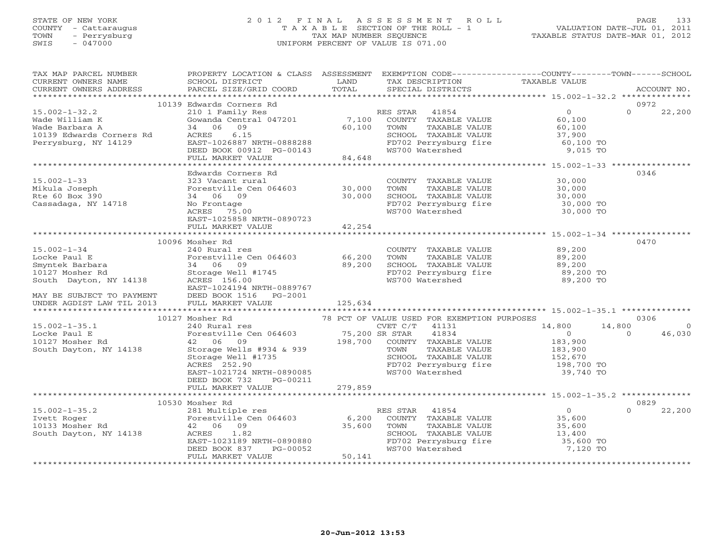## STATE OF NEW YORK 2 0 1 2 F I N A L A S S E S S M E N T R O L L PAGE 133 COUNTY - Cattaraugus T A X A B L E SECTION OF THE ROLL - 1 VALUATION DATE-JUL 01, 2011 TOWN - Perrysburg TAX MAP NUMBER SEQUENCE TAXABLE STATUS DATE-MAR 01, 2012 SWIS - 047000 UNIFORM PERCENT OF VALUE IS 071.00UNIFORM PERCENT OF VALUE IS 071.00

| TAX MAP PARCEL NUMBER<br>CURRENT OWNERS NAME                                                           | PROPERTY LOCATION & CLASS ASSESSMENT EXEMPTION CODE---------------COUNTY-------TOWN------SCHOOL<br>SCHOOL DISTRICT                                                                                                                                                                     | LAND        | TAX DESCRIPTION                                                                                                                        | TAXABLE VALUE               |                    |
|--------------------------------------------------------------------------------------------------------|----------------------------------------------------------------------------------------------------------------------------------------------------------------------------------------------------------------------------------------------------------------------------------------|-------------|----------------------------------------------------------------------------------------------------------------------------------------|-----------------------------|--------------------|
|                                                                                                        |                                                                                                                                                                                                                                                                                        |             |                                                                                                                                        |                             |                    |
|                                                                                                        | 10139 Edwards Corners Rd                                                                                                                                                                                                                                                               |             |                                                                                                                                        | $\frac{0}{60}$              | 0972               |
| $15.002 - 1 - 32.2$                                                                                    | 210 1 Family Res<br>Gowanda Central 047201 7,100 COUNTY TAXABLE VALUE                                                                                                                                                                                                                  |             |                                                                                                                                        |                             | $\Omega$<br>22,200 |
| 15.002-1-52.1<br>Wade William K<br>Wade Barbara A<br>10139 Edwards Corners Rd<br>1013-1-1-100 NY 14129 |                                                                                                                                                                                                                                                                                        |             |                                                                                                                                        |                             |                    |
|                                                                                                        | 34 06 09                                                                                                                                                                                                                                                                               | 60,100 TOWN |                                                                                                                                        | $60, 10$<br>37,900<br>60,10 |                    |
|                                                                                                        |                                                                                                                                                                                                                                                                                        |             |                                                                                                                                        |                             |                    |
|                                                                                                        |                                                                                                                                                                                                                                                                                        |             |                                                                                                                                        |                             |                    |
|                                                                                                        |                                                                                                                                                                                                                                                                                        |             |                                                                                                                                        |                             |                    |
|                                                                                                        | ACRES 6.15<br>EAST-1026887 NRTH-0888288<br>DEED BOOK 00912 PG-00143<br>FULL MARKET VALUE 84,648                                                                                                                                                                                        |             | TOWN TAXABLE VALUE<br>SCHOOL TAXABLE VALUE<br>FD702 Perrysburg fire 60,100 TO<br>FD702 Perrysburg fire 60,100 TO<br>Matershed 9,015 TO |                             |                    |
|                                                                                                        |                                                                                                                                                                                                                                                                                        |             |                                                                                                                                        |                             |                    |
|                                                                                                        | Edwards Corners Rd                                                                                                                                                                                                                                                                     |             |                                                                                                                                        |                             | 0346               |
| $15.002 - 1 - 33$                                                                                      | 323 Vacant rural                                                                                                                                                                                                                                                                       |             | COUNTY TAXABLE VALUE 30,000<br>TOWN TAXABLE VALUE 30,000                                                                               |                             |                    |
| Mikula Joseph                                                                                          | Forestville Cen 064603 30,000                                                                                                                                                                                                                                                          |             | TOWN TAXABLE VALUE 30,000<br>SCHOOL TAXABLE VALUE 30,000<br>FD702 Perrysburg fire 30,000 TO<br>WS700 Watershed 30,000 TO<br>30,000 TO  |                             |                    |
| Rte 60 Box 390                                                                                         | $\frac{30,000}{30,000}$<br>34 06 09                                                                                                                                                                                                                                                    |             |                                                                                                                                        |                             |                    |
| Cassadaga, NY 14718                                                                                    | No Frontage                                                                                                                                                                                                                                                                            |             |                                                                                                                                        |                             |                    |
|                                                                                                        | ACRES 75.00                                                                                                                                                                                                                                                                            |             |                                                                                                                                        |                             |                    |
|                                                                                                        | EAST-1025858 NRTH-0890723                                                                                                                                                                                                                                                              | 42,254      |                                                                                                                                        |                             |                    |
|                                                                                                        | FULL MARKET VALUE                                                                                                                                                                                                                                                                      |             |                                                                                                                                        |                             |                    |
|                                                                                                        | 10096 Mosher Rd                                                                                                                                                                                                                                                                        |             |                                                                                                                                        |                             | 0470               |
| $15.002 - 1 - 34$                                                                                      | 240 Rural res                                                                                                                                                                                                                                                                          |             | COUNTY TAXABLE VALUE 89,200                                                                                                            |                             |                    |
| Locke Paul E                                                                                           | Forestville Cen 064603 66,200                                                                                                                                                                                                                                                          |             | TOWN TAXABLE VALUE                                                                                                                     | 89,200                      |                    |
| Locke Paul E<br>Smyntek Barbara<br>10127 Mosher Rd                                                     | 34 06 09                                                                                                                                                                                                                                                                               |             | 39,200<br>SCHOOL TAXABLE VALUE 89,200<br>FD702 Perrysburg fire 89,200 TO<br>WS700 Watershed 89,200 TO                                  |                             |                    |
|                                                                                                        |                                                                                                                                                                                                                                                                                        | 89,200      |                                                                                                                                        |                             |                    |
| South Dayton, NY 14138                                                                                 | Storage Well #1745<br>ACRES 156.00<br>ACRES 156.00                                                                                                                                                                                                                                     |             |                                                                                                                                        |                             |                    |
|                                                                                                        | EAST-1024194 NRTH-0889767                                                                                                                                                                                                                                                              |             |                                                                                                                                        |                             |                    |
|                                                                                                        | DEED BOOK 1516    PG-2001                                                                                                                                                                                                                                                              |             |                                                                                                                                        |                             |                    |
| MAY BE SUBJECT TO PAYMENT<br>UNDER AGDIST LAW TIL 2013                                                 | FULL MARKET VALUE                                                                                                                                                                                                                                                                      | 125,634     |                                                                                                                                        |                             |                    |
|                                                                                                        |                                                                                                                                                                                                                                                                                        |             |                                                                                                                                        |                             |                    |
|                                                                                                        | 10127 Mosher Rd                                                                                                                                                                                                                                                                        |             |                                                                                                                                        |                             | 0306               |
| $15.002 - 1 - 35.1$                                                                                    |                                                                                                                                                                                                                                                                                        |             |                                                                                                                                        | 14,800                      | 14,800<br>$\Omega$ |
| Locke Paul E                                                                                           |                                                                                                                                                                                                                                                                                        |             |                                                                                                                                        | $\overline{0}$              | 46,030<br>$\Omega$ |
| 10127 Mosher Rd                                                                                        |                                                                                                                                                                                                                                                                                        |             |                                                                                                                                        | 183,900                     |                    |
| South Dayton, NY 14138                                                                                 |                                                                                                                                                                                                                                                                                        |             | TAXABLE VALUE                                                                                                                          |                             |                    |
|                                                                                                        | 240 Rural res<br>Forestville Cen 064603<br>42 06 09<br>Storage Wells #934 & 939<br>200 198,700 COUNTY TAXABLE VALUE<br>200 TOWN TAXABLE VALUE<br>200 TOWN TAXABLE VALUE<br>200 COUNTY TAXABLE VALUE<br>200 COUNTY TAXABLE VALUE<br>200 COUNTY TA<br>Storage Well #1735<br>ACRES 252.90 |             | SCHOOL TAXABLE VALUE<br>FD702 Perrysburg fire<br>WG700 Watershed                                                                       | 183,900<br>152,670          |                    |
|                                                                                                        |                                                                                                                                                                                                                                                                                        |             |                                                                                                                                        | 198,700 TO<br>39,740 TO     |                    |
|                                                                                                        | EAST-1021724 NRTH-0890085                                                                                                                                                                                                                                                              |             |                                                                                                                                        |                             |                    |
|                                                                                                        | DEED BOOK 732<br>PG-00211                                                                                                                                                                                                                                                              |             |                                                                                                                                        |                             |                    |
|                                                                                                        | FULL MARKET VALUE 279,859                                                                                                                                                                                                                                                              |             |                                                                                                                                        |                             |                    |
|                                                                                                        |                                                                                                                                                                                                                                                                                        |             |                                                                                                                                        |                             |                    |
|                                                                                                        | 10530 Mosher Rd                                                                                                                                                                                                                                                                        |             |                                                                                                                                        |                             | 0829<br>$\Omega$   |
| $15.002 - 1 - 35.2$<br>Ivett Roger<br>Ivett Roger<br>10133 Mosher Rd<br>South Boyter Syres (100)       |                                                                                                                                                                                                                                                                                        |             |                                                                                                                                        | 0<br>35,600<br>35,600       | 22,200             |
|                                                                                                        | 42 06 09                                                                                                                                                                                                                                                                               |             |                                                                                                                                        |                             |                    |
| South Dayton, NY 14138                                                                                 |                                                                                                                                                                                                                                                                                        |             |                                                                                                                                        |                             |                    |
|                                                                                                        |                                                                                                                                                                                                                                                                                        |             |                                                                                                                                        | 13,400<br>35,600 TO         |                    |
|                                                                                                        |                                                                                                                                                                                                                                                                                        |             |                                                                                                                                        | 7,120 TO                    |                    |
|                                                                                                        | FULL MARKET VALUE                                                                                                                                                                                                                                                                      | 50,141      |                                                                                                                                        |                             |                    |
|                                                                                                        |                                                                                                                                                                                                                                                                                        |             |                                                                                                                                        |                             |                    |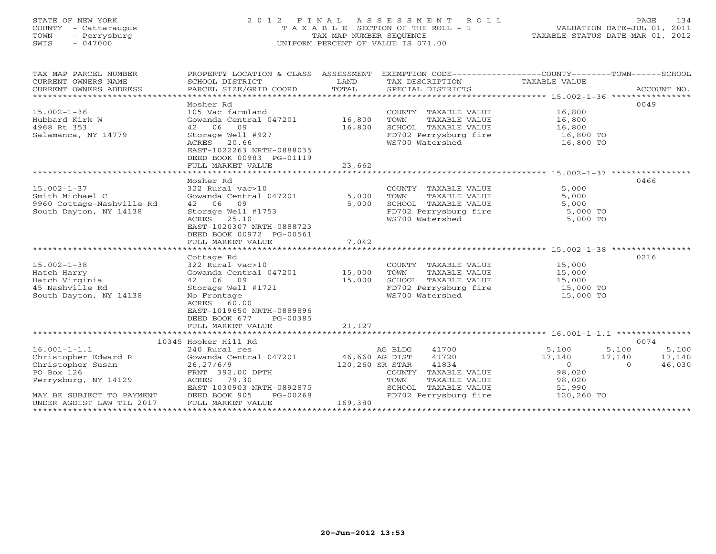## STATE OF NEW YORK 2 0 1 2 F I N A L A S S E S S M E N T R O L L PAGE 134 COUNTY - Cattaraugus T A X A B L E SECTION OF THE ROLL - 1 VALUATION DATE-JUL 01, 2011 TOWN - Perrysburg TAX MAP NUMBER SEQUENCE TAXABLE STATUS DATE-MAR 01, 2012 SWIS - 047000 UNIFORM PERCENT OF VALUE IS 071.00UNIFORM PERCENT OF VALUE IS 071.00

| TAX MAP PARCEL NUMBER     | PROPERTY LOCATION & CLASS ASSESSMENT |                 | EXEMPTION CODE-----------------COUNTY-------TOWN------SCHOOL |            |                    |
|---------------------------|--------------------------------------|-----------------|--------------------------------------------------------------|------------|--------------------|
| CURRENT OWNERS NAME       | SCHOOL DISTRICT                      | LAND            | TAX DESCRIPTION TAXABLE VALUE                                |            |                    |
| CURRENT OWNERS ADDRESS    | PARCEL SIZE/GRID COORD               | TOTAL           | SPECIAL DISTRICTS                                            |            | ACCOUNT NO.        |
|                           |                                      |                 |                                                              |            |                    |
|                           | Mosher Rd                            |                 |                                                              |            | 0049               |
| $15.002 - 1 - 36$         | 105 Vac farmland                     |                 | COUNTY TAXABLE VALUE                                         | 16,800     |                    |
| Hubbard Kirk W            | Gowanda Central 047201               | 16,800          | TAXABLE VALUE<br>TOWN                                        | 16,800     |                    |
| 4968 Rt 353               | 42 06 09                             | 16,800          | SCHOOL TAXABLE VALUE                                         | 16,800     |                    |
| Salamanca, NY 14779       | Storage Well #927                    |                 | FD702 Perrysburg fire                                        | 16,800 TO  |                    |
|                           | ACRES 20.66                          |                 | WS700 Watershed                                              | 16,800 TO  |                    |
|                           | EAST-1022263 NRTH-0888035            |                 |                                                              |            |                    |
|                           | DEED BOOK 00983 PG-01119             |                 |                                                              |            |                    |
|                           | FULL MARKET VALUE                    | 23,662          |                                                              |            |                    |
|                           | ************************************ |                 |                                                              |            |                    |
|                           | Mosher Rd                            |                 |                                                              |            | 0466               |
| $15.002 - 1 - 37$         | 322 Rural vac>10                     |                 | COUNTY TAXABLE VALUE                                         | 5,000      |                    |
| Smith Michael C           | Gowanda Central 047201               | 5,000           | TOWN<br>TAXABLE VALUE                                        | 5,000      |                    |
| 9960 Cottage-Nashville Rd | 42 06 09                             | 5,000           | SCHOOL TAXABLE VALUE                                         | 5,000      |                    |
| South Dayton, NY 14138    | Storage Well #1753                   |                 | FD702 Perrysburg fire                                        | 5,000 TO   |                    |
|                           | ACRES<br>25.10                       |                 | WS700 Watershed                                              | 5,000 TO   |                    |
|                           | EAST-1020307 NRTH-0888723            |                 |                                                              |            |                    |
|                           | DEED BOOK 00972 PG-00561             |                 |                                                              |            |                    |
|                           | FULL MARKET VALUE                    | 7,042           |                                                              |            |                    |
|                           |                                      |                 |                                                              |            |                    |
|                           | Cottage Rd                           |                 |                                                              |            | 0216               |
| $15.002 - 1 - 38$         | 322 Rural vac>10                     |                 | COUNTY TAXABLE VALUE                                         | 15,000     |                    |
| Hatch Harry               | Gowanda Central 047201               | 15,000          | TOWN<br>TAXABLE VALUE                                        | 15,000     |                    |
| Hatch Virginia            | 42 06 09                             | 15,000          | SCHOOL TAXABLE VALUE                                         | 15,000     |                    |
| 45 Nashville Rd           | Storage Well #1721                   |                 | FD702 Perrysburg fire                                        | 15,000 TO  |                    |
| South Dayton, NY 14138    | No Frontage                          |                 | WS700 Watershed                                              | 15,000 TO  |                    |
|                           | ACRES<br>60.00                       |                 |                                                              |            |                    |
|                           | EAST-1019650 NRTH-0889896            |                 |                                                              |            |                    |
|                           | DEED BOOK 677<br>PG-00385            |                 |                                                              |            |                    |
|                           | FULL MARKET VALUE                    | 21,127          |                                                              |            |                    |
|                           |                                      |                 |                                                              |            |                    |
|                           | 10345 Hooker Hill Rd                 |                 |                                                              |            | 0074               |
| $16.001 - 1 - 1.1$        | 240 Rural res                        |                 | AG BLDG<br>41700                                             | 5,100      | 5,100<br>5,100     |
| Christopher Edward R      | Gowanda Central 047201               | 46,660 AG DIST  | 41720                                                        | 17,140     | 17,140<br>17,140   |
| Christopher Susan         | 26, 27/6/9                           | 120,260 SR STAR | 41834                                                        | $\Omega$   | 46,030<br>$\Omega$ |
| PO Box 126                | FRNT 392.00 DPTH                     |                 | TAXABLE VALUE<br>COUNTY                                      | 98,020     |                    |
| Perrysburg, NY 14129      | ACRES 79.30                          |                 | TOWN<br>TAXABLE VALUE                                        | 98,020     |                    |
|                           | EAST-1030903 NRTH-0892875            |                 | SCHOOL TAXABLE VALUE                                         | 51,990     |                    |
| MAY BE SUBJECT TO PAYMENT | DEED BOOK 905<br>PG-00268            |                 | FD702 Perrysburg fire                                        | 120,260 TO |                    |
| UNDER AGDIST LAW TIL 2017 | FULL MARKET VALUE                    | 169,380         |                                                              |            |                    |
|                           |                                      |                 |                                                              |            |                    |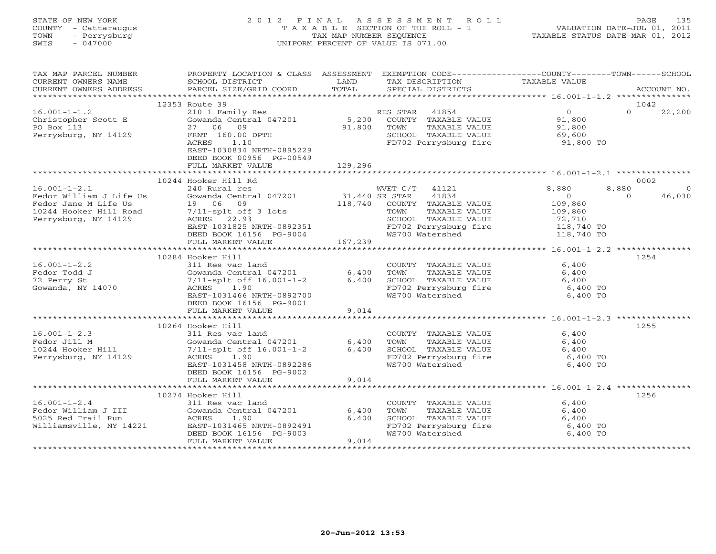## STATE OF NEW YORK 2 0 1 2 F I N A L A S S E S S M E N T R O L L PAGE 135 COUNTY - Cattaraugus T A X A B L E SECTION OF THE ROLL - 1 VALUATION DATE-JUL 01, 2011 TOWN - Perrysburg TAX MAP NUMBER SEQUENCE TAXABLE STATUS DATE-MAR 01, 2012 SWIS - 047000 UNIFORM PERCENT OF VALUE IS 071.00UNIFORM PERCENT OF VALUE IS 071.00

| TAX MAP PARCEL NUMBER<br>CURRENT OWNERS NAME<br>CURRENT OWNERS ADDRESS                                                  | PROPERTY LOCATION & CLASS ASSESSMENT<br>SCHOOL DISTRICT<br>PARCEL SIZE/GRID COORD                                                                                                      | LAND<br>TOTAL             | EXEMPTION CODE-----------------COUNTY-------TOWN------SCHOOL<br>TAX DESCRIPTION<br>SPECIAL DISTRICTS                                            | TAXABLE VALUE                                                                       | ACCOUNT NO.                             |
|-------------------------------------------------------------------------------------------------------------------------|----------------------------------------------------------------------------------------------------------------------------------------------------------------------------------------|---------------------------|-------------------------------------------------------------------------------------------------------------------------------------------------|-------------------------------------------------------------------------------------|-----------------------------------------|
|                                                                                                                         |                                                                                                                                                                                        |                           |                                                                                                                                                 |                                                                                     |                                         |
|                                                                                                                         | 12353 Route 39                                                                                                                                                                         |                           |                                                                                                                                                 |                                                                                     | 1042                                    |
| $16.001 - 1 - 1.2$<br>Christopher Scott E<br>PO Box 113<br>Perrysburg, NY 14129                                         | 210 1 Family Res<br>Gowanda Central 047201<br>27 06 09<br>FRNT 160.00 DPTH<br>1.10<br>ACRES<br>EAST-1030834 NRTH-0895229<br>DEED BOOK 00956 PG-00549                                   | 5,200<br>91,800           | RES STAR 41854<br>COUNTY TAXABLE VALUE<br>TAXABLE VALUE<br>TOWN<br>SCHOOL TAXABLE VALUE<br>FD702 Perrysburg fire                                | $\overline{0}$<br>91,800<br>91,800<br>69,600<br>91,800 TO                           | $\Omega$<br>22,200                      |
|                                                                                                                         | FULL MARKET VALUE                                                                                                                                                                      | 129,296                   |                                                                                                                                                 |                                                                                     |                                         |
|                                                                                                                         | 10244 Hooker Hill Rd                                                                                                                                                                   |                           |                                                                                                                                                 |                                                                                     | 0002                                    |
| $16.001 - 1 - 2.1$<br>Fedor William J Life Us<br>Fedor Jane M Life Us<br>10244 Hooker Hill Road<br>Perrysburg, NY 14129 | 240 Rural res<br>Gowanda Central 047201<br>19 06 09<br>7/11-splt off 3 lots<br>ACRES 22.93<br>EAST-1031825 NRTH-0892351<br>DEED BOOK 16156 PG-9004                                     | 31,440 SR STAR<br>118,740 | WVET C/T<br>41121<br>41834<br>COUNTY TAXABLE VALUE<br>TOWN<br>TAXABLE VALUE<br>SCHOOL TAXABLE VALUE<br>FD702 Perrysburg fire<br>WS700 Watershed | 8,880<br>$\overline{0}$<br>109,860<br>109,860<br>72,710<br>118,740 TO<br>118,740 TO | 8,880<br>$\Omega$<br>46,030<br>$\Omega$ |
|                                                                                                                         | FULL MARKET VALUE                                                                                                                                                                      | 167,239                   |                                                                                                                                                 |                                                                                     |                                         |
|                                                                                                                         | 10284 Hooker Hill                                                                                                                                                                      |                           |                                                                                                                                                 |                                                                                     | 1254                                    |
| $16.001 - 1 - 2.2$<br>Fedor Todd J<br>72 Perry St<br>Gowanda, NY 14070                                                  | 311 Res vac land<br>Gowanda Central 047201<br>$7/11$ -splt off $16.001 - 1 - 2$<br>ACRES 1.90<br>EAST-1031466 NRTH-0892700<br>DEED BOOK 16156 PG-9001<br>FULL MARKET VALUE             | 6,400<br>$6,400$<br>9,014 | COUNTY TAXABLE VALUE<br>TOWN<br>TAXABLE VALUE<br>SCHOOL TAXABLE VALUE<br>FD702 Perrysburg fire<br>WS700 Watershed                               | 6,400<br>6,400<br>6,400<br>6,400 TO<br>6,400 TO                                     |                                         |
|                                                                                                                         |                                                                                                                                                                                        |                           |                                                                                                                                                 |                                                                                     |                                         |
| $16.001 - 1 - 2.3$<br>Fedor Jill M<br>10244 Hooker Hill<br>Perrysburg, NY 14129                                         | 10264 Hooker Hill<br>311 Res vac land<br>Gowanda Central 047201<br>7/11-splt off 16.001-1-2<br>ACRES 1.90<br>EAST-1031458 NRTH-0892286<br>DEED BOOK 16156 PG-9002<br>FULL MARKET VALUE | 6,400<br>6,400<br>9,014   | COUNTY TAXABLE VALUE<br>TOWN<br>TAXABLE VALUE<br>SCHOOL TAXABLE VALUE<br>FD702 Perrysburg fire<br>WS700 Watershed                               | 6,400<br>6,400<br>6,400<br>6,400 TO<br>6,400 TO                                     | 1255                                    |
|                                                                                                                         |                                                                                                                                                                                        |                           |                                                                                                                                                 |                                                                                     |                                         |
| $16.001 - 1 - 2.4$<br>Fedor William J III<br>5025 Red Trail Run<br>Williamsville, NY 14221                              | 10274 Hooker Hill<br>311 Res vac land<br>Gowanda Central 047201<br>ACRES<br>1.90<br>EAST-1031465 NRTH-0892491<br>DEED BOOK 16156 PG-9003<br>FULL MARKET VALUE                          | 6,400<br>6,400<br>9,014   | COUNTY TAXABLE VALUE<br>TOWN<br>TAXABLE VALUE<br>SCHOOL TAXABLE VALUE<br>FD702 Perrysburg fire<br>FD702 Perrysburg fire                         | 6,400<br>6,400<br>6,400<br>6,400 TO<br>6,400 TO                                     | 1256                                    |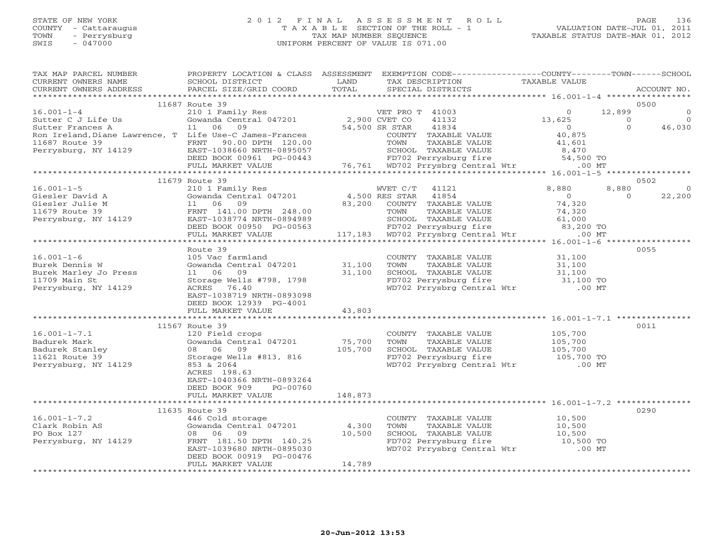## STATE OF NEW YORK 2 0 1 2 F I N A L A S S E S S M E N T R O L L PAGE 136 COUNTY - Cattaraugus T A X A B L E SECTION OF THE ROLL - 1 VALUATION DATE-JUL 01, 2011 TOWN - Perrysburg TAX MAP NUMBER SEQUENCE TAXABLE STATUS DATE-MAR 01, 2012 SWIS - 047000 UNIFORM PERCENT OF VALUE IS 071.00UNIFORM PERCENT OF VALUE IS 071.00

| TAX MAP PARCEL NUMBER                                                                                                        | PROPERTY LOCATION & CLASS ASSESSMENT EXEMPTION CODE---------------COUNTY-------TOWN------SCHOOL                                                                                           |         |                                                                                                                                                                      |                                                                         |                                               |
|------------------------------------------------------------------------------------------------------------------------------|-------------------------------------------------------------------------------------------------------------------------------------------------------------------------------------------|---------|----------------------------------------------------------------------------------------------------------------------------------------------------------------------|-------------------------------------------------------------------------|-----------------------------------------------|
| CURRENT OWNERS NAME                                                                                                          | SCHOOL DISTRICT<br>SCHOOL DISTRICT<br>PARCEL SIZE/GRID COORD                                                                                                                              | LAND    | TAX DESCRIPTION TAXABLE VALUE                                                                                                                                        |                                                                         |                                               |
| CURRENT OWNERS ADDRESS                                                                                                       |                                                                                                                                                                                           | TOTAL   | SPECIAL DISTRICTS                                                                                                                                                    |                                                                         | ACCOUNT NO.                                   |
|                                                                                                                              |                                                                                                                                                                                           |         |                                                                                                                                                                      |                                                                         |                                               |
|                                                                                                                              | 11687 Route 39                                                                                                                                                                            |         |                                                                                                                                                                      |                                                                         | 0500                                          |
|                                                                                                                              |                                                                                                                                                                                           |         |                                                                                                                                                                      |                                                                         |                                               |
|                                                                                                                              |                                                                                                                                                                                           |         |                                                                                                                                                                      |                                                                         |                                               |
|                                                                                                                              |                                                                                                                                                                                           |         |                                                                                                                                                                      |                                                                         |                                               |
|                                                                                                                              |                                                                                                                                                                                           |         |                                                                                                                                                                      |                                                                         |                                               |
|                                                                                                                              |                                                                                                                                                                                           |         |                                                                                                                                                                      |                                                                         |                                               |
|                                                                                                                              |                                                                                                                                                                                           |         |                                                                                                                                                                      |                                                                         |                                               |
|                                                                                                                              |                                                                                                                                                                                           |         |                                                                                                                                                                      |                                                                         |                                               |
|                                                                                                                              |                                                                                                                                                                                           |         |                                                                                                                                                                      |                                                                         |                                               |
|                                                                                                                              |                                                                                                                                                                                           |         |                                                                                                                                                                      |                                                                         | 0502                                          |
|                                                                                                                              | 11679 Route 39                                                                                                                                                                            |         |                                                                                                                                                                      |                                                                         |                                               |
| $16.001 - 1 - 5$                                                                                                             | $\begin{tabular}{lllllllllll} \hline 210&1 & Family & Res & & WVET & C/T & 41121 \\ \hline \hline \text{Gowanda Central} & 047201 & & 4,500 & RES & STAR & 41854 \\ \hline \end{tabular}$ |         |                                                                                                                                                                      | 8,880                                                                   | 8,880<br>$\overline{0}$<br>22,200<br>$\Omega$ |
|                                                                                                                              |                                                                                                                                                                                           |         |                                                                                                                                                                      |                                                                         |                                               |
|                                                                                                                              |                                                                                                                                                                                           |         |                                                                                                                                                                      |                                                                         |                                               |
|                                                                                                                              |                                                                                                                                                                                           |         |                                                                                                                                                                      |                                                                         |                                               |
|                                                                                                                              |                                                                                                                                                                                           |         |                                                                                                                                                                      |                                                                         |                                               |
|                                                                                                                              |                                                                                                                                                                                           |         |                                                                                                                                                                      |                                                                         |                                               |
|                                                                                                                              |                                                                                                                                                                                           |         |                                                                                                                                                                      |                                                                         |                                               |
|                                                                                                                              |                                                                                                                                                                                           |         |                                                                                                                                                                      |                                                                         |                                               |
|                                                                                                                              | Route 39<br>105 Vac farmland                                                                                                                                                              |         |                                                                                                                                                                      |                                                                         | 0055                                          |
| $16.001 - 1 - 6$                                                                                                             |                                                                                                                                                                                           |         |                                                                                                                                                                      |                                                                         |                                               |
|                                                                                                                              |                                                                                                                                                                                           |         |                                                                                                                                                                      |                                                                         |                                               |
| Burek Dennis W<br>Burek Marley Jo Press (1 06)<br>2006 Marley Jo Press (1 06)<br>11.00 Marin Ct (1 Storage)<br>11709 Main St | 105 Vac farmland<br>Gowanda Central 047201 31,100<br>11 06 09 31,100<br>11 06 09<br>Storage Wells #798, 1798                                                                              |         | COUNTY TAXABLE VALUE $31,100$<br>TOWN TAXABLE VALUE $31,100$<br>SCHOOL TAXABLE VALUE $31,100$<br>FD702 Perrysburg fire $31,100$<br>WD702 Prrysbrg Central Wtr .00 MT |                                                                         |                                               |
| Perrysburg, NY 14129                                                                                                         |                                                                                                                                                                                           |         |                                                                                                                                                                      |                                                                         |                                               |
|                                                                                                                              | EAST-1038719 NRTH-0893098                                                                                                                                                                 |         |                                                                                                                                                                      |                                                                         |                                               |
|                                                                                                                              | DEED BOOK 12939 PG-4001                                                                                                                                                                   |         |                                                                                                                                                                      |                                                                         |                                               |
|                                                                                                                              |                                                                                                                                                                                           |         |                                                                                                                                                                      |                                                                         |                                               |
|                                                                                                                              |                                                                                                                                                                                           |         |                                                                                                                                                                      |                                                                         |                                               |
|                                                                                                                              | 11567 Route 39                                                                                                                                                                            |         |                                                                                                                                                                      |                                                                         | 0011                                          |
| $16.001 - 1 - 7.1$                                                                                                           | 120 Field crops                                                                                                                                                                           |         | COUNTY TAXABLE VALUE                                                                                                                                                 |                                                                         |                                               |
|                                                                                                                              |                                                                                                                                                                                           |         | TOWN                                                                                                                                                                 |                                                                         |                                               |
|                                                                                                                              |                                                                                                                                                                                           |         |                                                                                                                                                                      | TAXABLE VALUE 105,700<br>TAXABLE VALUE 105,700<br>TAXABLE VALUE 105,700 |                                               |
|                                                                                                                              |                                                                                                                                                                                           |         |                                                                                                                                                                      |                                                                         |                                               |
|                                                                                                                              |                                                                                                                                                                                           |         | SCHOOL TAXABLE VALUE 105,700<br>FD702 Perrysburg fire 105,700 TO<br>WD702 Prrysbrg Central Wtr .00 MT                                                                |                                                                         |                                               |
|                                                                                                                              | ACRES 198.63                                                                                                                                                                              |         |                                                                                                                                                                      |                                                                         |                                               |
|                                                                                                                              | EAST-1040366 NRTH-0893264                                                                                                                                                                 |         |                                                                                                                                                                      |                                                                         |                                               |
|                                                                                                                              | DEED BOOK 909<br>PG-00760                                                                                                                                                                 |         |                                                                                                                                                                      |                                                                         |                                               |
|                                                                                                                              | FULL MARKET VALUE                                                                                                                                                                         | 148,873 |                                                                                                                                                                      |                                                                         |                                               |
|                                                                                                                              |                                                                                                                                                                                           |         |                                                                                                                                                                      |                                                                         |                                               |
|                                                                                                                              | 11635 Route 39                                                                                                                                                                            |         |                                                                                                                                                                      |                                                                         | 0290                                          |
|                                                                                                                              | 1635 Route 39<br>446 Cold storage<br>Gowanda Central 047201 4,300<br>08 06 09 10,500<br>FRNT 181.50 DPTH 140.25<br>EAST-1039680 NRTH-0895030                                              |         | COUNTY TAXABLE VALUE 10,500                                                                                                                                          |                                                                         |                                               |
|                                                                                                                              |                                                                                                                                                                                           |         |                                                                                                                                                                      |                                                                         |                                               |
|                                                                                                                              |                                                                                                                                                                                           |         |                                                                                                                                                                      |                                                                         |                                               |
| Perrysburg, NY 14129                                                                                                         |                                                                                                                                                                                           |         | TOWN TAXABLE VALUE 10,500<br>SCHOOL TAXABLE VALUE 10,500<br>FD702 Perrysburg fire 10,500 TO                                                                          |                                                                         |                                               |
|                                                                                                                              |                                                                                                                                                                                           |         | WD702 Prrysbrg Central Wtr .00 MT                                                                                                                                    |                                                                         |                                               |
|                                                                                                                              | DEED BOOK 00919 PG-00476                                                                                                                                                                  |         |                                                                                                                                                                      |                                                                         |                                               |
|                                                                                                                              | FULL MARKET VALUE                                                                                                                                                                         | 14,789  |                                                                                                                                                                      |                                                                         |                                               |
|                                                                                                                              |                                                                                                                                                                                           |         |                                                                                                                                                                      |                                                                         |                                               |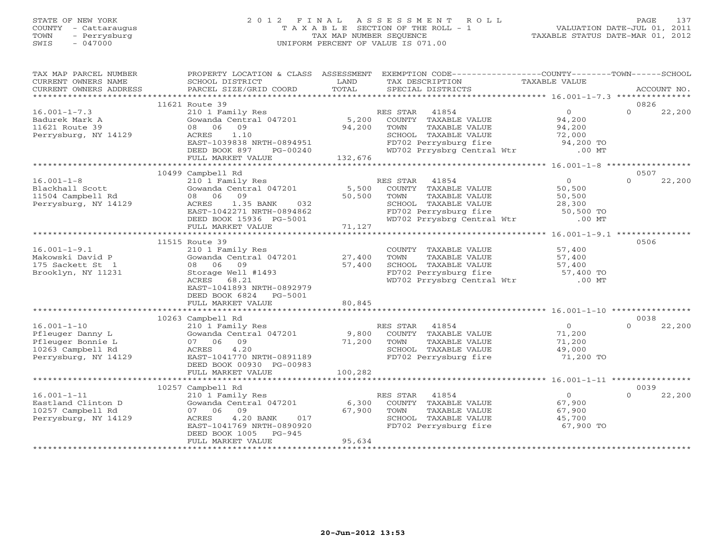## STATE OF NEW YORK 2 0 1 2 F I N A L A S S E S S M E N T R O L L PAGE 137 COUNTY - Cattaraugus T A X A B L E SECTION OF THE ROLL - 1 VALUATION DATE-JUL 01, 2011 TOWN - Perrysburg TAX MAP NUMBER SEQUENCE TAXABLE STATUS DATE-MAR 01, 2012 SWIS - 047000 UNIFORM PERCENT OF VALUE IS 071.00UNIFORM PERCENT OF VALUE IS 071.00

| TAX MAP PARCEL NUMBER                                                              | PROPERTY LOCATION & CLASS ASSESSMENT EXEMPTION CODE----------------COUNTY-------TOWN------SCHOOL                                                                                                                                                                                                                                                                                                                                                                                                                       |         |                                                                                             |                                                                                                                                  |                    |
|------------------------------------------------------------------------------------|------------------------------------------------------------------------------------------------------------------------------------------------------------------------------------------------------------------------------------------------------------------------------------------------------------------------------------------------------------------------------------------------------------------------------------------------------------------------------------------------------------------------|---------|---------------------------------------------------------------------------------------------|----------------------------------------------------------------------------------------------------------------------------------|--------------------|
| CURRENT OWNERS NAME                                                                | SCHOOL DISTRICT                                                                                                                                                                                                                                                                                                                                                                                                                                                                                                        | LAND    | TAX DESCRIPTION                                                                             | TAXABLE VALUE                                                                                                                    |                    |
|                                                                                    | $\begin{minipage}{.45\textwidth} \begin{minipage}{.45\textwidth} \begin{minipage}{.45\textwidth} \begin{minipage}{.45\textwidth} \begin{minipage}{.45\textwidth} \begin{minipage}{.45\textwidth} \begin{minipage}{.45\textwidth} \begin{minipage}{.45\textwidth} \begin{minipage}{.45\textwidth} \begin{minipage}{.45\textwidth} \begin{minipage}{.45\textwidth} \begin{minipage}{.45\textwidth} \begin{minipage}{.45\textwidth} \begin{minipage}{.45\textwidth} \begin{minipage}{.45\textwidth} \begin{minipage}{.45$ |         |                                                                                             |                                                                                                                                  |                    |
|                                                                                    |                                                                                                                                                                                                                                                                                                                                                                                                                                                                                                                        |         |                                                                                             |                                                                                                                                  |                    |
|                                                                                    | 11621 Route 39                                                                                                                                                                                                                                                                                                                                                                                                                                                                                                         |         |                                                                                             |                                                                                                                                  | 0826               |
| $16.001 - 1 - 7.3$                                                                 | RES STAR 41854<br>210 1 Family Res (200 COUNTY TAXABLE VALUE)<br>5,200 COUNTY TAXABLE VALUE                                                                                                                                                                                                                                                                                                                                                                                                                            |         |                                                                                             | $0$<br>94,200<br>94,200                                                                                                          | $\Omega$<br>22,200 |
| Badurek Mark A                                                                     |                                                                                                                                                                                                                                                                                                                                                                                                                                                                                                                        |         | TAXABLE VALUE                                                                               |                                                                                                                                  |                    |
| 11621 Route 39                                                                     | 09<br>08 06                                                                                                                                                                                                                                                                                                                                                                                                                                                                                                            | 94,200  | TOWN                                                                                        |                                                                                                                                  |                    |
| Perrysburg, NY 14129                                                               | ACRES 1.10<br>EAST-1039838 NRTH-0894951                                                                                                                                                                                                                                                                                                                                                                                                                                                                                |         | SCHOOL TAXABLE VALUE 72,000<br>FD702 Perrysburg fire 94,200 TO                              |                                                                                                                                  |                    |
|                                                                                    | DEED BOOK 897 PG-00240                                                                                                                                                                                                                                                                                                                                                                                                                                                                                                 |         | WD702 Prrysbrg Central Wtr .00 MT                                                           |                                                                                                                                  |                    |
|                                                                                    | FULL MARKET VALUE                                                                                                                                                                                                                                                                                                                                                                                                                                                                                                      | 132,676 |                                                                                             |                                                                                                                                  |                    |
|                                                                                    |                                                                                                                                                                                                                                                                                                                                                                                                                                                                                                                        |         |                                                                                             |                                                                                                                                  |                    |
|                                                                                    | 10499 Campbell Rd                                                                                                                                                                                                                                                                                                                                                                                                                                                                                                      |         |                                                                                             |                                                                                                                                  | 0507               |
| $16.001 - 1 - 8$                                                                   | 210 1 Family Res                                                                                                                                                                                                                                                                                                                                                                                                                                                                                                       |         | RES STAR 41854                                                                              | $\overline{0}$                                                                                                                   | $\Omega$<br>22,200 |
| Blackhall Scott                                                                    | Gowanda Central 047201 5,500                                                                                                                                                                                                                                                                                                                                                                                                                                                                                           |         | COUNTY TAXABLE VALUE                                                                        | 50,500                                                                                                                           |                    |
| 11504 Campbell Rd                                                                  | 08 06 09                                                                                                                                                                                                                                                                                                                                                                                                                                                                                                               | 50,500  | TOWN<br>TAXABLE VALUE                                                                       | 50,500                                                                                                                           |                    |
| Perrysburg, NY 14129                                                               |                                                                                                                                                                                                                                                                                                                                                                                                                                                                                                                        |         |                                                                                             |                                                                                                                                  |                    |
|                                                                                    |                                                                                                                                                                                                                                                                                                                                                                                                                                                                                                                        |         |                                                                                             |                                                                                                                                  |                    |
|                                                                                    |                                                                                                                                                                                                                                                                                                                                                                                                                                                                                                                        |         | CHOOL TAXABLE VALUE<br>FD702 Perrysburg fire 50,500 TO<br>WD702 Prrysbrg Central Wtr .00 MT |                                                                                                                                  |                    |
|                                                                                    | ACRES 1.35 BANK 032<br>EAST-1042271 NRTH-0894862<br>DEED BOOK 15936 PG-5001<br>FULL MARKET VALUE 71,127                                                                                                                                                                                                                                                                                                                                                                                                                |         |                                                                                             |                                                                                                                                  |                    |
|                                                                                    |                                                                                                                                                                                                                                                                                                                                                                                                                                                                                                                        |         |                                                                                             |                                                                                                                                  |                    |
|                                                                                    | 11515 Route 39                                                                                                                                                                                                                                                                                                                                                                                                                                                                                                         |         |                                                                                             |                                                                                                                                  | 0506               |
| $16.001 - 1 - 9.1$                                                                 | 210 1 Family Res                                                                                                                                                                                                                                                                                                                                                                                                                                                                                                       |         | COUNTY TAXABLE VALUE                                                                        | 57,400                                                                                                                           |                    |
| 10.001 - .<br>Makowski David P                                                     | Gowanda Central 047201 27,400                                                                                                                                                                                                                                                                                                                                                                                                                                                                                          |         |                                                                                             | TOWN TAXABLE VALUE 57,400<br>SCHOOL TAXABLE VALUE 57,400<br>FD702 Perrysburg fire 57,400 TO<br>WD702 Prrysbrg Central Wtr .00 MT |                    |
| 175 Sackett St 1                                                                   | 08 06<br>09                                                                                                                                                                                                                                                                                                                                                                                                                                                                                                            | 57,400  |                                                                                             |                                                                                                                                  |                    |
| Brooklyn, NY 11231                                                                 | Storage Well #1493                                                                                                                                                                                                                                                                                                                                                                                                                                                                                                     |         |                                                                                             |                                                                                                                                  |                    |
|                                                                                    | ACRES<br>68.21                                                                                                                                                                                                                                                                                                                                                                                                                                                                                                         |         |                                                                                             |                                                                                                                                  |                    |
|                                                                                    | EAST-1041893 NRTH-0892979                                                                                                                                                                                                                                                                                                                                                                                                                                                                                              |         |                                                                                             |                                                                                                                                  |                    |
|                                                                                    | DEED BOOK 6824 PG-5001                                                                                                                                                                                                                                                                                                                                                                                                                                                                                                 |         |                                                                                             |                                                                                                                                  |                    |
|                                                                                    | FULL MARKET VALUE                                                                                                                                                                                                                                                                                                                                                                                                                                                                                                      | 80,845  |                                                                                             |                                                                                                                                  |                    |
|                                                                                    | 10263 Campbell Rd                                                                                                                                                                                                                                                                                                                                                                                                                                                                                                      |         |                                                                                             |                                                                                                                                  | 0038               |
| $16.001 - 1 - 10$                                                                  | Campbell Rd<br>210 1 Family Res<br>Gowanda Central 047201 9,800 COUNTY TAXABLE VALUE<br>07 06 09 71,200 TOWN TAXABLE VALUE<br>5CHOOL TAXABLE VALUE<br>7D700 Berrysburg fire                                                                                                                                                                                                                                                                                                                                            |         |                                                                                             | $\overline{0}$                                                                                                                   | 22,200<br>$\Omega$ |
|                                                                                    |                                                                                                                                                                                                                                                                                                                                                                                                                                                                                                                        |         |                                                                                             |                                                                                                                                  |                    |
|                                                                                    |                                                                                                                                                                                                                                                                                                                                                                                                                                                                                                                        |         |                                                                                             | 71,200<br>71,200                                                                                                                 |                    |
|                                                                                    |                                                                                                                                                                                                                                                                                                                                                                                                                                                                                                                        |         |                                                                                             |                                                                                                                                  |                    |
| Pfleuger Danny L<br>Pfleuger Bonnie L<br>10263 Campbell Rd<br>Perrysburg, NY 14129 | EAST-1041770 NRTH-0891189                                                                                                                                                                                                                                                                                                                                                                                                                                                                                              |         | SCHOOL TAXABLE VALUE<br>FD702 Perrysburg fire                                               | 49,000<br>71,200 TO                                                                                                              |                    |
|                                                                                    | DEED BOOK 00930 PG-00983                                                                                                                                                                                                                                                                                                                                                                                                                                                                                               |         |                                                                                             |                                                                                                                                  |                    |
|                                                                                    | FULL MARKET VALUE                                                                                                                                                                                                                                                                                                                                                                                                                                                                                                      | 100,282 |                                                                                             |                                                                                                                                  |                    |
|                                                                                    |                                                                                                                                                                                                                                                                                                                                                                                                                                                                                                                        |         |                                                                                             |                                                                                                                                  |                    |
|                                                                                    | 10257 Campbell Rd                                                                                                                                                                                                                                                                                                                                                                                                                                                                                                      |         |                                                                                             |                                                                                                                                  | 0039               |
| $16.001 - 1 - 11$                                                                  | 210 1 Family Res<br>Gowanda Central 047201 6,300 COUNTY TAXABLE VALUE                                                                                                                                                                                                                                                                                                                                                                                                                                                  |         |                                                                                             | $\overline{0}$                                                                                                                   | $\Omega$<br>22,200 |
| Eastland Clinton D                                                                 |                                                                                                                                                                                                                                                                                                                                                                                                                                                                                                                        |         |                                                                                             | 67,900                                                                                                                           |                    |
| 10257 Campbell Rd                                                                  | 09 67,900 TOWN<br>4.20 BANK 017 67,900 SCHOC<br>41769 NRTH-0890920 FD702<br>07 06 09                                                                                                                                                                                                                                                                                                                                                                                                                                   |         | TOWN      TAXABLE VALUE<br>SCHOOL   TAXABLE VALUE                                           | 67,900<br>45,700                                                                                                                 |                    |
| Perrysburg, NY 14129                                                               | ACRES                                                                                                                                                                                                                                                                                                                                                                                                                                                                                                                  |         |                                                                                             |                                                                                                                                  |                    |
|                                                                                    | EAST-1041769 NRTH-0890920                                                                                                                                                                                                                                                                                                                                                                                                                                                                                              |         | FD702 Perrysburg fire 67,900 TO                                                             |                                                                                                                                  |                    |
|                                                                                    | DEED BOOK 1005 PG-945                                                                                                                                                                                                                                                                                                                                                                                                                                                                                                  |         |                                                                                             |                                                                                                                                  |                    |
|                                                                                    | FULL MARKET VALUE                                                                                                                                                                                                                                                                                                                                                                                                                                                                                                      | 95,634  |                                                                                             |                                                                                                                                  |                    |
|                                                                                    |                                                                                                                                                                                                                                                                                                                                                                                                                                                                                                                        |         |                                                                                             |                                                                                                                                  |                    |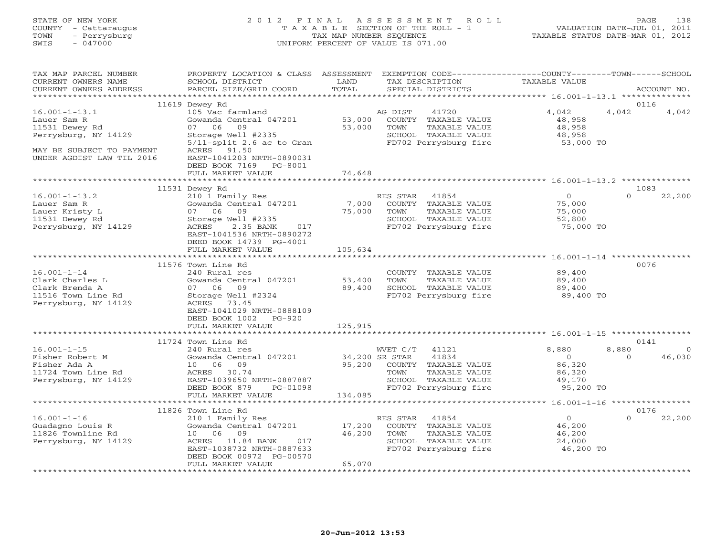#### STATE OF NEW YORK 2 0 1 2 F I N A L A S S E S S M E N T R O L L PAGE 138 COUNTY - Cattaraugus T A X A B L E SECTION OF THE ROLL - 1 VALUATION DATE-JUL 01, 2011 TOWN - Perrysburg TAX MAP NUMBER SEQUENCE TAXABLE STATUS DATE-MAR 01, 2012 SWIS - 047000 UNIFORM PERCENT OF VALUE IS 071.00UNIFORM PERCENT OF VALUE IS 071.00

| TAX MAP PARCEL NUMBER<br>CURRENT OWNERS NAME | PROPERTY LOCATION & CLASS ASSESSMENT EXEMPTION CODE---------------COUNTY-------TOWN------SCHOOL<br>SCHOOL DISTRICT | LAND            | TAX DESCRIPTION             | TAXABLE VALUE    |          |                |
|----------------------------------------------|--------------------------------------------------------------------------------------------------------------------|-----------------|-----------------------------|------------------|----------|----------------|
| CURRENT OWNERS ADDRESS                       | PARCEL SIZE/GRID COORD                                                                                             | TOTAL           | SPECIAL DISTRICTS           |                  |          | ACCOUNT NO.    |
|                                              | 11619 Dewey Rd                                                                                                     |                 |                             |                  | 0116     |                |
| $16.001 - 1 - 13.1$                          | 105 Vac farmland                                                                                                   |                 | AG DIST<br>41720            | 4,042            | 4,042    | 4,042          |
| Lauer Sam R                                  | Gowanda Central 047201                                                                                             | 53,000          | COUNTY TAXABLE VALUE        | 48,958           |          |                |
| 11531 Dewey Rd                               | 07 06 09                                                                                                           | 53,000          | TOWN<br>TAXABLE VALUE       | 48,958           |          |                |
| Perrysburg, NY 14129                         | Storage Well #2335                                                                                                 |                 | SCHOOL TAXABLE VALUE        | 48,958           |          |                |
|                                              | $5/11$ -split 2.6 ac to Gran                                                                                       |                 | FD702 Perrysburg fire       | 53,000 TO        |          |                |
| MAY BE SUBJECT TO PAYMENT                    | ACRES 91.50                                                                                                        |                 |                             |                  |          |                |
| UNDER AGDIST LAW TIL 2016                    | EAST-1041203 NRTH-0890031                                                                                          |                 |                             |                  |          |                |
|                                              | DEED BOOK 7169 PG-8001                                                                                             |                 |                             |                  |          |                |
|                                              | FULL MARKET VALUE                                                                                                  | 74,648          |                             |                  |          |                |
|                                              | 11531 Dewey Rd                                                                                                     |                 |                             |                  | 1083     |                |
| $16.001 - 1 - 13.2$                          | 210 1 Family Res                                                                                                   |                 | RES STAR 41854              | $\overline{O}$   | $\Omega$ | 22,200         |
| Lauer Sam R                                  | Gowanda Central 047201                                                                                             |                 | COUNTY TAXABLE VALUE        | 75,000           |          |                |
| Lauer Kristy L                               | 07 06<br>09                                                                                                        | 7,000<br>75,000 | TOWN<br>TAXABLE VALUE       | 75,000           |          |                |
| 11531 Dewey Rd                               | Storage Well #2335                                                                                                 |                 | SCHOOL TAXABLE VALUE        | 52,800           |          |                |
| Perrysburg, NY 14129                         | ACRES<br>2.35 BANK<br>017                                                                                          |                 | FD702 Perrysburg fire       | 75,000 TO        |          |                |
|                                              | EAST-1041536 NRTH-0890272                                                                                          |                 |                             |                  |          |                |
|                                              | DEED BOOK 14739 PG-4001                                                                                            |                 |                             |                  |          |                |
|                                              | FULL MARKET VALUE                                                                                                  | 105,634         |                             |                  |          |                |
|                                              |                                                                                                                    |                 |                             |                  |          |                |
|                                              | 11576 Town Line Rd                                                                                                 |                 |                             |                  | 0076     |                |
| $16.001 - 1 - 14$                            | 240 Rural res                                                                                                      |                 | COUNTY TAXABLE VALUE        | 89,400           |          |                |
| Clark Charles L                              | Gowanda Central 047201                                                                                             | 53,400          | TOWN<br>TAXABLE VALUE       | 89,400<br>89,400 |          |                |
| Clark Brenda A                               | 07 06 09                                                                                                           | 89,400          | SCHOOL TAXABLE VALUE        |                  |          |                |
| 11516 Town Line Rd<br>Perrysburg, NY 14129   | Storage Well #2324<br>ACRES 73.45                                                                                  |                 | FD702 Perrysburg fire       | 89,400 TO        |          |                |
|                                              | EAST-1041029 NRTH-0888109                                                                                          |                 |                             |                  |          |                |
|                                              | DEED BOOK 1002<br>PG-920                                                                                           |                 |                             |                  |          |                |
|                                              | FULL MARKET VALUE                                                                                                  | 125,915         |                             |                  |          |                |
|                                              |                                                                                                                    |                 |                             |                  |          |                |
|                                              | 11724 Town Line Rd                                                                                                 |                 |                             |                  | 0141     |                |
| $16.001 - 1 - 15$                            | 240 Rural res                                                                                                      |                 | WVET C/T 41121              | 8,880            | 8,880    | $\overline{0}$ |
| Fisher Robert M                              | Gowanda Central 047201 34,200 SR STAR                                                                              |                 | 41834                       | $\overline{0}$   | $\Omega$ | 46,030         |
| Fisher Ada A                                 | 10 06 09                                                                                                           |                 | 95,200 COUNTY TAXABLE VALUE | 86,320           |          |                |
| 11724 Town Line Rd                           | ACRES 30.74                                                                                                        |                 | TOWN<br>TAXABLE VALUE       | 86,320           |          |                |
| Perrysburg, NY 14129                         | EAST-1039650 NRTH-0887887                                                                                          |                 | SCHOOL TAXABLE VALUE        | 49,170           |          |                |
|                                              | DEED BOOK 879<br>PG-01098                                                                                          |                 | FD702 Perrysburg fire       | 95,200 TO        |          |                |
|                                              | FULL MARKET VALUE                                                                                                  | 134,085         |                             |                  |          |                |
|                                              | 11826 Town Line Rd                                                                                                 |                 |                             |                  | 0176     |                |
| $16.001 - 1 - 16$                            | 210 1 Family Res                                                                                                   |                 | RES STAR 41854              | $\overline{0}$   | $\Omega$ | 22,200         |
| Guadagno Louis R                             | Gowanda Central 047201                                                                                             | 17,200          | COUNTY TAXABLE VALUE        | 46,200           |          |                |
| 11826 Townline Rd                            | 10 06 09                                                                                                           | 46,200          | TOWN<br>TAXABLE VALUE       | 46,200           |          |                |
| Perrysburg, NY 14129                         | ACRES 11.84 BANK 017                                                                                               |                 | SCHOOL TAXABLE VALUE        | 24,000           |          |                |
|                                              | EAST-1038732 NRTH-0887633                                                                                          |                 | FD702 Perrysburg fire       | 46,200 TO        |          |                |
|                                              | DEED BOOK 00972 PG-00570                                                                                           |                 |                             |                  |          |                |
|                                              | FULL MARKET VALUE                                                                                                  | 65,070          |                             |                  |          |                |
|                                              |                                                                                                                    |                 |                             |                  |          |                |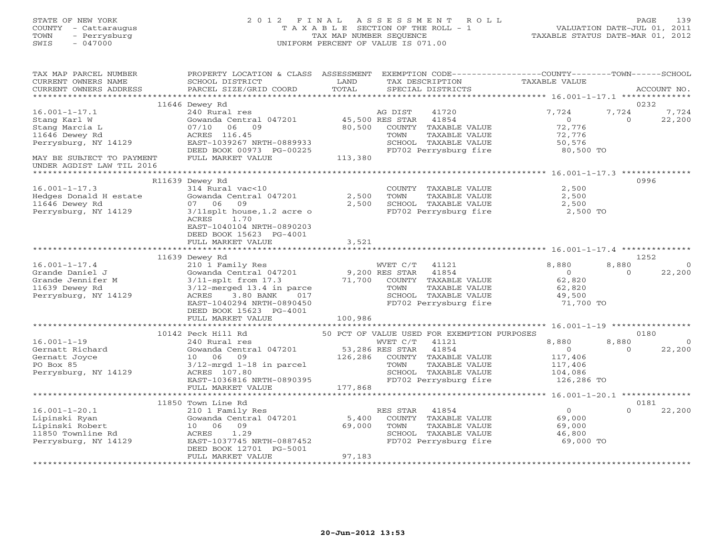| STATE OF NEW YORK<br>COUNTY<br>- Cattaraugus<br>- Perrysburg<br>TOWN<br>$-047000$<br>SWIS |                                                                        | 2012 FINAL ASSESSMENT<br>TAXABLE<br>TAX MAP NUMBER SEQUENCE<br>UNIFORM PERCENT OF VALUE IS 071.00 | SECTION OF THE ROLL - 1                                 | ROLL.                          | 139<br>PAGE<br>VALUATION DATE-JUL 01, 2011<br>TAXABLE STATUS DATE-MAR 01, 2012 |
|-------------------------------------------------------------------------------------------|------------------------------------------------------------------------|---------------------------------------------------------------------------------------------------|---------------------------------------------------------|--------------------------------|--------------------------------------------------------------------------------|
| TAX MAP PARCEL NUMBER<br>CURRENT OWNERS NAME<br>CURRENT OWNERS ADDRESS                    | PROPERTY LOCATION & CLASS<br>SCHOOL DISTRICT<br>PARCEL SIZE/GRID COORD | ASSESSMENT<br>LAND<br>TOTAL                                                                       | EXEMPTION CODE-<br>TAX DESCRIPTION<br>SPECIAL DISTRICTS | $-COIDITY---$<br>TAXABLE VALUE | $-$ TOWN $-$<br>$-SCHOOT$<br>ACCOUNT NO.                                       |
|                                                                                           |                                                                        |                                                                                                   |                                                         |                                | **************                                                                 |
|                                                                                           | 11646 Dewey Rd                                                         |                                                                                                   |                                                         |                                | 0232                                                                           |
| $16.001 - 1 - 17.1$                                                                       | 240 Rural res                                                          |                                                                                                   | 41720<br>AG DIST                                        | 7.724                          | 7.724<br>7.724                                                                 |
| Stang Karl W                                                                              | Gowanda Central 047201                                                 | 45,500 RES STAR                                                                                   | 41854                                                   |                                | 22,200                                                                         |

Stang Marcia L 07/10 06 09 80,500 COUNTY TAXABLE VALUE 72,776

| 11646 Dewey Rd            | ACRES 116.45                                     | TOWN                                        | TAXABLE VALUE | 72,776                                  |                    |
|---------------------------|--------------------------------------------------|---------------------------------------------|---------------|-----------------------------------------|--------------------|
| Perrysburg, NY 14129      | EAST-1039267 NRTH-0889933                        | SCHOOL TAXABLE VALUE                        |               | 50,576                                  |                    |
|                           | DEED BOOK 00973 PG-00225                         | FD702 Perrysburg fire                       |               | 80,500 TO                               |                    |
| MAY BE SUBJECT TO PAYMENT | FULL MARKET VALUE                                | 113,380                                     |               |                                         |                    |
| UNDER AGDIST LAW TIL 2016 |                                                  |                                             |               |                                         |                    |
| ******************        |                                                  |                                             |               | $16.001 - 1 - 17.3$                     |                    |
|                           | R11639 Dewey Rd                                  |                                             |               |                                         | 0996               |
| $16.001 - 1 - 17.3$       | 314 Rural vac<10                                 | COUNTY TAXABLE VALUE                        |               | 2,500                                   |                    |
| Hedges Donald H estate    | Gowanda Central 047201                           | 2,500<br>TOWN                               | TAXABLE VALUE | 2,500                                   |                    |
| 11646 Dewey Rd            | 07 06<br>09                                      | 2,500<br>SCHOOL TAXABLE VALUE               |               | 2,500                                   |                    |
| Perrysburg, NY 14129      | 3/11splt house, 1.2 acre o                       | FD702 Perrysburg fire                       |               | 2,500 TO                                |                    |
|                           | 1.70<br>ACRES                                    |                                             |               |                                         |                    |
|                           | EAST-1040104 NRTH-0890203                        |                                             |               |                                         |                    |
|                           | DEED BOOK 15623 PG-4001                          |                                             |               |                                         |                    |
|                           | FULL MARKET VALUE                                | 3,521                                       |               |                                         |                    |
|                           |                                                  |                                             |               |                                         |                    |
|                           | 11639 Dewey Rd                                   |                                             |               |                                         | 1252               |
| $16.001 - 1 - 17.4$       | 210 1 Family Res                                 | WVET C/T                                    | 41121         | 8,880<br>8,880                          | $\Omega$           |
| Grande Daniel J           | Gowanda Central 047201                           | 9,200 RES STAR                              | 41854         | $\Omega$                                | 22,200<br>$\Omega$ |
| Grande Jennifer M         | $3/11$ -splt from $17.3$                         | 71,700<br>COUNTY                            | TAXABLE VALUE | 62,820                                  |                    |
| 11639 Dewey Rd            | $3/12$ -merged $13.4$ in parce                   | TOWN                                        | TAXABLE VALUE | 62,820                                  |                    |
| Perrysburg, NY 14129      | 3.80 BANK<br>ACRES<br>017                        | SCHOOL TAXABLE VALUE                        |               | 49,500                                  |                    |
|                           | EAST-1040294 NRTH-0890450                        |                                             |               | 71,700 TO                               |                    |
|                           |                                                  | FD702 Perrysburg fire                       |               |                                         |                    |
|                           | DEED BOOK 15623 PG-4001                          |                                             |               |                                         |                    |
|                           | FULL MARKET VALUE<br>*************************** | 100,986                                     |               |                                         |                    |
|                           |                                                  |                                             |               |                                         |                    |
|                           | 10142 Peck Hill Rd                               | 50 PCT OF VALUE USED FOR EXEMPTION PURPOSES |               |                                         | 0180               |
| $16.001 - 1 - 19$         | 240 Rural res                                    | WVET C/T                                    | 41121         | 8,880<br>8,880                          | $\Omega$           |
| Gernatt Richard           | Gowanda Central 047201                           | 53,286 RES STAR                             | 41854         | $\Omega$                                | 22,200<br>$\Omega$ |
| Gernatt Joyce             | 10 06<br>09                                      | 126,286<br>COUNTY TAXABLE VALUE             |               | 117,406                                 |                    |
| PO Box 85                 | $3/12$ -mrgd 1-18 in parcel                      | TOWN                                        | TAXABLE VALUE | 117,406                                 |                    |
| Perrysburg, NY 14129      | ACRES 107.80                                     | SCHOOL TAXABLE VALUE                        |               | 104,086                                 |                    |
|                           | EAST-1036816 NRTH-0890395                        | FD702 Perrysburg fire                       |               | 126,286 TO                              |                    |
|                           | FULL MARKET VALUE                                | 177,868                                     |               |                                         |                    |
|                           | ***************************                      | **********************                      |               | ********** 16.001-1-20.1 ************** |                    |
|                           | 11850 Town Line Rd                               |                                             |               |                                         | 0181               |
| $16.001 - 1 - 20.1$       | 210 1 Family Res                                 | RES STAR                                    | 41854         | $\Omega$                                | $\Omega$<br>22,200 |
| Lipinski Ryan             | Gowanda Central 047201                           | 5,400<br>COUNTY TAXABLE VALUE               |               | 69,000                                  |                    |
| Lipinski Robert           | 09<br>06<br>10                                   | 69,000<br>TOWN                              | TAXABLE VALUE | 69,000                                  |                    |
| 11850 Townline Rd         | 1.29<br>ACRES                                    | SCHOOL TAXABLE VALUE                        |               | 46,800                                  |                    |
| Perrysburg, NY 14129      | EAST-1037745 NRTH-0887452                        | FD702 Perrysburg fire                       |               | 69,000 TO                               |                    |
|                           | DEED BOOK 12701 PG-5001                          |                                             |               |                                         |                    |
|                           | FULL MARKET VALUE                                | 97,183                                      |               |                                         |                    |
|                           |                                                  |                                             |               |                                         |                    |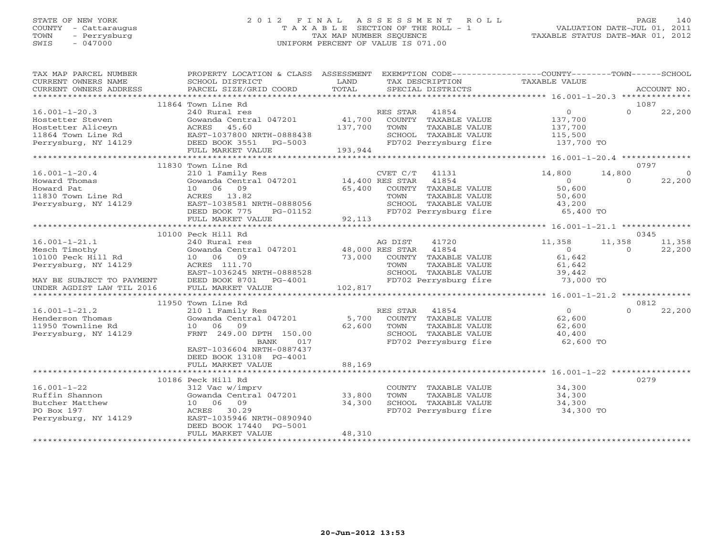## STATE OF NEW YORK 2 0 1 2 F I N A L A S S E S S M E N T R O L L PAGE 140 COUNTY - Cattaraugus T A X A B L E SECTION OF THE ROLL - 1 VALUATION DATE-JUL 01, 2011 TOWN - Perrysburg TAX MAP NUMBER SEQUENCE TAXABLE STATUS DATE-MAR 01, 2012 SWIS - 047000 UNIFORM PERCENT OF VALUE IS 071.00UNIFORM PERCENT OF VALUE IS 071.00

| TAX MAP PARCEL NUMBER<br>CURRENT OWNERS NAME<br>CURRENT OWNERS ADDRESS                                                                                                                                                                                 | PROPERTY LOCATION & CLASS ASSESSMENT<br>SCHOOL DISTRICT<br>PARCEL SIZE/GRID COORD                                                                                              | LAND<br>TOTAL                | TAX DESCRIPTION<br>SPECIAL DISTRICTS                                                                  |                                                         | EXEMPTION CODE-----------------COUNTY-------TOWN------SCHOOL<br>TAXABLE VALUE                                  |                    | ACCOUNT NO.       |
|--------------------------------------------------------------------------------------------------------------------------------------------------------------------------------------------------------------------------------------------------------|--------------------------------------------------------------------------------------------------------------------------------------------------------------------------------|------------------------------|-------------------------------------------------------------------------------------------------------|---------------------------------------------------------|----------------------------------------------------------------------------------------------------------------|--------------------|-------------------|
|                                                                                                                                                                                                                                                        |                                                                                                                                                                                |                              |                                                                                                       |                                                         |                                                                                                                |                    |                   |
| $16.001 - 1 - 20.3$<br>Hostetter Steven<br>Hostetter Aliceyn<br>Hostetter Aliceyn                   ACRES     45.60<br>11864 Town Line Rd                 EAST-1037800 NRTH-0888438<br>Perrysburg, NY 14129                 DEED BOOK 3551     PG-5003 | 11864 Town Line Rd<br>240 Rural res<br>Gowanda Central 047201                                                                                                                  | 41,700<br>137,700<br>193,944 | RES STAR 41854<br>COUNTY TAXABLE VALUE<br>TOWN<br>SCHOOL TAXABLE VALUE<br>FD702 Perrysburg fire       | TAXABLE VALUE                                           | $\overline{0}$<br>137,700<br>137,700<br>115,500<br>137,700 TO                                                  | $\Omega$           | 1087<br>22,200    |
| * * * * * * * * * * * * * * * * * * *                                                                                                                                                                                                                  | FULL MARKET VALUE                                                                                                                                                              |                              |                                                                                                       |                                                         |                                                                                                                |                    |                   |
|                                                                                                                                                                                                                                                        | 11830 Town Line Rd                                                                                                                                                             |                              |                                                                                                       |                                                         |                                                                                                                |                    | 0797              |
| $16.001 - 1 - 20.4$<br>Howard Thomas<br>Howard Pat<br>11830 Town Line Rd<br>Perrysburg, NY 14129                                                                                                                                                       | 210 1 Family Res<br>Gowanda Central 047201 14,400 RES STAR<br>10 06 09<br>ACRES 13.82<br>EAST-1038581 NRTH-0888056<br>DEED BOOK 775<br>PG-01152                                | 65,400                       | $CVET C/T$ 41131<br>COUNTY TAXABLE VALUE<br>TOWN                                                      | 41854<br>TAXABLE VALUE                                  | 14,800<br>$\Omega$<br>50,600<br>50,600<br>SCHOOL TAXABLE VALUE $43,200$<br>FD702 Perrysburg fire 65,400 TO     | 14,800<br>$\Omega$ | $\circ$<br>22,200 |
|                                                                                                                                                                                                                                                        | FULL MARKET VALUE<br>*******************************                                                                                                                           | 92,113                       |                                                                                                       |                                                         |                                                                                                                |                    |                   |
|                                                                                                                                                                                                                                                        | 10100 Peck Hill Rd                                                                                                                                                             |                              |                                                                                                       |                                                         |                                                                                                                |                    | 0345              |
| $16.001 - 1 - 21.1$<br>Mesch Timothy<br>10100 Peck Hill Rd<br>Perrysburg, NY 14129<br>MAY BE SUBJECT TO PAYMENT                                                                                                                                        | 240 Rural res<br>Gowanda Central 047201 48,000 RES STAR<br>10 06 09<br>ACRES 111.70<br>EAST-1036245 NRTH-0888528<br>DEED BOOK 8701<br>PG-4001                                  | 73,000                       | AG DIST<br>TOWN                                                                                       | 41720<br>41854<br>COUNTY TAXABLE VALUE<br>TAXABLE VALUE | 11,358<br>$\overline{0}$<br>61,642<br>61,642<br>SCHOOL TAXABLE VALUE 39,442<br>FD702 Perrysburg fire 73,000 TO | 11,358<br>$\Omega$ | 11,358<br>22,200  |
| UNDER AGDIST LAW TIL 2016                                                                                                                                                                                                                              | FULL MARKET VALUE                                                                                                                                                              | 102,817                      |                                                                                                       |                                                         |                                                                                                                |                    |                   |
|                                                                                                                                                                                                                                                        |                                                                                                                                                                                |                              |                                                                                                       |                                                         |                                                                                                                |                    | 0812              |
| $16.001 - 1 - 21.2$<br>Henderson Thomas<br>11950 Townline Rd<br>Perrysburg, NY 14129                                                                                                                                                                   | 11950 Town Line Rd<br>210 1 Family Res<br>Gowanda Central 047201<br>10 06 09<br>FRNT 249.00 DPTH 150.00<br>017<br>BANK<br>EAST-1036604 NRTH-0887437<br>DEED BOOK 13108 PG-4001 | 62,600                       | RES STAR 41854<br>5,700 COUNTY TAXABLE VALUE<br>TOWN<br>SCHOOL TAXABLE VALUE<br>FD702 Perrysburg fire | TAXABLE VALUE                                           | $\overline{0}$<br>62,600<br>62,600<br>40,400<br>62,600 TO                                                      | $\Omega$           | 22,200            |
|                                                                                                                                                                                                                                                        | FULL MARKET VALUE                                                                                                                                                              | 88,169                       |                                                                                                       |                                                         |                                                                                                                |                    |                   |
| $16.001 - 1 - 22$<br>Ruffin Shannon<br>Butcher Matthew<br>PO Box 197<br>Perrysburg, NY 14129                                                                                                                                                           | 10186 Peck Hill Rd<br>312 Vac w/imprv<br>Gowanda Central 047201 33,800<br>10 06 09<br>ACRES 30.29<br>EAST-1035946 NRTH-0890940<br>DEED BOOK 17440 PG-5001                      | 34,300                       | TOWN<br>SCHOOL TAXABLE VALUE                                                                          | COUNTY TAXABLE VALUE<br>TAXABLE VALUE                   | 34,300<br>34,300<br>SCHOOL TAXABLE VALUE 34,300<br>FD702 Perrysburg fire 34,300 TO                             |                    | 0279              |
|                                                                                                                                                                                                                                                        | FULL MARKET VALUE                                                                                                                                                              | 48,310                       |                                                                                                       |                                                         |                                                                                                                |                    |                   |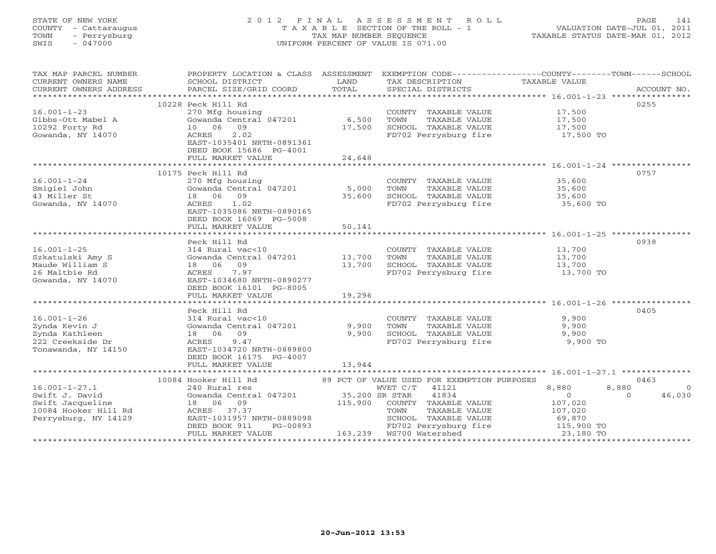## STATE OF NEW YORK 2 0 1 2 F I N A L A S S E S S M E N T R O L L PAGE 141 COUNTY - Cattaraugus T A X A B L E SECTION OF THE ROLL - 1 VALUATION DATE-JUL 01, 2011 TOWN - Perrysburg TAX MAP NUMBER SEQUENCE TAXABLE STATUS DATE-MAR 01, 2012 SWIS - 047000 UNIFORM PERCENT OF VALUE IS 071.00UNIFORM PERCENT OF VALUE IS 071.00

| TAX MAP PARCEL NUMBER | PROPERTY LOCATION & CLASS ASSESSMENT |                |                                               | EXEMPTION CODE-----------------COUNTY-------TOWN------SCHOOL |                |
|-----------------------|--------------------------------------|----------------|-----------------------------------------------|--------------------------------------------------------------|----------------|
| CURRENT OWNERS NAME   | SCHOOL DISTRICT                      | LAND           | TAX DESCRIPTION                               | TAXABLE VALUE                                                |                |
|                       |                                      |                |                                               | ACCOUNT NO.                                                  |                |
|                       |                                      |                |                                               |                                                              |                |
|                       | 10228 Peck Hill Rd                   |                |                                               | 0255                                                         |                |
| $16.001 - 1 - 23$     | 270 Mfg housing                      |                | COUNTY TAXABLE VALUE                          | 17,500                                                       |                |
| Gibbs-Ott Mabel A     | Gowanda Central 047201               | 6,500          | TOWN<br>TAXABLE VALUE                         | 17,500                                                       |                |
| 10292 Forty Rd        | 10 06<br>09                          | 17,500         | SCHOOL TAXABLE VALUE                          | 17,500                                                       |                |
| Gowanda, NY 14070     | 2.02<br>ACRES                        |                | FD702 Perrysburg fire                         | 17,500 TO                                                    |                |
|                       | EAST-1035401 NRTH-0891361            |                |                                               |                                                              |                |
|                       | DEED BOOK 15686 PG-4001              |                |                                               |                                                              |                |
|                       | FULL MARKET VALUE                    | 24,648         |                                               |                                                              |                |
|                       |                                      |                |                                               |                                                              |                |
|                       | 10175 Peck Hill Rd                   |                |                                               | 0757                                                         |                |
| $16.001 - 1 - 24$     |                                      |                |                                               |                                                              |                |
|                       | 270 Mfg housing                      |                | COUNTY TAXABLE VALUE                          | 35,600                                                       |                |
| Smigiel John          | Gowanda Central 047201               | 5,000          | TAXABLE VALUE<br>TOWN                         | 35,600                                                       |                |
| 43 Miller St          | 18  06  09                           | 35,600         | SCHOOL TAXABLE VALUE                          | 35,600                                                       |                |
| Gowanda, NY 14070     | ACRES 1.02                           |                | FD702 Perrysburg fire                         | 35,600 TO                                                    |                |
|                       | EAST-1035086 NRTH-0890165            |                |                                               |                                                              |                |
|                       | DEED BOOK 16069 PG-5008              |                |                                               |                                                              |                |
|                       | FULL MARKET VALUE                    | 50,141         |                                               |                                                              |                |
|                       |                                      |                |                                               |                                                              |                |
|                       | Peck Hill Rd                         |                |                                               | 0938                                                         |                |
| $16.001 - 1 - 25$     | 314 Rural vac<10                     |                | COUNTY TAXABLE VALUE                          | 13,700                                                       |                |
| Szkatulski Amy S      | Gowanda Central 047201 13,700        |                | TOWN<br>TAXABLE VALUE                         | 13,700                                                       |                |
| Maude William S       | 18 06 09                             | 13,700         | SCHOOL TAXABLE VALUE                          | 13,700                                                       |                |
| 16 Maltbie Rd         | 7.97<br>ACRES                        |                | bunuul TAXABLE VALUE<br>FD702 Perrysburg fire | 13,700 TO                                                    |                |
| Gowanda, NY 14070     | EAST-1034680 NRTH-0890277            |                |                                               |                                                              |                |
|                       | DEED BOOK 16101 PG-8005              |                |                                               |                                                              |                |
|                       | FULL MARKET VALUE                    | 19,296         |                                               |                                                              |                |
|                       |                                      |                |                                               |                                                              |                |
|                       | Peck Hill Rd                         |                |                                               | 0405                                                         |                |
| $16.001 - 1 - 26$     | 314 Rural vac<10                     |                | COUNTY TAXABLE VALUE                          | 9,900                                                        |                |
| Zynda Kevin J         | Gowanda Central 047201               | 9,900          | TOWN<br>TAXABLE VALUE                         | 9,900                                                        |                |
| Zynda Kathleen        | 18 06 09                             | 9,900          | SCHOOL TAXABLE VALUE                          | 9,900                                                        |                |
| 222 Creekside Dr      | ACRES<br>9.47                        |                | FD702 Perrysburg fire                         | 9,900 TO                                                     |                |
| Tonawanda, NY 14150   | EAST-1034720 NRTH-0889800            |                |                                               |                                                              |                |
|                       |                                      |                |                                               |                                                              |                |
|                       | DEED BOOK 16175 PG-4007              |                |                                               |                                                              |                |
|                       | FULL MARKET VALUE                    | 13,944         |                                               |                                                              |                |
|                       |                                      |                |                                               |                                                              |                |
|                       | 10084 Hooker Hill Rd                 |                | 89 PCT OF VALUE USED FOR EXEMPTION PURPOSES   | 0463                                                         |                |
| $16.001 - 1 - 27.1$   | 240 Rural res                        |                | WVET C/T 41121                                | 8,880<br>8,880                                               | $\overline{0}$ |
| Swift J. David        | Gowanda Central 047201               | 35,200 SR STAR | 41834                                         | $\overline{0}$<br>$\Omega$                                   | 46,030         |
| Swift Jacqueline      | 18  06  09                           |                | 115,900 COUNTY TAXABLE VALUE                  | 107,020                                                      |                |
| 10084 Hooker Hill Rd  | ACRES 37.37                          |                | TAXABLE VALUE<br>TOWN                         | 107,020                                                      |                |
| Perrysburg, NY 14129  | EAST-1031957 NRTH-0889098            |                | SCHOOL TAXABLE VALUE                          | 69,870                                                       |                |
|                       | DEED BOOK 911<br>PG-00893            |                | FD702 Perrysburg fire                         | 115,900 TO                                                   |                |
|                       | FULL MARKET VALUE                    |                |                                               | 23,180 TO                                                    |                |
|                       |                                      |                |                                               |                                                              |                |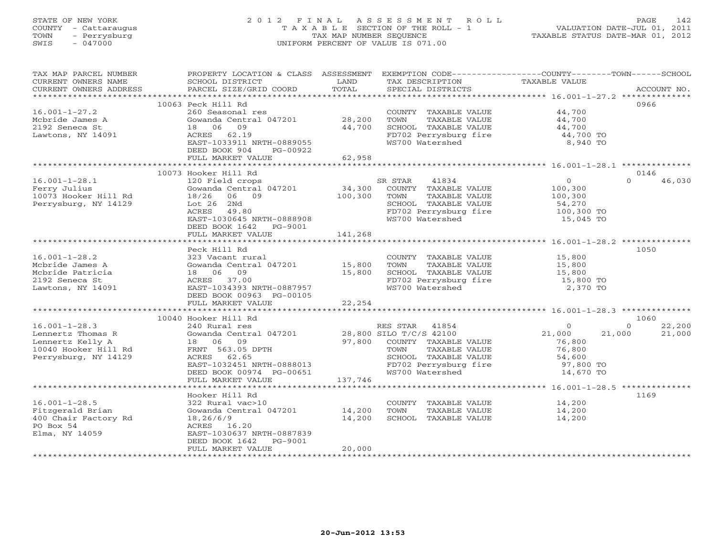## STATE OF NEW YORK 2 0 1 2 F I N A L A S S E S S M E N T R O L L PAGE 142 COUNTY - Cattaraugus T A X A B L E SECTION OF THE ROLL - 1 VALUATION DATE-JUL 01, 2011 TOWN - Perrysburg TAX MAP NUMBER SEQUENCE TAXABLE STATUS DATE-MAR 01, 2012 SWIS - 047000 UNIFORM PERCENT OF VALUE IS 071.00UNIFORM PERCENT OF VALUE IS 071.00

| TAX MAP PARCEL NUMBER  | PROPERTY LOCATION & CLASS ASSESSMENT EXEMPTION CODE----------------COUNTY-------TOWN------SCHOOL |         |                                                                |                |                    |
|------------------------|--------------------------------------------------------------------------------------------------|---------|----------------------------------------------------------------|----------------|--------------------|
| CURRENT OWNERS NAME    | SCHOOL DISTRICT                                                                                  | LAND    | TAX DESCRIPTION                                                | TAXABLE VALUE  |                    |
| CURRENT OWNERS ADDRESS | PARCEL SIZE/GRID COORD                                                                           | TOTAL   | SPECIAL DISTRICTS                                              |                | ACCOUNT NO.        |
|                        |                                                                                                  |         |                                                                |                |                    |
|                        | 10063 Peck Hill Rd                                                                               |         |                                                                |                | 0966               |
| $16.001 - 1 - 27.2$    | 260 Seasonal res                                                                                 |         | COUNTY TAXABLE VALUE                                           | 44,700         |                    |
| Mcbride James A        | Gowanda Central 047201 28,200                                                                    |         | TOWN<br>TAXABLE VALUE                                          | 44,700         |                    |
| 2192 Seneca St         | 18 06 09                                                                                         | 44,700  | SCHOOL TAXABLE VALUE                                           | 44,700         |                    |
| Lawtons, NY 14091      | ACRES 62.19                                                                                      |         | FD702 Perrysburg fire 44,700 TO                                |                |                    |
|                        | EAST-1033911 NRTH-0889055                                                                        |         | WS700 Watershed                                                | 8,940 TO       |                    |
|                        | DEED BOOK 904<br>PG-00922                                                                        |         |                                                                |                |                    |
|                        | FULL MARKET VALUE                                                                                | 62,958  |                                                                |                |                    |
|                        |                                                                                                  |         |                                                                |                |                    |
|                        | 10073 Hooker Hill Rd                                                                             |         |                                                                |                | 0146               |
| $16.001 - 1 - 28.1$    | 120 Field crops                                                                                  |         | 41834<br>SR STAR                                               | 0              | $\Omega$<br>46,030 |
| Ferry Julius           | Gowanda Central 047201                                                                           | 34,300  | COUNTY TAXABLE VALUE                                           | 100,300        |                    |
| 10073 Hooker Hill Rd   | 18/26 06 09                                                                                      | 100,300 | TOWN TAXABLE VALUE                                             | 100,300        |                    |
|                        |                                                                                                  |         |                                                                |                |                    |
| Perrysburg, NY 14129   | Lot 26 2Nd                                                                                       |         | SCHOOL TAXABLE VALUE                                           | 54,270         |                    |
|                        | ACRES<br>49.80                                                                                   |         | FD702 Perrysburg fire                                          | 100,300 TO     |                    |
|                        | EAST-1030645 NRTH-0888908                                                                        |         | WS700 Watershed                                                | 15,045 TO      |                    |
|                        | DEED BOOK 1642 PG-9001                                                                           |         |                                                                |                |                    |
|                        | FULL MARKET VALUE                                                                                | 141,268 |                                                                |                |                    |
|                        |                                                                                                  |         |                                                                |                |                    |
|                        | Peck Hill Rd                                                                                     |         |                                                                |                | 1050               |
| $16.001 - 1 - 28.2$    | 323 Vacant rural                                                                                 |         | COUNTY TAXABLE VALUE                                           | 15,800         |                    |
| Mcbride James A        | Gowanda Central 047201 15,800                                                                    |         | TAXABLE VALUE<br>TOWN                                          | 15,800         |                    |
| Mcbride Patricia       | 18 06 09                                                                                         | 15,800  | SCHOOL TAXABLE VALUE                                           | 15,800         |                    |
| 2192 Seneca St         | ACRES 37.00                                                                                      |         | FD702 Perrysburg fire 15,800 TO                                |                |                    |
| Lawtons, NY 14091      | EAST-1034393 NRTH-0887957                                                                        |         | WS700 Watershed                                                | 2,370 TO       |                    |
|                        | DEED BOOK 00963 PG-00105                                                                         |         |                                                                |                |                    |
|                        | FULL MARKET VALUE                                                                                | 22, 254 |                                                                |                |                    |
|                        |                                                                                                  |         |                                                                |                |                    |
|                        | 10040 Hooker Hill Rd                                                                             |         |                                                                |                | 1060               |
| $16.001 - 1 - 28.3$    | 240 Rural res                                                                                    |         | RES STAR 41854                                                 | $\overline{0}$ | 22,200<br>$\circ$  |
| Lennertz Thomas R      | Gowanda Central 047201 28,800 SILO T/C/S 42100                                                   |         |                                                                | 21,000         | 21,000<br>21,000   |
| Lennertz Kelly A       |                                                                                                  |         | 97,800 COUNTY TAXABLE VALUE                                    | 76,800         |                    |
| 10040 Hooker Hill Rd   | 18 06 09<br>FRNT 563.05 DPTH                                                                     |         | TOWN<br>TAXABLE VALUE                                          | 76,800         |                    |
| Perrysburg, NY 14129   | ACRES 62.65                                                                                      |         |                                                                |                |                    |
|                        | EAST-1032451 NRTH-0888013                                                                        |         | SCHOOL TAXABLE VALUE 54,600<br>FD702 Perrysburg fire 97,800 TO |                |                    |
|                        | DEED BOOK 00974 PG-00651                                                                         |         | WS700 Watershed                                                | 14,670 TO      |                    |
|                        | FULL MARKET VALUE                                                                                | 137,746 |                                                                |                |                    |
|                        |                                                                                                  |         |                                                                |                |                    |
|                        |                                                                                                  |         |                                                                |                | 1169               |
| $16.001 - 1 - 28.5$    | Hooker Hill Rd<br>322 Rural vac>10                                                               |         |                                                                | 14,200         |                    |
|                        |                                                                                                  |         | COUNTY TAXABLE VALUE<br>TOWN                                   |                |                    |
| Fitzgerald Brian       | Gowanda Central 047201 14,200                                                                    |         | TAXABLE VALUE                                                  | 14,200         |                    |
| 400 Chair Factory Rd   | 18,26/6/9                                                                                        | 14,200  | SCHOOL TAXABLE VALUE                                           | 14,200         |                    |
| PO Box 54              | ACRES 16.20                                                                                      |         |                                                                |                |                    |
| Elma, NY 14059         | EAST-1030637 NRTH-0887839                                                                        |         |                                                                |                |                    |
|                        | DEED BOOK 1642 PG-9001                                                                           |         |                                                                |                |                    |
|                        | FULL MARKET VALUE                                                                                | 20,000  |                                                                |                |                    |
|                        |                                                                                                  |         |                                                                |                |                    |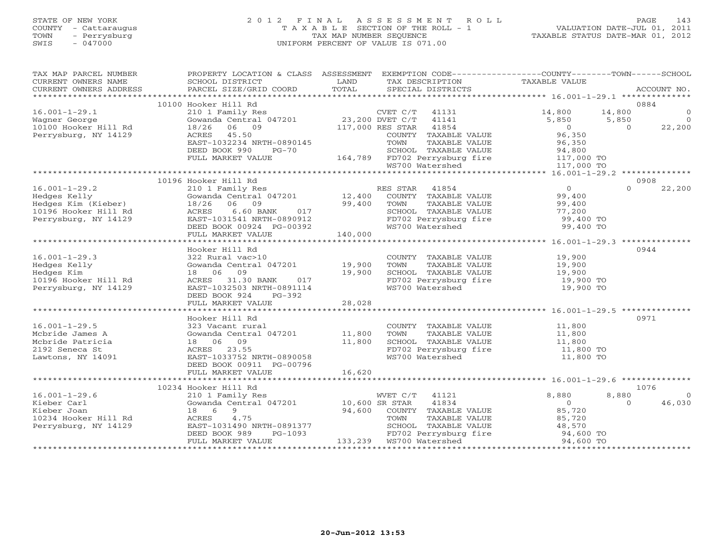## STATE OF NEW YORK 2 0 1 2 F I N A L A S S E S S M E N T R O L L PAGE 143 COUNTY - Cattaraugus T A X A B L E SECTION OF THE ROLL - 1 VALUATION DATE-JUL 01, 2011 TOWN - Perrysburg TAX MAP NUMBER SEQUENCE TAXABLE STATUS DATE-MAR 01, 2012 SWIS - 047000 UNIFORM PERCENT OF VALUE IS 071.00UNIFORM PERCENT OF VALUE IS 071.00

| TAX MAP PARCEL NUMBER<br>CURRENT OWNERS NAME<br>CURRENT OWNERS ADDRESS | PROPERTY LOCATION & CLASS ASSESSMENT<br>SCHOOL DISTRICT<br>PARCEL SIZE/GRID COORD                                                             | LAND<br>TOTAL   | EXEMPTION CODE-----------------COUNTY-------TOWN------SCHOOL<br>TAX DESCRIPTION<br>SPECIAL DISTRICTS  | TAXABLE VALUE                 |                 | ACCOUNT NO.              |
|------------------------------------------------------------------------|-----------------------------------------------------------------------------------------------------------------------------------------------|-----------------|-------------------------------------------------------------------------------------------------------|-------------------------------|-----------------|--------------------------|
|                                                                        |                                                                                                                                               |                 |                                                                                                       |                               |                 |                          |
|                                                                        | 10100 Hooker Hill Rd                                                                                                                          |                 |                                                                                                       |                               | 0884            |                          |
| $16.001 - 1 - 29.1$                                                    | 210 1 Family Res                                                                                                                              | 23,200 DVET C/T | $CVET C/T$ 41131                                                                                      | 14,800                        | 14,800          | $\overline{0}$           |
| Wagner George                                                          | Gowanda Central 047201                                                                                                                        |                 | 41141<br>117,000 RES STAR<br>41854                                                                    | 5,850<br>$\overline{0}$       | 5,850<br>$\cap$ | $\overline{0}$<br>22,200 |
| 10100 Hooker Hill Rd<br>Perrysburg, NY 14129                           | 06 09<br>18/26<br>ACRES 45.50                                                                                                                 |                 | COUNTY TAXABLE VALUE                                                                                  |                               |                 |                          |
|                                                                        | EAST-1032234 NRTH-0890145                                                                                                                     |                 | TOWN<br>TAXABLE VALUE                                                                                 | י ספ<br>96,350<br>יחי         |                 |                          |
|                                                                        | DEED BOOK 990<br>$PG-70$                                                                                                                      |                 |                                                                                                       |                               |                 |                          |
|                                                                        | FULL MARKET VALUE                                                                                                                             |                 |                                                                                                       |                               |                 |                          |
|                                                                        |                                                                                                                                               |                 | SCHOOL TAXABLE VALUE 94,800<br>164,789 FD702 Perrysburg fire 117,000 TO<br>WS700 Watershed 117,000 TO |                               |                 |                          |
|                                                                        |                                                                                                                                               |                 |                                                                                                       |                               |                 |                          |
|                                                                        | 10196 Hooker Hill Rd                                                                                                                          |                 |                                                                                                       |                               | 0908            |                          |
| $16.001 - 1 - 29.2$                                                    | 210 1 Family Res                                                                                                                              |                 | RES STAR 41854                                                                                        | $\overline{0}$                | $\Omega$        | 22,200                   |
| Hedges Kelly                                                           | Gowanda Central 047201 12,400                                                                                                                 |                 | COUNTY TAXABLE VALUE                                                                                  | 99,400                        |                 |                          |
| Hedges Kim (Kieber)                                                    | 18/26<br>06 09<br>$1541$ NRTH-0890912<br>$-1541$ NRTH-0890912<br>$-200392$                                                                    |                 | TOWN<br>TAXABLE VALUE                                                                                 | 99,400                        |                 |                          |
| 10196 Hooker Hill Rd                                                   | ACRES                                                                                                                                         |                 | SCHOOL TAXABLE VALUE                                                                                  | 77,200                        |                 |                          |
| Perrysburg, NY 14129                                                   | EAST-1031541 NRTH-0890912                                                                                                                     |                 | BUNOUL INCOME<br>FD702 Perrysburg fire<br>W3700 Watershed                                             | 99,400 TO                     |                 |                          |
|                                                                        | DEED BOOK 00924 PG-00392                                                                                                                      |                 |                                                                                                       | 99,400 TO                     |                 |                          |
|                                                                        | FULL MARKET VALUE                                                                                                                             | 140,000         |                                                                                                       |                               |                 |                          |
|                                                                        |                                                                                                                                               |                 |                                                                                                       |                               |                 |                          |
|                                                                        | Hooker Hill Rd                                                                                                                                |                 |                                                                                                       |                               | 0944            |                          |
| $16.001 - 1 - 29.3$                                                    | 322 Rural vac>10                                                                                                                              |                 | COUNTY TAXABLE VALUE                                                                                  | 19,900                        |                 |                          |
| Hedges Kelly                                                           | Gowanda Central 047201                                                                                                                        | 19,900          | TOWN<br>TAXABLE VALUE                                                                                 | 19,900                        |                 |                          |
| Hedges Kim                                                             | 18 06 09                                                                                                                                      | 19,900          | SCHOOL TAXABLE VALUE                                                                                  | 19,900                        |                 |                          |
| 10196 Hooker Hill Rd                                                   | ACRES 31.30 BANK<br>017                                                                                                                       |                 | FD702 Perrysburg fire<br>WS700 Watershed                                                              | $19,900$ TO                   |                 |                          |
| Perrysburg, NY 14129                                                   | EAST-1032503 NRTH-0891114                                                                                                                     |                 |                                                                                                       | 19,900 TO                     |                 |                          |
|                                                                        | DEED BOOK 924<br>$PG-392$                                                                                                                     | 28,028          |                                                                                                       |                               |                 |                          |
|                                                                        | FULL MARKET VALUE                                                                                                                             |                 |                                                                                                       |                               |                 |                          |
|                                                                        | Hooker Hill Rd                                                                                                                                |                 |                                                                                                       |                               | 0971            |                          |
| $16.001 - 1 - 29.5$                                                    | 323 Vacant rural                                                                                                                              |                 | COUNTY TAXABLE VALUE 11,800                                                                           |                               |                 |                          |
| Mcbride James A                                                        | Gowanda Central 047201 11,800                                                                                                                 |                 | TOWN<br>TAXABLE VALUE                                                                                 | 11,800                        |                 |                          |
| Mcbride Patricia                                                       | 18 06 09                                                                                                                                      | 11,800          | SCHOOL TAXABLE VALUE                                                                                  | 11,800<br>11,800              |                 |                          |
| 2192 Seneca St                                                         | ACRES 23.55                                                                                                                                   |                 |                                                                                                       | 11,800 TO                     |                 |                          |
| Lawtons, NY 14091                                                      | EAST-1033752 NRTH-0890058                                                                                                                     |                 | FD702 Perrysburg fire<br>WS700 Watershed                                                              | 11,800 TO                     |                 |                          |
|                                                                        | DEED BOOK 00911 PG-00796                                                                                                                      |                 |                                                                                                       |                               |                 |                          |
|                                                                        | FULL MARKET VALUE                                                                                                                             | 16,620          |                                                                                                       |                               |                 |                          |
|                                                                        |                                                                                                                                               |                 |                                                                                                       |                               |                 |                          |
|                                                                        | 10234 Hooker Hill Rd                                                                                                                          |                 |                                                                                                       |                               | 1076            |                          |
| $16.001 - 1 - 29.6$                                                    | $\begin{tabular}{lllllll} 210&1 & Family & Res & & WVET & C/1\\ \text{Gowanda Central} & 047201 & & & 10,600 & SR \text{ STAR} \end{tabular}$ |                 | WVET C/T<br>41121                                                                                     | 8,880                         | 8,880           | $\bigcirc$               |
| Kieber Carl                                                            |                                                                                                                                               |                 | 41834                                                                                                 | $\overline{0}$                | $\Omega$        | 46,030                   |
| Kieber Joan                                                            | 18 6<br>9                                                                                                                                     | 94,600          | COUNTY TAXABLE VALUE                                                                                  | 85,720                        |                 |                          |
| 10234 Hooker Hill Rd                                                   | 4.75<br>ACRES                                                                                                                                 |                 | TOWN<br>TAXABLE VALUE                                                                                 | 85,720                        |                 |                          |
| Perrysburg, NY 14129                                                   | EAST-1031490 NRTH-0891377                                                                                                                     |                 | SCHOOL TAXABLE VALUE                                                                                  | 48,570<br>48,570<br>94,600 To |                 |                          |
|                                                                        | PG-1093<br>DEED BOOK 989                                                                                                                      |                 | FD702 Perrysburg fire<br>FD702 Perrysburg fire                                                        |                               |                 |                          |
|                                                                        | FULL MARKET VALUE                                                                                                                             |                 |                                                                                                       | 94,600 TO                     |                 |                          |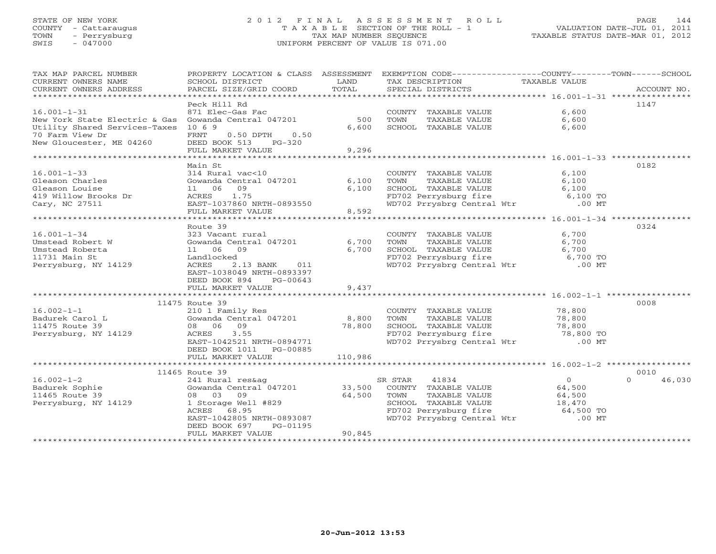## STATE OF NEW YORK 2 0 1 2 F I N A L A S S E S S M E N T R O L L PAGE 144 COUNTY - Cattaraugus T A X A B L E SECTION OF THE ROLL - 1 VALUATION DATE-JUL 01, 2011 TOWN - Perrysburg TAX MAP NUMBER SEQUENCE TAXABLE STATUS DATE-MAR 01, 2012 SWIS - 047000 UNIFORM PERCENT OF VALUE IS 071.00UNIFORM PERCENT OF VALUE IS 071.00

| Peck Hill Rd<br>1147<br>$16.001 - 1 - 31$<br>871 Elec-Gas Fac<br>6,600<br>COUNTY TAXABLE VALUE<br>Gowanda Central 047201<br>500<br>6,600<br>New York State Electric & Gas<br>TOWN<br>TAXABLE VALUE<br>Utility Shared Services-Taxes<br>6,600<br>SCHOOL TAXABLE VALUE<br>10 6 9<br>6,600<br>70 Farm View Dr<br>FRNT<br>$0.50$ DPTH<br>0.50<br>New Gloucester, ME 04260<br>DEED BOOK 513 PG-320<br>9,296<br>FULL MARKET VALUE<br>0182<br>Main St<br>$16.001 - 1 - 33$<br>314 Rural vac<10<br>COUNTY TAXABLE VALUE<br>6,100<br>Gowanda Central 047201 6,100<br>TAXABLE VALUE<br>6,100<br>Gleason Charles<br>TOWN<br>11 06 09<br>6,100<br>Gleason Louise<br>6,100<br>SCHOOL TAXABLE VALUE<br>FD702 Perrysburg fire<br>$6,100$ TO<br>ACRES 1.75<br>419 Willow Brooks Dr<br>WD702 Prrysbrg Central Wtr .00 MT<br>EAST-1037860 NRTH-0893550<br>Cary, NC 27511<br>8,592<br>FULL MARKET VALUE<br>0324<br>Route 39<br>$16.001 - 1 - 34$<br>323 Vacant rural<br>COUNTY TAXABLE VALUE<br>6,700<br>Gowanda Central 047201<br>6,700<br>6,700<br>Umstead Robert W<br>TOWN<br>TAXABLE VALUE<br>Umstead Roberta<br>11 06 09<br>6,700<br>SCHOOL TAXABLE VALUE<br>6,700<br>Landlocked<br>FD702 Perrysburg fire 6,700 TO<br>WD702 Prrysbrg Central Wtr .00 MT<br>11731 Main St<br>Perrysburg, NY 14129<br>ACRES<br>2.13 BANK<br>011<br>EAST-1038049 NRTH-0893397<br>DEED BOOK 894<br>PG-00643<br>FULL MARKET VALUE<br>9,437<br>0008<br>11475 Route 39<br>210 1 Family Res<br>$16.002 - 1 - 1$<br>78,800<br>COUNTY TAXABLE VALUE<br>Gowanda Central 047201<br>8,800<br>TAXABLE VALUE<br>Badurek Carol L<br>TOWN<br>78,800<br>78,800<br>09<br>11475 Route 39<br>08 06<br>78,800<br>SCHOOL TAXABLE VALUE<br>FD702 Perrysburg fire<br>WD702 Prrysbrg Central Wtr<br>Perrysburg, NY 14129<br>3.55<br>78,800 TO<br>00 MT.<br>ACRES<br>EAST-1042521 NRTH-0894771<br>DEED BOOK 1011 PG-00885<br>110,986<br>FULL MARKET VALUE<br>11465 Route 39<br>0010<br>$16.002 - 1 - 2$<br>SR STAR<br>41834<br>0<br>241 Rural res&ag<br>S<br>33,500<br>$\Omega$<br>46,030<br>Gowanda Central 047201<br>64,500<br>Badurek Sophie<br>COUNTY TAXABLE VALUE<br>64,500<br>11465 Route 39<br>08 03 09<br>TOWN<br>TAXABLE VALUE<br>64,500<br>Perrysburg, NY 14129<br>1 Storage Well #829<br>SCHOOL TAXABLE VALUE 18,470<br>FD702 Perrysburg fire 64,500 TO<br>ACRES 68.95<br>EAST-1042805 NRTH-0893087<br>WD702 Prrysbrg Central Wtr<br>$.00$ MT<br>DEED BOOK 697<br>PG-01195<br>90,845<br>FULL MARKET VALUE | TAX MAP PARCEL NUMBER<br>CURRENT OWNERS NAME<br>CURRENT OWNERS ADDRESS | PROPERTY LOCATION & CLASS ASSESSMENT EXEMPTION CODE---------------COUNTY-------TOWN------SCHOOL<br>SCHOOL DISTRICT<br>PARCEL SIZE/GRID COORD | LAND<br>TOTAL | TAX DESCRIPTION<br>SPECIAL DISTRICTS | TAXABLE VALUE | ACCOUNT NO. |  |
|--------------------------------------------------------------------------------------------------------------------------------------------------------------------------------------------------------------------------------------------------------------------------------------------------------------------------------------------------------------------------------------------------------------------------------------------------------------------------------------------------------------------------------------------------------------------------------------------------------------------------------------------------------------------------------------------------------------------------------------------------------------------------------------------------------------------------------------------------------------------------------------------------------------------------------------------------------------------------------------------------------------------------------------------------------------------------------------------------------------------------------------------------------------------------------------------------------------------------------------------------------------------------------------------------------------------------------------------------------------------------------------------------------------------------------------------------------------------------------------------------------------------------------------------------------------------------------------------------------------------------------------------------------------------------------------------------------------------------------------------------------------------------------------------------------------------------------------------------------------------------------------------------------------------------------------------------------------------------------------------------------------------------------------------------------------------------------------------------------------------------------------------------------------------------------------------------------------------------------------------------------------------------------------------------------------------------------------------------------------------------------------------------------------------------------------------------------------|------------------------------------------------------------------------|----------------------------------------------------------------------------------------------------------------------------------------------|---------------|--------------------------------------|---------------|-------------|--|
|                                                                                                                                                                                                                                                                                                                                                                                                                                                                                                                                                                                                                                                                                                                                                                                                                                                                                                                                                                                                                                                                                                                                                                                                                                                                                                                                                                                                                                                                                                                                                                                                                                                                                                                                                                                                                                                                                                                                                                                                                                                                                                                                                                                                                                                                                                                                                                                                                                                              |                                                                        |                                                                                                                                              |               |                                      |               |             |  |
|                                                                                                                                                                                                                                                                                                                                                                                                                                                                                                                                                                                                                                                                                                                                                                                                                                                                                                                                                                                                                                                                                                                                                                                                                                                                                                                                                                                                                                                                                                                                                                                                                                                                                                                                                                                                                                                                                                                                                                                                                                                                                                                                                                                                                                                                                                                                                                                                                                                              |                                                                        |                                                                                                                                              |               |                                      |               |             |  |
|                                                                                                                                                                                                                                                                                                                                                                                                                                                                                                                                                                                                                                                                                                                                                                                                                                                                                                                                                                                                                                                                                                                                                                                                                                                                                                                                                                                                                                                                                                                                                                                                                                                                                                                                                                                                                                                                                                                                                                                                                                                                                                                                                                                                                                                                                                                                                                                                                                                              |                                                                        |                                                                                                                                              |               |                                      |               |             |  |
|                                                                                                                                                                                                                                                                                                                                                                                                                                                                                                                                                                                                                                                                                                                                                                                                                                                                                                                                                                                                                                                                                                                                                                                                                                                                                                                                                                                                                                                                                                                                                                                                                                                                                                                                                                                                                                                                                                                                                                                                                                                                                                                                                                                                                                                                                                                                                                                                                                                              |                                                                        |                                                                                                                                              |               |                                      |               |             |  |
|                                                                                                                                                                                                                                                                                                                                                                                                                                                                                                                                                                                                                                                                                                                                                                                                                                                                                                                                                                                                                                                                                                                                                                                                                                                                                                                                                                                                                                                                                                                                                                                                                                                                                                                                                                                                                                                                                                                                                                                                                                                                                                                                                                                                                                                                                                                                                                                                                                                              |                                                                        |                                                                                                                                              |               |                                      |               |             |  |
|                                                                                                                                                                                                                                                                                                                                                                                                                                                                                                                                                                                                                                                                                                                                                                                                                                                                                                                                                                                                                                                                                                                                                                                                                                                                                                                                                                                                                                                                                                                                                                                                                                                                                                                                                                                                                                                                                                                                                                                                                                                                                                                                                                                                                                                                                                                                                                                                                                                              |                                                                        |                                                                                                                                              |               |                                      |               |             |  |
|                                                                                                                                                                                                                                                                                                                                                                                                                                                                                                                                                                                                                                                                                                                                                                                                                                                                                                                                                                                                                                                                                                                                                                                                                                                                                                                                                                                                                                                                                                                                                                                                                                                                                                                                                                                                                                                                                                                                                                                                                                                                                                                                                                                                                                                                                                                                                                                                                                                              |                                                                        |                                                                                                                                              |               |                                      |               |             |  |
|                                                                                                                                                                                                                                                                                                                                                                                                                                                                                                                                                                                                                                                                                                                                                                                                                                                                                                                                                                                                                                                                                                                                                                                                                                                                                                                                                                                                                                                                                                                                                                                                                                                                                                                                                                                                                                                                                                                                                                                                                                                                                                                                                                                                                                                                                                                                                                                                                                                              |                                                                        |                                                                                                                                              |               |                                      |               |             |  |
|                                                                                                                                                                                                                                                                                                                                                                                                                                                                                                                                                                                                                                                                                                                                                                                                                                                                                                                                                                                                                                                                                                                                                                                                                                                                                                                                                                                                                                                                                                                                                                                                                                                                                                                                                                                                                                                                                                                                                                                                                                                                                                                                                                                                                                                                                                                                                                                                                                                              |                                                                        |                                                                                                                                              |               |                                      |               |             |  |
|                                                                                                                                                                                                                                                                                                                                                                                                                                                                                                                                                                                                                                                                                                                                                                                                                                                                                                                                                                                                                                                                                                                                                                                                                                                                                                                                                                                                                                                                                                                                                                                                                                                                                                                                                                                                                                                                                                                                                                                                                                                                                                                                                                                                                                                                                                                                                                                                                                                              |                                                                        |                                                                                                                                              |               |                                      |               |             |  |
|                                                                                                                                                                                                                                                                                                                                                                                                                                                                                                                                                                                                                                                                                                                                                                                                                                                                                                                                                                                                                                                                                                                                                                                                                                                                                                                                                                                                                                                                                                                                                                                                                                                                                                                                                                                                                                                                                                                                                                                                                                                                                                                                                                                                                                                                                                                                                                                                                                                              |                                                                        |                                                                                                                                              |               |                                      |               |             |  |
|                                                                                                                                                                                                                                                                                                                                                                                                                                                                                                                                                                                                                                                                                                                                                                                                                                                                                                                                                                                                                                                                                                                                                                                                                                                                                                                                                                                                                                                                                                                                                                                                                                                                                                                                                                                                                                                                                                                                                                                                                                                                                                                                                                                                                                                                                                                                                                                                                                                              |                                                                        |                                                                                                                                              |               |                                      |               |             |  |
|                                                                                                                                                                                                                                                                                                                                                                                                                                                                                                                                                                                                                                                                                                                                                                                                                                                                                                                                                                                                                                                                                                                                                                                                                                                                                                                                                                                                                                                                                                                                                                                                                                                                                                                                                                                                                                                                                                                                                                                                                                                                                                                                                                                                                                                                                                                                                                                                                                                              |                                                                        |                                                                                                                                              |               |                                      |               |             |  |
|                                                                                                                                                                                                                                                                                                                                                                                                                                                                                                                                                                                                                                                                                                                                                                                                                                                                                                                                                                                                                                                                                                                                                                                                                                                                                                                                                                                                                                                                                                                                                                                                                                                                                                                                                                                                                                                                                                                                                                                                                                                                                                                                                                                                                                                                                                                                                                                                                                                              |                                                                        |                                                                                                                                              |               |                                      |               |             |  |
|                                                                                                                                                                                                                                                                                                                                                                                                                                                                                                                                                                                                                                                                                                                                                                                                                                                                                                                                                                                                                                                                                                                                                                                                                                                                                                                                                                                                                                                                                                                                                                                                                                                                                                                                                                                                                                                                                                                                                                                                                                                                                                                                                                                                                                                                                                                                                                                                                                                              |                                                                        |                                                                                                                                              |               |                                      |               |             |  |
|                                                                                                                                                                                                                                                                                                                                                                                                                                                                                                                                                                                                                                                                                                                                                                                                                                                                                                                                                                                                                                                                                                                                                                                                                                                                                                                                                                                                                                                                                                                                                                                                                                                                                                                                                                                                                                                                                                                                                                                                                                                                                                                                                                                                                                                                                                                                                                                                                                                              |                                                                        |                                                                                                                                              |               |                                      |               |             |  |
|                                                                                                                                                                                                                                                                                                                                                                                                                                                                                                                                                                                                                                                                                                                                                                                                                                                                                                                                                                                                                                                                                                                                                                                                                                                                                                                                                                                                                                                                                                                                                                                                                                                                                                                                                                                                                                                                                                                                                                                                                                                                                                                                                                                                                                                                                                                                                                                                                                                              |                                                                        |                                                                                                                                              |               |                                      |               |             |  |
|                                                                                                                                                                                                                                                                                                                                                                                                                                                                                                                                                                                                                                                                                                                                                                                                                                                                                                                                                                                                                                                                                                                                                                                                                                                                                                                                                                                                                                                                                                                                                                                                                                                                                                                                                                                                                                                                                                                                                                                                                                                                                                                                                                                                                                                                                                                                                                                                                                                              |                                                                        |                                                                                                                                              |               |                                      |               |             |  |
|                                                                                                                                                                                                                                                                                                                                                                                                                                                                                                                                                                                                                                                                                                                                                                                                                                                                                                                                                                                                                                                                                                                                                                                                                                                                                                                                                                                                                                                                                                                                                                                                                                                                                                                                                                                                                                                                                                                                                                                                                                                                                                                                                                                                                                                                                                                                                                                                                                                              |                                                                        |                                                                                                                                              |               |                                      |               |             |  |
|                                                                                                                                                                                                                                                                                                                                                                                                                                                                                                                                                                                                                                                                                                                                                                                                                                                                                                                                                                                                                                                                                                                                                                                                                                                                                                                                                                                                                                                                                                                                                                                                                                                                                                                                                                                                                                                                                                                                                                                                                                                                                                                                                                                                                                                                                                                                                                                                                                                              |                                                                        |                                                                                                                                              |               |                                      |               |             |  |
|                                                                                                                                                                                                                                                                                                                                                                                                                                                                                                                                                                                                                                                                                                                                                                                                                                                                                                                                                                                                                                                                                                                                                                                                                                                                                                                                                                                                                                                                                                                                                                                                                                                                                                                                                                                                                                                                                                                                                                                                                                                                                                                                                                                                                                                                                                                                                                                                                                                              |                                                                        |                                                                                                                                              |               |                                      |               |             |  |
|                                                                                                                                                                                                                                                                                                                                                                                                                                                                                                                                                                                                                                                                                                                                                                                                                                                                                                                                                                                                                                                                                                                                                                                                                                                                                                                                                                                                                                                                                                                                                                                                                                                                                                                                                                                                                                                                                                                                                                                                                                                                                                                                                                                                                                                                                                                                                                                                                                                              |                                                                        |                                                                                                                                              |               |                                      |               |             |  |
|                                                                                                                                                                                                                                                                                                                                                                                                                                                                                                                                                                                                                                                                                                                                                                                                                                                                                                                                                                                                                                                                                                                                                                                                                                                                                                                                                                                                                                                                                                                                                                                                                                                                                                                                                                                                                                                                                                                                                                                                                                                                                                                                                                                                                                                                                                                                                                                                                                                              |                                                                        |                                                                                                                                              |               |                                      |               |             |  |
|                                                                                                                                                                                                                                                                                                                                                                                                                                                                                                                                                                                                                                                                                                                                                                                                                                                                                                                                                                                                                                                                                                                                                                                                                                                                                                                                                                                                                                                                                                                                                                                                                                                                                                                                                                                                                                                                                                                                                                                                                                                                                                                                                                                                                                                                                                                                                                                                                                                              |                                                                        |                                                                                                                                              |               |                                      |               |             |  |
|                                                                                                                                                                                                                                                                                                                                                                                                                                                                                                                                                                                                                                                                                                                                                                                                                                                                                                                                                                                                                                                                                                                                                                                                                                                                                                                                                                                                                                                                                                                                                                                                                                                                                                                                                                                                                                                                                                                                                                                                                                                                                                                                                                                                                                                                                                                                                                                                                                                              |                                                                        |                                                                                                                                              |               |                                      |               |             |  |
|                                                                                                                                                                                                                                                                                                                                                                                                                                                                                                                                                                                                                                                                                                                                                                                                                                                                                                                                                                                                                                                                                                                                                                                                                                                                                                                                                                                                                                                                                                                                                                                                                                                                                                                                                                                                                                                                                                                                                                                                                                                                                                                                                                                                                                                                                                                                                                                                                                                              |                                                                        |                                                                                                                                              |               |                                      |               |             |  |
|                                                                                                                                                                                                                                                                                                                                                                                                                                                                                                                                                                                                                                                                                                                                                                                                                                                                                                                                                                                                                                                                                                                                                                                                                                                                                                                                                                                                                                                                                                                                                                                                                                                                                                                                                                                                                                                                                                                                                                                                                                                                                                                                                                                                                                                                                                                                                                                                                                                              |                                                                        |                                                                                                                                              |               |                                      |               |             |  |
|                                                                                                                                                                                                                                                                                                                                                                                                                                                                                                                                                                                                                                                                                                                                                                                                                                                                                                                                                                                                                                                                                                                                                                                                                                                                                                                                                                                                                                                                                                                                                                                                                                                                                                                                                                                                                                                                                                                                                                                                                                                                                                                                                                                                                                                                                                                                                                                                                                                              |                                                                        |                                                                                                                                              |               |                                      |               |             |  |
|                                                                                                                                                                                                                                                                                                                                                                                                                                                                                                                                                                                                                                                                                                                                                                                                                                                                                                                                                                                                                                                                                                                                                                                                                                                                                                                                                                                                                                                                                                                                                                                                                                                                                                                                                                                                                                                                                                                                                                                                                                                                                                                                                                                                                                                                                                                                                                                                                                                              |                                                                        |                                                                                                                                              |               |                                      |               |             |  |
|                                                                                                                                                                                                                                                                                                                                                                                                                                                                                                                                                                                                                                                                                                                                                                                                                                                                                                                                                                                                                                                                                                                                                                                                                                                                                                                                                                                                                                                                                                                                                                                                                                                                                                                                                                                                                                                                                                                                                                                                                                                                                                                                                                                                                                                                                                                                                                                                                                                              |                                                                        |                                                                                                                                              |               |                                      |               |             |  |
|                                                                                                                                                                                                                                                                                                                                                                                                                                                                                                                                                                                                                                                                                                                                                                                                                                                                                                                                                                                                                                                                                                                                                                                                                                                                                                                                                                                                                                                                                                                                                                                                                                                                                                                                                                                                                                                                                                                                                                                                                                                                                                                                                                                                                                                                                                                                                                                                                                                              |                                                                        |                                                                                                                                              |               |                                      |               |             |  |
|                                                                                                                                                                                                                                                                                                                                                                                                                                                                                                                                                                                                                                                                                                                                                                                                                                                                                                                                                                                                                                                                                                                                                                                                                                                                                                                                                                                                                                                                                                                                                                                                                                                                                                                                                                                                                                                                                                                                                                                                                                                                                                                                                                                                                                                                                                                                                                                                                                                              |                                                                        |                                                                                                                                              |               |                                      |               |             |  |
|                                                                                                                                                                                                                                                                                                                                                                                                                                                                                                                                                                                                                                                                                                                                                                                                                                                                                                                                                                                                                                                                                                                                                                                                                                                                                                                                                                                                                                                                                                                                                                                                                                                                                                                                                                                                                                                                                                                                                                                                                                                                                                                                                                                                                                                                                                                                                                                                                                                              |                                                                        |                                                                                                                                              |               |                                      |               |             |  |
|                                                                                                                                                                                                                                                                                                                                                                                                                                                                                                                                                                                                                                                                                                                                                                                                                                                                                                                                                                                                                                                                                                                                                                                                                                                                                                                                                                                                                                                                                                                                                                                                                                                                                                                                                                                                                                                                                                                                                                                                                                                                                                                                                                                                                                                                                                                                                                                                                                                              |                                                                        |                                                                                                                                              |               |                                      |               |             |  |
|                                                                                                                                                                                                                                                                                                                                                                                                                                                                                                                                                                                                                                                                                                                                                                                                                                                                                                                                                                                                                                                                                                                                                                                                                                                                                                                                                                                                                                                                                                                                                                                                                                                                                                                                                                                                                                                                                                                                                                                                                                                                                                                                                                                                                                                                                                                                                                                                                                                              |                                                                        |                                                                                                                                              |               |                                      |               |             |  |
|                                                                                                                                                                                                                                                                                                                                                                                                                                                                                                                                                                                                                                                                                                                                                                                                                                                                                                                                                                                                                                                                                                                                                                                                                                                                                                                                                                                                                                                                                                                                                                                                                                                                                                                                                                                                                                                                                                                                                                                                                                                                                                                                                                                                                                                                                                                                                                                                                                                              |                                                                        |                                                                                                                                              |               |                                      |               |             |  |
|                                                                                                                                                                                                                                                                                                                                                                                                                                                                                                                                                                                                                                                                                                                                                                                                                                                                                                                                                                                                                                                                                                                                                                                                                                                                                                                                                                                                                                                                                                                                                                                                                                                                                                                                                                                                                                                                                                                                                                                                                                                                                                                                                                                                                                                                                                                                                                                                                                                              |                                                                        |                                                                                                                                              |               |                                      |               |             |  |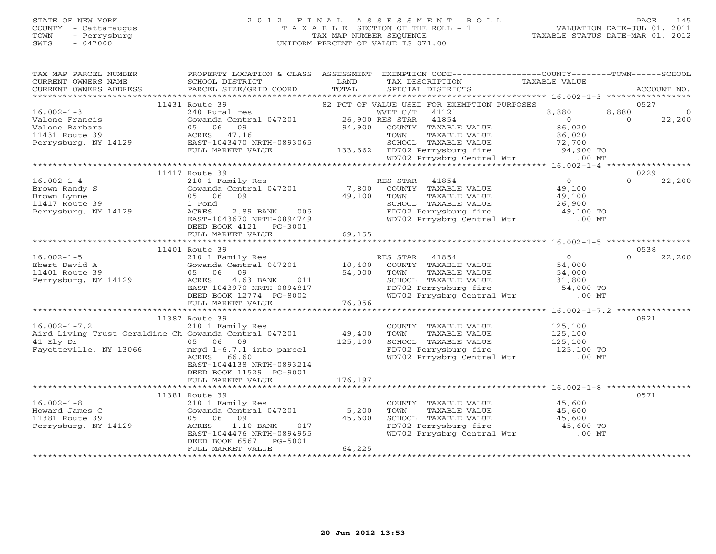## STATE OF NEW YORK 2 0 1 2 F I N A L A S S E S S M E N T R O L L PAGE 145 COUNTY - Cattaraugus T A X A B L E SECTION OF THE ROLL - 1 VALUATION DATE-JUL 01, 2011 TOWN - Perrysburg TAX MAP NUMBER SEQUENCE TAXABLE STATUS DATE-MAR 01, 2012 SWIS - 047000 UNIFORM PERCENT OF VALUE IS 071.00UNIFORM PERCENT OF VALUE IS 071.00

| TAX MAP PARCEL NUMBER<br>CURRENT OWNERS NAME<br>CURRENT OWNERS ADDRESS | PROPERTY LOCATION & CLASS ASSESSMENT<br>SCHOOL DISTRICT<br>PARCEL SIZE/GRID COORD | LAND<br>TOTAL | TAX DESCRIPTION<br>SPECIAL DISTRICTS                                                                  | TAXABLE VALUE  | EXEMPTION CODE-----------------COUNTY-------TOWN------SCHOOL<br>ACCOUNT NO. |
|------------------------------------------------------------------------|-----------------------------------------------------------------------------------|---------------|-------------------------------------------------------------------------------------------------------|----------------|-----------------------------------------------------------------------------|
|                                                                        |                                                                                   |               |                                                                                                       |                |                                                                             |
|                                                                        | 11431 Route 39                                                                    |               | 82 PCT OF VALUE USED FOR EXEMPTION PURPOSES                                                           |                | 0527                                                                        |
| $16.002 - 1 - 3$                                                       | 240 Rural res                                                                     |               | WVET C/T<br>41121                                                                                     | 8,880          | 8,880<br>$\circ$                                                            |
| Valone Francis                                                         | Gowanda Central 047201 26,900 RES STAR                                            |               | 41854                                                                                                 | $\overline{0}$ | $\Omega$<br>22,200                                                          |
| Valone Barbara                                                         | 05 06<br>09                                                                       | 94,900        | COUNTY TAXABLE VALUE                                                                                  | 86,020         |                                                                             |
| 11431 Route 39                                                         | ACRES 47.16                                                                       |               | TOWN<br>TAXABLE VALUE                                                                                 | 86,020         |                                                                             |
| Perrysburg, NY 14129                                                   | EAST-1043470 NRTH-0893065                                                         |               | SCHOOL TAXABLE VALUE                                                                                  | 72,700         |                                                                             |
|                                                                        | FULL MARKET VALUE                                                                 | 133,662       | FD702 Perrysburg fire 1997<br>WD702 Prrysbrg Central Wtr                                              | 94,900 TO      |                                                                             |
|                                                                        |                                                                                   |               |                                                                                                       |                | $.00$ MT                                                                    |
|                                                                        |                                                                                   |               |                                                                                                       |                |                                                                             |
|                                                                        | 11417 Route 39                                                                    |               |                                                                                                       |                | 0229                                                                        |
| $16.002 - 1 - 4$                                                       | 210 1 Family Res                                                                  |               | RES STAR 41854                                                                                        | $\overline{0}$ | $\Omega$<br>22,200                                                          |
| Brown Randy S                                                          | Gowanda Central 047201<br>09                                                      | 7,800         | COUNTY TAXABLE VALUE                                                                                  | 49,100         |                                                                             |
| Brown Lynne                                                            | 05 06                                                                             | 49,100        | TAXABLE VALUE<br>TOWN                                                                                 | 49,100         |                                                                             |
| 11417 Route 39                                                         | 1 Pond                                                                            | 005           | SCHOOL TAXABLE VALUE                                                                                  | 26,900         |                                                                             |
| Perrysburg, NY 14129                                                   | ACRES<br>2.89 BANK                                                                |               | FD702 Perrysburg fire                                                                                 | 49,100 TO      |                                                                             |
|                                                                        | EAST-1043670 NRTH-0894749                                                         |               | WD702 Prrysbrg Central Wtr .00 MT                                                                     |                |                                                                             |
|                                                                        | DEED BOOK 4121<br>PG-3001                                                         |               |                                                                                                       |                |                                                                             |
|                                                                        | FULL MARKET VALUE                                                                 | 69,155        |                                                                                                       |                |                                                                             |
|                                                                        | 11401 Route 39                                                                    |               |                                                                                                       |                | 0538                                                                        |
| $16.002 - 1 - 5$                                                       |                                                                                   |               | RES STAR<br>41854                                                                                     | $\overline{0}$ | 22,200<br>$\Omega$                                                          |
| Ebert David A                                                          | 210 1 Family Res<br>Gowanda Central 047201 10,400                                 |               | COUNTY TAXABLE VALUE                                                                                  | 54,000         |                                                                             |
| 11401 Route 39                                                         | 05 06 09                                                                          | 54,000        | TOWN<br>TAXABLE VALUE                                                                                 | 54,000         |                                                                             |
| Perrysburg, NY 14129                                                   |                                                                                   |               |                                                                                                       |                |                                                                             |
|                                                                        | ACRES 4.63 BANK 011<br>EAST-1043970 NRTH-0894817<br>DEED BOOK 12774 PG-8002       |               | SCHOOL TAXABLE VALUE 31,800<br>FD702 Perrysburg fire 54,000 TO<br>WD702 Prrysbrg Central Wtr .00 MT   |                |                                                                             |
|                                                                        |                                                                                   |               |                                                                                                       |                |                                                                             |
|                                                                        | FULL MARKET VALUE                                                                 | 76,056        |                                                                                                       |                |                                                                             |
|                                                                        |                                                                                   |               |                                                                                                       |                |                                                                             |
|                                                                        | 11387 Route 39                                                                    |               |                                                                                                       |                | 0921                                                                        |
| $16.002 - 1 - 7.2$                                                     | 210 1 Family Res                                                                  |               | COUNTY TAXABLE VALUE                                                                                  | 125,100        |                                                                             |
| Aird Living Trust Geraldine Ch Gowanda Central 047201                  |                                                                                   | 49,400        | TOWN<br>TAXABLE VALUE                                                                                 | 125,100        |                                                                             |
| 41 Ely Dr                                                              | 05 06 09                                                                          | 125,100       |                                                                                                       |                |                                                                             |
| Fayetteville, NY 13066                                                 | mrgd 1-6,7.1 into parcel                                                          |               |                                                                                                       |                |                                                                             |
|                                                                        | ACRES 66.60                                                                       |               | SCHOOL TAXABLE VALUE 125,100<br>FD702 Perrysburg fire 125,100 TO<br>WD702 Prrysbrg Central Wtr .00 MT |                |                                                                             |
|                                                                        | EAST-1044138 NRTH-0893214                                                         |               |                                                                                                       |                |                                                                             |
|                                                                        | DEED BOOK 11529 PG-9001                                                           |               |                                                                                                       |                |                                                                             |
|                                                                        | FULL MARKET VALUE                                                                 | 176,197       |                                                                                                       |                |                                                                             |
|                                                                        |                                                                                   |               |                                                                                                       |                |                                                                             |
|                                                                        | 11381 Route 39                                                                    |               |                                                                                                       |                | 0571                                                                        |
| $16.002 - 1 - 8$                                                       | 210 1 Family Res                                                                  |               | COUNTY TAXABLE VALUE                                                                                  | 45,600         |                                                                             |
| Howard James C                                                         | Gowanda Central 047201                                                            | 5,200         | TAXABLE VALUE<br>TOWN                                                                                 | 45,600         |                                                                             |
| 11381 Route 39                                                         | 05 06 09                                                                          | 45,600        |                                                                                                       | 45,600         |                                                                             |
| Perrysburg, NY 14129                                                   | $1.10$ BANK<br>017<br>ACRES                                                       |               | SCHOOL TAXABLE VALUE<br>FD702 Perrysburg fire                                                         | 45,600 TO      |                                                                             |
|                                                                        | EAST-1044476 NRTH-0894955                                                         |               | WD702 Prrysbrg Central Wtr                                                                            |                | $.00$ MT                                                                    |
|                                                                        | PG-5001<br>DEED BOOK 6567                                                         |               |                                                                                                       |                |                                                                             |
|                                                                        | FULL MARKET VALUE                                                                 | 64,225        |                                                                                                       |                |                                                                             |
|                                                                        |                                                                                   |               |                                                                                                       |                |                                                                             |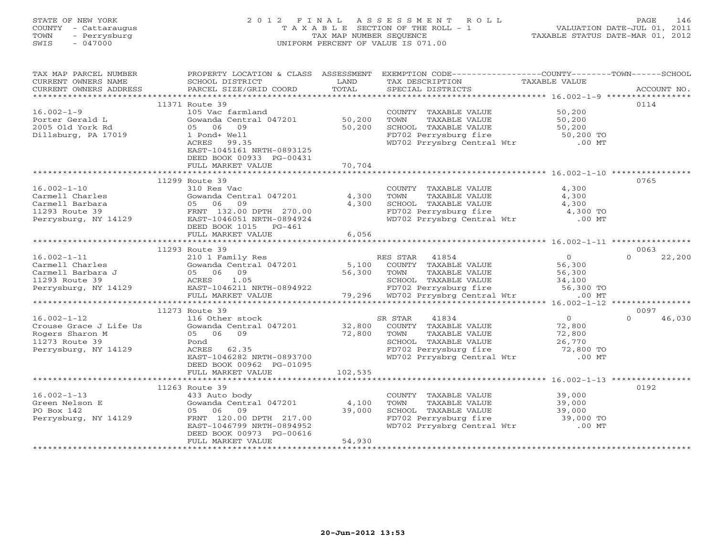# STATE OF NEW YORK 2 0 1 2 F I N A L A S S E S S M E N T R O L L PAGE 146 COUNTY - Cattaraugus T A X A B L E SECTION OF THE ROLL - 1 VALUATION DATE-JUL 01, 2011 TOWN - Perrysburg TAX MAP NUMBER SEQUENCE TAXABLE STATUS DATE-MAR 01, 2012 SWIS - 047000 UNIFORM PERCENT OF VALUE IS 071.00UNIFORM PERCENT OF VALUE IS 071.00

| TAX MAP PARCEL NUMBER<br>CURRENT OWNERS NAME<br>CURRENT OWNERS ADDRESS | PROPERTY LOCATION & CLASS ASSESSMENT EXEMPTION CODE----------------COUNTY-------TOWN------SCHOOL<br>SCHOOL DISTRICT<br>PARCEL SIZE/GRID COORD                                                                                                                                         | LAND<br>TOTAL | TAX DESCRIPTION TAXABLE VALUE SPECIAL DISTRICTS                                                                                  |                  | ACCOUNT NO.        |
|------------------------------------------------------------------------|---------------------------------------------------------------------------------------------------------------------------------------------------------------------------------------------------------------------------------------------------------------------------------------|---------------|----------------------------------------------------------------------------------------------------------------------------------|------------------|--------------------|
|                                                                        |                                                                                                                                                                                                                                                                                       |               |                                                                                                                                  |                  |                    |
|                                                                        | 11371 Route 39                                                                                                                                                                                                                                                                        |               |                                                                                                                                  |                  | 0114               |
| $16.002 - 1 - 9$                                                       | 105 Vac farmland                                                                                                                                                                                                                                                                      |               | COUNTY TAXABLE VALUE                                                                                                             | 50,200           |                    |
| Porter Gerald L                                                        | Gowanda Central 047201 50,200                                                                                                                                                                                                                                                         |               | TOWN<br>TAXABLE VALUE                                                                                                            | 50,200           |                    |
| 2005 Old York Rd                                                       | 05 06 09                                                                                                                                                                                                                                                                              | 50,200        |                                                                                                                                  |                  |                    |
| Dillsburg, PA 17019                                                    | 1 Pond+ Well                                                                                                                                                                                                                                                                          |               |                                                                                                                                  |                  |                    |
|                                                                        | ACRES 99.35                                                                                                                                                                                                                                                                           |               | SCHOOL TAXABLE VALUE<br>FD702 Perrysburg fire 50,200 TO<br>WD702 Prrysbrg Central Wtr .00 MT                                     |                  |                    |
|                                                                        | EAST-1045161 NRTH-0893125                                                                                                                                                                                                                                                             |               |                                                                                                                                  |                  |                    |
|                                                                        | DEED BOOK 00933 PG-00431                                                                                                                                                                                                                                                              |               |                                                                                                                                  |                  |                    |
|                                                                        | FULL MARKET VALUE                                                                                                                                                                                                                                                                     | 70,704        |                                                                                                                                  |                  |                    |
|                                                                        |                                                                                                                                                                                                                                                                                       |               |                                                                                                                                  |                  |                    |
|                                                                        | 11299 Route 39                                                                                                                                                                                                                                                                        |               |                                                                                                                                  |                  | 0765               |
| $16.002 - 1 - 10$                                                      | 310 Res Vac<br>10.002-1-10<br>Carmell Charles<br>Carmell Barbara<br>11293 Route 39<br>Perrysburg, NY 14129<br>270.00<br>Perrysburg, NY 14129<br>270.00<br>270.00<br>270.00<br>270.00<br>270.00<br>270.00<br>270.00<br>270.00<br>270.00<br>270.00<br>270.00<br>270.00<br>270.00<br>270 |               | COUNTY TAXABLE VALUE                                                                                                             | 4,300            |                    |
|                                                                        | Gowanda Central 047201 4,300                                                                                                                                                                                                                                                          |               | TOWN<br>TAXABLE VALUE                                                                                                            | 4,300            |                    |
|                                                                        |                                                                                                                                                                                                                                                                                       | 4,300         | SCHOOL TAXABLE VALUE 4,300<br>FD702 Perrysburg fire 4,300 TO<br>WD702 Prrysbrg Central Wtr .00 MT                                |                  |                    |
|                                                                        |                                                                                                                                                                                                                                                                                       |               |                                                                                                                                  |                  |                    |
|                                                                        |                                                                                                                                                                                                                                                                                       |               |                                                                                                                                  |                  |                    |
|                                                                        | DEED BOOK 1015 PG-461                                                                                                                                                                                                                                                                 |               |                                                                                                                                  |                  |                    |
|                                                                        |                                                                                                                                                                                                                                                                                       | 6,056         |                                                                                                                                  |                  |                    |
|                                                                        | 11293 Route 39                                                                                                                                                                                                                                                                        |               |                                                                                                                                  |                  | 0063               |
|                                                                        |                                                                                                                                                                                                                                                                                       |               |                                                                                                                                  |                  |                    |
|                                                                        |                                                                                                                                                                                                                                                                                       |               |                                                                                                                                  |                  |                    |
|                                                                        |                                                                                                                                                                                                                                                                                       |               |                                                                                                                                  |                  |                    |
|                                                                        |                                                                                                                                                                                                                                                                                       |               |                                                                                                                                  |                  |                    |
|                                                                        |                                                                                                                                                                                                                                                                                       |               |                                                                                                                                  |                  |                    |
|                                                                        |                                                                                                                                                                                                                                                                                       |               |                                                                                                                                  |                  |                    |
|                                                                        |                                                                                                                                                                                                                                                                                       |               |                                                                                                                                  |                  |                    |
|                                                                        | 11273 Route 39                                                                                                                                                                                                                                                                        |               |                                                                                                                                  |                  | 0097               |
| $16.002 - 1 - 12$                                                      | 116 Other stock                                                                                                                                                                                                                                                                       |               | 41834<br>SR STAR                                                                                                                 | $\overline{O}$   | $\Omega$<br>46,030 |
| Crouse Grace J Life Us                                                 | Gowanda Central 047201 32,800                                                                                                                                                                                                                                                         |               | COUNTY TAXABLE VALUE                                                                                                             | 72,800           |                    |
| Rogers Sharon M                                                        | 05 06 09                                                                                                                                                                                                                                                                              | 72,800        |                                                                                                                                  |                  |                    |
| 11273 Route 39                                                         | Pond                                                                                                                                                                                                                                                                                  |               |                                                                                                                                  |                  |                    |
| Perrysburg, NY 14129                                                   | ACRES 62.35                                                                                                                                                                                                                                                                           |               | TOWN TAXABLE VALUE 72,800<br>SCHOOL TAXABLE VALUE 26,770<br>FD702 Perrysburg fire 72,800 TO<br>WD702 Prrysbrg Central Wtr .00 MT |                  |                    |
|                                                                        | EAST-1046282 NRTH-0893700                                                                                                                                                                                                                                                             |               |                                                                                                                                  |                  |                    |
|                                                                        | DEED BOOK 00962 PG-01095                                                                                                                                                                                                                                                              |               |                                                                                                                                  |                  |                    |
|                                                                        | FULL MARKET VALUE                                                                                                                                                                                                                                                                     | 102,535       |                                                                                                                                  |                  |                    |
|                                                                        |                                                                                                                                                                                                                                                                                       |               |                                                                                                                                  |                  |                    |
|                                                                        | 11263 Route 39                                                                                                                                                                                                                                                                        |               |                                                                                                                                  |                  | 0192               |
| $16.002 - 1 - 13$                                                      | 433 Auto body                                                                                                                                                                                                                                                                         |               |                                                                                                                                  |                  |                    |
| Green Nelson E                                                         | Gowanda Central $047201$ 4,100                                                                                                                                                                                                                                                        |               | COUNTY TAXABLE VALUE<br>TOWN       TAXABLE VALUE                                                                                 | 39,000<br>39,000 |                    |
| PO Box 142                                                             | 05 06 09                                                                                                                                                                                                                                                                              | 39,000        |                                                                                                                                  |                  |                    |
| Perrysburg, NY 14129                                                   | FRNT 120.00 DPTH 217.00                                                                                                                                                                                                                                                               |               | SCHOOL TAXABLE VALUE 39,000<br>FD702 Perrysburg fire 39,000 TO                                                                   |                  |                    |
|                                                                        | EAST-1046799 NRTH-0894952                                                                                                                                                                                                                                                             |               | WD702 Prrysbrg Central Wtr .00 MT                                                                                                |                  |                    |
|                                                                        | DEED BOOK 00973 PG-00616                                                                                                                                                                                                                                                              |               |                                                                                                                                  |                  |                    |
|                                                                        | FULL MARKET VALUE                                                                                                                                                                                                                                                                     | 54,930        |                                                                                                                                  |                  |                    |
|                                                                        |                                                                                                                                                                                                                                                                                       |               |                                                                                                                                  |                  |                    |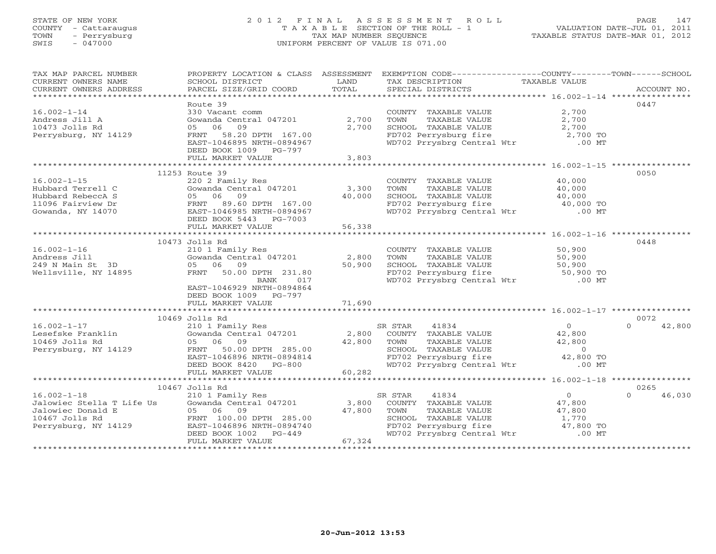# STATE OF NEW YORK 2 0 1 2 F I N A L A S S E S S M E N T R O L L PAGE 147 COUNTY - Cattaraugus T A X A B L E SECTION OF THE ROLL - 1 VALUATION DATE-JUL 01, 2011 TOWN - Perrysburg TAX MAP NUMBER SEQUENCE TAXABLE STATUS DATE-MAR 01, 2012 SWIS - 047000 UNIFORM PERCENT OF VALUE IS 071.00UNIFORM PERCENT OF VALUE IS 071.00

| TAX MAP PARCEL NUMBER<br>CURRENT OWNERS NAME                                  | PROPERTY LOCATION & CLASS ASSESSMENT EXEMPTION CODE----------------COUNTY-------TOWN------SCHOOL<br>SCHOOL DISTRICT | LAND           | TAX DESCRIPTION                                                                                                                                       | TAXABLE VALUE                                   |                    |
|-------------------------------------------------------------------------------|---------------------------------------------------------------------------------------------------------------------|----------------|-------------------------------------------------------------------------------------------------------------------------------------------------------|-------------------------------------------------|--------------------|
| CURRENT OWNERS ADDRESS                                                        | PARCEL SIZE/GRID COORD                                                                                              | TOTAL          | SPECIAL DISTRICTS                                                                                                                                     |                                                 | ACCOUNT NO.        |
|                                                                               | Route 39                                                                                                            |                |                                                                                                                                                       |                                                 | 0447               |
| $16.002 - 1 - 14$<br>Andress Jill A<br>10473 Jolls Rd<br>Perrysburg, NY 14129 | 330 Vacant comm<br>Gowanda Central 047201<br>06<br>09<br>05<br>FRNT 58.20 DPTH 167.00<br>EAST-1046895 NRTH-0894967  | 2,700<br>2,700 | COUNTY TAXABLE VALUE<br>TOWN<br>TAXABLE VALUE<br>SCHOOL TAXABLE VALUE<br>FD702 Perrysburg fire<br>WD702 Perrysburg fire<br>WD702 Prrysbrg Central Wtr | 2,700<br>2,700<br>2,700<br>2,700 TO<br>$.00$ MT |                    |
|                                                                               | DEED BOOK 1009 PG-797                                                                                               |                |                                                                                                                                                       |                                                 |                    |
|                                                                               | FULL MARKET VALUE                                                                                                   | 3,803          |                                                                                                                                                       |                                                 |                    |
|                                                                               | 11253 Route 39                                                                                                      |                |                                                                                                                                                       |                                                 | 0050               |
| $16.002 - 1 - 15$                                                             | 220 2 Family Res                                                                                                    |                | COUNTY TAXABLE VALUE                                                                                                                                  | 40,000                                          |                    |
| Hubbard Terrell C                                                             | Gowanda Central 047201                                                                                              | 3,300          | TOWN<br>TAXABLE VALUE                                                                                                                                 | 40,000                                          |                    |
| Hubbard RebeccA S                                                             | 09<br>05 06                                                                                                         | 40,000         |                                                                                                                                                       |                                                 |                    |
| 11096 Fairview Dr                                                             | 89.60 DPTH 167.00<br>FRNT                                                                                           |                | SCHOOL TAXABLE VALUE 40,000<br>FD702 Perrysburg fire 40,000 TO                                                                                        |                                                 |                    |
| Gowanda, NY 14070                                                             | EAST-1046985 NRTH-0894967                                                                                           |                | WD702 Prrysbrg Central Wtr .00 MT                                                                                                                     |                                                 |                    |
|                                                                               | DEED BOOK 5443 PG-7003                                                                                              |                |                                                                                                                                                       |                                                 |                    |
|                                                                               | FULL MARKET VALUE                                                                                                   | 56,338         |                                                                                                                                                       |                                                 |                    |
|                                                                               |                                                                                                                     |                |                                                                                                                                                       |                                                 |                    |
| $16.002 - 1 - 16$                                                             | 10473 Jolls Rd<br>210 1 Family Res                                                                                  |                | COUNTY TAXABLE VALUE                                                                                                                                  | 50,900                                          | 0448               |
| Andress Jill                                                                  | Gowanda Central 047201                                                                                              | 2,800          | TOWN<br>TAXABLE VALUE                                                                                                                                 | 50,900                                          |                    |
| 249 N Main St 3D                                                              | 05 06<br>09                                                                                                         | 50,900         | SCHOOL TAXABLE VALUE                                                                                                                                  | 50,900                                          |                    |
| Wellsville, NY 14895                                                          | FRNT 50.00 DPTH 231.80                                                                                              |                |                                                                                                                                                       |                                                 |                    |
|                                                                               | 017<br>BANK                                                                                                         |                | FD702 Perrysburg fire 50,900 TO<br>WD702 Prrysbrg Central Wtr 60,900 TO                                                                               |                                                 |                    |
|                                                                               | EAST-1046929 NRTH-0894864                                                                                           |                |                                                                                                                                                       |                                                 |                    |
|                                                                               | DEED BOOK 1009 PG-797                                                                                               |                |                                                                                                                                                       |                                                 |                    |
|                                                                               | FULL MARKET VALUE                                                                                                   | 71,690         |                                                                                                                                                       |                                                 |                    |
|                                                                               |                                                                                                                     |                |                                                                                                                                                       |                                                 |                    |
|                                                                               | 10469 Jolls Rd                                                                                                      |                |                                                                                                                                                       |                                                 | 0072               |
| $16.002 - 1 - 17$                                                             | 210 1 Family Res                                                                                                    |                | SR STAR<br>41834                                                                                                                                      | $\overline{0}$                                  | $\Omega$<br>42,800 |
| Lesefske Franklin                                                             | Gowanda Central 047201                                                                                              | 2,800          | COUNTY TAXABLE VALUE                                                                                                                                  | 42,800                                          |                    |
| 10469 Jolls Rd                                                                | 05 06 09                                                                                                            | 42,800         | TOWN TAXABLE VALUE 42,800<br>SCHOOL TAXABLE VALUE 0<br>FD702 Perrysburg fire 42,800 TO                                                                |                                                 |                    |
| Perrysburg, NY 14129                                                          | 50.00 DPTH 285.00<br>FRNT                                                                                           |                |                                                                                                                                                       |                                                 |                    |
|                                                                               | EAST-1046896 NRTH-0894814<br>DEED BOOK 8420 PG-800                                                                  |                | WD702 Prrysbrg Central Wtr .00 MT                                                                                                                     |                                                 |                    |
|                                                                               | FULL MARKET VALUE                                                                                                   | 60,282         |                                                                                                                                                       |                                                 |                    |
|                                                                               |                                                                                                                     |                |                                                                                                                                                       |                                                 |                    |
|                                                                               | 10467 Jolls Rd                                                                                                      |                |                                                                                                                                                       |                                                 | 0265               |
| $16.002 - 1 - 18$                                                             |                                                                                                                     |                | SR STAR<br>41834                                                                                                                                      | $\overline{O}$                                  | $\Omega$<br>46,030 |
|                                                                               | 210 1 Family Res<br>Gowanda Central 047201                                                                          | 3,800          | COUNTY TAXABLE VALUE                                                                                                                                  | 47,800                                          |                    |
| Jalowiec Stella T Life Us<br>Jalowiec Donald E<br>10467 Jolls Rd              | 05 06<br>09                                                                                                         | 47,800         | TOWN<br>TAXABLE VALUE                                                                                                                                 | 47,800                                          |                    |
|                                                                               | FRNT 100.00 DPTH 285.00                                                                                             |                |                                                                                                                                                       |                                                 |                    |
| Perrysburg, NY 14129                                                          | EAST-1046896 NRTH-0894740                                                                                           |                | SCHOOL TAXABLE VALUE 1,770<br>FD702 Perrysburg fire 17,800 TO                                                                                         |                                                 |                    |
|                                                                               | DEED BOOK 1002<br>PG-449                                                                                            |                | WD702 Prrysbrg Central Wtr                                                                                                                            | $.00$ MT                                        |                    |
|                                                                               | FULL MARKET VALUE                                                                                                   | 67,324         |                                                                                                                                                       |                                                 |                    |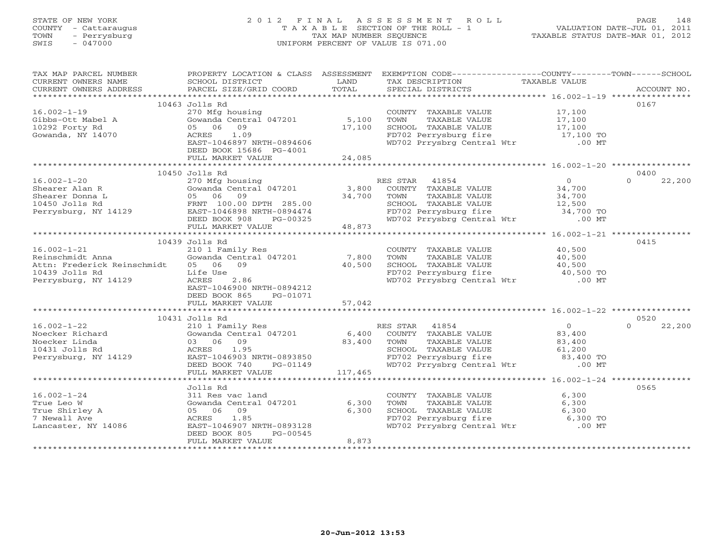# STATE OF NEW YORK 2 0 1 2 F I N A L A S S E S S M E N T R O L L PAGE 148 COUNTY - Cattaraugus T A X A B L E SECTION OF THE ROLL - 1 VALUATION DATE-JUL 01, 2011 TOWN - Perrysburg TAX MAP NUMBER SEQUENCE TAXABLE STATUS DATE-MAR 01, 2012 SWIS - 047000 UNIFORM PERCENT OF VALUE IS 071.00UNIFORM PERCENT OF VALUE IS 071.00

| TAX MAP PARCEL NUMBER                                                                                                                                                                                                                                                                                                                                                                                                                                                          | PROPERTY LOCATION & CLASS ASSESSMENT EXEMPTION CODE----------------COUNTY-------TOWN------SCHOOL                                                                                                                                         |       |                                                                                                                                  |          |      |
|--------------------------------------------------------------------------------------------------------------------------------------------------------------------------------------------------------------------------------------------------------------------------------------------------------------------------------------------------------------------------------------------------------------------------------------------------------------------------------|------------------------------------------------------------------------------------------------------------------------------------------------------------------------------------------------------------------------------------------|-------|----------------------------------------------------------------------------------------------------------------------------------|----------|------|
| $\begin{tabular}{lllllll} \multicolumn{2}{c}{\textbf{CURRENT}} & \multicolumn{2}{c}{\textbf{WNERS}} & \multicolumn{2}{c}{\textbf{NAME}} & \multicolumn{2}{c}{\textbf{SCHOOL}} & \multicolumn{2}{c}{\textbf{LAND}} & \multicolumn{2}{c}{\textbf{TAX} \textbf{DESCRIPTION}} & \multicolumn{2}{c}{\textbf{TAXABLE} \textbf{ VALUE}} & \multicolumn{2}{c}{\textbf{NALUE}} \\ & & & & & & & \multicolumn{2}{c}{\textbf{CURRENT}} & \multicolumn{2}{c}{\textbf{WURERS} \textbf{ ADD$ |                                                                                                                                                                                                                                          |       |                                                                                                                                  |          |      |
|                                                                                                                                                                                                                                                                                                                                                                                                                                                                                |                                                                                                                                                                                                                                          |       |                                                                                                                                  |          |      |
|                                                                                                                                                                                                                                                                                                                                                                                                                                                                                |                                                                                                                                                                                                                                          |       |                                                                                                                                  |          |      |
|                                                                                                                                                                                                                                                                                                                                                                                                                                                                                | 10463 Jolls Rd                                                                                                                                                                                                                           |       |                                                                                                                                  |          | 0167 |
| $16.002 - 1 - 19$<br>16.002-1-19<br>Gibbs-Ott Mabel A<br>10292 Forty Rd<br>Gowanda, NY 14070                                                                                                                                                                                                                                                                                                                                                                                   | UCLINE NOTE:<br>270 Mfg housing<br>Gowanda Central 047201 5,100 TOWN TAXABLE VALUE 17,100<br>05 06 09 17,100 SCHOOL TAXABLE VALUE 17,100<br>ACRES 1.09 17,100 FD702 Perrysburg fire 17,100 TO<br>EAST-1046897 NRTH-0894606 MD702 Prrysbr |       |                                                                                                                                  |          |      |
|                                                                                                                                                                                                                                                                                                                                                                                                                                                                                |                                                                                                                                                                                                                                          |       |                                                                                                                                  |          |      |
|                                                                                                                                                                                                                                                                                                                                                                                                                                                                                |                                                                                                                                                                                                                                          |       |                                                                                                                                  |          |      |
| Gowanda, NY 14070                                                                                                                                                                                                                                                                                                                                                                                                                                                              |                                                                                                                                                                                                                                          |       |                                                                                                                                  |          |      |
|                                                                                                                                                                                                                                                                                                                                                                                                                                                                                |                                                                                                                                                                                                                                          |       |                                                                                                                                  |          |      |
|                                                                                                                                                                                                                                                                                                                                                                                                                                                                                | DEED BOOK 15686 PG-4001                                                                                                                                                                                                                  |       |                                                                                                                                  |          |      |
|                                                                                                                                                                                                                                                                                                                                                                                                                                                                                |                                                                                                                                                                                                                                          |       |                                                                                                                                  |          |      |
|                                                                                                                                                                                                                                                                                                                                                                                                                                                                                |                                                                                                                                                                                                                                          |       |                                                                                                                                  |          |      |
|                                                                                                                                                                                                                                                                                                                                                                                                                                                                                | 10450 Jolls Rd                                                                                                                                                                                                                           |       |                                                                                                                                  |          | 0400 |
|                                                                                                                                                                                                                                                                                                                                                                                                                                                                                |                                                                                                                                                                                                                                          |       |                                                                                                                                  |          |      |
|                                                                                                                                                                                                                                                                                                                                                                                                                                                                                |                                                                                                                                                                                                                                          |       |                                                                                                                                  |          |      |
|                                                                                                                                                                                                                                                                                                                                                                                                                                                                                |                                                                                                                                                                                                                                          |       |                                                                                                                                  |          |      |
|                                                                                                                                                                                                                                                                                                                                                                                                                                                                                |                                                                                                                                                                                                                                          |       |                                                                                                                                  |          |      |
|                                                                                                                                                                                                                                                                                                                                                                                                                                                                                |                                                                                                                                                                                                                                          |       |                                                                                                                                  |          |      |
|                                                                                                                                                                                                                                                                                                                                                                                                                                                                                |                                                                                                                                                                                                                                          |       |                                                                                                                                  |          |      |
|                                                                                                                                                                                                                                                                                                                                                                                                                                                                                |                                                                                                                                                                                                                                          |       |                                                                                                                                  |          |      |
|                                                                                                                                                                                                                                                                                                                                                                                                                                                                                | 10439 Jolls Rd                                                                                                                                                                                                                           |       |                                                                                                                                  |          | 0415 |
| 16.002-1-21<br>Reinschmidt Anna (210 1 Family Res<br>Reinschmidt Anna (600 1047201)<br>210 1 Family Res<br>(600 1047201)<br>2.06 09<br>2.86<br>Perrysburg, NY 14129<br>2.86                                                                                                                                                                                                                                                                                                    |                                                                                                                                                                                                                                          |       | COUNTY TAXABLE VALUE 40,500                                                                                                      |          |      |
|                                                                                                                                                                                                                                                                                                                                                                                                                                                                                |                                                                                                                                                                                                                                          |       |                                                                                                                                  |          |      |
|                                                                                                                                                                                                                                                                                                                                                                                                                                                                                |                                                                                                                                                                                                                                          |       |                                                                                                                                  |          |      |
|                                                                                                                                                                                                                                                                                                                                                                                                                                                                                |                                                                                                                                                                                                                                          |       |                                                                                                                                  |          |      |
| 10439 Jolls Rd<br>Perrysburg, NY 14129                                                                                                                                                                                                                                                                                                                                                                                                                                         | ACRES<br>2.86                                                                                                                                                                                                                            |       | TOWN TAXABLE VALUE 40,500<br>SCHOOL TAXABLE VALUE 40,500<br>FD702 Perrysburg fire 40,500 TO<br>WD702 Prrysbrg Central Wtr .00 MT |          |      |
|                                                                                                                                                                                                                                                                                                                                                                                                                                                                                | EAST-1046900 NRTH-0894212                                                                                                                                                                                                                |       |                                                                                                                                  |          |      |
|                                                                                                                                                                                                                                                                                                                                                                                                                                                                                | DEED BOOK 865<br>PG-01071                                                                                                                                                                                                                |       |                                                                                                                                  |          |      |
|                                                                                                                                                                                                                                                                                                                                                                                                                                                                                |                                                                                                                                                                                                                                          |       |                                                                                                                                  |          |      |
|                                                                                                                                                                                                                                                                                                                                                                                                                                                                                |                                                                                                                                                                                                                                          |       |                                                                                                                                  |          |      |
|                                                                                                                                                                                                                                                                                                                                                                                                                                                                                | 10431 Jolls Rd                                                                                                                                                                                                                           |       |                                                                                                                                  |          | 0520 |
|                                                                                                                                                                                                                                                                                                                                                                                                                                                                                |                                                                                                                                                                                                                                          |       |                                                                                                                                  |          |      |
|                                                                                                                                                                                                                                                                                                                                                                                                                                                                                |                                                                                                                                                                                                                                          |       |                                                                                                                                  |          |      |
|                                                                                                                                                                                                                                                                                                                                                                                                                                                                                |                                                                                                                                                                                                                                          |       |                                                                                                                                  |          |      |
|                                                                                                                                                                                                                                                                                                                                                                                                                                                                                |                                                                                                                                                                                                                                          |       |                                                                                                                                  |          |      |
|                                                                                                                                                                                                                                                                                                                                                                                                                                                                                |                                                                                                                                                                                                                                          |       |                                                                                                                                  |          |      |
|                                                                                                                                                                                                                                                                                                                                                                                                                                                                                |                                                                                                                                                                                                                                          |       |                                                                                                                                  |          |      |
|                                                                                                                                                                                                                                                                                                                                                                                                                                                                                |                                                                                                                                                                                                                                          |       |                                                                                                                                  |          |      |
|                                                                                                                                                                                                                                                                                                                                                                                                                                                                                |                                                                                                                                                                                                                                          |       |                                                                                                                                  |          |      |
|                                                                                                                                                                                                                                                                                                                                                                                                                                                                                | Jolls Rd                                                                                                                                                                                                                                 |       |                                                                                                                                  |          | 0565 |
| $16.002 - 1 - 24$                                                                                                                                                                                                                                                                                                                                                                                                                                                              | 311 Res vac land<br>Gowanda Central 047201 6,300                                                                                                                                                                                         |       | COUNTY TAXABLE VALUE<br>TOWN TAXABLE VALUE                                                                                       | 6,300    |      |
| True Leo W                                                                                                                                                                                                                                                                                                                                                                                                                                                                     |                                                                                                                                                                                                                                          |       |                                                                                                                                  | 6,300    |      |
| True Shirley A<br>7 Newall Ave                                                                                                                                                                                                                                                                                                                                                                                                                                                 | 05 06 09                                                                                                                                                                                                                                 | 6,300 | SCHOOL TAXABLE VALUE 6,300<br>FD702 Perrysburg fire 6,300 TO                                                                     |          |      |
| 7 Newall Ave                                                                                                                                                                                                                                                                                                                                                                                                                                                                   | ACRES 1.85                                                                                                                                                                                                                               |       |                                                                                                                                  |          |      |
| Lancaster, NY 14086                                                                                                                                                                                                                                                                                                                                                                                                                                                            | EAST-1046907 NRTH-0893128                                                                                                                                                                                                                |       | WD702 Prrysbrg Central Wtr                                                                                                       | $.00$ MT |      |
|                                                                                                                                                                                                                                                                                                                                                                                                                                                                                | DEED BOOK 805<br>PG-00545                                                                                                                                                                                                                |       |                                                                                                                                  |          |      |
|                                                                                                                                                                                                                                                                                                                                                                                                                                                                                | FULL MARKET VALUE                                                                                                                                                                                                                        | 8,873 |                                                                                                                                  |          |      |
|                                                                                                                                                                                                                                                                                                                                                                                                                                                                                |                                                                                                                                                                                                                                          |       |                                                                                                                                  |          |      |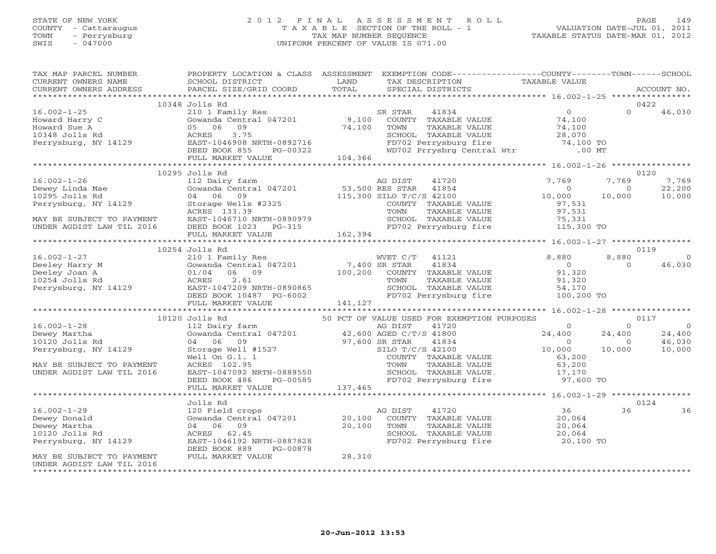# STATE OF NEW YORK 2 0 1 2 F I N A L A S S E S S M E N T R O L L PAGE 149 COUNTY - Cattaraugus T A X A B L E SECTION OF THE ROLL - 1 VALUATION DATE-JUL 01, 2011 TOWN - Perrysburg TAX MAP NUMBER SEQUENCE TAXABLE STATUS DATE-MAR 01, 2012 SWIS - 047000 UNIFORM PERCENT OF VALUE IS 071.00

| TAX MAP PARCEL NUMBER                                                                                                                                                                                                                                                                                                                           | PROPERTY LOCATION & CLASS ASSESSMENT                                                                                                                                                                                                                 |        | EXEMPTION CODE----------------COUNTY-------TOWN------SCHOOL |  |       |
|-------------------------------------------------------------------------------------------------------------------------------------------------------------------------------------------------------------------------------------------------------------------------------------------------------------------------------------------------|------------------------------------------------------------------------------------------------------------------------------------------------------------------------------------------------------------------------------------------------------|--------|-------------------------------------------------------------|--|-------|
|                                                                                                                                                                                                                                                                                                                                                 |                                                                                                                                                                                                                                                      |        |                                                             |  |       |
| $\begin{tabular}{lllllllllllllllllllll} \multicolumn{3}{l}{} & 10348\, \, 10118\, \, \mathrm{Rd} & 10348\, \, 10118\, \, \mathrm{Rd} & 10348\, \, 1011\, \, \mathrm{Rm} & 10348\, \, 1011\, \, \mathrm{Rm} & 10348\, \, \mathrm{Gow} & 10348\, \, \mathrm{Gow} & 10348\, \, \mathrm{Gow} & 10348\, \, \mathrm{Gow} & 10348\, \, \mathrm{Gow} &$ | 10348 Jolls Rd                                                                                                                                                                                                                                       |        |                                                             |  | 0422  |
|                                                                                                                                                                                                                                                                                                                                                 |                                                                                                                                                                                                                                                      |        |                                                             |  |       |
|                                                                                                                                                                                                                                                                                                                                                 |                                                                                                                                                                                                                                                      |        |                                                             |  |       |
|                                                                                                                                                                                                                                                                                                                                                 |                                                                                                                                                                                                                                                      |        |                                                             |  |       |
|                                                                                                                                                                                                                                                                                                                                                 |                                                                                                                                                                                                                                                      |        |                                                             |  |       |
|                                                                                                                                                                                                                                                                                                                                                 |                                                                                                                                                                                                                                                      |        |                                                             |  |       |
|                                                                                                                                                                                                                                                                                                                                                 |                                                                                                                                                                                                                                                      |        |                                                             |  |       |
|                                                                                                                                                                                                                                                                                                                                                 |                                                                                                                                                                                                                                                      |        |                                                             |  |       |
|                                                                                                                                                                                                                                                                                                                                                 | 10295 Jolls Rd                                                                                                                                                                                                                                       |        |                                                             |  | 0120  |
|                                                                                                                                                                                                                                                                                                                                                 |                                                                                                                                                                                                                                                      |        |                                                             |  |       |
|                                                                                                                                                                                                                                                                                                                                                 |                                                                                                                                                                                                                                                      |        |                                                             |  |       |
|                                                                                                                                                                                                                                                                                                                                                 |                                                                                                                                                                                                                                                      |        |                                                             |  |       |
|                                                                                                                                                                                                                                                                                                                                                 |                                                                                                                                                                                                                                                      |        |                                                             |  |       |
|                                                                                                                                                                                                                                                                                                                                                 |                                                                                                                                                                                                                                                      |        |                                                             |  |       |
|                                                                                                                                                                                                                                                                                                                                                 |                                                                                                                                                                                                                                                      |        |                                                             |  |       |
|                                                                                                                                                                                                                                                                                                                                                 |                                                                                                                                                                                                                                                      |        |                                                             |  |       |
|                                                                                                                                                                                                                                                                                                                                                 |                                                                                                                                                                                                                                                      |        |                                                             |  |       |
|                                                                                                                                                                                                                                                                                                                                                 | 10254 Jolls Rd                                                                                                                                                                                                                                       |        |                                                             |  | 0119  |
|                                                                                                                                                                                                                                                                                                                                                 |                                                                                                                                                                                                                                                      |        |                                                             |  |       |
|                                                                                                                                                                                                                                                                                                                                                 |                                                                                                                                                                                                                                                      |        |                                                             |  |       |
|                                                                                                                                                                                                                                                                                                                                                 |                                                                                                                                                                                                                                                      |        |                                                             |  |       |
|                                                                                                                                                                                                                                                                                                                                                 |                                                                                                                                                                                                                                                      |        |                                                             |  |       |
|                                                                                                                                                                                                                                                                                                                                                 |                                                                                                                                                                                                                                                      |        |                                                             |  |       |
|                                                                                                                                                                                                                                                                                                                                                 |                                                                                                                                                                                                                                                      |        |                                                             |  |       |
|                                                                                                                                                                                                                                                                                                                                                 |                                                                                                                                                                                                                                                      |        |                                                             |  |       |
|                                                                                                                                                                                                                                                                                                                                                 |                                                                                                                                                                                                                                                      |        |                                                             |  |       |
|                                                                                                                                                                                                                                                                                                                                                 |                                                                                                                                                                                                                                                      |        |                                                             |  |       |
|                                                                                                                                                                                                                                                                                                                                                 |                                                                                                                                                                                                                                                      |        |                                                             |  |       |
|                                                                                                                                                                                                                                                                                                                                                 |                                                                                                                                                                                                                                                      |        |                                                             |  |       |
|                                                                                                                                                                                                                                                                                                                                                 |                                                                                                                                                                                                                                                      |        |                                                             |  |       |
|                                                                                                                                                                                                                                                                                                                                                 |                                                                                                                                                                                                                                                      |        |                                                             |  |       |
|                                                                                                                                                                                                                                                                                                                                                 |                                                                                                                                                                                                                                                      |        |                                                             |  |       |
|                                                                                                                                                                                                                                                                                                                                                 |                                                                                                                                                                                                                                                      |        |                                                             |  |       |
|                                                                                                                                                                                                                                                                                                                                                 |                                                                                                                                                                                                                                                      |        |                                                             |  |       |
|                                                                                                                                                                                                                                                                                                                                                 |                                                                                                                                                                                                                                                      |        |                                                             |  |       |
| 10120 Jolls Rd<br>10120 Jolls Rd<br>10120 Jolls Rd<br>10120 Jolls Rd<br>10120 Jolls Rd<br>10120 Jolls Rd<br>1020 Jolls Rd<br>24,400<br>1020 Jolls Rd<br>1020 Jolls Rd<br>24,400<br>1020 Jolls Rd<br>1020 Jolls Rd<br>24,400<br>1020 Jolls Rd<br>1020 Jolls R                                                                                    |                                                                                                                                                                                                                                                      |        |                                                             |  |       |
|                                                                                                                                                                                                                                                                                                                                                 | Jolls Rd                                                                                                                                                                                                                                             |        |                                                             |  | 0124  |
| $16.002 - 1 - 29$                                                                                                                                                                                                                                                                                                                               |                                                                                                                                                                                                                                                      |        |                                                             |  | 36 36 |
| Dewey Donald                                                                                                                                                                                                                                                                                                                                    | 36<br>20 Field crops<br>Gowanda Central 047201<br>20,100 COUNTY TAXABLE VALUE<br>20,064<br>20,100 TOWN TAXABLE VALUE<br>20,064<br>20,064<br>EAST-1046192 NRTH-0887828<br>EAST-1046192 NRTH-0887828<br>EAST-1046192 NRTH-0887828<br>EAST-1046192 NRTH |        |                                                             |  |       |
| Dewey Martha                                                                                                                                                                                                                                                                                                                                    |                                                                                                                                                                                                                                                      |        |                                                             |  |       |
| 10120 Jolls Rd                                                                                                                                                                                                                                                                                                                                  |                                                                                                                                                                                                                                                      |        |                                                             |  |       |
| Perrysburg, NY 14129                                                                                                                                                                                                                                                                                                                            |                                                                                                                                                                                                                                                      |        |                                                             |  |       |
|                                                                                                                                                                                                                                                                                                                                                 | DEED BOOK 889<br>PG-00878                                                                                                                                                                                                                            | 28,310 |                                                             |  |       |
| MAY BE SUBJECT TO PAYMENT                                                                                                                                                                                                                                                                                                                       | FULL MARKET VALUE                                                                                                                                                                                                                                    |        |                                                             |  |       |
| UNDER AGDIST LAW TIL 2016<br>*************************************                                                                                                                                                                                                                                                                              |                                                                                                                                                                                                                                                      |        |                                                             |  |       |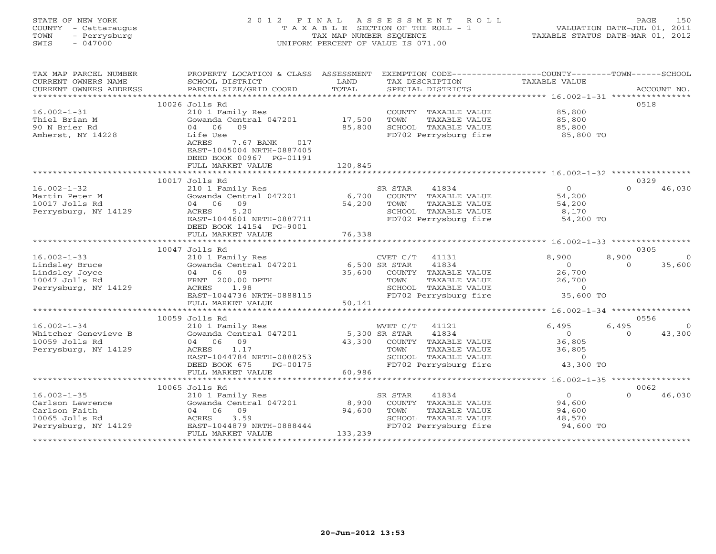# STATE OF NEW YORK 2 0 1 2 F I N A L A S S E S S M E N T R O L L PAGE 150 COUNTY - Cattaraugus T A X A B L E SECTION OF THE ROLL - 1 VALUATION DATE-JUL 01, 2011 TOWN - Perrysburg TAX MAP NUMBER SEQUENCE TAXABLE STATUS DATE-MAR 01, 2012 SWIS - 047000 UNIFORM PERCENT OF VALUE IS 071.00UNIFORM PERCENT OF VALUE IS 071.00

| TAX MAP PARCEL NUMBER | PROPERTY LOCATION & CLASS ASSESSMENT |               | EXEMPTION CODE----------------COUNTY-------TOWN------SCHOOL |                              |                         |
|-----------------------|--------------------------------------|---------------|-------------------------------------------------------------|------------------------------|-------------------------|
| CURRENT OWNERS NAME   | SCHOOL DISTRICT                      | LAND          | TAX DESCRIPTION                                             | TAXABLE VALUE                |                         |
|                       | PARCEL SIZE/GRID COORD               | TOTAL         |                                                             |                              |                         |
|                       |                                      |               |                                                             |                              |                         |
|                       | 10026 Jolls Rd                       |               |                                                             |                              | 0518                    |
| $16.002 - 1 - 31$     | 210 1 Family Res                     |               | COUNTY TAXABLE VALUE                                        | 85,800                       |                         |
| Thiel Brian M         | Gowanda Central 047201               | 17,500        | TOWN<br>TAXABLE VALUE                                       | 85,800<br>85,800             |                         |
| 90 N Brier Rd         | 09<br>04 06                          | 85,800        | SCHOOL TAXABLE VALUE                                        |                              |                         |
| Amherst, NY 14228     | Life Use                             |               | FD702 Perrysburg fire 35,800 TO                             |                              |                         |
|                       | ACRES<br>7.67 BANK 017               |               |                                                             |                              |                         |
|                       | EAST-1045004 NRTH-0887405            |               |                                                             |                              |                         |
|                       | DEED BOOK 00967 PG-01191             |               |                                                             |                              |                         |
|                       | FULL MARKET VALUE                    | 120,845       |                                                             |                              |                         |
|                       |                                      |               |                                                             |                              |                         |
|                       | 10017 Jolls Rd                       |               |                                                             |                              | 0329                    |
| $16.002 - 1 - 32$     | 210 1 Family Res                     |               | 41834<br>SR STAR                                            | $\overline{0}$               | $\Omega$<br>46,030      |
| Martin Peter M        | Gowanda Central 047201 6,700         |               | COUNTY TAXABLE VALUE                                        | 54,200                       |                         |
| 10017 Jolls Rd        | 04 06 09                             | 54,200        | TOWN<br>TAXABLE VALUE                                       | $64, 20$<br>8, 170<br>- $20$ |                         |
| Perrysburg, NY 14129  | 5.20<br>ACRES                        |               | SCHOOL TAXABLE VALUE                                        |                              |                         |
|                       | EAST-1044601 NRTH-0887711            |               | FD702 Perrysburg fire                                       | 54,200 TO                    |                         |
|                       | DEED BOOK 14154 PG-9001              |               |                                                             |                              |                         |
|                       | FULL MARKET VALUE                    | 76,338        |                                                             |                              |                         |
|                       |                                      |               |                                                             |                              |                         |
|                       | 10047 Jolls Rd                       |               |                                                             |                              | 0305                    |
| $16.002 - 1 - 33$     | 210 1 Family Res                     |               | $CVET C/T$ 41131                                            | 8,900                        | 8,900<br>$\overline{0}$ |
| Lindsley Bruce        | Gowanda Central 047201 6,500 SR STAR |               | 41834                                                       | $\overline{0}$               | 35,600<br>$\Omega$      |
| Lindsley Joyce        | 04 06 09                             | 35,600        | COUNTY TAXABLE VALUE                                        | 26,700                       |                         |
| 10047 Jolls Rd        | FRNT 200.00 DPTH                     |               | TAXABLE VALUE<br>TOWN                                       | 26,700                       |                         |
| Perrysburg, NY 14129  | ACRES 1.98                           |               | SCHOOL TAXABLE VALUE 0<br>FD702 Perrysburg fire 35,600 TO   |                              |                         |
|                       | EAST-1044736 NRTH-0888115            |               |                                                             |                              |                         |
|                       | FULL MARKET VALUE                    | 50,141        |                                                             |                              |                         |
|                       |                                      |               |                                                             |                              |                         |
|                       | 10059 Jolls Rd                       |               |                                                             |                              | 0556                    |
| $16.002 - 1 - 34$     | 210 1 Family Res                     |               | 41121<br>WVET C/T                                           | 6,495                        | 6,495<br>$\overline{0}$ |
| Whitcher Genevieve B  | Gowanda Central 047201               | 5,300 SR STAR | 41834                                                       | $\overline{0}$               | 43,300<br>$\Omega$      |
| 10059 Jolls Rd        | 04 06<br>09                          | 43,300        | COUNTY TAXABLE VALUE                                        | 36,805                       |                         |
| Perrysburg, NY 14129  | ACRES<br>1.17                        |               | TOWN<br>TAXABLE VALUE                                       | 36,805                       |                         |
|                       | EAST-1044784 NRTH-0888253            |               |                                                             |                              |                         |
|                       | DEED BOOK 675<br>PG-00175            |               | SCHOOL TAXABLE VALUE 0<br>FD702 Perrysburg fire 43,300 TO   |                              |                         |
|                       | FULL MARKET VALUE                    | 60,986        |                                                             |                              |                         |
|                       |                                      |               |                                                             |                              |                         |
|                       | 10065 Jolls Rd                       |               |                                                             |                              | 0062                    |
| $16.002 - 1 - 35$     | 210 1 Family Res                     |               | SR STAR<br>41834                                            | $\overline{0}$               | $\Omega$<br>46,030      |
| Carlson Lawrence      | Gowanda Central 047201               | 8,900         | COUNTY TAXABLE VALUE                                        | 94,600                       |                         |
| Carlson Faith         | 04 06<br>09                          | 94,600        | TOWN<br>TAXABLE VALUE                                       | 94,600                       |                         |
| 10065 Jolls Rd        | 3.59<br>ACRES                        |               | SCHOOL TAXABLE VALUE                                        | 48,570                       |                         |
| Perrysburg, NY 14129  | EAST-1044879 NRTH-0888444            |               | FD702 Perrysburg fire                                       | 94,600 TO                    |                         |
|                       | FULL MARKET VALUE                    | 133,239       |                                                             |                              |                         |
|                       |                                      |               |                                                             |                              |                         |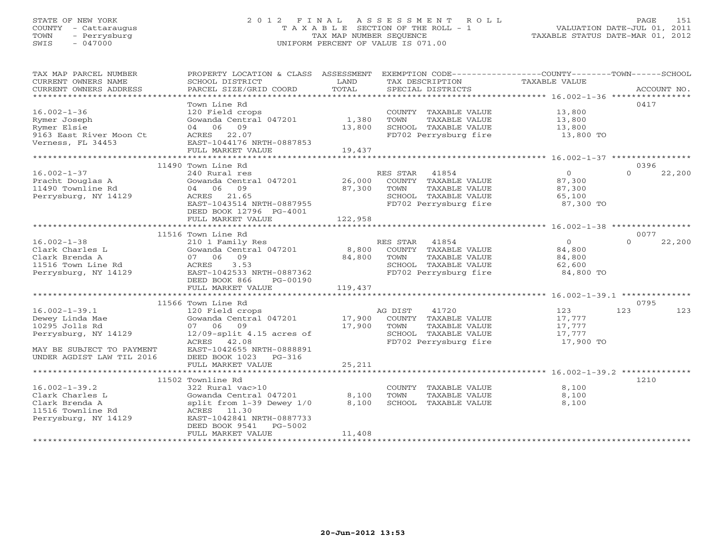# STATE OF NEW YORK 2 0 1 2 F I N A L A S S E S S M E N T R O L L PAGE 151 COUNTY - Cattaraugus T A X A B L E SECTION OF THE ROLL - 1 VALUATION DATE-JUL 01, 2011 TOWN - Perrysburg TAX MAP NUMBER SEQUENCE TAXABLE STATUS DATE-MAR 01, 2012 SWIS - 047000 UNIFORM PERCENT OF VALUE IS 071.00UNIFORM PERCENT OF VALUE IS 071.00

| TAX MAP PARCEL NUMBER<br>CURRENT OWNERS NAME<br>CURRENT OWNERS ADDRESS                                                                     | PROPERTY LOCATION & CLASS ASSESSMENT<br>SCHOOL DISTRICT<br>PARCEL SIZE/GRID COORD                                                                                               | LAND<br>TOTAL               | EXEMPTION CODE----------------COUNTY-------TOWN------SCHOOL<br>TAX DESCRIPTION<br>SPECIAL DISTRICTS                 | TAXABLE VALUE                                       | ACCOUNT NO.                |
|--------------------------------------------------------------------------------------------------------------------------------------------|---------------------------------------------------------------------------------------------------------------------------------------------------------------------------------|-----------------------------|---------------------------------------------------------------------------------------------------------------------|-----------------------------------------------------|----------------------------|
| $16.002 - 1 - 36$<br>Rymer Joseph<br>Rymer Elsie<br>9163 East River Moon Ct<br>Verness, FL 34453                                           | Town Line Rd<br>120 Field crops<br>Gowanda Central 047201<br>04 06 09<br>22.07<br>ACRES<br>EAST-1044176 NRTH-0887853<br>FULL MARKET VALUE                                       | 1,380<br>13,800<br>19,437   | COUNTY TAXABLE VALUE<br>TAXABLE VALUE<br>TOWN<br>SCHOOL TAXABLE VALUE<br>FD702 Perrysburg fire                      | 13,800<br>13,800<br>13,800<br>13,800 TO             | 0417                       |
| *********************                                                                                                                      |                                                                                                                                                                                 |                             |                                                                                                                     |                                                     |                            |
| $16.002 - 1 - 37$<br>Pracht Douglas A<br>11490 Townline Rd<br>Perrysburg, NY 14129                                                         | 11490 Town Line Rd<br>240 Rural res<br>Gowanda Central 047201<br>04 06 09<br>ACRES<br>21.65<br>EAST-1043514 NRTH-0887955<br>DEED BOOK 12796 PG-4001<br>FULL MARKET VALUE        | 26,000<br>87,300<br>122,958 | RES STAR<br>41854<br>COUNTY TAXABLE VALUE<br>TOWN<br>TAXABLE VALUE<br>SCHOOL TAXABLE VALUE<br>FD702 Perrysburg fire | $\circ$<br>87,300<br>87,300<br>65,100<br>87,300 TO  | 0396<br>$\Omega$<br>22,200 |
|                                                                                                                                            |                                                                                                                                                                                 |                             |                                                                                                                     |                                                     | 0077                       |
| $16.002 - 1 - 38$<br>Clark Charles L<br>Clark Brenda A<br>11516 Town Line Rd<br>Perrysburg, NY 14129                                       | 11516 Town Line Rd<br>210 1 Family Res<br>Gowanda Central 047201<br>09<br>07 06<br>3.53<br>ACRES<br>EAST-1042533 NRTH-0887362<br>DEED BOOK 866<br>PG-00190<br>FULL MARKET VALUE | 8,800<br>84,800<br>119,437  | RES STAR 41854<br>COUNTY TAXABLE VALUE<br>TOWN<br>TAXABLE VALUE<br>SCHOOL TAXABLE VALUE<br>FD702 Perrysburg fire    | $\Omega$<br>84,800<br>84,800<br>62,600<br>84,800 TO | $\Omega$<br>22,200         |
|                                                                                                                                            | 11566 Town Line Rd                                                                                                                                                              |                             |                                                                                                                     |                                                     | 0795                       |
| $16.002 - 1 - 39.1$<br>Dewey Linda Mae<br>10295 Jolls Rd<br>Perrysburg, NY 14129<br>MAY BE SUBJECT TO PAYMENT<br>UNDER AGDIST LAW TIL 2016 | 120 Field crops<br>Gowanda Central 047201<br>07 06 09<br>$12/09$ -split $4.15$ acres of<br>ACRES 42.08<br>EAST-1042655 NRTH-0888891<br>DEED BOOK 1023<br>$PG-316$               | 17,900<br>17,900            | 41720<br>AG DIST<br>COUNTY TAXABLE VALUE<br>TOWN<br>TAXABLE VALUE<br>SCHOOL TAXABLE VALUE<br>FD702 Perrysburg fire  | 123<br>17,777<br>17,777<br>17,777<br>17,900 TO      | 123<br>123                 |
|                                                                                                                                            | FULL MARKET VALUE                                                                                                                                                               | 25,211                      |                                                                                                                     |                                                     |                            |
| $16.002 - 1 - 39.2$<br>Clark Charles L                                                                                                     | 11502 Townline Rd<br>322 Rural vac>10<br>Gowanda Central 047201                                                                                                                 | 8,100                       | COUNTY TAXABLE VALUE<br>TOWN<br>TAXABLE VALUE                                                                       | 8,100<br>8,100                                      | 1210                       |
| Clark Brenda A<br>11516 Townline Rd<br>Perrysburg, NY 14129                                                                                | split from 1-39 Dewey 1/0<br>ACRES 11.30<br>EAST-1042841 NRTH-0887733<br>PG-5002<br>DEED BOOK 9541<br>FULL MARKET VALUE                                                         | 8,100<br>11,408             | SCHOOL TAXABLE VALUE                                                                                                | 8,100                                               |                            |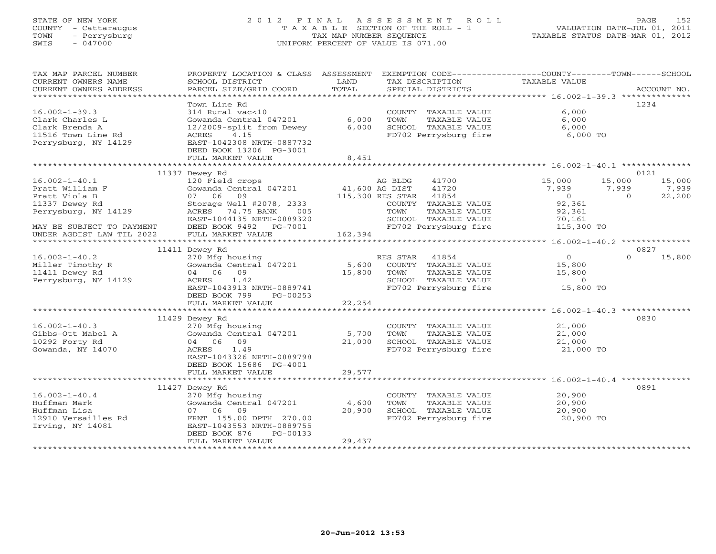# STATE OF NEW YORK 2 0 1 2 F I N A L A S S E S S M E N T R O L L PAGE 152 COUNTY - Cattaraugus T A X A B L E SECTION OF THE ROLL - 1 VALUATION DATE-JUL 01, 2011 TOWN - Perrysburg TAX MAP NUMBER SEQUENCE TAXABLE STATUS DATE-MAR 01, 2012 SWIS - 047000 UNIFORM PERCENT OF VALUE IS 071.00UNIFORM PERCENT OF VALUE IS 071.00

| TAX MAP PARCEL NUMBER<br>CURRENT OWNERS NAME | PROPERTY LOCATION & CLASS ASSESSMENT<br>SCHOOL DISTRICT | LAND            | EXEMPTION CODE-----------------COUNTY-------TOWN------SCHOOL<br>TAX DESCRIPTION | TAXABLE VALUE     |                    |
|----------------------------------------------|---------------------------------------------------------|-----------------|---------------------------------------------------------------------------------|-------------------|--------------------|
| CURRENT OWNERS ADDRESS                       | PARCEL SIZE/GRID COORD                                  | TOTAL           | SPECIAL DISTRICTS                                                               |                   | ACCOUNT NO.        |
| ************************                     |                                                         |                 |                                                                                 |                   |                    |
|                                              | Town Line Rd                                            |                 |                                                                                 |                   | 1234               |
| $16.002 - 1 - 39.3$                          | 314 Rural vac<10                                        |                 | COUNTY TAXABLE VALUE                                                            | 6,000             |                    |
| Clark Charles L                              | Gowanda Central 047201                                  | 6,000           | TOWN<br>TAXABLE VALUE                                                           | 6,000             |                    |
| Clark Brenda A                               | 12/2009-split from Dewey                                | 6,000           | SCHOOL TAXABLE VALUE                                                            | 6,000             |                    |
| 11516 Town Line Rd                           | ACRES<br>4.15                                           |                 | FD702 Perrysburg fire                                                           | 6,000 TO          |                    |
| Perrysburg, NY 14129                         | EAST-1042308 NRTH-0887732                               |                 |                                                                                 |                   |                    |
|                                              | DEED BOOK 13206 PG-3001<br>FULL MARKET VALUE            | 8,451           |                                                                                 |                   |                    |
|                                              | *************************                               |                 |                                                                                 |                   |                    |
|                                              | 11337 Dewey Rd                                          |                 |                                                                                 |                   | 0121               |
| $16.002 - 1 - 40.1$                          | 120 Field crops                                         |                 | AG BLDG<br>41700                                                                | 15,000            | 15,000<br>15,000   |
| Pratt William F                              | Gowanda Central 047201                                  | 41,600 AG DIST  | 41720                                                                           | 7,939             | 7,939<br>7,939     |
| Pratt Viola B                                | 07 06 09                                                |                 | 115,300 RES STAR 41854                                                          | $\overline{0}$    | 22,200<br>$\Omega$ |
| 11337 Dewey Rd                               | Storage Well #2078, 2333                                |                 | COUNTY TAXABLE VALUE                                                            | 92,361            |                    |
| Perrysburg, NY 14129                         | ACRES 74.75 BANK<br>005                                 |                 | TOWN<br>TAXABLE VALUE                                                           | 92,361            |                    |
|                                              | EAST-1044135 NRTH-0889320                               |                 | SCHOOL TAXABLE VALUE                                                            | 70,161            |                    |
| MAY BE SUBJECT TO PAYMENT                    | DEED BOOK 9492 PG-7001                                  |                 | FD702 Perrysburg fire                                                           | 115,300 TO        |                    |
| UNDER AGDIST LAW TIL 2022                    | FULL MARKET VALUE                                       | 162,394         |                                                                                 |                   |                    |
|                                              |                                                         |                 |                                                                                 |                   |                    |
|                                              | 11411 Dewey Rd                                          |                 |                                                                                 |                   | 0827               |
| $16.002 - 1 - 40.2$                          | 270 Mfg housing                                         |                 | RES STAR 41854<br>COUNTY TAXABLE VALUE                                          | $\overline{0}$    | $\Omega$<br>15,800 |
| Miller Timothy R<br>11411 Dewey Rd           | Gowanda Central 047201<br>04 06 09                      | 5,600<br>15,800 | TOWN<br>TAXABLE VALUE                                                           | 15,800            |                    |
| Perrysburg, NY 14129                         | 1.42<br>ACRES                                           |                 | SCHOOL TAXABLE VALUE                                                            | 15,800<br>$\circ$ |                    |
|                                              | EAST-1043913 NRTH-0889741                               |                 | FD702 Perrysburg fire                                                           | 15,800 TO         |                    |
|                                              | DEED BOOK 799<br>PG-00253                               |                 |                                                                                 |                   |                    |
|                                              | FULL MARKET VALUE                                       | 22,254          |                                                                                 |                   |                    |
|                                              |                                                         |                 |                                                                                 |                   |                    |
|                                              | 11429 Dewey Rd                                          |                 |                                                                                 |                   | 0830               |
| $16.002 - 1 - 40.3$                          | 270 Mfg housing                                         |                 | COUNTY TAXABLE VALUE                                                            | 21,000            |                    |
| Gibbs-Ott Mabel A                            | Gowanda Central 047201                                  | 5,700           | TOWN<br>TAXABLE VALUE                                                           | 21,000            |                    |
| 10292 Forty Rd                               | 04 06 09                                                | 21,000          | SCHOOL TAXABLE VALUE                                                            | 21,000            |                    |
| Gowanda, NY 14070                            | ACRES<br>1.49                                           |                 | FD702 Perrysburg fire                                                           | 21,000 TO         |                    |
|                                              | EAST-1043326 NRTH-0889798                               |                 |                                                                                 |                   |                    |
|                                              | DEED BOOK 15686 PG-4001                                 |                 |                                                                                 |                   |                    |
|                                              | FULL MARKET VALUE                                       | 29,577          |                                                                                 |                   |                    |
|                                              | 11427 Dewey Rd                                          |                 |                                                                                 |                   | 0891               |
| $16.002 - 1 - 40.4$                          | 270 Mfg housing                                         |                 | COUNTY TAXABLE VALUE                                                            | 20,900            |                    |
| Huffman Mark                                 | Gowanda Central 047201                                  | 4,600           | TAXABLE VALUE<br>TOWN                                                           | 20,900            |                    |
| Huffman Lisa                                 | 07 06 09                                                | 20,900          | SCHOOL TAXABLE VALUE                                                            | 20,900            |                    |
| 12910 Versailles Rd                          | FRNT 155.00 DPTH 270.00                                 |                 | FD702 Perrysburg fire                                                           | 20,900 TO         |                    |
| Irving, NY 14081                             | EAST-1043553 NRTH-0889755                               |                 |                                                                                 |                   |                    |
|                                              | DEED BOOK 876<br>PG-00133                               |                 |                                                                                 |                   |                    |
|                                              | FULL MARKET VALUE                                       | 29,437          |                                                                                 |                   |                    |
|                                              |                                                         |                 |                                                                                 |                   |                    |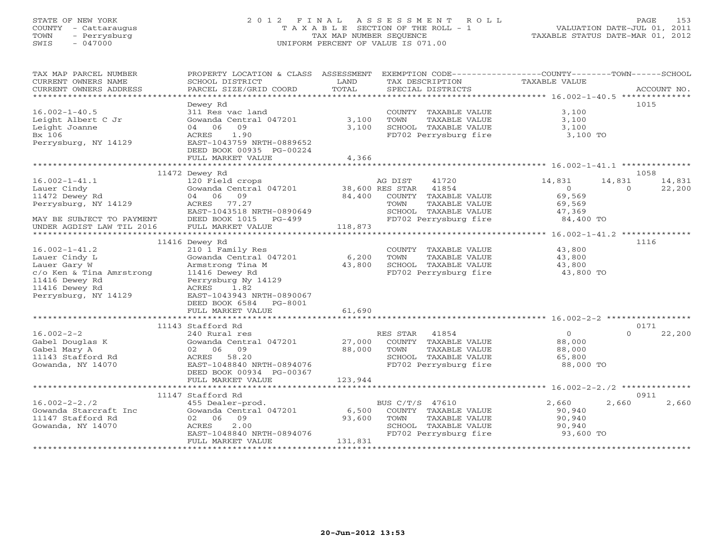# STATE OF NEW YORK 2 0 1 2 F I N A L A S S E S S M E N T R O L L PAGE 153 COUNTY - Cattaraugus T A X A B L E SECTION OF THE ROLL - 1 VALUATION DATE-JUL 01, 2011 TOWN - Perrysburg TAX MAP NUMBER SEQUENCE TAXABLE STATUS DATE-MAR 01, 2012 SWIS - 047000 UNIFORM PERCENT OF VALUE IS 071.00UNIFORM PERCENT OF VALUE IS 071.00

| TAX MAP PARCEL NUMBER<br>CURRENT OWNERS NAME<br>CURRENT OWNERS ADDRESS | PROPERTY LOCATION & CLASS ASSESSMENT<br>SCHOOL DISTRICT<br>PARCEL SIZE/GRID COORD | LAND<br>TOTAL               | EXEMPTION CODE-----------------COUNTY-------TOWN------SCHOOL<br>TAX DESCRIPTION<br>SPECIAL DISTRICTS | TAXABLE VALUE                               |          | ACCOUNT NO. |
|------------------------------------------------------------------------|-----------------------------------------------------------------------------------|-----------------------------|------------------------------------------------------------------------------------------------------|---------------------------------------------|----------|-------------|
| **********************                                                 |                                                                                   |                             |                                                                                                      |                                             |          |             |
|                                                                        | Dewey Rd                                                                          |                             |                                                                                                      |                                             |          | 1015        |
| $16.002 - 1 - 40.5$                                                    | 311 Res vac land                                                                  |                             | COUNTY TAXABLE VALUE                                                                                 | 3,100                                       |          |             |
| Leight Albert C Jr                                                     | Gowanda Central 047201                                                            | 3,100                       | <b>TOWN</b><br>TAXABLE VALUE                                                                         | 3,100                                       |          |             |
| Leight Joanne                                                          | 04 06<br>09                                                                       | 3,100                       | SCHOOL TAXABLE VALUE                                                                                 | 3,100                                       |          |             |
| Bx 106                                                                 | 1.90<br>ACRES                                                                     |                             | FD702 Perrysburg fire                                                                                | 3,100 TO                                    |          |             |
| Perrysburg, NY 14129                                                   | EAST-1043759 NRTH-0889652                                                         |                             |                                                                                                      |                                             |          |             |
|                                                                        | DEED BOOK 00935 PG-00224                                                          |                             |                                                                                                      |                                             |          |             |
|                                                                        | FULL MARKET VALUE                                                                 | 4,366                       |                                                                                                      |                                             |          |             |
|                                                                        |                                                                                   |                             |                                                                                                      |                                             |          |             |
|                                                                        | 11472 Dewey Rd                                                                    |                             |                                                                                                      |                                             |          | 1058        |
| $16.002 - 1 - 41.1$                                                    | 120 Field crops                                                                   |                             | AG DIST<br>41720                                                                                     | 14,831                                      | 14,831   | 14,831      |
| Lauer Cindy                                                            | Gowanda Central 047201                                                            |                             | 38,600 RES STAR<br>41854                                                                             | $\circ$                                     | $\Omega$ | 22,200      |
| 11472 Dewey Rd                                                         | 04 06 09                                                                          | 84,400                      | COUNTY TAXABLE VALUE                                                                                 | 69,569                                      |          |             |
| Perrysburg, NY 14129                                                   | ACRES 77.27                                                                       |                             | TOWN<br>TAXABLE VALUE                                                                                | 69,569                                      |          |             |
|                                                                        | EAST-1043518 NRTH-0890649                                                         |                             | SCHOOL TAXABLE VALUE                                                                                 | 47,369                                      |          |             |
| MAY BE SUBJECT TO PAYMENT                                              | DEED BOOK 1015 PG-499                                                             |                             | FD702 Perrysburg fire                                                                                | 84,400 TO                                   |          |             |
| UNDER AGDIST LAW TIL 2016                                              | FULL MARKET VALUE                                                                 | 118,873                     |                                                                                                      |                                             |          |             |
|                                                                        |                                                                                   |                             |                                                                                                      | ************* 16.002-1-41.2 *************** |          |             |
|                                                                        | 11416 Dewey Rd                                                                    |                             |                                                                                                      |                                             |          | 1116        |
| $16.002 - 1 - 41.2$                                                    | 210 1 Family Res                                                                  |                             | COUNTY TAXABLE VALUE                                                                                 | 43,800                                      |          |             |
| Lauer Cindy L                                                          | Gowanda Central 047201                                                            | 6,200                       | TOWN<br>TAXABLE VALUE                                                                                | 43,800                                      |          |             |
| Lauer Gary W                                                           | Armstrong Tina M                                                                  | 43,800                      | SCHOOL TAXABLE VALUE                                                                                 | 43,800                                      |          |             |
| c/o Ken & Tina Amrstrong                                               | 11416 Dewey Rd                                                                    |                             | FD702 Perrysburg fire                                                                                | 43,800 TO                                   |          |             |
| 11416 Dewey Rd                                                         | Perrysburg Ny 14129                                                               |                             |                                                                                                      |                                             |          |             |
| 11416 Dewey Rd<br>Perrysburg, NY 14129                                 | ACRES<br>1.82                                                                     |                             |                                                                                                      |                                             |          |             |
|                                                                        | EAST-1043943 NRTH-0890067<br>DEED BOOK 6584<br>PG-8001                            |                             |                                                                                                      |                                             |          |             |
|                                                                        | FULL MARKET VALUE                                                                 | 61,690                      |                                                                                                      |                                             |          |             |
|                                                                        | **************************                                                        | * * * * * * * * * * * * * * |                                                                                                      |                                             |          |             |
|                                                                        | 11143 Stafford Rd                                                                 |                             |                                                                                                      |                                             |          | 0171        |
| $16.002 - 2 - 2$                                                       | 240 Rural res                                                                     |                             | RES STAR<br>41854                                                                                    | $\overline{O}$                              | $\Omega$ | 22,200      |
| Gabel Douglas K                                                        | Gowanda Central 047201                                                            | 27,000                      | COUNTY TAXABLE VALUE                                                                                 | 88,000                                      |          |             |
| Gabel Mary A                                                           | 02 06 09                                                                          | 88,000                      | TOWN<br>TAXABLE VALUE                                                                                | 88,000                                      |          |             |
| 11143 Stafford Rd                                                      | ACRES 58.20                                                                       |                             | SCHOOL TAXABLE VALUE                                                                                 | 65,800                                      |          |             |
| Gowanda, NY 14070                                                      | EAST-1048840 NRTH-0894076                                                         |                             | FD702 Perrysburg fire                                                                                | 88,000 TO                                   |          |             |
|                                                                        | DEED BOOK 00934 PG-00367                                                          |                             |                                                                                                      |                                             |          |             |
|                                                                        | FULL MARKET VALUE                                                                 | 123,944                     |                                                                                                      |                                             |          |             |
|                                                                        |                                                                                   |                             |                                                                                                      |                                             |          |             |
|                                                                        | 11147 Stafford Rd                                                                 |                             |                                                                                                      |                                             |          | 0911        |
| $16.002 - 2 - 2.72$                                                    | 455 Dealer-prod.                                                                  |                             | BUS C/T/S 47610                                                                                      | 2,660                                       | 2,660    | 2,660       |
| Gowanda Starcraft Inc                                                  | Gowanda Central 047201                                                            | 6,500                       | COUNTY TAXABLE VALUE                                                                                 | 90,940                                      |          |             |
| 11147 Stafford Rd                                                      | 02 06<br>09                                                                       | 93,600                      | TOWN<br>TAXABLE VALUE                                                                                | 90,940                                      |          |             |
| Gowanda, NY 14070                                                      | 2.00<br>ACRES                                                                     |                             | SCHOOL TAXABLE VALUE                                                                                 | 90,940                                      |          |             |
|                                                                        | EAST-1048840 NRTH-0894076                                                         |                             | FD702 Perrysburg fire                                                                                | 93,600 TO                                   |          |             |
|                                                                        | FULL MARKET VALUE                                                                 | 131,831                     |                                                                                                      |                                             |          |             |
|                                                                        |                                                                                   |                             |                                                                                                      |                                             |          |             |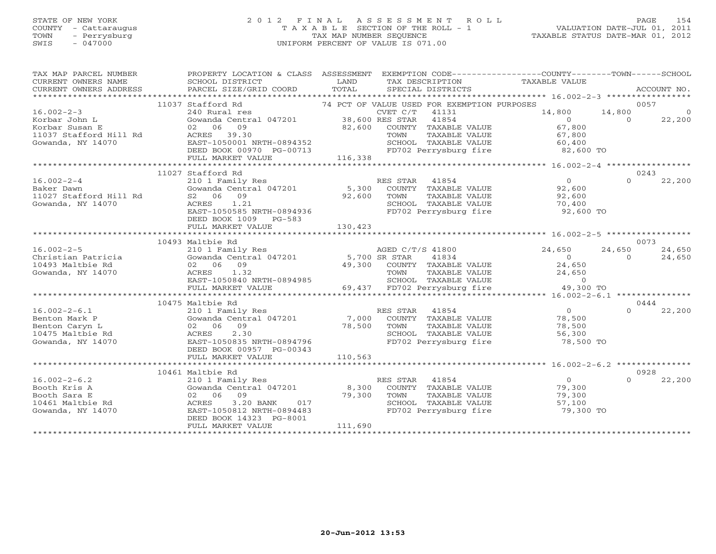### STATE OF NEW YORK 2 0 1 2 F I N A L A S S E S S M E N T R O L L PAGE 154 COUNTY - Cattaraugus T A X A B L E SECTION OF THE ROLL - 1 VALUATION DATE-JUL 01, 2011 TOWN - Perrysburg TAX MAP NUMBER SEQUENCE TAXABLE STATUS DATE-MAR 01, 2012 SWIS - 047000 UNIFORM PERCENT OF VALUE IS 071.00UNIFORM PERCENT OF VALUE IS 071.00

| SPECIAL DISTRICTS<br>ACCOUNT NO.<br>0057<br>11037 Stafford Rd<br>74 PCT OF VALUE USED FOR EXEMPTION PURPOSES<br>$16.002 - 2 - 3$<br>CVET C/T<br>14,800<br>14,800<br>240 Rural res<br>41131<br>$\Omega$<br>Gowanda Central 047201 38,600 RES STAR<br>41854<br>Korbar John L<br>$\overline{0}$<br>$\Omega$<br>22,200<br>82,600 COUNTY TAXABLE VALUE<br>Korbar Susan E<br>02 06 09<br>67,800<br>11037 Stafford Hill Rd<br>ACRES 39.30<br>TOWN<br>TAXABLE VALUE<br>67,800<br>SCHOOL TAXABLE VALUE 60,400<br>EAST-1050001 NRTH-0894352<br>Gowanda, NY 14070<br>FD702 Perrysburg fire 82,600 TO<br>DEED BOOK 00970 PG-00713<br>116,338<br>FULL MARKET VALUE<br>11027 Stafford Rd<br>0243<br>$\Omega$<br>$16.002 - 2 - 4$<br>RES STAR<br>$\overline{0}$<br>22,200<br>210 1 Family Res<br>41854<br>Cowanda Central 047201 5,300 COUNTY TAXABLE VALUE<br>Baker Dawn<br>92,600<br>92,600<br>11027 Stafford Hill Rd<br>S2 06 09<br>TOWN<br>TAXABLE VALUE<br>92,600<br>1.21<br>Gowanda, NY 14070<br>ACRES<br>SCHOOL TAXABLE VALUE<br>70,400<br>ACRES 1.21<br>EAST-1050585 NRTH-0894936<br>92,600 TO<br>FD702 Perrysburg fire<br>DEED BOOK 1009 PG-583<br>130,423<br>FULL MARKET VALUE<br>10493 Maltbie Rd<br>0073<br>210 1 Family Res<br>Gowanda Central 047201 5,700 SR STAR<br>$16.002 - 2 - 5$<br>24,650<br>24,650<br>AGED C/T/S 41800<br>24,650<br>Christian Patricia<br>41834<br>$\Omega$<br>$\Omega$<br>24,650<br>49,300 COUNTY TAXABLE VALUE<br>10493 Maltbie Rd<br>02 06 09<br>24,650<br>ACRES 1.32<br>Gowanda, NY 14070<br>TOWN<br>TAXABLE VALUE<br>24,650<br>EAST-1050840 NRTH-0894985<br>SCHOOL TAXABLE VALUE<br>$\circ$<br>69,437 FD702 Perrysburg fire<br>49,300 TO<br>FULL MARKET VALUE<br>$****************16.002-2-6.1********************$<br>10475 Maltbie Rd<br>0444<br>$16.002 - 2 - 6.1$<br>$\Omega$<br>22,200<br>210 1 Family Res<br>RES STAR<br>41854<br>$\overline{0}$<br>Gowanda Central 047201<br>$7,000$ <sup>1</sup><br>Benton Mark P<br>COUNTY TAXABLE VALUE<br>78,500<br>02 06 09<br>78,500<br>Benton Caryn L<br>TOWN<br>TAXABLE VALUE<br>78,500<br>10475 Maltbie Rd<br>ACRES<br>2.30<br>SCHOOL TAXABLE VALUE<br>56,300<br>Gowanda, NY 14070<br>EAST-1050835 NRTH-0894796<br>FD702 Perrysburg fire<br>78,500 TO<br>DEED BOOK 00957 PG-00343<br>110,563<br>FULL MARKET VALUE<br>10461 Maltbie Rd<br>0928<br>22,200<br>$16.002 - 2 - 6.2$<br>RES STAR<br>41854<br>$\Omega$<br>$\Omega$<br>210 1 Family Res<br>Gowanda Central 047201 8,300<br>Booth Kris A<br>COUNTY TAXABLE VALUE<br>79,300<br>Booth Sara E<br>02 06 09<br>79,300<br>TAXABLE VALUE<br>79,300<br>TOWN<br>3.20 BANK<br>SCHOOL TAXABLE VALUE<br>10461 Maltbie Rd<br>ACRES<br>017<br>57,100<br>EAST-1050812 NRTH-0894483<br>FD702 Perrysburg fire<br>Gowanda, NY 14070<br>79,300 TO<br>DEED BOOK 14323 PG-8001<br>111,690<br>FULL MARKET VALUE<br>*************************** | TAX MAP PARCEL NUMBER<br>CURRENT OWNERS NAME | PROPERTY LOCATION & CLASS ASSESSMENT EXEMPTION CODE----------------COUNTY-------TOWN------SCHOOL<br>SCHOOL DISTRICT | LAND  |  | TAX DESCRIPTION TAXABLE VALUE |  |
|------------------------------------------------------------------------------------------------------------------------------------------------------------------------------------------------------------------------------------------------------------------------------------------------------------------------------------------------------------------------------------------------------------------------------------------------------------------------------------------------------------------------------------------------------------------------------------------------------------------------------------------------------------------------------------------------------------------------------------------------------------------------------------------------------------------------------------------------------------------------------------------------------------------------------------------------------------------------------------------------------------------------------------------------------------------------------------------------------------------------------------------------------------------------------------------------------------------------------------------------------------------------------------------------------------------------------------------------------------------------------------------------------------------------------------------------------------------------------------------------------------------------------------------------------------------------------------------------------------------------------------------------------------------------------------------------------------------------------------------------------------------------------------------------------------------------------------------------------------------------------------------------------------------------------------------------------------------------------------------------------------------------------------------------------------------------------------------------------------------------------------------------------------------------------------------------------------------------------------------------------------------------------------------------------------------------------------------------------------------------------------------------------------------------------------------------------------------------------------------------------------------------------------------------------------------------------------------------------------------------------------------------------------------------------------------------------------------------------------------------------------------------------------------------------------------------------------------------------------|----------------------------------------------|---------------------------------------------------------------------------------------------------------------------|-------|--|-------------------------------|--|
|                                                                                                                                                                                                                                                                                                                                                                                                                                                                                                                                                                                                                                                                                                                                                                                                                                                                                                                                                                                                                                                                                                                                                                                                                                                                                                                                                                                                                                                                                                                                                                                                                                                                                                                                                                                                                                                                                                                                                                                                                                                                                                                                                                                                                                                                                                                                                                                                                                                                                                                                                                                                                                                                                                                                                                                                                                                            | CURRENT OWNERS ADDRESS                       | PARCEL SIZE/GRID COORD                                                                                              | TOTAL |  |                               |  |
|                                                                                                                                                                                                                                                                                                                                                                                                                                                                                                                                                                                                                                                                                                                                                                                                                                                                                                                                                                                                                                                                                                                                                                                                                                                                                                                                                                                                                                                                                                                                                                                                                                                                                                                                                                                                                                                                                                                                                                                                                                                                                                                                                                                                                                                                                                                                                                                                                                                                                                                                                                                                                                                                                                                                                                                                                                                            |                                              |                                                                                                                     |       |  |                               |  |
|                                                                                                                                                                                                                                                                                                                                                                                                                                                                                                                                                                                                                                                                                                                                                                                                                                                                                                                                                                                                                                                                                                                                                                                                                                                                                                                                                                                                                                                                                                                                                                                                                                                                                                                                                                                                                                                                                                                                                                                                                                                                                                                                                                                                                                                                                                                                                                                                                                                                                                                                                                                                                                                                                                                                                                                                                                                            |                                              |                                                                                                                     |       |  |                               |  |
|                                                                                                                                                                                                                                                                                                                                                                                                                                                                                                                                                                                                                                                                                                                                                                                                                                                                                                                                                                                                                                                                                                                                                                                                                                                                                                                                                                                                                                                                                                                                                                                                                                                                                                                                                                                                                                                                                                                                                                                                                                                                                                                                                                                                                                                                                                                                                                                                                                                                                                                                                                                                                                                                                                                                                                                                                                                            |                                              |                                                                                                                     |       |  |                               |  |
|                                                                                                                                                                                                                                                                                                                                                                                                                                                                                                                                                                                                                                                                                                                                                                                                                                                                                                                                                                                                                                                                                                                                                                                                                                                                                                                                                                                                                                                                                                                                                                                                                                                                                                                                                                                                                                                                                                                                                                                                                                                                                                                                                                                                                                                                                                                                                                                                                                                                                                                                                                                                                                                                                                                                                                                                                                                            |                                              |                                                                                                                     |       |  |                               |  |
|                                                                                                                                                                                                                                                                                                                                                                                                                                                                                                                                                                                                                                                                                                                                                                                                                                                                                                                                                                                                                                                                                                                                                                                                                                                                                                                                                                                                                                                                                                                                                                                                                                                                                                                                                                                                                                                                                                                                                                                                                                                                                                                                                                                                                                                                                                                                                                                                                                                                                                                                                                                                                                                                                                                                                                                                                                                            |                                              |                                                                                                                     |       |  |                               |  |
|                                                                                                                                                                                                                                                                                                                                                                                                                                                                                                                                                                                                                                                                                                                                                                                                                                                                                                                                                                                                                                                                                                                                                                                                                                                                                                                                                                                                                                                                                                                                                                                                                                                                                                                                                                                                                                                                                                                                                                                                                                                                                                                                                                                                                                                                                                                                                                                                                                                                                                                                                                                                                                                                                                                                                                                                                                                            |                                              |                                                                                                                     |       |  |                               |  |
|                                                                                                                                                                                                                                                                                                                                                                                                                                                                                                                                                                                                                                                                                                                                                                                                                                                                                                                                                                                                                                                                                                                                                                                                                                                                                                                                                                                                                                                                                                                                                                                                                                                                                                                                                                                                                                                                                                                                                                                                                                                                                                                                                                                                                                                                                                                                                                                                                                                                                                                                                                                                                                                                                                                                                                                                                                                            |                                              |                                                                                                                     |       |  |                               |  |
|                                                                                                                                                                                                                                                                                                                                                                                                                                                                                                                                                                                                                                                                                                                                                                                                                                                                                                                                                                                                                                                                                                                                                                                                                                                                                                                                                                                                                                                                                                                                                                                                                                                                                                                                                                                                                                                                                                                                                                                                                                                                                                                                                                                                                                                                                                                                                                                                                                                                                                                                                                                                                                                                                                                                                                                                                                                            |                                              |                                                                                                                     |       |  |                               |  |
|                                                                                                                                                                                                                                                                                                                                                                                                                                                                                                                                                                                                                                                                                                                                                                                                                                                                                                                                                                                                                                                                                                                                                                                                                                                                                                                                                                                                                                                                                                                                                                                                                                                                                                                                                                                                                                                                                                                                                                                                                                                                                                                                                                                                                                                                                                                                                                                                                                                                                                                                                                                                                                                                                                                                                                                                                                                            |                                              |                                                                                                                     |       |  |                               |  |
|                                                                                                                                                                                                                                                                                                                                                                                                                                                                                                                                                                                                                                                                                                                                                                                                                                                                                                                                                                                                                                                                                                                                                                                                                                                                                                                                                                                                                                                                                                                                                                                                                                                                                                                                                                                                                                                                                                                                                                                                                                                                                                                                                                                                                                                                                                                                                                                                                                                                                                                                                                                                                                                                                                                                                                                                                                                            |                                              |                                                                                                                     |       |  |                               |  |
|                                                                                                                                                                                                                                                                                                                                                                                                                                                                                                                                                                                                                                                                                                                                                                                                                                                                                                                                                                                                                                                                                                                                                                                                                                                                                                                                                                                                                                                                                                                                                                                                                                                                                                                                                                                                                                                                                                                                                                                                                                                                                                                                                                                                                                                                                                                                                                                                                                                                                                                                                                                                                                                                                                                                                                                                                                                            |                                              |                                                                                                                     |       |  |                               |  |
|                                                                                                                                                                                                                                                                                                                                                                                                                                                                                                                                                                                                                                                                                                                                                                                                                                                                                                                                                                                                                                                                                                                                                                                                                                                                                                                                                                                                                                                                                                                                                                                                                                                                                                                                                                                                                                                                                                                                                                                                                                                                                                                                                                                                                                                                                                                                                                                                                                                                                                                                                                                                                                                                                                                                                                                                                                                            |                                              |                                                                                                                     |       |  |                               |  |
|                                                                                                                                                                                                                                                                                                                                                                                                                                                                                                                                                                                                                                                                                                                                                                                                                                                                                                                                                                                                                                                                                                                                                                                                                                                                                                                                                                                                                                                                                                                                                                                                                                                                                                                                                                                                                                                                                                                                                                                                                                                                                                                                                                                                                                                                                                                                                                                                                                                                                                                                                                                                                                                                                                                                                                                                                                                            |                                              |                                                                                                                     |       |  |                               |  |
|                                                                                                                                                                                                                                                                                                                                                                                                                                                                                                                                                                                                                                                                                                                                                                                                                                                                                                                                                                                                                                                                                                                                                                                                                                                                                                                                                                                                                                                                                                                                                                                                                                                                                                                                                                                                                                                                                                                                                                                                                                                                                                                                                                                                                                                                                                                                                                                                                                                                                                                                                                                                                                                                                                                                                                                                                                                            |                                              |                                                                                                                     |       |  |                               |  |
|                                                                                                                                                                                                                                                                                                                                                                                                                                                                                                                                                                                                                                                                                                                                                                                                                                                                                                                                                                                                                                                                                                                                                                                                                                                                                                                                                                                                                                                                                                                                                                                                                                                                                                                                                                                                                                                                                                                                                                                                                                                                                                                                                                                                                                                                                                                                                                                                                                                                                                                                                                                                                                                                                                                                                                                                                                                            |                                              |                                                                                                                     |       |  |                               |  |
|                                                                                                                                                                                                                                                                                                                                                                                                                                                                                                                                                                                                                                                                                                                                                                                                                                                                                                                                                                                                                                                                                                                                                                                                                                                                                                                                                                                                                                                                                                                                                                                                                                                                                                                                                                                                                                                                                                                                                                                                                                                                                                                                                                                                                                                                                                                                                                                                                                                                                                                                                                                                                                                                                                                                                                                                                                                            |                                              |                                                                                                                     |       |  |                               |  |
|                                                                                                                                                                                                                                                                                                                                                                                                                                                                                                                                                                                                                                                                                                                                                                                                                                                                                                                                                                                                                                                                                                                                                                                                                                                                                                                                                                                                                                                                                                                                                                                                                                                                                                                                                                                                                                                                                                                                                                                                                                                                                                                                                                                                                                                                                                                                                                                                                                                                                                                                                                                                                                                                                                                                                                                                                                                            |                                              |                                                                                                                     |       |  |                               |  |
|                                                                                                                                                                                                                                                                                                                                                                                                                                                                                                                                                                                                                                                                                                                                                                                                                                                                                                                                                                                                                                                                                                                                                                                                                                                                                                                                                                                                                                                                                                                                                                                                                                                                                                                                                                                                                                                                                                                                                                                                                                                                                                                                                                                                                                                                                                                                                                                                                                                                                                                                                                                                                                                                                                                                                                                                                                                            |                                              |                                                                                                                     |       |  |                               |  |
|                                                                                                                                                                                                                                                                                                                                                                                                                                                                                                                                                                                                                                                                                                                                                                                                                                                                                                                                                                                                                                                                                                                                                                                                                                                                                                                                                                                                                                                                                                                                                                                                                                                                                                                                                                                                                                                                                                                                                                                                                                                                                                                                                                                                                                                                                                                                                                                                                                                                                                                                                                                                                                                                                                                                                                                                                                                            |                                              |                                                                                                                     |       |  |                               |  |
|                                                                                                                                                                                                                                                                                                                                                                                                                                                                                                                                                                                                                                                                                                                                                                                                                                                                                                                                                                                                                                                                                                                                                                                                                                                                                                                                                                                                                                                                                                                                                                                                                                                                                                                                                                                                                                                                                                                                                                                                                                                                                                                                                                                                                                                                                                                                                                                                                                                                                                                                                                                                                                                                                                                                                                                                                                                            |                                              |                                                                                                                     |       |  |                               |  |
|                                                                                                                                                                                                                                                                                                                                                                                                                                                                                                                                                                                                                                                                                                                                                                                                                                                                                                                                                                                                                                                                                                                                                                                                                                                                                                                                                                                                                                                                                                                                                                                                                                                                                                                                                                                                                                                                                                                                                                                                                                                                                                                                                                                                                                                                                                                                                                                                                                                                                                                                                                                                                                                                                                                                                                                                                                                            |                                              |                                                                                                                     |       |  |                               |  |
|                                                                                                                                                                                                                                                                                                                                                                                                                                                                                                                                                                                                                                                                                                                                                                                                                                                                                                                                                                                                                                                                                                                                                                                                                                                                                                                                                                                                                                                                                                                                                                                                                                                                                                                                                                                                                                                                                                                                                                                                                                                                                                                                                                                                                                                                                                                                                                                                                                                                                                                                                                                                                                                                                                                                                                                                                                                            |                                              |                                                                                                                     |       |  |                               |  |
|                                                                                                                                                                                                                                                                                                                                                                                                                                                                                                                                                                                                                                                                                                                                                                                                                                                                                                                                                                                                                                                                                                                                                                                                                                                                                                                                                                                                                                                                                                                                                                                                                                                                                                                                                                                                                                                                                                                                                                                                                                                                                                                                                                                                                                                                                                                                                                                                                                                                                                                                                                                                                                                                                                                                                                                                                                                            |                                              |                                                                                                                     |       |  |                               |  |
|                                                                                                                                                                                                                                                                                                                                                                                                                                                                                                                                                                                                                                                                                                                                                                                                                                                                                                                                                                                                                                                                                                                                                                                                                                                                                                                                                                                                                                                                                                                                                                                                                                                                                                                                                                                                                                                                                                                                                                                                                                                                                                                                                                                                                                                                                                                                                                                                                                                                                                                                                                                                                                                                                                                                                                                                                                                            |                                              |                                                                                                                     |       |  |                               |  |
|                                                                                                                                                                                                                                                                                                                                                                                                                                                                                                                                                                                                                                                                                                                                                                                                                                                                                                                                                                                                                                                                                                                                                                                                                                                                                                                                                                                                                                                                                                                                                                                                                                                                                                                                                                                                                                                                                                                                                                                                                                                                                                                                                                                                                                                                                                                                                                                                                                                                                                                                                                                                                                                                                                                                                                                                                                                            |                                              |                                                                                                                     |       |  |                               |  |
|                                                                                                                                                                                                                                                                                                                                                                                                                                                                                                                                                                                                                                                                                                                                                                                                                                                                                                                                                                                                                                                                                                                                                                                                                                                                                                                                                                                                                                                                                                                                                                                                                                                                                                                                                                                                                                                                                                                                                                                                                                                                                                                                                                                                                                                                                                                                                                                                                                                                                                                                                                                                                                                                                                                                                                                                                                                            |                                              |                                                                                                                     |       |  |                               |  |
|                                                                                                                                                                                                                                                                                                                                                                                                                                                                                                                                                                                                                                                                                                                                                                                                                                                                                                                                                                                                                                                                                                                                                                                                                                                                                                                                                                                                                                                                                                                                                                                                                                                                                                                                                                                                                                                                                                                                                                                                                                                                                                                                                                                                                                                                                                                                                                                                                                                                                                                                                                                                                                                                                                                                                                                                                                                            |                                              |                                                                                                                     |       |  |                               |  |
|                                                                                                                                                                                                                                                                                                                                                                                                                                                                                                                                                                                                                                                                                                                                                                                                                                                                                                                                                                                                                                                                                                                                                                                                                                                                                                                                                                                                                                                                                                                                                                                                                                                                                                                                                                                                                                                                                                                                                                                                                                                                                                                                                                                                                                                                                                                                                                                                                                                                                                                                                                                                                                                                                                                                                                                                                                                            |                                              |                                                                                                                     |       |  |                               |  |
|                                                                                                                                                                                                                                                                                                                                                                                                                                                                                                                                                                                                                                                                                                                                                                                                                                                                                                                                                                                                                                                                                                                                                                                                                                                                                                                                                                                                                                                                                                                                                                                                                                                                                                                                                                                                                                                                                                                                                                                                                                                                                                                                                                                                                                                                                                                                                                                                                                                                                                                                                                                                                                                                                                                                                                                                                                                            |                                              |                                                                                                                     |       |  |                               |  |
|                                                                                                                                                                                                                                                                                                                                                                                                                                                                                                                                                                                                                                                                                                                                                                                                                                                                                                                                                                                                                                                                                                                                                                                                                                                                                                                                                                                                                                                                                                                                                                                                                                                                                                                                                                                                                                                                                                                                                                                                                                                                                                                                                                                                                                                                                                                                                                                                                                                                                                                                                                                                                                                                                                                                                                                                                                                            |                                              |                                                                                                                     |       |  |                               |  |
|                                                                                                                                                                                                                                                                                                                                                                                                                                                                                                                                                                                                                                                                                                                                                                                                                                                                                                                                                                                                                                                                                                                                                                                                                                                                                                                                                                                                                                                                                                                                                                                                                                                                                                                                                                                                                                                                                                                                                                                                                                                                                                                                                                                                                                                                                                                                                                                                                                                                                                                                                                                                                                                                                                                                                                                                                                                            |                                              |                                                                                                                     |       |  |                               |  |
|                                                                                                                                                                                                                                                                                                                                                                                                                                                                                                                                                                                                                                                                                                                                                                                                                                                                                                                                                                                                                                                                                                                                                                                                                                                                                                                                                                                                                                                                                                                                                                                                                                                                                                                                                                                                                                                                                                                                                                                                                                                                                                                                                                                                                                                                                                                                                                                                                                                                                                                                                                                                                                                                                                                                                                                                                                                            |                                              |                                                                                                                     |       |  |                               |  |
|                                                                                                                                                                                                                                                                                                                                                                                                                                                                                                                                                                                                                                                                                                                                                                                                                                                                                                                                                                                                                                                                                                                                                                                                                                                                                                                                                                                                                                                                                                                                                                                                                                                                                                                                                                                                                                                                                                                                                                                                                                                                                                                                                                                                                                                                                                                                                                                                                                                                                                                                                                                                                                                                                                                                                                                                                                                            |                                              |                                                                                                                     |       |  |                               |  |
|                                                                                                                                                                                                                                                                                                                                                                                                                                                                                                                                                                                                                                                                                                                                                                                                                                                                                                                                                                                                                                                                                                                                                                                                                                                                                                                                                                                                                                                                                                                                                                                                                                                                                                                                                                                                                                                                                                                                                                                                                                                                                                                                                                                                                                                                                                                                                                                                                                                                                                                                                                                                                                                                                                                                                                                                                                                            |                                              |                                                                                                                     |       |  |                               |  |
|                                                                                                                                                                                                                                                                                                                                                                                                                                                                                                                                                                                                                                                                                                                                                                                                                                                                                                                                                                                                                                                                                                                                                                                                                                                                                                                                                                                                                                                                                                                                                                                                                                                                                                                                                                                                                                                                                                                                                                                                                                                                                                                                                                                                                                                                                                                                                                                                                                                                                                                                                                                                                                                                                                                                                                                                                                                            |                                              |                                                                                                                     |       |  |                               |  |
|                                                                                                                                                                                                                                                                                                                                                                                                                                                                                                                                                                                                                                                                                                                                                                                                                                                                                                                                                                                                                                                                                                                                                                                                                                                                                                                                                                                                                                                                                                                                                                                                                                                                                                                                                                                                                                                                                                                                                                                                                                                                                                                                                                                                                                                                                                                                                                                                                                                                                                                                                                                                                                                                                                                                                                                                                                                            |                                              |                                                                                                                     |       |  |                               |  |
|                                                                                                                                                                                                                                                                                                                                                                                                                                                                                                                                                                                                                                                                                                                                                                                                                                                                                                                                                                                                                                                                                                                                                                                                                                                                                                                                                                                                                                                                                                                                                                                                                                                                                                                                                                                                                                                                                                                                                                                                                                                                                                                                                                                                                                                                                                                                                                                                                                                                                                                                                                                                                                                                                                                                                                                                                                                            |                                              |                                                                                                                     |       |  |                               |  |
|                                                                                                                                                                                                                                                                                                                                                                                                                                                                                                                                                                                                                                                                                                                                                                                                                                                                                                                                                                                                                                                                                                                                                                                                                                                                                                                                                                                                                                                                                                                                                                                                                                                                                                                                                                                                                                                                                                                                                                                                                                                                                                                                                                                                                                                                                                                                                                                                                                                                                                                                                                                                                                                                                                                                                                                                                                                            |                                              |                                                                                                                     |       |  |                               |  |
|                                                                                                                                                                                                                                                                                                                                                                                                                                                                                                                                                                                                                                                                                                                                                                                                                                                                                                                                                                                                                                                                                                                                                                                                                                                                                                                                                                                                                                                                                                                                                                                                                                                                                                                                                                                                                                                                                                                                                                                                                                                                                                                                                                                                                                                                                                                                                                                                                                                                                                                                                                                                                                                                                                                                                                                                                                                            |                                              |                                                                                                                     |       |  |                               |  |
|                                                                                                                                                                                                                                                                                                                                                                                                                                                                                                                                                                                                                                                                                                                                                                                                                                                                                                                                                                                                                                                                                                                                                                                                                                                                                                                                                                                                                                                                                                                                                                                                                                                                                                                                                                                                                                                                                                                                                                                                                                                                                                                                                                                                                                                                                                                                                                                                                                                                                                                                                                                                                                                                                                                                                                                                                                                            |                                              |                                                                                                                     |       |  |                               |  |
|                                                                                                                                                                                                                                                                                                                                                                                                                                                                                                                                                                                                                                                                                                                                                                                                                                                                                                                                                                                                                                                                                                                                                                                                                                                                                                                                                                                                                                                                                                                                                                                                                                                                                                                                                                                                                                                                                                                                                                                                                                                                                                                                                                                                                                                                                                                                                                                                                                                                                                                                                                                                                                                                                                                                                                                                                                                            |                                              |                                                                                                                     |       |  |                               |  |
|                                                                                                                                                                                                                                                                                                                                                                                                                                                                                                                                                                                                                                                                                                                                                                                                                                                                                                                                                                                                                                                                                                                                                                                                                                                                                                                                                                                                                                                                                                                                                                                                                                                                                                                                                                                                                                                                                                                                                                                                                                                                                                                                                                                                                                                                                                                                                                                                                                                                                                                                                                                                                                                                                                                                                                                                                                                            |                                              |                                                                                                                     |       |  |                               |  |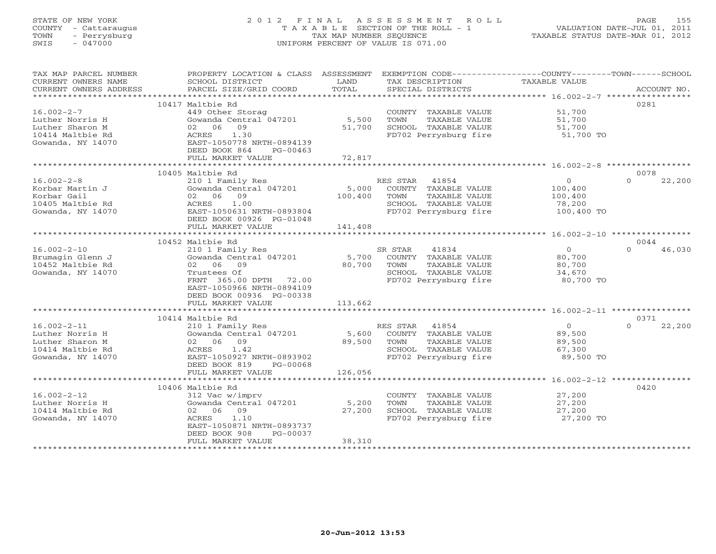# STATE OF NEW YORK 2 0 1 2 F I N A L A S S E S S M E N T R O L L PAGE 155 COUNTY - Cattaraugus T A X A B L E SECTION OF THE ROLL - 1 VALUATION DATE-JUL 01, 2011 TOWN - Perrysburg TAX MAP NUMBER SEQUENCE TAXABLE STATUS DATE-MAR 01, 2012 SWIS - 047000 UNIFORM PERCENT OF VALUE IS 071.00UNIFORM PERCENT OF VALUE IS 071.00

| TAX MAP PARCEL NUMBER<br>CURRENT OWNERS NAME | PROPERTY LOCATION & CLASS ASSESSMENT<br>SCHOOL DISTRICT | LAND    | TAX DESCRIPTION                               | EXEMPTION CODE----------------COUNTY-------TOWN------SCHOOL<br>TAXABLE VALUE |  |
|----------------------------------------------|---------------------------------------------------------|---------|-----------------------------------------------|------------------------------------------------------------------------------|--|
| CURRENT OWNERS ADDRESS                       | PARCEL SIZE/GRID COORD                                  | TOTAL   | SPECIAL DISTRICTS                             | ACCOUNT NO.                                                                  |  |
|                                              | 10417 Maltbie Rd                                        |         |                                               | 0281                                                                         |  |
| $16.002 - 2 - 7$                             | 449 Other Storag                                        |         | COUNTY TAXABLE VALUE                          | 51,700                                                                       |  |
| Luther Norris H                              | Gowanda Central 047201                                  | 5,500   | TOWN<br>TAXABLE VALUE                         | 51,700                                                                       |  |
| Luther Sharon M                              | 02 06<br>09                                             | 51,700  | SCHOOL TAXABLE VALUE                          | 51,700                                                                       |  |
| 10414 Maltbie Rd                             | 1.30<br>ACRES                                           |         | FD702 Perrysburg fire                         | 51,700 TO                                                                    |  |
| Gowanda, NY 14070                            | EAST-1050778 NRTH-0894139<br>DEED BOOK 864<br>PG-00463  |         |                                               |                                                                              |  |
|                                              | FULL MARKET VALUE                                       | 72,817  |                                               |                                                                              |  |
|                                              |                                                         |         |                                               |                                                                              |  |
|                                              | 10405 Maltbie Rd                                        |         |                                               | 0078                                                                         |  |
| $16.002 - 2 - 8$                             | 210 1 Family Res                                        |         | RES STAR<br>41854                             | $\circ$<br>22,200<br>$\Omega$                                                |  |
| Korbar Martin J                              | Gowanda Central 047201                                  | 5,000   | COUNTY TAXABLE VALUE                          | 100,400                                                                      |  |
| Korbar Gail                                  | 02 06 09                                                | 100,400 | TOWN<br>TAXABLE VALUE                         | 100,400                                                                      |  |
| 10405 Maltbie Rd                             | ACRES<br>1.00                                           |         | SCHOOL TAXABLE VALUE                          | 78,200                                                                       |  |
| Gowanda, NY 14070                            | EAST-1050631 NRTH-0893804<br>DEED BOOK 00926 PG-01048   |         | FD702 Perrysburg fire                         | 100,400 TO                                                                   |  |
|                                              | FULL MARKET VALUE                                       | 141,408 |                                               |                                                                              |  |
|                                              |                                                         |         |                                               |                                                                              |  |
|                                              | 10452 Maltbie Rd                                        |         |                                               | 0044                                                                         |  |
| $16.002 - 2 - 10$                            | 210 1 Family Res                                        |         | SR STAR<br>41834                              | $\Omega$<br>$\cap$<br>46,030                                                 |  |
| Brumagin Glenn J                             | Gowanda Central 047201                                  | 5,700   | COUNTY TAXABLE VALUE                          | 80,700                                                                       |  |
| 10452 Maltbie Rd                             | 02 06<br>09                                             | 80,700  | TOWN<br>TAXABLE VALUE                         | 80,700                                                                       |  |
| Gowanda, NY 14070                            | Trustees Of<br>FRNT 365.00 DPTH 72.00                   |         | SCHOOL TAXABLE VALUE<br>FD702 Perrysburg fire | 34,670<br>80,700 TO                                                          |  |
|                                              | EAST-1050966 NRTH-0894109                               |         |                                               |                                                                              |  |
|                                              | DEED BOOK 00936 PG-00338                                |         |                                               |                                                                              |  |
|                                              | FULL MARKET VALUE                                       | 113,662 |                                               |                                                                              |  |
|                                              |                                                         |         |                                               |                                                                              |  |
|                                              | 10414 Maltbie Rd                                        |         |                                               | 0371                                                                         |  |
| $16.002 - 2 - 11$                            | 210 1 Family Res                                        |         | RES STAR 41854                                | 22,200<br>$\overline{0}$<br>$\Omega$                                         |  |
| Luther Norris H                              | Gowanda Central 047201                                  |         | 5,600 COUNTY TAXABLE VALUE                    | 89,500                                                                       |  |
| Luther Sharon M<br>10414 Maltbie Rd          | 02 06 09<br>ACRES<br>1.42                               | 89,500  | TOWN<br>TAXABLE VALUE<br>SCHOOL TAXABLE VALUE | 89,500<br>67,300                                                             |  |
| Gowanda, NY 14070                            | EAST-1050927 NRTH-0893902                               |         | FD702 Perrysburg fire                         | 89,500 TO                                                                    |  |
|                                              | DEED BOOK 819<br>PG-00068                               |         |                                               |                                                                              |  |
|                                              | FULL MARKET VALUE                                       | 126,056 |                                               |                                                                              |  |
|                                              |                                                         |         |                                               |                                                                              |  |
|                                              | 10406 Maltbie Rd                                        |         |                                               | 0420                                                                         |  |
| $16.002 - 2 - 12$                            | 312 Vac w/imprv                                         |         | COUNTY TAXABLE VALUE                          | 27,200                                                                       |  |
| Luther Norris H                              | Gowanda Central 047201                                  | 5,200   | TOWN<br>TAXABLE VALUE                         | 27,200                                                                       |  |
| 10414 Maltbie Rd<br>Gowanda, NY 14070        | 02 06 09<br>ACRES<br>1.10                               | 27,200  | SCHOOL TAXABLE VALUE<br>FD702 Perrysburg fire | 27,200<br>27,200 TO                                                          |  |
|                                              | EAST-1050871 NRTH-0893737                               |         |                                               |                                                                              |  |
|                                              | DEED BOOK 908<br>PG-00037                               |         |                                               |                                                                              |  |
|                                              | FULL MARKET VALUE                                       | 38,310  |                                               |                                                                              |  |
|                                              |                                                         |         |                                               |                                                                              |  |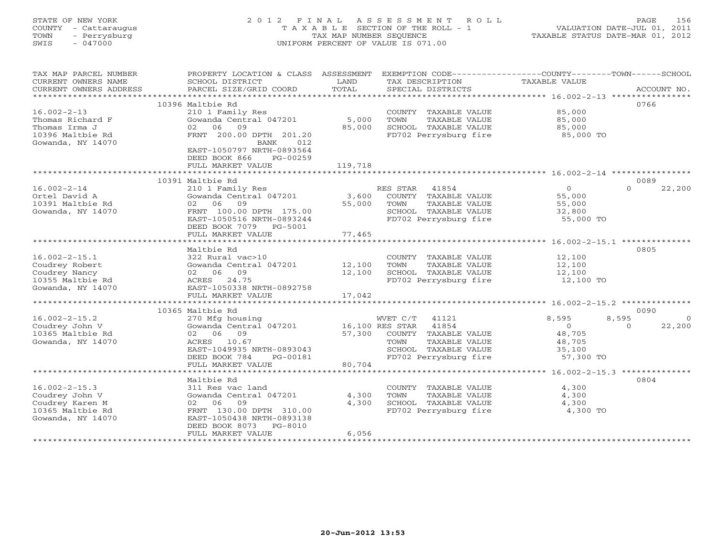# STATE OF NEW YORK 2 0 1 2 F I N A L A S S E S S M E N T R O L L PAGE 156 COUNTY - Cattaraugus T A X A B L E SECTION OF THE ROLL - 1 VALUATION DATE-JUL 01, 2011 TOWN - Perrysburg TAX MAP NUMBER SEQUENCE TAXABLE STATUS DATE-MAR 01, 2012 SWIS - 047000 UNIFORM PERCENT OF VALUE IS 071.00UNIFORM PERCENT OF VALUE IS 071.00

| TAX MAP PARCEL NUMBER<br>CURRENT OWNERS NAME<br>CURRENT OWNERS ADDRESS | PROPERTY LOCATION & CLASS ASSESSMENT<br>SCHOOL DISTRICT<br>PARCEL SIZE/GRID COORD | LAND<br>TOTAL   | EXEMPTION CODE-----------------COUNTY-------TOWN-----SCHOOL<br>TAX DESCRIPTION<br>SPECIAL DISTRICTS | TAXABLE VALUE | ACCOUNT NO.        |
|------------------------------------------------------------------------|-----------------------------------------------------------------------------------|-----------------|-----------------------------------------------------------------------------------------------------|---------------|--------------------|
|                                                                        |                                                                                   |                 |                                                                                                     |               |                    |
|                                                                        | 10396 Maltbie Rd                                                                  |                 |                                                                                                     |               | 0766               |
| $16.002 - 2 - 13$                                                      | 210 1 Family Res                                                                  |                 | COUNTY TAXABLE VALUE                                                                                | 85,000        |                    |
| Thomas Richard F                                                       | Gowanda Central 047201                                                            | 5,000           | TAXABLE VALUE<br>TOWN                                                                               | 85,000        |                    |
| Thomas Irma J                                                          | 02 06 09                                                                          | 85,000          | SCHOOL TAXABLE VALUE                                                                                | 85,000        |                    |
| 10396 Maltbie Rd                                                       | FRNT 200.00 DPTH 201.20                                                           |                 | FD702 Perrysburg fire                                                                               | 85,000 TO     |                    |
| Gowanda, NY 14070                                                      | BANK<br>012                                                                       |                 |                                                                                                     |               |                    |
|                                                                        | EAST-1050797 NRTH-0893564                                                         |                 |                                                                                                     |               |                    |
|                                                                        | DEED BOOK 866<br>PG-00259                                                         |                 |                                                                                                     |               |                    |
|                                                                        | FULL MARKET VALUE                                                                 | 119,718         |                                                                                                     |               |                    |
|                                                                        |                                                                                   |                 |                                                                                                     |               |                    |
|                                                                        | 10391 Maltbie Rd                                                                  |                 |                                                                                                     |               | 0089               |
| $16.002 - 2 - 14$                                                      | 210 1 Family Res                                                                  |                 | RES STAR<br>41854                                                                                   | $\circ$       | $\Omega$<br>22,200 |
| Ortel David A                                                          | Gowanda Central 047201                                                            | 3,600           | COUNTY TAXABLE VALUE                                                                                | 55,000        |                    |
| 10391 Maltbie Rd                                                       | 02 06<br>09                                                                       | 55,000          | TOWN<br>TAXABLE VALUE                                                                               | 55,000        |                    |
| Gowanda, NY 14070                                                      | FRNT 100.00 DPTH 175.00                                                           |                 | SCHOOL TAXABLE VALUE                                                                                | 32,800        |                    |
|                                                                        | EAST-1050516 NRTH-0893244                                                         |                 | FD702 Perrysburg fire                                                                               | 55,000 TO     |                    |
|                                                                        | DEED BOOK 7079 PG-5001                                                            |                 |                                                                                                     |               |                    |
|                                                                        | FULL MARKET VALUE                                                                 | 77,465          |                                                                                                     |               |                    |
|                                                                        |                                                                                   |                 |                                                                                                     |               |                    |
|                                                                        | Maltbie Rd                                                                        |                 |                                                                                                     |               | 0805               |
| $16.002 - 2 - 15.1$                                                    | 322 Rural vac>10                                                                  |                 | COUNTY TAXABLE VALUE                                                                                | 12,100        |                    |
| Coudrey Robert                                                         | Gowanda Central 047201                                                            | 12,100          | TAXABLE VALUE<br>TOWN                                                                               | 12,100        |                    |
|                                                                        |                                                                                   | 12,100          | SCHOOL TAXABLE VALUE                                                                                |               |                    |
| Coudrey Nancy                                                          | 02 06 09                                                                          |                 |                                                                                                     | 12,100        |                    |
| 10355 Maltbie Rd                                                       | ACRES 24.75                                                                       |                 | FD702 Perrysburg fire                                                                               | 12,100 TO     |                    |
| Gowanda, NY 14070                                                      | EAST-1050338 NRTH-0892758                                                         |                 |                                                                                                     |               |                    |
|                                                                        | FULL MARKET VALUE                                                                 | 17,042          |                                                                                                     |               |                    |
|                                                                        |                                                                                   |                 |                                                                                                     |               |                    |
|                                                                        | 10365 Maltbie Rd                                                                  |                 |                                                                                                     |               | 0090               |
| $16.002 - 2 - 15.2$                                                    | 270 Mfg housing                                                                   |                 | WVET C/T<br>41121                                                                                   | 8,595         | 8,595<br>$\circ$   |
| Coudrey John V                                                         | Gowanda Central 047201                                                            | 16,100 RES STAR | 41854                                                                                               | $\circ$       | 22,200<br>$\Omega$ |
| 10365 Maltbie Rd                                                       | 02 06 09                                                                          | 57,300          | COUNTY TAXABLE VALUE                                                                                | 48,705        |                    |
| Gowanda, NY 14070                                                      | ACRES 10.67                                                                       |                 | TOWN<br>TAXABLE VALUE                                                                               | 48,705        |                    |
|                                                                        | EAST-1049935 NRTH-0893043                                                         |                 | SCHOOL TAXABLE VALUE                                                                                | 35,100        |                    |
|                                                                        | DEED BOOK 784<br>PG-00181                                                         |                 | FD702 Perrysburg fire                                                                               | 57,300 TO     |                    |
|                                                                        | FULL MARKET VALUE                                                                 | 80,704          |                                                                                                     |               |                    |
|                                                                        |                                                                                   |                 |                                                                                                     |               |                    |
|                                                                        | Maltbie Rd                                                                        |                 |                                                                                                     |               | 0804               |
| $16.002 - 2 - 15.3$                                                    | 311 Res vac land                                                                  |                 | COUNTY TAXABLE VALUE                                                                                | 4,300         |                    |
| Coudrey John V                                                         | Gowanda Central 047201                                                            | 4,300           | TOWN<br>TAXABLE VALUE                                                                               | 4,300         |                    |
| Coudrey Karen M                                                        | 02 06<br>09                                                                       | 4,300           | SCHOOL TAXABLE VALUE                                                                                | 4,300         |                    |
| 10365 Maltbie Rd                                                       | FRNT 130.00 DPTH 310.00                                                           |                 | FD702 Perrysburg fire                                                                               | 4,300 TO      |                    |
| Gowanda, NY 14070                                                      | EAST-1050438 NRTH-0893138                                                         |                 |                                                                                                     |               |                    |
|                                                                        | DEED BOOK 8073<br>PG-8010                                                         |                 |                                                                                                     |               |                    |
|                                                                        | FULL MARKET VALUE                                                                 | 6,056           |                                                                                                     |               |                    |
|                                                                        |                                                                                   |                 |                                                                                                     |               |                    |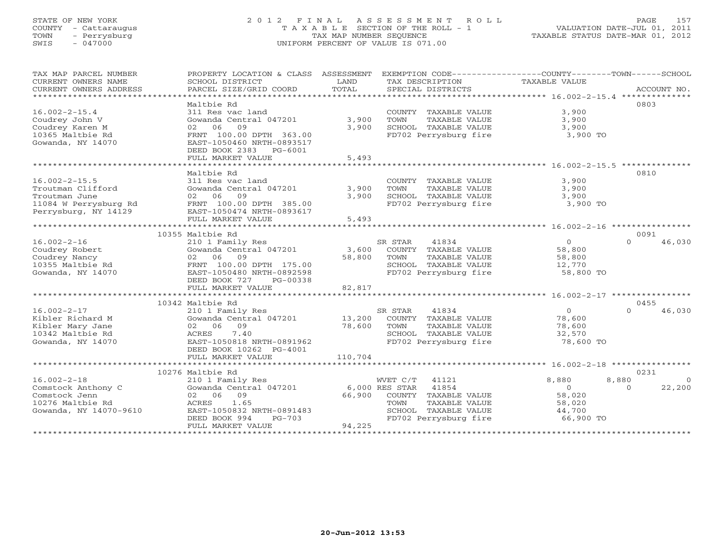# STATE OF NEW YORK 2 0 1 2 F I N A L A S S E S S M E N T R O L L PAGE 157 COUNTY - Cattaraugus T A X A B L E SECTION OF THE ROLL - 1 VALUATION DATE-JUL 01, 2011 TOWN - Perrysburg TAX MAP NUMBER SEQUENCE TAXABLE STATUS DATE-MAR 01, 2012 SWIS - 047000 UNIFORM PERCENT OF VALUE IS 071.00UNIFORM PERCENT OF VALUE IS 071.00

| TAX MAP PARCEL NUMBER   | PROPERTY LOCATION & CLASS ASSESSMENT |         |                         | EXEMPTION CODE----------------COUNTY-------TOWN------SCHOOL |                    |
|-------------------------|--------------------------------------|---------|-------------------------|-------------------------------------------------------------|--------------------|
| CURRENT OWNERS NAME     | SCHOOL DISTRICT                      | LAND    | TAX DESCRIPTION         | TAXABLE VALUE                                               |                    |
| CURRENT OWNERS ADDRESS  | PARCEL SIZE/GRID COORD               | TOTAL   | SPECIAL DISTRICTS       |                                                             | ACCOUNT NO.        |
| *********************** |                                      |         |                         |                                                             |                    |
|                         | Maltbie Rd                           |         |                         |                                                             | 0803               |
| $16.002 - 2 - 15.4$     | 311 Res vac land                     |         | COUNTY TAXABLE VALUE    | 3,900                                                       |                    |
|                         |                                      |         |                         |                                                             |                    |
| Coudrey John V          | Gowanda Central 047201               | 3,900   | TAXABLE VALUE<br>TOWN   | 3,900                                                       |                    |
| Coudrey Karen M         | 09<br>02 06                          | 3,900   | SCHOOL TAXABLE VALUE    | 3,900                                                       |                    |
| 10365 Maltbie Rd        | FRNT 100.00 DPTH 363.00              |         | FD702 Perrysburg fire   | 3,900 TO                                                    |                    |
| Gowanda, NY 14070       | EAST-1050460 NRTH-0893517            |         |                         |                                                             |                    |
|                         | DEED BOOK 2383 PG-6001               |         |                         |                                                             |                    |
|                         | FULL MARKET VALUE                    | 5,493   |                         |                                                             |                    |
|                         |                                      |         |                         |                                                             |                    |
|                         |                                      |         |                         |                                                             |                    |
|                         | Maltbie Rd                           |         |                         |                                                             | 0810               |
| $16.002 - 2 - 15.5$     | 311 Res vac land                     |         | COUNTY TAXABLE VALUE    | 3,900                                                       |                    |
| Troutman Clifford       | Gowanda Central 047201               | 3,900   | TOWN<br>TAXABLE VALUE   | 3,900                                                       |                    |
| Troutman June           | 02 06<br>09                          | 3,900   | SCHOOL TAXABLE VALUE    | 3,900                                                       |                    |
| 11084 W Perrysburg Rd   | FRNT 100.00 DPTH 385.00              |         | FD702 Perrysburg fire   | 3,900 TO                                                    |                    |
| Perrysburg, NY 14129    | EAST-1050474 NRTH-0893617            |         |                         |                                                             |                    |
|                         |                                      |         |                         |                                                             |                    |
|                         | FULL MARKET VALUE                    | 5,493   |                         |                                                             |                    |
|                         |                                      |         |                         |                                                             |                    |
|                         | 10355 Maltbie Rd                     |         |                         |                                                             | 0091               |
| $16.002 - 2 - 16$       | 210 1 Family Res                     |         | SR STAR<br>41834        | $\circ$                                                     | $\Omega$<br>46,030 |
| Coudrey Robert          | Gowanda Central 047201               | 3,600   | COUNTY TAXABLE VALUE    | 58,800                                                      |                    |
| Coudrey Nancy           | 02 06<br>09                          | 58,800  | TOWN<br>TAXABLE VALUE   | 58,800                                                      |                    |
| 10355 Maltbie Rd        | FRNT 100.00 DPTH 175.00              |         | SCHOOL TAXABLE VALUE    | 12,770                                                      |                    |
|                         |                                      |         |                         |                                                             |                    |
| Gowanda, NY 14070       | EAST-1050480 NRTH-0892598            |         | FD702 Perrysburg fire   | 58,800 TO                                                   |                    |
|                         | DEED BOOK 727<br>PG-00338            |         |                         |                                                             |                    |
|                         | FULL MARKET VALUE                    | 82,817  |                         |                                                             |                    |
|                         |                                      |         |                         |                                                             |                    |
|                         | 10342 Maltbie Rd                     |         |                         |                                                             | 0455               |
| $16.002 - 2 - 17$       | 210 1 Family Res                     |         | 41834<br>SR STAR        | $\Omega$                                                    | $\Omega$<br>46,030 |
| Kibler Richard M        | Gowanda Central 047201               | 13,200  | COUNTY TAXABLE VALUE    | 78,600                                                      |                    |
|                         |                                      |         |                         |                                                             |                    |
| Kibler Mary Jane        | 02 06 09                             | 78,600  | TAXABLE VALUE<br>TOWN   | 78,600                                                      |                    |
| 10342 Maltbie Rd        | 7.40<br>ACRES                        |         | SCHOOL TAXABLE VALUE    | 32,570                                                      |                    |
| Gowanda, NY 14070       | EAST-1050818 NRTH-0891962            |         | FD702 Perrysburg fire   | 78,600 TO                                                   |                    |
|                         | DEED BOOK 10262 PG-4001              |         |                         |                                                             |                    |
|                         | FULL MARKET VALUE                    | 110,704 |                         |                                                             |                    |
|                         |                                      |         |                         |                                                             |                    |
|                         | 10276 Maltbie Rd                     |         |                         |                                                             | 0231               |
|                         |                                      |         |                         |                                                             |                    |
| $16.002 - 2 - 18$       | 210 1 Family Res                     |         | WVET C/T<br>41121       | 8,880<br>8,880                                              | $\circ$            |
| Comstock Anthony C      | Gowanda Central 047201               |         | 6,000 RES STAR<br>41854 | $\Omega$                                                    | 22,200<br>$\Omega$ |
| Comstock Jenn           | 09<br>02 06                          | 66,900  | COUNTY TAXABLE VALUE    | 58,020                                                      |                    |
| 10276 Maltbie Rd        | 1.65<br>ACRES                        |         | TAXABLE VALUE<br>TOWN   | 58,020                                                      |                    |
| Gowanda, NY 14070-9610  | EAST-1050832 NRTH-0891483            |         | SCHOOL TAXABLE VALUE    | 44,700                                                      |                    |
|                         | DEED BOOK 994<br>$PG-703$            |         | FD702 Perrysburg fire   | 66,900 TO                                                   |                    |
|                         | FULL MARKET VALUE                    | 94,225  |                         |                                                             |                    |
|                         |                                      |         |                         |                                                             |                    |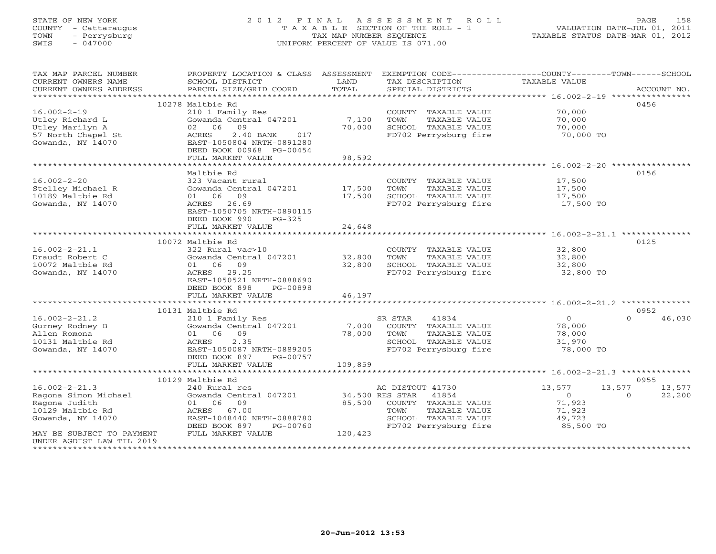# STATE OF NEW YORK 2 0 1 2 F I N A L A S S E S S M E N T R O L L PAGE 158 COUNTY - Cattaraugus T A X A B L E SECTION OF THE ROLL - 1 VALUATION DATE-JUL 01, 2011 TOWN - Perrysburg TAX MAP NUMBER SEQUENCE TAXABLE STATUS DATE-MAR 01, 2012 SWIS - 047000 UNIFORM PERCENT OF VALUE IS 071.00UNIFORM PERCENT OF VALUE IS 071.00

| TAX MAP PARCEL NUMBER                                                                                                                                                                                                                                                                                                                                                                                                                                                                                                                            | PROPERTY LOCATION & CLASS ASSESSMENT EXEMPTION CODE----------------COUNTY-------TOWN------SCHOOL |         |                       |                      |                    |
|--------------------------------------------------------------------------------------------------------------------------------------------------------------------------------------------------------------------------------------------------------------------------------------------------------------------------------------------------------------------------------------------------------------------------------------------------------------------------------------------------------------------------------------------------|--------------------------------------------------------------------------------------------------|---------|-----------------------|----------------------|--------------------|
| CURRENT OWNERS NAME                                                                                                                                                                                                                                                                                                                                                                                                                                                                                                                              | SCHOOL DISTRICT                                                                                  | LAND    | TAX DESCRIPTION       | <b>TAXABLE VALUE</b> |                    |
| CURRENT OWNERS ADDRESS<br>$\begin{minipage}{.45\textwidth} \begin{minipage}{.45\textwidth} \begin{minipage}{.45\textwidth} \begin{minipage}{.45\textwidth} \begin{minipage}{.45\textwidth} \begin{minipage}{.45\textwidth} \begin{minipage}{.45\textwidth} \begin{minipage}{.45\textwidth} \begin{minipage}{.45\textwidth} \begin{minipage}{.45\textwidth} \begin{minipage}{.45\textwidth} \begin{minipage}{.45\textwidth} \begin{minipage}{.45\textwidth} \begin{minipage}{.45\textwidth} \begin{minipage}{.45\textwidth} \begin{minipage}{.45$ |                                                                                                  |         |                       |                      |                    |
|                                                                                                                                                                                                                                                                                                                                                                                                                                                                                                                                                  |                                                                                                  |         |                       |                      |                    |
|                                                                                                                                                                                                                                                                                                                                                                                                                                                                                                                                                  | 10278 Maltbie Rd                                                                                 |         |                       |                      | 0456               |
| $16.002 - 2 - 19$                                                                                                                                                                                                                                                                                                                                                                                                                                                                                                                                | 210 1 Family Res                                                                                 |         | COUNTY TAXABLE VALUE  | 70,000               |                    |
| Utley Richard L                                                                                                                                                                                                                                                                                                                                                                                                                                                                                                                                  | Gowanda Central 047201                                                                           | 7,100   | TOWN<br>TAXABLE VALUE | 70,000               |                    |
| Utley Marilyn A                                                                                                                                                                                                                                                                                                                                                                                                                                                                                                                                  | 02 06<br>09                                                                                      | 70,000  | SCHOOL TAXABLE VALUE  | 70,000               |                    |
| 57 North Chapel St                                                                                                                                                                                                                                                                                                                                                                                                                                                                                                                               | 2.40 BANK<br>ACRES<br>017                                                                        |         | FD702 Perrysburg fire | 70,000 TO            |                    |
| Gowanda, NY 14070                                                                                                                                                                                                                                                                                                                                                                                                                                                                                                                                | EAST-1050804 NRTH-0891280                                                                        |         |                       |                      |                    |
|                                                                                                                                                                                                                                                                                                                                                                                                                                                                                                                                                  | DEED BOOK 00968 PG-00454                                                                         |         |                       |                      |                    |
|                                                                                                                                                                                                                                                                                                                                                                                                                                                                                                                                                  | FULL MARKET VALUE                                                                                | 98,592  |                       |                      |                    |
|                                                                                                                                                                                                                                                                                                                                                                                                                                                                                                                                                  |                                                                                                  |         |                       |                      |                    |
|                                                                                                                                                                                                                                                                                                                                                                                                                                                                                                                                                  | Maltbie Rd                                                                                       |         |                       |                      | 0156               |
| $16.002 - 2 - 20$                                                                                                                                                                                                                                                                                                                                                                                                                                                                                                                                | 323 Vacant rural                                                                                 |         | COUNTY TAXABLE VALUE  | 17,500               |                    |
| Stelley Michael R                                                                                                                                                                                                                                                                                                                                                                                                                                                                                                                                | Gowanda Central 047201 17,500                                                                    |         | TOWN<br>TAXABLE VALUE | 17,500               |                    |
| 10189 Maltbie Rd                                                                                                                                                                                                                                                                                                                                                                                                                                                                                                                                 | 01 06 09                                                                                         | 17,500  | SCHOOL TAXABLE VALUE  | 17,500               |                    |
| Gowanda, NY 14070                                                                                                                                                                                                                                                                                                                                                                                                                                                                                                                                | 26.69<br>ACRES                                                                                   |         | FD702 Perrysburg fire | 17,500 TO            |                    |
|                                                                                                                                                                                                                                                                                                                                                                                                                                                                                                                                                  | EAST-1050705 NRTH-0890115                                                                        |         |                       |                      |                    |
|                                                                                                                                                                                                                                                                                                                                                                                                                                                                                                                                                  | DEED BOOK 990<br>PG-325                                                                          | 24,648  |                       |                      |                    |
|                                                                                                                                                                                                                                                                                                                                                                                                                                                                                                                                                  | FULL MARKET VALUE                                                                                |         |                       |                      |                    |
|                                                                                                                                                                                                                                                                                                                                                                                                                                                                                                                                                  | 10072 Maltbie Rd                                                                                 |         |                       |                      | 0125               |
| $16.002 - 2 - 21.1$                                                                                                                                                                                                                                                                                                                                                                                                                                                                                                                              | 322 Rural vac>10                                                                                 |         | COUNTY TAXABLE VALUE  | 32,800               |                    |
| Draudt Robert C                                                                                                                                                                                                                                                                                                                                                                                                                                                                                                                                  | Gowanda Central 047201 32,800                                                                    |         | TOWN<br>TAXABLE VALUE | 32,800               |                    |
| 10072 Maltbie Rd                                                                                                                                                                                                                                                                                                                                                                                                                                                                                                                                 | 01 06 09                                                                                         | 32,800  | SCHOOL TAXABLE VALUE  | 32,800               |                    |
| Gowanda, NY 14070                                                                                                                                                                                                                                                                                                                                                                                                                                                                                                                                | ACRES 29.25                                                                                      |         | FD702 Perrysburg fire | 32,800 TO            |                    |
|                                                                                                                                                                                                                                                                                                                                                                                                                                                                                                                                                  | EAST-1050521 NRTH-0888690                                                                        |         |                       |                      |                    |
|                                                                                                                                                                                                                                                                                                                                                                                                                                                                                                                                                  | DEED BOOK 898<br>PG-00898                                                                        |         |                       |                      |                    |
|                                                                                                                                                                                                                                                                                                                                                                                                                                                                                                                                                  | FULL MARKET VALUE                                                                                | 46,197  |                       |                      |                    |
|                                                                                                                                                                                                                                                                                                                                                                                                                                                                                                                                                  |                                                                                                  |         |                       |                      |                    |
|                                                                                                                                                                                                                                                                                                                                                                                                                                                                                                                                                  | 10131 Maltbie Rd                                                                                 |         |                       |                      | 0952               |
| $16.002 - 2 - 21.2$                                                                                                                                                                                                                                                                                                                                                                                                                                                                                                                              | 210 1 Family Res                                                                                 |         | SR STAR<br>41834      | $\overline{0}$       | $\Omega$<br>46,030 |
| Gurney Rodney B                                                                                                                                                                                                                                                                                                                                                                                                                                                                                                                                  | Gowanda Central 047201                                                                           | 7,000   | COUNTY TAXABLE VALUE  | 78,000               |                    |
| Allen Romona                                                                                                                                                                                                                                                                                                                                                                                                                                                                                                                                     | 01 06 09                                                                                         | 78,000  | TOWN<br>TAXABLE VALUE | 78,000               |                    |
| 10131 Maltbie Rd                                                                                                                                                                                                                                                                                                                                                                                                                                                                                                                                 | ACRES<br>2.35                                                                                    |         | SCHOOL TAXABLE VALUE  | 31,970               |                    |
| Gowanda, NY 14070                                                                                                                                                                                                                                                                                                                                                                                                                                                                                                                                | EAST-1050087 NRTH-0889205                                                                        |         | FD702 Perrysburg fire | 78,000 TO            |                    |
|                                                                                                                                                                                                                                                                                                                                                                                                                                                                                                                                                  | DEED BOOK 897<br>PG-00757                                                                        |         |                       |                      |                    |
|                                                                                                                                                                                                                                                                                                                                                                                                                                                                                                                                                  | FULL MARKET VALUE                                                                                | 109,859 |                       |                      |                    |
|                                                                                                                                                                                                                                                                                                                                                                                                                                                                                                                                                  |                                                                                                  |         |                       |                      |                    |
|                                                                                                                                                                                                                                                                                                                                                                                                                                                                                                                                                  | 10129 Maltbie Rd                                                                                 |         |                       |                      | 0955               |
| $16.002 - 2 - 21.3$                                                                                                                                                                                                                                                                                                                                                                                                                                                                                                                              | 240 Rural res                                                                                    |         | AG DISTOUT 41730      | 13,577               | 13,577<br>13,577   |
| Ragona Simon Michael                                                                                                                                                                                                                                                                                                                                                                                                                                                                                                                             | Gowanda Central 047201 34,500 RES STAR 41854                                                     |         |                       | $\overline{O}$       | 22,200<br>$\Omega$ |
| Ragona Judith                                                                                                                                                                                                                                                                                                                                                                                                                                                                                                                                    | 01 06 09                                                                                         | 85,500  | COUNTY TAXABLE VALUE  | 71,923               |                    |
| 10129 Maltbie Rd                                                                                                                                                                                                                                                                                                                                                                                                                                                                                                                                 | ACRES 67.00                                                                                      |         | TAXABLE VALUE<br>TOWN | 71,923               |                    |
| Gowanda, NY 14070                                                                                                                                                                                                                                                                                                                                                                                                                                                                                                                                | EAST-1048440 NRTH-0888780                                                                        |         | SCHOOL TAXABLE VALUE  | 49,723               |                    |
|                                                                                                                                                                                                                                                                                                                                                                                                                                                                                                                                                  | DEED BOOK 897<br>PG-00760                                                                        |         | FD702 Perrysburg fire | 85,500 TO            |                    |
| MAY BE SUBJECT TO PAYMENT                                                                                                                                                                                                                                                                                                                                                                                                                                                                                                                        | FULL MARKET VALUE                                                                                | 120,423 |                       |                      |                    |
| UNDER AGDIST LAW TIL 2019                                                                                                                                                                                                                                                                                                                                                                                                                                                                                                                        |                                                                                                  |         |                       |                      |                    |
|                                                                                                                                                                                                                                                                                                                                                                                                                                                                                                                                                  |                                                                                                  |         |                       |                      |                    |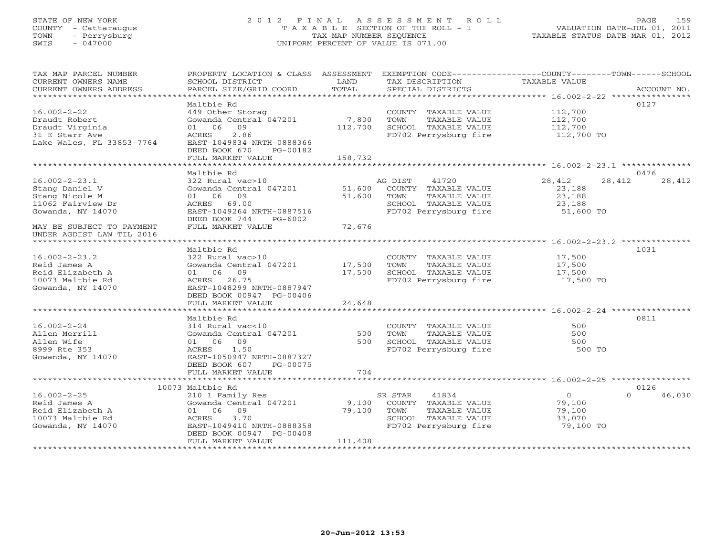# STATE OF NEW YORK 2 0 1 2 F I N A L A S S E S S M E N T R O L L PAGE 159 COUNTY - Cattaraugus T A X A B L E SECTION OF THE ROLL - 1 VALUATION DATE-JUL 01, 2011 TOWN - Perrysburg TAX MAP NUMBER SEQUENCE TAXABLE STATUS DATE-MAR 01, 2012 SWIS - 047000 UNIFORM PERCENT OF VALUE IS 071.00UNIFORM PERCENT OF VALUE IS 071.00

| TAX MAP PARCEL NUMBER<br>CURRENT OWNERS NAME | PROPERTY LOCATION & CLASS ASSESSMENT<br>SCHOOL DISTRICT | LAND    | TAX DESCRIPTION       | EXEMPTION CODE-----------------COUNTY-------TOWN------SCHOOL<br>TAXABLE VALUE |             |
|----------------------------------------------|---------------------------------------------------------|---------|-----------------------|-------------------------------------------------------------------------------|-------------|
| CURRENT OWNERS ADDRESS                       | PARCEL SIZE/GRID COORD                                  | TOTAL   | SPECIAL DISTRICTS     |                                                                               | ACCOUNT NO. |
| ************************                     |                                                         |         |                       |                                                                               | 0127        |
| $16.002 - 2 - 22$                            | Maltbie Rd<br>449 Other Storag                          |         | COUNTY TAXABLE VALUE  | 112,700                                                                       |             |
| Draudt Robert                                | Gowanda Central 047201                                  | 7,800   | TOWN<br>TAXABLE VALUE | 112,700                                                                       |             |
| Draudt Virginia                              | 09<br>01 06                                             | 112,700 | SCHOOL TAXABLE VALUE  | 112,700                                                                       |             |
| 31 E Starr Ave                               | 2.86<br>ACRES                                           |         | FD702 Perrysburg fire | 112,700 TO                                                                    |             |
| Lake Wales, FL 33853-7764                    | EAST-1049834 NRTH-0888366                               |         |                       |                                                                               |             |
|                                              | DEED BOOK 670<br>PG-00182                               |         |                       |                                                                               |             |
|                                              | FULL MARKET VALUE                                       | 158,732 |                       |                                                                               |             |
|                                              | ************************                                |         |                       |                                                                               |             |
|                                              | Maltbie Rd                                              |         |                       |                                                                               | 0476        |
| $16.002 - 2 - 23.1$                          | 322 Rural vac>10                                        |         | AG DIST<br>41720      | 28,412<br>28,412                                                              | 28,412      |
| Stang Daniel V                               | Gowanda Central 047201                                  | 51,600  | COUNTY TAXABLE VALUE  | 23,188                                                                        |             |
| Stang Nicole M                               | 01 06 09                                                | 51,600  | TOWN<br>TAXABLE VALUE | 23,188                                                                        |             |
| 11062 Fairview Dr                            | ACRES 69.00                                             |         | SCHOOL TAXABLE VALUE  | 23,188                                                                        |             |
| Gowanda, NY 14070                            | EAST-1049264 NRTH-0887516                               |         | FD702 Perrysburg fire | 51,600 TO                                                                     |             |
|                                              | DEED BOOK 744<br>PG-6002                                |         |                       |                                                                               |             |
| MAY BE SUBJECT TO PAYMENT                    | FULL MARKET VALUE                                       | 72,676  |                       |                                                                               |             |
| UNDER AGDIST LAW TIL 2016                    |                                                         |         |                       |                                                                               |             |
|                                              | Maltbie Rd                                              |         |                       |                                                                               | 1031        |
| $16.002 - 2 - 23.2$                          | 322 Rural vac>10                                        |         | COUNTY TAXABLE VALUE  | 17,500                                                                        |             |
| Reid James A                                 | Gowanda Central 047201                                  | 17,500  | TOWN<br>TAXABLE VALUE | 17,500                                                                        |             |
| Reid Elizabeth A                             | 01 06 09                                                | 17,500  | SCHOOL TAXABLE VALUE  | 17,500                                                                        |             |
| 10073 Maltbie Rd                             | ACRES 26.75                                             |         | FD702 Perrysburg fire | 17,500 TO                                                                     |             |
| Gowanda, NY 14070                            | EAST-1048299 NRTH-0887947                               |         |                       |                                                                               |             |
|                                              | DEED BOOK 00947 PG-00406                                |         |                       |                                                                               |             |
|                                              | FULL MARKET VALUE                                       | 24,648  |                       |                                                                               |             |
|                                              |                                                         |         |                       |                                                                               |             |
|                                              | Maltbie Rd                                              |         |                       |                                                                               | 0811        |
| $16.002 - 2 - 24$                            | 314 Rural vac<10                                        |         | COUNTY TAXABLE VALUE  | 500                                                                           |             |
| Allen Merrill                                | Gowanda Central 047201                                  | 500     | TOWN<br>TAXABLE VALUE | 500                                                                           |             |
| Allen Wife                                   | 09<br>01 06                                             | 500     | SCHOOL TAXABLE VALUE  | 500                                                                           |             |
| 8999 Rte 353                                 | 1.50<br>ACRES                                           |         | FD702 Perrysburg fire | 500 TO                                                                        |             |
| Gowanda, NY 14070                            | EAST-1050947 NRTH-0887327                               |         |                       |                                                                               |             |
|                                              | DEED BOOK 607<br>PG-00075                               |         |                       |                                                                               |             |
|                                              | FULL MARKET VALUE                                       | 704     |                       |                                                                               |             |
|                                              | 10073 Maltbie Rd                                        |         |                       |                                                                               | 0126        |
| $16.002 - 2 - 25$                            | 210 1 Family Res                                        |         | 41834<br>SR STAR      | $\circ$<br>$\Omega$                                                           | 46,030      |
| Reid James A                                 | Gowanda Central 047201                                  | 9,100   | COUNTY TAXABLE VALUE  | 79,100                                                                        |             |
| Reid Elizabeth A                             | 09<br>01 06                                             | 79,100  | TOWN<br>TAXABLE VALUE | 79,100                                                                        |             |
| 10073 Maltbie Rd                             | 3.70<br>ACRES                                           |         | SCHOOL TAXABLE VALUE  | 33,070                                                                        |             |
| Gowanda, NY 14070                            | EAST-1049410 NRTH-0888358                               |         | FD702 Perrysburg fire | 79,100 TO                                                                     |             |
|                                              | DEED BOOK 00947 PG-00408                                |         |                       |                                                                               |             |
|                                              | FULL MARKET VALUE                                       | 111,408 |                       |                                                                               |             |
|                                              |                                                         |         |                       |                                                                               |             |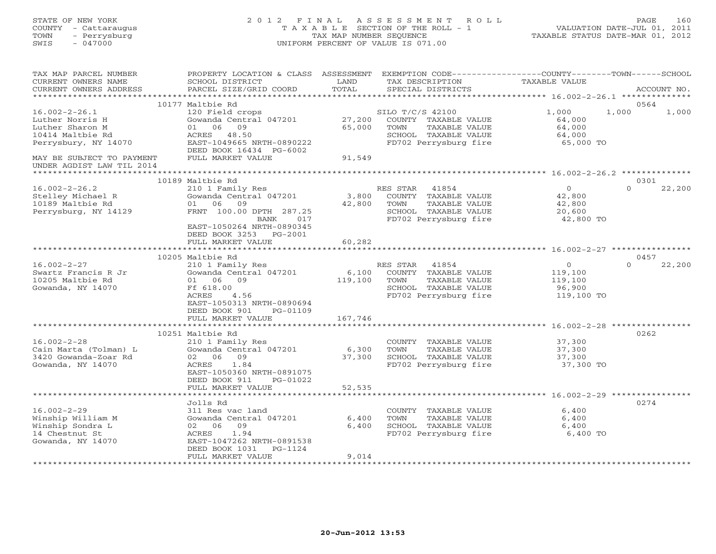| STATE OF NEW YORK<br>COUNTY - Cattaraugus<br>TOWN<br>- Perrysburg<br>$-047000$<br>SWIS            | 2012 FINAL                                                                        | TAX MAP NUMBER SEQUENCE        | ASSESSMENT<br>ROLL<br>T A X A B L E SECTION OF THE ROLL - 1<br>UNIFORM PERCENT OF VALUE IS 071.00    |                                      | PAGE<br>160<br>VALUATION DATE-JUL 01, 2011<br>TAXABLE STATUS DATE-MAR 01, 2012 |
|---------------------------------------------------------------------------------------------------|-----------------------------------------------------------------------------------|--------------------------------|------------------------------------------------------------------------------------------------------|--------------------------------------|--------------------------------------------------------------------------------|
| TAX MAP PARCEL NUMBER<br>CURRENT OWNERS NAME<br>CURRENT OWNERS ADDRESS<br>*********************** | PROPERTY LOCATION & CLASS ASSESSMENT<br>SCHOOL DISTRICT<br>PARCEL SIZE/GRID COORD | LAND<br>TOTAL                  | EXEMPTION CODE-----------------COUNTY-------TOWN------SCHOOL<br>TAX DESCRIPTION<br>SPECIAL DISTRICTS | TAXABLE VALUE                        | ACCOUNT NO.                                                                    |
|                                                                                                   | 10177 Maltbie Rd                                                                  |                                |                                                                                                      |                                      | 0564                                                                           |
| $16.002 - 2 - 26.1$                                                                               | 120 Field crops                                                                   |                                | SILO T/C/S 42100                                                                                     | 1,000                                | 1,000<br>1,000                                                                 |
| Luther Norris H<br>Luther Sharon M                                                                | Gowanda Central 047201<br>01<br>06<br>09                                          | 27,200<br>65,000               | COUNTY TAXABLE VALUE<br>TOWN<br>TAXABLE VALUE                                                        | 64,000<br>64,000                     |                                                                                |
| 10414 Maltbie Rd<br>Perrysbury, NY 14070                                                          | ACRES 48.50<br>EAST-1049665 NRTH-0890222<br>DEED BOOK 16434 PG-6002               |                                | SCHOOL TAXABLE VALUE<br>FD702 Perrysburg fire                                                        | 64,000<br>65,000 TO                  |                                                                                |
| MAY BE SUBJECT TO PAYMENT<br>UNDER AGDIST LAW TIL 2014                                            | FULL MARKET VALUE                                                                 | 91,549                         |                                                                                                      |                                      |                                                                                |
|                                                                                                   |                                                                                   |                                |                                                                                                      |                                      |                                                                                |
|                                                                                                   | 10189 Maltbie Rd                                                                  |                                |                                                                                                      | $\overline{0}$                       | 0301<br>$\Omega$                                                               |
| $16.002 - 2 - 26.2$<br>Stelley Michael R                                                          | 210 1 Family Res<br>Gowanda Central 047201                                        | 3,800                          | RES STAR<br>41854<br>COUNTY TAXABLE VALUE                                                            | 42,800                               | 22,200                                                                         |
| 10189 Maltbie Rd                                                                                  | 01 06<br>09                                                                       | 42,800                         | TAXABLE VALUE<br>TOWN                                                                                | 42,800                               |                                                                                |
| Perrysburg, NY 14129                                                                              | FRNT 100.00 DPTH 287.25                                                           |                                | SCHOOL TAXABLE VALUE                                                                                 | 20,600                               |                                                                                |
|                                                                                                   | BANK<br>017<br>EAST-1050264 NRTH-0890345<br>DEED BOOK 3253 PG-2001                |                                | FD702 Perrysburg fire                                                                                | 42,800 TO                            |                                                                                |
|                                                                                                   | FULL MARKET VALUE                                                                 | 60,282                         |                                                                                                      |                                      |                                                                                |
|                                                                                                   | ************************                                                          | * * * * * * * * * * * * *      |                                                                                                      |                                      |                                                                                |
|                                                                                                   | 10205 Maltbie Rd                                                                  |                                |                                                                                                      |                                      | 0457                                                                           |
| $16.002 - 2 - 27$                                                                                 | 210 1 Family Res                                                                  |                                | RES STAR<br>41854                                                                                    | $\circ$                              | $\Omega$<br>22,200                                                             |
| Swartz Francis R Jr<br>10205 Maltbie Rd                                                           | Gowanda Central 047201<br>09<br>01<br>06                                          | 6,100<br>119,100               | COUNTY TAXABLE VALUE<br>TOWN<br>TAXABLE VALUE                                                        | 119,100<br>119,100                   |                                                                                |
| Gowanda, NY 14070                                                                                 | Ff 618.00                                                                         |                                | SCHOOL TAXABLE VALUE                                                                                 | 96,900                               |                                                                                |
|                                                                                                   | ACRES<br>4.56                                                                     |                                | FD702 Perrysburg fire                                                                                | 119,100 TO                           |                                                                                |
|                                                                                                   | EAST-1050313 NRTH-0890694<br>DEED BOOK 901<br>PG-01109                            |                                |                                                                                                      |                                      |                                                                                |
|                                                                                                   | FULL MARKET VALUE                                                                 | 167,746                        |                                                                                                      | $16.002 - 2 - 28$ **********         |                                                                                |
|                                                                                                   | 10251 Maltbie Rd                                                                  |                                |                                                                                                      |                                      | 0262                                                                           |
| $16.002 - 2 - 28$                                                                                 | 210 1 Family Res                                                                  |                                | COUNTY<br>TAXABLE VALUE                                                                              | 37,300                               |                                                                                |
| Cain Marta (Tolman) L                                                                             | Gowanda Central 047201                                                            | 6,300                          | TOWN<br>TAXABLE VALUE                                                                                | 37,300                               |                                                                                |
| 3420 Gowanda-Zoar Rd                                                                              | 02 06<br>09                                                                       | 37,300                         | SCHOOL TAXABLE VALUE                                                                                 | 37,300                               |                                                                                |
| Gowanda, NY 14070                                                                                 | ACRES<br>1.84                                                                     |                                | FD702 Perrysburg fire                                                                                | 37,300 TO                            |                                                                                |
|                                                                                                   | EAST-1050360 NRTH-0891075<br>DEED BOOK 911<br>PG-01022                            |                                |                                                                                                      |                                      |                                                                                |
|                                                                                                   | FULL MARKET VALUE                                                                 | 52,535                         |                                                                                                      |                                      |                                                                                |
|                                                                                                   |                                                                                   | * * * * * * * *                |                                                                                                      | ************* 16.002-2-29 ********** |                                                                                |
|                                                                                                   | Jolls Rd                                                                          |                                |                                                                                                      |                                      | 0274                                                                           |
| $16.002 - 2 - 29$                                                                                 | 311 Res vac land                                                                  |                                | COUNTY TAXABLE VALUE                                                                                 | 6,400                                |                                                                                |
| Winship William M<br>Winship Sondra L                                                             | Gowanda Central 047201<br>09<br>02 06                                             | 6,400<br>6,400                 | TOWN<br>TAXABLE VALUE<br>SCHOOL TAXABLE VALUE                                                        | 6,400<br>6,400                       |                                                                                |
| 14 Chestnut St                                                                                    | ACRES<br>1.94                                                                     |                                | FD702 Perrysburg fire                                                                                | 6,400 TO                             |                                                                                |
| Gowanda, NY 14070                                                                                 | EAST-1047262 NRTH-0891538                                                         |                                |                                                                                                      |                                      |                                                                                |
|                                                                                                   | DEED BOOK 1031<br>PG-1124                                                         |                                |                                                                                                      |                                      |                                                                                |
|                                                                                                   | FULL MARKET VALUE<br>***************************                                  | 9,014<br>* * * * * * * * * * * |                                                                                                      |                                      |                                                                                |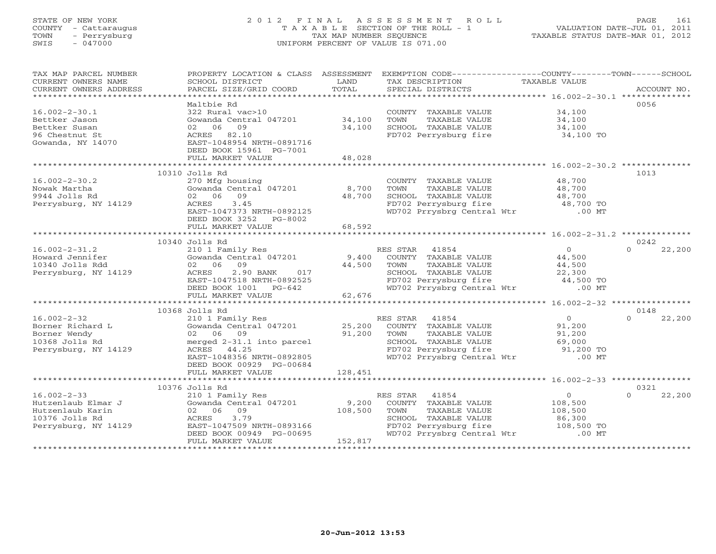## STATE OF NEW YORK 2 0 1 2 F I N A L A S S E S S M E N T R O L L PAGE 161 COUNTY - Cattaraugus T A X A B L E SECTION OF THE ROLL - 1 VALUATION DATE-JUL 01, 2011 TOWN - Perrysburg TAX MAP NUMBER SEQUENCE TAXABLE STATUS DATE-MAR 01, 2012 SWIS - 047000 UNIFORM PERCENT OF VALUE IS 071.00UNIFORM PERCENT OF VALUE IS 071.00

| TAX MAP PARCEL NUMBER<br>CURRENT OWNERS NAME<br>CURRENT OWNERS ADDRESS                                                                                                                            | PROPERTY LOCATION & CLASS ASSESSMENT<br>SCHOOL DISTRICT<br>PARCEL SIZE/GRID COORD                                                                                                       | LAND<br>TOTAL | TAX DESCRIPTION TAXABLE VALUE SPECIAL DISTRICTS                                                                                  | EXEMPTION CODE-----------------COUNTY-------TOWN------SCHOOL                                 | ACCOUNT NO.        |
|---------------------------------------------------------------------------------------------------------------------------------------------------------------------------------------------------|-----------------------------------------------------------------------------------------------------------------------------------------------------------------------------------------|---------------|----------------------------------------------------------------------------------------------------------------------------------|----------------------------------------------------------------------------------------------|--------------------|
|                                                                                                                                                                                                   | Maltbie Rd                                                                                                                                                                              |               |                                                                                                                                  |                                                                                              | 0056               |
| $16.002 - 2 - 30.1$<br>Bettker Jason<br>Bettker Susan                                                                                                                                             | 322 Rural vac>10<br>Gowanda Central 047201 34,100<br>02 06 09                                                                                                                           | 34,100        | COUNTY TAXABLE VALUE 34,100<br>TOWN                                                                                              | $\begin{tabular}{ll} TAXABLE & VALUE & & 34,100 \\ TAXABLE & VALUE & & 34,100 \end{tabular}$ |                    |
| 96 Chestnut St<br>Gowanda, NY 14070                                                                                                                                                               | ACRES 82.10<br>EAST-1048954 NRTH-0891716<br>DEED BOOK 15961 PG-7001                                                                                                                     |               | SCHOOL TAXABLE VALUE 34,100<br>FD702 Perrysburg fire 34,100 TO                                                                   |                                                                                              |                    |
|                                                                                                                                                                                                   | FULL MARKET VALUE                                                                                                                                                                       | 48,028        |                                                                                                                                  |                                                                                              |                    |
|                                                                                                                                                                                                   | 10310 Jolls Rd                                                                                                                                                                          |               |                                                                                                                                  |                                                                                              | 1013               |
| $16.002 - 2 - 30.2$                                                                                                                                                                               |                                                                                                                                                                                         |               | COUNTY TAXABLE VALUE 48,700                                                                                                      |                                                                                              |                    |
| Nowak Martha                                                                                                                                                                                      | 270 Mfg housing<br>Gowanda Central 047201 8,700<br>02 06 09 48,700<br>ACRES 3.45                                                                                                        |               |                                                                                                                                  |                                                                                              |                    |
| 9944 Jolls Rd                                                                                                                                                                                     |                                                                                                                                                                                         |               |                                                                                                                                  |                                                                                              |                    |
| Perrysburg, NY 14129                                                                                                                                                                              |                                                                                                                                                                                         |               |                                                                                                                                  |                                                                                              |                    |
|                                                                                                                                                                                                   | EAST-1047373 NRTH-0892125<br>DEED BOOK 3252 PG-8002                                                                                                                                     |               | TOWN TAXABLE VALUE 48,700<br>SCHOOL TAXABLE VALUE 48,700<br>FD702 Perrysburg fire 48,700 TO<br>WD702 Prrysbrg Central Wtr .00 MT |                                                                                              |                    |
|                                                                                                                                                                                                   | FULL MARKET VALUE                                                                                                                                                                       | 68,592        |                                                                                                                                  |                                                                                              |                    |
|                                                                                                                                                                                                   | 10340 Jolls Rd                                                                                                                                                                          |               |                                                                                                                                  |                                                                                              | 0242               |
| $16.002 - 2 - 31.2$                                                                                                                                                                               | 210 1 Family Res                                                                                                                                                                        |               | RES STAR 41854                                                                                                                   | $\overline{0}$                                                                               | $\Omega$<br>22,200 |
| Howard Jennifer                                                                                                                                                                                   | Gowanda Central $047201$ 9,400                                                                                                                                                          |               | COUNTY TAXABLE VALUE 44,500                                                                                                      |                                                                                              |                    |
| 10340 Jolls Rdd                                                                                                                                                                                   |                                                                                                                                                                                         |               | TOWN<br>TAXABLE VALUE                                                                                                            | 44,500                                                                                       |                    |
| Perrysburg, NY 14129                                                                                                                                                                              |                                                                                                                                                                                         |               | CHOOL TAXABLE VALUE<br>FD702 Perrysburg fire 32,300<br>WD702 Prrysbrg Central Wtr .00 MT                                         |                                                                                              |                    |
|                                                                                                                                                                                                   |                                                                                                                                                                                         |               |                                                                                                                                  |                                                                                              |                    |
|                                                                                                                                                                                                   |                                                                                                                                                                                         |               |                                                                                                                                  |                                                                                              |                    |
|                                                                                                                                                                                                   |                                                                                                                                                                                         |               |                                                                                                                                  |                                                                                              |                    |
|                                                                                                                                                                                                   | 10368 Jolls Rd                                                                                                                                                                          |               |                                                                                                                                  |                                                                                              | 0148               |
|                                                                                                                                                                                                   | 210 1 Family Res                                                                                                                                                                        |               | RES STAR 41854                                                                                                                   |                                                                                              | $\Omega$<br>22,200 |
|                                                                                                                                                                                                   |                                                                                                                                                                                         |               | ES STAR 41854<br>COUNTY TAXABLE VALUE                                                                                            | $\begin{array}{c} 0 \\ 91,200 \end{array}$                                                   |                    |
|                                                                                                                                                                                                   | 210 1 Family Res<br>Gowanda Central 047201 25,200<br>02 06 09 91,200<br>merged 2-31.1 into parcel 201,200                                                                               |               | TOWN                                                                                                                             | TAXABLE VALUE<br>TAXABLE VALUE 91,200<br>TAXABLE VALUE 69,000                                |                    |
|                                                                                                                                                                                                   |                                                                                                                                                                                         |               |                                                                                                                                  |                                                                                              |                    |
| $\begin{tabular}{llllllll} 16.002-2-32 & 210 1 FamilyBorner Richard L & Gowanda CentrBorner Wendy & 02 & 06 & 0910368 Jolls Rd & merged 2-31.1Perrysburg, NY 14129 & ACRES & 44.25 \end{tabular}$ | ACRES 44.25                                                                                                                                                                             |               | SCHOOL TAXABLE VALUE 69,000<br>FD702 Perrysburg fire 91,200 TO<br>WD702 Prrysbrg Central Wtr .00 MT                              |                                                                                              |                    |
|                                                                                                                                                                                                   | EAST-1048356 NRTH-0892805<br>DEED BOOK 00929 PG-00684                                                                                                                                   |               |                                                                                                                                  |                                                                                              |                    |
|                                                                                                                                                                                                   | FULL MARKET VALUE                                                                                                                                                                       | 128,451       |                                                                                                                                  |                                                                                              |                    |
|                                                                                                                                                                                                   |                                                                                                                                                                                         |               |                                                                                                                                  |                                                                                              |                    |
|                                                                                                                                                                                                   | 10376 Jolls Rd                                                                                                                                                                          |               |                                                                                                                                  |                                                                                              | 0321               |
| $16.002 - 2 - 33$<br>Hutzenlaub Elmar J<br>Hutzenlaub Elmar J<br>10376 Jolls Rd<br>Perryshurg NY 11000                                                                                            | Jolls Rd<br>210 1 Family Res<br>Gowanda Central 047201 9,200 COUNTY TAXABLE VALUE<br>02 06 09<br>200 108,500 TOWN TAXABLE VALUE<br>200 SCHOOL TAXABLE VALUE<br>379 5CHOOL TAXABLE VALUE |               |                                                                                                                                  | $\begin{array}{c} 0 \\ 108,500 \end{array}$                                                  | $\Omega$<br>22,200 |
|                                                                                                                                                                                                   |                                                                                                                                                                                         |               |                                                                                                                                  |                                                                                              |                    |
|                                                                                                                                                                                                   |                                                                                                                                                                                         |               |                                                                                                                                  | TAXABLE VALUE<br>TAXABLE VALUE 108,500<br>TAXABLE VALUE 86,300                               |                    |
| Perrysburg, NY 14129                                                                                                                                                                              |                                                                                                                                                                                         |               |                                                                                                                                  |                                                                                              |                    |
|                                                                                                                                                                                                   | EAST-1047509 NRTH-0893166<br>DEED BOOK 00949 PG-00695                                                                                                                                   |               | SCHOOL TAXABLE VALUE 86,300<br>FD702 Perrysburg fire 108,500 TO<br>WD702 Prrysbrg Central Wtr .00 MT                             |                                                                                              |                    |
|                                                                                                                                                                                                   | FULL MARKET VALUE                                                                                                                                                                       | 152,817       |                                                                                                                                  |                                                                                              |                    |
|                                                                                                                                                                                                   |                                                                                                                                                                                         |               |                                                                                                                                  |                                                                                              |                    |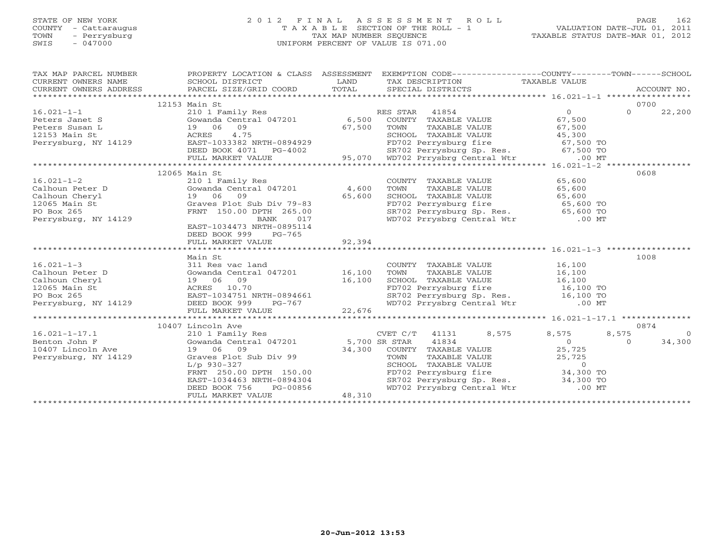# STATE OF NEW YORK 2 0 1 2 F I N A L A S S E S S M E N T R O L L PAGE 162 COUNTY - Cattaraugus T A X A B L E SECTION OF THE ROLL - 1 VALUATION DATE-JUL 01, 2011 TOWN - Perrysburg TAX MAP NUMBER SEQUENCE TAXABLE STATUS DATE-MAR 01, 2012 SWIS - 047000 UNIFORM PERCENT OF VALUE IS 071.00UNIFORM PERCENT OF VALUE IS 071.00

| TAX MAP PARCEL NUMBER<br>$\begin{tabular}{lllllll} \multicolumn{2}{c}{\textbf{CURRENT}} & \multicolumn{2}{c}{\textbf{WNERS}} & \multicolumn{2}{c}{\textbf{NAME}} & \multicolumn{2}{c}{\textbf{SCHOOL}} & \multicolumn{2}{c}{\textbf{LAND}} & \multicolumn{2}{c}{\textbf{TAX} \textbf{DESCRIFTION}} & \multicolumn{2}{c}{\textbf{TAXABLE VALUE}} & \multicolumn{2}{c}{\textbf{NALUE}} \\ & \multicolumn{2}{c}{\textbf{CURRENT}} & \multicolumn{2}{c}{\textbf{WNERS} \textbf{ADDRES} & \textbf{PACEL} \text$ | PROPERTY LOCATION & CLASS ASSESSMENT EXEMPTION CODE----------------COUNTY-------TOWN------SCHOOL |                                                                                                                                                                                                |       |                          |
|------------------------------------------------------------------------------------------------------------------------------------------------------------------------------------------------------------------------------------------------------------------------------------------------------------------------------------------------------------------------------------------------------------------------------------------------------------------------------------------------------------|--------------------------------------------------------------------------------------------------|------------------------------------------------------------------------------------------------------------------------------------------------------------------------------------------------|-------|--------------------------|
|                                                                                                                                                                                                                                                                                                                                                                                                                                                                                                            |                                                                                                  |                                                                                                                                                                                                |       | 0700                     |
|                                                                                                                                                                                                                                                                                                                                                                                                                                                                                                            | 12153 Main St                                                                                    |                                                                                                                                                                                                |       | $\Omega$<br>22,200       |
| 16.021-1-1<br>Peters Janet S<br>Peters Susan L<br>210 1 Family Res<br>Gowanda Central 047201<br>210 1 Family Res<br>Cowanda Central 047201<br>26 67,500<br>27.500<br>27.500<br>27.500<br>27.500<br>27.500<br>27.500<br>27.500<br>27.500<br>27.500<br>27.500<br>27.                                                                                                                                                                                                                                         |                                                                                                  |                                                                                                                                                                                                |       |                          |
|                                                                                                                                                                                                                                                                                                                                                                                                                                                                                                            |                                                                                                  |                                                                                                                                                                                                |       |                          |
|                                                                                                                                                                                                                                                                                                                                                                                                                                                                                                            |                                                                                                  |                                                                                                                                                                                                |       |                          |
|                                                                                                                                                                                                                                                                                                                                                                                                                                                                                                            |                                                                                                  |                                                                                                                                                                                                |       |                          |
|                                                                                                                                                                                                                                                                                                                                                                                                                                                                                                            |                                                                                                  |                                                                                                                                                                                                |       |                          |
|                                                                                                                                                                                                                                                                                                                                                                                                                                                                                                            |                                                                                                  |                                                                                                                                                                                                |       |                          |
| 95.070 MBT 2011 MARKET VALUE 1047201<br>2013 Main St 2012 Main St 2012 MARKET VALUE 2013382 NRTH-0894929<br>2021 Main St 2021 MARKET VALUE 2014 MARKET VALUE 2014 MARKET VALUE 2014 MARKET VALUE 2014 MAGE VALUE 2014 MAGE VALUE<br>                                                                                                                                                                                                                                                                       |                                                                                                  |                                                                                                                                                                                                |       |                          |
|                                                                                                                                                                                                                                                                                                                                                                                                                                                                                                            | 12065 Main St                                                                                    |                                                                                                                                                                                                |       | 0608                     |
|                                                                                                                                                                                                                                                                                                                                                                                                                                                                                                            |                                                                                                  | COUNTY TAXABLE VALUE 65,600<br>TOWN TAXABLE VALUE 65,600<br>SCHOOL TAXABLE VALUE 65,600                                                                                                        |       |                          |
|                                                                                                                                                                                                                                                                                                                                                                                                                                                                                                            |                                                                                                  |                                                                                                                                                                                                |       |                          |
|                                                                                                                                                                                                                                                                                                                                                                                                                                                                                                            |                                                                                                  |                                                                                                                                                                                                |       |                          |
| 12065 Main St                                                                                                                                                                                                                                                                                                                                                                                                                                                                                              |                                                                                                  |                                                                                                                                                                                                |       |                          |
| PO Box 265                                                                                                                                                                                                                                                                                                                                                                                                                                                                                                 |                                                                                                  | FD702 Perrysburg fire<br>SR702 Perrysburg Sp. Res. 65,600 TO<br>WD702 Prrysbrg Central Wtr .00 MT                                                                                              |       |                          |
| Perrysburg, NY 14129                                                                                                                                                                                                                                                                                                                                                                                                                                                                                       |                                                                                                  |                                                                                                                                                                                                |       |                          |
|                                                                                                                                                                                                                                                                                                                                                                                                                                                                                                            | EAST-1034473 NRTH-0895114                                                                        |                                                                                                                                                                                                |       |                          |
|                                                                                                                                                                                                                                                                                                                                                                                                                                                                                                            | DEED BOOK 999 PG-765                                                                             |                                                                                                                                                                                                |       |                          |
|                                                                                                                                                                                                                                                                                                                                                                                                                                                                                                            |                                                                                                  |                                                                                                                                                                                                |       |                          |
|                                                                                                                                                                                                                                                                                                                                                                                                                                                                                                            |                                                                                                  |                                                                                                                                                                                                |       |                          |
|                                                                                                                                                                                                                                                                                                                                                                                                                                                                                                            | Main St                                                                                          |                                                                                                                                                                                                |       | 1008                     |
| 16.021-1-3<br>Calhoun Peter D<br>Calhoun Cheryl<br>Calhoun Cheryl<br>Calhoun Cheryl<br>Calhoun Cheryl<br>Calhoun Cheryl<br>Calhoun Cheryl<br>Cowanda Central 047201<br>Communications of the SCHOOL<br>26,100<br>COUNTY<br>COUNTY<br>COUNTY<br>COUNTY<br>COU                                                                                                                                                                                                                                               |                                                                                                  | COUNTY TAXABLE VALUE<br>TOWN TAXABLE VALUE 16,100<br>SCHOOL TAXABLE VALUE 16,100<br>FD702 Perrysburg fire 16,100 TO<br>SR702 Perrysburg Sp. Res. 16,100 TO<br>WD702 Prrysbrg Central Wtr 00 MT |       |                          |
|                                                                                                                                                                                                                                                                                                                                                                                                                                                                                                            |                                                                                                  |                                                                                                                                                                                                |       |                          |
|                                                                                                                                                                                                                                                                                                                                                                                                                                                                                                            |                                                                                                  |                                                                                                                                                                                                |       |                          |
|                                                                                                                                                                                                                                                                                                                                                                                                                                                                                                            |                                                                                                  |                                                                                                                                                                                                |       |                          |
|                                                                                                                                                                                                                                                                                                                                                                                                                                                                                                            |                                                                                                  |                                                                                                                                                                                                |       |                          |
|                                                                                                                                                                                                                                                                                                                                                                                                                                                                                                            |                                                                                                  |                                                                                                                                                                                                |       |                          |
|                                                                                                                                                                                                                                                                                                                                                                                                                                                                                                            |                                                                                                  |                                                                                                                                                                                                |       |                          |
|                                                                                                                                                                                                                                                                                                                                                                                                                                                                                                            |                                                                                                  |                                                                                                                                                                                                |       | 0874                     |
| $16.021 - 1 - 17.1$                                                                                                                                                                                                                                                                                                                                                                                                                                                                                        |                                                                                                  |                                                                                                                                                                                                | 8,575 | 8,575<br>$\bigcirc$      |
| Benton John F                                                                                                                                                                                                                                                                                                                                                                                                                                                                                              |                                                                                                  |                                                                                                                                                                                                |       | 34,300<br>$\overline{0}$ |
| 10407 Lincoln Ave                                                                                                                                                                                                                                                                                                                                                                                                                                                                                          |                                                                                                  |                                                                                                                                                                                                |       |                          |
| Perrysburg, NY 14129                                                                                                                                                                                                                                                                                                                                                                                                                                                                                       |                                                                                                  |                                                                                                                                                                                                |       |                          |
|                                                                                                                                                                                                                                                                                                                                                                                                                                                                                                            |                                                                                                  |                                                                                                                                                                                                |       |                          |
|                                                                                                                                                                                                                                                                                                                                                                                                                                                                                                            |                                                                                                  |                                                                                                                                                                                                |       |                          |
|                                                                                                                                                                                                                                                                                                                                                                                                                                                                                                            |                                                                                                  | COUNT TAXABLE VALUE<br>TOWN TAXABLE VALUE<br>SCHOOL TAXABLE VALUE<br>FD702 Perrysburg fire 34,300 TO<br>SR702 Perrysburg Sp. Res. 34,300 TO                                                    |       |                          |
|                                                                                                                                                                                                                                                                                                                                                                                                                                                                                                            |                                                                                                  | WD702 Prrysbrg Central Wtr .00 MT                                                                                                                                                              |       |                          |
|                                                                                                                                                                                                                                                                                                                                                                                                                                                                                                            |                                                                                                  |                                                                                                                                                                                                |       |                          |
|                                                                                                                                                                                                                                                                                                                                                                                                                                                                                                            |                                                                                                  |                                                                                                                                                                                                |       |                          |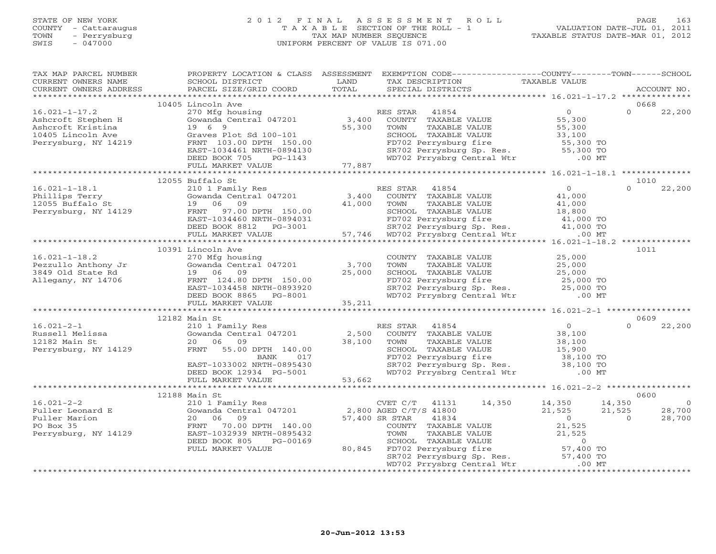## STATE OF NEW YORK 2 0 1 2 F I N A L A S S E S S M E N T R O L L PAGE 163 COUNTY - Cattaraugus T A X A B L E SECTION OF THE ROLL - 1 VALUATION DATE-JUL 01, 2011 TOWN - Perrysburg TAX MAP NUMBER SEQUENCE TAXABLE STATUS DATE-MAR 01, 2012 SWIS - 047000 UNIFORM PERCENT OF VALUE IS 071.00UNIFORM PERCENT OF VALUE IS 071.00

| TAX MAP PARCEL NUMBER<br>CURRENT OWNERS NAME<br>CURRENT OWNERS ADDRESS | SCHOOL DISTRICT<br>PARCEL SIZE/GRID COORD                                                         | LAND<br>TOTAL   | PROPERTY LOCATION & CLASS ASSESSMENT EXEMPTION CODE----------------COUNTY-------TOWN------SCHOOL<br>TAX DESCRIPTION<br>SPECIAL DISTRICTS                                                                                | TAXABLE VALUE       | ACCOUNT NO.              |
|------------------------------------------------------------------------|---------------------------------------------------------------------------------------------------|-----------------|-------------------------------------------------------------------------------------------------------------------------------------------------------------------------------------------------------------------------|---------------------|--------------------------|
|                                                                        |                                                                                                   |                 |                                                                                                                                                                                                                         |                     |                          |
|                                                                        | 10405 Lincoln Ave                                                                                 |                 |                                                                                                                                                                                                                         |                     | 0668                     |
| $16.021 - 1 - 17.2$                                                    | 270 Mfg housing<br>Gowanda Central 047201                                                         |                 | RES STAR 41854                                                                                                                                                                                                          | $\overline{0}$      | $\Omega$<br>22,200       |
| Ashcroft Stephen H                                                     | 19 6 9                                                                                            | 3,400<br>55,300 | COUNTY TAXABLE VALUE                                                                                                                                                                                                    | 55,300              |                          |
| Ashcroft Kristina<br>10405 Lincoln Ave                                 |                                                                                                   |                 | TOWN<br>TAXABLE VALUE<br>SCHOOL TAXABLE VALUE                                                                                                                                                                           | 55,300              |                          |
| Perrysburg, NY 14219                                                   |                                                                                                   |                 |                                                                                                                                                                                                                         | 33,100<br>55,300 TO |                          |
|                                                                        | EAST-1034461 NRTH-0894130                                                                         |                 |                                                                                                                                                                                                                         |                     |                          |
|                                                                        | DEED BOOK 705<br>PG-1143                                                                          |                 | SCHOOL TAXABLE VALUE 33,100<br>FD702 Perrysburg fire 55,300 TO<br>SR702 Perrysburg Sp. Res. 55,300 TO<br>WD702 Prrysbrg Central Wtr .00 MT                                                                              |                     |                          |
|                                                                        | FULL MARKET VALUE                                                                                 | 77,887          |                                                                                                                                                                                                                         |                     |                          |
|                                                                        |                                                                                                   |                 |                                                                                                                                                                                                                         |                     |                          |
|                                                                        | 12055 Buffalo St<br>Buffalo St<br>210 1 Family Res<br>Gowanda Central 047201 3,400<br>2000 11,000 |                 |                                                                                                                                                                                                                         |                     | 1010                     |
| $16.021 - 1 - 18.1$                                                    |                                                                                                   |                 | RES STAR 41854                                                                                                                                                                                                          | $\overline{0}$      | $\Omega$<br>22,200       |
|                                                                        |                                                                                                   |                 | COUNTY TAXABLE VALUE                                                                                                                                                                                                    | 41,000              |                          |
|                                                                        |                                                                                                   |                 | TAXABLE VALUE<br>TOWN                                                                                                                                                                                                   | 41,000              |                          |
|                                                                        |                                                                                                   |                 |                                                                                                                                                                                                                         | 18,800              |                          |
|                                                                        |                                                                                                   |                 |                                                                                                                                                                                                                         |                     |                          |
|                                                                        |                                                                                                   |                 | FRNT 97.00 DPTH 150.00<br>EAST-1034460 NRTH-0894031 FD702 Perrysburg fire 41,000 TO<br>DEED BOOK 8812 PG-3001 57,746 WD702 Perrysburg Sp. Res. 41,000 TO<br>FULL MARKET VALUE 57,746 WD702 Prrysbrg Central Wtr .000 MT |                     |                          |
|                                                                        |                                                                                                   |                 |                                                                                                                                                                                                                         |                     |                          |
|                                                                        | 10391 Lincoln Ave                                                                                 |                 |                                                                                                                                                                                                                         |                     | 1011                     |
| $16.021 - 1 - 18.2$                                                    | 270 Mfg housing                                                                                   |                 | COUNTY TAXABLE VALUE                                                                                                                                                                                                    | 25,000              |                          |
| Pezzullo Anthony Jr                                                    | Gowanda Central 047201 3,700                                                                      |                 | TOWN<br>TAXABLE VALUE                                                                                                                                                                                                   | 25,000              |                          |
| 3849 Old State Rd                                                      | 19 06 09                                                                                          | 25,000          | SCHOOL TAXABLE VALUE                                                                                                                                                                                                    | 25,000              |                          |
| Allegany, NY 14706                                                     | FRNT 124.80 DPTH 150.00                                                                           |                 |                                                                                                                                                                                                                         |                     |                          |
|                                                                        | EAST-1034458 NRTH-0893920                                                                         |                 |                                                                                                                                                                                                                         |                     |                          |
|                                                                        | DEED BOOK 8865 PG-8001                                                                            |                 | ECHOOL TAXABLE VALUE<br>FD702 Perrysburg fire 25,000 TO<br>SR702 Perrysburg Sp. Res. 25,000 TO<br>WD702 Prrysbrg Central Wtr .00 MT                                                                                     |                     |                          |
|                                                                        | FULL MARKET VALUE                                                                                 | 35,211          |                                                                                                                                                                                                                         |                     |                          |
|                                                                        |                                                                                                   |                 |                                                                                                                                                                                                                         |                     |                          |
|                                                                        | 12182 Main St                                                                                     |                 |                                                                                                                                                                                                                         |                     | 0609<br>$\cap$           |
| $16.021 - 2 - 1$                                                       | 210 1 Family Res                                                                                  | 2,500           | RES STAR 41854                                                                                                                                                                                                          | $\overline{0}$      | 22,200                   |
| Russell Melissa<br>12182 Main St                                       | Gowanda Central 047201<br>20 06 09                                                                | 38,100          | COUNTY TAXABLE VALUE<br>TOWN<br>TAXABLE VALUE                                                                                                                                                                           | 38,100<br>38,100    |                          |
| Perrysburg, NY 14129                                                   | FRNT 55.00 DPTH 140.00                                                                            |                 | SCHOOL TAXABLE VALUE                                                                                                                                                                                                    | 15,900              |                          |
|                                                                        | BANK<br>017                                                                                       |                 |                                                                                                                                                                                                                         |                     |                          |
|                                                                        | EAST-1033002 NRTH-0895430                                                                         |                 |                                                                                                                                                                                                                         |                     |                          |
|                                                                        | DEED BOOK 12934 PG-5001                                                                           | 53.662          |                                                                                                                                                                                                                         |                     |                          |
|                                                                        | FULL MARKET VALUE                                                                                 | 53,662          |                                                                                                                                                                                                                         |                     |                          |
|                                                                        |                                                                                                   |                 |                                                                                                                                                                                                                         |                     |                          |
|                                                                        | 12188 Main St                                                                                     |                 |                                                                                                                                                                                                                         |                     | 0600                     |
| $16.021 - 2 - 2$                                                       | 210 1 Family Res                                                                                  |                 | CVET C/T 41131 14,350                                                                                                                                                                                                   | 14,350              | 14,350<br>$\overline{0}$ |
| Fuller Leonard E                                                       | Gowanda Central 047201                                                                            |                 | 2,800 AGED C/T/S 41800                                                                                                                                                                                                  | 21,525              | 21,525<br>28,700         |
| Fuller Marion                                                          | 20 06 09                                                                                          |                 | 57,400 SR STAR<br>41834                                                                                                                                                                                                 | $\overline{0}$      | 28,700<br>$\overline{0}$ |
| PO Box 35<br>Perrysburg, NY 14129                                      | FRNT 70.00 DPTH 140.00<br>EAST-1032939 NRTH-0895432                                               |                 | COUNTY TAXABLE VALUE 21,525<br>TOWN TAXABLE VALUE 21,525<br>SCHOOL TAXABLE VALUE 21,525<br>FD702 Perrysburg fire 57,400 TO<br>SR702 Perrysburg Sp. Res. 57,400 TO                                                       |                     |                          |
|                                                                        | DEED BOOK 805<br>PG-00169                                                                         |                 |                                                                                                                                                                                                                         |                     |                          |
|                                                                        | FULL MARKET VALUE                                                                                 | 80,845          |                                                                                                                                                                                                                         |                     |                          |
|                                                                        |                                                                                                   |                 |                                                                                                                                                                                                                         |                     |                          |
|                                                                        |                                                                                                   |                 | WD702 Prrysbrg Central Wtr .00 MT                                                                                                                                                                                       |                     |                          |
|                                                                        |                                                                                                   |                 |                                                                                                                                                                                                                         |                     |                          |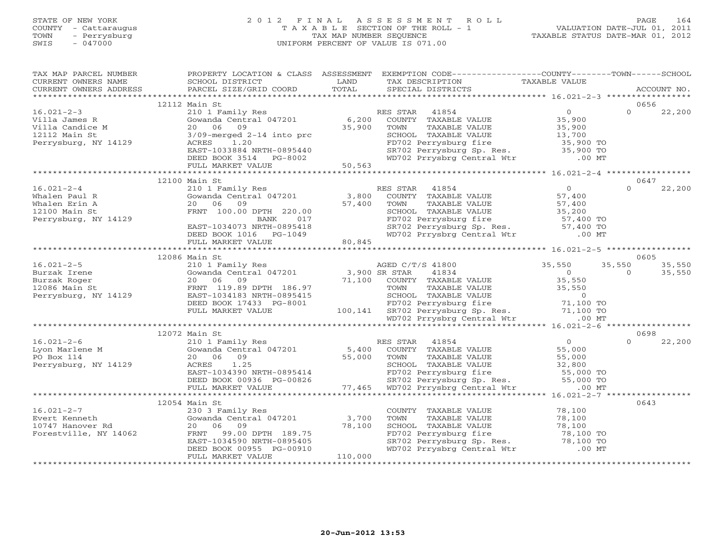# STATE OF NEW YORK 2 0 1 2 F I N A L A S S E S S M E N T R O L L PAGE 164 COUNTY - Cattaraugus T A X A B L E SECTION OF THE ROLL - 1 VALUATION DATE-JUL 01, 2011 TOWN - Perrysburg TAX MAP NUMBER SEQUENCE TAXABLE STATUS DATE-MAR 01, 2012 SWIS - 047000 UNIFORM PERCENT OF VALUE IS 071.00UNIFORM PERCENT OF VALUE IS 071.00

| TAX MAP PARCEL NUMBER<br>TAX PARCES NONDER TRAFFULLY A CHAIN ASSESSMENT ON THE CONTRIGENT OF THE CONTRIGENT OF THE CONTRIGENT OF THE CONTRIGENT ON THE CONTRIGENT OF THE CONTRIGENT OF THE CONTRIGENT OF THE CONTRIGENT OF THE CONTRIGENT OF THE CONTRI                                                                                                                                                                                                                |               | PROPERTY LOCATION & CLASS ASSESSMENT EXEMPTION CODE---------------COUNTY-------TOWN------SCHOOL |      |
|------------------------------------------------------------------------------------------------------------------------------------------------------------------------------------------------------------------------------------------------------------------------------------------------------------------------------------------------------------------------------------------------------------------------------------------------------------------------|---------------|-------------------------------------------------------------------------------------------------|------|
|                                                                                                                                                                                                                                                                                                                                                                                                                                                                        |               |                                                                                                 |      |
|                                                                                                                                                                                                                                                                                                                                                                                                                                                                        | 12112 Main St |                                                                                                 | 0656 |
|                                                                                                                                                                                                                                                                                                                                                                                                                                                                        |               |                                                                                                 |      |
|                                                                                                                                                                                                                                                                                                                                                                                                                                                                        |               |                                                                                                 |      |
|                                                                                                                                                                                                                                                                                                                                                                                                                                                                        |               |                                                                                                 |      |
|                                                                                                                                                                                                                                                                                                                                                                                                                                                                        | 12100 Main St |                                                                                                 | 0647 |
|                                                                                                                                                                                                                                                                                                                                                                                                                                                                        |               |                                                                                                 |      |
|                                                                                                                                                                                                                                                                                                                                                                                                                                                                        |               |                                                                                                 |      |
|                                                                                                                                                                                                                                                                                                                                                                                                                                                                        |               |                                                                                                 |      |
|                                                                                                                                                                                                                                                                                                                                                                                                                                                                        | 12086 Main St |                                                                                                 | 0605 |
|                                                                                                                                                                                                                                                                                                                                                                                                                                                                        |               |                                                                                                 |      |
|                                                                                                                                                                                                                                                                                                                                                                                                                                                                        |               |                                                                                                 |      |
|                                                                                                                                                                                                                                                                                                                                                                                                                                                                        |               |                                                                                                 |      |
|                                                                                                                                                                                                                                                                                                                                                                                                                                                                        |               |                                                                                                 |      |
|                                                                                                                                                                                                                                                                                                                                                                                                                                                                        |               |                                                                                                 |      |
|                                                                                                                                                                                                                                                                                                                                                                                                                                                                        |               |                                                                                                 |      |
|                                                                                                                                                                                                                                                                                                                                                                                                                                                                        |               |                                                                                                 |      |
|                                                                                                                                                                                                                                                                                                                                                                                                                                                                        |               |                                                                                                 |      |
|                                                                                                                                                                                                                                                                                                                                                                                                                                                                        | 12072 Main St |                                                                                                 | 0698 |
|                                                                                                                                                                                                                                                                                                                                                                                                                                                                        |               |                                                                                                 |      |
|                                                                                                                                                                                                                                                                                                                                                                                                                                                                        |               |                                                                                                 |      |
|                                                                                                                                                                                                                                                                                                                                                                                                                                                                        |               |                                                                                                 |      |
|                                                                                                                                                                                                                                                                                                                                                                                                                                                                        |               |                                                                                                 |      |
|                                                                                                                                                                                                                                                                                                                                                                                                                                                                        | 12054 Main St |                                                                                                 | 0643 |
|                                                                                                                                                                                                                                                                                                                                                                                                                                                                        |               |                                                                                                 |      |
|                                                                                                                                                                                                                                                                                                                                                                                                                                                                        |               |                                                                                                 |      |
|                                                                                                                                                                                                                                                                                                                                                                                                                                                                        |               |                                                                                                 |      |
|                                                                                                                                                                                                                                                                                                                                                                                                                                                                        |               |                                                                                                 |      |
|                                                                                                                                                                                                                                                                                                                                                                                                                                                                        |               |                                                                                                 |      |
| $\begin{tabular}{lcccccc} 16.021-2-7 & 12054 Main St & 230 3 Family Res & 230 3 Family Res & 230 3 family Res & 230 3 family Res & 230 3 family Res & 230 3 family Res & 230 3 family Res & 230 3 family Res & 230 3 family Res & 230 3 family Res & 230 3 family Res & 230 3 family Res & 230 3 family Res & 230 3 family Res & 230 3 family Res & 230 3 family Res & 230 3 family Res & 230 3 family Res & 230 3 family Res & 230 3 family Res & 230 3 family Res &$ |               |                                                                                                 |      |
|                                                                                                                                                                                                                                                                                                                                                                                                                                                                        |               |                                                                                                 |      |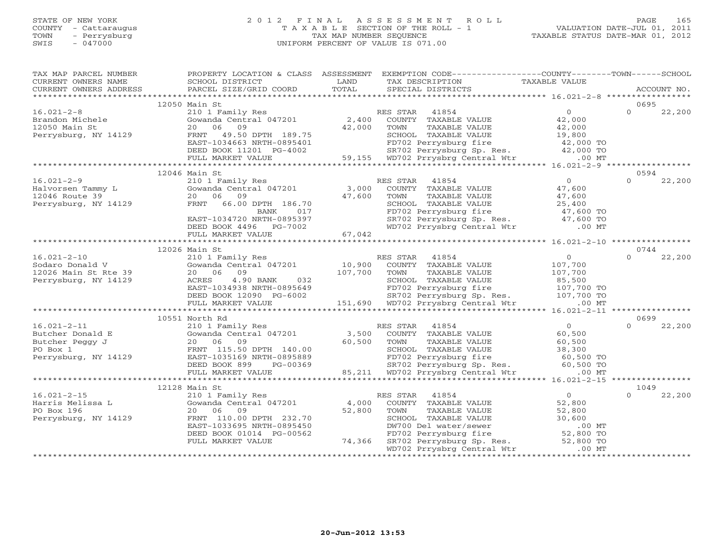## STATE OF NEW YORK 2 0 1 2 F I N A L A S S E S S M E N T R O L L PAGE 165 COUNTY - Cattaraugus T A X A B L E SECTION OF THE ROLL - 1 VALUATION DATE-JUL 01, 2011 TOWN - Perrysburg TAX MAP NUMBER SEQUENCE TAXABLE STATUS DATE-MAR 01, 2012 SWIS - 047000 UNIFORM PERCENT OF VALUE IS 071.00UNIFORM PERCENT OF VALUE IS 071.00

| TAX MAP PARCEL NUMBER<br>CURRENT OWNERS NAME           | SCHOOL DISTRICT                                                                                                                    | LAND   | PROPERTY LOCATION & CLASS ASSESSMENT EXEMPTION CODE---------------COUNTY-------TOWN------SCHOOL<br>TAX DESCRIPTION                                                                                                                    | TAXABLE VALUE     |             |        |
|--------------------------------------------------------|------------------------------------------------------------------------------------------------------------------------------------|--------|---------------------------------------------------------------------------------------------------------------------------------------------------------------------------------------------------------------------------------------|-------------------|-------------|--------|
| CURRENT OWNERS ADDRESS                                 | PARCEL SIZE/GRID COORD                                                                                                             | TOTAL  | SPECIAL DISTRICTS                                                                                                                                                                                                                     |                   | ACCOUNT NO. |        |
|                                                        | 12050 Main St                                                                                                                      |        |                                                                                                                                                                                                                                       |                   | 0695        |        |
| $16.021 - 2 - 8$                                       |                                                                                                                                    |        |                                                                                                                                                                                                                                       | $\overline{0}$    | $\Omega$    | 22,200 |
| Brandon Michele<br>Film St                             |                                                                                                                                    |        | 210 1 Family Res<br>Gowanda Central 047201 2,400 COUNTY TAXABLE VALUE<br>20 06 09 42,000 TOWN TAXABLE VALUE                                                                                                                           |                   |             |        |
|                                                        |                                                                                                                                    |        |                                                                                                                                                                                                                                       |                   |             |        |
| Perrysburg, NY 14129                                   |                                                                                                                                    |        |                                                                                                                                                                                                                                       |                   |             |        |
|                                                        |                                                                                                                                    |        |                                                                                                                                                                                                                                       |                   |             |        |
|                                                        |                                                                                                                                    |        |                                                                                                                                                                                                                                       |                   |             |        |
|                                                        |                                                                                                                                    |        | 210 1 Family Res RES STAR 41854 0<br>Gowanda Central 047201 2,400 COUNTY TAXABLE VALUE 42,000<br>20 06 09 42,000 TOWN TAXABLE VALUE 42,000<br>FRNT 49.50 DPTH 189.75 SCHOOL TAXABLE VALUE 19,800<br>EAST-1034663 NRTH-0895401 FD702 P |                   |             |        |
|                                                        |                                                                                                                                    |        |                                                                                                                                                                                                                                       |                   |             |        |
|                                                        | 12046 Main St                                                                                                                      |        |                                                                                                                                                                                                                                       |                   | 0594        |        |
| $16.021 - 2 - 9$                                       | 210 1 Family Res                                                                                                                   |        | RES STAR 41854                                                                                                                                                                                                                        | $\overline{0}$    | $\Omega$    | 22,200 |
| Halvorsen Tammy L<br>12046 Route 39 20 06 09           | $210$ I Family Res<br>Gowanda Central 047201 $3,000$                                                                               |        | COUNTY TAXABLE VALUE<br>TOWN     TAXABLE VALUE                                                                                                                                                                                        | 47,600            |             |        |
|                                                        |                                                                                                                                    |        |                                                                                                                                                                                                                                       | 47,600            |             |        |
| Perrysburg, NY 14129                                   | 20 06 09 47,600<br>FRNT 66.00 DPTH 186.70 47,600<br>BANK 017                                                                       |        | SCHOOL TAXABLE VALUE $25,400$<br>FD702 Perrysburg fire $47,600$ TO<br>SR702 Perrysburg Sp. Res. $47,600$ TO<br>WD702 Prrysbrg Central Wtr .00 MT                                                                                      |                   |             |        |
|                                                        |                                                                                                                                    |        |                                                                                                                                                                                                                                       |                   |             |        |
|                                                        | EAST-1034720 NRTH-0895397<br>EAST-1034720 NRTH-0895397<br>DEED BOOK 4496 PG-7002                                                   |        |                                                                                                                                                                                                                                       |                   |             |        |
|                                                        |                                                                                                                                    |        |                                                                                                                                                                                                                                       |                   |             |        |
|                                                        | FULL MARKET VALUE                                                                                                                  | 67,042 |                                                                                                                                                                                                                                       |                   |             |        |
|                                                        | 12026 Main St                                                                                                                      |        |                                                                                                                                                                                                                                       |                   | 0744        |        |
|                                                        |                                                                                                                                    |        |                                                                                                                                                                                                                                       | $\overline{0}$    | $\cap$      | 22,200 |
|                                                        |                                                                                                                                    |        |                                                                                                                                                                                                                                       | 107,700           |             |        |
| 16.021-2-10<br>Sodaro Donald V<br>12026 Main St Rte 39 | main Stramily Res<br>210 1 Family Res<br>Gowanda Central 047201 10,900 COUNTY TAXABLE VALUE<br>20 06 09 107,700 TOWN TAXABLE VALUE |        |                                                                                                                                                                                                                                       |                   |             |        |
| Perrysburg, NY 14129                                   | 4.90 BANK 032                                                                                                                      |        |                                                                                                                                                                                                                                       | 107,700<br>85,500 |             |        |
|                                                        |                                                                                                                                    |        |                                                                                                                                                                                                                                       |                   |             |        |
|                                                        |                                                                                                                                    |        |                                                                                                                                                                                                                                       |                   |             |        |
|                                                        |                                                                                                                                    |        | ACRES 4.90 BANK 032 SCHOOL TAXABLE VALUE 85,500<br>EAST-1034938 NRTH-0895649 FD702 Perrysburg fire 107,700 TO<br>DEED BOOK 12090 PG-6002 SR702 Perrysburg Sp. Res. 107,700 TO<br>FULL MARKET VALUE 108862 151,690 WD702 Prrysbrg Cen  |                   |             |        |
|                                                        |                                                                                                                                    |        |                                                                                                                                                                                                                                       |                   |             |        |
|                                                        | 10551 North Rd                                                                                                                     |        |                                                                                                                                                                                                                                       |                   | 0699        |        |
| $16.021 - 2 - 11$                                      |                                                                                                                                    |        | 210 1 Family Res<br>Gowanda Central 047201 3,500 COUNTY TAXABLE VALUE                                                                                                                                                                 | $\overline{0}$    | $\Omega$    | 22,200 |
|                                                        |                                                                                                                                    |        |                                                                                                                                                                                                                                       |                   |             |        |
|                                                        |                                                                                                                                    |        |                                                                                                                                                                                                                                       |                   |             |        |
|                                                        |                                                                                                                                    |        |                                                                                                                                                                                                                                       |                   |             |        |
|                                                        |                                                                                                                                    |        |                                                                                                                                                                                                                                       |                   |             |        |
|                                                        |                                                                                                                                    |        |                                                                                                                                                                                                                                       |                   |             |        |
|                                                        |                                                                                                                                    |        |                                                                                                                                                                                                                                       |                   |             |        |
|                                                        |                                                                                                                                    |        |                                                                                                                                                                                                                                       |                   | 1049        |        |
| $16.021 - 2 - 15$                                      |                                                                                                                                    |        | RES STAR 41854                                                                                                                                                                                                                        | $\overline{0}$    | $\Omega$    | 22,200 |
| Harris Melissa L                                       | num 55<br>210 1 Family Res<br>Gowanda Central 047201 4,000                                                                         |        | COUNTY TAXABLE VALUE                                                                                                                                                                                                                  | 52,800            |             |        |
| PO Box 196                                             | 20 06 09                                                                                                                           | 52,800 | TOWN<br>TAXABLE VALUE                                                                                                                                                                                                                 | 52,800            |             |        |
| Perrysburg, NY 14129                                   | FRNT 110.00 DPTH 232.70                                                                                                            |        | SCHOOL TAXABLE VALUE                                                                                                                                                                                                                  | 30,600            |             |        |
|                                                        | EAST-1033695 NRTH-0895450                                                                                                          |        | DW700 Del water/sewer                                                                                                                                                                                                                 | $.00$ MT          |             |        |
|                                                        | DEED BOOK 01014 PG-00562                                                                                                           |        | 0.00 MHz<br>FD702 Perrysburg fire 52,800 TO<br>SR702 Perrysburg Sp. Res. 52,800 TO<br>WD702 Prrysbrg Central Wtr .00 MT                                                                                                               |                   |             |        |
|                                                        | FULL MARKET VALUE                                                                                                                  | 74,366 |                                                                                                                                                                                                                                       |                   |             |        |
|                                                        |                                                                                                                                    |        |                                                                                                                                                                                                                                       |                   |             |        |
|                                                        |                                                                                                                                    |        |                                                                                                                                                                                                                                       |                   |             |        |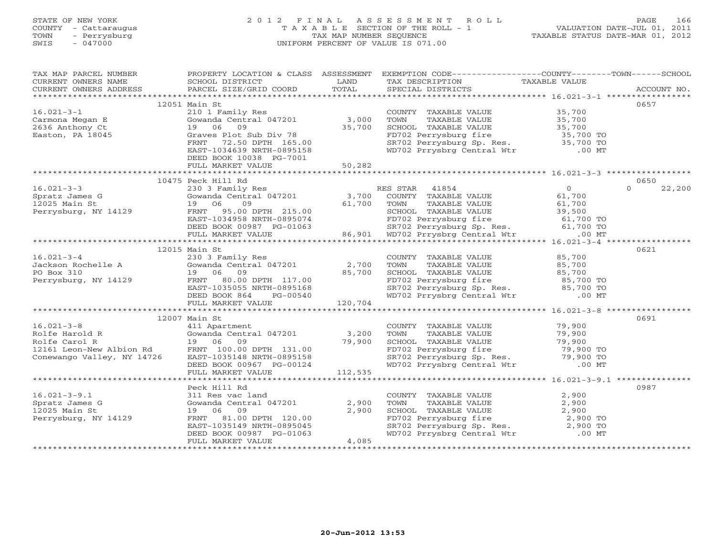# STATE OF NEW YORK 2 0 1 2 F I N A L A S S E S S M E N T R O L L PAGE 166 COUNTY - Cattaraugus T A X A B L E SECTION OF THE ROLL - 1 VALUATION DATE-JUL 01, 2011 TOWN - Perrysburg TAX MAP NUMBER SEQUENCE TAXABLE STATUS DATE-MAR 01, 2012 SWIS - 047000 UNIFORM PERCENT OF VALUE IS 071.00UNIFORM PERCENT OF VALUE IS 071.00

| TAX MAP PARCEL NUMBER                                                |                                    |         | PROPERTY LOCATION & CLASS ASSESSMENT EXEMPTION CODE----------------COUNTY-------TOWN------SCHOOL                                                       |                     |                    |
|----------------------------------------------------------------------|------------------------------------|---------|--------------------------------------------------------------------------------------------------------------------------------------------------------|---------------------|--------------------|
| CURRENT OWNERS NAME                                                  | SCHOOL DISTRICT                    | LAND    | TAX DESCRIPTION                                                                                                                                        | TAXABLE VALUE       |                    |
| CURRENT OWNERS ADDRESS                                               | PARCEL SIZE/GRID COORD             | TOTAL   | SPECIAL DISTRICTS                                                                                                                                      |                     | ACCOUNT NO.        |
|                                                                      |                                    |         |                                                                                                                                                        |                     |                    |
|                                                                      | 12051 Main St                      |         |                                                                                                                                                        |                     | 0657               |
| $16.021 - 3 - 1$                                                     | 210 1 Family Res                   |         | COUNTY TAXABLE VALUE 35,700                                                                                                                            |                     |                    |
| Carmona Megan E                                                      | Gowanda Central 047201             | 3,000   | TOWN<br>TAXABLE VALUE                                                                                                                                  | 35,700<br>35,700    |                    |
| 2636 Anthony Ct                                                      | 19 06<br>09                        | 35,700  | SCHOOL TAXABLE VALUE                                                                                                                                   |                     |                    |
| Easton, PA 18045                                                     | Graves Plot Sub Div 78             |         | FD702 Perrysburg fire 35,700 TO<br>SR702 Perrysburg Sp. Res. 35,700 TO                                                                                 |                     |                    |
|                                                                      | 72.50 DPTH 165.00<br>FRNT          |         |                                                                                                                                                        |                     |                    |
|                                                                      | EAST-1034639 NRTH-0895158          |         | WD702 Prrysbrg Central Wtr .00 MT                                                                                                                      |                     |                    |
|                                                                      | DEED BOOK 10038 PG-7001            |         |                                                                                                                                                        |                     |                    |
|                                                                      | FULL MARKET VALUE                  | 50, 282 |                                                                                                                                                        |                     |                    |
|                                                                      |                                    |         |                                                                                                                                                        |                     |                    |
|                                                                      | 10475 Peck Hill Rd                 |         |                                                                                                                                                        |                     | 0650               |
| $16.021 - 3 - 3$                                                     | 230 3 Family Res                   |         | 41854<br>RES STAR                                                                                                                                      | $\Omega$            | 22,200<br>$\Omega$ |
| Spratz James G                                                       | Gowanda Central 047201             | 3,700   | COUNTY TAXABLE VALUE                                                                                                                                   | 61,700              |                    |
| $12025$ Main St                                                      | 09<br>19 06                        | 61,700  | TOWN<br>TAXABLE VALUE                                                                                                                                  | 61,700              |                    |
| Perrysburg, NY 14129                                                 | FRNT 95.00 DPTH 215.00             |         | SCHOOL TAXABLE VALUE                                                                                                                                   | 39,500<br>61,700 TO |                    |
|                                                                      | EAST-1034958 NRTH-0895074          |         | 219.00<br>0895074 FD702 Perrysburg fire 61,700 TO<br>G-01063 86,901 WD702 Perrysburg Sp. Res. 61,700 TO<br>86,901 WD702 Prrysbrg Central Wtr .00 MT    |                     |                    |
|                                                                      | DEED BOOK 00987 PG-01063           |         |                                                                                                                                                        |                     |                    |
|                                                                      | FULL MARKET VALUE                  |         |                                                                                                                                                        |                     |                    |
|                                                                      |                                    |         |                                                                                                                                                        |                     |                    |
|                                                                      | 12015 Main St                      |         |                                                                                                                                                        |                     | 0621               |
|                                                                      |                                    |         | COUNTY TAXABLE VALUE                                                                                                                                   | 85,700              |                    |
|                                                                      |                                    |         | TOWN<br>TAXABLE VALUE                                                                                                                                  | 85,700              |                    |
| Vackson Rochelle A (230 3 Family Res)<br>PO Box 310 (2,700 19 06 09) | 19 06 09<br>FRNT 80.00 DPTH 117.00 |         |                                                                                                                                                        |                     |                    |
| Perrysburg, NY 14129                                                 |                                    |         |                                                                                                                                                        |                     |                    |
|                                                                      | EAST-1035055 NRTH-0895168          |         |                                                                                                                                                        |                     |                    |
|                                                                      | DEED BOOK 864<br>PG-00540          |         | SCHOOL TAXABLE VALUE $85,700$<br>FD702 Perrysburg fire $85,700$ TO<br>SR702 Perrysburg Sp. Res. $85,700$ TO<br>WD702 Prrysbrg Central Wtr .00 MT       |                     |                    |
|                                                                      | FULL MARKET VALUE                  | 120,704 |                                                                                                                                                        |                     |                    |
|                                                                      |                                    |         |                                                                                                                                                        |                     |                    |
|                                                                      | 12007 Main St                      |         |                                                                                                                                                        |                     | 0691               |
| $16.021 - 3 - 8$                                                     | 411 Apartment                      |         | COUNTY TAXABLE VALUE                                                                                                                                   | 79,900              |                    |
| Rolfe Harold R                                                       | Gowanda Central 047201             | 3,200   | TOWN<br>TAXABLE VALUE                                                                                                                                  | 79,900              |                    |
| Rolfe Carol R                                                        | 19 06 09                           | 79,900  |                                                                                                                                                        |                     |                    |
| 12161 Leon-New Albion Rd                                             | FRNT 100.00 DPTH 131.00            |         | TOWN TAXABLE VALUE<br>SCHOOL TAXABLE VALUE<br>FD702 Perrysburg fire 79,900<br>SR702 Perrysburg Sp. Res. 79,900 TO<br>WD702 Prrysbrg Central Wtr .00 MT |                     |                    |
| Conewango Valley, NY 14726                                           | EAST-1035148 NRTH-0895158          |         |                                                                                                                                                        |                     |                    |
|                                                                      | DEED BOOK 00967 PG-00124           |         |                                                                                                                                                        |                     |                    |
|                                                                      | FULL MARKET VALUE                  | 112,535 |                                                                                                                                                        |                     |                    |
|                                                                      |                                    |         |                                                                                                                                                        |                     |                    |
|                                                                      | Peck Hill Rd                       |         |                                                                                                                                                        |                     | 0987               |
| $16.021 - 3 - 9.1$                                                   | 311 Res vac land                   |         | COUNTY TAXABLE VALUE<br>TOWN     TAXABLE VALUE                                                                                                         | 2,900               |                    |
| Spratz James G                                                       | Gowanda Central 047201             | 2,900   |                                                                                                                                                        | 2,900               |                    |
| 12025 Main St                                                        | 19 06 09                           | 2,900   |                                                                                                                                                        |                     |                    |
| Perrysburg, NY 14129                                                 | FRNT 81.00 DPTH 120.00             |         |                                                                                                                                                        |                     |                    |
|                                                                      | EAST-1035149 NRTH-0895045          |         |                                                                                                                                                        |                     |                    |
|                                                                      | DEED BOOK 00987 PG-01063           |         | CHOOL TAXABLE VALUE<br>FD702 Perrysburg fire 2,900 TO<br>SR702 Perrysburg Sp. Res. 2,900 TO<br>WD702 Prrysbrg Central Wtr .00 MT                       |                     |                    |
|                                                                      | FULL MARKET VALUE                  | 4,085   |                                                                                                                                                        |                     |                    |
|                                                                      |                                    |         |                                                                                                                                                        |                     |                    |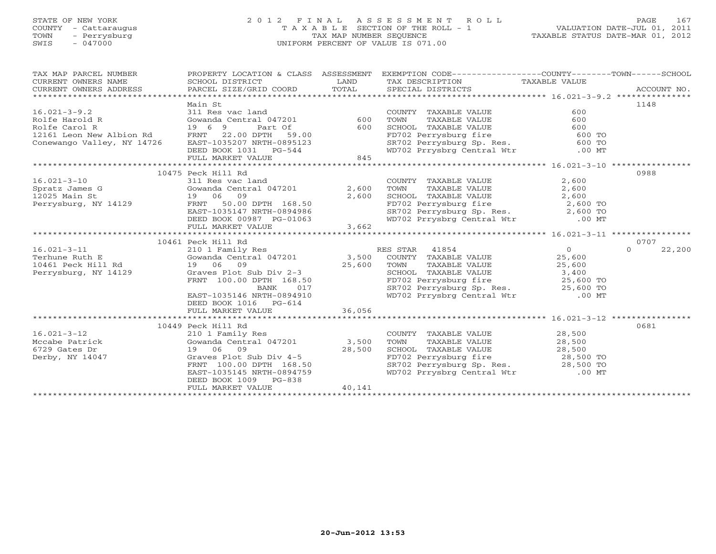# STATE OF NEW YORK 2 0 1 2 F I N A L A S S E S S M E N T R O L L PAGE 167 COUNTY - Cattaraugus T A X A B L E SECTION OF THE ROLL - 1 VALUATION DATE-JUL 01, 2011 TOWN - Perrysburg TAX MAP NUMBER SEQUENCE TAXABLE STATUS DATE-MAR 01, 2012 SWIS - 047000 UNIFORM PERCENT OF VALUE IS 071.00UNIFORM PERCENT OF VALUE IS 071.00

| TAX MAP PARCEL NUMBER<br>CURRENT OWNERS NAME<br>$\begin{tabular}{lllllll} \multicolumn{2}{l}{{\small\sc{CURRENT}}}& $\text{MME}$ & $\text{SCHOOL} & $\text{DISTRICT}$ & $\text{LAND}$ & $\text{TAX} & $\text{DESCRIPTION}$ & $\text{TAXABLE} & $\text{VALUE}$ \\ & $\text{CURRENT} & $\text{ADDRES} & $\text{ADDRES} & $\text{PARCEL} & $\text{SIZE/GRID} & $\text{COORD}$ & $\text{TOTAL}$ & $\text{SPECIAL} & $\text{DISTRICTS} & $\text{RCCOUNT} & $\text{NOL}$ \\ & $\text{A1} & $\text{A2} & $\text{A3} & $\text{A4$<br>CURRENT OWNERS NAME<br>CURRENT OWNERS ADDRESS |                                                                                   |        | PROPERTY LOCATION & CLASS ASSESSMENT EXEMPTION CODE----------------COUNTY-------TOWN------SCHOOL                                                                                |       |                    |
|----------------------------------------------------------------------------------------------------------------------------------------------------------------------------------------------------------------------------------------------------------------------------------------------------------------------------------------------------------------------------------------------------------------------------------------------------------------------------------------------------------------------------------------------------------------------------|-----------------------------------------------------------------------------------|--------|---------------------------------------------------------------------------------------------------------------------------------------------------------------------------------|-------|--------------------|
|                                                                                                                                                                                                                                                                                                                                                                                                                                                                                                                                                                            |                                                                                   |        |                                                                                                                                                                                 |       |                    |
|                                                                                                                                                                                                                                                                                                                                                                                                                                                                                                                                                                            | Main St                                                                           |        |                                                                                                                                                                                 |       | 1148               |
| 16.021-3-9.2<br>Rolfe Harold R<br>Rolfe Carol R<br>Rolfe Carol R<br>Rolfe Carol R<br>19 6 9 Part Of 600<br>12161 Leon New Albion Rd<br>Conewango Valley, NY 14726<br>EAST-1035207 NRTH-0895123<br>DEED BOOK 1031 PG-544<br>THILL MARKET VALUE<br>TH                                                                                                                                                                                                                                                                                                                        |                                                                                   |        | COUNTY TAXABLE VALUE                                                                                                                                                            |       |                    |
|                                                                                                                                                                                                                                                                                                                                                                                                                                                                                                                                                                            |                                                                                   |        | TOWN                                                                                                                                                                            |       |                    |
|                                                                                                                                                                                                                                                                                                                                                                                                                                                                                                                                                                            |                                                                                   |        | TOWN TAXABLE VALUE<br>SCHOOL TAXABLE VALUE 600<br>FD702 Perrysburg fire 600 TO<br>SR702 Perrysburg Sp. Res. 600 TO<br>WD702 Prrysbrg Central Wtr .00 MT                         |       |                    |
|                                                                                                                                                                                                                                                                                                                                                                                                                                                                                                                                                                            |                                                                                   |        |                                                                                                                                                                                 |       |                    |
|                                                                                                                                                                                                                                                                                                                                                                                                                                                                                                                                                                            |                                                                                   |        |                                                                                                                                                                                 |       |                    |
|                                                                                                                                                                                                                                                                                                                                                                                                                                                                                                                                                                            |                                                                                   |        |                                                                                                                                                                                 |       |                    |
|                                                                                                                                                                                                                                                                                                                                                                                                                                                                                                                                                                            |                                                                                   |        |                                                                                                                                                                                 |       |                    |
|                                                                                                                                                                                                                                                                                                                                                                                                                                                                                                                                                                            |                                                                                   |        |                                                                                                                                                                                 |       |                    |
|                                                                                                                                                                                                                                                                                                                                                                                                                                                                                                                                                                            | 10475 Peck Hill Rd                                                                |        |                                                                                                                                                                                 |       | 0988               |
| 16.021-3-10<br>Spratz James G<br>12025 Main St<br>Perrysburg, NY 14129<br>Perrysburg, NY 14129<br>Perrysburg, NY 14129<br>Perrysburg, NY 14129<br>Perrysburg, NY 14129<br>Perrysburg, NY 14129<br>Perrysburg, NY 14129<br>Perrysburg, NY 14129<br>Pe                                                                                                                                                                                                                                                                                                                       |                                                                                   |        | COUNTY TAXABLE VALUE<br>TOWN TAXABLE VALUE                                                                                                                                      | 2,600 |                    |
|                                                                                                                                                                                                                                                                                                                                                                                                                                                                                                                                                                            |                                                                                   |        |                                                                                                                                                                                 | 2,600 |                    |
|                                                                                                                                                                                                                                                                                                                                                                                                                                                                                                                                                                            |                                                                                   |        |                                                                                                                                                                                 |       |                    |
|                                                                                                                                                                                                                                                                                                                                                                                                                                                                                                                                                                            |                                                                                   |        | CHOOL TAXABLE VALUE<br>FD702 Perrysburg fire<br>SR702 Perrysburg Sp. Res. 2,600 TO<br>WD702 Prrysbrg Central Wtr .00 MT                                                         |       |                    |
|                                                                                                                                                                                                                                                                                                                                                                                                                                                                                                                                                                            |                                                                                   |        |                                                                                                                                                                                 |       |                    |
|                                                                                                                                                                                                                                                                                                                                                                                                                                                                                                                                                                            | DEED BOOK 00987 PG-01063<br>FULL MARKET VALUE                                     |        |                                                                                                                                                                                 |       |                    |
|                                                                                                                                                                                                                                                                                                                                                                                                                                                                                                                                                                            |                                                                                   | 3,662  |                                                                                                                                                                                 |       |                    |
| 10461 Peck Hill Rd<br>10461 Peck Hill Rd<br>210 1 Family Res<br>Terhune Ruth E<br>25,600<br>25,600<br>Perrysburg, NY 14129<br>EAST-1035146 NRTH-0894910<br>EAST-1035146 NRTH-0894910<br>PERRY 100.00 DPTH 168.50<br>BANK<br>2702 Perrysburg Sp. Res.                                                                                                                                                                                                                                                                                                                       |                                                                                   |        |                                                                                                                                                                                 |       | 0707               |
|                                                                                                                                                                                                                                                                                                                                                                                                                                                                                                                                                                            |                                                                                   |        |                                                                                                                                                                                 |       | $\Omega$<br>22,200 |
|                                                                                                                                                                                                                                                                                                                                                                                                                                                                                                                                                                            |                                                                                   |        |                                                                                                                                                                                 |       |                    |
|                                                                                                                                                                                                                                                                                                                                                                                                                                                                                                                                                                            |                                                                                   |        |                                                                                                                                                                                 |       |                    |
|                                                                                                                                                                                                                                                                                                                                                                                                                                                                                                                                                                            |                                                                                   |        | TOWN TAXABLE VALUE<br>TOWN TAXABLE VALUE<br>SCHOOL TAXABLE VALUE<br>FD702 Perrysburg fire 25,600 TO<br>SR702 Perrysburg Sp. Res. 25,600 TO<br>WD702 Prrysbrg Central Wtr .00 MT |       |                    |
|                                                                                                                                                                                                                                                                                                                                                                                                                                                                                                                                                                            |                                                                                   |        |                                                                                                                                                                                 |       |                    |
|                                                                                                                                                                                                                                                                                                                                                                                                                                                                                                                                                                            |                                                                                   |        |                                                                                                                                                                                 |       |                    |
|                                                                                                                                                                                                                                                                                                                                                                                                                                                                                                                                                                            |                                                                                   |        |                                                                                                                                                                                 |       |                    |
|                                                                                                                                                                                                                                                                                                                                                                                                                                                                                                                                                                            | DEED BOOK 1016 PG-614                                                             |        |                                                                                                                                                                                 |       |                    |
|                                                                                                                                                                                                                                                                                                                                                                                                                                                                                                                                                                            | FULL MARKET VALUE                                                                 | 36,056 |                                                                                                                                                                                 |       |                    |
|                                                                                                                                                                                                                                                                                                                                                                                                                                                                                                                                                                            |                                                                                   |        |                                                                                                                                                                                 |       |                    |
|                                                                                                                                                                                                                                                                                                                                                                                                                                                                                                                                                                            | 10449 Peck Hill Rd                                                                |        |                                                                                                                                                                                 |       | 0681               |
| $16.021 - 3 - 12$                                                                                                                                                                                                                                                                                                                                                                                                                                                                                                                                                          | 210 1 Family Res                                                                  |        | COUNTY TAXABLE VALUE 28,500                                                                                                                                                     |       |                    |
| Mccabe Patrick (Gowanda Central 047201) 3,500                                                                                                                                                                                                                                                                                                                                                                                                                                                                                                                              |                                                                                   |        | TAXABLE VALUE 28,500<br>TOWN                                                                                                                                                    |       |                    |
| 6729 Gates Dr<br>Derby, NY 14047                                                                                                                                                                                                                                                                                                                                                                                                                                                                                                                                           | 19 06 09 28,500<br>Graves Plot Sub Div 4-5<br>FRNT 100.00 DPTH 168.50<br>19 06 09 |        | SCHOOL TAXABLE VALUE $28,500$<br>FD702 Perrysburg fire 28,500 TO<br>SR702 Perrysburg Sp. Res. 28,500 TO                                                                         |       |                    |
|                                                                                                                                                                                                                                                                                                                                                                                                                                                                                                                                                                            |                                                                                   |        |                                                                                                                                                                                 |       |                    |
|                                                                                                                                                                                                                                                                                                                                                                                                                                                                                                                                                                            |                                                                                   |        |                                                                                                                                                                                 |       |                    |
|                                                                                                                                                                                                                                                                                                                                                                                                                                                                                                                                                                            | EAST-1035145 NRTH-0894759                                                         |        | WD702 Prrysbrg Central Wtr .00 MT                                                                                                                                               |       |                    |
|                                                                                                                                                                                                                                                                                                                                                                                                                                                                                                                                                                            | DEED BOOK 1009 PG-838                                                             |        |                                                                                                                                                                                 |       |                    |
|                                                                                                                                                                                                                                                                                                                                                                                                                                                                                                                                                                            | FULL MARKET VALUE                                                                 | 40,141 |                                                                                                                                                                                 |       |                    |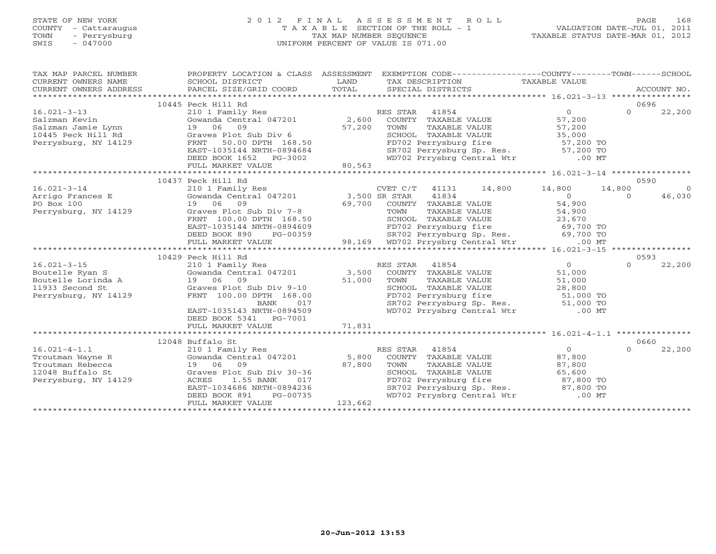# STATE OF NEW YORK 2 0 1 2 F I N A L A S S E S S M E N T R O L L PAGE 168 COUNTY - Cattaraugus T A X A B L E SECTION OF THE ROLL - 1 VALUATION DATE-JUL 01, 2011 TOWN - Perrysburg TAX MAP NUMBER SEQUENCE TAXABLE STATUS DATE-MAR 01, 2012 SWIS - 047000 UNIFORM PERCENT OF VALUE IS 071.00UNIFORM PERCENT OF VALUE IS 071.00

| SCHOOL DISTRICT<br>PARCEL SIZE/GRID COORD                                   | LAND<br>TOTAL                                                                                                                                        | SPECIAL DISTRICTS |                                                                                                                                                                                                                                                                                                                                        | ACCOUNT NO.                                                                                                                                                                                                                                                                                                                                                                                                                                                                                                                                                                                                                                                                                                                                                                                                                                                                                                                                                                                                                                                                                                                                                                                                                                                                                                                                                                                                                      |
|-----------------------------------------------------------------------------|------------------------------------------------------------------------------------------------------------------------------------------------------|-------------------|----------------------------------------------------------------------------------------------------------------------------------------------------------------------------------------------------------------------------------------------------------------------------------------------------------------------------------------|----------------------------------------------------------------------------------------------------------------------------------------------------------------------------------------------------------------------------------------------------------------------------------------------------------------------------------------------------------------------------------------------------------------------------------------------------------------------------------------------------------------------------------------------------------------------------------------------------------------------------------------------------------------------------------------------------------------------------------------------------------------------------------------------------------------------------------------------------------------------------------------------------------------------------------------------------------------------------------------------------------------------------------------------------------------------------------------------------------------------------------------------------------------------------------------------------------------------------------------------------------------------------------------------------------------------------------------------------------------------------------------------------------------------------------|
|                                                                             |                                                                                                                                                      |                   |                                                                                                                                                                                                                                                                                                                                        | 0696                                                                                                                                                                                                                                                                                                                                                                                                                                                                                                                                                                                                                                                                                                                                                                                                                                                                                                                                                                                                                                                                                                                                                                                                                                                                                                                                                                                                                             |
| 210 1 Family Res<br>FULL MARKET VALUE                                       |                                                                                                                                                      |                   |                                                                                                                                                                                                                                                                                                                                        | $\Omega$<br>22,200                                                                                                                                                                                                                                                                                                                                                                                                                                                                                                                                                                                                                                                                                                                                                                                                                                                                                                                                                                                                                                                                                                                                                                                                                                                                                                                                                                                                               |
|                                                                             |                                                                                                                                                      |                   |                                                                                                                                                                                                                                                                                                                                        |                                                                                                                                                                                                                                                                                                                                                                                                                                                                                                                                                                                                                                                                                                                                                                                                                                                                                                                                                                                                                                                                                                                                                                                                                                                                                                                                                                                                                                  |
| DEED BOOK 890                                                               |                                                                                                                                                      |                   | $\overline{0}$<br>54,900                                                                                                                                                                                                                                                                                                               | 0590<br>14,800<br>$\sim$ 0<br>46,030<br>$\Omega$                                                                                                                                                                                                                                                                                                                                                                                                                                                                                                                                                                                                                                                                                                                                                                                                                                                                                                                                                                                                                                                                                                                                                                                                                                                                                                                                                                                 |
|                                                                             |                                                                                                                                                      |                   |                                                                                                                                                                                                                                                                                                                                        |                                                                                                                                                                                                                                                                                                                                                                                                                                                                                                                                                                                                                                                                                                                                                                                                                                                                                                                                                                                                                                                                                                                                                                                                                                                                                                                                                                                                                                  |
|                                                                             |                                                                                                                                                      |                   |                                                                                                                                                                                                                                                                                                                                        | 0593                                                                                                                                                                                                                                                                                                                                                                                                                                                                                                                                                                                                                                                                                                                                                                                                                                                                                                                                                                                                                                                                                                                                                                                                                                                                                                                                                                                                                             |
| BANK<br>EAST-1035143 NRTH-0894509<br>DEED BOOK 5341 PG-7001                 |                                                                                                                                                      |                   | $\overline{O}$<br>51,000                                                                                                                                                                                                                                                                                                               | 22,200<br>$\Omega$                                                                                                                                                                                                                                                                                                                                                                                                                                                                                                                                                                                                                                                                                                                                                                                                                                                                                                                                                                                                                                                                                                                                                                                                                                                                                                                                                                                                               |
|                                                                             |                                                                                                                                                      |                   |                                                                                                                                                                                                                                                                                                                                        |                                                                                                                                                                                                                                                                                                                                                                                                                                                                                                                                                                                                                                                                                                                                                                                                                                                                                                                                                                                                                                                                                                                                                                                                                                                                                                                                                                                                                                  |
|                                                                             |                                                                                                                                                      |                   |                                                                                                                                                                                                                                                                                                                                        | 0660                                                                                                                                                                                                                                                                                                                                                                                                                                                                                                                                                                                                                                                                                                                                                                                                                                                                                                                                                                                                                                                                                                                                                                                                                                                                                                                                                                                                                             |
| EAST-1034686 NRTH-0894236<br>DEED BOOK 891<br>PG-00735<br>FULL MARKET VALUE |                                                                                                                                                      |                   |                                                                                                                                                                                                                                                                                                                                        | $\Omega$<br>22,200                                                                                                                                                                                                                                                                                                                                                                                                                                                                                                                                                                                                                                                                                                                                                                                                                                                                                                                                                                                                                                                                                                                                                                                                                                                                                                                                                                                                               |
|                                                                             | 10445 Peck Hill Rd<br>10437 Peck Hill Rd<br>Perrysburg, NY 14129<br>FULL MARKET VALUE<br>10429 Peck Hill Rd<br>FULL MARKET VALUE<br>12048 Buffalo St |                   | RES STAR 41854<br>16.021-3-13 210 1 Family Res<br>Salzman Kevin Gowanda Central 047201 2,600<br>10445 Peck Hill Rd Graves Plot Sub Div 6<br>Perrysburg, NY 14129 FRNT 50.00 DPTH 168.50<br>Perrysburg, NY 14129 FRNT 50.00 DPTH 168.50<br>EAST-1035144 NR<br>80,563<br>$\begin{array}{c} 017 \\ 4509 \end{array}$<br>71,831<br>123,662 | PROPERTY LOCATION & CLASS ASSESSMENT EXEMPTION CODE---------------COUNTY-------TOWN------SCHOOL<br>TAX DESCRIPTION TAXABLE VALUE<br>ES STAR 41854 0<br>COUNTY TAXABLE VALUE 57,200<br>TOWN TAXABLE VALUE 57,200<br>SCHOOL TAXABLE VALUE 35,000<br>FD702 Perrysburg fire 57,200 TO<br>SR702 Perrysburg Sp. Res. 57,200 TO<br>WD702 Prrysbrg Central Wtr .00 MT<br>CVET C/T 41131 14,800 14,800<br>19 06 09<br>Graves Plot Sub Div 7-8<br>FRNT 100.00 DPTH 168.50<br>EAST-1035144 NRTH-0894609<br>FAST-1035144 NRTH-0894609<br>FEAST-1035144 NRTH-0894609<br>-0.021-3-10<br>Boutelle Exam S<br>Boutelle Lorinda A (1990) - 10<br>Boutelle Lorinda A (1990) - 10<br>1933 Second St (1990) - 10<br>Perrysburg, NY 14129<br>Perrysburg, NY 14129<br>Perrysburg, NY 14129<br>Perrysburg, NY 14129<br>Perrysburg,<br>TOWN TAXABLE VALUE 51,000<br>SCHOOL TAXABLE VALUE 28,800<br>FD702 Perrysburg fire 51,000 TO<br>SR702 Perrysburg Sp. Res. 51,000 TO<br>WD702 Prrysbrg Central Wtr .00 MT<br>16.021-4-1.1 12048 Buffalo St RES STAR 41854 0<br>Troutman Wayne R Gowanda Central 047201 5,800 COUNTY TAXABLE VALUE 87,800<br>Troutman Rebecca 19 06 09 87,800 TOWN TAXABLE VALUE 87,800<br>12048 Buffalo St Graves Plot Sub Div 30<br>COUNTY IAAADLE VALUE<br>TOWN TAXABLE VALUE 87,800<br>SCHOOL TAXABLE VALUE 65,600<br>FD702 Perrysburg fire 87,800 TO<br>SR702 Perrysburg Sp. Res. 87,800 TO<br>WD702 Prrysbrg Central Wtr .00 MT |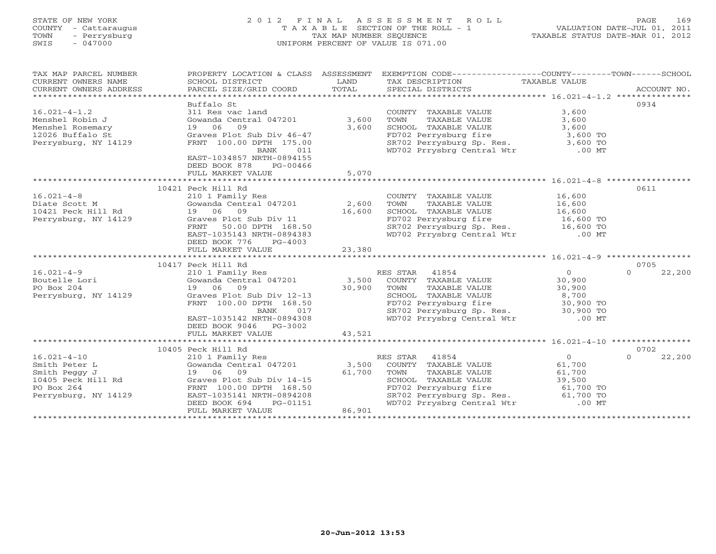# STATE OF NEW YORK 2 0 1 2 F I N A L A S S E S S M E N T R O L L PAGE 169 COUNTY - Cattaraugus T A X A B L E SECTION OF THE ROLL - 1 VALUATION DATE-JUL 01, 2011 TOWN - Perrysburg TAX MAP NUMBER SEQUENCE TAXABLE STATUS DATE-MAR 01, 2012 SWIS - 047000 UNIFORM PERCENT OF VALUE IS 071.00UNIFORM PERCENT OF VALUE IS 071.00

| TAX MAP PARCEL NUMBER                        |                                                                             |        | PROPERTY LOCATION & CLASS ASSESSMENT EXEMPTION CODE----------------COUNTY-------TOWN------SCHOOL            |                |                    |
|----------------------------------------------|-----------------------------------------------------------------------------|--------|-------------------------------------------------------------------------------------------------------------|----------------|--------------------|
|                                              | Buffalo St                                                                  |        |                                                                                                             |                | 0934               |
| $16.021 - 4 - 1.2$                           | 311 Res vac land                                                            |        | COUNTY TAXABLE VALUE                                                                                        | 3,600          |                    |
|                                              |                                                                             |        |                                                                                                             |                |                    |
| Menshel Robin J                              | Gowanda Central 047201 3,600                                                |        | TOWN       TAXABLE  VALUE<br>SCHOOL    TAXABLE  VALUE                                                       | 3,600          |                    |
| Menshel Rosemary                             | Gowanua July<br>19 06 09<br>Dict                                            | 3,600  |                                                                                                             | 3,600          |                    |
| 12026 Buffalo St                             | Graves Plot Sub Div 46-47                                                   |        |                                                                                                             |                |                    |
| Perrysburg, NY 14129                         | FRNT 100.00 DPTH 175.00<br>BANK 011                                         |        | FD702 Perrysburg fire 3,600 TO<br>SR702 Perrysburg Sp. Res. 3,600 TO<br>WD702 Prrysbrg Central Wtr .00 MT   |                |                    |
|                                              | EAST-1034857 NRTH-0894155<br>DEED BOOK 878<br>PG-00466<br>FULL MARKET VALUE | 5,070  |                                                                                                             |                |                    |
|                                              |                                                                             |        |                                                                                                             |                |                    |
|                                              | 10421 Peck Hill Rd                                                          |        |                                                                                                             |                | 0611               |
| $16.021 - 4 - 8$                             | 210 1 Family Res                                                            |        | COUNTY TAXABLE VALUE                                                                                        | 16,600         |                    |
|                                              | Gowanda Central 047201                                                      | 2,600  |                                                                                                             |                |                    |
|                                              |                                                                             | 16,600 | TOWN TAXABLE VALUE 16,600<br>SCHOOL TAXABLE VALUE 16,600                                                    |                |                    |
| Perrysburg, NY 14129                         |                                                                             |        |                                                                                                             |                |                    |
|                                              | Graves Plot Sub Div 11<br>FRNT 50.00 DPTH 168.50                            |        |                                                                                                             |                |                    |
|                                              | EAST-1035143 NRTH-0894383<br>DEED BOOK 776<br>PG-4003                       |        | FD702 Perrysburg fire 16,600 TO<br>SR702 Perrysburg Sp. Res. 16,600 TO<br>WD702 Prrysbrg Central Wtr .00 MT |                |                    |
|                                              | FULL MARKET VALUE                                                           | 23,380 |                                                                                                             |                |                    |
|                                              |                                                                             |        |                                                                                                             |                |                    |
|                                              | 10417 Peck Hill Rd                                                          |        |                                                                                                             |                | 0705               |
| $16.021 - 4 - 9$                             | 210 1 Family Res                                                            |        | RES STAR 41854                                                                                              | $\overline{0}$ | 22,200<br>$\Omega$ |
| Boutelle Lori                                | Gowanda Central 047201 3,500                                                |        | COUNTY TAXABLE VALUE 30,900                                                                                 |                |                    |
| PO Box 204                                   | 19 06 09                                                                    | 30,900 | TOWN<br>TAXABLE VALUE                                                                                       | 30,900         |                    |
| Perrysburg, NY 14129                         | Graves Plot Sub Div 12-13                                                   |        | SCHOOL TAXABLE VALUE                                                                                        | 8,700          |                    |
|                                              | FRNT 100.00 DPTH 168.50                                                     |        |                                                                                                             |                |                    |
|                                              | BANK<br>017                                                                 |        |                                                                                                             |                |                    |
|                                              | EAST-1035142 NRTH-0894308                                                   |        | FD702 Perrysburg fire 30,900 TO<br>SR702 Perrysburg Sp. Res. 30,900 TO<br>WD702 Prrysbrg Central Wtr .00 MT |                |                    |
|                                              | DEED BOOK 9046 PG-3002                                                      |        |                                                                                                             |                |                    |
|                                              | FULL MARKET VALUE                                                           | 43,521 |                                                                                                             |                |                    |
|                                              |                                                                             |        |                                                                                                             |                |                    |
|                                              | 10405 Peck Hill Rd                                                          |        |                                                                                                             |                | 0702               |
| $16.021 - 4 - 10$                            | 210 1 Family Res                                                            |        | 41854<br>RES STAR                                                                                           | $\overline{0}$ | 22,200<br>$\Omega$ |
| Smith Peter L                                | Gowanda Central 047201 3,500                                                |        | COUNTY TAXABLE VALUE                                                                                        | 61,700         |                    |
| Smith Peggy J                                | 19 06 09                                                                    | 61,700 | TOWN<br>TAXABLE VALUE                                                                                       | 61,700         |                    |
| 10405 Peck Hill Rd Graves Plot Sub Div 14-15 |                                                                             |        | SCHOOL TAXABLE VALUE                                                                                        | 39,500         |                    |
| PO Box 264                                   | FRNT 100.00 DPTH 168.50                                                     |        | FD702 Perrysburg fire                                                                                       |                |                    |
| Perrysburg, NY 14129                         | EAST-1035141 NRTH-0894208                                                   |        | FD702 Perrysburg fire 61,700 TO<br>SR702 Perrysburg Sp. Res. 61,700 TO                                      |                |                    |
|                                              | DEED BOOK 694<br>PG-01151                                                   |        | WD702 Prrysbrg Central Wtr .00 MT                                                                           |                |                    |
|                                              | FULL MARKET VALUE                                                           | 86,901 |                                                                                                             |                |                    |
|                                              |                                                                             |        |                                                                                                             |                |                    |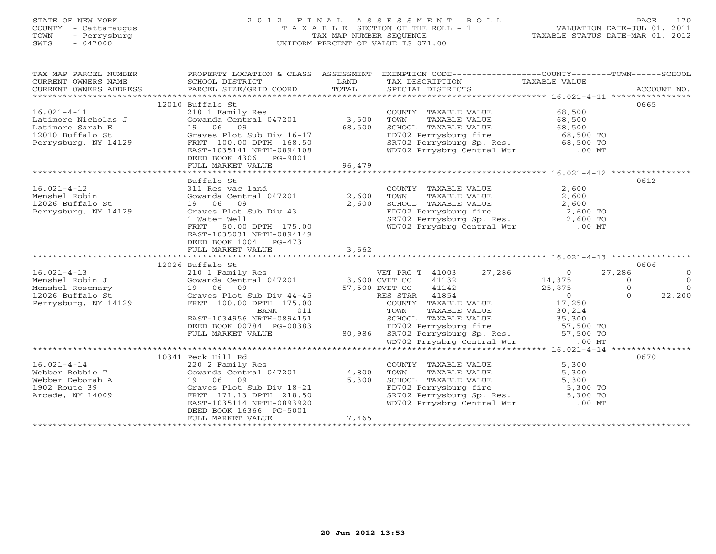# STATE OF NEW YORK 2 0 1 2 F I N A L A S S E S S M E N T R O L L PAGE 170 COUNTY - Cattaraugus T A X A B L E SECTION OF THE ROLL - 1 VALUATION DATE-JUL 01, 2011 TOWN - Perrysburg TAX MAP NUMBER SEQUENCE TAXABLE STATUS DATE-MAR 01, 2012 SWIS - 047000 UNIFORM PERCENT OF VALUE IS 071.00UNIFORM PERCENT OF VALUE IS 071.00

| TAX MAP PARCEL NUMBER                                        |                                                                                                  |        | PROPERTY LOCATION & CLASS ASSESSMENT EXEMPTION CODE----------------COUNTY-------TOWN------SCHOOL                                                                                                            |                |
|--------------------------------------------------------------|--------------------------------------------------------------------------------------------------|--------|-------------------------------------------------------------------------------------------------------------------------------------------------------------------------------------------------------------|----------------|
|                                                              |                                                                                                  |        |                                                                                                                                                                                                             |                |
|                                                              | 12010 Buffalo St                                                                                 |        |                                                                                                                                                                                                             | 0665           |
| $16.021 - 4 - 11$                                            | 210 1 Family Res<br>Gowanda Central 047201 3,500                                                 |        | COUNTY TAXABLE VALUE 68,500<br>TOWN TAXABLE VALUE 68,500<br>SCHOOL TAXABLE VALUE 68,500                                                                                                                     |                |
| Latimore Nicholas J                                          |                                                                                                  |        |                                                                                                                                                                                                             |                |
|                                                              | 19 06 09                                                                                         | 68,500 |                                                                                                                                                                                                             |                |
|                                                              |                                                                                                  |        |                                                                                                                                                                                                             |                |
| Latimore Sarah E<br>12010 Buffalo St<br>Perrysburg, NY 14129 | Graves Plot Sub Div 16-17<br>FRNT 100.00 DPTH 168.50                                             |        |                                                                                                                                                                                                             |                |
|                                                              | EAST-1035141 NRTH-0894108                                                                        |        | FD702 Perrysburg fire 68,500 TO<br>SR702 Perrysburg Sp. Res. 68,500 TO<br>WD702 Prrysbrg Central Wtr .00 MT                                                                                                 |                |
|                                                              | DEED BOOK 4306 PG-9001                                                                           |        |                                                                                                                                                                                                             |                |
|                                                              | FULL MARKET VALUE                                                                                | 96,479 |                                                                                                                                                                                                             |                |
|                                                              |                                                                                                  |        |                                                                                                                                                                                                             |                |
|                                                              | Buffalo St                                                                                       |        |                                                                                                                                                                                                             | 0612           |
| $16.021 - 4 - 12$                                            | 311 Res vac land<br>Gowanda Central 047201 2,600                                                 |        | COUNTY TAXABLE VALUE $2,600$<br>TOWN TAXABLE VALUE $2,600$<br>SCHOOL TAXABLE VALUE $2,600$<br>FD702 Perrysburg fire $2,600$ TO<br>SR702 Perrysburg Sp. Res. $2,600$ TO<br>WD702 Prrysbrg Central Wtr .00 MT |                |
| Menshel Robin                                                |                                                                                                  |        |                                                                                                                                                                                                             |                |
| 12026 Buffalo St                                             | 19 06 09                                                                                         | 2,600  |                                                                                                                                                                                                             |                |
| Perrysburg, NY 14129                                         | Graves Plot Sub Div 43                                                                           |        |                                                                                                                                                                                                             |                |
|                                                              |                                                                                                  |        |                                                                                                                                                                                                             |                |
|                                                              | 50.00 DPTH 175.00                                                                                |        |                                                                                                                                                                                                             |                |
|                                                              | FRNT                                                                                             |        |                                                                                                                                                                                                             |                |
|                                                              | EAST-1035031 NRTH-0894149                                                                        |        |                                                                                                                                                                                                             |                |
|                                                              | DEED BOOK 1004 PG-473                                                                            |        |                                                                                                                                                                                                             |                |
|                                                              | FULL MARKET VALUE                                                                                | 3,662  |                                                                                                                                                                                                             |                |
|                                                              |                                                                                                  |        |                                                                                                                                                                                                             |                |
|                                                              | 12026 Buffalo St<br>Buffalo St<br>210 1 Family Res<br>Gowanda Central 047201 3,600 CVET CO 41132 |        |                                                                                                                                                                                                             | 0606           |
|                                                              |                                                                                                  |        |                                                                                                                                                                                                             | $\overline{0}$ |
|                                                              |                                                                                                  |        | VET PRO T 41003 27,286 0 27,286<br>CVET CO 41132 14,375 0<br>DVET CO 41142 25,875 0<br>RES STAR 41854 0 0                                                                                                   | $\Omega$       |
|                                                              |                                                                                                  |        |                                                                                                                                                                                                             | $\Omega$       |
|                                                              |                                                                                                  |        |                                                                                                                                                                                                             | 22,200         |
|                                                              |                                                                                                  |        |                                                                                                                                                                                                             |                |
|                                                              |                                                                                                  |        |                                                                                                                                                                                                             |                |
|                                                              |                                                                                                  |        |                                                                                                                                                                                                             |                |
|                                                              |                                                                                                  |        |                                                                                                                                                                                                             |                |
|                                                              |                                                                                                  |        |                                                                                                                                                                                                             |                |
|                                                              |                                                                                                  |        |                                                                                                                                                                                                             |                |
|                                                              |                                                                                                  |        |                                                                                                                                                                                                             |                |
|                                                              | 10341 Peck Hill Rd                                                                               |        |                                                                                                                                                                                                             | 0670           |
| $16.021 - 4 - 14$                                            | 220 2 Family Res<br>Gowanda Central 047201 $4,800$                                               |        |                                                                                                                                                                                                             |                |
| Webber Robbie T                                              |                                                                                                  |        |                                                                                                                                                                                                             |                |
|                                                              |                                                                                                  | 5,300  |                                                                                                                                                                                                             |                |
| Webber Deborah A<br>1902 Route 39                            | Graves Plot Sub Div 18-21<br>FRNT 171 12 PRNT                                                    |        | COUNTY TAXABLE VALUE 5,300<br>TOWN TAXABLE VALUE 5,300<br>SCHOOL TAXABLE VALUE 5,300<br>FD702 Perrysburg fire 5,300 TO<br>SR702 Perrysburg Sp. Res. 5,300 TO<br>WD702 Prrysbrg Central Wtr .00 MT           |                |
| Arcade, NY 14009                                             | FRNT 171.13 DPTH 218.50                                                                          |        |                                                                                                                                                                                                             |                |
|                                                              | EAST-1035114 NRTH-0893920                                                                        |        |                                                                                                                                                                                                             |                |
|                                                              | DEED BOOK 16366 PG-5001                                                                          |        |                                                                                                                                                                                                             |                |
|                                                              |                                                                                                  | 7,465  |                                                                                                                                                                                                             |                |
|                                                              | FULL MARKET VALUE                                                                                |        |                                                                                                                                                                                                             |                |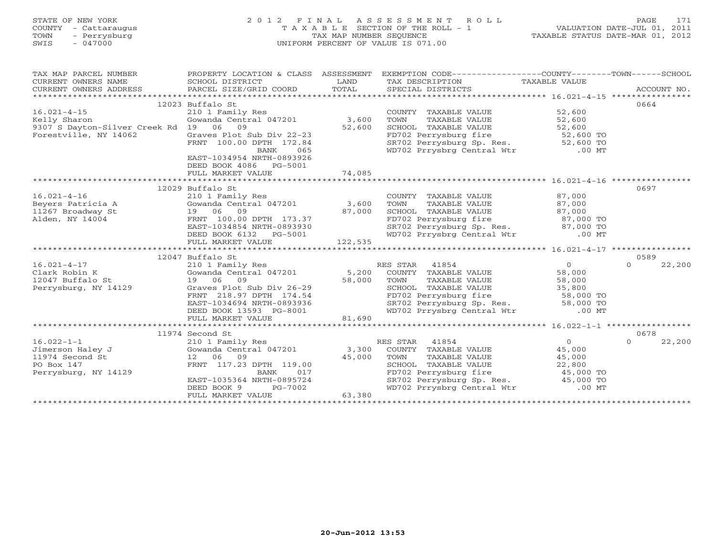# STATE OF NEW YORK 2 0 1 2 F I N A L A S S E S S M E N T R O L L PAGE 171 COUNTY - Cattaraugus T A X A B L E SECTION OF THE ROLL - 1 VALUATION DATE-JUL 01, 2011 TOWN - Perrysburg TAX MAP NUMBER SEQUENCE TAXABLE STATUS DATE-MAR 01, 2012 SWIS - 047000 UNIFORM PERCENT OF VALUE IS 071.00UNIFORM PERCENT OF VALUE IS 071.00

| TAX MAP PARCEL NUMBER                                                                         | PROPERTY LOCATION & CLASS ASSESSMENT                                                       |                        | EXEMPTION CODE-----------------COUNTY-------TOWN------SCHOOL                                                                                                              |                |                    |
|-----------------------------------------------------------------------------------------------|--------------------------------------------------------------------------------------------|------------------------|---------------------------------------------------------------------------------------------------------------------------------------------------------------------------|----------------|--------------------|
| CURRENT OWNERS NAME                                                                           | SCHOOL DISTRICT                                                                            | LAND                   | TAX DESCRIPTION TAXABLE VALUE                                                                                                                                             |                |                    |
| CURRENT OWNERS ADDRESS                                                                        | PARCEL SIZE/GRID COORD TOTAL                                                               |                        | SPECIAL DISTRICTS                                                                                                                                                         |                | ACCOUNT NO.        |
|                                                                                               |                                                                                            |                        |                                                                                                                                                                           |                |                    |
|                                                                                               | 12023 Buffalo St                                                                           |                        |                                                                                                                                                                           |                | 0664               |
| $16.021 - 4 - 15$                                                                             | 210 1 Family Res                                                                           |                        | COUNTY TAXABLE VALUE                                                                                                                                                      | 52,600         |                    |
| Kelly Sharon                                                                                  | Gowanda Central 047201                                                                     | 3,600                  | TOWN TAXABLE VALUE 52,600<br>SCHOOL TAXABLE VALUE 52,600<br>TOWN                                                                                                          |                |                    |
| 9307 S Dayton-Silver Creek Rd 19 06 09                                                        |                                                                                            | 52,600                 |                                                                                                                                                                           |                |                    |
| Forestville, NY 14062                                                                         | Graves Plot Sub Div 22-23                                                                  |                        |                                                                                                                                                                           |                |                    |
|                                                                                               | FRNT 100.00 DPTH 172.84                                                                    |                        | FD702 Perrysburg fire<br>SR702 Perrysburg fire<br>SR702 Perrysburg Sp. Res. 52,600 TO                                                                                     |                |                    |
|                                                                                               | 065<br>BANK                                                                                |                        | WD702 Prrysbrg Central Wtr                                                                                                                                                | $.00$ MT       |                    |
|                                                                                               | EAST-1034954 NRTH-0893926                                                                  |                        |                                                                                                                                                                           |                |                    |
|                                                                                               | DEED BOOK 4086 PG-5001                                                                     |                        |                                                                                                                                                                           |                |                    |
|                                                                                               | FULL MARKET VALUE                                                                          | 74,085                 |                                                                                                                                                                           |                |                    |
|                                                                                               |                                                                                            |                        |                                                                                                                                                                           |                |                    |
|                                                                                               | 12029 Buffalo St                                                                           |                        |                                                                                                                                                                           |                | 0697               |
| $16.021 - 4 - 16$                                                                             | 210 1 Family Res                                                                           |                        | COUNTY TAXABLE VALUE 87,000                                                                                                                                               |                |                    |
|                                                                                               |                                                                                            |                        |                                                                                                                                                                           |                |                    |
|                                                                                               |                                                                                            |                        |                                                                                                                                                                           |                |                    |
|                                                                                               | 19 06 09 87,000<br>FRNT 100.00 DPTH 173.37                                                 |                        | FD702 Perrysburg fire 37,000 TO                                                                                                                                           |                |                    |
|                                                                                               | EAST-1034854 NRTH-0893930<br>DEED BOOK 6132 PG-5001<br>FULL MARKET VALUE 122,535           |                        | SR702 Perrysburg Sp. Res. 87,000 TO<br>WD702 Prrysbrg Central Wtr .00 MT                                                                                                  |                |                    |
|                                                                                               |                                                                                            |                        |                                                                                                                                                                           |                |                    |
|                                                                                               |                                                                                            |                        |                                                                                                                                                                           |                |                    |
|                                                                                               |                                                                                            |                        |                                                                                                                                                                           |                |                    |
|                                                                                               | 12047 Buffalo St                                                                           |                        |                                                                                                                                                                           |                | 0589               |
| $16.021 - 4 - 17$                                                                             | 210 1 Family Res                                                                           |                        | RES STAR 41854                                                                                                                                                            | $\overline{0}$ | 22,200<br>$\Omega$ |
| Clark Robin K                                                                                 |                                                                                            |                        | Gowanda Central 047201 5,200 COUNTY TAXABLE VALUE 58,000                                                                                                                  |                |                    |
| 12047 Buffalo St                                                                              | 19 06 09 58,000<br>Graves Plot Sub Div 26-29 58,000<br>FRNT 218.97 DPTH 174.54<br>19 06 09 |                        | TOWN TAXABLE VALUE 58,000<br>SCHOOL TAXABLE VALUE 58,000<br>FD702 Perrysburg fire 58,000 TO<br>SR702 Perrysburg Sp. Res. 58,000 TO<br>SR702 Perrysburg Sp. Res. 58,000 TO |                |                    |
| Perrysburg, NY 14129                                                                          |                                                                                            |                        |                                                                                                                                                                           |                |                    |
|                                                                                               | FRNT 218.97 DPTH 174.54                                                                    |                        |                                                                                                                                                                           |                |                    |
|                                                                                               | EAST-1034694 NRTH-0893936                                                                  |                        |                                                                                                                                                                           |                |                    |
|                                                                                               | DEED BOOK 13593 PG-8001<br>FULL MARKET VALUE 81,690                                        |                        | WD702 Prrysbrg Central Wtr .00 MT                                                                                                                                         |                |                    |
|                                                                                               | FULL MARKET VALUE                                                                          | 81,690                 |                                                                                                                                                                           |                |                    |
|                                                                                               |                                                                                            |                        |                                                                                                                                                                           |                |                    |
|                                                                                               | 11974 Second St                                                                            |                        |                                                                                                                                                                           | $\overline{0}$ | 0678               |
| $16.022 - 1 - 1$<br>Jimerson Haley J Gowanda Central 047201 3,300 COUNTY TAXABLE VALUE 45,000 | 210 1 Family Res                                                                           |                        | RES STAR 41854                                                                                                                                                            |                | $\Omega$<br>22,200 |
|                                                                                               |                                                                                            |                        |                                                                                                                                                                           |                |                    |
| 11974 Second St                                                                               | 12 06 09                                                                                   | 45,000                 | TOWN<br>TAXABLE VALUE 45,000                                                                                                                                              |                |                    |
| PO Box 147                                                                                    | FRNT 117.23 DPTH 119.00                                                                    | $9.00$<br>017<br>$-17$ | SCHOOL TAXABLE VALUE $22,800$<br>FD702 Perrysburg fire $45,000$ TO<br>SR702 Perrysburg Sp. Res. $45,000$ TO                                                               |                |                    |
| Perrysburg, NY 14129                                                                          | BANK                                                                                       |                        |                                                                                                                                                                           |                |                    |
|                                                                                               | EAST-1035364 NRTH-0895724                                                                  |                        |                                                                                                                                                                           |                |                    |
|                                                                                               | DEED BOOK 9                                                                                | PG-7002<br>63,380      | WD702 Prrysbrg Central Wtr .00 MT                                                                                                                                         |                |                    |
|                                                                                               | FULL MARKET VALUE                                                                          |                        |                                                                                                                                                                           |                |                    |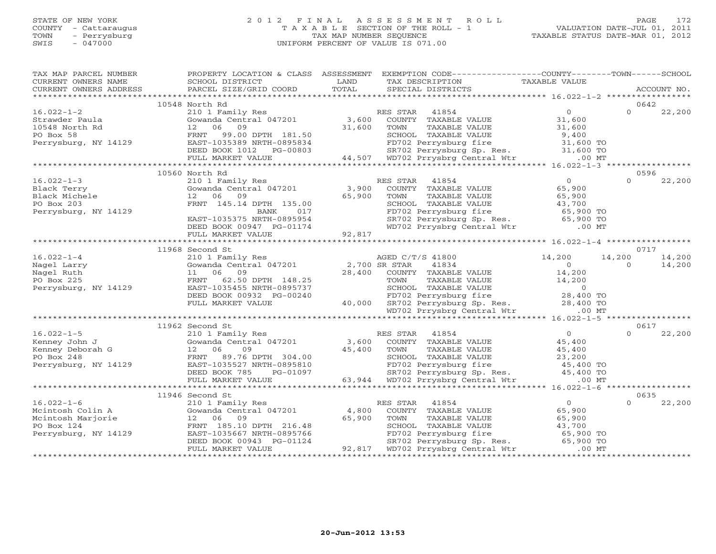### STATE OF NEW YORK 2 0 1 2 F I N A L A S S E S S M E N T R O L L PAGE 172 COUNTY - Cattaraugus T A X A B L E SECTION OF THE ROLL - 1 VALUATION DATE-JUL 01, 2011 TOWN - Perrysburg TAX MAP NUMBER SEQUENCE TAXABLE STATUS DATE-MAR 01, 2012<br>TAXABLE STATUS DATE-MAR 01, 2012 SWIS - 047000 UNIFORM PERCENT OF VALUE IS 071.00

 $0 \t 22,200$ 

| TAX MAP PARCEL NUMBER       |                                                                                                                                       | PROPERTY LOCATION & CLASS ASSESSMENT EXEMPTION CODE-----------------COUNTY-------TOWN------SCHOOL                                            |                                         |
|-----------------------------|---------------------------------------------------------------------------------------------------------------------------------------|----------------------------------------------------------------------------------------------------------------------------------------------|-----------------------------------------|
| CURRENT OWNERS NAME         | SCHOOL DISTRICT                                                                                                                       | LAND<br>TAX DESCRIPTION                                                                                                                      | <b>TAXABLE VALUE</b>                    |
| CURRENT OWNERS ADDRESS      | PARCEL SIZE/GRID COORD                                                                                                                | TOTAL<br>SPECIAL DISTRICTS                                                                                                                   | ACCOUNT NO.                             |
|                             |                                                                                                                                       |                                                                                                                                              |                                         |
|                             | 10548 North Rd                                                                                                                        |                                                                                                                                              | 0642                                    |
| $16.022 - 1 - 2$            | 210 1 Family Res                                                                                                                      | 41854<br>RES STAR                                                                                                                            | $\overline{O}$<br>22,200<br>$\Omega$    |
| Strawder Paula              |                                                                                                                                       | Gowanda Central 047201 (3,600 COUNTY TAXABLE VALUE 12 06 09 (31,600 TOWN TAXABLE VALUE FRNT 99.00 DPTH 181.50                                | 31,600                                  |
| 10548 North Rd              |                                                                                                                                       | 31,600 TOWN 1000000 V.D.C.<br>SCHOOL TAXABLE VALUE 9,400<br>FD702 Perrysburg fire 31,600 TO                                                  | 31,600                                  |
| PO Box 58                   |                                                                                                                                       |                                                                                                                                              |                                         |
|                             | Perrysburg, NY 14129 EAST-1035389 NRTH-0895834                                                                                        |                                                                                                                                              |                                         |
|                             | DEED BOOK 1012<br>PG-00803                                                                                                            | SR702 Perrysburg Sp. Res. 31,600 TO<br>44,507 WD702 Prrysbrg Central Wtr .00 MT                                                              |                                         |
|                             | FULL MARKET VALUE                                                                                                                     |                                                                                                                                              |                                         |
|                             |                                                                                                                                       |                                                                                                                                              |                                         |
|                             | 10560 North Rd                                                                                                                        |                                                                                                                                              | 0596                                    |
| $16.022 - 1 - 3$            | 210 1 Family Res                                                                                                                      | 41854<br>RES STAR                                                                                                                            | $\overline{O}$<br>$\cap$<br>22,200      |
| Black Terry                 | Gowanda Central 047201 3,900                                                                                                          | COUNTY TAXABLE VALUE                                                                                                                         | 65,900                                  |
| Black Michele               | 12 06 09                                                                                                                              | 65,900<br>TOWN<br>TAXABLE VALUE                                                                                                              | 65,900                                  |
| PO Box 203                  | FRNT 145.14 DPTH 135.00                                                                                                               | SCHOOL TAXABLE VALUE                                                                                                                         | 43,700                                  |
| Perrysburg, NY 14129        | BANK<br>017                                                                                                                           | FD702 Perrysburg fire 65,900 TO                                                                                                              |                                         |
|                             | EAST-1035375 NRTH-0895954                                                                                                             | SR702 Perrysburg Sp. Res. 65,900 TO                                                                                                          |                                         |
|                             | DEED BOOK 00947 PG-01174                                                                                                              | WD702 Prrysbrg Central Wtr .00 MT<br>92.817                                                                                                  |                                         |
|                             | FULL MARKET VALUE                                                                                                                     | 92,817                                                                                                                                       |                                         |
|                             |                                                                                                                                       |                                                                                                                                              |                                         |
|                             | 11968 Second St                                                                                                                       |                                                                                                                                              | 0717                                    |
| $16.022 - 1 - 4$            | 210 1 Family Res<br>210 1 Family Res<br>Gowanda Central 047201 2,700 SR STAR<br>11 06 09 28,400 COUNTY<br>FRNT 62.50 DPTH 148.25 TOWN | AGED C/T/S 41800                                                                                                                             | 14,200<br>14,200<br>14,200<br>$\bigcap$ |
| Nagel Larry                 |                                                                                                                                       | 41834<br>28,400 COUNTY TAXABLE VALUE                                                                                                         | 14,200<br>$\overline{0}$<br>14,200      |
| Nagel Ruth                  |                                                                                                                                       |                                                                                                                                              | 14,200                                  |
| PO Box 225                  |                                                                                                                                       | TAXABLE VALUE                                                                                                                                | $\overline{0}$                          |
| Perrysburg, NY 14129        | EAST-1035455 NRTH-0895737                                                                                                             | SCHOOL TAXABLE VALUE                                                                                                                         |                                         |
|                             | DEED BOOK 00932 PG-00240                                                                                                              | SCHOOL TAXABLE VALUE 0<br>FD702 Perrysburg fire 28,400 TO<br>40,000 SR702 Perrysburg Sp. Res. 28,400 TO<br>WD702 Prrysbrg Central Wtr .00 MT |                                         |
|                             | FULL MARKET VALUE                                                                                                                     |                                                                                                                                              |                                         |
|                             |                                                                                                                                       |                                                                                                                                              |                                         |
|                             | 11962 Second St                                                                                                                       |                                                                                                                                              | 0617                                    |
| $16.022 - 1 - 5$            | 210 1 Family Res                                                                                                                      | 41854<br>RES STAR                                                                                                                            | $\overline{O}$<br>22,200<br>$\Omega$    |
| Kenney John J               | ---<br>Gowanda Central 047201                                                                                                         | 3,600 COUNTY TAXABLE VALUE                                                                                                                   | 45,400                                  |
| Kenney Deborah G 12 06      | 09                                                                                                                                    | 45,400<br>TAXABLE VALUE<br>TOWN                                                                                                              | 45,400                                  |
| $_{\rm FRNT}$<br>PO Box 248 | 89.76 DPTH 304.00                                                                                                                     | SCHOOL TAXABLE VALUE                                                                                                                         | 23,200                                  |
| Perrysburg, NY 14129        | EAST-1035527 NRTH-0895810                                                                                                             | FD702 Perrysburg fire                                                                                                                        | 45,400 TO                               |
|                             |                                                                                                                                       |                                                                                                                                              |                                         |

 DEED BOOK 785 PG-01097 SR702 Perrysburg Sp. Res. 45,400 TO FULL MARKET VALUE 63,944 WD702 Prrysbrg Central Wtr .00 MT

Mcintosh Colin A Gowanda Central 047201 4,800 COUNTY TAXABLE VALUE 65,900 Mcintosh Marjorie 12 06 09 65,900 TOWN TAXABLE VALUE 65,900 PO Box 124 FRNT 185.10 DPTH 216.48 SCHOOL TAXABLE VALUE 43,700 Perrysburg, NY 14129 EAST-1035667 NRTH-0895766 FD702 Perrysburg fire 65,900 TO DEED BOOK 00943 PG-01124 SR702 Perrysburg Sp. Res. 65,900 TO FULL MARKET VALUE 92,817 WD702 Prrysbrg Central Wtr .00 MT

\*\*\*\*\*\*\*\*\*\*\*\*\*\*\*\*\*\*\*\*\*\*\*\*\*\*\*\*\*\*\*\*\*\*\*\*\*\*\*\*\*\*\*\*\*\*\*\*\*\*\*\*\*\*\*\*\*\*\*\*\*\*\*\*\*\*\*\*\*\*\*\*\*\*\*\*\*\*\*\*\*\*\*\*\*\*\*\*\*\*\*\*\*\*\*\*\*\*\*\*\*\*\* 16.022-1-6 \*\*\*\*\*\*\*\*\*\*\*\*\*\*\*\*\*

16.022-1-6 210 1 Family Res RES STAR 41854 0 0 22,200

\*\*\*\*\*\*\*\*\*\*\*\*\*\*\*\*\*\*\*\*\*\*\*\*\*\*\*\*\*\*\*\*\*\*\*\*\*\*\*\*\*\*\*\*\*\*\*\*\*\*\*\*\*\*\*\*\*\*\*\*\*\*\*\*\*\*\*\*\*\*\*\*\*\*\*\*\*\*\*\*\*\*\*\*\*\*\*\*\*\*\*\*\*\*\*\*\*\*\*\*\*\*\*\*\*\*\*\*\*\*\*\*\*\*\*\*\*\*\*\*\*\*\*\*\*\*\*\*\*\*\*\*

11946 Second St 0635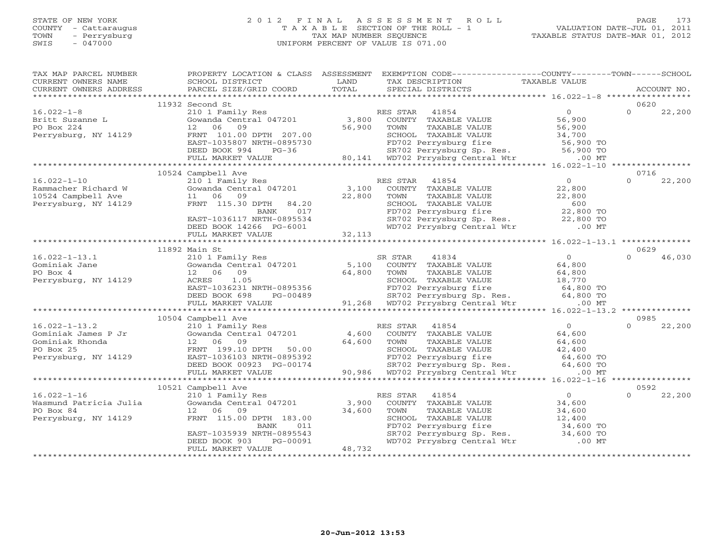### STATE OF NEW YORK 2 0 1 2 F I N A L A S S E S S M E N T R O L L PAGE 173 COUNTY - Cattaraugus T A X A B L E SECTION OF THE ROLL - 1 VALUATION DATE-JUL 01, 2011 TOWN - Perrysburg TAX MAP NUMBER SEQUENCE TAXABLE STATUS DATE-MAR 01, 2012 SWIS - 047000 UNIFORM PERCENT OF VALUE IS 071.00

| TAXABLE STATUS DATE-MAR 01, 2012 |  |  |  |
|----------------------------------|--|--|--|
|----------------------------------|--|--|--|

| TAX MAP PARCEL NUMBER<br>CURRENT OWNERS NAME | PROPERTY LOCATION & CLASS ASSESSMENT<br>SCHOOL DISTRICT        | LAND                                                      | EXEMPTION CODE----------------COUNTY-------TOWN------SCHOOL<br>TAX DESCRIPTION                                                                                     | TAXABLE VALUE                                        |                    |
|----------------------------------------------|----------------------------------------------------------------|-----------------------------------------------------------|--------------------------------------------------------------------------------------------------------------------------------------------------------------------|------------------------------------------------------|--------------------|
| CURRENT OWNERS ADDRESS                       | PARCEL SIZE/GRID COORD                                         | TOTAL                                                     | SPECIAL DISTRICTS                                                                                                                                                  |                                                      | ACCOUNT NO.        |
|                                              |                                                                |                                                           |                                                                                                                                                                    |                                                      |                    |
|                                              | 11932 Second St                                                |                                                           |                                                                                                                                                                    | 0                                                    | 0620<br>$\Omega$   |
| $16.022 - 1 - 8$                             | 210 1 Family Res<br>210 1 Family Res<br>Gowanda Central 047201 | $\begin{smallmatrix}&&&\R&\3\, ,\, 800&\end{smallmatrix}$ | RES STAR<br>41854                                                                                                                                                  | 56,900                                               | 22,200             |
| Britt Suzanne L<br>PO Box 224                | 12 06<br>09                                                    | 56,900                                                    | COUNTY TAXABLE VALUE<br>TOWN<br>TAXABLE VALUE                                                                                                                      |                                                      |                    |
| Perrysburg, NY 14129                         | FRNT 101.00 DPTH 207.00                                        |                                                           | SCHOOL TAXABLE VALUE                                                                                                                                               | 56,900<br>34,700                                     |                    |
|                                              | EAST-1035807 NRTH-0895730                                      |                                                           |                                                                                                                                                                    |                                                      |                    |
|                                              | $RTH-0895730$<br>$PG-36$<br>DEED BOOK 994                      |                                                           |                                                                                                                                                                    |                                                      |                    |
|                                              | FULL MARKET VALUE                                              |                                                           | 1,000 TOTO2 Perrysburg fire 1,000 TO<br>3-36 S6,900 TO SR702 Perrysburg fire 56,900 TO<br>3-36 80,141 WD702 Prrysbrg Central Wtr .00 MT                            |                                                      |                    |
|                                              |                                                                |                                                           |                                                                                                                                                                    |                                                      |                    |
|                                              | 10524 Campbell Ave                                             |                                                           |                                                                                                                                                                    |                                                      | 0716               |
| $16.022 - 1 - 10$                            | 210 1 Family Res                                               |                                                           | RES STAR<br>41854                                                                                                                                                  | 0                                                    | $\cap$<br>22,200   |
| Rammacher Richard W                          | Gowanda Central 047201                                         | 3,100                                                     | COUNTY TAXABLE VALUE                                                                                                                                               | 22,800                                               |                    |
| 10524 Campbell Ave                           | 11 06 09                                                       | 22,800                                                    | TAXABLE VALUE<br>TOWN                                                                                                                                              | 22,800                                               |                    |
| Perrysburg, NY 14129                         | FRNT 115.30 DPTH<br>84.20                                      |                                                           | SCHOOL TAXABLE VALUE                                                                                                                                               | 600                                                  |                    |
|                                              | 017<br>BANK                                                    |                                                           |                                                                                                                                                                    |                                                      |                    |
|                                              | EAST-1036117 NRTH-0895534                                      |                                                           | CONDUCTRIAL BUSINE VALUE<br>FD702 Perrysburg Sp. Res. 22,800 TO<br>WD702 Perrysburg Sp. Res. 22,800 TO                                                             |                                                      |                    |
|                                              | DEED BOOK 14266 PG-6001                                        |                                                           |                                                                                                                                                                    |                                                      |                    |
|                                              | FULL MARKET VALUE                                              | 32,113                                                    |                                                                                                                                                                    |                                                      |                    |
|                                              |                                                                |                                                           |                                                                                                                                                                    | ********************** 16.022-1-13.1 *************** |                    |
|                                              | 11892 Main St                                                  |                                                           |                                                                                                                                                                    |                                                      | 0629               |
| $16.022 - 1 - 13.1$                          | 210 1 Family Res<br>Gowanda Central 047201                     |                                                           | SR STAR<br>41834                                                                                                                                                   | $\overline{0}$<br>64,800                             | 46,030<br>$\Omega$ |
| Gominiak Jane                                |                                                                | 5,100                                                     | COUNTY TAXABLE VALUE                                                                                                                                               |                                                      |                    |
| PO Box 4                                     | 12 06 09<br>1.05<br>ACRES                                      | 64,800                                                    | TOWN<br>TAXABLE VALUE<br>SCHOOL TAXABLE VALUE                                                                                                                      | 64,800<br>18,770                                     |                    |
| Perrysburg, NY 14129                         | EAST-1036231 NRTH-0895356                                      | H-0895356<br>PG-00489                                     |                                                                                                                                                                    |                                                      |                    |
|                                              | DEED BOOK 698                                                  |                                                           |                                                                                                                                                                    |                                                      |                    |
|                                              | FULL MARKET VALUE                                              |                                                           | 95356 FD702 Perrysburg fire 64,800 TO<br>0489 64,800 TO SR702 Perrysburg Sp. Res. 64,800 TO<br>91,268 WD702 Prrysbrg Central Wtr .00 MT                            |                                                      |                    |
|                                              |                                                                |                                                           |                                                                                                                                                                    |                                                      |                    |
|                                              | 10504 Campbell Ave                                             |                                                           |                                                                                                                                                                    |                                                      | 0985               |
| $16.022 - 1 - 13.2$                          | 210 1 Family Res                                               |                                                           | RES STAR<br>41854                                                                                                                                                  | $\overline{0}$                                       | 22,200<br>$\Omega$ |
| Gominiak James P Jr                          | Gowanda Central 047201                                         | 4,600                                                     | COUNTY TAXABLE VALUE                                                                                                                                               | 64,600                                               |                    |
| Gominiak Rhonda                              | 12 06<br>09                                                    | 64,600                                                    | TOWN<br>TAXABLE VALUE                                                                                                                                              | 64,600                                               |                    |
| PO Box 25                                    | FRNT 199.10 DPTH 50.00                                         |                                                           | SCHOOL TAXABLE VALUE                                                                                                                                               | 42,400                                               |                    |
| Perrysburg, NY 14129                         | EAST-1036103 NRTH-0895392                                      |                                                           |                                                                                                                                                                    |                                                      |                    |
|                                              | DEED BOOK 00923 PG-00174                                       |                                                           |                                                                                                                                                                    |                                                      |                    |
|                                              | FULL MARKET VALUE                                              |                                                           | 00 102 Perrysburg fire 12, 100 PD702 Perrysburg fire 64,600 TO<br>SR702 Perrysburg Sp. Res. 64,600 TO<br>90,986 WD702 Prrysbrg Central Wtr .00 MT                  |                                                      |                    |
|                                              |                                                                |                                                           |                                                                                                                                                                    |                                                      |                    |
|                                              | 10521 Campbell Ave                                             |                                                           |                                                                                                                                                                    |                                                      | 0592               |
| $16.022 - 1 - 16$                            | 210 1 Family Res                                               |                                                           | 41854<br>RES STAR                                                                                                                                                  | $\overline{0}$                                       | $\Omega$<br>22,200 |
| Wasmund Patricia Julia                       | Gowanda Central 047201                                         | 3,900                                                     | COUNTY TAXABLE VALUE                                                                                                                                               | 34,600<br>34,600                                     |                    |
| PO Box 84                                    | 12 06<br>09                                                    | 34,600                                                    | TAXABLE VALUE<br>TOWN                                                                                                                                              |                                                      |                    |
| Perrysburg, NY 14129                         | FRNT 115.00 DPTH 183.00                                        |                                                           | SCHOOL TAXABLE VALUE<br>SCHOOL TAXABLE VALUE 12,400<br>FD702 Perrysburg fire 34,600 TO<br>SR702 Perrysburg Sp. Res. 34,600 TO<br>WD702 Prrysbrg Central Wtr .00 MT | 12,400                                               |                    |
|                                              | BANK<br>011<br>EAST-1035939 NRTH-0895543                       |                                                           |                                                                                                                                                                    |                                                      |                    |
|                                              | DEED BOOK 903<br>PG-00091                                      |                                                           |                                                                                                                                                                    |                                                      |                    |
|                                              | FULL MARKET VALUE                                              | 48,732                                                    |                                                                                                                                                                    |                                                      |                    |
|                                              |                                                                |                                                           |                                                                                                                                                                    |                                                      |                    |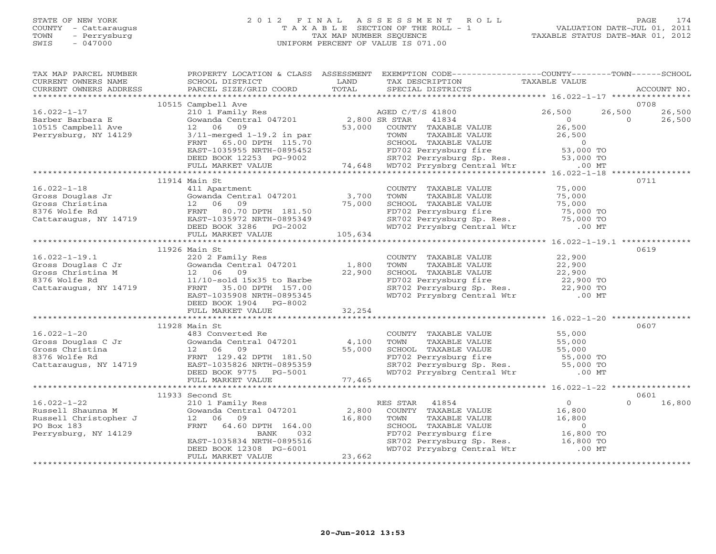# STATE OF NEW YORK 2 0 1 2 F I N A L A S S E S S M E N T R O L L PAGE 174 COUNTY - Cattaraugus T A X A B L E SECTION OF THE ROLL - 1 VALUATION DATE-JUL 01, 2011 TOWN - Perrysburg TAX MAP NUMBER SEQUENCE TAXABLE STATUS DATE-MAR 01, 2012 SWIS - 047000 UNIFORM PERCENT OF VALUE IS 071.00UNIFORM PERCENT OF VALUE IS 071.00

| TAX MAP PARCEL NUMBER<br>CURRENT OWNERS NAME                                        | <b>EXAMPLE SERVICE SERVICE SERVICE SERVICE SERVICE SERVICE SERVICE SERVICE SERVICE SERVICE SERVICE SERVICE SERVICE</b><br>SCHOOL DISTRICT                                                                                                            |        | PROPERTY LOCATION & CLASS ASSESSMENT EXEMPTION CODE----------------COUNTY-------TOWN------SCHOOL<br>TAX DESCRIPTION                                                                                                                    | TAXABLE VALUE |                                              |
|-------------------------------------------------------------------------------------|------------------------------------------------------------------------------------------------------------------------------------------------------------------------------------------------------------------------------------------------------|--------|----------------------------------------------------------------------------------------------------------------------------------------------------------------------------------------------------------------------------------------|---------------|----------------------------------------------|
|                                                                                     |                                                                                                                                                                                                                                                      |        |                                                                                                                                                                                                                                        |               |                                              |
|                                                                                     | 10515 Campbell Ave                                                                                                                                                                                                                                   |        |                                                                                                                                                                                                                                        |               | 0708                                         |
| $16.022 - 1 - 17$<br>Barber Barbara E<br>10515 Campbell Ave<br>Perrysburg, NY 14129 | 12 06 09                                                                                                                                                                                                                                             |        | Gowanda Central 047201 2,800 SR STAR 41834<br>12 06 09 53,000 COUNTY TAXABLE VALUE 26,500<br>3/11-merged 1-19.2 in par TOWN TAXABLE VALUE 26,500<br>FRNT 65.00 DPTH 115.70 SCHOOL TAXABLE VALUE 26,500<br>FRNT 65.00 DPTH 115.70 SCHOO |               | 26,500<br>26,500<br>$\overline{0}$<br>26,500 |
|                                                                                     |                                                                                                                                                                                                                                                      |        |                                                                                                                                                                                                                                        |               |                                              |
|                                                                                     |                                                                                                                                                                                                                                                      |        |                                                                                                                                                                                                                                        |               |                                              |
|                                                                                     | 11914 Main St                                                                                                                                                                                                                                        |        |                                                                                                                                                                                                                                        |               | 0711                                         |
|                                                                                     |                                                                                                                                                                                                                                                      |        | COUNTY TAXABLE VALUE<br>TOWN TAXABLE VALUE 75,000<br>SCHOOL TAXABLE VALUE 75,000<br>FD702 Perrysburg fire 75,000 TO<br>SR702 Perrysburg Sp. Res. 75,000 TO<br>WD702 Prrysbrg Central Wtr 00 MT                                         |               |                                              |
|                                                                                     |                                                                                                                                                                                                                                                      |        |                                                                                                                                                                                                                                        |               |                                              |
|                                                                                     |                                                                                                                                                                                                                                                      |        |                                                                                                                                                                                                                                        |               |                                              |
|                                                                                     | 11926 Main St<br>16.022-1-19.1<br>Gross Douglas C Jr (Cowanda Central 047201)<br>Gross Christina M (22.06 09)<br>8376 Wolfe Rd (22.900)<br>Cattaraugus, NY 14719 (28.97-1035908 NPTH 157.00)<br>EAST-1035908 NPTH 16965345<br>DEED BOOK 1904 PG-8002 |        | COUNTY TAXABLE VALUE<br>TOWN TAXABLE VALUE<br>SCHOOL TAXABLE VALUE<br>FD702 Perrysburg fire<br>SR702 Perrysburg Sp. Res.<br>WD702 Prrysbrg Central Wtr (22,900 TO<br>WD702 Prrysbrg Central Wtr (22,900 TO                             |               | 0619                                         |
|                                                                                     | FULL MARKET VALUE                                                                                                                                                                                                                                    | 32,254 |                                                                                                                                                                                                                                        |               |                                              |
|                                                                                     |                                                                                                                                                                                                                                                      |        |                                                                                                                                                                                                                                        |               |                                              |
|                                                                                     | 11928 Main St                                                                                                                                                                                                                                        |        |                                                                                                                                                                                                                                        |               | 0607                                         |
|                                                                                     |                                                                                                                                                                                                                                                      |        |                                                                                                                                                                                                                                        |               |                                              |
|                                                                                     |                                                                                                                                                                                                                                                      |        |                                                                                                                                                                                                                                        |               |                                              |
|                                                                                     | 11933 Second St                                                                                                                                                                                                                                      |        |                                                                                                                                                                                                                                        |               | 0601                                         |
|                                                                                     | 16.022-1-22<br>Russell Shaunna M<br>Russell Christopher J<br>Perrysburg, NY 14129<br>EAST-1035834 NRTH-0895516<br>EAST-1035834 NRTH-0895516<br>EAST-1035834 NRTH-0895516<br>EAST-1035834 NRTH-0895516<br>EAST-1035834 NRTH-0895516<br>PERRY VAL      | 23,662 |                                                                                                                                                                                                                                        |               | $\Omega$<br>16,800                           |
|                                                                                     | FULL MARKET VALUE                                                                                                                                                                                                                                    |        |                                                                                                                                                                                                                                        |               |                                              |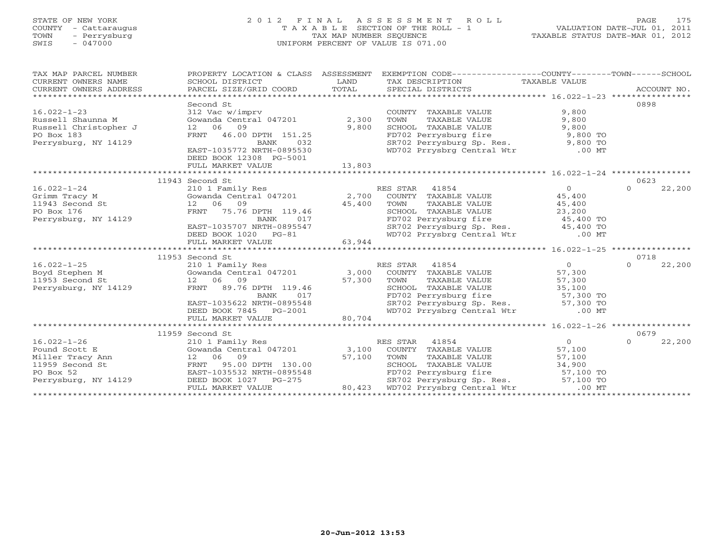# STATE OF NEW YORK 2 0 1 2 F I N A L A S S E S S M E N T R O L L PAGE 175 COUNTY - Cattaraugus T A X A B L E SECTION OF THE ROLL - 1 VALUATION DATE-JUL 01, 2011 TOWN - Perrysburg TAX MAP NUMBER SEQUENCE TAXABLE STATUS DATE-MAR 01, 2012 SWIS - 047000 UNIFORM PERCENT OF VALUE IS 071.00UNIFORM PERCENT OF VALUE IS 071.00

| TAX MAP PARCEL NUMBER<br>CURRENT OWNERS NAME<br>CURRENT OWNERS ADDRESS | SCHOOL DISTRICT<br>PARCEL SIZE/GRID COORD                            | LAND<br><b>TOTAL</b> | PROPERTY LOCATION & CLASS ASSESSMENT EXEMPTION CODE----------------COUNTY-------TOWN------SCHOOL<br>TAX DESCRIPTION<br>SPECIAL DISTRICTS | TAXABLE VALUE  | ACCOUNT NO. |        |
|------------------------------------------------------------------------|----------------------------------------------------------------------|----------------------|------------------------------------------------------------------------------------------------------------------------------------------|----------------|-------------|--------|
|                                                                        | Second St                                                            |                      |                                                                                                                                          |                | 0898        |        |
| $16.022 - 1 - 23$                                                      | 312 Vac w/imprv                                                      |                      | COUNTY TAXABLE VALUE                                                                                                                     | 9,800          |             |        |
| Russell Shaunna M                                                      | Gowanda Central 047201 2,300                                         |                      | TAXABLE VALUE<br>TOWN                                                                                                                    | 9,800          |             |        |
| Russell Christopher J                                                  | 12 06 09                                                             | 9,800                | SCHOOL TAXABLE VALUE                                                                                                                     | 9,800          |             |        |
| PO Box 183                                                             | FRNT 46.00 DPTH 151.25                                               |                      |                                                                                                                                          |                |             |        |
| Perrysburg, NY 14129                                                   | 032<br>BANK                                                          |                      | FD702 Perrysburg fire 9,800 TO<br>SR702 Perrysburg Sp. Res. 9,800 TO<br>WD702 Prrysbrg Central Wtr .00 MT                                |                |             |        |
|                                                                        | EAST-1035772 NRTH-0895530                                            |                      |                                                                                                                                          |                |             |        |
|                                                                        | DEED BOOK 12308 PG-5001                                              |                      |                                                                                                                                          |                |             |        |
|                                                                        | FULL MARKET VALUE                                                    | 13,803               |                                                                                                                                          |                |             |        |
|                                                                        |                                                                      |                      |                                                                                                                                          |                |             |        |
|                                                                        | 11943 Second St                                                      |                      |                                                                                                                                          |                | 0623        |        |
| $16.022 - 1 - 24$                                                      | 210 1 Family Res                                                     |                      | RES STAR 41854                                                                                                                           | $\Omega$       | $\Omega$    | 22,200 |
| Grimm Tracy M                                                          | Gowanda Central 047201 2,700 COUNTY TAXABLE VALUE                    |                      |                                                                                                                                          | 45,400         |             |        |
| 11943 Second St                                                        | 12 06 09                                                             | 45,400               | TOWN<br>TAXABLE VALUE                                                                                                                    | 45,400         |             |        |
| PO Box 176                                                             | FRNT 75.76 DPTH 119.46                                               |                      | SCHOOL TAXABLE VALUE 23,200                                                                                                              |                |             |        |
| Perrysburg, NY 14129                                                   | BANK<br>017                                                          |                      |                                                                                                                                          |                |             |        |
|                                                                        | EAST-1035707 NRTH-0895547                                            |                      |                                                                                                                                          |                |             |        |
|                                                                        | DEED BOOK 1020 PG-81                                                 |                      | FD702 Perrysburg fire 45,400 TO<br>SR702 Perrysburg Sp. Res. 45,400 TO<br>WD702 Prrysbrg Central Wtr .00 MT                              |                |             |        |
|                                                                        | FULL MARKET VALUE                                                    | 63,944               |                                                                                                                                          |                |             |        |
|                                                                        |                                                                      |                      |                                                                                                                                          |                |             |        |
|                                                                        | 11953 Second St                                                      |                      |                                                                                                                                          |                | 0718        |        |
| $16.022 - 1 - 25$                                                      | 210 1 Family Res                                                     |                      | RES STAR 41854                                                                                                                           | $\overline{0}$ | $\Omega$    | 22,200 |
| Boyd Stephen M                                                         | Gowanda Central 047201 3,000                                         |                      | COUNTY TAXABLE VALUE                                                                                                                     | 57,300         |             |        |
| 11953 Second St                                                        | 12 06 09 57,300<br>FRNT 89.76 DPTH 119.46 57,300<br>12 06 09         |                      | TOWN<br>TAXABLE VALUE                                                                                                                    | 57,300         |             |        |
| Perrysburg, NY 14129                                                   |                                                                      |                      | SCHOOL TAXABLE VALUE 35,100<br>FD702 Perrysburg fire 57,300 TO<br>SR702 Perrysburg Sp. Res. 57,300 TO                                    |                |             |        |
|                                                                        | 017<br>BANK                                                          |                      |                                                                                                                                          |                |             |        |
|                                                                        | EAST-1035622 NRTH-0895548                                            |                      |                                                                                                                                          |                |             |        |
|                                                                        | DEED BOOK 7845 PG-2001                                               | $G-2001$ 80,704      | WD702 Prrysbrg Central Wtr                                                                                                               | $.00$ MT       |             |        |
|                                                                        | FULL MARKET VALUE                                                    |                      |                                                                                                                                          |                |             |        |
|                                                                        |                                                                      |                      |                                                                                                                                          |                |             |        |
|                                                                        | 11959 Second St                                                      |                      |                                                                                                                                          |                | 0679        |        |
| $16.022 - 1 - 26$                                                      | 210 1 Family Res<br>210 1 Family Res<br>Gowanda Central 047201 3,100 |                      | RES STAR 41854                                                                                                                           | $\overline{0}$ | $\Omega$    | 22,200 |
| Pound Scott E                                                          |                                                                      |                      | COUNTY TAXABLE VALUE                                                                                                                     | 57,100         |             |        |
|                                                                        |                                                                      | 57,100               | TAXABLE VALUE<br>TOWN                                                                                                                    | 57,100         |             |        |
| Miller Tracy Ann 12 06 09<br>11959 Second St FRNT 95.00                | 95.00 DPTH 130.00                                                    |                      | SCHOOL TAXABLE VALUE                                                                                                                     | 34,900         |             |        |
| PO Box 52                                                              | EAST-1035532 NRTH-0895548                                            |                      |                                                                                                                                          |                |             |        |
| Perrysburg, NY 14129                                                   | DEED BOOK 1027 PG-275                                                |                      | FD702 Perrysburg fire 57,100 TO<br>SR702 Perrysburg Sp. Res. 57,100 TO<br>WD702 Prrysbrg Central Wtr .00 MT                              |                |             |        |
|                                                                        | FULL MARKET VALUE                                                    | 80,423               |                                                                                                                                          |                |             |        |
|                                                                        |                                                                      |                      |                                                                                                                                          |                |             |        |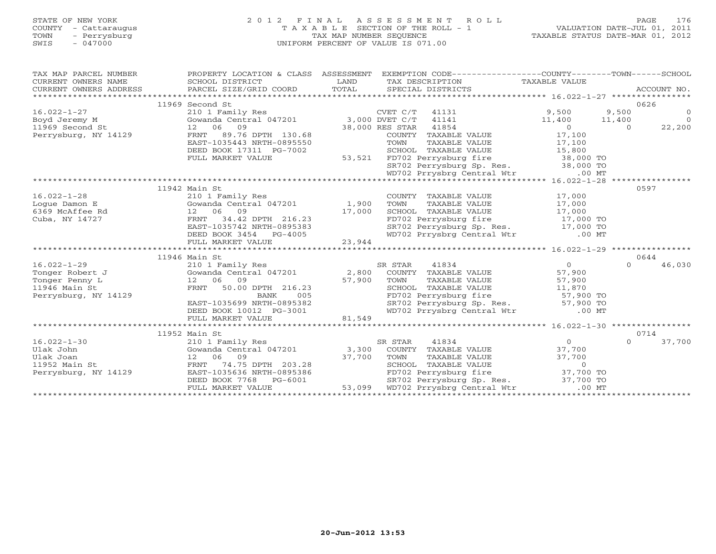# STATE OF NEW YORK 2 0 1 2 F I N A L A S S E S S M E N T R O L L PAGE 176 COUNTY - Cattaraugus T A X A B L E SECTION OF THE ROLL - 1 VALUATION DATE-JUL 01, 2011 TOWN - Perrysburg TAX MAP NUMBER SEQUENCE TAXABLE STATUS DATE-MAR 01, 2012 SWIS - 047000 UNIFORM PERCENT OF VALUE IS 071.00UNIFORM PERCENT OF VALUE IS 071.00

| TAX MAP PARCEL NUMBER<br>CURRENT OWNERS NAME                                  | PROPERTY LOCATION & CLASS ASSESSMENT<br>SCHOOL DISTRICT                                                                                                                                      | LAND<br>TOTAL | EXEMPTION CODE-----------------COUNTY-------TOWN------SCHOOL<br>TAX DESCRIPTION TAXABLE VALUE<br>SPECIAL DISTRICTS |                                                                                                          | ACCOUNT NO.        |
|-------------------------------------------------------------------------------|----------------------------------------------------------------------------------------------------------------------------------------------------------------------------------------------|---------------|--------------------------------------------------------------------------------------------------------------------|----------------------------------------------------------------------------------------------------------|--------------------|
|                                                                               | 11969 Second St                                                                                                                                                                              |               |                                                                                                                    |                                                                                                          | 0626               |
| $16.022 - 1 - 27$                                                             |                                                                                                                                                                                              |               |                                                                                                                    | $\begin{array}{cccc} 9,500 & & 9,500 & & 0 \\ 11,400 & & 11,400 & & 0 \\ 0 & & 0 & & 22,200 \end{array}$ |                    |
| $\mathbf{t}$<br>Boyd Jeremy M                                                 |                                                                                                                                                                                              |               |                                                                                                                    |                                                                                                          |                    |
| 11969 Second St                                                               | 12 06 09                                                                                                                                                                                     |               | 38,000 RES STAR 41854                                                                                              |                                                                                                          |                    |
| Perrysburg, NY 14129                                                          | 89.76 DPTH 130.68<br>FRNT                                                                                                                                                                    |               | COUNTY TAXABLE VALUE 17,100                                                                                        |                                                                                                          |                    |
|                                                                               | EAST-1035443 NRTH-0895550                                                                                                                                                                    |               |                                                                                                                    |                                                                                                          |                    |
|                                                                               | DEED BOOK 17311 PG-7002                                                                                                                                                                      |               |                                                                                                                    |                                                                                                          |                    |
|                                                                               | FULL MARKET VALUE                                                                                                                                                                            |               | 53,521 FD702 Perrysburg fire 38,000 TO<br>SR702 Perrysburg Sp. Res. 38,000 TO                                      |                                                                                                          |                    |
|                                                                               |                                                                                                                                                                                              |               |                                                                                                                    |                                                                                                          |                    |
|                                                                               |                                                                                                                                                                                              |               | WD702 Prrysbrg Central Wtr .00 MT                                                                                  |                                                                                                          |                    |
|                                                                               |                                                                                                                                                                                              |               |                                                                                                                    |                                                                                                          |                    |
|                                                                               | 11942 Main St                                                                                                                                                                                |               |                                                                                                                    |                                                                                                          | 0597               |
| $16.022 - 1 - 28$                                                             | 210 1 Family Res                                                                                                                                                                             |               | COUNTY TAXABLE VALUE $17,000$<br>TOWN TAXABLE VALUE $17,000$<br>SCHOOL TAXABLE VALUE $17,000$                      |                                                                                                          |                    |
| Loque Damon E<br>Gowanda Central<br>12 06 09<br>FRNT 34.42<br>6369 McAffee Rd | Gowanda Central 047201 1,900                                                                                                                                                                 | 17,000        |                                                                                                                    |                                                                                                          |                    |
| Cuba, NY 14727                                                                |                                                                                                                                                                                              |               |                                                                                                                    |                                                                                                          |                    |
|                                                                               |                                                                                                                                                                                              |               | FD702 Perrysburg fire 17,000 TO<br>SR702 Perrysburg Sp. Res. 17,000 TO                                             |                                                                                                          |                    |
|                                                                               |                                                                                                                                                                                              |               | WD702 Prrysbrg Central Wtr .00 MT                                                                                  |                                                                                                          |                    |
|                                                                               | 12 06 09 -<br>FRNT 34.42 DPTH 216.23<br>EAST-1035742 NRTH-0895383<br>DEED BOOK 3454 PG-4005<br>TITT MADKET VALUE 23,944                                                                      |               |                                                                                                                    |                                                                                                          |                    |
|                                                                               |                                                                                                                                                                                              |               |                                                                                                                    |                                                                                                          |                    |
|                                                                               | 210 1 Family Res<br>Cowanda Central 047201 2,800 COUNTY TAXABLE VALUE<br>12 06 09 57,900 TOWN TAXABLE VALUE                                                                                  |               |                                                                                                                    |                                                                                                          | 0644               |
| $16.022 - 1 - 29$                                                             |                                                                                                                                                                                              |               |                                                                                                                    | $\overline{0}$                                                                                           | 46,030<br>$\Omega$ |
| Tonger Robert J                                                               |                                                                                                                                                                                              |               |                                                                                                                    | 57,900                                                                                                   |                    |
| Tonger Penny L                                                                | 12 06 09<br>FRNT 50.00 DPTH 216.23<br>BANK 005<br>FD702                                                                                                                                      |               |                                                                                                                    | 57,900                                                                                                   |                    |
| 11946 Main St                                                                 |                                                                                                                                                                                              |               |                                                                                                                    |                                                                                                          |                    |
| Perrysburg, NY 14129                                                          |                                                                                                                                                                                              |               |                                                                                                                    |                                                                                                          |                    |
|                                                                               | EAST-1035699 NRTH-0895382                                                                                                                                                                    |               | SCHOOL TAXABLE VALUE 11,870<br>FD702 Perrysburg fire 57,900 TO<br>SR702 Perrysburg Sp. Res. 57,900 TO              |                                                                                                          |                    |
|                                                                               | DEED BOOK 10012 PG-3001                                                                                                                                                                      |               | WD702 Prrysbrg Central Wtr .00 MT                                                                                  |                                                                                                          |                    |
|                                                                               | FULL MARKET VALUE                                                                                                                                                                            | 81,549        |                                                                                                                    |                                                                                                          |                    |
|                                                                               |                                                                                                                                                                                              |               |                                                                                                                    |                                                                                                          |                    |
|                                                                               | 11952 Main St                                                                                                                                                                                |               |                                                                                                                    |                                                                                                          | 0714               |
| $16.022 - 1 - 30$<br>Ulak John                                                | 210 1 Family Res                                                                                                                                                                             |               | 41834<br>SR STAR                                                                                                   | $\overline{O}$                                                                                           | 37,700<br>$\cap$   |
| Ulak Joan                                                                     |                                                                                                                                                                                              |               |                                                                                                                    |                                                                                                          |                    |
| Gowanda Centi<br>12 06 09<br>FRNT 74.75<br>11952 Main St                      | Country TAXABLE VALUE 37,700<br>12 06 09 37,700 TOWN TAXABLE VALUE 37,700<br>FRNT 74.75 DPTH 203.28 SCHOOL TAXABLE VALUE 37,700<br>EAST-1035636 NRTH-0895386 FD702 Perrysburg fire 37,700 TO |               |                                                                                                                    |                                                                                                          |                    |
| Perrysburg, NY 14129                                                          |                                                                                                                                                                                              |               |                                                                                                                    |                                                                                                          |                    |
|                                                                               | DEED BOOK 7768 PG-6001                                                                                                                                                                       |               | SR702 Perrysburg Sp. Res. 37,700 TO                                                                                |                                                                                                          |                    |
|                                                                               | FULL MARKET VALUE                                                                                                                                                                            |               | 53,099 WD702 Prrysbrg Central Wtr                                                                                  | .00 MT                                                                                                   |                    |
|                                                                               |                                                                                                                                                                                              |               |                                                                                                                    |                                                                                                          |                    |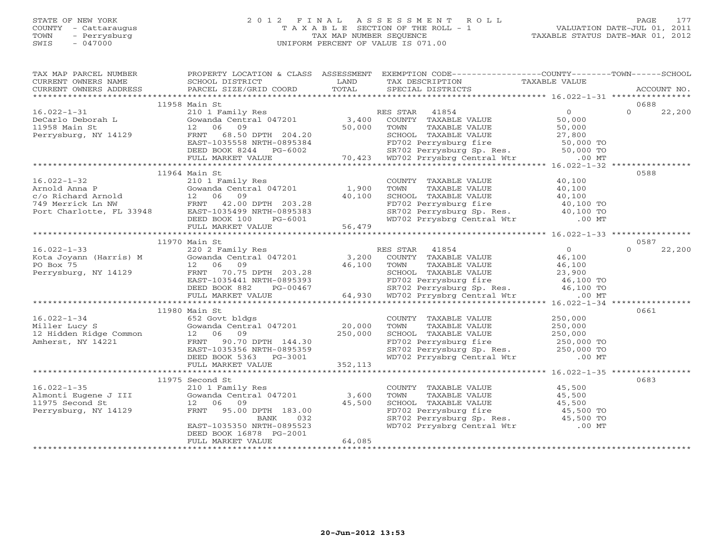## STATE OF NEW YORK 2 0 1 2 F I N A L A S S E S S M E N T R O L L PAGE 177 COUNTY - Cattaraugus T A X A B L E SECTION OF THE ROLL - 1 VALUATION DATE-JUL 01, 2011 TOWN - Perrysburg TAX MAP NUMBER SEQUENCE TAXABLE STATUS DATE-MAR 01, 2012 SWIS - 047000 UNIFORM PERCENT OF VALUE IS 071.00UNIFORM PERCENT OF VALUE IS 071.00

| TAX MAP PARCEL NUMBER                      |                                                                                       |           | PROPERTY LOCATION & CLASS ASSESSMENT EXEMPTION CODE----------------COUNTY-------TOWN------SCHOOL                                                                                                                                     |                                |                    |
|--------------------------------------------|---------------------------------------------------------------------------------------|-----------|--------------------------------------------------------------------------------------------------------------------------------------------------------------------------------------------------------------------------------------|--------------------------------|--------------------|
| CURRENT OWNERS NAME                        | SCHOOL DISTRICT                                                                       | LAND      | TAX DESCRIPTION                                                                                                                                                                                                                      | TAXABLE VALUE                  |                    |
| CURRENT OWNERS ADDRESS                     | PARCEL SIZE/GRID COORD                                                                | TOTAL     | SPECIAL DISTRICTS                                                                                                                                                                                                                    |                                | ACCOUNT NO.        |
|                                            |                                                                                       |           |                                                                                                                                                                                                                                      |                                |                    |
|                                            | 11958 Main St                                                                         |           |                                                                                                                                                                                                                                      |                                | 0688               |
| $16.022 - 1 - 31$                          | 210 1 Family Res                                                                      |           | RES STAR 41854                                                                                                                                                                                                                       | $\overline{0}$                 | $\Omega$<br>22,200 |
| DeCarlo Deborah L                          | Gowanda Central 047201                                                                | 3,400     | COUNTY TAXABLE VALUE                                                                                                                                                                                                                 | 50,000                         |                    |
| 11958 Main St                              | 12 06<br>09                                                                           | 50,000    | TAXABLE VALUE<br>TOWN                                                                                                                                                                                                                | 50,000                         |                    |
| Perrysburg, NY 14129                       |                                                                                       |           | FRNT 68.50 DPTH 204.20 SCHOOL TAXABLE VALUE 27,800<br>EAST-1035558 NRTH-0895384 FD702 Perrysburg fire 50,000 TO<br>DEED BOOK 8244 PG-6002 70,423 WD702 Prrysburg Sp. Res. 50,000 TO<br>FULL MARKET VALUE 70,423 WD702 Prrysbrg Centr |                                |                    |
|                                            |                                                                                       |           |                                                                                                                                                                                                                                      |                                |                    |
|                                            |                                                                                       |           |                                                                                                                                                                                                                                      |                                |                    |
|                                            |                                                                                       |           |                                                                                                                                                                                                                                      |                                |                    |
|                                            | 11964 Main St                                                                         |           |                                                                                                                                                                                                                                      |                                | 0588               |
| $16.022 - 1 - 32$                          | 210 1 Family Res                                                                      |           | COUNTY TAXABLE VALUE                                                                                                                                                                                                                 | 40,100                         |                    |
| Arnold Anna P                              | $300$ Gowanda Central $047201$ 1,900                                                  |           | TAXABLE VALUE<br>TOWN                                                                                                                                                                                                                | 40,100                         |                    |
|                                            | 12 06 09                                                                              | 40,100    | SCHOOL TAXABLE VALUE                                                                                                                                                                                                                 | 40,100                         |                    |
|                                            | FRNT 42.00 DPTH 203.28                                                                |           |                                                                                                                                                                                                                                      |                                |                    |
|                                            | EAST-1035499 NRTH-0895383                                                             |           |                                                                                                                                                                                                                                      |                                |                    |
|                                            | DEED BOOK 100                                                                         | $PG-6001$ | enous inaming fire<br>FD702 Perrysburg fire<br>WD702 Perrysburg Sp. Res.<br>40,100 TO<br>WD702 Prrysbrg Central Wtr .00 MT                                                                                                           |                                |                    |
|                                            | FULL MARKET VALUE                                                                     | 56,479    |                                                                                                                                                                                                                                      |                                |                    |
|                                            |                                                                                       |           |                                                                                                                                                                                                                                      |                                |                    |
|                                            | 11970 Main St                                                                         |           |                                                                                                                                                                                                                                      |                                | 0587               |
| $16.022 - 1 - 33$                          | 220 2 Family Res                                                                      |           | RES STAR 41854                                                                                                                                                                                                                       | $\overline{0}$                 | $\Omega$<br>22,200 |
| Kota Joyann (Harris) M                     | Gowanda Central 047201                                                                | 3,200     | COUNTY TAXABLE VALUE                                                                                                                                                                                                                 | 46,100                         |                    |
| PO Box 75                                  | 12 06 09<br>FRNT 70.75 DPTH 203.28<br>EAST-1035441 NRTH-0895393<br>----- 002 PG-00467 |           | TAXABLE VALUE<br>TOWN                                                                                                                                                                                                                | 46,100                         |                    |
| Perrysburg, NY 14129                       |                                                                                       |           | SCHOOL TAXABLE VALUE                                                                                                                                                                                                                 | 23,900                         |                    |
|                                            |                                                                                       |           |                                                                                                                                                                                                                                      |                                |                    |
|                                            |                                                                                       |           |                                                                                                                                                                                                                                      |                                |                    |
|                                            | FULL MARKET VALUE                                                                     |           | 235.28<br>2895393 FD702 Perrysburg fire 3895393<br>PG-00467 SR702 Perrysburg Sp. Res. 46,100 TO<br>64,930 WD702 Prrysbrg Central Wtr .00 MT                                                                                          |                                |                    |
|                                            |                                                                                       |           |                                                                                                                                                                                                                                      |                                |                    |
|                                            | 11980 Main St                                                                         |           |                                                                                                                                                                                                                                      |                                | 0661               |
| $16.022 - 1 - 34$                          | 652 Govt bldgs                                                                        |           | COUNTY TAXABLE VALUE                                                                                                                                                                                                                 | 250,000                        |                    |
| Miller Lucy S                              | Gowanda Central 047201                                                                | 20,000    | TAXABLE VALUE<br>TOWN                                                                                                                                                                                                                | 250,000                        |                    |
| 12 Hidden Ridge Common<br>Amberst NV 14221 | 12 06 09                                                                              | 250,000   | SCHOOL TAXABLE VALUE                                                                                                                                                                                                                 | 250,000                        |                    |
| Amherst, NY 14221                          | FRNT 90.70 DPTH 144.30                                                                |           |                                                                                                                                                                                                                                      |                                |                    |
|                                            | EAST-1035356 NRTH-0895359                                                             |           | errysburg fire and 250,000 TO<br>SR702 Perrysburg Sp. Res. 250,000 TO<br>WD702 Prrysbrg Central Wtr .00 MT                                                                                                                           |                                |                    |
|                                            | DEED BOOK 5363<br>PG-3001                                                             |           |                                                                                                                                                                                                                                      |                                |                    |
|                                            | FULL MARKET VALUE                                                                     | 352,113   |                                                                                                                                                                                                                                      |                                |                    |
|                                            |                                                                                       |           |                                                                                                                                                                                                                                      |                                |                    |
|                                            | 11975 Second St                                                                       |           |                                                                                                                                                                                                                                      |                                | 0683               |
| $16.022 - 1 - 35$                          | 210 1 Family Res                                                                      |           | COUNTY TAXABLE VALUE 45,500                                                                                                                                                                                                          |                                |                    |
| Almonti Eugene J III                       | Gowanda Central 047201                                                                | 3,600     | TOWN<br>TAXABLE VALUE                                                                                                                                                                                                                | 45,500<br>$\frac{1}{45}$ , 500 |                    |
| 11975 Second St                            | 12 06<br>09                                                                           | 45,500    | SCHOOL TAXABLE VALUE                                                                                                                                                                                                                 |                                |                    |
| Perrysburg, NY 14129                       | FRNT 95.00 DPTH 183.00                                                                |           | FD702 Perrysburg fire 45,500 TO<br>SR702 Perrysburg Sp. Res. 45,500 TO                                                                                                                                                               |                                |                    |
|                                            | BANK<br>032                                                                           |           |                                                                                                                                                                                                                                      |                                |                    |
|                                            | EAST-1035350 NRTH-0895523<br>DEED BOOK 16878 PG-2001                                  |           | WD702 Prrysbrg Central Wtr                                                                                                                                                                                                           | $.00$ MT                       |                    |
|                                            | FULL MARKET VALUE                                                                     | 64,085    |                                                                                                                                                                                                                                      |                                |                    |
|                                            |                                                                                       |           |                                                                                                                                                                                                                                      |                                |                    |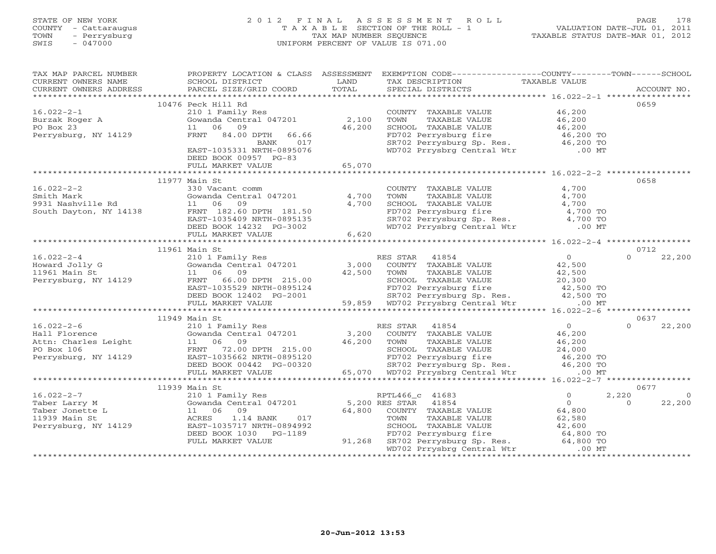# STATE OF NEW YORK 2 0 1 2 F I N A L A S S E S S M E N T R O L L PAGE 178 COUNTY - Cattaraugus T A X A B L E SECTION OF THE ROLL - 1 VALUATION DATE-JUL 01, 2011 TOWN - Perrysburg TAX MAP NUMBER SEQUENCE TAXABLE STATUS DATE-MAR 01, 2012 SWIS - 047000 UNIFORM PERCENT OF VALUE IS 071.00UNIFORM PERCENT OF VALUE IS 071.00

| TAX MAP PARCEL NUMBER                                                                                                                                                                                                                                                                                                                                                          |                           |        | PROPERTY LOCATION & CLASS ASSESSMENT EXEMPTION CODE----------------COUNTY-------TOWN------SCHOOL                                                                        |                          |
|--------------------------------------------------------------------------------------------------------------------------------------------------------------------------------------------------------------------------------------------------------------------------------------------------------------------------------------------------------------------------------|---------------------------|--------|-------------------------------------------------------------------------------------------------------------------------------------------------------------------------|--------------------------|
|                                                                                                                                                                                                                                                                                                                                                                                |                           |        |                                                                                                                                                                         |                          |
|                                                                                                                                                                                                                                                                                                                                                                                |                           |        |                                                                                                                                                                         |                          |
|                                                                                                                                                                                                                                                                                                                                                                                |                           |        |                                                                                                                                                                         |                          |
|                                                                                                                                                                                                                                                                                                                                                                                | 10476 Peck Hill Rd        |        |                                                                                                                                                                         | 0659                     |
|                                                                                                                                                                                                                                                                                                                                                                                |                           |        |                                                                                                                                                                         |                          |
|                                                                                                                                                                                                                                                                                                                                                                                |                           |        |                                                                                                                                                                         |                          |
|                                                                                                                                                                                                                                                                                                                                                                                |                           |        |                                                                                                                                                                         |                          |
| 16.022-2-1<br>Burzak Roger A 210 1 Family Res<br>PO Box 23 11 06 09 46,200 SCHOO<br>Perrysburg, NY 14129 FRNT 84.00 DPTH 66.66 FD702<br>Perrysburg, NY 14129 FRNT 84.00 DPTH 66.66 FD702<br>PANK 017 SR702                                                                                                                                                                     |                           |        | COUNTY TAXABLE VALUE<br>TOWN TAXABLE VALUE<br>SCHOOL TAXABLE VALUE<br>FD702 Perrysburg fire<br>SR702 Perrysburg Sp. Res. 46,200 TO<br>WD702 Prrysbrg Central Wtr .00 MT |                          |
|                                                                                                                                                                                                                                                                                                                                                                                |                           |        |                                                                                                                                                                         |                          |
|                                                                                                                                                                                                                                                                                                                                                                                | EAST-1035331 NRTH-0895076 |        |                                                                                                                                                                         |                          |
|                                                                                                                                                                                                                                                                                                                                                                                | DEED BOOK 00957 PG-83     |        |                                                                                                                                                                         |                          |
|                                                                                                                                                                                                                                                                                                                                                                                | FULL MARKET VALUE         | 65,070 |                                                                                                                                                                         |                          |
|                                                                                                                                                                                                                                                                                                                                                                                |                           |        |                                                                                                                                                                         |                          |
|                                                                                                                                                                                                                                                                                                                                                                                | 11977 Main St             |        |                                                                                                                                                                         | 0658                     |
| 16.022-2-2<br>Smith Mark 330 Vacant comm<br>330 Vacant comm<br>4,700<br>9931 Nashville Rd 11 06 09<br>South Dayton, NY 14138 FRNT 182.60 DPTH 181.50<br>EAST-1035409 NRTH-0895135<br>DEED BOOK 14232 PG-3002<br>FULL MARKET VALUE<br>FULL MARKE                                                                                                                                |                           |        | COUNTY TAXABLE VALUE 4,700                                                                                                                                              |                          |
|                                                                                                                                                                                                                                                                                                                                                                                |                           |        |                                                                                                                                                                         |                          |
|                                                                                                                                                                                                                                                                                                                                                                                |                           |        | COUNTY TAXABLE VALUE<br>TOWN TAXABLE VALUE<br>SCHOOL TAXABLE VALUE<br>FD702 Perrysburg fire<br>SR702 Perrysburg Sp. Res. 4,700 TO<br>WD702 Prrysbrg Central Wtr .00 MT  |                          |
|                                                                                                                                                                                                                                                                                                                                                                                |                           |        |                                                                                                                                                                         |                          |
|                                                                                                                                                                                                                                                                                                                                                                                |                           |        |                                                                                                                                                                         |                          |
|                                                                                                                                                                                                                                                                                                                                                                                |                           |        |                                                                                                                                                                         |                          |
|                                                                                                                                                                                                                                                                                                                                                                                |                           |        |                                                                                                                                                                         |                          |
|                                                                                                                                                                                                                                                                                                                                                                                |                           |        |                                                                                                                                                                         |                          |
|                                                                                                                                                                                                                                                                                                                                                                                | 11961 Main St             |        |                                                                                                                                                                         | 0712                     |
|                                                                                                                                                                                                                                                                                                                                                                                |                           |        |                                                                                                                                                                         |                          |
|                                                                                                                                                                                                                                                                                                                                                                                |                           |        |                                                                                                                                                                         |                          |
|                                                                                                                                                                                                                                                                                                                                                                                |                           |        |                                                                                                                                                                         |                          |
|                                                                                                                                                                                                                                                                                                                                                                                |                           |        |                                                                                                                                                                         |                          |
|                                                                                                                                                                                                                                                                                                                                                                                |                           |        |                                                                                                                                                                         |                          |
|                                                                                                                                                                                                                                                                                                                                                                                |                           |        |                                                                                                                                                                         |                          |
|                                                                                                                                                                                                                                                                                                                                                                                |                           |        |                                                                                                                                                                         |                          |
| $\begin{array}{cccccccc} 16.022-2-4 & 11961 \text{ Main St} & 0 & 0712 \\ 210 1 \text{ Family Res} & 0 & 22,200 \\ 210 1 \text{ family Res} & 1047201 & 3,000 & \text{COUNTY TAXABLE VALUE} & 42,500 \\ 11961 \text{ Main St} & 11 & 06 & 09 \\ 11961 \text{ Main St} & 11 & 06 & 09 \\ 11961 \text{ Main St} & 11 & 06 & 09 \\ 11 & 06 & 09 & 22,200 \\ 11961 \text{ Main St$ |                           |        |                                                                                                                                                                         |                          |
|                                                                                                                                                                                                                                                                                                                                                                                |                           |        |                                                                                                                                                                         |                          |
|                                                                                                                                                                                                                                                                                                                                                                                |                           |        |                                                                                                                                                                         |                          |
|                                                                                                                                                                                                                                                                                                                                                                                |                           |        |                                                                                                                                                                         |                          |
|                                                                                                                                                                                                                                                                                                                                                                                |                           |        |                                                                                                                                                                         |                          |
|                                                                                                                                                                                                                                                                                                                                                                                |                           |        |                                                                                                                                                                         |                          |
|                                                                                                                                                                                                                                                                                                                                                                                |                           |        |                                                                                                                                                                         |                          |
|                                                                                                                                                                                                                                                                                                                                                                                |                           |        |                                                                                                                                                                         |                          |
|                                                                                                                                                                                                                                                                                                                                                                                |                           |        |                                                                                                                                                                         |                          |
|                                                                                                                                                                                                                                                                                                                                                                                |                           |        |                                                                                                                                                                         |                          |
|                                                                                                                                                                                                                                                                                                                                                                                | 11939 Main St             |        |                                                                                                                                                                         | 0677                     |
|                                                                                                                                                                                                                                                                                                                                                                                |                           |        |                                                                                                                                                                         | 2,220<br>$\overline{0}$  |
|                                                                                                                                                                                                                                                                                                                                                                                |                           |        |                                                                                                                                                                         | 22,200<br>$\overline{0}$ |
|                                                                                                                                                                                                                                                                                                                                                                                |                           |        |                                                                                                                                                                         |                          |
|                                                                                                                                                                                                                                                                                                                                                                                |                           |        |                                                                                                                                                                         |                          |
|                                                                                                                                                                                                                                                                                                                                                                                |                           |        |                                                                                                                                                                         |                          |
|                                                                                                                                                                                                                                                                                                                                                                                |                           |        |                                                                                                                                                                         |                          |
|                                                                                                                                                                                                                                                                                                                                                                                |                           |        |                                                                                                                                                                         |                          |
|                                                                                                                                                                                                                                                                                                                                                                                |                           |        |                                                                                                                                                                         |                          |
|                                                                                                                                                                                                                                                                                                                                                                                |                           |        |                                                                                                                                                                         |                          |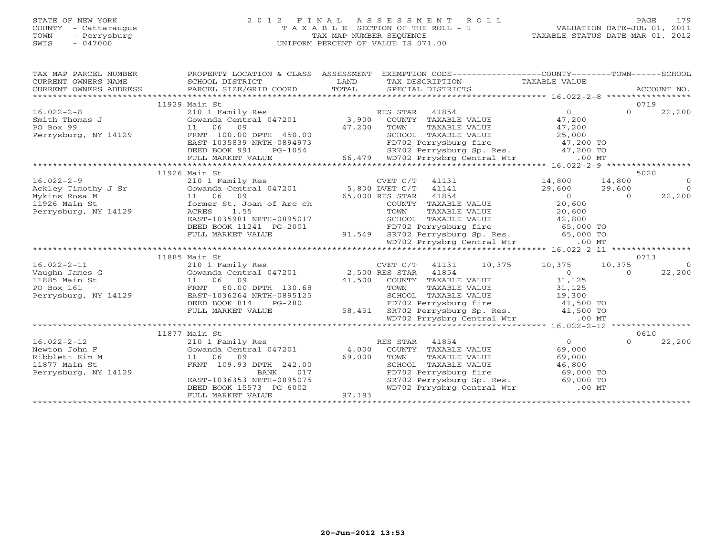## STATE OF NEW YORK 2 0 1 2 F I N A L A S S E S S M E N T R O L L PAGE 179 COUNTY - Cattaraugus T A X A B L E SECTION OF THE ROLL - 1 VALUATION DATE-JUL 01, 2011 TOWN - Perrysburg TAX MAP NUMBER SEQUENCE TAXABLE STATUS DATE-MAR 01, 2012 SWIS - 047000 UNIFORM PERCENT OF VALUE IS 071.00UNIFORM PERCENT OF VALUE IS 071.00

| TAX MAP PARCEL NUMBER<br>CURRENT OWNERS NAME<br>CURRENT OWNERS NAME<br>CURRENT OWNERS ADDRESS                                                                                                                                                                                                                                                                                                    | PROPERTY LOCATION & CLASS ASSESSMENT EXEMPTION CODE---------------COUNTY-------TOWN------SCHOOL                                                                                                                                                                                                                      |        |      |                      |                                                                                                                                                                                                                             |                |                |
|--------------------------------------------------------------------------------------------------------------------------------------------------------------------------------------------------------------------------------------------------------------------------------------------------------------------------------------------------------------------------------------------------|----------------------------------------------------------------------------------------------------------------------------------------------------------------------------------------------------------------------------------------------------------------------------------------------------------------------|--------|------|----------------------|-----------------------------------------------------------------------------------------------------------------------------------------------------------------------------------------------------------------------------|----------------|----------------|
|                                                                                                                                                                                                                                                                                                                                                                                                  |                                                                                                                                                                                                                                                                                                                      |        |      |                      |                                                                                                                                                                                                                             |                | 0719           |
|                                                                                                                                                                                                                                                                                                                                                                                                  | 11929 Main St                                                                                                                                                                                                                                                                                                        |        |      |                      |                                                                                                                                                                                                                             | $\Omega$       |                |
| 10.022-2-8<br>Smith Thomas J<br>PO Box 99<br>Po Box 99<br>Po Box 11.06 09<br>Po Box 11.06 09<br>Po Box 11.06 09<br>Po Box 11.06 09<br>Po Box 11.06 09<br>Po Box 11.06 09<br>Po Box 11.06 09<br>Po Box 11.06 09<br>Po Box 11.06 09<br>Po Box 11.06 09<br>Po                                                                                                                                       |                                                                                                                                                                                                                                                                                                                      |        |      |                      |                                                                                                                                                                                                                             |                | 22,200         |
|                                                                                                                                                                                                                                                                                                                                                                                                  |                                                                                                                                                                                                                                                                                                                      |        |      |                      |                                                                                                                                                                                                                             |                |                |
|                                                                                                                                                                                                                                                                                                                                                                                                  |                                                                                                                                                                                                                                                                                                                      |        |      |                      |                                                                                                                                                                                                                             |                |                |
| Perrysburg, NY 14129                                                                                                                                                                                                                                                                                                                                                                             | 11 06 09 47,200<br>FRNT 100.00 DPTH 450.00 47,200<br>EAST-1035839 NRTH-0894973                                                                                                                                                                                                                                       |        |      |                      |                                                                                                                                                                                                                             |                |                |
|                                                                                                                                                                                                                                                                                                                                                                                                  |                                                                                                                                                                                                                                                                                                                      |        |      |                      |                                                                                                                                                                                                                             |                |                |
|                                                                                                                                                                                                                                                                                                                                                                                                  | DEED BOOK 991                                                                                                                                                                                                                                                                                                        |        |      |                      |                                                                                                                                                                                                                             |                |                |
|                                                                                                                                                                                                                                                                                                                                                                                                  | FULL MARKET VALUE                                                                                                                                                                                                                                                                                                    |        |      |                      |                                                                                                                                                                                                                             |                |                |
|                                                                                                                                                                                                                                                                                                                                                                                                  |                                                                                                                                                                                                                                                                                                                      |        |      |                      |                                                                                                                                                                                                                             |                | 5020           |
|                                                                                                                                                                                                                                                                                                                                                                                                  | 11926 Main St                                                                                                                                                                                                                                                                                                        |        |      |                      |                                                                                                                                                                                                                             |                | $\Omega$       |
| 16.022-2-9<br>Ackley Timothy J Sr<br>Mykins Rosa M<br>1926 Main St<br>1926 Main St<br>1926 Main St<br>1926 Main St<br>1926 Main St<br>1926 Main St<br>1926 Main St<br>1926 Main St<br>1926 Main St<br>2010 Main St<br>1926 Main St<br>2012 Martheup St. Jo                                                                                                                                       |                                                                                                                                                                                                                                                                                                                      |        |      |                      | $14,800$ $14,800$                                                                                                                                                                                                           |                | $\overline{0}$ |
|                                                                                                                                                                                                                                                                                                                                                                                                  |                                                                                                                                                                                                                                                                                                                      |        |      |                      | $29,600$ $29,600$ 0                                                                                                                                                                                                         | $\overline{a}$ |                |
|                                                                                                                                                                                                                                                                                                                                                                                                  |                                                                                                                                                                                                                                                                                                                      |        |      |                      |                                                                                                                                                                                                                             |                | 22,200         |
|                                                                                                                                                                                                                                                                                                                                                                                                  |                                                                                                                                                                                                                                                                                                                      |        |      | COUNTY TAXABLE VALUE | 20,600                                                                                                                                                                                                                      |                |                |
|                                                                                                                                                                                                                                                                                                                                                                                                  |                                                                                                                                                                                                                                                                                                                      |        |      |                      |                                                                                                                                                                                                                             |                |                |
|                                                                                                                                                                                                                                                                                                                                                                                                  |                                                                                                                                                                                                                                                                                                                      |        |      |                      |                                                                                                                                                                                                                             |                |                |
|                                                                                                                                                                                                                                                                                                                                                                                                  |                                                                                                                                                                                                                                                                                                                      |        |      |                      |                                                                                                                                                                                                                             |                |                |
|                                                                                                                                                                                                                                                                                                                                                                                                  | EXERCIBILITY ON TAXABLE VALUE<br>EAST-1035981 NRTH-0895017<br>DEED BOOK 11241 PG-2001 91,549 SR702 Perrysburg fire 65,000 TO<br>FULL MARKET VALUE 91,549 SR702 Perrysburg Sp. Res. 65,000 TO<br>WD702 Prrysbrg Central Wtr                                                                                           |        |      |                      |                                                                                                                                                                                                                             |                |                |
|                                                                                                                                                                                                                                                                                                                                                                                                  |                                                                                                                                                                                                                                                                                                                      |        |      |                      |                                                                                                                                                                                                                             |                |                |
|                                                                                                                                                                                                                                                                                                                                                                                                  | 11885 Main St                                                                                                                                                                                                                                                                                                        |        |      |                      |                                                                                                                                                                                                                             |                | 0713           |
|                                                                                                                                                                                                                                                                                                                                                                                                  |                                                                                                                                                                                                                                                                                                                      |        |      |                      | CVET C/T 41131 10,375 10,375 10,375                                                                                                                                                                                         |                | $\overline{0}$ |
|                                                                                                                                                                                                                                                                                                                                                                                                  |                                                                                                                                                                                                                                                                                                                      |        |      |                      | $\overline{0}$                                                                                                                                                                                                              | $\Omega$       | 22,200         |
| $\begin{tabular}{lllllllllllllllllll} \begin{tabular}{l} 16.022-2-11 & 210 & I Family Res & CVET C/T & 41131 \\ \hline \text{Vaughn James G} & \text{Gowanda Central 047201} & 2,500 RES STAR & 41854 \\ 11885 Main St & 11 & 06 & 09 & 41,500 & COUNTY TAXABLE \\ \text{PO Box 161 & FRNT & 60.00 DPTH & 130.68 & TOWN & TAXABLE \\ \text{Perrysburg, NY 14129 & EAST-1036264 NRTH-0895125 & 1$ |                                                                                                                                                                                                                                                                                                                      |        |      |                      |                                                                                                                                                                                                                             |                |                |
|                                                                                                                                                                                                                                                                                                                                                                                                  |                                                                                                                                                                                                                                                                                                                      |        |      |                      |                                                                                                                                                                                                                             |                |                |
|                                                                                                                                                                                                                                                                                                                                                                                                  | $\begin{array}{cccc} 11 & 06 & 09 \\ \text{FRNT} & 60.00 \text{ DPTH} & 130.68 \end{array}$<br>$\begin{array}{cccc} 41,500 & 20 \text{ UNTY} & \text{TAXABLE VALUE} \\ \text{TOWN} & \text{TAXABLE VALUE} & \text{VALUE} \\ \text{RAST-1036264 NRTH-0895125} & & \text{SCHOOL TAXABLE VALUE} & & 19.300 \end{array}$ |        |      |                      |                                                                                                                                                                                                                             |                |                |
|                                                                                                                                                                                                                                                                                                                                                                                                  | DEED BOOK 814                                                                                                                                                                                                                                                                                                        |        |      |                      |                                                                                                                                                                                                                             |                |                |
|                                                                                                                                                                                                                                                                                                                                                                                                  | FULL MARKET VALUE                                                                                                                                                                                                                                                                                                    |        |      |                      | H 130.68<br>H-0895125<br>H-0895125<br>PG-280<br>E 58,451<br>H-0895125<br>FD702 Perrysburg fire 41,500 TO<br>E 58,451<br>H-0895125<br>FD702 Perrysburg Sp. Res. 41,500 TO<br>E 41,500 TO<br>MD702 Prrysbrg Central Wtr 00 MT |                |                |
|                                                                                                                                                                                                                                                                                                                                                                                                  |                                                                                                                                                                                                                                                                                                                      |        |      |                      |                                                                                                                                                                                                                             |                |                |
|                                                                                                                                                                                                                                                                                                                                                                                                  |                                                                                                                                                                                                                                                                                                                      |        |      |                      |                                                                                                                                                                                                                             |                |                |
|                                                                                                                                                                                                                                                                                                                                                                                                  | 11877 Main St                                                                                                                                                                                                                                                                                                        |        |      |                      |                                                                                                                                                                                                                             |                | 0610           |
| $16.022 - 2 - 12$                                                                                                                                                                                                                                                                                                                                                                                |                                                                                                                                                                                                                                                                                                                      |        |      |                      | $\overline{0}$                                                                                                                                                                                                              | $\Omega$       | 22,200         |
| Newton John F                                                                                                                                                                                                                                                                                                                                                                                    |                                                                                                                                                                                                                                                                                                                      |        |      |                      | 69,000                                                                                                                                                                                                                      |                |                |
| Ribblett Kim M                                                                                                                                                                                                                                                                                                                                                                                   | 11 06 09                                                                                                                                                                                                                                                                                                             |        | TOWN | TAXABLE VALUE        | 69,000                                                                                                                                                                                                                      |                |                |
| 11877 Main St                                                                                                                                                                                                                                                                                                                                                                                    | FRNT 109.93 DPTH 242.00                                                                                                                                                                                                                                                                                              | 69,000 |      |                      |                                                                                                                                                                                                                             |                |                |
| Perrysburg, NY 14129                                                                                                                                                                                                                                                                                                                                                                             | BANK<br>017                                                                                                                                                                                                                                                                                                          |        |      |                      |                                                                                                                                                                                                                             |                |                |
|                                                                                                                                                                                                                                                                                                                                                                                                  | EAST-1036353 NRTH-0895075                                                                                                                                                                                                                                                                                            |        |      |                      | SCHOOL TAXABLE VALUE 46,800<br>FD702 Perrysburg fire 69,000 TO<br>SR702 Perrysburg Sp. Res. 69,000 TO                                                                                                                       |                |                |
|                                                                                                                                                                                                                                                                                                                                                                                                  | DEED BOOK 15573 PG-6002                                                                                                                                                                                                                                                                                              |        |      |                      | WD702 Prrysbrg Central Wtr .00 MT                                                                                                                                                                                           |                |                |
|                                                                                                                                                                                                                                                                                                                                                                                                  | FULL MARKET VALUE                                                                                                                                                                                                                                                                                                    | 97,183 |      |                      |                                                                                                                                                                                                                             |                |                |
|                                                                                                                                                                                                                                                                                                                                                                                                  |                                                                                                                                                                                                                                                                                                                      |        |      |                      |                                                                                                                                                                                                                             |                |                |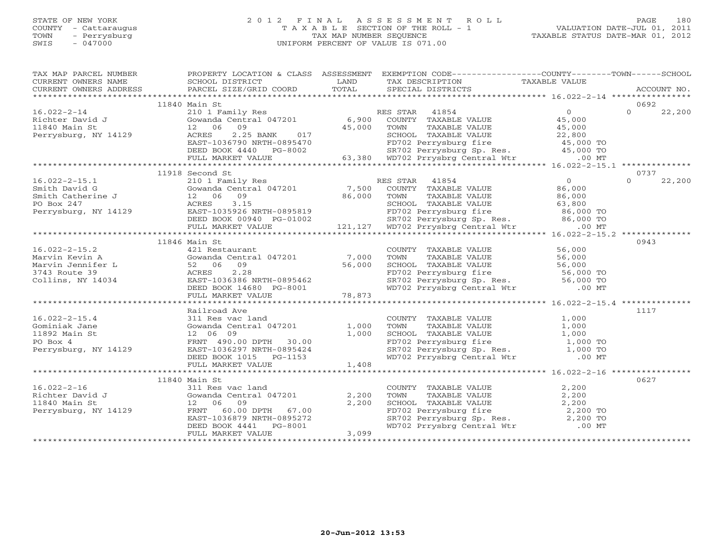## STATE OF NEW YORK 2 0 1 2 F I N A L A S S E S S M E N T R O L L PAGE 180 COUNTY - Cattaraugus T A X A B L E SECTION OF THE ROLL - 1 VALUATION DATE-JUL 01, 2011 TOWN - Perrysburg TAX MAP NUMBER SEQUENCE TAXABLE STATUS DATE-MAR 01, 2012 SWIS - 047000 UNIFORM PERCENT OF VALUE IS 071.00UNIFORM PERCENT OF VALUE IS 071.00

| TAX MAP PARCEL NUMBER                                                                                                                                                                                                                              |                                                                                                                                                                                                                                                      |       | PROPERTY LOCATION & CLASS ASSESSMENT EXEMPTION CODE----------------COUNTY-------TOWN------SCHOOL                                                                                                            |  |                    |
|----------------------------------------------------------------------------------------------------------------------------------------------------------------------------------------------------------------------------------------------------|------------------------------------------------------------------------------------------------------------------------------------------------------------------------------------------------------------------------------------------------------|-------|-------------------------------------------------------------------------------------------------------------------------------------------------------------------------------------------------------------|--|--------------------|
|                                                                                                                                                                                                                                                    |                                                                                                                                                                                                                                                      |       |                                                                                                                                                                                                             |  |                    |
|                                                                                                                                                                                                                                                    |                                                                                                                                                                                                                                                      |       |                                                                                                                                                                                                             |  |                    |
| 11840 Main St<br>0692                                                                                                                                                                                                                              |                                                                                                                                                                                                                                                      |       |                                                                                                                                                                                                             |  |                    |
|                                                                                                                                                                                                                                                    |                                                                                                                                                                                                                                                      |       |                                                                                                                                                                                                             |  |                    |
| Richter David J<br>11840 Main St 12 06 09<br>Perrysburg, NY 14129 2.25<br>Richter David J<br>2.25<br>2.25<br>NACRES 1036700                                                                                                                        |                                                                                                                                                                                                                                                      |       |                                                                                                                                                                                                             |  |                    |
|                                                                                                                                                                                                                                                    |                                                                                                                                                                                                                                                      |       |                                                                                                                                                                                                             |  |                    |
|                                                                                                                                                                                                                                                    |                                                                                                                                                                                                                                                      |       |                                                                                                                                                                                                             |  |                    |
|                                                                                                                                                                                                                                                    |                                                                                                                                                                                                                                                      |       |                                                                                                                                                                                                             |  |                    |
|                                                                                                                                                                                                                                                    |                                                                                                                                                                                                                                                      |       |                                                                                                                                                                                                             |  |                    |
|                                                                                                                                                                                                                                                    |                                                                                                                                                                                                                                                      |       |                                                                                                                                                                                                             |  |                    |
|                                                                                                                                                                                                                                                    |                                                                                                                                                                                                                                                      |       |                                                                                                                                                                                                             |  |                    |
|                                                                                                                                                                                                                                                    | 11918 Second St                                                                                                                                                                                                                                      |       |                                                                                                                                                                                                             |  | 0737               |
|                                                                                                                                                                                                                                                    | 16.022-2-15.1 1918 Second Smith David G 2101 Family Res RES STAR 41854 0<br>Smith David G 30 2101 Family Res RES STAR 41854 0<br>Smith Catherine J 206 09<br>Second 22 06 09 86,000 TOWN TAXABLE VALUE 86,000<br>Perrysburg, NY 14129                |       |                                                                                                                                                                                                             |  | 22,200<br>$\Omega$ |
|                                                                                                                                                                                                                                                    |                                                                                                                                                                                                                                                      |       |                                                                                                                                                                                                             |  |                    |
|                                                                                                                                                                                                                                                    |                                                                                                                                                                                                                                                      |       |                                                                                                                                                                                                             |  |                    |
|                                                                                                                                                                                                                                                    |                                                                                                                                                                                                                                                      |       |                                                                                                                                                                                                             |  |                    |
|                                                                                                                                                                                                                                                    |                                                                                                                                                                                                                                                      |       |                                                                                                                                                                                                             |  |                    |
|                                                                                                                                                                                                                                                    |                                                                                                                                                                                                                                                      |       |                                                                                                                                                                                                             |  |                    |
|                                                                                                                                                                                                                                                    |                                                                                                                                                                                                                                                      |       |                                                                                                                                                                                                             |  |                    |
|                                                                                                                                                                                                                                                    |                                                                                                                                                                                                                                                      |       |                                                                                                                                                                                                             |  |                    |
|                                                                                                                                                                                                                                                    | 11846 Main St                                                                                                                                                                                                                                        |       |                                                                                                                                                                                                             |  | 0943               |
|                                                                                                                                                                                                                                                    |                                                                                                                                                                                                                                                      |       |                                                                                                                                                                                                             |  |                    |
|                                                                                                                                                                                                                                                    |                                                                                                                                                                                                                                                      |       |                                                                                                                                                                                                             |  |                    |
|                                                                                                                                                                                                                                                    |                                                                                                                                                                                                                                                      |       |                                                                                                                                                                                                             |  |                    |
|                                                                                                                                                                                                                                                    |                                                                                                                                                                                                                                                      |       |                                                                                                                                                                                                             |  |                    |
|                                                                                                                                                                                                                                                    |                                                                                                                                                                                                                                                      |       |                                                                                                                                                                                                             |  |                    |
|                                                                                                                                                                                                                                                    |                                                                                                                                                                                                                                                      |       |                                                                                                                                                                                                             |  |                    |
|                                                                                                                                                                                                                                                    |                                                                                                                                                                                                                                                      |       |                                                                                                                                                                                                             |  |                    |
| 16.022-2-15.2<br>Marvin Kevin A<br>Marvin Jennifer L<br>Marvin Jennifer L<br>Marvin Jennifer L<br>Marvin Jennifer L<br>Marvin Jennifer L<br>Solomon Cowanda Central 047201<br>Solomon TAXABLE VALUE<br>TOLD MARKET VALUE<br>DEED BOOK 14680 PG-800 |                                                                                                                                                                                                                                                      |       |                                                                                                                                                                                                             |  |                    |
|                                                                                                                                                                                                                                                    | Railroad Ave                                                                                                                                                                                                                                         |       |                                                                                                                                                                                                             |  | 1117               |
|                                                                                                                                                                                                                                                    |                                                                                                                                                                                                                                                      |       |                                                                                                                                                                                                             |  |                    |
|                                                                                                                                                                                                                                                    | 311 Res vac land<br>Gowanda Central 047201 1,000 TOWN<br>12 06 09 1,000 SCHOOL                                                                                                                                                                       |       |                                                                                                                                                                                                             |  |                    |
|                                                                                                                                                                                                                                                    |                                                                                                                                                                                                                                                      |       |                                                                                                                                                                                                             |  |                    |
|                                                                                                                                                                                                                                                    |                                                                                                                                                                                                                                                      |       |                                                                                                                                                                                                             |  |                    |
|                                                                                                                                                                                                                                                    |                                                                                                                                                                                                                                                      |       |                                                                                                                                                                                                             |  |                    |
|                                                                                                                                                                                                                                                    |                                                                                                                                                                                                                                                      |       |                                                                                                                                                                                                             |  |                    |
|                                                                                                                                                                                                                                                    |                                                                                                                                                                                                                                                      |       |                                                                                                                                                                                                             |  |                    |
|                                                                                                                                                                                                                                                    |                                                                                                                                                                                                                                                      |       |                                                                                                                                                                                                             |  |                    |
|                                                                                                                                                                                                                                                    | 11840 Main St                                                                                                                                                                                                                                        |       |                                                                                                                                                                                                             |  | 0627               |
|                                                                                                                                                                                                                                                    |                                                                                                                                                                                                                                                      |       |                                                                                                                                                                                                             |  |                    |
|                                                                                                                                                                                                                                                    |                                                                                                                                                                                                                                                      |       |                                                                                                                                                                                                             |  |                    |
|                                                                                                                                                                                                                                                    |                                                                                                                                                                                                                                                      |       |                                                                                                                                                                                                             |  |                    |
|                                                                                                                                                                                                                                                    |                                                                                                                                                                                                                                                      |       |                                                                                                                                                                                                             |  |                    |
|                                                                                                                                                                                                                                                    |                                                                                                                                                                                                                                                      |       |                                                                                                                                                                                                             |  |                    |
|                                                                                                                                                                                                                                                    | 16.022-2-16<br>Richter David J<br>1840 Main St<br>Perrysburg, NY 14129<br>Perrysburg, NY 14129<br>2,200<br>Perrysburg, NY 14129<br>PERST-1036879 NRTH-0895272<br>DEED BOOK 4441<br>PERST-1036879 NRTH-0895272<br>DEED BOOK 4441<br>PERST-1036879 NRT |       | COUNTY TAXABLE VALUE $2,200$<br>TOWN TAXABLE VALUE $2,200$<br>SCHOOL TAXABLE VALUE $2,200$<br>FD702 Perrysburg fire $2,200$ TO<br>SR702 Perrysburg Sp. Res. $2,200$ TO<br>WD702 Prrysbrg Central Wtr .00 MT |  |                    |
|                                                                                                                                                                                                                                                    | FULL MARKET VALUE                                                                                                                                                                                                                                    | 3,099 |                                                                                                                                                                                                             |  |                    |
|                                                                                                                                                                                                                                                    |                                                                                                                                                                                                                                                      |       |                                                                                                                                                                                                             |  |                    |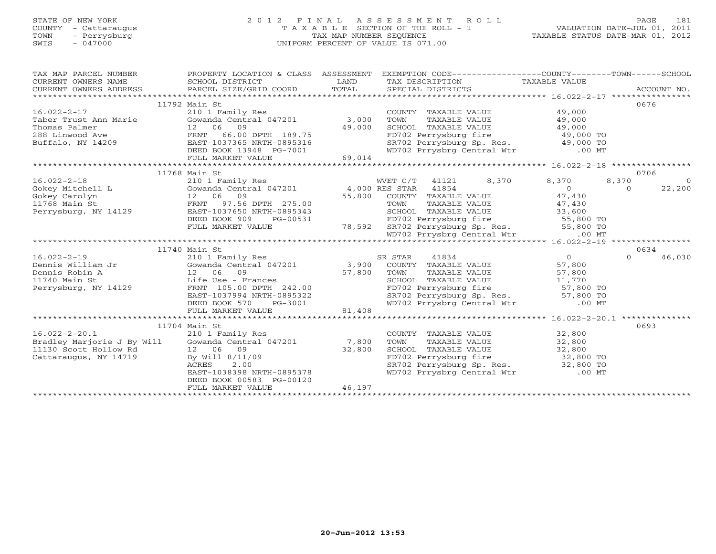# STATE OF NEW YORK 2 0 1 2 F I N A L A S S E S S M E N T R O L L PAGE 181 COUNTY - Cattaraugus T A X A B L E SECTION OF THE ROLL - 1 VALUATION DATE-JUL 01, 2011 TOWN - Perrysburg TAX MAP NUMBER SEQUENCE TAXABLE STATUS DATE-MAR 01, 2012 SWIS - 047000 UNIFORM PERCENT OF VALUE IS 071.00UNIFORM PERCENT OF VALUE IS 071.00

| TAX MAP PARCEL NUMBER<br>CURRENT OWNERS NAME<br>CURRENT OWNERS ADDRESS | PROPERTY LOCATION & CLASS ASSESSMENT<br>SCHOOL DISTRICT<br>PARCEL SIZE/GRID COORD | LAND<br>TOTAL | EXEMPTION CODE-----------------COUNTY-------TOWN------SCHOOL<br>TAX DESCRIPTION TAXABLE VALUE<br>SPECIAL DISTRICTS<br>SPECIAL DISTRICTS |                            | ACCOUNT NO.        |
|------------------------------------------------------------------------|-----------------------------------------------------------------------------------|---------------|-----------------------------------------------------------------------------------------------------------------------------------------|----------------------------|--------------------|
|                                                                        |                                                                                   |               |                                                                                                                                         |                            |                    |
|                                                                        | 11792 Main St                                                                     |               |                                                                                                                                         |                            | 0676               |
| $16.022 - 2 - 17$                                                      | 210 1 Family Res                                                                  |               | COUNTY TAXABLE VALUE                                                                                                                    | 49,000                     |                    |
| Taber Trust Ann Marie                                                  | Gowanda Central $047201$ 3,000                                                    |               | TAXABLE VALUE<br>TOWN                                                                                                                   | 49,000                     |                    |
| Thomas Palmer                                                          | 12 06 09                                                                          | 49,000        | SCHOOL TAXABLE VALUE 49,000                                                                                                             |                            |                    |
| 288 Linwood Ave                                                        | FRNT 66.00 DPTH 189.75                                                            |               |                                                                                                                                         |                            |                    |
| Buffalo, NY 14209                                                      | EAST-1037365 NRTH-0895316                                                         |               |                                                                                                                                         |                            |                    |
|                                                                        | DEED BOOK 13948 PG-7001                                                           |               | FD702 Perrysburg fire 49,000 TO<br>SR702 Perrysburg Sp. Res. 49,000 TO<br>WD702 Prrysbrg Central Wtr .00 MT                             |                            |                    |
|                                                                        | FULL MARKET VALUE                                                                 | 69,014        |                                                                                                                                         |                            |                    |
|                                                                        |                                                                                   |               |                                                                                                                                         |                            |                    |
|                                                                        | 11768 Main St                                                                     |               |                                                                                                                                         |                            | 0706               |
| $16.022 - 2 - 18$                                                      | 210 1 Family Res                                                                  |               | 8,370<br>WVET C/T 41121                                                                                                                 | 8,370                      | 8,370<br>$\Omega$  |
| Gokey Mitchell L                                                       | Gowanda Central 047201 4,000 RES STAR                                             |               | 41854                                                                                                                                   | $\Omega$                   | $\Omega$<br>22,200 |
| Gokey Carolyn                                                          | 12 06 09                                                                          |               | 55,800 COUNTY TAXABLE VALUE                                                                                                             | 47,430<br>47,430<br>47,430 |                    |
| 11768 Main St                                                          | FRNT 97.56 DPTH 275.00                                                            |               | TOWN<br>TAXABLE VALUE<br>SCHOOL TAXABLE VALUE 33,600                                                                                    |                            |                    |
| Perrysburg, NY 14129                                                   | EAST-1037650 NRTH-0895343                                                         |               |                                                                                                                                         |                            |                    |
|                                                                        | DEED BOOK 909<br>PG-00531                                                         | 78,592        |                                                                                                                                         |                            |                    |
|                                                                        | FULL MARKET VALUE                                                                 |               | FD702 Perrysburg fire 55,800 TO<br>SR702 Perrysburg Sp. Res. 55,800 TO<br>WD702 Prrysbrg Central Wtr .00 MT                             |                            |                    |
|                                                                        |                                                                                   |               |                                                                                                                                         |                            |                    |
|                                                                        | 11740 Main St                                                                     |               |                                                                                                                                         |                            | 0634               |
| $16.022 - 2 - 19$                                                      | 210 1 Family Res                                                                  |               | SR STAR 41834                                                                                                                           | $\overline{0}$             | $\Omega$<br>46,030 |
| Dennis William Jr                                                      | Gowanda Central 047201 3,900 COUNTY TAXABLE VALUE                                 |               |                                                                                                                                         | 57,800                     |                    |
| Dennis Robin A                                                         | 12 06 09                                                                          | 57,800        | TAXABLE VALUE<br>TOWN                                                                                                                   | 57,800                     |                    |
| 11740 Main St                                                          | Life Use - Frances                                                                |               |                                                                                                                                         |                            |                    |
| Perrysburg, NY 14129                                                   | FRNT 105.00 DPTH 242.00                                                           |               | SCHOOL TAXABLE VALUE $11,770$<br>FD702 Perrysburg fire 57,800 TO<br>SR702 Perrysburg Sp. Res. 57,800 TO<br>WD702 Prrysbrs Control Will  |                            |                    |
|                                                                        | EAST-1037994 NRTH-0895322                                                         |               |                                                                                                                                         |                            |                    |
|                                                                        | DEED BOOK 570<br>PG-3001                                                          |               | WD702 Prrysbrg Central Wtr .00 MT                                                                                                       |                            |                    |
|                                                                        | FULL MARKET VALUE                                                                 | 81,408        |                                                                                                                                         |                            |                    |
|                                                                        |                                                                                   |               |                                                                                                                                         |                            |                    |
|                                                                        | 11704 Main St                                                                     |               |                                                                                                                                         |                            | 0693               |
| $16.022 - 2 - 20.1$                                                    | 210 1 Family Res                                                                  |               | COUNTY TAXABLE VALUE                                                                                                                    | 32,800                     |                    |
| Bradley Marjorie J By Will                                             | Gowanda Central 047201                                                            | 7,800         |                                                                                                                                         |                            |                    |
| 11130 Scott Hollow Rd                                                  | 12 06 09                                                                          | 32,800        | TOWN      TAXABLE VALUE<br>SCHOOL   TAXABLE VALUE                                                                                       | 32,800<br>32,800           |                    |
| Cattaraugus, NY 14719                                                  | By Will 8/11/09                                                                   |               | FD702 Perrysburg fire 32,800 TO                                                                                                         |                            |                    |
|                                                                        | ACRES<br>2.00                                                                     |               | SR702 Perrysburg Sp. Res. 32,800 TO                                                                                                     |                            |                    |
|                                                                        | EAST-1038398 NRTH-0895378                                                         |               | WD702 Prrysbrg Central Wtr                                                                                                              | $.00$ MT                   |                    |
|                                                                        | DEED BOOK 00583 PG-00120                                                          |               |                                                                                                                                         |                            |                    |
|                                                                        | FULL MARKET VALUE                                                                 | 46,197        |                                                                                                                                         |                            |                    |
|                                                                        |                                                                                   |               |                                                                                                                                         |                            |                    |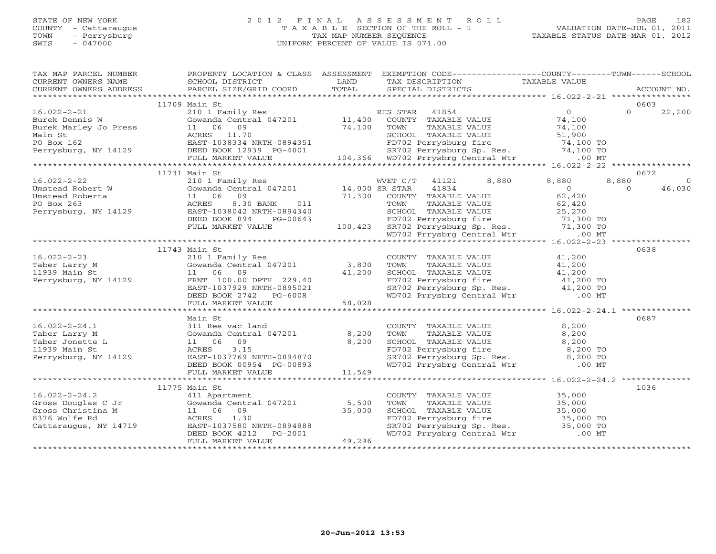# STATE OF NEW YORK 2 0 1 2 F I N A L A S S E S S M E N T R O L L PAGE 182 COUNTY - Cattaraugus T A X A B L E SECTION OF THE ROLL - 1 VALUATION DATE-JUL 01, 2011 TOWN - Perrysburg TAX MAP NUMBER SEQUENCE TAXABLE STATUS DATE-MAR 01, 2012 SWIS - 047000 UNIFORM PERCENT OF VALUE IS 071.00UNIFORM PERCENT OF VALUE IS 071.00

| TAX MAP PARCEL NUMBER FROPERTY LOCATION & CLASS ASSESSMENT EXEMPTION CODE--------------COUNTY-------TOWN------SCHOOL                                                                                                                           |               |                                                                                                                                                                                                |      |  |
|------------------------------------------------------------------------------------------------------------------------------------------------------------------------------------------------------------------------------------------------|---------------|------------------------------------------------------------------------------------------------------------------------------------------------------------------------------------------------|------|--|
|                                                                                                                                                                                                                                                |               |                                                                                                                                                                                                |      |  |
|                                                                                                                                                                                                                                                |               |                                                                                                                                                                                                |      |  |
|                                                                                                                                                                                                                                                |               |                                                                                                                                                                                                |      |  |
|                                                                                                                                                                                                                                                | 11709 Main St |                                                                                                                                                                                                | 0603 |  |
|                                                                                                                                                                                                                                                |               |                                                                                                                                                                                                |      |  |
|                                                                                                                                                                                                                                                |               |                                                                                                                                                                                                |      |  |
|                                                                                                                                                                                                                                                |               |                                                                                                                                                                                                |      |  |
|                                                                                                                                                                                                                                                |               |                                                                                                                                                                                                |      |  |
|                                                                                                                                                                                                                                                |               |                                                                                                                                                                                                |      |  |
|                                                                                                                                                                                                                                                |               |                                                                                                                                                                                                |      |  |
|                                                                                                                                                                                                                                                |               |                                                                                                                                                                                                |      |  |
|                                                                                                                                                                                                                                                |               |                                                                                                                                                                                                |      |  |
|                                                                                                                                                                                                                                                | 11731 Main St |                                                                                                                                                                                                | 0672 |  |
|                                                                                                                                                                                                                                                |               |                                                                                                                                                                                                |      |  |
|                                                                                                                                                                                                                                                |               |                                                                                                                                                                                                |      |  |
|                                                                                                                                                                                                                                                |               |                                                                                                                                                                                                |      |  |
|                                                                                                                                                                                                                                                |               |                                                                                                                                                                                                |      |  |
|                                                                                                                                                                                                                                                |               |                                                                                                                                                                                                |      |  |
|                                                                                                                                                                                                                                                |               |                                                                                                                                                                                                |      |  |
|                                                                                                                                                                                                                                                |               |                                                                                                                                                                                                |      |  |
|                                                                                                                                                                                                                                                |               |                                                                                                                                                                                                |      |  |
|                                                                                                                                                                                                                                                |               |                                                                                                                                                                                                |      |  |
|                                                                                                                                                                                                                                                | 11743 Main St |                                                                                                                                                                                                | 0638 |  |
|                                                                                                                                                                                                                                                |               |                                                                                                                                                                                                |      |  |
|                                                                                                                                                                                                                                                |               |                                                                                                                                                                                                |      |  |
|                                                                                                                                                                                                                                                |               |                                                                                                                                                                                                |      |  |
|                                                                                                                                                                                                                                                |               |                                                                                                                                                                                                |      |  |
|                                                                                                                                                                                                                                                |               |                                                                                                                                                                                                |      |  |
|                                                                                                                                                                                                                                                |               |                                                                                                                                                                                                |      |  |
|                                                                                                                                                                                                                                                |               |                                                                                                                                                                                                |      |  |
|                                                                                                                                                                                                                                                | Main St       |                                                                                                                                                                                                | 0687 |  |
|                                                                                                                                                                                                                                                |               |                                                                                                                                                                                                |      |  |
|                                                                                                                                                                                                                                                |               |                                                                                                                                                                                                |      |  |
|                                                                                                                                                                                                                                                |               |                                                                                                                                                                                                |      |  |
|                                                                                                                                                                                                                                                |               |                                                                                                                                                                                                |      |  |
|                                                                                                                                                                                                                                                |               |                                                                                                                                                                                                |      |  |
|                                                                                                                                                                                                                                                |               |                                                                                                                                                                                                |      |  |
|                                                                                                                                                                                                                                                |               |                                                                                                                                                                                                |      |  |
|                                                                                                                                                                                                                                                |               |                                                                                                                                                                                                |      |  |
|                                                                                                                                                                                                                                                |               |                                                                                                                                                                                                | 1036 |  |
|                                                                                                                                                                                                                                                |               |                                                                                                                                                                                                |      |  |
|                                                                                                                                                                                                                                                |               | COUNTY TAXABLE VALUE<br>TOWN TAXABLE VALUE 35,000<br>SCHOOL TAXABLE VALUE 35,000<br>FD702 Perrysburg fire 35,000 TO<br>SR702 Perrysburg Sp. Res. 35,000 TO<br>WD702 Prrysbrg Central Wtr 00 MT |      |  |
|                                                                                                                                                                                                                                                |               |                                                                                                                                                                                                |      |  |
|                                                                                                                                                                                                                                                |               |                                                                                                                                                                                                |      |  |
|                                                                                                                                                                                                                                                |               |                                                                                                                                                                                                |      |  |
|                                                                                                                                                                                                                                                |               |                                                                                                                                                                                                |      |  |
| 16.022-2-24.2<br>11775 Main St<br>Gross Douglas C Jr (11 Apartment<br>Gross Christina M 11 06 09 35,000<br>8376 Wolfe Rd (1.30)<br>Cattaraugus, NY 14719 EAST-1037580 NRTH-0894888<br>DEED BOOK 4212 PG-2001<br>FULL MARKET VALUE<br>PULL MARK |               |                                                                                                                                                                                                |      |  |
|                                                                                                                                                                                                                                                |               |                                                                                                                                                                                                |      |  |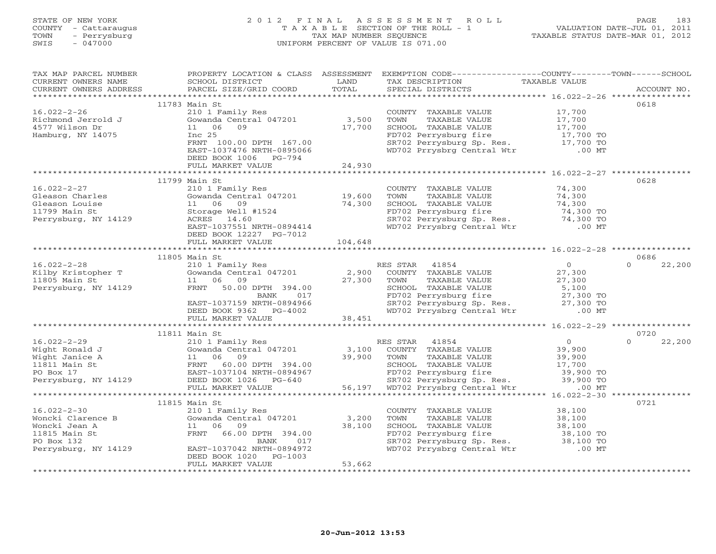# STATE OF NEW YORK 2 0 1 2 F I N A L A S S E S S M E N T R O L L PAGE 183 COUNTY - Cattaraugus T A X A B L E SECTION OF THE ROLL - 1 VALUATION DATE-JUL 01, 2011 TOWN - Perrysburg TAX MAP NUMBER SEQUENCE TAXABLE STATUS DATE-MAR 01, 2012 SWIS - 047000 UNIFORM PERCENT OF VALUE IS 071.00UNIFORM PERCENT OF VALUE IS 071.00

| TAX MAP PARCEL NUMBER                         |                                                                                                                                                                                                                                                                  |             | PROPERTY LOCATION & CLASS ASSESSMENT EXEMPTION CODE----------------COUNTY-------TOWN------SCHOOL                                                                                                   |                |                    |
|-----------------------------------------------|------------------------------------------------------------------------------------------------------------------------------------------------------------------------------------------------------------------------------------------------------------------|-------------|----------------------------------------------------------------------------------------------------------------------------------------------------------------------------------------------------|----------------|--------------------|
| CURRENT OWNERS NAME                           | SCHOOL DISTRICT                                                                                                                                                                                                                                                  | <b>LAND</b> |                                                                                                                                                                                                    |                |                    |
| CURRENT OWNERS ADDRESS PARCEL SIZE/GRID COORD |                                                                                                                                                                                                                                                                  | TOTAL       | TAX DESCRIPTION TAXABLE VALUE<br>SPECIAL DISTRICTS                                                                                                                                                 |                | ACCOUNT NO.        |
|                                               |                                                                                                                                                                                                                                                                  |             |                                                                                                                                                                                                    |                |                    |
|                                               | 11783 Main St                                                                                                                                                                                                                                                    |             |                                                                                                                                                                                                    |                | 0618               |
| $16.022 - 2 - 26$                             |                                                                                                                                                                                                                                                                  |             |                                                                                                                                                                                                    |                |                    |
|                                               |                                                                                                                                                                                                                                                                  |             |                                                                                                                                                                                                    |                |                    |
|                                               | 210 1 Family Res<br>Gowanda Central 047201 3,500<br>11 06 09 17,700<br>Inc 25                                                                                                                                                                                    |             |                                                                                                                                                                                                    |                |                    |
| Hamburg, NY 14075                             |                                                                                                                                                                                                                                                                  |             |                                                                                                                                                                                                    |                |                    |
|                                               |                                                                                                                                                                                                                                                                  |             |                                                                                                                                                                                                    |                |                    |
|                                               | Inc 25<br>FRNT 100.00 DPTH 167.00<br>EAST-1037476 NRTH-0895066                                                                                                                                                                                                   |             | COUNTY TAXABLE VALUE 17,700<br>TOWN TAXABLE VALUE 17,700<br>SCHOOL TAXABLE VALUE 17,700<br>FD702 Perrysburg fire 17,700<br>SR702 Perrysburg Sp. Res. 17,700 TO<br>WD702 Prrysbrg Central Wtr 00 MT |                |                    |
|                                               | DEED BOOK 1006 PG-794                                                                                                                                                                                                                                            |             |                                                                                                                                                                                                    |                |                    |
|                                               |                                                                                                                                                                                                                                                                  |             |                                                                                                                                                                                                    |                |                    |
|                                               |                                                                                                                                                                                                                                                                  |             |                                                                                                                                                                                                    |                |                    |
|                                               |                                                                                                                                                                                                                                                                  |             |                                                                                                                                                                                                    |                | 0628               |
|                                               |                                                                                                                                                                                                                                                                  |             |                                                                                                                                                                                                    |                |                    |
|                                               |                                                                                                                                                                                                                                                                  |             |                                                                                                                                                                                                    |                |                    |
|                                               |                                                                                                                                                                                                                                                                  |             |                                                                                                                                                                                                    |                |                    |
|                                               |                                                                                                                                                                                                                                                                  |             | COUNTY TAXABLE VALUE<br>TOWN TAXABLE VALUE 74,300<br>SCHOOL TAXABLE VALUE 74,300<br>FD702 Perrysburg fire 74,300 TO<br>SR702 Perrysburg Sp. Res. 74,300 TO<br>WD702 Prrysbrg Central Wtr .00 MT    |                |                    |
|                                               |                                                                                                                                                                                                                                                                  |             |                                                                                                                                                                                                    |                |                    |
|                                               |                                                                                                                                                                                                                                                                  |             |                                                                                                                                                                                                    |                |                    |
|                                               |                                                                                                                                                                                                                                                                  |             |                                                                                                                                                                                                    |                |                    |
|                                               |                                                                                                                                                                                                                                                                  |             |                                                                                                                                                                                                    |                |                    |
|                                               | 11805 Main St                                                                                                                                                                                                                                                    |             |                                                                                                                                                                                                    |                | 0686               |
|                                               |                                                                                                                                                                                                                                                                  |             |                                                                                                                                                                                                    | $\overline{0}$ | 22,200<br>$\Omega$ |
|                                               |                                                                                                                                                                                                                                                                  |             |                                                                                                                                                                                                    |                |                    |
|                                               |                                                                                                                                                                                                                                                                  |             |                                                                                                                                                                                                    |                |                    |
|                                               | 1805 Main St<br>ES STAR 41854 0<br>ENDY Kristopher T<br>201 Family Res<br>27,300 COUNTY TAXABLE VALUE<br>27,300 COUNTY TAXABLE VALUE<br>27,300 TOWN TAXABLE VALUE<br>27,300 TOWN TAXABLE VALUE<br>27,300 TOWN TAXABLE VALUE<br>27,300 TOWN TAXAB                 |             |                                                                                                                                                                                                    |                |                    |
|                                               |                                                                                                                                                                                                                                                                  |             |                                                                                                                                                                                                    |                |                    |
|                                               |                                                                                                                                                                                                                                                                  |             |                                                                                                                                                                                                    |                |                    |
|                                               |                                                                                                                                                                                                                                                                  |             |                                                                                                                                                                                                    |                |                    |
|                                               |                                                                                                                                                                                                                                                                  |             |                                                                                                                                                                                                    |                |                    |
|                                               |                                                                                                                                                                                                                                                                  |             |                                                                                                                                                                                                    |                |                    |
|                                               | 11811 Main St                                                                                                                                                                                                                                                    |             |                                                                                                                                                                                                    |                | 0720               |
|                                               |                                                                                                                                                                                                                                                                  |             |                                                                                                                                                                                                    |                | 22,200             |
|                                               |                                                                                                                                                                                                                                                                  |             |                                                                                                                                                                                                    |                |                    |
|                                               |                                                                                                                                                                                                                                                                  |             |                                                                                                                                                                                                    |                |                    |
|                                               |                                                                                                                                                                                                                                                                  |             |                                                                                                                                                                                                    |                |                    |
|                                               |                                                                                                                                                                                                                                                                  |             |                                                                                                                                                                                                    |                |                    |
|                                               |                                                                                                                                                                                                                                                                  |             |                                                                                                                                                                                                    |                |                    |
|                                               |                                                                                                                                                                                                                                                                  |             |                                                                                                                                                                                                    |                |                    |
|                                               |                                                                                                                                                                                                                                                                  |             |                                                                                                                                                                                                    |                |                    |
|                                               | 11815 Main St                                                                                                                                                                                                                                                    |             |                                                                                                                                                                                                    |                | 0721               |
|                                               |                                                                                                                                                                                                                                                                  |             |                                                                                                                                                                                                    |                |                    |
|                                               | 16.022-2-30<br>Woncki Clarence B<br>Woncki Jean A<br>1815 Main St<br>PO Box 132<br>PO Box 132<br>PO Box 132<br>PO Box 132<br>PO Box 132<br>PO Box 132<br>PO Box 132<br>PO Box 132<br>PO Box 132<br>PO Box 132<br>PO Box 132<br>PO Box 132<br>PO Box 132<br>PO Bo |             | COUNTY TAXABLE VALUE<br>TOWN TAXABLE VALUE 38,100<br>SCHOOL TAXABLE VALUE 38,100<br>FD702 Perrysburg fire 38,100 TO<br>SR702 Perrysburg Sp. Res. 38,100 TO<br>WD702 Prrysbrg Central Wtr 00 MT     |                |                    |
|                                               |                                                                                                                                                                                                                                                                  |             |                                                                                                                                                                                                    |                |                    |
|                                               |                                                                                                                                                                                                                                                                  |             |                                                                                                                                                                                                    |                |                    |
|                                               |                                                                                                                                                                                                                                                                  |             |                                                                                                                                                                                                    |                |                    |
|                                               | Perrysburg, NY 14129 EAST-1037042 NRTH-0894972<br>DEED BOOK 1020 PG-1003                                                                                                                                                                                         |             |                                                                                                                                                                                                    |                |                    |
|                                               | FULL MARKET VALUE                                                                                                                                                                                                                                                | 53,662      |                                                                                                                                                                                                    |                |                    |
|                                               |                                                                                                                                                                                                                                                                  |             |                                                                                                                                                                                                    |                |                    |
|                                               |                                                                                                                                                                                                                                                                  |             |                                                                                                                                                                                                    |                |                    |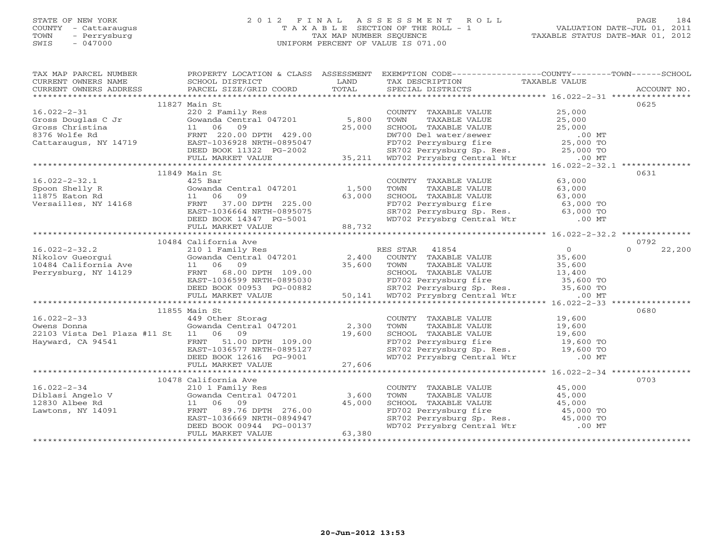# STATE OF NEW YORK 2 0 1 2 F I N A L A S S E S S M E N T R O L L PAGE 184 COUNTY - Cattaraugus T A X A B L E SECTION OF THE ROLL - 1 VALUATION DATE-JUL 01, 2011 TOWN - Perrysburg TAX MAP NUMBER SEQUENCE TAXABLE STATUS DATE-MAR 01, 2012 SWIS - 047000 UNIFORM PERCENT OF VALUE IS 071.00UNIFORM PERCENT OF VALUE IS 071.00

| TAX MAP PARCEL NUMBER                                                                                                                                                                                                                                                                                                                                                                                                                                                                                               | PROPERTY LOCATION & CLASS ASSESSMENT EXEMPTION CODE----------------COUNTY-------TOWN------SCHOOL |        |                                                                                                                                                                                 |      |
|---------------------------------------------------------------------------------------------------------------------------------------------------------------------------------------------------------------------------------------------------------------------------------------------------------------------------------------------------------------------------------------------------------------------------------------------------------------------------------------------------------------------|--------------------------------------------------------------------------------------------------|--------|---------------------------------------------------------------------------------------------------------------------------------------------------------------------------------|------|
| CURRENT OWNERS NAME                                                                                                                                                                                                                                                                                                                                                                                                                                                                                                 | SCHOOL DISTRICT                                                                                  | LAND   | TAX DESCRIPTION TAXABLE VALUE                                                                                                                                                   |      |
|                                                                                                                                                                                                                                                                                                                                                                                                                                                                                                                     |                                                                                                  |        |                                                                                                                                                                                 |      |
|                                                                                                                                                                                                                                                                                                                                                                                                                                                                                                                     |                                                                                                  |        |                                                                                                                                                                                 |      |
|                                                                                                                                                                                                                                                                                                                                                                                                                                                                                                                     | 11827 Main St                                                                                    |        |                                                                                                                                                                                 | 0625 |
| $16.022 - 2 - 31$                                                                                                                                                                                                                                                                                                                                                                                                                                                                                                   | 220 2 Family Res                                                                                 |        | COUNTY TAXABLE VALUE 25,000                                                                                                                                                     |      |
|                                                                                                                                                                                                                                                                                                                                                                                                                                                                                                                     |                                                                                                  |        |                                                                                                                                                                                 |      |
|                                                                                                                                                                                                                                                                                                                                                                                                                                                                                                                     |                                                                                                  |        |                                                                                                                                                                                 |      |
|                                                                                                                                                                                                                                                                                                                                                                                                                                                                                                                     |                                                                                                  |        |                                                                                                                                                                                 |      |
|                                                                                                                                                                                                                                                                                                                                                                                                                                                                                                                     |                                                                                                  |        |                                                                                                                                                                                 |      |
|                                                                                                                                                                                                                                                                                                                                                                                                                                                                                                                     |                                                                                                  |        |                                                                                                                                                                                 |      |
|                                                                                                                                                                                                                                                                                                                                                                                                                                                                                                                     |                                                                                                  |        |                                                                                                                                                                                 |      |
|                                                                                                                                                                                                                                                                                                                                                                                                                                                                                                                     |                                                                                                  |        |                                                                                                                                                                                 |      |
| 16.022-2-32.1<br>Spoon Shelly R Gowanda Central 047201 1,500<br>11 06 09 63,000<br>Versailles, NY 14168 FRNT 37.00 DPTH 225.00<br>EAST-103664 NRTH-0895075<br>DEED BOOK 14347 PG-5001 88,732<br>FIITL MARKET VALUE                                                                                                                                                                                                                                                                                                  |                                                                                                  |        |                                                                                                                                                                                 | 0631 |
|                                                                                                                                                                                                                                                                                                                                                                                                                                                                                                                     |                                                                                                  |        | COUNTY TAXABLE VALUE 63,000                                                                                                                                                     |      |
|                                                                                                                                                                                                                                                                                                                                                                                                                                                                                                                     |                                                                                                  |        |                                                                                                                                                                                 |      |
|                                                                                                                                                                                                                                                                                                                                                                                                                                                                                                                     |                                                                                                  |        |                                                                                                                                                                                 |      |
|                                                                                                                                                                                                                                                                                                                                                                                                                                                                                                                     |                                                                                                  |        |                                                                                                                                                                                 |      |
|                                                                                                                                                                                                                                                                                                                                                                                                                                                                                                                     |                                                                                                  |        |                                                                                                                                                                                 |      |
|                                                                                                                                                                                                                                                                                                                                                                                                                                                                                                                     |                                                                                                  |        | TOWN TAXABLE VALUE<br>TOWN TAXABLE VALUE<br>SCHOOL TAXABLE VALUE<br>FD702 Perrysburg fire 63,000 TO<br>SR702 Perrysburg Sp. Res. 63,000 TO<br>WD702 Prrysbrg Central Wtr .00 MT |      |
|                                                                                                                                                                                                                                                                                                                                                                                                                                                                                                                     |                                                                                                  |        |                                                                                                                                                                                 |      |
|                                                                                                                                                                                                                                                                                                                                                                                                                                                                                                                     |                                                                                                  |        |                                                                                                                                                                                 |      |
|                                                                                                                                                                                                                                                                                                                                                                                                                                                                                                                     | 10484 California Ave                                                                             |        |                                                                                                                                                                                 | 0792 |
|                                                                                                                                                                                                                                                                                                                                                                                                                                                                                                                     |                                                                                                  |        |                                                                                                                                                                                 |      |
|                                                                                                                                                                                                                                                                                                                                                                                                                                                                                                                     |                                                                                                  |        |                                                                                                                                                                                 |      |
|                                                                                                                                                                                                                                                                                                                                                                                                                                                                                                                     |                                                                                                  |        |                                                                                                                                                                                 |      |
|                                                                                                                                                                                                                                                                                                                                                                                                                                                                                                                     |                                                                                                  |        |                                                                                                                                                                                 |      |
|                                                                                                                                                                                                                                                                                                                                                                                                                                                                                                                     |                                                                                                  |        |                                                                                                                                                                                 |      |
|                                                                                                                                                                                                                                                                                                                                                                                                                                                                                                                     |                                                                                                  |        |                                                                                                                                                                                 |      |
|                                                                                                                                                                                                                                                                                                                                                                                                                                                                                                                     |                                                                                                  |        |                                                                                                                                                                                 |      |
| $\begin{tabular}{lllllllllllll} \multicolumn{3}{l}{{\footnotesize \begin{tabular}{l} \multicolumn{3}{l}{\begin{tabular}{l} \multicolumn{3}{l}{\begin{tabular}{l} \multicolumn{3}{l}{\begin{tabular}{l} \multicolumn{3}{l}{\begin{tabular}{l} \multicolumn{3}{l}{\begin{tabular}{l} \multicolumn{3}{l}{\begin{tabular}{l} \multicolumn{3}{l}{\begin{tabular}{l} \multicolumn{3}{l}{\begin{tabular}{l} \multicolumn{3}{l}{\begin{tabular}{l} \multicolumn{3}{l}{\begin{tabular}{l} \multicolumn{3}{l}{\begin{tabular$ |                                                                                                  |        |                                                                                                                                                                                 |      |
|                                                                                                                                                                                                                                                                                                                                                                                                                                                                                                                     | 11855 Main St                                                                                    |        |                                                                                                                                                                                 | 0680 |
|                                                                                                                                                                                                                                                                                                                                                                                                                                                                                                                     |                                                                                                  |        |                                                                                                                                                                                 |      |
|                                                                                                                                                                                                                                                                                                                                                                                                                                                                                                                     |                                                                                                  |        |                                                                                                                                                                                 |      |
|                                                                                                                                                                                                                                                                                                                                                                                                                                                                                                                     |                                                                                                  |        |                                                                                                                                                                                 |      |
|                                                                                                                                                                                                                                                                                                                                                                                                                                                                                                                     |                                                                                                  |        |                                                                                                                                                                                 |      |
|                                                                                                                                                                                                                                                                                                                                                                                                                                                                                                                     |                                                                                                  |        |                                                                                                                                                                                 |      |
|                                                                                                                                                                                                                                                                                                                                                                                                                                                                                                                     |                                                                                                  |        |                                                                                                                                                                                 |      |
|                                                                                                                                                                                                                                                                                                                                                                                                                                                                                                                     |                                                                                                  |        |                                                                                                                                                                                 |      |
|                                                                                                                                                                                                                                                                                                                                                                                                                                                                                                                     |                                                                                                  |        |                                                                                                                                                                                 |      |
|                                                                                                                                                                                                                                                                                                                                                                                                                                                                                                                     | 10478 California Ave                                                                             |        |                                                                                                                                                                                 | 0703 |
|                                                                                                                                                                                                                                                                                                                                                                                                                                                                                                                     |                                                                                                  |        | COUNTY TAXABLE VALUE 45,000                                                                                                                                                     |      |
|                                                                                                                                                                                                                                                                                                                                                                                                                                                                                                                     |                                                                                                  |        | TAXABLE VALUE 45,000<br>TOWN                                                                                                                                                    |      |
| 16.022-2-34<br>Diblasi Angelo V (210 1 Family Res<br>Diblasi Angelo V (210 1 Family Res<br>12830 Albee Rd (1 1 06 09 45,000 12830 Albee Rd (1 1 06 09 45,000 12830 Albee Rd (1 29.76 DPTH 276.00 EAST-1036669 NRTH-0894947                                                                                                                                                                                                                                                                                          |                                                                                                  |        | SCHOOL TAXABLE VALUE 45,000<br>FD702 Perrysburg fire 45,000 TO<br>SR702 Perrysburg Sp. Res. 45,000 TO<br>WD702 Prrysbrg Central Wtr .00 MT                                      |      |
|                                                                                                                                                                                                                                                                                                                                                                                                                                                                                                                     |                                                                                                  |        |                                                                                                                                                                                 |      |
|                                                                                                                                                                                                                                                                                                                                                                                                                                                                                                                     |                                                                                                  |        |                                                                                                                                                                                 |      |
|                                                                                                                                                                                                                                                                                                                                                                                                                                                                                                                     | DEED BOOK 00944 PG-00137                                                                         |        |                                                                                                                                                                                 |      |
|                                                                                                                                                                                                                                                                                                                                                                                                                                                                                                                     | FULL MARKET VALUE                                                                                | 63,380 |                                                                                                                                                                                 |      |
|                                                                                                                                                                                                                                                                                                                                                                                                                                                                                                                     |                                                                                                  |        |                                                                                                                                                                                 |      |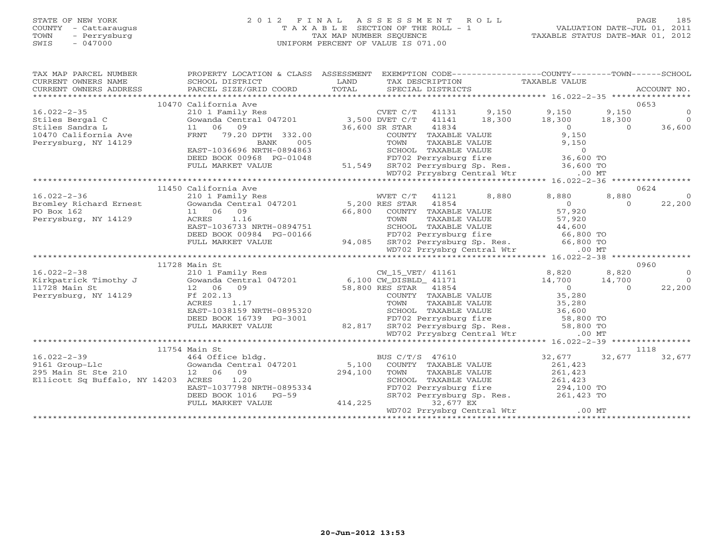# STATE OF NEW YORK 2 0 1 2 F I N A L A S S E S S M E N T R O L L PAGE 185 COUNTY - Cattaraugus T A X A B L E SECTION OF THE ROLL - 1 VALUATION DATE-JUL 01, 2011 TOWN - Perrysburg TAX MAP NUMBER SEQUENCE TAXABLE STATUS DATE-MAR 01, 2012 SWIS - 047000 UNIFORM PERCENT OF VALUE IS 071.00UNIFORM PERCENT OF VALUE IS 071.00

| TAX MAP PARCEL NUMBER<br>$\begin{tabular}{lllllll} \multicolumn{2}{c}{\textbf{CURRENT}} & \multicolumn{2}{c}{\textbf{WMERS}} & \multicolumn{2}{c}{\textbf{NAME}} & \multicolumn{2}{c}{\textbf{CURRENT}} & \multicolumn{2}{c}{\textbf{WMERS}} & \multicolumn{2}{c}{\textbf{NAME}} & \multicolumn{2}{c}{\textbf{NAME}} & \multicolumn{2}{c}{\textbf{NAME}} & \multicolumn{2}{c}{\textbf{NAME}} & \multicolumn{2}{c}{\textbf{NAME}} & \multicolumn{2}{c}{\textbf{NAME}} & \multicolumn{2}{$ | PROPERTY LOCATION & CLASS ASSESSMENT EXEMPTION CODE---------------COUNTY-------TOWN------SCHOOL                                                                                                                                        |                 |                                                                                                                                                                                                                                                                              |                  |                 |
|------------------------------------------------------------------------------------------------------------------------------------------------------------------------------------------------------------------------------------------------------------------------------------------------------------------------------------------------------------------------------------------------------------------------------------------------------------------------------------------|----------------------------------------------------------------------------------------------------------------------------------------------------------------------------------------------------------------------------------------|-----------------|------------------------------------------------------------------------------------------------------------------------------------------------------------------------------------------------------------------------------------------------------------------------------|------------------|-----------------|
|                                                                                                                                                                                                                                                                                                                                                                                                                                                                                          |                                                                                                                                                                                                                                        |                 |                                                                                                                                                                                                                                                                              |                  |                 |
|                                                                                                                                                                                                                                                                                                                                                                                                                                                                                          | 10470 California Ave                                                                                                                                                                                                                   |                 |                                                                                                                                                                                                                                                                              |                  | 0653            |
| $16.022 - 2 - 35$                                                                                                                                                                                                                                                                                                                                                                                                                                                                        |                                                                                                                                                                                                                                        |                 |                                                                                                                                                                                                                                                                              | 9,150            | $\Omega$        |
|                                                                                                                                                                                                                                                                                                                                                                                                                                                                                          |                                                                                                                                                                                                                                        |                 |                                                                                                                                                                                                                                                                              | 18,300           | $\overline{0}$  |
|                                                                                                                                                                                                                                                                                                                                                                                                                                                                                          |                                                                                                                                                                                                                                        |                 |                                                                                                                                                                                                                                                                              |                  | $10,500$ 36,600 |
| 10470 California Ave                                                                                                                                                                                                                                                                                                                                                                                                                                                                     |                                                                                                                                                                                                                                        |                 |                                                                                                                                                                                                                                                                              |                  |                 |
| Perrysburg, NY 14129                                                                                                                                                                                                                                                                                                                                                                                                                                                                     |                                                                                                                                                                                                                                        |                 | 332.00<br>COUNTY TAXABLE VALUE<br>COUNTY TAXABLE VALUE 9,150<br>COUNTY TAXABLE VALUE 9,150<br>9,150<br>9,150<br>9,150<br>9,150<br>9,150<br>9,150<br>9,150<br>9,150<br>9,150<br>9,150<br>9,150<br>9,150<br>9,150<br>9,150<br>9,150<br>9,150<br>9,150<br>9,150<br>0<br>0<br>WD |                  |                 |
|                                                                                                                                                                                                                                                                                                                                                                                                                                                                                          |                                                                                                                                                                                                                                        |                 |                                                                                                                                                                                                                                                                              |                  |                 |
|                                                                                                                                                                                                                                                                                                                                                                                                                                                                                          | DEED BOOK 00968 PG-01048                                                                                                                                                                                                               |                 |                                                                                                                                                                                                                                                                              |                  |                 |
|                                                                                                                                                                                                                                                                                                                                                                                                                                                                                          | FULL MARKET VALUE                                                                                                                                                                                                                      |                 |                                                                                                                                                                                                                                                                              |                  |                 |
|                                                                                                                                                                                                                                                                                                                                                                                                                                                                                          |                                                                                                                                                                                                                                        |                 |                                                                                                                                                                                                                                                                              |                  |                 |
|                                                                                                                                                                                                                                                                                                                                                                                                                                                                                          |                                                                                                                                                                                                                                        |                 |                                                                                                                                                                                                                                                                              |                  |                 |
|                                                                                                                                                                                                                                                                                                                                                                                                                                                                                          | 11450 California Ave                                                                                                                                                                                                                   |                 |                                                                                                                                                                                                                                                                              |                  | 0624            |
| $16.022 - 2 - 36$                                                                                                                                                                                                                                                                                                                                                                                                                                                                        | 210 1 Family Res<br>Cowanda Central 047201 5,200 RES STAR 41854 66,800 66,800 COUNTY TAXABLE VALUE<br>11 06 09 66,800 COUNTY TAXABLE VALUE 57,920<br>ACRES 1.16 TOWN TAXABLE VALUE 57,920<br>EAST-1036733 NRTH-0894751 SCHOOL TAXABLE  |                 |                                                                                                                                                                                                                                                                              | 8,880<br>8,880   | $\overline{0}$  |
| Bromley Richard Ernest<br>PO Box 162                                                                                                                                                                                                                                                                                                                                                                                                                                                     |                                                                                                                                                                                                                                        |                 |                                                                                                                                                                                                                                                                              | $\Omega$         | 22,200          |
| PO Box 162                                                                                                                                                                                                                                                                                                                                                                                                                                                                               |                                                                                                                                                                                                                                        |                 |                                                                                                                                                                                                                                                                              |                  |                 |
| Perrysburg, NY 14129                                                                                                                                                                                                                                                                                                                                                                                                                                                                     |                                                                                                                                                                                                                                        |                 |                                                                                                                                                                                                                                                                              |                  |                 |
|                                                                                                                                                                                                                                                                                                                                                                                                                                                                                          |                                                                                                                                                                                                                                        |                 |                                                                                                                                                                                                                                                                              |                  |                 |
|                                                                                                                                                                                                                                                                                                                                                                                                                                                                                          |                                                                                                                                                                                                                                        |                 |                                                                                                                                                                                                                                                                              |                  |                 |
|                                                                                                                                                                                                                                                                                                                                                                                                                                                                                          |                                                                                                                                                                                                                                        |                 |                                                                                                                                                                                                                                                                              |                  |                 |
|                                                                                                                                                                                                                                                                                                                                                                                                                                                                                          | ACRES 1.16 TOWN TAXABLE VALUE 57,920<br>EAST-1036733 NRTH-0894751 SCHOOL TAXABLE VALUE 44,600<br>DEED BOOK 00984 PG-00166 PD702 Perrysburg fire 66,800 TO<br>FULL MARKET VALUE 94,085 SR702 Perrysburg Sp. Res. 66,800 TO<br>WD702 Prr |                 |                                                                                                                                                                                                                                                                              |                  |                 |
|                                                                                                                                                                                                                                                                                                                                                                                                                                                                                          |                                                                                                                                                                                                                                        |                 |                                                                                                                                                                                                                                                                              |                  |                 |
|                                                                                                                                                                                                                                                                                                                                                                                                                                                                                          | 11728 Main St                                                                                                                                                                                                                          |                 |                                                                                                                                                                                                                                                                              |                  | 0960            |
|                                                                                                                                                                                                                                                                                                                                                                                                                                                                                          |                                                                                                                                                                                                                                        |                 |                                                                                                                                                                                                                                                                              |                  | $\overline{0}$  |
|                                                                                                                                                                                                                                                                                                                                                                                                                                                                                          |                                                                                                                                                                                                                                        |                 |                                                                                                                                                                                                                                                                              |                  | $\bigcirc$      |
|                                                                                                                                                                                                                                                                                                                                                                                                                                                                                          |                                                                                                                                                                                                                                        |                 |                                                                                                                                                                                                                                                                              | $\overline{0}$   | 22,200          |
|                                                                                                                                                                                                                                                                                                                                                                                                                                                                                          |                                                                                                                                                                                                                                        |                 |                                                                                                                                                                                                                                                                              |                  |                 |
|                                                                                                                                                                                                                                                                                                                                                                                                                                                                                          |                                                                                                                                                                                                                                        |                 |                                                                                                                                                                                                                                                                              |                  |                 |
|                                                                                                                                                                                                                                                                                                                                                                                                                                                                                          |                                                                                                                                                                                                                                        |                 |                                                                                                                                                                                                                                                                              |                  |                 |
|                                                                                                                                                                                                                                                                                                                                                                                                                                                                                          |                                                                                                                                                                                                                                        |                 |                                                                                                                                                                                                                                                                              |                  |                 |
|                                                                                                                                                                                                                                                                                                                                                                                                                                                                                          |                                                                                                                                                                                                                                        |                 |                                                                                                                                                                                                                                                                              |                  |                 |
|                                                                                                                                                                                                                                                                                                                                                                                                                                                                                          |                                                                                                                                                                                                                                        |                 |                                                                                                                                                                                                                                                                              |                  |                 |
|                                                                                                                                                                                                                                                                                                                                                                                                                                                                                          |                                                                                                                                                                                                                                        |                 |                                                                                                                                                                                                                                                                              |                  |                 |
|                                                                                                                                                                                                                                                                                                                                                                                                                                                                                          | 11754 Main St                                                                                                                                                                                                                          |                 |                                                                                                                                                                                                                                                                              |                  | 1118            |
| $16.022 - 2 - 39$                                                                                                                                                                                                                                                                                                                                                                                                                                                                        |                                                                                                                                                                                                                                        |                 |                                                                                                                                                                                                                                                                              | 32,677<br>32,677 | 32,677          |
| 9161 Group-Llc                                                                                                                                                                                                                                                                                                                                                                                                                                                                           |                                                                                                                                                                                                                                        |                 |                                                                                                                                                                                                                                                                              | 261,423          |                 |
| 295 Main St Ste 210                                                                                                                                                                                                                                                                                                                                                                                                                                                                      |                                                                                                                                                                                                                                        |                 | $\begin{array}{ccccccccc}\n&\text{BUS C/T/S} & 47610\\ \text{\texttt{1}} & 04' & 201 & 5,100 & \text{COUNTY} & \text{TXABLE VALUE}\\ & & 294,100 & \text{TOWN} & \text{TXAYAPT} & \text{YENUEN} \end{array}$                                                                 | 261,423          |                 |
| Ellicott Sq Buffalo, NY 14203 ACRES                                                                                                                                                                                                                                                                                                                                                                                                                                                      | 1.20                                                                                                                                                                                                                                   |                 |                                                                                                                                                                                                                                                                              |                  |                 |
|                                                                                                                                                                                                                                                                                                                                                                                                                                                                                          | EAST-1037798 NRTH-0895334                                                                                                                                                                                                              |                 |                                                                                                                                                                                                                                                                              |                  |                 |
|                                                                                                                                                                                                                                                                                                                                                                                                                                                                                          | DEED BOOK 1016<br>$PG-59$                                                                                                                                                                                                              |                 | SCHOOL TAXABLE VALUE $261, 423$<br>FD702 Perrysburg fire 294,100 TO<br>SR702 Perrysburg Sp. Res. 261,423 TO                                                                                                                                                                  |                  |                 |
|                                                                                                                                                                                                                                                                                                                                                                                                                                                                                          | FULL MARKET VALUE                                                                                                                                                                                                                      | $-59$ $414,225$ | 32,677 EX                                                                                                                                                                                                                                                                    |                  |                 |
|                                                                                                                                                                                                                                                                                                                                                                                                                                                                                          |                                                                                                                                                                                                                                        |                 | WD702 Prrysbrg Central Wtr .00 MT                                                                                                                                                                                                                                            |                  |                 |
|                                                                                                                                                                                                                                                                                                                                                                                                                                                                                          |                                                                                                                                                                                                                                        |                 |                                                                                                                                                                                                                                                                              |                  |                 |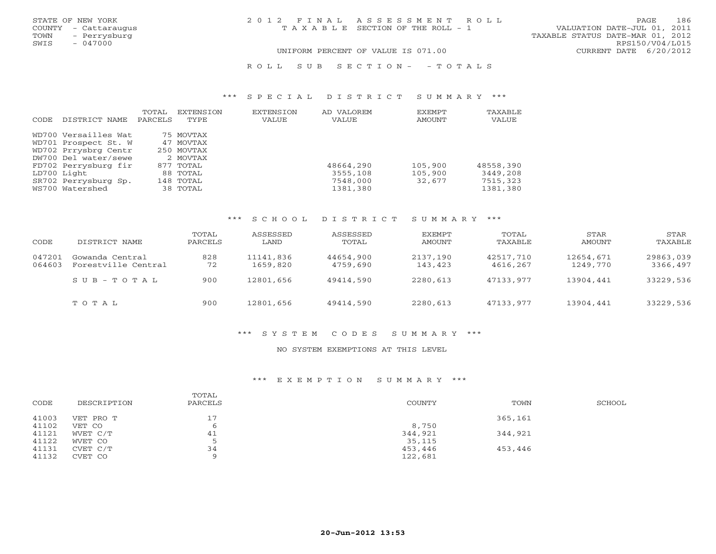| STATE OF NEW YORK    | 2012 FINAL ASSESSMENT ROLL            | 186<br>PAGE                      |
|----------------------|---------------------------------------|----------------------------------|
| COUNTY - Cattaraugus | T A X A B L E SECTION OF THE ROLL - 1 | VALUATION DATE-JUL 01, 2011      |
| TOWN<br>- Perrysburg |                                       | TAXABLE STATUS DATE-MAR 01, 2012 |
| $-047000$<br>SWIS    |                                       | RPS150/V04/L015                  |

R O L L S U B S E C T I O N - - T O T A L S

### \*\*\* S P E C I A L D I S T R I C T S U M M A R Y \*\*\*

|      |                      | TOTAL   | <b>EXTENSION</b> | EXTENSION | AD VALOREM | EXEMPT  | TAXABLE   |
|------|----------------------|---------|------------------|-----------|------------|---------|-----------|
| CODE | DISTRICT NAME        | PARCELS | TYPE             | VALUE     | VALUE      | AMOUNT  | VALUE     |
|      | WD700 Versailles Wat |         | 75 MOVTAX        |           |            |         |           |
|      |                      |         |                  |           |            |         |           |
|      | WD701 Prospect St. W |         | 47 MOVTAX        |           |            |         |           |
|      | WD702 Prrysbrg Centr |         | 250 MOVTAX       |           |            |         |           |
|      | DW700 Del water/sewe |         | 2 MOVTAX         |           |            |         |           |
|      | FD702 Perrysburg fir |         | 877 TOTAL        |           | 48664,290  | 105,900 | 48558,390 |
|      | LD700 Light          |         | 88 TOTAL         |           | 3555,108   | 105,900 | 3449,208  |
|      | SR702 Perrysburg Sp. |         | 148 TOTAL        |           | 7548,000   | 32,677  | 7515,323  |
|      | WS700 Watershed      |         | 38 TOTAL         |           | 1381,380   |         | 1381,380  |

### \*\*\* S C H O O L D I S T R I C T S U M M A R Y \*\*\*

| CODE             | DISTRICT NAME                          | TOTAL<br>PARCELS | ASSESSED<br>LAND      | ASSESSED<br>TOTAL     | EXEMPT<br>AMOUNT    | TOTAL<br>TAXABLE      | STAR<br>AMOUNT        | STAR<br>TAXABLE       |
|------------------|----------------------------------------|------------------|-----------------------|-----------------------|---------------------|-----------------------|-----------------------|-----------------------|
| 047201<br>064603 | Gowanda Central<br>Forestville Central | 828<br>72        | 11141,836<br>1659,820 | 44654,900<br>4759,690 | 2137,190<br>143,423 | 42517,710<br>4616,267 | 12654,671<br>1249,770 | 29863,039<br>3366,497 |
|                  | $SUB - TO T AL$                        | 900              | 12801,656             | 49414,590             | 2280,613            | 47133,977             | 13904,441             | 33229,536             |
|                  | TOTAL                                  | 900              | 12801,656             | 49414,590             | 2280,613            | 47133.977             | 13904,441             | 33229,536             |

### \*\*\* S Y S T E M C O D E S S U M M A R Y \*\*\*

### NO SYSTEM EXEMPTIONS AT THIS LEVEL

### \*\*\* E X E M P T I O N S U M M A R Y \*\*\*

| CODE  | DESCRIPTION | TOTAL<br>PARCELS | <b>COUNTY</b> | TOWN    | SCHOOL |
|-------|-------------|------------------|---------------|---------|--------|
| 41003 | VET PRO T   | 17               |               | 365,161 |        |
| 41102 | VET CO      |                  | 8,750         |         |        |
| 41121 | WVET C/T    | 41               | 344,921       | 344,921 |        |
| 41122 | WVET CO     |                  | 35,115        |         |        |
| 41131 | CVET C/T    | 34               | 453,446       | 453,446 |        |
| 41132 | CVET CO     |                  | 122,681       |         |        |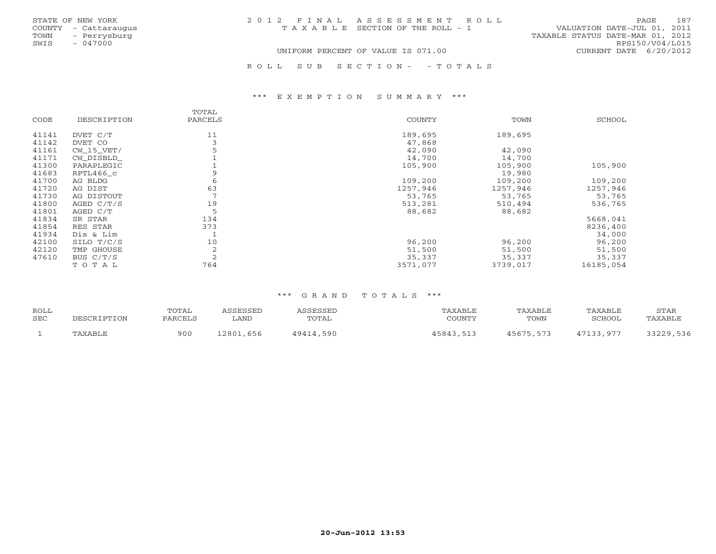| STATE OF NEW YORK    | 2012 FINAL ASSESSMENT ROLL            | 187<br><b>PAGE</b>               |
|----------------------|---------------------------------------|----------------------------------|
| COUNTY - Cattaraugus | T A X A B L E SECTION OF THE ROLL - 1 | VALUATION DATE-JUL 01, 2011      |
| - Perrysburg<br>TOWN |                                       | TAXABLE STATUS DATE-MAR 01, 2012 |
| SWIS<br>- 047000     |                                       | RPS150/V04/L015                  |
|                      | UNIFORM PERCENT OF VALUE IS 071.00    | CURRENT DATE 6/20/2012           |
|                      |                                       |                                  |
|                      | ROLL SUB SECTION- - TOTALS            |                                  |

### \*\*\* E X E M P T I O N S U M M A R Y \*\*\*

|       |             | TOTAL   |          |          |           |
|-------|-------------|---------|----------|----------|-----------|
| CODE  | DESCRIPTION | PARCELS | COUNTY   | TOWN     | SCHOOL    |
|       |             |         |          |          |           |
| 41141 | DVET C/T    | 11      | 189,695  | 189,695  |           |
| 41142 | DVET CO     | 3       | 47,868   |          |           |
| 41161 | CW 15 VET/  |         | 42,090   | 42,090   |           |
| 41171 | CW DISBLD   |         | 14,700   | 14,700   |           |
| 41300 | PARAPLEGIC  |         | 105,900  | 105,900  | 105,900   |
| 41683 | RPTL466 c   |         |          | 19,980   |           |
| 41700 | AG BLDG     | 6       | 109,200  | 109,200  | 109,200   |
| 41720 | AG DIST     | 63      | 1257,946 | 1257,946 | 1257,946  |
| 41730 | AG DISTOUT  | 7       | 53,765   | 53,765   | 53,765    |
| 41800 | AGED C/T/S  | 19      | 513,281  | 510,494  | 536,765   |
| 41801 | AGED C/T    | 5       | 88,682   | 88,682   |           |
| 41834 | SR STAR     | 134     |          |          | 5668,041  |
| 41854 | RES STAR    | 373     |          |          | 8236,400  |
| 41934 | Dis & Lim   |         |          |          | 34,000    |
| 42100 | SILO T/C/S  | 10      | 96,200   | 96,200   | 96,200    |
| 42120 | TMP GHOUSE  | 2       | 51,500   | 51,500   | 51,500    |
| 47610 | BUS $C/T/S$ | 2       | 35,337   | 35,337   | 35,337    |
|       | TOTAL       | 764     | 3571,077 | 3739,017 | 16185,054 |

| ROLL<br>SEC | DESCRIPTION | TOTAL<br>PARCELS | <i><b>SSESSED</b></i><br>LAND | ASSESSED<br>TOTAL | "AXABLE<br>COUNTY | TAXABLE<br>TOWN | TAXABLE<br>SCHOOL | <b>STAR</b><br>"AXABLE |
|-------------|-------------|------------------|-------------------------------|-------------------|-------------------|-----------------|-------------------|------------------------|
|             | TAXABLE     | 900              | 656<br>12801,                 | 49414,590         | 45843,513         | 45675,573       | 47133,977         | 13779<br>, 536         |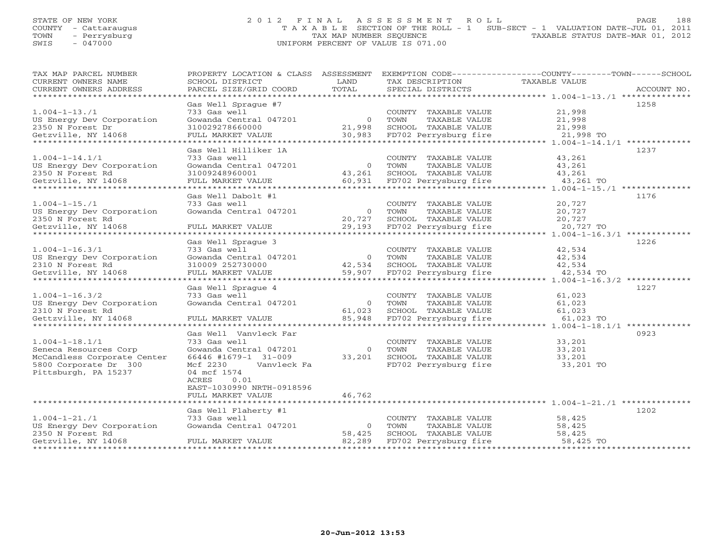# STATE OF NEW YORK 2 0 1 2 F I N A L A S S E S S M E N T R O L L PAGE 188 COUNTY - Cattaraugus T A X A B L E SECTION OF THE ROLL - 1 SUB-SECT - 1 VALUATION DATE-JUL 01, 2011 TOWN - Perrysburg TAX MAP NUMBER SEQUENCE TAXABLE STATUS DATE-MAR 01, 2012 SWIS - 047000 UNIFORM PERCENT OF VALUE IS 071.00

| TAX MAP PARCEL NUMBER                         | PROPERTY LOCATION & CLASS ASSESSMENT             |                  |                                               | EXEMPTION CODE-----------------COUNTY-------TOWN------SCHOOL |  |
|-----------------------------------------------|--------------------------------------------------|------------------|-----------------------------------------------|--------------------------------------------------------------|--|
| CURRENT OWNERS NAME<br>CURRENT OWNERS ADDRESS | SCHOOL DISTRICT<br>PARCEL SIZE/GRID COORD        | LAND<br>TOTAL    | TAX DESCRIPTION<br>SPECIAL DISTRICTS          | TAXABLE VALUE<br>ACCOUNT NO.                                 |  |
| *********************                         |                                                  |                  |                                               |                                                              |  |
|                                               | Gas Well Spraque #7                              |                  |                                               | 1258                                                         |  |
| $1.004 - 1 - 13.71$                           | 733 Gas well                                     |                  | COUNTY TAXABLE VALUE                          | 21,998                                                       |  |
| US Energy Dev Corporation                     | Gowanda Central 047201                           | $\overline{O}$   | TOWN<br>TAXABLE VALUE                         | 21,998                                                       |  |
| 2350 N Forest Dr                              | 310029278660000                                  | 21,998           | SCHOOL TAXABLE VALUE                          | 21,998                                                       |  |
| Getzville, NY 14068                           | FULL MARKET VALUE<br>*************************** | 30,983           | FD702 Perrysburg fire                         | 21,998 TO                                                    |  |
|                                               |                                                  |                  |                                               |                                                              |  |
| $1.004 - 1 - 14.1/1$                          | Gas Well Hilliker 1A<br>733 Gas well             |                  | COUNTY TAXABLE VALUE                          | 1237<br>43,261                                               |  |
| US Energy Dev Corporation                     | Gowanda Central 047201                           | $\overline{0}$   | TOWN<br>TAXABLE VALUE                         | 43,261                                                       |  |
| 2350 N Forest Rd                              | 31009248960001                                   | 43,261           | SCHOOL TAXABLE VALUE                          | 43,261                                                       |  |
| Getzville, NY 14068                           | FULL MARKET VALUE                                | 60,931           | FD702 Perrysburg fire                         | 43,261 TO                                                    |  |
| **********************                        | *************************                        |                  |                                               | $1.004 - 1 - 15$ ./1 *************                           |  |
|                                               | Gas Well Dabolt #1                               |                  |                                               | 1176                                                         |  |
| $1.004 - 1 - 15.71$                           | 733 Gas well                                     |                  | COUNTY TAXABLE VALUE                          | 20,727                                                       |  |
| US Energy Dev Corporation                     | Gowanda Central 047201                           | $\circ$          | TOWN<br>TAXABLE VALUE                         | 20,727                                                       |  |
| 2350 N Forest Rd                              |                                                  | 20,727           | SCHOOL TAXABLE VALUE                          | 20,727                                                       |  |
| Getzville, NY 14068                           | FULL MARKET VALUE                                | 29,193           | FD702 Perrysburg fire                         | 20,727 TO                                                    |  |
|                                               | Gas Well Spraque 3                               |                  |                                               | 1226                                                         |  |
| $1.004 - 1 - 16.3/1$                          | 733 Gas well                                     |                  | COUNTY TAXABLE VALUE                          | 42,534                                                       |  |
| US Energy Dev Corporation                     | Gowanda Central 047201                           | $\overline{0}$   | TOWN<br>TAXABLE VALUE                         | 42,534                                                       |  |
| 2310 N Forest Rd                              | 310009 252730000                                 | 42,534           | SCHOOL TAXABLE VALUE                          | 42,534                                                       |  |
| Getzville, NY 14068                           | FULL MARKET VALUE                                | 59,907           | FD702 Perrysburg fire                         | 42,534 TO                                                    |  |
| *********************                         | *************************                        |                  | *********************************             | $1.004 - 1 - 16.3/2$ *************                           |  |
|                                               | Gas Well Sprague 4                               |                  |                                               | 1227                                                         |  |
| $1.004 - 1 - 16.3/2$                          | 733 Gas well                                     |                  | COUNTY TAXABLE VALUE                          | 61,023                                                       |  |
| US Energy Dev Corporation                     | Gowanda Central 047201                           | $\overline{0}$   | TOWN<br>TAXABLE VALUE                         | 61,023                                                       |  |
| 2310 N Forest Rd<br>Gettzville, NY 14068      | FULL MARKET VALUE                                | 61,023<br>85,948 | SCHOOL TAXABLE VALUE<br>FD702 Perrysburg fire | 61,023<br>61,023 TO                                          |  |
|                                               |                                                  | *************    |                                               | ************** 1.004-1-18.1/1 *******                        |  |
|                                               | Gas Well Vanvleck Far                            |                  |                                               | 0923                                                         |  |
| $1.004 - 1 - 18.1/1$                          | 733 Gas well                                     |                  | COUNTY TAXABLE VALUE                          | 33,201                                                       |  |
| Seneca Resources Corp                         | Gowanda Central 047201                           | $\circ$          | TAXABLE VALUE<br>TOWN                         | 33,201                                                       |  |
| McCandless Corporate Center                   | 66446 #1679-1 31-009                             | 33,201           | SCHOOL TAXABLE VALUE                          | 33,201                                                       |  |
| 5800 Corporate Dr 300                         | Mcf 2230<br>Vanvleck Fa                          |                  | FD702 Perrysburg fire                         | 33,201 TO                                                    |  |
| Pittsburgh, PA 15237                          | 04 mcf 1574                                      |                  |                                               |                                                              |  |
|                                               | ACRES<br>0.01                                    |                  |                                               |                                                              |  |
|                                               | EAST-1030990 NRTH-0918596<br>FULL MARKET VALUE   | 46,762           |                                               |                                                              |  |
|                                               |                                                  |                  |                                               |                                                              |  |
|                                               | Gas Well Flaherty #1                             |                  |                                               | 1202                                                         |  |
| $1.004 - 1 - 21.71$                           | 733 Gas well                                     |                  | COUNTY TAXABLE VALUE                          | 58,425                                                       |  |
| US Energy Dev Corporation                     | Gowanda Central 047201                           | $\overline{0}$   | TOWN<br>TAXABLE VALUE                         | 58,425                                                       |  |
| 2350 N Forest Rd                              |                                                  | 58,425           | SCHOOL TAXABLE VALUE                          | 58,425                                                       |  |
| Getzville, NY 14068                           | FULL MARKET VALUE                                | 82,289           | FD702 Perrysburg fire                         | 58,425 TO                                                    |  |
|                                               |                                                  |                  |                                               |                                                              |  |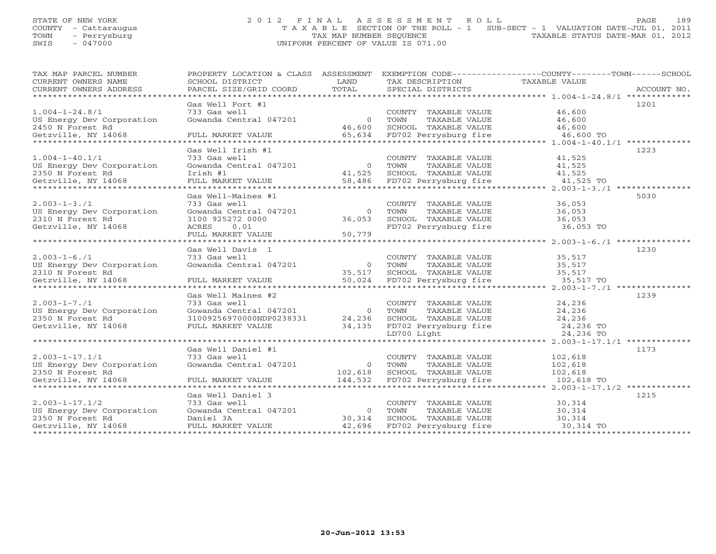# STATE OF NEW YORK 2 0 1 2 F I N A L A S S E S S M E N T R O L L PAGE 189 COUNTY - Cattaraugus T A X A B L E SECTION OF THE ROLL - 1 SUB-SECT - 1 VALUATION DATE-JUL 01, 2011 TOWN - Perrysburg TAX MAP NUMBER SEQUENCE TAXABLE STATUS DATE-MAR 01, 2012 SWIS - 047000 UNIFORM PERCENT OF VALUE IS 071.00

| TAX MAP PARCEL NUMBER     |                          |                |                                                                 | PROPERTY LOCATION & CLASS ASSESSMENT EXEMPTION CODE----------------COUNTY-------TOWN------SCHOOL                                                                                                                                                                                                                                                                                                                                                                                                                                      |
|---------------------------|--------------------------|----------------|-----------------------------------------------------------------|---------------------------------------------------------------------------------------------------------------------------------------------------------------------------------------------------------------------------------------------------------------------------------------------------------------------------------------------------------------------------------------------------------------------------------------------------------------------------------------------------------------------------------------|
| CURRENT OWNERS NAME       | SCHOOL DISTRICT          | LAND           | TAX DESCRIPTION                                                 | TAXABLE VALUE                                                                                                                                                                                                                                                                                                                                                                                                                                                                                                                         |
|                           | PARCEL SIZE/GRID COORD   | TOTAL          |                                                                 | ACCOUNT NO.<br>$\begin{minipage}{.45\textwidth} \begin{minipage}{.45\textwidth} \begin{minipage}{.45\textwidth} \begin{minipage}{.45\textwidth} \begin{minipage}{.45\textwidth} \begin{minipage}{.45\textwidth} \begin{minipage}{.45\textwidth} \begin{minipage}{.45\textwidth} \begin{minipage}{.45\textwidth} \begin{minipage}{.45\textwidth} \begin{minipage}{.45\textwidth} \begin{minipage}{.45\textwidth} \begin{minipage}{.45\textwidth} \begin{minipage}{.45\textwidth} \begin{minipage}{.45\textwidth} \begin{minipage}{.45$ |
|                           |                          |                |                                                                 |                                                                                                                                                                                                                                                                                                                                                                                                                                                                                                                                       |
|                           | Gas Well Fort #1         |                |                                                                 | 1201                                                                                                                                                                                                                                                                                                                                                                                                                                                                                                                                  |
| $1.004 - 1 - 24.8/1$      | 733 Gas well             |                | COUNTY TAXABLE VALUE                                            | 46,600                                                                                                                                                                                                                                                                                                                                                                                                                                                                                                                                |
| US Energy Dev Corporation | Gowanda Central 047201   | $\overline{0}$ | TOWN<br>TAXABLE VALUE                                           | 46,600                                                                                                                                                                                                                                                                                                                                                                                                                                                                                                                                |
| 2450 N Forest Rd          |                          | 46,600         | SCHOOL TAXABLE VALUE                                            | 46,600                                                                                                                                                                                                                                                                                                                                                                                                                                                                                                                                |
| Getzville, NY 14068       |                          |                | 65,634 FD702 Perrysburg fire                                    |                                                                                                                                                                                                                                                                                                                                                                                                                                                                                                                                       |
|                           |                          |                |                                                                 |                                                                                                                                                                                                                                                                                                                                                                                                                                                                                                                                       |
|                           | Gas Well Irish #1        |                |                                                                 | 1223                                                                                                                                                                                                                                                                                                                                                                                                                                                                                                                                  |
| $1.004 - 1 - 40.1/1$      | 733 Gas well             |                | COUNTY TAXABLE VALUE                                            | 41,525                                                                                                                                                                                                                                                                                                                                                                                                                                                                                                                                |
| US Energy Dev Corporation | Gowanda Central 047201   | 0 TOWN         | TAXABLE VALUE                                                   | 41,525                                                                                                                                                                                                                                                                                                                                                                                                                                                                                                                                |
| 2350 N Forest Rd          |                          |                |                                                                 |                                                                                                                                                                                                                                                                                                                                                                                                                                                                                                                                       |
|                           |                          |                |                                                                 |                                                                                                                                                                                                                                                                                                                                                                                                                                                                                                                                       |
|                           |                          |                |                                                                 |                                                                                                                                                                                                                                                                                                                                                                                                                                                                                                                                       |
|                           | Gas Well-Maines #1       |                |                                                                 | 5030                                                                                                                                                                                                                                                                                                                                                                                                                                                                                                                                  |
| $2.003 - 1 - 3.71$        | 733 Gas well             |                | COUNTY TAXABLE VALUE                                            | 36,053                                                                                                                                                                                                                                                                                                                                                                                                                                                                                                                                |
| US Energy Dev Corporation | Gowanda Central 047201   | $\circ$        | TAXABLE VALUE<br>TOWN                                           | 36,053                                                                                                                                                                                                                                                                                                                                                                                                                                                                                                                                |
| 2310 N Forest Rd          | 3100 925272 0000         | 36,053         | SCHOOL TAXABLE VALUE                                            | 36,053                                                                                                                                                                                                                                                                                                                                                                                                                                                                                                                                |
| Getzville, NY 14068       | ACRES<br>0.01            |                | FD702 Perrysburg fire                                           | $36,053$ TO                                                                                                                                                                                                                                                                                                                                                                                                                                                                                                                           |
|                           | FULL MARKET VALUE        | 50,779         |                                                                 |                                                                                                                                                                                                                                                                                                                                                                                                                                                                                                                                       |
|                           |                          |                |                                                                 |                                                                                                                                                                                                                                                                                                                                                                                                                                                                                                                                       |
|                           | Gas Well Davis 1         |                |                                                                 | 1230                                                                                                                                                                                                                                                                                                                                                                                                                                                                                                                                  |
| $2.003 - 1 - 6.71$        | 733 Gas well             |                | COUNTY TAXABLE VALUE                                            | 35,517                                                                                                                                                                                                                                                                                                                                                                                                                                                                                                                                |
| US Energy Dev Corporation | Gowanda Central 047201   |                | 0 TOWN<br>TOWN       TAXABLE  VALUE<br>SCHOOL    TAXABLE  VALUE | 35,517                                                                                                                                                                                                                                                                                                                                                                                                                                                                                                                                |
| 2310 N Forest Rd          |                          | 35,517         |                                                                 | ، ⊥ د , כ <i>د</i><br>35 , 517                                                                                                                                                                                                                                                                                                                                                                                                                                                                                                        |
|                           |                          |                |                                                                 |                                                                                                                                                                                                                                                                                                                                                                                                                                                                                                                                       |
|                           |                          |                |                                                                 |                                                                                                                                                                                                                                                                                                                                                                                                                                                                                                                                       |
|                           | Gas Well Maines #2       |                |                                                                 | 1239                                                                                                                                                                                                                                                                                                                                                                                                                                                                                                                                  |
| $2.003 - 1 - 7.71$        | 733 Gas well             |                | COUNTY TAXABLE VALUE                                            | 24,236                                                                                                                                                                                                                                                                                                                                                                                                                                                                                                                                |
| US Energy Dev Corporation | Gowanda Central 047201   | $\overline{0}$ | TOWN<br>TAXABLE VALUE                                           | 24,236                                                                                                                                                                                                                                                                                                                                                                                                                                                                                                                                |
| 2350 N Forest Rd          | 31009256970000NDP0238331 | 24,236         |                                                                 | 24,236                                                                                                                                                                                                                                                                                                                                                                                                                                                                                                                                |
| Getzville, NY 14068       | FULL MARKET VALUE        | 34,135         |                                                                 | $24,236$ TO                                                                                                                                                                                                                                                                                                                                                                                                                                                                                                                           |
|                           |                          |                |                                                                 | 24,236 TO                                                                                                                                                                                                                                                                                                                                                                                                                                                                                                                             |
|                           |                          |                |                                                                 |                                                                                                                                                                                                                                                                                                                                                                                                                                                                                                                                       |
|                           | Gas Well Daniel #1       |                |                                                                 | 1173                                                                                                                                                                                                                                                                                                                                                                                                                                                                                                                                  |
| $2.003 - 1 - 17.1/1$      | 733 Gas well             |                | COUNTY TAXABLE VALUE                                            | 102,618                                                                                                                                                                                                                                                                                                                                                                                                                                                                                                                               |
| US Energy Dev Corporation | Gowanda Central 047201   |                | 0 TOWN<br>TAXABLE VALUE                                         | 102,618                                                                                                                                                                                                                                                                                                                                                                                                                                                                                                                               |
| 2350 N Forest Rd          |                          | 102,618        | SCHOOL TAXABLE VALUE                                            | 102,618                                                                                                                                                                                                                                                                                                                                                                                                                                                                                                                               |
| Getzville, NY 14068       | FULL MARKET VALUE        | 144,532        | FD702 Perrysburg fire                                           | 102,618 TO                                                                                                                                                                                                                                                                                                                                                                                                                                                                                                                            |
|                           |                          |                |                                                                 |                                                                                                                                                                                                                                                                                                                                                                                                                                                                                                                                       |
|                           | Gas Well Daniel 3        |                |                                                                 | 1215                                                                                                                                                                                                                                                                                                                                                                                                                                                                                                                                  |
| $2.003 - 1 - 17.1/2$      | 733 Gas well             |                | COUNTY TAXABLE VALUE                                            | 30,314                                                                                                                                                                                                                                                                                                                                                                                                                                                                                                                                |
| US Energy Dev Corporation | Gowanda Central 047201   |                | 0 TOWN<br>TAXABLE VALUE                                         | 30,314                                                                                                                                                                                                                                                                                                                                                                                                                                                                                                                                |
| 2350 N Forest Rd          | Daniel 3A                | 30,314         | SCHOOL TAXABLE VALUE                                            | 30,314                                                                                                                                                                                                                                                                                                                                                                                                                                                                                                                                |
| Getzville, NY 14068       | FULL MARKET VALUE        | 42,696         | FD702 Perrysburg fire                                           | 30,314 TO                                                                                                                                                                                                                                                                                                                                                                                                                                                                                                                             |
|                           |                          |                |                                                                 |                                                                                                                                                                                                                                                                                                                                                                                                                                                                                                                                       |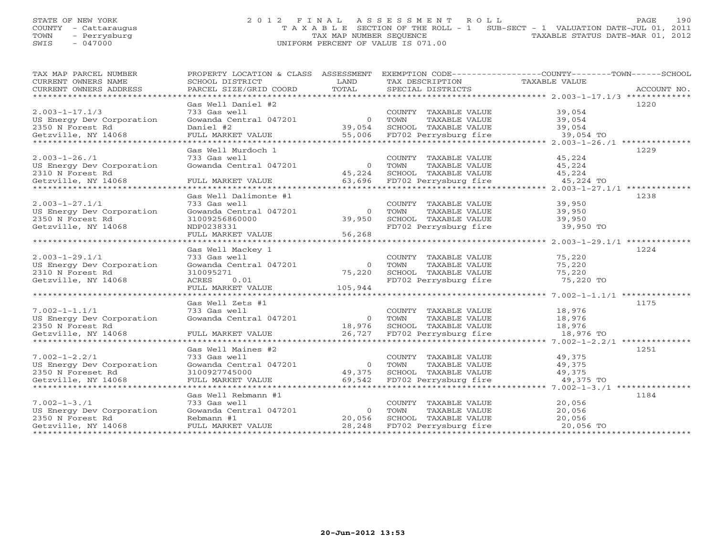# STATE OF NEW YORK 2 0 1 2 F I N A L A S S E S S M E N T R O L L PAGE 190 COUNTY - Cattaraugus T A X A B L E SECTION OF THE ROLL - 1 SUB-SECT - 1 VALUATION DATE-JUL 01, 2011 TOWN - Perrysburg TAX MAP NUMBER SEQUENCE TAXABLE STATUS DATE-MAR 01, 2012 SWIS - 047000 UNIFORM PERCENT OF VALUE IS 071.00

| TAX MAP PARCEL NUMBER<br>CURRENT OWNERS NAME                                                 | PROPERTY LOCATION & CLASS ASSESSMENT EXEMPTION CODE----------------COUNTY-------TOWN------SCHOOL<br>SCHOOL DISTRICT                          | LAND                                         | TAX DESCRIPTION                                                                                              | TAXABLE VALUE                               |             |
|----------------------------------------------------------------------------------------------|----------------------------------------------------------------------------------------------------------------------------------------------|----------------------------------------------|--------------------------------------------------------------------------------------------------------------|---------------------------------------------|-------------|
| CURRENT OWNERS ADDRESS                                                                       | PARCEL SIZE/GRID COORD                                                                                                                       | TOTAL                                        | SPECIAL DISTRICTS                                                                                            |                                             | ACCOUNT NO. |
| $2.003 - 1 - 17.1/3$<br>US Energy Dev Corporation<br>2350 N Forest Rd<br>Getzville, NY 14068 | Gas Well Daniel #2<br>733 Gas well<br>Gowanda Central 047201<br>Daniel #2 39,0<br>Daniel #2<br>FULL MARKET VALUE                             | $\Omega$<br>39,054                           | COUNTY TAXABLE VALUE 39,054<br>TOWN<br>TAXABLE VALUE<br>SCHOOL TAXABLE VALUE<br>55,006 FD702 Perrysburg fire | 39,054<br>39,054<br>39,054 TO               | 1220        |
|                                                                                              |                                                                                                                                              |                                              |                                                                                                              |                                             |             |
| $2.003 - 1 - 26.71$<br>US Energy Dev Corporation<br>2310 N Forest Rd<br>Getzville, NY 14068  | Gas Well Murdoch 1<br>733 Gas well<br>Gowanda Central 047201<br>FULL MARKET VALUE                                                            | $\overline{0}$<br>45,224                     | COUNTY TAXABLE VALUE<br>TAXABLE VALUE<br>TOWN<br>SCHOOL TAXABLE VALUE<br>63,696 FD702 Perrysburg fire        | 45,224<br>45,224<br>$45,224$<br>$45,224$ TO | 1229        |
| $2.003 - 1 - 27.1/1$<br>US Energy Dev Corporation<br>2350 N Forest Rd<br>Getzville, NY 14068 | Gas Well Dalimonte #1<br>733 Gas well<br>Gowanda Central 047201<br>31009256860000<br>NDP0238331<br>FULL MARKET VALUE<br>******************** | $\circ$<br>39,950<br>56,268<br>************* | COUNTY TAXABLE VALUE<br>TOWN<br>TAXABLE VALUE<br>SCHOOL TAXABLE VALUE<br>FD702 Perrysburg fire               | 39,950<br>39,950<br>39,950<br>39,950 TO     | 1238        |
| $2.003 - 1 - 29.1/1$<br>US Energy Dev Corporation<br>2310 N Forest Rd<br>Getzville, NY 14068 | Gas Well Mackey 1<br>733 Gas well<br>Gowanda Central 047201<br>310095271<br>ACRES<br>0.01<br>FULL MARKET VALUE                               | $\overline{0}$<br>75,220<br>105,944          | COUNTY TAXABLE VALUE<br>TOWN<br>TAXABLE VALUE<br>SCHOOL TAXABLE VALUE<br>FD702 Perrysburg fire               | 75,220<br>75,220<br>75,220<br>75,220 TO     | 1224        |
| $7.002 - 1 - 1.1/1$<br>US Energy Dev Corporation<br>2350 N Forest Rd<br>Getzville, NY 14068  | Gas Well Zets #1<br>733 Gas well<br>Gowanda Central 047201<br>FULL MARKET VALUE                                                              | $\overline{0}$<br>18,976                     | COUNTY TAXABLE VALUE<br>TAXABLE VALUE<br>TOWN<br>SCHOOL TAXABLE VALUE<br>26,727 FD702 Perrysburg fire        | 18,976<br>18,976<br>18,976<br>18,976 TO     | 1175        |
| $7.002 - 1 - 2.2/1$<br>US Energy Dev Corporation<br>2350 N Foreset Rd<br>Getzville, NY 14068 | Gas Well Maines #2<br>733 Gas well<br>Gowanda Central 047201<br>3100927745000<br>FULL MARKET VALUE                                           | $\circ$<br>49,375<br>69,542                  | COUNTY TAXABLE VALUE<br>TOWN<br>TAXABLE VALUE<br>SCHOOL TAXABLE VALUE<br>FD702 Perrysburg fire               | 49,375<br>49,375<br>49,375<br>49,375 TO     | 1251        |
| $7.002 - 1 - 3.71$<br>US Energy Dev Corporation<br>2350 N Forest Rd<br>Getzville, NY 14068   | Gas Well Rebmann #1<br>733 Gas well<br>Gowanda Central 047201<br>Rebmann #1<br>FULL MARKET VALUE                                             | $\overline{0}$<br>20,056<br>28,248           | COUNTY TAXABLE VALUE<br>TOWN<br>TAXABLE VALUE<br>SCHOOL TAXABLE VALUE<br>FD702 Perrysburg fire               | 20,056<br>20,056<br>20,056<br>20,056 TO     | 1184        |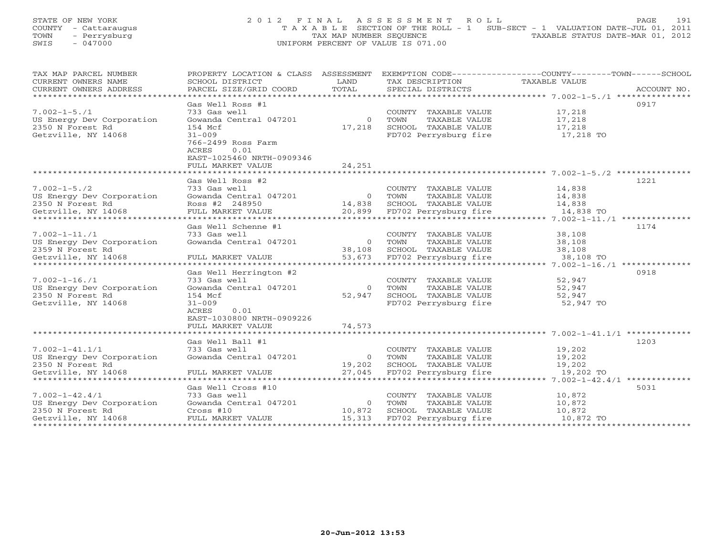# STATE OF NEW YORK 2 0 1 2 F I N A L A S S E S S M E N T R O L L PAGE 191 COUNTY - Cattaraugus T A X A B L E SECTION OF THE ROLL - 1 SUB-SECT - 1 VALUATION DATE-JUL 01, 2011 TOWN - Perrysburg TAX MAP NUMBER SEQUENCE TAXABLE STATUS DATE-MAR 01, 2012 SWIS - 047000 UNIFORM PERCENT OF VALUE IS 071.00

| TAX MAP PARCEL NUMBER     | PROPERTY LOCATION & CLASS ASSESSMENT |                                     | EXEMPTION CODE-----------------COUNTY-------TOWN------SCHOOL |                                                            |             |
|---------------------------|--------------------------------------|-------------------------------------|--------------------------------------------------------------|------------------------------------------------------------|-------------|
| CURRENT OWNERS NAME       | SCHOOL DISTRICT                      | LAND                                | TAX DESCRIPTION                                              | <b>TAXABLE VALUE</b>                                       |             |
| CURRENT OWNERS ADDRESS    | PARCEL SIZE/GRID COORD               | TOTAL                               | SPECIAL DISTRICTS                                            |                                                            | ACCOUNT NO. |
|                           |                                      |                                     |                                                              |                                                            |             |
| $7.002 - 1 - 5.71$        | Gas Well Ross #1<br>733 Gas well     |                                     |                                                              |                                                            | 0917        |
|                           |                                      |                                     | COUNTY TAXABLE VALUE                                         | 17,218                                                     |             |
| US Energy Dev Corporation | Gowanda Central 047201               | $\Omega$                            | TOWN<br>TAXABLE VALUE                                        | 17,218                                                     |             |
| 2350 N Forest Rd          | 154 Mcf                              | 17,218                              | SCHOOL TAXABLE VALUE                                         | 17,218                                                     |             |
| Getzville, NY 14068       | $31 - 009$                           |                                     | FD702 Perrysburg fire                                        | 17,218 TO                                                  |             |
|                           | 766-2499 Ross Farm                   |                                     |                                                              |                                                            |             |
|                           | 0.01<br>ACRES                        |                                     |                                                              |                                                            |             |
|                           | EAST-1025460 NRTH-0909346            |                                     |                                                              |                                                            |             |
|                           | FULL MARKET VALUE                    | 24,251                              |                                                              |                                                            |             |
|                           | Gas Well Ross #2                     |                                     |                                                              |                                                            | 1221        |
| $7.002 - 1 - 5.72$        | 733 Gas well                         |                                     | COUNTY TAXABLE VALUE                                         | 14,838                                                     |             |
| US Energy Dev Corporation | Gowanda Central 047201               | $\Omega$                            | TOWN<br>TAXABLE VALUE                                        | 14,838                                                     |             |
| 2350 N Forest Rd          | Ross #2 248950                       | 14,838                              | SCHOOL TAXABLE VALUE                                         | 14,838                                                     |             |
| Getzville, NY 14068       | FULL MARKET VALUE                    | 20,899                              | FD702 Perrysburg fire                                        | 14,838 TO                                                  |             |
|                           |                                      |                                     |                                                              |                                                            |             |
|                           | Gas Well Schenne #1                  |                                     |                                                              |                                                            | 1174        |
| $7.002 - 1 - 11.71$       | 733 Gas well                         |                                     | COUNTY TAXABLE VALUE                                         | 38,108                                                     |             |
| US Energy Dev Corporation | Gowanda Central 047201               | $\Omega$                            | TOWN<br>TAXABLE VALUE                                        | 38,108                                                     |             |
| 2359 N Forest Rd          |                                      | 38,108                              | SCHOOL TAXABLE VALUE                                         | 38,108                                                     |             |
| Getzville, NY 14068       | FULL MARKET VALUE                    | 53,673                              | FD702 Perrysburg fire                                        | 38,108 TO                                                  |             |
|                           |                                      | * * * * * * * * * * * * * * * * * * |                                                              | **************************** 7.002-1-16./1 *************** |             |
|                           | Gas Well Herrington #2               |                                     |                                                              |                                                            | 0918        |
| $7.002 - 1 - 16.71$       | 733 Gas well                         |                                     | COUNTY TAXABLE VALUE                                         | 52,947                                                     |             |
| US Energy Dev Corporation | Gowanda Central 047201               | $\Omega$                            | TAXABLE VALUE<br>TOWN                                        | 52,947                                                     |             |
| 2350 N Forest Rd          | 154 Mcf                              | 52,947                              | SCHOOL TAXABLE VALUE                                         | 52,947                                                     |             |
| Getzville, NY 14068       | $31 - 009$                           |                                     | FD702 Perrysburg fire                                        | 52,947 TO                                                  |             |
|                           | 0.01<br>ACRES                        |                                     |                                                              |                                                            |             |
|                           | EAST-1030800 NRTH-0909226            |                                     |                                                              |                                                            |             |
|                           | FULL MARKET VALUE                    | 74,573                              |                                                              |                                                            |             |
|                           |                                      |                                     |                                                              |                                                            |             |
|                           | Gas Well Ball #1                     |                                     |                                                              |                                                            | 1203        |
| $7.002 - 1 - 41.1/1$      | 733 Gas well                         |                                     | COUNTY TAXABLE VALUE                                         | 19,202                                                     |             |
| US Energy Dev Corporation | Gowanda Central 047201               | $\Omega$                            | TOWN<br>TAXABLE VALUE                                        | 19,202                                                     |             |
| 2350 N Forest Rd          |                                      | 19,202                              | SCHOOL TAXABLE VALUE                                         | 19,202                                                     |             |
| Getzville, NY 14068       | FULL MARKET VALUE                    | 27,045                              | FD702 Perrysburg fire                                        | 19,202 TO                                                  |             |
|                           |                                      |                                     |                                                              |                                                            |             |
|                           | Gas Well Cross #10                   |                                     |                                                              |                                                            | 5031        |
| $7.002 - 1 - 42.4/1$      | 733 Gas well                         |                                     | COUNTY TAXABLE VALUE                                         | 10,872                                                     |             |
| US Energy Dev Corporation | Gowanda Central 047201               | $\circ$                             | TOWN<br>TAXABLE VALUE                                        | 10,872                                                     |             |
| 2350 N Forest Rd          | Cross #10                            | 10,872                              | SCHOOL TAXABLE VALUE                                         | 10,872                                                     |             |
| Getzville, NY 14068       | FULL MARKET VALUE                    | 15,313                              | FD702 Perrysburg fire                                        | 10,872 TO                                                  |             |
|                           |                                      |                                     |                                                              |                                                            |             |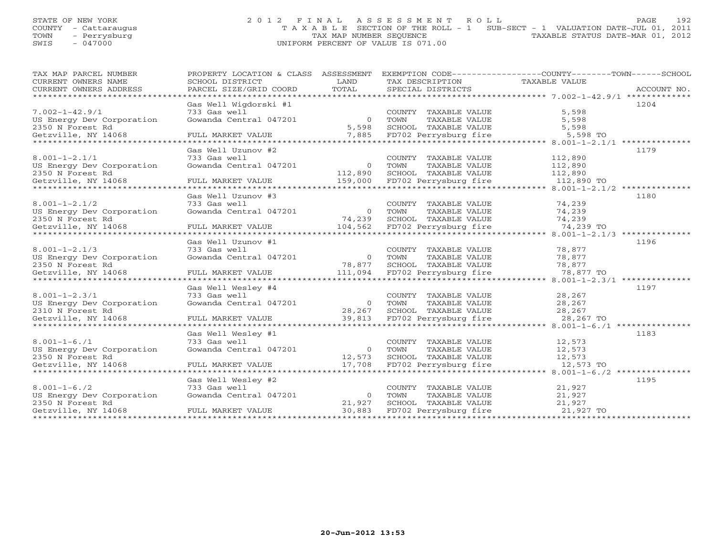# STATE OF NEW YORK 2012 FINAL ASSESSMENT ROLL PAGE 192 COUNTY - Cattaraugus T A X A B L E SECTION OF THE ROLL - 1 SUB-SECT - 1 VALUATION DATE-JUL 01, 2011 TOWN - Perrysburg TAX MAP NUMBER SEQUENCE TAXABLE STATUS DATE-MAR 01, 2012 SWIS - 047000 UNIFORM PERCENT OF VALUE IS 071.00

| TAX MAP PARCEL NUMBER       | PROPERTY LOCATION & CLASS ASSESSMENT   |                  |                                               | EXEMPTION CODE-----------------COUNTY-------TOWN------SCHOOL |             |
|-----------------------------|----------------------------------------|------------------|-----------------------------------------------|--------------------------------------------------------------|-------------|
| CURRENT OWNERS NAME         | SCHOOL DISTRICT                        | LAND             | TAX DESCRIPTION                               | TAXABLE VALUE                                                |             |
| CURRENT OWNERS ADDRESS      | PARCEL SIZE/GRID COORD                 | TOTAL            | SPECIAL DISTRICTS                             |                                                              | ACCOUNT NO. |
|                             |                                        |                  |                                               |                                                              |             |
|                             | Gas Well Wigdorski #1                  |                  |                                               |                                                              | 1204        |
| $7.002 - 1 - 42.9/1$        | 733 Gas well                           |                  | COUNTY TAXABLE VALUE                          | 5,598                                                        |             |
| US Energy Dev Corporation   | Gowanda Central 047201                 | $\overline{0}$   | TOWN<br>TAXABLE VALUE                         | 5,598                                                        |             |
| 2350 N Forest Rd            |                                        | 5,598            | SCHOOL TAXABLE VALUE                          | 5,598                                                        |             |
| Getzville, NY 14068         | FULL MARKET VALUE                      |                  | 7,885 FD702 Perrysburg fire                   | 5,598 TO                                                     |             |
| *************************** |                                        |                  |                                               |                                                              |             |
|                             | Gas Well Uzunov #2                     |                  |                                               |                                                              | 1179        |
| $8.001 - 1 - 2.1/1$         | 733 Gas well                           |                  | COUNTY TAXABLE VALUE                          | 112,890                                                      |             |
| US Energy Dev Corporation   | Gowanda Central 047201                 | $\overline{0}$   | TAXABLE VALUE<br>TOWN                         | 112,890                                                      |             |
| 2350 N Forest Rd            |                                        | 112,890          | SCHOOL TAXABLE VALUE                          | 112,890                                                      |             |
| Getzville, NY 14068         | FULL MARKET VALUE                      | 159,000          | FD702 Perrysburg fire                         | 112,890 TO                                                   |             |
|                             |                                        |                  |                                               |                                                              |             |
|                             | Gas Well Uzunov #3                     |                  |                                               |                                                              | 1180        |
| $8.001 - 1 - 2.1/2$         | 733 Gas well                           |                  | COUNTY TAXABLE VALUE                          | 74,239                                                       |             |
| US Energy Dev Corporation   | Gowanda Central 047201                 | $\Omega$         | TOWN<br>TAXABLE VALUE                         | 74,239                                                       |             |
| 2350 N Forest Rd            |                                        | 74,239           | SCHOOL TAXABLE VALUE                          | 74,239                                                       |             |
| Getzville, NY 14068         | FULL MARKET VALUE                      | 104,562          | FD702 Perrysburg fire                         | 74,239 TO                                                    |             |
|                             |                                        |                  |                                               |                                                              |             |
|                             | Gas Well Uzunov #1                     |                  |                                               |                                                              | 1196        |
| $8.001 - 1 - 2.1/3$         | 733 Gas well                           |                  | COUNTY TAXABLE VALUE                          | 78,877                                                       |             |
| US Energy Dev Corporation   | Gowanda Central 047201                 | $\circ$          | TOWN<br>TAXABLE VALUE                         | 78,877                                                       |             |
| 2350 N Forest Rd            |                                        | 78,877           | SCHOOL TAXABLE VALUE                          | 78,877                                                       |             |
| Getzville, NY 14068         | FULL MARKET VALUE                      | 111,094          | FD702 Perrysburg fire                         | 78,877 TO                                                    |             |
|                             |                                        |                  |                                               |                                                              | 1197        |
| $8.001 - 1 - 2.3/1$         | Gas Well Wesley #4                     |                  |                                               | 28,267                                                       |             |
| US Energy Dev Corporation   | 733 Gas well<br>Gowanda Central 047201 | $\overline{0}$   | COUNTY TAXABLE VALUE<br>TOWN<br>TAXABLE VALUE | 28,267                                                       |             |
|                             |                                        |                  | SCHOOL TAXABLE VALUE                          | 28,267                                                       |             |
| 2310 N Forest Rd            |                                        | 28,267<br>39,813 |                                               | 28,267 TO                                                    |             |
| Getzville, NY 14068         | FULL MARKET VALUE                      |                  | FD702 Perrysburg fire                         |                                                              |             |
|                             | Gas Well Wesley #1                     |                  |                                               |                                                              | 1183        |
| $8.001 - 1 - 6.71$          | 733 Gas well                           |                  | COUNTY TAXABLE VALUE                          | 12,573                                                       |             |
| US Energy Dev Corporation   | Gowanda Central 047201                 | $\overline{0}$   | TOWN<br>TAXABLE VALUE                         | 12,573                                                       |             |
| 2350 N Forest Rd            |                                        | 12,573           | SCHOOL TAXABLE VALUE                          | 12,573                                                       |             |
| Getzville, NY 14068         | FULL MARKET VALUE                      | 17,708           | FD702 Perrysburg fire                         | 12,573 TO                                                    |             |
|                             |                                        |                  |                                               |                                                              |             |
|                             | Gas Well Wesley #2                     |                  |                                               |                                                              | 1195        |
| $8.001 - 1 - 6.72$          | 733 Gas well                           |                  | COUNTY TAXABLE VALUE                          | 21,927                                                       |             |
| US Energy Dev Corporation   | Gowanda Central 047201                 | $\overline{O}$   | TOWN<br>TAXABLE VALUE                         | 21,927                                                       |             |
| 2350 N Forest Rd            |                                        | 21,927           | SCHOOL<br>TAXABLE VALUE                       | 21,927                                                       |             |
| Getzville, NY 14068         | FULL MARKET VALUE                      | 30,883           | FD702 Perrysburg fire                         | 21,927 TO                                                    |             |
|                             |                                        |                  |                                               |                                                              |             |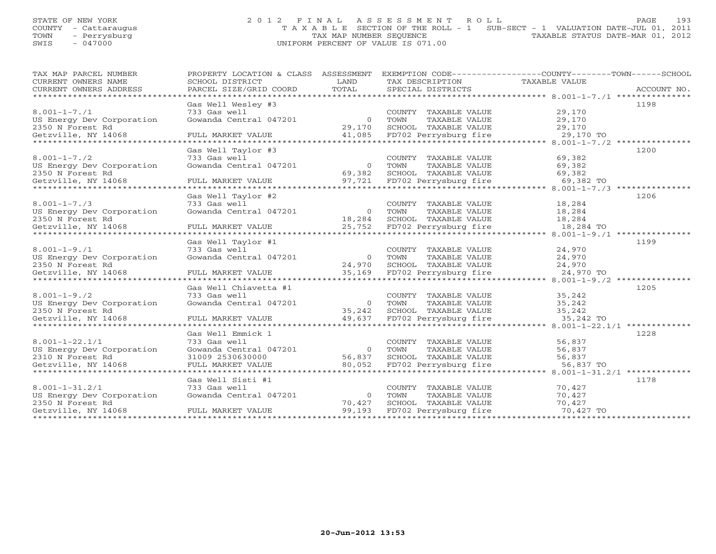# STATE OF NEW YORK 2 0 1 2 F I N A L A S S E S S M E N T R O L L PAGE 193 COUNTY - Cattaraugus T A X A B L E SECTION OF THE ROLL - 1 SUB-SECT - 1 VALUATION DATE-JUL 01, 2011 TOWN - Perrysburg TAX MAP NUMBER SEQUENCE TAXABLE STATUS DATE-MAR 01, 2012 SWIS - 047000 UNIFORM PERCENT OF VALUE IS 071.00

| TAX MAP PARCEL NUMBER                                             | PROPERTY LOCATION & CLASS ASSESSMENT |                | EXEMPTION CODE-----------------COUNTY-------TOWN------SCHOOL |               |             |
|-------------------------------------------------------------------|--------------------------------------|----------------|--------------------------------------------------------------|---------------|-------------|
| CURRENT OWNERS NAME                                               | SCHOOL DISTRICT                      | T.AND          | TAX DESCRIPTION                                              | TAXABLE VALUE |             |
| CURRENT OWNERS ADDRESS                                            | PARCEL SIZE/GRID COORD               | TOTAL          | SPECIAL DISTRICTS                                            |               | ACCOUNT NO. |
| ******************************                                    | ****************                     |                |                                                              |               |             |
|                                                                   | Gas Well Wesley #3                   |                |                                                              |               | 1198        |
| $8.001 - 1 - 7.71$                                                | 733 Gas well                         |                | COUNTY TAXABLE VALUE                                         | 29,170        |             |
| US Energy Dev Corporation                                         | Gowanda Central 047201               | $\overline{0}$ | TAXABLE VALUE<br>TOWN                                        | 29,170        |             |
| 2350 N Forest Rd                                                  |                                      | 29,170         | SCHOOL TAXABLE VALUE                                         | 29,170        |             |
| Getzville, NY 14068<br>****************************               | FULL MARKET VALUE                    | 41,085         | FD702 Perrysburg fire                                        | 29,170 TO     |             |
|                                                                   | Gas Well Taylor #3                   |                |                                                              |               | 1200        |
| $8.001 - 1 - 7.72$                                                | 733 Gas well                         |                | COUNTY TAXABLE VALUE                                         | 69,382        |             |
| US Energy Dev Corporation                                         | Gowanda Central 047201               | $\overline{0}$ | TOWN<br>TAXABLE VALUE                                        | 69,382        |             |
| 2350 N Forest Rd                                                  |                                      | 69,382         | SCHOOL TAXABLE VALUE                                         | 69,382        |             |
| Getzville, NY 14068                                               | FULL MARKET VALUE                    | 97,721         | FD702 Perrysburg fire                                        | 69,382 TO     |             |
|                                                                   |                                      |                |                                                              |               |             |
|                                                                   | Gas Well Taylor #2                   |                |                                                              |               | 1206        |
| $8.001 - 1 - 7.73$                                                | 733 Gas well                         |                | COUNTY TAXABLE VALUE                                         | 18,284        |             |
| US Energy Dev Corporation                                         | Gowanda Central 047201               | $\overline{O}$ | TOWN<br>TAXABLE VALUE                                        | 18,284        |             |
| 2350 N Forest Rd                                                  |                                      | 18,284         | SCHOOL TAXABLE VALUE                                         | 18,284        |             |
| Getzville, NY 14068                                               | FULL MARKET VALUE                    | 25,752         | FD702 Perrysburg fire                                        | 18,284 TO     |             |
|                                                                   |                                      |                |                                                              |               |             |
|                                                                   | Gas Well Taylor #1                   |                |                                                              |               | 1199        |
| $8.001 - 1 - 9.71$                                                | 733 Gas well                         |                | COUNTY TAXABLE VALUE                                         | 24,970        |             |
| US Energy Dev Corporation                                         | Gowanda Central 047201               | $\Omega$       | TOWN<br>TAXABLE VALUE                                        | 24,970        |             |
| 2350 N Forest Rd                                                  |                                      | 24,970         | SCHOOL TAXABLE VALUE                                         | 24,970        |             |
|                                                                   |                                      | 35,169         |                                                              |               |             |
|                                                                   |                                      |                |                                                              |               |             |
|                                                                   | Gas Well Chiavetta #1                |                |                                                              |               | 1205        |
| $8.001 - 1 - 9.72$                                                | 733 Gas well                         |                | COUNTY TAXABLE VALUE                                         | 35,242        |             |
| US Energy Dev Corporation                                         | Gowanda Central 047201               | $\overline{0}$ | TOWN<br>TAXABLE VALUE                                        | 35,242        |             |
| 2350 N Forest Rd                                                  |                                      | 35,242         | SCHOOL TAXABLE VALUE                                         | 35,242        |             |
|                                                                   |                                      |                |                                                              |               |             |
|                                                                   |                                      |                |                                                              |               | 1228        |
| $8.001 - 1 - 22.1/1$                                              | Gas Well Emmick 1<br>733 Gas well    |                | COUNTY TAXABLE VALUE                                         | 56,837        |             |
|                                                                   | Gowanda Central 047201               | $\overline{0}$ | TOWN<br>TAXABLE VALUE                                        | 56,837        |             |
| US Energy Dev Corporation<br>2310 N Forest Rd<br>2310 N Forest Rd | 31009 2530630000                     | 56,837         | SCHOOL TAXABLE VALUE                                         | 56,837        |             |
| Getzville, NY 14068                                               | FULL MARKET VALUE                    | 80,052         | FD702 Perrysburg fire                                        | 56,837 TO     |             |
|                                                                   |                                      |                |                                                              |               |             |
|                                                                   | Gas Well Sisti #1                    |                |                                                              |               | 1178        |
| $8.001 - 1 - 31.2/1$                                              | 733 Gas well                         |                | COUNTY TAXABLE VALUE                                         | 70,427        |             |
| US Energy Dev Corporation                                         | Gowanda Central 047201               | $\Omega$       | TOWN<br>TAXABLE VALUE                                        | 70,427        |             |
| 2350 N Forest Rd                                                  |                                      | 70,427         | SCHOOL TAXABLE VALUE                                         | 70,427        |             |
| Getzville, NY 14068                                               | FULL MARKET VALUE                    | 99,193         | FD702 Perrysburg fire                                        | 70,427 TO     |             |
|                                                                   |                                      |                |                                                              |               |             |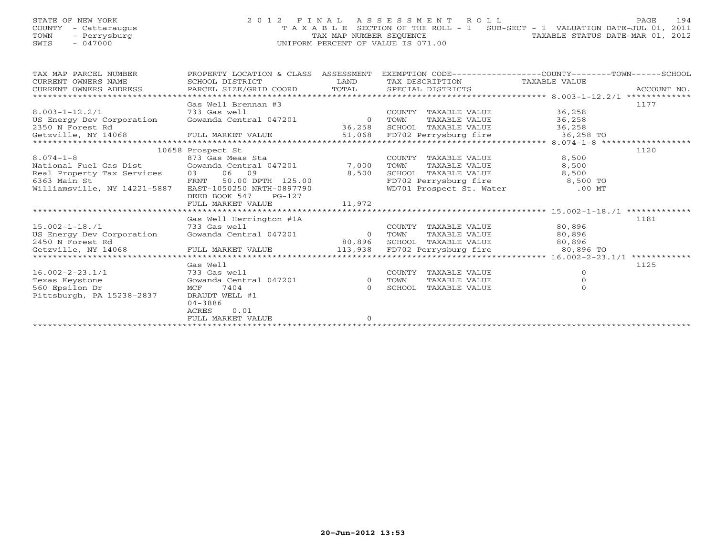# STATE OF NEW YORK 2 0 1 2 F I N A L A S S E S S M E N T R O L L PAGE 194 COUNTY - Cattaraugus T A X A B L E SECTION OF THE ROLL - 1 SUB-SECT - 1 VALUATION DATE-JUL 01, 2011 TOWN - Perrysburg TAX MAP NUMBER SEQUENCE TAXABLE STATUS DATE-MAR 01, 2012 SWIS - 047000 UNIFORM PERCENT OF VALUE IS 071.00

| TAX MAP PARCEL NUMBER                 | PROPERTY LOCATION & CLASS | ASSESSMENT | EXEMPTION CODE-----------------COUNTY-------TOWN------SCHOOL   |               |              |
|---------------------------------------|---------------------------|------------|----------------------------------------------------------------|---------------|--------------|
| CURRENT OWNERS NAME                   | SCHOOL DISTRICT           | LAND       | TAX DESCRIPTION                                                | TAXABLE VALUE |              |
| CURRENT OWNERS ADDRESS                | PARCEL SIZE/GRID COORD    | TOTAL      | SPECIAL DISTRICTS                                              |               | ACCOUNT NO.  |
| *****************************         |                           |            |                                                                |               |              |
|                                       | Gas Well Brennan #3       |            |                                                                |               | 1177         |
| $8.003 - 1 - 12.2/1$                  | 733 Gas well              |            | COUNTY TAXABLE VALUE                                           | 36,258        |              |
| US Energy Dev Corporation             | Gowanda Central 047201    | $\Omega$   | TOWN<br>TAXABLE VALUE                                          | 36,258        |              |
| 2350 N Forest Rd                      |                           | 36,258     | SCHOOL TAXABLE VALUE                                           | 36,258        |              |
| Getzville, NY 14068 FULL MARKET VALUE |                           |            | 51,068 FD702 Perrysburg fire                                   | $36,258$ TO   |              |
|                                       |                           |            | **********************************8.074-1-8 ****************** |               |              |
|                                       | 10658 Prospect St         |            |                                                                |               | 1120         |
| $8.074 - 1 - 8$                       | 873 Gas Meas Sta          |            | COUNTY TAXABLE VALUE                                           | 8,500         |              |
| National Fuel Gas Dist                | Gowanda Central 047201    | 7,000      | TAXABLE VALUE<br>TOWN                                          | 8,500         |              |
| Real Property Tax Services 03 06 09   |                           | 8,500      | SCHOOL TAXABLE VALUE                                           | 8,500         |              |
| <b>FRNT</b><br>6363 Main St           | 50.00 DPTH 125.00         |            | FD702 Perrysburg fire                                          | 8,500 TO      |              |
| Williamsville, NY 14221-5887          | EAST-1050250 NRTH-0897790 |            | WD701 Prospect St. Water                                       | $.00$ MT      |              |
|                                       | $PG-127$<br>DEED BOOK 547 |            |                                                                |               |              |
|                                       | FULL MARKET VALUE         | 11,972     |                                                                |               |              |
|                                       |                           |            |                                                                |               |              |
|                                       | Gas Well Herrington #1A   |            |                                                                |               | 1181         |
| $15.002 - 1 - 18.71$                  | 733 Gas well              |            | COUNTY TAXABLE VALUE                                           | 80,896        |              |
| US Energy Dev Corporation             | Gowanda Central 047201    | 0 TOWN     | TAXABLE VALUE                                                  | 80,896        |              |
| 2450 N Forest Rd                      |                           | 80,896     | SCHOOL TAXABLE VALUE 80,896                                    |               |              |
| Getzville, NY 14068                   | FULL MARKET VALUE         | 113,938    | FD702 Perrysburg fire                                          | 80,896 TO     |              |
|                                       |                           |            |                                                                |               | ************ |
|                                       | Gas Well                  |            |                                                                |               | 1125         |
| $16.002 - 2 - 23.1/1$                 | 733 Gas well              |            | TAXABLE VALUE<br>COUNTY                                        | $\Omega$      |              |
| Texas Keystone                        | Gowanda Central 047201    | $\circ$    | TOWN<br>TAXABLE VALUE                                          | $\circ$       |              |
| 560 Epsilon Dr                        | 7404<br>MCF               | $\Omega$   | SCHOOL<br>TAXABLE VALUE                                        | $\Omega$      |              |
| Pittsburgh, PA 15238-2837             | DRAUDT WELL #1            |            |                                                                |               |              |
|                                       | $04 - 3886$               |            |                                                                |               |              |
|                                       | 0.01<br>ACRES             |            |                                                                |               |              |
|                                       | FULL MARKET VALUE         | $\Omega$   |                                                                |               |              |
|                                       |                           |            |                                                                |               |              |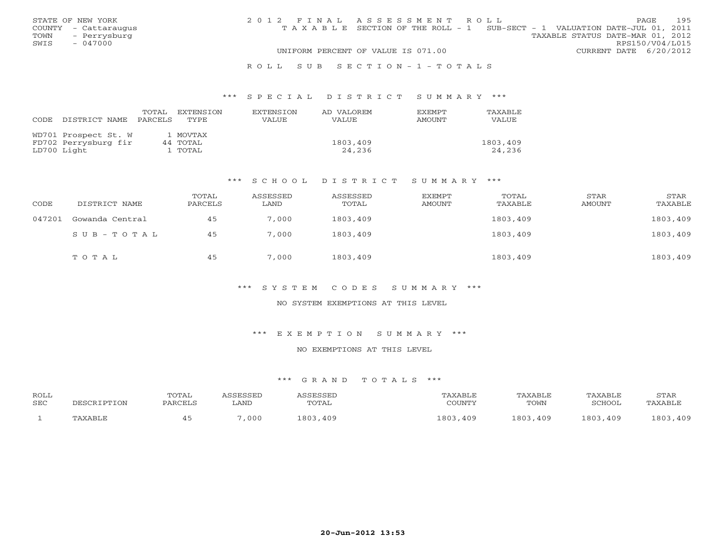|      | STATE OF NEW YORK    | 2012 FINAL ASSESSMENT ROLL |                                                                                |                                  |                        | PAGE | 195 |
|------|----------------------|----------------------------|--------------------------------------------------------------------------------|----------------------------------|------------------------|------|-----|
|      | COUNTY - Cattaraugus |                            | T A X A B L E SECTION OF THE ROLL - 1 SUB-SECT - 1 VALUATION DATE-JUL 01, 2011 |                                  |                        |      |     |
| TOWN | - Perrysburg         |                            |                                                                                | TAXABLE STATUS DATE-MAR 01, 2012 |                        |      |     |
| SWIS | $-047000$            |                            |                                                                                |                                  | RPS150/V04/L015        |      |     |
|      |                      |                            | UNIFORM PERCENT OF VALUE IS 071.00                                             |                                  | CURRENT DATE 6/20/2012 |      |     |
|      |                      |                            |                                                                                |                                  |                        |      |     |

#### R O L L S U B S E C T I O N - 1 - T O T A L S

#### \*\*\* S P E C I A L D I S T R I C T S U M M A R Y \*\*\*

| CODE | DISTRICT NAME        | TOTAL<br>PARCELS | EXTENSION<br>TYPE | <b>EXTENSION</b><br><b>VALUE</b> | AD VALOREM<br>VALUE | <b>FXEMPT</b><br>AMOUNT | <b>TAXABLE</b><br>VALUE |
|------|----------------------|------------------|-------------------|----------------------------------|---------------------|-------------------------|-------------------------|
|      | WD701 Prospect St. W |                  | 1 MOVTAX          |                                  |                     |                         |                         |
|      | FD702 Perrysburg fir |                  | 44 TOTAL          |                                  | 1803,409            |                         | 1803,409                |
|      | LD700 Light          |                  | 1 TOTAL           |                                  | 24,236              |                         | 24,236                  |

### \*\*\* S C H O O L D I S T R I C T S U M M A R Y \*\*\*

| CODE   | DISTRICT NAME   | TOTAL<br>PARCELS | ASSESSED<br>LAND | ASSESSED<br>TOTAL | EXEMPT<br>AMOUNT | TOTAL<br>TAXABLE | STAR<br>AMOUNT | STAR<br>TAXABLE |
|--------|-----------------|------------------|------------------|-------------------|------------------|------------------|----------------|-----------------|
| 047201 | Gowanda Central | 45               | 7,000            | 1803,409          |                  | 1803,409         |                | 1803,409        |
|        | $SUB - TO T AL$ | 45               | 7,000            | 1803,409          |                  | 1803,409         |                | 1803,409        |
|        | TOTAL           | 45               | 7,000            | 1803,409          |                  | 1803,409         |                | 1803,409        |

### \*\*\* S Y S T E M C O D E S S U M M A R Y \*\*\*

### NO SYSTEM EXEMPTIONS AT THIS LEVEL

### \*\*\* E X E M P T I O N S U M M A R Y \*\*\*

### NO EXEMPTIONS AT THIS LEVEL

| <b>ROLL</b><br><b>SEC</b> | DESCRIPTION | <b>TOTAL</b><br>PARCELS | `SSESSED<br>LAND | ASSESSED<br>TOTAL | TAXABLE<br>COUNTY | TAXABLE<br>TOWN | TAXABLE<br>SCHOOL | STAR<br>TAXABLE |
|---------------------------|-------------|-------------------------|------------------|-------------------|-------------------|-----------------|-------------------|-----------------|
|                           | TAXABLE     |                         | ,000             | 1803,409          | 1803,409          | 1803,409        | 1803,409          | 1803,409        |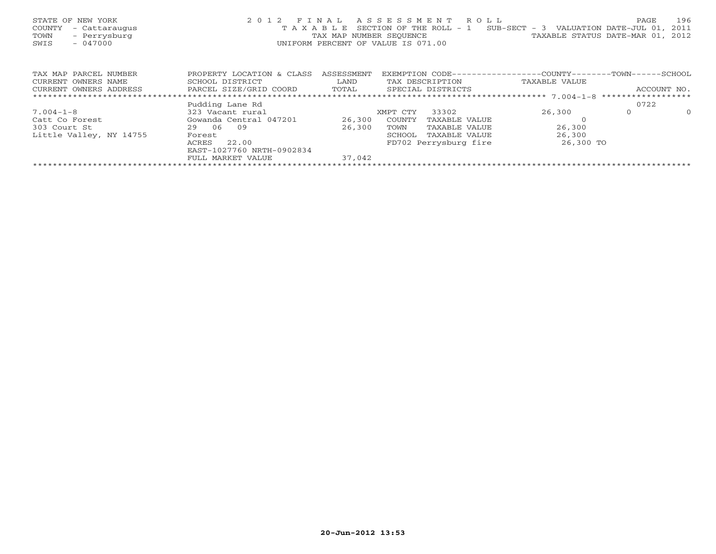| STATE OF NEW YORK<br>COUNTY<br>- Cattaraugus<br>- Perrysburg<br>TOWN<br>$-047000$<br>SWIS | 2012 FINAL                |            | ASSESSMENT ROLL<br>T A X A B L E SECTION OF THE ROLL - 1<br>TAX MAP NUMBER SEQUENCE TAXABLE STATUS DATE-MAR 01, 2012<br>UNIFORM PERCENT OF VALUE IS 071.00 | SUB-SECT - 3 VALUATION DATE-JUL 01, | 196<br>PAGE<br>2011 |
|-------------------------------------------------------------------------------------------|---------------------------|------------|------------------------------------------------------------------------------------------------------------------------------------------------------------|-------------------------------------|---------------------|
| TAX MAP PARCEL NUMBER                                                                     | PROPERTY LOCATION & CLASS | ASSESSMENT | EXEMPTION CODE----------------COUNTY-------TOWN------SCHOOL                                                                                                |                                     |                     |
| CURRENT OWNERS NAME                                                                       | SCHOOL DISTRICT           | LAND       | TAX DESCRIPTION                                                                                                                                            | TAXABLE VALUE                       |                     |
| CURRENT OWNERS ADDRESS                                                                    | PARCEL SIZE/GRID COORD    | TOTAL      | SPECIAL DISTRICTS                                                                                                                                          |                                     | ACCOUNT NO.         |
|                                                                                           |                           |            |                                                                                                                                                            |                                     |                     |
|                                                                                           | Pudding Lane Rd           |            |                                                                                                                                                            |                                     | 0722                |
| $7.004 - 1 - 8$                                                                           | 323 Vacant rural          |            | 33302<br>XMPT CTY                                                                                                                                          | 26,300                              | $\Omega$<br>$\circ$ |
| Catt Co Forest                                                                            | Gowanda Central 047201    | 26,300     | COUNTY<br>TAXABLE VALUE                                                                                                                                    |                                     |                     |
| 303 Court St                                                                              | 29 06<br>09               | 26,300     | TOWN<br>TAXABLE VALUE                                                                                                                                      | 26,300                              |                     |
| Little Valley, NY 14755                                                                   | Forest                    |            | TAXABLE VALUE<br>SCHOOL                                                                                                                                    | 26,300                              |                     |
|                                                                                           | 22.00<br>ACRES            |            | FD702 Perrysburg fire                                                                                                                                      | 26,300 TO                           |                     |
|                                                                                           | EAST-1027760 NRTH-0902834 |            |                                                                                                                                                            |                                     |                     |
|                                                                                           | FULL MARKET VALUE         | 37,042     |                                                                                                                                                            |                                     |                     |
|                                                                                           |                           |            |                                                                                                                                                            |                                     |                     |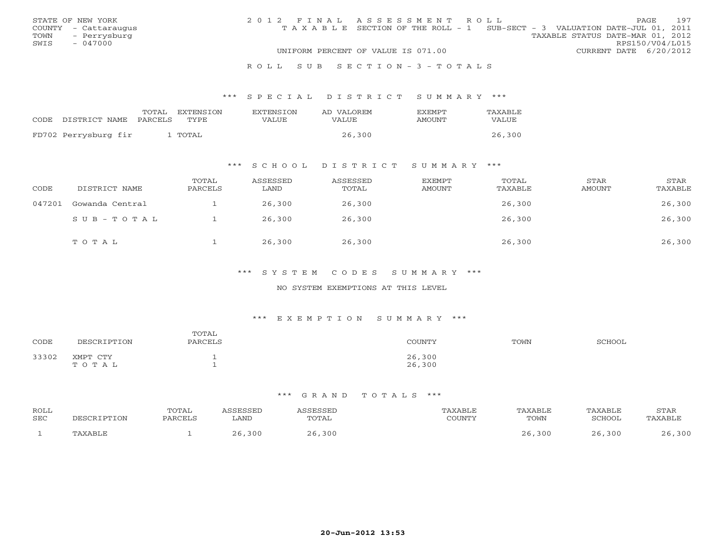|      | STATE OF NEW YORK    | 2012 FINAL ASSESSMENT ROLL |                                                                                |                                  |                        | PAGE. | 197 |
|------|----------------------|----------------------------|--------------------------------------------------------------------------------|----------------------------------|------------------------|-------|-----|
|      | COUNTY - Cattaraugus |                            | T A X A B L E SECTION OF THE ROLL - 1 SUB-SECT - 3 VALUATION DATE-JUL 01, 2011 |                                  |                        |       |     |
| TOWN | - Perrysburg         |                            |                                                                                | TAXABLE STATUS DATE-MAR 01, 2012 |                        |       |     |
| SWIS | $-047000$            |                            |                                                                                |                                  | RPS150/V04/L015        |       |     |
|      |                      |                            | UNIFORM PERCENT OF VALUE IS 071.00                                             |                                  | CURRENT DATE 6/20/2012 |       |     |
|      |                      |                            |                                                                                |                                  |                        |       |     |

#### R O L L S U B S E C T I O N - 3 - T O T A L S

#### \*\*\* S P E C I A L D I S T R I C T S U M M A R Y \*\*\*

|                      | TOTAL   | <b>EXTENSION</b> | <b>EXTENSION</b> | AD VALOREM | <b>FXFMPT</b> | TAXABLE |
|----------------------|---------|------------------|------------------|------------|---------------|---------|
| CODE DISTRICT NAME   | PARCELS | TYPE.            | VALUE            | VALUE      | AMOUNT        | VALUE   |
|                      |         |                  |                  |            |               |         |
| FD702 Perrysburg fir |         | TOTAL            |                  | 26,300     |               | 26,300  |

### \*\*\* S C H O O L D I S T R I C T S U M M A R Y \*\*\*

| CODE   | DISTRICT NAME   | TOTAL<br>PARCELS | ASSESSED<br>LAND | ASSESSED<br>TOTAL | EXEMPT<br>AMOUNT | TOTAL<br>TAXABLE | STAR<br>AMOUNT | STAR<br>TAXABLE |
|--------|-----------------|------------------|------------------|-------------------|------------------|------------------|----------------|-----------------|
| 047201 | Gowanda Central |                  | 26,300           | 26,300            |                  | 26,300           |                | 26,300          |
|        | SUB-TOTAL       |                  | 26,300           | 26,300            |                  | 26,300           |                | 26,300          |
|        | TOTAL           |                  | 26,300           | 26,300            |                  | 26,300           |                | 26,300          |

### \*\*\* S Y S T E M C O D E S S U M M A R Y \*\*\*

### NO SYSTEM EXEMPTIONS AT THIS LEVEL

#### \*\*\* E X E M P T I O N S U M M A R Y \*\*\*

| CODE  | DESCRIPTION       | TOTAL<br>PARCELS | <b>COUNTY</b>    | TOWN | SCHOOL |
|-------|-------------------|------------------|------------------|------|--------|
| 33302 | XMPT CTY<br>TOTAL |                  | 26,300<br>26,300 |      |        |

| <b>ROLL</b><br>SEC | IPTION<br><b>DECCP</b> | TOTAL<br>PARCELS | SSESSED<br>LAND | <i><b>SSESSED</b></i><br>TOTAL | TAXABLE<br>CCTNTMIX<br>$\cdot$ . OUIN 1 $\pm$ | TAXABLE<br>TOWN | TAXABLE<br><b>SCHOOL</b> | STAR<br>PAXABLE |
|--------------------|------------------------|------------------|-----------------|--------------------------------|-----------------------------------------------|-----------------|--------------------------|-----------------|
|                    | AXABLE                 |                  | 300             | 300                            |                                               | 26,300          | ,300                     | , 300           |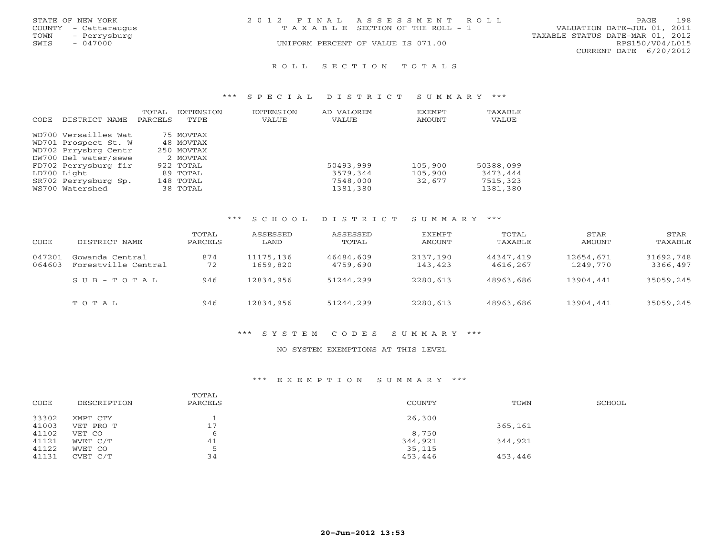|      | STATE OF NEW YORK    | 2012 FINAL ASSESSMENT ROLL         |                                  | <b>PAGE</b>            | 198 |
|------|----------------------|------------------------------------|----------------------------------|------------------------|-----|
|      | COUNTY - Cattaraugus | TAXABLE SECTION OF THE ROLL - 1    | VALUATION DATE-JUL 01, 2011      |                        |     |
| TOWN | - Perrysburg         |                                    | TAXABLE STATUS DATE-MAR 01, 2012 |                        |     |
| SWIS | - 047000             | UNIFORM PERCENT OF VALUE IS 071.00 |                                  | RPS150/V04/L015        |     |
|      |                      |                                    |                                  | CURRENT DATE 6/20/2012 |     |
|      |                      |                                    |                                  |                        |     |

#### R O L L S E C T I O N T O T A L S

### \*\*\* S P E C I A L D I S T R I C T S U M M A R Y \*\*\*

|       |                      | TOTAL   | EXTENSION  | <b>EXTENSION</b> | AD VALOREM | EXEMPT  | TAXABLE   |
|-------|----------------------|---------|------------|------------------|------------|---------|-----------|
| CODE. | DISTRICT NAME        | PARCELS | TYPE       | VALUE            | VALUE      | AMOUNT  | VALUE     |
|       | WD700 Versailles Wat |         | 75 MOVTAX  |                  |            |         |           |
|       | WD701 Prospect St. W |         | 48 MOVTAX  |                  |            |         |           |
|       | WD702 Prrysbrg Centr |         | 250 MOVTAX |                  |            |         |           |
|       | DW700 Del water/sewe |         | 2 MOVTAX   |                  |            |         |           |
|       | FD702 Perrysburg fir |         | 922 TOTAL  |                  | 50493,999  | 105,900 | 50388,099 |
|       | LD700 Light          |         | 89 TOTAL   |                  | 3579,344   | 105,900 | 3473,444  |
|       | SR702 Perrysburg Sp. |         | 148 TOTAL  |                  | 7548,000   | 32,677  | 7515,323  |
|       | WS700 Watershed      |         | 38 TOTAL   |                  | 1381,380   |         | 1381,380  |

### \*\*\* S C H O O L D I S T R I C T S U M M A R Y \*\*\*

| CODE             | DISTRICT NAME                          | TOTAL<br>PARCELS | ASSESSED<br>LAND      | ASSESSED<br>TOTAL     | EXEMPT<br>AMOUNT    | TOTAL<br>TAXABLE      | STAR<br>AMOUNT        | STAR<br>TAXABLE       |
|------------------|----------------------------------------|------------------|-----------------------|-----------------------|---------------------|-----------------------|-----------------------|-----------------------|
| 047201<br>064603 | Gowanda Central<br>Forestville Central | 874<br>72        | 11175,136<br>1659,820 | 46484,609<br>4759,690 | 2137,190<br>143,423 | 44347,419<br>4616,267 | 12654,671<br>1249,770 | 31692,748<br>3366,497 |
|                  | SUB-TOTAL                              | 946              | 12834,956             | 51244,299             | 2280,613            | 48963,686             | 13904,441             | 35059,245             |
|                  | TOTAL                                  | 946              | 12834,956             | 51244,299             | 2280,613            | 48963,686             | 13904,441             | 35059,245             |

### \*\*\* S Y S T E M C O D E S S U M M A R Y \*\*\*

### NO SYSTEM EXEMPTIONS AT THIS LEVEL

### \*\*\* E X E M P T I O N S U M M A R Y \*\*\*

| CODE  | DESCRIPTION | TOTAL<br>PARCELS | <b>COUNTY</b> | TOWN    | SCHOOL |
|-------|-------------|------------------|---------------|---------|--------|
| 33302 | XMPT CTY    |                  | 26,300        |         |        |
| 41003 | VET PRO T   | 17               |               | 365,161 |        |
| 41102 | VET CO      | რ                | 8,750         |         |        |
| 41121 | WVET C/T    | 41               | 344,921       | 344,921 |        |
| 41122 | WVET CO     | ь.               | 35,115        |         |        |
| 41131 | CVET C/T    | 34               | 453,446       | 453,446 |        |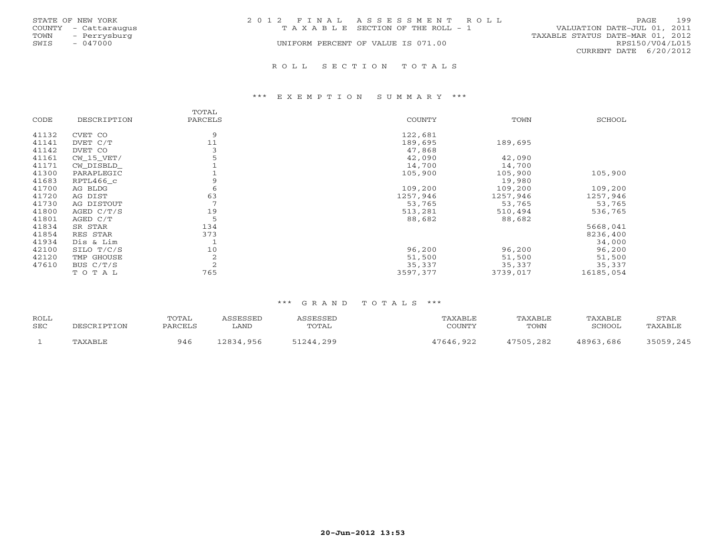| STATE OF NEW YORK    | 2012 FINAL ASSESSMENT ROLL            | 199<br><b>PAGE</b>               |
|----------------------|---------------------------------------|----------------------------------|
| COUNTY - Cattaraugus | T A X A B L E SECTION OF THE ROLL - 1 | VALUATION DATE-JUL 01, 2011      |
| TOWN<br>- Perrysburg |                                       | TAXABLE STATUS DATE-MAR 01, 2012 |
| SWIS<br>- 047000     | UNIFORM PERCENT OF VALUE IS 071.00    | RPS150/V04/L015                  |
|                      |                                       | CURRENT DATE 6/20/2012           |
|                      |                                       |                                  |

R O L L S E C T I O N T O T A L S

### \*\*\* E X E M P T I O N S U M M A R Y \*\*\*

| CODE  | DESCRIPTION  | TOTAL<br>PARCELS | COUNTY   | TOWN     | SCHOOL    |
|-------|--------------|------------------|----------|----------|-----------|
| 41132 | CVET CO      | 9                | 122,681  |          |           |
| 41141 | DVET C/T     | 11               | 189,695  | 189,695  |           |
| 41142 | DVET CO      |                  | 47,868   |          |           |
| 41161 | $CW_15_VET/$ |                  | 42,090   | 42,090   |           |
| 41171 | CW DISBLD    |                  | 14,700   | 14,700   |           |
| 41300 | PARAPLEGIC   |                  | 105,900  | 105,900  | 105,900   |
| 41683 | RPTL466 c    | 9                |          | 19,980   |           |
| 41700 | AG BLDG      | 6                | 109,200  | 109,200  | 109,200   |
| 41720 | AG DIST      | 63               | 1257,946 | 1257,946 | 1257,946  |
| 41730 | AG DISTOUT   |                  | 53,765   | 53,765   | 53,765    |
| 41800 | AGED C/T/S   | 19               | 513,281  | 510,494  | 536,765   |
| 41801 | AGED C/T     | 5                | 88,682   | 88,682   |           |
| 41834 | SR STAR      | 134              |          |          | 5668,041  |
| 41854 | RES STAR     | 373              |          |          | 8236,400  |
| 41934 | Dis & Lim    |                  |          |          | 34,000    |
| 42100 | SILO T/C/S   | 10               | 96,200   | 96,200   | 96,200    |
| 42120 | TMP GHOUSE   | 2                | 51,500   | 51,500   | 51,500    |
| 47610 | BUS C/T/S    | 2                | 35,337   | 35,337   | 35,337    |
|       | TOTAL        | 765              | 3597,377 | 3739,017 | 16185,054 |

| ROLL<br>SEC | DESCRIPTION | TOTAL<br>PARCELS | <i><b>\SSESSED</b></i><br>LAND | ASSESSED<br><b>TOTAL</b> | TAXABLE<br>COUNTY | TAXABLE<br>TOWN | TAXABLE<br>SCHOOL | STAR<br>TAXABLE |
|-------------|-------------|------------------|--------------------------------|--------------------------|-------------------|-----------------|-------------------|-----------------|
|             | TAXABLE     | 946              | 12834,956                      | 51244,299                | 47646,922         | 47505,282       | 48963,686         | 35059,245       |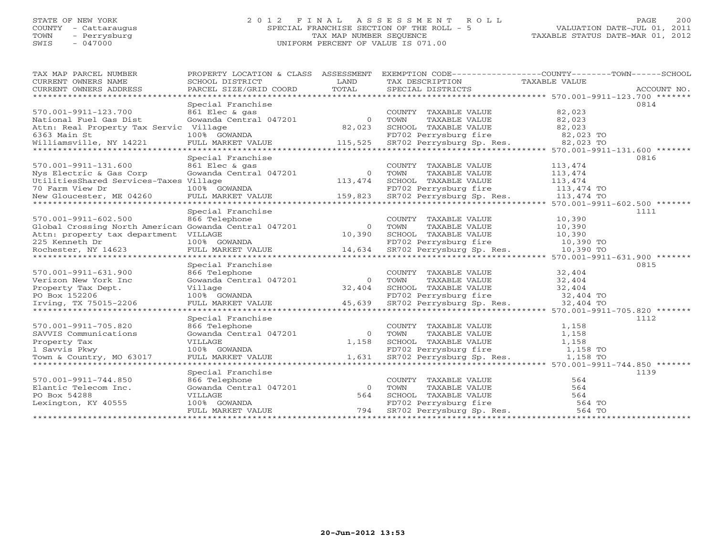# STATE OF NEW YORK 2 0 1 2 F I N A L A S S E S S M E N T R O L L PAGE 200 COUNTY - Cattaraugus SPECIAL FRANCHISE SECTION OF THE ROLL - 5 VALUATION DATE-JUL 01, 2011 TOWN - Perrysburg TAX MAP NUMBER SEQUENCE TAXABLE STATUS DATE-MAR 01, 2012 SWIS - 047000 UNIFORM PERCENT OF VALUE IS 071.00UNIFORM PERCENT OF VALUE IS 071.00

| TAX MAP PARCEL NUMBER<br>CURRENT OWNERS NAME          | PROPERTY LOCATION & CLASS ASSESSMENT<br>SCHOOL DISTRICT | LAND     | EXEMPTION CODE-----------------COUNTY-------TOWN------SCHOOL<br>TAX DESCRIPTION | TAXABLE VALUE |             |
|-------------------------------------------------------|---------------------------------------------------------|----------|---------------------------------------------------------------------------------|---------------|-------------|
| CURRENT OWNERS ADDRESS                                | PARCEL SIZE/GRID COORD                                  | TOTAL    | SPECIAL DISTRICTS                                                               |               | ACCOUNT NO. |
|                                                       |                                                         |          |                                                                                 |               |             |
|                                                       | Special Franchise                                       |          |                                                                                 |               | 0814        |
| 570.001-9911-123.700                                  | 861 Elec & gas                                          |          | COUNTY TAXABLE VALUE                                                            | 82,023        |             |
| National Fuel Gas Dist                                | Gowanda Central 047201                                  | $\Omega$ | TOWN<br>TAXABLE VALUE                                                           | 82,023        |             |
| Attn: Real Property Tax Servic Village                |                                                         | 82,023   | SCHOOL TAXABLE VALUE                                                            | 82,023        |             |
| 6363 Main St                                          | 100% GOWANDA                                            |          | FD702 Perrysburg fire                                                           | 82,023 TO     |             |
| Williamsville, NY 14221                               | FULL MARKET VALUE                                       | 115,525  | SR702 Perrysburg Sp. Res.                                                       | 82,023 TO     |             |
|                                                       |                                                         |          | ********************************* 570.001-9911-131.600 *******                  |               |             |
|                                                       | Special Franchise                                       |          |                                                                                 |               | 0816        |
| 570.001-9911-131.600                                  | 861 Elec & gas                                          |          | COUNTY TAXABLE VALUE                                                            | 113,474       |             |
| Nys Electric & Gas Corp                               | Gowanda Central 047201                                  | $\Omega$ | TOWN<br>TAXABLE VALUE                                                           | 113,474       |             |
| UtilitiesShared Services-Taxes Village                |                                                         | 113,474  | SCHOOL TAXABLE VALUE                                                            | 113,474       |             |
| 70 Farm View Dr                                       | 100% GOWANDA                                            |          | FD702 Perrysburg fire                                                           | 113,474 TO    |             |
| New Gloucester, ME 04260                              | FULL MARKET VALUE                                       | 159,823  | SR702 Perrysburg Sp. Res.                                                       | 113,474 TO    |             |
|                                                       |                                                         |          |                                                                                 |               |             |
|                                                       | Special Franchise                                       |          |                                                                                 |               | 1111        |
| 570.001-9911-602.500                                  | 866 Telephone                                           |          | COUNTY TAXABLE VALUE                                                            | 10,390        |             |
| Global Crossing North American Gowanda Central 047201 |                                                         | $\Omega$ | TOWN<br>TAXABLE VALUE                                                           | 10,390        |             |
| Attn: property tax department VILLAGE                 |                                                         | 10,390   | SCHOOL TAXABLE VALUE                                                            | 10,390        |             |
| 225 Kenneth Dr                                        | 100% GOWANDA                                            |          | FD702 Perrysburg fire                                                           | 10,390 TO     |             |
| Rochester, NY 14623                                   | FULL MARKET VALUE                                       | 14,634   | SR702 Perrysburg Sp. Res.                                                       | 10,390 TO     |             |
|                                                       |                                                         |          |                                                                                 |               |             |
|                                                       | Special Franchise                                       |          |                                                                                 |               | 0815        |
| 570.001-9911-631.900                                  | 866 Telephone                                           |          | COUNTY TAXABLE VALUE                                                            | 32,404        |             |
| Verizon New York Inc                                  | Gowanda Central 047201                                  | $\Omega$ | TAXABLE VALUE<br>TOWN                                                           | 32,404        |             |
| Property Tax Dept.                                    | Village                                                 | 32,404   | SCHOOL TAXABLE VALUE                                                            | 32,404        |             |
| PO Box 152206                                         | 100% GOWANDA                                            |          | FD702 Perrysburg fire                                                           | 32,404 TO     |             |
| Irving, TX 75015-2206                                 | FULL MARKET VALUE                                       | 45,639   | SR702 Perrysburg Sp. Res.                                                       | 32,404 TO     |             |
| ***************************                           |                                                         |          |                                                                                 |               |             |
|                                                       | Special Franchise                                       |          |                                                                                 |               | 1112        |
| 570.001-9911-705.820                                  | 866 Telephone                                           |          | COUNTY TAXABLE VALUE                                                            | 1,158         |             |
| SAVVIS Communications                                 | Gowanda Central 047201                                  | $\Omega$ | TOWN<br>TAXABLE VALUE                                                           | 1,158         |             |
| Property Tax                                          | VILLAGE                                                 | 1,158    | SCHOOL TAXABLE VALUE                                                            | 1,158         |             |
| 1 Savvis Pkwy                                         | 100% GOWANDA                                            |          | FD702 Perrysburg fire                                                           | 1,158 TO      |             |
| Town & Country, MO 63017                              | FULL MARKET VALUE                                       | 1,631    | SR702 Perrysburg Sp. Res.                                                       | 1,158 TO      |             |
| *************************                             | *****************************                           |          | ********************************** 570.001-9911-744.850 *******                 |               |             |
|                                                       | Special Franchise                                       |          |                                                                                 |               | 1139        |
| 570.001-9911-744.850                                  | 866 Telephone                                           |          | COUNTY TAXABLE VALUE                                                            | 564           |             |
| Elantic Telecom Inc.                                  | Gowanda Central 047201                                  | $\Omega$ | TOWN<br>TAXABLE VALUE                                                           | 564           |             |
| PO Box 54288                                          | VILLAGE                                                 | 564      | SCHOOL TAXABLE VALUE                                                            | 564           |             |
| Lexington, KY 40555                                   | 100% GOWANDA                                            |          | FD702 Perrysburg fire                                                           | 564 TO        |             |
|                                                       | FULL MARKET VALUE                                       | 794      | SR702 Perrysburg Sp. Res.                                                       | 564 TO        |             |
|                                                       |                                                         |          |                                                                                 |               |             |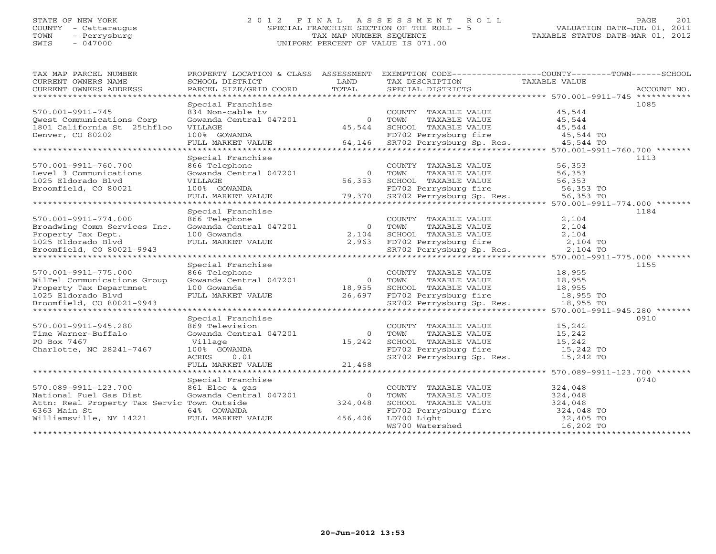# STATE OF NEW YORK 2 0 1 2 F I N A L A S S E S S M E N T R O L L PAGE 201 COUNTY - Cattaraugus SPECIAL FRANCHISE SECTION OF THE ROLL - 5 VALUATION DATE-JUL 01, 2011 TOWN - Perrysburg TAX MAP NUMBER SEQUENCE TAXABLE STATUS DATE-MAR 01, 2012 SWIS - 047000 UNIFORM PERCENT OF VALUE IS 071.00

| TAX MAP PARCEL NUMBER<br>CURRENT OWNERS NAME         | PROPERTY LOCATION & CLASS ASSESSMENT<br>SCHOOL DISTRICT | LAND             | TAX DESCRIPTION                                                                                       | EXEMPTION CODE----------------COUNTY-------TOWN------SCHOOL |
|------------------------------------------------------|---------------------------------------------------------|------------------|-------------------------------------------------------------------------------------------------------|-------------------------------------------------------------|
| CURRENT OWNERS ADDRESS                               | PARCEL SIZE/GRID COORD                                  | TOTAL            | SPECIAL DISTRICTS                                                                                     | TAXABLE VALUE<br>ACCOUNT NO.                                |
|                                                      |                                                         |                  |                                                                                                       |                                                             |
|                                                      | Special Franchise                                       |                  |                                                                                                       | 1085                                                        |
| 570.001-9911-745                                     | 834 Non-cable tv                                        |                  | COUNTY TAXABLE VALUE                                                                                  | 45,544                                                      |
| Qwest Communications Corp                            | Gowanda Central 047201                                  | $\circ$          | TAXABLE VALUE<br>TOWN                                                                                 | 45,544                                                      |
| 1801 California St 25thfloo                          | VILLAGE                                                 | 45,544           | SCHOOL TAXABLE VALUE                                                                                  | 45,544                                                      |
| Denver, CO 80202                                     | 100% GOWANDA                                            |                  | FD702 Perrysburg fire 45,544 TO<br>SR702 Perrysburg Sp. Res. 45,544 TO                                |                                                             |
|                                                      | FULL MARKET VALUE                                       | 64,146           |                                                                                                       |                                                             |
|                                                      |                                                         |                  |                                                                                                       |                                                             |
|                                                      | Special Franchise                                       |                  |                                                                                                       | 1113                                                        |
| 570.001-9911-760.700                                 | 866 Telephone                                           |                  | COUNTY TAXABLE VALUE                                                                                  | 56,353                                                      |
| Level 3 Communications                               | Gowanda Central 047201                                  | $\circ$          | TAXABLE VALUE<br>TOWN                                                                                 | 56,353                                                      |
| 1025 Eldorado Blyd                                   | VILLAGE                                                 | 56,353           | SCHOOL TAXABLE VALUE                                                                                  |                                                             |
| Broomfield, CO 80021                                 | 100% GOWANDA                                            |                  | SCHOOL TAXABLE VALUE 56,353<br>FD702 Perrysburg fire 56,353 TO<br>SR702 Perrysburg Sp. Res. 56,353 TO |                                                             |
|                                                      | FULL MARKET VALUE                                       | 79,370           |                                                                                                       |                                                             |
|                                                      | Special Franchise                                       |                  |                                                                                                       | 1184                                                        |
|                                                      |                                                         |                  |                                                                                                       |                                                             |
| 570.001-9911-774.000<br>Broadwing Comm Services Inc. | 866 Telephone<br>Gowanda Central 047201                 | $\circ$          | COUNTY TAXABLE VALUE<br>TOWN<br>TAXABLE VALUE                                                         | 2,104<br>2,104                                              |
|                                                      | 100 Gowanda                                             | 2,104            |                                                                                                       |                                                             |
| Property Tax Dept.                                   |                                                         | 2,963            | SCHOOL TAXABLE VALUE<br>FD702 Perrysburg fire                                                         | 2,104                                                       |
| 1025 Eldorado Blvd<br>Broomfield, CO 80021-9943      | FULL MARKET VALUE                                       |                  | SR702 Perrysburg Sp. Res.                                                                             | 2,104 TO<br>2,104 TO                                        |
|                                                      |                                                         |                  |                                                                                                       |                                                             |
|                                                      | Special Franchise                                       |                  |                                                                                                       | 1155                                                        |
| 570.001-9911-775.000                                 | 866 Telephone                                           |                  | COUNTY TAXABLE VALUE                                                                                  | 18,955                                                      |
| WilTel Communications Group                          | Gowanda Central 047201                                  | $\overline{0}$   | TAXABLE VALUE<br>TOWN                                                                                 | 18,955                                                      |
| Property Tax Departmnet                              | 100 Gowanda                                             |                  | SCHOOL TAXABLE VALUE                                                                                  | 18,955                                                      |
| 1025 Eldorado Blvd                                   | FULL MARKET VALUE                                       | 18,955<br>26,697 | FD702 Perrysburg fire                                                                                 | $18,955$ TO                                                 |
| Broomfield, CO 80021-9943                            |                                                         |                  | SR702 Perrysburg Sp. Res.                                                                             | 18,955 TO                                                   |
|                                                      |                                                         |                  |                                                                                                       |                                                             |
|                                                      | Special Franchise                                       |                  |                                                                                                       | 0910                                                        |
| 570.001-9911-945.280                                 | 869 Television                                          |                  | COUNTY TAXABLE VALUE                                                                                  | 15,242                                                      |
| Time Warner-Buffalo                                  | Gowanda Central 047201                                  | $\circ$          | TAXABLE VALUE<br>TOWN                                                                                 | 15,242                                                      |
| PO Box 7467                                          | Village                                                 | 15,242           | SCHOOL TAXABLE VALUE                                                                                  | 15,242                                                      |
| Charlotte, NC 28241-7467                             | 100% GOWANDA                                            |                  | FD702 Perrysburg fire                                                                                 | 15,242 TO                                                   |
|                                                      | ACRES<br>0.01                                           |                  | SR702 Perrysburg Sp. Res. 15,242 TO                                                                   |                                                             |
|                                                      | FULL MARKET VALUE                                       | 21,468           |                                                                                                       |                                                             |
|                                                      |                                                         |                  |                                                                                                       |                                                             |
|                                                      | Special Franchise                                       |                  |                                                                                                       | 0740                                                        |
| 570.089-9911-123.700                                 | 861 Elec & gas                                          |                  | COUNTY TAXABLE VALUE                                                                                  | 324,048                                                     |
| National Fuel Gas Dist                               | Gowanda Central 047201                                  | $\Omega$         | TOWN<br>TAXABLE VALUE                                                                                 | 324,048                                                     |
| Attn: Real Property Tax Servic Town Outside          |                                                         | 324,048          | SCHOOL TAXABLE VALUE                                                                                  | 324,048                                                     |
| 6363 Main St                                         | 64% GOWANDA                                             |                  | FD702 Perrysburg fire                                                                                 | 324,048 TO                                                  |
| Williamsville, NY 14221                              | FULL MARKET VALUE                                       | 456,406          | LD700 Light                                                                                           | 32,405 TO                                                   |
|                                                      |                                                         |                  | WS700 Watershed                                                                                       | 16,202 TO                                                   |
|                                                      |                                                         |                  |                                                                                                       |                                                             |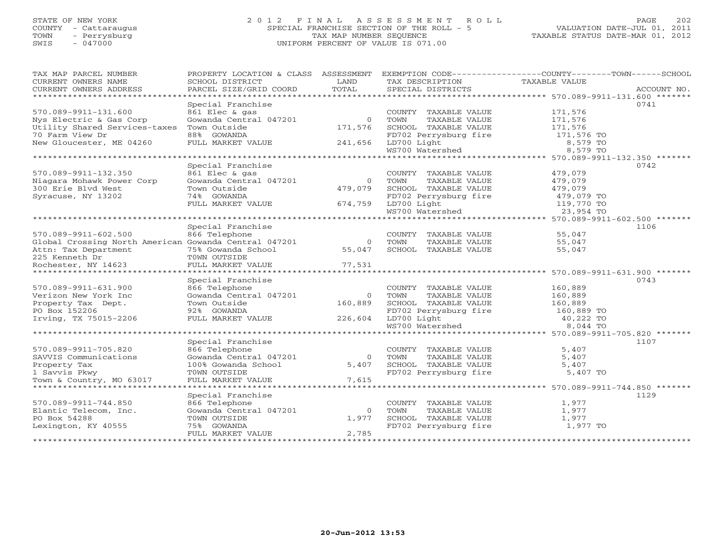# STATE OF NEW YORK 2 0 1 2 F I N A L A S S E S S M E N T R O L L PAGE 202 COUNTY - Cattaraugus SPECIAL FRANCHISE SECTION OF THE ROLL - 5 VALUATION DATE-JUL 01, 2011 TOWN - Perrysburg TAX MAP NUMBER SEQUENCE TAXABLE STATUS DATE-MAR 01, 2012 SWIS - 047000 UNIFORM PERCENT OF VALUE IS 071.00UNIFORM PERCENT OF VALUE IS 071.00

| TAX MAP PARCEL NUMBER<br>CURRENT OWNERS NAME<br>CURRENT OWNERS ADDRESS | PROPERTY LOCATION & CLASS<br>SCHOOL DISTRICT<br>PARCEL SIZE/GRID COORD | ASSESSMENT<br>LAND<br>TOTAL | TAX DESCRIPTION<br>SPECIAL DISTRICTS | EXEMPTION CODE-----------------COUNTY-------TOWN------SCHOOL<br>TAXABLE VALUE<br>ACCOUNT NO. |
|------------------------------------------------------------------------|------------------------------------------------------------------------|-----------------------------|--------------------------------------|----------------------------------------------------------------------------------------------|
| *************************                                              |                                                                        |                             |                                      |                                                                                              |
|                                                                        | Special Franchise                                                      |                             |                                      | 0741                                                                                         |
| 570.089-9911-131.600                                                   | 861 Elec & gas                                                         |                             | COUNTY TAXABLE VALUE                 | 171,576                                                                                      |
| Nys Electric & Gas Corp                                                | Gowanda Central 047201                                                 | $\Omega$                    | TOWN<br>TAXABLE VALUE                | 171,576                                                                                      |
| Utility Shared Services-taxes                                          | Town Outside                                                           | 171,576                     | SCHOOL TAXABLE VALUE                 | 171,576                                                                                      |
| 70 Farm View Dr                                                        | 88% GOWANDA                                                            |                             | FD702 Perrysburg fire                | 171,576 TO                                                                                   |
| New Gloucester, ME 04260                                               | FULL MARKET VALUE                                                      | 241,656                     | LD700 Light                          | 8,579 TO                                                                                     |
|                                                                        |                                                                        |                             | WS700 Watershed                      | 8,579 TO                                                                                     |
|                                                                        |                                                                        |                             |                                      |                                                                                              |
|                                                                        | Special Franchise                                                      |                             |                                      | 0742                                                                                         |
| 570.089-9911-132.350                                                   | 861 Elec & gas<br>Gowanda Central 047201                               |                             | COUNTY TAXABLE VALUE                 | 479,079                                                                                      |
| Niagara Mohawk Power Corp                                              |                                                                        | $\overline{O}$              | TOWN<br>TAXABLE VALUE                | 479,079                                                                                      |
| 300 Erie Blvd West                                                     | Town Outside                                                           | 479,079                     | SCHOOL TAXABLE VALUE                 | 479,079                                                                                      |
| Syracuse, NY 13202                                                     | 74% GOWANDA                                                            | 674,759                     | FD702 Perrysburg fire<br>LD700 Light | 479,079 TO                                                                                   |
|                                                                        | FULL MARKET VALUE                                                      |                             | LD700 Light<br>WS700 Watershed       | 119,770 TO<br>23,954 TO                                                                      |
|                                                                        |                                                                        |                             |                                      | ********************************* 570.089-9911-602.500 *******                               |
|                                                                        | Special Franchise                                                      |                             |                                      | 1106                                                                                         |
| 570.089-9911-602.500                                                   | 866 Telephone                                                          |                             | COUNTY TAXABLE VALUE                 | 55,047                                                                                       |
| Global Crossing North American Gowanda Central 047201                  |                                                                        | $\circ$                     | TOWN<br>TAXABLE VALUE                | 55,047                                                                                       |
| Attn: Tax Department                                                   | 75% Gowanda School                                                     | 55,047                      | SCHOOL TAXABLE VALUE                 | 55,047                                                                                       |
| 225 Kenneth Dr                                                         | TOWN OUTSIDE                                                           |                             |                                      |                                                                                              |
| Rochester, NY 14623                                                    | FULL MARKET VALUE                                                      | 77,531                      |                                      |                                                                                              |
|                                                                        |                                                                        |                             |                                      |                                                                                              |
|                                                                        | Special Franchise                                                      |                             |                                      | 0743                                                                                         |
| 570.089-9911-631.900                                                   | 866 Telephone                                                          |                             | COUNTY TAXABLE VALUE                 | 160,889                                                                                      |
| Verizon New York Inc                                                   | Gowanda Central 047201                                                 | $\overline{0}$              | TOWN<br>TAXABLE VALUE                | 160,889                                                                                      |
| Property Tax Dept.                                                     | Town Outside                                                           | 160,889                     | SCHOOL TAXABLE VALUE                 | 160,889                                                                                      |
| PO Box 152206                                                          | 92% GOWANDA                                                            |                             |                                      | 160,889 TO                                                                                   |
| Irving, TX 75015-2206                                                  | FULL MARKET VALUE                                                      | 226,604                     | FD702 Perrysburg fire<br>LD700 Light | 40,222 TO                                                                                    |
|                                                                        |                                                                        |                             | WS700 Watershed                      | 8,044 TO                                                                                     |
|                                                                        |                                                                        |                             |                                      | ********************************** 570.089-9911-705.820 *******                              |
|                                                                        | Special Franchise                                                      |                             |                                      | 1107                                                                                         |
| 570.089-9911-705.820                                                   | 866 Telephone                                                          |                             | COUNTY TAXABLE VALUE                 | 5,407                                                                                        |
| SAVVIS Communications                                                  | Gowanda Central 047201                                                 | $\bigcirc$                  | TOWN<br>TAXABLE VALUE                | 5,407                                                                                        |
| Property Tax                                                           | 100% Gowanda School                                                    | 5,407                       | SCHOOL TAXABLE VALUE                 | 5,407                                                                                        |
| 1 Savvis Pkwy                                                          | TOWN OUTSIDE                                                           |                             | FD702 Perrysburg fire                | 5,407 TO                                                                                     |
| Town & Country, MO 63017                                               | FULL MARKET VALUE                                                      | 7,615                       |                                      |                                                                                              |
|                                                                        |                                                                        |                             |                                      |                                                                                              |
|                                                                        | Special Franchise                                                      |                             |                                      | 1129                                                                                         |
| 570.089-9911-744.850                                                   | 866 Telephone                                                          |                             | COUNTY TAXABLE VALUE                 | 1,977                                                                                        |
| Elantic Telecom, Inc.                                                  | Gowanda Central 047201                                                 | $\Omega$                    | TOWN<br>TAXABLE VALUE                | 1,977                                                                                        |
| PO Box 54288                                                           | TOWN OUTSIDE                                                           | 1,977                       | SCHOOL TAXABLE VALUE                 | 1,977                                                                                        |
| Lexington, KY 40555                                                    | 75% GOWANDA                                                            |                             | FD702 Perrysburg fire                | 1,977 TO                                                                                     |
|                                                                        | FULL MARKET VALUE                                                      | 2,785                       |                                      |                                                                                              |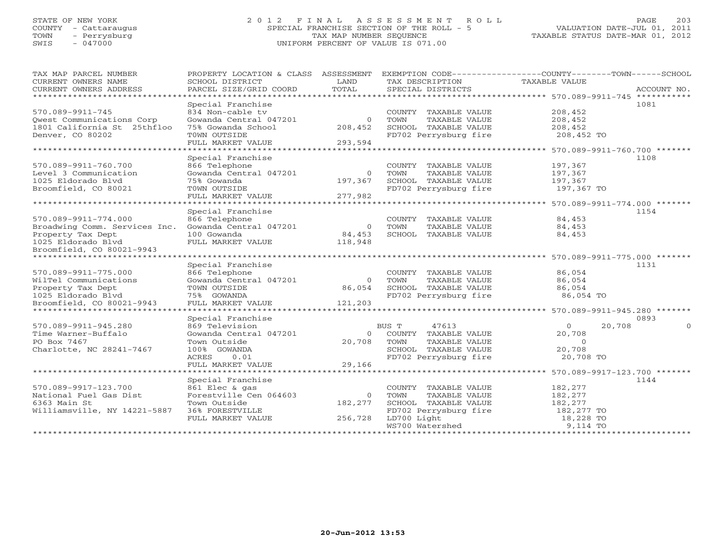# STATE OF NEW YORK 2 0 1 2 F I N A L A S S E S S M E N T R O L L PAGE 203 COUNTY - Cattaraugus SPECIAL FRANCHISE SECTION OF THE ROLL - 5 VALUATION DATE-JUL 01, 2011 TOWN - Perrysburg TAX MAP NUMBER SEQUENCE TAXABLE STATUS DATE-MAR 01, 2012 SWIS - 047000 UNIFORM PERCENT OF VALUE IS 071.00UNIFORM PERCENT OF VALUE IS 071.00

| TAX MAP PARCEL NUMBER<br>CURRENT OWNERS NAME         | PROPERTY LOCATION & CLASS ASSESSMENT<br>SCHOOL DISTRICT | LAND     | TAX DESCRIPTION       | EXEMPTION CODE-----------------COUNTY-------TOWN------SCHOOL<br><b>TAXABLE VALUE</b> |
|------------------------------------------------------|---------------------------------------------------------|----------|-----------------------|--------------------------------------------------------------------------------------|
| CURRENT OWNERS ADDRESS<br>************************** | PARCEL SIZE/GRID COORD                                  | TOTAL    | SPECIAL DISTRICTS     | ACCOUNT NO.                                                                          |
|                                                      | Special Franchise                                       |          |                       | 1081                                                                                 |
| 570.089-9911-745                                     | 834 Non-cable ty                                        |          | COUNTY TAXABLE VALUE  | 208,452                                                                              |
| Qwest Communications Corp                            | Gowanda Central 047201                                  | $\circ$  | TOWN<br>TAXABLE VALUE | 208,452                                                                              |
| 1801 California St 25thfloo                          | 75% Gowanda School                                      | 208,452  | SCHOOL TAXABLE VALUE  | 208,452                                                                              |
| Denver, CO 80202                                     | TOWN OUTSIDE                                            |          | FD702 Perrysburg fire | 208,452 TO                                                                           |
|                                                      | FULL MARKET VALUE                                       | 293,594  |                       |                                                                                      |
| ******************************                       |                                                         |          |                       |                                                                                      |
|                                                      | Special Franchise                                       |          |                       | 1108                                                                                 |
| 570.089-9911-760.700                                 | 866 Telephone                                           |          | COUNTY TAXABLE VALUE  | 197,367                                                                              |
| Level 3 Communication                                | Gowanda Central 047201                                  | $\circ$  | TOWN<br>TAXABLE VALUE | 197,367                                                                              |
| 1025 Eldorado Blyd                                   | 75% Gowanda                                             | 197,367  | SCHOOL TAXABLE VALUE  | 197,367                                                                              |
| Broomfield, CO 80021                                 | TOWN OUTSIDE                                            |          | FD702 Perrysburg fire | 197,367 TO                                                                           |
|                                                      | FULL MARKET VALUE                                       | 277,982  |                       |                                                                                      |
| *****************************                        |                                                         |          |                       |                                                                                      |
|                                                      | Special Franchise                                       |          |                       | 1154                                                                                 |
| 570.089-9911-774.000                                 | 866 Telephone                                           |          | COUNTY TAXABLE VALUE  | 84,453                                                                               |
| Broadwing Comm. Services Inc.                        | Gowanda Central 047201                                  | $\circ$  | TOWN<br>TAXABLE VALUE | 84,453                                                                               |
| Property Tax Dept                                    | 100 Gowanda                                             | 84,453   | SCHOOL TAXABLE VALUE  | 84,453                                                                               |
| 1025 Eldorado Blyd                                   | FULL MARKET VALUE                                       | 118,948  |                       |                                                                                      |
| Broomfield, CO 80021-9943                            |                                                         |          |                       |                                                                                      |
| ******************************                       |                                                         |          |                       |                                                                                      |
|                                                      | Special Franchise                                       |          |                       | 1131                                                                                 |
| 570.089-9911-775.000                                 | 866 Telephone                                           |          | COUNTY TAXABLE VALUE  | 86,054                                                                               |
| WilTel Communications                                | Gowanda Central 047201                                  | $\Omega$ | TOWN<br>TAXABLE VALUE | 86,054                                                                               |
| Property Tax Dept                                    | TOWN OUTSIDE                                            | 86,054   | SCHOOL TAXABLE VALUE  | 86,054                                                                               |
| 1025 Eldorado Blvd                                   | 75% GOWANDA                                             |          | FD702 Perrysburg fire | 86,054 TO                                                                            |
| Broomfield, CO 80021-9943                            | FULL MARKET VALUE                                       | 121,203  |                       |                                                                                      |
| *****************************                        |                                                         |          |                       |                                                                                      |
|                                                      | Special Franchise                                       |          |                       | 0893                                                                                 |
| 570.089-9911-945.280                                 | 869 Television                                          |          | BUS T<br>47613        | $\circ$<br>20,708<br>$\Omega$                                                        |
| Time Warner-Buffalo                                  | Gowanda Central 047201                                  | $\Omega$ | COUNTY TAXABLE VALUE  | 20,708                                                                               |
| PO Box 7467                                          | Town Outside                                            | 20,708   | TOWN<br>TAXABLE VALUE | $\overline{O}$                                                                       |
| Charlotte, NC 28241-7467                             | 100% GOWANDA                                            |          | SCHOOL TAXABLE VALUE  | 20,708                                                                               |
|                                                      | ACRES<br>0.01                                           |          | FD702 Perrysburg fire | 20,708 TO                                                                            |
|                                                      | FULL MARKET VALUE                                       | 29,166   |                       |                                                                                      |
|                                                      |                                                         |          |                       |                                                                                      |
|                                                      | Special Franchise                                       |          |                       | 1144                                                                                 |
| 570.089-9917-123.700                                 | 861 Elec & gas                                          |          | COUNTY TAXABLE VALUE  | 182,277                                                                              |
| National Fuel Gas Dist                               | Forestville Cen 064603                                  | $\Omega$ | TOWN<br>TAXABLE VALUE | 182,277                                                                              |
| 6363 Main St                                         | Town Outside                                            | 182,277  | SCHOOL TAXABLE VALUE  | 182,277                                                                              |
| Williamsville, NY 14221-5887                         | 36% FORESTVILLE                                         |          | FD702 Perrysburg fire | 182,277 TO                                                                           |
|                                                      | FULL MARKET VALUE                                       | 256,728  | LD700 Light           | 18,228 TO                                                                            |
|                                                      |                                                         |          | WS700 Watershed       | 9,114 TO                                                                             |
|                                                      |                                                         |          |                       |                                                                                      |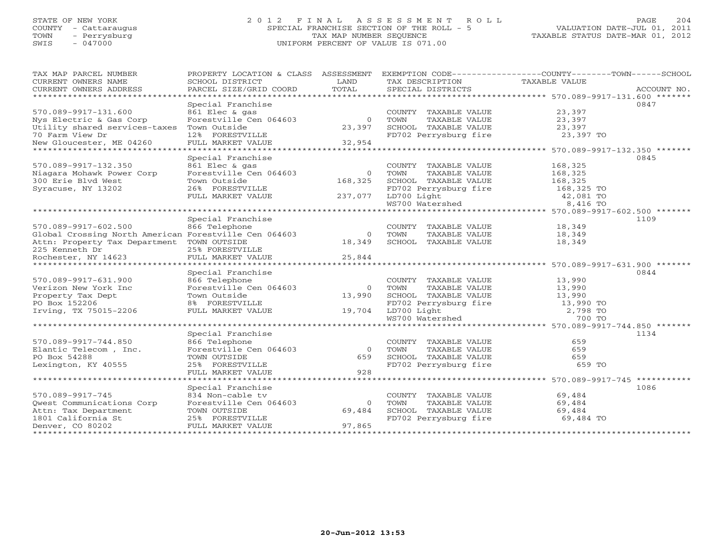# STATE OF NEW YORK 2 0 1 2 F I N A L A S S E S S M E N T R O L L PAGE 204 COUNTY - Cattaraugus SPECIAL FRANCHISE SECTION OF THE ROLL - 5 VALUATION DATE-JUL 01, 2011 TOWN - Perrysburg TAX MAP NUMBER SEQUENCE TAXABLE STATUS DATE-MAR 01, 2012 SWIS - 047000 UNIFORM PERCENT OF VALUE IS 071.00

| TAX MAP PARCEL NUMBER<br>CURRENT OWNERS NAME          | PROPERTY LOCATION & CLASS ASSESSMENT<br>SCHOOL DISTRICT | LAND     | TAX DESCRIPTION       | EXEMPTION CODE-----------------COUNTY-------TOWN------SCHOOL<br>TAXABLE VALUE |
|-------------------------------------------------------|---------------------------------------------------------|----------|-----------------------|-------------------------------------------------------------------------------|
| CURRENT OWNERS ADDRESS                                | PARCEL SIZE/GRID COORD                                  | TOTAL    | SPECIAL DISTRICTS     | ACCOUNT NO.                                                                   |
|                                                       |                                                         |          |                       |                                                                               |
|                                                       | Special Franchise                                       |          |                       | 0847                                                                          |
| 570.089-9917-131.600                                  | 861 Elec & gas                                          |          | COUNTY TAXABLE VALUE  | 23,397                                                                        |
| Nys Electric & Gas Corp                               | Forestville Cen 064603                                  | $\Omega$ | TOWN<br>TAXABLE VALUE | 23,397                                                                        |
| Utility shared services-taxes                         | Town Outside                                            | 23,397   | SCHOOL TAXABLE VALUE  | 23,397                                                                        |
| 70 Farm View Dr                                       | 12% FORESTVILLE                                         |          | FD702 Perrysburg fire | 23,397 TO                                                                     |
| New Gloucester, ME 04260                              | FULL MARKET VALUE                                       | 32,954   |                       |                                                                               |
|                                                       |                                                         |          |                       |                                                                               |
|                                                       | Special Franchise                                       |          |                       | 0845                                                                          |
| 570.089-9917-132.350                                  | 861 Elec & gas                                          |          | COUNTY TAXABLE VALUE  | 168,325                                                                       |
| Niagara Mohawk Power Corp                             | Forestville Cen 064603                                  | $\Omega$ | TOWN<br>TAXABLE VALUE | 168,325                                                                       |
| 300 Erie Blvd West                                    | Town Outside                                            | 168,325  | SCHOOL TAXABLE VALUE  | 168,325                                                                       |
| Syracuse, NY 13202                                    | 26% FORESTVILLE                                         |          | FD702 Perrysburg fire | 168,325 TO                                                                    |
|                                                       | FULL MARKET VALUE                                       | 237,077  | LD700 Light           | 42,081 TO                                                                     |
|                                                       |                                                         |          | WS700 Watershed       | 8,416 TO                                                                      |
|                                                       |                                                         |          |                       | ********************************* 570.089-9917-602.500 *******                |
|                                                       | Special Franchise                                       |          |                       | 1109                                                                          |
| 570.089-9917-602.500                                  | 866 Telephone                                           |          | COUNTY TAXABLE VALUE  | 18,349                                                                        |
| Global Crossing North American Forestville Cen 064603 |                                                         | $\circ$  | TOWN<br>TAXABLE VALUE | 18,349                                                                        |
| Attn: Property Tax Department TOWN OUTSIDE            |                                                         | 18,349   | SCHOOL TAXABLE VALUE  | 18,349                                                                        |
| 225 Kenneth Dr                                        | 25% FORESTVILLE                                         |          |                       |                                                                               |
| Rochester, NY 14623                                   |                                                         |          |                       |                                                                               |
|                                                       |                                                         |          |                       |                                                                               |
|                                                       | Special Franchise                                       |          |                       | 0844                                                                          |
| 570.089-9917-631.900                                  | 866 Telephone                                           |          | COUNTY TAXABLE VALUE  | 13,990                                                                        |
| Verizon New York Inc                                  | Forestville Cen 064603                                  | $\Omega$ | TOWN<br>TAXABLE VALUE | 13,990                                                                        |
| Property Tax Dept                                     | Town Outside                                            | 13,990   | SCHOOL TAXABLE VALUE  | 13,990                                                                        |
| PO Box 152206                                         | 8% FORESTVILLE                                          |          | FD702 Perrysburg fire | 13,990 TO                                                                     |
| Irving, TX 75015-2206                                 | FULL MARKET VALUE                                       | 19,704   | LD700 Light           | 2,798 TO                                                                      |
|                                                       |                                                         |          | WS700 Watershed       | 700 TO                                                                        |
|                                                       |                                                         |          |                       |                                                                               |
|                                                       | Special Franchise                                       |          |                       | 1134                                                                          |
| 570.089-9917-744.850                                  | 866 Telephone                                           |          | COUNTY TAXABLE VALUE  | 659                                                                           |
| Elantic Telecom, Inc.                                 | Forestville Cen 064603                                  | $\Omega$ | TOWN<br>TAXABLE VALUE | 659                                                                           |
| PO Box 54288                                          | TOWN OUTSIDE                                            | 659      | SCHOOL TAXABLE VALUE  | 659                                                                           |
| Lexington, KY 40555                                   | 25% FORESTVILLE                                         |          | FD702 Perrysburg fire | 659 TO                                                                        |
|                                                       | FULL MARKET VALUE                                       | 928      |                       |                                                                               |
|                                                       |                                                         |          |                       | ********************************* 570.089-9917-745 ***********                |
|                                                       | Special Franchise                                       |          |                       | 1086                                                                          |
| 570.089-9917-745                                      | 834 Non-cable tv                                        |          | COUNTY TAXABLE VALUE  | 69,484                                                                        |
| Qwest Communications Corp                             | Forestville Cen 064603                                  | $\Omega$ | TOWN<br>TAXABLE VALUE |                                                                               |
|                                                       |                                                         | 69,484   | SCHOOL TAXABLE VALUE  | 69,484                                                                        |
| Attn: Tax Department                                  | TOWN OUTSIDE                                            |          |                       | 69,484                                                                        |
| 1801 California St                                    | 25% FORESTVILLE                                         |          | FD702 Perrysburg fire | 69,484 TO                                                                     |
| Denver, CO 80202                                      | FULL MARKET VALUE                                       | 97,865   |                       |                                                                               |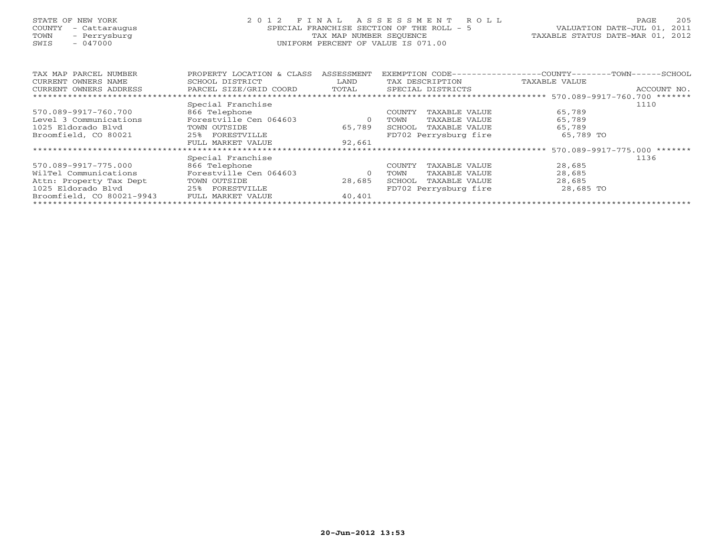# STATE OF NEW YORK 2 0 1 2 F I N A L A S S E S S M E N T R O L L PAGE 205 COUNTY - Cattaraugus SPECIAL FRANCHISE SECTION OF THE ROLL - 5 VALUATION DATE-JUL 01, 2011 TOWN - Perrysburg TAX MAP NUMBER SEQUENCE TAXABLE STATUS DATE-MAR 01, 2012 SWIS - 047000 UNIFORM PERCENT OF VALUE IS 071.00UNIFORM PERCENT OF VALUE IS 071.00

| TAX MAP PARCEL NUMBER     | ASSESSMENT<br>PROPERTY LOCATION & CLASS |         | EXEMPTION CODE-         | $------COLUTIONTY---$<br>- TOWN - - - -                      | $-$ SCHOOL  |
|---------------------------|-----------------------------------------|---------|-------------------------|--------------------------------------------------------------|-------------|
| CURRENT OWNERS NAME       | SCHOOL DISTRICT                         | LAND    | TAX DESCRIPTION         | TAXABLE VALUE                                                |             |
| CURRENT OWNERS ADDRESS    | PARCEL SIZE/GRID COORD                  | TOTAL   | SPECIAL DISTRICTS       |                                                              | ACCOUNT NO. |
|                           |                                         |         |                         | ******************************* 570.089-9917-760.700 ******* |             |
|                           | Special Franchise                       |         |                         |                                                              | 1110        |
| 570.089-9917-760.700      | 866 Telephone                           |         | TAXABLE VALUE<br>COUNTY | 65,789                                                       |             |
| Level 3 Communications    | Forestville Cen 064603                  | $\circ$ | TOWN<br>TAXABLE VALUE   | 65,789                                                       |             |
| 1025 Eldorado Blvd        | TOWN OUTSIDE                            | 65,789  | SCHOOL<br>TAXABLE VALUE | 65,789                                                       |             |
| Broomfield, CO 80021      | 25% FORESTVILLE                         |         | FD702 Perrysburg fire   | 65,789 TO                                                    |             |
|                           | FULL MARKET VALUE                       | 92,661  |                         |                                                              |             |
|                           |                                         |         |                         | $570.089 - 9917 - 775.000$ *******                           |             |
|                           | Special Franchise                       |         |                         |                                                              | 1136        |
| 570.089-9917-775.000      | 866 Telephone                           |         | COUNTY<br>TAXABLE VALUE | 28,685                                                       |             |
| WilTel Communications     | Forestville Cen 064603                  | $\circ$ | TOWN<br>TAXABLE VALUE   | 28,685                                                       |             |
| Attn: Property Tax Dept   | TOWN OUTSIDE                            | 28,685  | SCHOOL<br>TAXABLE VALUE | 28,685                                                       |             |
| 1025 Eldorado Blyd        | 25% FORESTVILLE                         |         | FD702 Perrysburg fire   | 28,685 TO                                                    |             |
| Broomfield, CO 80021-9943 | FULL MARKET VALUE                       | 40,401  |                         |                                                              |             |
|                           |                                         |         |                         |                                                              |             |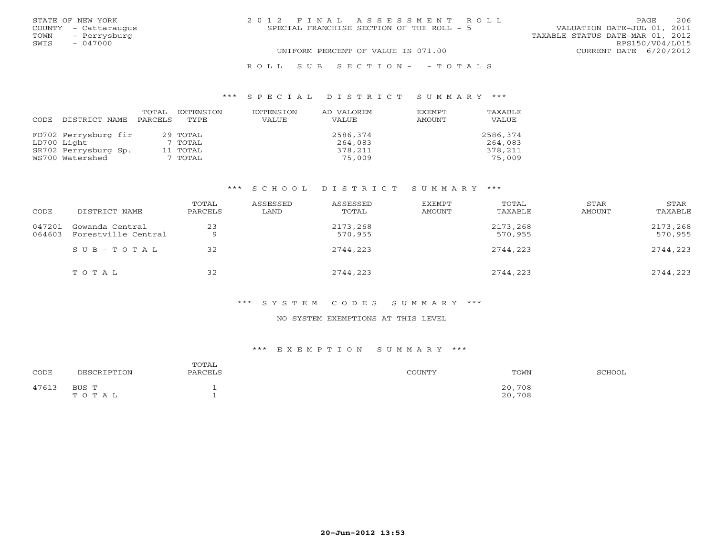|      | STATE OF NEW YORK    | 2012 FINAL ASSESSMENT ROLL                | PAGE.                            | 206 |
|------|----------------------|-------------------------------------------|----------------------------------|-----|
|      | COUNTY - Cattaraugus | SPECIAL FRANCHISE SECTION OF THE ROLL - 5 | VALUATION DATE-JUL 01, 2011      |     |
| TOWN | - Perrysburg         |                                           | TAXABLE STATUS DATE-MAR 01, 2012 |     |
| SWIS | $-047000$            |                                           | RPS150/V04/L015                  |     |
|      |                      | UNIFORM PERCENT OF VALUE IS 071.00        | CURRENT DATE 6/20/2012           |     |
|      |                      |                                           |                                  |     |

# \*\*\* S P E C I A L D I S T R I C T S U M M A R Y \*\*\*

| CODE. | DISTRICT NAME        | TOTAL<br>PARCELS | EXTENSION<br>TYPE. | EXTENSION<br>VALUE | AD VALOREM<br><b>VALUE</b> | <b>EXEMPT</b><br>AMOUNT | TAXABLE<br>VALUE |
|-------|----------------------|------------------|--------------------|--------------------|----------------------------|-------------------------|------------------|
|       | FD702 Perrysburg fir |                  | 29 TOTAL           |                    | 2586,374                   |                         | 2586,374         |
|       | LD700 Light          |                  | 7 TOTAL            |                    | 264,083                    |                         | 264,083          |
|       | SR702 Perrysburg Sp. |                  | 11 TOTAL           |                    | 378,211                    |                         | 378,211          |
|       | WS700 Watershed      |                  | 7 TOTAL            |                    | 75,009                     |                         | 75,009           |

R O L L S U B S E C T I O N - - T O T A L S

### \*\*\* S C H O O L D I S T R I C T S U M M A R Y \*\*\*

| CODE             | DISTRICT NAME                          | TOTAL<br>PARCELS | ASSESSED<br>LAND | ASSESSED<br>TOTAL   | EXEMPT<br>AMOUNT | TOTAL<br>TAXABLE    | STAR<br>AMOUNT | STAR<br>TAXABLE     |
|------------------|----------------------------------------|------------------|------------------|---------------------|------------------|---------------------|----------------|---------------------|
| 047201<br>064603 | Gowanda Central<br>Forestville Central | 23<br>Q          |                  | 2173,268<br>570,955 |                  | 2173,268<br>570,955 |                | 2173,268<br>570,955 |
|                  | SUB-TOTAL                              | 32               |                  | 2744,223            |                  | 2744,223            |                | 2744,223            |
|                  | TOTAL                                  | 32               |                  | 2744,223            |                  | 2744,223            |                | 2744,223            |

### \*\*\* S Y S T E M C O D E S S U M M A R Y \*\*\*

### NO SYSTEM EXEMPTIONS AT THIS LEVEL

### \*\*\* E X E M P T I O N S U M M A R Y \*\*\*

| CODE  | DESCRIPTION    | TOTAL<br>PARCELS | COUNTY | TOWN             | SCHOOL |
|-------|----------------|------------------|--------|------------------|--------|
| 47613 | BUS T<br>TOTAL |                  |        | 20,708<br>20,708 |        |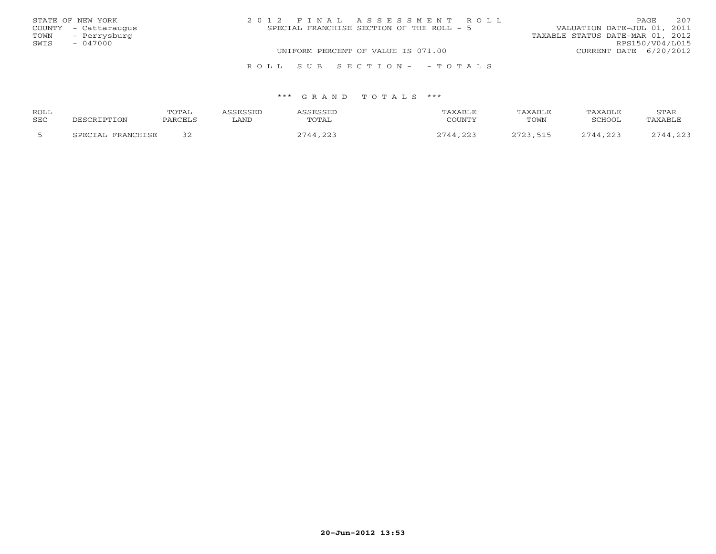|      | STATE OF NEW YORK    | 2012 FINAL ASSESSMENT ROLL                | 2.07<br>PAGE.                    |
|------|----------------------|-------------------------------------------|----------------------------------|
|      | COUNTY - Cattaraugus | SPECIAL FRANCHISE SECTION OF THE ROLL - 5 | VALUATION DATE-JUL 01, 2011      |
| TOWN | - Perrysburg         |                                           | TAXABLE STATUS DATE-MAR 01, 2012 |
| SWIS | $-047000$            |                                           | RPS150/V04/L015                  |
|      |                      | UNIFORM PERCENT OF VALUE IS 071.00        | CURRENT DATE 6/20/2012           |
|      |                      | ROLL SUB SECTION- - TOTALS                |                                  |

| ROLL |                   | TOTAL   | ASSESSED | ASSESSED | TAXABLE  | TAXABLE  | TAXABLE  | STAR     |
|------|-------------------|---------|----------|----------|----------|----------|----------|----------|
| SEC  | DESCRIPTION       | PARCELS | LAND     | TOTAL    | COUNTY   | TOWN     | SCHOOL   | TAXABLE  |
|      | SPECIAL FRANCHISE |         |          | 2744,223 | 2744,223 | 2723,515 | 2744,223 | 2744,223 |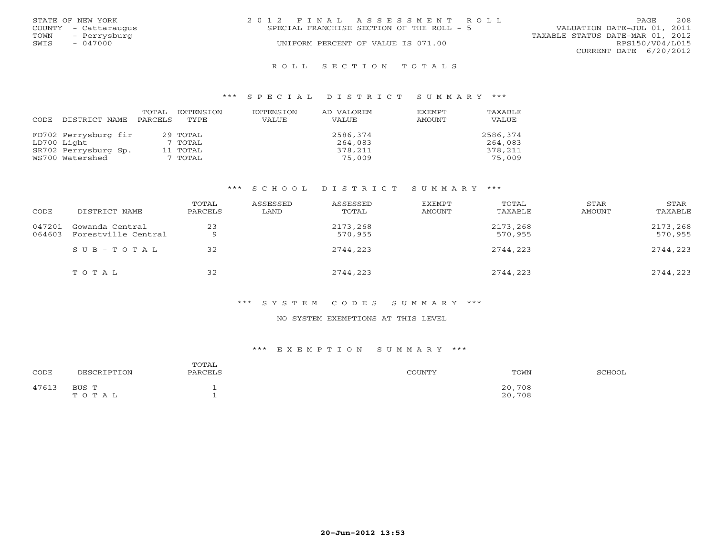|      | STATE OF NEW YORK    | 2012 FINAL ASSESSMENT ROLL                | 208<br>PAGE.                     |
|------|----------------------|-------------------------------------------|----------------------------------|
|      | COUNTY - Cattaraugus | SPECIAL FRANCHISE SECTION OF THE ROLL - 5 | VALUATION DATE-JUL 01, 2011      |
| TOWN | - Perrysburg         |                                           | TAXABLE STATUS DATE-MAR 01, 2012 |
| SWIS | $-047000$            | UNIFORM PERCENT OF VALUE IS 071.00        | RPS150/V04/L015                  |
|      |                      |                                           | CURRENT DATE 6/20/2012           |
|      |                      |                                           |                                  |

#### R O L L S E C T I O N T O T A L S

### \*\*\* S P E C I A L D I S T R I C T S U M M A R Y \*\*\*

| CODE | DISTRICT NAME        | TOTAL<br>PARCELS | EXTENSION<br>TYPE | EXTENSION<br>VALUE | AD VALOREM<br>VALUE | <b>EXEMPT</b><br>AMOUNT | TAXABLE<br>VALUE |
|------|----------------------|------------------|-------------------|--------------------|---------------------|-------------------------|------------------|
|      |                      |                  |                   |                    |                     |                         |                  |
|      | FD702 Perrysburg fir |                  | 29 TOTAL          |                    | 2586,374            |                         | 2586,374         |
|      | LD700 Light          |                  | 7 TOTAL           |                    | 264,083             |                         | 264,083          |
|      | SR702 Perrysburg Sp. |                  | 11 TOTAL          |                    | 378,211             |                         | 378,211          |
|      | WS700 Watershed      |                  | 7 TOTAL           |                    | 75,009              |                         | 75,009           |

### \*\*\* S C H O O L D I S T R I C T S U M M A R Y \*\*\*

| CODE             | DISTRICT NAME                          | TOTAL<br>PARCELS | ASSESSED<br>LAND | ASSESSED<br>TOTAL   | EXEMPT<br>AMOUNT | TOTAL<br>TAXABLE    | STAR<br>AMOUNT | STAR<br>TAXABLE     |
|------------------|----------------------------------------|------------------|------------------|---------------------|------------------|---------------------|----------------|---------------------|
| 047201<br>064603 | Gowanda Central<br>Forestville Central | 23<br>Q          |                  | 2173,268<br>570,955 |                  | 2173,268<br>570,955 |                | 2173,268<br>570,955 |
|                  | $SUB - TO T AL$                        | 32               |                  | 2744,223            |                  | 2744,223            |                | 2744,223            |
|                  | TOTAL                                  | 32               |                  | 2744,223            |                  | 2744,223            |                | 2744,223            |

### \*\*\* S Y S T E M C O D E S S U M M A R Y \*\*\*

### NO SYSTEM EXEMPTIONS AT THIS LEVEL

### \*\*\* E X E M P T I O N S U M M A R Y \*\*\*

| CODE  | DESCRIPTION    | TOTAL<br>PARCELS | COUNTY | TOWN<br>.        | SCHOOL |
|-------|----------------|------------------|--------|------------------|--------|
| 47613 | BUS T<br>TOTAL |                  |        | 20,708<br>20,708 |        |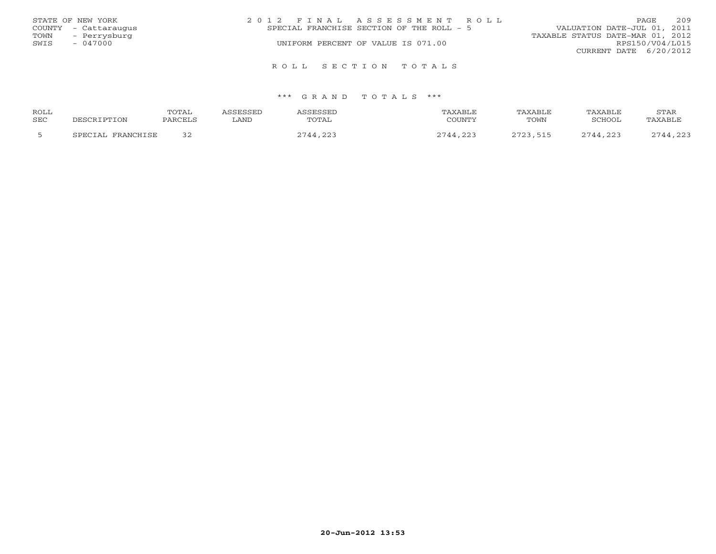|                   | STATE OF NEW YORK    | 2012 FINAL ASSESSMENT ROLL                | 209<br>PAGE                      |
|-------------------|----------------------|-------------------------------------------|----------------------------------|
|                   | COUNTY - Cattaraugus | SPECIAL FRANCHISE SECTION OF THE ROLL - 5 | VALUATION DATE-JUL 01, 2011      |
| TOWN              | - Perrysburg         |                                           | TAXABLE STATUS DATE-MAR 01, 2012 |
| SWIS<br>$-047000$ |                      | UNIFORM PERCENT OF VALUE IS 071.00        | RPS150/V04/L015                  |
|                   |                      |                                           | CURRENT DATE 6/20/2012           |
|                   |                      | ROLL SECTION TOTALS                       |                                  |

| ROLL |                              | TOTAL    |      |                | AXABLF         | AXARL) | TAXABI F | STAR           |
|------|------------------------------|----------|------|----------------|----------------|--------|----------|----------------|
| SEC  |                              | PARCEL ? | LAND | TOTAL          | COUNTY         | TOWN   | SCHOOL   | <b>TAXABLF</b> |
|      | די הידוי מהיה מיהו<br>ים כוי |          |      | $\cap$<br>つワイイ | ົດຕະ<br>$\sim$ | 7777   | 744 223  | 1.22           |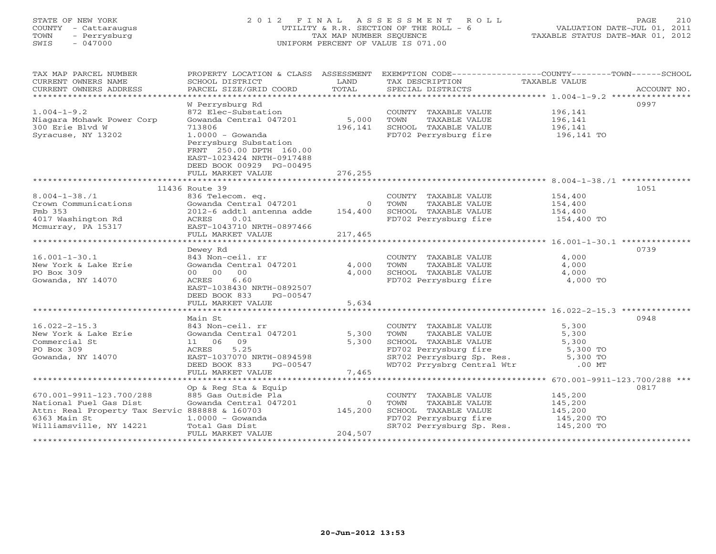# STATE OF NEW YORK 2 0 1 2 F I N A L A S S E S S M E N T R O L L PAGE 210 COUNTY - Cattaraugus UTILITY & R.R. SECTION OF THE ROLL - 6 VALUATION DATE-JUL 01, 2011 TOWN - Perrysburg TAX MAP NUMBER SEQUENCE TAXABLE STATUS DATE-MAR 01, 2012 SWIS - 047000 UNIFORM PERCENT OF VALUE IS 071.00UNIFORM PERCENT OF VALUE IS 071.00

| CURRENT OWNERS NAME<br>SCHOOL DISTRICT<br>LAND<br>TAX DESCRIPTION<br>TAXABLE VALUE<br>TOTAL<br>PARCEL SIZE/GRID COORD<br>CURRENT OWNERS ADDRESS<br>SPECIAL DISTRICTS<br>ACCOUNT NO.<br>0997<br>W Perrysburg Rd<br>$1.004 - 1 - 9.2$<br>872 Elec-Substation<br>196,141<br>COUNTY TAXABLE VALUE<br>5,000<br>Gowanda Central 047201<br>196,141<br>Niagara Mohawk Power Corp<br>TOWN<br>TAXABLE VALUE<br>SCHOOL TAXABLE VALUE<br>300 Erie Blvd W<br>713806<br>196,141<br>196,141<br>$1.0000 - Gowanda$<br>FD702 Perrysburg fire<br>Syracuse, NY 13202<br>196,141 TO<br>Perrysburg Substation<br>FRNT 250.00 DPTH 160.00<br>EAST-1023424 NRTH-0917488<br>DEED BOOK 00929 PG-00495<br>276,255<br>FULL MARKET VALUE<br>1051<br>11436 Route 39<br>$8.004 - 1 - 38.71$<br>154,400<br>836 Telecom. eq.<br>COUNTY TAXABLE VALUE<br>Gowanda Central 047201<br>Crown Communications<br>TAXABLE VALUE<br>154,400<br>0 TOWN<br>Pmb 353<br>2012-6 addtl antenna adde<br>154,400<br>SCHOOL TAXABLE VALUE<br>154,400<br>wasnington Rd<br>Mcmurray, PA 15317<br>*********<br>0.01<br>FD702 Perrysburg fire<br>ACRES<br>154,400 TO<br>EAST-1043710 NRTH-0897466<br>FULL MARKET VALUE<br>217,465<br>0739<br>Dewey Rd<br>843 Non-ceil. rr<br>4,000<br>$16.001 - 1 - 30.1$<br>COUNTY TAXABLE VALUE<br>Gowanda Central 047201<br>4,000<br>TAXABLE VALUE<br>4,000<br>New York & Lake Erie<br>TOWN<br>0 <sub>0</sub><br>4,000<br>SCHOOL TAXABLE VALUE<br>4,000<br>PO Box 309<br>00 00<br>Gowanda, NY 14070<br>6.60<br>FD702 Perrysburg fire<br>4,000 TO<br>ACRES<br>EAST-1038430 NRTH-0892507<br>DEED BOOK 833<br>PG-00547<br>5,634<br>FULL MARKET VALUE<br>0948<br>Main St<br>5,300<br>$16.022 - 2 - 15.3$<br>843 Non-ceil. rr<br>COUNTY TAXABLE VALUE<br>New York & Lake Erie<br>Gowanda Central 047201<br>5,300<br>TAXABLE VALUE<br>5,300<br>TOWN<br>Commercial St<br>11 06<br>09<br>5,300<br>SCHOOL TAXABLE VALUE<br>5,300<br>5.25<br>PO Box 309<br>ACRES<br>FD702 Perrysburg fire 5,300 TO<br>SR702 Perrysburg Sp. Res. 5,300 TO<br>EAST-1037070 NRTH-0894598<br>Gowanda, NY 14070<br>WD702 Prrysbrg Central Wtr .00 MT<br>DEED BOOK 833<br>PG-00547<br>7,465<br>FULL MARKET VALUE<br>**************************************<br>***************** 670.001-9911-123.700/288 ***<br>Op & Reg Sta & Equip<br>0817<br>670.001-9911-123.700/288<br>145,200<br>885 Gas Outside Pla<br>COUNTY TAXABLE VALUE<br>Gowanda Central 047201<br>National Fuel Gas Dist<br>$\circ$<br>TOWN<br>TAXABLE VALUE<br>145,200<br>Attn: Real Property Tax Servic 888888 & 160703<br>145,200<br>SCHOOL TAXABLE VALUE<br>145,200<br>6363 Main St<br>FD702 Perrysburg fire 145,200 TO<br>SR702 Perrysburg Sp. Res. 145,200 TO<br>$1.0000 - Gowanda$<br>Williamsville, NY 14221<br>Total Gas Dist<br>204,507<br>FULL MARKET VALUE | TAX MAP PARCEL NUMBER |  | PROPERTY LOCATION & CLASS ASSESSMENT EXEMPTION CODE----------------COUNTY-------TOWN------SCHOOL |  |
|-----------------------------------------------------------------------------------------------------------------------------------------------------------------------------------------------------------------------------------------------------------------------------------------------------------------------------------------------------------------------------------------------------------------------------------------------------------------------------------------------------------------------------------------------------------------------------------------------------------------------------------------------------------------------------------------------------------------------------------------------------------------------------------------------------------------------------------------------------------------------------------------------------------------------------------------------------------------------------------------------------------------------------------------------------------------------------------------------------------------------------------------------------------------------------------------------------------------------------------------------------------------------------------------------------------------------------------------------------------------------------------------------------------------------------------------------------------------------------------------------------------------------------------------------------------------------------------------------------------------------------------------------------------------------------------------------------------------------------------------------------------------------------------------------------------------------------------------------------------------------------------------------------------------------------------------------------------------------------------------------------------------------------------------------------------------------------------------------------------------------------------------------------------------------------------------------------------------------------------------------------------------------------------------------------------------------------------------------------------------------------------------------------------------------------------------------------------------------------------------------------------------------------------------------------------------------------------------------------------------------------------------------------------------------------------------------------------------------------------------------------------------------------------|-----------------------|--|--------------------------------------------------------------------------------------------------|--|
|                                                                                                                                                                                                                                                                                                                                                                                                                                                                                                                                                                                                                                                                                                                                                                                                                                                                                                                                                                                                                                                                                                                                                                                                                                                                                                                                                                                                                                                                                                                                                                                                                                                                                                                                                                                                                                                                                                                                                                                                                                                                                                                                                                                                                                                                                                                                                                                                                                                                                                                                                                                                                                                                                                                                                                                   |                       |  |                                                                                                  |  |
|                                                                                                                                                                                                                                                                                                                                                                                                                                                                                                                                                                                                                                                                                                                                                                                                                                                                                                                                                                                                                                                                                                                                                                                                                                                                                                                                                                                                                                                                                                                                                                                                                                                                                                                                                                                                                                                                                                                                                                                                                                                                                                                                                                                                                                                                                                                                                                                                                                                                                                                                                                                                                                                                                                                                                                                   |                       |  |                                                                                                  |  |
|                                                                                                                                                                                                                                                                                                                                                                                                                                                                                                                                                                                                                                                                                                                                                                                                                                                                                                                                                                                                                                                                                                                                                                                                                                                                                                                                                                                                                                                                                                                                                                                                                                                                                                                                                                                                                                                                                                                                                                                                                                                                                                                                                                                                                                                                                                                                                                                                                                                                                                                                                                                                                                                                                                                                                                                   |                       |  |                                                                                                  |  |
|                                                                                                                                                                                                                                                                                                                                                                                                                                                                                                                                                                                                                                                                                                                                                                                                                                                                                                                                                                                                                                                                                                                                                                                                                                                                                                                                                                                                                                                                                                                                                                                                                                                                                                                                                                                                                                                                                                                                                                                                                                                                                                                                                                                                                                                                                                                                                                                                                                                                                                                                                                                                                                                                                                                                                                                   |                       |  |                                                                                                  |  |
|                                                                                                                                                                                                                                                                                                                                                                                                                                                                                                                                                                                                                                                                                                                                                                                                                                                                                                                                                                                                                                                                                                                                                                                                                                                                                                                                                                                                                                                                                                                                                                                                                                                                                                                                                                                                                                                                                                                                                                                                                                                                                                                                                                                                                                                                                                                                                                                                                                                                                                                                                                                                                                                                                                                                                                                   |                       |  |                                                                                                  |  |
|                                                                                                                                                                                                                                                                                                                                                                                                                                                                                                                                                                                                                                                                                                                                                                                                                                                                                                                                                                                                                                                                                                                                                                                                                                                                                                                                                                                                                                                                                                                                                                                                                                                                                                                                                                                                                                                                                                                                                                                                                                                                                                                                                                                                                                                                                                                                                                                                                                                                                                                                                                                                                                                                                                                                                                                   |                       |  |                                                                                                  |  |
|                                                                                                                                                                                                                                                                                                                                                                                                                                                                                                                                                                                                                                                                                                                                                                                                                                                                                                                                                                                                                                                                                                                                                                                                                                                                                                                                                                                                                                                                                                                                                                                                                                                                                                                                                                                                                                                                                                                                                                                                                                                                                                                                                                                                                                                                                                                                                                                                                                                                                                                                                                                                                                                                                                                                                                                   |                       |  |                                                                                                  |  |
|                                                                                                                                                                                                                                                                                                                                                                                                                                                                                                                                                                                                                                                                                                                                                                                                                                                                                                                                                                                                                                                                                                                                                                                                                                                                                                                                                                                                                                                                                                                                                                                                                                                                                                                                                                                                                                                                                                                                                                                                                                                                                                                                                                                                                                                                                                                                                                                                                                                                                                                                                                                                                                                                                                                                                                                   |                       |  |                                                                                                  |  |
|                                                                                                                                                                                                                                                                                                                                                                                                                                                                                                                                                                                                                                                                                                                                                                                                                                                                                                                                                                                                                                                                                                                                                                                                                                                                                                                                                                                                                                                                                                                                                                                                                                                                                                                                                                                                                                                                                                                                                                                                                                                                                                                                                                                                                                                                                                                                                                                                                                                                                                                                                                                                                                                                                                                                                                                   |                       |  |                                                                                                  |  |
|                                                                                                                                                                                                                                                                                                                                                                                                                                                                                                                                                                                                                                                                                                                                                                                                                                                                                                                                                                                                                                                                                                                                                                                                                                                                                                                                                                                                                                                                                                                                                                                                                                                                                                                                                                                                                                                                                                                                                                                                                                                                                                                                                                                                                                                                                                                                                                                                                                                                                                                                                                                                                                                                                                                                                                                   |                       |  |                                                                                                  |  |
|                                                                                                                                                                                                                                                                                                                                                                                                                                                                                                                                                                                                                                                                                                                                                                                                                                                                                                                                                                                                                                                                                                                                                                                                                                                                                                                                                                                                                                                                                                                                                                                                                                                                                                                                                                                                                                                                                                                                                                                                                                                                                                                                                                                                                                                                                                                                                                                                                                                                                                                                                                                                                                                                                                                                                                                   |                       |  |                                                                                                  |  |
|                                                                                                                                                                                                                                                                                                                                                                                                                                                                                                                                                                                                                                                                                                                                                                                                                                                                                                                                                                                                                                                                                                                                                                                                                                                                                                                                                                                                                                                                                                                                                                                                                                                                                                                                                                                                                                                                                                                                                                                                                                                                                                                                                                                                                                                                                                                                                                                                                                                                                                                                                                                                                                                                                                                                                                                   |                       |  |                                                                                                  |  |
|                                                                                                                                                                                                                                                                                                                                                                                                                                                                                                                                                                                                                                                                                                                                                                                                                                                                                                                                                                                                                                                                                                                                                                                                                                                                                                                                                                                                                                                                                                                                                                                                                                                                                                                                                                                                                                                                                                                                                                                                                                                                                                                                                                                                                                                                                                                                                                                                                                                                                                                                                                                                                                                                                                                                                                                   |                       |  |                                                                                                  |  |
|                                                                                                                                                                                                                                                                                                                                                                                                                                                                                                                                                                                                                                                                                                                                                                                                                                                                                                                                                                                                                                                                                                                                                                                                                                                                                                                                                                                                                                                                                                                                                                                                                                                                                                                                                                                                                                                                                                                                                                                                                                                                                                                                                                                                                                                                                                                                                                                                                                                                                                                                                                                                                                                                                                                                                                                   |                       |  |                                                                                                  |  |
|                                                                                                                                                                                                                                                                                                                                                                                                                                                                                                                                                                                                                                                                                                                                                                                                                                                                                                                                                                                                                                                                                                                                                                                                                                                                                                                                                                                                                                                                                                                                                                                                                                                                                                                                                                                                                                                                                                                                                                                                                                                                                                                                                                                                                                                                                                                                                                                                                                                                                                                                                                                                                                                                                                                                                                                   |                       |  |                                                                                                  |  |
|                                                                                                                                                                                                                                                                                                                                                                                                                                                                                                                                                                                                                                                                                                                                                                                                                                                                                                                                                                                                                                                                                                                                                                                                                                                                                                                                                                                                                                                                                                                                                                                                                                                                                                                                                                                                                                                                                                                                                                                                                                                                                                                                                                                                                                                                                                                                                                                                                                                                                                                                                                                                                                                                                                                                                                                   |                       |  |                                                                                                  |  |
|                                                                                                                                                                                                                                                                                                                                                                                                                                                                                                                                                                                                                                                                                                                                                                                                                                                                                                                                                                                                                                                                                                                                                                                                                                                                                                                                                                                                                                                                                                                                                                                                                                                                                                                                                                                                                                                                                                                                                                                                                                                                                                                                                                                                                                                                                                                                                                                                                                                                                                                                                                                                                                                                                                                                                                                   |                       |  |                                                                                                  |  |
|                                                                                                                                                                                                                                                                                                                                                                                                                                                                                                                                                                                                                                                                                                                                                                                                                                                                                                                                                                                                                                                                                                                                                                                                                                                                                                                                                                                                                                                                                                                                                                                                                                                                                                                                                                                                                                                                                                                                                                                                                                                                                                                                                                                                                                                                                                                                                                                                                                                                                                                                                                                                                                                                                                                                                                                   |                       |  |                                                                                                  |  |
|                                                                                                                                                                                                                                                                                                                                                                                                                                                                                                                                                                                                                                                                                                                                                                                                                                                                                                                                                                                                                                                                                                                                                                                                                                                                                                                                                                                                                                                                                                                                                                                                                                                                                                                                                                                                                                                                                                                                                                                                                                                                                                                                                                                                                                                                                                                                                                                                                                                                                                                                                                                                                                                                                                                                                                                   |                       |  |                                                                                                  |  |
|                                                                                                                                                                                                                                                                                                                                                                                                                                                                                                                                                                                                                                                                                                                                                                                                                                                                                                                                                                                                                                                                                                                                                                                                                                                                                                                                                                                                                                                                                                                                                                                                                                                                                                                                                                                                                                                                                                                                                                                                                                                                                                                                                                                                                                                                                                                                                                                                                                                                                                                                                                                                                                                                                                                                                                                   |                       |  |                                                                                                  |  |
|                                                                                                                                                                                                                                                                                                                                                                                                                                                                                                                                                                                                                                                                                                                                                                                                                                                                                                                                                                                                                                                                                                                                                                                                                                                                                                                                                                                                                                                                                                                                                                                                                                                                                                                                                                                                                                                                                                                                                                                                                                                                                                                                                                                                                                                                                                                                                                                                                                                                                                                                                                                                                                                                                                                                                                                   |                       |  |                                                                                                  |  |
|                                                                                                                                                                                                                                                                                                                                                                                                                                                                                                                                                                                                                                                                                                                                                                                                                                                                                                                                                                                                                                                                                                                                                                                                                                                                                                                                                                                                                                                                                                                                                                                                                                                                                                                                                                                                                                                                                                                                                                                                                                                                                                                                                                                                                                                                                                                                                                                                                                                                                                                                                                                                                                                                                                                                                                                   |                       |  |                                                                                                  |  |
|                                                                                                                                                                                                                                                                                                                                                                                                                                                                                                                                                                                                                                                                                                                                                                                                                                                                                                                                                                                                                                                                                                                                                                                                                                                                                                                                                                                                                                                                                                                                                                                                                                                                                                                                                                                                                                                                                                                                                                                                                                                                                                                                                                                                                                                                                                                                                                                                                                                                                                                                                                                                                                                                                                                                                                                   |                       |  |                                                                                                  |  |
|                                                                                                                                                                                                                                                                                                                                                                                                                                                                                                                                                                                                                                                                                                                                                                                                                                                                                                                                                                                                                                                                                                                                                                                                                                                                                                                                                                                                                                                                                                                                                                                                                                                                                                                                                                                                                                                                                                                                                                                                                                                                                                                                                                                                                                                                                                                                                                                                                                                                                                                                                                                                                                                                                                                                                                                   |                       |  |                                                                                                  |  |
|                                                                                                                                                                                                                                                                                                                                                                                                                                                                                                                                                                                                                                                                                                                                                                                                                                                                                                                                                                                                                                                                                                                                                                                                                                                                                                                                                                                                                                                                                                                                                                                                                                                                                                                                                                                                                                                                                                                                                                                                                                                                                                                                                                                                                                                                                                                                                                                                                                                                                                                                                                                                                                                                                                                                                                                   |                       |  |                                                                                                  |  |
|                                                                                                                                                                                                                                                                                                                                                                                                                                                                                                                                                                                                                                                                                                                                                                                                                                                                                                                                                                                                                                                                                                                                                                                                                                                                                                                                                                                                                                                                                                                                                                                                                                                                                                                                                                                                                                                                                                                                                                                                                                                                                                                                                                                                                                                                                                                                                                                                                                                                                                                                                                                                                                                                                                                                                                                   |                       |  |                                                                                                  |  |
|                                                                                                                                                                                                                                                                                                                                                                                                                                                                                                                                                                                                                                                                                                                                                                                                                                                                                                                                                                                                                                                                                                                                                                                                                                                                                                                                                                                                                                                                                                                                                                                                                                                                                                                                                                                                                                                                                                                                                                                                                                                                                                                                                                                                                                                                                                                                                                                                                                                                                                                                                                                                                                                                                                                                                                                   |                       |  |                                                                                                  |  |
|                                                                                                                                                                                                                                                                                                                                                                                                                                                                                                                                                                                                                                                                                                                                                                                                                                                                                                                                                                                                                                                                                                                                                                                                                                                                                                                                                                                                                                                                                                                                                                                                                                                                                                                                                                                                                                                                                                                                                                                                                                                                                                                                                                                                                                                                                                                                                                                                                                                                                                                                                                                                                                                                                                                                                                                   |                       |  |                                                                                                  |  |
|                                                                                                                                                                                                                                                                                                                                                                                                                                                                                                                                                                                                                                                                                                                                                                                                                                                                                                                                                                                                                                                                                                                                                                                                                                                                                                                                                                                                                                                                                                                                                                                                                                                                                                                                                                                                                                                                                                                                                                                                                                                                                                                                                                                                                                                                                                                                                                                                                                                                                                                                                                                                                                                                                                                                                                                   |                       |  |                                                                                                  |  |
|                                                                                                                                                                                                                                                                                                                                                                                                                                                                                                                                                                                                                                                                                                                                                                                                                                                                                                                                                                                                                                                                                                                                                                                                                                                                                                                                                                                                                                                                                                                                                                                                                                                                                                                                                                                                                                                                                                                                                                                                                                                                                                                                                                                                                                                                                                                                                                                                                                                                                                                                                                                                                                                                                                                                                                                   |                       |  |                                                                                                  |  |
|                                                                                                                                                                                                                                                                                                                                                                                                                                                                                                                                                                                                                                                                                                                                                                                                                                                                                                                                                                                                                                                                                                                                                                                                                                                                                                                                                                                                                                                                                                                                                                                                                                                                                                                                                                                                                                                                                                                                                                                                                                                                                                                                                                                                                                                                                                                                                                                                                                                                                                                                                                                                                                                                                                                                                                                   |                       |  |                                                                                                  |  |
|                                                                                                                                                                                                                                                                                                                                                                                                                                                                                                                                                                                                                                                                                                                                                                                                                                                                                                                                                                                                                                                                                                                                                                                                                                                                                                                                                                                                                                                                                                                                                                                                                                                                                                                                                                                                                                                                                                                                                                                                                                                                                                                                                                                                                                                                                                                                                                                                                                                                                                                                                                                                                                                                                                                                                                                   |                       |  |                                                                                                  |  |
|                                                                                                                                                                                                                                                                                                                                                                                                                                                                                                                                                                                                                                                                                                                                                                                                                                                                                                                                                                                                                                                                                                                                                                                                                                                                                                                                                                                                                                                                                                                                                                                                                                                                                                                                                                                                                                                                                                                                                                                                                                                                                                                                                                                                                                                                                                                                                                                                                                                                                                                                                                                                                                                                                                                                                                                   |                       |  |                                                                                                  |  |
|                                                                                                                                                                                                                                                                                                                                                                                                                                                                                                                                                                                                                                                                                                                                                                                                                                                                                                                                                                                                                                                                                                                                                                                                                                                                                                                                                                                                                                                                                                                                                                                                                                                                                                                                                                                                                                                                                                                                                                                                                                                                                                                                                                                                                                                                                                                                                                                                                                                                                                                                                                                                                                                                                                                                                                                   |                       |  |                                                                                                  |  |
|                                                                                                                                                                                                                                                                                                                                                                                                                                                                                                                                                                                                                                                                                                                                                                                                                                                                                                                                                                                                                                                                                                                                                                                                                                                                                                                                                                                                                                                                                                                                                                                                                                                                                                                                                                                                                                                                                                                                                                                                                                                                                                                                                                                                                                                                                                                                                                                                                                                                                                                                                                                                                                                                                                                                                                                   |                       |  |                                                                                                  |  |
|                                                                                                                                                                                                                                                                                                                                                                                                                                                                                                                                                                                                                                                                                                                                                                                                                                                                                                                                                                                                                                                                                                                                                                                                                                                                                                                                                                                                                                                                                                                                                                                                                                                                                                                                                                                                                                                                                                                                                                                                                                                                                                                                                                                                                                                                                                                                                                                                                                                                                                                                                                                                                                                                                                                                                                                   |                       |  |                                                                                                  |  |
|                                                                                                                                                                                                                                                                                                                                                                                                                                                                                                                                                                                                                                                                                                                                                                                                                                                                                                                                                                                                                                                                                                                                                                                                                                                                                                                                                                                                                                                                                                                                                                                                                                                                                                                                                                                                                                                                                                                                                                                                                                                                                                                                                                                                                                                                                                                                                                                                                                                                                                                                                                                                                                                                                                                                                                                   |                       |  |                                                                                                  |  |
|                                                                                                                                                                                                                                                                                                                                                                                                                                                                                                                                                                                                                                                                                                                                                                                                                                                                                                                                                                                                                                                                                                                                                                                                                                                                                                                                                                                                                                                                                                                                                                                                                                                                                                                                                                                                                                                                                                                                                                                                                                                                                                                                                                                                                                                                                                                                                                                                                                                                                                                                                                                                                                                                                                                                                                                   |                       |  |                                                                                                  |  |
|                                                                                                                                                                                                                                                                                                                                                                                                                                                                                                                                                                                                                                                                                                                                                                                                                                                                                                                                                                                                                                                                                                                                                                                                                                                                                                                                                                                                                                                                                                                                                                                                                                                                                                                                                                                                                                                                                                                                                                                                                                                                                                                                                                                                                                                                                                                                                                                                                                                                                                                                                                                                                                                                                                                                                                                   |                       |  |                                                                                                  |  |
|                                                                                                                                                                                                                                                                                                                                                                                                                                                                                                                                                                                                                                                                                                                                                                                                                                                                                                                                                                                                                                                                                                                                                                                                                                                                                                                                                                                                                                                                                                                                                                                                                                                                                                                                                                                                                                                                                                                                                                                                                                                                                                                                                                                                                                                                                                                                                                                                                                                                                                                                                                                                                                                                                                                                                                                   |                       |  |                                                                                                  |  |
|                                                                                                                                                                                                                                                                                                                                                                                                                                                                                                                                                                                                                                                                                                                                                                                                                                                                                                                                                                                                                                                                                                                                                                                                                                                                                                                                                                                                                                                                                                                                                                                                                                                                                                                                                                                                                                                                                                                                                                                                                                                                                                                                                                                                                                                                                                                                                                                                                                                                                                                                                                                                                                                                                                                                                                                   |                       |  |                                                                                                  |  |
|                                                                                                                                                                                                                                                                                                                                                                                                                                                                                                                                                                                                                                                                                                                                                                                                                                                                                                                                                                                                                                                                                                                                                                                                                                                                                                                                                                                                                                                                                                                                                                                                                                                                                                                                                                                                                                                                                                                                                                                                                                                                                                                                                                                                                                                                                                                                                                                                                                                                                                                                                                                                                                                                                                                                                                                   |                       |  |                                                                                                  |  |
|                                                                                                                                                                                                                                                                                                                                                                                                                                                                                                                                                                                                                                                                                                                                                                                                                                                                                                                                                                                                                                                                                                                                                                                                                                                                                                                                                                                                                                                                                                                                                                                                                                                                                                                                                                                                                                                                                                                                                                                                                                                                                                                                                                                                                                                                                                                                                                                                                                                                                                                                                                                                                                                                                                                                                                                   |                       |  |                                                                                                  |  |
|                                                                                                                                                                                                                                                                                                                                                                                                                                                                                                                                                                                                                                                                                                                                                                                                                                                                                                                                                                                                                                                                                                                                                                                                                                                                                                                                                                                                                                                                                                                                                                                                                                                                                                                                                                                                                                                                                                                                                                                                                                                                                                                                                                                                                                                                                                                                                                                                                                                                                                                                                                                                                                                                                                                                                                                   |                       |  |                                                                                                  |  |
|                                                                                                                                                                                                                                                                                                                                                                                                                                                                                                                                                                                                                                                                                                                                                                                                                                                                                                                                                                                                                                                                                                                                                                                                                                                                                                                                                                                                                                                                                                                                                                                                                                                                                                                                                                                                                                                                                                                                                                                                                                                                                                                                                                                                                                                                                                                                                                                                                                                                                                                                                                                                                                                                                                                                                                                   |                       |  |                                                                                                  |  |
|                                                                                                                                                                                                                                                                                                                                                                                                                                                                                                                                                                                                                                                                                                                                                                                                                                                                                                                                                                                                                                                                                                                                                                                                                                                                                                                                                                                                                                                                                                                                                                                                                                                                                                                                                                                                                                                                                                                                                                                                                                                                                                                                                                                                                                                                                                                                                                                                                                                                                                                                                                                                                                                                                                                                                                                   |                       |  |                                                                                                  |  |
|                                                                                                                                                                                                                                                                                                                                                                                                                                                                                                                                                                                                                                                                                                                                                                                                                                                                                                                                                                                                                                                                                                                                                                                                                                                                                                                                                                                                                                                                                                                                                                                                                                                                                                                                                                                                                                                                                                                                                                                                                                                                                                                                                                                                                                                                                                                                                                                                                                                                                                                                                                                                                                                                                                                                                                                   |                       |  |                                                                                                  |  |
|                                                                                                                                                                                                                                                                                                                                                                                                                                                                                                                                                                                                                                                                                                                                                                                                                                                                                                                                                                                                                                                                                                                                                                                                                                                                                                                                                                                                                                                                                                                                                                                                                                                                                                                                                                                                                                                                                                                                                                                                                                                                                                                                                                                                                                                                                                                                                                                                                                                                                                                                                                                                                                                                                                                                                                                   |                       |  |                                                                                                  |  |
|                                                                                                                                                                                                                                                                                                                                                                                                                                                                                                                                                                                                                                                                                                                                                                                                                                                                                                                                                                                                                                                                                                                                                                                                                                                                                                                                                                                                                                                                                                                                                                                                                                                                                                                                                                                                                                                                                                                                                                                                                                                                                                                                                                                                                                                                                                                                                                                                                                                                                                                                                                                                                                                                                                                                                                                   |                       |  |                                                                                                  |  |
|                                                                                                                                                                                                                                                                                                                                                                                                                                                                                                                                                                                                                                                                                                                                                                                                                                                                                                                                                                                                                                                                                                                                                                                                                                                                                                                                                                                                                                                                                                                                                                                                                                                                                                                                                                                                                                                                                                                                                                                                                                                                                                                                                                                                                                                                                                                                                                                                                                                                                                                                                                                                                                                                                                                                                                                   |                       |  |                                                                                                  |  |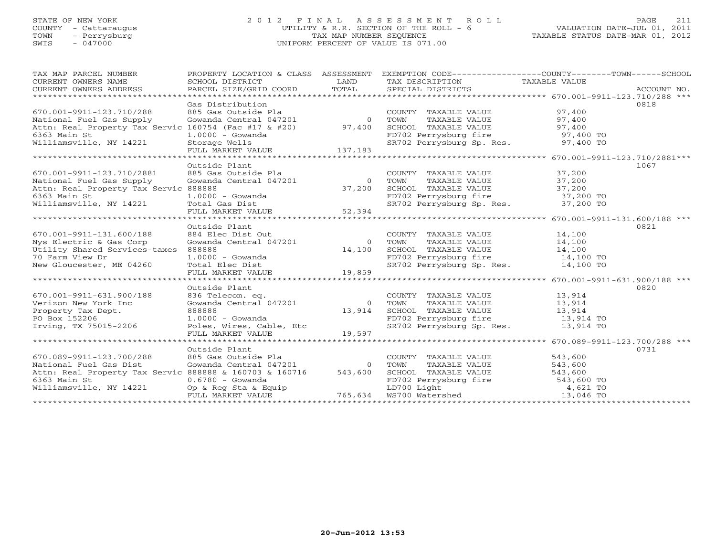# STATE OF NEW YORK 2 0 1 2 F I N A L A S S E S S M E N T R O L L PAGE 211 COUNTY - Cattaraugus UTILITY & R.R. SECTION OF THE ROLL - 6 VALUATION DATE-JUL 01, 2011 TOWN - Perrysburg TAX MAP NUMBER SEQUENCE TAXABLE STATUS DATE-MAR 01, 2012 SWIS - 047000 UNIFORM PERCENT OF VALUE IS 071.00UNIFORM PERCENT OF VALUE IS 071.00

| TAX MAP PARCEL NUMBER<br>CURRENT OWNERS NAME<br>CURRENT OWNERS ADDRESS | PROPERTY LOCATION & CLASS ASSESSMENT<br>SCHOOL DISTRICT<br>PARCEL SIZE/GRID COORD TOTAL | LAND           | TAX DESCRIPTION<br>SPECIAL DISTRICTS                                                                                               | EXEMPTION CODE-----------------COUNTY-------TOWN------SCHOOL<br>TAXABLE VALUE<br>ACCOUNT NO. |
|------------------------------------------------------------------------|-----------------------------------------------------------------------------------------|----------------|------------------------------------------------------------------------------------------------------------------------------------|----------------------------------------------------------------------------------------------|
|                                                                        |                                                                                         |                |                                                                                                                                    |                                                                                              |
|                                                                        | Gas Distribution                                                                        |                |                                                                                                                                    | 0818                                                                                         |
| 670.001-9911-123.710/288                                               | 885 Gas Outside Pla                                                                     |                | COUNTY TAXABLE VALUE                                                                                                               | 97,400                                                                                       |
| National Fuel Gas Supply                                               | Gowanda Central 047201 0                                                                |                | TAXABLE VALUE<br>TOWN                                                                                                              | 97,400                                                                                       |
| Attn: Real Property Tax Servic 160754 (Fac #17 & #20) 97,400           |                                                                                         |                | SCHOOL TAXABLE VALUE                                                                                                               | 97,400                                                                                       |
| 6363 Main St                                                           | $1.0000 - Gowanda$                                                                      |                | SCHOOL TAXABLE VALUE 97,400<br>FD702 Perrysburg fire 97,400 TO<br>SR702 Perrysburg Sp. Res. 97,400 TO                              |                                                                                              |
| Williamsville, NY 14221                                                | 1.0000 USUNUMA<br>Storage Wells<br>FULL MARKET VALUE 137,183                            |                |                                                                                                                                    |                                                                                              |
|                                                                        |                                                                                         |                |                                                                                                                                    |                                                                                              |
|                                                                        |                                                                                         |                |                                                                                                                                    |                                                                                              |
|                                                                        | Outside Plant<br>885 Gas Outside Pla                                                    |                |                                                                                                                                    | 1067<br>37,200                                                                               |
| 670.001-9911-123.710/2881<br>National Fuel Gas Supply                  | Gowanda Central 047201                                                                  | $\overline{0}$ | COUNTY TAXABLE VALUE<br>TOWN                                                                                                       | 37,200                                                                                       |
| Attn: Real Property Tax Servic 888888                                  |                                                                                         | 37,200         | TAXABLE VALUE<br>SCHOOL TAXABLE VALUE                                                                                              | 37,200                                                                                       |
| 6363 Main St                                                           | $1.0000 - Gowanda$                                                                      |                | FD702 Perrysburg fire 37,200 TO                                                                                                    |                                                                                              |
| Williamsville, NY 14221 Total Gas Dist                                 |                                                                                         |                | SR702 Perrysburg Sp. Res. 37,200 TO                                                                                                |                                                                                              |
|                                                                        | FULL MARKET VALUE                                                                       | $UE$ 52,394    |                                                                                                                                    |                                                                                              |
|                                                                        |                                                                                         |                |                                                                                                                                    |                                                                                              |
|                                                                        | Outside Plant                                                                           |                |                                                                                                                                    | 0821                                                                                         |
| 670.001-9911-131.600/188                                               | 884 Elec Dist Out                                                                       |                | COUNTY TAXABLE VALUE                                                                                                               | 14,100                                                                                       |
| Nys Electric & Gas Corp                                                | Gowanda Central 047201                                                                  | $\overline{0}$ | TOWN<br>TAXABLE VALUE                                                                                                              | 14,100                                                                                       |
| Utility Shared Services-taxes                                          | 888888                                                                                  | 14,100         | SCHOOL TAXABLE VALUE                                                                                                               | 14,100                                                                                       |
| 70 Farm View Dr                                                        | $1.0000 - Gowanda$                                                                      |                | FD702 Perrysburg fire 14,100 TO                                                                                                    |                                                                                              |
| New Gloucester, ME 04260                                               |                                                                                         |                | SR702 Perrysburg Sp. Res.                                                                                                          | 14,100 TO                                                                                    |
|                                                                        | Total Elec Dist<br>FULL MARKET VALUE                                                    | 19,859         |                                                                                                                                    |                                                                                              |
|                                                                        |                                                                                         |                |                                                                                                                                    |                                                                                              |
|                                                                        | Outside Plant                                                                           |                |                                                                                                                                    | 0820                                                                                         |
| 670.001-9911-631.900/188                                               | 836 Telecom. eq.                                                                        |                | COUNTY TAXABLE VALUE                                                                                                               | 13,914                                                                                       |
| Verizon New York Inc                                                   | Gowanda Central 047201                                                                  | $\overline{0}$ | TAXABLE VALUE<br>TOWN                                                                                                              | 13,914                                                                                       |
| Property Tax Dept.                                                     | 888888                                                                                  | 13,914         |                                                                                                                                    |                                                                                              |
| PO Box 152206                                                          | $1.0000 - Gowanda$                                                                      |                | TOWN TAAADDD VIDELE<br>SCHOOL TAXABLE VALUE 13,914 TO<br>13,914 TO 13,914 TO<br>FD702 Perrysburg fire<br>SR702 Perrysburg Sp. Res. |                                                                                              |
| Irving, TX 75015-2206                                                  | Poles, Wires, Cable, Etc                                                                |                |                                                                                                                                    | 13,914 TO                                                                                    |
|                                                                        | FULL MARKET VALUE                                                                       | 19,597         |                                                                                                                                    |                                                                                              |
|                                                                        | Outside Plant                                                                           |                |                                                                                                                                    | ***************** 670.089-9911-123.700/288 ***<br>0731                                       |
| 670.089-9911-123.700/288                                               | 885 Gas Outside Pla                                                                     |                | COUNTY TAXABLE VALUE                                                                                                               | 543,600                                                                                      |
| National Fuel Gas Dist                                                 | Gowanda Central 047201                                                                  | $\overline{0}$ | TOWN                                                                                                                               |                                                                                              |
| Attn: Real Property Tax Servic 888888 & 160703 & 160716                |                                                                                         |                | TAXABLE VALUE                                                                                                                      | 543,600                                                                                      |
| 6363 Main St                                                           | $0.6780 - Gowanda$                                                                      |                |                                                                                                                                    |                                                                                              |
| Williamsville, NY 14221                                                | Op & Reg Sta & Equip                                                                    |                |                                                                                                                                    |                                                                                              |
|                                                                        | FULL MARKET VALUE                                                                       |                | 543,600 SCHOOL TAXABLE VALUE 543,600 FD702 Perrysburg fire 543,600 TO<br>ED700 Light 4,621 TO<br>765,634 WS700 Watershed 13,046 TO |                                                                                              |
|                                                                        |                                                                                         |                |                                                                                                                                    |                                                                                              |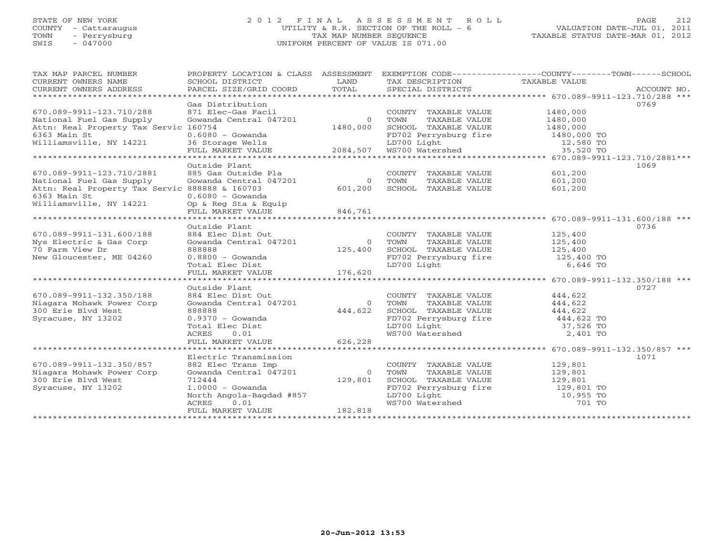# STATE OF NEW YORK 2 0 1 2 F I N A L A S S E S S M E N T R O L L PAGE 212 COUNTY - Cattaraugus UTILITY & R.R. SECTION OF THE ROLL - 6 VALUATION DATE-JUL 01, 2011 TOWN - Perrysburg TAX MAP NUMBER SEQUENCE TAXABLE STATUS DATE-MAR 01, 2012 SWIS - 047000 UNIFORM PERCENT OF VALUE IS 071.00

| TAX MAP PARCEL NUMBER<br>CURRENT OWNERS NAME   | PROPERTY LOCATION & CLASS ASSESSMENT<br>SCHOOL DISTRICT | LAND     | TAX DESCRIPTION TAXABLE VALUE        | EXEMPTION CODE-----------------COUNTY-------TOWN------SCHOOL |
|------------------------------------------------|---------------------------------------------------------|----------|--------------------------------------|--------------------------------------------------------------|
| CURRENT OWNERS ADDRESS                         | PARCEL SIZE/GRID COORD                                  | TOTAL    | SPECIAL DISTRICTS                    | ACCOUNT NO.                                                  |
|                                                |                                                         |          |                                      |                                                              |
| 670.089-9911-123.710/288                       | Gas Distribution<br>871 Elec-Gas Facil                  |          | COUNTY TAXABLE VALUE                 | 0769<br>1480,000                                             |
| National Fuel Gas Supply                       | Gowanda Central 047201                                  | $\Omega$ | TOWN<br>TAXABLE VALUE                | 1480,000                                                     |
| Attn: Real Property Tax Servic 160754          |                                                         | 1480,000 | SCHOOL TAXABLE VALUE                 | 1480,000                                                     |
| 6363 Main St                                   | $0.6080 - Gowanda$                                      |          |                                      | 1480,000 TO                                                  |
| Williamsville, NY 14221                        | 36 Storage Wells                                        |          | FD702 Perrysburg fire<br>LD700 Light | 12,580 TO                                                    |
|                                                | FULL MARKET VALUE                                       | 2084,507 | WS700 Watershed                      | 35,520 TO                                                    |
|                                                |                                                         |          |                                      |                                                              |
|                                                | Outside Plant                                           |          |                                      | 1069                                                         |
| 670.089-9911-123.710/2881                      | 885 Gas Outside Pla                                     |          | COUNTY TAXABLE VALUE                 | 601,200                                                      |
| National Fuel Gas Supply                       | Gowanda Central 047201                                  | $\circ$  | TOWN<br>TAXABLE VALUE                | 601,200                                                      |
| Attn: Real Property Tax Servic 888888 & 160703 |                                                         | 601,200  | SCHOOL TAXABLE VALUE                 | 601,200                                                      |
| 6363 Main St                                   | $0.6080 - Gowanda$                                      |          |                                      |                                                              |
| Williamsville, NY 14221                        | Op & Reg Sta & Equip                                    |          |                                      |                                                              |
|                                                | FULL MARKET VALUE                                       | 846,761  |                                      |                                                              |
|                                                |                                                         |          |                                      |                                                              |
|                                                | Outside Plant                                           |          |                                      | 0736                                                         |
| 670.089-9911-131.600/188                       | 884 Elec Dist Out                                       |          | COUNTY TAXABLE VALUE                 | 125,400                                                      |
| Nys Electric & Gas Corp                        | Gowanda Central 047201                                  | $\circ$  | TOWN<br>TAXABLE VALUE                | 125,400                                                      |
| 70 Farm View Dr                                | 888888                                                  | 125,400  | SCHOOL TAXABLE VALUE                 | 125,400                                                      |
| New Gloucester, ME 04260                       | $0.8800 - Gowanda$                                      |          | FD702 Perrysburg fire                | 125,400 TO                                                   |
|                                                | Total Elec Dist                                         |          | LD700 Light                          | 6,646 TO                                                     |
|                                                | FULL MARKET VALUE                                       | 176,620  |                                      |                                                              |
| **********************                         | ********************                                    |          |                                      | ******************* 670.089-9911-132.350/188 ***             |
|                                                | Outside Plant                                           |          |                                      | 0727                                                         |
| 670.089-9911-132.350/188                       | 884 Elec Dist Out                                       |          | COUNTY TAXABLE VALUE                 | 444,622                                                      |
| Niagara Mohawk Power Corp                      | Gowanda Central 047201                                  | $\circ$  | TOWN<br>TAXABLE VALUE                | 444,622                                                      |
| 300 Erie Blvd West                             | 888888                                                  | 444,622  | SCHOOL TAXABLE VALUE                 | 444,622                                                      |
| Syracuse, NY 13202                             | $0.9370 - Gowanda$                                      |          | FD702 Perrysburg fire                | 444,622 TO                                                   |
|                                                | Total Elec Dist                                         |          | LD700 Light<br>WS700 Watershed       | 37,526 TO                                                    |
|                                                | 0.01<br>ACRES                                           |          |                                      | 2,401 TO                                                     |
|                                                | FULL MARKET VALUE                                       | 626,228  |                                      | ************************ 670.089-9911-132.350/857 ***        |
|                                                | Electric Transmission                                   |          |                                      | 1071                                                         |
| 670.089-9911-132.350/857                       | 882 Elec Trans Imp                                      |          | COUNTY TAXABLE VALUE                 | 129,801                                                      |
| Niagara Mohawk Power Corp                      | Gowanda Central 047201                                  | $\Omega$ | TOWN<br>TAXABLE VALUE                | 129,801                                                      |
| 300 Erie Blvd West                             | 712444                                                  | 129,801  | SCHOOL TAXABLE VALUE                 | 129,801                                                      |
| Syracuse, NY 13202                             | $1.0000 - Gowanda$                                      |          |                                      | 129,801 TO                                                   |
|                                                | North Angola-Bagdad #857                                |          | FD702 Perrysburg fire<br>LD700 Light | 10,955 TO                                                    |
|                                                | ACRES<br>0.01                                           |          | WS700 Watershed                      | 701 TO                                                       |
|                                                | FULL MARKET VALUE                                       | 182,818  |                                      |                                                              |
|                                                | *******************                                     |          |                                      |                                                              |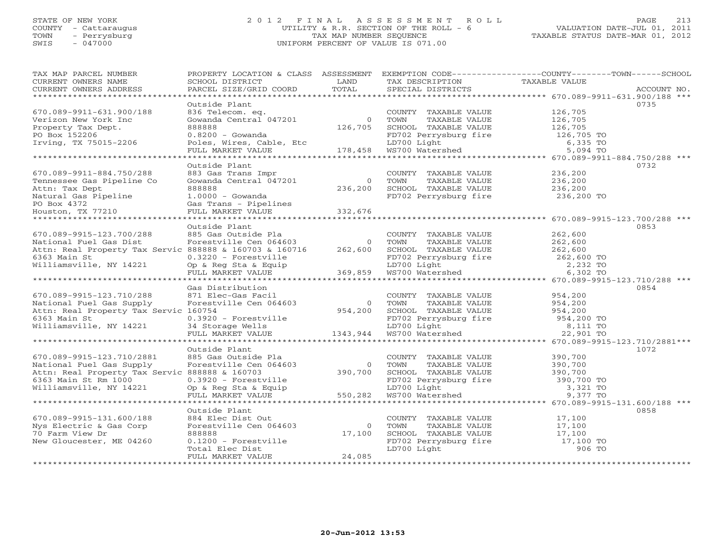# STATE OF NEW YORK 2 0 1 2 F I N A L A S S E S S M E N T R O L L PAGE 213 COUNTY - Cattaraugus UTILITY & R.R. SECTION OF THE ROLL - 6 VALUATION DATE-JUL 01, 2011 TOWN - Perrysburg TAX MAP NUMBER SEQUENCE TAXABLE STATUS DATE-MAR 01, 2012 SWIS - 047000 UNIFORM PERCENT OF VALUE IS 071.00

| TAX MAP PARCEL NUMBER<br>CURRENT OWNERS NAME<br>CURRENT OWNERS ADDRESS | PROPERTY LOCATION & CLASS ASSESSMENT<br>SCHOOL DISTRICT<br>PARCEL SIZE/GRID COORD | LAND<br>TOTAL | TAX DESCRIPTION<br>SPECIAL DISTRICTS                    | EXEMPTION CODE-----------------COUNTY-------TOWN------SCHOOL<br>TAXABLE VALUE<br>ACCOUNT NO. |
|------------------------------------------------------------------------|-----------------------------------------------------------------------------------|---------------|---------------------------------------------------------|----------------------------------------------------------------------------------------------|
|                                                                        |                                                                                   |               |                                                         |                                                                                              |
|                                                                        | Outside Plant                                                                     |               |                                                         | 0735                                                                                         |
| 670.089-9911-631.900/188                                               | 836 Telecom. eq.                                                                  |               | COUNTY TAXABLE VALUE                                    | 126,705                                                                                      |
| Verizon New York Inc                                                   | Gowanda Central 047201                                                            | $\circ$       | TOWN<br>TAXABLE VALUE                                   | 126,705                                                                                      |
| Property Tax Dept.                                                     | 888888                                                                            | 126,705       | SCHOOL TAXABLE VALUE                                    | 126,705                                                                                      |
| PO Box 152206                                                          | $0.8200 - Gowanda$                                                                |               |                                                         | 126,705 TO                                                                                   |
| Irving, TX 75015-2206                                                  | Poles, Wires, Cable, Etc                                                          |               | PD702 Perrysburg fire<br>LD700 Light<br>WS700 Watershed | 6,335 TO                                                                                     |
|                                                                        | FULL MARKET VALUE                                                                 | 178,458       | WS700 Watershed                                         | 5,094 TO                                                                                     |
|                                                                        |                                                                                   |               |                                                         |                                                                                              |
|                                                                        | Outside Plant                                                                     |               |                                                         | 0732                                                                                         |
| 670.089-9911-884.750/288                                               | 883 Gas Trans Impr                                                                |               | COUNTY TAXABLE VALUE                                    | 236,200                                                                                      |
| Tennessee Gas Pipeline Co                                              | Gowanda Central 047201                                                            | $\Omega$      | TOWN<br>TAXABLE VALUE                                   | 236,200                                                                                      |
| Attn: Tax Dept                                                         | 888888                                                                            | 236,200       | SCHOOL TAXABLE VALUE                                    | 236,200                                                                                      |
| Natural Gas Pipeline                                                   | $1.0000 - Gowanda$                                                                |               | FD702 Perrysburg fire                                   | 236,200 TO                                                                                   |
| PO Box 4372                                                            | Gas Trans - Pipelines                                                             |               |                                                         |                                                                                              |
| Houston, TX 77210                                                      | FULL MARKET VALUE                                                                 | 332,676       |                                                         |                                                                                              |
|                                                                        |                                                                                   |               |                                                         |                                                                                              |
|                                                                        | Outside Plant                                                                     |               |                                                         | 0853                                                                                         |
| 670.089-9915-123.700/288                                               | 885 Gas Outside Pla                                                               |               | COUNTY TAXABLE VALUE                                    | 262,600                                                                                      |
| National Fuel Gas Dist                                                 | Forestville Cen 064603                                                            | $\circ$       | TOWN<br>TAXABLE VALUE                                   | 262,600                                                                                      |
| Attn: Real Property Tax Servic 888888 & 160703 & 160716                |                                                                                   | 262,600       | SCHOOL TAXABLE VALUE                                    | 262,600                                                                                      |
| 6363 Main St<br>Williamsville, NY 14221                                | $0.3220$ - Forestville<br>Op & Reg Sta & Equip                                    |               |                                                         | 262,600 TO<br>2,232 TO                                                                       |
|                                                                        | FULL MARKET VALUE                                                                 | 369,859       | FD702 Perrysburg fire<br>LD700 Light<br>WS700 Watershed | 6,302 TO                                                                                     |
|                                                                        |                                                                                   |               |                                                         |                                                                                              |
|                                                                        | Gas Distribution                                                                  |               |                                                         | 0854                                                                                         |
| 670.089-9915-123.710/288                                               | 871 Elec-Gas Facil                                                                |               | COUNTY TAXABLE VALUE                                    | 954,200                                                                                      |
| National Fuel Gas Supply                                               | Forestville Cen 064603                                                            | $\circ$       | TOWN<br>TAXABLE VALUE                                   | 954,200                                                                                      |
| Attn: Real Property Tax Servic 160754                                  |                                                                                   | 954,200       | SCHOOL TAXABLE VALUE                                    | 954,200                                                                                      |
| 6363 Main St                                                           | $0.3920$ - Forestville                                                            |               | FD702 Perrysburg fire                                   | 954,200 TO                                                                                   |
| Williamsville, NY 14221                                                | 34 Storage Wells                                                                  |               | LD700 Light                                             | 8,111 TO                                                                                     |
|                                                                        | FULL MARKET VALUE                                                                 | 1343,944      | WS700 Watershed                                         | 22,901 TO                                                                                    |
|                                                                        |                                                                                   |               |                                                         |                                                                                              |
|                                                                        | Outside Plant                                                                     |               |                                                         | 1072                                                                                         |
| 670.089-9915-123.710/2881                                              | 885 Gas Outside Pla                                                               |               | COUNTY TAXABLE VALUE                                    | 390,700                                                                                      |
| National Fuel Gas Supply                                               | Forestville Cen 064603                                                            | $\circ$       | TOWN<br>TAXABLE VALUE                                   | 390,700                                                                                      |
| Attn: Real Property Tax Servic 888888 & 160703                         |                                                                                   | 390,700       | SCHOOL TAXABLE VALUE                                    | 390,700                                                                                      |
| 6363 Main St Rm 1000                                                   | $0.3920$ - Forestville                                                            |               |                                                         | 390,700 TO                                                                                   |
| Williamsville, NY 14221                                                | Op & Reg Sta & Equip                                                              |               | FD702 Perrysburg fire<br>LD700 Light                    | 3,321 TO                                                                                     |
|                                                                        | FULL MARKET VALUE                                                                 | 550,282       | WS700 Watershed                                         | 9,377 TO                                                                                     |
|                                                                        | *********************                                                             |               |                                                         | ******************************** 670.089-9915-131.600/188 ***                                |
|                                                                        | Outside Plant                                                                     |               |                                                         | 0858                                                                                         |
| 670.089-9915-131.600/188                                               | 884 Elec Dist Out                                                                 |               | COUNTY TAXABLE VALUE                                    | 17,100                                                                                       |
| Nys Electric & Gas Corp                                                | Forestville Cen 064603                                                            | $\circ$       | TAXABLE VALUE<br>TOWN                                   | 17,100                                                                                       |
| 70 Farm View Dr                                                        | 888888                                                                            | 17,100        | SCHOOL TAXABLE VALUE                                    | 17,100                                                                                       |
| New Gloucester, ME 04260                                               | $0.1200$ - Forestville                                                            |               | FD702 Perrysburg fire                                   | 17,100 TO                                                                                    |
|                                                                        | Total Elec Dist                                                                   |               | LD700 Light                                             | 906 TO                                                                                       |
| ************************                                               | FULL MARKET VALUE                                                                 | 24,085        |                                                         |                                                                                              |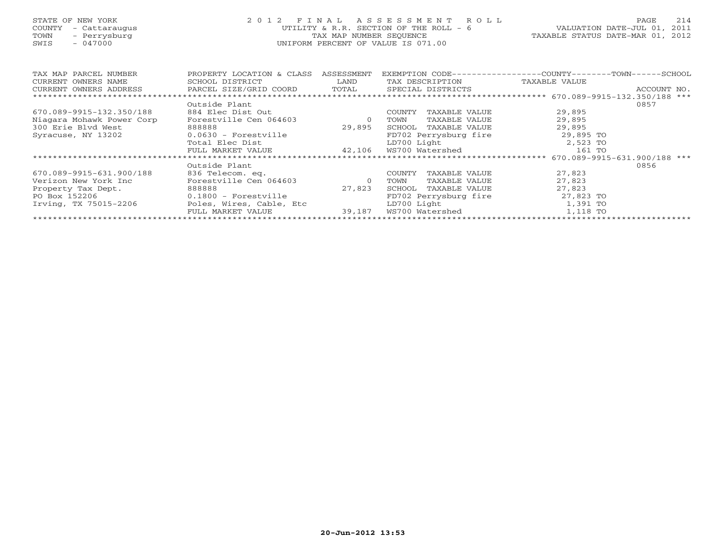# STATE OF NEW YORK 2 0 1 2 F I N A L A S S E S S M E N T R O L L PAGE 214 COUNTY - Cattaraugus UTILITY & R.R. SECTION OF THE ROLL - 6 VALUATION DATE-JUL 01, 2011 TOWN - Perrysburg TAX MAP NUMBER SEQUENCE TAXABLE STATUS DATE-MAR 01, 2012 SWIS - 047000 UNIFORM PERCENT OF VALUE IS 071.00UNIFORM PERCENT OF VALUE IS 071.00

| TAX MAP PARCEL NUMBER<br>CURRENT OWNERS NAME | PROPERTY LOCATION & CLASS<br>SCHOOL DISTRICT | ASSESSMENT<br>LAND | EXEMPTION CODE--<br>TAX DESCRIPTION | -------COUNTY--<br>$-{\tt TOWN}---{\tt SCHOOL}$<br>TAXABLE VALUE |
|----------------------------------------------|----------------------------------------------|--------------------|-------------------------------------|------------------------------------------------------------------|
| CURRENT OWNERS ADDRESS                       | PARCEL SIZE/GRID COORD                       | TOTAL              | SPECIAL DISTRICTS                   | ACCOUNT NO.                                                      |
|                                              |                                              |                    |                                     |                                                                  |
|                                              | Outside Plant                                |                    |                                     | 0857                                                             |
| 670.089-9915-132.350/188                     | 884 Elec Dist Out                            |                    | TAXABLE VALUE<br>COUNTY             | 29,895                                                           |
| Niagara Mohawk Power Corp                    | Forestville Cen 064603                       | $\circ$            | TOWN<br>TAXABLE VALUE               | 29,895                                                           |
| 300 Erie Blyd West                           | 888888                                       | 29,895             | SCHOOL<br>TAXABLE VALUE             | 29,895                                                           |
| Syracuse, NY 13202                           | $0.0630$ - Forestville                       |                    | FD702 Perrysburg fire               | 29,895 TO                                                        |
|                                              | Total Elec Dist                              |                    | LD700 Light                         | 2,523 TO                                                         |
|                                              | FULL MARKET VALUE                            | 42,106             | WS700 Watershed                     | 161 TO                                                           |
|                                              |                                              |                    |                                     | 670.089-9915-631.900/188 ***                                     |
|                                              | Outside Plant                                |                    |                                     | 0856                                                             |
| 670.089-9915-631.900/188                     | 836 Telecom. eq.                             |                    | TAXABLE VALUE<br>COUNTY             | 27,823                                                           |
| Verizon New York Inc                         | Forestville Cen 064603                       | $\circ$            | TOWN<br>TAXABLE VALUE               | 27,823                                                           |
| Property Tax Dept.                           | 888888                                       | 27,823             | SCHOOL<br>TAXABLE VALUE             | 27,823                                                           |
| PO Box 152206                                | $0.1800$ - Forestville                       |                    | FD702 Perrysburg fire               | 27,823 TO                                                        |
| Irving, TX 75015-2206                        | Poles, Wires, Cable, Etc                     |                    | LD700 Light                         | 1,391 TO                                                         |
|                                              | FULL MARKET VALUE                            | 39,187             | WS700 Watershed                     | 1,118 TO                                                         |
|                                              |                                              |                    |                                     |                                                                  |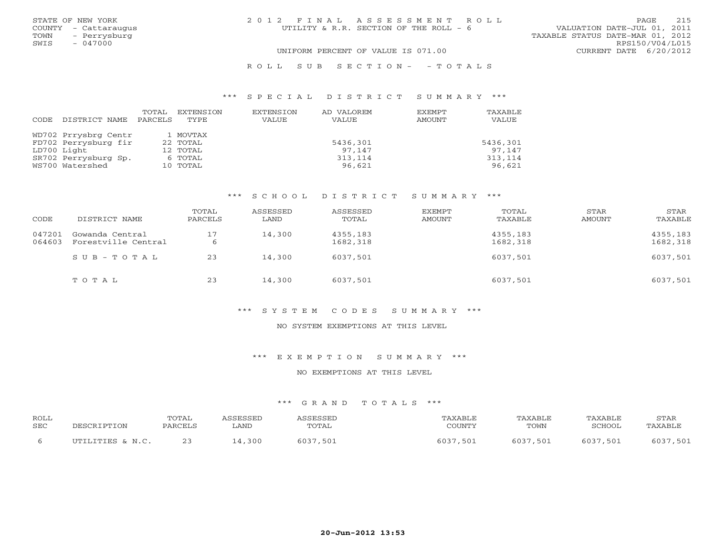|      | STATE OF NEW YORK    | 2012 FINAL ASSESSMENT ROLL             | 215<br>PAGE                      |
|------|----------------------|----------------------------------------|----------------------------------|
|      | COUNTY - Cattaraugus | UTILITY & R.R. SECTION OF THE ROLL - 6 | VALUATION DATE-JUL 01, 2011      |
| TOWN | - Perrysburg         |                                        | TAXABLE STATUS DATE-MAR 01, 2012 |
| SWIS | $-047000$            |                                        | RPS150/V04/L015                  |
|      |                      | UNIFORM PERCENT OF VALUE IS 071.00     | CURRENT DATE $6/20/2012$         |

R O L L S U B S E C T I O N - - T O T A L S

### \*\*\* S P E C I A L D I S T R I C T S U M M A R Y \*\*\*

|      |                      | TOTAL   | EXTENSION | <b>EXTENSION</b> | AD VALOREM   | EXEMPT | TAXABLE  |
|------|----------------------|---------|-----------|------------------|--------------|--------|----------|
| CODE | DISTRICT NAME        | PARCELS | TYPE      | VALUE            | <b>VALUE</b> | AMOUNT | VALUE    |
|      |                      |         |           |                  |              |        |          |
|      | WD702 Prrysbrg Centr |         | 1 MOVTAX  |                  |              |        |          |
|      | FD702 Perrysburg fir |         | 22 TOTAL  |                  | 5436,301     |        | 5436,301 |
|      | LD700 Light          |         | 12 TOTAL  |                  | 97.147       |        | 97.147   |
|      | SR702 Perrysburg Sp. |         | 6 TOTAL   |                  | 313,114      |        | 313,114  |
|      | WS700 Watershed      |         | 10 TOTAL  |                  | 96,621       |        | 96,621   |

#### \*\*\* S C H O O L D I S T R I C T S U M M A R Y \*\*\*

| CODE             | DISTRICT NAME                          | TOTAL<br>PARCELS | ASSESSED<br>LAND | ASSESSED<br>TOTAL    | EXEMPT<br>AMOUNT | TOTAL<br>TAXABLE     | STAR<br>AMOUNT | STAR<br>TAXABLE      |
|------------------|----------------------------------------|------------------|------------------|----------------------|------------------|----------------------|----------------|----------------------|
| 047201<br>064603 | Gowanda Central<br>Forestville Central | 17               | 14,300           | 4355,183<br>1682,318 |                  | 4355,183<br>1682,318 |                | 4355,183<br>1682,318 |
|                  | $SUB - TO T AL$                        | 23               | 14,300           | 6037,501             |                  | 6037,501             |                | 6037,501             |
|                  | TOTAL                                  | 23               | 14,300           | 6037,501             |                  | 6037,501             |                | 6037,501             |

#### \*\*\* S Y S T E M C O D E S S U M M A R Y \*\*\*

### NO SYSTEM EXEMPTIONS AT THIS LEVEL

### \*\*\* E X E M P T I O N S U M M A R Y \*\*\*

#### NO EXEMPTIONS AT THIS LEVEL

| <b>ROLL</b> |                   | TOTAL                | CCFCCFT        | <b>CECCE1</b> | $117 \text{ V}$ $777$<br>AXABLF. | TAXABLE | TAXABLE | STAR        |
|-------------|-------------------|----------------------|----------------|---------------|----------------------------------|---------|---------|-------------|
| SEC         |                   | יחי∩ת גם<br>PARUELD. | $\pi \pi \tau$ | 'OTAL         | COUNTY                           | TOWN    | SCHOOL  | · PA Y A RT |
|             | TITTT.TTTER & N C |                      | 300            | 037<br>50     | 501<br>60.                       | ,501    | 501     | 501<br>60.  |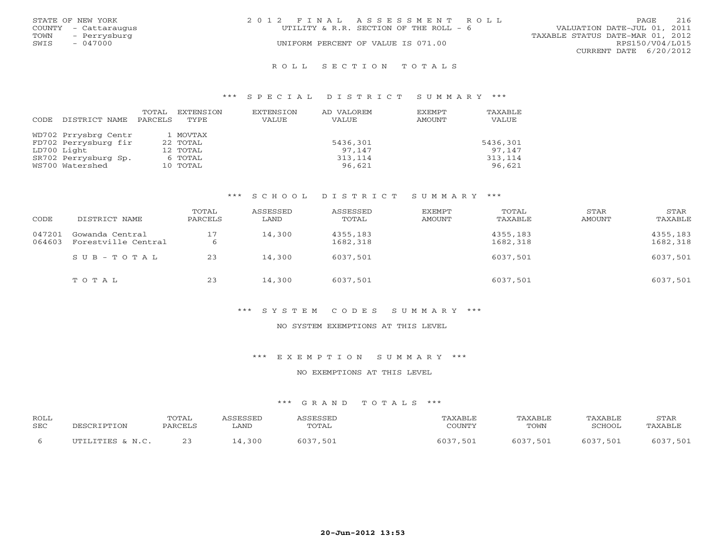| 2012 FINAL ASSESSMENT ROLL             | 216<br><b>PAGE</b>               |
|----------------------------------------|----------------------------------|
| UTILITY & R.R. SECTION OF THE ROLL - 6 | VALUATION DATE-JUL 01, 2011      |
|                                        | TAXABLE STATUS DATE-MAR 01, 2012 |
| UNIFORM PERCENT OF VALUE IS 071.00     | RPS150/V04/L015                  |
|                                        | CURRENT DATE 6/20/2012           |
|                                        |                                  |

#### R O L L S E C T I O N T O T A L S

#### \*\*\* S P E C I A L D I S T R I C T S U M M A R Y \*\*\*

|      |                      | TOTAL   | EXTENSION | <b>EXTENSION</b> | AD VALOREM   | EXEMPT | TAXABLE  |
|------|----------------------|---------|-----------|------------------|--------------|--------|----------|
| CODE | DISTRICT NAME        | PARCELS | TYPE.     | VALUE            | <b>VALUE</b> | AMOUNT | VALUE    |
|      |                      |         |           |                  |              |        |          |
|      | WD702 Prrysbrg Centr |         | 1 MOVTAX  |                  |              |        |          |
|      | FD702 Perrysburg fir |         | 22 TOTAL  |                  | 5436,301     |        | 5436,301 |
|      | LD700 Light          |         | 12 TOTAL  |                  | 97.147       |        | 97.147   |
|      | SR702 Perrysburg Sp. |         | 6 TOTAL   |                  | 313,114      |        | 313,114  |
|      | WS700 Watershed      |         | 10 TOTAL  |                  | 96,621       |        | 96,621   |

#### \*\*\* S C H O O L D I S T R I C T S U M M A R Y \*\*\*

| CODE             | DISTRICT NAME                          | TOTAL<br>PARCELS | ASSESSED<br>LAND | ASSESSED<br>TOTAL    | EXEMPT<br>AMOUNT | TOTAL<br>TAXABLE     | STAR<br>AMOUNT | STAR<br>TAXABLE      |
|------------------|----------------------------------------|------------------|------------------|----------------------|------------------|----------------------|----------------|----------------------|
| 047201<br>064603 | Gowanda Central<br>Forestville Central | 17<br>O          | 14,300           | 4355,183<br>1682,318 |                  | 4355,183<br>1682,318 |                | 4355,183<br>1682,318 |
|                  | $SUB - TO T AL$                        | 23               | 14,300           | 6037,501             |                  | 6037,501             |                | 6037,501             |
|                  | TOTAL                                  | 23               | 14,300           | 6037,501             |                  | 6037,501             |                | 6037,501             |

#### \*\*\* S Y S T E M C O D E S S U M M A R Y \*\*\*

### NO SYSTEM EXEMPTIONS AT THIS LEVEL

### \*\*\* E X E M P T I O N S U M M A R Y \*\*\*

#### NO EXEMPTIONS AT THIS LEVEL

| <b>ROLL</b> |                          | TOTAL |      |       |        |     | TAXABI F | STAR   |
|-------------|--------------------------|-------|------|-------|--------|-----|----------|--------|
| SEC         |                          | - - - | ∟AND | 'OTAL | COUNT" |     | SCHOOT   | ית אחי |
|             | ית די היחיד די היהודים מ |       | 300  | 603   | -501   | 501 | 501      |        |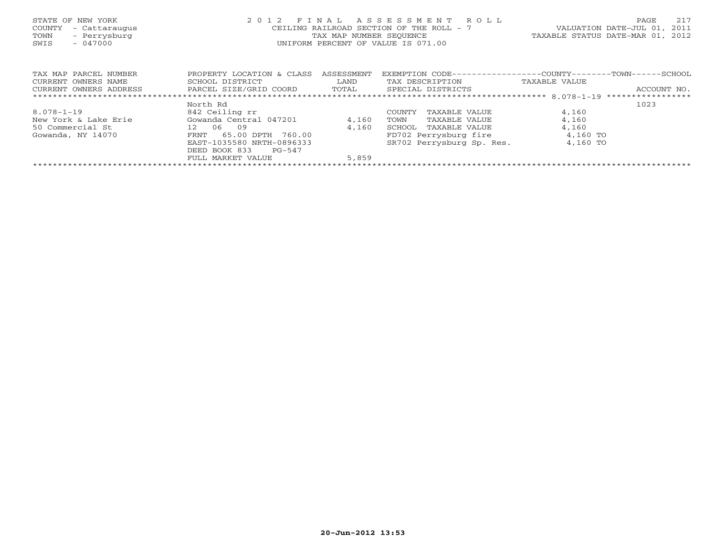| STATE OF NEW YORK<br>- Cattaraugus<br>COUNTY<br>- Perrysburg<br>TOWN<br>SWIS<br>$-047000$ | 2 0 1 2                                        | FINAL<br>TAX MAP NUMBER SEOUENCE | ASSESSMENT ROLL<br>CEILING RAILROAD SECTION OF THE ROLL - 7<br>UNIFORM PERCENT OF VALUE IS 071.00 | VALUATION DATE-JUL 01,<br>TAXABLE STATUS DATE-MAR 01, 2012 | 217<br>PAGE<br>2011 |
|-------------------------------------------------------------------------------------------|------------------------------------------------|----------------------------------|---------------------------------------------------------------------------------------------------|------------------------------------------------------------|---------------------|
| TAX MAP PARCEL NUMBER                                                                     | PROPERTY LOCATION & CLASS                      | ASSESSMENT                       | EXEMPTION CODE-----------------COUNTY-------TOWN------SCHOOL                                      |                                                            |                     |
| CURRENT OWNERS NAME                                                                       | SCHOOL DISTRICT                                | LAND                             | TAX DESCRIPTION                                                                                   | TAXABLE VALUE                                              |                     |
| CURRENT OWNERS ADDRESS                                                                    | PARCEL SIZE/GRID COORD TOTAL SPECIAL DISTRICTS |                                  |                                                                                                   |                                                            | ACCOUNT NO.         |
|                                                                                           |                                                |                                  |                                                                                                   |                                                            |                     |
|                                                                                           | North Rd                                       |                                  |                                                                                                   |                                                            | 1023                |
| $8.078 - 1 - 19$                                                                          | 842 Ceiling rr                                 |                                  | COUNTY<br>TAXABLE VALUE                                                                           | 4,160                                                      |                     |
| New York & Lake Erie                                                                      | Gowanda Central 047201                         | 4,160                            | TOWN<br>TAXABLE VALUE                                                                             | 4,160                                                      |                     |
| 50 Commercial St                                                                          | 12 06 09                                       | 4,160                            | SCHOOL<br>TAXABLE VALUE                                                                           | 4,160                                                      |                     |
| Gowanda, NY 14070                                                                         | 65.00 DPTH 760.00<br>FRNT                      |                                  | FD702 Perrysburg fire                                                                             | 4,160 TO                                                   |                     |
|                                                                                           | EAST-1035580 NRTH-0896333                      |                                  | SR702 Perrysburg Sp. Res.                                                                         | 4,160 TO                                                   |                     |
|                                                                                           | DEED BOOK 833<br>PG-547                        |                                  |                                                                                                   |                                                            |                     |
|                                                                                           | FULL MARKET VALUE                              | 5,859                            |                                                                                                   |                                                            |                     |
|                                                                                           |                                                |                                  |                                                                                                   |                                                            |                     |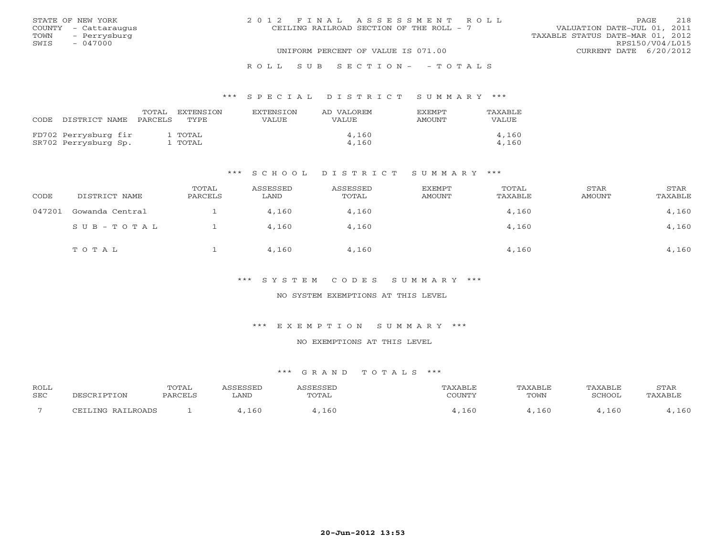|      | STATE OF NEW YORK    | 2012 FINAL ASSESSMENT ROLL               | <b>PAGE</b>                 | 218             |
|------|----------------------|------------------------------------------|-----------------------------|-----------------|
|      | COUNTY - Cattaraugus | CEILING RAILROAD SECTION OF THE ROLL - 7 | VALUATION DATE-JUL 01, 2011 |                 |
|      | TOWN - Perrysburg    | TAXABLE STATUS DATE-MAR 01, 2012         |                             |                 |
| SWIS | $-047000$            |                                          |                             | RPS150/V04/L015 |
|      |                      | UNIFORM PERCENT OF VALUE IS 071.00       | CURRENT DATE 6/20/2012      |                 |
|      |                      | ROLL SUB SECTION- - TOTALS               |                             |                 |

## TOTAL EXTENSION EXTENSION AD VALOREM EXEMPT TAXABLECODE DISTRICT NAME PARCELS TYPE VALUE VALUE AMOUNT VALUEFD702 Perrysburg fir 1 TOTAL 4,160 4,160 SR702 Perrysburg Sp. 1 TOTAL 4,160 4,160

\*\*\* S P E C I A L D I S T R I C T S U M M A R Y \*\*\*

#### \*\*\* S C H O O L D I S T R I C T S U M M A R Y \*\*\*

| CODE   | DISTRICT NAME   | TOTAL<br>PARCELS | ASSESSED<br>LAND | ASSESSED<br>TOTAL | EXEMPT<br><b>AMOUNT</b> | TOTAL<br>TAXABLE | STAR<br><b>AMOUNT</b> | STAR<br>TAXABLE |
|--------|-----------------|------------------|------------------|-------------------|-------------------------|------------------|-----------------------|-----------------|
| 047201 | Gowanda Central |                  | 4,160            | 4,160             |                         | 4,160            |                       | 4,160           |
|        | SUB-TOTAL       |                  | 4,160            | 4,160             |                         | 4,160            |                       | 4,160           |
|        | TOTAL           |                  | 4,160            | 4,160             |                         | 4,160            |                       | 4,160           |

\*\*\* S Y S T E M C O D E S S U M M A R Y \*\*\*

NO SYSTEM EXEMPTIONS AT THIS LEVEL

\*\*\* E X E M P T I O N S U M M A R Y \*\*\*

NO EXEMPTIONS AT THIS LEVEL

| <b>ROLL</b> | $m \cap m \wedge r$<br><b>UIAL</b> |      |      |     | ◝    |        | ¬ጥ∆⊾<br>بدء عدب |
|-------------|------------------------------------|------|------|-----|------|--------|-----------------|
| SEC         |                                    | LAND | ட்ட  |     | TOWN |        |                 |
|             |                                    |      |      |     |      |        |                 |
|             |                                    | エロい  | 16 C | .61 |      | $\sim$ |                 |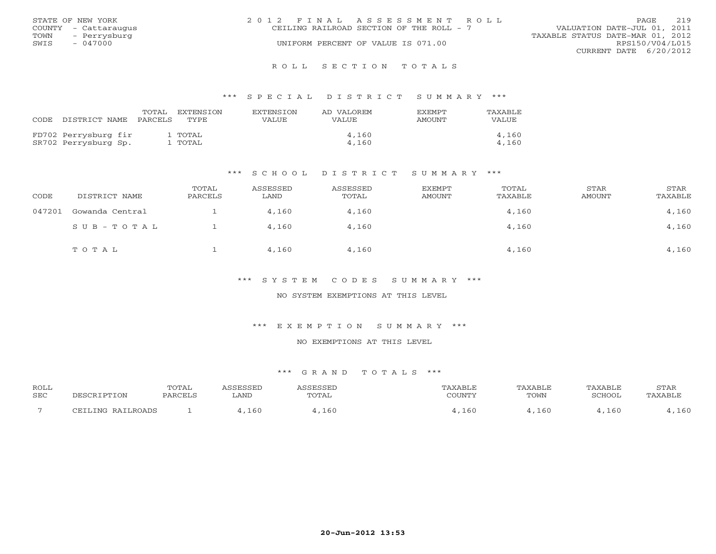|      | STATE OF NEW YORK    | 2012 FINAL ASSESSMENT ROLL               | 219<br>PAGE                      |
|------|----------------------|------------------------------------------|----------------------------------|
|      | COUNTY - Cattaraugus | CEILING RAILROAD SECTION OF THE ROLL - 7 | VALUATION DATE-JUL 01, 2011      |
| TOWN | - Perrysburg         |                                          | TAXABLE STATUS DATE-MAR 01, 2012 |
| SWIS | $-047000$            | UNIFORM PERCENT OF VALUE IS 071.00       | RPS150/V04/L015                  |
|      |                      |                                          | CURRENT DATE $6/20/2012$         |
|      |                      |                                          |                                  |

#### R O L L S E C T I O N T O T A L S

#### \*\*\* S P E C I A L D I S T R I C T S U M M A R Y \*\*\*

| CODE DISTRICT NAME PARCELS                   | TOTAL | EXTENSION<br>TYPE  | EXTENSTON<br>VALUE | AD VALOREM<br>VALUE | <b>FXEMPT</b><br>AMOUNT | TAXABLE<br>VALUE |
|----------------------------------------------|-------|--------------------|--------------------|---------------------|-------------------------|------------------|
| FD702 Perrysburg fir<br>SR702 Perrysburg Sp. |       | 1 TOTAL<br>. TOTAL |                    | 4,160<br>4,160      |                         | 4,160<br>4,160   |

#### \*\*\* S C H O O L D I S T R I C T S U M M A R Y \*\*\*

| CODE   | DISTRICT NAME   | TOTAL<br>PARCELS | ASSESSED<br>LAND | ASSESSED<br>TOTAL | <b>EXEMPT</b><br>AMOUNT | TOTAL<br>TAXABLE | STAR<br>AMOUNT | STAR<br>TAXABLE |
|--------|-----------------|------------------|------------------|-------------------|-------------------------|------------------|----------------|-----------------|
| 047201 | Gowanda Central |                  | 4,160            | 4,160             |                         | 4,160            |                | 4,160           |
|        | $SUB - TO T AL$ |                  | 4,160            | 4,160             |                         | 4,160            |                | 4,160           |
|        | TOTAL           |                  | 4,160            | 4,160             |                         | 4,160            |                | 4,160           |

\*\*\* S Y S T E M C O D E S S U M M A R Y \*\*\*

NO SYSTEM EXEMPTIONS AT THIS LEVEL

\*\*\* E X E M P T I O N S U M M A R Y \*\*\*

NO EXEMPTIONS AT THIS LEVEL

| <b>ROLL</b> |            | <b>TOTAL</b> | CCFCCFD |      |     | AXABI F | 'AXABLE | STAR |
|-------------|------------|--------------|---------|------|-----|---------|---------|------|
| SEC         | . 1 F C /  |              | ∟AND    | UIAL |     | TOWN    | SCHOOT  |      |
|             | סתגמס זדגס |              | 160     | 160  | -60 | -60     | 6(      | 160  |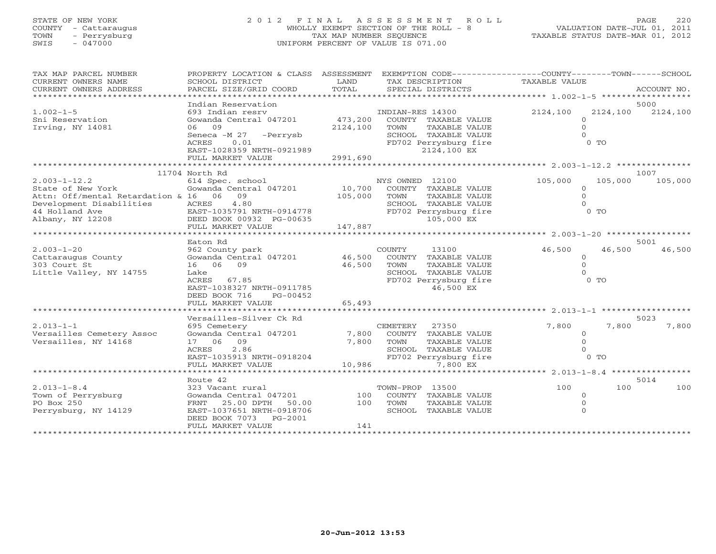## STATE OF NEW YORK 2 0 1 2 F I N A L A S S E S S M E N T R O L L PAGE 220 COUNTY - Cattaraugus WHOLLY EXEMPT SECTION OF THE ROLL - 8 VALUATION DATE-JUL 01, 2011 TOWN - Perrysburg TAX MAP NUMBER SEQUENCE TAXABLE STATUS DATE-MAR 01, 2012 SWIS - 047000 UNIFORM PERCENT OF VALUE IS 071.00

| TAX MAP PARCEL NUMBER<br>CURRENT OWNERS NAME                                                                                                         | PROPERTY LOCATION & CLASS ASSESSMENT<br>SCHOOL DISTRICT                                                                                                              | LAND                         | EXEMPTION CODE----------------COUNTY-------TOWN-----SCHOOL<br>TAX DESCRIPTION                                                     | TAXABLE VALUE                            |                                  |
|------------------------------------------------------------------------------------------------------------------------------------------------------|----------------------------------------------------------------------------------------------------------------------------------------------------------------------|------------------------------|-----------------------------------------------------------------------------------------------------------------------------------|------------------------------------------|----------------------------------|
| CURRENT OWNERS ADDRESS<br>*************************                                                                                                  | PARCEL SIZE/GRID COORD                                                                                                                                               | TOTAL                        | SPECIAL DISTRICTS                                                                                                                 |                                          | ACCOUNT NO.                      |
|                                                                                                                                                      | Indian Reservation                                                                                                                                                   |                              |                                                                                                                                   |                                          | 5000                             |
| $1.002 - 1 - 5$<br>Sni Reservation<br>Irving, NY 14081                                                                                               | 693 Indian resrv<br>Gowanda Central 047201<br>06 09                                                                                                                  | 473,200<br>2124,100          | INDIAN-RES 14300<br>COUNTY TAXABLE VALUE<br>TOWN<br>TAXABLE VALUE                                                                 | 2124,100<br>$\Omega$<br>$\Omega$         | 2124,100<br>2124,100             |
|                                                                                                                                                      | Seneca -M 27 -Perrysb<br>ACRES<br>0.01<br>EAST-1028359 NRTH-0921989<br>FULL MARKET VALUE                                                                             | 2991,690                     | SCHOOL TAXABLE VALUE<br>FD702 Perrysburg fire<br>2124,100 EX                                                                      |                                          | $0$ TO                           |
|                                                                                                                                                      |                                                                                                                                                                      |                              |                                                                                                                                   |                                          |                                  |
|                                                                                                                                                      | 11704 North Rd                                                                                                                                                       |                              |                                                                                                                                   |                                          | 1007                             |
| $2.003 - 1 - 12.2$<br>State of New York<br>Attn: Off/mental Retardation & 16 06 09<br>Development Disabilities<br>44 Holland Ave<br>Albany, NY 12208 | 614 Spec. school<br>Gowanda Central 047201<br>4.80<br>ACRES<br>EAST-1035791 NRTH-0914778<br>DEED BOOK 00932 PG-00635<br>FULL MARKET VALUE                            | 10,700<br>105,000<br>147,887 | NYS OWNED 12100<br>COUNTY TAXABLE VALUE<br>TOWN<br>TAXABLE VALUE<br>SCHOOL TAXABLE VALUE<br>FD702 Perrysburg fire<br>105,000 EX   | 105,000<br>$\Omega$<br>$\Omega$          | 105,000<br>105,000<br>$0$ TO     |
|                                                                                                                                                      |                                                                                                                                                                      |                              |                                                                                                                                   |                                          |                                  |
|                                                                                                                                                      | Eaton Rd                                                                                                                                                             |                              |                                                                                                                                   |                                          | 5001                             |
| $2.003 - 1 - 20$<br>Cattaraugus County<br>303 Court St<br>Little Valley, NY 14755                                                                    | 962 County park<br>Gowanda Central 047201<br>16 06<br>09<br>Lake<br>ACRES 67.85<br>EAST-1038327 NRTH-0911785<br>DEED BOOK 716<br>PG-00452                            | 46,500<br>46,500             | COUNTY<br>13100<br>COUNTY<br>TAXABLE VALUE<br>TOWN<br>TAXABLE VALUE<br>SCHOOL TAXABLE VALUE<br>FD702 Perrysburg fire<br>46,500 EX | 46,500<br>$\circ$<br>$\Omega$            | 46,500<br>46,500<br>$0$ TO       |
|                                                                                                                                                      | FULL MARKET VALUE                                                                                                                                                    | 65,493                       |                                                                                                                                   |                                          |                                  |
|                                                                                                                                                      |                                                                                                                                                                      |                              | ******************************                                                                                                    | ************ 2.013-1-1 **********        |                                  |
| $2.013 - 1 - 1$<br>Versailles Cemetery Assoc<br>Versailles, NY 14168                                                                                 | Versailles-Silver Ck Rd<br>695 Cemetery<br>Gowanda Central 047201<br>17 06<br>09<br>2.86<br>ACRES<br>EAST-1035913 NRTH-0918204<br>FULL MARKET VALUE                  | 7,800<br>7,800<br>10,986     | CEMETERY<br>27350<br>COUNTY TAXABLE VALUE<br>TOWN<br>TAXABLE VALUE<br>SCHOOL TAXABLE VALUE<br>FD702 Perrysburg fire<br>7,800 EX   | 7,800<br>$\circ$<br>$\Omega$<br>$\Omega$ | 5023<br>7,800<br>7,800<br>$0$ TO |
|                                                                                                                                                      | ******************                                                                                                                                                   |                              |                                                                                                                                   | ******** 2.013-1-8.4 **********          |                                  |
| $2.013 - 1 - 8.4$<br>Town of Perrysburg<br>PO Box 250<br>Perrysburg, NY 14129                                                                        | Route 42<br>323 Vacant rural<br>Gowanda Central 047201<br>FRNT<br>25.00 DPTH<br>50.00<br>EAST-1037651 NRTH-0918706<br>PG-2001<br>DEED BOOK 7073<br>FULL MARKET VALUE | 100<br>100<br>141            | TOWN-PROP 13500<br>COUNTY TAXABLE VALUE<br>TOWN<br>TAXABLE VALUE<br>SCHOOL TAXABLE VALUE                                          | 100<br>$\circ$<br>$\Omega$<br>$\Omega$   | 5014<br>100<br>100               |
|                                                                                                                                                      |                                                                                                                                                                      |                              |                                                                                                                                   |                                          |                                  |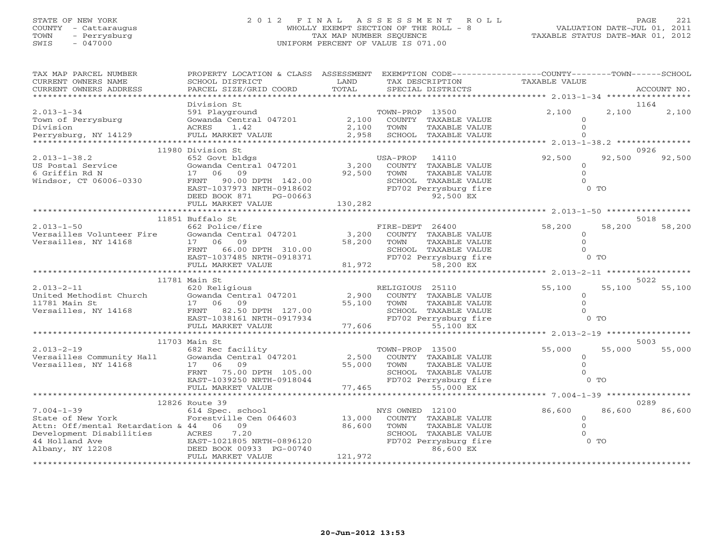## STATE OF NEW YORK 2 0 1 2 F I N A L A S S E S S M E N T R O L L PAGE 221 COUNTY - Cattaraugus WHOLLY EXEMPT SECTION OF THE ROLL - 8 VALUATION DATE-JUL 01, 2011 TOWN - Perrysburg TAX MAP NUMBER SEQUENCE TAXABLE STATUS DATE-MAR 01, 2012 SWIS - 047000 UNIFORM PERCENT OF VALUE IS 071.00

| TAX MAP PARCEL NUMBER<br>CURRENT OWNERS NAME<br>CURRENT OWNERS ADDRESS                                | PROPERTY LOCATION & CLASS ASSESSMENT<br>SCHOOL DISTRICT<br>PARCEL SIZE/GRID COORD                                                                                                              | LAND<br>TOTAL                                    | EXEMPTION CODE-----------------COUNTY-------TOWN------SCHOOL<br>TAX DESCRIPTION<br>SPECIAL DISTRICTS                                                  | TAXABLE VALUE                              |                          | ACCOUNT NO.    |
|-------------------------------------------------------------------------------------------------------|------------------------------------------------------------------------------------------------------------------------------------------------------------------------------------------------|--------------------------------------------------|-------------------------------------------------------------------------------------------------------------------------------------------------------|--------------------------------------------|--------------------------|----------------|
| ************************                                                                              |                                                                                                                                                                                                |                                                  |                                                                                                                                                       |                                            |                          |                |
| $2.013 - 1 - 34$<br>Town of Perrysburg<br>Division<br>Perrysburg, NY 14129                            | Division St<br>ACRES<br>1.42<br>FULL MARKET VALUE                                                                                                                                              | 2,100<br>2,100<br>2,958                          | TOWN<br>TAXABLE VALUE<br>SCHOOL TAXABLE VALUE                                                                                                         | 2,100<br>$\Omega$<br>$\Omega$              | 2,100                    | 1164<br>2,100  |
|                                                                                                       |                                                                                                                                                                                                |                                                  |                                                                                                                                                       |                                            |                          |                |
| $2.013 - 1 - 38.2$<br>US Postal Service<br>6 Griffin Rd N<br>6 Griffin Rd N<br>Windsor, CT 06006-0330 | 11980 Division St<br>US<br>652 Govt bldgs<br>Gowanda Central 047201 3,200<br>17 06 09<br>FRNT 90.00 DPTH 142.00<br>EAST-1037973 NRTH-0918602<br>DEED BOOK 871<br>PG-00663<br>FULL MARKET VALUE | 92,500 TOWN<br>130,282                           | 14110<br>USA-PROP<br>COUNTY TAXABLE VALUE<br>TAXABLE VALUE<br>SCHOOL TAXABLE VALUE<br>FD702 Perrysburg fire<br>92,500 EX                              | 92,500<br>$\Omega$<br>$\Omega$<br>$\cap$   | 92,500<br>$0$ TO         | 0926<br>92,500 |
|                                                                                                       |                                                                                                                                                                                                |                                                  |                                                                                                                                                       |                                            |                          |                |
| $2.013 - 1 - 50$<br>Versailles Volunteer Fire<br>Versailles, NY 14168                                 | 11851 Buffalo St<br>662 Police/fire<br>Collective Contract Covanda Central 047201 3,200<br>17 06 09<br>FRNT 66.00 DPTH 310.00<br>EAST-1037485 NRTH-0918371<br>FULL MARKET VALUE                | 58,200<br>$10.00$<br>$18371$<br>$81,972$<br>FD70 | FIRE-DEPT 26400<br>COUNTY TAXABLE VALUE<br>TOWN<br>TAXABLE VALUE<br>SCHOOL TAXABLE VALUE<br>FD702 Perrysburg fire<br>58,200 EX                        | 58,200<br>$\circ$<br>$\circ$<br>$\Omega$   | 58,200<br>$0$ TO         | 5018<br>58,200 |
|                                                                                                       |                                                                                                                                                                                                |                                                  |                                                                                                                                                       |                                            |                          |                |
| $2.013 - 2 - 11$                                                                                      | 11781 Main St<br>620 Religious<br>EAST-1038161 NRTH-0917934<br>FULL MARKET VALUE                                                                                                               | 2,900<br>55,100<br>77,606                        | RELIGIOUS 25110<br>COUNTY TAXABLE VALUE<br>TAXABLE VALUE<br>TOWN<br>SCHOOL TAXABLE VALUE<br>FD702 Perrysburg fire<br>55,100 EX                        | 55,100<br>$\circ$<br>$\Omega$<br>$\Omega$  | 55,100<br>$0$ TO         | 5022<br>55,100 |
|                                                                                                       |                                                                                                                                                                                                |                                                  |                                                                                                                                                       | ********** 2.013-2-19 ************         |                          |                |
| $2.013 - 2 - 19$<br>Versailles Community Hall Gowanda Central 047201<br>Versailles, NY 14168 17 06 09 | 11703 Main St<br>682 Rec facility<br>FRNT 75.00 DPTH 105.00<br>EAST-1039250 NRTH-0918044<br>FULL MARKET VALUE                                                                                  |                                                  | TOWN-PROP 13500<br>2,500 COUNTY TAXABLE VALUE<br>55,000 TOWN<br>TAXABLE VALUE<br>SCHOOL TAXABLE VALUE<br>FD702 Perrysburg fire<br>77,465<br>55,000 EX | 55,000<br>$\Omega$<br>$\Omega$<br>$\Omega$ | 55,000<br>0 <sub>0</sub> | 5003<br>55,000 |
|                                                                                                       |                                                                                                                                                                                                |                                                  |                                                                                                                                                       |                                            |                          |                |
| $7.004 - 1 - 39$                                                                                      | 12826 Route 39<br>614 Spec. school                                                                                                                                                             |                                                  | NYS OWNED 12100                                                                                                                                       | 86,600                                     | 86,600                   | 0289<br>86,600 |
| State of New York<br>Attn: Off/mental Retardation & 44 06 09<br>44 Holland Ave<br>Albany, NY 12208    | Forestville Cen 064603                                                                                                                                                                         | 13,000<br>86,600                                 | COUNTY TAXABLE VALUE<br>TOWN<br>TAXABLE VALUE<br>SCHOOL TAXABLE VALUE<br>FD702 Perrysburg fire<br>86,600 EX                                           | $\overline{O}$<br>$\Omega$<br>$\Omega$     | $0$ TO                   |                |
|                                                                                                       | FULL MARKET VALUE                                                                                                                                                                              | 121,972                                          |                                                                                                                                                       |                                            |                          |                |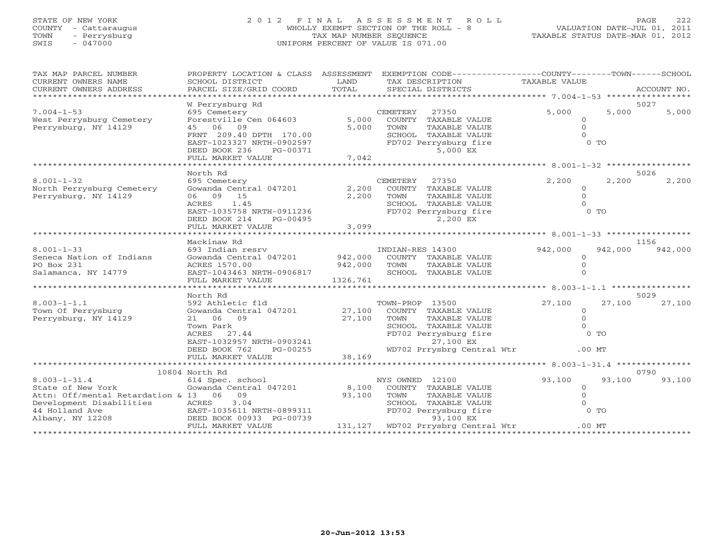# STATE OF NEW YORK 2 0 1 2 F I N A L A S S E S S M E N T R O L L PAGE 222 COUNTY - Cattaraugus WHOLLY EXEMPT SECTION OF THE ROLL - 8 VALUATION DATE-JUL 01, 2011 TOWN - Perrysburg TAX MAP NUMBER SEQUENCE TAXABLE STATUS DATE-MAR 01, 2012 SWIS - 047000 UNIFORM PERCENT OF VALUE IS 071.00

| TAX MAP PARCEL NUMBER                   | PROPERTY LOCATION & CLASS                  | ASSESSMENT | EXEMPTION CODE-----------------COUNTY-------TOWN------SCHOOL |                      |                        |
|-----------------------------------------|--------------------------------------------|------------|--------------------------------------------------------------|----------------------|------------------------|
| CURRENT OWNERS NAME                     | SCHOOL DISTRICT                            | LAND       | TAX DESCRIPTION                                              | <b>TAXABLE VALUE</b> |                        |
| CURRENT OWNERS ADDRESS                  | PARCEL SIZE/GRID COORD                     | TOTAL      | SPECIAL DISTRICTS                                            |                      | ACCOUNT NO.            |
| ********************                    |                                            |            |                                                              |                      |                        |
| $7.004 - 1 - 53$                        | W Perrysburg Rd<br>695 Cemetery            |            | 27350<br>CEMETERY                                            | 5,000                | 5027<br>5,000<br>5,000 |
| West Perrysburg Cemetery                | Forestville Cen 064603                     | 5,000      | COUNTY TAXABLE VALUE                                         | $\circ$              |                        |
| Perrysburg, NY 14129                    | 06 09<br>45                                | 5,000      | TOWN<br>TAXABLE VALUE                                        | $\Omega$             |                        |
|                                         | FRNT 209.40 DPTH 170.00                    |            | SCHOOL TAXABLE VALUE                                         | $\cap$               |                        |
|                                         | EAST-1023327 NRTH-0902597                  |            | FD702 Perrysburg fire                                        | 0 TO                 |                        |
|                                         | DEED BOOK 236<br>PG-00371                  |            | 5,000 EX                                                     |                      |                        |
|                                         | FULL MARKET VALUE                          | 7,042      |                                                              |                      |                        |
|                                         |                                            |            |                                                              |                      |                        |
|                                         | North Rd                                   |            |                                                              |                      | 5026                   |
| $8.001 - 1 - 32$                        | 695 Cemetery                               |            | 27350<br>CEMETERY                                            | 2,200                | 2,200<br>2,200         |
| North Perrysburg Cemetery               | Gowanda Central 047201                     | 2,200      | COUNTY TAXABLE VALUE                                         | $\circ$              |                        |
| Perrysburg, NY 14129                    | 06 09 15                                   | 2,200      | TOWN<br>TAXABLE VALUE                                        | $\Omega$             |                        |
|                                         | 1.45<br>ACRES                              |            | SCHOOL TAXABLE VALUE                                         |                      |                        |
|                                         | EAST-1035758 NRTH-0911236                  |            | FD702 Perrysburg fire                                        | 0 <sub>T</sub>       |                        |
|                                         | DEED BOOK 214<br>PG-00495                  |            | 2,200 EX                                                     |                      |                        |
|                                         | FULL MARKET VALUE                          | 3,099      |                                                              |                      |                        |
|                                         |                                            |            |                                                              |                      |                        |
| $8.001 - 1 - 33$                        | Mackinaw Rd<br>693 Indian resrv            |            |                                                              |                      | 1156                   |
| Seneca Nation of Indians                | Gowanda Central 047201                     | 942,000    | INDIAN-RES 14300<br>COUNTY TAXABLE VALUE                     | 942,000<br>$\Omega$  | 942,000<br>942,000     |
| PO Box 231                              | ACRES 1570.00                              | 942,000    | TOWN<br>TAXABLE VALUE                                        | $\Omega$             |                        |
| Salamanca, NY 14779                     | EAST-1043463 NRTH-0906817                  |            | SCHOOL TAXABLE VALUE                                         |                      |                        |
|                                         | FULL MARKET VALUE                          | 1326,761   |                                                              |                      |                        |
|                                         |                                            |            |                                                              |                      |                        |
|                                         | North Rd                                   |            |                                                              |                      | 5029                   |
| $8.003 - 1 - 1.1$                       | 592 Athletic fld                           |            | TOWN-PROP 13500                                              | 27,100               | 27,100<br>27,100       |
| Town Of Perrysburg                      | Gowanda Central 047201                     | 27,100     | COUNTY TAXABLE VALUE                                         | $\circ$              |                        |
| Perrysburg, NY 14129                    | 06 09<br>21                                | 27,100     | TOWN<br>TAXABLE VALUE                                        | $\circ$              |                        |
|                                         | Town Park                                  |            | SCHOOL TAXABLE VALUE                                         | $\Omega$             |                        |
|                                         | ACRES<br>27.44                             |            | FD702 Perrysburg fire                                        | $0$ TO               |                        |
|                                         | EAST-1032957 NRTH-0903241                  |            | 27,100 EX                                                    |                      |                        |
|                                         | DEED BOOK 762<br>PG-00255                  |            | WD702 Prrysbrg Central Wtr                                   | $.00$ MT             |                        |
|                                         | FULL MARKET VALUE                          | 38,169     |                                                              |                      |                        |
|                                         |                                            |            |                                                              |                      |                        |
|                                         | 10804 North Rd                             |            |                                                              |                      | 0790                   |
| $8.003 - 1 - 31.4$<br>State of New York | 614 Spec. school<br>Gowanda Central 047201 | 8,100      | NYS OWNED 12100<br>COUNTY TAXABLE VALUE                      | 93,100<br>$\circ$    | 93,100<br>93,100       |
| Attn: Off/mental Retardation & 13 06    | 09                                         | 93,100     | TOWN<br>TAXABLE VALUE                                        | $\mathbf{0}$         |                        |
| Development Disabilities                | 3.04<br>ACRES                              |            | SCHOOL TAXABLE VALUE                                         |                      |                        |
| 44 Holland Ave                          | EAST-1035611 NRTH-0899311                  |            | FD702 Perrysburg fire                                        | $0$ TO               |                        |
| Albany, NY 12208                        | DEED BOOK 00933 PG-00739                   |            | 93,100 EX                                                    |                      |                        |
|                                         | FULL MARKET VALUE                          |            | 131,127 WD702 Prrysbrg Central Wtr                           | $.00$ MT             |                        |
|                                         |                                            |            |                                                              |                      |                        |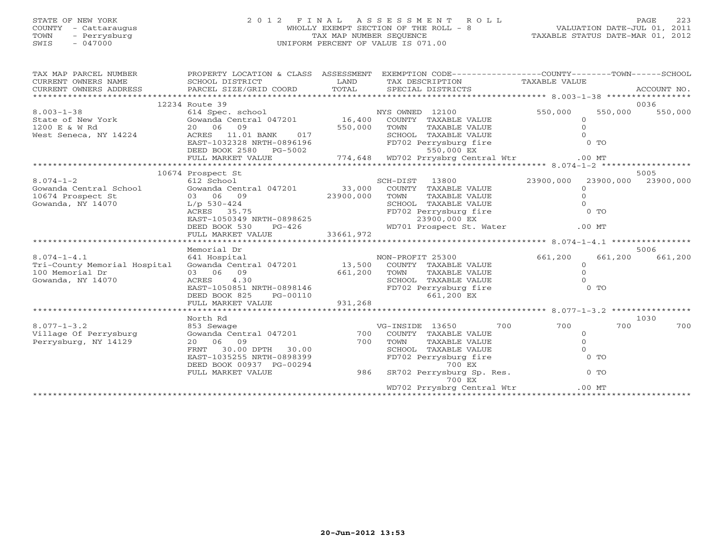# STATE OF NEW YORK 2 0 1 2 F I N A L A S S E S S M E N T R O L L PAGE 223 COUNTY - Cattaraugus WHOLLY EXEMPT SECTION OF THE ROLL - 8 VALUATION DATE-JUL 01, 2011 TOWN - Perrysburg TAX MAP NUMBER SEQUENCE TAXABLE STATUS DATE-MAR 01, 2012 SWIS - 047000 UNIFORM PERCENT OF VALUE IS 071.00

| TAX MAP PARCEL NUMBER<br>CURRENT OWNERS NAME<br>CURRENT OWNERS ADDRESS | PROPERTY LOCATION & CLASS ASSESSMENT<br>SCHOOL DISTRICT                                                          | LAND         | EXEMPTION CODE-----------------COUNTY-------TOWN------SCHOOL<br>TAX DESCRIPTION | TAXABLE VALUE |                     |         |
|------------------------------------------------------------------------|------------------------------------------------------------------------------------------------------------------|--------------|---------------------------------------------------------------------------------|---------------|---------------------|---------|
|                                                                        | 12234 Route 39                                                                                                   |              |                                                                                 |               |                     | 0036    |
| $8.003 - 1 - 38$                                                       |                                                                                                                  |              |                                                                                 | 550,000       | 550,000             | 550,000 |
|                                                                        |                                                                                                                  |              |                                                                                 |               | $\Omega$            |         |
| State of New York<br>1200 E & W Rd                                     | 20 06 09                                                                                                         | 550,000      | TAXABLE VALUE<br>TOWN                                                           |               | $\Omega$            |         |
| West Seneca, NY 14224                                                  |                                                                                                                  |              | SCHOOL TAXABLE VALUE                                                            |               | $\Omega$            |         |
|                                                                        | ACRES 11.01 BANK 017<br>EAST-1032328 NRTH-0896196                                                                |              | FD702 Perrysburg fire                                                           |               | $0$ TO              |         |
|                                                                        | DEED BOOK 2580 PG-5002                                                                                           |              | $-5002$<br>$-774,648$ WD702 Prrysbrg Central Wtr                                |               |                     |         |
|                                                                        | FULL MARKET VALUE                                                                                                |              |                                                                                 |               | $.00$ MT            |         |
|                                                                        |                                                                                                                  |              |                                                                                 |               |                     |         |
|                                                                        | 10674 Prospect St                                                                                                |              |                                                                                 |               |                     | 5005    |
| $8.074 - 1 - 2$                                                        | 612 School                                                                                                       |              | SCH-DIST 13800                                                                  | 23900,000     | 23900,000 23900,000 |         |
| Gowanda Central School                                                 | Gowanda Central 047201 33,000                                                                                    |              | COUNTY TAXABLE VALUE                                                            |               | $\Omega$            |         |
| 10674 Prospect St                                                      | 03 06 09                                                                                                         | 23900,000    | TAXABLE VALUE<br>TOWN                                                           |               | $\Omega$            |         |
| Gowanda, $N\bar{Y}$ 14070                                              | $L/p$ 530-424                                                                                                    |              | SCHOOL TAXABLE VALUE                                                            |               | $\Omega$            |         |
|                                                                        | ACRES 35.75                                                                                                      |              | FD702 Perrysburg fire                                                           |               | $0$ TO              |         |
|                                                                        |                                                                                                                  |              | 23900,000 EX                                                                    |               |                     |         |
|                                                                        | EAST-1050349 NRTH-0898625<br>DEED BOOK 530 PG-426<br>FULL MARKET VALUE 33661,972                                 |              | WD701 Prospect St. Water                                                        |               | $.00$ MT            |         |
|                                                                        |                                                                                                                  |              |                                                                                 |               |                     |         |
|                                                                        |                                                                                                                  |              |                                                                                 |               |                     |         |
|                                                                        | Memorial Dr                                                                                                      |              |                                                                                 |               |                     | 5006    |
| $8.074 - 1 - 4.1$                                                      | 641 Hospital                                                                                                     |              | NON-PROFIT 25300                                                                | 661,200       | 661,200             | 661,200 |
| Tri-County Memorial Hospital                                           | Gowanda Central 047201 13,500 COUNTY TAXABLE VALUE                                                               |              |                                                                                 |               | $\Omega$            |         |
| 100 Memorial Dr                                                        | 03 06 09                                                                                                         | 661,200 TOWN | TAXABLE VALUE                                                                   |               | $\Omega$            |         |
| Gowanda, NY 14070                                                      |                                                                                                                  |              |                                                                                 |               | $\Omega$            |         |
|                                                                        |                                                                                                                  |              |                                                                                 |               | $0$ TO              |         |
|                                                                        | 03 06 09<br>ACRES 4.30<br>EAST-1050851 NRTH-0898146 FD702 Perrysburg fire<br>FD702 Perrysburg fire<br>661,200 EX |              |                                                                                 |               |                     |         |
|                                                                        | FULL MARKET VALUE                                                                                                |              |                                                                                 |               |                     |         |
|                                                                        | North Rd                                                                                                         |              |                                                                                 |               |                     | 1030    |
| $8.077 - 1 - 3.2$                                                      | 853 Sewage                                                                                                       |              | VG-INSIDE 13650                                                                 | 700<br>700    | 700                 | 700     |
| Village Of Perrysburg                                                  | Gowanda Central 047201                                                                                           | 700          | COUNTY TAXABLE VALUE                                                            |               | $\Omega$            |         |
| Perrysburg, NY 14129                                                   | 20 06 09                                                                                                         | 700          | TAXABLE VALUE<br>TOWN                                                           |               | $\Omega$            |         |
|                                                                        | FRNT 30.00 DPTH 30.00                                                                                            |              | SCHOOL TAXABLE VALUE                                                            |               | $\Omega$            |         |
|                                                                        | EAST-1035255 NRTH-0898399                                                                                        |              | FD702 Perrysburg fire                                                           |               | $0$ TO              |         |
|                                                                        | DEED BOOK 00937 PG-00294                                                                                         |              | 700 EX                                                                          |               |                     |         |
|                                                                        | FULL MARKET VALUE                                                                                                | 986          | SR702 Perrysburg Sp. Res.                                                       |               | $0$ TO              |         |
|                                                                        |                                                                                                                  |              | 700 EX                                                                          |               |                     |         |
|                                                                        |                                                                                                                  |              |                                                                                 |               |                     |         |
|                                                                        |                                                                                                                  |              |                                                                                 |               |                     |         |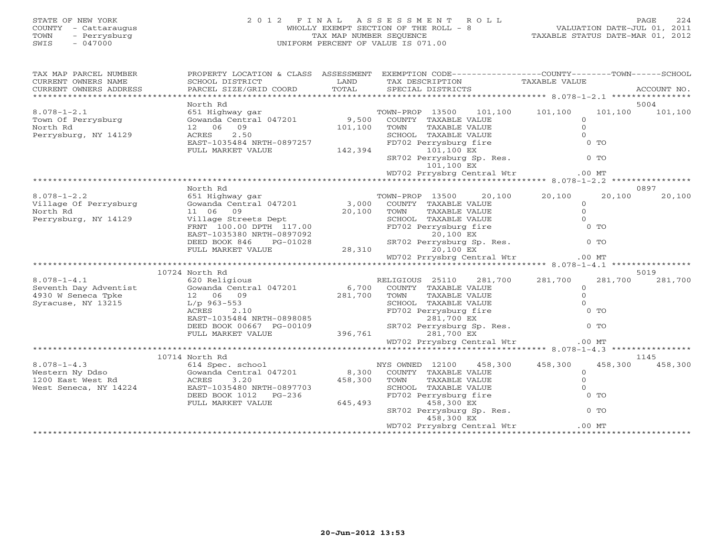## STATE OF NEW YORK 2 0 1 2 F I N A L A S S E S S M E N T R O L L PAGE 224 COUNTY - Cattaraugus WHOLLY EXEMPT SECTION OF THE ROLL - 8 VALUATION DATE-JUL 01, 2011 TOWN - Perrysburg TAX MAP NUMBER SEQUENCE TAXABLE STATUS DATE-MAR 01, 2012 SWIS - 047000 UNIFORM PERCENT OF VALUE IS 071.00UNIFORM PERCENT OF VALUE IS 071.00

| TAX MAP PARCEL NUMBER<br>CURRENT OWNERS NAME<br>CURRENT OWNERS ADDRESS                                                                                                                                                                                                         | SCHOOL DISTRICT<br>PARCEL SIZE/GRID COORD                                                                                                                                                         | LAND<br>TOTAL | PROPERTY LOCATION & CLASS ASSESSMENT EXEMPTION CODE---------------COUNTY-------TOWN------SCHOOL<br>TAX DESCRIPTION<br>SPECIAL DISTRICTS                                                                          | TAXABLE VALUE                            | ACCOUNT NO.             |
|--------------------------------------------------------------------------------------------------------------------------------------------------------------------------------------------------------------------------------------------------------------------------------|---------------------------------------------------------------------------------------------------------------------------------------------------------------------------------------------------|---------------|------------------------------------------------------------------------------------------------------------------------------------------------------------------------------------------------------------------|------------------------------------------|-------------------------|
|                                                                                                                                                                                                                                                                                |                                                                                                                                                                                                   |               |                                                                                                                                                                                                                  |                                          |                         |
| $\begin{array}{lll} 8.078-1-2.1 & -0.1 & \text{row} & \text{row} \\ 651 \text{ Highway} & \text{gar} & 9,500 & \text{COUNTY} & \text{TAXABLE VALUE} \\ \text{North Bd} & 47201 & 9,500 & \text{COUNTY} & \text{TAXABLE VALUE} \end{array}$<br>North Rd<br>Perrysburg, NY 14129 | North Rd<br>12 06 09<br>1∠<br>ACRES<br>¬^<π-10?<br>2.50<br>ACRES 2.50 SCHOOI<br>EAST-1035484 NRTH-0897257 FD702<br>FULL MARKET VALUE 142,394                                                      | 101,100 TOWN  | TOWN-PROP 13500 101,100 101,100<br>TAXABLE VALUE<br>SCHOOL TAXABLE VALUE<br>FD702 Perrysburg fire<br>101,100 EX<br>101,100 EX<br>SR702 Perrysburg Sp. Res. 6 0 TO<br>101,100 EX                                  | $\circ$<br>$\circ$<br>$\Omega$<br>$0$ TO | 5004<br>101,100 101,100 |
|                                                                                                                                                                                                                                                                                |                                                                                                                                                                                                   |               | WD702 Prrysbrg Central Wtr .00 MT                                                                                                                                                                                |                                          |                         |
|                                                                                                                                                                                                                                                                                |                                                                                                                                                                                                   |               |                                                                                                                                                                                                                  |                                          |                         |
| 8.078-1-2.2<br>Village Of Perrysburg 651 Highway gar<br>Gowanda Central 047201 3,000 COUNTY TAXABLE VALUE<br>North Rd<br>Perrysburg, NY 14129                                                                                                                                  | North Rd<br>11 06 09<br>Village Streets Dept<br>FRNT 100.00 DPTH 117.00<br>EAST-1035380 NRTH-0897092<br>EAST-1035380 NRTH-0897092<br>DEED BOOK 846 PG-01028 SR702 Per<br>FULL MARKET VALUE 28,310 |               | TOWN-PROP 13500 20,100 20,100<br>COUNTY TAXABLE VALUE 0<br>TOWN TAXABLE VALUE 0<br>SCHOOL TAXABLE VALUE 0<br>FD702 Perrysburg fire 0 TO<br>20,100 EX<br>SR702 Perrysburg Sp. Res. 0 TO<br>20.100 EX<br>20.100 EX | 20,100                                   | 0897<br>20,100          |
|                                                                                                                                                                                                                                                                                |                                                                                                                                                                                                   |               | 20,100 EX                                                                                                                                                                                                        |                                          |                         |
|                                                                                                                                                                                                                                                                                |                                                                                                                                                                                                   |               | WD702 Prrysbrg Central Wtr                                                                                                                                                                                       | $.00$ MT                                 |                         |
|                                                                                                                                                                                                                                                                                |                                                                                                                                                                                                   |               |                                                                                                                                                                                                                  |                                          |                         |
|                                                                                                                                                                                                                                                                                | 10724 North Rd                                                                                                                                                                                    |               |                                                                                                                                                                                                                  |                                          | 5019                    |
| $8.078 - 1 - 4.1$<br>1930 W Seventh Day Adventist Cowanda Central 047201 6,700 COUNTY TAXABLE VALUE<br>Seventh Day Adventist Gowanda Central 047201 6,700 COUNTY TAXABLE VALUE<br>4930 W Seneca Tpke 12 06 09 281,700 TOWN TAXABLE VALUE<br>Syracuse, NY                       | 620 Religious<br>EAST-1035484 NRTH-0898085<br>EAST-1035484 NRTH-0898085<br>DEED BOOK 00667 PG-00109 SR702 Perrysburg Sp<br>FULL MARKET VALUE 396,761 281,700 EX                                   |               | RELIGIOUS 25110 281,700 281,700<br>COUNTY TAXABLE VALUE 0<br>TOWN TAXABLE VALUE 0<br>SCHOOL TAXABLE VALUE 0<br>FD702 Perrysburg fire 0<br>201.00 FY<br>281,700 EX<br>SR702 Perrysburg Sp. Res.                   | $0$ TO<br>$0$ TO                         | 281,700 281,700         |
|                                                                                                                                                                                                                                                                                |                                                                                                                                                                                                   |               | WD702 Prrysbrg Central Wtr                                                                                                                                                                                       | $.00$ MT                                 |                         |
|                                                                                                                                                                                                                                                                                |                                                                                                                                                                                                   |               |                                                                                                                                                                                                                  |                                          | 1145                    |
|                                                                                                                                                                                                                                                                                | EAST-1035480 NRTH-0897703<br>DEED BOOK 1012 PG-236<br>FULL MARKET VALUE 645,493                                                                                                                   |               | TOWN TAXABLE VALUE<br>SCHOOL TAXABLE VALUE<br>FD702 Perrysburg fire<br>RD702 Perrysburg fire<br>458,300 EX<br>458,300 EX                                                                                         | $\circ$<br>$\circ$<br>$\Omega$<br>$0$ TO | 458,300 458,300         |
|                                                                                                                                                                                                                                                                                |                                                                                                                                                                                                   |               |                                                                                                                                                                                                                  |                                          |                         |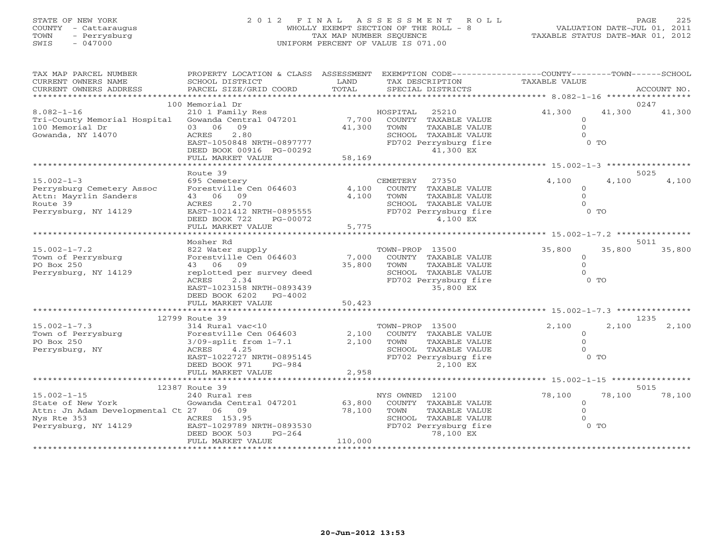# STATE OF NEW YORK 2 0 1 2 F I N A L A S S E S S M E N T R O L L PAGE 225 COUNTY - Cattaraugus WHOLLY EXEMPT SECTION OF THE ROLL - 8 VALUATION DATE-JUL 01, 2011 TOWN - Perrysburg TAX MAP NUMBER SEQUENCE TAXABLE STATUS DATE-MAR 01, 2012 SWIS - 047000 UNIFORM PERCENT OF VALUE IS 071.00

| TAX MAP PARCEL NUMBER                    | PROPERTY LOCATION & CLASS ASSESSMENT                 |         | EXEMPTION CODE-----------------COUNTY-------TOWN------SCHOOL |                   |                |             |
|------------------------------------------|------------------------------------------------------|---------|--------------------------------------------------------------|-------------------|----------------|-------------|
| CURRENT OWNERS NAME                      | SCHOOL DISTRICT                                      | LAND    | TAX DESCRIPTION                                              | TAXABLE VALUE     |                |             |
| CURRENT OWNERS ADDRESS                   | PARCEL SIZE/GRID COORD                               | TOTAL   | SPECIAL DISTRICTS                                            |                   |                | ACCOUNT NO. |
|                                          |                                                      |         |                                                              |                   |                |             |
|                                          | 100 Memorial Dr                                      |         |                                                              |                   |                | 0247        |
| $8.082 - 1 - 16$                         | 210 1 Family Res                                     |         | 25210<br>HOSPITAL                                            | 41,300            | 41,300         | 41,300      |
| Tri-County Memorial Hospital             | Gowanda Central 047201                               | 7,700   | COUNTY TAXABLE VALUE                                         | $\Omega$          |                |             |
| 100 Memorial Dr                          | 03 06<br>09                                          | 41,300  | TAXABLE VALUE<br>TOWN                                        | $\Omega$          |                |             |
| Gowanda, NY 14070                        | ACRES<br>2.80<br>EAST-1050848 NRTH-0897777           |         | SCHOOL TAXABLE VALUE                                         |                   | $0$ TO         |             |
|                                          | DEED BOOK 00916 PG-00292                             |         | FD702 Perrysburg fire<br>41,300 EX                           |                   |                |             |
|                                          | FULL MARKET VALUE                                    | 58,169  |                                                              |                   |                |             |
|                                          |                                                      |         |                                                              |                   |                |             |
|                                          | Route 39                                             |         |                                                              |                   |                | 5025        |
| $15.002 - 1 - 3$                         | 695 Cemetery                                         |         | CEMETERY<br>27350                                            | 4,100             | 4,100          | 4,100       |
| Perrysburg Cemetery Assoc                | Forestville Cen 064603                               | 4,100   | COUNTY TAXABLE VALUE                                         | $\Omega$          |                |             |
| Attn: Mayrlin Sanders                    | 43 06 09                                             | 4,100   | TOWN<br>TAXABLE VALUE                                        | $\Omega$          |                |             |
| Route 39                                 | 2.70<br>ACRES                                        |         | SCHOOL TAXABLE VALUE                                         |                   |                |             |
| Perrysburg, NY 14129                     | EAST-1021412 NRTH-0895555                            |         | FD702 Perrysburg fire                                        |                   | $0$ TO         |             |
|                                          | DEED BOOK 722<br>PG-00072                            |         | 4,100 EX                                                     |                   |                |             |
|                                          | FULL MARKET VALUE                                    | 5,775   |                                                              |                   |                |             |
|                                          |                                                      |         |                                                              |                   |                |             |
|                                          | Mosher Rd                                            |         |                                                              |                   |                | 5011        |
| $15.002 - 1 - 7.2$                       | 822 Water supply                                     |         | TOWN-PROP 13500                                              | 35,800            | 35,800         | 35,800      |
| Town of Perrysburg                       | Forestville Cen 064603                               | 7,000   | COUNTY TAXABLE VALUE                                         | $\Omega$          |                |             |
| PO Box 250                               | 43 06<br>09                                          | 35,800  | TOWN<br>TAXABLE VALUE                                        | $\Omega$          |                |             |
| Perrysburg, NY 14129                     | replotted per survey deed                            |         | SCHOOL TAXABLE VALUE                                         |                   |                |             |
|                                          | 2.34<br>ACRES                                        |         | FD702 Perrysburg fire                                        |                   | $0$ TO         |             |
|                                          | EAST-1023158 NRTH-0893439                            |         | 35,800 EX                                                    |                   |                |             |
|                                          | DEED BOOK 6202<br>PG-4002                            |         |                                                              |                   |                |             |
|                                          | FULL MARKET VALUE                                    | 50,423  |                                                              |                   |                |             |
|                                          |                                                      |         |                                                              |                   |                |             |
|                                          | 12799 Route 39                                       |         |                                                              |                   |                | 1235        |
| $15.002 - 1 - 7.3$<br>Town of Perrysburg | 314 Rural vac<10                                     | 2,100   | TOWN-PROP 13500                                              | 2,100             | 2,100          | 2,100       |
| PO Box 250                               | Forestville Cen 064603<br>$3/09$ -split from $1-7.1$ | 2,100   | COUNTY TAXABLE VALUE<br>TAXABLE VALUE<br>TOWN                | $\circ$<br>$\cap$ |                |             |
| Perrysburg, NY                           | ACRES<br>4.25                                        |         | SCHOOL TAXABLE VALUE                                         |                   |                |             |
|                                          | EAST-1022727 NRTH-0895145                            |         | FD702 Perrysburg fire                                        |                   | 0 <sub>0</sub> |             |
|                                          | DEED BOOK 971<br>PG-984                              |         | 2,100 EX                                                     |                   |                |             |
|                                          | FULL MARKET VALUE                                    | 2,958   |                                                              |                   |                |             |
|                                          |                                                      |         |                                                              |                   |                |             |
|                                          | 12387 Route 39                                       |         |                                                              |                   |                | 5015        |
| $15.002 - 1 - 15$                        | 240 Rural res                                        |         | NYS OWNED 12100                                              | 78,100            | 78,100         | 78,100      |
| State of New York                        | Gowanda Central 047201                               | 63,800  | COUNTY TAXABLE VALUE                                         | $\Omega$          |                |             |
| Attn: Jn Adam Developmental Ct 27 06 09  |                                                      | 78,100  | TAXABLE VALUE<br>TOWN                                        | $\Omega$          |                |             |
| Nys Rte 353                              | ACRES 153.95                                         |         | SCHOOL TAXABLE VALUE                                         |                   |                |             |
| Perrysburg, NY 14129                     | EAST-1029789 NRTH-0893530                            |         | FD702 Perrysburg fire                                        |                   | $0$ TO         |             |
|                                          | DEED BOOK 503<br>$PG-264$                            |         | 78,100 EX                                                    |                   |                |             |
|                                          | FULL MARKET VALUE                                    | 110,000 |                                                              |                   |                |             |
|                                          |                                                      |         |                                                              |                   |                |             |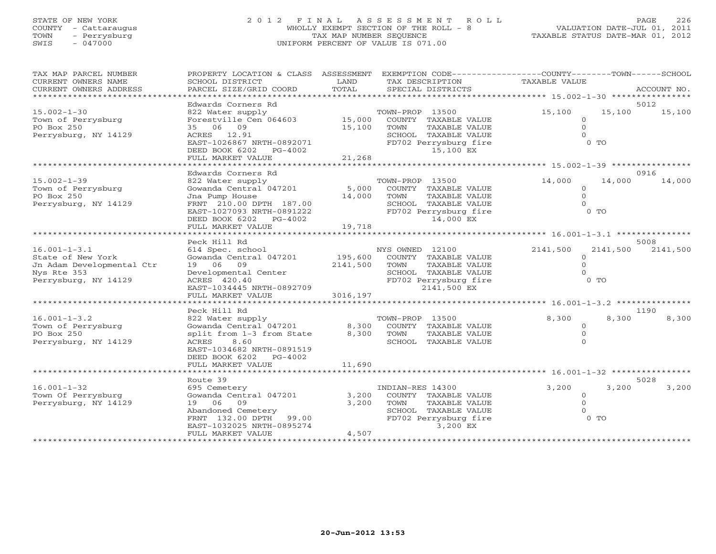## STATE OF NEW YORK 2 0 1 2 F I N A L A S S E S S M E N T R O L L PAGE 226 COUNTY - Cattaraugus WHOLLY EXEMPT SECTION OF THE ROLL - 8 VALUATION DATE-JUL 01, 2011 TOWN - Perrysburg TAX MAP NUMBER SEQUENCE TAXABLE STATUS DATE-MAR 01, 2012 SWIS - 047000 UNIFORM PERCENT OF VALUE IS 071.00

| TAX MAP PARCEL NUMBER                                    |                                                    |          | PROPERTY LOCATION & CLASS ASSESSMENT EXEMPTION CODE----------------COUNTY-------TOWN------SCHOOL |                |                |                           |
|----------------------------------------------------------|----------------------------------------------------|----------|--------------------------------------------------------------------------------------------------|----------------|----------------|---------------------------|
| CURRENT OWNERS NAME                                      | SCHOOL DISTRICT                                    | LAND     | TAX DESCRIPTION                                                                                  | TAXABLE VALUE  |                |                           |
| CURRENT OWNERS ADDRESS<br>****************************** | PARCEL SIZE/GRID COORD                             | TOTAL    | SPECIAL DISTRICTS                                                                                |                |                | ACCOUNT NO.               |
|                                                          |                                                    |          |                                                                                                  |                |                | 5012                      |
| $15.002 - 1 - 30$                                        | Edwards Corners Rd<br>822 Water supply             |          | TOWN-PROP 13500                                                                                  | 15,100         | 15,100         | 15,100                    |
| Town of Perrysburg                                       | Forestville Cen 064603 15,000 COUNTY TAXABLE VALUE |          |                                                                                                  | $\circ$        |                |                           |
| PO Box 250                                               | 35 06 09                                           | 15,100   | TAXABLE VALUE<br>TOWN                                                                            | $\Omega$       |                |                           |
| Perrysburg, NY 14129                                     | ACRES 12.91                                        |          | SCHOOL TAXABLE VALUE                                                                             | $\Omega$       |                |                           |
|                                                          | EAST-1026867 NRTH-0892071                          |          | FD702 Perrysburg fire                                                                            |                | 0 <sub>0</sub> |                           |
|                                                          | DEED BOOK 6202 PG-4002                             |          | 15,100 EX                                                                                        |                |                |                           |
|                                                          | FULL MARKET VALUE                                  | 21,268   |                                                                                                  |                |                |                           |
|                                                          | Edwards Corners Rd                                 |          |                                                                                                  |                |                | 0916                      |
| $15.002 - 1 - 39$                                        | 822 Water supply                                   |          | TOWN-PROP 13500                                                                                  | 14,000         | 14,000         | 14,000                    |
| Town of Perrysburg                                       | 022 Water Supply<br>Gowanda Central 047201         |          | 5,000 COUNTY TAXABLE VALUE                                                                       | $\Omega$       |                |                           |
| PO Box 250                                               | Jna Pump House                                     | 14,000   | TOWN<br>TAXABLE VALUE                                                                            | $\Omega$       |                |                           |
| Perrysburg, NY 14129                                     | FRNT 210.00 DPTH 187.00                            |          | SCHOOL TAXABLE VALUE                                                                             | $\Omega$       |                |                           |
|                                                          | EAST-1027093 NRTH-0891222                          |          | FD702 Perrysburg fire                                                                            |                | $0$ TO         |                           |
|                                                          | DEED BOOK 6202 PG-4002                             |          | 14,000 EX                                                                                        |                |                |                           |
|                                                          | FULL MARKET VALUE                                  | 19,718   |                                                                                                  |                |                |                           |
|                                                          |                                                    |          |                                                                                                  |                |                |                           |
| $16.001 - 1 - 3.1$                                       | Peck Hill Rd<br>614 Spec. school                   |          | NYS OWNED 12100                                                                                  | 2141,500       |                | 5008<br>2141,500 2141,500 |
| State of New York                                        | Gowanda Central 047201                             | 195,600  | COUNTY TAXABLE VALUE                                                                             | $\Omega$       |                |                           |
| Jn Adam Developmental Ctr                                | 19 06 09                                           | 2141,500 | TOWN<br>TAXABLE VALUE                                                                            | $\Omega$       |                |                           |
| Nys Rte 353                                              | Developmental Center                               |          | SCHOOL TAXABLE VALUE                                                                             | $\Omega$       |                |                           |
| Perrysburg, NY 14129                                     | ACRES 420.40                                       |          | FD702 Perrysburg fire                                                                            | $0$ TO         |                |                           |
|                                                          | EAST-1034445 NRTH-0892709                          |          | 2141,500 EX                                                                                      |                |                |                           |
|                                                          | FULL MARKET VALUE                                  | 3016,197 |                                                                                                  |                |                |                           |
|                                                          |                                                    |          |                                                                                                  |                |                |                           |
| $16.001 - 1 - 3.2$                                       | Peck Hill Rd<br>822 Water supply                   |          | TOWN-PROP 13500                                                                                  | 8,300          | 8,300          | 1190<br>8,300             |
| Town of Perrysburg                                       | Gowanda Central 047201 8,300                       |          | COUNTY TAXABLE VALUE                                                                             | $\Omega$       |                |                           |
| PO Box 250                                               | split from 1-3 from State                          | 8,300    | TOWN<br>TAXABLE VALUE                                                                            | $\overline{O}$ |                |                           |
| Perrysburg, NY 14129                                     | 8.60<br>ACRES                                      |          | SCHOOL TAXABLE VALUE                                                                             | $\Omega$       |                |                           |
|                                                          | EAST-1034682 NRTH-0891519                          |          |                                                                                                  |                |                |                           |
|                                                          | DEED BOOK 6202 PG-4002                             |          |                                                                                                  |                |                |                           |
|                                                          | FULL MARKET VALUE                                  | 11,690   |                                                                                                  |                |                |                           |
|                                                          |                                                    |          |                                                                                                  |                |                |                           |
| $16.001 - 1 - 32$                                        | Route 39<br>695 Cemetery                           |          | INDIAN-RES 14300                                                                                 | 3,200          | 3,200          | 5028<br>3,200             |
| Town Of Perrysburg                                       | Gowanda Central 047201                             | 3,200    | COUNTY TAXABLE VALUE                                                                             | $\circ$        |                |                           |
| Perrysburg, NY 14129                                     | 19 06 09                                           | 3,200    | TOWN<br>TAXABLE VALUE                                                                            | $\Omega$       |                |                           |
|                                                          | Abandoned Cemetery                                 |          | SCHOOL TAXABLE VALUE                                                                             | $\Omega$       |                |                           |
|                                                          | FRNT 132.00 DPTH 99.00                             |          | FD702 Perrysburg fire                                                                            |                | $0$ TO         |                           |
|                                                          | EAST-1032025 NRTH-0895274                          |          | 3,200 EX                                                                                         |                |                |                           |
|                                                          | FULL MARKET VALUE                                  | 4,507    |                                                                                                  |                |                |                           |
|                                                          |                                                    |          |                                                                                                  |                |                |                           |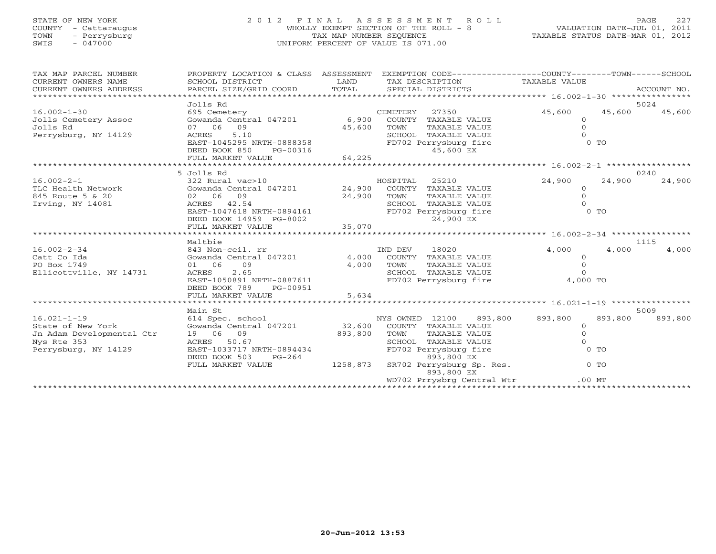# STATE OF NEW YORK 2 0 1 2 F I N A L A S S E S S M E N T R O L L PAGE 227 COUNTY - Cattaraugus WHOLLY EXEMPT SECTION OF THE ROLL - 8 VALUATION DATE-JUL 01, 2011 TOWN - Perrysburg TAX MAP NUMBER SEQUENCE TAXABLE STATUS DATE-MAR 01, 2012 SWIS - 047000 UNIFORM PERCENT OF VALUE IS 071.00

| TAX MAP PARCEL NUMBER<br>CURRENT OWNERS NAME<br>CURRENT OWNERS ADDRESS | PROPERTY LOCATION & CLASS ASSESSMENT<br>SCHOOL DISTRICT<br>PARCEL SIZE/GRID COORD | LAND<br>TOTAL | EXEMPTION CODE-----------------COUNTY-------TOWN------SCHOOL<br>TAX DESCRIPTION TAXABLE VALUE<br>SPECIAL DISTRICTS |                    | ACCOUNT NO. |
|------------------------------------------------------------------------|-----------------------------------------------------------------------------------|---------------|--------------------------------------------------------------------------------------------------------------------|--------------------|-------------|
|                                                                        | Jolls Rd                                                                          |               |                                                                                                                    |                    | 5024        |
| $16.002 - 1 - 30$                                                      | 695 Cemetery                                                                      |               | CEMETERY<br>27350                                                                                                  | 45,600<br>45,600   | 45,600      |
| Jolls Cemetery Assoc                                                   | Gowanda Central 047201                                                            |               | 6,900 COUNTY TAXABLE VALUE                                                                                         | $\overline{0}$     |             |
| Jolls Rd                                                               | 07 06 09                                                                          | 45,600        | TOWN<br>TAXABLE VALUE                                                                                              | $\circ$            |             |
| Perrysburg, NY 14129                                                   | 5.10<br>ACRES                                                                     |               | SCHOOL TAXABLE VALUE                                                                                               |                    |             |
|                                                                        | EAST-1045295 NRTH-0888358                                                         |               | FD702 Perrysburg fire                                                                                              | $0$ TO             |             |
|                                                                        |                                                                                   |               |                                                                                                                    |                    |             |
|                                                                        |                                                                                   |               |                                                                                                                    |                    |             |
|                                                                        |                                                                                   |               |                                                                                                                    |                    |             |
|                                                                        | 5 Jolls Rd                                                                        |               |                                                                                                                    |                    | 0240        |
| $16.002 - 2 - 1$                                                       |                                                                                   |               | 25210                                                                                                              | 24,900<br>24,900   | 24,900      |
| TLC Health Network                                                     |                                                                                   |               |                                                                                                                    | $\circ$            |             |
| 845 Route 5 & 20                                                       | 02 06 09                                                                          | 24,900        | TAXABLE VALUE<br>TOWN                                                                                              | $\Omega$           |             |
| Irving, NY 14081                                                       | ACRES 42.54                                                                       |               | SCHOOL TAXABLE VALUE                                                                                               |                    |             |
|                                                                        | EAST-1047618 NRTH-0894161                                                         |               | FD702 Perrysburg fire                                                                                              | $0$ TO             |             |
|                                                                        |                                                                                   |               |                                                                                                                    |                    |             |
|                                                                        |                                                                                   |               |                                                                                                                    |                    |             |
|                                                                        |                                                                                   |               |                                                                                                                    |                    |             |
|                                                                        |                                                                                   |               |                                                                                                                    |                    |             |
|                                                                        | Maltbie                                                                           |               |                                                                                                                    |                    | 1115        |
| $16.002 - 2 - 34$                                                      | 843 Non-ceil. rr                                                                  |               | 18020<br>IND DEV                                                                                                   | 4,000<br>4,000     | 4,000       |
| Catt Co Ida<br>PO Box 1749                                             | Gowanda Central 047201<br>01 06 09                                                |               | 4,000 COUNTY TAXABLE VALUE<br>TOWN                                                                                 | $\circ$<br>$\circ$ |             |
| Ellicottville, NY 14731                                                | ACRES<br>2.65                                                                     | 4,000         | TAXABLE VALUE<br>SCHOOL TAXABLE VALUE                                                                              | $\Omega$           |             |
|                                                                        | EAST-1050891 NRTH-0887611                                                         |               | FD702 Perrysburg fire 4,000 TO                                                                                     |                    |             |
|                                                                        | DEED BOOK 789<br>PG-00951                                                         |               |                                                                                                                    |                    |             |
|                                                                        | FULL MARKET VALUE                                                                 | 5,634         |                                                                                                                    |                    |             |
|                                                                        |                                                                                   |               |                                                                                                                    |                    |             |
|                                                                        | Main St                                                                           |               |                                                                                                                    |                    | 5009        |
| $16.021 - 1 - 19$                                                      |                                                                                   |               | NYS OWNED 12100 893,800                                                                                            | 893,800<br>893,800 | 893,800     |
| State of New York                                                      | 614 Spec. school<br>Gowanda Central 047201                                        |               | 32,600 COUNTY TAXABLE VALUE                                                                                        | $\circ$            |             |
| Jn Adam Developmental Ctr                                              | 19 06 09                                                                          | 893,800       | TOWN<br>TAXABLE VALUE                                                                                              | $\Omega$           |             |
| Nys Rte 353                                                            | ACRES 50.67                                                                       |               | SCHOOL TAXABLE VALUE                                                                                               |                    |             |
| Perrysburg, NY 14129                                                   | EAST-1033717 NRTH-0894434                                                         |               | FD702 Perrysburg fire                                                                                              | $0$ TO             |             |
|                                                                        | DEED BOOK 503<br>$PG-264$                                                         |               | 893,800 EX                                                                                                         |                    |             |
|                                                                        | FULL MARKET VALUE                                                                 | 1258,873      | SR702 Perrysburg Sp. Res. 0 TO                                                                                     |                    |             |
|                                                                        |                                                                                   |               | 893,800 EX<br>WD702 Prrysbrg Central Wtr                                                                           | $.00$ MT           |             |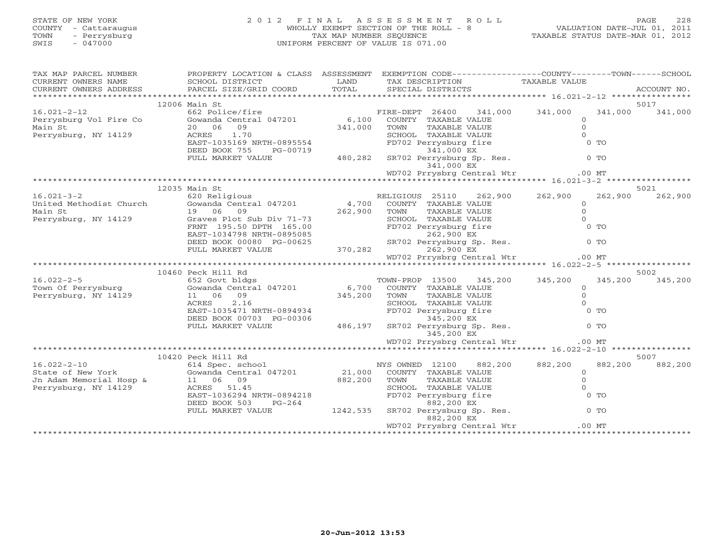| STATE OF NEW YORK<br>COUNTY - Cattaraugus<br>TOWN - Perrysburg<br>SWIS<br>- 047000 | 2012 FINAL ASSESSMENT ROLL<br>WHOLLY EXEMPT SECTION OF THE ROLL - 8<br>TAX MAP NUMBER SEOUENCE<br>UNIFORM PERCENT OF VALUE IS 071.00 | VALUATION DATE-JUL 01, 2011<br>TAXABLE STATUS DATE-MAR 01, 2012 | PAGE | 228     |
|------------------------------------------------------------------------------------|--------------------------------------------------------------------------------------------------------------------------------------|-----------------------------------------------------------------|------|---------|
| TAX MAP PARCEL NUMBER                                                              | PROPERTY LOCATION & CLASS ASSESSMENT EXEMPTION CODE----------------COUNTY-------TOWN--                                               |                                                                 |      | -SCHOOL |

| CURRENT OWNERS NAME                        | SCHOOL DISTRICT                                  | LAND     | TAX DESCRIPTION                         | TAXABLE VALUE              |                 |
|--------------------------------------------|--------------------------------------------------|----------|-----------------------------------------|----------------------------|-----------------|
| CURRENT OWNERS ADDRESS                     | PARCEL SIZE/GRID COORD                           | TOTAL    | SPECIAL DISTRICTS                       |                            | ACCOUNT NO.     |
|                                            |                                                  |          |                                         |                            |                 |
| $16.021 - 2 - 12$                          | $12006$ Main St<br>662 Police/fire               |          | FIRE-DEPT 26400                         | 341,000 341,000<br>341,000 | 5017<br>341,000 |
| Perrysburg Vol Fire Co                     | Gowanda Central 047201 6,100                     |          | COUNTY TAXABLE VALUE                    | $\Omega$                   |                 |
| Main St                                    | 20 06 09                                         | 341,000  | TOWN<br>TAXABLE VALUE                   | $\Omega$                   |                 |
| Perrysburg, NY 14129                       | 1.70<br>ACRES                                    |          | SCHOOL TAXABLE VALUE                    |                            |                 |
|                                            | EAST-1035169 NRTH-0895554                        |          | FD702 Perrysburg fire                   | 0 <sub>0</sub>             |                 |
|                                            | DEED BOOK 755<br>PG-00719                        |          | 341,000 EX                              |                            |                 |
|                                            | FULL MARKET VALUE                                | 480,282  | SR702 Perrysburg Sp. Res.               | $0$ TO                     |                 |
|                                            |                                                  |          | 341,000 EX                              |                            |                 |
|                                            |                                                  |          | WD702 Prrysbrg Central Wtr              | $.00$ MT                   |                 |
|                                            |                                                  |          |                                         |                            |                 |
|                                            | 12035 Main St                                    |          |                                         |                            | 5021            |
| $16.021 - 3 - 2$                           | 620 Religious                                    |          | RELIGIOUS 25110 262,900                 | 262,900<br>262,900         | 262,900         |
| United Methodist Church                    | Gowanda Central 047201                           |          | 4,700 COUNTY TAXABLE VALUE              | $\Omega$                   |                 |
| Main St                                    | 19 06 09                                         | 262,900  | TAXABLE VALUE<br>TOWN                   | $\Omega$                   |                 |
| Perrysburg, NY 14129                       | Graves Plot Sub Div 71-73                        |          | SCHOOL TAXABLE VALUE                    |                            |                 |
|                                            | FRNT 195.50 DPTH 165.00                          |          | FD702 Perrysburg fire                   | $0$ TO                     |                 |
|                                            | EAST-1034798 NRTH-0895085                        |          | 262,900 EX                              |                            |                 |
|                                            | DEED BOOK 00080 PG-00625                         |          | 262,900 EX<br>SR702 Perrysburg Sp. Res. | $0$ To                     |                 |
|                                            | FULL MARKET VALUE                                | 370, 282 | 262,900 EX                              |                            |                 |
|                                            |                                                  |          | WD702 Prrysbrg Central Wtr              | $.00$ MT                   |                 |
|                                            |                                                  |          |                                         |                            |                 |
|                                            | 10460 Peck Hill Rd                               |          |                                         |                            | 5002            |
| $16.022 - 2 - 5$                           | 652 Govt bldgs<br>Gowanda Central $047201$ 6,700 |          | TOWN-PROP 13500                         | 345,200 345,200<br>345,200 | 345,200         |
| Town Of Perrysburg<br>Perrysburg, NY 14129 | 11 06 09                                         |          | COUNTY TAXABLE VALUE<br>TAXABLE VALUE   | $\Omega$<br>$\Omega$       |                 |
|                                            | 2.16<br>ACRES                                    | 345,200  | TOWN<br>SCHOOL TAXABLE VALUE            |                            |                 |
|                                            | EAST-1035471 NRTH-0894934                        |          | FD702 Perrysburg fire                   | $0$ TO                     |                 |
|                                            | DEED BOOK 00703 PG-00306                         |          | 345,200 EX                              |                            |                 |
|                                            | FULL MARKET VALUE                                | 486,197  | SR702 Perrysburg Sp. Res.               | $0$ TO                     |                 |
|                                            |                                                  |          | 345,200 EX                              |                            |                 |
|                                            |                                                  |          | WD702 Prrysbrg Central Wtr              | $.00$ MT                   |                 |
|                                            |                                                  |          |                                         |                            |                 |
|                                            | 10420 Peck Hill Rd                               |          |                                         |                            | 5007            |
| $16.022 - 2 - 10$                          | 614 Spec. school                                 |          | NYS OWNED 12100<br>882,200              | 882,200<br>882,200         | 882,200         |
| State of New York                          | Gowanda Central 047201                           | 21,000   | COUNTY TAXABLE VALUE                    | $\circ$                    |                 |
| Jn Adam Memorial Hosp &                    | 11 06 09                                         | 882,200  | TAXABLE VALUE<br>TOWN                   | $\Omega$                   |                 |
| Perrysburg, NY 14129                       | ACRES 51.45                                      |          | SCHOOL TAXABLE VALUE                    |                            |                 |
|                                            | EAST-1036294 NRTH-0894218                        |          | FD702 Perrysburg fire                   | $0$ TO                     |                 |
|                                            | DEED BOOK 503<br>PG-264                          |          | 882,200 EX                              |                            |                 |
|                                            | FULL MARKET VALUE                                | 1242,535 | SR702 Perrysburg Sp. Res.               | $0$ TO                     |                 |
|                                            |                                                  |          | 882,200 EX                              |                            |                 |
|                                            |                                                  |          | WD702 Prrysbrg Central Wtr              | $.00$ MT                   |                 |
|                                            |                                                  |          |                                         |                            |                 |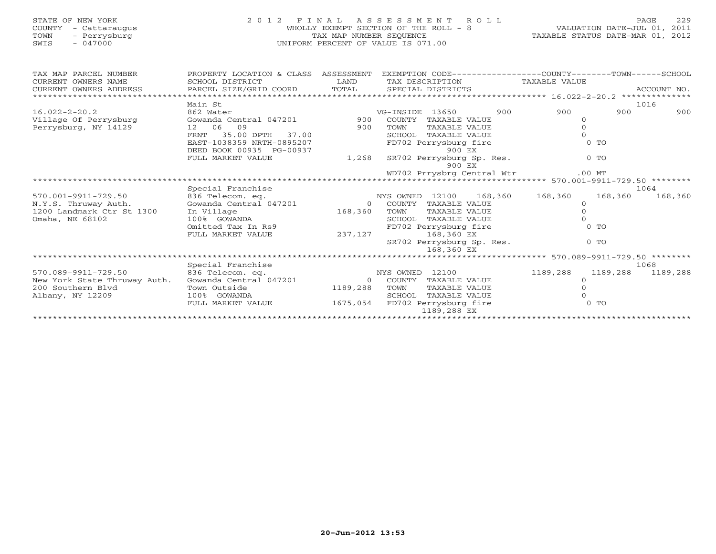| STATE OF NEW YORK<br>COUNTY - Cattaraugus<br>TOWN<br>- Perrysburg<br>SWIS<br>$-047000$       | 2012 FINAL                                                                                                                                 | TAX MAP NUMBER SEQUENCE        | A S S E S S M E N T<br>ROLL<br>WHOLLY EXEMPT SECTION OF THE ROLL - 8<br>UNIFORM PERCENT OF VALUE IS 071.00                                                                               | VALUATION DATE-JUL 01, 2011<br>TAXABLE STATUS DATE-MAR 01, 2012            | 229<br>PAGE      |
|----------------------------------------------------------------------------------------------|--------------------------------------------------------------------------------------------------------------------------------------------|--------------------------------|------------------------------------------------------------------------------------------------------------------------------------------------------------------------------------------|----------------------------------------------------------------------------|------------------|
| TAX MAP PARCEL NUMBER<br>CURRENT OWNERS NAME<br>CURRENT OWNERS ADDRESS                       | PROPERTY LOCATION & CLASS ASSESSMENT<br>SCHOOL DISTRICT<br>PARCEL SIZE/GRID COORD                                                          | LAND<br>TOTAL                  | EXEMPTION CODE-----------------COUNTY-------TOWN------SCHOOL<br>TAX DESCRIPTION<br>SPECIAL DISTRICTS                                                                                     | TAXABLE VALUE                                                              | ACCOUNT NO.      |
|                                                                                              | Main St                                                                                                                                    |                                |                                                                                                                                                                                          |                                                                            | 1016             |
| $16.022 - 2 - 20.2$<br>Village Of Perrysburg<br>Perrysburg, NY 14129                         | 862 Water<br>Gowanda Central 047201<br>09<br>12 06<br>35.00 DPTH<br>FRNT<br>37.00<br>EAST-1038359 NRTH-0895207<br>DEED BOOK 00935 PG-00937 | 900<br>900                     | VG-INSIDE 13650<br>900<br>COUNTY TAXABLE VALUE<br>TOWN<br>TAXABLE VALUE<br>SCHOOL TAXABLE VALUE<br>FD702 Perrysburg fire<br>900 EX                                                       | 900<br>900<br>$\circ$<br>$\Omega$<br>$\Omega$<br>$0$ TO                    | 900              |
|                                                                                              | FULL MARKET VALUE                                                                                                                          | 1,268                          | SR702 Perrysburg Sp. Res.<br>900 EX<br>WD702 Prrysbrg Central Wtr                                                                                                                        | $0$ TO<br>$.00$ MT                                                         |                  |
|                                                                                              |                                                                                                                                            |                                |                                                                                                                                                                                          |                                                                            |                  |
|                                                                                              | Special Franchise                                                                                                                          |                                |                                                                                                                                                                                          |                                                                            | 1064             |
| 570.001-9911-729.50<br>N.Y.S. Thruway Auth.<br>1200 Landmark Ctr St 1300<br>Omaha, NE 68102  | 836 Telecom. eq.<br>Gowanda Central 047201<br>In Village<br>100% GOWANDA<br>Omitted Tax In Rs9<br>FULL MARKET VALUE                        | $\Omega$<br>168,360<br>237,127 | NYS OWNED 12100<br>168,360<br>COUNTY TAXABLE VALUE<br>TOWN<br>TAXABLE VALUE<br>TAXABLE VALUE<br>SCHOOL<br>FD702 Perrysburg fire<br>168,360 EX<br>SR702 Perrysburg Sp. Res.<br>168,360 EX | 168,360<br>168,360<br>$\Omega$<br>$\Omega$<br>$\Omega$<br>$0$ TO<br>$0$ TO | 168,360          |
|                                                                                              |                                                                                                                                            |                                |                                                                                                                                                                                          |                                                                            |                  |
| 570.089-9911-729.50<br>New York State Thruway Auth.<br>200 Southern Blyd<br>Albany, NY 12209 | Special Franchise<br>836 Telecom. eq.<br>Gowanda Central 047201<br>Town Outside<br>100% GOWANDA                                            | 1189,288                       | NYS OWNED 12100<br>0 COUNTY TAXABLE VALUE<br>TOWN<br>TAXABLE VALUE<br>SCHOOL TAXABLE VALUE                                                                                               | 1189,288<br>1189,288<br>$\Omega$<br>$\Omega$                               | 1068<br>1189,288 |
|                                                                                              | FULL MARKET VALUE                                                                                                                          |                                | 1675,054 FD702 Perrysburg fire<br>1189,288 EX                                                                                                                                            | $0$ TO                                                                     |                  |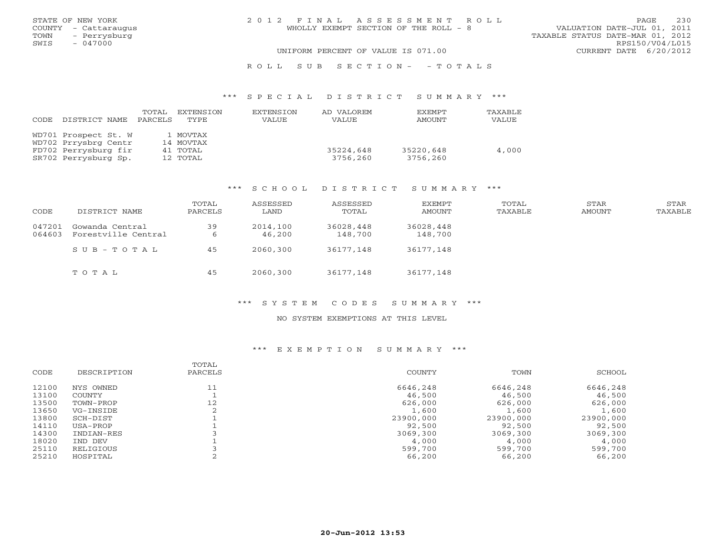| STATE OF NEW YORK    | 2012 FINAL ASSESSMENT ROLL            | 230<br>PAGE.                     |
|----------------------|---------------------------------------|----------------------------------|
| COUNTY - Cattaraugus | WHOLLY EXEMPT SECTION OF THE ROLL - 8 | VALUATION DATE-JUL 01, 2011      |
| TOWN<br>– Perrysburg |                                       | TAXABLE STATUS DATE-MAR 01, 2012 |
| SWIS<br>$-047000$    |                                       | RPS150/V04/L015                  |
|                      | UNIFORM PERCENT OF VALUE IS 071.00    | CURRENT DATE 6/20/2012           |
|                      |                                       |                                  |

#### R O L L S U B S E C T I O N - - T O T A L S

#### \*\*\* S P E C I A L D I S T R I C T S U M M A R Y \*\*\*

| CODE | DISTRICT NAME                                | TOTAL<br>PARCELS | EXTENSION<br>TYPE.    | EXTENSION<br><b>VALUE</b> | AD VALOREM<br>VALUE   | <b>EXEMPT</b><br>AMOUNT | TAXABLE<br>VALUE |
|------|----------------------------------------------|------------------|-----------------------|---------------------------|-----------------------|-------------------------|------------------|
|      | WD701 Prospect St. W<br>WD702 Prrysbrg Centr |                  | 1 MOVTAX<br>14 MOVTAX |                           |                       |                         |                  |
|      | FD702 Perrysburg fir<br>SR702 Perrysburg Sp. |                  | 41 TOTAL<br>12 TOTAL  |                           | 35224,648<br>3756,260 | 35220,648<br>3756,260   | 4,000            |

### \*\*\* S C H O O L D I S T R I C T S U M M A R Y \*\*\*

| CODE             | DISTRICT NAME                          | TOTAL<br>PARCELS | ASSESSED<br>LAND   | ASSESSED<br>TOTAL    | EXEMPT<br>AMOUNT     | TOTAL<br>TAXABLE | STAR<br>AMOUNT | STAR<br>TAXABLE |
|------------------|----------------------------------------|------------------|--------------------|----------------------|----------------------|------------------|----------------|-----------------|
| 047201<br>064603 | Gowanda Central<br>Forestville Central | 39<br>b          | 2014,100<br>46,200 | 36028,448<br>148,700 | 36028,448<br>148,700 |                  |                |                 |
|                  | SUB-TOTAL                              | 45               | 2060,300           | 36177,148            | 36177,148            |                  |                |                 |
|                  | TOTAL                                  | 45               | 2060,300           | 36177,148            | 36177,148            |                  |                |                 |

### \*\*\* S Y S T E M C O D E S S U M M A R Y \*\*\*

#### NO SYSTEM EXEMPTIONS AT THIS LEVEL

|       |             | TOTAL   |           |           |           |
|-------|-------------|---------|-----------|-----------|-----------|
| CODE  | DESCRIPTION | PARCELS | COUNTY    | TOWN      | SCHOOL    |
| 12100 | NYS OWNED   | 11      | 6646,248  | 6646,248  | 6646,248  |
| 13100 | COUNTY      |         | 46,500    | 46,500    | 46,500    |
| 13500 | TOWN-PROP   | 12      | 626,000   | 626,000   | 626,000   |
| 13650 | VG-INSIDE   |         | 1,600     | 1,600     | 1,600     |
| 13800 | SCH-DIST    |         | 23900,000 | 23900,000 | 23900,000 |
| 14110 | USA-PROP    |         | 92,500    | 92,500    | 92,500    |
| 14300 | INDIAN-RES  |         | 3069,300  | 3069,300  | 3069,300  |
| 18020 | IND DEV     |         | 4,000     | 4,000     | 4,000     |
| 25110 | RELIGIOUS   |         | 599,700   | 599,700   | 599,700   |
| 25210 | HOSPITAL    |         | 66,200    | 66,200    | 66,200    |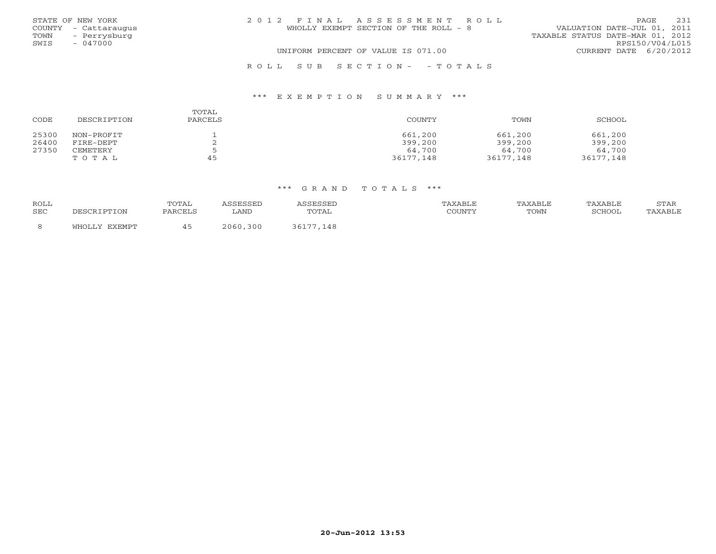|      | STATE OF NEW YORK    | 2012 FINAL ASSESSMENT ROLL                                           | <b>PAGE</b>            | 2.31 |
|------|----------------------|----------------------------------------------------------------------|------------------------|------|
|      | COUNTY - Cattaraugus | VALUATION DATE-JUL 01, 2011<br>WHOLLY EXEMPT SECTION OF THE ROLL - 8 |                        |      |
| TOWN | - Perrysburg         | TAXABLE STATUS DATE-MAR 01, 2012                                     |                        |      |
| SWIS | $-047000$            |                                                                      | RPS150/V04/L015        |      |
|      |                      | UNIFORM PERCENT OF VALUE IS 071.00                                   | CURRENT DATE 6/20/2012 |      |
|      |                      | ROLL SUB SECTION- - TOTALS                                           |                        |      |

#### \*\*\* E X E M P T I O N S U M M A R Y \*\*\*

| CODE  | DESCRIPTION | TOTAL<br>PARCELS | COUNTY    | TOWN      | SCHOOL    |
|-------|-------------|------------------|-----------|-----------|-----------|
| 25300 | NON-PROFIT  |                  | 661,200   | 661,200   | 661,200   |
| 26400 | FIRE-DEPT   |                  | 399,200   | 399,200   | 399,200   |
| 27350 | CEMETERY    |                  | 64,700    | 64,700    | 64,700    |
|       | TOTAL       | 45               | 36177,148 | 36177,148 | 36177,148 |

| <b>ROLL</b><br><b>SEC</b> | utal<br><b>DARCEL</b> | LAND        | 'TAI | ד בד<br>CCTINTM | TOWN | COUOOT | $7$ m $2$ T.<br>. |
|---------------------------|-----------------------|-------------|------|-----------------|------|--------|-------------------|
|                           |                       | 300<br>2060 | 148  |                 |      |        |                   |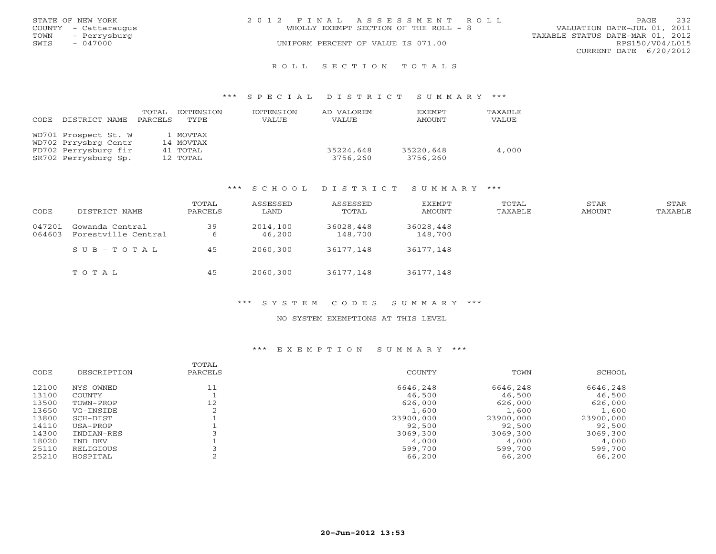|      | STATE OF NEW YORK    | 2012 FINAL ASSESSMENT ROLL            | PAGE                             | 232 |
|------|----------------------|---------------------------------------|----------------------------------|-----|
|      | COUNTY - Cattaraugus | WHOLLY EXEMPT SECTION OF THE ROLL - 8 | VALUATION DATE-JUL 01, 2011      |     |
| TOWN | - Perrysburg         |                                       | TAXABLE STATUS DATE-MAR 01, 2012 |     |
| SWIS | $-047000$            | UNIFORM PERCENT OF VALUE IS 071.00    | RPS150/V04/L015                  |     |
|      |                      |                                       | CURRENT DATE 6/20/2012           |     |
|      |                      |                                       |                                  |     |

#### R O L L S E C T I O N T O T A L S

#### \*\*\* S P E C I A L D I S T R I C T S U M M A R Y \*\*\*

| CODE | DISTRICT NAME        | TOTAL<br>PARCELS | EXTENSION<br>TYPE. | EXTENSION<br>VALUE | AD VALOREM<br>VALUE | <b>EXEMPT</b><br>AMOUNT | TAXABLE<br>VALUE |
|------|----------------------|------------------|--------------------|--------------------|---------------------|-------------------------|------------------|
|      | WD701 Prospect St. W |                  | 1 MOVTAX           |                    |                     |                         |                  |
|      | WD702 Prrysbrg Centr |                  | 14 MOVTAX          |                    |                     |                         |                  |
|      | FD702 Perrysburg fir |                  | 41 TOTAL           |                    | 35224,648           | 35220,648               | 4,000            |
|      | SR702 Perrysburg Sp. |                  | 12 TOTAL           |                    | 3756,260            | 3756,260                |                  |

### \*\*\* S C H O O L D I S T R I C T S U M M A R Y \*\*\*

| CODE             | DISTRICT NAME                          | TOTAL<br>PARCELS | ASSESSED<br>LAND   | ASSESSED<br>TOTAL    | EXEMPT<br>AMOUNT     | TOTAL<br>TAXABLE | STAR<br>AMOUNT | STAR<br>TAXABLE |
|------------------|----------------------------------------|------------------|--------------------|----------------------|----------------------|------------------|----------------|-----------------|
| 047201<br>064603 | Gowanda Central<br>Forestville Central | 39<br>6          | 2014,100<br>46,200 | 36028,448<br>148,700 | 36028,448<br>148,700 |                  |                |                 |
|                  | SUB-TOTAL                              | 45               | 2060,300           | 36177,148            | 36177,148            |                  |                |                 |
|                  | TOTAL                                  | 45               | 2060,300           | 36177,148            | 36177,148            |                  |                |                 |

### \*\*\* S Y S T E M C O D E S S U M M A R Y \*\*\*

#### NO SYSTEM EXEMPTIONS AT THIS LEVEL

|       |             | TOTAL   |           |           |           |
|-------|-------------|---------|-----------|-----------|-----------|
| CODE  | DESCRIPTION | PARCELS | COUNTY    | TOWN      | SCHOOL    |
| 12100 | NYS OWNED   | 11      | 6646,248  | 6646,248  | 6646,248  |
| 13100 | COUNTY      |         | 46,500    | 46,500    | 46,500    |
| 13500 | TOWN-PROP   | 12      | 626,000   | 626,000   | 626,000   |
| 13650 | VG-INSIDE   |         | 1,600     | 1,600     | 1,600     |
| 13800 | SCH-DIST    |         | 23900,000 | 23900,000 | 23900,000 |
| 14110 | USA-PROP    |         | 92,500    | 92,500    | 92,500    |
| 14300 | INDIAN-RES  |         | 3069,300  | 3069,300  | 3069,300  |
| 18020 | IND DEV     |         | 4,000     | 4,000     | 4,000     |
| 25110 | RELIGIOUS   |         | 599,700   | 599,700   | 599,700   |
| 25210 | HOSPITAL    |         | 66,200    | 66,200    | 66,200    |
|       |             |         |           |           |           |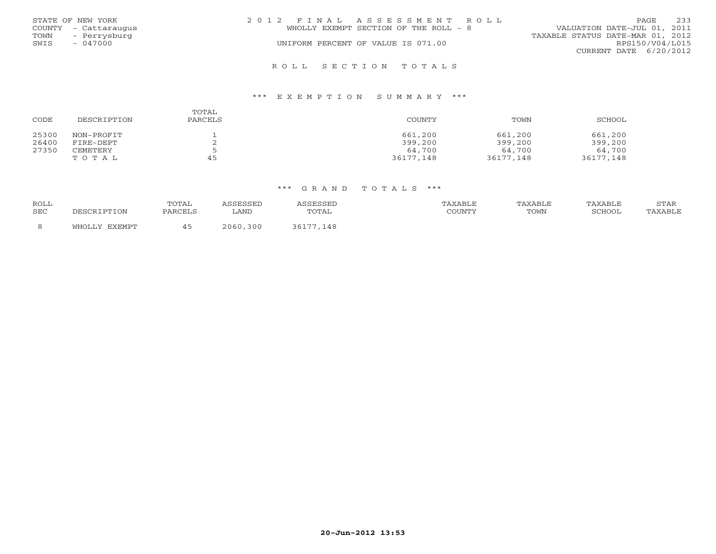| STATE OF NEW YORK<br>COUNTY - Cattaraugus<br>- Perrysburg<br>TOWN | 2012 FINAL ASSESSMENT ROLL<br>WHOLLY EXEMPT SECTION OF THE ROLL - 8 | 233<br><b>PAGE</b><br>VALUATION DATE-JUL 01, 2011<br>TAXABLE STATUS DATE-MAR 01, 2012 |
|-------------------------------------------------------------------|---------------------------------------------------------------------|---------------------------------------------------------------------------------------|
| SWIS<br>$-047000$                                                 | UNIFORM PERCENT OF VALUE IS 071.00                                  | RPS150/V04/L015<br>CURRENT DATE 6/20/2012                                             |
|                                                                   | ROLL SECTION TOTALS                                                 |                                                                                       |

#### \*\*\* E X E M P T I O N S U M M A R Y \*\*\*

| CODE  | DESCRIPTION | TOTAL<br>PARCELS | COUNTY    | TOWN      | SCHOOL    |
|-------|-------------|------------------|-----------|-----------|-----------|
| 25300 | NON-PROFIT  |                  | 661,200   | 661,200   | 661,200   |
| 26400 | FIRE-DEPT   |                  | 399,200   | 399,200   | 399,200   |
| 27350 | CEMETERY    |                  | 64,700    | 64,700    | 64,700    |
|       | TOTAL       | 45               | 36177,148 | 36177,148 | 36177,148 |

| <b>ROLL</b><br>SEC | וו∩דידים דפר⁄פה | TOTAL<br>PARCELS | LAND     | TOTAL     | TAXABLE<br>COUNTY | TAXABLE<br>TOWN | TAXABLE<br>SCHOOI | STAR<br>'AXABLE |
|--------------------|-----------------|------------------|----------|-----------|-------------------|-----------------|-------------------|-----------------|
|                    | TV FYFMDT<br>ா∩ |                  | 2060.300 | 36177,148 |                   |                 |                   |                 |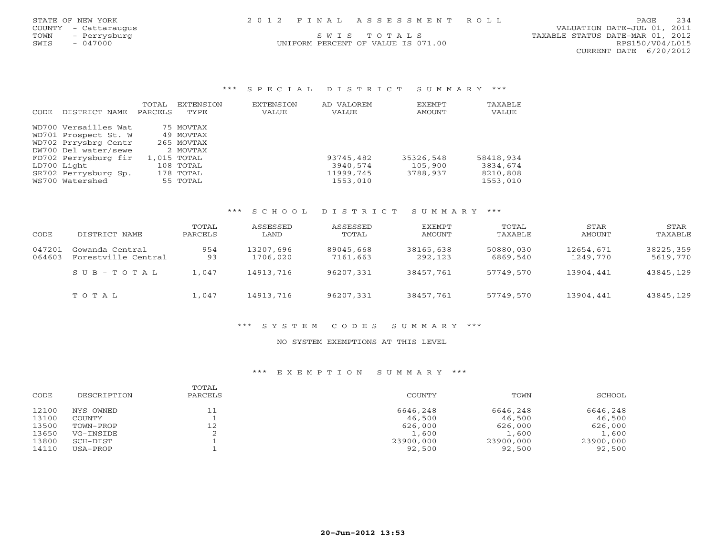|      | STATE OF NEW YORK    | 2012 FINAL ASSESSMENT ROLL         | PAGE                             | 234 |
|------|----------------------|------------------------------------|----------------------------------|-----|
|      | COUNTY - Cattaraugus |                                    | VALUATION DATE-JUL 01, 2011      |     |
| TOWN | - Perrysburg         | SWIS TOTALS                        | TAXABLE STATUS DATE-MAR 01, 2012 |     |
| SWIS | $-047000$            | UNIFORM PERCENT OF VALUE IS 071.00 | RPS150/V04/L015                  |     |
|      |                      |                                    | CURRENT DATE $6/20/2012$         |     |

#### \*\*\* S P E C I A L D I S T R I C T S U M M A R Y \*\*\*

|       |                      | TOTAL   | <b>EXTENSION</b> | <b>EXTENSION</b> | AD VALOREM | EXEMPT    | TAXABLE   |
|-------|----------------------|---------|------------------|------------------|------------|-----------|-----------|
| CODE. | DISTRICT NAME        | PARCELS | TYPE             | VALUE            | VALUE      | AMOUNT    | VALUE     |
|       | WD700 Versailles Wat |         | 75 MOVTAX        |                  |            |           |           |
|       | WD701 Prospect St. W |         | 49 MOVTAX        |                  |            |           |           |
|       | WD702 Prrysbrg Centr |         | 265 MOVTAX       |                  |            |           |           |
|       | DW700 Del water/sewe |         | 2 MOVTAX         |                  |            |           |           |
|       | FD702 Perrysburg fir |         | 1,015 TOTAL      |                  | 93745,482  | 35326,548 | 58418,934 |
|       | LD700 Light          |         | 108 TOTAL        |                  | 3940,574   | 105,900   | 3834,674  |
|       | SR702 Perrysburg Sp. |         | 178 TOTAL        |                  | 11999,745  | 3788,937  | 8210,808  |
|       | WS700 Watershed      |         | 55 TOTAL         |                  | 1553,010   |           | 1553,010  |

### \*\*\* S C H O O L D I S T R I C T S U M M A R Y \*\*\*

|        |                     | TOTAL   | ASSESSED  | ASSESSED  | EXEMPT    | TOTAL     | STAR      | STAR      |
|--------|---------------------|---------|-----------|-----------|-----------|-----------|-----------|-----------|
| CODE   | DISTRICT NAME       | PARCELS | LAND      | TOTAL     | AMOUNT    | TAXABLE   | AMOUNT    | TAXABLE   |
| 047201 | Gowanda Central     | 954     | 13207,696 | 89045,668 | 38165,638 | 50880,030 | 12654,671 | 38225,359 |
| 064603 | Forestville Central | 93      | 1706,020  | 7161,663  | 292,123   | 6869,540  | 1249,770  | 5619,770  |
|        | $SUB - TO T AL$     | 1,047   | 14913,716 | 96207,331 | 38457.761 | 57749,570 | 13904,441 | 43845,129 |
|        | TOTAL               | 1,047   | 14913,716 | 96207,331 | 38457,761 | 57749,570 | 13904,441 | 43845,129 |

## \*\*\* S Y S T E M C O D E S S U M M A R Y \*\*\*

#### NO SYSTEM EXEMPTIONS AT THIS LEVEL

| CODE  | DESCRIPTION   | TOTAL<br>PARCELS | COUNTY    | TOWN      | SCHOOL    |
|-------|---------------|------------------|-----------|-----------|-----------|
| 12100 | NYS OWNED     | 11               | 6646,248  | 6646,248  | 6646,248  |
| 13100 | <b>COUNTY</b> |                  | 46,500    | 46,500    | 46,500    |
| 13500 | TOWN-PROP     | 12               | 626,000   | 626,000   | 626,000   |
| 13650 | VG-INSIDE     |                  | 1,600     | 1,600     | 1,600     |
| 13800 | SCH-DIST      |                  | 23900,000 | 23900,000 | 23900,000 |
| 14110 | USA-PROP      |                  | 92,500    | 92,500    | 92,500    |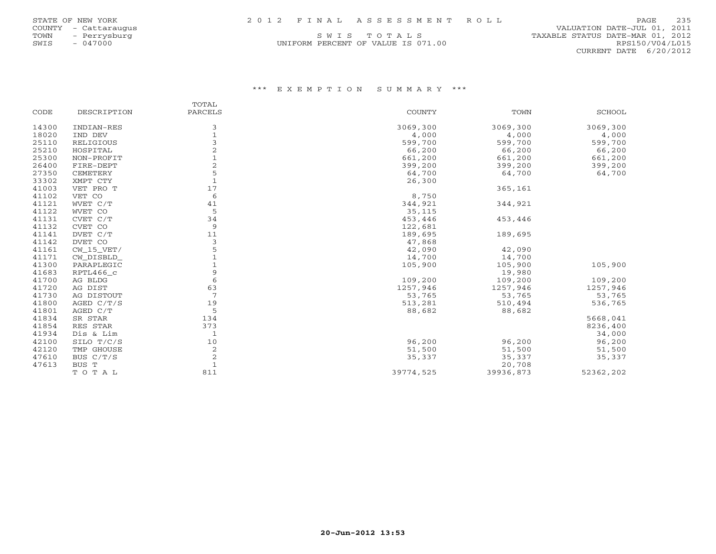| STATE OF NEW YORK |                          |               |  |
|-------------------|--------------------------|---------------|--|
| <b>COUNTY</b>     |                          | - Cattarauqus |  |
| <b>TOWN</b>       | $\overline{\phantom{a}}$ | Perrysburg    |  |
| SWIS              | $\overline{\phantom{0}}$ | 047000        |  |

## COUNTY - Cattaraugus VALUATION DATE-JUL 01, 2011 S W I S T O T A L S TAXABLE STATUS DATE-MAR 01, 2012<br>M PERCENT OF VALUE IS 071.00 CURRENT DATE 6/20/2012

## UNIFORM PERCENT OF VALUE IS 071.00

|       |              | TOTAL        |               |           |           |
|-------|--------------|--------------|---------------|-----------|-----------|
| CODE  | DESCRIPTION  | PARCELS      | <b>COUNTY</b> | TOWN      | SCHOOL    |
| 14300 | INDIAN-RES   | 3            | 3069,300      | 3069,300  | 3069,300  |
| 18020 | IND DEV      | $\mathbf{1}$ | 4,000         | 4,000     | 4,000     |
| 25110 | RELIGIOUS    | 3            | 599,700       | 599,700   | 599,700   |
| 25210 | HOSPITAL     |              | 66,200        | 66,200    | 66,200    |
| 25300 | NON-PROFIT   |              | 661,200       | 661,200   | 661,200   |
| 26400 | FIRE-DEPT    |              | 399,200       | 399,200   | 399,200   |
| 27350 | CEMETERY     | 5            | 64,700        | 64,700    | 64,700    |
| 33302 | XMPT CTY     | $\mathbf{1}$ | 26,300        |           |           |
| 41003 | VET PRO T    | 17           |               | 365,161   |           |
| 41102 | VET CO       | 6            | 8,750         |           |           |
| 41121 | WVET C/T     | 41           | 344,921       | 344,921   |           |
| 41122 | WVET CO      | 5            | 35,115        |           |           |
| 41131 | CVET C/T     | 34           | 453,446       | 453,446   |           |
| 41132 | CVET CO      | 9            | 122,681       |           |           |
| 41141 | DVET C/T     | 11           | 189,695       | 189,695   |           |
| 41142 | DVET CO      | 3            | 47,868        |           |           |
| 41161 | $CW_15_VET/$ | 5            | 42,090        | 42,090    |           |
| 41171 | CW_DISBLD_   |              | 14,700        | 14,700    |           |
| 41300 | PARAPLEGIC   |              | 105,900       | 105,900   | 105,900   |
| 41683 | RPTL466_c    | 9            |               | 19,980    |           |
| 41700 | AG BLDG      | 6            | 109,200       | 109,200   | 109,200   |
| 41720 | AG DIST      | 63           | 1257,946      | 1257,946  | 1257,946  |
| 41730 | AG DISTOUT   | 7            | 53,765        | 53,765    | 53,765    |
| 41800 | AGED $C/T/S$ | 19           | 513,281       | 510,494   | 536,765   |
| 41801 | AGED C/T     | 5            | 88,682        | 88,682    |           |
| 41834 | SR STAR      | 134          |               |           | 5668,041  |
| 41854 | RES STAR     | 373          |               |           | 8236,400  |
| 41934 | Dis & Lim    | $\mathbf{1}$ |               |           | 34,000    |
| 42100 | SILO T/C/S   | 10           | 96,200        | 96,200    | 96,200    |
| 42120 | TMP GHOUSE   | 2            | 51,500        | 51,500    | 51,500    |
| 47610 | BUS C/T/S    | $\sqrt{2}$   | 35,337        | 35,337    | 35,337    |
| 47613 | BUS T        | $\mathbf{1}$ |               | 20,708    |           |
|       | TOTAL        | 811          | 39774,525     | 39936,873 | 52362,202 |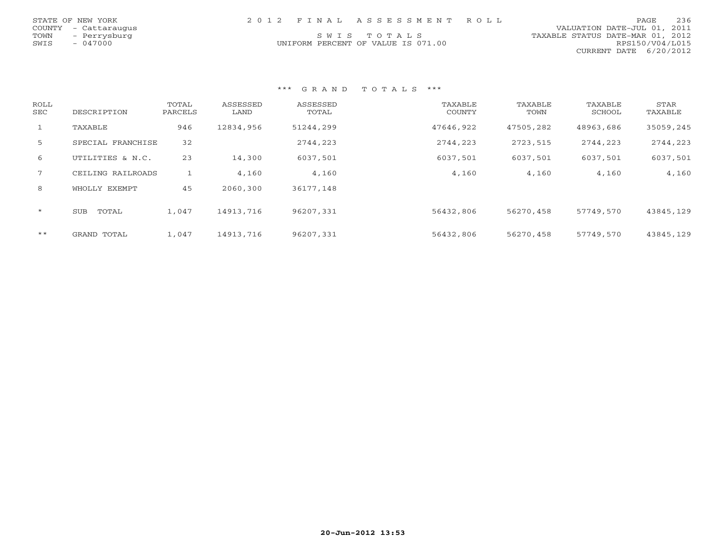| STATE OF NEW YORK    | 2012 FINAL ASSESSMENT ROLL         | <b>PAGE</b>                      | 236 |
|----------------------|------------------------------------|----------------------------------|-----|
| COUNTY - Cattaraugus |                                    | VALUATION DATE-JUL 01, 2011      |     |
| TOWN<br>- Perrysburg | SWIS TOTALS                        | TAXABLE STATUS DATE-MAR 01, 2012 |     |
| $-047000$<br>SWIS    | UNIFORM PERCENT OF VALUE IS 071.00 | RPS150/V04/L015                  |     |
|                      |                                    | CURRENT DATE 6/20/2012           |     |

| ROLL<br>SEC  | DESCRIPTION       | TOTAL<br>PARCELS | ASSESSED<br>LAND | ASSESSED<br>TOTAL | TAXABLE<br><b>COUNTY</b> | TAXABLE<br>TOWN | TAXABLE<br>SCHOOL | STAR<br>TAXABLE |
|--------------|-------------------|------------------|------------------|-------------------|--------------------------|-----------------|-------------------|-----------------|
| $\mathbf{1}$ | TAXABLE           | 946              | 12834,956        | 51244,299         | 47646,922                | 47505,282       | 48963,686         | 35059,245       |
| 5            | SPECIAL FRANCHISE | 32               |                  | 2744,223          | 2744,223                 | 2723,515        | 2744,223          | 2744,223        |
| 6            | UTILITIES & N.C.  | 23               | 14,300           | 6037,501          | 6037,501                 | 6037,501        | 6037,501          | 6037,501        |
| $7^{\circ}$  | CEILING RAILROADS |                  | 4,160            | 4,160             | 4,160                    | 4,160           | 4,160             | 4,160           |
| 8            | WHOLLY EXEMPT     | 45               | 2060,300         | 36177,148         |                          |                 |                   |                 |
| $\star$      | TOTAL<br>SUB      | 1,047            | 14913,716        | 96207,331         | 56432,806                | 56270,458       | 57749,570         | 43845,129       |
| $***$        | GRAND TOTAL       | 1,047            | 14913,716        | 96207,331         | 56432,806                | 56270,458       | 57749,570         | 43845,129       |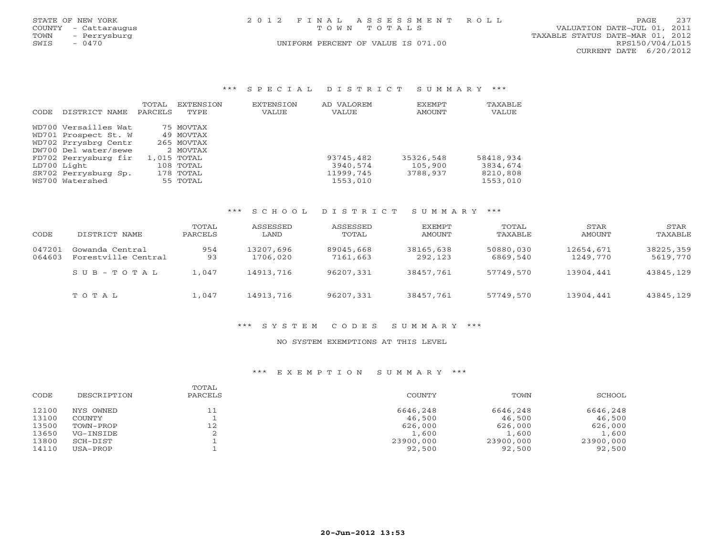| STATE OF NEW YORK<br><b>COUNTY</b><br>- Cattaraugus<br>TOWN<br>- Perrysburg<br>SWIS<br>$-0470$ |                                                  | 2 0 1 2<br>E T                      | N A L<br>T O W N<br>UNIFORM PERCENT OF VALUE IS 071.00 | ASSESSMENT<br>TOTAL S | R O L L        | 237<br>PAGE<br>VALUATION DATE-JUL 01,<br>2011<br>TAXABLE STATUS DATE-MAR 01, 2012<br>RPS150/V04/L015<br>6/20/2012<br>CURRENT DATE |
|------------------------------------------------------------------------------------------------|--------------------------------------------------|-------------------------------------|--------------------------------------------------------|-----------------------|----------------|-----------------------------------------------------------------------------------------------------------------------------------|
|                                                                                                | TOTAL<br>EXTENSION                               | * * *<br>S P E C I A L<br>EXTENSION | DISTRICT<br>AD VALOREM                                 | SUMMARY<br>EXEMPT     | ***<br>TAXABLE |                                                                                                                                   |
| DISTRICT NAME<br><b>CODE</b>                                                                   | PARCELS<br>TYPE                                  | VALUE                               | VALUE                                                  | AMOUNT                | VALUE          |                                                                                                                                   |
| WD700 Versailles Wat<br>WD701 Prospect St. W<br>WD702 Prrysbrg Centr<br>DW700 Del water/sewe   | 75 MOVTAX<br>49 MOVTAX<br>265 MOVTAX<br>2 MOVTAX |                                     |                                                        |                       |                |                                                                                                                                   |
| FD702 Perrysburg fir                                                                           | 1,015 TOTAL                                      |                                     | 93745,482                                              | 35326,548             | 58418,934      |                                                                                                                                   |
| LD700 Light                                                                                    | 108 TOTAL                                        |                                     | 3940,574                                               | 105,900               | 3834,674       |                                                                                                                                   |

### \*\*\* S C H O O L D I S T R I C T S U M M A R Y \*\*\*

SR702 Perrysburg Sp. 178 TOTAL 11999,745 3788,937 8210,808 WS700 Watershed 55 TOTAL 1553,010 1553,010

| CODE             | DISTRICT NAME                          | TOTAL<br>PARCELS | ASSESSED<br>LAND      | ASSESSED<br>TOTAL     | EXEMPT<br>AMOUNT     | TOTAL<br>TAXABLE      | STAR<br>AMOUNT        | <b>STAR</b><br>TAXABLE |
|------------------|----------------------------------------|------------------|-----------------------|-----------------------|----------------------|-----------------------|-----------------------|------------------------|
| 047201<br>064603 | Gowanda Central<br>Forestville Central | 954<br>93        | 13207,696<br>1706,020 | 89045,668<br>7161,663 | 38165,638<br>292,123 | 50880,030<br>6869,540 | 12654,671<br>1249,770 | 38225,359<br>5619,770  |
|                  | $SUB - TO T AL$                        | 1,047            | 14913,716             | 96207,331             | 38457,761            | 57749,570             | 13904,441             | 43845,129              |
|                  | TOTAL                                  | 1,047            | 14913,716             | 96207,331             | 38457,761            | 57749,570             | 13904,441             | 43845,129              |

### \*\*\* S Y S T E M C O D E S S U M M A R Y \*\*\*

#### NO SYSTEM EXEMPTIONS AT THIS LEVEL

| CODE  | DESCRIPTION | TOTAL<br>PARCELS | COUNTY    | TOWN      | SCHOOL    |
|-------|-------------|------------------|-----------|-----------|-----------|
| 12100 | NYS OWNED   | 11               | 6646,248  | 6646,248  | 6646,248  |
| 13100 | COUNTY      |                  | 46,500    | 46,500    | 46,500    |
| 13500 | TOWN-PROP   | 12               | 626,000   | 626,000   | 626,000   |
| 13650 | VG-INSIDE   |                  | 1,600     | 1,600     | 1,600     |
| 13800 | SCH-DIST    |                  | 23900,000 | 23900,000 | 23900,000 |
| 14110 | USA-PROP    |                  | 92,500    | 92,500    | 92,500    |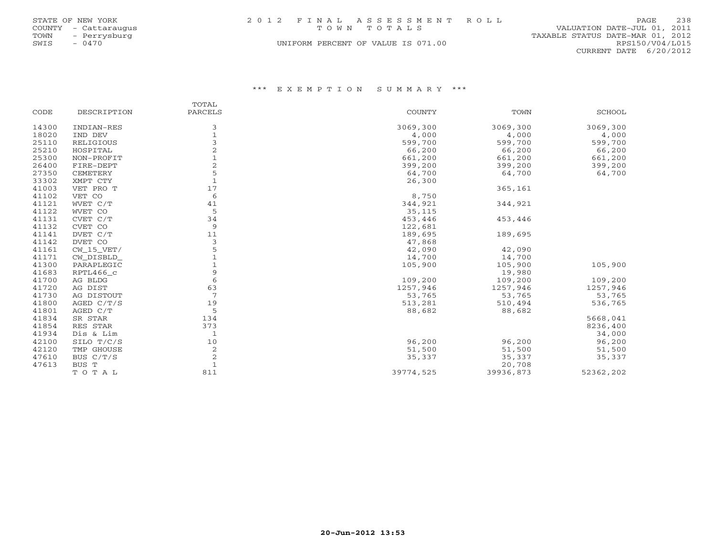|      | STATE OF NEW YORK    | 2012 FINAL ASSESSMENT ROLL         |                                  | 238<br>PAGE.    |
|------|----------------------|------------------------------------|----------------------------------|-----------------|
|      | COUNTY - Cattaraugus | TOWN TOTALS                        | VALUATION DATE-JUL 01, 2011      |                 |
| TOWN | - Perrysburg         |                                    | TAXABLE STATUS DATE-MAR 01, 2012 |                 |
| SWIS | $-0470$              | UNIFORM PERCENT OF VALUE IS 071.00 |                                  | RPS150/V04/L015 |
|      |                      |                                    | CURRENT DATE 6/20/2012           |                 |

|       |              | TOTAL          |           |           |               |
|-------|--------------|----------------|-----------|-----------|---------------|
| CODE  | DESCRIPTION  | PARCELS        | COUNTY    | TOWN      | <b>SCHOOL</b> |
| 14300 | INDIAN-RES   | 3              | 3069,300  | 3069,300  | 3069,300      |
| 18020 | IND DEV      | $\overline{1}$ | 4,000     | 4,000     | 4,000         |
| 25110 | RELIGIOUS    | $\mathbf{3}$   | 599,700   | 599,700   | 599,700       |
| 25210 | HOSPITAL     | $\sqrt{2}$     | 66,200    | 66,200    | 66,200        |
| 25300 | NON-PROFIT   |                | 661,200   | 661,200   | 661,200       |
| 26400 | FIRE-DEPT    | $\sqrt{2}$     | 399,200   | 399,200   | 399,200       |
| 27350 | CEMETERY     | 5              | 64,700    | 64,700    | 64,700        |
| 33302 | XMPT CTY     |                | 26,300    |           |               |
| 41003 | VET PRO T    | 17             |           | 365,161   |               |
| 41102 | VET CO       | 6              | 8,750     |           |               |
| 41121 | WVET C/T     | 41             | 344,921   | 344,921   |               |
| 41122 | WVET CO      | 5              | 35,115    |           |               |
| 41131 | CVET C/T     | 34             | 453,446   | 453,446   |               |
| 41132 | CVET CO      | 9              | 122,681   |           |               |
| 41141 | DVET C/T     | 11             | 189,695   | 189,695   |               |
| 41142 | DVET CO      | 3              | 47,868    |           |               |
| 41161 | CW 15 VET/   | 5              | 42,090    | 42,090    |               |
| 41171 | CW DISBLD    |                | 14,700    | 14,700    |               |
| 41300 | PARAPLEGIC   |                | 105,900   | 105,900   | 105,900       |
| 41683 | RPTL466_c    | 9              |           | 19,980    |               |
| 41700 | AG BLDG      | 6              | 109,200   | 109,200   | 109,200       |
| 41720 | AG DIST      | 63             | 1257,946  | 1257,946  | 1257,946      |
| 41730 | AG DISTOUT   | 7              | 53,765    | 53,765    | 53,765        |
| 41800 | AGED $C/T/S$ | 19             | 513,281   | 510,494   | 536,765       |
| 41801 | AGED C/T     | 5              | 88,682    | 88,682    |               |
| 41834 | SR STAR      | 134            |           |           | 5668,041      |
| 41854 | RES STAR     | 373            |           |           | 8236,400      |
| 41934 | Dis & Lim    | $\mathbf{1}$   |           |           | 34,000        |
| 42100 | SILO T/C/S   | 10             | 96,200    | 96,200    | 96,200        |
| 42120 | TMP GHOUSE   | $\overline{c}$ | 51,500    | 51,500    | 51,500        |
| 47610 | BUS C/T/S    | $\overline{c}$ | 35,337    | 35,337    | 35,337        |
| 47613 | BUS T        | $\overline{1}$ |           | 20,708    |               |
|       | TOTAL        | 811            | 39774,525 | 39936,873 | 52362,202     |